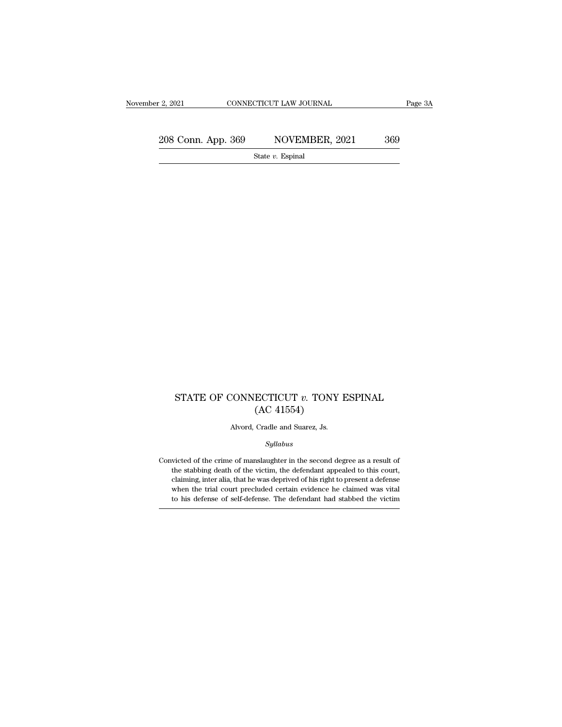2, 2021 CONNECTICUT LAW JOURNAL Page 3A<br>  $208$  Conn. App. 369 NOVEMBER, 2021 369<br>
State v. Espinal

State *v.* Espinal

#### ${\bf STATE~OF~CONNECTICUT~}v.~{\bf TONY~ESPINAL} \\ ({\bf AC~41554})$  $\text{ECTICUT } v. \text{ TONY} \text{ (AC 41554)}$ <br>Cradle and Suarez, Js.  $\begin{array}{l} \text{CONNECTICUT } v. \text{ TONY } 1 \ \text{(AC 41554)} \end{array}$ <br>Alvord, Cradle and Suarez, Js.

*Syllabus*

 $\left( \text{AC 41554} \right)$  Alvord, Cradle and Suarez, Js.<br>  $\label{eq:2.1} Syllabus$  Convicted of the crime of manslaughter in the second degree as a result of the stabbing death of the victim, the defendant appealed to this court, Alvord, Cradle and Suarez, Js.<br>
Syllabus<br>
victed of the crime of manslaughter in the second degree as a result of<br>
the stabbing death of the victim, the defendant appealed to this court,<br>
claiming, inter alia, that he was Alvord, Cradle and Suarez, Js.<br>
Syllabus<br>
victed of the crime of manslaughter in the second degree as a result of<br>
the stabbing death of the victim, the defendant appealed to this court,<br>
claiming, inter alia, that he was *Syllabus*<br>wicted of the crime of manslaughter in the second degree as a result of<br>the stabbing death of the victim, the defendant appealed to this court,<br>claiming, inter alia, that he was deprived of his right to present sytuabus<br>victed of the crime of manslaughter in the second degree as a result of<br>the stabbing death of the victim, the defendant appealed to this court,<br>claiming, inter alia, that he was deprived of his right to present a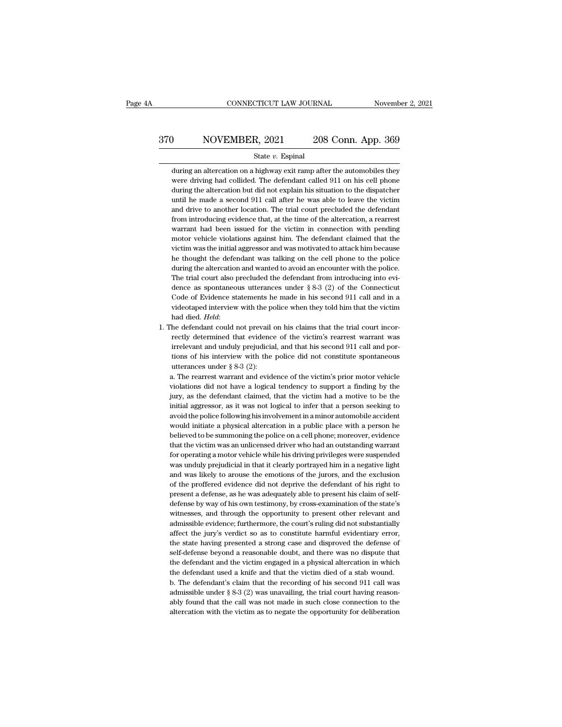# EXECUTE CONNECTICUT LAW JOURNAL Movember 2, 2021<br>370 NOVEMBER, 2021 208 Conn. App. 369<br>5tate v. Espinal

#### State *v.* Espinal

MOVEMBER, 2021 208 Conn. App. 369<br>
State v. Espinal<br>
during an altercation on a highway exit ramp after the automobiles they<br>
were driving had collided. The defendant called 911 on his cell phone NOVEMBER, 2021 208 Conn. App. 369<br>
State v. Espinal<br>
during an altercation on a highway exit ramp after the automobiles they<br>
were driving had collided. The defendant called 911 on his cell phone<br>
during the altercation bu MOVEMBER, 2021 208 Conn. App. 369<br>
State v. Espinal<br>
during an altercation on a highway exit ramp after the automobiles they<br>
were driving had collided. The defendant called 911 on his cell phone<br>
during the altercation bu State  $v$ . Espinal<br>during an altercation on a highway exit ramp after the automobiles they<br>were driving had collided. The defendant called 911 on his cell phone<br>during the altercation but did not explain his situation to State  $v$ . Espinal<br>during an altercation on a highway exit ramp after the automobiles they<br>were driving had collided. The defendant called 911 on his cell phone<br>during the altercation but did not explain his situation to during an altercation on a highway exit ramp after the automobiles they<br>were driving had collided. The defendant called 911 on his cell phone<br>during the altercation but did not explain his situation to the dispatcher<br>until were driving had collided. The defendant called 911 on his cell phone during the altercation but did not explain his situation to the dispatcher until he made a second 911 call after he was able to leave the victim and dri during the altercation but did not explain his situation to the dispatcher until he made a second 911 call after he was able to leave the victim and drive to another location. The trial court precluded the defendant from i until he made a second 911 call after he was able to leave the victim<br>and drive to another location. The trial court precluded the defendant<br>from introducing evidence that, at the time of the altercation, a rearrest<br>warran and drive to another location. The trial court precluded the defendant from introducing evidence that, at the time of the altercation, a rearrest warrant had been issued for the victim in connection with pending motor vehi from introducing evidence that, at the time of the altercation, a rearrest warrant had been issued for the victim in connection with pending motor vehicle violations against him. The defendant claimed that the victim was t from introducing evidence that, at the time of the altercation, a rearrest warrant had been issued for the victim in connection with pending motor vehicle violations against him. The defendant claimed that the victim was motor vehicle violations against him. The defendant claimed that the victim was the initial aggressor and was motivated to attack him because he thought the defendant was talking on the cell phone to the police during the victim was the initial aggressor and was motivated to attack him because<br>he thought the defendant was talking on the cell phone to the police<br>during the altercation and wanted to avoid an encounter with the police.<br>The tr he thought the defendant was talking on the cell phone to the police during the altercation and wanted to avoid an encounter with the police. The trial court also precluded the defendant from introducing into evidence as during the altercation and wanted to avoid an encounter with the police. The trial court also precluded the defendant from introducing into evidence as spontaneous utterances under  $\S$  8-3 (2) of the Connecticut Code of E dence as spontaneous utterances under  $\S 8-3$  (2) of the Connecticut<br>Code of Evidence statements he made in his second 911 call and in a<br>videotaped interview with the police when they told him that the victim<br>had died. *H* 

Code of Evidence statements he made in his second 911 call and in a videotaped interview with the police when they told him that the victim had died. *Held*:<br>he defendant could not prevail on his claims that the trial cour videotaped interview with the police when they told him that the victim<br>had died. *Held*:<br>1. The defendant could not prevail on his claims that the trial court incor-<br>rectly determined that evidence of the victim's rearre had died. *Held*:<br>he defendant could not prevail<br>rectly determined that evidenc<br>irrelevant and unduly prejudicia<br>tions of his interview with the<br>utterances under § 8-3 (2):<br>a. The rearrest warrant and evid The defendant could not prevail on his claims that the trial court incorrectly determined that evidence of the victim's rearrest warrant was irrelevant and unduly prejudicial, and that his second 911 call and portions of rectly determined that evidence of the victim's rearrest warrant was irrelevant and unduly prejudicial, and that his second 911 call and portions of his interview with the police did not constitute spontaneous utterances

irrelevant and unduly prejudicial, and that his second 911 call and portions of his interview with the police did not constitute spontaneous utterances under  $\S 8-3$  (2):<br>a. The rearrest warrant and evidence of the victim tions of his interview with the police did not constitute spontaneous<br>utterances under  $\S$  8-3 (2):<br>a. The rearrest warrant and evidence of the victim's prior motor vehicle<br>violations did not have a logical tendency to su utterances under  $\S 8-3$  (2):<br>a. The rearrest warrant and evidence of the victim's prior motor vehicle<br>violations did not have a logical tendency to support a finding by the<br>jury, as the defendant claimed, that the victim a. The rearrest warrant and evidence of the victim's prior motor vehicle violations did not have a logical tendency to support a finding by the jury, as the defendant claimed, that the victim had a motive to be the initial violations did not have a logical tendency to support a finding by the<br>jury, as the defendant claimed, that the victim had a motive to be the<br>initial aggressor, as it was not logical to infer that a person seeking to<br>avoid jury, as the defendant claimed, that the victim had a motive to be the initial aggressor, as it was not logical to infer that a person seeking to avoid the police following his involvement in a minor automobile accident wo initial aggressor, as it was not logical to infer that a person seeking to avoid the police following his involvement in a minor automobile accident would initiate a physical altercation in a public place with a person he avoid the police following his involvement in a minor automobile accident<br>would initiate a physical altercation in a public place with a person he<br>believed to be summoning the police on a cell phone; moreover, evidence<br>tha would initiate a physical altercation in a public place with a person he believed to be summoning the police on a cell phone; moreover, evidence that the victim was an unlicensed driver who had an outstanding warrant for o believed to be summoning the police on a cell phone; moreover, evidence that the victim was an unlicensed driver who had an outstanding warrant for operating a motor vehicle while his driving privileges were suspended was that the victim was an unlicensed driver who had an outstanding warrant<br>for operating a motor vehicle while his driving privileges were suspended<br>was unduly prejudicial in that it clearly portrayed him in a negative light<br> for operating a motor vehicle while his driving privileges were suspended<br>was unduly prejudicial in that it clearly portrayed him in a negative light<br>and was likely to arouse the emotions of the jurors, and the exclusion<br>o was unduly prejudicial in that it clearly portrayed him in a negative light and was likely to arouse the emotions of the jurors, and the exclusion of the proffered evidence did not deprive the defendant of his right to pre and was likely to arouse the emotions of the jurors, and the exclusion<br>of the proffered evidence did not deprive the defendant of his right to<br>present a defense, as he was adequately able to present his claim of self-<br>defe and was likely to arouse the emotions of the jurors, and the exclusion of the proffered evidence did not deprive the defendant of his right to present a defense, as he was adequately able to present his claim of self-defen present a defense, as he was adequately able to present his claim of self-<br>defense by way of his own testimony, by cross-examination of the state's<br>witnesses, and through the opportunity to present other relevant and<br>admis defense by way of his own testimony, by cross-examination of the state's witnesses, and through the opportunity to present other relevant and admissible evidence; furthermore, the court's ruling did not substantially affec witnesses, and through the opportunity to present other relevant and admissible evidence; furthermore, the court's ruling did not substantially affect the jury's verdict so as to constitute harmful evidentiary error, the s admissible evidence; furthermore, the court's ruling did not substantially affect the jury's verdict so as to constitute harmful evidentiary error, the state having presented a strong case and disproved the defense of self affect the jury's verdict so as to constitute harmful evidentiary error,<br>the state having presented a strong case and disproved the defense of<br>self-defense beyond a reasonable doubt, and there was no dispute that<br>the defen the state having presented a strong case and disproved the defense of<br>self-defense beyond a reasonable doubt, and there was no dispute that<br>the defendant and the victim engaged in a physical altercation in which<br>the defend

self-defense beyond a reasonable doubt, and there was no dispute that<br>the defendant and the victim engaged in a physical altercation in which<br>the defendant used a knife and that the victim died of a stab wound.<br>b. The defe the defendant and the victim engaged in a physical altercation in which<br>the defendant used a knife and that the victim died of a stab wound.<br>b. The defendant's claim that the recording of his second 911 call was<br>admissibl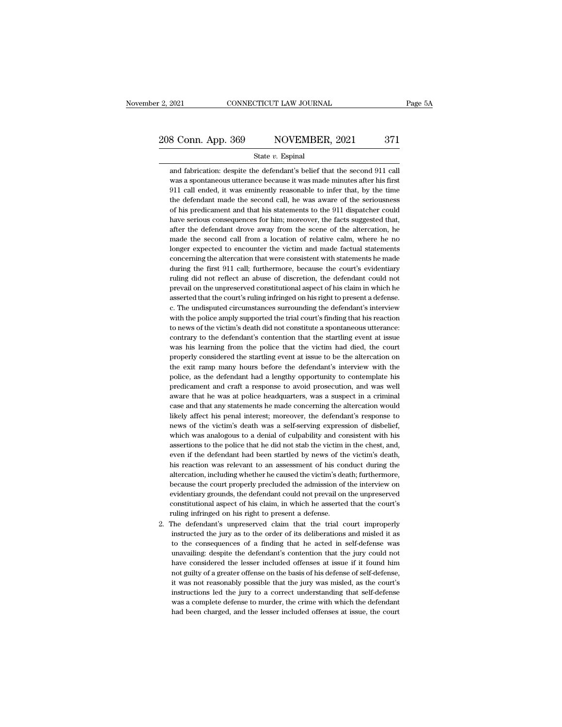# 2, 2021 CONNECTICUT LAW JOURNAL Page 5A<br>
208 Conn. App. 369 NOVEMBER, 2021 371<br>
State v. Espinal

#### State *v.* Espinal

8 Conn. App. 369 NOVEMBER, 2021 371<br>State v. Espinal<br>and fabrication: despite the defendant's belief that the second 911 call<br>was a spontaneous utterance because it was made minutes after his first 8 Conn. App. 369 NOVEMBER, 2021 371<br>State v. Espinal<br>and fabrication: despite the defendant's belief that the second 911 call<br>was a spontaneous utterance because it was made minutes after his first<br>911 call ended, it was e 911 State v. Espinal<br>
911 State v. Espinal<br>
911 call ended, it was eminently reasonable to infer that, by the time<br>
911 call ended, it was eminently reasonable to infer that, by the time<br>
911 call ended, it was eminently r State  $v$ . Espinal<br>
and fabrication: despite the defendant's belief that the second 911 call<br>
was a spontaneous utterance because it was made minutes after his first<br>
911 call ended, it was eminently reasonable to infer t State v. Espinal<br>and fabrication: despite the defendant's belief that the second 911 call<br>was a spontaneous utterance because it was made minutes after his first<br>911 call ended, it was eminently reasonable to infer that, b and fabrication: despite the defendant's belief that the second 911 call was a spontaneous utterance because it was made minutes after his first 911 call ended, it was eminently reasonable to infer that, by the time the de was a spontaneous utterance because it was made minutes after his first<br>911 call ended, it was eminently reasonable to infer that, by the time<br>the defendant made the second call, he was aware of the seriousness<br>of his pred 911 call ended, it was eminently reasonable to infer that, by the time<br>the defendant made the second call, he was aware of the seriousness<br>of his predicament and that his statements to the 911 dispatcher could<br>have serious the defendant made the second call, he was aware of the seriousness<br>of his predicament and that his statements to the 911 dispatcher could<br>have serious consequences for him; moreover, the facts suggested that,<br>after the de of his predicament and that his statements to the 911 dispatcher could<br>have serious consequences for him; moreover, the facts suggested that,<br>after the defendant drove away from the scene of the altercation, he<br>made the se have serious consequences for him; moreover, the facts suggested that, after the defendant drove away from the scene of the altercation, he made the second call from a location of relative calm, where he no longer expected after the defendant drove away from the scene of the altercation, he made the second call from a location of relative calm, where he no longer expected to encounter the victim and made factual statements concerning the alt made the second call from a location of relative calm, where he no<br>longer expected to encounter the victim and made factual statements<br>concerning the altercation that were consistent with statements he made<br>during the firs longer expected to encounter the victim and made factual statements<br>concerning the altercation that were consistent with statements he made<br>during the first 911 call; furthermore, because the court's evidentiary<br>ruling did concerning the altercation that were consistent with statements he made<br>during the first 911 call; furthermore, because the court's evidentiary<br>ruling did not reflect an abuse of discretion, the defendant could not<br>prevail during the first 911 call; furthermore, because the court's evidentiary<br>ruling did not reflect an abuse of discretion, the defendant could not<br>prevail on the unpreserved constitutional aspect of his claim in which he<br>asser ruling did not reflect an abuse of discretion, the defendant could not prevail on the unpreserved constitutional aspect of his claim in which he asserted that the court's ruling infringed on his right to present a defense. prevail on the unpreserved constitutional aspect of his claim in which he<br>asserted that the court's ruling infringed on his right to present a defense.<br>c. The undisputed circumstances surrounding the defendant's interview<br> asserted that the court's ruling infringed on his right to present a defense.<br>
c. The undisputed circumstances surrounding the defendant's interview<br>
with the police amply supported the trial court's finding that his react c. The undisputed circumstances surrounding the defendant's interview<br>with the police amply supported the trial court's finding that his reaction<br>to news of the victim's death did not constitute a spontaneous utterance:<br>co with the police amply supported the trial court's finding that his reaction<br>to news of the victim's death did not constitute a spontaneous utterance:<br>contrary to the defendant's contention that the startling event at issue to news of the victim's death did not constitute a spontaneous utterance:<br>contrary to the defendant's contention that the startling event at issue<br>was his learning from the police that the victim had died, the court<br>proper contrary to the defendant's contention that the startling event at issue<br>was his learning from the police that the victim had died, the court<br>properly considered the startling event at issue to be the altercation on<br>the ex was his learning from the police that the victim had died, the court<br>properly considered the startling event at issue to be the altercation on<br>the exit ramp many hours before the defendant's interview with the<br>police, as t properly considered the startling event at issue to be the altercation on the exit ramp many hours before the defendant's interview with the police, as the defendant had a lengthy opportunity to contemplate his predicament the exit ramp many hours before the defendant's interview with the police, as the defendant had a lengthy opportunity to contemplate his predicament and craft a response to avoid prosecution, and was well aware that he was police, as the defendant had a lengthy opportunity to contemplate his predicament and craft a response to avoid prosecution, and was well aware that he was at police headquarters, was a suspect in a criminal case and that predicament and craft a response to avoid prosecution, and was well<br>aware that he was at police headquarters, was a suspect in a criminal<br>case and that any statements he made concerning the altercation would<br>likely affect aware that he was at police headquarters, was a suspect in a criminal case and that any statements he made concerning the altercation would likely affect his penal interest; moreover, the defendant's response to news of th case and that any statements he made concerning the altercation would<br>likely affect his penal interest; moreover, the defendant's response to<br>news of the victim's death was a self-serving expression of disbelief,<br>which was likely affect his penal interest; moreover, the defendant's response to<br>news of the victim's death was a self-serving expression of disbelief,<br>which was analogous to a denial of culpability and consistent with his<br>assertio news of the victim's death was a self-serving expression of disbelief, which was analogous to a denial of culpability and consistent with his assertions to the police that he did not stab the victim in the chest, and, even which was analogous to a denial of culpability and consistent with his assertions to the police that he did not stab the victim in the chest, and, even if the defendant had been startled by news of the victim's death, his assertions to the police that he did not stab the victim in the chest, and, even if the defendant had been startled by news of the victim's death, his reaction was relevant to an assessment of his conduct during the alterc even if the defendant had been startled by news of the victim's death,<br>his reaction was relevant to an assessment of his conduct during the<br>altercation, including whether he caused the victim's death; furthermore,<br>because his reaction was relevant to an assessment of his conducter<br>cation, including whether he caused the victim's dealined because the court properly precluded the admission of<br>evidentiary grounds, the defendant could not preva altercation, including whether he caused the victim's death; furthermore, because the court properly precluded the admission of the interview on evidentiary grounds, the defendant could not prevail on the unpreserved const instead the court properly precluded the admission of the interview on evidentiary grounds, the defendant could not prevail on the unpreserved constitutional aspect of his claim, in which he asserted that the court's uling

evidentiary grounds, the defendant could not prevail on the unpreserved<br>constitutional aspect of his claim, in which he asserted that the court's<br>ruling infringed on his right to present a defense.<br>The defendant's unpreser constitutional aspect of his claim, in which he asserted that the court's<br>vuling infringed on his right to present a defense.<br>The defendant's unpreserved claim that the trial court improperly<br>instructed the jury as to the ruling infringed on his right to present a defense.<br>The defendant's unpreserved claim that the trial court improperly<br>instructed the jury as to the order of its deliberations and misled it as<br>to the consequences of a findi The defendant's unpreserved claim that the trial court improperly instructed the jury as to the order of its deliberations and misled it as to the consequences of a finding that he acted in self-defense was unavailing: des instructed the jury as to the order of its deliberations and misled it as<br>to the consequences of a finding that he acted in self-defense was<br>unavailing: despite the defendant's contention that the jury could not<br>have consi to the consequences of a finding that he acted in self-defense was unavailing: despite the defendant's contention that the jury could not have considered the lesser included offenses at issue if it found him not guilty of unavailing: despite the defendant's contention that the jury could not have considered the lesser included offenses at issue if it found him not guilty of a greater offense on the basis of his defense of self-defense, it w have considered the lesser included offenses at issue if it found him<br>not guilty of a greater offense on the basis of his defense of self-defense,<br>it was not reasonably possible that the jury was misled, as the court's<br>ins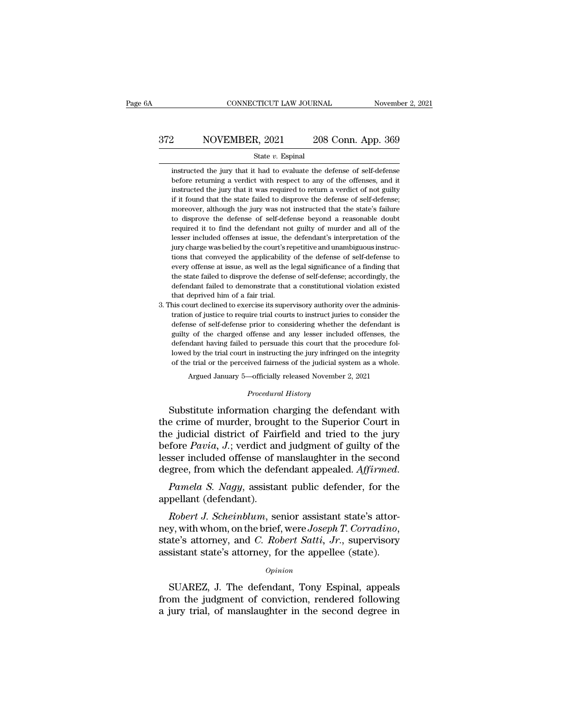# EXECUTE CONNECTICUT LAW JOURNAL Movember 2, 2021<br>372 NOVEMBER, 2021 208 Conn. App. 369<br>5tate v. Espinal

#### State *v.* Espinal

2008 Conn. App. 369<br>
State v. Espinal<br>
instructed the jury that it had to evaluate the defense of self-defense<br>
before returning a verdict with respect to any of the offenses, and it **before returning a verdict with respect to any of the offenses, and it instructed the jury that it had to evaluate the defense of self-defense** before returning a verdict with respect to any of the offenses, and it instr 208 Conn. App. 369<br>
5tate v. Espinal<br>
5tate v. Espinal<br>
instructed the jury that it had to evaluate the defense of self-defense<br>
before returning a verdict with respect to any of the offenses, and it<br>
instructed the jury t State v. Espinal<br>
instructed the jury that it had to evaluate the defense of self-defense<br>
before returning a verdict with respect to any of the offenses, and it<br>
instructed the jury that it was required to return a verdic State v. Espinal<br>instructed the jury that it had to evaluate the defense of self-defense<br>before returning a verdict with respect to any of the offenses, and it<br>instructed the jury that it was required to return a verdict o instructed the jury that it had to evaluate the defense of self-defense<br>before returning a verdict with respect to any of the offenses, and it<br>instructed the jury that it was required to return a verdict of not guilty<br>if i refluence the jury that it was required to any of the offenses, and it instructed the jury that it was required to return a verdict of not guilty if it found that the state failed to disprove the defense of self-defense; m in instructed the jury that it was required to return a verdict of not guilty if it found that the state failed to disprove the defense of self-defense; moreover, although the jury was not instructed that the state's failu instructed the jury that it was required to return a verdict of not guilty if it found that the state failed to disprove the defense of self-defense; moreover, although the jury was not instructed that the state's failure The convert state of self-defense beyond a reasonable doubt required it to find the defense of self-defense beyond a reasonable doubt required it to find the defendant not guilty of murder and all of the lesser included of to disprove the defense of self-defense beyond a reasonable doubt required it to find the defendant not guilty of murder and all of the lesser included offenses at issue, the defendant's interpretation of the lighty charge required it to find the defendant not guilty of murder and all of the lesser included offenses at issue, the defendant's interpretation of the leigry charge was belied by the court's repetitive and unambiguous instructions lesser included offenses at issue, the defendant's interpretation of the jury charge was belied by the court's repetitive and unambiguous instructions that conveyed the applicability of the defense of self-defense to every jury charge was belied by the court's repetitive and unambiguous instructions that conveyed the applicability of the defense of self-defense to every offense at issue, as well as the legal significance of a finding that th 3. This court declined to exercise its supervisory authority of the defense of self-defense to every offense at issue, as well as the legal significance of a finding that the state failed to disprove the defense of self-de every offense at issue, as well as the legal significance of a finding that<br>the state failed to disprove the defense of self-defense; accordingly, the<br>defendant failed to demonstrate that a constitutional violation existed

be state failed to disprove the defense of self-defense; accordingly, the defendant failed to demonstrate that a constitutional violation existed that deprived him of a fair trial.<br>his court declined to exercise its superv defendant failed to demonstrate that a constitutional violation existed<br>that deprived him of a fair trial.<br>his court declined to exercise its supervisory authority over the adminis-<br>tration of justice to require trial cour that deprived him of a fair trial.<br>
that deprived him of a fair trial.<br>
that deprived him of a fair trial courts to instruct juries to consider the<br>
defense of self-defense prior to considering whether the defendant is<br>
gu has court declined to exercise its supervisory authority over the administration of justice to require trial courts to instruct juries to consider the defense of self-defense prior to considering whether the defendant is g tration of justice to require trial courts to instruct juries to consider the defense of self-defense prior to considering whether the defendant is guilty of the charged offense and any lesser included offenses, the defend is of self-defense prior to considering whether the defendant is<br>
<sup>1</sup> of the charged offense and any lesser included offenses, the<br>
dant having failed to persuade this court that the procedure fol-<br>
1 by the trial court in to persuade this court that the<br>
in instructing the jury infringed<br>
ived fairness of the judicial sys<br>
-officially released November<br> *Procedural History*<br>
ation charging the def gunty of the charged onense and any lesser included onensess, the<br>defendant having failed to persuade this court that the procedure fol-<br>lowed by the trial court in instructing the jury infringed on the integrity<br>of the tr

the crime of murder in instructing the jury infringed on the integrity<br>of the trial court in instructing the jury infringed on the integrity<br>of the trial or the perceived fairness of the judicial system as a whole.<br>Argued of the trial or the perceived fairness of the judicial system as a whole.<br>
Argued January 5—officially released November 2, 2021<br>
Procedural History<br>
Substitute information charging the defendant with<br>
the crime of murder, Argued January 5—officially released November 2, 2021<br>*Procedural History*<br>Substitute information charging the defendant with<br>the crime of murder, brought to the Superior Court in<br>the judicial district of Fairfield and tri *Procedural History*<br>Substitute information charging the defendant with<br>the crime of murder, brought to the Superior Court in<br>the judicial district of Fairfield and tried to the jury<br>before *Pavia*, *J*.; verdict and judgm Froceaura History<br>the crime of murder, brought to the Superior Court in<br>the judicial district of Fairfield and tried to the jury<br>before *Pavia*, *J*.; verdict and judgment of guilty of the<br>lesser included offense of mansla the critic of murder, broughte judicial district of Fair<br>before *Pavia*, J.; verdict an<br>lesser included offense of r<br>degree, from which the deference, from which the deference paramellant (defendant).<br>Robert J. Scheinblum, *Fore Pavia, J.*; verdict and judgment of guilty of the sser included offense of manslaughter in the second gree, from which the defendant appealed. *Affirmed. Pamela S. Nagy*, assistant public defender, for the pellant

ney, from which the defendant appealed. Affirmed.<br> *Pamela S. Nagy*, assistant public defender, for the<br>
appellant (defendant).<br> *Robert J. Scheinblum*, senior assistant state's attor-<br>
ney, with whom, on the brief, were Pamela S. Nagy, assistant public defender, for the appellant (defendant).<br> *Robert J. Scheinblum*, senior assistant state's attorney, with whom, on the brief, were Joseph T. Corradino, state's attorney, and C. Robert Satti Robert J. Scheinblum, senior assistant state's attor-<br>y, with whom, on the brief, were Joseph T. Corradino,<br>ate's attorney, and C. Robert Satti, Jr., supervisory<br>sistant state's attorney, for the appellee (state).<br>opinion<br> mey, with whom, on the brief, were Joseph T. Corradino,<br>state's attorney, and C. Robert Satti, Jr., supervisory<br>assistant state's attorney, for the appellee (state).<br> $opinion$ <br>SUAREZ, J. The defendant, Tony Espinal, appeals<br>fro

#### *Opinion*

state's attorney, and *C. Robert Satti, Jr.*, supervisory assistant state's attorney, for the appellee (state).<br> *Opinion*<br>
SUAREZ, J. The defendant, Tony Espinal, appeals from the judgment of conviction, rendered followin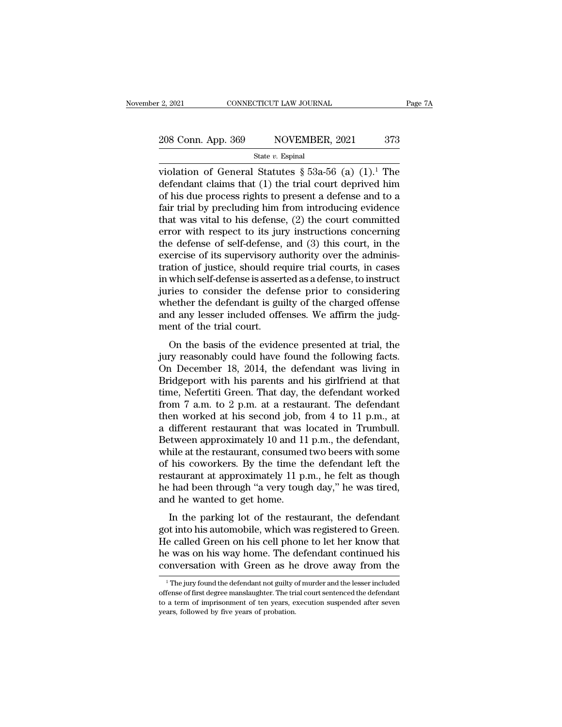violation of General Statutes § 53a-56 (a) (1).<sup>1</sup> The<br>defendant claims that (1) the trial court deprived him<br>of his due process rights to present a defense and to a 208 Conn. App. 369 NOVEMBER, 2021 373<br>
State v. Espinal<br>
violation of General Statutes § 53a-56 (a)  $(1)$ .<sup>1</sup> The<br>
defendant claims that (1) the trial court deprived him<br>
of his due process rights to present a defense and 208 Conn. App. 369 NOVEMBER, 2021 373<br>
State v. Espinal<br>
violation of General Statutes § 53a-56 (a)  $(1)$ .<sup>1</sup> The<br>
defendant claims that  $(1)$  the trial court deprived him<br>
of his due process rights to present a defense a 208 Conn. App. 369 NOVEMBER, 2021 373<br>
State v. Espinal<br>
violation of General Statutes § 53a-56 (a)  $(1)$ .<sup>1</sup> The<br>
defendant claims that (1) the trial court deprived him<br>
of his due process rights to present a defense and State v. Espinal<br>
violation of General Statutes § 53a-56 (a) (1).<sup>1</sup> The<br>
defendant claims that (1) the trial court deprived him<br>
of his due process rights to present a defense and to a<br>
fair trial by precluding him from state v. Espinal<br>violation of General Statutes § 53a-56 (a)  $(1)$ .<sup>1</sup> The<br>defendant claims that  $(1)$  the trial court deprived him<br>of his due process rights to present a defense and to a<br>fair trial by precluding him from violation of General Statutes § 53a-56 (a)  $(1)$ .<sup>1</sup> The<br>defendant claims that  $(1)$  the trial court deprived him<br>of his due process rights to present a defense and to a<br>fair trial by precluding him from introducing evide defendant claims that (1) the trial court deprived him<br>of his due process rights to present a defense and to a<br>fair trial by precluding him from introducing evidence<br>that was vital to his defense, (2) the court committed<br>e of his due process rights to present a defense and to a<br>fair trial by precluding him from introducing evidence<br>that was vital to his defense, (2) the court committed<br>error with respect to its jury instructions concerning<br>t fair trial by precluding him from introducing evidence<br>that was vital to his defense, (2) the court committed<br>error with respect to its jury instructions concerning<br>the defense of self-defense, and (3) this court, in the<br>e that was vital to his defense, (2) the court committed<br>error with respect to its jury instructions concerning<br>the defense of self-defense, and (3) this court, in the<br>exercise of its supervisory authority over the adminis-<br> error with respect to its jury instructions concerning<br>the defense of self-defense, and (3) this court, in the<br>exercise of its supervisory authority over the adminis-<br>tration of justice, should require trial courts, in cas the defense of self-defense, and (3) this court, in the exercise of its supervisory authority over the administration of justice, should require trial courts, in cases in which self-defense is asserted as a defense, to ins exercise of its supervisory a<br>tration of justice, should rea<br>in which self-defense is asser<br>juries to consider the defe<br>whether the defendant is gu<br>and any lesser included offe<br>ment of the trial court.<br>On the basis of the Monton of Justice, should require that courts, in cases<br>which self-defense is asserted as a defense, to instruct<br>ries to consider the defense prior to considering<br>nether the defendant is guilty of the charged offense<br>d any In which sen-defense is asserted as a defense, to instruct<br>juries to consider the defense prior to considering<br>whether the defendant is guilty of the charged offense<br>and any lesser included offenses. We affirm the judg-<br>me

yantes to consider the defendant is guilty of the charged offense<br>and any lesser included offenses. We affirm the judg-<br>ment of the trial court.<br>On the basis of the evidence presented at trial, the<br>jury reasonably could ha whether the detendant is gainy of the enlarged offersed<br>and any lesser included offenses. We affirm the judg-<br>ment of the trial court.<br>On the basis of the evidence presented at trial, the<br>jury reasonably could have found and any resser incruded offerses. We armin the judge-<br>ment of the trial court.<br>On the basis of the evidence presented at trial, the<br>jury reasonably could have found the following facts.<br>On December 18, 2014, the defendant from the basis of the evidence presented at trial, the<br>jury reasonably could have found the following facts.<br>On December 18, 2014, the defendant was living in<br>Bridgeport with his parents and his girlfriend at that<br>time, N On the basis of the evidence presented at trial, the<br>jury reasonably could have found the following facts.<br>On December 18, 2014, the defendant was living in<br>Bridgeport with his parents and his girlfriend at that<br>time, Nef jury reasonably could have found the following facts.<br>On December 18, 2014, the defendant was living in<br>Bridgeport with his parents and his girlfriend at that<br>time, Nefertiti Green. That day, the defendant worked<br>from 7 a. On December 18, 2014, the defendant was living in<br>Bridgeport with his parents and his girlfriend at that<br>time, Nefertiti Green. That day, the defendant worked<br>from 7 a.m. to 2 p.m. at a restaurant. The defendant<br>then work Bridgeport with his parents and his girlfriend at that<br>time, Nefertiti Green. That day, the defendant worked<br>from 7 a.m. to 2 p.m. at a restaurant. The defendant<br>then worked at his second job, from 4 to 11 p.m., at<br>a diff time, Nefertiti Green. That day, the defendant worked<br>from 7 a.m. to 2 p.m. at a restaurant. The defendant<br>then worked at his second job, from 4 to 11 p.m., at<br>a different restaurant that was located in Trumbull.<br>Between from 7 a.m. to 2 p.m. at a restaurant. The defendant<br>then worked at his second job, from 4 to 11 p.m., at<br>a different restaurant that was located in Trumbull.<br>Between approximately 10 and 11 p.m., the defendant,<br>while at then worked at his second job, from 4 to 11 p.m., at<br>a different restaurant that was located in Trumbull.<br>Between approximately 10 and 11 p.m., the defendant,<br>while at the restaurant, consumed two beers with some<br>of his co a different restaurant that was let<br>ween approximately 10 and 11<br>while at the restaurant, consumed<br>of his coworkers. By the time th<br>restaurant at approximately 11 p.<br>he had been through "a very toug<br>and he wanted to get ho In the restaurant, consumed two beers with some<br>his coworkers. By the time the defendant left the<br>staurant at approximately 11 p.m., he felt as though<br>had been through "a very tough day," he was tired,<br>d he wanted to get h whice at the restaurant, consulted two beens what some<br>of his coworkers. By the time the defendant left the<br>restaurant at approximately 11 p.m., he felt as though<br>he had been through "a very tough day," he was tired,<br>and h

or his coworkers. By the time the determinant left the<br>restaurant at approximately 11 p.m., he felt as though<br>he had been through "a very tough day," he was tired,<br>and he wanted to get home.<br>In the parking lot of the resta restaurant at approximately 11 p.m., he felt as though<br>he had been through "a very tough day," he was tired,<br>and he wanted to get home.<br>In the parking lot of the restaurant, the defendant<br>got into his automobile, which was In the parking lot of the restaurant, the defendant<br>got into his automobile, which was registered to Green.<br>He called Green on his cell phone to let her know that<br>he was on his way home. The defendant continued his<br>conver of the sale of the sale of the defendant continued his<br>e vas on his way home. The defendant continued his<br>pnversation with Green as he drove away from the<br><sup>1</sup>The jury found the defendant not guilty of murder and the lesser He called Green on his cell phone to let her know that<br>he was on his way home. The defendant continued his<br>conversation with Green as he drove away from the<br> $\frac{1}{1}$ The jury found the defendant not guilty of murder and t

the was on his way home. The defendant continued his conversation with Green as he drove away from the  $\frac{1}{1}$ The jury found the defendant not guilty of murder and the lesser included offense of first degree manslaughter conversation with Green as he<br>
<sup>1</sup>The jury found the defendant not guilty offense of first degree manslaughter. The tri<br>
to a term of imprisonment of ten years, e<br>
years, followed by five years of probation.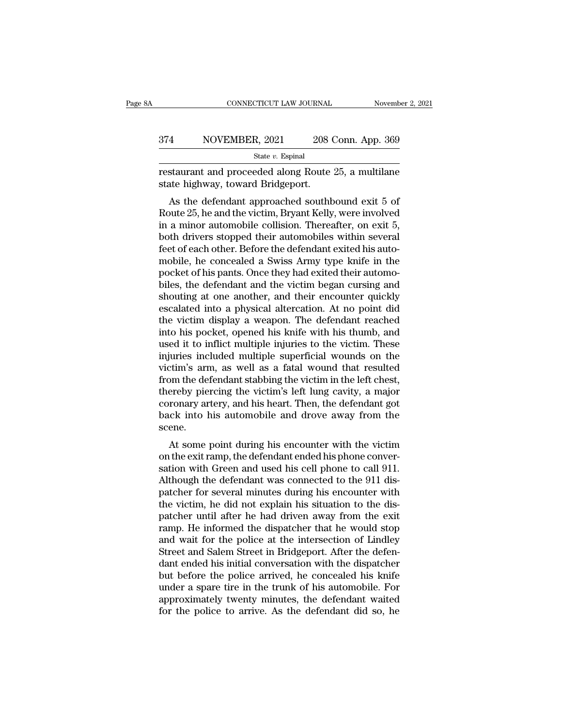#### EXECUTE CONNECTICUT LAW JOURNAL Movember 2, 2021<br>374 NOVEMBER, 2021 208 Conn. App. 369<br>5tate v. Espinal State *v.* Espinal

restaurant and proceeded along Route 25, a multilane example and proceeded along Route 25, a multilane example and proceeded along Route 25, a multilane example. ST4 NOVEMBER, 2021 208<br>
State v. Espinal<br>
Festaurant and proceeded along Route<br>
state highway, toward Bridgeport.<br>
As the defendant approached southb

AS the defendant approached southbound exit  $\frac{5}{6}$ <br>State *v*. Espinal<br>Staurant and proceeded along Route 25, a multilane<br>ate highway, toward Bridgeport.<br>As the defendant approached southbound exit 5 of<br>quite 25, he and  $R_{\text{state }v}$ . Espinal<br>  $\frac{\text{State }v}{\text{Rational}}$ <br>  $\frac{\text{State }v}{\text{Rational}}$ <br>  $\frac{\text{State }v}{\text{Rational}}$ <br>  $\frac{\text{State }v}{\text{Rational}}$ <br>  $\frac{\text{State }v}{\text{Rational}}$ <br>  $\frac{\text{State }v}{\text{Rational}}$ <br>  $\frac{\text{Right }25, \text{ a multilane}}{\text{Rational}}$ <br>  $\frac{\text{Right }25, \text{ the defendant}{\text{approached southbound}}$ <br>  $\frac{\text{Right }25, \text{ the and the victim}{\text{Rational weight}}$ State *v*. Espinal<br>
restaurant and proceeded along Route 25, a multilane<br>
state highway, toward Bridgeport.<br>
As the defendant approached southbound exit 5 of<br>
Route 25, he and the victim, Bryant Kelly, were involved<br>
in a restaurant and proceeded along Route 25, a multilane<br>state highway, toward Bridgeport.<br>As the defendant approached southbound exit 5 of<br>Route 25, he and the victim, Bryant Kelly, were involved<br>in a minor automobile collisi festaurant and proceeded along Route 25, a multilate<br>state highway, toward Bridgeport.<br>As the defendant approached southbound exit 5 of<br>Route 25, he and the victim, Bryant Kelly, were involved<br>in a minor automobile collisi state highway, toward Bhugepont.<br>
As the defendant approached southbound exit 5 of<br>
Route 25, he and the victim, Bryant Kelly, were involved<br>
in a minor automobile collision. Thereafter, on exit 5,<br>
both drivers stopped th As the defendant approached southbound exit 5 of<br>Route 25, he and the victim, Bryant Kelly, were involved<br>in a minor automobile collision. Thereafter, on exit 5,<br>both drivers stopped their automobiles within several<br>feet o Route 25, he and the victim, Bryant Kelly, were involved<br>in a minor automobile collision. Thereafter, on exit 5,<br>both drivers stopped their automobiles within several<br>feet of each other. Before the defendant exited his aut in a minor automobile collision. Thereafter, on exit 5,<br>both drivers stopped their automobiles within several<br>feet of each other. Before the defendant exited his auto-<br>mobile, he concealed a Swiss Army type knife in the<br>po both drivers stopped their automobiles within several<br>feet of each other. Before the defendant exited his auto-<br>mobile, he concealed a Swiss Army type knife in the<br>pocket of his pants. Once they had exited their automo-<br>bi feet of each other. Before the defendant exited his auto-<br>mobile, he concealed a Swiss Army type knife in the<br>pocket of his pants. Once they had exited their automo-<br>biles, the defendant and the victim began cursing and<br>sh mobile, he concealed a Swiss Army type knife in the pocket of his pants. Once they had exited their automobiles, the defendant and the victim began cursing and shouting at one another, and their encounter quickly escalated pocket of his pants. Once they had exited their automo-<br>biles, the defendant and the victim began cursing and<br>shouting at one another, and their encounter quickly<br>escalated into a physical altercation. At no point did<br>the biles, the defendant and the victim began cursing and<br>shouting at one another, and their encounter quickly<br>escalated into a physical altercation. At no point did<br>the victim display a weapon. The defendant reached<br>into his shouting at one another, and their encounter quickly<br>escalated into a physical altercation. At no point did<br>the victim display a weapon. The defendant reached<br>into his pocket, opened his knife with his thumb, and<br>used it t escalated into a physical altercation. At no point did<br>the victim display a weapon. The defendant reached<br>into his pocket, opened his knife with his thumb, and<br>used it to inflict multiple injuries to the victim. These<br>inju the victim display a weapon. The defendant reached<br>into his pocket, opened his knife with his thumb, and<br>used it to inflict multiple injuries to the victim. These<br>injuries included multiple superficial wounds on the<br>victim into his pocket, opened his knife with his thumb, and<br>used it to inflict multiple injuries to the victim. These<br>injuries included multiple superficial wounds on the<br>victim's arm, as well as a fatal wound that resulted<br>from used it to inflict multiple injuries to the victim. These<br>injuries included multiple superficial wounds on the<br>victim's arm, as well as a fatal wound that resulted<br>from the defendant stabbing the victim in the left chest,<br> scene. Figures 2011, as well as a fatal would that resulted<br>om the defendant stabbing the victim in the left chest,<br>ereby piercing the victim's left lung cavity, a major<br>ronary artery, and his heart. Then, the defendant got<br>ck in on the defendant stabbing the victim in the left chest,<br>thereby piercing the victim's left lung cavity, a major<br>coronary artery, and his heart. Then, the defendant got<br>back into his automobile and drove away from the<br>scene

shortendy piercing the victility selecting cavity, a higher<br>coronary artery, and his heart. Then, the defendant got<br>back into his automobile and drove away from the<br>scene.<br>At some point during his encounter with the victim Coronary artery, and his heart. Then, the defendant got<br>back into his automobile and drove away from the<br>scene.<br>At some point during his encounter with the victim<br>on the exit ramp, the defendant ended his phone conver-<br>sat back into its automobile and drove away from the<br>scene.<br>At some point during his encounter with the victim<br>on the exit ramp, the defendant ended his phone conver-<br>sation with Green and used his cell phone to call 911.<br>Alth Scene.<br>
At some point during his encounter with the victim<br>
on the exit ramp, the defendant ended his phone conver-<br>
sation with Green and used his cell phone to call 911.<br>
Although the defendant was connected to the 911 d At some point during his encounter with the victim<br>on the exit ramp, the defendant ended his phone conver-<br>sation with Green and used his cell phone to call 911.<br>Although the defendant was connected to the 911 dis-<br>patcher on the exit ramp, the defendant ended his phone conversation with Green and used his cell phone to call 911.<br>Although the defendant was connected to the 911 dis-<br>patcher for several minutes during his encounter with<br>the vi sation with Green and used his cell phone to call 911.<br>Although the defendant was connected to the 911 dis-<br>patcher for several minutes during his encounter with<br>the victim, he did not explain his situation to the dis-<br>pat Although the defendant was connected to the 911 dispatcher for several minutes during his encounter with the victim, he did not explain his situation to the dispatcher until after he had driven away from the exit ramp. He patcher for several minutes during his encounter with<br>the victim, he did not explain his situation to the dis-<br>patcher until after he had driven away from the exit<br>ramp. He informed the dispatcher that he would stop<br>and wa the victim, he did not explain his situation to the dis-<br>patcher until after he had driven away from the exit<br>ramp. He informed the dispatcher that he would stop<br>and wait for the police at the intersection of Lindley<br>Stree patcher until after he had driven away from the exit<br>ramp. He informed the dispatcher that he would stop<br>and wait for the police at the intersection of Lindley<br>Street and Salem Street in Bridgeport. After the defen-<br>dant e ramp. He informed the dispatcher that he would stop<br>and wait for the police at the intersection of Lindley<br>Street and Salem Street in Bridgeport. After the defen-<br>dant ended his initial conversation with the dispatcher<br>but and wait for the police at the intersection of Lindley<br>Street and Salem Street in Bridgeport. After the defen-<br>dant ended his initial conversation with the dispatcher<br>but before the police arrived, he concealed his knife<br>u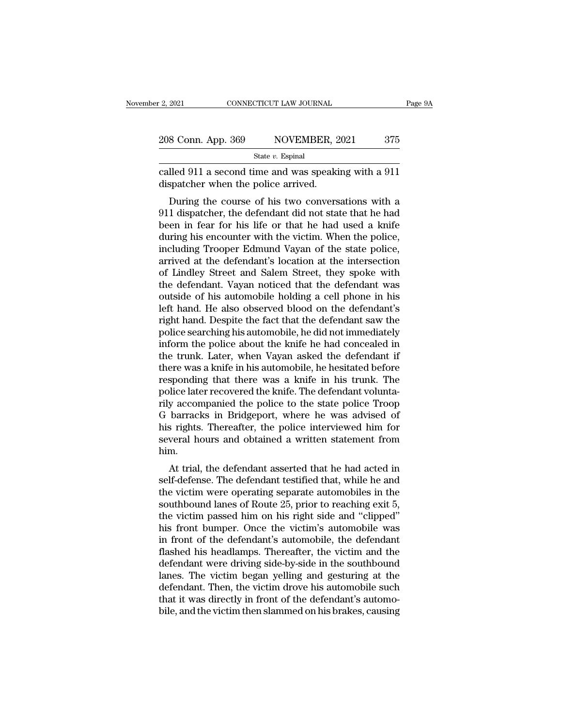2, 2021 CONNECTICUT LAW JOURNAL Page 9A<br>
208 Conn. App. 369 NOVEMBER, 2021 375<br>
State v. Espinal<br>
called 911 a second time and was speaking with a 911<br>
dispatcher when the police arrived. 208 Conn. App. 369 NOVEMBER, 2<br>
State v. Espinal<br>
called 911 a second time and was speakid<br>
dispatcher when the police arrived.<br>
During the course of his two convers

 $\frac{\text{S} \text{Conn. App. 369}}{\text{State } v. \text{ Espinal}}$ <br>
During the second time and was speaking with a 911<br>
Spatcher when the police arrived.<br>
During the course of his two conversations with a 1 dispatcher, the defendant did not state that h 208 Conn. App. 369 NOVEMBER, 2021 375<br>
State v. Espinal<br>
called 911 a second time and was speaking with a 911<br>
dispatcher when the police arrived.<br>
During the course of his two conversations with a<br>
911 dispatcher, the de State v. Espinal<br>
called 911 a second time and was speaking with a 911<br>
dispatcher when the police arrived.<br>
During the course of his two conversations with a<br>
911 dispatcher, the defendant did not state that he had<br>
been called 911 a second time and was speaking with a 911<br>dispatcher when the police arrived.<br>During the course of his two conversations with a<br>911 dispatcher, the defendant did not state that he had<br>been in fear for his life o called 911 a second thre and was speaking with a 911<br>dispatcher when the police arrived.<br>During the course of his two conversations with a<br>911 dispatcher, the defendant did not state that he had<br>been in fear for his life o During the course of his two conversations with a<br>911 dispatcher, the defendant did not state that he had<br>been in fear for his life or that he had used a knife<br>during his encounter with the victim. When the police,<br>includi During the course of his two conversations with a<br>911 dispatcher, the defendant did not state that he had<br>been in fear for his life or that he had used a knife<br>during his encounter with the victim. When the police,<br>includi 911 dispatcher, the defendant did not state that he had<br>been in fear for his life or that he had used a knife<br>during his encounter with the victim. When the police,<br>including Trooper Edmund Vayan of the state police,<br>arriv been in fear for his life or that he had used a knife<br>during his encounter with the victim. When the police,<br>including Trooper Edmund Vayan of the state police,<br>arrived at the defendant's location at the intersection<br>of Li during his encounter with the victim. When the police,<br>including Trooper Edmund Vayan of the state police,<br>arrived at the defendant's location at the intersection<br>of Lindley Street and Salem Street, they spoke with<br>the def including Trooper Edmund Vayan of the state police,<br>arrived at the defendant's location at the intersection<br>of Lindley Street and Salem Street, they spoke with<br>the defendant. Vayan noticed that the defendant was<br>outside of arrived at the defendant's location at the intersection<br>of Lindley Street and Salem Street, they spoke with<br>the defendant. Vayan noticed that the defendant was<br>outside of his automobile holding a cell phone in his<br>left han of Lindley Street and Salem Street, they spoke with<br>the defendant. Vayan noticed that the defendant was<br>outside of his automobile holding a cell phone in his<br>left hand. He also observed blood on the defendant's<br>right hand. the defendant. Vayan noticed that the defendant was<br>outside of his automobile holding a cell phone in his<br>left hand. He also observed blood on the defendant's<br>right hand. Despite the fact that the defendant saw the<br>police outside of his automobile holding a cell phone in his<br>left hand. He also observed blood on the defendant's<br>right hand. Despite the fact that the defendant saw the<br>police searching his automobile, he did not immediately<br>inf left hand. He also observed blood on the defendant's<br>right hand. Despite the fact that the defendant saw the<br>police searching his automobile, he did not immediately<br>inform the police about the knife he had concealed in<br>the right hand. Despite the fact that the defendant saw the police searching his automobile, he did not immediately inform the police about the knife he had concealed in the trunk. Later, when Vayan asked the defendant if ther police searching his automobile, he did not immediately<br>inform the police about the knife he had concealed in<br>the trunk. Later, when Vayan asked the defendant if<br>there was a knife in his automobile, he hesitated before<br>res inform the police about the knife he had concealed in<br>the trunk. Later, when Vayan asked the defendant if<br>there was a knife in his automobile, he hesitated before<br>responding that there was a knife in his trunk. The<br>police the trunk. Later, when Vayan asked the defendant if<br>there was a knife in his automobile, he hesitated before<br>responding that there was a knife in his trunk. The<br>police later recovered the knife. The defendant volunta-<br>rily there was a knife in his automobile, he hesitated before<br>responding that there was a knife in his trunk. The<br>police later recovered the knife. The defendant volunta-<br>rily accompanied the police to the state police Troop<br>G him. Fince later recovered the Kille. The defendant volumes-<br>y accompanied the police to the state police Troop<br>barracks in Bridgeport, where he was advised of<br>s rights. Thereafter, the police interviewed him for<br>veral hours an Iny accompanied the police to the state police Hoop<br>G barracks in Bridgeport, where he was advised of<br>his rights. Thereafter, the police interviewed him for<br>several hours and obtained a written statement from<br>him.<br>At trial

The variation is right. Thereafter, the police interviewed him for<br>several hours and obtained a written statement from<br>him.<br>At trial, the defendant asserted that he had acted in<br>self-defense. The defendant testified that, solutions and obtained a written statement from<br>several hours and obtained a written statement from<br>him.<br>At trial, the defendant asserted that he had acted in<br>self-defense. The defendant testified that, while he and<br>the vi several hours and obtained a written statement from<br>him.<br>At trial, the defendant asserted that he had acted in<br>self-defense. The defendant testified that, while he and<br>the victim were operating separate automobiles in the<br> At trial, the defendant asserted that he had acted in<br>self-defense. The defendant testified that, while he and<br>the victim were operating separate automobiles in the<br>southbound lanes of Route 25, prior to reaching exit 5,<br>t At trial, the defendant asserted that he had acted in<br>self-defense. The defendant testified that, while he and<br>the victim were operating separate automobiles in the<br>southbound lanes of Route 25, prior to reaching exit 5,<br>t self-defense. The defendant testified that, while he and<br>the victim were operating separate automobiles in the<br>southbound lanes of Route 25, prior to reaching exit 5,<br>the victim passed him on his right side and "clipped"<br>h the victim were operating separate automobiles in the southbound lanes of Route 25, prior to reaching exit 5, the victim passed him on his right side and "clipped" his front bumper. Once the victim's automobile was in fron southbound lanes of Route 25, prior to reaching exit 5,<br>the victim passed him on his right side and "clipped"<br>his front bumper. Once the victim's automobile was<br>in front of the defendant's automobile, the defendant<br>flashed the victim passed him on his right side and "clipped"<br>his front bumper. Once the victim's automobile was<br>in front of the defendant's automobile, the defendant<br>flashed his headlamps. Thereafter, the victim and the<br>defendant his front bumper. Once the victim's automobile was<br>in front of the defendant's automobile, the defendant<br>flashed his headlamps. Thereafter, the victim and the<br>defendant were driving side-by-side in the southbound<br>lanes. Th in front of the defendant's automobile, the defendant flashed his headlamps. Thereafter, the victim and the defendant were driving side-by-side in the southbound lanes. The victim began yelling and gesturing at the defenda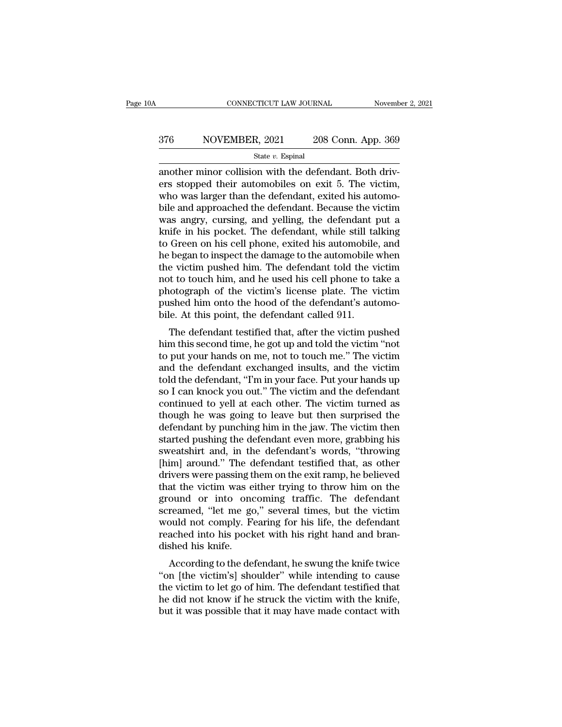# EXECUTE CONNECTICUT LAW JOURNAL Movember 2, 2021<br>376 NOVEMBER, 2021 208 Conn. App. 369<br>5tate v. Espinal

State *v.* Espinal

 $\begin{array}{r|l} \hline \text{COMNETICUT LAW JOURNAL} \text{ November} & \text{Now} \ \hline \text{State } v. \text{ Espinal} \ \hline \text{State } v. \text{ Espinal} \ \hline \text{another minor collision with the defendant. Both drivers stopped their automobiles on exit 5. The victim, who was larger than the defendant, exited his outcome.} \end{array}$ ers S76 NOVEMBER, 2021 208 Conn. App. 369<br>
State v. Espinal<br>
another minor collision with the defendant. Both drivers<br>
stopped their automobiles on exit 5. The victim,<br>
who was larger than the defendant, exited his automo  $\frac{\text{376}}{\text{State } v. \text{ Espinal}}$  208 Conn. App. 369<br>  $\frac{\text{State } v. \text{ Espinal}}{\text{another minor collision with the defendant. Both drivers stopped their automobiles on exit 5. The victim, who was larger than the defendant, exited his automobile and approached the defendant. Because the victim, was apart, cursing, and willing, the department, put a$  $\frac{\text{State } v. \text{ Espinal}}{\text{state } v. \text{ Espinal}}$ <br>  $\frac{\text{State } v. \text{ Espinal}}{\text{another minor collision with the defendant. Both drivers stopped their automobiles on exit 5. The victim, who was larger than the defendant, exited his automobile and approached the defendant. Because the victim was angry, cursing, and yellow, the defendant put a brief, in his pocket. The defendant, while still telling$ State v. Espinal<br>
State v. Espinal<br>
another minor collision with the defendant. Both driv-<br>
ers stopped their automobiles on exit 5. The victim,<br>
who was larger than the defendant, exited his automo-<br>
bile and approached state v. Espinal<br>another minor collision with the defendant. Both driv-<br>ers stopped their automobiles on exit 5. The victim,<br>who was larger than the defendant, exited his automo-<br>bile and approached the defendant. Because another minor collision with the defendant. Both drivers stopped their automobiles on exit 5. The victim,<br>who was larger than the defendant, exited his automobile and approached the defendant. Because the victim<br>was angry, ers stopped their automobiles on exit 5. The victim,<br>who was larger than the defendant, exited his automo-<br>bile and approached the defendant. Because the victim<br>was angry, cursing, and yelling, the defendant put a<br>knife in who was larger than the defendant, exited his automobile and approached the defendant. Because the victim<br>was angry, cursing, and yelling, the defendant put a<br>knife in his pocket. The defendant, while still talking<br>to Gree bile and approached the defendant. Because the victim<br>was angry, cursing, and yelling, the defendant put a<br>knife in his pocket. The defendant, while still talking<br>to Green on his cell phone, exited his automobile, and<br>he b was angry, cursing, and yelling, the defendant put a<br>knife in his pocket. The defendant, while still talking<br>to Green on his cell phone, exited his automobile, and<br>he began to inspect the damage to the automobile when<br>the knife in his pocket. The defendant, while still talking<br>to Green on his cell phone, exited his automobile, and<br>he began to inspect the damage to the automobile when<br>the victim pushed him. The defendant told the victim<br>not to Green on his cell phone, exited his automobile<br>he began to inspect the damage to the automobile<br>the victim pushed him. The defendant told the v<br>not to touch him, and he used his cell phone to ta<br>photograph of the victim The victim pushed him. The defendant told the victim<br>t to touch him, and he used his cell phone to take a<br>lotograph of the victim's license plate. The victim<br>shed him onto the hood of the defendant's automo-<br>le. At this po the victim pushed nint. The defendant told the victim<br>not to touch him, and he used his cell phone to take a<br>photograph of the victim's license plate. The victim<br>pushed him onto the hood of the defendant's automo-<br>bile. At

Frot to touch film, and he used fils cen phone to take a<br>photograph of the victim's license plate. The victim<br>pushed him onto the hood of the defendant's automo-<br>bile. At this point, the defendant called 911.<br>The defendant photograph of the victim's ficense plate. The victim<br>pushed him onto the hood of the defendant's automo-<br>bile. At this point, the defendant called 911.<br>The defendant testified that, after the victim pushed<br>him this second pushed film onto the hood of the defendant s automobile. At this point, the defendant called 911.<br>The defendant testified that, after the victim pushed him this second time, he got up and told the victim "not<br>to put your h one. At this point, the defendant called 911.<br>The defendant testified that, after the victim pushed<br>him this second time, he got up and told the victim "not<br>to put your hands on me, not to touch me." The victim<br>and the def The defendant testified that, after the victim pushed<br>him this second time, he got up and told the victim "not<br>to put your hands on me, not to touch me." The victim<br>and the defendant exchanged insults, and the victim<br>told him this second time, he got up and told the victim "not<br>to put your hands on me, not to touch me." The victim<br>and the defendant exchanged insults, and the victim<br>told the defendant, "I'm in your face. Put your hands up<br>so to put your hands on me, not to touch me." The victim<br>and the defendant exchanged insults, and the victim<br>told the defendant, "I'm in your face. Put your hands up<br>so I can knock you out." The victim and the defendant<br>conti and the defendant exchanged insults, and the victim<br>told the defendant, "I'm in your face. Put your hands up<br>so I can knock you out." The victim and the defendant<br>continued to yell at each other. The victim turned as<br>thoug told the defendant, "I'm in your face. Put your hands up<br>so I can knock you out." The victim and the defendant<br>continued to yell at each other. The victim turned as<br>though he was going to leave but then surprised the<br>defen so I can knock you out." The victim and the defendant<br>continued to yell at each other. The victim turned as<br>though he was going to leave but then surprised the<br>defendant by punching him in the jaw. The victim then<br>started continued to yell at each other. The victim turned as<br>though he was going to leave but then surprised the<br>defendant by punching him in the jaw. The victim then<br>started pushing the defendant even more, grabbing his<br>sweatshi though he was going to leave but then surprised the<br>defendant by punching him in the jaw. The victim then<br>started pushing the defendant even more, grabbing his<br>sweatshirt and, in the defendant's words, "throwing<br>[him] arou defendant by punching him in the jaw. The victim then<br>started pushing the defendant even more, grabbing his<br>sweatshirt and, in the defendant's words, "throwing<br>[him] around." The defendant testified that, as other<br>drivers started pushing the defendant even more, grabbing his<br>sweatshirt and, in the defendant's words, "throwing<br>[him] around." The defendant testified that, as other<br>drivers were passing them on the exit ramp, he believed<br>that t sweatshirt and, in the defendant's words, "throwing<br>[him] around." The defendant testified that, as other<br>drivers were passing them on the exit ramp, he believed<br>that the victim was either trying to throw him on the<br>ground [him] around." The defendant testified that, as other drivers were passing them on the exit ramp, he believed that the victim was either trying to throw him on the ground or into oncoming traffic. The defendant screamed, " drivers were passing that the victim was expound or into onconscreamed, "let me gc would not comply. Feind the process dished his knife.<br>According to the designation of the space dished his knife. at the victint was entier trying to throw nint on the<br>ound or into oncoming traffic. The defendant<br>reamed, "let me go," several times, but the victim<br>puld not comply. Fearing for his life, the defendant<br>ached into his pock ground of into oncoming traint. The defendant<br>screamed, "let me go," several times, but the victim<br>would not comply. Fearing for his life, the defendant<br>reached into his pocket with his right hand and bran-<br>dished his knif

screamed, the metals, several times, but the victim<br>would not comply. Fearing for his life, the defendant<br>reached into his pocket with his right hand and bran-<br>dished his knife.<br>According to the defendant, he swung the kni would not comply. Fearing for his life, the defendant reached into his pocket with his right hand and bran-<br>dished his knife.<br>According to the defendant, he swung the knife twice<br>"on [the victim's] shoulder" while intendin reached into his pocket with his right hand and bran-<br>dished his knife.<br>According to the defendant, he swung the knife twice<br>"on [the victim's] shoulder" while intending to cause<br>the victim to let go of him. The defendant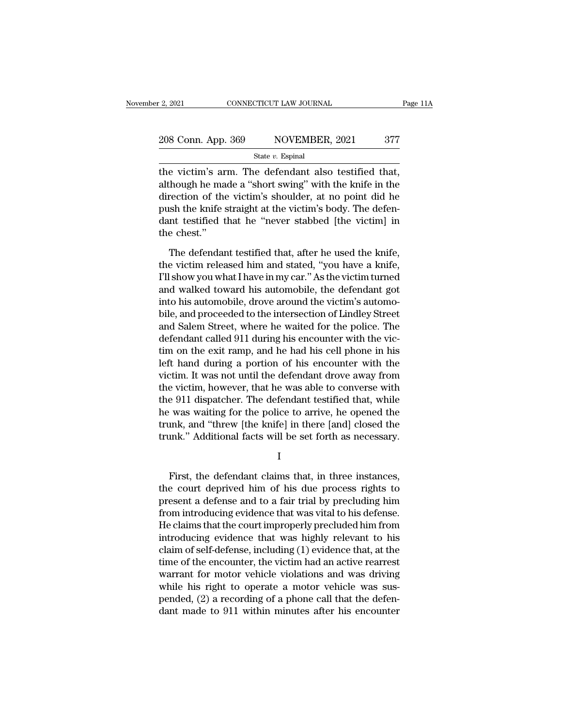# 2, 2021 CONNECTICUT LAW JOURNAL Page 11A<br>
208 Conn. App. 369 NOVEMBER, 2021 377<br>
State v. Espinal

State *v.* Espinal

Eq. 2021 CONNECTICUT LAW JOURNAL Page 1<br>
208 Conn. App. 369 NOVEMBER, 2021 377<br>
State v. Espinal<br>
the victim's arm. The defendant also testified that,<br>
although he made a "short swing" with the knife in the<br>
direction of 208 Conn. App. 369 NOVEMBER, 2021 377<br>
State v. Espinal<br>
the victim's arm. The defendant also testified that,<br>
although he made a "short swing" with the knife in the<br>
direction of the victim's shoulder, at no point did he 208 Conn. App. 369 NOVEMBER, 2021 377<br>
State v. Espinal<br>
the victim's arm. The defendant also testified that,<br>
although he made a "short swing" with the knife in the<br>
direction of the victim's shoulder, at no point did he 208 Conn. App. 369 NOVEMBER, 2021 377<br>
State v. Espinal<br>
the victim's arm. The defendant also testified that,<br>
although he made a "short swing" with the knife in the<br>
direction of the victim's shoulder, at no point did he State  $v$ . Espinal<br>the victim's arm. The defendant also testified that,<br>although he made a "short swing" with the knife in the<br>direction of the victim's shoulder, at no point did he<br>push the knife straight at the victim's the victim's areal<br>though he madirection of the<br>push the knife s<br>dant testified t<br>the chest.''<br>The defendar though he made a "short swing" with the knife in the rection of the victim's shoulder, at no point did he ush the knife straight at the victim's body. The defen-<br>nt testified that he "never stabbed [the victim] in e chest. direction of the victim's shoulder, at no point did he<br>push the knife straight at the victim's body. The defen-<br>dant testified that he "never stabbed [the victim] in<br>the chest."<br>The defendant testified that, after he used

push the knife straight at the victim's body. The defendant testified that he "never stabbed [the victim] in the chest."<br>The defendant testified that, after he used the knife, the victim released him and stated, "you have dant testified that he "never stabbed [the victim] in<br>the chest."<br>The defendant testified that, after he used the knife,<br>the victim released him and stated, "you have a knife,<br>I'll show you what I have in my car." As the v the chest."<br>The defendant testified that, after he used the knife,<br>the victim released him and stated, "you have a knife,<br>I'll show you what I have in my car." As the victim turned<br>and walked toward his automobile, the def The defendant testified that, after he used the knife,<br>the victim released him and stated, "you have a knife,<br>I'll show you what I have in my car." As the victim turned<br>and walked toward his automobile, the defendant got<br>i The defendant testified that, after he used the knife,<br>the victim released him and stated, "you have a knife,<br>I'll show you what I have in my car." As the victim turned<br>and walked toward his automobile, the defendant got<br>i the victim released him and stated, "you have a knife,<br>I'll show you what I have in my car." As the victim turned<br>and walked toward his automobile, the defendant got<br>into his automobile, drove around the victim's automo-<br>b I'll show you what I have in my car." As the victim turned<br>and walked toward his automobile, the defendant got<br>into his automobile, drove around the victim's automo-<br>bile, and proceeded to the intersection of Lindley Stree and walked toward his automobile, the defendant got<br>into his automobile, drove around the victim's automo-<br>bile, and proceeded to the intersection of Lindley Street<br>and Salem Street, where he waited for the police. The<br>def into his automobile, drove around the victim's automobile, and proceeded to the intersection of Lindley Street<br>and Salem Street, where he waited for the police. The<br>defendant called 911 during his encounter with the vic-<br>t bile, and proceeded to the intersection of Lindley Street<br>and Salem Street, where he waited for the police. The<br>defendant called 911 during his encounter with the vic-<br>tim on the exit ramp, and he had his cell phone in his and Salem Street, where he waited for the police. The<br>defendant called 911 during his encounter with the vic-<br>tim on the exit ramp, and he had his cell phone in his<br>left hand during a portion of his encounter with the<br>vict defendant called 911 during his encounter with the victim on the exit ramp, and he had his cell phone in his<br>left hand during a portion of his encounter with the<br>victim. It was not until the defendant drove away from<br>the v tim on the exit ramp, and he had his cell phone in his<br>left hand during a portion of his encounter with the<br>victim. It was not until the defendant drove away from<br>the victim, however, that he was able to converse with<br>the left hand during a portion of his encounter with the<br>victim. It was not until the defendant drove away from<br>the victim, however, that he was able to converse with<br>the 911 dispatcher. The defendant testified that, while<br>he First, the defense and to a fair trial by mealuding bine<br>exact that, and "threw [the knife] in there [and] closed the<br>unk." Additional facts will be set forth as necessary.<br>I<br>First, the defendant claims that, in three inst

I

the was watting for the police to arrive, he opened the<br>trunk, and "threw [the knife] in there [and] closed the<br>trunk." Additional facts will be set forth as necessary.<br>I<br>First, the defendant claims that, in three instance present a defendant claims that, in three instances,<br>the court deprived him of his due process rights to<br>present a defense and to a fair trial by precluding him<br>from introducing evidence that was vital to his defense.<br>He c First, the defendant claims that, in three instances,<br>
I<br>
First, the defendant claims that, in three instances,<br>
the court deprived him of his due process rights to<br>
present a defense and to a fair trial by precluding him<br> I<br>
First, the defendant claims that, in three instances,<br>
the court deprived him of his due process rights to<br>
present a defense and to a fair trial by precluding him<br>
from introducing evidence that was vital to his defens First, the defendant claims that, in three instances,<br>the court deprived him of his due process rights to<br>present a defense and to a fair trial by precluding him<br>from introducing evidence that was vital to his defense.<br>He First, the defendant claims that, in three instances,<br>the court deprived him of his due process rights to<br>present a defense and to a fair trial by precluding him<br>from introducing evidence that was vital to his defense.<br>He the court deprived him of his due process rights to<br>present a defense and to a fair trial by precluding him<br>from introducing evidence that was vital to his defense.<br>He claims that the court improperly precluded him from<br>in present a defense and to a fair trial by precluding him<br>from introducing evidence that was vital to his defense.<br>He claims that the court improperly precluded him from<br>introducing evidence that was highly relevant to his<br>c from introducing evidence that was vital to his defense.<br>He claims that the court improperly precluded him from<br>introducing evidence that was highly relevant to his<br>claim of self-defense, including (1) evidence that, at th He claims that the court improperly precluded him from<br>introducing evidence that was highly relevant to his<br>claim of self-defense, including (1) evidence that, at the<br>time of the encounter, the victim had an active rearres introducing evidence that was highly relevant to his<br>claim of self-defense, including (1) evidence that, at the<br>time of the encounter, the victim had an active rearrest<br>warrant for motor vehicle violations and was driving<br>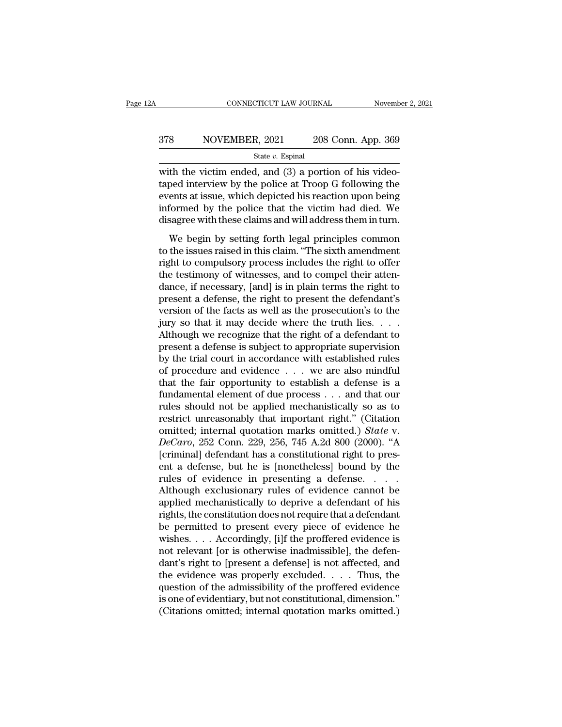# EXECUTE CONNECTICUT LAW JOURNAL Movember 2, 2021<br>378 NOVEMBER, 2021 208 Conn. App. 369<br>5tate v. Espinal

State *v.* Espinal

CONNECTICUT LAW JOURNAL November November 1993<br>
State v. Espinal<br>
State v. Espinal<br>
With the victim ended, and (3) a portion of his video-<br>
taped interview by the police at Troop G following the<br>
exports at issue, which d 378 NOVEMBER, 2021 208 Conn. App. 369<br>  $\frac{\text{State } v. \text{ Espinal}}{\text{state } v. \text{ Espinal}}$ <br>
with the victim ended, and (3) a portion of his video-<br>
taped interview by the police at Troop G following the<br>
events at issue, which depicted his re ST8 NOVEMBER, 2021 208 Conn. App. 369<br>
State v. Espinal<br>
with the victim ended, and (3) a portion of his video-<br>
taped interview by the police at Troop G following the<br>
events at issue, which depicted his reaction upon be 378 NOVEMBER, 2021 208 Conn. App. 369<br>  $\frac{\text{State } v. \text{ Espinal}}{\text{with the victim ended, and (3) a portion of his video-}\text{taped interview by the police at Troop G following the events at issue, which depicted his reaction upon being informed by the police that the victim had died. We disagree with these claims and will address them in turn.$ State *v*. Espinal<br>state *v*. Espinal<br>with the victim ended, and (3) a portion of his video-<br>taped interview by the police at Troop G following the<br>events at issue, which depicted his reaction upon being<br>informed by the p th the victim ended, and (3) a portion of his video-<br>ped interview by the police at Troop G following the<br>ents at issue, which depicted his reaction upon being<br>formed by the police that the victim had died. We<br>sagree with the interview by the police at Troop G following the<br>events at issue, which depicted his reaction upon being<br>informed by the police that the victim had died. We<br>disagree with these claims and will address them in turn.<br>We

right and the right of the police that the victim had died. We<br>disagree with these claims and will address them in turn.<br>We begin by setting forth legal principles common<br>to the issues raised in this claim. "The sixth amen the testimony of which depleted its reaction apon being<br>informed by the police that the victim had died. We<br>disagree with these claims and will address them in turn.<br>We begin by setting forth legal principles common<br>to the disagree with these claims and will address them in turn.<br>We begin by setting forth legal principles common<br>to the issues raised in this claim. "The sixth amendment<br>right to compulsory process includes the right to offer<br>t We begin by setting forth legal principles common<br>to the issues raised in this claim. "The sixth amendment<br>right to compulsory process includes the right to offer<br>the testimony of witnesses, and to compel their atten-<br>danc We begin by setting forth legal principles common<br>to the issues raised in this claim. "The sixth amendment<br>right to compulsory process includes the right to offer<br>the testimony of witnesses, and to compel their atten-<br>danc to the issues raised in this claim. "The sixth amendment<br>right to compulsory process includes the right to offer<br>the testimony of witnesses, and to compel their atten-<br>dance, if necessary, [and] is in plain terms the right right to compulsory process includes the right to offer<br>the testimony of witnesses, and to compel their atten-<br>dance, if necessary, [and] is in plain terms the right to<br>present a defense, the right to present the defendant the testimony of witnesses, and to compel their atten-<br>dance, if necessary, [and] is in plain terms the right to<br>present a defense, the right to present the defendant's<br>version of the facts as well as the prosecution's to dance, if necessary, [and] is in plain terms the right to<br>present a defense, the right to present the defendant's<br>version of the facts as well as the prosecution's to the<br>jury so that it may decide where the truth lies. present a defense, the right to present the defendant's<br>version of the facts as well as the prosecution's to the<br>jury so that it may decide where the truth lies. . . .<br>Although we recognize that the right of a defendant t version of the facts as well as the prosecution's to the<br>jury so that it may decide where the truth lies. . . .<br>Although we recognize that the right of a defendant to<br>present a defense is subject to appropriate supervisio jury so that it may decide where the truth lies. . . . .<br>Although we recognize that the right of a defendant to<br>present a defense is subject to appropriate supervision<br>by the trial court in accordance with established rul Although we recognize that the right of a defendant to<br>present a defense is subject to appropriate supervision<br>by the trial court in accordance with established rules<br>of procedure and evidence  $\dots$  we are also mindful<br>tha present a defense is subject to appropriate supervision<br>by the trial court in accordance with established rules<br>of procedure and evidence . . . we are also mindful<br>that the fair opportunity to establish a defense is a<br>fun by the trial court in accordance with established rules<br>of procedure and evidence . . . we are also mindful<br>that the fair opportunity to establish a defense is a<br>fundamental element of due process . . . and that our<br>rules of procedure and evidence . . . . we are also mindful<br>that the fair opportunity to establish a defense is a<br>fundamental element of due process . . . and that our<br>rules should not be applied mechanistically so as to<br>restric that the fair opportunity to establish a defense is a fundamental element of due process . . . and that our rules should not be applied mechanistically so as to restrict unreasonably that important right." (Citation omitt fundamental element of due process . . . and that our<br>rules should not be applied mechanistically so as to<br>restrict unreasonably that important right." (Citation<br>omitted; internal quotation marks omitted.) *State* v.<br> $DeCaro$ rules should not be applied mechanistically so as to<br>restrict unreasonably that important right." (Citation<br>omitted; internal quotation marks omitted.) *State* v.<br>*DeCaro*, 252 Conn. 229, 256, 745 A.2d 800 (2000). "A<br>[crim restrict unreasonably that important right." (Citation<br>
omitted; internal quotation marks omitted.) *State* v.<br> *DeCaro*, 252 Conn. 229, 256, 745 A.2d 800 (2000). "A<br>
[criminal] defendant has a constitutional right to pre omitted; internal quotation marks omitted.) *State* v.<br> *DeCaro*, 252 Conn. 229, 256, 745 A.2d 800 (2000). "A<br>
[criminal] defendant has a constitutional right to pres-<br>
ent a defense, but he is [nonetheless] bound by the<br> DeCaro, 252 Conn. 229, 256, 745 A.2d 800 (2000). "A<br>[criminal] defendant has a constitutional right to pres-<br>ent a defense, but he is [nonetheless] bound by the<br>rules of evidence in presenting a defense. . . . .<br>Although [criminal] defendant has a constitutional right to present a defense, but he is [nonetheless] bound by the rules of evidence in presenting a defense. . . . . Although exclusionary rules of evidence cannot be applied mechan ent a defense, but he is [nonetheless] bound by the<br>rules of evidence in presenting a defense. . . . .<br>Although exclusionary rules of evidence cannot be<br>applied mechanistically to deprive a defendant of his<br>rights, the con rules of evidence in presenting a defense. . . . . .<br>Although exclusionary rules of evidence cannot be<br>applied mechanistically to deprive a defendant of his<br>rights, the constitution does not require that a defendant<br>be per Although exclusionary rules of evidence cannot be<br>applied mechanistically to deprive a defendant of his<br>rights, the constitution does not require that a defendant<br>be permitted to present every piece of evidence he<br>wishes.. applied mechanistically to deprive a defendant of his<br>rights, the constitution does not require that a defendant<br>be permitted to present every piece of evidence he<br>wishes. . . . Accordingly, [i]f the proffered evidence is<br> rights, the constitution does not require that a defendant<br>be permitted to present every piece of evidence he<br>wishes.... Accordingly, [i]f the proffered evidence is<br>not relevant [or is otherwise inadmissible], the defen-<br> be permitted to present every piece of evidence he<br>wishes....Accordingly, [i]f the proffered evidence is<br>not relevant [or is otherwise inadmissible], the defen-<br>dant's right to [present a defense] is not affected, and<br>the wishes. . . . Accordingly, [i]f the proffered evidence is<br>not relevant [or is otherwise inadmissible], the defen-<br>dant's right to [present a defense] is not affected, and<br>the evidence was properly excluded. . . . Thus, th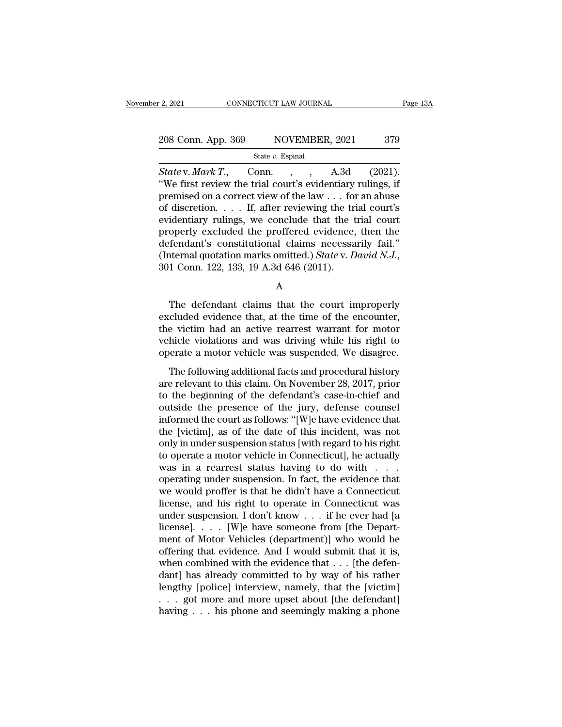| 2, 2021            | CONNECTICUT LAW JOURNAL |     | Page 13A |
|--------------------|-------------------------|-----|----------|
|                    |                         |     |          |
| 208 Conn. App. 369 | NOVEMBER, 2021          | 379 |          |
|                    | State $v$ . Espinal     |     |          |

*State* v. *Mark T*., Conn. , , A.3d (2021).<br>
State v. *Mark T*., Conn. , , A.3d (2021).<br>
State v. *Mark T*., Conn. , , A.3d (2021).<br>
State first review the trial court's evidentiary rulings, if <sup>208</sup> Conn. App. 369 NOVEMBER, 2021 379<br>
<sup>State v</sup>. Mark T., Conn. , , A.3d (2021).<br>
"We first review the trial court's evidentiary rulings, if<br>
premised on a correct view of the law . . . for an abuse<br>
of discretion if a 208 Conn. App. 369 NOVEMBER, 2021 379<br>
State v. Mark T., Conn. , , A.3d (2021).<br>
"We first review the trial court's evidentiary rulings, if<br>
premised on a correct view of the law . . . for an abuse<br>
of discretion. . . . I 208 Conn. App. 369 NOVEMBER, 2021 379<br>
State v. Mark T., Conn. , , A.3d (2021).<br>
"We first review the trial court's evidentiary rulings, if<br>
premised on a correct view of the law . . . for an abuse<br>
of discretion. . . . I State v. Mark T., Conn., A.3d (2021).<br>
"We first review the trial court's evidentiary rulings, if<br>
premised on a correct view of the law ... for an abuse<br>
of discretion.... If, after reviewing the trial court's<br>
evidentia State v. Mark T., Conn., , , A.3d (2021).<br>
"We first review the trial court's evidentiary rulings, if<br>
premised on a correct view of the law . . . for an abuse<br>
of discretion.... If, after reviewing the trial court's<br>
evi State v. Mark T., Conn., , A.3d (2021).<br>
"We first review the trial court's evidentiary rulings, if<br>
premised on a correct view of the law . . . for an abuse<br>
of discretion.... If, after reviewing the trial court's<br>
evide "We first review the trial court's evidentiary rulings, if<br>premised on a correct view of the law  $\ldots$  for an abuse<br>of discretion.  $\ldots$  If, after reviewing the trial court's<br>evidentiary rulings, we conclude that the tria operly excluded the proffered evidence, then the<br>fendant's constitutional claims necessarily fail."<br>ternal quotation marks omitted.) State v. David N.J.,<br>1 Conn. 122, 133, 19 A.3d 646 (2011).<br>A<br>The defendant claims that t

A

defendant's constitutional claims necessarily fail."<br>
(Internal quotation marks omitted.) *State v. David N.J.*,<br>
301 Conn. 122, 133, 19 A.3d 646 (2011).<br>
A<br>
The defendant claims that the court improperly<br>
excluded eviden (Internal quotation marks omitted.) *State v. David N.J.*,<br>301 Conn. 122, 133, 19 A.3d 646 (2011).<br>A<br>The defendant claims that the court improperly<br>excluded evidence that, at the time of the encounter,<br>the victim had an a 301 Conn. 122, 133, 19 A.3d 646 (2011).<br>
A<br>
The defendant claims that the court improperly<br>
excluded evidence that, at the time of the encounter,<br>
the victim had an active rearrest warrant for motor<br>
vehicle violations and A<br>
The defendant claims that the court improperly<br>
excluded evidence that, at the time of the encounter,<br>
the victim had an active rearrest warrant for motor<br>
vehicle violations and was driving while his right to<br>
operate The defendant claims that the court improperly<br>cluded evidence that, at the time of the encounter,<br>e victim had an active rearrest warrant for motor<br>hicle violations and was driving while his right to<br>erate a motor vehicle rice decidually claims that the court improperty<br>excluded evidence that, at the time of the encounter,<br>the victim had an active rearrest warrant for motor<br>vehicle violations and was driving while his right to<br>operate a mot

the victim had an active rearrest warrant for motor<br>vehicle violations and was driving while his right to<br>operate a motor vehicle was suspended. We disagree.<br>The following additional facts and procedural history<br>are releva vehicle violations and was driving while his right to<br>operate a motor vehicle was suspended. We disagree.<br>The following additional facts and procedural history<br>are relevant to this claim. On November 28, 2017, prior<br>to the vented violations and was arring while his right to<br>operate a motor vehicle was suspended. We disagree.<br>The following additional facts and procedural history<br>are relevant to this claim. On November 28, 2017, prior<br>to the b The following additional facts and procedural history<br>are relevant to this claim. On November 28, 2017, prior<br>to the beginning of the defendant's case-in-chief and<br>outside the presence of the jury, defense counsel<br>informed The following additional facts and procedural history<br>are relevant to this claim. On November 28, 2017, prior<br>to the beginning of the defendant's case-in-chief and<br>outside the presence of the jury, defense counsel<br>informed are relevant to this claim. On November 28, 2017, prior<br>to the beginning of the defendant's case-in-chief and<br>outside the presence of the jury, defense counsel<br>informed the court as follows: "[W]e have evidence that<br>the [v to the beginning of the defendant's case-in-chief and<br>outside the presence of the jury, defense counsel<br>informed the court as follows: "[W]e have evidence that<br>the [victim], as of the date of this incident, was not<br>only i outside the presence of the jury, defense counsel<br>informed the court as follows: "[W]e have evidence that<br>the [victim], as of the date of this incident, was not<br>only in under suspension status [with regard to his right<br>to informed the court as follows: "[W]e have evidence that<br>the [victim], as of the date of this incident, was not<br>only in under suspension status [with regard to his right<br>to operate a motor vehicle in Connecticut], he actua the [victim], as of the date of this incident, was not<br>only in under suspension status [with regard to his right<br>to operate a motor vehicle in Connecticut], he actually<br>was in a rearrest status having to do with . . .<br>ope only in under suspension status [with regard to his right<br>to operate a motor vehicle in Connecticut], he actually<br>was in a rearrest status having to do with . . .<br>operating under suspension. In fact, the evidence that<br>we to operate a motor vehicle in Connecticut], he actually<br>was in a rearrest status having to do with . . . .<br>operating under suspension. In fact, the evidence that<br>we would proffer is that he didn't have a Connecticut<br>licen was in a rearrest status having to do with . . .<br>operating under suspension. In fact, the evidence that<br>we would proffer is that he didn't have a Connecticut<br>license, and his right to operate in Connecticut was<br>under susp operating under suspension. In fact, the evidence that<br>we would proffer is that he didn't have a Connecticut<br>license, and his right to operate in Connecticut was<br>under suspension. I don't know  $\ldots$  if he ever had [a<br>lice we would proffer is that he didn't have a Connecticut<br>license, and his right to operate in Connecticut was<br>under suspension. I don't know . . . if he ever had [a<br>license]. . . . [W]e have someone from [the Depart-<br>ment of license, and his right to operate in Connecticut was<br>under suspension. I don't know . . . if he ever had [a<br>license]. . . . [W]e have someone from [the Depart-<br>ment of Motor Vehicles (department)] who would be<br>offering th under suspension. I don't know . . . if he ever had [a<br>license]. . . . [W]e have someone from [the Depart-<br>ment of Motor Vehicles (department)] who would be<br>offering that evidence. And I would submit that it is,<br>when comb license]. . . . . [W]e have someone from [the Department of Motor Vehicles (department)] who would be offering that evidence. And I would submit that it is, when combined with the evidence that . . . [the defendant] has a ment of Motor Vehicles (department)] who would be offering that evidence. And I would submit that it is, when combined with the evidence that  $\ldots$  [the defendant] has already committed to by way of his rather lengthy [po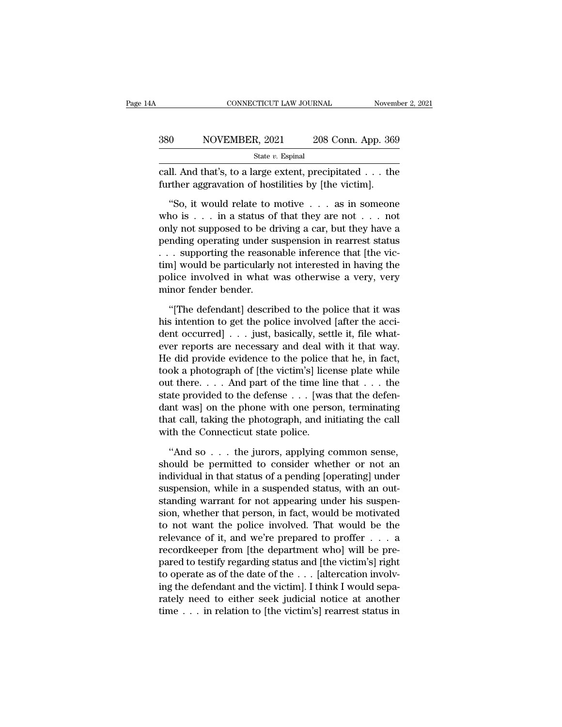#### EXECUTE CONNECTICUT LAW JOURNAL Movember 2, 2021<br>380 NOVEMBER, 2021 208 Conn. App. 369<br>380 State v. Espinal State *v.* Espinal CONNECTICUT LAW JOURNAL November 2, 2021<br>
S80 NOVEMBER, 2021 208 Conn. App. 369<br>
State v. Espinal<br>
Call. And that's, to a large extent, precipitated . . . the<br>
further aggravation of hostilities by [the victim]. Further aggravation of hostilities by [the victim].<br>
Solution of hostilities by [the victim].<br>
So, it would relate to motive  $\ldots$  as in someone

<sup>0</sup> NOVEMBER, 2021 208 Conn. App. 369<br>
<sup>State v. Espinal<br>
II. And that's, to a large extent, precipitated . . . the<br>
orther aggravation of hostilities by [the victim].<br>
"So, it would relate to motive . . . as in someone<br>
</sup> Sou NOVEWBER, 2021 208 CONIT. App. 309<br>
State v. Espinal<br>
call. And that's, to a large extent, precipitated . . . the<br>
further aggravation of hostilities by [the victim].<br>
"So, it would relate to motive . . . as in someon State v. Espinal<br>
call. And that's, to a large extent, precipitated . . . the<br>
further aggravation of hostilities by [the victim].<br>
"So, it would relate to motive . . . as in some<br>one who is . . . in a status of that they call. And that's, to a large extent, precipitated . . . the<br>further aggravation of hostilities by [the victim].<br>"So, it would relate to motive . . . as in someone<br>who is . . . in a status of that they are not . . . not<br>on further aggravation of hostilities by [the victim].<br>
"So, it would relate to motive . . . as in someone<br>
who is . . . in a status of that they are not . . . not<br>
only not supposed to be driving a car, but they have a<br>
pen "So, it would relate to motive  $\dots$  as in someone<br>who is  $\dots$  in a status of that they are not  $\dots$  not<br>only not supposed to be driving a car, but they have a<br>pending operating under suspension in rearrest status<br> $\dots$  sup "So, it would relate to motive . . . as in someone<br>who is . . . in a status of that they are not . . . not<br>only not supposed to be driving a car, but they have a<br>pending operating under suspension in rearrest status<br>. . . who is . . . in a status of<br>only not supposed to be d:<br>pending operating under s<br>. . . supporting the reason<br>tim] would be particularly<br>police involved in what v<br>minor fender bender.<br>"[The defendant] descril nding operating under suspension in rearrest status<br>
. supporting the reasonable inference that [the vic-<br>
n] would be particularly not interested in having the<br>
plice involved in what was otherwise a very, very<br>
inor fend  $\ldots$  supporting the reasonable inference that [the victor] would be particularly not interested in having the police involved in what was otherwise a very, very minor fender bender.<br>
"[The defendant] described to the pol

tim] would be particularly not interested in having the police involved in what was otherwise a very, very minor fender bender.<br>
"[The defendant] described to the police that it was his intention to get the police involve police involved in what was otherwise a very, very<br>minor fender bender.<br>"[The defendant] described to the police that it was<br>his intention to get the police involved [after the acci-<br>dent occurred] . . . just, basically, s minor fender bender.<br>
"[The defendant] described to the police that it was<br>
his intention to get the police involved [after the acci-<br>
dent occurred]  $\ldots$  just, basically, settle it, file what-<br>
ever reports are necessar "[The defendant] described to the police that it was<br>his intention to get the police involved [after the acci-<br>dent occurred] . . . just, basically, settle it, file what-<br>ever reports are necessary and deal with it that w "[The defendant] described to the police that it was<br>his intention to get the police involved [after the acci-<br>dent occurred] . . . just, basically, settle it, file what-<br>ever reports are necessary and deal with it that w his intention to get the police involved [after the accident occurred] . . . just, basically, settle it, file what-<br>ever reports are necessary and deal with it that way.<br>He did provide evidence to the police that he, in f dent occurred] . . . just, basically, settle it, file what-<br>ever reports are necessary and deal with it that way.<br>He did provide evidence to the police that he, in fact,<br>took a photograph of [the victim's] license plate wh ever reports are necessary and deal with it that way.<br>He did provide evidence to the police that he, in fact,<br>took a photograph of [the victim's] license plate while<br>out there.... And part of the time line that ... the<br>st He did provide evidence to the police took a photograph of [the victim's] lice<br>out there.... And part of the time lin<br>state provided to the defense ... [was<br>dant was] on the phone with one pers<br>that call, taking the photo the there  $\ldots$  . And part of the time line that  $\ldots$  the atte provided to the defense  $\ldots$  [was that the defen-<br>nt was] on the phone with one person, terminating at call, taking the photograph, and initiating the call<br> state provided to the defense . . . [was that the defen-<br>dant was] on the phone with one person, terminating<br>that call, taking the photograph, and initiating the call<br>with the Connecticut state police.<br>"And so . . . the ju

dant was] on the phone with one person, terminating<br>that call, taking the photograph, and initiating the call<br>with the Connecticut state police.<br>"And so . . . the jurors, applying common sense,<br>should be permitted to consi that call, taking the photograph, and initiating the call<br>with the Connecticut state police.<br>"And so . . . the jurors, applying common sense,<br>should be permitted to consider whether or not an<br>individual in that status of a with the Connecticut state police.<br>
"And so  $\ldots$  the jurors, applying common sense,<br>
should be permitted to consider whether or not an<br>
individual in that status of a pending [operating] under<br>
suspension, while in a sus "And so . . . the jurors, applying common sense,<br>should be permitted to consider whether or not an<br>individual in that status of a pending [operating] under<br>suspension, while in a suspended status, with an out-<br>standing wa "And so  $\dots$  the jurors, applying common sense,<br>should be permitted to consider whether or not an<br>individual in that status of a pending [operating] under<br>suspension, while in a suspended status, with an out-<br>standing war should be permitted to consider whether or not an individual in that status of a pending [operating] under suspension, while in a suspended status, with an out-<br>standing warrant for not appearing under his suspension, whe individual in that status of a pending [operating] under<br>suspension, while in a suspended status, with an out-<br>standing warrant for not appearing under his suspen-<br>sion, whether that person, in fact, would be motivated<br>to suspension, while in a suspended status, with an out-<br>standing warrant for not appearing under his suspen-<br>sion, whether that person, in fact, would be motivated<br>to not want the police involved. That would be the<br>relevanc standing warrant for not appearing under his suspension, whether that person, in fact, would be motivated to not want the police involved. That would be the relevance of it, and we're prepared to proffer  $\dots$  a recordkeep sion, whether that person, in fact, would be motivated<br>to not want the police involved. That would be the<br>relevance of it, and we're prepared to proffer . . . a<br>recordkeeper from [the department who] will be pre-<br>pared to to not want the police involved. That would be the relevance of it, and we're prepared to proffer . . . a recordkeeper from [the department who] will be prepared to testify regarding status and [the victim's] right to ope relevance of it, and we're prepared to proffer . . . a<br>recordkeeper from [the department who] will be pre-<br>pared to testify regarding status and [the victim's] right<br>to operate as of the date of the . . . [altercation inv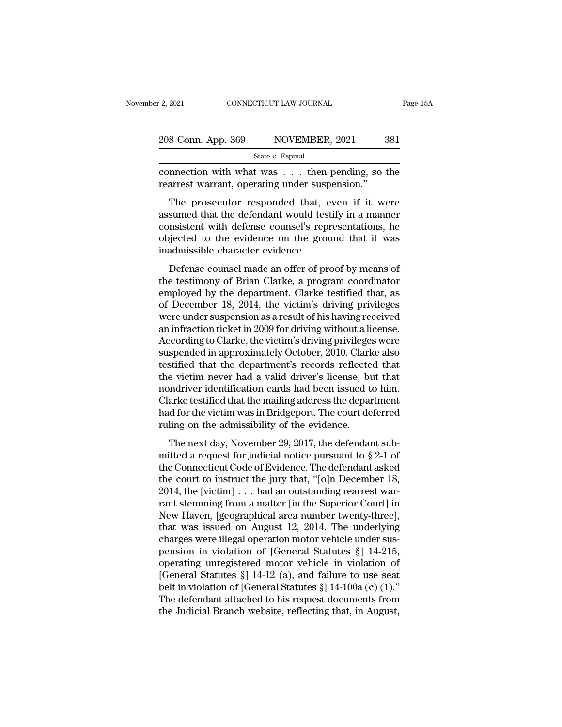| r 2, 2021          | CONNECTICUT LAW JOURNAL | Page 15A |
|--------------------|-------------------------|----------|
| 208 Conn. App. 369 | NOVEMBER, 2021          | 381      |
|                    | State $v$ . Espinal     |          |

Eq. 2021 CONNECTICUT LAW JOURNAL Page 15A<br>
208 Conn. App. 369 NOVEMBER, 2021 381<br>
State v. Espinal<br>
connection with what was . . . then pending, so the<br>
rearrest warrant, operating under suspension." 208 Conn. App. 369 NOVEMBER, 2021 3<br>
State v. Espinal<br>
connection with what was . . . then pending, so the rearrest warrant, operating under suspension.''<br>
The prosecutor responded that, even if it we

 $\frac{8 \text{ Conn. App. 369}}{\text{State } v. \text{ Espinal}}$ <br>  $\frac{\text{State } v. \text{ Espinal}}{\text{Therest warrant, operating under suspension."}}$ <br>
The prosecutor responded that, even if it were<br>
sumed that the defendant would testify in a manner<br>
meistent with defense counsel's representations be 208 Conn. App. 369 NOVEMBER, 2021 381<br>
State v. Espinal<br>
connection with what was . . . then pending, so the<br>
rearrest warrant, operating under suspension."<br>
The prosecutor responded that, even if it were<br>
assumed that th State v. Espinal<br>
connection with what was  $\dots$  then pending, so the<br>
rearrest warrant, operating under suspension."<br>
The prosecutor responded that, even if it were<br>
assumed that the defendant would testify in a manner<br>
c connection with what was . . . then pending, so the rearrest warrant, operating under suspension."<br>The prosecutor responded that, even if it were assumed that the defendant would testify in a manner consistent with defense rearrest warrant, operating under suspended that,<br>assumed that the defendant would tes<br>consistent with defense counsel's rep<br>objected to the evidence on the gro<br>inadmissible character evidence.<br>Defense counsel made an offe The prosecutor responded that, even if it were<br>sumed that the defendant would testify in a manner<br>msistent with defense counsel's representations, he<br>jected to the evidence on the ground that it was<br>admissible character ev The prosecutor responded that, even if a were<br>assumed that the defendant would testify in a manner<br>consistent with defense counsel's representations, he<br>objected to the evidence on the ground that it was<br>inadmissible chara

destance that the determining would testify in a mail.<br>
consistent with defense counsel's representations, he<br>
objected to the evidence on the ground that it was<br>
inadmissible character evidence.<br>
Defense counsel made an o of December 18, 2014, the victims without a license<br>weder of the structure of the sinadmissible character evidence.<br>Defense counsel made an offer of proof by means of<br>the testimony of Brian Clarke, a program coordinator<br>em inadmissible character evidence.<br>
Defense counsel made an offer of proof by means of<br>
the testimony of Brian Clarke, a program coordinator<br>
employed by the department. Clarke testified that, as<br>
of December 18, 2014, the v Defense counsel made an offer of proof by means of<br>the testimony of Brian Clarke, a program coordinator<br>employed by the department. Clarke testified that, as<br>of December 18, 2014, the victim's driving privileges<br>were under Defense counsel made an offer of proof by means of<br>the testimony of Brian Clarke, a program coordinator<br>employed by the department. Clarke testified that, as<br>of December 18, 2014, the victim's driving privileges<br>were under the testimony of Brian Clarke, a program coordinator<br>employed by the department. Clarke testified that, as<br>of December 18, 2014, the victim's driving privileges<br>were under suspension as a result of his having received<br>an i employed by the department. Clarke testified that, as<br>of December 18, 2014, the victim's driving privileges<br>were under suspension as a result of his having received<br>an infraction ticket in 2009 for driving without a licens of December 18, 2014, the victim's driving privileges<br>were under suspension as a result of his having received<br>an infraction ticket in 2009 for driving without a license.<br>According to Clarke, the victim's driving privilege were under suspension as a result of his having received<br>an infraction ticket in 2009 for driving without a license.<br>According to Clarke, the victim's driving privileges were<br>suspended in approximately October, 2010. Clark an infraction ticket in 2009 for driving without a license.<br>According to Clarke, the victim's driving privileges were<br>suspended in approximately October, 2010. Clarke also<br>testified that the department's records reflected According to Clarke, the victim's driving privileges were<br>suspended in approximately October, 2010. Clarke also<br>testified that the department's records reflected that<br>the victim never had a valid driver's license, but that suspended in approximately October, 2010. Clark<br>testified that the department's records reflecte<br>the victim never had a valid driver's license, bu<br>nondriver identification cards had been issued t<br>Clarke testified that the believe that the deparations is recorded that<br>e victim never had a valid driver's license, but that<br>mdriver identification cards had been issued to him.<br>arke testified that the mailing address the department<br>d for the vic mondriver identification cards had been issued to him.<br>Clarke testified that the mailing address the department<br>had for the victim was in Bridgeport. The court deferred<br>ruling on the admissibility of the evidence.<br>The nex

Clarke testified that the mailing address the department<br>had for the victim was in Bridgeport. The court deferred<br>ruling on the admissibility of the evidence.<br>The next day, November 29, 2017, the defendant sub-<br>mitted a r back of the victim was in Bridgeport. The court deferred<br>ruling on the admissibility of the evidence.<br>The next day, November 29, 2017, the defendant sub-<br>mitted a request for judicial notice pursuant to § 2-1 of<br>the Conne The next day, November 29, 2017, the defendant submitted a request for judicial notice pursuant to  $\S 2-1$  of the Connecticut Code of Evidence. The defendant asked the court to instruct the jury that, "[o]n December 18, 2 The next day, November 29, 2017, the defendant sub-<br>mitted a request for judicial notice pursuant to § 2-1 of<br>the Connecticut Code of Evidence. The defendant asked<br>the court to instruct the jury that, "[o]n December 18,<br>2 The next day, November 29, 2017, the defendant sub-<br>mitted a request for judicial notice pursuant to § 2-1 of<br>the Connecticut Code of Evidence. The defendant asked<br>the court to instruct the jury that, "[o]n December 18,<br>2 mitted a request for judicial notice pursuant to  $\S 2-1$  of<br>the Connecticut Code of Evidence. The defendant asked<br>the court to instruct the jury that, "[o]n December 18,<br>2014, the [victim] . . . had an outstanding rearres the Connecticut Code of Evidence. The defendant asked<br>the court to instruct the jury that, "[o]n December 18,<br>2014, the [victim] . . . had an outstanding rearrest war-<br>rant stemming from a matter [in the Superior Court] in the court to instruct the jury that, "[o]n December 18,<br>2014, the [victim] . . . had an outstanding rearrest war-<br>rant stemming from a matter [in the Superior Court] in<br>New Haven, [geographical area number twenty-three],<br> 2014, the [victim] . . . had an outstanding rearrest warrant stemming from a matter [in the Superior Court] in<br>New Haven, [geographical area number twenty-three],<br>that was issued on August 12, 2014. The underlying<br>charges rant stemming from a matter [in the Superior Court] in<br>New Haven, [geographical area number twenty-three],<br>that was issued on August 12, 2014. The underlying<br>charges were illegal operation motor vehicle under sus-<br>pension New Haven, [geographical area number twenty-three],<br>that was issued on August 12, 2014. The underlying<br>charges were illegal operation motor vehicle under sus-<br>pension in violation of [General Statutes §] 14-215,<br>operating that was issued on August 12, 2014. The underlying<br>charges were illegal operation motor vehicle under sus-<br>pension in violation of [General Statutes §] 14-215,<br>operating unregistered motor vehicle in violation of<br>[General charges were illegal operation motor vehicle under suspension in violation of [General Statutes §] 14-215, operating unregistered motor vehicle in violation of [General Statutes §] 14-12 (a), and failure to use seat belt i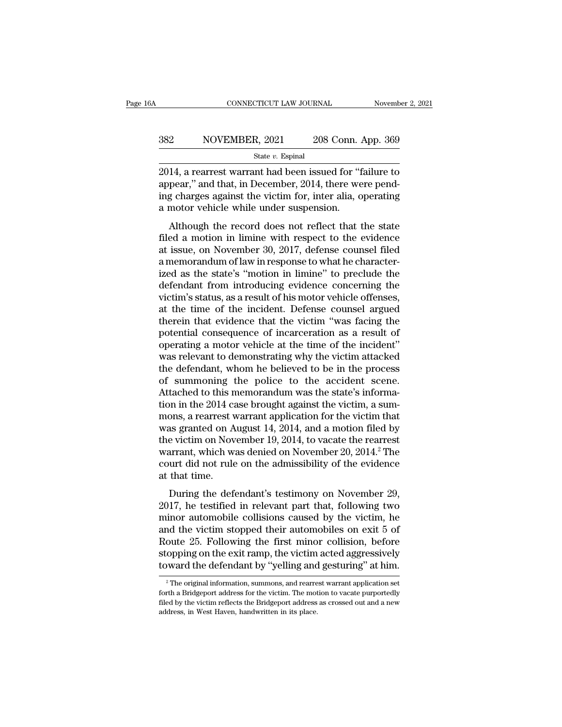# EXECUTE CONNECTICUT LAW JOURNAL Movember 2, 2021<br>382 NOVEMBER, 2021 208 Conn. App. 369<br>384 State v. Espinal

State *v.* Espinal

CONNECTICUT LAW JOURNAL November 2, 2021<br>
2021 208 Conn. App. 369<br>
382 NOVEMBER, 2021 208 Conn. App. 369<br>
3014, a rearrest warrant had been issued for "failure to<br>
appear," and that, in December, 2014, there were pend-<br>
in 382 NOVEMBER, 2021 208 Conn. App. 369<br>
<sup>State v.</sup> Espinal<br>
2014, a rearrest warrant had been issued for "failure to<br>
appear," and that, in December, 2014, there were pend-<br>
ing charges against the victim for, inter alia, o 382 NOVEMBER, 2021 208 Conn. App. 369<br>  $\frac{\text{State } v. \text{ Espinal}}{2014, \text{ a rearrest warrant had been issued for "failure to appear," and that, in December, 2014, there were pending charges against the victim for, inter alia, operating a motor vehicle while under suspension.}$ 382 NOVEMBER, 2021 208 Conn. 4<br>
<sup>State v.</sup> Espinal<br>
2014, a rearrest warrant had been issued for "f<br>
appear," and that, in December, 2014, there we<br>
ing charges against the victim for, inter alia, o<br>
a motor vehicle while State v. Espinal<br>
14, a rearrest warrant had been issued for "failure to<br>
pear," and that, in December, 2014, there were pend-<br>
g charges against the victim for, inter alia, operating<br>
motor vehicle while under suspension 2014, a rearrest warrant had been issued for "failure to<br>appear," and that, in December, 2014, there were pend-<br>ing charges against the victim for, inter alia, operating<br>a motor vehicle while under suspension.<br>Although th

2014, a reariest warrant had been issued for Tantue to<br>appear," and that, in December, 2014, there were pend-<br>ing charges against the victim for, inter alia, operating<br>a motor vehicle while under suspension.<br>Although the r appear, and that, if December, 2014, there were pend-<br>ing charges against the victim for, inter alia, operating<br>a motor vehicle while under suspension.<br>Although the record does not reflect that the state<br>filed a motion in ing charges against the victim for, filter anal, operating<br>a motor vehicle while under suspension.<br>Although the record does not reflect that the state<br>filed a motion in limine with respect to the evidence<br>at issue, on Nove a motor ventere while under suspension.<br>
Although the record does not reflect that the state<br>
filed a motion in limine with respect to the evidence<br>
at issue, on November 30, 2017, defense counsel filed<br>
a memorandum of la Although the record does not reflect that the state<br>filed a motion in limine with respect to the evidence<br>at issue, on November 30, 2017, defense counsel filed<br>a memorandum of law in response to what he character-<br>ized as filed a motion in limine with respect to the evidence<br>at issue, on November 30, 2017, defense counsel filed<br>a memorandum of law in response to what he character-<br>ized as the state's "motion in limine" to preclude the<br>defen at issue, on November 30, 2017, defense counsel filed<br>a memorandum of law in response to what he character-<br>ized as the state's "motion in limine" to preclude the<br>defendant from introducing evidence concerning the<br>victim's a memorandum of law in response to what he characterized as the state's "motion in limine" to preclude the defendant from introducing evidence concerning the victim's status, as a result of his motor vehicle offenses, at t ized as the state's "motion in limine" to preclude the defendant from introducing evidence concerning the victim's status, as a result of his motor vehicle offenses, at the time of the incident. Defense counsel argued ther defendant from introducing evidence concerning the<br>victim's status, as a result of his motor vehicle offenses,<br>at the time of the incident. Defense counsel argued<br>therein that evidence that the victim "was facing the<br>poten victim's status, as a result of his motor vehicle offenses,<br>at the time of the incident. Defense counsel argued<br>therein that evidence that the victim "was facing the<br>potential consequence of incarceration as a result of<br>op at the time of the incident. Defense counsel argued<br>therein that evidence that the victim "was facing the<br>potential consequence of incarceration as a result of<br>operating a motor vehicle at the time of the incident"<br>was rel therein that evidence that the victim "was facing the potential consequence of incarceration as a result of operating a motor vehicle at the time of the incident" was relevant to demonstrating why the victim attacked the d potential consequence of incarceration as a result of<br>operating a motor vehicle at the time of the incident"<br>was relevant to demonstrating why the victim attacked<br>the defendant, whom he believed to be in the process<br>of sum operating a motor vehicle at the time of the incident"<br>was relevant to demonstrating why the victim attacked<br>the defendant, whom he believed to be in the process<br>of summoning the police to the accident scene.<br>Attached to t was relevant to demonstrating why the victim attacked<br>the defendant, whom he believed to be in the process<br>of summoning the police to the accident scene.<br>Attached to this memorandum was the state's informa-<br>tion in the 20 the defendant, whom he believed to be in the process<br>of summoning the police to the accident scene.<br>Attached to this memorandum was the state's informa-<br>tion in the 2014 case brought against the victim, a sum-<br>mons, a rear of summoning the police to the accident scene.<br>Attached to this memorandum was the state's informa-<br>tion in the 2014 case brought against the victim, a sum-<br>mons, a rearrest warrant application for the victim that<br>was gran Attached to this memorandum was the state's information in the 2014 case brought against the victim, a summons, a rearrest warrant application for the victim that was granted on August 14, 2014, and a motion filed by the v tion in the 2014 ca<br>mons, a rearrest v<br>was granted on A<br>the victim on Nov<br>warrant, which w<br>court did not rule<br>at that time.<br>During the def but a rearriest warrant application for the victim that<br>as granted on August 14, 2014, and a motion filed by<br>e victim on November 19, 2014, to vacate the rearrest<br>arrant, which was denied on November 20, 2014.<sup>2</sup> The<br>urt d was granted on August 14, 2014, and a motion med by<br>the victim on November 19, 2014, to vacate the rearrest<br>warrant, which was denied on November 20, 2014.<sup>2</sup> The<br>court did not rule on the admissibility of the evidence<br>at

minor automobile collisions caused by the victim, he<br>matrix warrant, which was denied on November 20, 2014.<sup>2</sup> The<br>court did not rule on the admissibility of the evidence<br>at that time.<br>During the defendant's testimony on N wariant, which was defied on November 20, 2014. The<br>court did not rule on the admissibility of the evidence<br>at that time.<br>During the defendant's testimony on November 29,<br>2017, he testified in relevant part that, followin Example 1 and the collist and the collisions of the evidence at that time.<br>
During the defendant's testimony on November 29,<br>
2017, he testified in relevant part that, following two<br>
minor automobile collisions caused by t stat that thic.<br>
During the defendant's testimony on November 29,<br>
2017, he testified in relevant part that, following two<br>
minor automobile collisions caused by the victim, he<br>
and the victim stopped their automobiles on During the defendant's testimony on November 29, 2017, he testified in relevant part that, following two minor automobile collisions caused by the victim, he and the victim stopped their automobiles on exit 5 of Route 25. nd the victim stopped their automobiles on exit 5 of<br>oute 25. Following the first minor collision, before<br>opping on the exit ramp, the victim acted aggressively<br>ward the defendant by "yelling and gesturing" at him.<br><sup>2</sup> The Route 25. Following the first minor collision, before stopping on the exit ramp, the victim acted aggressively toward the defendant by "yelling and gesturing" at him.<br><sup>2</sup> The original information, summons, and rearrest wa

stopping on the exit ramp, the victim acted aggressively<br>toward the defendant by "yelling and gesturing" at him.<br><sup>2</sup> The original information, summons, and rearrest warrant application set<br>forth a Bridgeport address for th Example 12 and the defendant by "yelling and<br>
<sup>2</sup> The original information, summons, and rearre<br>
forth a Bridgeport address for the victim. The mot<br>
filed by the victim reflects the Bridgeport address<br>
address, in West Hav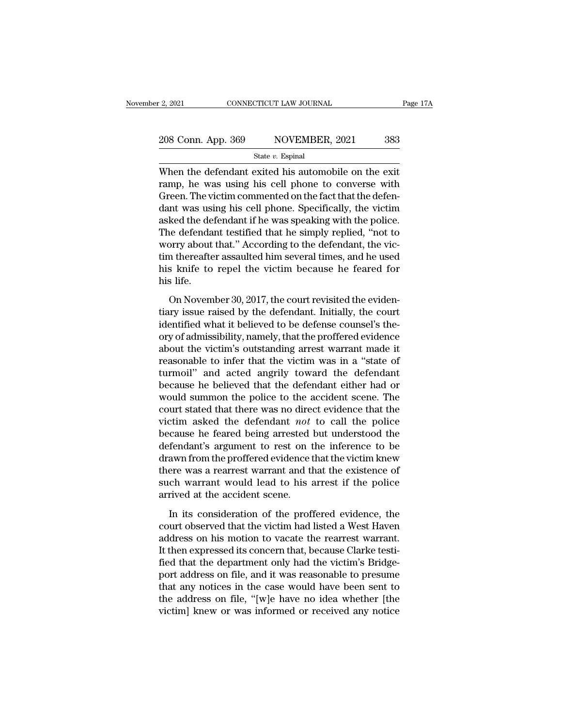| r 2, 2021          | CONNECTICUT LAW JOURNAL | Page 17A |
|--------------------|-------------------------|----------|
| 208 Conn. App. 369 | NOVEMBER, 2021          | 383      |
|                    | State $v$ . Espinal     |          |

 $\frac{1}{2}$ , 2021 CONNECTICUT LAW JOURNAL Page 17.<br>
208 Conn. App. 369 NOVEMBER, 2021 383<br>
State v. Espinal<br>
When the defendant exited his automobile on the exit<br>
ramp, he was using his cell phone to converse with<br>
Creen Th 208 Conn. App. 369 NOVEMBER, 2021 383<br>
State v. Espinal<br>
When the defendant exited his automobile on the exit<br>
ramp, he was using his cell phone to converse with<br>
Green. The victim commented on the fact that the defen-<br>
d 208 Conn. App. 369 NOVEMBER, 2021 383<br>
State v. Espinal<br>
When the defendant exited his automobile on the exit<br>
ramp, he was using his cell phone to converse with<br>
Green. The victim commented on the fact that the defen-<br>
d 208 Conn. App. 369 NOVEMBER, 2021 383<br>
State v. Espinal<br>
When the defendant exited his automobile on the exit<br>
ramp, he was using his cell phone to converse with<br>
Green. The victim commented on the fact that the defen-<br>
d State v. Espinal<br>
When the defendant exited his automobile on the exit<br>
ramp, he was using his cell phone to converse with<br>
Green. The victim commented on the fact that the defen-<br>
dant was using his cell phone. Specifica State  $v$ . Espinal<br>
State  $v$ . Espinal<br>
The defendant exited his automobile on the exit<br>
ramp, he was using his cell phone to converse with<br>
Green. The victim commented on the fact that the defen-<br>
dant was using his cell When the defendant exited his automobile on the exit<br>ramp, he was using his cell phone to converse with<br>Green. The victim commented on the fact that the defen-<br>dant was using his cell phone. Specifically, the victim<br>asked ramp, he was using his cell phone to converse with<br>Green. The victim commented on the fact that the defen-<br>dant was using his cell phone. Specifically, the victim<br>asked the defendant if he was speaking with the police.<br>The Green. The victim commented on the fact that the defendant was using his cell phone. Specifically, the victim asked the defendant if he was speaking with the police. The defendant testified that he simply replied, "not to dant was usi<br>asked the de<br>The defenda<br>worry about<br>tim thereafte<br>his knife to<br>his life.<br>On Novem In the defendant testified that he simply replied, "not to<br>borry about that." According to the defendant, the vic-<br>in thereafter assaulted him several times, and he used<br>s knife to repel the victim because he feared for<br>s Figure 2.1 The defendant, the victim thereafter assaulted him several times, and he used<br>his knife to repel the victim because he feared for<br>his life.<br>On November 30, 2017, the court revisited the eviden-<br>tiary issue raise

In the transferred him several times, and he used<br>his knife to repel the victim because he feared for<br>his life.<br>On November 30, 2017, the court revisited the eviden-<br>tiary issue raised by the defendant. Initially, the cour his knife to repel the victim because he feared for<br>his life.<br>On November 30, 2017, the court revisited the eviden-<br>tiary issue raised by the defendant. Initially, the court<br>identified what it believed to be defense counse his life.<br>
On November 30, 2017, the court revisited the evidentiary issue raised by the defendant. Initially, the court<br>
identified what it believed to be defense counsel's theory of admissibility, namely, that the proffe On November 30, 2017, the court revisited the evidentiary issue raised by the defendant. Initially, the court identified what it believed to be defense counsel's theory of admissibility, namely, that the proffered evidence On November 30, 2017, the court revisited the evidentiary issue raised by the defendant. Initially, the court<br>identified what it believed to be defense counsel's theory of admissibility, namely, that the proffered evidenc tiary issue raised by the defendant. Initially, the court<br>identified what it believed to be defense counsel's the-<br>ory of admissibility, namely, that the proffered evidence<br>about the victim's outstanding arrest warrant mad identified what it believed to be defense counsel's the-<br>ory of admissibility, namely, that the proffered evidence<br>about the victim's outstanding arrest warrant made it<br>reasonable to infer that the victim was in a "state o ory of admissibility, namely, that the proffered evidence<br>about the victim's outstanding arrest warrant made it<br>reasonable to infer that the victim was in a "state of<br>turmoil" and acted angrily toward the defendant<br>because about the victim's outstanding arrest warrant made it<br>reasonable to infer that the victim was in a "state of<br>turmoil" and acted angrily toward the defendant<br>because he believed that the defendant either had or<br>would summon reasonable to infer that the victim was in a "state of<br>turmoil" and acted angrily toward the defendant<br>because he believed that the defendant either had or<br>would summon the police to the accident scene. The<br>court stated th turmoil" and acted angrily toward the defendant<br>because he believed that the defendant either had or<br>would summon the police to the accident scene. The<br>court stated that there was no direct evidence that the<br>victim asked t because he believed that the defendant either had or<br>would summon the police to the accident scene. The<br>court stated that there was no direct evidence that the<br>victim asked the defendant *not* to call the police<br>because he would summon the police to the accident scene. The<br>court stated that there was no direct evidence that the<br>victim asked the defendant *not* to call the police<br>because he feared being arrested but understood the<br>defendant' court stated that there was no direct evidence that the victim asked the defendant *not* to call the police because he feared being arrested but understood the defendant's argument to rest on the inference to be drawn fro victim asked the defendant *not*<br>because he feared being arrested<br>defendant's argument to rest on t<br>drawn from the proffered evidence t<br>there was a rearrest warrant and tl<br>such warrant would lead to his a<br>arrived at the ac In its consideration of the proffered evidence to be awn from the proffered evidence that the victim knew<br>ere was a rearrest warrant and that the existence of<br>ch warrant would lead to his arrest if the police<br>rived at the drawn from the proffered evidence that the victim knew<br>there was a rearrest warrant and that the existence of<br>such warrant would lead to his arrest if the police<br>arrived at the accident scene.<br>In its consideration of the p

there was a rearrest warrant and that the existence of<br>such warrant would lead to his arrest if the police<br>arrived at the accident scene.<br>In its consideration of the proffered evidence, the<br>court observed that the victim h such warrant would lead to his arrest if the police<br>arrived at the accident scene.<br>In its consideration of the proffered evidence, the<br>court observed that the victim had listed a West Haven<br>address on his motion to vacate arrived at the accident scene.<br>
In its consideration of the proffered evidence, the<br>
court observed that the victim had listed a West Haven<br>
address on his motion to vacate the rearrest warrant.<br>
It then expressed its conc In its consideration of the proffered evidence, the<br>court observed that the victim had listed a West Haven<br>address on his motion to vacate the rearrest warrant.<br>It then expressed its concern that, because Clarke testi-<br>fie In its consideration of the proffered evidence, the<br>court observed that the victim had listed a West Haven<br>address on his motion to vacate the rearrest warrant.<br>It then expressed its concern that, because Clarke testi-<br>fie court observed that the victim had listed a West Haven<br>address on his motion to vacate the rearrest warrant.<br>It then expressed its concern that, because Clarke testi-<br>fied that the department only had the victim's Bridge-<br> address on his motion to vacate the rearrest warrant.<br>It then expressed its concern that, because Clarke testi-<br>fied that the department only had the victim's Bridge-<br>port address on file, and it was reasonable to presume<br>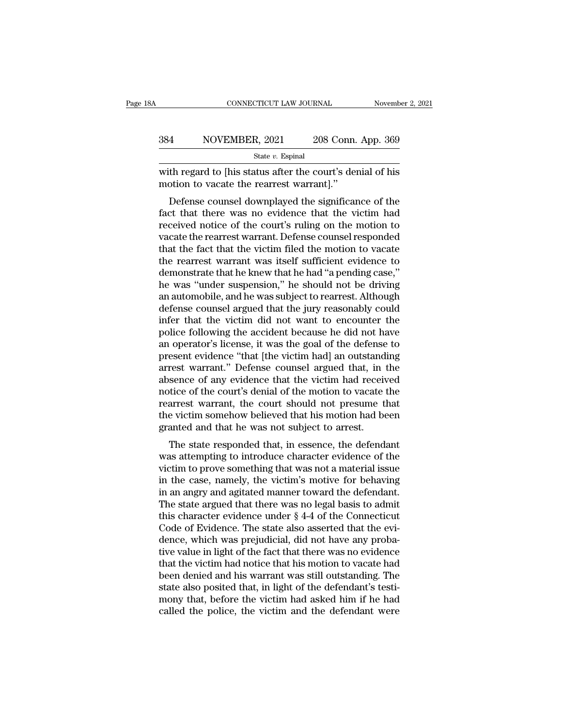|     | CONNECTICUT LAW JOURNAL                                                                              | November 2, 2021   |
|-----|------------------------------------------------------------------------------------------------------|--------------------|
| 384 | NOVEMBER, 2021                                                                                       | 208 Conn. App. 369 |
|     | State $v$ . Espinal                                                                                  |                    |
|     | with regard to his status after the court's denial of his<br>motion to vacate the rearrest warrant." |                    |
|     | Defense counsel downplayed the significance of the                                                   |                    |

NOVEMBER, 2021 208 Conn. App. 369<br>  $\frac{\text{State } v. \text{ Espinal}}{\text{the regard to [his status after the court's denial of his} }$ <br>
th regard to [his status after the court's denial of his<br>
otion to vacate the rearrest warrant]."<br>
Defense counsel downplayed the significance of the  $f_{\text{state } v. \text{ Espinal}}$ <br>  $f_{\text{state } v. \text{ Espinal}}$ <br>  $f_{\text{state } v. \text{ Espinal}}$ <br>
with regard to [his status after the court's denial of his<br>
motion to vacate the rearrest warrant]."<br>
Defense counsel downplayed the significance of the<br>
fact that State  $v$ . Espinal<br>with regard to [his status after the court's denial of his<br>motion to vacate the rearrest warrant]."<br>Defense counsel downplayed the significance of the<br>fact that there was no evidence that the victim had with regard to [his status after the court's denial of his<br>motion to vacate the rearrest warrant]."<br>Defense counsel downplayed the significance of the<br>fact that there was no evidence that the victim had<br>received notice of with regard to [this status after the court's definal of his<br>motion to vacate the rearrest warrant]."<br>Defense counsel downplayed the significance of the<br>fact that there was no evidence that the victim had<br>received notice o The rearrest warrant performant of the significance of the fact that there was no evidence that the victim had received notice of the court's ruling on the motion to vacate the rearrest warrant. Defense counsel responded t Defense counsel downplayed the significance of the<br>fact that there was no evidence that the victim had<br>received notice of the court's ruling on the motion to<br>vacate the rearrest warrant. Defense counsel responded<br>that the fact that there was no evidence that the victim had<br>received notice of the court's ruling on the motion to<br>vacate the rearrest warrant. Defense counsel responded<br>that the fact that the victim filed the motion to vacate<br>the received notice of the court's ruling on the motion to<br>vacate the rearrest warrant. Defense counsel responded<br>that the fact that the victim filed the motion to vacate<br>the rearrest warrant was itself sufficient evidence to<br> vacate the rearrest warrant. Defense counsel responded<br>that the fact that the victim filed the motion to vacate<br>the rearrest warrant was itself sufficient evidence to<br>demonstrate that he knew that he had "a pending case,"<br> that the fact that the victim filed the motion to vacate<br>the rearrest warrant was itself sufficient evidence to<br>demonstrate that he knew that he had "a pending case,"<br>he was "under suspension," he should not be driving<br>an the rearrest warrant was itself sufficient evidence to<br>demonstrate that he knew that he had "a pending case,"<br>he was "under suspension," he should not be driving<br>an automobile, and he was subject to rearrest. Although<br>defe demonstrate that he knew that he had "a pending case,"<br>he was "under suspension," he should not be driving<br>an automobile, and he was subject to rearrest. Although<br>defense counsel argued that the jury reasonably could<br>infer he was "under suspension," he should not be driving<br>an automobile, and he was subject to rearrest. Although<br>defense counsel argued that the jury reasonably could<br>infer that the victim did not want to encounter the<br>police f an automobile, and he was subject to rearrest. Although<br>defense counsel argued that the jury reasonably could<br>infer that the victim did not want to encounter the<br>police following the accident because he did not have<br>an ope defense counsel argued that the jury reasonably could<br>infer that the victim did not want to encounter the<br>police following the accident because he did not have<br>an operator's license, it was the goal of the defense to<br>prese infer that the victim did not want to encounter the<br>police following the accident because he did not have<br>an operator's license, it was the goal of the defense to<br>present evidence "that [the victim had] an outstanding<br>arre police following the accident because he did not have<br>an operator's license, it was the goal of the defense to<br>present evidence "that [the victim had] an outstanding<br>arrest warrant." Defense counsel argued that, in the<br>abs an operator's license, it was the goal of the defense to<br>present evidence "that [the victim had] an outstanding<br>arrest warrant." Defense counsel argued that, in the<br>absence of any evidence that the victim had received<br>noti present evidence "that [the victim had] an outstand<br>arrest warrant." Defense counsel argued that, in a<br>basence of any evidence that the victim had receiv<br>notice of the court's denial of the motion to vacate<br>rearrest warran These counser argued that, in the sence of any evidence that the victim had received<br>tice of the court's denial of the motion to vacate the<br>arrest warrant, the court should not presume that<br>e victim somehow believed that h absence of any evidence that the victin had received<br>notice of the court's denial of the motion to vacate the<br>rearrest warrant, the court should not presume that<br>the victim somehow believed that his motion had been<br>granted

rearrest warrant, the court should not presume that<br>the victim somehow believed that his motion had been<br>granted and that he was not subject to arrest.<br>The state responded that, in essence, the defendant<br>was attempting to reariest warrant, the court should not presume that<br>the victim somehow believed that his motion had been<br>granted and that he was not subject to arrest.<br>The state responded that, in essence, the defendant<br>was attempting to the victim solition believed that his inotion had been<br>granted and that he was not subject to arrest.<br>The state responded that, in essence, the defendant<br>was attempting to introduce character evidence of the<br>victim to prov The state responded that, in essence, the defendant<br>was attempting to introduce character evidence of the<br>victim to prove something that was not a material issue<br>in the case, namely, the victim's motive for behaving<br>in an The state responded that, in essence, the defendant<br>was attempting to introduce character evidence of the<br>victim to prove something that was not a material issue<br>in the case, namely, the victim's motive for behaving<br>in an was attempting to introduce character evidence of the victim to prove something that was not a material issue<br>in the case, namely, the victim's motive for behaving<br>in an angry and agitated manner toward the defendant.<br>The victim to prove something that was not a material issue<br>in the case, namely, the victim's motive for behaving<br>in an angry and agitated manner toward the defendant.<br>The state argued that there was no legal basis to admit<br>th in the case, namely, the victim's motive for behaving<br>in an angry and agitated manner toward the defendant.<br>The state argued that there was no legal basis to admit<br>this character evidence under § 4-4 of the Connecticut<br>Cod in an angry and agitated manner toward the defendant.<br>The state argued that there was no legal basis to admit<br>this character evidence under  $\S 4-4$  of the Connecticut<br>Code of Evidence. The state also asserted that the evi The state argued that there was no legal basis to admit<br>this character evidence under  $\S 4-4$  of the Connecticut<br>Code of Evidence. The state also asserted that the evi-<br>dence, which was prejudicial, did not have any proba this character evidence under § 4-4 of the Connecticut<br>Code of Evidence. The state also asserted that the evi-<br>dence, which was prejudicial, did not have any proba-<br>tive value in light of the fact that there was no evidenc Code of Evidence. The state also asserted that the evidence, which was prejudicial, did not have any probative value in light of the fact that there was no evidence that the victim had notice that his motion to vacate had dence, which was prejudicial, did not have any probative value in light of the fact that there was no evidence that the victim had notice that his motion to vacate had been denied and his warrant was still outstanding. The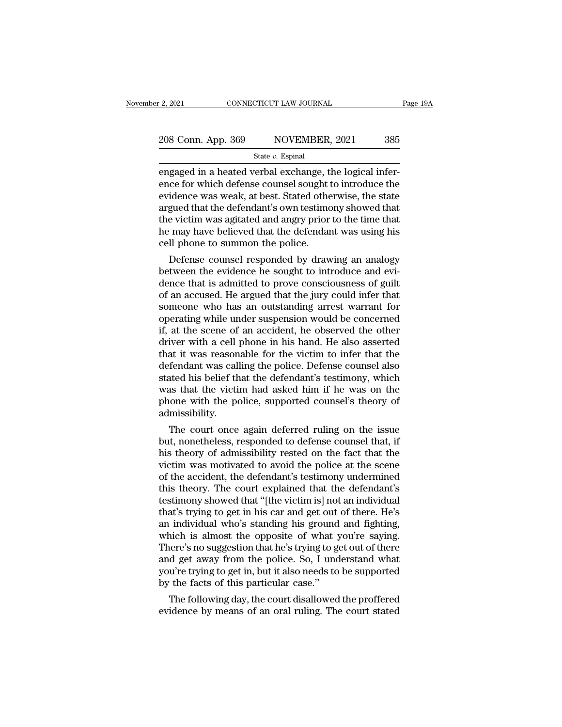engaged in a heated verbal exchange, the logical infer-<br>engaged in a heated verbal exchange, the logical infer-<br>ence for which defense counsel sought to introduce the<br>envidence was week at best. Stated otherwise, the stat 208 Conn. App. 369 NOVEMBER, 2021 385<br>State v. Espinal<br>engaged in a heated verbal exchange, the logical infer-<br>ence for which defense counsel sought to introduce the<br>evidence was weak, at best. Stated otherwise, the state<br> 208 Conn. App. 369 NOVEMBER, 2021 385<br>
State v. Espinal<br>
engaged in a heated verbal exchange, the logical infer-<br>
ence for which defense counsel sought to introduce the<br>
evidence was weak, at best. Stated otherwise, the s 208 Conn. App. 369 NOVEMBER, 2021 385<br>  $\frac{\text{State } v. \text{ Espinal}}{\text{engaged in a heated verbal exchange, the logical inference for which defense counds sought to introduce the evidence was weak, at best. Stated otherwise, the state argued that the defendant's own testimony showed that the victim was agitated and angry prior to the time that he may have believed that the deformation system his$ State v. Espinal<br>
State v. Espinal<br>
engaged in a heated verbal exchange, the logical infer-<br>
ence for which defense counsel sought to introduce the<br>
evidence was weak, at best. Stated otherwise, the state<br>
argued that the state  $v$ . Espinal<br>engaged in a heated verbal exchange, the logical infer-<br>ence for which defense counsel sought to introduce the<br>evidence was weak, at best. Stated otherwise, the state<br>argued that the defendant's own tes engaged in a heated verbal exchange, t<br>ence for which defense counsel sought t<br>evidence was weak, at best. Stated othe<br>argued that the defendant's own testime<br>the victim was agitated and angry prior<br>he may have believed th ce for which defense counsel sought to introduce the<br>idence was weak, at best. Stated otherwise, the state<br>gued that the defendant's own testimony showed that<br>e victim was agitated and angry prior to the time that<br>may have evidence was weak, at best. Stated otherwise, the state<br>argued that the defendant's own testimony showed that<br>the victim was agitated and angry prior to the time that<br>he may have believed that the defendant was using his<br>c

argued that the defendant s own testimony showed that<br>the victim was agitated and angry prior to the time that<br>he may have believed that the defendant was using his<br>cell phone to summon the police.<br>Defense counsel responde the victim was agitated and angry prior to the time that<br>he may have believed that the defendant was using his<br>cell phone to summon the police.<br>Defense counsel responded by drawing an analogy<br>between the evidence he sought ne may nave beneved that the defendant was using his<br>cell phone to summon the police.<br>Defense counsel responded by drawing an analogy<br>between the evidence he sought to introduce and evi-<br>dence that is admitted to prove con cell phone to summon the police.<br>
Defense counsel responded by drawing an analogy<br>
between the evidence he sought to introduce and evi-<br>
dence that is admitted to prove consciousness of guilt<br>
of an accused. He argued that Defense counsel responded by drawing an analogy<br>between the evidence he sought to introduce and evi-<br>dence that is admitted to prove consciousness of guilt<br>of an accused. He argued that the jury could infer that<br>someone wh between the evidence he sought to introduce and evidence that is admitted to prove consciousness of guilt<br>of an accused. He argued that the jury could infer that<br>someone who has an outstanding arrest warrant for<br>operating dence that is admitted to prove consciousness of guilt<br>of an accused. He argued that the jury could infer that<br>someone who has an outstanding arrest warrant for<br>operating while under suspension would be concerned<br>if, at th of an accused. He argued that the jury could infer that<br>someone who has an outstanding arrest warrant for<br>operating while under suspension would be concerned<br>if, at the scene of an accident, he observed the other<br>driver wi someone who has an outstanding arrest warrant for<br>operating while under suspension would be concerned<br>if, at the scene of an accident, he observed the other<br>driver with a cell phone in his hand. He also asserted<br>that it wa operating while under suspension would be concerned<br>if, at the scene of an accident, he observed the other<br>driver with a cell phone in his hand. He also asserted<br>that it was reasonable for the victim to infer that the<br>defe if, at the scene of an accident, he observed the other<br>driver with a cell phone in his hand. He also asserted<br>that it was reasonable for the victim to infer that the<br>defendant was calling the police. Defense counsel also<br>s admissibility. at it was reasonable for the victim to mier that the<br>fendant was calling the police. Defense counsel also<br>ated his belief that the defendant's testimony, which<br>as that the victim had asked him if he was on the<br>ione with th defendant was calling the police. Defense counsel also<br>stated his belief that the defendant's testimony, which<br>was that the victim had asked him if he was on the<br>phone with the police, supported counsel's theory of<br>admissi

stated nis beilet that the defendant's testimony, which<br>was that the victim had asked him if he was on the<br>phone with the police, supported counsel's theory of<br>admissibility.<br>The court once again deferred ruling on the iss was that the victim had asked him if he was on the<br>phone with the police, supported counsel's theory of<br>admissibility.<br>The court once again deferred ruling on the issue<br>but, nonetheless, responded to defense counsel that, phone with the police, supported counsers theory or<br>admissibility.<br>The court once again deferred ruling on the issue<br>but, nonetheless, responded to defense counsel that, if<br>his theory of admissibility rested on the fact th aamissiplinty.<br>The court once again deferred ruling on the issue<br>but, nonetheless, responded to defense counsel that, if<br>his theory of admissibility rested on the fact that the<br>victim was motivated to avoid the police at t The court once again deferred ruling on the issue<br>but, nonetheless, responded to defense counsel that, if<br>his theory of admissibility rested on the fact that the<br>victim was motivated to avoid the police at the scene<br>of the but, nonetheless, responded to defense counsel that, if<br>his theory of admissibility rested on the fact that the<br>victim was motivated to avoid the police at the scene<br>of the accident, the defendant's testimony undermined<br>th his theory of admissibility rested on the fact that the victim was motivated to avoid the police at the scene of the accident, the defendant's testimony undermined this theory. The court explained that the defendant's test victim was motivated to avoid the police at the scene<br>of the accident, the defendant's testimony undermined<br>this theory. The court explained that the defendant's<br>testimony showed that "[the victim is] not an individual<br>tha of the accident, the defendant's testimony undermined<br>this theory. The court explained that the defendant's<br>testimony showed that "[the victim is] not an individual<br>that's trying to get in his car and get out of there. He' this theory. The court explained that the defendant's<br>testimony showed that "[the victim is] not an individual<br>that's trying to get in his car and get out of there. He's<br>an individual who's standing his ground and fighting testimony showed that "[the victim is] not an individual<br>that's trying to get in his car and get out of there. He's<br>an individual who's standing his ground and fighting,<br>which is almost the opposite of what you're saying.<br> that's trying to get in his car and get out<br>an individual who's standing his ground<br>which is almost the opposite of what y<br>There's no suggestion that he's trying to g<br>and get away from the police. So, I und<br>you're trying t Individual who's standing his ground and righting,<br>nich is almost the opposite of what you're saying.<br>nere's no suggestion that he's trying to get out of there<br>d get away from the police. So, I understand what<br>u're trying which is almost the opposite of what you're saying.<br>There's no suggestion that he's trying to get out of there<br>and get away from the police. So, I understand what<br>you're trying to get in, but it also needs to be supported<br>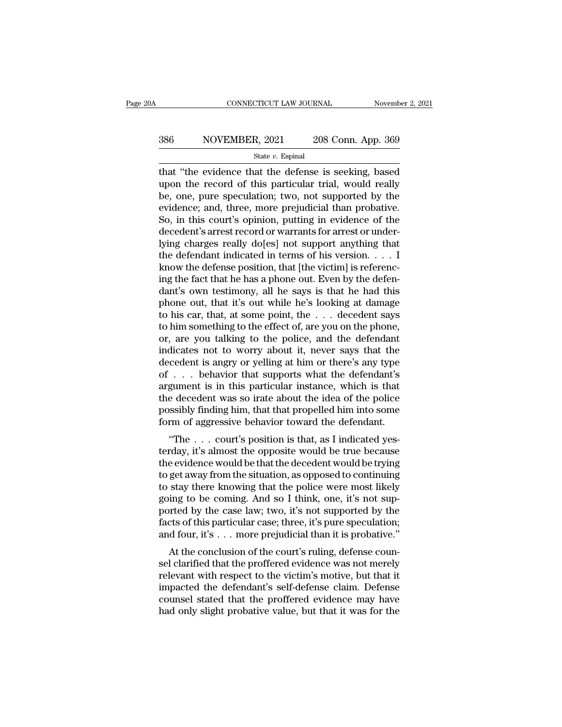# EXECUTE CONNECTICUT LAW JOURNAL Movember 2, 2021<br>386 NOVEMBER, 2021 208 Conn. App. 369<br>386 State v. Espinal

#### State *v.* Espinal

 $\begin{array}{r|l} \text{COMRECTICUT LAW JOURNAL} & \text{November 2, 2021} \ \hline \text{386} & \text{NOVEMBER, 2021} & \text{208 Conn. App. 369} \ \hline \text{state } v. \text{ Espinal} \ \hline \text{that "the evidence that the defense is seeking, based upon the record of this particular trial, would really be one, pure modulation: two, not supported by the model.} \end{array}$ NOVEMBER, 2021 208 Conn. App. 369<br>
state v. Espinal<br>
that "the evidence that the defense is seeking, based<br>
upon the record of this particular trial, would really<br>
be, one, pure speculation; two, not supported by the<br>
evid  $\begin{array}{c|c} \n 386 & \text{NOVEMBER, 2021} & \n 208 \text{ Conn. App. 369} \\
 \hline\n \text{State } v. \text{ Espinal} & \n \end{array}$ <br>
that "the evidence that the defense is seeking, based<br>
upon the record of this particular trial, would really<br>
be, one, pure speculation; two, S86 NOVEMBER, 2021 208 Conn. App. 369<br>  $\frac{\text{State } v. \text{ Espinal}}{\text{that 'the evidence that the defense is seeking, based}}$ upon the record of this particular trial, would really<br>
be, one, pure speculation; two, not supported by the<br>
evidence; and, three, more prejudicial So, in this court is opinion, putting in evidence of the decedent's arrest record of this particular trial, would really<br>be, one, pure speculation; two, not supported by the evidence; and, three, more prejudicial than pro State v. Espinal<br>that "the evidence that the defense is seeking, based<br>upon the record of this particular trial, would really<br>be, one, pure speculation; two, not supported by the<br>evidence; and, three, more prejudicial tha that "the evidence that the defense is seeking, based<br>upon the record of this particular trial, would really<br>be, one, pure speculation; two, not supported by the<br>evidence; and, three, more prejudicial than probative.<br>So, upon the record of this particular trial, would really<br>be, one, pure speculation; two, not supported by the<br>evidence; and, three, more prejudicial than probative.<br>So, in this court's opinion, putting in evidence of the<br>de be, one, pure speculation; two, not supported by the evidence; and, three, more prejudicial than probative.<br>So, in this court's opinion, putting in evidence of the decedent's arrest record or warrants for arrest or underly evidence; and, three, more prejudicial than probative.<br>So, in this court's opinion, putting in evidence of the<br>decedent's arrest record or warrants for arrest or under-<br>lying charges really do[es] not support anything tha So, in this court's opinion, putting in evidence of the decedent's arrest record or warrants for arrest or underlying charges really do[es] not support anything that the defendant indicated in terms of his version.  $\dots$  I decedent's arrest record or warrants for arrest or underlying charges really do[es] not support anything that<br>the defendant indicated in terms of his version. . . . I<br>know the defense position, that [the victim] is refere lying charges really do[es] not support anything that<br>the defendant indicated in terms of his version. . . . I<br>know the defense position, that [the victim] is referenc-<br>ing the fact that he has a phone out. Even by the de the defendant indicated in terms of his version. . . . I<br>know the defense position, that [the victim] is referenc-<br>ing the fact that he has a phone out. Even by the defen-<br>dant's own testimony, all he says is that he had know the defense position, that [the victim] is referencing the fact that he has a phone out. Even by the defendant's own testimony, all he says is that he had this phone out, that it's out while he's looking at damage to ing the fact that he has a phone out. Even by the defen-<br>dant's own testimony, all he says is that he had this<br>phone out, that it's out while he's looking at damage<br>to his car, that, at some point, the . . . decedent says<br> dant's own testimony, all he says is that he had this<br>phone out, that it's out while he's looking at damage<br>to his car, that, at some point, the  $\ldots$  decedent says<br>to him something to the effect of, are you on the phone, phone out, that it's out while he's looking at damage<br>to his car, that, at some point, the  $\ldots$  decedent says<br>to him something to the effect of, are you on the phone,<br>or, are you talking to the police, and the defendant<br> to his car, that, at some point, the  $\ldots$  decedent says<br>to him something to the effect of, are you on the phone,<br>or, are you talking to the police, and the defendant<br>indicates not to worry about it, never says that the<br>d to him something to the effect of, are you on the phone,<br>or, are you talking to the police, and the defendant<br>indicates not to worry about it, never says that the<br>decedent is angry or yelling at him or there's any type<br>of or, are you talking to the police, and the defendant<br>indicates not to worry about it, never says that the<br>decedent is angry or yelling at him or there's any type<br>of . . . behavior that supports what the defendant's<br>argumen indicates not to worry about it, never says that the decedent is angry or yelling at him or there's any type of  $\ldots$  behavior that supports what the defendant's argument is in this particular instance, which is that the  $\ldots$  behavior that supports what the defendant's<br>gument is in this particular instance, which is that<br>e decedent was so irate about the idea of the police<br>ssibly finding him, that that propelled him into some<br>rm of aggre or . . . . behavior that supports what the deceleration is argument is in this particular instance, which is that the decedent was so irate about the idea of the police possibly finding him, that that propelled him into so

argument is in this particular instance, which is that<br>the decedent was so irate about the idea of the police<br>possibly finding him, that that propelled him into some<br>form of aggressive behavior toward the defendant.<br>"The . the decedent was so hate about the idea of the police<br>possibly finding him, that that propelled him into some<br>form of aggressive behavior toward the defendant.<br>"The . . . court's position is that, as I indicated yes-<br>terda possibly intuity film, that that propened film into some<br>form of aggressive behavior toward the defendant.<br>"The . . . court's position is that, as I indicated yes-<br>terday, it's almost the opposite would be true because<br>the form of aggressive behavior toward the defendant.<br>
"The  $\ldots$  court's position is that, as I indicated yes-<br>
terday, it's almost the opposite would be true because<br>
the evidence would be that the decedent would be trying<br> "The  $\ldots$  court's position is that, as I indicated yes-<br>terday, it's almost the opposite would be true because<br>the evidence would be that the decedent would be trying<br>to get away from the situation, as opposed to continu terday, it's almost the opposite would be true because<br>the evidence would be that the decedent would be trying<br>to get away from the situation, as opposed to continuing<br>to stay there knowing that the police were most likely the evidence would be that the decedent would be trying<br>to get away from the situation, as opposed to continuing<br>to stay there knowing that the police were most likely<br>going to be coming. And so I think, one, it's not supget away from the situation, as opposed to continuing<br>stay there knowing that the police were most likely<br>ing to be coming. And so I think, one, it's not sup-<br>priced by the case law; two, it's not supported by the<br>court's to stay there knowing that the police were most likely<br>going to be coming. And so I think, one, it's not sup-<br>ported by the case law; two, it's not supported by the<br>facts of this particular case; three, it's pure speculati

going to be conting. And so I time, one, it's not sup-<br>ported by the case law; two, it's not supported by the<br>facts of this particular case; three, it's pure speculation;<br>and four, it's . . . more prejudicial than it is pr ported by the case law, two, it's not supported by the<br>facts of this particular case; three, it's pure speculation;<br>and four, it's  $\ldots$  more prejudicial than it is probative."<br>At the conclusion of the court's ruling, def racts of this particular case, three, it is pute speculation, and four, it's  $\dots$  more prejudicial than it is probative."<br>At the conclusion of the court's ruling, defense counsel clarified that the proffered evidence was and four, it  $s \cdot \cdot \cdot$  hold prejudical that it is probative.<br>At the conclusion of the court's ruling, defense counsel clarified that the proffered evidence was not merely<br>relevant with respect to the victim's motive, but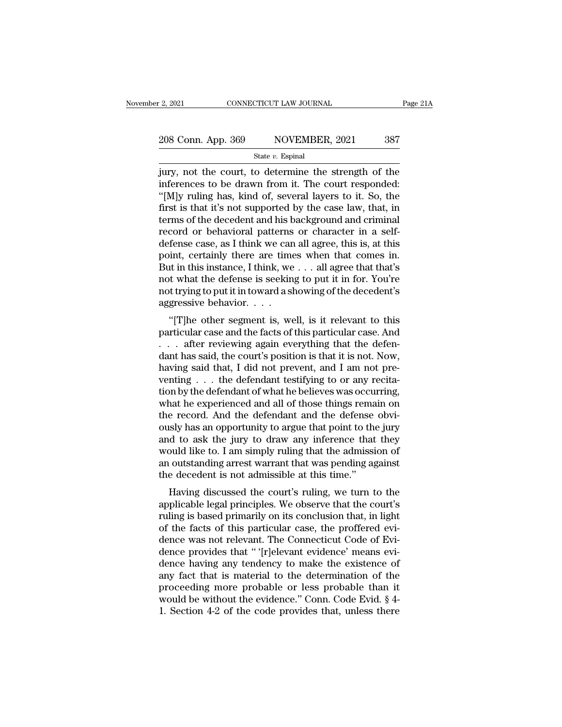# 2, 2021 CONNECTICUT LAW JOURNAL Page 21A<br>
208 Conn. App. 369 NOVEMBER, 2021 387<br>
State v. Espinal

#### State *v.* Espinal

 $\frac{1}{2}$ , 2021 CONNECTICUT LAW JOURNAL Page 21A<br>
208 Conn. App. 369 NOVEMBER, 2021 387<br>  $\frac{1}{2}$ <br>  $\frac{1}{2}$ <br>  $\frac{1}{2}$ <br>  $\frac{1}{2}$ <br>  $\frac{1}{2}$ <br>  $\frac{1}{2}$ <br>  $\frac{1}{2}$ <br>  $\frac{1}{2}$ <br>  $\frac{1}{2}$ <br>  $\frac{1}{2}$ <br>  $\frac{1}{2}$ <br>  $\frac{1}{2}$ <br> 208 Conn. App. 369 NOVEMBER, 2021 387<br>
State v. Espinal<br>
jury, not the court, to determine the strength of the<br>
inferences to be drawn from it. The court responded:<br>
"[M]y ruling has, kind of, several layers to it. So, th 208 Conn. App. 369 NOVEMBER, 2021 387<br>
State v. Espinal<br>
jury, not the court, to determine the strength of the<br>
inferences to be drawn from it. The court responded:<br>
"[M]y ruling has, kind of, several layers to it. So, th 208 Conn. App. 369 NOVEMBER, 2021 387<br>
State v. Espinal<br>
jury, not the court, to determine the strength of the<br>
inferences to be drawn from it. The court responded:<br>
"[M]y ruling has, kind of, several layers to it. So, th State v. Espinal<br>
State v. Espinal<br>
jury, not the court, to determine the strength of the<br>
inferences to be drawn from it. The court responded:<br>
"[M]y ruling has, kind of, several layers to it. So, the<br>
first is that it's state v. Espinal<br>jury, not the court, to determine the strength of the<br>inferences to be drawn from it. The court responded:<br>"[M]y ruling has, kind of, several layers to it. So, the<br>first is that it's not supported by the jury, not the court, to determine the strength of the<br>inferences to be drawn from it. The court responded:<br>"[M]y ruling has, kind of, several layers to it. So, the<br>first is that it's not supported by the case law, that, in inferences to be drawn from it. The court responded:<br>"[M]y ruling has, kind of, several layers to it. So, the<br>first is that it's not supported by the case law, that, in<br>terms of the decedent and his background and crimina "[M]y ruling has, kind of, several layers to it. So, the<br>first is that it's not supported by the case law, that, in<br>terms of the decedent and his background and criminal<br>record or behavioral patterns or character in a sel first is that it's not supported by the case law, that, in<br>terms of the decedent and his background and criminal<br>record or behavioral patterns or character in a self-<br>defense case, as I think we can all agree, this is, at terms of the decedent and his background and criminal<br>record or behavioral patterns or character in a self-<br>defense case, as I think we can all agree, this is, at this<br>point, certainly there are times when that comes in.<br>B record or behavioral patterns<br>defense case, as I think we can<br>point, certainly there are time<br>But in this instance, I think, we<br>not what the defense is seekin<br>not trying to put it in toward a sl<br>aggressive behavior. . . . Then the case, as I think we can an agree, this is, at this<br>
int, certainly there are times when that comes in.<br>
it in this instance, I think, we . . . all agree that that's<br>
it what the defense is seeking to put it in for point, certainly there are three when that colles in.<br>But in this instance, I think, we . . . all agree that that's<br>not what the defense is seeking to put it in for. You're<br>not trying to put it in toward a showing of the d

But in this instance, I think, we  $\ldots$  an agree that that s<br>not what the defense is seeking to put it in for. You're<br>not trying to put it in toward a showing of the decedent's<br>aggressive behavior.  $\ldots$ .<br>"[T]he other seg not what the defense is seeking to put it in for. Foure<br>not trying to put it in toward a showing of the decedent's<br>aggressive behavior. . . .<br>"[T]he other segment is, well, is it relevant to this<br>particular case and the fa hot trying to put it in toward a showing or the decedent s<br>aggressive behavior. . . .<br>"[T]he other segment is, well, is it relevant to this<br>particular case and the facts of this particular case. And<br>. . . after reviewing a "The other segment is, well, is it relevant to this<br>particular case and the facts of this particular case. And<br> $\ldots$  after reviewing again everything that the defen-<br>dant has said, the court's position is that it is not. "[T]he other segment is, well, is it relevant to this<br>particular case and the facts of this particular case. And<br>... after reviewing again everything that the defen-<br>dant has said, the court's position is that it is not. particular case and the facts of this particular case. And<br>  $\dots$  after reviewing again everything that the defen-<br>
dant has said, the court's position is that it is not. Now,<br>
having said that, I did not prevent, and I am ... after reviewing again everything that the defendant has said, the court's position is that it is not. Now, having said that, I did not prevent, and I am not preventing ... the defendant testifying to or any recitation dant has said, the court's position is that it is not. Now,<br>having said that, I did not prevent, and I am not pre-<br>venting  $\ldots$  the defendant testifying to or any recita-<br>tion by the defendant of what he believes was occ having said that, I did not prevent, and I am not preventing . . . the defendant testifying to or any recitation by the defendant of what he believes was occurring, what he experienced and all of those things remain on th venting . . . the defendant testifying to or any recitation by the defendant of what he believes was occurring, what he experienced and all of those things remain on the record. And the defendant and the defense obviously tion by the defendant of what he believes was occurring,<br>what he experienced and all of those things remain on<br>the record. And the defendant and the defense obvi-<br>ously has an opportunity to argue that point to the jury<br>an what he experienced and all of those things remainte record. And the defendant and the defense ously has an opportunity to argue that point to the and to ask the jury to draw any inference that would like to. I am simply r Having discussed the court's ruling, we turn to the jury<br>Having discussed to ask the jury to draw any inference that they<br>puld like to. I am simply ruling that the admission of<br>coutstanding arrest warrant that was pending busiy has all opportuntly to argue that point to the jury<br>and to ask the jury to draw any inference that they<br>would like to. I am simply ruling that the admission of<br>an outstanding arrest warrant that was pending against<br>t

and to ask the jury to thaw any interefrice that they<br>would like to. I am simply ruling that the admission of<br>an outstanding arrest warrant that was pending against<br>the decedent is not admissible at this time."<br>Having disc would like to. I all shippy rullig that the admission of<br>an outstanding arrest warrant that was pending against<br>the decedent is not admissible at this time."<br>Having discussed the court's ruling, we turn to the<br>applicable l an outstanding arrest warrant that was pending against<br>the decedent is not admissible at this time."<br>Having discussed the court's ruling, we turn to the<br>applicable legal principles. We observe that the court's<br>ruling is ba dence that is not admissible at this time.<br>Having discussed the court's ruling, we turn to the<br>applicable legal principles. We observe that the court's<br>ruling is based primarily on its conclusion that, in light<br>of the fact Having discussed the court's ruling, we turn to the<br>applicable legal principles. We observe that the court's<br>ruling is based primarily on its conclusion that, in light<br>of the facts of this particular case, the proffered ev applicable legal principles. We observe that the court's<br>ruling is based primarily on its conclusion that, in light<br>of the facts of this particular case, the proffered evi-<br>dence was not relevant. The Connecticut Code of E ruling is based primarily on its conclusion that, in light<br>of the facts of this particular case, the proffered evi-<br>dence was not relevant. The Connecticut Code of Evi-<br>dence provides that " '[r]elevant evidence' means ev of the facts of this particular case, the proffered evidence was not relevant. The Connecticut Code of Evidence provides that " [r]elevant evidence' means evidence having any tendency to make the existence of any fact that dence was not relevant. The Connecticut Code of Evidence provides that " '[r]elevant evidence' means evidence having any tendency to make the existence of any fact that is material to the determination of the proceeding mo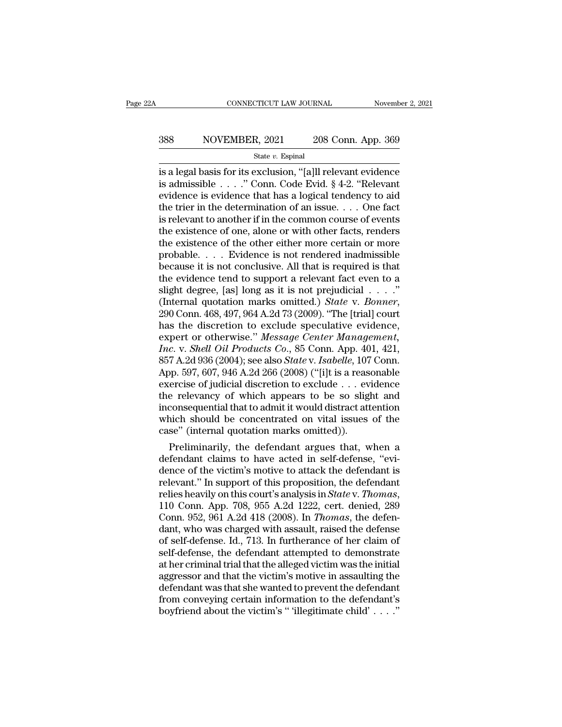# EXECUTE CONNECTICUT LAW JOURNAL Movember 2, 2021<br>388 NOVEMBER, 2021 208 Conn. App. 369<br>384 State v. Espinal

State *v.* Espinal

CONNECTICUT LAW JOURNAL November 2, 2021<br>
S88 NOVEMBER, 2021 208 Conn. App. 369<br>
State v. Espinal<br>
State v. Espinal<br>
State v. Espinal<br>
State v. Espinal<br>
State v. Conn. Code Evid. § 4-2. "Relevant<br>
Stadmissible . . . ." Con 388 NOVEMBER, 2021 208 Conn. App. 369<br>  $\frac{\text{State } v. \text{ Espinal}}{\text{State } v. \text{ Espinal}}$ <br>
is a legal basis for its exclusion, "[a]ll relevant evidence<br>
is admissible . . . ." Conn. Code Evid. § 4-2. "Relevant<br>
evidence is evidence that has SSEN MOVEMBER, 2021 208 Conn. App. 369<br>
State v. Espinal<br>
is a legal basis for its exclusion, "[a]ll relevant evidence<br>
is admissible . . . ." Conn. Code Evid. § 4-2. "Relevant<br>
evidence is evidence that has a logical ten SS8 NOVEMBER, 2021 208 Conn. App. 369<br>
State v. Espinal<br>
is a legal basis for its exclusion, "[a]ll relevant evidence<br>
is admissible . . . . " Conn. Code Evid. § 4-2. "Relevant<br>
evidence is evidence that has a logical ten State v. Espinal<br>
State v. Espinal<br>
is a legal basis for its exclusion, "[a]ll relevant evidence<br>
is admissible . . . ." Conn. Code Evid. § 4-2. "Relevant<br>
evidence is evidence that has a logical tendency to aid<br>
the trie state v. Espinal<br>
is a legal basis for its exclusion, "[a]ll relevant evidence<br>
is admissible . . . ." Conn. Code Evid. § 4-2. "Relevant<br>
evidence is evidence that has a logical tendency to aid<br>
the trier in the determina is a legal basis for its exclusion, "[a]ll relevant evidence<br>is admissible  $\ldots$ ." Conn. Code Evid. § 4-2. "Relevant<br>evidence is evidence that has a logical tendency to aid<br>the trier in the determination of an issue.  $\ldots$ is admissible . . . ." Conn. Code Evid.  $\S$  4-2. "Relevant<br>evidence is evidence that has a logical tendency to aid<br>the trier in the determination of an issue. . . . One fact<br>is relevant to another if in the common course evidence is evidence that has a logical tendency to aid<br>the trier in the determination of an issue. . . . One fact<br>is relevant to another if in the common course of events<br>the existence of one, alone or with other facts, the trier in the determination of an issue. . . . One fact<br>is relevant to another if in the common course of events<br>the existence of one, alone or with other facts, renders<br>the existence of the other either more certain o is relevant to another if in the common course of events<br>the existence of one, alone or with other facts, renders<br>the existence of the other either more certain or more<br>probable.... Evidence is not rendered inadmissible<br>b the existence of one, alone or with other facts, renders<br>the existence of the other either more certain or more<br>probable. . . . Evidence is not rendered inadmissible<br>because it is not conclusive. All that is required is th probable.... Evidence is not rendered inadmissible<br>because it is not conclusive. All that is required is that<br>the evidence tend to support a relevant fact even to a<br>slight degree, [as] long as it is not prejudicial ...."<br> because it is not conclusive. All that is required is that<br>the evidence tend to support a relevant fact even to a<br>slight degree, [as] long as it is not prejudicial . . . ."<br>(Internal quotation marks omitted.) *State* v. *B Inc* evidence tend to support a relevant fact even to a slight degree, [as] long as it is not prejudicial . . . ."<br>(Internal quotation marks omitted.) *State v. Bonner*, 290 Conn. 468, 497, 964 A.2d 73 (2009). "The [trial slight degree, [as] long as it is not prejudicial . . . ."<br>(Internal quotation marks omitted.) *State* v. *Bonner*,<br>290 Conn. 468, 497, 964 A.2d 73 (2009). "The [trial] court<br>has the discretion to exclude speculative evide (Internal quotation marks omitted.) *State v. Bonner*,<br>290 Conn. 468, 497, 964 A.2d 73 (2009). "The [trial] court<br>has the discretion to exclude speculative evidence,<br>expert or otherwise." *Message Center Management*,<br>*Inc.* 290 Conn. 468, 497, 964 A.2d 73 (2009). "The [trial] court<br>has the discretion to exclude speculative evidence,<br>expert or otherwise." *Message Center Management*,<br>*Inc.* v. *Shell Oil Products Co.*, 85 Conn. App. 401, 421, has the discretion to exclude speculative evidence,<br>expert or otherwise." Message Center Management,<br>Inc. v. Shell Oil Products Co., 85 Conn. App. 401, 421,<br>857 A.2d 936 (2004); see also State v. Isabelle, 107 Conn.<br>App. 5 expert or otherwise." Message Center Management,<br>Inc. v. Shell Oil Products Co., 85 Conn. App. 401, 421,<br>857 A.2d 936 (2004); see also State v. Isabelle, 107 Conn.<br>App. 597, 607, 946 A.2d 266 (2008) ("[i]t is a reasonable<br> Inc. v. Shell Oil Products Co., 85 Conn. App. 401, 421, 857 A.2d 936 (2004); see also *State* v. Isabelle, 107 Conn. App. 597, 607, 946 A.2d 266 (2008) ("[i]t is a reasonable exercise of judicial discretion to exclude . . 857 A.2d 936 (2004); see also *State* v. *Isabelle*, 107<br>App. 597, 607, 946 A.2d 266 (2008) ("[i]t is a reas<br>exercise of judicial discretion to exclude  $\ldots$  ev<br>the relevancy of which appears to be so slig<br>inconsequential pp. 597, 607, 946 A.2d 266 (2008) ("[1]t is a reasonable<br>ercise of judicial discretion to exclude . . . evidence<br>e relevancy of which appears to be so slight and<br>consequential that to admit it would distract attention<br>nich exercise of judicial discretion to exclude . . . evidence<br>the relevancy of which appears to be so slight and<br>inconsequential that to admit it would distract attention<br>which should be concentrated on vital issues of the<br>cas

the relevancy of which appears to be so slight and<br>inconsequential that to admit it would distract attention<br>which should be concentrated on vital issues of the<br>case" (internal quotation marks omitted)).<br>Preliminarily, the inconsequential that to admit it would distract attention<br>which should be concentrated on vital issues of the<br>case" (internal quotation marks omitted)).<br>Preliminarily, the defendant argues that, when a<br>defendant claims to which should be concentrated on vital issues of the<br>case" (internal quotation marks omitted)).<br>Preliminarily, the defendant argues that, when a<br>defendant claims to have acted in self-defense, "evi-<br>dence of the victim's mo Preliminarily, the defendant argues that, when a<br>defendant claims to have acted in self-defense, "evi-<br>dence of the victim's motive to attack the defendant is<br>relevant." In support of this proposition, the defendant<br>relies defendant claims to have acted in self-defense, "evi-<br>dence of the victim's motive to attack the defendant is<br>relevant." In support of this proposition, the defendant<br>relies heavily on this court's analysis in *State* v. dence of the victim's motive to attack the defendant is<br>relevant." In support of this proposition, the defendant<br>relies heavily on this court's analysis in *State* v. *Thomas*,<br>110 Conn. App. 708, 955 A.2d 1222, cert. deni relevant." In support of this proposition, the defendant<br>relies heavily on this court's analysis in *State* v. *Thomas*,<br>110 Conn. App. 708, 955 A.2d 1222, cert. denied, 289<br>Conn. 952, 961 A.2d 418 (2008). In *Thomas*, the relies heavily on this court's analysis in *State* v. *Thomas*,<br>110 Conn. App. 708, 955 A.2d 1222, cert. denied, 289<br>Conn. 952, 961 A.2d 418 (2008). In *Thomas*, the defen-<br>dant, who was charged with assault, raised the de 110 Conn. App. 708, 955 A.2d 1222, cert. denied, 289<br>Conn. 952, 961 A.2d 418 (2008). In *Thomas*, the defen-<br>dant, who was charged with assault, raised the defense<br>of self-defense. Id., 713. In furtherance of her claim of Conn. 952, 961 A.2d 418 (2008). In *Thomas*, the defendant, who was charged with assault, raised the defense of self-defense. Id., 713. In furtherance of her claim of self-defense, the defendant attempted to demonstrate at dant, who was charged with assault, raised the defense<br>of self-defense. Id., 713. In furtherance of her claim of<br>self-defense, the defendant attempted to demonstrate<br>at her criminal trial that the alleged victim was the in of self-defense. Id., 713. In furtherance of her claim of self-defense, the defendant attempted to demonstrate at her criminal trial that the alleged victim was the initial aggressor and that the victim's motive in assaul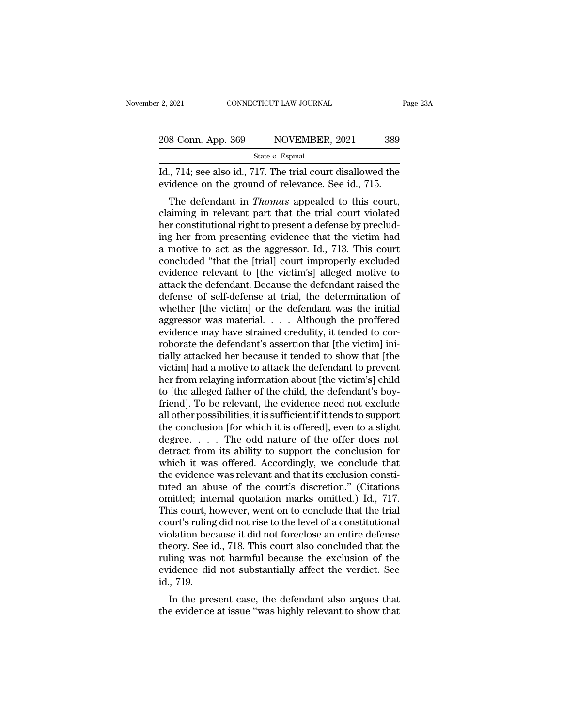12, 2021 CONNECTICUT LAW JOURNAL Page 23A<br>
208 Conn. App. 369 NOVEMBER, 2021 389<br>
389 State v. Espinal<br>
Id., 714; see also id., 717. The trial court disallowed the evidence on the ground of relevance. See id., 715. 208 Conn. App. 369 NOVEMBER, 2021 389<br>
State v. Espinal<br>
Id., 714; see also id., 717. The trial court disallowed the evidence on the ground of relevance. See id., 715.<br>
The defendant in *Thomas* appealed to this court,

8 Conn. App. 369 NOVEMBER, 2021 389<br>
State *v*. Espinal<br>
714; see also id., 717. The trial court disallowed the<br>
idence on the ground of relevance. See id., 715.<br>
The defendant in *Thomas* appealed to this court,<br>
siming i 208 Conn. App. 369 NOVEMBER, 2021 389<br>
State v. Espinal<br>
Id., 714; see also id., 717. The trial court disallowed the<br>
evidence on the ground of relevance. See id., 715.<br>
The defendant in *Thomas* appealed to this court,<br> State v. Espinal<br>Id., 714; see also id., 717. The trial court disallowed the<br>evidence on the ground of relevance. See id., 715.<br>The defendant in *Thomas* appealed to this court,<br>claiming in relevant part that the trial co Id., 714; see also id., 717. The trial court disallowed the evidence on the ground of relevance. See id., 715.<br>The defendant in *Thomas* appealed to this court, claiming in relevant part that the trial court violated her c a motive to act as the aggressor. Id., 713. The court is court,<br>claiming in relevant part that the trial court violated<br>her constitutional right to present a defense by preclud-<br>ing her from presenting evidence that the vi Free Source Concluded in *Thomas* appealed to this court,<br>claiming in relevant part that the trial court violated<br>her constitutional right to present a defense by preclud-<br>ing her from presenting evidence that the victim h The defendant in *Thomas* appealed to this court,<br>claiming in relevant part that the trial court violated<br>her constitutional right to present a defense by preclud-<br>ing her from presenting evidence that the victim had<br>a mot claiming in relevant part that the trial court violated<br>her constitutional right to present a defense by preclud-<br>ing her from presenting evidence that the victim had<br>a motive to act as the aggressor. Id., 713. This court<br> her constitutional right to present a defense by preclud-<br>ing her from presenting evidence that the victim had<br>a motive to act as the aggressor. Id., 713. This court<br>concluded "that the [trial] court improperly excluded<br>ev ing her from presenting evidence that the victim had<br>a motive to act as the aggressor. Id., 713. This court<br>concluded "that the [trial] court improperly excluded<br>evidence relevant to [the victim's] alleged motive to<br>attack a motive to act as the aggressor. Id., 713. This court<br>concluded "that the [trial] court improperly excluded<br>evidence relevant to [the victim's] alleged motive to<br>attack the defendant. Because the defendant raised the<br>defe concluded "that the [trial] court improperly excluded<br>evidence relevant to [the victim's] alleged motive to<br>attack the defendant. Because the defendant raised the<br>defense of self-defense at trial, the determination of<br>whet evidence relevant to [the victim's] alleged motive to<br>attack the defendant. Because the defendant raised the<br>defense of self-defense at trial, the determination of<br>whether [the victim] or the defendant was the initial<br>aggr attack the defendant. Because the defendant raised the<br>defense of self-defense at trial, the determination of<br>whether [the victim] or the defendant was the initial<br>aggressor was material. . . . Although the proffered<br>evide defense of self-defense at trial, the determination of<br>whether [the victim] or the defendant was the initial<br>aggressor was material. . . . Although the proffered<br>evidence may have strained credulity, it tended to cor-<br>robo whether [the victim] or the defendant was the initial<br>aggressor was material. . . . Although the proffered<br>evidence may have strained credulity, it tended to cor-<br>roborate the defendant's assertion that [the victim] ini-<br> aggressor was material. . . . . Although the proffered<br>evidence may have strained credulity, it tended to cor-<br>roborate the defendant's assertion that [the victim] ini-<br>tially attacked her because it tended to show that [t evidence may have strained credulity, it tended to corroborate the defendant's assertion that [the victim] initially attacked her because it tended to show that [the victim] had a motive to attack the defendant to prevent roborate the defendant's assertion that [the victim] initially attacked her because it tended to show that [the victim] had a motive to attack the defendant to prevent her from relaying information about [the victim's] chi tially attacked her because it tended to show that [the<br>victim] had a motive to attack the defendant to prevent<br>her from relaying information about [the victim's] child<br>to [the alleged father of the child, the defendant's victim] had a motive to attack the defendant to prevent<br>her from relaying information about [the victim's] child<br>to [the alleged father of the child, the defendant's boy-<br>friend]. To be relevant, the evidence need not excl her from relaying information about [the victim's] child<br>to [the alleged father of the child, the defendant's boy-<br>friend]. To be relevant, the evidence need not exclude<br>all other possibilities; it is sufficient if it tend to [the alleged father of the child, the defendant's boy-<br>friend]. To be relevant, the evidence need not exclude<br>all other possibilities; it is sufficient if it tends to support<br>the conclusion [for which it is offered], ev friend]. To be relevant, the evidence need not exclude<br>all other possibilities; it is sufficient if it tends to support<br>the conclusion [for which it is offered], even to a slight<br>degree. . . . . The odd nature of the offe all other possibilities; it is sufficient if it tends to support<br>the conclusion [for which it is offered], even to a slight<br>degree. . . . . The odd nature of the offer does not<br>detract from its ability to support the concl the conclusion [for which it is offered], even to a slight<br>degree. . . . . The odd nature of the offer does not<br>detract from its ability to support the conclusion for<br>which it was offered. Accordingly, we conclude that<br>th degree. . . . . The odd nature of the offer does not<br>detract from its ability to support the conclusion for<br>which it was offered. Accordingly, we conclude that<br>the evidence was relevant and that its exclusion consti-<br>tuted detract from its ability to support the conclusion for<br>which it was offered. Accordingly, we conclude that<br>the evidence was relevant and that its exclusion consti-<br>tuted an abuse of the court's discretion." (Citations<br>omit which it was offered. Accordingly, we conclude that<br>the evidence was relevant and that its exclusion consti-<br>tuted an abuse of the court's discretion." (Citations<br>omitted; internal quotation marks omitted.) Id., 717.<br>This the evidence was relevant and that its exclusion constituted an abuse of the court's discretion." (Citations omitted; internal quotation marks omitted.) Id., 717. This court, however, went on to conclude that the trial cou tuted an abuse of the court's discretion." (Citations<br>omitted; internal quotation marks omitted.) Id., 717.<br>This court, however, went on to conclude that the trial<br>court's ruling did not rise to the level of a constitution omitted; internal quotation marks omitted.) Id., 717.<br>This court, however, went on to conclude that the trial<br>court's ruling did not rise to the level of a constitutional<br>violation because it did not foreclose an entire de This court, he<br>court's ruling<br>violation bec<br>theory. See is<br>ruling was n<br>evidence did<br>id., 719.<br>In the pres In the present case, the defendant also argues that evidence did not substantially affect the verdict. See , 719.<br>In the present case, the defendant also argues that evidence did not substantially affect the verdict. See , Franchi because it dut not foreclose an entire defense theory. See id., 718. This court also concluded that the ruling was not harmful because the exclusion of the evidence did not substantially affect the verdict. See id.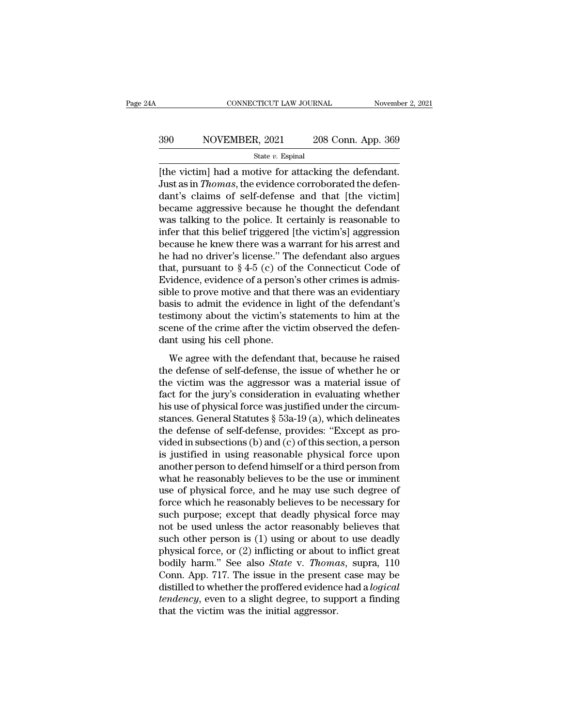# EXECUTE CONNECTICUT LAW JOURNAL Movember 2, 2021<br>390 NOVEMBER, 2021 208 Conn. App. 369<br>390 State v. Espinal

#### State *v.* Espinal

CONNECTICUT LAW JOURNAL November 2, 2<br>
390 NOVEMBER, 2021 208 Conn. App. 369<br>
310 State v. Espinal<br>
51 The victim] had a motive for attacking the defendant.<br>
51 Just as in *Thomas*, the evidence corroborated the defendant. Sumplement as in *Thomas*, the evidence corroborated the defendant.<br>Just as in *Thomas*, the evidence corroborated the defendant.<br>Just as in *Thomas*, the evidence corroborated the defendant's claims of self-defense and th  $\begin{array}{c|c} \text{390} & \text{NOVEMBER, 2021} & \text{208 Conn. App. 369} \\ \hline \text{State } v. \text{ Espinal} \\ \hline \text{[the victim] had a motive for attacking the defendant.} \\ \text{Just as in *Thomas*, the evidence corroborated the defendant's claims of self-defense and that [the victim] became aggressive because he thought the defendant was telling to the policy. It certainly is responsible to the application of the original text.} \end{array}$ became aggressive because he thought the defendant State v. Espinal<br>
State v. Espinal<br>
[the victim] had a motive for attacking the defendant.<br>
Just as in *Thomas*, the evidence corroborated the defen-<br>
dant's claims of self-defense and that [the victim]<br>
became aggressive state v. Espinal<br>
[the victim] had a motive for attacking the defendant.<br>
Just as in *Thomas*, the evidence corroborated the defendant's claims of self-defense and that [the victim]<br>
became aggressive because he thought t [the victim] had a motive for attacking the defendant.<br>Just as in *Thomas*, the evidence corroborated the defendant's claims of self-defense and that [the victim]<br>became aggressive because he thought the defendant<br>was tal Just as in *Thomas*, the evidence corroborated the defendant's claims of self-defense and that [the victim]<br>became aggressive because he thought the defendant<br>was talking to the police. It certainly is reasonable to<br>infer dant's claims of self-defense and that [the victim]<br>became aggressive because he thought the defendant<br>was talking to the police. It certainly is reasonable to<br>infer that this belief triggered [the victim's] aggression<br>be became aggressive because he thought the defendant<br>was talking to the police. It certainly is reasonable to<br>infer that this belief triggered [the victim's] aggression<br>because he knew there was a warrant for his arrest and was talking to the police. It certainly is reasonable to<br>infer that this belief triggered [the victim's] aggression<br>because he knew there was a warrant for his arrest and<br>he had no driver's license." The defendant also ar infer that this belief triggered [the victim's] aggression<br>because he knew there was a warrant for his arrest and<br>he had no driver's license." The defendant also argues<br>that, pursuant to  $\S 4-5$  (c) of the Connecticut Cod because he knew there was a warrant for his arrest and<br>he had no driver's license." The defendant also argues<br>that, pursuant to  $\S 4-5$  (c) of the Connecticut Code of<br>Evidence, evidence of a person's other crimes is admis he had no driver's license." The defendant also argues<br>that, pursuant to  $\S 4-5$  (c) of the Connecticut Code of<br>Evidence, evidence of a person's other crimes is admis-<br>sible to prove motive and that there was an evidentia that, pursuant to  $\S 4-5$  (c) of the Evidence, evidence of a person'<br>sible to prove motive and that the basis to admit the evidence in<br>testimony about the victim's st<br>scene of the crime after the vice<br>dant using his cell Method, evidence of a person's state errices is admis-<br>ble to prove motive and that there was an evidentiary<br>sis to admit the evidence in light of the defendant's<br>stimony about the victim's statements to him at the<br>ene of the defendant the evidence in light of the defendant's<br>testimony about the victim's statements to him at the<br>scene of the crime after the victim observed the defen-<br>dant using his cell phone.<br>We agree with the defendant th

business was a matrix of the victim's statements to him at the scene of the crime after the victim observed the defendant using his cell phone.<br>We agree with the defendant that, because he raised the defense of self-defens scene of the crime after the victim's statements to find at the<br>scene of the crime after the victim observed the defen-<br>dant using his cell phone.<br>We agree with the defendant that, because he raised<br>the defense of self-de dant using his cell phone.<br>We agree with the defendant that, because he raised<br>the defense of self-defense, the issue of whether he or<br>the victim was the aggressor was a material issue of<br>fact for the jury's consideration We agree with the defendant that, because he raised<br>the defense of self-defense, the issue of whether he or<br>the victim was the aggressor was a material issue of<br>fact for the jury's consideration in evaluating whether<br>his We agree with the defendant that, because he raised<br>the defense of self-defense, the issue of whether he or<br>the victim was the aggressor was a material issue of<br>fact for the jury's consideration in evaluating whether<br>his u the defense of self-defense, the issue of whether he or<br>the victim was the aggressor was a material issue of<br>fact for the jury's consideration in evaluating whether<br>his use of physical force was justified under the circumthe victim was the aggressor was a material issue of<br>fact for the jury's consideration in evaluating whether<br>his use of physical force was justified under the circum-<br>stances. General Statutes § 53a-19 (a), which delineate fact for the jury's consideration in evaluating whether<br>his use of physical force was justified under the circum-<br>stances. General Statutes § 53a-19 (a), which delineates<br>the defense of self-defense, provides: "Except as p his use of physical force was justified under the circum-<br>stances. General Statutes  $\S$  53a-19 (a), which delineates<br>the defense of self-defense, provides: "Except as pro-<br>vided in subsections (b) and (c) of this section, stances. General Statutes § 53a-19 (a), which delineates<br>the defense of self-defense, provides: "Except as pro-<br>vided in subsections (b) and (c) of this section, a person<br>is justified in using reasonable physical force upo the defense of self-defense, provides: "Except as provided in subsections (b) and (c) of this section, a person<br>is justified in using reasonable physical force upon<br>another person to defend himself or a third person from<br>w vided in subsections (b) and (c) of this section, a person<br>is justified in using reasonable physical force upon<br>another person to defend himself or a third person from<br>what he reasonably believes to be the use or imminent<br> is justified in using reasonable physical force upon<br>another person to defend himself or a third person from<br>what he reasonably believes to be the use or imminent<br>use of physical force, and he may use such degree of<br>force another person to defend himself or a third person from<br>what he reasonably believes to be the use or imminent<br>use of physical force, and he may use such degree of<br>force which he reasonably believes to be necessary for<br>such what he reasonably believes to be the use or imminent<br>use of physical force, and he may use such degree of<br>force which he reasonably believes to be necessary for<br>such purpose; except that deadly physical force may<br>not be use of physical force, and he may use such degree of<br>force which he reasonably believes to be necessary for<br>such purpose; except that deadly physical force may<br>not be used unless the actor reasonably believes that<br>such oth force which he reasonably believes to be necessary for<br>such purpose; except that deadly physical force may<br>not be used unless the actor reasonably believes that<br>such other person is (1) using or about to use deadly<br>physica such purpose; except that deadly physical force may<br>not be used unless the actor reasonably believes that<br>such other person is (1) using or about to use deadly<br>physical force, or (2) inflicting or about to inflict great<br>bo not be used unless the actor reasonably believes that<br>such other person is (1) using or about to use deadly<br>physical force, or (2) inflicting or about to inflict great<br>bodily harm." See also *State* v. *Thomas*, supra, 110 such other person is  $(1)$  using or about physical force, or  $(2)$  inflicting or about to bodily harm." See also *State v. Thoma* Conn. App. 717. The issue in the present distilled to whether the proffered evidenc *tenden*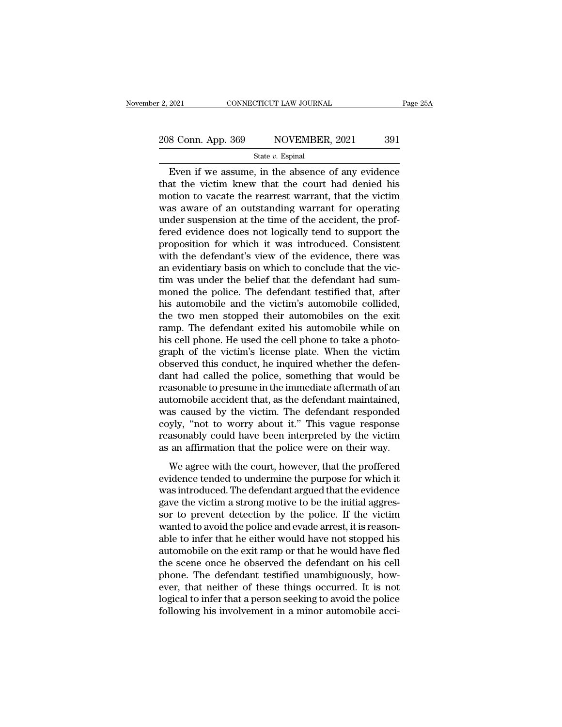# 2, 2021 CONNECTICUT LAW JOURNAL Page 25A<br>
208 Conn. App. 369 NOVEMBER, 2021 391<br>
State v. Espinal

#### State *v.* Espinal

Even if we assume, in the absence of any evidence<br>
Solution to vertex assume, in the absence of any evidence<br>
at the victim knew that the court had denied his<br>
ation to vecto the recept were that the victim 208 Conn. App. 369 NOVEMBER, 2021 391 208 Conn. App. 369 NOVEMBER, 2021 391<br>
State v. Espinal<br>
Even if we assume, in the absence of any evidence<br>
that the victim knew that the court had denied his<br>
motion to vacate the rearrest warrant, that the victim<br>
was a 208 Conn. App. 369 NOVEMBER, 2021 391<br>
State v. Espinal<br>
Even if we assume, in the absence of any evidence<br>
that the victim knew that the court had denied his<br>
motion to vacate the rearrest warrant, that the victim<br>
was a State v. Espinal<br>
Even if we assume, in the absence of any evidence<br>
that the victim knew that the court had denied his<br>
motion to vacate the rearrest warrant, that the victim<br>
was aware of an outstanding warrant for opera State v. Espinal<br>
Even if we assume, in the absence of any evidence<br>
that the victim knew that the court had denied his<br>
motion to vacate the rearrest warrant, that the victim<br>
was aware of an outstanding warrant for oper Even if we assume, in the absence of any evidence<br>that the victim knew that the court had denied his<br>motion to vacate the rearrest warrant, that the victim<br>was aware of an outstanding warrant for operating<br>under suspension that the victim knew that the court had denied his<br>motion to vacate the rearrest warrant, that the victim<br>was aware of an outstanding warrant for operating<br>under suspension at the time of the accident, the prof-<br>fered evid motion to vacate the rearrest warrant, that the victim<br>was aware of an outstanding warrant for operating<br>under suspension at the time of the accident, the prof-<br>fered evidence does not logically tend to support the<br>proposi was aware of an outstanding warrant for operating<br>under suspension at the time of the accident, the prof-<br>fered evidence does not logically tend to support the<br>proposition for which it was introduced. Consistent<br>with the d under suspension at the time of the accident, the prof-<br>fered evidence does not logically tend to support the<br>proposition for which it was introduced. Consistent<br>with the defendant's view of the evidence, there was<br>an evid fered evidence does not logically tend to support the proposition for which it was introduced. Consistent with the defendant's view of the evidence, there was an evidentiary basis on which to conclude that the victim was u proposition for which it was introduced. Consistent<br>with the defendant's view of the evidence, there was<br>an evidentiary basis on which to conclude that the vic-<br>tim was under the belief that the defendant had sum-<br>moned th with the defendant's view of the evidence, there was<br>an evidentiary basis on which to conclude that the vic-<br>tim was under the belief that the defendant had sum-<br>moned the police. The defendant testified that, after<br>his au an evidentiary basis on which to conclude that the victim was under the belief that the defendant had summoned the police. The defendant testified that, after his automobile and the victim's automobile collided, the two me tim was under the belief that the defendant had sum-<br>moned the police. The defendant testified that, after<br>his automobile and the victim's automobile collided,<br>the two men stopped their automobiles on the exit<br>ramp. The de moned the police. The defendant testified that, after<br>his automobile and the victim's automobile collided,<br>the two men stopped their automobiles on the exit<br>ramp. The defendant exited his automobile while on<br>his cell phone his automobile and the victim's automobile collided,<br>the two men stopped their automobiles on the exit<br>ramp. The defendant exited his automobile while on<br>his cell phone. He used the cell phone to take a photo-<br>graph of the the two men stopped their automobiles on the exit<br>ramp. The defendant exited his automobile while on<br>his cell phone. He used the cell phone to take a photo-<br>graph of the victim's license plate. When the victim<br>observed thi ramp. The defendant exited his automobile while on<br>his cell phone. He used the cell phone to take a photo-<br>graph of the victim's license plate. When the victim<br>observed this conduct, he inquired whether the defen-<br>dant had his cell phone. He used the cell phone to take a photograph of the victim's license plate. When the victim observed this conduct, he inquired whether the defendant had called the police, something that would be reasonable graph of the victim's license plate. When the victim<br>observed this conduct, he inquired whether the defen-<br>dant had called the police, something that would be<br>reasonable to presume in the immediate aftermath of an<br>automobi observed this conduct, he inquired whether the defen-<br>dant had called the police, something that would be<br>reasonable to presume in the immediate aftermath of an<br>automobile accident that, as the defendant maintained,<br>was ca dant had called the police, something that would be reasonable to presume in the immediate aftermath of an automobile accident that, as the defendant maintained, was caused by the victim. The defendant responded coyly, "no Example accident that, as the defendant maintained,<br>tomobile accident that, as the defendant responded<br>yly, "not to worry about it." This vague response<br>asonably could have been interpreted by the victim<br>an affirmation tha existing a certifical transformation of the victim. The defendant responded coyly, "not to worry about it." This vague response reasonably could have been interpreted by the victim as an affirmation that the police were on

was caused by the vient. The defendant response<br>coyly, "not to worry about it." This vague response<br>reasonably could have been interpreted by the victim<br>as an affirmation that the police were on their way.<br>We agree with th gave the victim as an affirmation that the police were on their way.<br>We agree with the court, however, that the proffered<br>evidence tended to undermine the purpose for which it<br>was introduced. The defendant argued that the solar that the police were on their way.<br>We agree with the court, however, that the proffered<br>evidence tended to undermine the purpose for which it<br>was introduced. The defendant argued that the evidence<br>gave the victim a s We agree with the court, however, that the proffered<br>evidence tended to undermine the purpose for which it<br>was introduced. The defendant argued that the evidence<br>gave the victim a strong motive to be the initial aggressor<br> We agree with the court, however, that the proffered<br>evidence tended to undermine the purpose for which it<br>was introduced. The defendant argued that the evidence<br>gave the victim a strong motive to be the initial aggres-<br>so evidence tended to undermine the purpose for which it<br>was introduced. The defendant argued that the evidence<br>gave the victim a strong motive to be the initial aggressor<br>sor to prevent detection by the police. If the victim was introduced. The defendant argued that the evidence<br>gave the victim a strong motive to be the initial aggressor to prevent detection by the police. If the victim<br>wanted to avoid the police and evade arrest, it is reason gave the victim a strong motive to be the initial aggressor to prevent detection by the police. If the victim wanted to avoid the police and evade arrest, it is reasonable to infer that he either would have not stopped his sor to prevent detection by the police. If the victim<br>wanted to avoid the police and evade arrest, it is reason-<br>able to infer that he either would have not stopped his<br>automobile on the exit ramp or that he would have fle wanted to avoid the police and evade arrest, it is reasonable to infer that he either would have not stopped his automobile on the exit ramp or that he would have fled the scene once he observed the defendant on his cell p able to infer that he either would have not stopped his automobile on the exit ramp or that he would have fled<br>the scene once he observed the defendant on his cell<br>phone. The defendant testified unambiguously, how-<br>ever, t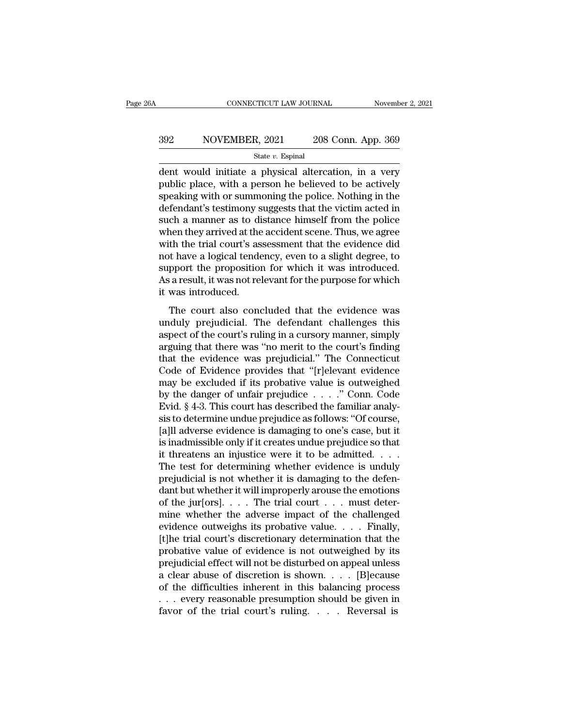# EXECUTE CONNECTICUT LAW JOURNAL Movember 2, 2021<br>392 NOVEMBER, 2021 208 Conn. App. 369<br>5tate v. Espinal

State *v.* Espinal

 $\begin{array}{r|l}\n\text{COMNETICUT LAW JOURNAL} & \text{November 2, 2021} \\
\hline\n & \text{SOVEMBER, 2021} & \text{208 Conn. App. 369} \\
\hline\n & \text{State } v. \text{ Espinal} \\
\hline\n\text{dent would initiate a physical alteration, in a very public place, with a person he believed to be actively} \\
\text{spooling with or summening the police. Nothing in the\n}\n\end{array}$  $\begin{array}{r} \text{392} \text{NOVEMBER, } 2021 \text{ } \text{208 Conn. App. 369} \\ \text{State } v. \text{ Espinal} \end{array}$  dent would initiate a physical altercation, in a very public place, with a person he believed to be actively speaking with or summoning the police. Noth  $\frac{\text{392}}{\text{State } v. \text{ Espinal}}$   $\frac{\text{State } v. \text{ Espinal}}{\text{dent would initiate a physical alteration, in a very public place, with a person he believed to be actively speaking with or summoning the police. Nothing in the defendant's testimony suggests that the victim acted in such a manner as to distance himself from the police.$  $392$  NOVEMBER, 2021 208 Conn. App. 369<br>  $\xi$  State v. Espinal<br>
dent would initiate a physical altercation, in a very<br>
public place, with a person he believed to be actively<br>
speaking with or summoning the police. Nothing state *v*. Espinal<br>state *v*. Espinal<br>public place, with a person he believed to be actively<br>speaking with or summoning the police. Nothing in the<br>defendant's testimony suggests that the victim acted in<br>such a manner as t state v. Espinal<br>dent would initiate a physical altercation, in a very<br>public place, with a person he believed to be actively<br>speaking with or summoning the police. Nothing in the<br>defendant's testimony suggests that the v dent would initiate a physical altercation, in a very<br>public place, with a person he believed to be actively<br>speaking with or summoning the police. Nothing in the<br>defendant's testimony suggests that the victim acted in<br>suc public place, with a person he believed to be actively<br>speaking with or summoning the police. Nothing in the<br>defendant's testimony suggests that the victim acted in<br>such a manner as to distance himself from the police<br>when speaking with or summoning the police. Nothing in the defendant's testimony suggests that the victim acted in such a manner as to distance himself from the police when they arrived at the accident scene. Thus, we agree wit defendant's testimony suggests that the victim acted in<br>such a manner as to distance himself from the police<br>when they arrived at the accident scene. Thus, we agree<br>with the trial court's assessment that the evidence did<br>n such a manner as to di<br>when they arrived at the<br>with the trial court's as<br>not have a logical tende<br>support the proposition<br>As a result, it was not rel<br>it was introduced.<br>The court also conc th the trial court's assessment that the evidence did<br>th ave a logical tendency, even to a slight degree, to<br>pport the proposition for which it was introduced.<br>a result, it was not relevant for the purpose for which<br>was in what are dial courts assessment and the criticity and not have a logical tendency, even to a slight degree, to support the proposition for which it was introduced.<br>As a result, it was not relevant for the purpose for which

From the proposition for which it was introduced.<br>As a result, it was not relevant for the purpose for which<br>it was introduced.<br>The court also concluded that the evidence was<br>unduly prejudicial. The defendant challenges th As a result, it was not relevant for the purpose for which<br>As a result, it was not relevant for the purpose for which<br>it was introduced.<br>The court also concluded that the evidence was<br>unduly prejudicial. The defendant chal It was introduced.<br>
The court also concluded that the evidence was<br>
unduly prejudicial. The defendant challenges this<br>
aspect of the court's ruling in a cursory manner, simply<br>
arguing that there was "no merit to the court The court also concluded that the evidence was<br>
unduly prejudicial. The defendant challenges this<br>
aspect of the court's ruling in a cursory manner, simply<br>
arguing that there was "no merit to the court's finding<br>
that the The court also concluded that the evidence was<br>unduly prejudicial. The defendant challenges this<br>aspect of the court's ruling in a cursory manner, simply<br>arguing that there was "no merit to the court's finding<br>that the ev unduly prejudicial. The defendant challenges this<br>aspect of the court's ruling in a cursory manner, simply<br>arguing that there was "no merit to the court's finding<br>that the evidence was prejudicial." The Connecticut<br>Code of aspect of the court's ruling in a cursory manner, simply<br>arguing that there was "no merit to the court's finding<br>that the evidence was prejudicial." The Connecticut<br>Code of Evidence provides that "[r]elevant evidence<br>may arguing that there was "no merit to the court's finding<br>that the evidence was prejudicial." The Connecticut<br>Code of Evidence provides that "[r]elevant evidence<br>may be excluded if its probative value is outweighed<br>by the da that the evidence was prejudicial." The Connecticut<br>Code of Evidence provides that "[r]elevant evidence<br>may be excluded if its probative value is outweighed<br>by the danger of unfair prejudice  $\ldots$ ." Conn. Code<br>Evid. § 4-3 Code of Evidence provides that "[r]elevant evidence<br>may be excluded if its probative value is outweighed<br>by the danger of unfair prejudice  $\ldots$ ." Conn. Code<br>Evid. § 4-3. This court has described the familiar analy-<br>sis t may be excluded if its probative value is outweighed<br>by the danger of unfair prejudice  $\ldots$ ." Conn. Code<br>Evid. § 4-3. This court has described the familiar analy-<br>sis to determine undue prejudice as follows: "Of course,<br> by the danger of unfair prejudice  $\ldots$  ." Conn. Code<br>Evid. § 4-3. This court has described the familiar analy-<br>sis to determine undue prejudice as follows: "Of course,<br>[a]ll adverse evidence is damaging to one's case, bu Evid. § 4-3. This court has described the familiar analysis to determine undue prejudice as follows: "Of course, [a]ll adverse evidence is damaging to one's case, but it is inadmissible only if it creates undue prejudice sis to determine undue prejudice as follows: "Of course,<br>[a]ll adverse evidence is damaging to one's case, but it<br>is inadmissible only if it creates undue prejudice so that<br>it threatens an injustice were it to be admitted [a]ll adverse evidence is damaging to one's case, but it<br>is inadmissible only if it creates undue prejudice so that<br>it threatens an injustice were it to be admitted. . . .<br>The test for determining whether evidence is undu is inadmissible only if it creates undue prejudice so that<br>it threatens an injustice were it to be admitted. . . .<br>The test for determining whether evidence is unduly<br>prejudicial is not whether it is damaging to the defen it threatens an injustice were it to be admitted. . . . The test for determining whether evidence is unduly prejudicial is not whether it is damaging to the defendant but whether it will improperly arouse the emotions of The test for determining whether evidence is unduly<br>prejudicial is not whether it is damaging to the defen-<br>dant but whether it will improperly arouse the emotions<br>of the jur[ors]. . . . The trial court . . . must deter-<br> prejudicial is not whether it is damaging to the defendant but whether it will improperly arouse the emotions<br>of the jur[ors]. . . . The trial court . . . must deter-<br>mine whether the adverse impact of the challenged<br>evid dant but whether it will improperly arouse the emotions<br>of the jur[ors]....The trial court ... must deter-<br>mine whether the adverse impact of the challenged<br>evidence outweighs its probative value....Finally,<br>[t]he trial c of the jur[ors].... The trial court ... must deter-<br>mine whether the adverse impact of the challenged<br>evidence outweighs its probative value.... Finally,<br>[t]he trial court's discretionary determination that the<br>probative mine whether the adverse impact of the challenged<br>evidence outweighs its probative value.... Finally,<br>[t]he trial court's discretionary determination that the<br>probative value of evidence is not outweighed by its<br>prejudici evidence outweighs its probative value. . . . . Finally,<br>[t]he trial court's discretionary determination that the<br>probative value of evidence is not outweighed by its<br>prejudicial effect will not be disturbed on appeal unl [t] the trial court's discretionary determination that the probative value of evidence is not outweighed by its prejudicial effect will not be disturbed on appeal unless a clear abuse of discretion is shown. . . . [B] eca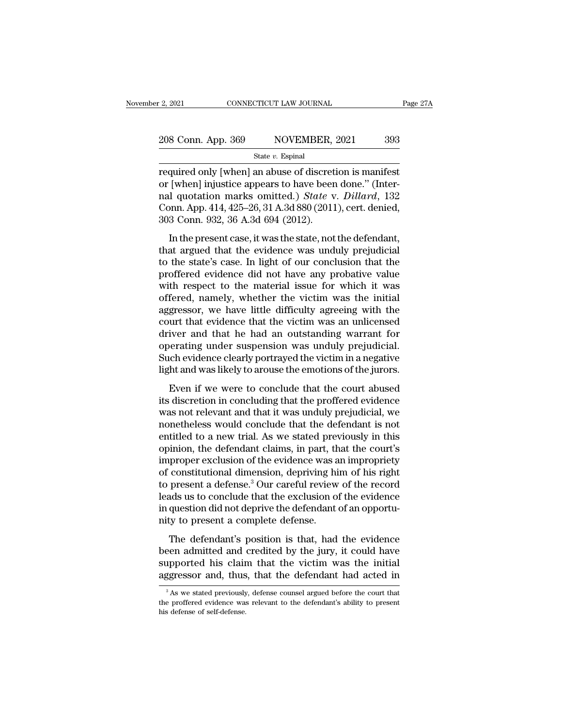# 2, 2021 CONNECTICUT LAW JOURNAL Page 27A<br>
208 Conn. App. 369 NOVEMBER, 2021 393<br>
State v. Espinal

State *v.* Espinal

required only [when] an abuse of discretion is manifest<br>
and many connection is manifest<br>
required only [when] an abuse of discretion is manifest<br>
or [when] injustice appears to have been done." (Inter-<br>
required only inj 208 Conn. App. 369 NOVEMBER, 2021 393<br>
State v. Espinal<br>
required only [when] an abuse of discretion is manifest<br>
or [when] injustice appears to have been done.'' (Inter-<br>
ral quotation marks omitted.) *State* v. *Dillard* 208 Conn. App. 369 NOVEMBER, 2021 393<br>
State v. Espinal<br>
required only [when] an abuse of discretion is manifest<br>
or [when] injustice appears to have been done." (Inter-<br>
nal quotation marks omitted.) *State* v. *Dillard*, 208 Conn. App. 369 NOVEMBER, 2021 393<br>
State v. Espinal<br>
required only [when] an abuse of discretion is manifest<br>
or [when] injustice appears to have been done." (Inter-<br>
nal quotation marks omitted.) State v. Dillard, 13  $\begin{array}{r}\n\hline\n\text{State } v. \text{ Explain} \\
\hline\n\text{State } v. \text{ Espinal} \\
\hline\n\text{required only [when] an abuse of discrete} \\
\hline\n\text{or [when] injective appears to have been} \\
\hline\n\text{non. App. 414, 425–26, 31 A.3d 880 (2011) \\
\hline\n\text{303 Conn. 932, 36 A.3d 694 (2012).} \\
\hline\n\text{In the present case, it was the state, not} \end{array}$ quired only [when] an abuse of discretion is manifest<br>[when] injustice appears to have been done." (Inter-<br>l quotation marks omitted.) State v. Dillard, 132<br>pnn. App. 414, 425–26, 31 A.3d 880 (2011), cert. denied,<br>3 Conn. tequared only [when] in abuse of userclabit is maintest<br>or [when] injustice appears to have been done." (Inter-<br>nal quotation marks omitted.) *State* v. *Dillard*, 132<br>Conn. App. 414, 425–26, 31 A.3d 880 (2011), cert. den

or [when] hydsice appears to have seen done. (mechanor and quotation marks omitted.) *State* v. *Dillard*, 132 Conn. App. 414, 425–26, 31 A.3d 880 (2011), cert. denied, 303 Conn. 932, 36 A.3d 694 (2012).<br>In the present ca From App. 414, 425–26, 31 A.3d 880 (2011), cert. denied,<br>303 Conn. 932, 36 A.3d 694 (2012).<br>In the present case, it was the state, not the defendant,<br>that argued that the evidence was unduly prejudicial<br>to the state's cas Solar, App. 11, as 23, 311.88 830 (2011), ecr. defied,<br>303 Conn. 932, 36 A.3d 694 (2012).<br>In the present case, it was the state, not the defendant,<br>that argued that the evidence was unduly prejudicial<br>to the state's case. In the present case, it was the state, not the defendant,<br>that argued that the evidence was unduly prejudicial<br>to the state's case. In light of our conclusion that the<br>proffered evidence did not have any probative value<br>wi In the present case, it was the state, not the defendant,<br>that argued that the evidence was unduly prejudicial<br>to the state's case. In light of our conclusion that the<br>proffered evidence did not have any probative value<br>wi that argued that the evidence was unduly prejudicial<br>to the state's case. In light of our conclusion that the<br>proffered evidence did not have any probative value<br>with respect to the material issue for which it was<br>offered, to the state's case. In light of our conclusion that the proffered evidence did not have any probative value with respect to the material issue for which it was offered, namely, whether the victim was the initial aggressor proffered evidence did not have any probative value<br>with respect to the material issue for which it was<br>offered, namely, whether the victim was the initial<br>aggressor, we have little difficulty agreeing with the<br>court that with respect to the material issue for which it was<br>offered, namely, whether the victim was the initial<br>aggressor, we have little difficulty agreeing with the<br>court that evidence that the victim was an unlicensed<br>driver an offered, namely, whether the victim was the initial aggressor, we have little difficulty agreeing with the court that evidence that the victim was an unlicensed driver and that he had an outstanding warrant for operating u gressor, we have made anneally agreenig with the<br>urt that evidence that the victim was an unlicensed<br>iver and that he had an outstanding warrant for<br>verating under suspension was unduly prejudicial.<br>ch evidence clearly por Example and that he had an outstanding warrant for<br>operating under suspension was unduly prejudicial.<br>Such evidence clearly portrayed the victim in a negative<br>light and was likely to arouse the emotions of the jurors.<br>Even

operating under suspension was unduly prejudicial.<br>Such evidence clearly portrayed the victim in a negative<br>light and was likely to arouse the emotions of the jurors.<br>Even if we were to conclude that the court abused<br>its d Such evidence clearly portrayed the victim in a negative<br>light and was likely to arouse the emotions of the jurors.<br>Even if we were to conclude that the court abused<br>its discretion in concluding that the proffered evidence Exact evidence elearly porally of all vielant at highave light and was likely to arouse the emotions of the jurors.<br>Even if we were to conclude that the court abused<br>its discretion in concluding that the proffered evidence Even if we were to conclude that the court abused<br>its discretion in concluding that the proffered evidence<br>was not relevant and that it was unduly prejudicial, we<br>nonetheless would conclude that the defendant is not<br>entitl Even if we were to conclude that the court abused<br>its discretion in concluding that the proffered evidence<br>was not relevant and that it was unduly prejudicial, we<br>nonetheless would conclude that the defendant is not<br>entit its discretion in concluding that the proffered evidence<br>was not relevant and that it was unduly prejudicial, we<br>nonetheless would conclude that the defendant is not<br>entitled to a new trial. As we stated previously in this was not relevant and that it was unduly prejudicial, we<br>nonetheless would conclude that the defendant is not<br>entitled to a new trial. As we stated previously in this<br>opinion, the defendant claims, in part, that the court's nonetheless would conclude that the defendant is not<br>entitled to a new trial. As we stated previously in this<br>opinion, the defendant claims, in part, that the court's<br>improper exclusion of the evidence was an impropriety<br>o entitled to a new trial. As we stated previously in this opinion, the defendant claims, in part, that the court's improper exclusion of the evidence was an impropriety of constitutional dimension, depriving him of his righ opinion, the defendant claims, in part, the improper exclusion of the evidence was a of constitutional dimension, depriving hi<br>to present a defense.<sup>3</sup> Our careful review<br>leads us to conclude that the exclusion of<br>in quest proper exerts for the evidence was an impropriety<br>constitutional dimension, depriving him of his right<br>present a defense.<sup>3</sup> Our careful review of the record<br>ads us to conclude that the exclusion of the evidence<br>question d between a defense.<sup>3</sup> Our careful review of the record<br>leads us to conclude that the exclusion of the evidence<br>in question did not deprive the defendant of an opportu-<br>nity to present a complete defense.<br>The defendant's po

suppose the defense. The calculation of the evidence in question did not deprive the defendant of an opportunity to present a complete defense.<br>The defendant's position is that, had the evidence been admitted and credited in question did not deprive the defendant of an opportunity to present a complete defense.<br>The defendant's position is that, had the evidence been admitted and credited by the jury, it could have supported his claim that The defendant's position is that, had the evidence<br>een admitted and credited by the jury, it could have<br>upported his claim that the victim was the initial<br>ggressor and, thus, that the defendant had acted in<br> $\frac{3}{8}$ As we been admitted and credited by the jury, it could have supported his claim that the victim was the initial aggressor and, thus, that the defendant had acted in  $\frac{3}{10}$  As we stated previously, defense counsel argued bef

supported his clair<br>aggressor and, thus<br><sup>3</sup>As we stated previously<br>the proffered evidence was<br>his defense of self-defense.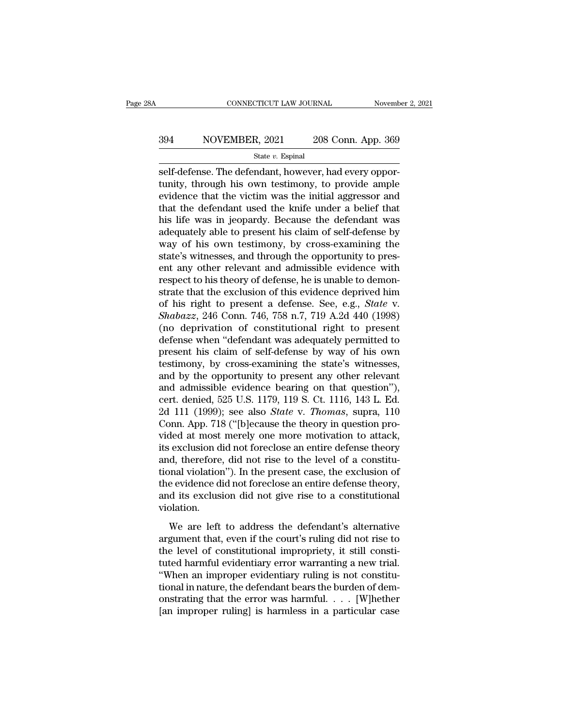# EXECUTE CONNECTICUT LAW JOURNAL Movember 2, 2021<br>394 NOVEMBER, 2021 208 Conn. App. 369<br>34 State v. Espinal

State *v.* Espinal

CONNECTICUT LAW JOURNAL November November November 2008<br>
State v. Espinal<br>
Self-defense. The defendant, however, had every oppor-<br>
tunity, through his own testimony, to provide ample<br>
ovidence that the victim was the initi NOVEMBER, 2021 208 Conn. App. 369<br>
state v. Espinal<br>
self-defense. The defendant, however, had every oppor-<br>
tunity, through his own testimony, to provide ample<br>
evidence that the victim was the initial aggressor and<br>
that Sexteember 2021 208 Conn. App. 369<br>
State v. Espinal<br>
Self-defense. The defendant, however, had every opportunity, through his own testimony, to provide ample<br>
evidence that the victim was the initial aggressor and<br>
that 394 NOVEMBER, 2021 208 Conn. App. 369<br>  $\frac{\text{State } v. \text{ Espinal}}{\text{self-defense. The defendant, however, had every opportunity, through his own testimony, to provide ample evidence that the victim was the initial aggressive and that the defendant used the knife under a belief that his life was in jeopardy. Because the defendant was adequately able to present his claim of self defense by$ State v. Espinal<br>
State v. Espinal<br>
State v. Espinal<br>
State v. Espinal<br>
tunity, through his own testimony, to provide ample<br>
evidence that the victim was the initial aggressor and<br>
that the defendant used the knife under state v. Espinal<br>self-defense. The defendant, however, had every oppor-<br>tunity, through his own testimony, to provide ample<br>evidence that the victim was the initial aggressor and<br>that the defendant used the knife under a self-defense. The defendant, however, had every opportunity, through his own testimony, to provide ample evidence that the victim was the initial aggressor and that the defendant used the knife under a belief that his life tunity, through his own testimony, to provide ample<br>evidence that the victim was the initial aggressor and<br>that the defendant used the knife under a belief that<br>his life was in jeopardy. Because the defendant was<br>adequatel evidence that the victim was the initial aggressor and<br>that the defendant used the knife under a belief that<br>his life was in jeopardy. Because the defendant was<br>adequately able to present his claim of self-defense by<br>way o that the defendant used the knife under a belief that<br>his life was in jeopardy. Because the defendant was<br>adequately able to present his claim of self-defense by<br>way of his own testimony, by cross-examining the<br>state's wit his life was in jeopardy. Because the defendant was<br>adequately able to present his claim of self-defense by<br>way of his own testimony, by cross-examining the<br>state's witnesses, and through the opportunity to pres-<br>ent any adequately able to present his claim of self-defense by<br>way of his own testimony, by cross-examining the<br>state's witnesses, and through the opportunity to pres-<br>ent any other relevant and admissible evidence with<br>respect t way of his own testimony, by cross-examining the<br>state's witnesses, and through the opportunity to pres-<br>ent any other relevant and admissible evidence with<br>respect to his theory of defense, he is unable to demon-<br>strate t state's witnesses, and through the opportunity to present any other relevant and admissible evidence with<br>respect to his theory of defense, he is unable to demon-<br>strate that the exclusion of this evidence deprived him<br>of ent any other relevant and admissible evidence with<br>respect to his theory of defense, he is unable to demon-<br>strate that the exclusion of this evidence deprived him<br>of his right to present a defense. See, e.g., *State* v.<br> respect to his theory of defense, he is unable to demonstrate that the exclusion of this evidence deprived him<br>of his right to present a defense. See, e.g., *State* v.<br>*Shabazz*, 246 Conn. 746, 758 n.7, 719 A.2d 440 (1998) strate that the exclusion of this evidence deprived him<br>of his right to present a defense. See, e.g., *State* v.<br>*Shabazz*, 246 Conn. 746, 758 n.7, 719 A.2d 440 (1998)<br>(no deprivation of constitutional right to present<br>def of his right to present a defense. See, e.g., *State* v.<br> *Shabazz*, 246 Conn. 746, 758 n.7, 719 A.2d 440 (1998)<br>
(no deprivation of constitutional right to present<br>
defense when "defendant was adequately permitted to<br>
pr *Shabazz*, 246 Conn. 746, 758 n.7, 719 A.2d 440 (1998)<br>(no deprivation of constitutional right to present<br>defense when "defendant was adequately permitted to<br>present his claim of self-defense by way of his own<br>testimony, (no deprivation of constitutional right to present<br>defense when "defendant was adequately permitted to<br>present his claim of self-defense by way of his own<br>testimony, by cross-examining the state's witnesses,<br>and by the op defense when "defendant was adequately permitted to<br>present his claim of self-defense by way of his own<br>testimony, by cross-examining the state's witnesses,<br>and by the opportunity to present any other relevant<br>and admissib present his claim of self-defense by way of his own<br>testimony, by cross-examining the state's witnesses,<br>and by the opportunity to present any other relevant<br>and admissible evidence bearing on that question"),<br>cert. denied testimony, by cross-examining the state's witnesses,<br>and by the opportunity to present any other relevant<br>and admissible evidence bearing on that question"),<br>cert. denied, 525 U.S. 1179, 119 S. Ct. 1116, 143 L. Ed.<br>2d 111 and by the opportunity to present any other relevant<br>and admissible evidence bearing on that question"),<br>cert. denied, 525 U.S. 1179, 119 S. Ct. 1116, 143 L. Ed.<br>2d 111 (1999); see also *State* v. *Thomas*, supra, 110<br>Conn and admissible evidence bearing on that question"),<br>cert. denied, 525 U.S. 1179, 119 S. Ct. 1116, 143 L. Ed.<br>2d 111 (1999); see also *State* v. *Thomas*, supra, 110<br>Conn. App. 718 ("[b]ecause the theory in question pro-<br>vi cert. denied, 525 U.S. 1179, 119 S. Ct. 1116, 143 L. Ed.<br>2d 111 (1999); see also *State* v. *Thomas*, supra, 110<br>Conn. App. 718 ("[b]ecause the theory in question pro-<br>vided at most merely one more motivation to attack,<br>it 2d 111 (1999); see also *State* v. *Thomas*, supra, 110<br>Conn. App. 718 ("[b]ecause the theory in question pro-<br>vided at most merely one more motivation to attack,<br>its exclusion did not foreclose an entire defense theory<br>an Conn. App. 718 ("[b]ecause the theory in question pro-<br>vided at most merely one more motivation to attack,<br>its exclusion did not foreclose an entire defense theory<br>and, therefore, did not rise to the level of a constitu-<br>t violation. d, therefore, did not rise to the level of a constitu-<br>and violation"). In the present case, the exclusion of<br>e evidence did not foreclose an entire defense theory,<br>d its exclusion did not give rise to a constitutional<br>pla aria, and violation"). In the present case, the exclusion of<br>the evidence did not foreclose an entire defense theory,<br>and its exclusion did not give rise to a constitutional<br>violation.<br>We are left to address the defendant'

the evidence did not foreclose an entire defense theory,<br>the evidence did not foreclose an entire defense theory,<br>and its exclusion did not give rise to a constitutional<br>violation.<br>We are left to address the defendant's al and its exclusion did not give rise to a constitutional<br>violation.<br>We are left to address the defendant's alternative<br>argument that, even if the court's ruling did not rise to<br>the level of constitutional impropriety, it st Violation.<br>
We are left to address the defendant's alternative<br>
argument that, even if the court's ruling did not rise to<br>
the level of constitutional impropriety, it still constituted harmful evidentiary error warranting We are left to address the defendant's alternative<br>argument that, even if the court's ruling did not rise to<br>the level of constitutional impropriety, it still constitu-<br>tuted harmful evidentiary error warranting a new tri We are left to address the defendant's alternative<br>argument that, even if the court's ruling did not rise to<br>the level of constitutional impropriety, it still consti-<br>tuted harmful evidentiary error warranting a new trial argument that, even if the court's ruling did not rise to<br>the level of constitutional impropriety, it still consti-<br>tuted harmful evidentiary error warranting a new trial.<br>"When an improper evidentiary ruling is not consti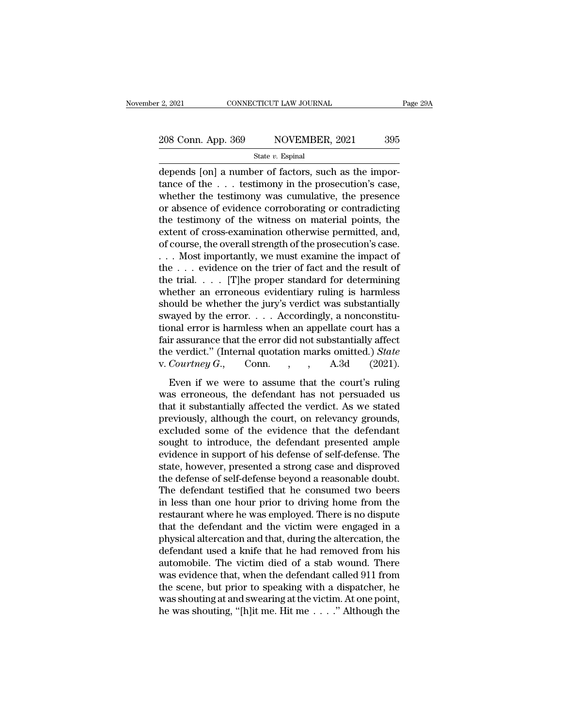# 2, 2021 CONNECTICUT LAW JOURNAL Page 29A<br>
208 Conn. App. 369 NOVEMBER, 2021 395<br>
State v. Espinal

#### State *v.* Espinal

 $\frac{1}{2}$ , 2021 cONNECTICUT LAW JOURNAL<br>  $\frac{208 \text{ Conn. App. } 369}$  NOVEMBER, 2021 395<br>  $\frac{1}{3}$  State v. Espinal<br>
depends [on] a number of factors, such as the impor-<br>
tance of the . . . testimony was aumulative, the presenc 208 Conn. App. 369 NOVEMBER, 2021 395<br>
State v. Espinal<br>
depends [on] a number of factors, such as the importance of the . . . testimony in the prosecution's case,<br>
whether the testimony was cumulative, the presence<br>
or a 208 Conn. App. 369 NOVEMBER, 2021 395<br>
State v. Espinal<br>
depends [on] a number of factors, such as the importance of the . . . testimony in the prosecution's case,<br>
whether the testimony was cumulative, the presence<br>
or a 208 Conn. App. 369 NOVEMBER, 2021 395<br>
State v. Espinal<br>
depends [on] a number of factors, such as the importance of the . . . testimony in the prosecution's case,<br>
whether the testimony was cumulative, the presence<br>
or a State v. Espinal<br>depends [on] a number of factors, such as the importance of the . . . testimony in the prosecution's case,<br>whether the testimony was cumulative, the presence<br>or absence of evidence corroborating or contra state v. Espinal<br>depends [on] a number of factors, such as the impor-<br>tance of the . . . testimony in the prosecution's case,<br>whether the testimony was cumulative, the presence<br>or absence of evidence corroborating or cont depends [on] a number of factors, such as the importance of the . . . testimony in the prosecution's case, whether the testimony was cumulative, the presence or absence of evidence corroborating or contradicting the testim tance of the  $\ldots$  testimony in the prosecution's case,<br>whether the testimony was cumulative, the presence<br>or absence of evidence corroborating or contradicting<br>the testimony of the witness on material points, the<br>extent whether the testimony was cumulative, the presence<br>or absence of evidence corroborating or contradicting<br>the testimony of the witness on material points, the<br>extent of cross-examination otherwise permitted, and,<br>of course, or absence of evidence corroborating or contradicting<br>the testimony of the witness on material points, the<br>extent of cross-examination otherwise permitted, and,<br>of course, the overall strength of the prosecution's case.<br>. the testimony of the witness on material points, the extent of cross-examination otherwise permitted, and, of course, the overall strength of the prosecution's case.<br>
. . . Most importantly, we must examine the impact of extent of cross-examination otherwise permitted, and,<br>of course, the overall strength of the prosecution's case.<br>... Most importantly, we must examine the impact of<br>the ... evidence on the trier of fact and the result of<br> of course, the overall strength of the prosecution's case.<br>
. . . Nost importantly, we must examine the impact of<br>
the . . . evidence on the trier of fact and the result of<br>
the trial. . . . . [T]he proper standard for de ... Most importantly, we must examine the impact of<br>the ... evidence on the trier of fact and the result of<br>the trial.... [T]he proper standard for determining<br>whether an erroneous evidentiary ruling is harmless<br>should be the . . . evidence on the trier of fact and the result of<br>the trial. . . . [T]he proper standard for determining<br>whether an erroneous evidentiary ruling is harmless<br>should be whether the jury's verdict was substantially<br>s the trial. . . . [T]he proper standard for determining<br>whether an erroneous evidentiary ruling is harmless<br>should be whether the jury's verdict was substantially<br>swayed by the error. . . . Accordingly, a nonconstitu-<br>tion whether an erroneous evidentiary ruling is harmless<br>should be whether the jury's verdict was substantially<br>swayed by the error. . . . Accordingly, a nonconstitu-<br>tional error is harmless when an appellate court has a<br>fair Even if we were to assume that the court's ruling<br>ayed by the error.... Accordingly, a nonconstitu-<br>mal error is harmless when an appellate court has a<br>ir assurance that the error did not substantially affect<br>e verdict." way extraparties in the defendant and appellate court has a fair assurance that the error did not substantially affect the verdict." (Internal quotation marks omitted.) *State* v. *Courtney G.*, Conn., A.3d (2021). Even i

that is surfact that the error did not substantially affect<br>the verdict." (Internal quotation marks omitted.) *State*<br>v. *Courtney G.*, Conn., , , A.3d (2021).<br>Even if we were to assume that the court's ruling<br>was erroneo pair assumed that the error and not substantially aftect<br>the verdict." (Internal quotation marks omitted.) *State*<br>v. *Courtney G.*, Conn., A.3d (2021).<br>Even if we were to assume that the court's ruling<br>was erroneous, the excluded some of the evidence that the court's ruling<br>was erroneous, the defendant has not persuaded us<br>that it substantially affected the verdict. As we stated<br>previously, although the court, on relevancy grounds,<br>exclud Even if we were to assume that the court's ruling<br>was erroneous, the defendant has not persuaded us<br>that it substantially affected the verdict. As we stated<br>previously, although the court, on relevancy grounds,<br>excluded s Even if we were to assume that the court's ruling<br>was erroneous, the defendant has not persuaded us<br>that it substantially affected the verdict. As we stated<br>previously, although the court, on relevancy grounds,<br>excluded so was erroneous, the defendant has not persuaded us<br>that it substantially affected the verdict. As we stated<br>previously, although the court, on relevancy grounds,<br>excluded some of the evidence that the defendant<br>sought to in that it substantially affected the verdict. As we stated<br>previously, although the court, on relevancy grounds,<br>excluded some of the evidence that the defendant<br>sought to introduce, the defendant presented ample<br>evidence in previously, although the court, on relevancy grounds,<br>excluded some of the evidence that the defendant<br>sought to introduce, the defendant presented ample<br>evidence in support of his defense of self-defense. The<br>state, howev excluded some of the evidence that the defendant<br>sought to introduce, the defendant presented ample<br>evidence in support of his defense of self-defense. The<br>state, however, presented a strong case and disproved<br>the defense sought to introduce, the defendant presented ample<br>evidence in support of his defense of self-defense. The<br>state, however, presented a strong case and disproved<br>the defense of self-defense beyond a reasonable doubt.<br>The de evidence in support of his defense of self-defense. The<br>state, however, presented a strong case and disproved<br>the defense of self-defense beyond a reasonable doubt.<br>The defendant testified that he consumed two beers<br>in les state, however, presented a strong case and disproved<br>the defense of self-defense beyond a reasonable doubt.<br>The defendant testified that he consumed two beers<br>in less than one hour prior to driving home from the<br>restauran the defense of self-defense beyond a reasonable doubt.<br>The defendant testified that he consumed two beers<br>in less than one hour prior to driving home from the<br>restaurant where he was employed. There is no dispute<br>that the The defendant testified that he consumed two beers<br>in less than one hour prior to driving home from the<br>restaurant where he was employed. There is no dispute<br>that the defendant and the victim were engaged in a<br>physical alt in less than one hour prior to driving home from the<br>restaurant where he was employed. There is no dispute<br>that the defendant and the victim were engaged in a<br>physical altercation and that, during the altercation, the<br>defe restaurant where he was employed. There is no dispute<br>that the defendant and the victim were engaged in a<br>physical altercation and that, during the altercation, the<br>defendant used a knife that he had removed from his<br>autom that the defendant and the victim were engaged in a<br>physical altercation and that, during the altercation, the<br>defendant used a knife that he had removed from his<br>automobile. The victim died of a stab wound. There<br>was evi physical altercation and that, during the altercation, the defendant used a knife that he had removed from his automobile. The victim died of a stab wound. There was evidence that, when the defendant called 911 from the s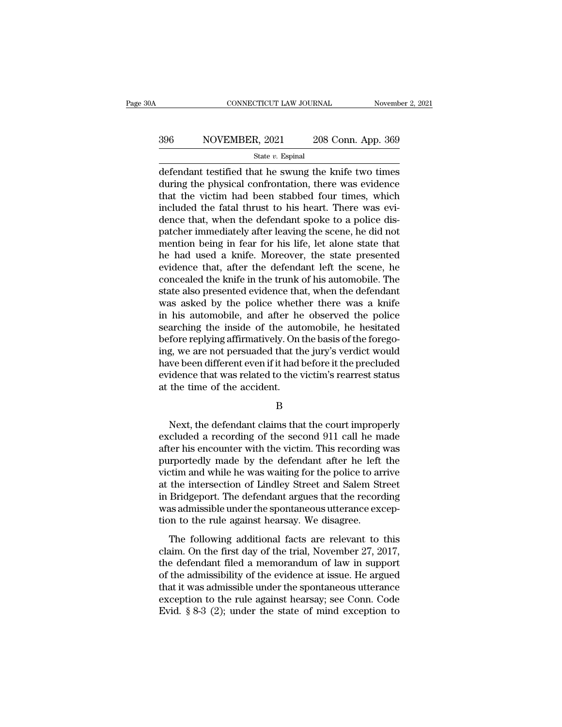# EXECUTE CONNECTICUT LAW JOURNAL Movember 2, 2021<br>396 NOVEMBER, 2021 208 Conn. App. 369<br>34te v. Espinal

State *v.* Espinal

 $\begin{array}{|l|l|} \hline \text{COMRECTICUT LAW JOURNAL} \qquad \text{November 2, 2021} \ \hline \end{array}$ <br>396  $\begin{array}{|l|} \hline \text{NOVEMBER, 2021} \qquad 208 \text{ Conn. App. 369} \ \hline \text{State } v. \text{ Espinal} \ \hline \end{array}$ <br>defendant testified that he swung the knife two times during the physical confrontation MOVEMBER, 2021 208 Conn. App. 369<br>
State v. Espinal<br>
defendant testified that he swung the knife two times<br>
during the physical confrontation, there was evidence<br>
that the victim had been stabbed four times, which<br>
include  $\begin{array}{r} \text{396} \text{NOVEMBER, } 2021 \text{ } 208 \text{ Conn. App. 369} \\ \text{State } v. \text{ Espinal} \end{array}$ <br>defendant testified that he swung the knife two times<br>during the physical confrontation, there was evidence<br>that the victim had been stabbed four times  $\frac{\text{396}}{\text{State }v. \text{ Espinal}}$   $\frac{\text{State } v. \text{ Espinal}}{\text{defendant testified that he swing the knife two times during the physical confrontation, there was evidence that the victim had been stabbed four times, which included the fatal thrust to his heart. There was evidence that, when the defendant spoke to a police dispatcher immediately after leaving the scope, he did not.$ State v. Espinal<br>defendant testified that he swung the knife two times<br>during the physical confrontation, there was evidence<br>that the victim had been stabbed four times, which<br>included the fatal thrust to his heart. There state  $v$ . Espinal<br>defendant testified that he swung the knife two times<br>during the physical confrontation, there was evidence<br>that the victim had been stabbed four times, which<br>included the fatal thrust to his heart. The defendant testified that he swung the knife two times<br>during the physical confrontation, there was evidence<br>that the victim had been stabbed four times, which<br>included the fatal thrust to his heart. There was evi-<br>dence th during the physical confrontation, there was evidence<br>that the victim had been stabbed four times, which<br>included the fatal thrust to his heart. There was evi-<br>dence that, when the defendant spoke to a police dis-<br>patcher that the victim had been stabbed four times, which<br>included the fatal thrust to his heart. There was evi-<br>dence that, when the defendant spoke to a police dis-<br>patcher immediately after leaving the scene, he did not<br>mentio included the fatal thrust to his heart. There was evidence that, when the defendant spoke to a police dispatcher immediately after leaving the scene, he did not mention being in fear for his life, let alone state that he h dence that, when the defendant spoke to a police dis-<br>patcher immediately after leaving the scene, he did not<br>mention being in fear for his life, let alone state that<br>he had used a knife. Moreover, the state presented<br>evid patcher immediately after leaving the scene, he did not<br>mention being in fear for his life, let alone state that<br>he had used a knife. Moreover, the state presented<br>evidence that, after the defendant left the scene, he<br>conc mention being in fear for his life, let alone state that<br>he had used a knife. Moreover, the state presented<br>evidence that, after the defendant left the scene, he<br>concealed the knife in the trunk of his automobile. The<br>stat he had used a knife. Moreover, the state presented<br>evidence that, after the defendant left the scene, he<br>concealed the knife in the trunk of his automobile. The<br>state also presented evidence that, when the defendant<br>was as evidence that, after the defendant left the scene, he concealed the knife in the trunk of his automobile. The state also presented evidence that, when the defendant was asked by the police whether there was a knife in his concealed the knife in the trunk of his automobile. The<br>state also presented evidence that, when the defendant<br>was asked by the police whether there was a knife<br>in his automobile, and after he observed the police<br>searching state also presented evidence that, when the defendant<br>was asked by the police whether there was a knife<br>in his automobile, and after he observed the police<br>searching the inside of the automobile, he hesitated<br>before reply was asked by the police whether there was a knife<br>in his automobile, and after he observed the police<br>searching the inside of the automobile, he hesitated<br>before replying affirmatively. On the basis of the forego-<br>ing, we in his automobile, and after he<br>searching the inside of the auto<br>before replying affirmatively. On ing, we are not persuaded that th<br>have been different even if it had l<br>evidence that was related to the v<br>at the time of th g, we are not persuaded that the jury's verdict would<br>we been different even if it had before it the precluded<br>idence that was related to the victim's rearrest status<br>the time of the accident.<br>B<br>Next, the defendant claims

B

have been different even if it had before it the precluded<br>evidence that was related to the victim's rearrest status<br>at the time of the accident.<br>B<br>Next, the defendant claims that the court improperly<br>excluded a recording evidence that was related to the victim's rearrest status<br>at the time of the accident.<br>B<br>Next, the defendant claims that the court improperly<br>excluded a recording of the second 911 call he made<br>after his encounter with the B<br>B<br>Rext, the defendant claims that the court improperly<br>excluded a recording of the second 911 call he made<br>after his encounter with the victim. This recording was<br>purportedly made by the defendant after he left the<br>victi B<br>
Next, the defendant claims that the court improperly<br>
excluded a recording of the second 911 call he made<br>
after his encounter with the victim. This recording was<br>
purportedly made by the defendant after he left the<br>
vi Next, the defendant claims that the court improperly<br>excluded a recording of the second 911 call he made<br>after his encounter with the victim. This recording was<br>purportedly made by the defendant after he left the<br>victim an Next, the defendant claims that the court improperly<br>excluded a recording of the second 911 call he made<br>after his encounter with the victim. This recording was<br>purportedly made by the defendant after he left the<br>victim an excluded a recording of the second 911 call he made<br>after his encounter with the victim. This recording was<br>purportedly made by the defendant after he left the<br>victim and while he was waiting for the police to arrive<br>at th after his encounter with the victim. This recording<br>purportedly made by the defendant after he left<br>victim and while he was waiting for the police to ar<br>at the intersection of Lindley Street and Salem Sti<br>in Bridgeport. Th The following additional facts are relevant to the intersection of Lindley Street and Salem Street<br>Bridgeport. The defendant argues that the recording<br>as admissible under the spontaneous utterance excep-<br>on to the rule aga claim and while he was wanting for are police to tarrive<br>at the intersection of Lindley Street and Salem Street<br>in Bridgeport. The defendant argues that the recording<br>was admissible under the spontaneous utterance excep-<br>t

the defendant argues that the recording<br>in Bridgeport. The defendant argues that the recording<br>was admissible under the spontaneous utterance excep-<br>tion to the rule against hearsay. We disagree.<br>The following additional f m Enageport. The detendant digates that the recording<br>was admissible under the spontaneous utterance excep-<br>tion to the rule against hearsay. We disagree.<br>The following additional facts are relevant to this<br>claim. On the f The following additional facts are relevant to this<br>claim. On the first day of the trial, November 27, 2017,<br>the defendant filed a memorandum of law in support<br>of the admissibility of the evidence at issue. He argued<br>that The following additional facts are relevant to this claim. On the first day of the trial, November 27, 2017, the defendant filed a memorandum of law in support of the admissibility of the evidence at issue. He argued that The following additional facts are relevant to this<br>claim. On the first day of the trial, November 27, 2017,<br>the defendant filed a memorandum of law in support<br>of the admissibility of the evidence at issue. He argued<br>that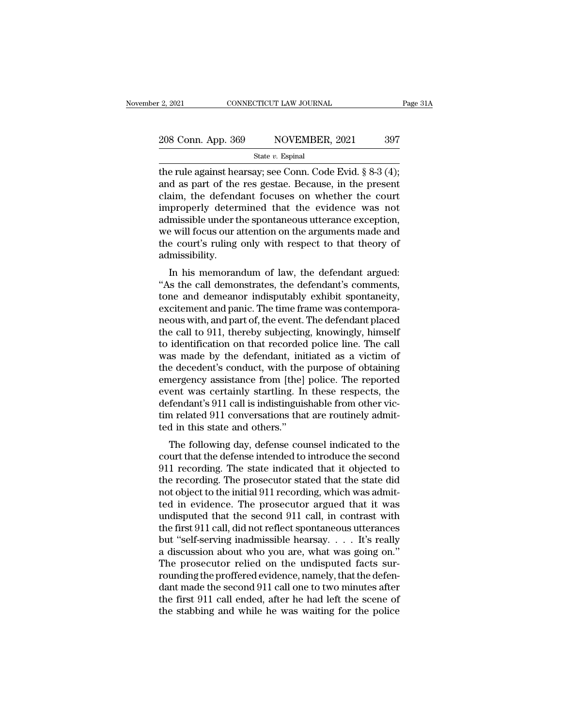# 2, 2021 CONNECTICUT LAW JOURNAL Page 31A<br>
208 Conn. App. 369 NOVEMBER, 2021 397<br>
State v. Espinal

State *v.* Espinal

2, 2021 CONNECTICUT LAW JOURNAL Page 3<br>
208 Conn. App. 369 NOVEMBER, 2021 397<br>
State v. Espinal<br>
the rule against hearsay; see Conn. Code Evid. § 8-3 (4);<br>
and as part of the res gestae. Because, in the present<br>
claim, th 208 Conn. App. 369 NOVEMBER, 2021 397<br>
State v. Espinal<br>
the rule against hearsay; see Conn. Code Evid. § 8-3 (4);<br>
and as part of the res gestae. Because, in the present<br>
claim, the defendant focuses on whether the court 208 Conn. App. 369 NOVEMBER, 2021 397<br>
State v. Espinal<br>
the rule against hearsay; see Conn. Code Evid. § 8-3 (4);<br>
and as part of the res gestae. Because, in the present<br>
claim, the defendant focuses on whether the court 208 Conn. App. 369 NOVEMBER, 2021 397<br>
State v. Espinal<br>
the rule against hearsay; see Conn. Code Evid. § 8-3 (4);<br>
and as part of the res gestae. Because, in the present<br>
claim, the defendant focuses on whether the court State v. Espinal<br>
State v. Espinal<br>
the rule against hearsay; see Conn. Code Evid. § 8-3 (4);<br>
and as part of the res gestae. Because, in the present<br>
claim, the defendant focuses on whether the court<br>
improperly determin state v. Espinal<br>the rule against hearsay; see Conn. Code Evid. § 8-3 (4);<br>and as part of the res gestae. Because, in the present<br>claim, the defendant focuses on whether the court<br>improperly determined that the evidence w the rule against hearsay; see Conn. Code Evid. § 8-3 (4);<br>and as part of the res gestae. Because, in the present<br>claim, the defendant focuses on whether the court<br>improperly determined that the evidence was not<br>admissible admissibility. In his memorandum of law, the defendant argued:<br>In his memorandum of the spontaneous utterance exception,<br>a will focus our attention on the arguments made and<br>e court's ruling only with respect to that theory of<br>missibilit miproperly determined that the evidence was not<br>admissible under the spontaneous utterance exception,<br>we will focus our attention on the arguments made and<br>the court's ruling only with respect to that theory of<br>admissibili

admissible under the spontaneots therance exception,<br>we will focus our attention on the arguments made and<br>the court's ruling only with respect to that theory of<br>admissibility.<br>In his memorandum of law, the defendant argue we will focus our attention of the arguments filate and<br>the court's ruling only with respect to that theory of<br>admissibility.<br>In his memorandum of law, the defendant argued:<br>"As the call demonstrates, the defendant's comme ine court's runng only what respect to that theory of<br>admissibility.<br>"As the call demonstrates, the defendant's comments,<br>tone and demeanor indisputably exhibit spontaneity,<br>excitement and panic. The time frame was contemp autussionly.<br>
In his memorandum of law, the defendant argued:<br>
"As the call demonstrates, the defendant's comments,<br>
tone and demeanor indisputably exhibit spontaneity,<br>
excitement and panic. The time frame was contempora-In his memorandum of law, the defendant argued:<br>"As the call demonstrates, the defendant's comments,<br>tone and demeanor indisputably exhibit spontaneity,<br>excitement and panic. The time frame was contempora-<br>neous with, and "As the call demonstrates, the defendant's comments,<br>tone and demeanor indisputably exhibit spontaneity,<br>excitement and panic. The time frame was contempora-<br>neous with, and part of, the event. The defendant placed<br>the ca tone and demeanor indisputably exhibit spontaneity,<br>excitement and panic. The time frame was contempora-<br>neous with, and part of, the event. The defendant placed<br>the call to 911, thereby subjecting, knowingly, himself<br>to i excitement and panic. The time frame was contempora-<br>neous with, and part of, the event. The defendant placed<br>the call to 911, thereby subjecting, knowingly, himself<br>to identification on that recorded police line. The call neous with, and part of, the event. The defendant placed<br>the call to 911, thereby subjecting, knowingly, himself<br>to identification on that recorded police line. The call<br>was made by the defendant, initiated as a victim of<br> the call to 911, thereby subjecting, knowingly, himself<br>to identification on that recorded police line. The call<br>was made by the defendant, initiated as a victim of<br>the decedent's conduct, with the purpose of obtaining<br>eme to identification on that recorded police line. The call<br>was made by the defendant, initiated as a victim of<br>the decedent's conduct, with the purpose of obtaining<br>emergency assistance from [the] police. The reported<br>event was made by the defendant, init<br>the decedent's conduct, with the<br>emergency assistance from [the]<br>event was certainly startling. In<br>defendant's 911 call is indistinguis<br>tim related 911 conversations tha<br>ted in this state an re decedent s conduct, whit the purpose of obtaining<br>nergency assistance from [the] police. The reported<br>ent was certainly startling. In these respects, the<br>fendant's 911 call is indistinguishable from other vic-<br>n related entergency assistance front [the] poince. The reported<br>event was certainly startling. In these respects, the<br>defendant's 911 call is indistinguishable from other vic-<br>tim related 911 conversations that are routinely admit-

event was certainly starting. In these respects, the<br>defendant's 911 call is indistinguishable from other vic-<br>tim related 911 conversations that are routinely admit-<br>ted in this state and others."<br>The following day, defen defendant s 911 can is indistinguishable from other vict-<br>tim related 911 conversations that are routinely admit-<br>ted in this state and others."<br>The following day, defense counsel indicated to the<br>court that the defense in not be in this state and others."<br>The following day, defense counsel indicated to the<br>court that the defense intended to introduce the second<br>911 recording. The state indicated that it objected to<br>the recording. The prosec ted in this state and others.<br>The following day, defense counsel indicated to the<br>court that the defense intended to introduce the second<br>911 recording. The state indicated that it objected to<br>the recording. The prosecutor The following day, defense counsel indicated to the<br>court that the defense intended to introduce the second<br>911 recording. The state indicated that it objected to<br>the recording. The prosecutor stated that the state did<br>not court that the defense intended to introduce the second<br>911 recording. The state indicated that it objected to<br>the recording. The prosecutor stated that the state did<br>not object to the initial 911 recording, which was admi 911 recording. The state indicated that it objected to<br>the recording. The prosecutor stated that the state did<br>not object to the initial 911 recording, which was admit-<br>ted in evidence. The prosecutor argued that it was<br>u the recording. The prosecutor stated that the state did<br>not object to the initial 911 recording, which was admit-<br>ted in evidence. The prosecutor argued that it was<br>undisputed that the second 911 call, in contrast with<br>the not object to the initial 911 recording, which was admitted in evidence. The prosecutor argued that it was undisputed that the second 911 call, in contrast with the first 911 call, did not reflect spontaneous utterances b ted in evidence. The prosecutor argued that it was<br>undisputed that the second 911 call, in contrast with<br>the first 911 call, did not reflect spontaneous utterances<br>but "self-serving inadmissible hearsay.... It's really<br>a d undisputed that the second 911 call, in contrast with<br>the first 911 call, did not reflect spontaneous utterances<br>but "self-serving inadmissible hearsay.... It's really<br>a discussion about who you are, what was going on."<br>T the first 911 call, did not reflect spontaneous utterances<br>but "self-serving inadmissible hearsay.... It's really<br>a discussion about who you are, what was going on."<br>The prosecutor relied on the undisputed facts sur-<br>roun but "self-serving inadmissible hearsay..... It's really<br>a discussion about who you are, what was going on."<br>The prosecutor relied on the undisputed facts sur-<br>rounding the proffered evidence, namely, that the defen-<br>dant m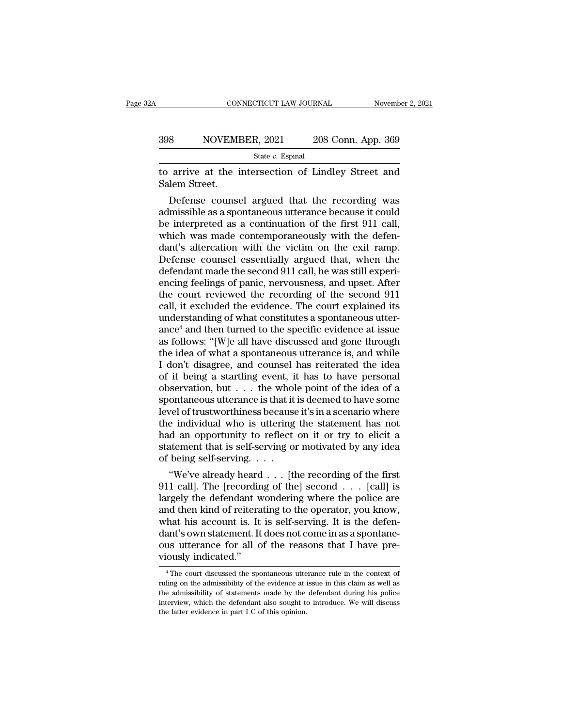#### EXECUTE CONNECTICUT LAW JOURNAL Movember 2, 2021<br>398 NOVEMBER, 2021 208 Conn. App. 369<br>398 State v. Espinal State *v.* Espinal

THE CONNECTICUT LAW JOURNAL Movember 2, 2021<br>
SUBSER, 2021 208 Conn. App. 369<br>
State v. Espinal<br>
State v. Espinal<br>
State v. Espinal<br>
State v. Espinal<br>
State v. Espinal<br>
State Street and State Street. 398 NOVEMI<br>to arrive at the i<br>Salem Street.<br>Defense counse

**SECTE AT APP AND SET ASSEMBER, 2021** 208 Conn. App. 369<br>
State v. Espinal<br>
arrive at the intersection of Lindley Street and<br>
lem Street.<br>
Defense counsel argued that the recording was<br>
missible as a spontaneous utterance 398 NOVEMBER, 2021 208 Conn. App. 369<br>
state v. Espinal<br>
to arrive at the intersection of Lindley Street and<br>
Salem Street.<br>
Defense counsel argued that the recording was<br>
admissible as a spontaneous utterance because it State v. Espinal<br>
to arrive at the intersection of Lindley Street and<br>
Salem Street.<br>
Defense counsel argued that the recording was<br>
admissible as a spontaneous utterance because it could<br>
be interpreted as a continuation to arrive at the intersection of Lindley Street and<br>Salem Street.<br>Defense counsel argued that the recording was<br>admissible as a spontaneous utterance because it could<br>be interpreted as a continuation of the first 911 call, to arrive at the intersection of Lindley Street and<br>Salem Street.<br>Defense counsel argued that the recording was<br>admissible as a spontaneous utterance because it could<br>be interpreted as a continuation of the first 911 call, Salem Street.<br>
Defense counsel argued that the recording was<br>
admissible as a spontaneous utterance because it could<br>
be interpreted as a continuation of the first 911 call,<br>
which was made contemporaneously with the defen Defense counsel argued that the recording was<br>admissible as a spontaneous utterance because it could<br>be interpreted as a continuation of the first 911 call,<br>which was made contemporaneously with the defen-<br>dant's altercati admissible as a spontaneous utterance because it could<br>be interpreted as a continuation of the first 911 call,<br>which was made contemporaneously with the defen-<br>dant's altercation with the victim on the exit ramp.<br>Defense c be interpreted as a continuation of the first 911 call,<br>which was made contemporaneously with the defen-<br>dant's altercation with the victim on the exit ramp.<br>Defense counsel essentially argued that, when the<br>defendant made which was made contemporaneously with the defen-<br>dant's altercation with the victim on the exit ramp.<br>Defense counsel essentially argued that, when the<br>defendant made the second 911 call, he was still experi-<br>encing feelin dant's altercation with the victim on the exit ramp.<br>Defense counsel essentially argued that, when the<br>defendant made the second 911 call, he was still experi-<br>encing feelings of panic, nervousness, and upset. After<br>the co Defense counsel essentially argued that, when the<br>defendant made the second 911 call, he was still experi-<br>encing feelings of panic, nervousness, and upset. After<br>the court reviewed the recording of the second 911<br>call, it defendant made the second 911 call, he was still experiencing feelings of panic, nervousness, and upset. After<br>the court reviewed the recording of the second 911<br>call, it excluded the evidence. The court explained its<br>unde encing feelings of panic, nervousness, and upset. After<br>the court reviewed the recording of the second 911<br>call, it excluded the evidence. The court explained its<br>understanding of what constitutes a spontaneous utter-<br>ance the court reviewed the recording of the second 911<br>call, it excluded the evidence. The court explained its<br>understanding of what constitutes a spontaneous utter-<br>ance<sup>4</sup> and then turned to the specific evidence at issue<br>as call, it excluded the evidence. The court explained its<br>understanding of what constitutes a spontaneous utter-<br>ance<sup>4</sup> and then turned to the specific evidence at issue<br>as follows: "[W]e all have discussed and gone throug understanding of what constitutes a spontaneous utter-<br>ance<sup>4</sup> and then turned to the specific evidence at issue<br>as follows: "[W]e all have discussed and gone through<br>the idea of what a spontaneous utterance is, and while ance<sup>4</sup> and then turned to the specific evidence at issue<br>as follows: "[W]e all have discussed and gone through<br>the idea of what a spontaneous utterance is, and while<br>I don't disagree, and counsel has reiterated the idea<br> as follows: "[W]e all have discussed and gone through<br>the idea of what a spontaneous utterance is, and while<br>I don't disagree, and counsel has reiterated the idea<br>of it being a startling event, it has to have personal<br>obs the idea of what a spontaneous utterance is, and while<br>I don't disagree, and counsel has reiterated the idea<br>of it being a startling event, it has to have personal<br>observation, but  $\dots$  the whole point of the idea of a<br>sp I don't disagree, and counsel has reiterated the idea<br>of it being a startling event, it has to have personal<br>observation, but  $\dots$  the whole point of the idea of a<br>spontaneous utterance is that it is deemed to have some<br>l of it being a startling event, it has to have personal observation, but  $\dots$  the whole point of the idea of a spontaneous utterance is that it is deemed to have some level of trustworthiness because it's in a scenario whe observation, but . . . the whole point of the idea of a spontaneous utterance is that it is deemed to have some level of trustworthiness because it's in a scenario where the individual who is uttering the statement has no ontaneous utterance is that it is deemed to have some<br>
vel of trustworthiness because it's in a scenario where<br>
e individual who is uttering the statement has not<br>
d an opportunity to reflect on it or try to elicit a<br>
atem nevel of trustworthiness because it's in a scenario where<br>the individual who is uttering the statement has not<br>had an opportunity to reflect on it or try to elicit a<br>statement that is self-serving or motivated by any idea<br>

the maturature who is uttering the statement has not<br>had an opportunity to reflect on it or try to elicit a<br>statement that is self-serving or motivated by any idea<br>of being self-serving. . . .<br>"We've already heard . . . [ and an opportunity to reflect on it or try to ellect a<br>statement that is self-serving or motivated by any idea<br>of being self-serving. . . .<br>"We've already heard . . . [the recording of the first<br>911 call]. The [recording statement that is self-serving or motivated by any idea<br>of being self-serving. . . .<br>"We've already heard . . . [the recording of the first<br>911 call]. The [recording of the] second . . . [call] is<br>largely the defendant won or being self-serving. . . .<br>
"We've already heard . . . [the recording of the first<br>911 call]. The [recording of the] second . . . [call] is<br>
largely the defendant wondering where the police are<br>
and then kind of reiterat "We've already heard  $\ldots$  [the recording of the first 911 call]. The [recording of the] second  $\ldots$  [call] is largely the defendant wondering where the police are and then kind of reiterating to the operator, you know, 911 call]. The [recordin largely the defendant v<br>and then kind of reitera<br>what his account is. It<br>dant's own statement. It<br>ous utterance for all c<br>viously indicated." hat his account is. It is self-serving. It is the defen-<br>ant's own statement. It does not come in as a spontane-<br>us utterance for all of the reasons that I have pre-<br>ously indicated."<br><sup>4</sup>The court discussed the spontaneous dant's own statement. It does not come in as a spontane-<br>ous utterance for all of the reasons that I have pre-<br>viously indicated."<br><sup>4</sup> The court discussed the spontaneous utterance rule in the context of<br>ruling on the admi

ous utterance for all of the reasons that I have pre-<br>viously indicated."<br><sup>4</sup>The court discussed the spontaneous utterance rule in the context of<br>ruling on the admissibility of the evidence at issue in this claim as well a viously indicated."<br>  $\frac{1}{4}$  The court discussed the spontaneous utterance rule in the context of<br>
ruling on the admissibility of the evidence at issue in this claim as well as<br>
the admissibility of statements made by t Figure 1.1 The court discussed the spontaneous utter admissibility of the evidence at ithe admissibility of statements made by the interview, which the defendant also sought to the latter evidence in part I C of this opin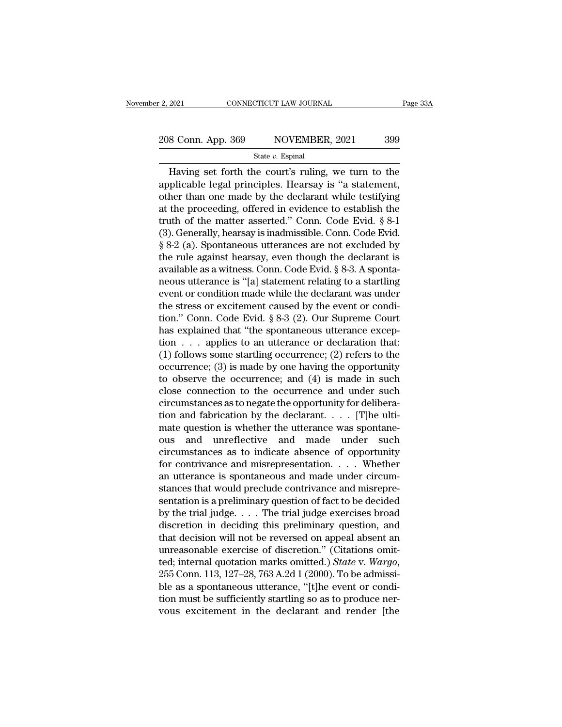# 2, 2021 CONNECTICUT LAW JOURNAL Page 33A<br>
208 Conn. App. 369 NOVEMBER, 2021 399<br>
State v. Espinal

#### State *v.* Espinal

 $\frac{1}{2021}$  CONNECTICUT LAW JOURNAL Page 33A<br>  $\frac{1}{2021}$   $\frac{1}{299}$ <br>  $\frac{1}{2021}$   $\frac{1}{299}$ <br>  $\frac{1}{2021}$ <br>  $\frac{1}{2021}$   $\frac{1}{2021}$   $\frac{1}{2021}$   $\frac{1}{2021}$ <br>  $\frac{1}{2021}$   $\frac{1}{2021}$   $\frac{1}{2021}$   $\frac{1}{2021}$   $\frac$ 208 Conn. App. 369 NOVEMBER, 2021 399<br>
State v. Espinal<br>
Having set forth the court's ruling, we turn to the<br>
applicable legal principles. Hearsay is "a statement,<br>
other than one made by the declarant while testifying<br>
a 208 Conn. App. 369 NOVEMBER, 2021 399<br>
State v. Espinal<br>
Having set forth the court's ruling, we turn to the<br>
applicable legal principles. Hearsay is "a statement,<br>
other than one made by the declarant while testifying<br>
a 208 Conn. App. 369 NOVEMBER, 2021 399<br>
State v. Espinal<br>
Having set forth the court's ruling, we turn to the<br>
applicable legal principles. Hearsay is "a statement,<br>
other than one made by the declarant while testifying<br>
a State v. Espinal<br>
Having set forth the court's ruling, we turn to the<br>
applicable legal principles. Hearsay is "a statement,<br>
other than one made by the declarant while testifying<br>
at the proceeding, offered in evidence t State *v*. Espinal<br>
Having set forth the court's ruling, we turn to the<br>
applicable legal principles. Hearsay is "a statement,<br>
other than one made by the declarant while testifying<br>
at the proceeding, offered in evidence Having set forth the court's ruling, we turn to the<br>applicable legal principles. Hearsay is "a statement,<br>other than one made by the declarant while testifying<br>at the proceeding, offered in evidence to establish the<br>truth applicable legal principles. Hearsay is "a statement,<br>other than one made by the declarant while testifying<br>at the proceeding, offered in evidence to establish the<br>truth of the matter asserted." Conn. Code Evid. § 8-1<br>(3). other than one made by the declarant while testifying<br>at the proceeding, offered in evidence to establish the<br>truth of the matter asserted." Conn. Code Evid. § 8-1<br>(3). Generally, hearsay is inadmissible. Conn. Code Evid.<br> at the proceeding, offered in evidence to establish the<br>truth of the matter asserted." Conn. Code Evid. § 8-1<br>(3). Generally, hearsay is inadmissible. Conn. Code Evid.<br>§ 8-2 (a). Spontaneous utterances are not excluded by<br> truth of the matter asserted." Conn. Code Evid. § 8-1<br>
(3). Generally, hearsay is inadmissible. Conn. Code Evid.<br>
§ 8-2 (a). Spontaneous utterances are not excluded by<br>
the rule against hearsay, even though the declarant (3). Generally, hearsay is inadmissible. Conn. Code Evid.  $\S 8-2$  (a). Spontaneous utterances are not excluded by the rule against hearsay, even though the declarant is available as a witness. Conn. Code Evid.  $\S 8-3$ . A § 8-2 (a). Spontaneous utterances are not excluded by<br>the rule against hearsay, even though the declarant is<br>available as a witness. Conn. Code Evid. § 8-3. A sponta-<br>neous utterance is "[a] statement relating to a startli the rule against hearsay, even though the declarant is<br>available as a witness. Conn. Code Evid. § 8-3. A sponta-<br>neous utterance is "[a] statement relating to a startling<br>event or condition made while the declarant was un available as a witness. Conn. Code Evid. § 8-3. A spontaneous utterance is "[a] statement relating to a startling<br>event or condition made while the declarant was under<br>the stress or excitement caused by the event or condi neous utterance is "[a] statement relating to a startling<br>event or condition made while the declarant was under<br>the stress or excitement caused by the event or condi-<br>tion." Conn. Code Evid. § 8-3 (2). Our Supreme Court<br>h event or condition made while the declarant was under<br>the stress or excitement caused by the event or condi-<br>tion." Conn. Code Evid. § 8-3 (2). Our Supreme Court<br>has explained that "the spontaneous utterance excep-<br>tion . the stress or excitement caused by the event or condition." Conn. Code Evid. § 8-3 (2). Our Supreme Court<br>has explained that "the spontaneous utterance excep-<br>tion  $\dots$  applies to an utterance or declaration that:<br>(1) fol tion." Conn. Code Evid. § 8-3 (2). Our Supreme Court<br>has explained that "the spontaneous utterance excep-<br>tion  $\ldots$  applies to an utterance or declaration that:<br>(1) follows some startling occurrence; (2) refers to the<br>oc has explained that "the spontaneous utterance exception . . . applies to an utterance or declaration that:<br>(1) follows some startling occurrence; (2) refers to the occurrence; (3) is made by one having the opportunity<br>to tion  $\dots$  applies to an utterance or declaration that:<br>(1) follows some startling occurrence; (2) refers to the<br>occurrence; (3) is made by one having the opportunity<br>to observe the occurrence; and (4) is made in such<br>clos (1) follows some startling occurrence; (2) refers to the occurrence; (3) is made by one having the opportunity to observe the occurrence; and (4) is made in such close connection to the occurrence and under such circumsta occurrence; (3) is made by one having the opportunity<br>to observe the occurrence; and (4) is made in such<br>close connection to the occurrence and under such<br>circumstances as to negate the opportunity for delibera-<br>tion and to observe the occurrence; and (4) is made in such<br>close connection to the occurrence and under such<br>circumstances as to negate the opportunity for delibera-<br>tion and fabrication by the declarant. . . . . [T]he ulti-<br>mate close connection to the occurrence and under such<br>circumstances as to negate the opportunity for delibera-<br>tion and fabrication by the declarant. . . . . [T]he ulti-<br>mate question is whether the utterance was spontane-<br>ou circumstances as to negate the opportunity for deliberation and fabrication by the declarant. . . . [T]he ultimate question is whether the utterance was spontaneous and unreflective and made under such circumstances as to tion and fabrication by the declarant.  $\ldots$  [T]he ultimate question is whether the utterance was spontaneous and unreflective and made under such circumstances as to indicate absence of opportunity for contrivance and mi mate question is whether the utterance was spontane-<br>ous and unreflective and made under such<br>circumstances as to indicate absence of opportunity<br>for contrivance and misrepresentation.... Whether<br>an utterance is spontaneou ous and unreflective and made under such<br>circumstances as to indicate absence of opportunity<br>for contrivance and misrepresentation. . . . Whether<br>an utterance is spontaneous and made under circum-<br>stances that would preclu circumstances as to indicate absence of opportunity<br>for contrivance and misrepresentation. . . . Whether<br>an utterance is spontaneous and made under circum-<br>stances that would preclude contrivance and misrepre-<br>sentation is for contrivance and misrepresentation. . . . Whether<br>an utterance is spontaneous and made under circum-<br>stances that would preclude contrivance and misrepre-<br>sentation is a preliminary question of fact to be decided<br>by th an utterance is spontaneous and made under circum-<br>stances that would preclude contrivance and misrepre-<br>sentation is a preliminary question of fact to be decided<br>by the trial judge.... The trial judge exercises broad<br>dis stances that would preclude contrivance and misrepre-<br>sentation is a preliminary question of fact to be decided<br>by the trial judge. . . . The trial judge exercises broad<br>discretion in deciding this preliminary question, an by the trial judge.... The trial judge exercises broad<br>discretion in deciding this preliminary question, and<br>that decision will not be reversed on appeal absent an<br>unreasonable exercise of discretion." (Citations omit-<br>te discretion in deciding this preliminary question, and<br>that decision will not be reversed on appeal absent an<br>unreasonable exercise of discretion." (Citations omit-<br>ted; internal quotation marks omitted.) *State* v. Wargo,<br> that decision will not be reversed on appeal absent an unreasonable exercise of discretion." (Citations omitted; internal quotation marks omitted.) *State* v. *Wargo*, 255 Conn. 113, 127–28, 763 A.2d 1 (2000). To be admiss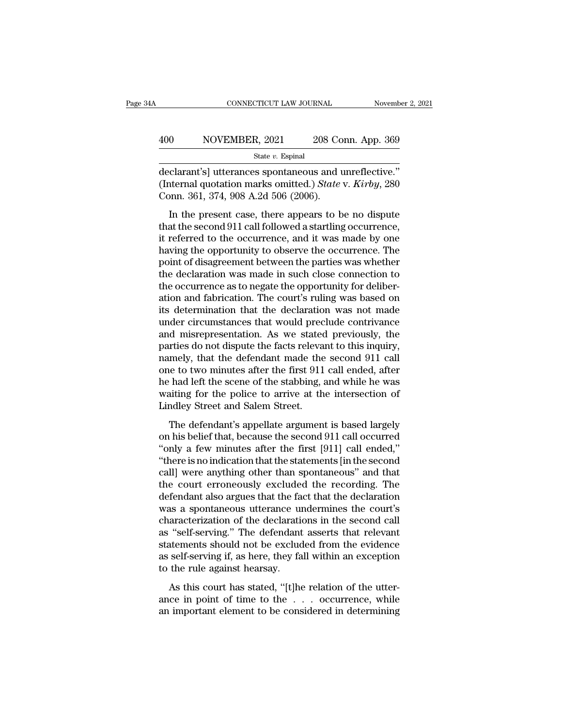#### EXECUTE CONNECTICUT LAW JOURNAL Movember 2, 2021<br>A00 NOVEMBER, 2021 208 Conn. App. 369<br>State v. Espinal State *v.* Espinal

CONNECTICUT LAW JOURNAL November 2, 2<br>
400 NOVEMBER, 2021 208 Conn. App. 369<br>
5tate v. Espinal<br>
declarant's] utterances spontaneous and unreflective."<br>
(Internal quotation marks omitted.) *State* v. *Kirby*, 280<br>
Conn. 361 (Internal quotation marks omitted.) *State v. Espinal*<br>
(Internal quotation marks omitted.) *State v. Kirby*, 280<br>
(Internal quotation marks omitted.) *State v. Kirby*, 280<br>
Conn. 361, 374, 908 A.2d 506 (2006).  $\begin{array}{r} \textbf{400} \textcolor{red}{& {\color{red}NOWEMBER, 2021}} \textcolor{red}{& {\color{red}208\ Co}} \ \textbf{301} \textcolor{red}{& {\color{red}308\ Co}} \textcolor{red}{& {\color{red}308\ Co}} \textcolor{red}{& {\color{red}308\ Co}} \textcolor{red}{& {\color{red}308\ Co}} \textcolor{red}{& {\color{red}308\ Co}} \textcolor{red}{& {\color{red}308\ Co}} \textcolor{red}{& {\color{red}308\ Co}} \textcolor{red}{& {\color{red}308\ Co}} \textcolor{red}{& {\color{red$  $\frac{1}{100}$  NOVEMBER, 2021 208 Conn. App. 369<br>  $\frac{1}{100}$  State v. Espinal<br>
clarant's] utterances spontaneous and unreflective."<br>
iternal quotation marks omitted.) *State v. Kirby*, 280<br>
pnn. 361, 374, 908 A.2d 506 (2006

State v. Espinal<br>
declarant's] utterances spontaneous and unreflective."<br>
(Internal quotation marks omitted.) State v. Kirby, 280<br>
Conn. 361, 374, 908 A.2d 506 (2006).<br>
In the present case, there appears to be no dispute<br> declarant's] utterances spontaneous and unreflective."<br>(Internal quotation marks omitted.) *State v. Kirby*, 280<br>Conn. 361, 374, 908 A.2d 506 (2006).<br>In the present case, there appears to be no dispute<br>that the second 911 declarant s<sub>J</sub> diteratives spondarious and directeuric.<br>(Internal quotation marks omitted.) *State v. Kirby*, 280<br>Conn. 361, 374, 908 A.2d 506 (2006).<br>In the present case, there appears to be no dispute<br>that the second 911 Conn. 361, 374, 908 A.2d 506 (2006).<br>
In the present case, there appears to be no dispute<br>
that the second 911 call followed a startling occurrence,<br>
it referred to the occurrence, and it was made by one<br>
having the oppor In the present case, there appears to be no dispute<br>that the second 911 call followed a startling occurrence,<br>it referred to the occurrence, and it was made by one<br>having the opportunity to observe the occurrence. The<br>poi In the present case, there appears to be no dispute<br>that the second 911 call followed a startling occurrence,<br>it referred to the occurrence, and it was made by one<br>having the opportunity to observe the occurrence. The<br>poin that the second 911 call followed a startling occurrence,<br>it referred to the occurrence, and it was made by one<br>having the opportunity to observe the occurrence. The<br>point of disagreement between the parties was whether<br>th it referred to the occurrence, and it was made by one<br>having the opportunity to observe the occurrence. The<br>point of disagreement between the parties was whether<br>the declaration was made in such close connection to<br>the occ having the opportunity to observe the occurrence. The<br>point of disagreement between the parties was whether<br>the declaration was made in such close connection to<br>the occurrence as to negate the opportunity for deliber-<br>atio point of disagreement between the parties was whether<br>the declaration was made in such close connection to<br>the occurrence as to negate the opportunity for deliber-<br>ation and fabrication. The court's ruling was based on<br>its the declaration was made in such close connection to<br>the occurrence as to negate the opportunity for deliber-<br>ation and fabrication. The court's ruling was based on<br>its determination that the declaration was not made<br>under the occurrence as to negate the opportunity for deliberation and fabrication. The court's ruling was based on<br>its determination that the declaration was not made<br>under circumstances that would preclude contrivance<br>and misr ation and fabrication. The court's ruling was based on<br>its determination that the declaration was not made<br>under circumstances that would preclude contrivance<br>and misrepresentation. As we stated previously, the<br>parties do its determination that the declaration was not made<br>under circumstances that would preclude contrivance<br>and misrepresentation. As we stated previously, the<br>parties do not dispute the facts relevant to this inquiry,<br>namely, under circumstances that would preclude contrivance<br>and misrepresentation. As we stated previously, the<br>parties do not dispute the facts relevant to this inquiry,<br>namely, that the defendant made the second 911 call<br>one to and misrepresentation. As we stated<br>parties do not dispute the facts releva<br>namely, that the defendant made the<br>one to two minutes after the first 911<br>he had left the scene of the stabbing, a<br>waiting for the police to arri The defendant is appear and the second 911 call<br>the defendant made the second 911 call<br>the defendant made the second 911 call<br>that left the scene of the stabbing, and while he was<br>aiting for the police to arrive at the int mantery, and are determined made are second 911 can<br>one to two minutes after the first 911 call ended, after<br>he had left the scene of the stabbing, and while he was<br>waiting for the police to arrive at the intersection of<br>L

one to two mintates after the mist off can ended, after<br>
the had left the scene of the stabbing, and while he was<br>
waiting for the police to arrive at the intersection of<br>
Lindley Street and Salem Street.<br>
The defendant's The rational state of the statements, and while it was<br>
waiting for the police to arrive at the intersection of<br>
Lindley Street and Salem Street.<br>
The defendant's appellate argument is based largely<br>
on his belief that, be call water and Salem Street.<br>
The defendant's appellate argument is based largely<br>
on his belief that, because the second 911 call occurred<br>
"only a few minutes after the first [911] call ended,"<br>
"there is no indication t The defendant's appellate argument is based largely<br>on his belief that, because the second 911 call occurred<br>"only a few minutes after the first [911] call ended,"<br>"there is no indication that the statements [in the secon The defendant's appellate argument is based largely<br>on his belief that, because the second 911 call occurred<br>"only a few minutes after the first [911] call ended,"<br>"there is no indication that the statements [in the second on his belief that, because the second 911 call occurred<br>"only a few minutes after the first [911] call ended,"<br>"there is no indication that the statements [in the second<br>call] were anything other than spontaneous" and tha "only a few minutes after the first  $[911]$  call ended,"<br>"there is no indication that the statements  $[$ in the second<br>call] were anything other than spontaneous" and that<br>the court erroneously excluded the recording. The<br> "there is no indication that the statements [in the second call] were anything other than spontaneous" and that<br>the court erroneously excluded the recording. The<br>defendant also argues that the fact that the declaration<br>was call] were anything other than spontaneous" and that<br>the court erroneously excluded the recording. The<br>defendant also argues that the fact that the declaration<br>was a spontaneous utterance undermines the court's<br>characteriz the court erroneously excluded the recording. The<br>defendant also argues that the fact that the declaration<br>was a spontaneous utterance undermines the court's<br>characterization of the declarations in the second call<br>as "self defendant also argues that the fa<br>was a spontaneous utterance un<br>characterization of the declaration<br>as "self-serving." The defendant<br>statements should not be exclude<br>as self-serving if, as here, they fa<br>to the rule agains as a spondareous discrimed undermines are coursed<br>aracterization of the declarations in the second call<br>"self-serving." The defendant asserts that relevant<br>atements should not be excluded from the evidence<br>self-serving if, ance in point of the definitions in the second can<br>as "self-serving." The defendant asserts that relevant<br>statements should not be excluded from the evidence<br>as self-serving if, as here, they fall within an exception<br>to th as self-serving. The determining asserts and referant<br>statements should not be excluded from the evidence<br>as self-serving if, as here, they fall within an exception<br>to the rule against hearsay.<br>As this court has stated, "[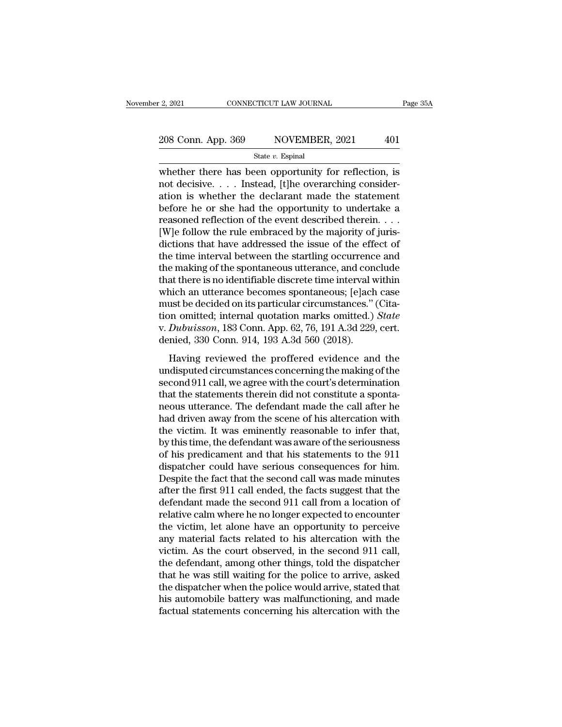2, 2021 CONNECTICUT LAW JOURNAL Page 35A<br>
208 Conn. App. 369 NOVEMBER, 2021 401<br>
State v. Espinal<br>
whether there has been opportunity for reflection, is<br>
not decisive.... Instead, [t]he overarching consider-<br>
ation is whe 208 Conn. App. 369 NOVEMBER, 2021 401<br>State v. Espinal<br>whether there has been opportunity for reflection, is<br>not decisive.... Instead, [t]he overarching consider-<br>ation is whether the declarant made the statement<br>before h 208 Conn. App. 369 NOVEMBER, 2021 401<br>
State v. Espinal<br>
whether there has been opportunity for reflection, is<br>
not decisive.... Instead, [t]he overarching consider-<br>
ation is whether the declarant made the statement<br>
bef 208 Conn. App. 369 NOVEMBER, 2021 401<br>
State v. Espinal<br>
whether there has been opportunity for reflection, is<br>
not decisive.... Instead, [t]he overarching consider-<br>
ation is whether the declarant made the statement<br>
bef State *v*. Espinal<br>State *v*. Espinal<br>whether there has been opportunity for reflection, is<br>not decisive. . . . Instead, [t]he overarching consider-<br>ation is whether the declarant made the statement<br>before he or she had t State v. Espinal<br>
whether there has been opportunity for reflection, is<br>
not decisive. . . . Instead, [t]he overarching consider-<br>
ation is whether the declarant made the statement<br>
before he or she had the opportunity to whether there has been opportunity for reflection, is<br>not decisive. . . . Instead, [t]he overarching consider-<br>ation is whether the declarant made the statement<br>before he or she had the opportunity to undertake a<br>reasoned not decisive. . . . Instead, [t]he overarching consideration is whether the declarant made the statement<br>before he or she had the opportunity to undertake a<br>reasoned reflection of the event described therein. . . .<br>[W]e f ation is whether the declarant made the statement<br>before he or she had the opportunity to undertake a<br>reasoned reflection of the event described therein. . . .<br>[W]e follow the rule embraced by the majority of juris-<br>dicti before he or she had the opportunity to undertake a<br>reasoned reflection of the event described therein.  $\dots$ <br>[W]e follow the rule embraced by the majority of juris-<br>dictions that have addressed the issue of the effect of<br> reasoned reflection of the event described therein. . . .<br>[W]e follow the rule embraced by the majority of juris-<br>dictions that have addressed the issue of the effect of<br>the time interval between the startling occurrence [W]e follow the rule embraced by the majority of juris-<br>dictions that have addressed the issue of the effect of<br>the time interval between the startling occurrence and<br>the making of the spontaneous utterance, and conclude<br> dictions that have addressed the issue of the effect of<br>the time interval between the startling occurrence and<br>the making of the spontaneous utterance, and conclude<br>that there is no identifiable discrete time interval with the time interval between the startling occurrence and<br>the making of the spontaneous utterance, and conclude<br>that there is no identifiable discrete time interval within<br>which an utterance becomes spontaneous; [e]ach case<br>m the making of the spontaneous utterance, and con<br>that there is no identifiable discrete time interval v<br>which an utterance becomes spontaneous; [e]ach<br>must be decided on its particular circumstances."<br>tion omitted; interna ich an utterance becomes spontaneous; [e]ach case<br>ust be decided on its particular circumstances." (Cita-<br>on omitted; internal quotation marks omitted.) *State*<br>Dubuisson, 183 Conn. App. 62, 76, 191 A.3d 229, cert.<br>nied, 3 must be decided on its particular circumstances." (Citation omitted; internal quotation marks omitted.) *State* v. *Dubuisson*, 183 Conn. App. 62, 76, 191 A.3d 229, cert. denied, 330 Conn. 914, 193 A.3d 560 (2018).<br>Having

second 911 call, we agree with the court's determination<br>tion omitted; internal quotation marks omitted.) *State*<br>v. *Dubuisson*, 183 Conn. 914, 193 A.3d 560 (2018).<br>Having reviewed the proffered evidence and the<br>undisput that the statements therein a spontated the statement of the statement of the statement denied, 330 Conn. 914, 193 A.3d 560 (2018).<br>
Having reviewed the proffered evidence and the undisputed circumstances concerning the ma neous utterance. The defendant made the call after he had driven away from the scene of his altercain made the call after he had driven away from the scene of his altercation with the victim. It was eminently reasonable t Having reviewed the proffered evidence and the<br>undisputed circumstances concerning the making of the<br>second 911 call, we agree with the court's determination<br>that the statements therein did not constitute a sponta-<br>neous u Having reviewed the proffered evidence and the<br>undisputed circumstances concerning the making of the<br>second 911 call, we agree with the court's determination<br>that the statements therein did not constitute a sponta-<br>neous u undisputed circumstances concerning the making of the<br>second 911 call, we agree with the court's determination<br>that the statements therein did not constitute a sponta-<br>neous utterance. The defendant made the call after he<br> second 911 call, we agree with the court's determination<br>that the statements therein did not constitute a sponta-<br>neous utterance. The defendant made the call after he<br>had driven away from the scene of his altercation with that the statements therein did not constitute a spontaneous utterance. The defendant made the call after he<br>had driven away from the scene of his altercation with<br>the victim. It was eminently reasonable to infer that,<br>by neous utterance. The defendant made the call after he<br>had driven away from the scene of his altercation with<br>the victim. It was eminently reasonable to infer that,<br>by this time, the defendant was aware of the seriousness<br>o had driven away from the scene of his altercation with<br>the victim. It was eminently reasonable to infer that,<br>by this time, the defendant was aware of the seriousness<br>of his predicament and that his statements to the 911<br>d the victim. It was eminently reasonable to infer that,<br>by this time, the defendant was aware of the seriousness<br>of his predicament and that his statements to the 911<br>dispatcher could have serious consequences for him.<br>Desp by this time, the defendant was aware of the seriousness<br>of his predicament and that his statements to the 911<br>dispatcher could have serious consequences for him.<br>Despite the fact that the second call was made minutes<br>afte of his predicament and that his statements to the 911<br>dispatcher could have serious consequences for him.<br>Despite the fact that the second call was made minutes<br>after the first 911 call ended, the facts suggest that the<br>de dispatcher could have serious consequences for him.<br>Despite the fact that the second call was made minutes<br>after the first 911 call ended, the facts suggest that the<br>defendant made the second 911 call from a location of<br>re Despite the fact that the second call was made minutes<br>after the first 911 call ended, the facts suggest that the<br>defendant made the second 911 call from a location of<br>relative calm where he no longer expected to encounter after the first 911 call ended, the facts suggest that the defendant made the second 911 call from a location of relative calm where he no longer expected to encounter the victim, let alone have an opportunity to perceive defendant made the second 911 call from a location of<br>relative calm where he no longer expected to encounter<br>the victim, let alone have an opportunity to perceive<br>any material facts related to his altercation with the<br>vict relative calm where he no longer expected to encounter<br>the victim, let alone have an opportunity to perceive<br>any material facts related to his altercation with the<br>victim. As the court observed, in the second 911 call,<br>the the victim, let alone have an opportunity to perceive<br>any material facts related to his altercation with the<br>victim. As the court observed, in the second 911 call,<br>the defendant, among other things, told the dispatcher<br>tha any material facts related to his altercation with the victim. As the court observed, in the second 911 call, the defendant, among other things, told the dispatcher that he was still waiting for the police to arrive, asked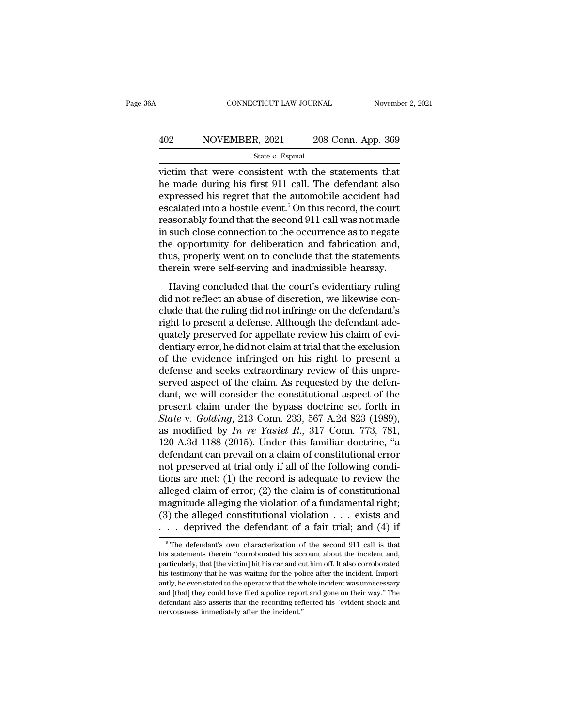# EXECUTE CONNECTICUT LAW JOURNAL Movember 2, 2021<br>A02 NOVEMBER, 2021 208 Conn. App. 369<br>State v. Espinal

State *v.* Espinal

CONNECTICUT LAW JOURNAL November 2, 202<br>  $\begin{array}{r}\n 402 \hspace{1.5cm} \text{NOVEMBER, } 2021 \hspace{1.5cm} 208 \text{ Conn. App. } 369 \\
 \hline\n \text{State } v. \text{ Espinal} \\
 \text{victim that were consistent with the statements that} \\
 \text{the made during his first 911 call. The defendant also expressed his regret that the automobile accident had\n \end{array}$  $\begin{array}{r} \hline \text{A02} \qquad \text{NOVEMBER, 2021} \qquad \text{208 Conn. App. 369} \\ \hline \text{State } v. \text{ Espinal} \end{array}$ <br>victim that were consistent with the statements that he made during his first 911 call. The defendant also expressed his regret that the automob 402 NOVEMBER, 2021 208 Conn. App. 369<br>
state v. Espinal<br>
victim that were consistent with the statements that<br>
the made during his first 911 call. The defendant also<br>
expressed his regret that the automobile accident had<br> A02 NOVEMBER, 2021 208 Conn. App. 369<br>
State *v*. Espinal<br>
victim that were consistent with the statements that<br>
he made during his first 911 call. The defendant also<br>
expressed his regret that the automobile accident had State v. Espinal<br>State v. Espinal<br>he made during his first 911 call. The defendant also<br>expressed his regret that the automobile accident had<br>escalated into a hostile event.<sup>5</sup> On this record, the court<br>reasonably found t state v. Espinal<br>victim that were consistent with the statements that<br>he made during his first 911 call. The defendant also<br>expressed his regret that the automobile accident had<br>escalated into a hostile event.<sup>5</sup> On this victim that were consistent with the statements that<br>he made during his first 911 call. The defendant also<br>expressed his regret that the automobile accident had<br>escalated into a hostile event.<sup>5</sup> On this record, the court<br> he made during his first 911 call. The defendant also<br>expressed his regret that the automobile accident had<br>escalated into a hostile event.<sup>5</sup> On this record, the court<br>reasonably found that the second 911 call was not mad expressed his regret that the automobile accident had<br>escalated into a hostile event.<sup>5</sup> On this record, the court<br>reasonably found that the second 911 call was not made<br>in such close connection to the occurrence as to neg Eduated finds a ridding concluded that the second 911 call was not made<br>such close connection to the occurrence as to negate<br>e opportunity for deliberation and fabrication and,<br>us, properly went on to conclude that the sta did not close connection to the occurrence as to negate<br>the opportunity for deliberation and fabrication and,<br>thus, properly went on to conclude that the statements<br>therein were self-serving and inadmissible hearsay.<br>Havin

m sach close connection to the occurrence as to hegate<br>the opportunity for deliberation and fabrication and,<br>thus, properly went on to conclude that the statements<br>therein were self-serving and inadmissible hearsay.<br>Having right to provide that the statements<br>therein were self-serving and inadmissible hearsay.<br>Having concluded that the court's evidentiary ruling<br>did not reflect an abuse of discretion, we likewise con-<br>clude that the ruling d therein were self-serving and inadmissible hearsay.<br>
Having concluded that the court's evidentiary ruling<br>
did not reflect an abuse of discretion, we likewise con-<br>
clude that the ruling did not infringe on the defendant's Having concluded that the court's evidentiary ruling<br>did not reflect an abuse of discretion, we likewise con-<br>clude that the ruling did not infringe on the defendant's<br>right to present a defense. Although the defendant ade Having concluded that the court's evidentiary ruling<br>did not reflect an abuse of discretion, we likewise con-<br>clude that the ruling did not infringe on the defendant's<br>right to present a defense. Although the defendant ade did not reflect an abuse of discretion, we likewise conclude that the ruling did not infringe on the defendant's<br>right to present a defense. Although the defendant ade-<br>quately preserved for appellate review his claim of e clude that the ruling did not infringe on the defendant's<br>right to present a defense. Although the defendant ade-<br>quately preserved for appellate review his claim of evi-<br>dentiary error, he did not claim at trial that the right to present a defense. Although the defendant ade-<br>quately preserved for appellate review his claim of evi-<br>dentiary error, he did not claim at trial that the exclusion<br>of the evidence infringed on his right to prese quately preserved for appellate review his claim of evi-<br>dentiary error, he did not claim at trial that the exclusion<br>of the evidence infringed on his right to present a<br>defense and seeks extraordinary review of this unpr dentiary error, he did not claim at trial that the exclusion<br>of the evidence infringed on his right to present a<br>defense and seeks extraordinary review of this unpre-<br>served aspect of the claim. As requested by the defen-<br> of the evidence infringed on his right to present a<br>defense and seeks extraordinary review of this unpre-<br>served aspect of the claim. As requested by the defen-<br>dant, we will consider the constitutional aspect of the<br>prese defense and seeks extraordinary review of this unpre-<br>served aspect of the claim. As requested by the defen-<br>dant, we will consider the constitutional aspect of the<br>present claim under the bypass doctrine set forth in<br> $State$ served aspect of the claim. As requested by the defendant, we will consider the constitutional aspect of the present claim under the bypass doctrine set forth in *State* v. *Golding*, 213 Conn. 233, 567 A.2d 823 (1989), a dant, we will consider the constitutional aspect of the<br>present claim under the bypass doctrine set forth in<br>*State v. Golding*, 213 Conn. 233, 567 A.2d 823 (1989),<br>as modified by *In re Yasiel R.*, 317 Conn. 773, 781,<br>12 present claim under the bypass doctrine set forth in State v. Golding, 213 Conn. 233, 567 A.2d 823 (1989), as modified by  $In$  re Yasiel  $R$ ., 317 Conn. 773, 781, 120 A.3d 1188 (2015). Under this familiar doctrine, "a defe State v. Golding, 213 Conn. 233, 567 A.2d 823 (1989),<br>as modified by *In re Yasiel R.*, 317 Conn. 773, 781,<br>120 A.3d 1188 (2015). Under this familiar doctrine, "a<br>defendant can prevail on a claim of constitutional error<br>n as modified by *In re Yasiel R.*, 317 Conn. 773, 781, 120 A.3d 1188 (2015). Under this familiar doctrine, "a defendant can prevail on a claim of constitutional error not preserved at trial only if all of the following con 120 A.3d 1188 (2015). Under this familiar doctrine, "a defendant can prevail on a claim of constitutional error not preserved at trial only if all of the following conditions are met: (1) the record is adequate to review defendant can prevail on a claim of constitutional error<br>not preserved at trial only if all of the following condi-<br>tions are met: (1) the record is adequate to review the<br>alleged claim of error; (2) the claim is of const Figure 2.1 The defendant of a fundamental right;<br>3) the alleging the violation of a fundamental right;<br>3) the alleged constitutional violation  $\ldots$  exists and<br> $\ldots$  deprived the defendant of a fair trial; and (4) if<br><sup>5</sup>T magnitude alleging the violation of a fundamental right;<br>
(3) the alleged constitutional violation . . . exists and<br>
. . . deprived the defendant of a fair trial; and (4) if<br>  $\frac{1}{100}$  if<br>  $\frac{1}{100}$  if<br>  $\frac{1}{100}$  if

<sup>(3)</sup> the alleged constitutional violation . . . exists and . . . deprived the defendant of a fair trial; and (4) if  $\frac{1}{\sqrt{2}}$  in the victimal of the second 911 call is that his statements therein "corroborated his accou  $\therefore$  deprived the defendant of a fair trial; and (4) if  $\overline{\phantom{a}}$  is that his statements therein "corroborated his account about the incident and, particularly, that [the victim] hit his car and cut him off. It also co The defendant's own characterization of the second 911 call is that<br>
is statements therein "corroborated his account about the incident and,<br>
particularly, that [the victim] hit his car and cut him off. It also corroborat  $^\circ$  The defendant's own characterization of the second 911 call is that his statements therein "corroborated his account about the incident and, particularly, that [the victim] hit his car and cut him off. It also corrob his statements therein "corroborated his account about the incident and, particularly, that [the victim] hit his car and cut him off. It also corroborated his testimony that he was waiting for the police after the incident his statements therein "corroborated his account about the incident and, particularly, that [the victim] hit his car and cut him off. It also corroborated his testimony that he was waiting for the police after the inciden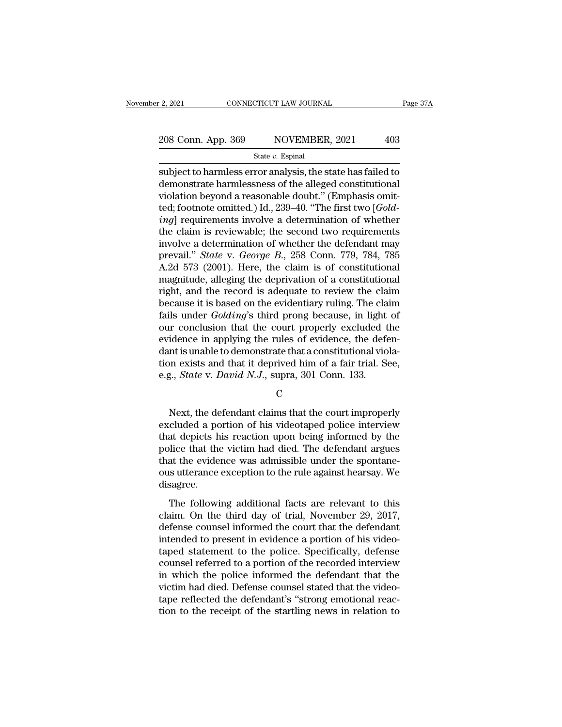subject to harmless error analysis, the state has failed to<br>demonstrate harmless error analysis, the state has failed to<br>demonstrate harmlessness of the alleged constitutional<br>violation beyond a reasonable doubt." (Emphas 208 Conn. App. 369 NOVEMBER, 2021 403<br>
State v. Espinal<br>
subject to harmless error analysis, the state has failed to<br>
demonstrate harmlessness of the alleged constitutional<br>
violation beyond a reasonable doubt." (Emphasis 208 Conn. App. 369 NOVEMBER, 2021 403<br>
State v. Espinal<br>
subject to harmless error analysis, the state has failed to<br>
demonstrate harmlessness of the alleged constitutional<br>
violation beyond a reasonable doubt." (Emphasis 208 Conn. App. 369 NOVEMBER, 2021 403<br>
State v. Espinal<br>
subject to harmless error analysis, the state has failed to<br>
demonstrate harmlessness of the alleged constitutional<br>
violation beyond a reasonable doubt." (Emphasis **ingle a** state *v*. Espinal<br> **ingle a** subject to harmless error analysis, the state has failed to<br>
demonstrate harmlessness of the alleged constitutional<br>
violation beyond a reasonable doubt." (Emphasis omit-<br>
ted; footn state *v*. Espinal<br>
subject to harmless error analysis, the state has failed to<br>
demonstrate harmlessness of the alleged constitutional<br>
violation beyond a reasonable doubt." (Emphasis omit-<br>
ted; footnote omitted.) Id., subject to harmless error analysis, the state has failed to<br>demonstrate harmlessness of the alleged constitutional<br>violation beyond a reasonable doubt." (Emphasis omit-<br>ted; footnote omitted.) Id., 239–40. "The first two [ demonstrate harmlessness of the alleged constitutional<br>violation beyond a reasonable doubt." (Emphasis omit-<br>ted; footnote omitted.) Id., 239–40. "The first two [*Gold-*<br>ing] requirements involve a determination of whether violation beyond a reasonable doubt." (Emphasis omit-<br>ted; footnote omitted.) Id., 239–40. "The first two [*Gold-*<br>*ing*] requirements involve a determination of whether<br>the claim is reviewable; the second two requirement ted; footnote omitted.) Id., 239–40. "The first two [*Gold-*<br>*ing*] requirements involve a determination of whether<br>the claim is reviewable; the second two requirements<br>involve a determination of whether the defendant may ing] requirements involve a determination of whether<br>the claim is reviewable; the second two requirements<br>involve a determination of whether the defendant may<br>prevail." *State* v. *George B.*, 258 Conn. 779, 784, 785<br>A.2d the claim is reviewable; the second two requirements<br>involve a determination of whether the defendant may<br>prevail." *State* v. *George B.*, 258 Conn. 779, 784, 785<br>A.2d 573 (2001). Here, the claim is of constitutional<br>magn involve a determination of whether the defendant may<br>prevail." *State* v. *George B.*, 258 Conn. 779, 784, 785<br>A.2d 573 (2001). Here, the claim is of constitutional<br>magnitude, alleging the deprivation of a constitutional<br>r prevail." *State* v. *George B.*, 258 Conn. 779, 784, 785<br>A.2d 573 (2001). Here, the claim is of constitutional<br>magnitude, alleging the deprivation of a constitutional<br>right, and the record is adequate to review the claim<br> A.2d 573 (2001). Here, the claim is of constitutional magnitude, alleging the deprivation of a constitutional right, and the record is adequate to review the claim because it is based on the evidentiary ruling. The claim f magnitude, alleging the deprivation of a constitutional<br>right, and the record is adequate to review the claim<br>because it is based on the evidentiary ruling. The claim<br>fails under *Golding*'s third prong because, in light right, and the record is adequate to review the claim<br>because it is based on the evidentiary ruling. The claim<br>fails under *Golding's* third prong because, in light of<br>our conclusion that the court properly excluded the<br>ev because it is based on the evidentiary ruling. The cla<br>fails under *Golding*'s third prong because, in light<br>our conclusion that the court properly excluded t<br>evidence in applying the rules of evidence, the defe<br>dant is un idence in applying the rules of evidence, the defen-<br>nt is unable to demonstrate that a constitutional viola-<br>n exists and that it deprived him of a fair trial. See,<br>g., *State* v. *David N.J.*, supra, 301 Conn. 133.<br>C<br>Nex

C<sub>c</sub>

dant is unable to demonstrate that a constitutional violation exists and that it deprived him of a fair trial. See,<br>e.g., *State* v. *David N.J.*, supra, 301 Conn. 133.<br>C<br>Next, the defendant claims that the court improperl tion exists and that it deprived him of a fair trial. See,<br>e.g., *State* v. *David N.J.*, supra, 301 Conn. 133.<br>C<br>Next, the defendant claims that the court improperly<br>excluded a portion of his videotaped police interview<br> e.g., *State* v. *David N.J.*, supra, 301 Conn. 133.<br>
C<br>
Next, the defendant claims that the court improperly<br>
excluded a portion of his videotaped police interview<br>
that depicts his reaction upon being informed by the<br>
p C<br>
Next, the defendant claims that the court improperly<br>
excluded a portion of his videotaped police interview<br>
that depicts his reaction upon being informed by the<br>
police that the victim had died. The defendant argues<br>
t Next, the defendant claims that the court improperly<br>excluded a portion of his videotaped police interview<br>that depicts his reaction upon being informed by the<br>police that the victim had died. The defendant argues<br>that the disagree. at depicts his reaction upon being informed by the<br>at depicts his reaction upon being informed by the<br>lice that the victim had died. The defendant argues<br>at the evidence was admissible under the spontane-<br>sutterance except related that the victim had died. The defendant argues<br>that the evidence was admissible under the spontane-<br>ous utterance exception to the rule against hearsay. We<br>disagree.<br>The following additional facts are relevant to t

ponce and are vienn had died. The defendant digdes<br>that the evidence was admissible under the spontane-<br>ous utterance exception to the rule against hearsay. We<br>disagree.<br>The following additional facts are relevant to this<br> Figure 2.1 The following additional facts are relevant to this claim. On the third day of trial, November 29, 2017, defense counsel informed the court that the defendant intended to present in evidence a portion of his vid ous distance exception to the rate distance distance.<br>
The following additional facts are relevant to this<br>
claim. On the third day of trial, November 29, 2017,<br>
defense counsel informed the court that the defendant<br>
inten The following additional facts are relevant to this<br>claim. On the third day of trial, November 29, 2017,<br>defense counsel informed the court that the defendant<br>intended to present in evidence a portion of his video-<br>taped s The following additional facts are relevant to this<br>claim. On the third day of trial, November 29, 2017,<br>defense counsel informed the court that the defendant<br>intended to present in evidence a portion of his video-<br>taped s claim. On the third day of trial, November 29, 2017,<br>defense counsel informed the court that the defendant<br>intended to present in evidence a portion of his video-<br>taped statement to the police. Specifically, defense<br>counse defense counsel informed the court that the defendant<br>intended to present in evidence a portion of his video-<br>taped statement to the police. Specifically, defense<br>counsel referred to a portion of the recorded interview<br>in intended to present in evidence a portion of his video-<br>taped statement to the police. Specifically, defense<br>counsel referred to a portion of the recorded interview<br>in which the police informed the defendant that the<br>victi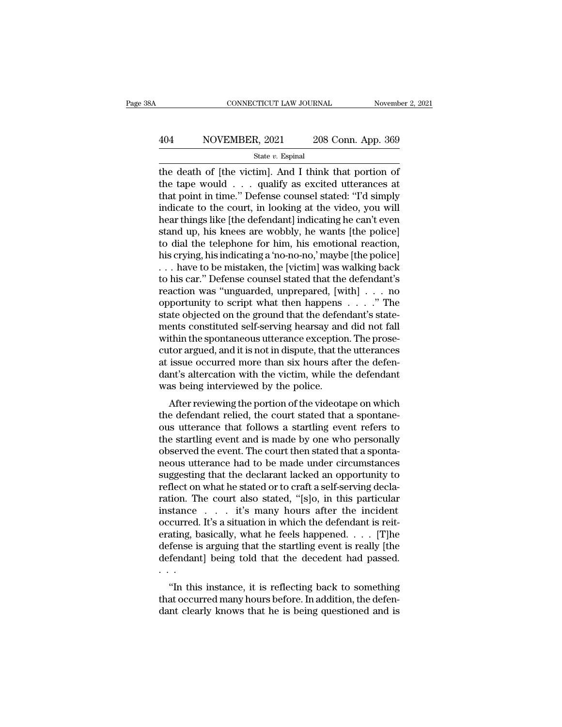# EXECUTE CONNECTICUT LAW JOURNAL Movember 2, 2021<br>A04 NOVEMBER, 2021 208 Conn. App. 369<br>State v. Espinal

State *v.* Espinal

CONNECTICUT LAW JOURNAL November 2, 202<br>  $\begin{array}{r}\n 404 \quad \text{NOVEMBER, } 2021 \quad \text{208 Conn. App. 369}\n \hline\n \text{State } v. \text{ Espinal}\n \end{array}$ the death of [the victim]. And I think that portion of<br>
the tape would . . . qualify as excited utterances a 404 NOVEMBER, 2021 208 Conn. App. 369<br>  $\frac{\text{State } v. \text{ Espinal}}{\text{the death of [the victim]. And I think that portion of the tape would . . . quality as excited utterances at that point in time." Defense, counds stated: "T'd simply indicate to the court in looking at the video, you will$ 404 NOVEMBER, 2021 208 Conn. App. 369<br>  $\frac{\text{State } v. \text{ Espinal}}{\text{the death of [the victim]. And I think that portion of the tape would . . . quality as excited utterances at that point in time." Defense, course, stated: "Td simply indicate to the court, in looking at the video, you will hear things like [the defondant] indicating the can't even.$ indicate to the court, in looking at the video, you will State v. Espinal<br>
State v. Espinal<br>
the death of [the victim]. And I think that portion of<br>
the tape would . . . qualify as excited utterances at<br>
that point in time." Defense counsel stated: "I'd simply<br>
indicate to the state v. Espinal<br>the death of [the victim]. And I think that portion of<br>the tape would . . . qualify as excited utterances at<br>that point in time." Defense counsel stated: "I'd simply<br>indicate to the court, in looking at t the death of [the victim]. And I think that portion of<br>the tape would  $\ldots$  qualify as excited utterances at<br>that point in time." Defense counsel stated: "I'd simply<br>indicate to the court, in looking at the video, you wil the tape would . . . qualify as excited utterances at<br>that point in time." Defense counsel stated: "I'd simply<br>indicate to the court, in looking at the video, you will<br>hear things like [the defendant] indicating he can't e that point in time." Defense counsel stated: "I'd simply<br>indicate to the court, in looking at the video, you will<br>hear things like [the defendant] indicating he can't even<br>stand up, his knees are wobbly, he wants [the poli indicate to the court, in looking at the video, you will<br>hear things like [the defendant] indicating he can't even<br>stand up, his knees are wobbly, he wants [the police]<br>to dial the telephone for him, his emotional reaction hear things like [the defendant] indicating he can't even<br>stand up, his knees are wobbly, he wants [the police]<br>to dial the telephone for him, his emotional reaction,<br>his crying, his indicating a 'no-no-no,' maybe [the pol stand up, his knees are wobbly, he wants [the police]<br>to dial the telephone for him, his emotional reaction,<br>his crying, his indicating a 'no-no-no,' maybe [the police]<br>. . . have to be mistaken, the [victim] was walking b to dial the telephone for him, his emotional reaction,<br>his crying, his indicating a 'no-no-no,' maybe [the police]<br> $\ldots$  have to be mistaken, the [victim] was walking back<br>to his car." Defense counsel stated that the defe his crying, his indicating a 'no-no-no,' maybe [the police]<br>
... have to be mistaken, the [victim] was walking back<br>
to his car." Defense counsel stated that the defendant's<br>
reaction was "unguarded, unprepared, [with] .. when the spontaneous utterance exception. The spontaneous values of the spontaneous values of the spontaneous values of the spontaneous utterance exception. The state objected on the ground that the defendant's statements to his car." Defense counsel stated that the defendant's<br>reaction was "unguarded, unprepared, [with]  $\ldots$  no<br>opportunity to script what then happens  $\ldots$ ." The<br>state objected on the ground that the defendant's state-<br>me reaction was "unguarded, unprepared, [with]  $\ldots$  no<br>opportunity to script what then happens  $\ldots$ ." The<br>state objected on the ground that the defendant's state-<br>ments constituted self-serving hearsay and did not fall<br>wit opportunity to script what then happens  $\ldots$ ." The state objected on the ground that the defendant's statements constituted self-serving hearsay and did not fall within the spontaneous utterance exception. The prosecutor state objected on the ground that the deferments constituted self-serving hearsay and within the spontaneous utterance exception cutor argued, and it is not in dispute, that that issue occurred more than six hours afted<br>an Filis constituted sen-serving nearsay and did not fail<br>thin the spontaneous utterance exception. The prose-<br>tor argued, and it is not in dispute, that the utterances<br>issue occurred more than six hours after the defen-<br>nt's whim the spontaneous uterance exception. The prose-<br>cutor argued, and it is not in dispute, that the utterances<br>at issue occurred more than six hours after the defendant<br>was being interviewed by the police.<br>After reviewing

cutor argued, and it is not in uispute, that the utterances<br>at issue occurred more than six hours after the defen-<br>dant's altercation with the victim, while the defendant<br>was being interviewed by the police.<br>After reviewin at issue occurred infire than six hours are the defendant<br>dant's altercation with the victim, while the defendant<br>was being interviewed by the police.<br>After reviewing the portion of the videotape on which<br>the defendant rel dant s anercation with the victin, while the defendant<br>was being interviewed by the police.<br>After reviewing the portion of the videotape on which<br>the defendant relied, the court stated that a spontane-<br>ous utterance that f was being interviewed by the poince.<br>
After reviewing the portion of the videotape on which<br>
the defendant relied, the court stated that a spontane-<br>
ous utterance that follows a startling event refers to<br>
the startling ev After reviewing the portion of the videotape on which<br>the defendant relied, the court stated that a spontane-<br>ous utterance that follows a startling event refers to<br>the startling event and is made by one who personally<br>obs the defendant relied, the court stated that a spontane-<br>ous utterance that follows a startling event refers to<br>the startling event and is made by one who personally<br>observed the event. The court then stated that a sponta-<br> ous utterance that follows a startling event refers to<br>the startling event and is made by one who personally<br>observed the event. The court then stated that a sponta-<br>neous utterance had to be made under circumstances<br>sugge the startling event and is made by one who personally<br>observed the event. The court then stated that a sponta-<br>neous utterance had to be made under circumstances<br>suggesting that the declarant lacked an opportunity to<br>refle observed the event. The court then stated that a spontaneous utterance had to be made under circumstances suggesting that the declarant lacked an opportunity to reflect on what he stated or to craft a self-serving declara neous utterance had to be made under circumstances<br>suggesting that the declarant lacked an opportunity to<br>reflect on what he stated or to craft a self-serving decla-<br>ration. The court also stated, "[s]o, in this particular suggesting that the declarant lacked an opportunity to<br>reflect on what he stated or to craft a self-serving decla-<br>ration. The court also stated, "[s]o, in this particular<br>instance . . . . it's many hours after the inciden reflect on what he stated or to craft a self-serving declaration. The court also stated, "[s]o, in this particular instance . . . . it's many hours after the incident occurred. It's a situation in which the defendant is re ration. Tinstance<br>occurred<br>erating, t<br>defense i<br>defendan<br>... stance  $\cdot$   $\cdot$   $\cdot$  it is many nours after the incluent<br>curred. It's a situation in which the defendant is reit-<br>ating, basically, what he feels happened.  $\cdot$  . . . [T]he<br>fense is arguing that the startling event is re occurred. it is a situation in which the determinant is renerating, basically, what he feels happened. . . . [T]he defendant] being told that the decedent had passed.<br>  $\cdot$  ...<br>
"In this instance, it is reflecting back to erating, basically, what he feels happened.  $\ldots$  [1] he defense is arguing that the startling event is really [the defendant] being told that the decedent had passed.<br>  $\ldots$  "In this instance, it is reflecting back to so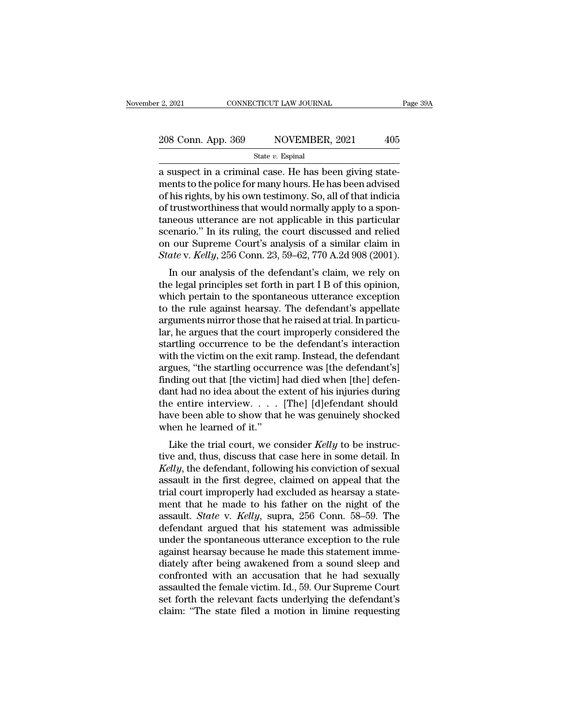| r 2, 2021          | CONNECTICUT LAW JOURNAL | Page 39A |
|--------------------|-------------------------|----------|
| 208 Conn. App. 369 | NOVEMBER, 2021          | 405      |
|                    | State $v$ . Espinal     |          |

2, 2021 CONNECTICUT LAW JOURNAL<br>
208 Conn. App. 369 NOVEMBER, 2021 405<br>  $\frac{\text{State } v. \text{ Espinal}}{\text{Rate } v. \text{ Espinal}}$ <br>
a suspect in a criminal case. He has been giving state-<br>
ments to the police for many hours. He has been advised<br>
of 208 Conn. App. 369 NOVEMBER, 2021 405<br>
State v. Espinal<br>
a suspect in a criminal case. He has been giving state-<br>
ments to the police for many hours. He has been advised<br>
of his rights, by his own testimony. So, all of th 208 Conn. App. 369 NOVEMBER, 2021 405<br>
State v. Espinal<br>
a suspect in a criminal case. He has been giving state-<br>
ments to the police for many hours. He has been advised<br>
of his rights, by his own testimony. So, all of th 208 Conn. App. 369 NOVEMBER, 2021 405<br>
State v. Espinal<br>
a suspect in a criminal case. He has been giving state-<br>
ments to the police for many hours. He has been advised<br>
of his rights, by his own testimony. So, all of th State v. Espinal<br>
a suspect in a criminal case. He has been giving state-<br>
ments to the police for many hours. He has been advised<br>
of his rights, by his own testimony. So, all of that indicia<br>
of trustworthiness that wou state *v*. Espinal<br>a suspect in a criminal case. He has been giving state-<br>ments to the police for many hours. He has been advised<br>of his rights, by his own testimony. So, all of that indicia<br>of trustworthiness that would a suspect in a criminal case. He has been giving statements to the police for many hours. He has been advised of his rights, by his own testimony. So, all of that indicial of trustworthiness that would normally apply to a ments to the police for many hours. He has been advised<br>of his rights, by his own testimony. So, all of that indicia<br>of trustworthiness that would normally apply to a spon-<br>taneous utterance are not applicable in this part Insingins, by insident test<br>interpret that the definition of the defendant constant enario." In its ruling, the court discussed and relied<br>our Supreme Court's analysis of a similar claim in<br>ate v. Kelly, 256 Conn. 23, 59– or trustworthness that would normally apply to a spon-<br>taneous utterance are not applicable in this particular<br>scenario." In its ruling, the court discussed and relied<br>on our Supreme Court's analysis of a similar claim in<br>

rative different at a flot applicable in this particular<br>scenario." In its ruling, the court discussed and relied<br>on our Supreme Court's analysis of a similar claim in<br>*State* v. *Kelly*, 256 Conn. 23, 59–62, 770 A.2d 908 scenario. In its ruling, the court discussed and rened<br>on our Supreme Court's analysis of a similar claim in<br>State v. Kelly, 256 Conn. 23, 59–62, 770 A.2d 908 (2001).<br>In our analysis of the defendant's claim, we rely on<br>th State v. Kelly, 256 Conn. 23, 59–62, 770 A.2d 908 (2001).<br>In our analysis of the defendant's claim, we rely on<br>the legal principles set forth in part I B of this opinion,<br>which pertain to the spontaneous utterance excepti State v. Reag, 250 Coluit. 25, 39–02, 770 A.2d 906 (2001).<br>
In our analysis of the defendant's claim, we rely on<br>
the legal principles set forth in part I B of this opinion,<br>
which pertain to the spontaneous utterance exc In our analysis of the defendant's claim, we rely on<br>the legal principles set forth in part I B of this opinion,<br>which pertain to the spontaneous utterance exception<br>to the rule against hearsay. The defendant's appellate<br>a the legal principles set forth in part I B of this opinion,<br>which pertain to the spontaneous utterance exception<br>to the rule against hearsay. The defendant's appellate<br>arguments mirror those that he raised at trial. In par which pertain to the spontaneous utterance exception<br>to the rule against hearsay. The defendant's appellate<br>arguments mirror those that he raised at trial. In particu-<br>lar, he argues that the court improperly considered th to the rule against hearsay. The defendant's appellate<br>arguments mirror those that he raised at trial. In particu-<br>lar, he argues that the court improperly considered the<br>startling occurrence to be the defendant's interact arguments mirror those that he raised at trial. In particu-<br>lar, he argues that the court improperly considered the<br>startling occurrence to be the defendant's interaction<br>with the victim on the exit ramp. Instead, the defe lar, he argues that the court improperly considered the<br>startling occurrence to be the defendant's interaction<br>with the victim on the exit ramp. Instead, the defendant<br>argues, "the startling occurrence was [the defendant's startling occurrence to be the defendant's interaction<br>with the victim on the exit ramp. Instead, the defendant<br>argues, "the startling occurrence was [the defendant's]<br>finding out that [the victim] had died when [the] def with the victim on the exit rangues, "the startling occurr<br>finding out that [the victim]<br>dant had no idea about the  $\epsilon$ <br>the entire interview.....<br>have been able to show that<br>when he learned of it."<br>Like the trial court, gues, the starting occurrence was [the defendant s]<br>ding out that [the victim] had died when [the] defen-<br>ant had no idea about the extent of his injuries during<br>e entire interview.... [The] [d]efendant should<br>we been able thinking out that [the victini] had died when [the] deferred<br>dant had no idea about the extent of his injuries during<br>the entire interview.... [The] [d]efendant should<br>have been able to show that he was genuinely shocked<br>

dant had no liea about the extent of his injuries during<br>the entire interview.  $\dots$  [The] [d]efendant should<br>have been able to show that he was genuinely shocked<br>when he learned of it."<br>Like the trial court, we consider the entre interview.  $\therefore$  [The] [d] entries show that he was genuinely shocked<br>when he learned of it."<br>Like the trial court, we consider *Kelly* to be instruc-<br>tive and, thus, discuss that case here in some detail. In<br>*K* trial court, we consider *Kelly* to be instructive and, thus, discuss that case here in some detail. In *Kelly*, the defendant, following his conviction of sexual assault in the first degree, claimed on appeal that the tr When he learned of h.<br>
Like the trial court, we consider Kelly to be instructive and, thus, discuss that case here in some detail. In<br>
Kelly, the defendant, following his conviction of sexual<br>
assault in the first degree, Like the trial court, we consider *Kelly* to be instructive and, thus, discuss that case here in some detail. In *Kelly*, the defendant, following his conviction of sexual assault in the first degree, claimed on appeal tha tive and, thus, discuss that case here in some detail. In *Kelly*, the defendant, following his conviction of sexual assault in the first degree, claimed on appeal that the trial court improperly had excluded as hearsay a Kelly, the defendant, following his conviction of sexual<br>assault in the first degree, claimed on appeal that the<br>trial court improperly had excluded as hearsay a state-<br>ment that he made to his father on the night of the<br>a assault in the first degree, claimed on appeal that the<br>trial court improperly had excluded as hearsay a state-<br>ment that he made to his father on the night of the<br>assault. *State* v. *Kelly*, supra, 256 Conn. 58–59. The<br>d trial court improperly had excluded as hearsay a statement that he made to his father on the night of the assault. *State* v. *Kelly*, supra, 256 Conn. 58–59. The defendant argued that his statement was admissible under th ment that he made to his father on the night of the<br>assault. *State* v. *Kelly*, supra, 256 Conn. 58–59. The<br>defendant argued that his statement was admissible<br>under the spontaneous utterance exception to the rule<br>against assault. *State* v. *Kelly*, supra, 256 Conn. 58–59. The<br>defendant argued that his statement was admissible<br>under the spontaneous utterance exception to the rule<br>against hearsay because he made this statement imme-<br>diately defendant argued that his statement was admissible<br>under the spontaneous utterance exception to the rule<br>against hearsay because he made this statement imme-<br>diately after being awakened from a sound sleep and<br>confronted w under the spontaneous utterance exception to the rule<br>against hearsay because he made this statement imme-<br>diately after being awakened from a sound sleep and<br>confronted with an accusation that he had sexually<br>assaulted th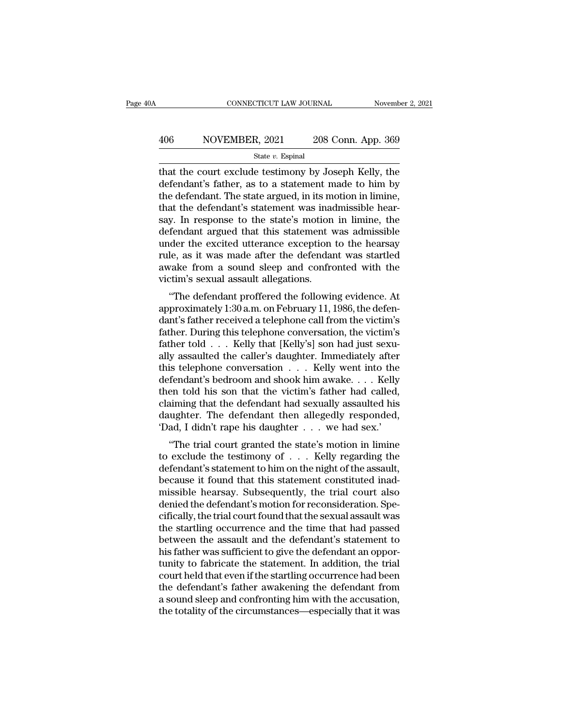# EXECUTE CONNECTICUT LAW JOURNAL Movember 2, 2021<br>A06 NOVEMBER, 2021 208 Conn. App. 369<br>State v. Espinal

### State *v.* Espinal

CONNECTICUT LAW JOURNAL November 2, 2021<br>  $208$  Conn. App. 369<br>  $\frac{\text{State } v. \text{ Espinal}}{\text{State } v. \text{ Espinal}}$ <br>
that the court exclude testimony by Joseph Kelly, the<br>
defendant's father, as to a statement made to him by<br>
the defendant Th MOVEMBER, 2021 208 Conn. App. 369<br>
State v. Espinal<br>
that the court exclude testimony by Joseph Kelly, the<br>
defendant's father, as to a statement made to him by<br>
the defendant. The state argued, in its motion in limine,<br>
t 406 NOVEMBER, 2021 208 Conn. App. 369<br>  $\frac{\text{State } v. \text{ Espinal}}{\text{that the court exclude testimony by Joseph Kelly, the}\n\text{defendant's father, as to a statement made to him by the defendant. The state argued, in its motion in limine, that the defendant's statement was inadmissible hear-  
ssay. In response to the state's motion in limine, the$ 406 NOVEMBER, 2021 208 Conn. App. 369<br>  $\frac{\text{State } v. \text{ Espinal}}{\text{that the court exclude testimony by Joseph Kelly, the}\end{equation}$ <br>
that the court exclude testimony by Joseph Kelly, the<br>
defendant's father, as to a statement made to him by<br>
the defendant. The state argued, in state v. Espinal<br>state v. Espinal<br>that the court exclude testimony by Joseph Kelly, the<br>defendant's father, as to a statement made to him by<br>the defendant. The state argued, in its motion in limine,<br>that the defendant's s state v. Espinal<br>that the court exclude testimony by Joseph Kelly, the<br>defendant's father, as to a statement made to him by<br>the defendant. The state argued, in its motion in limine,<br>that the defendant's statement was inad that the court exclude testimony by Joseph Kelly, the<br>defendant's father, as to a statement made to him by<br>the defendant. The state argued, in its motion in limine,<br>that the defendant's statement was inadmissible hear-<br>say defendant's father, as to a statement made to him by<br>the defendant. The state argued, in its motion in limine,<br>that the defendant's statement was inadmissible hear-<br>say. In response to the state's motion in limine, the<br>def the defendant. The state argued, in its motion in limine,<br>that the defendant's statement was inadmissible hear-<br>say. In response to the state's motion in limine, the<br>defendant argued that this statement was admissible<br>unde that the defendant's statement was inadeay. In response to the state's motion defendant argued that this statement vunder the excited utterance exception rule, as it was made after the defendant awake from a sound sleep an y. In response to the state's induoti in infinite, the<br>fendant argued that this statement was admissible<br>der the excited utterance exception to the hearsay<br>le, as it was made after the defendant was startled<br>vake from a so defendant argued that this statement was admissible<br>under the excited utterance exception to the hearsay<br>rule, as it was made after the defendant was startled<br>awake from a sound sleep and confronted with the<br>victim's sexua

mule, as it was made after the defendant was startled<br>awake from a sound sleep and confronted with the<br>victim's sexual assault allegations.<br>"The defendant proffered the following evidence. At<br>approximately 1:30 a.m. on Feb rule, as it was made after the defendant was startied<br>awake from a sound sleep and confronted with the<br>victim's sexual assault allegations.<br>"The defendant proffered the following evidence. At<br>approximately 1:30 a.m. on Feb awake from a sound sleep and comfonted with the<br>victim's sexual assault allegations.<br>"The defendant proffered the following evidence. At<br>approximately 1:30 a.m. on February 11, 1986, the defen-<br>dant's father received a tel wettin's sexuar assault an<br>egations.<br>
"The defendant proffered the following evidence. At<br>
approximately 1:30 a.m. on February 11, 1986, the defen-<br>
dant's father received a telephone call from the victim's<br>
father. Durin "The defendant proffered the following evidence. At<br>approximately 1:30 a.m. on February 11, 1986, the defen-<br>dant's father received a telephone call from the victim's<br>father. During this telephone conversation, the victim approximately 1:30 a.m. on February 11, 1986, the defendant's father received a telephone call from the victim's<br>father. During this telephone conversation, the victim's<br>father told . . . Kelly that [Kelly's] son had just dant's father received a telephone call from the victim's<br>father. During this telephone conversation, the victim's<br>father told . . . Kelly that [Kelly's] son had just sexu-<br>ally assaulted the caller's daughter. Immediately father. During this telephone conversation, the victim's<br>father told . . . Kelly that [Kelly's] son had just sexually assaulted the caller's daughter. Immediately after<br>this telephone conversation . . . Kelly went into th father told . . . Kelly that [Kelly's] son had just sexually assaulted the caller's daughter. Immediately after this telephone conversation . . . Kelly went into the defendant's bedroom and shook him awake. . . . Kelly th ally assaulted the caller's daughter. Immediately after this telephone conversation  $\ldots$ . Kelly went into the defendant's bedroom and shook him awake.  $\ldots$  Kelly then told his son that the victim's father had called, cl Solution is a state<br>fendant's bedroom and shook him awake.... Kelly<br>en told his son that the victim's father had called,<br>aiming that the defendant had sexually assaulted his<br>ughter. The defendant then allegedly responded,<br> defendant s bethoom and shook film awake. . . . . Refly<br>then told his son that the victim's father had called,<br>claiming that the defendant had sexually assaulted his<br>daughter. The defendant then allegedly responded,<br>'Dad,

claiming that the defendant had sexually assaulted his<br>daughter. The defendant then allegedly responded,<br>'Dad, I didn't rape his daughter  $\ldots$  we had sex.'<br>"The trial court granted the state's motion in limine<br>to exclude claiming that the defendant had sexually assaulted its<br>daughter. The defendant then allegedly responded,<br>'Dad, I didn't rape his daughter  $\ldots$  we had sex.'<br>"The trial court granted the state's motion in limine<br>to exclude maignet. The defendant then anegedly responded,<br>
"Dad, I didn't rape his daughter  $\dots$  we had sex."<br>
"The trial court granted the state's motion in limine<br>
to exclude the testimony of  $\dots$  Kelly regarding the<br>
defendant's Dad, I didn't Lape instangulate  $\ldots$  we had sex.<br>
"The trial court granted the state's motion in limine<br>
to exclude the testimony of  $\ldots$ . Kelly regarding the<br>
defendant's statement to him on the night of the assault,<br> "The trial court granted the state's motion in limine<br>to exclude the testimony of  $\ldots$ . Kelly regarding the<br>defendant's statement to him on the night of the assault,<br>because it found that this statement constituted inadto exclude the testimony of  $\ldots$  Kelly regarding the<br>defendant's statement to him on the night of the assault,<br>because it found that this statement constituted inad-<br>missible hearsay. Subsequently, the trial court also<br>d defendant's statement to him on the night of the assault,<br>because it found that this statement constituted inad-<br>missible hearsay. Subsequently, the trial court also<br>denied the defendant's motion for reconsideration. Spe-<br> because it found that this statement constituted inad-<br>missible hearsay. Subsequently, the trial court also<br>denied the defendant's motion for reconsideration. Spe-<br>cifically, the trial court found that the sexual assault w missible hearsay. Subsequently, the trial court also<br>denied the defendant's motion for reconsideration. Spe-<br>cifically, the trial court found that the sexual assault was<br>the startling occurrence and the time that had passe denied the defendant's motion for reconsideration. Specifically, the trial court found that the sexual assault was<br>the startling occurrence and the time that had passed<br>between the assault and the defendant's statement to<br> cifically, the trial court found that the sexual assault was<br>the startling occurrence and the time that had passed<br>between the assault and the defendant's statement to<br>his father was sufficient to give the defendant an opp the startling occurrence and the time that had passed<br>between the assault and the defendant's statement to<br>his father was sufficient to give the defendant an oppor-<br>tunity to fabricate the statement. In addition, the trial between the assault and the defendant's statement to<br>his father was sufficient to give the defendant an oppor-<br>tunity to fabricate the statement. In addition, the trial<br>court held that even if the startling occurrence had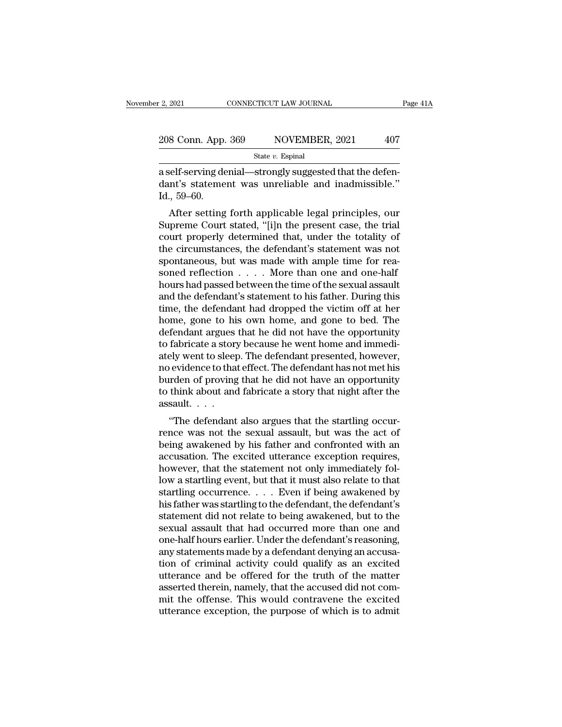| r 2, 2021          | CONNECTICUT LAW JOURNAL | Page 41A |
|--------------------|-------------------------|----------|
| 208 Conn. App. 369 | NOVEMBER, 2021          | 407      |
|                    | State $v$ . Espinal     |          |

2, 2021 CONNECTICUT LAW JOURNAL<br>
208 Conn. App. 369 NOVEMBER, 2021 407<br>  $\frac{\text{State } v. \text{ Espinal}}{\text{Rate } v. \text{ Espinal}}$ <br>
a self-serving denial—strongly suggested that the defen-<br>
dant's statement was unreliable and inadmissible." 208 Conn. App. 369 NOVEMBER, 2021 407<br>State v. Espinal<br>a self-serving denial—strongly suggested that the defendant's statement was unreliable and inadmissible."<br>Id., 59–60. 208 Conn. App.<br>
a self-serving de<br>
dant's stateme<br>
Id., 59–60.<br>
After setting  $\frac{\text{8 Conn. App. 369}}{\text{State } v. \text{ Espinal}}$ <br>  $\text{self- serving denial—strongly suggested that the defendant's statement was unreliable and inadmissible."}$   $\text{407}}$ <br>  $\text{59-60}.$ <br>
After setting forth applicable legal principles, our<br>
preme Court stated, "[i]n the present case, the trial<br>
urt propely determined that u

State v. Espinal<br>
State v. Espinal<br>
a self-serving denial—strongly suggested that the defendant's statement was unreliable and inadmissible."<br>
Id., 59–60.<br>
After setting forth applicable legal principles, our<br>
Supreme Cou a self-serving denial—strongly suggested that the defendant's statement was unreliable and inadmissible."<br>Id., 59–60.<br>After setting forth applicable legal principles, our<br>Supreme Court stated, "[i]n the present case, the t a sen-serving deniai—strongly suggested that the defendant's statement was unreliable and inadmissible."<br>Id., 59–60.<br>After setting forth applicable legal principles, our<br>Supreme Court stated, "[i]n the present case, the tr Id., 59–60.<br>Id., 59–60.<br>After setting forth applicable legal principles, our<br>Supreme Court stated, "[i]n the present case, the trial<br>court properly determined that, under the totality of<br>the circumstances, the defendant's nd., 59–00.<br>After setting forth applicable legal principles, our<br>Supreme Court stated, "[i]n the present case, the trial<br>court properly determined that, under the totality of<br>the circumstances, the defendant's statement wa After setting forth applicable legal principles, our<br>Supreme Court stated, "[i]n the present case, the trial<br>court properly determined that, under the totality of<br>the circumstances, the defendant's statement was not<br>spont Supreme Court stated, "[i]n the present case, the trial<br>court properly determined that, under the totality of<br>the circumstances, the defendant's statement was not<br>spontaneous, but was made with ample time for rea-<br>soned r court properly determined that, under the totality of<br>the circumstances, the defendant's statement was not<br>spontaneous, but was made with ample time for rea-<br>soned reflection  $\dots$ . More than one and one-half<br>hours had pas the circumstances, the defendant's statement was not spontaneous, but was made with ample time for reasoned reflection  $\ldots$ . More than one and one-half hours had passed between the time of the sexual assault and the defe spontaneous, but was made with ample time for reasoned reflection  $\ldots$ . More than one and one-half hours had passed between the time of the sexual assault and the defendant's statement to his father. During this time, th soned reflection  $\ldots$ . More than one and one-half<br>hours had passed between the time of the sexual assault<br>and the defendant's statement to his father. During this<br>time, the defendant had dropped the victim off at her<br>hom hours had passed between the time of the sexual assault<br>and the defendant's statement to his father. During this<br>time, the defendant had dropped the victim off at her<br>home, gone to his own home, and gone to bed. The<br>defend and the defendant's statement to his father. During this<br>time, the defendant had dropped the victim off at her<br>home, gone to his own home, and gone to bed. The<br>defendant argues that he did not have the opportunity<br>to fabri time, the defendant had dropped the victim off at her<br>home, gone to his own home, and gone to bed. The<br>defendant argues that he did not have the opportunity<br>to fabricate a story because he went home and immedi-<br>ately went home, gone to his own home, and gone to bed. The<br>defendant argues that he did not have the opportunity<br>to fabricate a story because he went home and immedi-<br>ately went to sleep. The defendant presented, however,<br>no evidenc defendant argues<br>to fabricate a stor<sub>,</sub><br>ately went to sleep<br>no evidence to tha<br>burden of proving<br>to think about and<br>assault. . . . .<br>"The defendant Traditional also argues the went none and intihedrally went to sleep. The defendant presented, however, evidence to that effect. The defendant has not met his irden of proving that he did not have an opportunity think abou ately went to sleep. The defendant presented, nowever,<br>no evidence to that effect. The defendant has not met his<br>burden of proving that he did not have an opportunity<br>to think about and fabricate a story that night after t

ho evidence to that effect. The defendant has not met ins<br>burden of proving that he did not have an opportunity<br>to think about and fabricate a story that night after the<br>assault....<br>"The defendant also argues that the star butuen of proving that he dut not have an opportunity<br>to think about and fabricate a story that night after the<br>assault....<br>"The defendant also argues that the startling occur-<br>rence was not the sexual assault, but was th however, that the statement of being and the starting occurrence was not the sexual assault, but was the act of being awakened by his father and confronted with an accusation. The excited utterance exception requires, howe "The defendant also argues that the startling occurrence was not the sexual assault, but was the act of being awakened by his father and confronted with an accusation. The excited utterance exception requires, however, th "The defendant also argues that the startling occurrence was not the sexual assault, but was the act of being awakened by his father and confronted with an accusation. The excited utterance exception requires, however, th rence was not the sexual assault, but was the act of<br>being awakened by his father and confronted with an<br>accusation. The excited utterance exception requires,<br>however, that the statement not only immediately fol-<br>low a sta being awakened by his father and confronted with an accusation. The excited utterance exception requires,<br>however, that the statement not only immediately fol-<br>low a startling event, but that it must also relate to that<br>st accusation. The excited utterance exception requires,<br>however, that the statement not only immediately fol-<br>low a startling event, but that it must also relate to that<br>startling occurrence. . . . Even if being awakened by<br> however, that the statement not only immediately fol-<br>low a startling event, but that it must also relate to that<br>startling occurrence. . . . Even if being awakened by<br>his father was startling to the defendant, the defenda low a startling event, but that it must also relate to that<br>startling occurrence.  $\ldots$  Even if being awakened by<br>his father was startling to the defendant, the defendant's<br>statement did not relate to being awakened, but startling occurrence. . . . Even if being awakened by<br>his father was startling to the defendant, the defendant's<br>statement did not relate to being awakened, but to the<br>sexual assault that had occurred more than one and<br>one his father was startling to the defendant, the defendant's<br>statement did not relate to being awakened, but to the<br>sexual assault that had occurred more than one and<br>one-half hours earlier. Under the defendant's reasoning,<br> statement did not relate to being awakened, but to the sexual assault that had occurred more than one and one-half hours earlier. Under the defendant's reasoning, any statements made by a defendant denying an accusation of sexual assault that had occurred more than one and<br>one-half hours earlier. Under the defendant's reasoning,<br>any statements made by a defendant denying an accusa-<br>tion of criminal activity could qualify as an excited<br>uttera one-half hours earlier. Under the defendant's reasoning, any statements made by a defendant denying an accusation of criminal activity could qualify as an excited utterance and be offered for the truth of the matter assert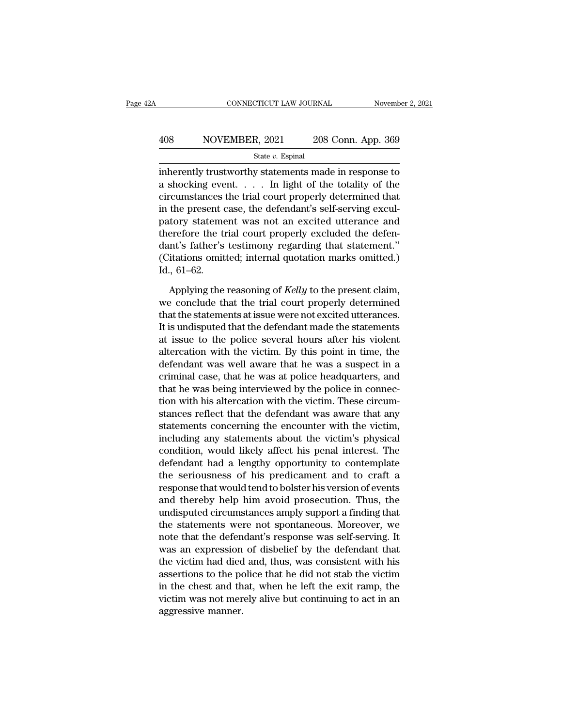# EXECUTE CONNECTICUT LAW JOURNAL Movember 2, 2021<br>A08 NOVEMBER, 2021 208 Conn. App. 369<br>State v. Espinal

State *v.* Espinal

CONNECTICUT LAW JOURNAL November 2, 2021<br>  $\begin{array}{r}\n 408 \hspace{1.5cm} \text{NOVEMBER, } 2021 \hspace{1.5cm} 208 \text{ Conn. } \text{App. } 369 \\
 \hline\n \text{State } v. \text{ Espinal} \\
 \text{inherently trustworthy statements made in response to} \\
 \text{a shocking event. . . . In light of the totality of the \\ \text{circumetances the trivial count unnonally determined that} \end{array}$ a shocking event. . . . In light of the totality of the 408 NOVEMBER, 2021 208 Conn. App. 369<br>
State v. Espinal<br>
inherently trustworthy statements made in response to<br>
a shocking event. . . . . In light of the totality of the<br>
circumstances the trial court properly determined 408 NOVEMBER, 2021 208 Conn. App. 369<br>  $\frac{\text{State } v. \text{ Espinal}}{\text{inherently trustworthy statements made in response to a shooting event. . . . In light of the totality of the circumstances the trial court properly determined that in the present case, the defendant's self-serving excitatory statement was not an excited utterance and therefore the trial court properly evaluated the deform.$ State v. Espinal<br>
inherently trustworthy statements made in response to<br>
a shocking event. . . . . In light of the totality of the<br>
circumstances the trial court properly determined that<br>
in the present case, the defendan State *v*. Espinal<br>
inherently trustworthy statements made in response to<br>
a shocking event. . . . . In light of the totality of the<br>
circumstances the trial court properly determined that<br>
in the present case, the defend inherently trustworthy statements made in response to<br>
a shocking event. . . . . In light of the totality of the<br>
circumstances the trial court properly determined that<br>
in the present case, the defendant's self-serving e a shocking event.  $\ldots$  In light of the totality of the circumstances the trial court properly determined that in the present case, the defendant's self-serving exculpatory statement was not an excited utterance and there circumstances<br>in the present c<br>patory stateme<br>therefore the ti<br>dant's father's<br>(Citations omit<br>Id., 61–62.<br>Applying the tory statement was not an excited utterance and<br>erefore the trial court properly excluded the defen-<br>int's father's testimony regarding that statement."<br>itations omitted; internal quotation marks omitted.)<br>., 61–62.<br>Applyi therefore the trial court properly excluded the defendant's father's testimony regarding that statement."<br>(Citations omitted; internal quotation marks omitted.)<br>Id., 61–62.<br>Applying the reasoning of *Kelly* to the present

dant's father's testimony regarding that statement."<br>(Citations omitted; internal quotation marks omitted.)<br>Id., 61–62.<br>Applying the reasoning of *Kelly* to the present claim,<br>we conclude that the trial court properly dete (Citations omitted; internal quotation marks omitted.)<br>
Id., 61–62.<br>
Applying the reasoning of *Kelly* to the present claim,<br>
we conclude that the trial court properly determined<br>
that the statements at issue were not exc Id., 61–62.<br>Applying the reasoning of *Kelly* to the present claim,<br>we conclude that the trial court properly determined<br>that the statements at issue were not excited utterances.<br>It is undisputed that the defendant made t Applying the reasoning of *Kelly* to the present claim,<br>we conclude that the trial court properly determined<br>that the statements at issue were not excited utterances.<br>It is undisputed that the defendant made the statements Applying the reasoning of *Kelly* to the present claim,<br>we conclude that the trial court properly determined<br>that the statements at issue were not excited utterances.<br>It is undisputed that the defendant made the statements we conclude that the trial court properly determined<br>that the statements at issue were not excited utterances.<br>It is undisputed that the defendant made the statements<br>at issue to the police several hours after his violent<br> that the statements at issue were not excited utterances.<br>It is undisputed that the defendant made the statements<br>at issue to the police several hours after his violent<br>altercation with the victim. By this point in time, t It is undisputed that the defendant made the statements<br>at issue to the police several hours after his violent<br>altercation with the victim. By this point in time, the<br>defendant was well aware that he was a suspect in a<br>cri at issue to the police several hours after his violent<br>altercation with the victim. By this point in time, the<br>defendant was well aware that he was a suspect in a<br>criminal case, that he was at police headquarters, and<br>that altercation with the victim. By this point in time, the<br>defendant was well aware that he was a suspect in a<br>criminal case, that he was at police headquarters, and<br>that he was being interviewed by the police in connec-<br>tion defendant was well aware that he was a suspect in a<br>criminal case, that he was at police headquarters, and<br>that he was being interviewed by the police in connec-<br>tion with his altercation with the victim. These circum-<br>sta criminal case, that he was at police headquarters, and<br>that he was being interviewed by the police in connec-<br>tion with his altercation with the victim. These circum-<br>stances reflect that the defendant was aware that any<br>s that he was being interviewed by the police in connection with his altercation with the victim. These circumstances reflect that the defendant was aware that any statements concerning the encounter with the victim, includi tion with his altercation with the victim. These circum-<br>stances reflect that the defendant was aware that any<br>statements concerning the encounter with the victim,<br>including any statements about the victim's physical<br>condi stances reflect that the defendant was aware that any<br>statements concerning the encounter with the victim,<br>including any statements about the victim's physical<br>condition, would likely affect his penal interest. The<br>defenda statements concerning the encounter with the victim,<br>including any statements about the victim's physical<br>condition, would likely affect his penal interest. The<br>defendant had a lengthy opportunity to contemplate<br>the seriou including any statements about the victim's physical<br>condition, would likely affect his penal interest. The<br>defendant had a lengthy opportunity to contemplate<br>the seriousness of his predicament and to craft a<br>response that condition, would likely affect his penal interest. The<br>defendant had a lengthy opportunity to contemplate<br>the seriousness of his predicament and to craft a<br>response that would tend to bolster his version of events<br>and ther defendant had a lengthy opportunity to contemplate<br>the seriousness of his predicament and to craft a<br>response that would tend to bolster his version of events<br>and thereby help him avoid prosecution. Thus, the<br>undisputed ci the seriousness of his predicament and to craft a<br>response that would tend to bolster his version of events<br>and thereby help him avoid prosecution. Thus, the<br>undisputed circumstances amply support a finding that<br>the statem response that would tend to bolster his version of events<br>and thereby help him avoid prosecution. Thus, the<br>undisputed circumstances amply support a finding that<br>the statements were not spontaneous. Moreover, we<br>note that and thereby help him avoid prosecution. Thus, the<br>undisputed circumstances amply support a finding that<br>the statements were not spontaneous. Moreover, we<br>note that the defendant's response was self-serving. It<br>was an expre undisputed circumstances amply support a finding that<br>the statements were not spontaneous. Moreover, we<br>note that the defendant's response was self-serving. It<br>was an expression of disbelief by the defendant that<br>the victi the statements were not spontaneous. Moreover, we<br>note that the defendant's response was self-serving. It<br>was an expression of disbelief by the defendant that<br>the victim had died and, thus, was consistent with his<br>assertio note that the defen<br>was an expression<br>the victim had died<br>assertions to the po<br>in the chest and th<br>victim was not mer<br>aggressive manner.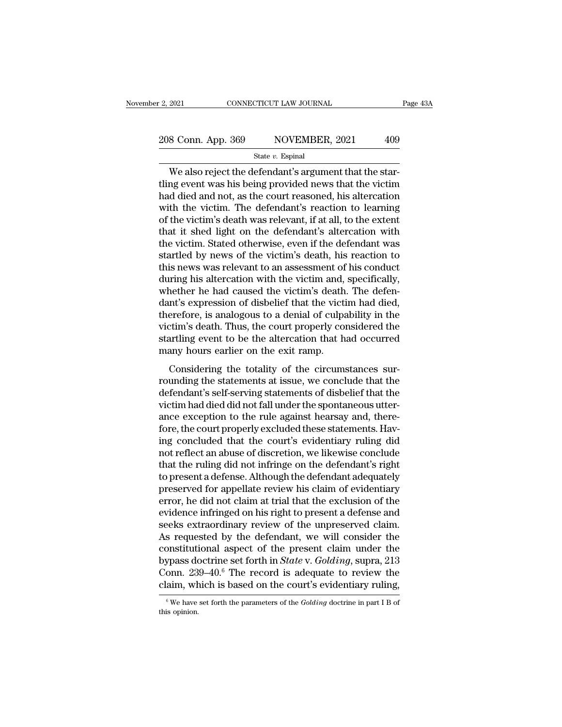# 2, 2021 CONNECTICUT LAW JOURNAL Page 43A<br>  $208$  Conn. App. 369 NOVEMBER, 2021 409<br>
State v. Espinal

### State *v.* Espinal

 $\frac{2021}{8 \text{ Conn. App. } 369}$   $\frac{1}{200}$  NOVEMBER, 2021  $\frac{409}{8 \text{ state } v. \text{ Espinal}}$ <br>We also reject the defendant's argument that the star-<br>ng event was his being provided news that the victime defined and not as the court reasone 208 Conn. App. 369 NOVEMBER, 2021 409<br>State v. Espinal<br>We also reject the defendant's argument that the star-<br>tling event was his being provided news that the victim<br>had died and not, as the court reasoned, his altercation 208 Conn. App. 369 NOVEMBER, 2021 409<br>
State v. Espinal<br>
We also reject the defendant's argument that the star-<br>
tling event was his being provided news that the victim<br>
had died and not, as the court reasoned, his alterc 208 Conn. App. 369 NOVEMBER, 2021 409<br>
State v. Espinal<br>
We also reject the defendant's argument that the star-<br>
tling event was his being provided news that the victim<br>
had died and not, as the court reasoned, his alterc State v. Espinal<br>
State v. Espinal<br>
We also reject the defendant's argument that the star-<br>
tling event was his being provided news that the victim<br>
had died and not, as the court reasoned, his altercation<br>
with the victi state  $v$ . Espinal<br>
We also reject the defendant's argument that the star-<br>
tling event was his being provided news that the victim<br>
had died and not, as the court reasoned, his altercation<br>
with the victim. The defendant We also reject the defendant's argument that the star-<br>tling event was his being provided news that the victim<br>had died and not, as the court reasoned, his altercation<br>with the victim. The defendant's reaction to learning<br> thing event was his being provided news that the victim<br>had died and not, as the court reasoned, his altercation<br>with the victim. The defendant's reaction to learning<br>of the victim's death was relevant, if at all, to the e had died and not, as the court reasoned, his altercation<br>with the victim. The defendant's reaction to learning<br>of the victim's death was relevant, if at all, to the extent<br>that it shed light on the defendant's altercation with the victim. The defendant's reaction to learning<br>of the victim's death was relevant, if at all, to the extent<br>that it shed light on the defendant's altercation with<br>the victim. Stated otherwise, even if the defendant of the victim's death was relevant, if at all, to the extent<br>that it shed light on the defendant's altercation with<br>the victim. Stated otherwise, even if the defendant was<br>startled by news of the victim's death, his reacti that it shed light on the defendant's altercation with<br>the victim. Stated otherwise, even if the defendant was<br>startled by news of the victim's death, his reaction to<br>this news was relevant to an assessment of his conduct<br> the victim. Stated otherwise, even if the defendant was<br>startled by news of the victim's death, his reaction to<br>this news was relevant to an assessment of his conduct<br>during his altercation with the victim and, specificall startled by news of the victim's death, his reaction to<br>this news was relevant to an assessment of his conduct<br>during his altercation with the victim and, specifically,<br>whether he had caused the victim's death. The defen-<br> this news was relevant to an assessment of his conduct<br>during his altercation with the victim and, specifically,<br>whether he had caused the victim's death. The defen-<br>dant's expression of disbelief that the victim had died, during his altercation with the victim and,<br>whether he had caused the victim's death<br>dant's expression of disbelief that the victi<br>therefore, is analogous to a denial of culpa<br>victim's death. Thus, the court properly con<br>s retart it had caused the vienn's detail. The determit's expression of disbelief that the victim had died, erefore, is analogous to a denial of culpability in the citim's death. Thus, the court properly considered the artli rather start is captured to a denial of culpability in the victim's death. Thus, the court properly considered the startling event to be the altercation that had occurred many hours earlier on the exit ramp.<br>Considering th

defection, is analogous to a definal of elapticity in the victim's death. Thus, the court properly considered the startling event to be the altercation that had occurred many hours earlier on the exit ramp.<br>Considering the victim's deal... Thus, the court property considered the<br>startling event to be the altercation that had occurred<br>many hours earlier on the exit ramp.<br>Considering the totality of the circumstances sur-<br>rounding the statemen starting event to be the antereation that had occurred<br>many hours earlier on the exit ramp.<br>Considering the totality of the circumstances sur-<br>rounding the statements at issue, we conclude that the<br>defendant's self-serving for the case of the circumstances sur-<br>considering the totality of the circumstances sur-<br>rounding the statements at issue, we conclude that the<br>defendant's self-serving statements of disbelief that the<br>victim had died did Considering the totality of the circumstances sur-<br>rounding the statements at issue, we conclude that the<br>defendant's self-serving statements of disbelief that the<br>victim had died did not fall under the spontaneous utter-<br> rounding the statements at issue, we conclude that the<br>defendant's self-serving statements of disbelief that the<br>victim had died did not fall under the spontaneous utter-<br>ance exception to the rule against hearsay and, the defendant's self-serving statements of disbelief that the victim had died did not fall under the spontaneous utter-<br>ance exception to the rule against hearsay and, there-<br>fore, the court properly excluded these statements. victim had died did not fall under the spontaneous utter-<br>ance exception to the rule against hearsay and, there-<br>fore, the court properly excluded these statements. Hav-<br>ing concluded that the court's evidentiary ruling di ance exception to the rule against hearsay and, therefore, the court properly excluded these statements. Having concluded that the court's evidentiary ruling did not reflect an abuse of discretion, we likewise conclude tha fore, the court properly excluded these statements. Having concluded that the court's evidentiary ruling did<br>not reflect an abuse of discretion, we likewise conclude<br>that the ruling did not infringe on the defendant's righ ing concluded that the court's evidentiary ruling did<br>not reflect an abuse of discretion, we likewise conclude<br>that the ruling did not infringe on the defendant's right<br>to present a defense. Although the defendant adequate not reflect an abuse of discretion, we likewise conclude<br>that the ruling did not infringe on the defendant's right<br>to present a defense. Although the defendant adequately<br>preserved for appellate review his claim of evident that the ruling did not infringe on the defendant's right<br>to present a defense. Although the defendant adequately<br>preserved for appellate review his claim of evidentiary<br>error, he did not claim at trial that the exclusion to present a defense. Although the defendant adequately<br>preserved for appellate review his claim of evidentiary<br>error, he did not claim at trial that the exclusion of the<br>evidence infringed on his right to present a defen preserved for appellate review his claim of evidentiary<br>error, he did not claim at trial that the exclusion of the<br>evidence infringed on his right to present a defense and<br>seeks extraordinary review of the unpreserved clai error, he did not claim at trial that the exclusion of the<br>evidence infringed on his right to present a defense and<br>seeks extraordinary review of the unpreserved claim.<br>As requested by the defendant, we will consider the<br>c evidence infringed on his right to present a defense and<br>seeks extraordinary review of the unpreserved claim.<br>As requested by the defendant, we will consider the<br>constitutional aspect of the present claim under the<br>bypass constitutional aspect of the present claim under the bypass doctrine set forth in *State* v. *Golding*, supra, 213 Conn. 239–40.<sup>6</sup> The record is adequate to review the claim, which is based on the court's evidentiary ruli Conn.  $239-40.6$  The record is adequate to review the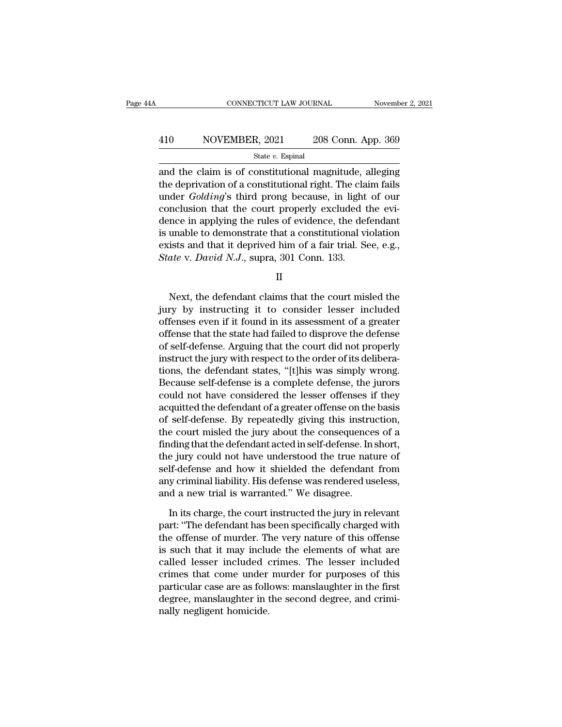# EXECUTE CONNECTICUT LAW JOURNAL Movember 2, 2021<br>A10 NOVEMBER, 2021 208 Conn. App. 369<br>State v. Espinal

### State *v.* Espinal

 $\begin{array}{|l|l|} \hline \text{COMNETICUT LAW JOURNAL} \qquad \text{November 2, 2021} \\\\ \hline \end{array}$ <br>410 NOVEMBER, 2021 208 Conn. App. 369<br> $\begin{array}{|l|} \hline \text{state } v. \text{ Espinal} \\\hline \end{array}$ <br>and the claim is of constitutional magnitude, alleging<br>the deprivation of a constitutional 410 NOVEMBER, 2021 208 Conn. App. 369<br>  $\frac{\text{State } v. \text{ Espinal}}{\text{state } v. \text{ Espinal}}$ <br>
and the claim is of constitutional magnitude, alleging<br>
the deprivation of a constitutional right. The claim fails<br>
under *Golding*'s third prong beca  $\frac{\text{A10}}{\text{State } v. \text{ Espinal}}$  208 Conn. App. 369<br>  $\frac{\text{State } v. \text{ Espinal}}{\text{and the claim is of constitutional magnitude, alleging}}$ the deprivation of a constitutional right. The claim fails<br>
under *Golding*'s third prong because, in light of our<br>
conclusion that the court pr 410 NOVEMBER, 2021 208 Conn. App. 369<br>  $\frac{\text{State } v. \text{ Espinal}}{\text{and the claim is of constitutional magnitude, alleging}}$ <br>
the deprivation of a constitutional right. The claim fails<br>
under *Golding*'s third prong because, in light of our<br>
conclusion that the court properl State v. Espinal<br>
and the claim is of constitutional magnitude, alleging<br>
the deprivation of a constitutional right. The claim fails<br>
under *Golding*'s third prong because, in light of our<br>
conclusion that the court prope state *v*. Espinal<br>and the claim is of constitutional magnitude, alleging<br>the deprivation of a constitutional right. The claim fails<br>under *Golding*'s third prong because, in light of our<br>conclusion that the court properl and the claim is of constitutional magnitude, alleging<br>the deprivation of a constitutional right. The claim fails<br>under *Golding*'s third prong because, in light of our<br>conclusion that the court properly excluded the evithe deprivation of a constitutional right. The cla<br>
under *Golding*'s third prong because, in light<br>
conclusion that the court properly excluded t<br>
dence in applying the rules of evidence, the det<br>
is unable to demonstrate Find that it deprived him of a fair trial. See, e.g.,<br>the v. David N.J., supra, 301 Conn. 133.<br>II<br>Next, the defendant claims that the court misled the<br>ry by instructing it to consider lesser included<br>fonces even if it foun

II

is unable to demonstrate that a constitutional violation<br>exists and that it deprived him of a fair trial. See, e.g.,<br>*State v. David N.J.*, supra, 301 Conn. 133.<br>II<br>Next, the defendant claims that the court misled the<br>jury Exists and that it deprived film of a fair that. See, e.g.,<br>State v. David N.J., supra, 301 Conn. 133.<br>II<br>Next, the defendant claims that the court misled the<br>jury by instructing it to consider lesser included<br>offenses ev State V. David N.J., supra, 301 Collin. 155.<br>
II<br>
Next, the defendant claims that the court misled the<br>
jury by instructing it to consider lesser included<br>
offenses even if it found in its assessment of a greater<br>
offense II<br>
Next, the defendant claims that the court misled the<br>
jury by instructing it to consider lesser included<br>
offenses even if it found in its assessment of a greater<br>
offense that the state had failed to disprove the defe Next, the defendant claims that the court misled the<br>jury by instructing it to consider lesser included<br>offenses even if it found in its assessment of a greater<br>offense that the state had failed to disprove the defense<br>of Next, the defendant claims that the court misled the<br>jury by instructing it to consider lesser included<br>offenses even if it found in its assessment of a greater<br>offense that the state had failed to disprove the defense<br>of jury by instructing it to consider lesser included<br>offenses even if it found in its assessment of a greater<br>offense that the state had failed to disprove the defense<br>of self-defense. Arguing that the court did not properly offenses even if it found in its assessment of a greater<br>offense that the state had failed to disprove the defense<br>of self-defense. Arguing that the court did not properly<br>instruct the jury with respect to the order of its offense that the state had failed to disprove the defense<br>of self-defense. Arguing that the court did not properly<br>instruct the jury with respect to the order of its delibera-<br>tions, the defendant states, "[t]his was simpl of self-defense. Arguing that the court did not properly<br>instruct the jury with respect to the order of its delibera-<br>tions, the defendant states, "[t]his was simply wrong.<br>Because self-defense is a complete defense, the j instruct the jury with respect to the order of its delibera-<br>tions, the defendant states, "[t]his was simply wrong.<br>Because self-defense is a complete defense, the jurors<br>could not have considered the lesser offenses if th tions, the defendant states, "[t]his was simply wrong.<br>Because self-defense is a complete defense, the jurors<br>could not have considered the lesser offenses if they<br>acquitted the defendant of a greater offense on the basis<br> Because self-defense is a complete defense, the jurors<br>could not have considered the lesser offenses if they<br>acquitted the defendant of a greater offense on the basis<br>of self-defense. By repeatedly giving this instruction, could not have considered the lesser offenses if they<br>acquitted the defendant of a greater offense on the basis<br>of self-defense. By repeatedly giving this instruction,<br>the court misled the jury about the consequences of a<br> acquitted the defendant of a greater offense on the basis<br>of self-defense. By repeatedly giving this instruction,<br>the court misled the jury about the consequences of a<br>finding that the defendant acted in self-defense. In s of self-defense. By repeatedly giving this instru<br>the court misled the jury about the consequence<br>finding that the defendant acted in self-defense. In :<br>the jury could not have understood the true nati<br>self-defense and how In its charge, the defendant acted in self-defense. In short,<br>a jury could not have understood the true nature of<br>If-defense and how it shielded the defendant from<br>y criminal liability. His defense was rendered useless,<br>d the jury could not have understood the true nature of<br>self-defense and how it shielded the defendant from<br>any criminal liability. His defense was rendered useless,<br>and a new trial is warranted." We disagree.<br>In its charge,

self-defense and how it shielded the defendant from<br>any criminal liability. His defense was rendered useless,<br>and a new trial is warranted." We disagree.<br>In its charge, the court instructed the jury in relevant<br>part: "The any criminal liability. His defense was rendered useless,<br>and a new trial is warranted." We disagree.<br>In its charge, the court instructed the jury in relevant<br>part: "The defendant has been specifically charged with<br>the off and a new trial is warranted." We disagree.<br>In its charge, the court instructed the jury in relevant<br>part: "The defendant has been specifically charged with<br>the offense of murder. The very nature of this offense<br>is such th In its charge, the court instructed the jury in relevant<br>part: "The defendant has been specifically charged with<br>the offense of murder. The very nature of this offense<br>is such that it may include the elements of what are<br>c In its charge, the court instructed the jury in relevant<br>part: "The defendant has been specifically charged with<br>the offense of murder. The very nature of this offense<br>is such that it may include the elements of what are<br>c part: "The defendant has been specifically charged with<br>the offense of murder. The very nature of this offense<br>is such that it may include the elements of what are<br>called lesser included crimes. The lesser included<br>crimes the offense of murder. This such that it may inclu<br>called lesser included c<br>crimes that come under<br>particular case are as folle<br>degree, manslaughter in t<br>nally negligent homicide.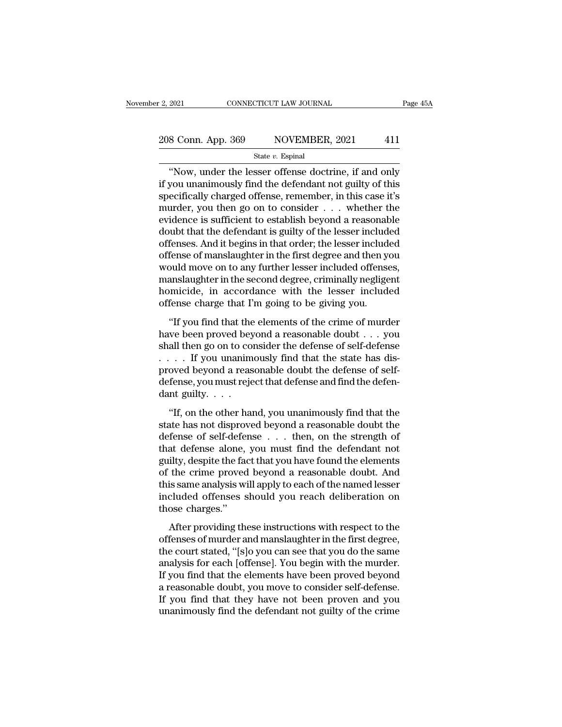# 2, 2021 CONNECTICUT LAW JOURNAL Page 45A<br>
208 Conn. App. 369 NOVEMBER, 2021 411

### State *v.* Espinal

<sup>2021</sup> CONNECTICUT LAW JOURNAL Page 45A<br>
8 Conn. App. 369 NOVEMBER, 2021 411<br>
<sup>3</sup> State v. Espinal<br>
"Now, under the lesser offense doctrine, if and only<br>
you unanimously find the defendant not guilty of this<br>
socifically c 208 Conn. App. 369 NOVEMBER, 2021 411<br>
State v. Espinal<br>
"Now, under the lesser offense doctrine, if and only<br>
if you unanimously find the defendant not guilty of this<br>
specifically charged offense, remember, in this case 208 Conn. App. 369 NOVEMBER, 2021 411<br>
State v. Espinal<br>
"Now, under the lesser offense doctrine, if and only<br>
if you unanimously find the defendant not guilty of this<br>
specifically charged offense, remember, in this case 208 Conn. App. 369 NOVEMBER, 2021 411<br>
State v. Espinal<br>
"Now, under the lesser offense doctrine, if and only<br>
if you unanimously find the defendant not guilty of this<br>
specifically charged offense, remember, in this case State v. Espinal<br>
State v. Espinal<br>
"Now, under the lesser offense doctrine, if and only<br>
if you unanimously find the defendant not guilty of this<br>
specifically charged offense, remember, in this case it's<br>
murder, you th state v. Espinal<br>
"Now, under the lesser offense doctrine, if and only<br>
if you unanimously find the defendant not guilty of this<br>
specifically charged offense, remember, in this case it's<br>
murder, you then go on to consid "Now, under the lesser offense doctrine, if and only<br>if you unanimously find the defendant not guilty of this<br>specifically charged offense, remember, in this case it's<br>murder, you then go on to consider  $\ldots$ , whether the if you unanimously find the defendant not guilty of this<br>specifically charged offense, remember, in this case it's<br>murder, you then go on to consider . . . . whether the<br>evidence is sufficient to establish beyond a reasona specifically charged offense, remember, in this case it's<br>murder, you then go on to consider . . . whether the<br>evidence is sufficient to establish beyond a reasonable<br>doubt that the defendant is guilty of the lesser includ murder, you then go on to consider . . . . whether the evidence is sufficient to establish beyond a reasonable doubt that the defendant is guilty of the lesser included offenses. And it begins in that order; the lesser inc evidence is sufficient to establish beyond a reasonable<br>doubt that the defendant is guilty of the lesser included<br>offenses. And it begins in that order; the lesser included<br>offense of manslaughter in the first degree and t doubt that the defendant is guilty of the lesser includ<br>offenses. And it begins in that order; the lesser includ<br>offense of manslaughter in the first degree and then y<br>would move on to any further lesser included offense<br>m Ernses. That is eights in that order, the resser included<br>fense of manslaughter in the first degree and then you<br>build move on to any further lesser included offenses,<br>anslaughter in the second degree, criminally negligent manuscript in the most degree and distributed would move on to any further lesser included offenses,<br>manslaughter in the second degree, criminally negligent<br>homicide, in accordance with the lesser included<br>offense charge t

manslaughter in the second degree, criminally negligent<br>homicide, in accordance with the lesser included<br>offense charge that I'm going to be giving you.<br>"If you find that the elements of the crime of murder<br>have been prov Administrational according to the lesser included<br>offense charge that I'm going to be giving you.<br>"If you find that the elements of the crime of murder<br>have been proved beyond a reasonable doubt  $\dots$  you<br>shall then go on provides that I'm going to be giving you.<br>
"If you find that the elements of the crime of murder<br>
have been proved beyond a reasonable doubt  $\ldots$  you<br>
shall then go on to consider the defense of self-defense<br>  $\ldots$  . If "If you find that the elements of the crime of murder<br>have been proved beyond a reasonable doubt . . . you<br>shall then go on to consider the defense of self-defense<br> $\dots$  . If you unanimously find that the state has dis-<br>pr "If you find that the<br>have been proved bey<br>shall then go on to co:<br> $\dots$  . If you unanim<br>proved beyond a reas<br>defense, you must reje<br>dant guilty.  $\dots$ <br>"If, on the other hai A set the other hand, you unanimously find that the state has dis-<br>
oved beyond a reasonable doubt the defense of self-<br>
fense, you must reject that defense and find the defen-<br>
over the other hand, you unanimously find t standard go of to consider the defense of self-defense.<br>  $\dots$  If you unanimously find that the state has dis-<br>
proved beyond a reasonable doubt the defense of self-<br>
defense, you must reject that defense and find the defe

defense of self-defense . . . then, on the strength of defense, you must reject that defense and find the defendant guilty.<br>
"If, on the other hand, you unanimously find that the state has not disproved beyond a reasonable doubt the defense of self-defense  $\dots$  then, on the s dant guilty. . . .<br>
"If, on the other hand, you unanimously find that the<br>
state has not disproved beyond a reasonable doubt the<br>
defense of self-defense . . . then, on the strength of<br>
that defense alone, you must find th "If, on the other hand, you unanimously find that the state has not disproved beyond a reasonable doubt the defense of self-defense  $\ldots$  then, on the strength of that defense alone, you must find the defendant not guilty "If, on the other hand, you unanimously find that the state has not disproved beyond a reasonable doubt the defense of self-defense  $\ldots$  then, on the strength of that defense alone, you must find the defendant not guilty state has not disproved beyond a reasonable doubt the<br>defense of self-defense . . . then, on the strength of<br>that defense alone, you must find the defendant not<br>guilty, despite the fact that you have found the elements<br>of defense of self-defe<br>that defense alone,<br>guilty, despite the fa<br>of the crime proved<br>this same analysis wi<br>included offenses s<br>those charges."<br>After providing th ilty, despite the fact that you have found the elements<br>the crime proved beyond a reasonable doubt. And<br>is same analysis will apply to each of the named lesser<br>cluded offenses should you reach deliberation on<br>ose charges." of the crime proved beyond a reasonable doubt. And<br>this same analysis will apply to each of the named lesser<br>included offenses should you reach deliberation on<br>those charges."<br>After providing these instructions with respec

of and crime proved seyond a reasonable dodor. This<br>this same analysis will apply to each of the named lesser<br>included offenses should you reach deliberation on<br>those charges."<br>After providing these instructions with respe analysis will apply to each of the named ressert<br>included offenses should you reach deliberation on<br>those charges."<br>After providing these instructions with respect to the<br>offenses of murder and manslaughter in the first de If you find that they have not been recovered by the elements of the offenses of murder and manslaughter in the first degree, the court stated, "[s]o you can see that you do the same analysis for each [offense]. You begin After providing these instructions with respect to the<br>offenses of murder and manslaughter in the first degree,<br>the court stated, "[s]o you can see that you do the same<br>analysis for each [offense]. You begin with the murde After providing these instructions with respect to the<br>offenses of murder and manslaughter in the first degree,<br>the court stated, "[s]o you can see that you do the same<br>analysis for each [offense]. You begin with the murde offenses of murder and manslaughter in the first degree,<br>the court stated, "[s]o you can see that you do the same<br>analysis for each [offense]. You begin with the murder.<br>If you find that the elements have been proved beyon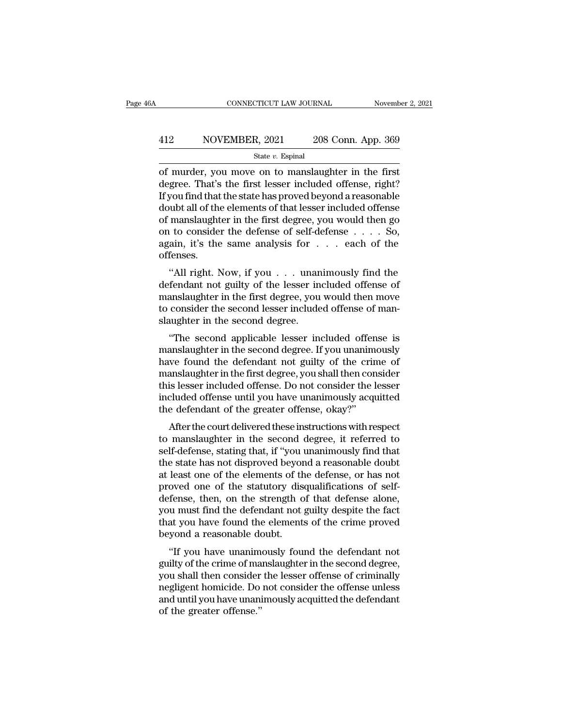# EXECUTE CONNECTICUT LAW JOURNAL Movember 2, 2021<br>A12 NOVEMBER, 2021 208 Conn. App. 369<br>State v. Espinal

### State *v.* Espinal

CONNECTICUT LAW JOURNAL November 2, 202<br>
MOVEMBER, 2021 208 Conn. App. 369<br>
State v. Espinal<br>
State v. Espinal<br>
State v. Espinal<br>
State v. Espinal<br>
State v. Espinal<br>
Connection of murder, you move on to manslaughter in the  $\begin{array}{r} \hline \text{A12}\qquad \text{NOVEMBER, 2021}\qquad \text{208 Conn. App. 369}\ \hline \text{State } v. \text{ Espinal}\ \hline \text{of murder, you move on to manuscript in the first degree. That's the first lesser included offers, right?}\ \hline \text{If you find that the state has proved beyond a reasonable} \text{double to the elements of that lesser included of for each other.} \end{array}$ All the state with the state with the state with the state with the state with the state with the state has proved beyond a reasonable doubt all of the elements of that lesser included offense of manslaughter in the first 412 NOVEMBER, 2021 208 Conn. App. 369<br>  $\frac{\text{State } v. \text{ Espinal}}{\text{of murder, you move on to mass  
degree. That's the first lesser included offices, right? If you find that the state has proved beyond a reasonable  
doubled with all of the elements of that lesser included offices  
of mass  
laugther in the first degree, you would then go  
on to consider the defense of self defines. So$ State v. Espinal<br>
of murder, you move on to manslaughter in the first<br>
degree. That's the first lesser included offense, right?<br>
If you find that the state has proved beyond a reasonable<br>
doubt all of the elements of that state *v*. Espinal<br>
of murder, you move on to manslaughter in the first<br>
degree. That's the first lesser included offense, right?<br>
If you find that the state has proved beyond a reasonable<br>
doubt all of the elements of th of murder, you move on to manslaughter in the first<br>degree. That's the first lesser included offense, right?<br>If you find that the state has proved beyond a reasonable<br>doubt all of the elements of that lesser included offen offenses. by the diagonal consider the state has proved beyond a reasonable<br>
ubt all of the elements of that lesser included offense<br>
manslaughter in the first degree, you would then go<br>
to consider the defense of self-defense  $\dots$ doubt all of the elements of that lesser included offerise<br>of manslaughter in the first degree, you would then go<br>on to consider the defense of self-defense  $\dots$  . So,<br>again, it's the same analysis for  $\dots$  each of the<br>of

or manslaughter in the first degree, you would then go<br>on to consider the defense of self-defense . . . . So,<br>again, it's the same analysis for . . . each of the<br>offenses.<br>"All right. Now, if you . . . unanimously find the on to consider the defense of sen-defense  $\ldots$  bo, again, it's the same analysis for  $\ldots$  each of the offenses.<br>
"All right. Now, if you  $\ldots$  unanimously find the defendant not guilty of the lesser included offense of again, it's the same analysis for<br>offenses.<br>"All right. Now, if you . . . unan<br>defendant not guilty of the lesser in<br>manslaughter in the first degree, you<br>to consider the second lesser include<br>slaughter in the second degre "All right. Now, if you . . . unanimously find the<br>fendant not guilty of the lesser included offense of<br>anslaughter in the first degree, you would then move<br>consider the second lesser included offense of man-<br>uughter in th An right. Now, if you  $\ldots$  and annihously find the defendant not guilty of the lesser included offense of manslaughter in the second lesser included offense of manslaughter in the second degree.<br>
"The second applicable l

defendant not guilty of the fesser included offense of<br>manslaughter in the first degree, you would then move<br>to consider the second lesser included offense of man-<br>slaughter in the second degree.<br>"The second applicable les manslaughter in the first degree, you would then nove<br>to consider the second lesser included offense of man-<br>slaughter in the second degree.<br>"The second applicable lesser included offense is<br>manslaughter in the second degr the second lesser included offense of man-<br>slaughter in the second degree.<br>"The second applicable lesser included offense is<br>manslaughter in the second degree. If you unanimously<br>have found the defendant not guilty of the staughter in the second degree.<br>
"The second applicable lesser included offense is<br>
manslaughter in the second degree. If you unanimously<br>
have found the defendant not guilty of the crime of<br>
manslaughter in the first degr "The second applicable lesser included offer<br>manslaughter in the second degree. If you unanim<br>have found the defendant not guilty of the crir<br>manslaughter in the first degree, you shall then cor<br>this lesser included offens After the court delivered these instructions with respective instantant the first degree, you shall then consider<br>is lesser included offense. Do not consider the lesser<br>cluded offense until you have unanimously acquitted<br>e have found the defendant not guilty of the crime of<br>manslaughter in the first degree, you shall then consider<br>this lesser included offense until you have unanimously acquitted<br>the defendant of the greater offense, okay?"<br>A

mailsiaughter in the first degree, you shall then consider<br>this lesser included offense. Do not consider the lesser<br>included offense until you have unanimously acquitted<br>the defendant of the greater offense, okay?"<br>After t the state included offense and if you have unanimously acquitted<br>the defendant of the greater offense, okay?"<br>After the court delivered these instructions with respect<br>to manslaughter in the second degree, it referred to<br>s Included offerse until you have unantmodsly acquired<br>the defendant of the greater offense, okay?"<br>After the court delivered these instructions with respect<br>to manslaughter in the second degree, it referred to<br>self-defense, the defendant of the greater onense, okay:<br>After the court delivered these instructions with respect<br>to manslaughter in the second degree, it referred to<br>self-defense, stating that, if "you unanimously find that<br>the state After the court delivered these instructions with respect<br>to manslaughter in the second degree, it referred to<br>self-defense, stating that, if "you unanimously find that<br>the state has not disproved beyond a reasonable doubt to manslaughter in the second degree, it referred to<br>self-defense, stating that, if "you unanimously find that<br>the state has not disproved beyond a reasonable doubt<br>at least one of the elements of the defense, or has not<br>p self-defense, stating that, if "you unanimously find that<br>the state has not disproved beyond a reasonable doubt<br>at least one of the elements of the defense, or has not<br>proved one of the statutory disqualifications of selfthe state has not disproved beyor<br>at least one of the elements of th<br>proved one of the statutory dise<br>defense, then, on the strength o<br>you must find the defendant not ;<br>that you have found the elements<br>beyond a reasonable Feast one of the efernerits of the defertise, of has not<br>oved one of the statutory disqualifications of self-<br>fense, then, on the strength of that defense alone,<br>u must find the defendant not guilty despite the fact<br>at you proved one of the statutory disquantications of sen-<br>defense, then, on the strength of that defense alone,<br>you must find the defendant not guilty despite the fact<br>that you have found the elements of the crime proved<br>beyond

deferise, then, on the strength of that defense alone,<br>you must find the defendant not guilty despite the fact<br>that you have found the elements of the crime proved<br>beyond a reasonable doubt.<br>"If you have unanimously found you must mid the defendant not guilty despite the fact<br>that you have found the elements of the crime proved<br>beyond a reasonable doubt.<br>"If you have unanimously found the defendant not<br>guilty of the crime of manslaughter in and you have found the efferents of the crime proved<br>beyond a reasonable doubt.<br>"If you have unanimously found the defendant not<br>guilty of the crime of manslaughter in the second degree,<br>you shall then consider the lesser beyond a reasonable definition of the crime of manyou shall then consider negligent homicide. Do and until you have unanideformed.''<br>of the greater offense.''<br>of the greater offense.''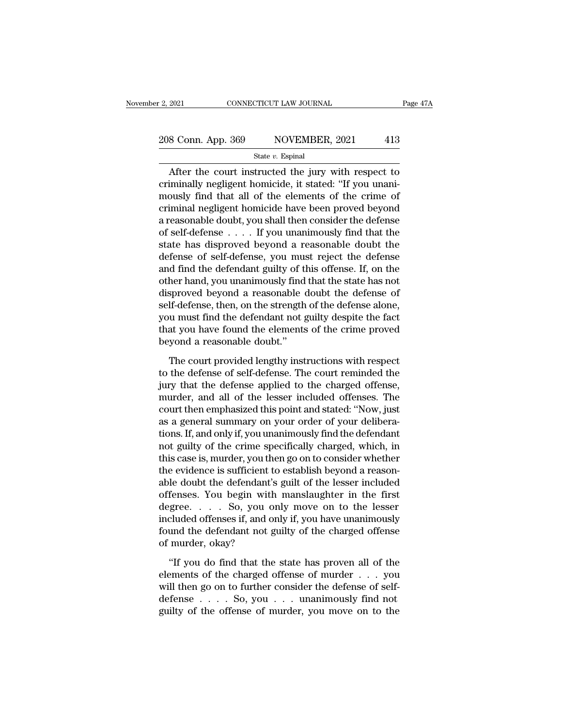# 2, 2021 CONNECTICUT LAW JOURNAL Page 47A<br>
208 Conn. App. 369 NOVEMBER, 2021 413

### State *v.* Espinal

2021 CONNECTICUT LAW JOURNAL Page 47A<br>
8 Conn. App. 369 NOVEMBER, 2021 413<br>
State v. Espinal<br>
After the court instructed the jury with respect to<br>
iminally negligent homicide, it stated: "If you unani-208 Conn. App. 369 NOVEMBER, 2021 413<br>
State v. Espinal<br>
After the court instructed the jury with respect to<br>
criminally negligent homicide, it stated: "If you unani-<br>
mously find that all of the elements of the crime of<br> 208 Conn. App. 369 NOVEMBER, 2021 413<br>
State v. Espinal<br>
After the court instructed the jury with respect to<br>
criminally negligent homicide, it stated: "If you unani-<br>
mously find that all of the elements of the crime of<br> 208 Conn. App. 369 NOVEMBER, 2021 413<br>
State v. Espinal<br>
After the court instructed the jury with respect to<br>
criminally negligent homicide, it stated: "If you unani-<br>
mously find that all of the elements of the crime of<br> State v. Espinal<br>
After the court instructed the jury with respect to<br>
criminally negligent homicide, it stated: "If you unani-<br>
mously find that all of the elements of the crime of<br>
criminal negligent homicide have been State  $v$ . Espinal<br>
After the court instructed the jury with respect to<br>
criminally negligent homicide, it stated: "If you unani-<br>
mously find that all of the elements of the crime of<br>
criminal negligent homicide have bee After the court instructed the jury with respect to<br>criminally negligent homicide, it stated: "If you unani-<br>mously find that all of the elements of the crime of<br>criminal negligent homicide have been proved beyond<br>a reaso criminally negligent homicide, it stated: "If you unani-<br>mously find that all of the elements of the crime of<br>criminal negligent homicide have been proved beyond<br>a reasonable doubt, you shall then consider the defense<br>of s mously find that all of the elements of the crime of<br>criminal negligent homicide have been proved beyond<br>a reasonable doubt, you shall then consider the defense<br>of self-defense  $\ldots$ . If you unanimously find that the<br>stat criminal negligent homicide have been proved beyond<br>a reasonable doubt, you shall then consider the defense<br>of self-defense  $\ldots$ . If you unanimously find that the<br>state has disproved beyond a reasonable doubt the<br>defense a reasonable doubt, you shall then consider the defense<br>of self-defense  $\ldots$ . If you unanimously find that the<br>state has disproved beyond a reasonable doubt the<br>defense of self-defense, you must reject the defense<br>and fi of self-defense  $\ldots$ . If you unanimously find that the state has disproved beyond a reasonable doubt the defense of self-defense, you must reject the defense and find the defendant guilty of this offense. If, on the othe state has disproved beyond a reasonable doubt the<br>defense of self-defense, you must reject the defense<br>and find the defendant guilty of this offense. If, on the<br>other hand, you unanimously find that the state has not<br>dispr defense of self-defense, you must reject the defense<br>and find the defendant guilty of this offense. If, on the<br>other hand, you unanimously find that the state has not<br>disproved beyond a reasonable doubt the defense of<br>self and find the defendant guilty of the<br>other hand, you unanimously find<br>disproved beyond a reasonable of<br>self-defense, then, on the strength<br>you must find the defendant not g<br>that you have found the elements<br>beyond a reasona sproved beyond a reasonable doubt the defense of<br>If-defense, then, on the strength of the defense alone,<br>u must find the defendant not guilty despite the fact<br>at you have found the elements of the crime proved<br>yond a reaso self-defense, then, on the strength of the defense alone,<br>you must find the defendant not guilty despite the fact<br>that you have found the elements of the crime proved<br>beyond a reasonable doubt."<br>The court provided lengthy

you must find the defendant not guilty despite the fact<br>that you have found the elements of the crime proved<br>beyond a reasonable doubt."<br>The court provided lengthy instructions with respect<br>to the defense of self-defense. that you have found the elements of the crime proved<br>beyond a reasonable doubt."<br>The court provided lengthy instructions with respect<br>to the defense of self-defense. The court reminded the<br>jury that the defense applied to beyond a reasonable doubt."<br>The court provided lengthy instructions with respect<br>to the defense of self-defense. The court reminded the<br>jury that the defense applied to the charged offense,<br>murder, and all of the lesser in The court provided lengthy instructions with respect<br>to the defense of self-defense. The court reminded the<br>jury that the defense applied to the charged offense,<br>murder, and all of the lesser included offenses. The<br>court t The court provided lengthy instructions with respect<br>to the defense of self-defense. The court reminded the<br>jury that the defense applied to the charged offense,<br>murder, and all of the lesser included offenses. The<br>court t to the defense of self-defense. The court reminded the<br>jury that the defense applied to the charged offense,<br>murder, and all of the lesser included offenses. The<br>court then emphasized this point and stated: "Now, just<br>as a jury that the defense applied to the charged offense,<br>murder, and all of the lesser included offenses. The<br>court then emphasized this point and stated: "Now, just<br>as a general summary on your order of your delibera-<br>tions. murder, and all of the lesser included offenses. The<br>court then emphasized this point and stated: "Now, just<br>as a general summary on your order of your delibera-<br>tions. If, and only if, you unanimously find the defendant<br>n court then emphasized this point and stated: "Now, just<br>as a general summary on your order of your delibera-<br>tions. If, and only if, you unanimously find the defendant<br>not guilty of the crime specifically charged, which, i as a general summary on your order of your deliberations. If, and only if, you unanimously find the defendant<br>not guilty of the crime specifically charged, which, in<br>this case is, murder, you then go on to consider whether tions. If, and only if, you unanimously find the defendant<br>not guilty of the crime specifically charged, which, in<br>this case is, murder, you then go on to consider whether<br>the evidence is sufficient to establish beyond a r not guilty of the crime specifically charged, which, in<br>this case is, murder, you then go on to consider whether<br>the evidence is sufficient to establish beyond a reason-<br>able doubt the defendant's guilt of the lesser inclu this case is, murder, you then go on to consider whether<br>the evidence is sufficient to establish beyond a reason-<br>able doubt the defendant's guilt of the lesser included<br>offenses. You begin with manslaughter in the first<br>d the evidence is sufficient t<br>able doubt the defendant's<br>offenses. You begin with<br>degree..... So, you of<br>included offenses if, and of<br>found the defendant not g<br>of murder, okay?<br>"If you do find that the fenses. You begin with manslaughter in the first<br>gree. . . . . So, you only move on to the lesser<br>cluded offenses if, and only if, you have unanimously<br>und the defendant not guilty of the charged offense<br>murder, okay?<br>"If degree. . . . So, you only move on to the lesser<br>included offenses if, and only if, you have unanimously<br>found the defendant not guilty of the charged offense<br>of murder, okay?<br>"If you do find that the state has proven all

included offenses if, and only if, you have unanimously<br>found the defendant not guilty of the charged offense<br>of murder, okay?<br>"If you do find that the state has proven all of the<br>elements of the charged offense of murder found the defendant not guilty of the charged offense<br>of murder, okay?<br>"If you do find that the state has proven all of the<br>elements of the charged offense of murder  $\dots$  you<br>will then go on to further consider the defens of murder, okay?<br>
"If you do find that the state has proven all of the elements of the charged offense of murder  $\ldots$  you will then go on to further consider the defense of self-<br>
defense  $\ldots$  So, you  $\ldots$  unanimously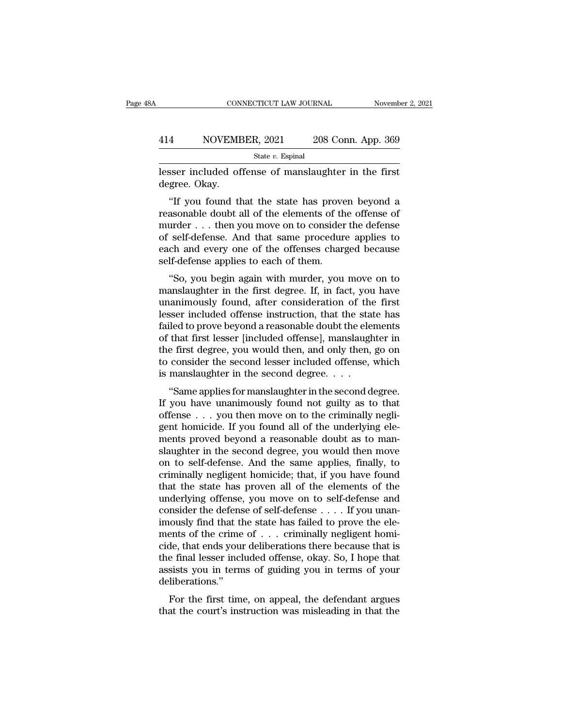# EXECUTE CONNECTICUT LAW JOURNAL Movember 2, 2021<br>A14 NOVEMBER, 2021 208 Conn. App. 369<br>State v. Espinal

State *v.* Espinal

CONNECTICUT LAW JOURNAL November 2, 202<br>
1414 NOVEMBER, 2021 208 Conn. App. 369<br>
312 State v. Espinal<br>
1011 Esser included offense of manslaughter in the first<br>
1011 degree. Okay. 414 NOVEME<br>lesser included of<br>degree. Okay.<br>"If you found th

<sup>4</sup><br>
NOVEMBER, 2021 208 Conn. App. 369<br>
State *v*. Espinal<br>
State *v*. Espinal<br>
State *v*. Espinal<br>
State *v*. Espinal<br>
The first<br>
State of manslaughter in the first<br>
The state has proven beyond a<br>
state doubt all of the 414 NOVEMBER, 2021 208 Conn. App. 369<br>  $\frac{\text{State } v. \text{ Espinal}}{\text{lesser included of fense of mass} \text{I}}$ <br>
lesser included offense of manslaughter in the first<br>
degree. Okay.<br>
"If you found that the state has proven beyond a<br>
reasonable doubt all of the State v. Espinal<br>
lesser included offense of manslaughter in the first<br>
degree. Okay.<br>
"If you found that the state has proven beyond a<br>
reasonable doubt all of the elements of the offense of<br>
murder . . . then you move o lesser included offense of manslaughter in the first<br>degree. Okay.<br>"If you found that the state has proven beyond a<br>reasonable doubt all of the elements of the offense of<br>murder . . . then you move on to consider the defen reasser incruded offense of manistadgmer in the first degree. Okay.<br>
"If you found that the state has proven beyond a reasonable doubt all of the elements of the offense of murder . . . then you move on to consider the def "If you found that the state has prove<br>reasonable doubt all of the elements of th<br>murder . . . then you move on to consider<br>of self-defense. And that same procedur<br>each and every one of the offenses charg<br>self-defense appl If you found that the state has proven beyond a<br>assonable doubt all of the elements of the offense of<br>urder... then you move on to consider the defense<br>self-defense. And that same procedure applies to<br>ch and every one of t reasonable doubt an of the elements of the offense of<br>murder . . . then you move on to consider the defense<br>of self-defense. And that same procedure applies to<br>each and every one of the offenses charged because<br>self-defens

mutuer . . . then you move on to consider the defense<br>of self-defense. And that same procedure applies to<br>each and every one of the offenses charged because<br>self-defense applies to each of them.<br>"So, you begin again with m of sen-defense. And that same procedure applies to<br>each and every one of the offenses charged because<br>self-defense applies to each of them.<br>"So, you begin again with murder, you move on to<br>manslaughter in the first degree. Fact and every one of the offenses charged because<br>self-defense applies to each of them.<br>"So, you begin again with murder, you move on to<br>manslaughter in the first degree. If, in fact, you have<br>unanimously found, after con sen-deferise applies to each of them.<br>
"So, you begin again with murder, you move on to<br>
manslaughter in the first degree. If, in fact, you have<br>
unanimously found, after consideration of the first<br>
lesser included offense "So, you begin again with murder, you move on to<br>manslaughter in the first degree. If, in fact, you have<br>unanimously found, after consideration of the first<br>lesser included offense instruction, that the state has<br>failed to manslaughter in the first degree. If, in fact, you have<br>unanimously found, after consideration of the first<br>lesser included offense instruction, that the state has<br>failed to prove beyond a reasonable doubt the elements<br>of unanimously found, after consideration of the<br>lesser included offense instruction, that the star<br>failed to prove beyond a reasonable doubt the ele<br>of that first lesser [included offense], manslaugh<br>the first degree, you w See included offense instruction, that the state has<br>
lled to prove beyond a reasonable doubt the elements<br>
that first lesser [included offense], manslaughter in<br>
e first degree, you would then, and only then, go on<br>
consi raned to prove beyond a reasonable doubt the elements<br>of that first lesser [included offense], manslaughter in<br>the first degree, you would then, and only then, go on<br>to consider the second lesser included offense, which<br>is

of that first lesser [included offense], maislaughter in<br>the first degree, you would then, and only then, go on<br>to consider the second lesser included offense, which<br>is manslaughter in the second degree.<br>... "Same applies the first degree, you would then, and only then, go onto consider the second lesser included offense, which<br>is manslaughter in the second degree.<br>... "Same applies for manslaughter in the second degree.<br>If you have unanimo to consider the second lesser included onense, which<br>is manslaughter in the second degree.<br>
"Same applies for manslaughter in the second degree.<br>
If you have unanimously found not guilty as to that<br>
offense . . . you then s manisially in the second degree,  $\ldots$ <br>
"Same applies for manislaughter in the second degree.<br>
If you have unanimously found not guilty as to that<br>
offense  $\ldots$  you then move on to the criminally negli-<br>
gent homicide. "Same applies for manslaughter in the second degree.<br>If you have unanimously found not guilty as to that<br>offense  $\ldots$  you then move on to the criminally negli-<br>gent homicide. If you found all of the underlying ele-<br>ments If you have unanimously found not guilty as to that<br>offense  $\ldots$  you then move on to the criminally negli-<br>gent homicide. If you found all of the underlying ele-<br>ments proved beyond a reasonable doubt as to man-<br>slaughte offense . . . you then move on to the criminally negligent homicide. If you found all of the underlying elements proved beyond a reasonable doubt as to man-<br>slaughter in the second degree, you would then move<br>on to self-de gent homicide. If you found all of the underlying elements proved beyond a reasonable doubt as to man-<br>slaughter in the second degree, you would then move<br>on to self-defense. And the same applies, finally, to<br>criminally ne ments proved beyond a reasonable doubt as to man-<br>slaughter in the second degree, you would then move<br>on to self-defense. And the same applies, finally, to<br>criminally negligent homicide; that, if you have found<br>that the st slaughter in the second degree, you would then move<br>on to self-defense. And the same applies, finally, to<br>criminally negligent homicide; that, if you have found<br>that the state has proven all of the elements of the<br>underlyi on to self-defense. And the same applies, finally, to<br>criminally negligent homicide; that, if you have found<br>that the state has proven all of the elements of the<br>underlying offense, you move on to self-defense and<br>conside criminally negligent homicide; that, if you have found<br>that the state has proven all of the elements of the<br>underlying offense, you move on to self-defense and<br>consider the defense of self-defense . . . . If you unan-<br>imo that the state has proven all of the elements of the underlying offense, you move on to self-defense and consider the defense of self-defense  $\dots$ . If you unanimously find that the state has failed to prove the elements o underlying offense, you move on to self-defense and<br>consider the defense of self-defense .... If you unan-<br>imously find that the state has failed to prove the ele-<br>ments of the crime of ... criminally negligent homi-<br>cide deliberations.'' For the first time, on appeal, the defendant argues at the court's instructions there because that is<br>the final lesser included offense, okay. So, I hope that<br>sists you in terms of guiding you in terms of your<br>liberations thents of the critic of  $\cdot \cdot \cdot$  critically hegagent non-<br>cide, that ends your deliberations there because that is<br>the final lesser included offense, okay. So, I hope that<br>assists you in terms of guiding you in terms of y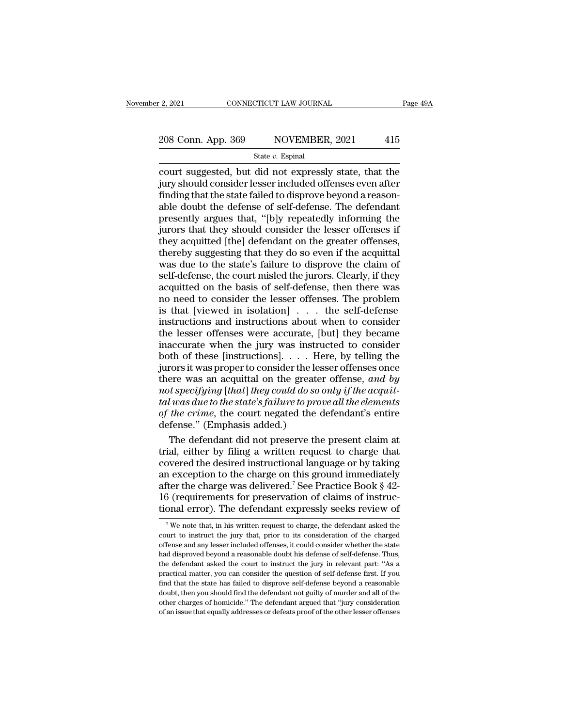# 2, 2021 CONNECTICUT LAW JOURNAL Page 49A<br>  $208$  Conn. App. 369 NOVEMBER, 2021 415<br>
State v. Espinal

State *v.* Espinal

connecticut sum of the sum of the state  $v$ . Espinal<br>
State  $v$ . Espinal<br>
State  $v$ . Espinal<br>
Court suggested, but did not expressly state, that the<br>
jury should consider lesser included offenses even after<br>
finding that 208 Conn. App. 369 NOVEMBER, 2021 415<br>State v. Espinal<br>Court suggested, but did not expressly state, that the<br>jury should consider lesser included offenses even after<br>finding that the state failed to disprove beyond a reas 208 Conn. App. 369 NOVEMBER, 2021 415<br>
State  $v$ . Espinal<br>
court suggested, but did not expressly state, that the<br>
jury should consider lesser included offenses even after<br>
finding that the state failed to disprove beyond 208 Conn. App. 369 NOVEMBER, 2021 415<br>
State v. Espinal<br>
court suggested, but did not expressly state, that the<br>
jury should consider lesser included offenses even after<br>
finding that the state failed to disprove beyond a  $\frac{\text{State } v. \text{ Espinal}}{\text{State } v. \text{ Espinal}}$ <br>
court suggested, but did not expressly state, that the<br>
jury should consider lesser included offenses even after<br>
finding that the state failed to disprove beyond a reason-<br>
able doubt the State  $v$ . Espinal<br>
court suggested, but did not expressly state, that the<br>
jury should consider lesser included offenses even after<br>
finding that the state failed to disprove beyond a reason-<br>
able doubt the defense of s court suggested, but did not expressly state, that the<br>jury should consider lesser included offenses even after<br>finding that the state failed to disprove beyond a reason-<br>able doubt the defense of self-defense. The defenda jury should consider lesser included offenses even after<br>finding that the state failed to disprove beyond a reason-<br>able doubt the defense of self-defense. The defendant<br>presently argues that, "[b]y repeatedly informing th finding that the state failed to disprove beyond a reasonable doubt the defense of self-defense. The defendant<br>presently argues that, "[b]y repeatedly informing the<br>jurors that they should consider the lesser offenses if<br>t able doubt the defense of self-defense. The defendant<br>presently argues that, "[b]y repeatedly informing the<br>jurors that they should consider the lesser offenses if<br>they acquitted [the] defendant on the greater offenses,<br>th presently argues that, "[b]y repeatedly informing the<br>jurors that they should consider the lesser offenses if<br>they acquitted [the] defendant on the greater offenses,<br>thereby suggesting that they do so even if the acquittal in they should consider the lesser offenses if<br>they acquitted [the] defendant on the greater offenses,<br>thereby suggesting that they do so even if the acquittal<br>was due to the state's failure to disprove the claim of<br>self-d they acquitted [the] defendant on the greater offenses,<br>thereby suggesting that they do so even if the acquittal<br>was due to the state's failure to disprove the claim of<br>self-defense, the court misled the jurors. Clearly, i thereby suggesting that they do so even if the acquittal<br>was due to the state's failure to disprove the claim of<br>self-defense, the court misled the jurors. Clearly, if they<br>acquitted on the basis of self-defense, then ther was due to the state's failure to disprove the claim of self-defense, the court misled the jurors. Clearly, if they acquitted on the basis of self-defense, then there was no need to consider the lesser offenses. The probl self-defense, the court misled the jurors. Clearly, if they<br>acquitted on the basis of self-defense, then there was<br>no need to consider the lesser offenses. The problem<br>is that [viewed in isolation] . . . the self-defense<br>i acquitted on the basis of self-defense, then there was<br>no need to consider the lesser offenses. The problem<br>is that [viewed in isolation] . . . the self-defense<br>instructions and instructions about when to consider<br>the les no need to consider the lesser offenses. The problem<br>is that [viewed in isolation] . . . the self-defense<br>instructions and instructions about when to consider<br>the lesser offenses were accurate, [but] they became<br>inaccurat is that [viewed in isolation]  $\dots$  the self-defense<br>instructions and instructions about when to consider<br>the lesser offenses were accurate, [but] they became<br>inaccurate when the jury was instructed to consider<br>both of the *n* instructions and instructions about when to consider<br>the lesser offenses were accurate, [but] they became<br>inaccurate when the jury was instructed to consider<br>both of these [instructions]. . . . Here, by telling the<br>jur *the lesser offenses were accurate, [but] they became inaccurate when the jury was instructed to consider both of these [instructions].* . . . Here, by telling the jurors it was proper to consider the lesser offenses once inaccurate when the jury was instructed to consider<br>both of these [instructions]. . . . Here, by telling the<br>jurors it was proper to consider the lesser offenses once<br>there was an acquittal on the greater offense, and by<br>n both of these [instructions].  $\ldots$  H<sub>0</sub><br>jurors it was proper to consider the lest<br>there was an acquittal on the greate<br>*not specifying* [*that*] *they could do so*<br>*tal was due to the state's failure to pro*<br>of *the crim* rors it was proper to consider the lesser offenses once<br>ere was an acquittal on the greater offense, and by<br>the specifying [that] they could do so only if the acquit-<br>l was due to the state's failure to prove all the elem there was an acquittal on the greater offense, and by<br>
not specifying [that] they could do so only if the acquit-<br>
tal was due to the state's failure to prove all the elements<br>
of the crime, the court negated the defendan

not specifying [that] they could do so only if the acquit-<br>tal was due to the state's failure to prove all the elements<br>of the crime, the court negated the defendant's entire<br>defense." (Emphasis added.)<br>The defendant did tal was due to the state's failure to prove all the elements<br>of the crime, the court negated the defendant's entire<br>defense." (Emphasis added.)<br>The defendant did not preserve the present claim at<br>trial, either by filing a of the crime, the court negated the defendant's entire<br>defense." (Emphasis added.)<br>The defendant did not preserve the present claim at<br>trial, either by filing a written request to charge that<br>covered the desired instructi defense." (Emphasis added.)<br>The defendant did not preserve the present claim at<br>trial, either by filing a written request to charge that<br>covered the desired instructional language or by taking<br>an exception to the charge on The defendant did not preserve the present claim at trial, either by filing a written request to charge that covered the desired instructional language or by taking an exception to the charge on this ground immediately af <sup>7</sup> We note that, in his written request to charge, the defendant asked the after the charge was delivered.<sup>7</sup> See Practice Book  $\S$  42-16 (requirements for preservation of claims of instructional error). The defendant expressly seeks review of  $\frac{7}{10}$  We note that, in his written request to c

<sup>16 (</sup>requirements for preservation of claims of instructional error). The defendant expressly seeks review of  $\tau$  we note that, in his written request to charge, the defendant asked the court to instruct the jury that, pr For the dispression of the countries of the time disperse to the count to instance tional error). The defendant expressly seeks review of  $\tau$  we note that, in his written request to charge, the defendant asked the court tional error). The defendant expressly seeks review of  $\tau$  we note that, in his written request to charge, the defendant asked the court to instruct the jury that, prior to its consideration of the charged offense and an  $^\tau$  We note that, in his written request to charge, the defendant asked the court to instruct the jury that, prior to its consideration of the charged offense and any lesser included offenses, it could consider whether t find that the state has failed to dispress that the state of the charged offense and any lesser included offenses, it could consider whether the state had disproved beyond a reasonable doubt his defense of self-defense. Th offense and any lesser included offenses, it could consider whether the state had disproved beyond a reasonable doubt his defense of self-defense. Thus, the defendant asked the court to instruct the jury in relevant part: other charges of all areasonable doubt his defense of self-defense. Thus, the defendant asked the court to instruct the jury in relevant part: "As a practical matter, you can consider the question of self-defense first. If had disproved beyond a reasonable doubt his defense of self-defense. Thus, the defendant asked the court to instruct the jury in relevant part: "As a practical matter, you can consider the question of self-defense first. I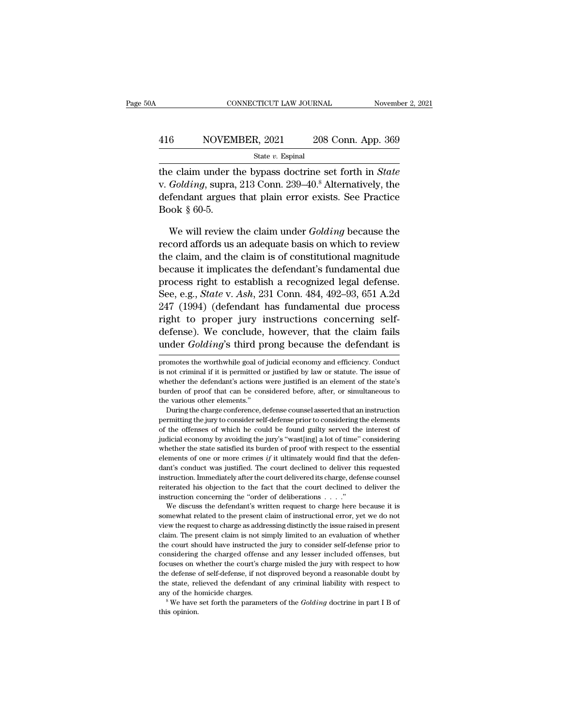### EXECUTE CONNECTICUT LAW JOURNAL Movember 2, 2021<br>
416 NOVEMBER, 2021 208 Conn. App. 369<br>
5tate v. Espinal State *v.* Espinal

THE CONNECTICUT LAW JOURNAL November 2, 2021<br>
State v. Espinal<br>
State v. Espinal<br>
The claim under the bypass doctrine set forth in *State*<br>
v. *Golding*, supra, 213 Conn. 239–40.<sup>8</sup> Alternatively, the V. V. *NOVEMBER*, 2021 208 Conn. App. 369<br>
State v. Espinal<br>
the claim under the bypass doctrine set forth in *State*<br>
v. *Golding*, supra, 213 Conn. 239–40.<sup>8</sup> Alternatively, the<br>
defendant argues that plain error exists. 416 NOVEMBER, 2021 208 Conn. App. 369<br>  $\frac{\text{State } v. \text{ Espinal}}{\text{the claim under the bypass doctrine set forth in State}}$ <br>
v. *Golding*, supra, 213 Conn. 239–40.<sup>8</sup> Alternatively, the defendant argues that plain error exists. See Practice Book § 60-5. 416 NOVEM<br>the claim under t<br>v. *Golding*, supra,<br>defendant argues<br>Book § 60-5.<br>We will review State *v*. Espinal<br>
E claim under the bypass doctrine set forth in *State*<br>
Golding, supra, 213 Conn. 239–40.<sup>8</sup> Alternatively, the<br>
fendant argues that plain error exists. See Practice<br>
ook § 60-5.<br>
We will review the cla the claim under the bypass doctrine set forth in *State*<br>v. *Golding*, supra, 213 Conn. 239–40.<sup>8</sup> Alternatively, the<br>defendant argues that plain error exists. See Practice<br>Book § 60-5.<br>We will review the claim under *Gold* 

v. *Golding*, supra, 213 Conn. 239–40.<sup>8</sup> Alternatively, the<br>defendant argues that plain error exists. See Practice<br>Book  $\S 60-5$ .<br>We will review the claim under *Golding* because the<br>record affords us an adequate basis o defendant argues that plain error exists. See Practice<br>Book § 60-5.<br>We will review the claim under *Golding* because the<br>record affords us an adequate basis on which to review<br>the claim, and the claim is of constitutional Book § 60-5.<br>We will review the claim under *Golding* because the<br>record affords us an adequate basis on which to review<br>the claim, and the claim is of constitutional magnitude<br>because it implicates the defendant's fundam We will review the claim under *Golding* because the record affords us an adequate basis on which to review the claim, and the claim is of constitutional magnitude because it implicates the defendant's fundamental due proc we will review the claim under *Golding* because the<br>record affords us an adequate basis on which to review<br>the claim, and the claim is of constitutional magnitude<br>because it implicates the defendant's fundamental due<br>proc record arrords us an adequate basis on which to review<br>the claim, and the claim is of constitutional magnitude<br>because it implicates the defendant's fundamental due<br>process right to establish a recognized legal defense.<br>Se the claim, and the claim is of constitutional magnitude<br>because it implicates the defendant's fundamental due<br>process right to establish a recognized legal defense.<br>See, e.g., *State* v. Ash, 231 Conn. 484, 492–93, 651 A.2 because it implicates the defendant s fundamental due<br>process right to establish a recognized legal defense.<br>See, e.g., *State* v. *Ash*, 231 Conn. 484, 492–93, 651 A.2d<br>247 (1994) (defendant has fundamental due process<br>ri  $247$  (1994) (defendant has fundamental due process<br>right to proper jury instructions concerning self-<br>defense). We conclude, however, that the claim fails<br>under  $Golding$ 's third prong because the defendant is<br>promotes the wo right to proper jury instructions concerning self-<br>defense). We conclude, however, that the claim fails<br>under *Golding*'s third prong because the defendant is<br>promotes the worthwhile goal of judicial economy and efficiency

whether the defendant's actions were justified is an element of the state's burden of proof that can be considered before, after, or simultaneous to the various other elements."<br>During the charge conference, defense couns burden of proof that can be considered before, after, or simultaneous to the various other elements."<br>During the charge conference, defense counsel asserted that an instruction<br>permitting the jury to consider self-defense the various other elements."<br>
During the charge conference, defense counsel asserted that an instruction<br>
permitting the jury to consider self-defense prior to considering the elements<br>
of the offenses of which he could b During the charge conference, defense counsel asserted that an instruction permitting the jury to consider self-defense prior to considering the elements of the orderses of which he could be found guilty served the intere Dermitting the jury to consider self-defense prior to considering the elements of the offenses of which he could be found guilty served the interest of judicial economy by avoiding the jury's "wast[ing] a lot of time" con for the offenses of which he could be found guilty served the interest of guidicial economy by avoiding the jury's "wast[ing] a lot of time" considering whether the state satisfied its burden of proof with respect to the in dieta expectively alternated his only avoiding the jury's "wast[ing] a lot of time" considering whether the state satisfied its burden of proof with respect to the essential elements of one or more crimes  $if$  it ultima whether the state satisfied its burden of proof with respect to the essential elements of one or more crimes  $if$  it ultimately would find that the defendant's conduct was justified. The court declined to deliver this requ Exercise to one or more crimes *if* it ultimately would find that the defen-<br>ments of one or more crimes *if* it ultimately would find that the defen-<br>nt's conduct was justified. The court declined to deliver this request dant's conduct was justified. The court declined to deliver this requested instruction. Immediately after the court delivered its charge, defense counsel reiterated his objection to the fact that the court declined to deli

instruction. Immediately after the court delivered its charge, defense counsel<br>reiterated his objection to the fact that the court declined to deliver the<br>instruction concerning the "order of deliberations  $\dots$ ."<br>We discu reiterated his objection to the fact that the court declined to deliver the instruction concerning the "order of deliberations  $\ldots$ ." We discuss the defendant's written request to charge here because it is somewhat relat in the concerning the "order of deliberations . . . ."<br>We discuss the defendant's written request to charge here because it is<br>somewhat related to the present claim of instructional error, yet we do not<br>view the request to We discuss the defendant's written request to charge here because it is somewhat related to the present claim of instructional error, yet we do not view the request to charge as addressing distinctly the issue raised in pr somewhat related to the present claim of instructional error, yet we do not view the request to charge as addressing distinctly the issue raised in present claim. The present claim is not simply limited to an evaluation of by the request to charge as addressing distinctly the issue raised in present claim. The present claim is not simply limited to an evaluation of whether the court should have instructed the jury to consider self-defense pr the state, relieved the defendant of any criminal liability with respect to any chain. The present claim is not simply limited to an evaluation of whether the court should have instructed the jury to consider self-defense and the court should have instructed the jury to consider self-defense prior to considering the charged offense and any lesser included offenses, but focuses on whether the court's charge misled the jury with respect to ho considering the charged offense and any lesser included offenses, but focuses on whether the court's charge misled the jury with respect to how the defense of self-defense, if not disproved beyond a reasonable doubt by th

defense). We conclude, however, that the claim fails<br>under *Golding*'s third prong because the defendant is<br>promotes the worthwhile goal of judicial economy and efficiency. Conduct<br>is not criminal if it is permitted or jus under  $Golding$ 's third prong because the defendant is<br>
promotes the worthwhile goal of judicial economy and efficiency. Conduct<br>
is not criminal if it is permitted or justified by law or statue. The issue of<br>
whether the defe promotes the worthwhile goal of judicial economy and efficiency. Conduct<br>is not criminal if it is permitted or justified by law or statute. The issue of<br>whether the defendant's actions were justified is an element of the s omotes the worthwhile goal of judicial economy and efficiency. Conduct<br>not criminal if it is permitted or justified by law or statute. The issue of<br>nether the defendant's actions were justified is an element of the state's permitting the jury to consider self-defense prior to considering the interaction of the state's burden of proof that can be considered before, after, or simultaneous to the various other elements."<br>
During the charge conf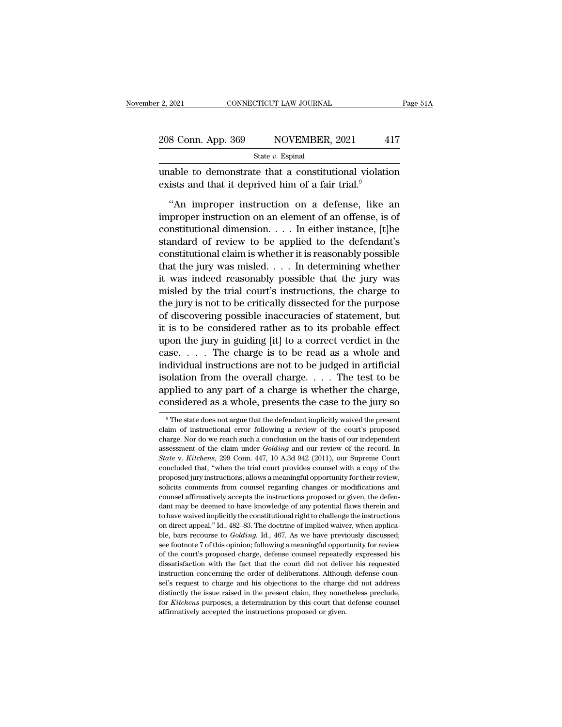| r 2, 2021          | CONNECTICUT LAW JOURNAL | Page 51A |
|--------------------|-------------------------|----------|
| 208 Conn. App. 369 | NOVEMBER, 2021          | 417      |
|                    | State $v$ . Espinal     |          |

2, 2021 CONNECTICUT LAW JOURNAL Page 51A<br>
208 Conn. App. 369 NOVEMBER, 2021 417<br>
State v. Espinal<br>
unable to demonstrate that a constitutional violation<br>
exists and that it deprived him of a fair trial.<sup>9</sup> 208 Conn. App. 369 NOVEMBER, 2021 4<br>State v. Espinal<br>unable to demonstrate that a constitutional violatiensists and that it deprived him of a fair trial.<sup>9</sup><br>"An improper instruction on a defense, like

8 Conn. App. 369 NOVEMBER, 2021 417<br>
State v. Espinal<br>
able to demonstrate that a constitutional violation<br>
ists and that it deprived him of a fair trial.<sup>9</sup><br>
"An improper instruction on a defense, like an<br>
proper instruc Example 19 State v. Espinal<br>
State v. Espinal<br>
unable to demonstrate that a constitutional violation<br>
exists and that it deprived him of a fair trial.<sup>9</sup><br>
"An improper instruction on a defense, like an<br>
improper instructi State *v*. Espinal<br>
unable to demonstrate that a constitutional violation<br>
exists and that it deprived him of a fair trial.<sup>9</sup><br>
"An improper instruction on a defense, like an<br>
improper instruction on an element of an offe unable to demonstrate that a constitutional violation<br>exists and that it deprived him of a fair trial.<sup>9</sup><br>"An improper instruction on a defense, like an<br>improper instruction on an element of an offense, is of<br>constitution exists and that it deprived him of a fair trial.<sup>9</sup><br>
"An improper instruction on a defense, like an<br>
improper instruction on an element of an offense, is of<br>
constitutional dimension.... In either instance, [t]he<br>
standar "An improper instruction on a defense, like an<br>improper instruction on an element of an offense, is of<br>constitutional dimension.... In either instance, [t]he<br>standard of review to be applied to the defendant's<br>constitutio "An improper instruction on a defense, like an<br>improper instruction on an element of an offense, is of<br>constitutional dimension.... In either instance, [t]he<br>standard of review to be applied to the defendant's<br>constitutio improper instruction on an element of an offense, is of<br>
constitutional dimension. . . . In either instance, [t]he<br>
standard of review to be applied to the defendant's<br>
constitutional claim is whether it is reasonably pos constitutional dimension.... In either instance, [t]he<br>standard of review to be applied to the defendant's<br>constitutional claim is whether it is reasonably possible<br>that the jury was misled.... In determining whether<br>it w standard of review to be applied to the defendant's<br>constitutional claim is whether it is reasonably possible<br>that the jury was misled.... In determining whether<br>it was indeed reasonably possible that the jury was<br>misled constitutional claim is whether it is reasonably possible<br>that the jury was misled.... In determining whether<br>it was indeed reasonably possible that the jury was<br>misled by the trial court's instructions, the charge to<br>the that the jury was misled. . . . In determining whether<br>it was indeed reasonably possible that the jury was<br>misled by the trial court's instructions, the charge to<br>the jury is not to be critically dissected for the purpose it was indeed reasonably possible that the jury was<br>misled by the trial court's instructions, the charge to<br>the jury is not to be critically dissected for the purpose<br>of discovering possible inaccuracies of statement, but<br> misled by the trial court's instructions, the charge to<br>the jury is not to be critically dissected for the purpose<br>of discovering possible inaccuracies of statement, but<br>it is to be considered rather as to its probable eff the jury is not to be critically dissected for the purpose<br>of discovering possible inaccuracies of statement, but<br>it is to be considered rather as to its probable effect<br>upon the jury in guiding [it] to a correct verdict of discovering possible inaccuracies of statement, but<br>it is to be considered rather as to its probable effect<br>upon the jury in guiding [it] to a correct verdict in the<br>case. . . . The charge is to be read as a whole and<br> it is to be considered rather as to its probable effect<br>upon the jury in guiding [it] to a correct verdict in the<br>case.... The charge is to be read as a whole and<br>individual instructions are not to be judged in artificial isolation from the overall charge. . . . . The test to be applied to any part of a charge is whether the charge, considered as a whole, presents the case to the jury so  $\overline{ }$   $\overline{ }$  The state does not argue that the de isolation from the overall charge. . . . The test to be applied to any part of a charge is whether the charge, considered as a whole, presents the case to the jury so  $\frac{1}{\sqrt{2}}$ . The state does not argue that the defend

applied to any part of a charge is whether the charge,<br>considered as a whole, presents the case to the jury so<br> $\overline{\phantom{a}}$  The state does not argue that the defendant implicitly waived the present<br>claim of instructional e considered as a whole, presents the case to the jury so<br>
<sup>9</sup> The state does not argue that the defendant implicitly waived the present<br>
claim of instructional error following a review of the court's proposed<br>
charge. Nor d <sup>9</sup> The state does not argue that the defendant implicitly waived the present claim of instructional error following a review of the court's proposed charge. Nor do we reach such a conclusion on the basis of our independen <sup>9</sup> The state does not argue that the defendant implicitly waived the present claim of instructional error following a review of the court's proposed charge. Nor do we reach such a conclusion on the basis of our independe claim of instructional error following a review of the court's proposed charge. Nor do we reach such a conclusion on the basis of our independent assessment of the claim under *Golding* and our review of the record. In *St* charge. Nor do we reach such a conclusion on the basis of our independent assessment of the claim under *Golding* and our review of the record. In *State v. Kitchens*, 299 Conn. 447, 10 A.3d 942 (2011), our Supreme Court c assessment of the claim under *Golding* and our review of the record. In *State* v. *Kitchens*, 299 Conn. 447, 10 A.3d 942 (2011), our Supreme Court concluded that, "when the trial court provides counsel with a copy of th State v. Kitchens, 299 Conn. 447, 10 A.3d 942 (2011), our Supreme Court concluded that, "when the trial court provides counsel with a copy of the proposed jury instructions, allows a meaningful opportunity for their revie concluded that, "when the trial court provides counsel with a copy of the proposed jury instructions, allows a meaningful opportunity for their review, solicits comments from counsel regarding changes or modifications and proposed jury instructions, allows a meaningful opportunity for their review, proposed jury instructions, allows a meaningful opportunity for their review, solicits comments from counsel regarding changes or modifications policits comments from counsel regarding changes or modifications and counsel affirmatively accepts the instructions proposed or given, the defendant may be deemed to have knowledge of any potential flaws therein and to ha counsel affirmatively accepts the instructions proposed or given, the defendant may be deemed to have knowledge of any potential flaws therein and to have waived implicitly the constitutional right to challenge the instruc dant may be deemed to have knowledge of any potential flaws therein and to have waived implicitly the constitutional right to challenge the instructions on direct appeal." Id., 482–83. The doctrine of implied waiver, when at the waived implicitly the constitutional right to challenge the instructions on direct appeal." Id., 482–83. The doctrine of implied waiver, when applicable, bars recourse to *Golding*. Id., 467. As we have previously d instruction conditional symbol condition concerning the order of implied waiver, when applicable, bars recourse to *Golding*. Id., 467. As we have previously discussed; see footnote 7 of this opinion; following a meaningfu ble, bars recourse to *Golding*. Id., 467. As we have previously discussed; see footnote 7 of this opinion; following a meaningful opportunity for review of the court's proposed charge, defense counsel repeatedly expresse see footnote 7 of this opinion; following a meaningful opportunity for review of the court's proposed charge, defense counsel repeatedly expressed his dissatisfaction with the fact that the court did not deliver his reque of the court's proposed charge, defense counsel repeatedly expressed his dissatisfaction with the fact that the court did not deliver his requested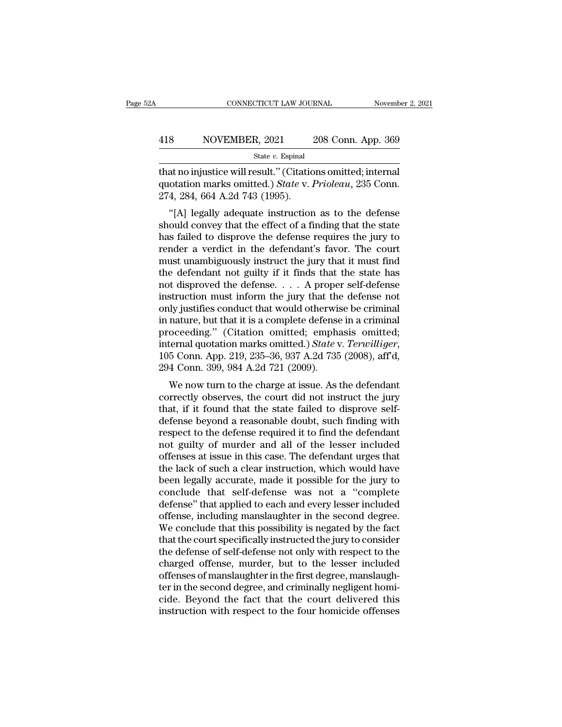### EXECUTE CONNECTICUT LAW JOURNAL Movember 2, 2021<br>
418 NOVEMBER, 2021 208 Conn. App. 369<br>
5tate v. Espinal State *v.* Espinal

CONNECTICUT LAW JOURNAL November 2, 20<br>
18 NOVEMBER, 2021 208 Conn. App. 369<br>
5tate v. Espinal<br>
1911 That no injustice will result." (Citations omitted; internal<br>
410 That no injustice will result." (Citations omitted; int 118 NOVEMBER, 2021 208 Conn. App. 369<br>
<sup>State v. Espinal</sup><br>
that no injustice will result." (Citations omitted; internal<br>
quotation marks omitted.) *State* v. Prioleau, 235 Conn.<br>
274, 284, 664 A.2d 743 (1995). 418 NOVEMBER, 2021<br>
State v. Espinal<br>
that no injustice will result." (Citatic<br>
quotation marks omitted.) *State* v. 1<br>
274, 284, 664 A.2d 743 (1995).<br>
"[A] legally adequate instruction <sup>8</sup> NOVEMBER, 2021 208 Conn. App. 369<br>  $\frac{\text{State } v. \text{ Espinal}}{\text{at no injective will result." (Citations omitted; internal  
otation marks omitted.) *State v. Prioleau*, 235 Conn.  
4, 284, 664 A.2d 743 (1995).  
"[A] legally adequate instruction as to the defense  
ould convey that the effect of a finding that the state  
of s field to disprove the defines points the jury to$ 

state v. Espinal<br>that no injustice will result." (Citations omitted; internal<br>quotation marks omitted.) *State* v. *Prioleau*, 235 Conn.<br>274, 284, 664 A.2d 743 (1995).<br>"[A] legally adequate instruction as to the defense<br>s that no injustice will result." (Citations omitted; internal quotation marks omitted.) *State v. Prioleau*, 235 Conn.<br>274, 284, 664 A.2d 743 (1995).<br>"[A] legally adequate instruction as to the defense should convey that th render a verdiction marks omitted.) State v. Prioleau, 235 Conn.<br>274, 284, 664 A.2d 743 (1995).<br>"[A] legally adequate instruction as to the defense<br>should convey that the effect of a finding that the state<br>has failed to di quotation makes onlited.) State v. 1 rioteta, 255 Conn.<br>274, 284, 664 A.2d 743 (1995).<br>
"[A] legally adequate instruction as to the defense<br>
should convey that the effect of a finding that the state<br>
has failed to disprov 274, 264, 004 A.2d 745 (1995).<br>
"[A] legally adequate instruction as to the defense<br>
should convey that the effect of a finding that the state<br>
has failed to disprove the defense requires the jury to<br>
render a verdict in "[A] legally adequate instruction as to the defense<br>should convey that the effect of a finding that the state<br>has failed to disprove the defense requires the jury to<br>render a verdict in the defendant's favor. The court<br>mu should convey that the effect of a finding that the state<br>has failed to disprove the defense requires the jury to<br>render a verdict in the defendant's favor. The court<br>must unambiguously instruct the jury that it must find<br> has failed to disprove the defense requires the jury to render a verdict in the defendant's favor. The court must unambiguously instruct the jury that it must find the defendant not guilty if it finds that the state has n render a verdict in the defendant's favor. The court<br>must unambiguously instruct the jury that it must find<br>the defendant not guilty if it finds that the state has<br>not disproved the defense.... A proper self-defense<br>instr must unambiguously instruct the jury that it must find<br>the defendant not guilty if it finds that the state has<br>not disproved the defense.... A proper self-defense<br>instruction must inform the jury that the defense not<br>only the defendant not guilty if it finds that the state has<br>not disproved the defense. . . . A proper self-defense<br>instruction must inform the jury that the defense not<br>only justifies conduct that would otherwise be criminal<br>i instruction must inform the jury that the<br>only justifies conduct that would otherwis<br>in nature, but that it is a complete defense<br>proceeding." (Citation omitted; empha<br>internal quotation marks omitted.) State v<br>105 Conn. A if y justines conduct that would otherwise be criminal<br>nature, but that it is a complete defense in a criminal<br>oceeding." (Citation omitted; emphasis omitted;<br>ternal quotation marks omitted.) *State v. Terwilliger*,<br>5 Conn In nature, but that it is a complete deferise in a criminal<br>proceeding." (Citation omitted; emphasis omitted;<br>internal quotation marks omitted.) State v. Terwilliger,<br>105 Conn. App. 219, 235–36, 937 A.2d 735 (2008), aff'd,

proceeding. (Citation onlitted, emphasis onlitted,<br>internal quotation marks omitted.) State v. Terwilliger,<br>105 Conn. App. 219, 235–36, 937 A.2d 735 (2008), aff'd,<br>294 Conn. 399, 984 A.2d 721 (2009).<br>We now turn to the cha merhai quotation marks omitted.) Batte v. *Ferwallyer*,<br>105 Conn. App. 219, 235–36, 937 A.2d 735 (2008), aff'd,<br>294 Conn. 399, 984 A.2d 721 (2009).<br>We now turn to the charge at issue. As the defendant<br>correctly observes, t ros Conit. App. 219, 259–50, 957 A.2d 755 (2006), and, 294 Conn. 399, 984 A.2d 721 (2009).<br>We now turn to the charge at issue. As the defendant<br>correctly observes, the court did not instruct the jury<br>that, if it found that  $254$  Colul.  $355$ ,  $564$  A.2d  $721$  ( $2005$ ).<br>We now turn to the charge at issue. As the defendant<br>correctly observes, the court did not instruct the jury<br>that, if it found that the state failed to disprove self-<br>defense We now turn to the charge at issue. As the defendant<br>correctly observes, the court did not instruct the jury<br>that, if it found that the state failed to disprove self-<br>defense beyond a reasonable doubt, such finding with<br>re correctly observes, the court did not instruct the jury<br>that, if it found that the state failed to disprove self-<br>defense beyond a reasonable doubt, such finding with<br>respect to the defense required it to find the defendan that, if it found that the state failed to disprove self-<br>defense beyond a reasonable doubt, such finding with<br>respect to the defense required it to find the defendant<br>not guilty of murder and all of the lesser included<br>of defense beyond a reasonable doubt, such finding with<br>respect to the defense required it to find the defendant<br>not guilty of murder and all of the lesser included<br>offenses at issue in this case. The defendant urges that<br>the respect to the defense required it to find the defendant<br>not guilty of murder and all of the lesser included<br>offenses at issue in this case. The defendant urges that<br>the lack of such a clear instruction, which would have<br>b not guilty of murder and all of the lesser included<br>offenses at issue in this case. The defendant urges that<br>the lack of such a clear instruction, which would have<br>been legally accurate, made it possible for the jury to<br>co offenses at issue in this case. The defendant urges that<br>the lack of such a clear instruction, which would have<br>been legally accurate, made it possible for the jury to<br>conclude that self-defense was not a "complete<br>defense the lack of such a clear instruction, which would have<br>been legally accurate, made it possible for the jury to<br>conclude that self-defense was not a "complete<br>defense" that applied to each and every lesser included<br>offense, been legally accurate, made it possible for the jury to conclude that self-defense was not a "complete defense" that applied to each and every lesser included offense, including manslaughter in the second degree. We conclu conclude that self-defense was not a "complete<br>defense" that applied to each and every lesser included<br>offense, including manslaughter in the second degree.<br>We conclude that this possibility is negated by the fact<br>that the defense" that applied to each and every lesser included<br>offense, including manslaughter in the second degree.<br>We conclude that this possibility is negated by the fact<br>that the court specifically instructed the jury to cons offense, including manslaughter in the second degree.<br>We conclude that this possibility is negated by the fact<br>that the court specifically instructed the jury to consider<br>the defense of self-defense not only with respect t We conclude that this possibility is negated by the fact<br>that the court specifically instructed the jury to consider<br>the defense of self-defense not only with respect to the<br>charged offense, murder, but to the lesser inclu that the court specifically instructed the jury to consider<br>the defense of self-defense not only with respect to the<br>charged offense, murder, but to the lesser included<br>offenses of manslaughter in the first degree, manslau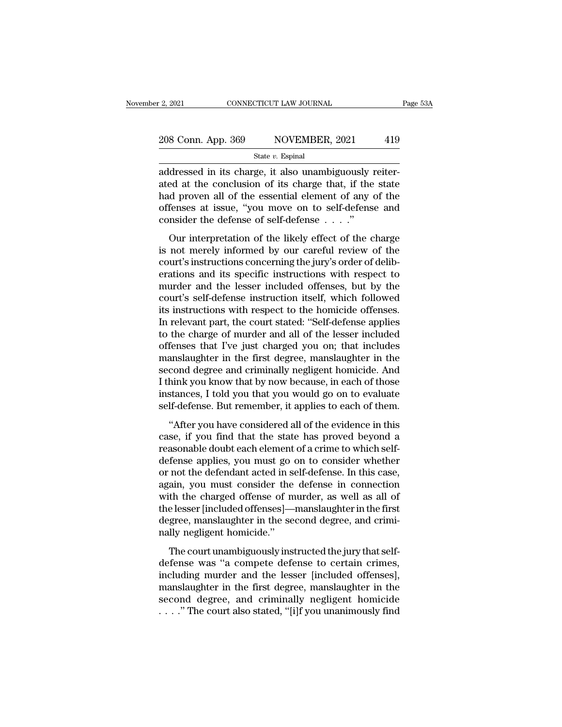# 2, 2021 CONNECTICUT LAW JOURNAL Page 53A<br>
208 Conn. App. 369 NOVEMBER, 2021 419<br>
State v. Espinal

State *v.* Espinal

2. 2021 CONNECTICUT LAW JOURNAL<br>
208 Conn. App. 369 NOVEMBER, 2021 419<br>  $\frac{\text{State } v. \text{ Espinal}}{\text{addressed in its charge, it also unambiguously reiter-ated at the conclusion of its charge that, if the state of a system, all of the essential element of any of the$ 208 Conn. App. 369 NOVEMBER, 2021 419<br>
State v. Espinal<br>
addressed in its charge, it also unambiguously reiter-<br>
ated at the conclusion of its charge that, if the state<br>
had proven all of the essential element of any of th 208 Conn. App. 369 NOVEMBER, 2021 419<br>
State v. Espinal<br>
addressed in its charge, it also unambiguously reiter-<br>
ated at the conclusion of its charge that, if the state<br>
had proven all of the essential element of any of t 208 Conn. App. 369 NOVEMBER, 2021 419<br>
State v. Espinal<br>
addressed in its charge, it also unambiguously reiter-<br>
ated at the conclusion of its charge that, if the state<br>
had proven all of the essential element of any of t State v. Espinal<br>
State v. Espinal<br>
addressed in its charge, it also unambiguously is<br>
ated at the conclusion of its charge that, if the<br>
had proven all of the essential element of any<br>
offenses at issue, "you move on to dressed in its charge, it also unambiguously reiter-<br>ed at the conclusion of its charge that, if the state<br>d proven all of the essential element of any of the<br>fenses at issue, "you move on to self-defense and<br>msider the d addressed in its enarge, it also dialihoguously related<br>ated at the conclusion of its charge that, if the state<br>had proven all of the essential element of any of the<br>offenses at issue, "you move on to self-defense and<br>cons

concerning to the sessential element of any of the offenses at issue, "you move on to self-defense and consider the defense of self-defense  $\ldots$ ."<br>Our interpretation of the likely effect of the charge is not merely infor France is sure, "you move on to self-defense and<br>consider the defense of self-defense  $\dots$ ."<br>Our interpretation of the likely effect of the charge<br>is not merely informed by our careful review of the<br>court's instructions c onsider the defense of self-defense  $\dots$ ."<br>Our interpretation of the likely effect of the charge<br>is not merely informed by our careful review of the<br>court's instructions concerning the jury's order of delib-<br>erations and Our interpretation of the likely effect of the charge<br>is not merely informed by our careful review of the<br>court's instructions concerning the jury's order of delib-<br>erations and its specific instructions with respect to<br>m Our interpretation of the likely effect of the charge<br>is not merely informed by our careful review of the<br>court's instructions concerning the jury's order of delib-<br>erations and its specific instructions with respect to<br>mu is not merely informed by our careful review of the court's instructions concerning the jury's order of deliberations and its specific instructions with respect to murder and the lesser included offenses, but by the court' court's instructions concerning the jury's order of deliberations and its specific instructions with respect to murder and the lesser included offenses, but by the court's self-defense instruction itself, which followed it erations and its specific instructions with respect to<br>murder and the lesser included offenses, but by the<br>court's self-defense instruction itself, which followed<br>its instructions with respect to the homicide offenses.<br>In murder and the lesser included offenses, but by the<br>court's self-defense instruction itself, which followed<br>its instructions with respect to the homicide offenses.<br>In relevant part, the court stated: "Self-defense applies<br> court's self-defense instruction itself, which followed<br>its instructions with respect to the homicide offenses.<br>In relevant part, the court stated: "Self-defense applies<br>to the charge of murder and all of the lesser includ its instructions with respect to the homicide offenses.<br>In relevant part, the court stated: "Self-defense applies<br>to the charge of murder and all of the lesser included<br>offenses that I've just charged you on; that includes In relevant part, the court stated: "Self-defense applies<br>to the charge of murder and all of the lesser included<br>offenses that I've just charged you on; that includes<br>manslaughter in the first degree, manslaughter in the<br>s to the charge of murder and all of the lesser included<br>offenses that I've just charged you on; that includes<br>manslaughter in the first degree, manslaughter in the<br>second degree and criminally negligent homicide. And<br>I thin anslaughter in the first degree, manslaughter in the cond degree and criminally negligent homicide. And hink you know that by now because, in each of those stances, I told you that you would go on to evaluate lf-defense. B manistagner in the first degree, manistagner in the<br>second degree and criminally negligent homicide. And<br>I think you know that by now because, in each of those<br>instances, I told you that you would go on to evaluate<br>self-de

reasonal acgree and erminially negligent nonleader. This<br>I think you know that by now because, in each of those<br>instances, I told you that you would go on to evaluate<br>self-defense. But remember, it applies to each of them. Family you had by now because, in each of alose<br>instances, I told you that you would go on to evaluate<br>self-defense. But remember, it applies to each of them.<br>"After you have considered all of the evidence in this<br>case, if matakeet, 1 total you mata you would go on to evaluate<br>self-defense. But remember, it applies to each of them.<br>"After you have considered all of the evidence in this<br>case, if you find that the state has proved beyond a<br>rea "After you have considered all of the evidence in this<br>case, if you find that the state has proved beyond a<br>reasonable doubt each element of a crime to which self-<br>defense applies, you must go on to consider whether<br>or not "After you have considered all of the evidence in this<br>case, if you find that the state has proved beyond a<br>reasonable doubt each element of a crime to which self-<br>defense applies, you must go on to consider whether<br>or not case, if you find that the state has proved beyond a<br>reasonable doubt each element of a crime to which self-<br>defense applies, you must go on to consider whether<br>or not the defendant acted in self-defense. In this case,<br>aga reasonable doubt each element of a crime to which self-<br>defense applies, you must go on to consider whether<br>or not the defendant acted in self-defense. In this case,<br>again, you must consider the defense in connection<br>with defense applies, you must go<br>or not the defendant acted in s<br>again, you must consider the<br>with the charged offense of m<br>the lesser [included offenses]—<br>degree, manslaughter in the se<br>nally negligent homicide."<br>The court un The court and acted in self-acted the defense in connection<br>th the charged offense of murder, as well as all of<br>elesser [included offenses]—manslaughter in the first<br>gree, manslaughter in the second degree, and crimi-<br>lly definite the defense in connection<br>with the charged offense of murder, as well as all of<br>the lesser [included offenses]—manslaughter in the first<br>degree, manslaughter in the second degree, and crimi-<br>nally negligent homici

mari are enarged offenses of marider, as went as an of<br>the lesser [included offenses]—manslaughter in the first<br>degree, manslaughter in the second degree, and crimi-<br>nally negligent homicide."<br>The court unambiguously instr degree, manslaughter in the second degree, and criminally negligent homicide."<br>The court unambiguously instructed the jury that self-<br>defense was "a compete defense to certain crimes,<br>including murder and the lesser [inclu nally negligent homicide."<br>The court unambiguously instructed the jury that self-<br>defense was "a compete defense to certain crimes,<br>including murder and the lesser [included offenses],<br>manslaughter in the first degree, man The court unambiguously instructed the jury that self-<br>defense was "a compete defense to certain crimes,<br>including murder and the lesser [included offenses],<br>manslaughter in the first degree, manslaughter in the<br>second de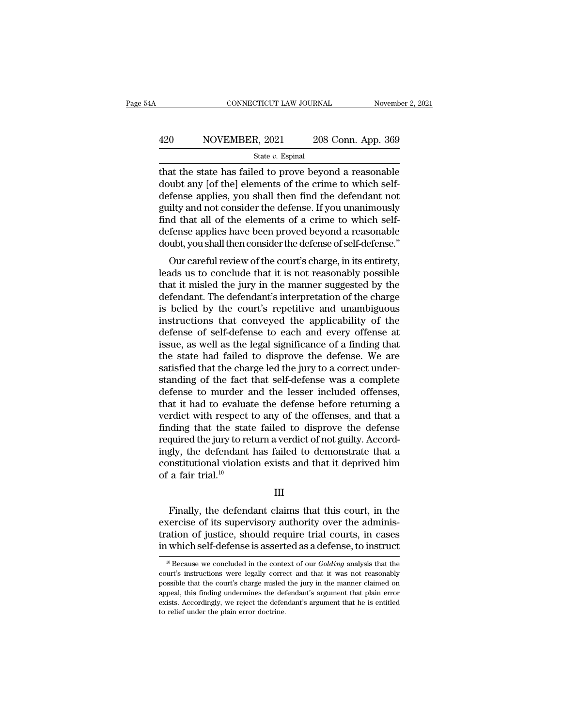# EXECUTE CONNECTICUT LAW JOURNAL Movember 2, 2021<br>App. 309 NOVEMBER, 2021 208 Conn. App. 369<br>State v. Espinal

### State *v.* Espinal

 $\begin{array}{r|l} \text{CONPECTICUT LAW JOURNAL} & \text{November 2, 2021} \ \hline \end{array}$ <br>420 NOVEMBER, 2021 208 Conn. App. 369<br>5tate v. Espinal<br>that the state has failed to prove beyond a reasonable<br>doubt any [of the] elements of the crime to which self- $\begin{array}{r} \text{420} \text{ } \text{ } \text{NOVEMBER, 2021} \text{ } \text{ } \text{ } \text{208 Conn. App. 369} \\ \text{State } v. \text{ Espinal} \end{array}$ <br>
that the state has failed to prove beyond a reasonable<br>
doubt any [of the] elements of the crime to which self-<br>
defense applies, you s 420 NOVEMBER, 2021 208 Conn. App. 369<br>  $\frac{\text{State } v. \text{ Espinal}}{\text{that the state has failed to prove beyond a reasonable} \text{double}}$ <br>
doubt any [of the] elements of the crime to which self-<br>
defense applies, you shall then find the defendant not<br>
guilty and not consider the def 420 NOVEMBER, 2021 208 Conn. App. 369<br>  $\frac{\text{State } v. \text{ Espinal}}{\text{that the state has failed to prove beyond a reasonable} \text{doubt any [of the] elements of the crime to which self-defense applies, you shall then find the defendant not guilty and not consider the defense. If you unanimously find that all of the elements of a crime to which self-dofones, applies have been proved beyond a reasonable$ State v. Espinal<br>State v. Espinal<br>that the state has failed to prove beyond a reasonable<br>doubt any [of the] elements of the crime to which self-<br>defense applies, you shall then find the defendant not<br>guilty and not consid state v. Espinal<br>that the state has failed to prove beyond a reasonable<br>doubt any [of the] elements of the crime to which self-<br>defense applies, you shall then find the defendant not<br>guilty and not consider the defense. If that the state has failed to prove beyond a reasonable<br>doubt any [of the] elements of the crime to which self-<br>defense applies, you shall then find the defendant not<br>guilty and not consider the defense. If you unanimously<br> Frame applies, you shall then find the defendant not<br>ilty and not consider the defense. If you unanimously<br>id that all of the elements of a crime to which self-<br>fense applies have been proved beyond a reasonable<br>ubt, you s defense applies, you shall then fill the defendant flot<br>guilty and not consider the defense. If you unanimously<br>find that all of the elements of a crime to which self-<br>defense applies have been proved beyond a reasonable<br>d

gunty and not consider the defense. If you diaminodsly<br>find that all of the elements of a crime to which self-<br>defense applies have been proved beyond a reasonable<br>doubt, you shall then consider the defense of self-defense mid that an of the elements of a crime to which sen-<br>defense applies have been proved beyond a reasonable<br>doubt, you shall then consider the defense of self-defense."<br>Our careful review of the court's charge, in its entire doubt, you shall then consider the defense of self-defense."<br>
Our careful review of the court's charge, in its entirety,<br>
leads us to conclude that it is not reasonably possible<br>
that it misled the jury in the manner sugge Four careful review of the court's charge, in its entirety,<br>leads us to conclude that it is not reasonably possible<br>that it misled the jury in the manner suggested by the<br>defendant. The defendant's interpretation of the ch Our careful review of the court's charge, in its entirety,<br>leads us to conclude that it is not reasonably possible<br>that it misled the jury in the manner suggested by the<br>defendant. The defendant's interpretation of the ch leads us to conclude that it is not reasonably possible<br>that it misled the jury in the manner suggested by the<br>defendant. The defendant's interpretation of the charge<br>is belied by the court's repetitive and unambiguous<br>ins that it misled the jury in the manner suggested by the<br>defendant. The defendant's interpretation of the charge<br>is belied by the court's repetitive and unambiguous<br>instructions that conveyed the applicability of the<br>defense defendant. The defendant's interpretation of the charge<br>is belied by the court's repetitive and unambiguous<br>instructions that conveyed the applicability of the<br>defense of self-defense to each and every offense at<br>issue, as is belied by the court's repetitive and unambiguous<br>instructions that conveyed the applicability of the<br>defense of self-defense to each and every offense at<br>issue, as well as the legal significance of a finding that<br>the st instructions that conveyed the applicability of the<br>defense of self-defense to each and every offense at<br>issue, as well as the legal significance of a finding that<br>the state had failed to disprove the defense. We are<br>satis defense of self-defense to each and every offense at issue, as well as the legal significance of a finding that the state had failed to disprove the defense. We are satisfied that the charge led the jury to a correct under issue, as well as the legal significance of a finding that<br>the state had failed to disprove the defense. We are<br>satisfied that the charge led the jury to a correct under-<br>standing of the fact that self-defense was a compl the state had failed to disprove the defense. We are satisfied that the charge led the jury to a correct under-<br>standing of the fact that self-defense was a complete<br>defense to murder and the lesser included offenses,<br>that satisfied that the charge led the jury to a correct under-<br>standing of the fact that self-defense was a complete<br>defense to murder and the lesser included offenses,<br>that it had to evaluate the defense before returning a<br>ve standing of the fact that self-defense was a complete<br>defense to murder and the lesser included offenses,<br>that it had to evaluate the defense before returning a<br>verdict with respect to any of the offenses, and that a<br>findi defense to murder and the lesser included offenses,<br>that it had to evaluate the defense before returning a<br>verdict with respect to any of the offenses, and that a<br>finding that the state failed to disprove the defense<br>requi that it had to evalua<br>verdict with respect<br>finding that the stat<br>required the jury to re<br>ingly, the defendant<br>constitutional violatie<br>of a fair trial.<sup>10</sup> quired the jury to return a verdict of not guilty. Accord-<br>gly, the defendant has failed to demonstrate that a<br>nstitutional violation exists and that it deprived him<br>a fair trial.<sup>10</sup><br>III<br>Finally, the defendant claims that

### III

ingly, the defendant has failed to demonstrate that a<br>constitutional violation exists and that it deprived him<br>of a fair trial.<sup>10</sup><br>III<br>Finally, the defendant claims that this court, in the<br>exercise of its supervisory auth constitutional violation exists and that it deprived him<br>of a fair trial.<sup>10</sup><br>III<br>Finally, the defendant claims that this court, in the<br>exercise of its supervisory authority over the adminis-<br>tration of justice, should req of a fair trial.<sup>10</sup><br>
III<br>
Finally, the defendant claims that this court, in the<br>
exercise of its supervisory authority over the adminis-<br>
tration of justice, should require trial courts, in cases<br>
in which self-defense i Finally, the defendant claims that this court, in the vercise of its supervisory authority over the administation of justice, should require trial courts, in cases which self-defense is asserted as a defense, to instruct <sup></sup> exercise of its supervisory authority over the administration of justice, should require trial courts, in cases<br>in which self-defense is asserted as a defense, to instruct<br> $\frac{10}{10}$  Because we concluded in the context o

tration of justice, should require trial courts, in cases<br>in which self-defense is asserted as a defense, to instruct<br> $\frac{10}{}$ Because we concluded in the context of our *Golding* analysis that the<br>court's instructions we in which self-defense is asserted as a defense, to instruct<br>in which self-defense is asserted as a defense, to instruct<br> $\frac{10}{10}$  Because we concluded in the context of our *Golding* analysis that the<br>court's instructio <sup>10</sup> Because we concluded in the context of our *Golding* analysis that the court's instructions were legally correct and that it was not reasonably possible that the court's charge misled the jury in the manner claimed o <sup>10</sup> Because we concluded in the contecourt's instructions were legally correpossible that the court's charge misled appeal, this finding undermines the detexists. Accordingly, we reject the defer to relief under the plai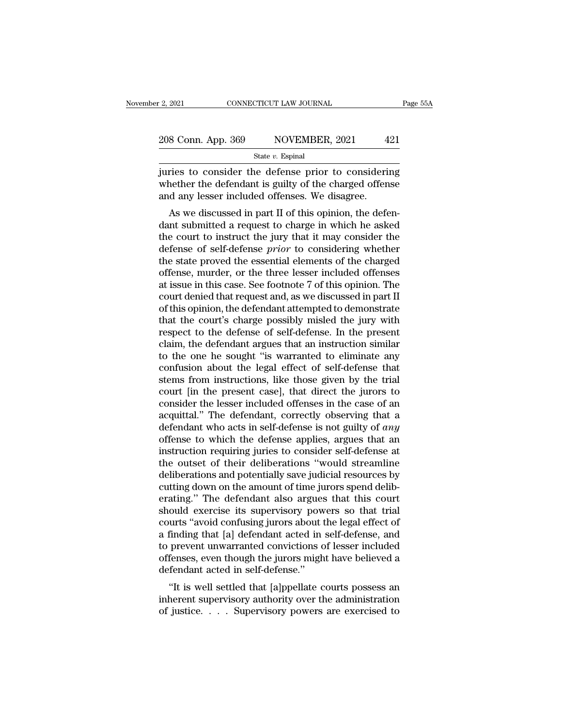| r 2, 2021          | CONNECTICUT LAW JOURNAL | Page 55A |
|--------------------|-------------------------|----------|
| 208 Conn. App. 369 | NOVEMBER, 2021          | 421      |
|                    | State $v$ . Espinal     |          |

 $\frac{1}{2}$ , 2021 CONNECTICUT LAW JOURNAL Page 55A<br>
208 Conn. App. 369 NOVEMBER, 2021 421<br>  $\frac{1}{2}$ <br>  $\frac{1}{2}$ <br>
state v. Espinal<br>
iuries to consider the defense prior to considering<br>
whether the defendant is guilty of the 208 Conn. App. 369 NOVEMBER, 2021 421<br>State v. Espinal<br>juries to consider the defense prior to considering<br>whether the defendant is guilty of the charged offense<br>and any lesser included offenses. We disagree. 208 Conn. App. 369 NOVEMBER, 2021 4<br>
State v. Espinal<br>
juries to consider the defense prior to consideri<br>
whether the defendant is guilty of the charged offen<br>
and any lesser included offenses. We disagree.<br>
As we discuss 8 Conn. App. 369 NOVEMBER, 2021 421<br>
State v. Espinal<br>
Tries to consider the defense prior to considering<br>
nether the defendant is guilty of the charged offense<br>
d any lesser included offenses. We disagree.<br>
As we discuss

State  $v$ . Espinal<br>
juries to consider the defense prior to considering<br>
whether the defendant is guilty of the charged offense<br>
and any lesser included offenses. We disagree.<br>
As we discussed in part II of this opinion, juries to consider the defense prior to considering<br>whether the defendant is guilty of the charged offense<br>and any lesser included offenses. We disagree.<br>As we discussed in part II of this opinion, the defen-<br>dant submitte defense to consider the defense prior to considering<br>whether the defendant is guilty of the charged offense<br>and any lesser included offenses. We disagree.<br>As we discussed in part II of this opinion, the defen-<br>dant submitt whether the defendant is guity of the charged offense<br>and any lesser included offenses. We disagree.<br>As we discussed in part II of this opinion, the defen-<br>dant submitted a request to charge in which he asked<br>the court to As we discussed in part II of this opinion, the defendant submitted a request to charge in which he asked<br>the court to instruct the jury that it may consider the<br>defense of self-defense *prior* to considering whether<br>the As we discussed in part II of this opinion, the defendant submitted a request to charge in which he asked<br>the court to instruct the jury that it may consider the<br>defense of self-defense *prior* to considering whether<br>the s dant submitted a request to charge in which he asked<br>the court to instruct the jury that it may consider the<br>defense of self-defense *prior* to considering whether<br>the state proved the essential elements of the charged<br>off the court to instruct the jury that it may consider the<br>defense of self-defense *prior* to considering whether<br>the state proved the essential elements of the charged<br>offense, murder, or the three lesser included offenses<br>a defense of self-defense *prior* to considering whether<br>the state proved the essential elements of the charged<br>offense, murder, or the three lesser included offenses<br>at issue in this case. See footnote 7 of this opinion. Th the state proved the essential elements of the charged<br>offense, murder, or the three lesser included offenses<br>at issue in this case. See footnote 7 of this opinion. The<br>court denied that request and, as we discussed in par offense, murder, or the three lesser included offenses<br>at issue in this case. See footnote 7 of this opinion. The<br>court denied that request and, as we discussed in part II<br>of this opinion, the defendant attempted to demons at issue in this case. See footnote 7 of this opinion. The<br>court denied that request and, as we discussed in part II<br>of this opinion, the defendant attempted to demonstrate<br>that the court's charge possibly misled the jury court denied that request and, as we discussed in part II<br>of this opinion, the defendant attempted to demonstrate<br>that the court's charge possibly misled the jury with<br>respect to the defense of self-defense. In the present of this opinion, the defendant attempted to demonstrate<br>that the court's charge possibly misled the jury with<br>respect to the defense of self-defense. In the present<br>claim, the defendant argues that an instruction similar<br>t that the court's charge possibly misled the jury with<br>respect to the defense of self-defense. In the present<br>claim, the defendant argues that an instruction similar<br>to the one he sought "is warranted to eliminate any<br>confu respect to the defense of self-defense. In the present claim, the defendant argues that an instruction similar<br>to the one he sought "is warranted to eliminate any<br>confusion about the legal effect of self-defense that<br>stems claim, the defendant argues that an instruction similar<br>to the one he sought "is warranted to eliminate any<br>confusion about the legal effect of self-defense that<br>stems from instructions, like those given by the trial<br>cour to the one he sought "is warranted to eliminate any<br>confusion about the legal effect of self-defense that<br>stems from instructions, like those given by the trial<br>court [in the present case], that direct the jurors to<br>consid confusion about the legal effect of self-defense that<br>stems from instructions, like those given by the trial<br>court [in the present case], that direct the jurors to<br>consider the lesser included offenses in the case of an<br>ac stems from instructions, like those given by the trial<br>court [in the present case], that direct the jurors to<br>consider the lesser included offenses in the case of an<br>acquittal." The defendant, correctly observing that a<br>de court [in the present case], that direct the jurors to<br>consider the lesser included offenses in the case of an<br>acquittal." The defendant, correctly observing that a<br>defendant who acts in self-defense is not guilty of *any* consider the lesser included offenses in the case of an acquittal." The defendant, correctly observing that a defendant who acts in self-defense is not guilty of *any* offense to which the defense applies, argues that an i acquittal." The defendant, correctly observing that a defendant who acts in self-defense is not guilty of *any* offense to which the defense applies, argues that an instruction requiring juries to consider self-defense at defendant who acts in self-defense is not guilty of *any*<br>offense to which the defense applies, argues that an<br>instruction requiring juries to consider self-defense at<br>the outset of their deliberations "would streamline<br>de offense to which the defense applies, argues that an instruction requiring juries to consider self-defense at the outset of their deliberations "would streamline deliberations and potentially save judicial resources by cut instruction requiring juries to consider self-defense at<br>the outset of their deliberations "would streamline<br>deliberations and potentially save judicial resources by<br>cutting down on the amount of time jurors spend delib-<br>e the outset of their deliberations "would streamline<br>deliberations and potentially save judicial resources by<br>cutting down on the amount of time jurors spend delib-<br>erating." The defendant also argues that this court<br>should deliberations and potentially save judicial resources by<br>cutting down on the amount of time jurors spend delib-<br>erating." The defendant also argues that this court<br>should exercise its supervisory powers so that trial<br>court cutting down on the amount of time jurors spend deliberating." The defendant also argues that this court should exercise its supervisory powers so that trial courts "avoid confusing jurors about the legal effect of a findi erating." The defendant also argues<br>should exercise its supervisory pow<br>courts "avoid confusing jurors about t<br>a finding that [a] defendant acted in<br>to prevent unwarranted convictions c<br>offenses, even though the jurors mig bound exercise its supervisory powers so that that<br>
urts "avoid confusing jurors about the legal effect of<br>
finding that [a] defendant acted in self-defense, and<br>
prevent unwarranted convictions of lesser included<br>
fenses, courts avoid comusing jurors about the regar effect of<br>a finding that [a] defendant acted in self-defense, and<br>to prevent unwarranted convictions of lesser included<br>offenses, even though the jurors might have believed a<br>de a miding that [a] detendant acted in sen-detense, and<br>to prevent unwarranted convictions of lesser included<br>offenses, even though the jurors might have believed a<br>defendant acted in self-defense."<br>"It is well settled that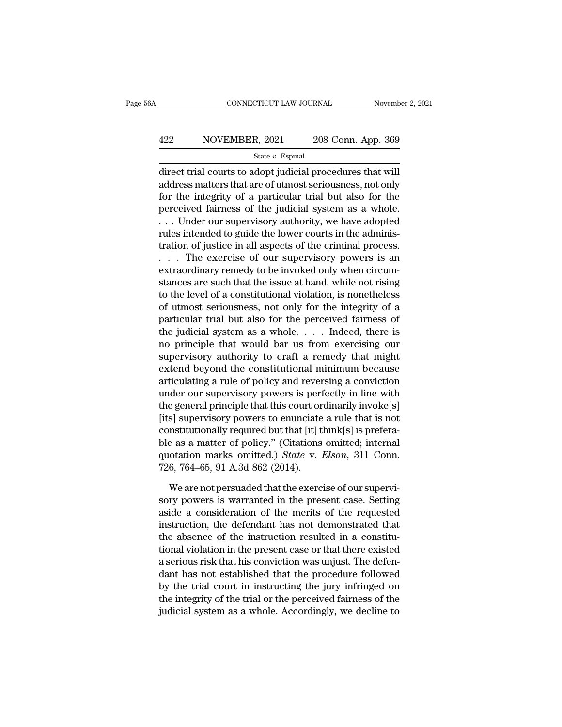# EXECUTE CONNECTICUT LAW JOURNAL Movember 2, 2021<br>A22 NOVEMBER, 2021 208 Conn. App. 369<br>State v. Espinal

State *v.* Espinal

CONNECTICUT LAW JOURNAL November 2, 20<br>
422 NOVEMBER, 2021 208 Conn. App. 369<br>
5tate v. Espinal<br>
direct trial courts to adopt judicial procedures that will<br>
address matters that are of utmost seriousness, not only<br>
for the  $\begin{array}{r} \text{A22}\ \text{A22}\ \text{B23}\ \text{B34}\ \text{B44}\ \text{B5}\ \text{B5}\ \text{B6}\ \text{B6}\ \text{B7}\ \text{B8}\ \text{C7}\ \text{C7}\ \text{C7}\ \text{C7}\ \text{C7}\ \text{C7}\ \text{C7}\ \text{C7}\ \text{C7}\ \text{C7}\ \text{C7}\ \text{C7}\ \text{C7}\ \text{C7}\ \text{C7}\ \text{C7}\ \text{C7}\ \text{C7}\ \text{C7}\ \text{C7}\ \text{C7}\ \text{C7}\ \text{C7}\ \text{C$  $\frac{422}{\text{State } v. \text{ Espinal}}$  Espinal<br>
State  $v. \text{ Espinal}$ <br>
direct trial courts to adopt judicial procedures that will<br>
address matters that are of utmost seriousness, not only<br>
for the integrity of a particular trial but also for A22 NOVEMBER, 2021 208 Conn. App. 369<br>
State v. Espinal<br>
direct trial courts to adopt judicial procedures that will<br>
address matters that are of utmost seriousness, not only<br>
for the integrity of a particular trial but al State v. Espinal<br>
direct trial courts to adopt judicial procedures that will<br>
address matters that are of utmost seriousness, not only<br>
for the integrity of a particular trial but also for the<br>
perceived fairness of the j slate *v*. Espinal<br>direct trial courts to adopt judicial procedures that will<br>address matters that are of utmost seriousness, not only<br>for the integrity of a particular trial but also for the<br>perceived fairness of the jud direct trial courts to adopt judicial procedures that will<br>address matters that are of utmost seriousness, not only<br>for the integrity of a particular trial but also for the<br>perceived fairness of the judicial system as a wh address matters that are of utmost seriousness, not only<br>for the integrity of a particular trial but also for the<br>perceived fairness of the judicial system as a whole.<br>. . . Under our supervisory authority, we have adopted for the integrity of a particular trial but also for the<br>perceived fairness of the judicial system as a whole.<br>... Under our supervisory authority, we have adopted<br>rules intended to guide the lower courts in the adminis-<br> perceived fairness of the judicial system as a whole.<br>
. . . Under our supervisory authority, we have adopted<br>
rules intended to guide the lower courts in the adminis-<br>
tration of justice in all aspects of the criminal pro ... Under our supervisory authority, we have adopted<br>rules intended to guide the lower courts in the adminis-<br>tration of justice in all aspects of the criminal process.<br>... The exercise of our supervisory powers is an<br>ext rules intended to guide the lower courts in the adminis-<br>tration of justice in all aspects of the criminal process.<br>... The exercise of our supervisory powers is an<br>extraordinary remedy to be invoked only when circum-<br>stan tration of justice in all aspects of the criminal process.<br>
. . . The exercise of our supervisory powers is an<br>
extraordinary remedy to be invoked only when circum-<br>
stances are such that the issue at hand, while not risin ... The exercise of our supervisory powers is an extraordinary remedy to be invoked only when circumstances are such that the issue at hand, while not rising to the level of a constitutional violation, is nonetheless of ut extraordinary remedy to be invoked only when circum-<br>stances are such that the issue at hand, while not rising<br>to the level of a constitutional violation, is nonetheless<br>of utmost seriousness, not only for the integrity of stances are such that the issue at hand, while not rising<br>to the level of a constitutional violation, is nonetheless<br>of utmost seriousness, not only for the integrity of a<br>particular trial but also for the perceived fairne to the level of a constitutional violation, is nonetheless<br>of utmost seriousness, not only for the integrity of a<br>particular trial but also for the perceived fairness of<br>the judicial system as a whole.... Indeed, there is<br> of utmost seriousness, not only for the integrity of a<br>particular trial but also for the perceived fairness of<br>the judicial system as a whole. . . . Indeed, there is<br>no principle that would bar us from exercising our<br>super particular trial but also for the perceived fairness of<br>the judicial system as a whole. . . . . Indeed, there is<br>no principle that would bar us from exercising our<br>supervisory authority to craft a remedy that might<br>extend the judicial system as a whole. . . . . Indeed, there is<br>no principle that would bar us from exercising our<br>supervisory authority to craft a remedy that might<br>extend beyond the constitutional minimum because<br>articulating a no principle that would bar us from exercising our<br>supervisory authority to craft a remedy that might<br>extend beyond the constitutional minimum because<br>articulating a rule of policy and reversing a conviction<br>under our supe supervisory authority to craft a remedy that might<br>extend beyond the constitutional minimum because<br>articulating a rule of policy and reversing a conviction<br>under our supervisory powers is perfectly in line with<br>the gener extend beyond the constitutional minimum because<br>articulating a rule of policy and reversing a conviction<br>under our supervisory powers is perfectly in line with<br>the general principle that this court ordinarily invoke[s]<br>[ articulating a rule of policy and reversing a conviction<br>under our supervisory powers is perfectly in line with<br>the general principle that this court ordinarily invoke[s]<br>[its] supervisory powers to enunciate a rule that i under our supervisory powers is pert<br>the general principle that this court or<br>[its] supervisory powers to enunciate<br>constitutionally required but that [it] tl<br>ble as a matter of policy." (Citations<br>quotation marks omitted. s] supervisory powers to enunciate a rule that is not institutionally required but that [it] think[s] is prefera-<br>e as a matter of policy." (Citations omitted; internal<br>otation marks omitted.) *State* v. *Elson*, 311 Conn. constitutionally required but that [it] think[s] is prefera-<br>ble as a matter of policy." (Citations omitted; internal<br>quotation marks omitted.) *State* v. *Elson*, 311 Conn.<br>726, 764–65, 91 A.3d 862 (2014).<br>We are not pers

ble as a matter of policy." (Citations omitted; internal<br>quotation marks omitted.) *State* v. *Elson*, 311 Conn.<br>726, 764–65, 91 A.3d 862 (2014).<br>We are not persuaded that the exercise of our supervi-<br>sory powers is warran quotation marks omitted.) *State* v. *Elson*, 311 Conn.<br>726, 764–65, 91 A.3d 862 (2014).<br>We are not persuaded that the exercise of our supervi-<br>sory powers is warranted in the present case. Setting<br>aside a consideration of 726, 764–65, 91 A.3d 862 (2014).<br>We are not persuaded that the exercise of our supervisory powers is warranted in the present case. Setting<br>aside a consideration of the merits of the requested<br>instruction, the defendant h We are not persuaded that the exercise of our supervisory powers is warranted in the present case. Setting aside a consideration of the merits of the requested instruction, the defendant has not demonstrated that the absen We are not persuaded that the exercise of our supervisory powers is warranted in the present case. Setting aside a consideration of the merits of the requested instruction, the defendant has not demonstrated that the absen sory powers is warranted in the present case. Setting<br>aside a consideration of the merits of the requested<br>instruction, the defendant has not demonstrated that<br>the absence of the instruction resulted in a constitu-<br>tional aside a consideration of the merits of the requested<br>instruction, the defendant has not demonstrated that<br>the absence of the instruction resulted in a constitu-<br>tional violation in the present case or that there existed<br>a instruction, the defendant has not demonstrated that<br>the absence of the instruction resulted in a constitu-<br>tional violation in the present case or that there existed<br>a serious risk that his conviction was unjust. The defe the absence of the instruction resulted in a constitutional violation in the present case or that there existed a serious risk that his conviction was unjust. The defendant has not established that the procedure followed b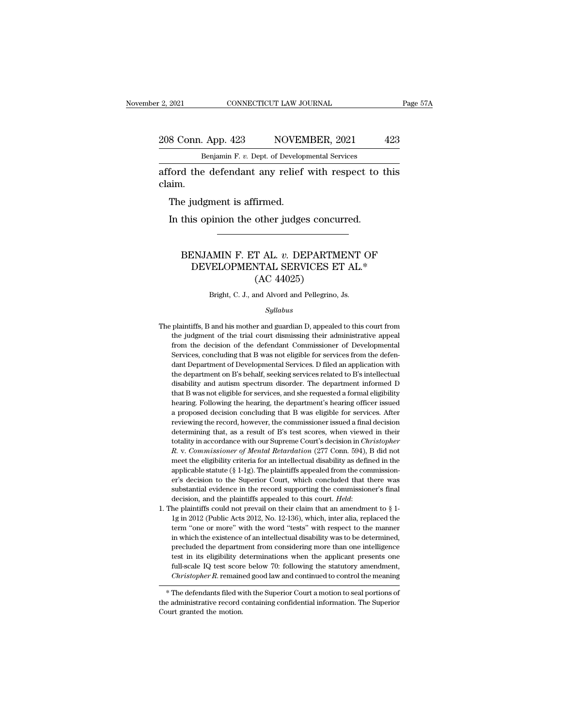## 2021 CONNECTICUT LAW JOURNAL Page 57A<br>208 Conn. App. 423 NOVEMBER, 2021 423<br>Benjamin F. v. Dept. of Developmental Services CONNECTICUT LAW JOURNAL<br>Benjamin F. *v.* Dept. of Developmental Services<br>Benjamin F. *v.* Dept. of Developmental Services<br>Bendental Services

2021 CONNECTICUT LAW JOURNAL Page 57A<br>
208 Conn. App. 423 NOVEMBER, 2021 423<br>
Benjamin F. v. Dept. of Developmental Services<br>
afford the defendant any relief with respect to this<br>
claim. claim. 8 Conn. App. 423 NOVEN<br>Benjamin F. v. Dept. of Develop<br>ford the defendant any relief<br>aim.<br>The judgment is affirmed.<br>In this opinion the other judge: Benjamin F. v. Dept. of Developmental Services<br>
ford the defendant any relief with respect to<br>
iim.<br>
The judgment is affirmed.<br>
In this opinion the other judges concurred.

### e judgment is affirmed.<br>
this opinion the other judges concurred.<br>
BENJAMIN F. ET AL. *v.* DEPARTMENT OF<br>
DEVELOPMENTAL SERVICES ET AL.\*<br>
(AC 44025) udgment is affirmed.<br>
is opinion the other judges concurred.<br>
NJAMIN F. ET AL. v. DEPARTMENT OF<br>
DEVELOPMENTAL SERVICES ET AL.\*<br>
(AC 44025) other judges concu<br>T AL. v. DEPARTM<br>NTAL SERVICES E<br>(AC 44025)<br>md Alvord and Pellegrino, BENJAMIN F. ET AL. v. DEPARTMENT OF<br>DEVELOPMENTAL SERVICES ET AL.\*<br>(AC 44025)<br>Bright, C. J., and Alvord and Pellegrino, Js.

### *Syllabus*

- $(AC 44025)$ <br>Bright, C. J., and Alvord and Pellegrino, Js.<br> $Syllabus$ <br>The plaintiffs, B and his mother and guardian D, appealed to this court from<br>the judgment of the trial court dismissing their administrative appeal (AO  $+1020$ )<br>Bright, C. J., and Alvord and Pellegrino, Js.<br>Syllabus<br>plaintiffs, B and his mother and guardian D, appealed to this court from<br>the judgment of the trial court dismissing their administrative appeal<br>from the d Fright, C. J., and Alvord and Pellegrino, Js.<br>
Syllabus<br>
plaintiffs, B and his mother and guardian D, appealed to this court from<br>
the judgment of the trial court dismissing their administrative appeal<br>
from the decision o The plaintiffs, B and his mother and guardian D, appealed to this court from<br>the judgment of the trial court dismissing their administrative appeal<br>from the decision of the defendant Commissioner of Developmental<br>Services, *Syllabus*<br>plaintiffs, B and his mother and guardian D, appealed to this court from<br>the judgment of the trial court dismissing their administrative appeal<br>from the decision of the defendant Commissioner of Developmental<br>Se plaintiffs, B and his mother and guardian D, appealed to this court from<br>the judgment of the trial court dismissing their administrative appeal<br>from the decision of the defendant Commissioner of Developmental<br>Services, con planet of the trial court dismissing their administrative appeal<br>from the decision of the defendant Commissioner of Developmental<br>Services, concluding that B was not eligible for services from the defen-<br>dant Department of from the decision of the defendant Commissioner of Developmental<br>Services, concluding that B was not eligible for services from the defen-<br>dant Department of Developmental Services. D filed an application with<br>the departme Herizon: Services, concluding that B was not eligible for services from the defendant Department of Developmental Services. D filed an application with the department on B's behalf, seeking services related to B's intellec dant Department of Developmental Services. D filed an application with the department on B's behalf, seeking services related to B's intellectual disability and autism spectrum disorder. The department informed D that B wa the department on B's behalf, seeking services related to B's intellectual disability and autism spectrum disorder. The department informed D that B was not eligible for services, and she requested a formal eligibility hea disability and autism spectrum disorder. The department informed D<br>disability and autism spectrum disorder. The department informed D<br>that B was not eligible for services, and she requested a formal eligibility<br>hearing. Fo that B was not eligible for services, and she requested a formal eligibility thearing. Following the hearing, the department's hearing officer issued a proposed decision concluding that B was eligible for services. After r *R. T. Commissioner of Mental Retardation* (277 Conn. 594), B did not meet the eligibility criterial Retardation (277 Conn. 594), B did not meet the eligibility criteria for an intellectual disability as defined in their means a proposed decision concluding that B was eligible for services. After reviewing the record, however, the commissioner issued a final decision determining that, as a result of B's test scores, when viewed in their t a provision the record, however, the commissioner issued a final decision determining that, as a result of B's test scores, when viewed in their totality in accordance with our Supreme Court's decision in *Christopher R. v* externing that, as a result of B's test scores, when viewed in their<br>determining that, as a result of B's test scores, when viewed in their<br>totality in accordance with our Supreme Court's decision in *Christopher*<br>R. v. Co totality in accordance with our Supreme Court's decision in *Christopher* R. v. Commissioner of Mental Retardation (277 Conn. 594), B did not meet the eligibility criteria for an intellectual disability as defined in the decision, and the plaintiffs appealed to this court. *Held*: 1. The plaintiffs appealed from the commissioner's decision to the Superior Court, which concluded that there was substantial evidence in the record supporting applicable statute (§ 1-1g). The plaintiffs appealed from the commission-<br>er's decision to the Superior Court, which concluded that there was<br>substantial evidence in the record supporting the commissioner's final<br>decision
- er's decision to the Superior Court, which concluded that there was substantial evidence in the record supporting the commissioner's final decision, and the plaintiffs appealed to this court. *Held*: the plaintiffs could substantial evidence in the record supporting the commissioner's final<br>decision, and the plaintiffs appealed to this court. *Held*:<br>he plaintiffs could not prevail on their claim that an amendment to  $\S 1$ -<br>1g in 2012 (Pu decision, and the plaintiffs appealed to this court. *Held*:<br>decision, and the plaintiffs appealed to this court. *Held*:<br>he plaintiffs could not prevail on their claim that an amendment to  $\S$  1-<br>1g in 2012 (Public Acts the plaintiffs could not prevail on their claim that an amendment to  $\S$  1-<br>1g in 2012 (Public Acts 2012, No. 12-136), which, inter alia, replaced the<br>term "one or more" with the word "tests" with respect to the manner<br>in It g in 2012 (Public Acts 2012, No. 12-136), which, inter alia, replaced the term "one or more" with the word "tests" with respect to the manner in which the existence of an intellectual disability was to be determined, p *Christopher R.* remained good law and continued to control the manner and christopher R. remained good law and control the meaning more than one intelligence test in its eligibility determinations when the applicant prese In which the existence of an intellectual disability was to be determined,<br>precluded the department from considering more than one intelligence<br>test in its eligibility determinations when the applicant presents one<br>full-sc precided the department front considering interest in the intelligence<br>test in its eligibility determinations when the applicant presents one<br>full-scale IQ test score below 70: following the statutory amendment,<br>*Christoph*

EVALUATE: The state of the motion.<br>  $\frac{F}{T}$  are the motion of the administrative record of court granted the motion.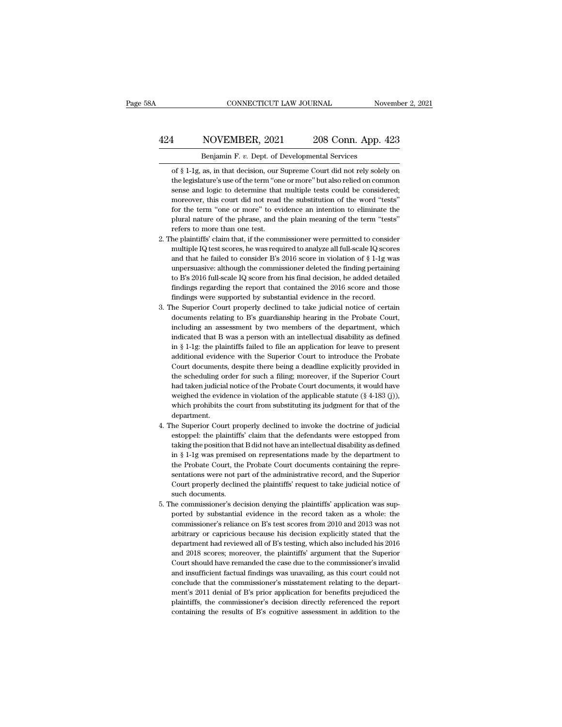## EXECUTE CONNECTICUT LAW JOURNAL Movember 2, 2021<br>A24 NOVEMBER, 2021 208 Conn. App. 423<br>Benjamin F. v. Dept. of Developmental Services CONNECTICUT LAW JOURNAL November 2, 2021<br>Benjamin F. *v.* Dept. of Developmental Services<br>of § 1-1g, as, in that decision, our Supreme Court did not rely solely on

**Sof § 1-1g, as, in that decision, our Supreme Court did not rely solely on**<br>the legislature's use of the term "one or more" but also relied on common 1 NOVEMBER, 2021 208 Conn. App. 423<br>
Benjamin F. v. Dept. of Developmental Services<br>
of § 1-1g, as, in that decision, our Supreme Court did not rely solely on<br>
the legislature's use of the term "one or more" but also relie SUE SER 2021 208 Conn. App. 423<br>
Benjamin F. v. Dept. of Developmental Services<br>
of § 1-1g, as, in that decision, our Supreme Court did not rely solely on<br>
the legislature's use of the term "one or more" but also relied on Benjamin F. v. Dept. of Developmental Services<br>of § 1-1g, as, in that decision, our Supreme Court did not rely solely on<br>the legislature's use of the term "one or more" but also relied on common<br>sense and logic to determin Benjamin F.  $v$ . Dept. of Developmental Services<br>of  $\S$  1-1g, as, in that decision, our Supreme Court did not rely solely on<br>the legislature's use of the term "one or more" but also relied on common<br>sense and logic to det of § 1-1g, as, in that decision, our Supreme Court did not rely solely on<br>the legislature's use of the term "one or more" but also relied on common<br>sense and logic to determine that multiple tests could be considered;<br>more the legislature's use of the term "on<br>sense and logic to determine that<br>moreover, this court did not read<br>for the term "one or more" to ev<br>plural nature of the phrase, and tl<br>refers to more than one test.<br>he plaintiffs' cl % sense and logic to determine that multiple tests could be considered;<br>moreover, this court did not read the substitution of the word "tests"<br>for the term "one or more" to evidence an intention to eliminate the<br>plural na moreover, this court did not read the substitution of the word "tests" for the term "one or more" to evidence an intention to eliminate the plural nature of the phrase, and the plain meaning of the term "tests" refers to

- for the term "one or more" to evidence an intention to eliminate the plural nature of the phrase, and the plain meaning of the term "tests" refers to more than one test.<br>he plaintiffs' claim that, if the commissioner were plural nature of the phrase, and the plain meaning of the term "tests"<br>refers to more than one test.<br>he plaintiffs' claim that, if the commissioner were permitted to consider<br>multiple IQ test scores, he was required to ana refers to more than one test.<br>
the plaintiffs' claim that, if the commissioner were permitted to consider<br>
multiple IQ test scores, he was required to analyze all full-scale IQ scores<br>
and that he failed to consider B's 20 the plaintiffs' claim that, if the commissioner were permitted to consider multiple IQ test scores, he was required to analyze all full-scale IQ scores and that he failed to consider B's 2016 score in violation of  $\S 1$ -1 2. The plaintiffs' claim that, if the commissioner were permitted to consider multiple IQ test scores, he was required to analyze all full-scale IQ scores and that he failed to consider B's 2016 score in violation of  $\S 1$ and that he failed to consider B's 2016 score in violation of  $\S$  1-1g was unpersuasive: although the commissioner deleted the finding pertaining to B's 2016 full-scale IQ score from his final decision, he added detailed unpersuasive: although the commissioner deleted the finding pertaining<br>to B's 2016 full-scale IQ score from his final decision, he added detailed<br>findings regarding the report that contained the 2016 score and those<br>findin
- to B's 2016 full-scale IQ score from his final decision, he added detailed findings regarding the report that contained the 2016 score and those findings were supported by substantial evidence in the record.<br>he Superior Co findings regarding the report that contained the 2016 score and those findings were supported by substantial evidence in the record.<br>he Superior Court properly declined to take judicial notice of certain documents relatin findings were supported by substantial evidence in the record.<br>he Superior Court properly declined to take judicial notice of certain<br>documents relating to B's guardianship hearing in the Probate Court,<br>including an assess he Superior Court properly declined to take judicial notice of certain documents relating to B's guardianship hearing in the Probate Court, including an assessment by two members of the department, which indicated that B w documents relating to B's guardianship hearing in the Probate Court,<br>including an assessment by two members of the department, which<br>indicated that B was a person with an intellectual disability as defined<br>in § 1-1g: the p including an assessment by two members of the department, which<br>indicated that B was a person with an intellectual disability as defined<br>in § 1-1g: the plaintiffs failed to file an application for leave to present<br>addition indicated that B was a person with an intellectual disability as defined<br>in § 1-1g: the plaintiffs failed to file an application for leave to present<br>additional evidence with the Superior Court to introduce the Probate<br>Co in § 1-1g: the plaintiffs failed to file an application for leave to present additional evidence with the Superior Court to introduce the Probate Court documents, despite there being a deadline explicitly provided in the additional evidence with the Superior Court to introduce the Probate<br>Court documents, despite there being a deadline explicitly provided in<br>the scheduling order for such a filing; moreover, if the Superior Court<br>had taken department. the scheduling order for such a filing; moreover, if the Superior Court<br>had taken judicial notice of the Probate Court documents, it would have<br>weighed the evidence in violation of the applicable statute  $(\S 4-183 \text{ (j)}),$ had taken judicial notice of the Probate Court documents, it would have<br>weighed the evidence in violation of the applicable statute (§ 4-183 (j)),<br>which prohibits the court from substituting its judgment for that of the<br>de
- weighed the evidence in violation of the applicable statute  $(\S 4-183 \text{ (j)}),$ <br>which prohibits the court from substituting its judgment for that of the<br>department.<br>he Superior Court properly declined to invoke the doctrine which prohibits the court from substituting its judgment for that of the department.<br>he Superior Court properly declined to invoke the doctrine of judicial<br>estoppel: the plaintiffs' claim that the defendants were estopped department.<br>
the Superior Court properly declined to invoke the doctrine of judicial<br>
estoppel: the plaintiffs' claim that the defendants were estopped from<br>
taking the position that B did not have an intellectual disabili he Superior Court properly declined to invoke the doctrine of judicial estoppel: the plaintiffs' claim that the defendants were estopped from taking the position that B did not have an intellectual disability as defined in estoppel: the plaintiffs' claim that the defendants were estopped from taking the position that B did not have an intellectual disability as defined in § 1-1g was premised on representations made by the department to the P taking the position that<br>in § 1-1g was premise<br>the Probate Court, the<br>sentations were not pa<br>Court properly decline<br>such documents.<br>he commissioner's dec in § 1-1g was premised on representations made by the department to<br>the Probate Court, the Probate Court documents containing the repre-<br>sentations were not part of the administrative record, and the Superior<br>Court proper the Probate Court, the Probate Court documents containing the representations were not part of the administrative record, and the Superior Court properly declined the plaintiffs' request to take judicial notice of such doc
- sentations were not part of the administrative record, and the Superior<br>Court properly declined the plaintiffs' request to take judicial notice of<br>such documents.<br>he commissioner's decision denying the plaintiffs' applicat Court properly declined the plaintiffs' request to take judicial notice of<br>such documents.<br>he commissioner's decision denying the plaintiffs' application was sup-<br>ported by substantial evidence in the record taken as a who such documents.<br>he commissioner's decision denying the plaintiffs' application was sup-<br>ported by substantial evidence in the record taken as a whole: the<br>commissioner's reliance on B's test scores from 2010 and 2013 was n he commissioner's decision denying the plaintiffs' application was supported by substantial evidence in the record taken as a whole: the commissioner's reliance on B's test scores from 2010 and 2013 was not arbitrary or ca ported by substantial evidence in the record taken as a whole: the commissioner's reliance on B's test scores from 2010 and 2013 was not arbitrary or capricious because his decision explicitly stated that the department ha commissioner's reliance on B's test scores from 2010 and 2013 was not arbitrary or capricious because his decision explicitly stated that the department had reviewed all of B's testing, which also included his 2016 and 201 arbitrary or capricious because his decision explicitly stated that the department had reviewed all of B's testing, which also included his 2016 and 2018 scores; moreover, the plaintiffs' argument that the Superior Court s department had reviewed all of B's testing, which also included his 2016 and 2018 scores; moreover, the plaintiffs' argument that the Superior Court should have remanded the case due to the commissioner's invalid and insuf and 2018 scores; moreover, the plaintiffs' argument that the Superior Court should have remanded the case due to the commissioner's invalid and insufficient factual findings was unavailing, as this court could not conclude and insufficient factual findings was unavailing, as this court could not conclude that the commissioner's misstatement relating to the department's 2011 denial of B's prior application for benefits prejudiced the plaintif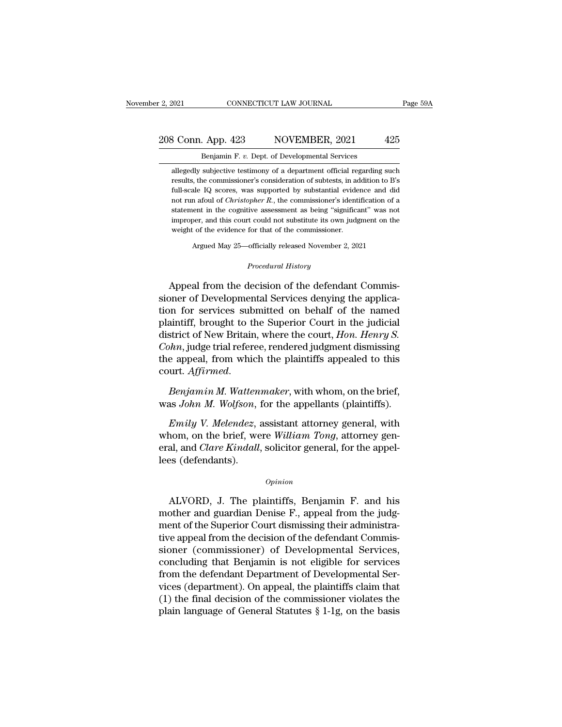3 Conn. App. 423 NOVEMBER, 2021 425<br>Benjamin F. v. Dept. of Developmental Services<br>allegedly subjective testimony of a department official regarding such<br>results, the commissioner's consideration of subtests, in addition t 8 Conn. App. 423 NOVEMBER, 2021 425<br>Benjamin F. v. Dept. of Developmental Services<br>allegedly subjective testimony of a department official regarding such<br>results, the commissioner's consideration of subtests, in addition t Full-scale IQ scores, was supported by substantial evidence and didentified IQ scores, was supported by substantial evidence and didence and didence and didence and didence and didence and didence and didence and didence **Example 12**<br>Benjamin F. v. Dept. of Developmental Services<br>allegedly subjective testimony of a department official regarding such<br>results, the commissioner's consideration of subtests, in addition to B's<br>full-scale IQ sco Benjamin F.  $v$ . Dept. of Developmental Services<br>allegedly subjective testimony of a department official regarding such<br>results, the commissioner's consideration of subtests, in addition to B's<br>full-scale IQ scores, was s allegedly subjective testimony of a department official regarding such results, the commissioner's consideration of subtests, in addition to B's full-scale IQ scores, was supported by substantial evidence and did not run a results, the commissioner's consideration of subtests, in additional full-scale IQ scores, was supported by substantial evide<br>not run afoul of *Christopher R*., the commissioner's identitions at the cognitive assessment a full-scale IQ scores, was supported by substantial evidence and did not run a<br>foul of *Christopher R*., the commissioner's identification of a statement in the cognitive assessment as being "significant" was not improper,

Argued May 25—officially released November 2, 2021<br>*Procedural History*<br>Appeal from the decision of the defendant Commisstatement in the cognitive assessment as being "significant" was not<br>improper, and this court could not substitute its own judgment on the<br>weight of the evidence for that of the commissioner.<br>Argued May 25—officially relea single of the evidence for that of the commissioner.<br>Argued May 25—officially released November 2, 2021<br>*Procedural History*<br>Appeal from the decision of the defendant Commissioner of Developmental Services denying the appl Argued May 25—officially released November 2, 2021<br>
Procedural History<br>
Appeal from the decision of the defendant Commis-<br>
sioner of Developmental Services denying the applica-<br>
tion for services submitted on behalf of the procedural History<br>
Procedural History<br>
Procedural History<br>
Signed from the decision of the defendant Commis-<br>
sioner of Developmental Services denying the applica-<br>
tion for services submitted on behalf of the named<br>
plai *Procedural History*<br>Appeal from the decision of the defendant Commissioner of Developmental Services denying the applica-<br>tion for services submitted on behalf of the named<br>plaintiff, brought to the Superior Court in the Appeal from the decision of the defendant Commissioner of Developmental Services denying the application for services submitted on behalf of the named plaintiff, brought to the Superior Court in the judicial district of Ne Appeal from the decision of the defendant Commissioner of Developmental Services denying the application for services submitted on behalf of the named plaintiff, brought to the Superior Court in the judicial district of Ne plaintiff, brought to the Superior Court in the judicial<br>district of New Britain, where the court, *Hon. Henry S.*<br>Cohn, judge trial referee, rendered judgment dismissing<br>the appeal, from which the plaintiffs appealed to t district of New Britain, where the court, *Hon. Henry S.*<br> *Cohn*, judge trial referee, rendered judgment dismissing<br>
the appeal, from which the plaintiffs appealed to this<br>
court. Affirmed.<br> *Benjamin M. Wattenmaker*, wit *IFM*, judge that fereree, rendered judgment dishussing<br>
e appeal, from which the plaintiffs appealed to this<br>
urt. *Affirmed.*<br> *Benjamin M. Wattenmaker*, with whom, on the brief,<br>
as John M. Wolfson, for the appellants (

the appear, front which the plaintins appeared to this<br>court. *Affirmed.*<br>*Benjamin M. Wolfson*, for the appellants (plaintiffs).<br>*Emily V. Melendez*, assistant attorney general, with<br>whom, on the brief, were *William Tong* eral, *Court. Affermed.*<br> *Benjamin M. Wattenmaker*, with whom, on the brief, was *John M. Wolfson*, for the appellants (plaintiffs).<br> *Emily V. Melendez*, assistant attorney general, with whom, on the brief, were *William* Benjamin M. Watten<br>was John M. Wolfson,<br>Emily V. Melendez,<br>whom, on the brief, we<br>eral, and Clare Kindall,<br>lees (defendants). Emay v. meteratez, assistant attorney general, whith<br>nom, on the brief, were William Tong, attorney gen-<br>al, and *Clare Kindall*, solicitor general, for the appel-<br>es (defendants).<br>*Opinion*<br>ALVORD, J. The plaintiffs, Benj

### *Opinion*

mont, on the brief, were *watam Tong*, attorney general, and *Clare Kindall*, solicitor general, for the appel-<br>lees (defendants).<br>*Opinion*<br>ALVORD, J. The plaintiffs, Benjamin F. and his<br>mother and guardian Denise F., app eral, and *cure Kinadal*, solicitor general, for the apper-<br>lees (defendants).<br>*Opinion*<br>ALVORD, J. The plaintiffs, Benjamin F. and his<br>mother and guardian Denise F., appeal from the judg-<br>ment of the Superior Court dismis opinion<br>
MLVORD, J. The plaintiffs, Benjamin F. and his<br>
mother and guardian Denise F., appeal from the judg-<br>
ment of the Superior Court dismissing their administra-<br>
tive appeal from the decision of the defendant Commisopinion<br>
Surface Commissioner (ALVORD, J. The plaintiffs, Benjamin F. and his<br>
mother and guardian Denise F., appeal from the judg-<br>
ment of the Superior Court dismissing their administra-<br>
tive appeal from the decision of ALVORD, J. The plaintiffs, Benjamin F. and his<br>mother and guardian Denise F., appeal from the judg-<br>ment of the Superior Court dismissing their administra-<br>tive appeal from the decision of the defendant Commis-<br>sioner (com ALVORD, J. The plaintiffs, Benjamin F. and his<br>mother and guardian Denise F., appeal from the judg-<br>ment of the Superior Court dismissing their administra-<br>tive appeal from the decision of the defendant Commis-<br>sioner (com mother and guardian Denise F., appeal from the judg-<br>ment of the Superior Court dismissing their administra-<br>tive appeal from the decision of the defendant Commis-<br>sioner (commissioner) of Developmental Services<br>concluding ment of the Superior Court dismissing their administrative appeal from the decision of the defendant Commissioner (commissioner) of Developmental Services, concluding that Benjamin is not eligible for services from the de tive appeal from the decision of the defendant Commissioner (commissioner) of Developmental Services, concluding that Benjamin is not eligible for services from the defendant Department of Developmental Services (departmen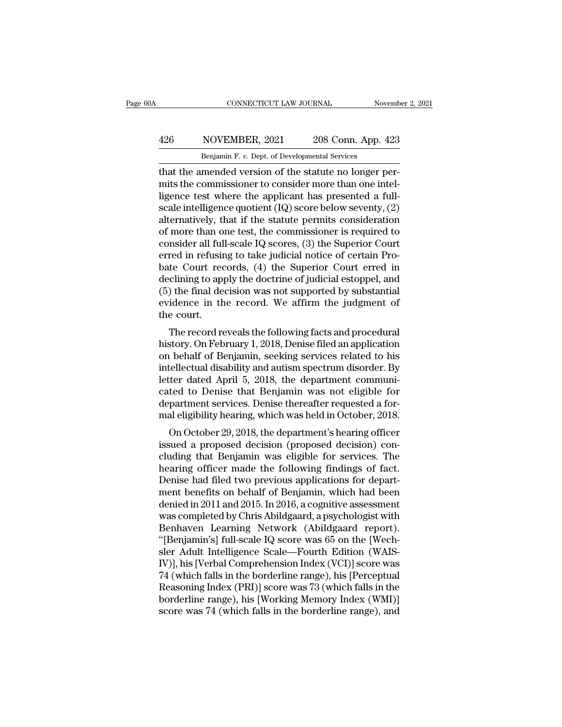## EXECUTE CONNECTICUT LAW JOURNAL Movember 2, 2021<br>App. 426 NOVEMBER, 2021 208 Conn. App. 423<br>Benjamin F. v. Dept. of Developmental Services CONNECTICUT LAW JOURNAL Nov<br>
NOVEMBER, 2021 208 Conn. App. 4<br>
Benjamin F. *v.* Dept. of Developmental Services<br>
mended version of the statute no longer r

CONNECTICUT LAW JOURNAL November November November 2008<br>
426 NOVEMBER, 2021 208 Conn. App. 423<br>
208 Conn. App. 423<br>
208 Conn. App. 423<br>
208 Conn. App. 423<br>
208 Conn. App. 423<br>
208 Conn. App. 423<br>
208 Conn. App. 423<br>
208 Co 426 NOVEMBER, 2021 208 Conn. App. 423<br>Benjamin F. v. Dept. of Developmental Services<br>that the amended version of the statute no longer per-<br>mits the commissioner to consider more than one intel-<br>ligence test where the app 426 NOVEMBER, 2021 208 Conn. App. 423<br>
Benjamin F. v. Dept. of Developmental Services<br>
that the amended version of the statute no longer per-<br>
mits the commissioner to consider more than one intel-<br>
ligence test where the  $\frac{426}{\text{Benjamin F. } v. \text{ Dept. of Developmental Services}}$ <br>
Henjamin F. v. Dept. of Developmental Services<br>
that the amended version of the statute no longer per-<br>
mits the commissioner to consider more than one intel-<br>
ligence test where the applica Benjamin F. v. Dept. of Developmental Services<br>that the amended version of the statute no longer per-<br>mits the commissioner to consider more than one intel-<br>ligence test where the applicant has presented a full-<br>scale int Benjamin F. v. Dept. of Developmental Services<br>that the amended version of the statute no longer per-<br>mits the commissioner to consider more than one intel-<br>ligence test where the applicant has presented a full-<br>scale int that the amended version of the statute no longer per-<br>mits the commissioner to consider more than one intel-<br>ligence test where the applicant has presented a full-<br>scale intelligence quotient (IQ) score below seventy, (2) mits the commissioner to consider more than one intel-<br>ligence test where the applicant has presented a full-<br>scale intelligence quotient (IQ) score below seventy, (2)<br>alternatively, that if the statute permits considerati ligence test where the applicant has presented a full-<br>scale intelligence quotient  $(IQ)$  score below seventy,  $(2)$ <br>alternatively, that if the statute permits consideration<br>of more than one test, the commissioner is requi scale intelligence quotient (IQ) score below seventy, (2)<br>alternatively, that if the statute permits consideration<br>of more than one test, the commissioner is required to<br>consider all full-scale IQ scores, (3) the Superior alternatively, that if the statute permits consideration<br>of more than one test, the commissioner is required to<br>consider all full-scale IQ scores, (3) the Superior Court<br>erred in refusing to take judicial notice of certain of more than one test, the commissioner is required to consider all full-scale IQ scores, (3) the Superior Court erred in refusing to take judicial notice of certain Probate Court records, (4) the Superior Court erred in d consider all ful<br>erred in refusin<br>bate Court rec<br>declining to ap<br>(5) the final de<br>evidence in th<br>the court.<br>The record re The record reveals (4) the Superior Court erred in<br>clining to apply the doctrine of judicial estoppel, and<br>of the final decision was not supported by substantial<br>idence in the record. We affirm the judgment of<br>e court.<br>The bate Court records, (4) the superior Court erred in<br>declining to apply the doctrine of judicial estoppel, and<br>(5) the final decision was not supported by substantial<br>evidence in the record. We affirm the judgment of<br>the co

declining to apply the doctrine of judicial estopper, and<br>
(5) the final decision was not supported by substantial<br>
evidence in the record. We affirm the judgment of<br>
the court.<br>
The record reveals the following facts and (b) the final decision was not supported by substantial<br>evidence in the record. We affirm the judgment of<br>the court.<br>The record reveals the following facts and procedural<br>history. On February 1, 2018, Denise filed an appli revidence in the record. We arritht the judgment of<br>the court.<br>The record reveals the following facts and procedural<br>history. On February 1, 2018, Denise filed an application<br>on behalf of Benjamin, seeking services related The record reveals the following facts and procedural<br>history. On February 1, 2018, Denise filed an application<br>on behalf of Benjamin, seeking services related to his<br>intellectual disability and autism spectrum disorder. B The record reveals the following facts and procedural<br>history. On February 1, 2018, Denise filed an application<br>on behalf of Benjamin, seeking services related to his<br>intellectual disability and autism spectrum disorder. B history. On February 1, 2018, Denise filed an application<br>on behalf of Benjamin, seeking services related to his<br>intellectual disability and autism spectrum disorder. By<br>letter dated April 5, 2018, the department communi-<br> Folenan of Berljamin, seeking services related to his<br>tellectual disability and autism spectrum disorder. By<br>ter dated April 5, 2018, the department communi-<br>ted to Denise that Benjamin was not eligible for<br>partment servic interlectual ulsability and addisin spectrum ulsorder. By<br>letter dated April 5, 2018, the department communi-<br>cated to Denise that Benjamin was not eligible for<br>department services. Denise thereafter requested a for-<br>mal e

retter dated April 5, 2018, the department communi-<br>cated to Denise that Benjamin was not eligible for<br>department services. Denise thereafter requested a for-<br>mal eligibility hearing, which was held in October, 2018.<br>On Oc cated to Denise that Benjamin was not engible for<br>department services. Denise thereafter requested a for-<br>mal eligibility hearing, which was held in October, 2018.<br>On October 29, 2018, the department's hearing officer<br>issu department services. Denise thereater requested a formal eligibility hearing, which was held in October, 2018.<br>On October 29, 2018, the department's hearing officer<br>issued a proposed decision (proposed decision) con-<br>cludi mal engionity nearing, which was neid in October, 2018.<br>
On October 29, 2018, the department's hearing officer<br>
issued a proposed decision (proposed decision) con-<br>
cluding that Benjamin was eligible for services. The<br>
hea On October 29, 2018, the department's hearing officer<br>issued a proposed decision (proposed decision) con-<br>cluding that Benjamin was eligible for services. The<br>hearing officer made the following findings of fact.<br>Denise had issued a proposed decision (proposed decision) concluding that Benjamin was eligible for services. The<br>hearing officer made the following findings of fact.<br>Denise had filed two previous applications for depart-<br>ment benefi cluding that Benjamin was eligible for services. The<br>hearing officer made the following findings of fact.<br>Denise had filed two previous applications for depart-<br>ment benefits on behalf of Benjamin, which had been<br>denied in hearing officer made the following findings of fact.<br>Denise had filed two previous applications for department benefits on behalf of Benjamin, which had been<br>denied in 2011 and 2015. In 2016, a cognitive assessment<br>was com Denise had filed two previous applications for department benefits on behalf of Benjamin, which had been<br>denied in 2011 and 2015. In 2016, a cognitive assessment<br>was completed by Chris Abildgaard, a psychologist with<br>Benha ment benefits on behalf of Benjamin, which had been<br>denied in 2011 and 2015. In 2016, a cognitive assessment<br>was completed by Chris Abildgaard, a psychologist with<br>Benhaven Learning Network (Abildgaard report).<br>"[Benjamin' denied in 2011 and 2015. In 2016, a cognitive assessment<br>was completed by Chris Abildgaard, a psychologist with<br>Benhaven Learning Network (Abildgaard report).<br>"[Benjamin's] full-scale IQ score was 65 on the [Wech-<br>sler Adu was completed by Chris Abildgaard, a psychologist with<br>Benhaven Learning Network (Abildgaard report).<br>"[Benjamin's] full-scale IQ score was 65 on the [Wech-<br>sler Adult Intelligence Scale—Fourth Edition (WAIS-<br>IV)], his [Ve Benhaven Learning Network (Abildgaard report).<br>"[Benjamin's] full-scale IQ score was 65 on the [Wech-sler Adult Intelligence Scale—Fourth Edition (WAIS-IV)], his [Verbal Comprehension Index (VCI)] score was<br>74 (which falls "[Benjamin's] full-scale IQ score was 65 on the [Wech-sler Adult Intelligence Scale—Fourth Edition (WAIS-IV)], his [Verbal Comprehension Index (VCI)] score was 74 (which falls in the borderline range), his [Perceptual Reas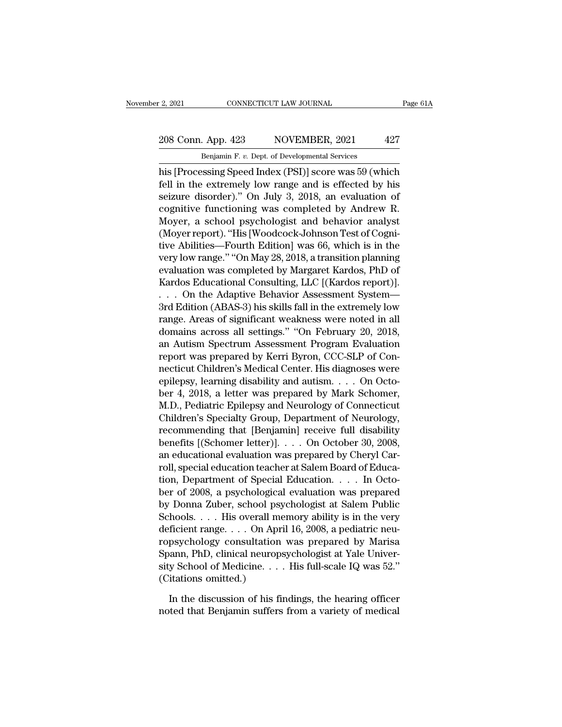# 2, 2021 CONNECTICUT LAW JOURNAL Page 61A<br>208 Conn. App. 423 NOVEMBER, 2021 427<br>Benjamin F. v. Dept. of Developmental Services

r 2, 2021 CONNECTICUT LAW JOURNAL<br>
208 Conn. App. 423 NOVEMBER, 2021 427<br>
Benjamin F. *v.* Dept. of Developmental Services<br>
his [Processing Speed Index (PSI)] score was 59 (which Page 61A<br>
208 Conn. App. 423 NOVEMBER, 2021 427<br>
Benjamin F. v. Dept. of Developmental Services<br>
his [Processing Speed Index (PSI)] score was 59 (which<br>
fell in the extremely low range and is effected by his 208 Conn. App. 423 NOVEMBER, 2021 427<br>Benjamin F. v. Dept. of Developmental Services<br>his [Processing Speed Index (PSI)] score was 59 (which<br>fell in the extremely low range and is effected by his<br>seizure disorder)." On July 208 Conn. App. 423 NOVEMBER, 2021 427<br>
Benjamin F. v. Dept. of Developmental Services<br>
his [Processing Speed Index (PSI)] score was 59 (which<br>
fell in the extremely low range and is effected by his<br>
seizure disorder)." On 208 Conn. App. 423 NOVEMBER, 2021 427<br>
Benjamin F. v. Dept. of Developmental Services<br>
his [Processing Speed Index (PSI)] score was 59 (which<br>
fell in the extremely low range and is effected by his<br>
seizure disorder)." On Benjamin F. v. Dept. of Developmental Services<br>his [Processing Speed Index (PSI)] score was 59 (which<br>fell in the extremely low range and is effected by his<br>seizure disorder)." On July 3, 2018, an evaluation of<br>cognitive f Benjamin F. *i.* Bept. of Beveropmental services<br>his [Processing Speed Index (PSI)] score was 59 (which<br>fell in the extremely low range and is effected by his<br>seizure disorder)." On July 3, 2018, an evaluation of<br>cognitive his [Processing Speed Index (PSI)] score was 59 (which<br>fell in the extremely low range and is effected by his<br>seizure disorder)." On July 3, 2018, an evaluation of<br>cognitive functioning was completed by Andrew R.<br>Moyer, a fell in the extremely low range and is effected by his<br>seizure disorder)." On July 3, 2018, an evaluation of<br>cognitive functioning was completed by Andrew R.<br>Moyer, a school psychologist and behavior analyst<br>(Moyer report) seizure disorder)." On July 3, 2018, an evaluation of<br>cognitive functioning was completed by Andrew R.<br>Moyer, a school psychologist and behavior analyst<br>(Moyer report). "His [Woodcock-Johnson Test of Cogni-<br>tive Abilities cognitive functioning was completed by Andrew R.<br>Moyer, a school psychologist and behavior analyst<br>(Moyer report). "His [Woodcock-Johnson Test of Cogni-<br>tive Abilities—Fourth Edition] was 66, which is in the<br>very low range Moyer, a school psychologist and behavior analyst<br>(Moyer report). "His [Woodcock-Johnson Test of Cogni-<br>tive Abilities—Fourth Edition] was 66, which is in the<br>very low range." "On May 28, 2018, a transition planning<br>evalua (Moyer report). "His [Woodcock-Johnson Test of Cognitive Abilities—Fourth Edition] was 66, which is in the<br>very low range." "On May 28, 2018, a transition planning<br>evaluation was completed by Margaret Kardos, PhD of<br>Kardos tive Abilities—Fourth Edition] was 66, which is in the<br>very low range." "On May 28, 2018, a transition planning<br>evaluation was completed by Margaret Kardos, PhD of<br>Kardos Educational Consulting, LLC [(Kardos report)].<br>. . very low range." "On May 28, 2018, a transition planning<br>evaluation was completed by Margaret Kardos, PhD of<br>Kardos Educational Consulting, LLC [(Kardos report)].<br>. . . . On the Adaptive Behavior Assessment System—<br>3rd Edi evaluation was completed by Margaret Kardos, PhD of<br>Kardos Educational Consulting, LLC [(Kardos report)].<br>. . . On the Adaptive Behavior Assessment System—<br>3rd Edition (ABAS-3) his skills fall in the extremely low<br>range. A Kardos Educational Consulting, LLC [(Kardos report)].<br>
. . . On the Adaptive Behavior Assessment System—<br>
3rd Edition (ABAS-3) his skills fall in the extremely low<br>
range. Areas of significant weakness were noted in all<br>
d . . . On the Adaptive Behavior Assessment System—<br>3rd Edition (ABAS-3) his skills fall in the extremely low<br>range. Areas of significant weakness were noted in all<br>domains across all settings." "On February 20, 2018,<br>an Aut 3rd Edition (ABAS-3) his skills fall in the extremely low<br>range. Areas of significant weakness were noted in all<br>domains across all settings." "On February 20, 2018,<br>an Autism Spectrum Assessment Program Evaluation<br>report range. Areas of significant weakness were noted in all<br>domains across all settings." "On February 20, 2018,<br>an Autism Spectrum Assessment Program Evaluation<br>report was prepared by Kerri Byron, CCC-SLP of Con-<br>necticut Chil domains across all settings." "On February 20, 2018,<br>an Autism Spectrum Assessment Program Evaluation<br>report was prepared by Kerri Byron, CCC-SLP of Con-<br>necticut Children's Medical Center. His diagnoses were<br>epilepsy, lea an Autism Spectrum Assessment Program Evaluation<br>report was prepared by Kerri Byron, CCC-SLP of Con-<br>necticut Children's Medical Center. His diagnoses were<br>epilepsy, learning disability and autism. . . . On Octo-<br>ber 4, 20 report was prepared by Kerri Byron, CCC-SLP of Con-<br>necticut Children's Medical Center. His diagnoses were<br>epilepsy, learning disability and autism. . . . On Octo-<br>ber 4, 2018, a letter was prepared by Mark Schomer,<br>M.D., necticut Children's Medical Center. His diagnoses were<br>epilepsy, learning disability and autism. . . . On Octo-<br>ber 4, 2018, a letter was prepared by Mark Schomer,<br>M.D., Pediatric Epilepsy and Neurology of Connecticut<br>Chil epilepsy, learning disability and autism. . . . On October 4, 2018, a letter was prepared by Mark Schomer,<br>M.D., Pediatric Epilepsy and Neurology of Connecticut<br>Children's Specialty Group, Department of Neurology,<br>recommen ber 4, 2018, a letter was prepared by Mark Schomer,<br>M.D., Pediatric Epilepsy and Neurology of Connecticut<br>Children's Specialty Group, Department of Neurology,<br>recommending that [Benjamin] receive full disability<br>benefits [ M.D., Pediatric Epilepsy and Neurology of Connecticut<br>Children's Specialty Group, Department of Neurology,<br>recommending that [Benjamin] receive full disability<br>benefits [(Schomer letter)]. . . . On October 30, 2008,<br>an edu Children's Specialty Group, Department of Neurology,<br>recommending that [Benjamin] receive full disability<br>benefits [(Schomer letter)]. . . . On October 30, 2008,<br>an educational evaluation was prepared by Cheryl Car-<br>roll, recommending that [Benjamin] receive full disability<br>benefits [(Schomer letter)]. . . . On October 30, 2008,<br>an educational evaluation was prepared by Cheryl Car-<br>roll, special education teacher at Salem Board of Educa-<br>ti benefits [(Schomer letter)]. . . . On October 30, 2008,<br>an educational evaluation was prepared by Cheryl Car-<br>roll, special education teacher at Salem Board of Educa-<br>tion, Department of Special Education. . . . In Octo-<br>b an educational evaluation was prepared by Cheryl Carroll, special education teacher at Salem Board of Education, Department of Special Education. . . . In October of 2008, a psychological evaluation was prepared by Donna Z roll, special education teacher at Salem Board of Education, Department of Special Education. . . . In October of 2008, a psychological evaluation was prepared by Donna Zuber, school psychologist at Salem Public Schools. . tion, Department of Special Education. . . . In October of 2008, a psychological evaluation was prepared<br>by Donna Zuber, school psychologist at Salem Public<br>Schools. . . . His overall memory ability is in the very<br>deficie ber of 2008, a psychological evaluation was prepared<br>by Donna Zuber, school psychologist at Salem Public<br>Schools. . . . His overall memory ability is in the very<br>deficient range. . . . On April 16, 2008, a pediatric neu-<br>r by Donna Zuber, school ps;<br>Schools. . . . His overall medicient range. . . . On Apr<br>ropsychology consultation<br>Spann, PhD, clinical neurop<br>sity School of Medicine. . .<br>(Citations omitted.)<br>In the discussion of his fi ficient range. . . . On April 16, 2008, a pediatric neu-<br>psychology consultation was prepared by Marisa<br>aann, PhD, clinical neuropsychologist at Yale Univer-<br>y School of Medicine. . . . His full-scale IQ was 52."<br>itations noted that Benjamin suffers from a variety of medical sum. PhD, clinical neuropsychologist at Yale University School of Medicine. . . . His full-scale IQ was 52."<br>(Citations omitted.)<br>In the discussion of his findings, the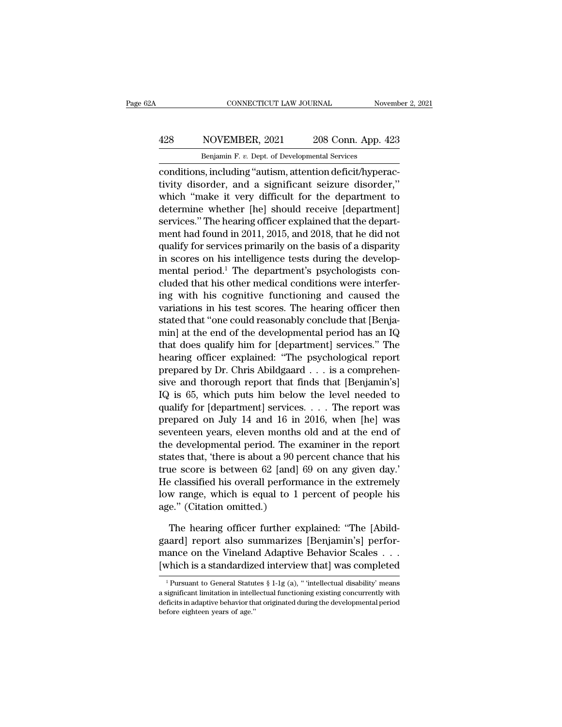## EXECUTE CONNECTICUT LAW JOURNAL Movember 2, 2021<br>App. 428 NOVEMBER, 2021 208 Conn. App. 423<br>Benjamin F. v. Dept. of Developmental Services CONNECTICUT LAW JOURNAL Nov<br>
NOVEMBER, 2021 208 Conn. App. 4<br>
Benjamin F. *v.* Dept. of Developmental Services<br>
s including "autism attention deficit/hyper

CONNECTICUT LAW JOURNAL November<br>
128 NOVEMBER, 2021 208 Conn. App. 423<br>
Benjamin F. v. Dept. of Developmental Services<br>
conditions, including "autism, attention deficit/hyperac-<br>
tivity disorder, and a significant seizure 128 NOVEMBER, 2021 208 Conn. App. 423<br>
Benjamin F. v. Dept. of Developmental Services<br>
conditions, including "autism, attention deficit/hyperac-<br>
tivity disorder, and a significant seizure disorder,"<br>
which "make it very d  $\frac{428}{\text{Benjamin F. v. Dept. of Developmental Services}}$ <br>
Elenjamin F. v. Dept. of Developmental Services<br>
conditions, including "autism, attention deficit/hyperac-<br>
tivity disorder, and a significant seizure disorder,"<br>
which "make it very difficult f 428 NOVEMBER, 2021 208 Conn. App. 423<br>
Benjamin F. v. Dept. of Developmental Services<br>
conditions, including "autism, attention deficit/hyperac-<br>
tivity disorder, and a significant seizure disorder,"<br>
which "make it very Benjamin F. v. Dept. of Developmental Services<br>
conditions, including "autism, attention deficit/hyperac-<br>
tivity disorder, and a significant seizure disorder,"<br>
which "make it very difficult for the department to<br>
determ mentions, including "autism, attention deficit/hyperactivity disorder, and a significant seizure disorder,"<br>which "make it very difficult for the department to<br>determine whether [he] should receive [department]<br>services." conditions, including "autism, attention deficit/hyperactivity disorder, and a significant seizure disorder,"<br>which "make it very difficult for the department to<br>determine whether [he] should receive [department]<br>services. tivity disorder, and a significant seizure disorder,"<br>which "make it very difficult for the department to<br>determine whether [he] should receive [department]<br>services." The hearing officer explained that the depart-<br>ment ha which "make it very difficult for the department to<br>determine whether [he] should receive [department]<br>services." The hearing officer explained that the depart-<br>ment had found in 2011, 2015, and 2018, that he did not<br>quali determine whether [he] should receive [department]<br>services." The hearing officer explained that the depart-<br>ment had found in 2011, 2015, and 2018, that he did not<br>qualify for services primarily on the basis of a disparit services." The hearing officer explained that the depart-<br>ment had found in 2011, 2015, and 2018, that he did not<br>qualify for services primarily on the basis of a disparity<br>in scores on his intelligence tests during the de ment had found in 2011, 2015, and 2018, that he did not<br>qualify for services primarily on the basis of a disparity<br>in scores on his intelligence tests during the develop-<br>mental period.<sup>1</sup> The department's psychologists co quality for services primarily on the basis of a disparity<br>in scores on his intelligence tests during the develop-<br>mental period.<sup>1</sup> The department's psychologists con-<br>cluded that his other medical conditions were interf in scores on his intelligence tests during the develop-<br>mental period.<sup>1</sup> The department's psychologists con-<br>cluded that his other medical conditions were interfer-<br>ing with his cognitive functioning and caused the<br>variat mental period.<sup>1</sup> The department's psychologists con-<br>cluded that his other medical conditions were interfer-<br>ing with his cognitive functioning and caused the<br>variations in his test scores. The hearing officer then<br>stated cluded that his other medical conditions were interfer-<br>ing with his cognitive functioning and caused the<br>variations in his test scores. The hearing officer then<br>stated that "one could reasonably conclude that [Benja-<br>min] ing with his cognitive functioning and caused the<br>variations in his test scores. The hearing officer then<br>stated that "one could reasonably conclude that [Benja-<br>min] at the end of the developmental period has an IQ<br>that variations in his test scores. The hearing officer then<br>stated that "one could reasonably conclude that [Benja-<br>min] at the end of the developmental period has an IQ<br>that does qualify him for [department] services." The<br>he stated that "one could reasonably conclude that [Ben<sub>Ja-</sub><br>min] at the end of the developmental period has an IQ<br>that does qualify him for [department] services." The<br>hearing officer explained: "The psychological report<br>pre min] at the end of the developmental period has an IQ<br>that does qualify him for [department] services." The<br>hearing officer explained: "The psychological report<br>prepared by Dr. Chris Abildgaard . . . is a comprehen-<br>sive a that does quality him for [department] services." The<br>hearing officer explained: "The psychological report<br>prepared by Dr. Chris Abildgaard . . . is a comprehen-<br>sive and thorough report that finds that [Benjamin's]<br>IQ is hearing officer explained: "The psychological report<br>prepared by Dr. Chris Abildgaard . . . is a comprehen-<br>sive and thorough report that finds that [Benjamin's]<br>IQ is 65, which puts him below the level needed to<br>qualify prepared by Dr. Chris Abildgaard . . . is a comprehensive and thorough report that finds that [Benjamin's] IQ is 65, which puts him below the level needed to qualify for [department] services. . . . The report was prepare sive and thorough report that finds that [Benjamin's]<br>IQ is 65, which puts him below the level needed to<br>qualify for [department] services. . . . The report was<br>prepared on July 14 and 16 in 2016, when [he] was<br>seventeen IQ is 65, which puts him below the level needed to<br>qualify for [department] services. . . . The report was<br>prepared on July 14 and 16 in 2016, when [he] was<br>seventeen years, eleven months old and at the end of<br>the develop quality for [department] services. . . . The report was<br>prepared on July 14 and 16 in 2016, when [he] was<br>seventeen years, eleven months old and at the end of<br>the developmental period. The examiner in the report<br>states tha prepared on July 14 and 16 in 2016, when [he] was<br>seventeen years, eleven months old and at the end of<br>the developmental period. The examiner in the report<br>states that, 'there is about a 90 percent chance that his<br>true sco seventeen years, eleven months<br>the developmental period. The e<br>states that, 'there is about a 90 p<br>true score is between 62 [and]<br>He classified his overall perform<br>low range, which is equal to 1<br>age." (Citation omitted.)<br>T ates that, 'there is about a 90 percent chance that his<br>
ie score is between 62 [and] 69 on any given day.'<br>
e classified his overall performance in the extremely<br>
w range, which is equal to 1 percent of people his<br>
e." (C true score is between 62 [and] 69 on any given day.'<br>He classified his overall performance in the extremely<br>low range, which is equal to 1 percent of people his<br>age.'' (Citation omitted.)<br>The hearing officer further explai

He classified his overall performance in the extremely<br>low range, which is equal to 1 percent of people his<br>age." (Citation omitted.)<br>The hearing officer further explained: "The [Abild-<br>gaard] report also summarizes [Benja low range, which is equal to 1 percent of people his<br>age." (Citation omitted.)<br>The hearing officer further explained: "The [Abild-<br>gaard] report also summarizes [Benjamin's] perfor-<br>mance on the Vineland Adaptive Behavior The hearing officer further explained: "The [Abildgaard] report also summarizes [Benjamin's] performance on the Vineland Adaptive Behavior Scales . . . [which is a standardized interview that] was completed  $\frac{1}{1}$  Purs gaard] report also summarizes [Benjamin's] perfor-<br>mance on the Vineland Adaptive Behavior Scales . . .<br>[which is a standardized interview that] was completed<br> $\frac{1}{1}$ Pursuant to General Statutes § 1-1g (a), " 'intellect

mance on the Vineland Adaptive Behavior Scales . . . . [which is a standardized interview that] was completed<br> $\frac{1}{1}$ Pursuant to General Statutes § 1-1g (a), "intellectual disability' means a significant limitation in i  $[which is a standardize \label{eq:optimal} \begin{tabular}{c} \hline \textbf{``Pursuant to General Statut} \\ \hline \textbf{^{4}}\textbf{~Pursuant to General Statut} \\ \hline \textbf{deficits in adaptive behavior the} \\ \hline \textbf{before eighteen years of age.} \end{tabular}$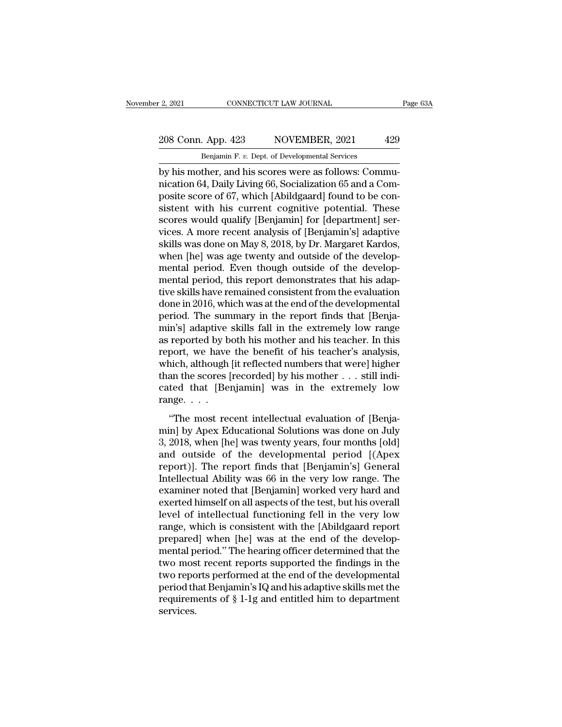2, 2021 CONNECTICUT LAW JOURNAL<br>
208 Conn. App. 423 NOVEMBER, 2021 429<br>
Benjamin F. v. Dept. of Developmental Services<br>
by his mother, and his scores were as follows: Commu-<br>
nication 64, Daily Living 66, Socialization 65 208 Conn. App. 423 NOVEMBER, 2021 429<br>
Benjamin F. v. Dept. of Developmental Services<br>
by his mother, and his scores were as follows: Commu-<br>
nication 64, Daily Living 66, Socialization 65 and a Com-<br>
posite score of 67, w 208 Conn. App. 423 NOVEMBER, 2021 429<br>
Benjamin F. v. Dept. of Developmental Services<br>
by his mother, and his scores were as follows: Communication 64, Daily Living 66, Socialization 65 and a Com-<br>
posite score of 67, whic 208 Conn. App. 423 NOVEMBER, 2021 429<br>
Benjamin F. v. Dept. of Developmental Services<br>
by his mother, and his scores were as follows: Commu-<br>
nication 64, Daily Living 66, Socialization 65 and a Com-<br>
posite score of 67, w Benjamin F. v. Dept. of Developmental Services<br>by his mother, and his scores were as follows: Commu-<br>nication 64, Daily Living 66, Socialization 65 and a Com-<br>posite score of 67, which [Abildgaard] found to be con-<br>sistent Benjamin F. v. Dept. of Developmental Services<br>by his mother, and his scores were as follows: Commu-<br>nication 64, Daily Living 66, Socialization 65 and a Com-<br>posite score of 67, which [Abildgaard] found to be con-<br>sistent by his mother, and his scores were as follows: Communication 64, Daily Living 66, Socialization 65 and a Composite score of 67, which [Abildgaard] found to be consistent with his current cognitive potential. These scores w nication 64, Daily Living 66, Socialization 65 and a Composite score of 67, which [Abildgaard] found to be consistent with his current cognitive potential. These scores would qualify [Benjamin] for [department] services. A posite score of 67, which [Abildgaard] found to be consistent with his current cognitive potential. These<br>scores would qualify [Benjamin] for [department] services. A more recent analysis of [Benjamin's] adaptive<br>skills wa sistent with his current cognitive potential. These<br>scores would qualify [Benjamin] for [department] ser-<br>vices. A more recent analysis of [Benjamin's] adaptive<br>skills was done on May 8, 2018, by Dr. Margaret Kardos,<br>when scores would qualify [Benjamin] for [department] services. A more recent analysis of [Benjamin's] adaptive<br>skills was done on May 8, 2018, by Dr. Margaret Kardos,<br>when [he] was age twenty and outside of the develop-<br>mental vices. A more recent analysis of [Benjamin's] adaptive<br>skills was done on May 8, 2018, by Dr. Margaret Kardos,<br>when [he] was age twenty and outside of the develop-<br>mental period. Even though outside of the develop-<br>mental skills was done on May 8, 2018, by Dr. Margaret Kardos,<br>when [he] was age twenty and outside of the develop-<br>mental period. Even though outside of the develop-<br>mental period, this report demonstrates that his adap-<br>tive sk when [he] was age twenty and outside of the develop-<br>mental period. Even though outside of the develop-<br>mental period, this report demonstrates that his adap-<br>tive skills have remained consistent from the evaluation<br>done i mental period. Even though outside of the develop-<br>mental period, this report demonstrates that his adap-<br>tive skills have remained consistent from the evaluation<br>done in 2016, which was at the end of the developmental<br>per mental period, this report demonstrates that his adaptive skills have remained consistent from the evaluation<br>done in 2016, which was at the end of the developmental<br>period. The summary in the report finds that [Benja-<br>min tive skills have remained consistent from the evaluation<br>done in 2016, which was at the end of the developmental<br>period. The summary in the report finds that [Benja-<br>min's] adaptive skills fall in the extremely low range<br>a done in 2016, which was at the end of the developmental<br>period. The summary in the report finds that [Benja-<br>min's] adaptive skills fall in the extremely low range<br>as reported by both his mother and his teacher's analysis, period. The summary in the report finds that [Benjamin's] adaptive skills fall in the extremely low range as reported by both his mother and his teacher. In this report, we have the benefit of his teacher's analysis, whic min's] adaptive<br>as reported by b<br>report, we have<br>which, although<br>than the scores [<br>cated that [Ber<br>range.... Teported by boart instituted into the teacher's analysis,<br>port, we have the benefit of his teacher's analysis,<br>inich, although [it reflected numbers that were] higher<br>an the scores [recorded] by his mother . . . still indi report, we have also benefit of his teacher's analysis,<br>which, although [it reflected numbers that were] higher<br>than the scores [recorded] by his mother  $\dots$  still indi-<br>cated that [Benjamin] was in the extremely low<br>rang

when, allocated handless and were jugated<br>than the scores [recorded] by his mother  $\dots$  still indi-<br>cated that [Benjamin] was in the extremely low<br>range.  $\dots$ <br>"The most recent intellectual evaluation of [Benja-<br>min] by Ap cated that [Benjamin] was in the extremely low<br>range....<br>"The most recent intellectual evaluation of [Benja-<br>min] by Apex Educational Solutions was done on July<br>3, 2018, when [he] was twenty years, four months [old]<br>and o range. . . .<br>
"The most recent intellectual evaluation of [Benja-<br>
min] by Apex Educational Solutions was done on July<br>
3, 2018, when [he] was twenty years, four months [old]<br>
and outside of the developmental period [(Apex The most recent intellectual evaluation of [Benja-<br>min] by Apex Educational Solutions was done on July<br>3, 2018, when [he] was twenty years, four months [old]<br>and outside of the developmental period [(Apex<br>report)]. The rep "The most recent intellectual evaluation of [Benja-<br>min] by Apex Educational Solutions was done on July<br>3, 2018, when [he] was twenty years, four months [old]<br>and outside of the developmental period [(Apex<br>report)]. The re min] by Apex Educational Solutions was done on July<br>3, 2018, when [he] was twenty years, four months [old]<br>and outside of the developmental period [(Apex<br>report)]. The report finds that [Benjamin's] General<br>Intellectual Ab 3, 2018, when [he] was twenty years, four months [old]<br>and outside of the developmental period [(Apex<br>report)]. The report finds that [Benjamin's] General<br>Intellectual Ability was 66 in the very low range. The<br>examiner not and outside of the developmental period [(Apex<br>report)]. The report finds that [Benjamin's] General<br>Intellectual Ability was 66 in the very low range. The<br>examiner noted that [Benjamin] worked very hard and<br>exerted himself report)]. The report finds that [Benjamin's] General<br>Intellectual Ability was 66 in the very low range. The<br>examiner noted that [Benjamin] worked very hard and<br>exerted himself on all aspects of the test, but his overall<br>le Intellectual Ability was 66 in the very low range. The<br>examiner noted that [Benjamin] worked very hard and<br>exerted himself on all aspects of the test, but his overall<br>level of intellectual functioning fell in the very low<br> examiner noted that [Benjamin] worked very hard and<br>exerted himself on all aspects of the test, but his overall<br>level of intellectual functioning fell in the very low<br>range, which is consistent with the [Abildgaard report<br> exerted himself on all aspects of the test, but his overall<br>level of intellectual functioning fell in the very low<br>range, which is consistent with the [Abildgaard report<br>prepared] when [he] was at the end of the develop-<br>m level of intellectual functioning fell in the very low<br>range, which is consistent with the [Abildgaard report<br>prepared] when [he] was at the end of the develop-<br>mental period." The hearing officer determined that the<br>two m range, which is consistent with the [Abildgaard report<br>prepared] when [he] was at the end of the develop-<br>mental period." The hearing officer determined that the<br>two most recent reports supported the findings in the<br>two re services.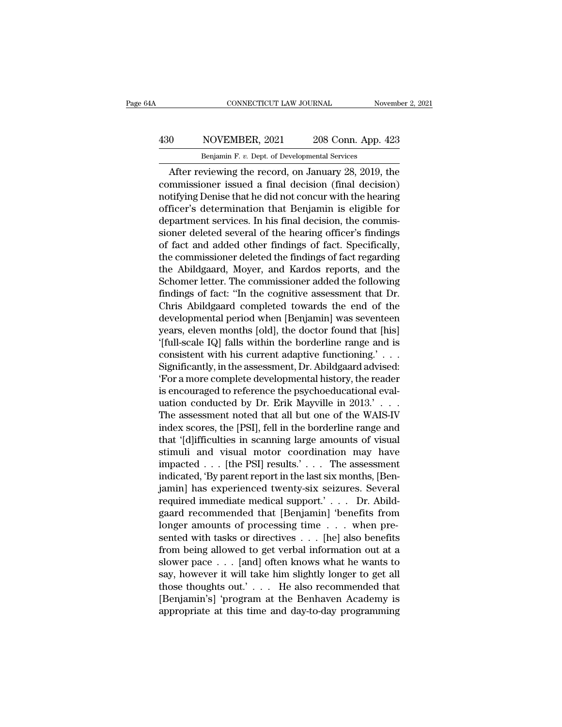## CONNECTICUT LAW JOURNAL November 2, 2021<br>
430 NOVEMBER, 2021 208 Conn. App. 423<br>
Benjamin F. v. Dept. of Developmental Services CONNECTICUT LAW JOURNAL November 2, 2021<br>Benjamin F. *v.* Dept. of Developmental Services<br>After reviewing the record, on January 28, 2019, the

CONNECTICUT LAW JOURNAL November 2, 2021<br>
0 NOVEMBER, 2021 208 Conn. App. 423<br>
Benjamin F. v. Dept. of Developmental Services<br>
After reviewing the record, on January 28, 2019, the<br>
mmissioner issued a final decision (final MOVEMBER, 2021 208 Conn. App. 423<br>
Benjamin F. v. Dept. of Developmental Services<br>
After reviewing the record, on January 28, 2019, the<br>
commissioner issued a final decision (final decision)<br>
notifying Denise that he did n 430 NOVEMBER, 2021 208 Conn. App. 423<br>
Benjamin F. v. Dept. of Developmental Services<br>
After reviewing the record, on January 28, 2019, the<br>
commissioner issued a final decision (final decision)<br>
notifying Denise that he ACTE ACTE ACTE 2021 208 Conn. App. 423<br>
Benjamin F. v. Dept. of Developmental Services<br>
After reviewing the record, on January 28, 2019, the<br>
commissioner issued a final decision (final decision)<br>
notifying Denise that he Benjamin F. v. Dept. of Developmental Services<br>After reviewing the record, on January 28, 2019, the<br>commissioner issued a final decision (final decision)<br>notifying Denise that he did not concur with the hearing<br>officer's d Bergamin F. *v.* Dept. of Developmental services<br>
After reviewing the record, on January 28, 2019, the<br>
commissioner issued a final decision (final decision)<br>
notifying Denise that he did not concur with the hearing<br>
offic After reviewing the record, on January 28, 2019, the<br>commissioner issued a final decision (final decision)<br>notifying Denise that he did not concur with the hearing<br>officer's determination that Benjamin is eligible for<br>depa commissioner issued a final decision (final decision)<br>notifying Denise that he did not concur with the hearing<br>officer's determination that Benjamin is eligible for<br>department services. In his final decision, the commis-<br>s notifying Denise that he did not concur with the hearing<br>officer's determination that Benjamin is eligible for<br>department services. In his final decision, the commis-<br>sioner deleted several of the hearing officer's finding officer's determination that Benjamin is eligible for<br>department services. In his final decision, the commis-<br>sioner deleted several of the hearing officer's findings<br>of fact and added other findings of fact. Specifically, department services. In his final decision, the commissioner deleted several of the hearing officer's findings<br>of fact and added other findings of fact. Specifically,<br>the commissioner deleted the findings of fact regarding sioner deleted several of the hearing officer's findings<br>of fact and added other findings of fact. Specifically,<br>the commissioner deleted the findings of fact regarding<br>the Abildgaard, Moyer, and Kardos reports, and the<br>Sc of fact and added other findings of fact. Specifically,<br>the commissioner deleted the findings of fact regarding<br>the Abildgaard, Moyer, and Kardos reports, and the<br>Schomer letter. The commissioner added the following<br>findin the commissioner deleted the findings of fact regarding<br>the Abildgaard, Moyer, and Kardos reports, and the<br>Schomer letter. The commissioner added the following<br>findings of fact: "In the cognitive assessment that Dr.<br>Chris the Abildgaard, Moyer, and Kardos reports, and the<br>Schomer letter. The commissioner added the following<br>findings of fact: "In the cognitive assessment that Dr.<br>Chris Abildgaard completed towards the end of the<br>developmenta Schomer letter. The commissioner added the following<br>findings of fact: "In the cognitive assessment that Dr.<br>Chris Abildgaard completed towards the end of the<br>developmental period when [Benjamin] was seventeen<br>years, eleve findings of fact: "In the cognitive assessment that Dr.<br>Chris Abildgaard completed towards the end of the<br>developmental period when [Benjamin] was seventeen<br>years, eleven months [old], the doctor found that [his]<br>'[full-sc Chris Abildgaard completed towards the end of the<br>developmental period when [Benjamin] was seventeen<br>years, eleven months [old], the doctor found that [his]<br>'[full-scale IQ] falls within the borderline range and is<br>consist developmental period when [Benjamin] was seventeen<br>years, eleven months [old], the doctor found that [his]<br>'[full-scale IQ] falls within the borderline range and is<br>consistent with his current adaptive functioning.' . . .<br> years, eleven months [old], the doctor found that [his]<br>'[full-scale IQ] falls within the borderline range and is<br>consistent with his current adaptive functioning.' . . .<br>Significantly, in the assessment, Dr. Abildgaard ad "[full-scale IQ] falls within the borderline range and is<br>consistent with his current adaptive functioning."  $\ldots$ <br>Significantly, in the assessment, Dr. Abildgaard advised:<br>"For a more complete developmental history, the consistent with his current adaptive functioning.' . . .<br>Significantly, in the assessment, Dr. Abildgaard advised:<br>'For a more complete developmental history, the reader<br>is encouraged to reference the psychoeducational eva Significantly, in the assessment, Dr. Abildgaard advised:<br>'For a more complete developmental history, the reader<br>is encouraged to reference the psychoeducational evaluation conducted by Dr. Erik Mayville in 2013.' . . .<br>Th "For a more complete developmental history, the reader<br>is encouraged to reference the psychoeducational eval-<br>uation conducted by Dr. Erik Mayville in 2013.' . . .<br>The assessment noted that all but one of the WAIS-IV<br>inde is encouraged to reference the psychoeducational evaluation conducted by Dr. Erik Mayville in 2013.' . . .<br>The assessment noted that all but one of the WAIS-IV<br>index scores, the [PSI], fell in the borderline range and<br>that uation conducted by Dr. Erik Mayville in 2013.' . . . The assessment noted that all but one of the WAIS-IV<br>index scores, the [PSI], fell in the borderline range and<br>that '[d]ifficulties in scanning large amounts of visual The assessment noted that all but one of the WAIS-IV<br>index scores, the [PSI], fell in the borderline range and<br>that '[d]ifficulties in scanning large amounts of visual<br>stimuli and visual motor coordination may have<br>impacte index scores, the [PSI], fell in the borderline range and<br>that '[d]ifficulties in scanning large amounts of visual<br>stimuli and visual motor coordination may have<br>impacted . . . [the PSI] results.' . . . The assessment<br>indi that '[d]ifficulties in scanning large amounts of visual<br>stimuli and visual motor coordination may have<br>impacted . . . [the PSI] results.' . . . The assessment<br>indicated, 'By parent report in the last six months, [Ben-<br>jam stimuli and visual motor coordination may have<br>impacted . . . [the PSI] results.' . . . The assessment<br>indicated, 'By parent report in the last six months, [Ben-<br>jamin] has experienced twenty-six seizures. Several<br>required impacted . . . [the PSI] results.' . . . The assessment<br>indicated, 'By parent report in the last six months, [Ben-<br>jamin] has experienced twenty-six seizures. Several<br>required immediate medical support.' . . . Dr. Abild-<br> indicated, 'By parent report in the last six months, [Ben-<br>jamin] has experienced twenty-six seizures. Several<br>required immediate medical support.' . . . Dr. Abild-<br>gaard recommended that [Benjamin] 'benefits from<br>longer a iamin] has experienced twenty-six seizures. Several<br>required immediate medical support.' . . . Dr. Abild-<br>gaard recommended that [Benjamin] 'benefits from<br>longer amounts of processing time . . . when pre-<br>sented with task required immediate medical support.' . . . Dr. Abild-<br>gaard recommended that [Benjamin] 'benefits from<br>longer amounts of processing time . . . when pre-<br>sented with tasks or directives . . . [he] also benefits<br>from being a gaard recommended that [Benjamin] 'benefits from<br>longer amounts of processing time . . . when pre-<br>sented with tasks or directives . . . [he] also benefits<br>from being allowed to get verbal information out at a<br>slower pace longer amounts of processing time . . . when pre-<br>sented with tasks or directives . . . [he] also benefits<br>from being allowed to get verbal information out at a<br>slower pace . . . [and] often knows what he wants to<br>say, ho sented with tasks or directives . . . [he] also benefits<br>from being allowed to get verbal information out at a<br>slower pace . . . [and] often knows what he wants to<br>say, however it will take him slightly longer to get all<br>t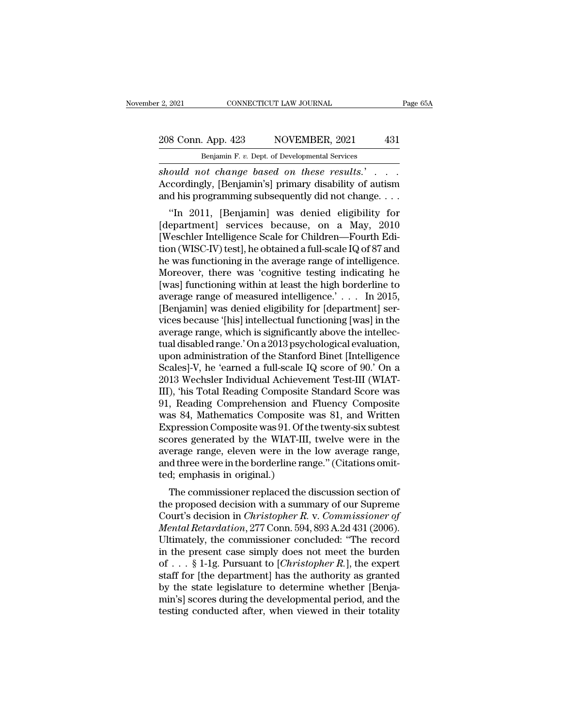## 2, 2021 CONNECTICUT LAW JOURNAL Page 65A<br>208 Conn. App. 423 NOVEMBER, 2021 431<br>Benjamin F. v. Dept. of Developmental Services P. 2, 2021 CONNECTICUT LAW JOURNAL<br>208 Conn. App. 423 NOVEMBER, 2021 431<br>Benjamin F. *v.* Dept. of Developmental Services<br>*Should not change based on these results.*

*should not change based on these results.'* . . . .<br>Accordingly, [Benjamin's] primary disability of autism<br>and his programming subsequently did not change . . . . 208 Conn. App. 423 NOVEMBER, 2021 431<br>
Benjamin F. v. Dept. of Developmental Services<br>
should not change based on these results.' . . . .<br>
Accordingly, [Benjamin's] primary disability of autism<br>
and his programming subseq <sup>8</sup> Conn. App. 423 NOVEMBER, 2021 431<br>
<sup>Benjamin F. v. Dept. of Developmental Services<br> *ould not change based on these results.*<br>
"coordingly, [Benjamin's] primary disability of autism<br>
d his programming subsequently did</sup>

Benjamin F. v. Dept. of Developmental Services<br>
should not change based on these results.'...<br>
Accordingly, [Benjamin's] primary disability of autism<br>
and his programming subsequently did not change....<br>
"In 2011, [Benjam should not change based on these results.<br>Accordingly, [Benjamin's] primary disability of autism<br>and his programming subsequently did not change....<br>"In 2011, [Benjamin] was denied eligibility for<br>[department] services be should not change based on these results.<br>Accordingly, [Benjamin's] primary disability of autism<br>and his programming subsequently did not change...<br>"In 2011, [Benjamin] was denied eligibility for<br>[department] services bec Accordingly, [Berlamin's] primary disability of additional and his programming subsequently did not change....<br>
"In 2011, [Benjamin] was denied eligibility for<br>
[department] services because, on a May, 2010<br>
[Weschler Inte and its programming subsequently did not change....<br>
"In 2011, [Benjamin] was denied eligibility for<br>
[department] services because, on a May, 2010<br>
[Weschler Intelligence Scale for Children—Fourth Edi-<br>
tion (WISC-IV) te "In 2011, [Benjamin] was denied eligibility for<br>[department] services because, on a May, 2010<br>[Weschler Intelligence Scale for Children—Fourth Edition<br>(WISC-IV) test], he obtained a full-scale IQ of 87 and<br>he was function [department] services because, on a May, 2010<br>[Weschler Intelligence Scale for Children—Fourth Edition (WISC-IV) test], he obtained a full-scale IQ of 87 and<br>he was functioning in the average range of intelligence.<br>Moreove [Weschler Intelligence Scale for Children—Fourth Edition (WISC-IV) test], he obtained a full-scale IQ of 87 and<br>he was functioning in the average range of intelligence.<br>Moreover, there was 'cognitive testing indicating he<br> tion (WISC-IV) test], he obtained a full-scale IQ of 87 and<br>he was functioning in the average range of intelligence.<br>Moreover, there was 'cognitive testing indicating he<br>[was] functioning within at least the high borderli he was functioning in the average range of intelligence.<br>Moreover, there was 'cognitive testing indicating he<br>[was] functioning within at least the high borderline to<br>average range of measured intelligence.' . . . In 2015, Moreover, there was 'cognitive testing indicating he<br>[was] functioning within at least the high borderline to<br>average range of measured intelligence.' . . . In 2015,<br>[Benjamin] was denied eligibility for [department] ser-[was] functioning within at least the high borderline to<br>average range of measured intelligence.' . . . In 2015,<br>[Benjamin] was denied eligibility for [department] ser-<br>vices because '[his] intellectual functioning [was] average range of measured intelligence.'... In 2015,<br>[Benjamin] was denied eligibility for [department] services because '[his] intellectual functioning [was] in the<br>average range, which is significantly above the intellec [Benjamin] was denied eligibility for [department] services because '[his] intellectual functioning [was] in the average range, which is significantly above the intellectual disabled range.' On a 2013 psychological evaluat vices because '[his] intellectual functioning [was] in the<br>average range, which is significantly above the intellec-<br>tual disabled range.' On a 2013 psychological evaluation,<br>upon administration of the Stanford Binet [Inte average range, which is significantly above the intellectual disabled range.' On a 2013 psychological evaluation,<br>upon administration of the Stanford Binet [Intelligence<br>Scales]-V, he 'earned a full-scale IQ score of 90.' tual disabled range.' On a 2013 psychological evaluation,<br>upon administration of the Stanford Binet [Intelligence<br>Scales]-V, he 'earned a full-scale IQ score of 90.' On a<br>2013 Wechsler Individual Achievement Test-III (WIAT upon administration of the Stanford Binet [Intelligence Scales]-V, he 'earned a full-scale IQ score of 90.' On a 2013 Wechsler Individual Achievement Test-III (WIAT-III), 'his Total Reading Composite Standard Score was 91, Scales]-V, he 'earned a full-scale IQ score of 90.' On a<br>2013 Wechsler Individual Achievement Test-III (WIAT-<br>III), 'his Total Reading Composite Standard Score was<br>91, Reading Comprehension and Fluency Composite<br>was 84, Ma 2013 Wechsler Individual Achievement Test-III (WIAT-<br>III), 'his Total Reading Composite Standard Score was<br>91, Reading Comprehension and Fluency Composite<br>was 84, Mathematics Composite was 81, and Written<br>Expression Compos III), 'his Total Reading Composite Standard Score was 91, Reading Comprehension and Fluency Composite was 84, Mathematics Composite was 81, and Written Expression Composite was 91. Of the twenty-six subtest scores generate 91, Reading Comprehension and<br>was 84, Mathematics Composite<br>Expression Composite was 91. Of th<br>scores generated by the WIAT-III,<br>average range, eleven were in the<br>and three were in the borderline rar<br>ted; emphasis in origi as 34, mathematics Composite was 31, and written<br>tyression Composite was 91. Of the twenty-six subtest<br>ores generated by the WIAT-III, twelve were in the<br>erage range, eleven were in the low average range,<br>d three were in Expression Composite was 91. Of the twenty-six subtest<br>scores generated by the WIAT-III, twelve were in the<br>average range, eleven were in the low average range,<br>and three were in the borderline range." (Citations omit-<br>te

scores generated by the WIAT-III, twelve were in the<br>average range, eleven were in the low average range,<br>and three were in the borderline range." (Citations omit-<br>ted; emphasis in original.)<br>The commissioner replaced the *Mentage Tange, elevent were in the low average Tange,*<br> *Mental Retardation*, 277 Connection Connection<br> *Mental Retardation, 277 Conn. 594, 893 A.2d 431 (2006).*<br> *Mental Retardation, 277 Conn. 594, 893 A.2d 431 (2006).* and three were in the borderline range. (Chations onticed; emphasis in original.)<br>
The commissioner replaced the discussion section of<br>
the proposed decision with a summary of our Supreme<br>
Court's decision in *Christopher* The commissioner replaced the discussion section of<br>the proposed decision with a summary of our Supreme<br>Court's decision in *Christopher R. v. Commissioner of*<br>*Mental Retardation*, 277 Conn. 594, 893 A.2d 431 (2006).<br>Ult The commissioner replaced the discussion section of<br>the proposed decision with a summary of our Supreme<br>Court's decision in *Christopher R.* v. *Commissioner of*<br>*Mental Retardation*, 277 Conn. 594, 893 A.2d 431 (2006).<br>Ul the proposed decision with a summary of our Supreme<br>Court's decision in *Christopher R. v. Commissioner of*<br>*Mental Retardation*, 277 Conn. 594, 893 A.2d 431 (2006).<br>Ultimately, the commissioner concluded: "The record<br>in Court's decision in *Christopher R. v. Commissioner of Mental Retardation*, 277 Conn. 594, 893 A.2d 431 (2006).<br>Ultimately, the commissioner concluded: "The record<br>in the present case simply does not meet the burden<br>of . *Mental Retardation*, 277 Conn. 594, 893 A.2d 431 (2006).<br>Ultimately, the commissioner concluded: "The record<br>in the present case simply does not meet the burden<br>of . . . § 1-1g. Pursuant to [*Christopher R*.], the expert Ultimately, the commissioner concluded: "The record<br>in the present case simply does not meet the burden<br>of  $\ldots$  § 1-1g. Pursuant to [*Christopher R*.], the expert<br>staff for [the department] has the authority as granted<br>b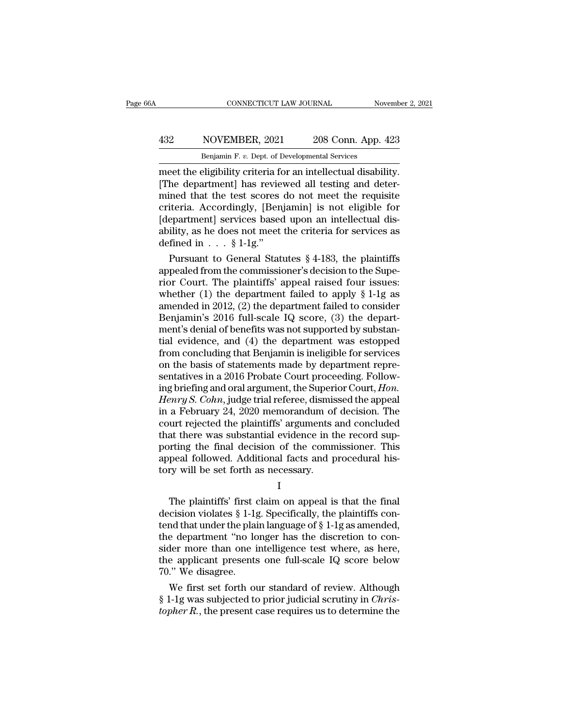## CONNECTICUT LAW JOURNAL November 2, 2021<br>
432 NOVEMBER, 2021 208 Conn. App. 423<br>
Benjamin F. v. Dept. of Developmental Services CONNECTICUT LAW JOURNAL Nov<br>
NOVEMBER, 2021 208 Conn. App. 4<br>
Benjamin F. *v.* Dept. of Developmental Services<br>
Pligibility criteria for an intellectual disabil

CONNECTICUT LAW JOURNAL November 2, 2<br>
MOVEMBER, 2021 208 Conn. App. 423<br>
Benjamin F. v. Dept. of Developmental Services<br>
meet the eligibility criteria for an intellectual disability.<br>
[The department] has reviewed all tes MOVEMBER, 2021 208 Conn. App. 423<br>
Benjamin F. v. Dept. of Developmental Services<br>
meet the eligibility criteria for an intellectual disability.<br>
[The department] has reviewed all testing and deter-<br>
mined that the test sc MOVEMBER, 2021 208 Conn. App. 423<br>
Benjamin F. v. Dept. of Developmental Services<br>
meet the eligibility criteria for an intellectual disability.<br>
[The department] has reviewed all testing and deter-<br>
mined that the test s Accordingly,  $\frac{2021}{Benjamin F. v. Dept. of Developmental Services}$ <br>
meet the eligibility criteria for an intellectual disability.<br>
[The department] has reviewed all testing and determined that the test scores do not meet the requisite<br>
criteria. Acco **EXECUTE 2020** COMA Experiment of the eligibility criteria for an intellectual disability.<br>
[The department] has reviewed all testing and determined that the test scores do not meet the requisite criteria. Accordingly, [B Benjamin F. v. Dept. of Developmental Services<br>meet the eligibility criteria for an intellectual disability.<br>[The department] has reviewed all testing and deter-<br>mined that the test scores do not meet the requisite<br>criter meet the eligibility criteria for<br>[The department] has reviernined that the test scores<br>criteria. Accordingly, [Ben<sub>]</sub><br>[department] services based<br>ability, as he does not meet<br>defined in . . . § 1-1g."<br>Pursuant to General The department] has reviewed all testing and deter-<br>ined that the test scores do not meet the requisite<br>iteria. Accordingly, [Benjamin] is not eligible for<br>epartment] services based upon an intellectual dis-<br>ility, as he mined that the test scores do not meet the requisite<br>criteria. Accordingly, [Benjamin] is not eligible for<br>[department] services based upon an intellectual dis-<br>ability, as he does not meet the criteria for services as<br>de

criteria. Accordingly, [Benjamin] is not engible for<br>[department] services based upon an intellectual dis-<br>ability, as he does not meet the criteria for services as<br>defined in . . . § 1-1g."<br>Pursuant to General Statutes § [department] services based upon an intellectual disability, as he does not meet the criteria for services as<br>defined in . . . § 1-1g."<br>Pursuant to General Statutes § 4-183, the plaintiffs<br>appealed from the commissioner's ability, as he does not meet the criteria for services as<br>defined in . . . § 1-1g."<br>Pursuant to General Statutes § 4-183, the plaintiffs<br>appealed from the commissioner's decision to the Supe-<br>rior Court. The plaintiffs' a defined in  $\ldots$  § 1-1g."<br>
Pursuant to General Statutes § 4-183, the plaintiffs<br>
appealed from the commissioner's decision to the Supe-<br>
rior Court. The plaintiffs' appeal raised four issues:<br>
whether (1) the department f Pursuant to General Statutes  $\S$  4-183, the plaintiffs<br>appealed from the commissioner's decision to the Supe-<br>rior Court. The plaintiffs' appeal raised four issues:<br>whether (1) the department failed to apply  $\S$  1-1g as<br>a appealed from the commissioner's decision to the Superior Court. The plaintiffs' appeal raised four issues:<br>whether (1) the department failed to apply § 1-1g as<br>amended in 2012, (2) the department failed to consider<br>Benjam rior Court. The plaintiffs' appeal raised four issues:<br>whether (1) the department failed to apply  $\S$  1-1g as<br>amended in 2012, (2) the department failed to consider<br>Benjamin's 2016 full-scale IQ score, (3) the depart-<br>men whether (1) the department failed to apply  $\S$  1-1g as<br>amended in 2012, (2) the department failed to consider<br>Benjamin's 2016 full-scale IQ score, (3) the depart-<br>ment's denial of benefits was not supported by substan-<br>ti amended in 2012, (2) the department failed to consider<br>Benjamin's 2016 full-scale IQ score, (3) the depart-<br>ment's denial of benefits was not supported by substan-<br>tial evidence, and (4) the department was estopped<br>from co Benjamin's 2016 full-scale IQ score, (3) the depart-<br>ment's denial of benefits was not supported by substan-<br>tial evidence, and (4) the department was estopped<br>from concluding that Benjamin is ineligible for services<br>on th ment's denial of benefits was not supported by substantial evidence, and (4) the department was estopped<br>from concluding that Benjamin is ineligible for services<br>on the basis of statements made by department repre-<br>sentati tial evidence, and (4) the department was estopped<br>from concluding that Benjamin is ineligible for services<br>on the basis of statements made by department repre-<br>sentatives in a 2016 Probate Court proceeding. Follow-<br>ing br from concluding that Benjamin is ineligible for services<br>on the basis of statements made by department repre-<br>sentatives in a 2016 Probate Court proceeding. Follow-<br>ing briefing and oral argument, the Superior Court, *Hon.* on the basis of statements made by department representatives in a 2016 Probate Court proceeding. Following briefing and oral argument, the Superior Court, *Hon.*<br>Henry S. Cohn, judge trial referee, dismissed the appeal<br>in sentatives in a 2016 Probate Court proceeding. Following briefing and oral argument, the Superior Court, *Hon.*<br>*Henry S. Cohn*, judge trial referee, dismissed the appeal<br>in a February 24, 2020 memorandum of decision. The<br> ing briefing and oral argument, the Superior Court, *Hon.*<br>Henry S. Cohn, judge trial referee, dismissed the appeal<br>in a February 24, 2020 memorandum of decision. The<br>court rejected the plaintiffs' arguments and concluded<br> Henry S. Cohn, judge trial referee, dismis<br>in a February 24, 2020 memorandum of<br>court rejected the plaintiffs' arguments :<br>that there was substantial evidence in the<br>porting the final decision of the comm<br>appeal followed. and there was substantial evidence in the record sup-<br>at there was substantial evidence in the record sup-<br>primary the final decision of the commissioner. This<br>peal followed. Additional facts and procedural his-<br>ry will be

I

radiative was substantian evidence in the record sup-<br>porting the final decision of the commissioner. This<br>appeal followed. Additional facts and procedural his-<br>tory will be set forth as necessary.<br>I<br>The plaintiffs' first porting the final decision of the commissioner. This<br>appeal followed. Additional facts and procedural his-<br>tory will be set forth as necessary.<br> $I$ <br>The plaintiffs' first claim on appeal is that the final<br>decision violates the department of the set forth as necessary.<br>
I<br>
The plaintiffs' first claim on appeal is that the final<br>
decision violates § 1-1g. Specifically, the plaintiffs con-<br>
tend that under the plain language of § 1-1g as amende I<br>
The plaintiffs' first claim on appeal is that the final<br>
decision violates § 1-1g. Specifically, the plaintiffs con-<br>
tend that under the plain language of § 1-1g as amended,<br>
the department "no longer has the discreti The plaintiffs' first claim on appeal is that the final<br>decision violates  $\S 1$ -1g. Specifically, the plaintiffs con-<br>tend that under the plain language of  $\S 1$ -1g as amended,<br>the department "no longer has the discretion The plaintiffs' first conduction violates § 1-1g<br>tend that under the plainthe department "no loosider more than one is<br>the applicant presents<br>70." We disagree.<br>We first set forth ou cision violates  $\S$  1-1g. Specifically, the plaintiffs con-<br>nd that under the plain language of  $\S$  1-1g as amended,<br>e department "no longer has the discretion to con-<br>ler more than one intelligence test where, as here,<br>e tend that under the plain language of § 1-1g as amended,<br>the department "no longer has the discretion to con-<br>sider more than one intelligence test where, as here,<br>the applicant presents one full-scale IQ score below<br>70." the department "no longer has the discretion to consider more than one intelligence test where, as here, the applicant presents one full-scale IQ score below 70." We disagree.<br>We first set forth our standard of review. Alt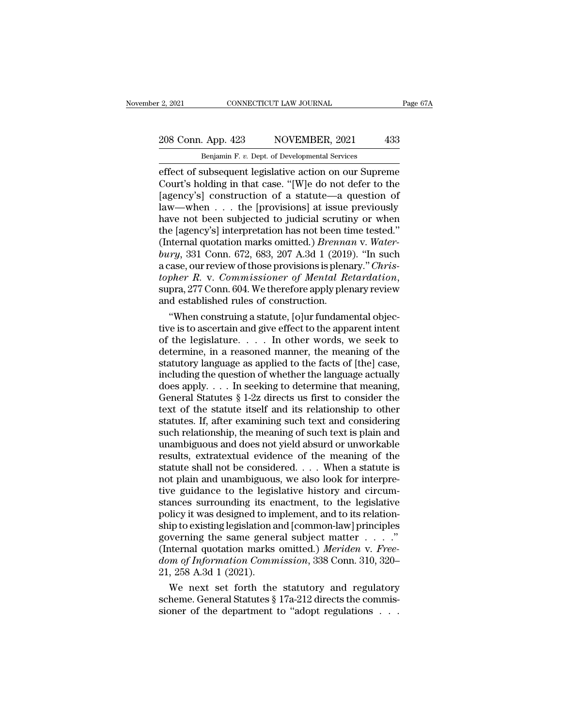# 2021 CONNECTICUT LAW JOURNAL Page 67A<br>208 Conn. App. 423 NOVEMBER, 2021 433<br>Benjamin F. v. Dept. of Developmental Services

Penjamin F. *v.* Dept. of Developmental Services<br>Benjamin F. *v.* Dept. of Developmental Services<br>Effect of subsequent legislative action on our Supreme effect of subsequent legislative action on our Supreme<br>
Legislative action on our Supreme<br>
Court's holding in that case. "[W]e do not defer to the<br>
Legislative action on our Supreme<br>
Court's holding in that case. "[W]e do 208 Conn. App. 423 NOVEMBER, 2021 433<br>
Benjamin F. v. Dept. of Developmental Services<br>
effect of subsequent legislative action on our Supreme<br>
Court's holding in that case. "[W]e do not defer to the<br>
[agency's] constructio 208 Conn. App. 423 NOVEMBER, 2021 433<br>
Benjamin F. v. Dept. of Developmental Services<br>
effect of subsequent legislative action on our Supreme<br>
Court's holding in that case. "[W]e do not defer to the<br>
[agency's] constructi 208 Conn. App. 423 NOVEMBER, 2021 433<br>
Benjamin F. v. Dept. of Developmental Services<br>
effect of subsequent legislative action on our Supreme<br>
Court's holding in that case. "[W]e do not defer to the<br>
[agency's] constructi Benjamin F. v. Dept. of Developmental Services<br>
effect of subsequent legislative action on our Supreme<br>
Court's holding in that case. "[W]e do not defer to the<br>
[agency's] construction of a statute—a question of<br>
law—when Benjamin F. v. Dept. of Developmental Services<br>
effect of subsequent legislative action on our Supreme<br>
Court's holding in that case. "[W]e do not defer to the<br>
[agency's] construction of a statute—a question of<br>
law—when effect of subsequent legislative action on our Supreme<br>Court's holding in that case. "[W]e do not defer to the<br>[agency's] construction of a statute—a question of<br>law—when . . . the [provisions] at issue previously<br>have not Court's holding in that case. "[W]e do not defer to the<br>[agency's] construction of a statute—a question of<br>law—when . . . the [provisions] at issue previously<br>have not been subjected to judicial scrutiny or when<br>the [agenc [agency's] construction of a statute—a question of<br>law—when . . . the [provisions] at issue previously<br>have not been subjected to judicial scrutiny or when<br>the [agency's] interpretation has not been time tested."<br>(Internal Iaw—when . . . the [provisions] at issue previously<br>have not been subjected to judicial scrutiny or when<br>the [agency's] interpretation has not been time tested."<br>(Internal quotation marks omitted.) *Brennan* v. Water-<br>bury the [agency's] interpretation has not been ti<br>(Internal quotation marks omitted.) *Brenna*<br>bury, 331 Conn. 672, 683, 207 A.3d 1 (2019<br>a case, our review of those provisions is plen-<br>topher R. v. Commissioner of Mental Re<br>s ternal quotation marks omitted.) *Brennan* v. Water-<br> *ry*, 331 Conn. 672, 683, 207 A.3d 1 (2019). "In such<br>
ease, our review of those provisions is plenary." *Chris-*<br>
pher R. v. Commissioner of Mental Retardation,<br>
pra, bury, 331 Conn. 672, 683, 207 A.3d 1 (2019). "In such<br>a case, our review of those provisions is plenary." *Christopher R. v. Commissioner of Mental Retardation*,<br>supra, 277 Conn. 604. We therefore apply plenary review<br>and

a case, our review of those provisions is plenary." *Christopher R. v. Commissioner of Mental Retardation*, supra, 277 Conn. 604. We therefore apply plenary review and established rules of construction.<br>
"When construing topher R. v. Commissioner of Mental Retardation,<br>supra, 277 Conn. 604. We therefore apply plenary review<br>and established rules of construction.<br>"When construing a statute, [o]ur fundamental objec-<br>tive is to ascertain and supra, 277 Conn. 604. We therefore apply plenary review<br>and established rules of construction.<br>"When construing a statute, [o]ur fundamental objec-<br>tive is to ascertain and give effect to the apparent intent<br>of the legisla and established rules of construction.<br>
"When construing a statute, [o]ur fundamental objective is to ascertain and give effect to the apparent intent<br>
of the legislature. . . . . In other words, we seek to<br>
determine, in "When construing a statute, [o]ur fundamental objective is to ascertain and give effect to the apparent intent<br>of the legislature. . . . . In other words, we seek to<br>determine, in a reasoned manner, the meaning of the<br>sta tive is to ascertain and give effect to the apparent intent<br>of the legislature.  $\dots$  In other words, we seek to<br>determine, in a reasoned manner, the meaning of the<br>statutory language as applied to the facts of [the] case, of the legislature. . . . . In other words, we seek to<br>determine, in a reasoned manner, the meaning of the<br>statutory language as applied to the facts of [the] case,<br>including the question of whether the language actually<br> determine, in a reasoned manner, the meaning of the<br>statutory language as applied to the facts of [the] case,<br>including the question of whether the language actually<br>does apply. . . . In seeking to determine that meaning,<br> statutory language as applied to the facts of [the] case,<br>including the question of whether the language actually<br>does apply. . . . In seeking to determine that meaning,<br>General Statutes § 1-2z directs us first to conside including the question of whether the language actually<br>does apply. . . . In seeking to determine that meaning,<br>General Statutes § 1-2z directs us first to consider the<br>text of the statute itself and its relationship to o does apply. . . . In seeking to determine that meaning,<br>General Statutes § 1-2z directs us first to consider the<br>text of the statute itself and its relationship to other<br>statutes. If, after examining such text and conside General Statutes § 1-2z directs us first to consider the<br>text of the statute itself and its relationship to other<br>statutes. If, after examining such text and considering<br>such relationship, the meaning of such text is plai text of the statute itself and its relationship to other<br>statutes. If, after examining such text and considering<br>such relationship, the meaning of such text is plain and<br>unambiguous and does not yield absurd or unworkable<br> statutes. If, after examining such text and considering<br>such relationship, the meaning of such text is plain and<br>unambiguous and does not yield absurd or unworkable<br>results, extratextual evidence of the meaning of the<br>stat such relationship, the meaning of such text is plain and<br>unambiguous and does not yield absurd or unworkable<br>results, extratextual evidence of the meaning of the<br>statute shall not be considered. . . . When a statute is<br>not unambiguous and does not yield absurd or unworkable<br>results, extratextual evidence of the meaning of the<br>statute shall not be considered. . . . When a statute is<br>not plain and unambiguous, we also look for interpre-<br>tive g results, extratextual evidence of the meaning of the<br>statute shall not be considered. . . . When a statute is<br>not plain and unambiguous, we also look for interpre-<br>tive guidance to the legislative history and circum-<br>stan statute shall not be considered. . . . When a statute is<br>not plain and unambiguous, we also look for interpre-<br>tive guidance to the legislative history and circum-<br>stances surrounding its enactment, to the legislative<br>pol not plain and unambiguous, we also look for interpretive guidance to the legislative history and circumstances surrounding its enactment, to the legislative policy it was designed to implement, and to its relationship to e tive guidance to the legislative history and circum-<br>stances surrounding its enactment, to the legislative<br>policy it was designed to implement, and to its relation-<br>ship to existing legislation and [common-law] principles<br> stances surrounding its er<br>policy it was designed to in<br>ship to existing legislation a<br>governing the same gener<br>(Internal quotation marks<br> $dom of Information Comm$ <br>21, 258 A.3d 1 (2021).<br>We next set forth the blicy it was designed to implement, and to its relation-<br>ip to existing legislation and [common-law] principles<br>verning the same general subject matter . . . ."<br>termal quotation marks omitted.) *Meriden* v. Free-<br>*m of In* ship to existing legislation and [common-law] principles<br>governing the same general subject matter  $\dots$ . "<br>(Internal quotation marks omitted.) *Meriden* v. *Free-dom of Information Commission*, 338 Conn. 310, 320–<br>21, 258 governing the same general subject matter . . . . ."<br>(Internal quotation marks omitted.) *Meriden* v. Free-<br>*dom of Information Commission*, 338 Conn. 310, 320–<br>21, 258 A.3d 1 (2021).<br>We next set forth the statutory and r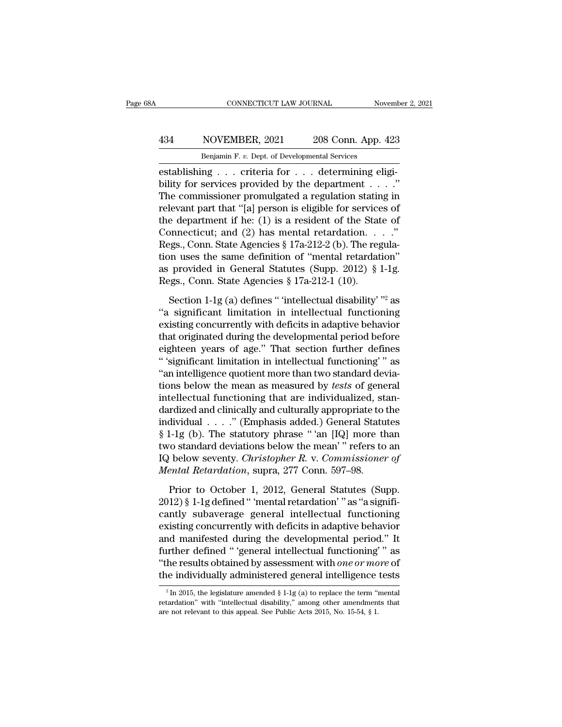## CONNECTICUT LAW JOURNAL November 2, 2021<br>
434 NOVEMBER, 2021 208 Conn. App. 423<br>
Benjamin F. v. Dept. of Developmental Services CONNECTICUT LAW JOURNAL Nov<br>
NOVEMBER, 2021 208 Conn. App. 4<br>
Benjamin F. *v.* Dept. of Developmental Services<br>
ng criteria for determining eli

EST CONNECTICUT LAW JOURNAL Novem<br>
434 NOVEMBER, 2021 208 Conn. App. 423<br>
208 Conn. App. 423<br>
208 Conn. App. 423<br>
establishing . . . criteria for . . . determining eligi-<br>
bility for services provided by the department . . Bility for services provided by the department . . . ."<br>The department of Developmental Services<br>bestablishing . . . criteria for . . . determining eligibility for services provided by the department . . . ."<br>The commissio  $\frac{434}{\text{Benjamin F. v. Dept. of Developmental Services}}$ <br>
Elenjamin F. v. Dept. of Developmental Services<br>
establishing . . . criteria for . . . determining eligi-<br>
bility for services provided by the department . . . ."<br>
The commissioner promulgated a For all that that  $\frac{1}{208}$  Penjamin F. v. Dept. of Developmental Services<br>
establishing . . . criteria for . . . determining eligi-<br>
bility for services provided by the department . . . . ."<br>
The commissioner promulgat Benjamin F. v. Dept. of Developmental Services<br>
establishing . . . criteria for . . . determining eligi-<br>
bility for services provided by the department . . . ."<br>
The commissioner promulgated a regulation stating in<br>
rele Benjamin F. *v.* Dept. of Developmental services<br>
establishing . . . criteria for . . . determining eligi-<br>
bility for services provided by the department . . . ."<br>
The commissioner promulgated a regulation stating in<br>
re establishing . . . criteria for . . . determining eligibility for services provided by the department . . . ."<br>The commissioner promulgated a regulation stating in relevant part that "[a] person is eligible for services o bility for services provided by the department . . . . "<br>The commissioner promulgated a regulation stating in<br>relevant part that "[a] person is eligible for services of<br>the department if he: (1) is a resident of the State The commissioner promulgated a regulation stating in relevant part that "[a] person is eligible for services of the department if he: (1) is a resident of the State of Connecticut; and (2) has mental retardation. . . ." R relevant part that "[a] person is eligible for services of<br>the department if he: (1) is a resident of the State of<br>Connecticut; and (2) has mental retardation. . . ."<br>Regs., Conn. State Agencies § 17a-212-2 (b). The regul promecticut; and (2) has mental retardation. . . ."<br>ggs., Conn. State Agencies § 17a-212-2 (b). The regula-<br>on uses the same definition of "mental retardation"<br>provided in General Statutes (Supp. 2012) § 1-1g.<br>ggs., Conn. Regs., Conn. State Agencies § 17a-212-2 (b). The regulation uses the same definition of "mental retardation"<br>as provided in General Statutes (Supp. 2012) § 1-1g.<br>Regs., Conn. State Agencies § 17a-212-1 (10).<br>Section 1-1g

tion uses the same definition of "mental retardation"<br>as provided in General Statutes (Supp. 2012) § 1-1g.<br>Regs., Conn. State Agencies § 17a-212-1 (10).<br>Section 1-1g (a) defines " 'intellectual disability' "<sup>2</sup> as<br>"a sign as provided in General Statutes (Supp. 2012) § 1-1g.<br>Regs., Conn. State Agencies § 17a-212-1 (10).<br>Section 1-1g (a) defines " 'intellectual disability' "<sup>2</sup> as<br>"a significant limitation in intellectual functioning<br>existin Regs., Conn. State Agencies § 17a-212-1 (10).<br>
Section 1-1g (a) defines " 'intellectual disability' "<sup>2</sup> as<br>
"a significant limitation in intellectual functioning<br>
existing concurrently with deficits in adaptive behavior<br> Section 1-1g (a) defines " 'intellectual disability'  $"$  as<br>"a significant limitation in intellectual functioning<br>existing concurrently with deficits in adaptive behavior<br>that originated during the developmental period be Section 1-1g (a) defines " intellectual disability"  $^{\prime\prime\prime}$  as<br>
"a significant limitation in intellectual functioning<br>
existing concurrently with deficits in adaptive behavior<br>
that originated during the developmental "a significant limitation in intellectual functioning<br>existing concurrently with deficits in adaptive behavior<br>that originated during the developmental period before<br>eighteen years of age." That section further defines<br>"'s existing concurrently with deficits in adaptive behavior<br>that originated during the developmental period before<br>eighteen years of age." That section further defines<br>"significant limitation in intellectual functioning"" as<br> that originated during the developmental period before<br>eighteen years of age." That section further defines<br>"significant limitation in intellectual functioning" as<br>"an intelligence quotient more than two standard devia-<br>t eighteen years of age." That section further defines<br>"'significant limitation in intellectual functioning'" as<br>"an intelligence quotient more than two standard devia-<br>tions below the mean as measured by *tests* of general " 'significant limitation in intellectual functioning" " as<br>
"an intelligence quotient more than two standard devia-<br>
tions below the mean as measured by *tests* of general<br>
intellectual functioning that are individualize "an intelligence quotient more than two standard devia-<br>tions below the mean as measured by *tests* of general<br>intellectual functioning that are individualized, stan-<br>dardized and clinically and culturally appropriate to tions below the mean as measured by *tests* of general<br>intellectual functioning that are individualized, stan-<br>dardized and clinically and culturally appropriate to the<br>individual . . . . ." (Emphasis added.) General Statu intellectual functioning that are individualized, st<br>dardized and clinically and culturally appropriate to<br>individual . . . . ." (Emphasis added.) General Statu<br>§ 1-1g (b). The statutory phrase "'an [IQ] more th<br>two standa dividual . . . ." (Emphasis added.) General Statutes<br>1-1g (b). The statutory phrase " 'an [IQ] more than<br>10 standard deviations below the mean' " refers to an<br>1 below seventy. *Christopher R. v. Commissioner of*<br>2012 stan  $\S$  1-1g (b). The statutory phrase " 'an [IQ] more than<br>two standard deviations below the mean' " refers to an<br>IQ below seventy. *Christopher R. v. Commissioner of*<br>*Mental Retardation*, supra, 277 Conn. 597–98.<br>Prior to

two standard deviations below the mean' " refers to an<br>IQ below seventy. *Christopher R*. v. *Commissioner of*<br>*Mental Retardation*, supra, 277 Conn. 597–98.<br>Prior to October 1, 2012, General Statutes (Supp.<br>2012) § 1-1g d IQ below seventy. *Christopher R. v. Commissioner of*<br>Mental Retardation, supra, 277 Conn. 597–98.<br>Prior to October 1, 2012, General Statutes (Supp.<br>2012) § 1-1g defined " 'mental retardation' " as "a significantly subaver Mental Retardation, supra, 277 Conn. 597–98.<br>
Prior to October 1, 2012, General Statutes (Supp.<br>
2012) § 1-1g defined " 'mental retardation' " as "a significantly subaverage general intellectual functioning<br>
existing concu Prior to October 1, 2012, General Statutes (Supp.<br>2012) § 1-1g defined " 'mental retardation' " as "a significantly subaverage general intellectual functioning<br>existing concurrently with deficits in adaptive behavior<br>and Prior to October 1, 2012, General Statutes (Supp.<br>2012) § 1-1g defined " 'mental retardation' " as "a significantly subaverage general intellectual functioning<br>existing concurrently with deficits in adaptive behavior<br>and m 2012) § 1-1g defined " 'mental retardation' " as "a significantly subaverage general intellectual functioning existing concurrently with deficits in adaptive behavior and manifested during the developmental period." It fu and manifested during the developmental period." It further defined " 'general intellectual functioning' " as "the results obtained by assessment with *one or more* of the individually administered general intelligence te further defined " 'general intellectual functioning'" as<br>
"the results obtained by assessment with *one or more* of<br>
the individually administered general intelligence tests<br>
<sup>2</sup> In 2015, the legislature amended § 1-1g (a "the results obtained by assessment with *one or mo*<br>the individually administered general intelligence<br> $\frac{1}{\pi}$  In 2015, the legislature amended § 1-1g (a) to replace the term "intertardation" with "intellectual disabi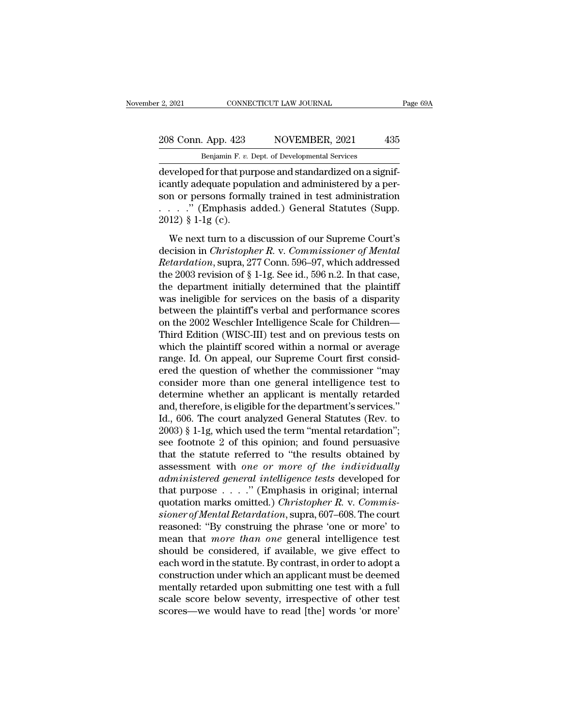## 2, 2021 CONNECTICUT LAW JOURNAL Page 69A<br>208 Conn. App. 423 NOVEMBER, 2021 435<br>Benjamin F. v. Dept. of Developmental Services CONNECTICUT LAW JOURNAL<br>Benjamin F. *v.* Dept. of Developmental Services<br>Benjamin F. *v.* Dept. of Developmental Services<br>of for that nurmose and standardized on a sign

2, 2021 CONNECTICUT LAW JOURNAL<br>
208 Conn. App. 423 NOVEMBER, 2021 435<br>
Benjamin F. v. Dept. of Developmental Services<br>
developed for that purpose and standardized on a significantly adequate population and administered by 208 Conn. App. 423 NOVEMBER, 2021 435<br>
Benjamin F. v. Dept. of Developmental Services<br>
developed for that purpose and standardized on a significantly adequate population and administered by a per-<br>
son or persons formally 208 Conn. App. 423 NOVEMBER, 2021 435<br>
Benjamin F. v. Dept. of Developmental Services<br>
developed for that purpose and standardized on a significantly adequate population and administered by a person or persons formally tr 208 Conn. App. 423 NOVEMBER, 2021 435<br>
Benjamin F. v. Dept. of Developmental Services<br>
developed for that purpose and standardized on a significantly adequate population and administered by a person or persons formally tr Benjamin F. v. 1<br>
developed for that puricantly adequate population<br>
son or persons forms<br>
. . . . . " (Emphasis a 2012) § 1-1g (c).<br>
We next turn to a d we loped for that purpose and standardized on a signifiantly adequate population and administered by a per-<br>n or persons formally trained in test administration<br> $\ldots$ ." (Emphasis added.) General Statutes (Supp.<br>12) § 1-1g decision in *Christopher R. v. Commissioner of Mental*<br>
2012) § 1-1g (c).<br>
2012) § 1-1g (c).<br>
2012) § 1-1g (c).<br>
2012) § 1-1g (c).<br>
2012) & 1-1g (c).<br>
2012 we next turn to a discussion of our Supreme Court's decision in *C* 

*Retaina, disciplance population* and daministered by a per<br>
son or persons formally trained in test administration<br>
2012) § 1-1g (c).<br>
We next turn to a discussion of our Supreme Court's<br>
decision in *Christopher R. v. Co* the 2003 revision of § 1-1g (c).<br>
We next turn to a discussion of our Supreme Court's<br>
decision in *Christopher R. v. Commissioner of Mental*<br>
Retardation, supra, 277 Conn. 596–97, which addressed<br>
the 2003 revision of § 2012) § 1-1g (c).<br>We next turn to a discussion of our Supreme Court's<br>decision in *Christopher R. v. Commissioner of Mental*<br>*Retardation*, supra, 277 Conn. 596–97, which addressed<br>the 2003 revision of § 1-1g. See id., 59 We next turn to a discussion of our Supreme Court's<br>decision in *Christopher R. v. Commissioner of Mental*<br>*Retardation*, supra, 277 Conn. 596–97, which addressed<br>the 2003 revision of § 1-1g. See id., 596 n.2. In that cas We next turn to a discussion of our Supreme Court's<br>decision in *Christopher R. v. Commissioner of Mental*<br>*Retardation*, supra, 277 Conn. 596–97, which addressed<br>the 2003 revision of § 1-1g. See id., 596 n.2. In that cas decision in *Christopher R. v. Commissioner of Mental*<br>*Retardation*, supra, 277 Conn. 596–97, which addressed<br>the 2003 revision of § 1-1g. See id., 596 n.2. In that case,<br>the department initially determined that the plain Retardation, supra, 277 Conn. 596–97, which addressed<br>the 2003 revision of § 1-1g. See id., 596 n.2. In that case,<br>the department initially determined that the plaintiff<br>was ineligible for services on the basis of a dispar the 2003 revision of § 1-1g. See id., 596 n.2. In that case,<br>the department initially determined that the plaintiff<br>was ineligible for services on the basis of a disparity<br>between the plaintiff's verbal and performance sco the department initially determined that the plaintiff<br>was ineligible for services on the basis of a disparity<br>between the plaintiff's verbal and performance scores<br>on the 2002 Weschler Intelligence Scale for Children—<br>Thi was ineligible for services on the basis of a disparity<br>between the plaintiff's verbal and performance scores<br>on the 2002 Weschler Intelligence Scale for Children—<br>Third Edition (WISC-III) test and on previous tests on<br>whi between the plaintiff's verbal and performance scores<br>on the 2002 Weschler Intelligence Scale for Children—<br>Third Edition (WISC-III) test and on previous tests on<br>which the plaintiff scored within a normal or average<br>range on the 2002 Weschler Intelligence Scale for Children—<br>Third Edition (WISC-III) test and on previous tests on<br>which the plaintiff scored within a normal or average<br>range. Id. On appeal, our Supreme Court first consid-<br>ered Third Edition (WISC-III) test and on previous tests on<br>which the plaintiff scored within a normal or average<br>range. Id. On appeal, our Supreme Court first consid-<br>ered the question of whether the commissioner "may<br>consider which the plaintiff scored within a normal or average<br>range. Id. On appeal, our Supreme Court first consid-<br>ered the question of whether the commissioner "may<br>consider more than one general intelligence test to<br>determine w range. Id. On appeal, our Supreme Court first considered the question of whether the commissioner "may consider more than one general intelligence test to determine whether an applicant is mentally retarded and, therefore, ered the question of whether the commissioner "may<br>consider more than one general intelligence test to<br>determine whether an applicant is mentally retarded<br>and, therefore, is eligible for the department's services."<br>Id., 60 consider more than one general intelligence test to<br>determine whether an applicant is mentally retarded<br>and, therefore, is eligible for the department's services."<br>Id., 606. The court analyzed General Statutes (Rev. to<br> $2$ determine whether an applicant is mentally retarded<br>and, therefore, is eligible for the department's services."<br>Id., 606. The court analyzed General Statutes (Rev. to<br>2003) § 1-1g, which used the term "mental retardation"; and, therefore, is eligible for the department's services."<br>Id., 606. The court analyzed General Statutes (Rev. to<br>2003) § 1-1g, which used the term "mental retardation";<br>see footnote 2 of this opinion; and found persuasiv Id., 606. The court analyzed General Statutes (Rev. to 2003) § 1-1g, which used the term "mental retardation";<br>see footnote 2 of this opinion; and found persuasive<br>that the statute referred to "the results obtained by<br>ass 2003) § 1-1g, which used the term "mental retardation";<br>see footnote 2 of this opinion; and found persuasive<br>that the statute referred to "the results obtained by<br>assessment with *one or more of the individually*<br>*adminis* see footnote 2 of this opinion; and found persuasive<br>that the statute referred to "the results obtained by<br>assessment with *one or more of the individually*<br>*administered general intelligence tests* developed for<br>that purp that the statute referred to "the results obtained by<br>assessment with one or more of the individually<br>administered general intelligence tests developed for<br>that purpose . . . . " (Emphasis in original; internal<br>quotation assessment with one or more of the individually<br>administered general intelligence tests developed for<br>that purpose . . . ." (Emphasis in original; internal<br>quotation marks omitted.) *Christopher R*. v. *Commis-<br>sioner of M* administered general intelligence tests developed for<br>that purpose . . . ." (Emphasis in original; internal<br>quotation marks omitted.) *Christopher R*. v. *Commis-<br>sioner of Mental Retardation*, supra, 607–608. The court<br>re that purpose  $\ldots$  ." (Emphasis in original; internal<br>quotation marks omitted.) *Christopher R. v. Commissioner of Mental Retardation*, supra, 607–608. The court<br>reasoned: "By construing the phrase 'one or more' to<br>mean t quotation marks omitted.) *Christopher R. v. Commissioner of Mental Retardation*, supra, 607–608. The court reasoned: "By construing the phrase 'one or more' to mean that *more than one* general intelligence test should b sioner of Mental Retardation, supra, 607–608. The court<br>reasoned: "By construing the phrase 'one or more' to<br>mean that *more than one* general intelligence test<br>should be considered, if available, we give effect to<br>each wo reasoned: "By construing the phrase 'one or more' to<br>mean that *more than one* general intelligence test<br>should be considered, if available, we give effect to<br>each word in the statute. By contrast, in order to adopt a<br>cons mean that *more than one* general intelligence test<br>should be considered, if available, we give effect to<br>each word in the statute. By contrast, in order to adopt a<br>construction under which an applicant must be deemed<br>ment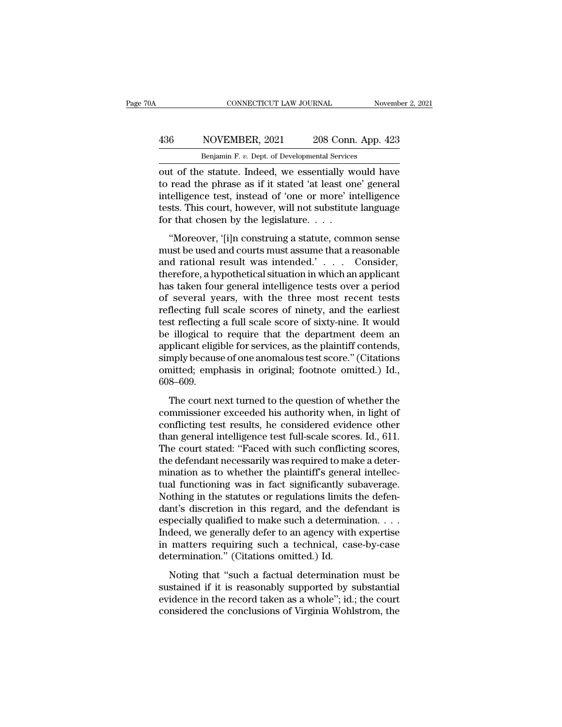## CONNECTICUT LAW JOURNAL November 2, 2021<br>
436 NOVEMBER, 2021 208 Conn. App. 423<br>
Benjamin F. v. Dept. of Developmental Services CONNECTICUT LAW JOURNAL November 2, 2021<br>Benjamin F. *v.* Dept. of Developmental Services<br>Out of the statute. Indeed, we essentially would have

CONNECTICUT LAW JOURNAL November 2, 2021<br>
436 NOVEMBER, 2021 208 Conn. App. 423<br>
Benjamin F. v. Dept. of Developmental Services<br>
out of the statute. Indeed, we essentially would have<br>
to read the phrase as if it stated 'at 136 NOVEMBER, 2021 208 Conn. App. 423<br>Benjamin F. v. Dept. of Developmental Services<br>Out of the statute. Indeed, we essentially would have<br>to read the phrase as if it stated 'at least one' general<br>intelligence test, instea **436** NOVEMBER, 2021 208 Conn. App. 423<br> **Example 12.** Benjamin F. v. Dept. of Developmental Services<br>
out of the statute. Indeed, we essentially would have<br>
to read the phrase as if it stated 'at least one' general<br>
inte 436 NOVEMBER, 2021 208 Conn. App. 423<br>
Benjamin F. v. Dept. of Developmental Services<br>
out of the statute. Indeed, we essentially would have<br>
to read the phrase as if it stated 'at least one' general<br>
intelligence test, i Benjamin F. v. Dept. of Developmental Services<br>
out of the statute. Indeed, we essentially w<br>
to read the phrase as if it stated 'at least on<br>
intelligence test, instead of 'one or more' ir<br>
tests. This court, however, wil It of the statute. Indeed, we essentially would have<br>
read the phrase as if it stated 'at least one' general<br>
telligence test, instead of 'one or more' intelligence<br>
sts. This court, however, will not substitute language<br> out of the statute. Inteed, we essentially would have<br>to read the phrase as if it stated 'at least one' general<br>intelligence test, instead of 'one or more' intelligence<br>tests. This court, however, will not substitute langu

and rational results are in the state of the selection<br>intelligence test, instead of 'one or more' intelligence<br>tests. This court, however, will not substitute language<br>for that chosen by the legislature. . . .<br>"Moreover, metalgence cest, instead of one of more intemgence<br>tests. This court, however, will not substitute language<br>for that chosen by the legislature....<br>"Moreover, '[i]n construing a statute, common sense<br>must be used and courts for that chosen by the legislature....<br>
"Moreover, '[i]n construing a statute, common sense<br>
must be used and courts must assume that a reasonable<br>
and rational result was intended.'... Consider,<br>
therefore, a hypothetical "Moreover, '[i]n construing a statute, common sense<br>must be used and courts must assume that a reasonable<br>and rational result was intended.' . . . . Consider,<br>therefore, a hypothetical situation in which an applicant<br>has "Moreover, '[i]n construing a statute, common sense<br>must be used and courts must assume that a reasonable<br>and rational result was intended.' . . . . Consider,<br>therefore, a hypothetical situation in which an applicant<br>has must be used and courts must assume that a reasonable<br>and rational result was intended.'... Consider,<br>therefore, a hypothetical situation in which an applicant<br>has taken four general intelligence tests over a period<br>of sev and rational result was intended.' . . . . Consider,<br>therefore, a hypothetical situation in which an applicant<br>has taken four general intelligence tests over a period<br>of several years, with the three most recent tests<br>ref therefore, a hypothetical situation in which an applicant<br>has taken four general intelligence tests over a period<br>of several years, with the three most recent tests<br>reflecting full scale scores of ninety, and the earliest<br> has taken four general intelligence tests over a period<br>of several years, with the three most recent tests<br>reflecting full scale scores of ninety, and the earliest<br>test reflecting a full scale score of sixty-nine. It would of several years, with the three most recent tests<br>reflecting full scale scores of ninety, and the earliest<br>test reflecting a full scale score of sixty-nine. It would<br>be illogical to require that the department deem an<br>app 608–609. Filogical to require that the department deem and plicant eligible for services, as the plaintiff contends, mply because of one anomalous test score." (Citations initted; emphasis in original; footnote omitted.) Id.,  $8-6$ commissioner exceeded his authority when, in light of<br>the commissioner exceeded his authorities.<br>The court next turned to the question of whether the<br>commissioner exceeded his authority when, in light of<br>conflicting test r

dependant engible for services, as the plantain contentals,<br>simply because of one anomalous test score." (Citations<br>omitted; emphasis in original; footnote omitted.) Id.,<br>608–609.<br>The court next turned to the question of w omitted; emphasis in original; footnote omitted.) Id.,<br>608–609.<br>The court next turned to the question of whether the<br>commissioner exceeded his authority when, in light of<br>conflicting test results, he considered evidence ot The court next turned to the question of whether the<br>commissioner exceeded his authority when, in light of<br>conflicting test results, he considered evidence other<br>than general intelligence test full-scale scores. Id., 611. The court next turned to the question of whether the<br>commissioner exceeded his authority when, in light of<br>conflicting test results, he considered evidence other<br>than general intelligence test full-scale scores. Id., 611.<br> The court next turned to the question of whether the commissioner exceeded his authority when, in light of conflicting test results, he considered evidence other than general intelligence test full-scale scores. Id., 611. commissioner exceeded his authority when, in light of<br>conflicting test results, he considered evidence other<br>than general intelligence test full-scale scores. Id., 611.<br>The court stated: "Faced with such conflicting scores conflicting test results, he considered evidence other<br>than general intelligence test full-scale scores. Id., 611.<br>The court stated: "Faced with such conflicting scores,<br>the defendant necessarily was required to make a det than general intelligence test full-scale scores. Id., 611.<br>The court stated: "Faced with such conflicting scores,<br>the defendant necessarily was required to make a deter-<br>mination as to whether the plaintiff's general inte The court stated: "Faced with such conflicting scores,<br>the defendant necessarily was required to make a deter-<br>mination as to whether the plaintiff's general intellec-<br>tual functioning was in fact significantly subaverage. the defendant necessarily was required to make a deter-<br>mination as to whether the plaintiff's general intellec-<br>tual functioning was in fact significantly subaverage.<br>Nothing in the statutes or regulations limits the defe mination as to whether the plaintiff's general intellectual functioning was in fact significantly subaverage.<br>Nothing in the statutes or regulations limits the defendant's discretion in this regard, and the defendant is e tual functioning was in fact significantly su<br>Nothing in the statutes or regulations limits<br>dant's discretion in this regard, and the de:<br>especially qualified to make such a determina<br>Indeed, we generally defer to an agenc Minis in the statutes of regalations inhits are determination and the defendant is pecially qualified to make such a determination.  $\dots$  deed, we generally defer to an agency with expertise matters requiring such a techni sustantial in this regard, and the determination is especially qualified to make such a determination.  $\dots$  Indeed, we generally defer to an agency with expertise in matters requiring such a technical, case-by-case determ

Expecting quantical to make start a determination.  $\cdots$  indeed, we generally defer to an agency with expertise in matters requiring such a technical, case-by-case determination." (Citations omitted.) Id.<br>Noting that "suc matera, we generally deter to an agency what experies<br>in matters requiring such a technical, case-by-case<br>determination." (Citations omitted.) Id.<br>Noting that "such a factual determination must be<br>sustained if it is reason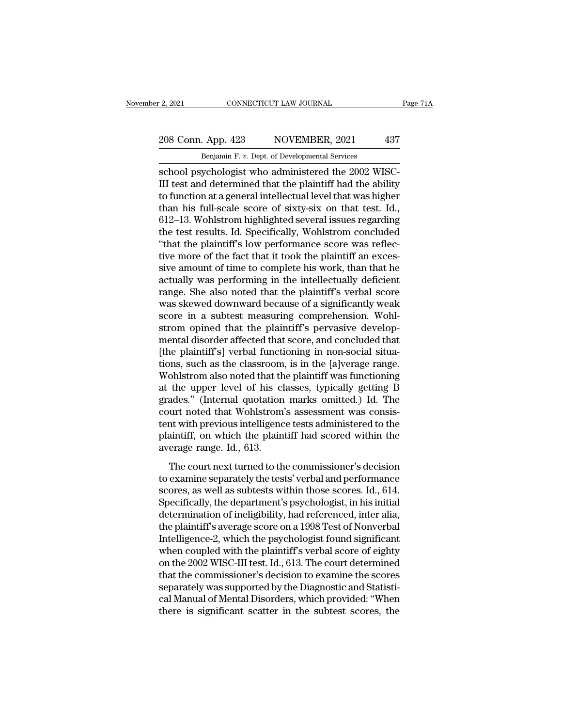# 2, 2021 CONNECTICUT LAW JOURNAL Page 71A<br>208 Conn. App. 423 NOVEMBER, 2021 437<br>Benjamin F. v. Dept. of Developmental Services

E. 2, 2021 CONNECTICUT LAW JOURNAL<br>208 Conn. App. 423 NOVEMBER, 2021 437<br>Benjamin F. *v.* Dept. of Developmental Services<br>school psychologist who administered the 2002 WISC-School psychologist who administered the 2002 WISC-<br>
School psychologist who administered the 2002 WISC-<br>
Elli test and determined that the plaintiff had the ability<br>
to function at a conoral intellectual lovel that was bi 208 Conn. App. 423 NOVEMBER, 2021 437<br>Benjamin F. v. Dept. of Developmental Services<br>School psychologist who administered the 2002 WISC-<br>III test and determined that the plaintiff had the ability<br>to function at a general i 208 Conn. App. 423 NOVEMBER, 2021 437<br>
Benjamin F. v. Dept. of Developmental Services<br>
school psychologist who administered the 2002 WISC-<br>
III test and determined that the plaintiff had the ability<br>
to function at a gene 208 Conn. App. 423 NOVEMBER, 2021 437<br>
Benjamin F. v. Dept. of Developmental Services<br>
school psychologist who administered the 2002 WISC-<br>
III test and determined that the plaintiff had the ability<br>
to function at a gener Benjamin F. v. Dept. of Developmental Services<br>
school psychologist who administered the 2002 WISC-<br>
III test and determined that the plaintiff had the ability<br>
to function at a general intellectual level that was higher<br> Benjamin F. v. Dept. of Developmental Services<br>school psychologist who administered the 2002 WISC-<br>III test and determined that the plaintiff had the ability<br>to function at a general intellectual level that was higher<br>tha school psychologist who administered the 2002 WISC-III test and determined that the plaintiff had the ability<br>to function at a general intellectual level that was higher<br>than his full-scale score of sixty-six on that test. III test and determined that the plaintiff had the ability<br>to function at a general intellectual level that was higher<br>than his full-scale score of sixty-six on that test. Id.,<br>612–13. Wohlstrom highlighted several issues to function at a general intellectual level that was higher<br>than his full-scale score of sixty-six on that test. Id.,<br>612–13. Wohlstrom highlighted several issues regarding<br>the test results. Id. Specifically, Wohlstrom con than his full-scale score of sixty-six on that test. Id.,<br>612–13. Wohlstrom highlighted several issues regarding<br>the test results. Id. Specifically, Wohlstrom concluded<br>"that the plaintiff's low performance score was refle 612–13. Wohlstrom highlighted several issues regarding<br>the test results. Id. Specifically, Wohlstrom concluded<br>"that the plaintiff's low performance score was reflec-<br>tive more of the fact that it took the plaintiff an exc the test results. Id. Specifically, Wohlstrom concluded<br>
"that the plaintiff's low performance score was reflec-<br>
tive more of the fact that it took the plaintiff an exces-<br>
sive amount of time to complete his work, than t "that the plaintiff's low performance score was reflective more of the fact that it took the plaintiff an excessive amount of time to complete his work, than that he actually was performing in the intellectually deficient tive more of the fact that it took the plaintiff an excessive amount of time to complete his work, than that he actually was performing in the intellectually deficient range. She also noted that the plaintiff's verbal scor sive amount of time to complete his work, than that he<br>actually was performing in the intellectually deficient<br>range. She also noted that the plaintiff's verbal score<br>was skewed downward because of a significantly weak<br>sco actually was performing in the intellectually deficient<br>range. She also noted that the plaintiff's verbal score<br>was skewed downward because of a significantly weak<br>score in a subtest measuring comprehension. Wohl-<br>strom op range. She also noted that the plaintiff's verbal score was skewed downward because of a significantly weak<br>score in a subtest measuring comprehension. Wohl-<br>strom opined that the plaintiff's pervasive develop-<br>mental diso was skewed downward because of a significantly weak<br>score in a subtest measuring comprehension. Wohl-<br>strom opined that the plaintiff's pervasive develop-<br>mental disorder affected that score, and concluded that<br>[the plaint score in a subtest measuring comprehension. Wohlstrom opined that the plaintiff's pervasive developmental disorder affected that score, and concluded that [the plaintiff's] verbal functioning in non-social situations, such strom opined that the plaintiff's pervasive develop-<br>mental disorder affected that score, and concluded that<br>[the plaintiff's] verbal functioning in non-social situa-<br>tions, such as the classroom, is in the [a]verage range mental disorder affected that score, and concluded that<br>[the plaintiff's] verbal functioning in non-social situa-<br>tions, such as the classroom, is in the [a]verage range.<br>Wohlstrom also noted that the plaintiff was functio [the plaintiff's] verbal functioning in non-social situations, such as the classroom, is in the [a]verage range.<br>Wohlstrom also noted that the plaintiff was functioning<br>at the upper level of his classes, typically getting tions, such as the classroom, is in the [a]verage range.<br>Wohlstrom also noted that the plaintiff was functioning<br>at the upper level of his classes, typically getting B<br>grades." (Internal quotation marks omitted.) Id. The<br>c Wohlstrom also noted that th<br>at the upper level of his cl<br>grades." (Internal quotation<br>court noted that Wohlstrom<br>tent with previous intelligenc<br>plaintiff, on which the plain<br>average range. Id., 613.<br>The court next turned and appear to the consisted, appealing to the commission and and the commission of the commission of the commissioner's decision examine separately the tests' verbal and performance orgs as well as subtosts within the comm grades. (Internal quodation marks omdeted.) Id: The<br>court noted that Wohlstrom's assessment was consis-<br>tent with previous intelligence tests administered to the<br>plaintiff, on which the plaintiff had scored within the<br>aver

scourt noted that Womstrom's assessment was consistent<br>tent with previous intelligence tests administered to the<br>plaintiff, on which the plaintiff had scored within the<br>average range. Id., 613.<br>The court next turned to the From the plaintiff, on which the plaintiff had scored within the<br>average range. Id., 613.<br>The court next turned to the commissioner's decision<br>to examine separately the tests' verbal and performance<br>scores, as well as subt plantari, or which are plantari had secred within the<br>average range. Id., 613.<br>to examine separately the tests' verbal and performance<br>scores, as well as subtests within those scores. Id., 614.<br>Specifically, the department The court next turned to the commissioner's decision<br>to examine separately the tests' verbal and performance<br>scores, as well as subtests within those scores. Id., 614.<br>Specifically, the department's psychologist, in his in The court next turned to the commissioner's decision<br>to examine separately the tests' verbal and performance<br>scores, as well as subtests within those scores. Id., 614.<br>Specifically, the department's psychologist, in his in to examine separately the tests' verbal and performance<br>scores, as well as subtests within those scores. Id., 614.<br>Specifically, the department's psychologist, in his initial<br>determination of ineligibility, had referenced, scores, as well as subtests within those scores. Id., 614.<br>Specifically, the department's psychologist, in his initial<br>determination of ineligibility, had referenced, inter alia,<br>the plaintiff's average score on a 1998 Tes Specifically, the department's psychologist, in his initial<br>determination of ineligibility, had referenced, inter alia,<br>the plaintiff's average score on a 1998 Test of Nonverbal<br>Intelligence-2, which the psychologist found determination of ineligibility, had referenced, inter alia,<br>the plaintiff's average score on a 1998 Test of Nonverbal<br>Intelligence-2, which the psychologist found significant<br>when coupled with the plaintiff's verbal score the plaintiff's average score on a 1998 Test of Nonverbal<br>Intelligence-2, which the psychologist found significant<br>when coupled with the plaintiff's verbal score of eighty<br>on the 2002 WISC-III test. Id., 613. The court det Intelligence-2, which the psychologist found significant<br>when coupled with the plaintiff's verbal score of eighty<br>on the 2002 WISC-III test. Id., 613. The court determined<br>that the commissioner's decision to examine the sc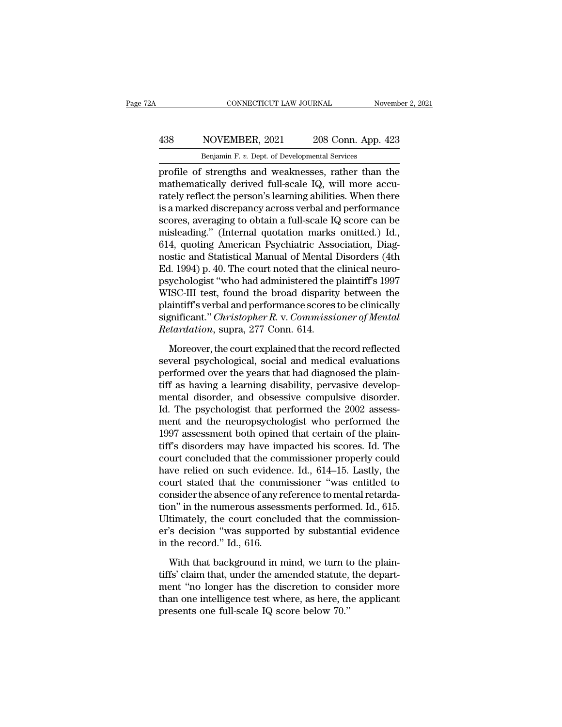## CONNECTICUT LAW JOURNAL November 2, 2021<br>
438 NOVEMBER, 2021 208 Conn. App. 423<br>
Benjamin F. v. Dept. of Developmental Services CONNECTICUT LAW JOURNAL Nov<br>
NOVEMBER, 2021 208 Conn. App. 4<br>
Benjamin F. *v.* Dept. of Developmental Services<br>
Services

CONNECTICUT LAW JOURNAL November 2, 2021<br>
138 NOVEMBER, 2021 208 Conn. App. 423<br>
Benjamin F. v. Dept. of Developmental Services<br>
profile of strengths and weaknesses, rather than the<br>
mathematically derived full-scale IQ, w MOVEMBER, 2021 208 Conn. App. 423<br>
Benjamin F. v. Dept. of Developmental Services<br>
profile of strengths and weaknesses, rather than the<br>
mathematically derived full-scale IQ, will more accu-<br>
rately reflect the person's le For all Simulary Republicance of the person's length of the person's learning abilities. When there is a marked discrepancy across verbal and performance sectors averaging to obtain a full scale IQ, scare can be seen as w **EXECUTE:** A matrix and Western and NOVE MBER, 2021 and 208 Conn. App. 423<br>
profile of strengths and weaknesses, rather than the<br>
mathematically derived full-scale IQ, will more accurately reflect the person's learning ab Benjamin F. v. Dept. of Developmental Services<br>profile of strengths and weaknesses, rather than the<br>mathematically derived full-scale IQ, will more accu-<br>rately reflect the person's learning abilities. When there<br>is a mark Benjamin F. *v.* Dept. of Developmental services<br>profile of strengths and weaknesses, rather than the<br>mathematically derived full-scale IQ, will more accu-<br>rately reflect the person's learning abilities. When there<br>is a ma profile of strengths and weaknesses, rather than the<br>mathematically derived full-scale IQ, will more accu-<br>rately reflect the person's learning abilities. When there<br>is a marked discrepancy across verbal and performance<br>sc mathematically derived full-scale IQ, will more accurately reflect the person's learning abilities. When there is a marked discrepancy across verbal and performance scores, averaging to obtain a full-scale IQ score can be rately reflect the person's learning abilities. When there<br>is a marked discrepancy across verbal and performance<br>scores, averaging to obtain a full-scale IQ score can be<br>misleading." (Internal quotation marks omitted.) Id. is a marked discrepancy across verbal and performance<br>scores, averaging to obtain a full-scale IQ score can be<br>misleading." (Internal quotation marks omitted.) Id.,<br>614, quoting American Psychiatric Association, Diag-<br>nost scores, averaging to obtain a full-scale IQ score can be<br>misleading." (Internal quotation marks omitted.) Id.,<br>614, quoting American Psychiatric Association, Diag-<br>nostic and Statistical Manual of Mental Disorders (4th<br>Ed. misleading." (Internal quotation marks omitted.) Id.,<br>614, quoting American Psychiatric Association, Diagnostic and Statistical Manual of Mental Disorders (4th<br>Ed. 1994) p. 40. The court noted that the clinical neuro-<br>psyc 614, quoting American Psychiatric Association, Diagnostic and Statistical Manual of Mental Disorders (4th Ed. 1994) p. 40. The court noted that the clinical neuropsychologist "who had administered the plaintiff's 1997 WISC nostic and Statistical Manual of Mental 1<br>*Ed.* 1994) p. 40. The court noted that the<br>psychologist "who had administered the <sub>1</sub><br>WISC-III test, found the broad disparity<br>plaintiff's verbal and performance scores<br>significan ychologist "who had administered the plaintiff's 1997<br>ISC-III test, found the broad disparity between the<br>aintiff's verbal and performance scores to be clinically<br>gnificant." *Christopher R. v. Commissioner of Mental*<br>tard WISC-III test, found the broad disparity between the<br>plaintiff's verbal and performance scores to be clinically<br>significant." *Christopher R. v. Commissioner of Mental*<br>*Retardation*, supra, 277 Conn. 614.<br>Moreover, the co

plaintiff's verbal and performance scores to be clinically<br>significant." *Christopher R. v. Commissioner of Mental*<br>Retardation, supra, 277 Conn. 614.<br>Moreover, the court explained that the record reflected<br>several psychol Example and *Christopher R. v. Commissioner of Mental*<br>Retardation, supra, 277 Conn. 614.<br>Moreover, the court explained that the record reflected<br>several psychological, social and medical evaluations<br>performed over the yea Retardation, supra, 277 Conn. 614.<br>
Moreover, the court explained that the record reflected<br>
several psychological, social and medical evaluations<br>
performed over the years that had diagnosed the plain-<br>
tiff as having a l Moreover, the court explained that the record reflected<br>several psychological, social and medical evaluations<br>performed over the years that had diagnosed the plain-<br>tiff as having a learning disability, pervasive develop-Moreover, the court explained that the record reflected<br>several psychological, social and medical evaluations<br>performed over the years that had diagnosed the plain-<br>tiff as having a learning disability, pervasive develop-<br> several psychological, social and medical evaluations<br>performed over the years that had diagnosed the plain-<br>tiff as having a learning disability, pervasive develop-<br>mental disorder, and obsessive compulsive disorder.<br>Id. performed over the years that had diagnosed the plain-<br>tiff as having a learning disability, pervasive develop-<br>mental disorder, and obsessive compulsive disorder.<br>Id. The psychologist that performed the 2002 assess-<br>ment tiff as having a learning disability, pervasive developmental disorder, and obsessive compulsive disorder.<br>Id. The psychologist that performed the 2002 assessment and the neuropsychologist who performed the<br>1997 assessment mental disorder, and obsessive compulsive disorder.<br>Id. The psychologist that performed the 2002 assessment and the neuropsychologist who performed the<br>1997 assessment both opined that certain of the plain-<br>tiff's disorder Id. The psychologist that performed the 2002 assess-<br>ment and the neuropsychologist who performed the<br>1997 assessment both opined that certain of the plain-<br>tiff's disorders may have impacted his scores. Id. The<br>court conc ment and the neuropsychologist who performed the<br>1997 assessment both opined that certain of the plain-<br>tiff's disorders may have impacted his scores. Id. The<br>court concluded that the commissioner properly could<br>have relie 1997 assessment both opined that certain of the plain-<br>tiff's disorders may have impacted his scores. Id. The<br>court concluded that the commissioner properly could<br>have relied on such evidence. Id., 614–15. Lastly, the<br>cou tiff's disorders may have impacted his scores. Id. The<br>court concluded that the commissioner properly could<br>have relied on such evidence. Id.,  $614-15$ . Lastly, the<br>court stated that the commissioner "was entitled to<br>cons court concluded that the commissioner properly could<br>have relied on such evidence. Id., 614–15. Lastly, the<br>court stated that the commissioner "was entitled to<br>consider the absence of any reference to mental retarda-<br>tion" have relied on such evidence<br>court stated that the comm<br>consider the absence of any re<br>tion" in the numerous assess<br>Ultimately, the court conclu<br>er's decision "was supporte<br>in the record." Id., 616.<br>With that background in moder the absence of any reference to mental retarda-<br>on" in the numerous assessments performed. Id., 615.<br>timately, the court concluded that the commission-<br>'s decision "was supported by substantial evidence<br>the record." tion" in the numerous assessments performed. Id., 615.<br>Ultimately, the court concluded that the commission-<br>er's decision "was supported by substantial evidence<br>in the record." Id., 616.<br>With that background in mind, we tu

Ultimately, the court concluded that the commission-<br>er's decision "was supported by substantial evidence<br>in the record." Id., 616.<br>With that background in mind, we turn to the plain-<br>tiffs' claim that, under the amended s er's decision "was supported by substantial evidence<br>in the record." Id., 616.<br>With that background in mind, we turn to the plain-<br>tiffs' claim that, under the amended statute, the depart-<br>ment "no longer has the discretio in the record." Id., 616.<br>With that background in mind, we turn to<br>tiffs' claim that, under the amended statute,<br>ment "no longer has the discretion to con<br>than one intelligence test where, as here, th<br>presents one full-sca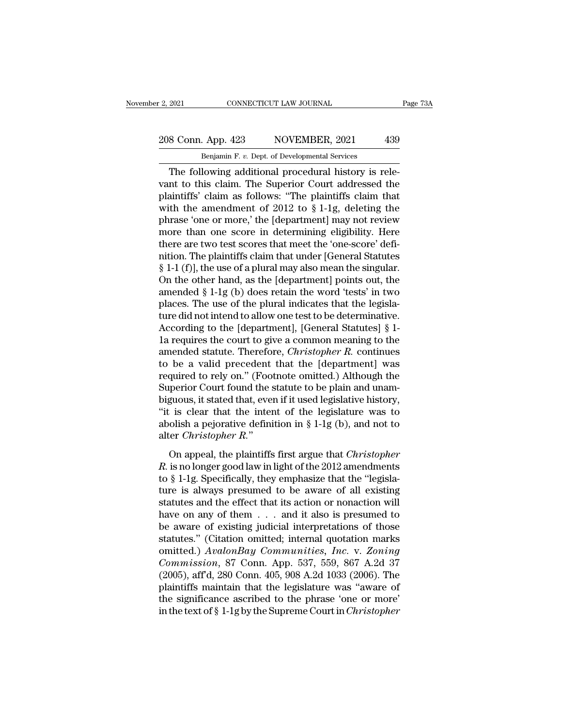## 2, 2021 CONNECTICUT LAW JOURNAL Page 73A<br>208 Conn. App. 423 NOVEMBER, 2021 439<br>Benjamin F. v. Dept. of Developmental Services E. 2, 2021 CONNECTICUT LAW JOURNAL<br>208 Conn. App. 423 NOVEMBER, 2021 439<br>Benjamin F. *v.* Dept. of Developmental Services<br>The following additional procedural history is rele-

EXECUTE 2021<br>
Solar Conn. App. 423<br>
Solar Benjamin F. v. Dept. of Developmental Services<br>
The following additional procedural history is rele-<br>
Interto this claim. The Superior Court addressed the<br>
sintiffs' claim as follo 208 Conn. App. 423 NOVEMBER, 2021 439<br>
Benjamin F. v. Dept. of Developmental Services<br>
The following additional procedural history is relevant to this claim. The Superior Court addressed the plaintiffs' claim as follows: " 208 Conn. App. 423 NOVEMBER, 2021 439<br>
Benjamin F. v. Dept. of Developmental Services<br>
The following additional procedural history is relevant to this claim. The Superior Court addressed the plaintiffs' claim as follows: 208 Conn. App. 423 NOVEMBER, 2021 439<br>
Benjamin F. v. Dept. of Developmental Services<br>
The following additional procedural history is rele-<br>
vant to this claim. The Superior Court addressed the<br>
plaintiffs' claim as follo Benjamin F. v. Dept. of Developmental Services<br>
The following additional procedural history is relevant to this claim. The Superior Court addressed the<br>
plaintiffs' claim as follows: "The plaintiffs claim that<br>
with the am Benjamin F. v. Dept. of Developmental Services<br>
The following additional procedural history is rele-<br>
vant to this claim. The Superior Court addressed the<br>
plaintiffs' claim as follows: "The plaintiffs claim that<br>
with th The following additional procedural history is relevant to this claim. The Superior Court addressed the plaintiffs' claim as follows: "The plaintiffs claim that with the amendment of 2012 to  $\S 1-1g$ , deleting the phrase vant to this claim. The Superior Court addressed the plaintiffs' claim as follows: "The plaintiffs claim that with the amendment of 2012 to  $\S 1$ -1g, deleting the phrase 'one or more,' the [department] may not review more plaintiffs' claim as follows: "The plaintiffs claim that<br>with the amendment of 2012 to  $\S 1$ -1g, deleting the<br>phrase 'one or more,' the [department] may not review<br>more than one score in determining eligibility. Here<br>ther with the amendment of 2012 to § 1-1g, deleting the<br>phrase 'one or more,' the [department] may not review<br>more than one score in determining eligibility. Here<br>there are two test scores that meet the 'one-score' defi-<br>nitio phrase 'one or more,' the [department] may not review<br>more than one score in determining eligibility. Here<br>there are two test scores that meet the 'one-score' defi-<br>nition. The plaintiffs claim that under [General Statutes more than one score in determining eligibility. Here<br>there are two test scores that meet the 'one-score' defi-<br>nition. The plaintiffs claim that under [General Statutes<br> $\S 1-1$  (f)], the use of a plural may also mean the there are two test scores that meet the 'one-score' defi-<br>nition. The plaintiffs claim that under [General Statutes<br>§ 1-1 (f)], the use of a plural may also mean the singular.<br>On the other hand, as the [department] points nition. The plaintiffs claim that under [General Statutes  $\S$  1-1 (f)], the use of a plural may also mean the singular.<br>On the other hand, as the [department] points out, the amended  $\S$  1-1g (b) does retain the word 'tes § 1-1 (f)], the use of a plural may also mean the singular.<br>On the other hand, as the [department] points out, the<br>amended § 1-1g (b) does retain the word 'tests' in two<br>places. The use of the plural indicates that the le On the other hand, as the [department] points out, the<br>amended § 1-1g (b) does retain the word 'tests' in two<br>places. The use of the plural indicates that the legisla-<br>ture did not intend to allow one test to be determinat amended § 1-1g (b) does retain the word 'tests' in two<br>places. The use of the plural indicates that the legisla-<br>ture did not intend to allow one test to be determinative.<br>According to the [department], [General Statutes] places. The use of the plural indicates that the legislature did not intend to allow one test to be determinative.<br>According to the [department], [General Statutes] § 1-<br>1a requires the court to give a common meaning to th ture did not intend to allow one test to be determinative.<br>According to the [department], [General Statutes] § 1-<br>1a requires the court to give a common meaning to the<br>amended statute. Therefore, *Christopher R*. continues According to the [department], [General Statutes] § 1-<br>1a requires the court to give a common meaning to the<br>amended statute. Therefore, *Christopher R*. continues<br>to be a valid precedent that the [department] was<br>require 1a requires the court to give a common meaning to the<br>amended statute. Therefore, *Christopher R*. continues<br>to be a valid precedent that the [department] was<br>required to rely on." (Footnote omitted.) Although the<br>Superio amended statute. Therefore, *Christopher R*. continues<br>to be a valid precedent that the [department] was<br>required to rely on." (Footnote omitted.) Although the<br>Superior Court found the statute to be plain and unam-<br>biguou to be a valid precedent that the [department] was<br>required to rely on." (Footnote omitted.) Although the<br>Superior Court found the statute to be plain and unam-<br>biguous, it stated that, even if it used legislative history, *R.* is clear to that the statute to be plaint that that, biguous, it stated that, even if it used legislative history, "it is clear that the intent of the legislature was to abolish a pejorative definition in  $\S 1-1g$  (b

biguous, it stated that, even if it used legislative history,<br>
"it is clear that the intent of the legislature was to<br>
abolish a pejorative definition in § 1-1g (b), and not to<br>
alter *Christopher R.*"<br>
On appeal, the pla to be clear and the method of the registrative was to<br>abolish a pejorative definition in § 1-1g (b), and not to<br>alter *Christopher R*."<br>On appeal, the plaintiffs first argue that *Christopher*<br>R. is no longer good law in statutes and the plaintiffs first argue that *Christopher R*.<br>
On appeal, the plaintiffs first argue that *Christopher R*. is no longer good law in light of the 2012 amendments<br>
to § 1-1g. Specifically, they emphasize tha On appeal, the plaintiffs first argue that *Christopher*<br> *R*. is no longer good law in light of the 2012 amendments<br>
to § 1-1g. Specifically, they emphasize that the "legisla-<br>
ture is always presumed to be aware of all On appeal, the plaintiffs first argue that *Christopher*<br>*R*. is no longer good law in light of the 2012 amendments<br>to § 1-1g. Specifically, they emphasize that the "legisla-<br>ture is always presumed to be aware of all exi R. is no longer good law in light of the 2012 amendments<br>to § 1-1g. Specifically, they emphasize that the "legisla-<br>ture is always presumed to be aware of all existing<br>statutes and the effect that its action or nonaction to § 1-1g. Specifically, they emphasize that the "legislature is always presumed to be aware of all existing<br>statutes and the effect that its action or nonaction will<br>have on any of them . . . and it also is presumed to<br>be ture is always presumed to be aware of all existing<br>
statutes and the effect that its action or nonaction will<br>
have on any of them . . . and it also is presumed to<br>
be aware of existing judicial interpretations of those<br> statutes and the effect that its action or nonaction will<br>have on any of them . . . and it also is presumed to<br>be aware of existing judicial interpretations of those<br>statutes." (Citation omitted; internal quotation marks<br>o have on any of them  $\ldots$  and it also is presumed to<br>be aware of existing judicial interpretations of those<br>statutes." (Citation omitted; internal quotation marks<br>omitted.) AvalonBay Communities, Inc. v. Zoning<br>Commission be aware of existing judicial interpretations of those statutes." (Citation omitted; internal quotation marks omitted.)  $AvalongBay\ Communities, Inc.$  v.  $Zoning\ Commission, 87$  Conn. App. 537, 559, 867 A.2d 37 (2005), aff'd, 280 Conn. 405, 908 A.2 statutes." (Citation omitted; internal quotation marks<br>omitted.) AvalonBay Communities, Inc. v. Zoning<br>Commission, 87 Conn. App. 537, 559, 867 A.2d 37<br>(2005), aff'd, 280 Conn. 405, 908 A.2d 1033 (2006). The<br>plaintiffs main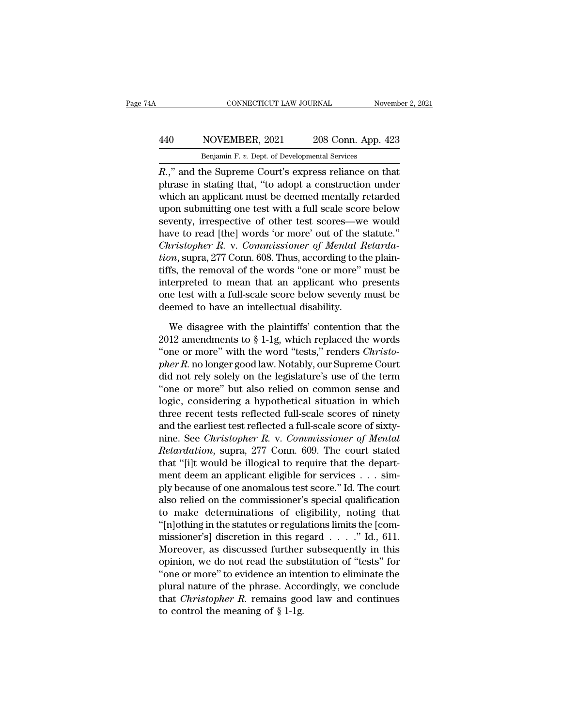## CONNECTICUT LAW JOURNAL November 2, 2021<br>
440 NOVEMBER, 2021 208 Conn. App. 423<br>
Benjamin F. v. Dept. of Developmental Services CONNECTICUT LAW JOURNAL November 2, 2021<br>Benjamin F. *v.* Dept. of Developmental Services<br>R.," and the Supreme Court's express reliance on that

CONNECTICUT LAW JOURNAL November 2, 202<br> **R.** NOVEMBER, 2021 208 Conn. App. 423<br> **R.,''** and the Supreme Court's express reliance on that<br>
phrase in stating that, "to adopt a construction under<br>
which are applicant must be MOVEMBER, 2021 208 Conn. App. 423<br>
Benjamin F. v. Dept. of Developmental Services<br>
R.," and the Supreme Court's express reliance on that<br>
phrase in stating that, "to adopt a construction under<br>
which an applicant must be d  $\frac{\text{Benjamin F. v. Dept. of Developmental Services}}{ \text{Benjamin F. v. Dept. of Developmental Services}}$ <br> *R.*," and the Supreme Court's express reliance on that phrase in stating that, "to adopt a construction under which an applicant must be deemed mentally retarded upon submitting on 440 NOVEMBER, 2021 208 Conn. App. 423<br>
Benjamin F. v. Dept. of Developmental Services<br>  $R$ .," and the Supreme Court's express reliance on that<br>
phrase in stating that, "to adopt a construction under<br>
which an applicant mu Benjamin F. v. Dept. of Developmental Services<br>  $R$ .," and the Supreme Court's express reliance on that<br>
phrase in stating that, "to adopt a construction under<br>
which an applicant must be deemed mentally retarded<br>
upon su  $R$ ," and the Supreme Court's express reliance on that<br>phrase in stating that, "to adopt a construction under<br>which an applicant must be deemed mentally retarded<br>upon submitting one test with a full scale score below<br>seve *R.*," and the Supreme Court's express reliance on that phrase in stating that, "to adopt a construction under which an applicant must be deemed mentally retarded upon submitting one test with a full scale score below seve phrase in stating that, "to adopt a construction under<br>which an applicant must be deemed mentally retarded<br>upon submitting one test with a full scale score below<br>seventy, irrespective of other test scores—we would<br>have to which an applicant must be deemed mentally retarded<br>upon submitting one test with a full scale score below<br>seventy, irrespective of other test scores—we would<br>have to read [the] words 'or more' out of the statute."<br>*Christ* upon submitting one test with a full scale score below<br>seventy, irrespective of other test scores—we would<br>have to read [the] words 'or more' out of the statute."<br>*Christopher R. v. Commissioner of Mental Retarda-*<br>*tion*, seventy, irrespective of other test scores—we would<br>have to read [the] words 'or more' out of the statute."<br>*Christopher R. v. Commissioner of Mental Retarda-<br>tion*, supra, 277 Conn. 608. Thus, according to the plain-<br>tiff have to read [the] words 'or more' out of the s<br>Christopher R. v. Commissioner of Mental H<br>tion, supra, 277 Conn. 608. Thus, according to the<br>tiffs, the removal of the words "one or more"<br>interpreted to mean that an applic by disagree with the plaintiffs, which is also an interface with the plaintiffs, the removal of the words "one or more" must be terpreted to mean that an applicant who presents is the test with a full-scale score below se tiffs, the removal of the words "one or more" must be<br>interpreted to mean that an applicant who presents<br>one test with a full-scale score below seventy must be<br>deemed to have an intellectual disability.<br>We disagree with t

interpreted to mean that an applicant who presents<br>one test with a full-scale score below seventy must be<br>deemed to have an intellectual disability.<br>We disagree with the plaintiffs' contention that the<br>2012 amendments to § one test with a full-scale score below seventy must be<br>deemed to have an intellectual disability.<br>We disagree with the plaintiffs' contention that the<br>2012 amendments to § 1-1g, which replaced the words<br>"one or more" with deemed to have an intellectual disability.<br>
We disagree with the plaintiffs' contention that the<br>
2012 amendments to § 1-1g, which replaced the words<br>
"one or more" with the word "tests," renders *Christo-<br>
pher R*. no lon We disagree with the plaintiffs' contention that the 2012 amendments to  $\S 1$ -1g, which replaced the words<br>"one or more" with the word "tests," renders *Christo-*<br>pher R. no longer good law. Notably, our Supreme Court<br>did We disagree with the plaintiffs' contention that the<br>2012 amendments to § 1-1g, which replaced the words<br>"one or more" with the word "tests," renders *Christo-<br>pher R*. no longer good law. Notably, our Supreme Court<br>did n 2012 amendments to § 1-1g, which replaced the words<br>"one or more" with the word "tests," renders *Christo-*<br>pher R. no longer good law. Notably, our Supreme Court<br>did not rely solely on the legislature's use of the term<br>" "one or more" with the word "tests," renders *Christo-*<br>*pher R*. no longer good law. Notably, our Supreme Court<br>did not rely solely on the legislature's use of the term<br>"one or more" but also relied on common sense and<br>l pher R. no longer good law. Notably, our Supreme Court<br>did not rely solely on the legislature's use of the term<br>"one or more" but also relied on common sense and<br>logic, considering a hypothetical situation in which<br>three r did not rely solely on the legislature's use of the term<br>"one or more" but also relied on common sense and<br>logic, considering a hypothetical situation in which<br>three recent tests reflected full-scale scores of ninety<br>and t "one or more" but also relied on common sense and<br>logic, considering a hypothetical situation in which<br>three recent tests reflected full-scale scores of ninety<br>and the earliest test reflected a full-scale score of sixty-<br> logic, considering a hypothetical situation in which<br>three recent tests reflected full-scale scores of ninety<br>and the earliest test reflected a full-scale score of sixty-<br>nine. See *Christopher R*. v. *Commissioner of Men* three recent tests reflected full-scale scores of ninety<br>and the earliest test reflected a full-scale score of sixty-<br>nine. See *Christopher R. v. Commissioner of Mental*<br>*Retardation*, supra, 277 Conn. 609. The court stat and the earliest test reflected a full-scale score of sixty-<br>nine. See *Christopher R. v. Commissioner of Mental*<br>*Retardation*, supra, 277 Conn. 609. The court stated<br>that "[i]t would be illogical to require that the depa mine. See *Christopher R. v. Commissioner of Mental*<br>*Retardation*, supra, 277 Conn. 609. The court stated<br>that "[i]t would be illogical to require that the depart-<br>ment deem an applicant eligible for services . . . sim-<br> Retardation, supra, 277 Conn. 609. The court stated<br>that "[i]t would be illogical to require that the depart-<br>ment deem an applicant eligible for services . . . sim-<br>ply because of one anomalous test score." Id. The court that "[i]t would be illogical to require that the depart-<br>ment deem an applicant eligible for services . . . sim-<br>ply because of one anomalous test score." Id. The court<br>also relied on the commissioner's special qualifica ment deem an applicant eligible for services  $\dots$  sim-<br>ply because of one anomalous test score." Id. The court<br>also relied on the commissioner's special qualification<br>to make determinations of eligibility, noting that<br>"[n ply because of one anomalous test score." Id. The court<br>also relied on the commissioner's special qualification<br>to make determinations of eligibility, noting that<br>"[n]othing in the statutes or regulations limits the [com-<br> also relied on the commissioner's special qualification<br>to make determinations of eligibility, noting that<br>"[n]othing in the statutes or regulations limits the [com-<br>missioner's] discretion in this regard  $\ldots$ ." Id., 611 to make determinations of eligibility, noting that<br>
"[n]othing in the statutes or regulations limits the [com-<br>
missioner's] discretion in this regard  $\ldots$ ." Id., 611.<br>
Moreover, as discussed further subsequently in this "[n]othing in the statutes or regulations limits the [commissioner's] discretion in this regard  $\ldots$ ." Id., 611.<br>Moreover, as discussed further subsequently in this opinion, we do not read the substitution of "tests" for missioner's] discretion in this re<br>Moreover, as discussed further<br>opinion, we do not read the subs<br>"one or more" to evidence an inte<br>plural nature of the phrase. Acco<br>that *Christopher R*. remains goo<br>to control the meanin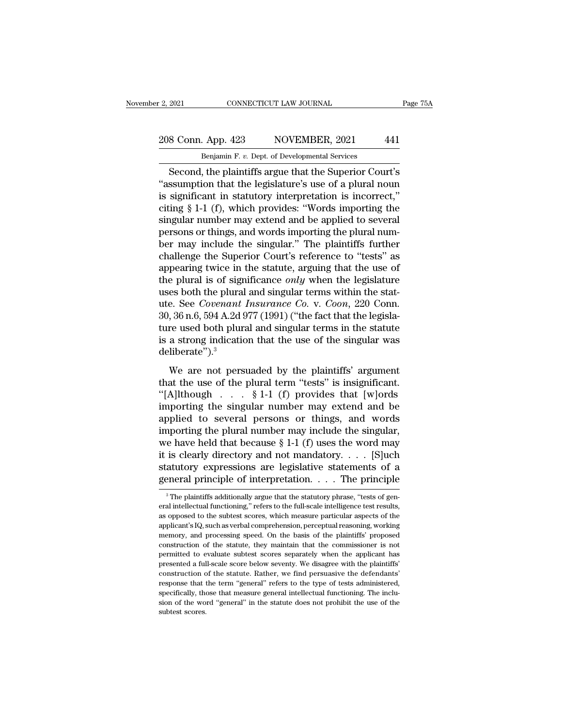## 2, 2021 CONNECTICUT LAW JOURNAL Page 75A<br>208 Conn. App. 423 NOVEMBER, 2021 441<br>Benjamin F. v. Dept. of Developmental Services E. 2, 2021 CONNECTICUT LAW JOURNAL<br>208 Conn. App. 423 NOVEMBER, 2021 441<br>Benjamin F. *v.* Dept. of Developmental Services<br>Second, the plaintiffs argue that the Superior Court's

Example 2021<br>
Second, App. 423 NOVEMBER, 2021<br>
Benjamin F. v. Dept. of Developmental Services<br>
Second, the plaintiffs argue that the Superior Court's<br>
Sesumption that the legislature's use of a plural noun<br>
significant in 208 Conn. App. 423 NOVEMBER, 2021 441<br>
Benjamin F. v. Dept. of Developmental Services<br>
Second, the plaintiffs argue that the Superior Court's<br>
"assumption that the legislature's use of a plural noun<br>
is significant in stat 208 Conn. App. 423 NOVEMBER, 2021 441<br>
Benjamin F. v. Dept. of Developmental Services<br>
Second, the plaintiffs argue that the Superior Court's<br>
"assumption that the legislature's use of a plural noun<br>
is significant in sta 208 Conn. App. 423 NOVEMBER, 2021 441<br>
Benjamin F. v. Dept. of Developmental Services<br>
Second, the plaintiffs argue that the Superior Court's<br>
"assumption that the legislature's use of a plural noun<br>
is significant in sta Benjamin F. v. Dept. of Developmental Services<br>Second, the plaintiffs argue that the Superior Court's<br>"assumption that the legislature's use of a plural noun<br>is significant in statutory interpretation is incorrect,"<br>citing Benjamin F. v. Dept. or Developmental Services<br>
Second, the plaintiffs argue that the Superior Court's<br>
"assumption that the legislature's use of a plural noun<br>
is significant in statutory interpretation is incorrect,"<br>
ci Second, the plaintiffs argue that the Superior Court's<br>
"assumption that the legislature's use of a plural noun<br>
is significant in statutory interpretation is incorrect,"<br>
citing  $\S$  1-1 (f), which provides: "Words import "assumption that the legislature's use of a plural noun<br>is significant in statutory interpretation is incorrect,"<br>citing  $§$  1-1 (f), which provides: "Words importing the<br>singular number may extend and be applied to sever is significant in statutory interpretation is incorrect,"<br>citing § 1-1 (f), which provides: "Words importing the<br>singular number may extend and be applied to several<br>persons or things, and words importing the plural num-<br> citing § 1-1 (f), which provides: "Words importing the<br>singular number may extend and be applied to several<br>persons or things, and words importing the plural num-<br>ber may include the singular." The plaintiffs further<br>chall singular number may extend and be applied to several<br>persons or things, and words importing the plural num-<br>ber may include the singular." The plaintiffs further<br>challenge the Superior Court's reference to "tests" as<br>appe persons or things, and words importing the plural num-<br>ber may include the singular." The plaintiffs further<br>challenge the Superior Court's reference to "tests" as<br>appearing twice in the statute, arguing that the use of<br>th ber may include the singular." The plaintiffs further challenge the Superior Court's reference to "tests" as appearing twice in the statute, arguing that the use of the plural is of significance *only* when the legislature challenge the Superior Court's reference to "tests" as<br>appearing twice in the statute, arguing that the use of<br>the plural is of significance *only* when the legislature<br>uses both the plural and singular terms within the s appearing twice in the statute, arguing that the use of<br>the plural is of significance *only* when the legislature<br>uses both the plural and singular terms within the stat-<br>ute. See *Covenant Insurance Co.* v. *Coon*, 220 C deliberate").<sup>3</sup> E. See *Covenant Insurance Co.* v. *Coon*, 220 Conn.<br>
36 n.6, 594 A.2d 977 (1991) ("the fact that the legisla-<br>
re used both plural and singular terms in the statute<br>
a strong indication that the use of the singular was<br> 30, 36 n.6, 594 A.2d 977 (1991) ("the fact that the legislature used both plural and singular terms in the statute<br>is a strong indication that the use of the singular was<br>deliberate").<sup>3</sup><br>We are not persuaded by the plain

ture used both plural and singular terms in the statute<br>ture used both plural and singular terms in the statute<br>diberate").<sup>3</sup><br>We are not persuaded by the plaintiffs' argument<br>that the use of the plural term "tests" is in is a strong indication that the use of the singular was<br>deliberate").<sup>3</sup><br>We are not persuaded by the plaintiffs' argument<br>that the use of the plural term "tests" is insignificant.<br>"[A]lthough . . . . § 1-1 (f) provides th deliberate").<sup>3</sup><br>We are not persuaded by the plaintiffs' argument<br>that the use of the plural term "tests" is insignificant.<br>"[A]lthough . . . . § 1-1 (f) provides that [w]ords<br>importing the singular number may extend and We are not persuaded by the plaintiffs' argument<br>that the use of the plural term "tests" is insignificant.<br>"[A]lthough . . . § 1-1 (f) provides that [w]ords<br>importing the singular number may extend and be<br>applied to sever We are not persuaded by the plaintiffs' argument<br>that the use of the plural term "tests" is insignificant.<br>"[A]lthough . . . § 1-1 (f) provides that [w]ords<br>importing the singular number may extend and be<br>applied to sever that the use of the plural term "tests" is insignificant.<br>
"[A]lthough . . . . § 1-1 (f) provides that [w]ords<br>
importing the singular number may extend and be<br>
applied to several persons or things, and words<br>
importing t "[A]lthough . . . § 1-1 (f) provides that [w]ords<br>importing the singular number may extend and be<br>applied to several persons or things, and words<br>importing the plural number may include the singular,<br>we have held that bec importing the singular number may extend and be<br>applied to several persons or things, and words<br>importing the plural number may include the singular,<br>we have held that because § 1-1 (f) uses the word may<br>it is clearly dir we have held that because  $\S$  1-1 (f) uses the word may<br>it is clearly directory and not mandatory. . . . . [S]uch<br>statutory expressions are legislative statements of a<br>general principle of interpretation. . . . The princi it is clearly directory and not mandatory. . . . . [S]uch statutory expressions are legislative statements of a general principle of interpretation. . . . The principle  $\frac{3}{10}$  The plaintiffs additionally argue that th

statutory expressions are legislative statements of a general principle of interpretation. . . . The principle  $\frac{3}{10}$  The plaintiffs additionally argue that the statutory phrase, "tests of general intellectual functio applicant's IQ, such as verbal comprehension, perceptual reasoning, working <sup>3</sup> The plaintiffs additionally argue that the statutory phrase, "tests of general intellectual functioning," refers to the full-scale intelligence test results, as opposed to the subtest scores, which measure particular <sup>3</sup> The plaintiffs additionally argue that the statutory phrase, "tests of general intellectual functioning," refers to the full-scale intelligence test results, as opposed to the subtest scores, which measure particular eral intellectual functioning," refers to the full-scale intelligence test results, as opposed to the subtest scores, which measure particular aspects of the applicant's IQ, such as verbal comprehension, perceptual reasoni as opposed to the subtest scores, which measure particular aspects of the applicant's IQ, such as verbal comprehension, perceptual reasoning, working memory, and processing speed. On the basis of the plaintiffs' proposed c applicant's IQ, such as verbal comprehension, perceptual reasoning, working<br>applicant's IQ, such as verbal comprehension, perceptual reasoning, working<br>memory, and processing speed. On the basis of the plaintiffs' proposed memory, and processing speed. On the basis of the plaintiffs' proposed construction of the statute, they maintain that the commissioner is not permitted to evaluate subtest scores separately when the applicant has presente construction of the statute, they maintain that the commissioner is not permitted to evaluate subtest scores separately when the applicant has presented a full-scale score below seventy. We disagree with the plaintiffs' co permitted to evaluate subtest scores separately when the applicant has<br>presented a full-scale score below seventy. We disagree with the plaintiffs'<br>construction of the statute. Rather, we find persuasive the defendants'<br>re presented a full-scale score below seventy. We disagree with the plaintiffs'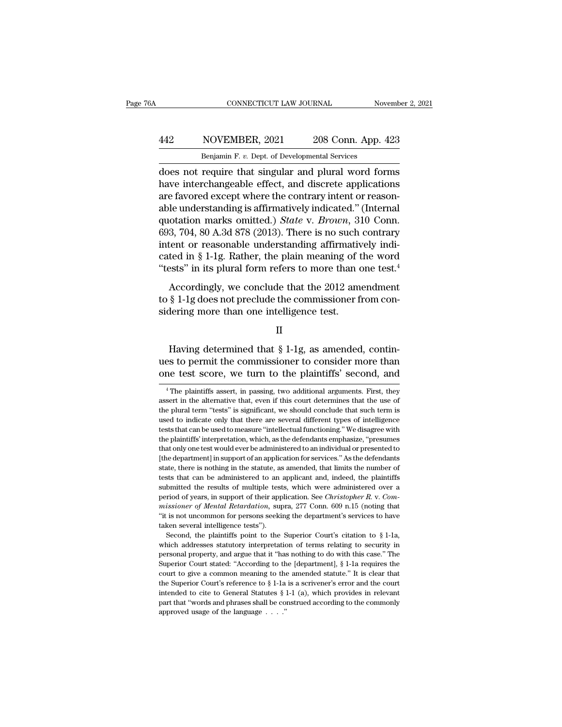## CONNECTICUT LAW JOURNAL November 2, 2021<br>
442 NOVEMBER, 2021 208 Conn. App. 423<br>
Benjamin F. v. Dept. of Developmental Services CONNECTICUT LAW JOURNAL November 2, 2021<br>Benjamin F. *v.* Dept. of Developmental Services<br>does not require that singular and plural word forms

CONNECTICUT LAW JOURNAL November 2, 2021<br>
MOVEMBER, 2021 208 Conn. App. 423<br>
Benjamin F. v. Dept. of Developmental Services<br>
does not require that singular and plural word forms<br>
have interchangeable effect, and discrete a MOVEMBER, 2021 208 Conn. App. 423<br>
Benjamin F. v. Dept. of Developmental Services<br>
does not require that singular and plural word forms<br>
have interchangeable effect, and discrete applications<br>
are favored except where the 442 NOVEMBER, 2021 208 Conn. App. 423<br> **Benjamin F. v. Dept. of Developmental Services**<br>
does not require that singular and plural word forms<br>
have interchangeable effect, and discrete applications<br>
are favored except whe A42 NOVEMBER, 2021 208 Conn. App. 423<br>
Benjamin F. v. Dept. of Developmental Services<br>
does not require that singular and plural word forms<br>
have interchangeable effect, and discrete applications<br>
are favored except where Benjamin F. *v.* Dept. of Developmental Services<br>does not require that singular and plural word forms<br>have interchangeable effect, and discrete applications<br>are favored except where the contrary intent or reason-<br>able unde Benjamin F. *v.* Dept. of Developmental services<br>does not require that singular and plural word forms<br>have interchangeable effect, and discrete applications<br>are favored except where the contrary intent or reason-<br>able und does not require that singular and plural word forms<br>have interchangeable effect, and discrete applications<br>are favored except where the contrary intent or reason-<br>able understanding is affirmatively indicated." (Internal have interchangeable effect, and discrete applications<br>are favored except where the contrary intent or reason-<br>able understanding is affirmatively indicated." (Internal<br>quotation marks omitted.) *State* v. *Brown*, 310 Co are favored except where the contrary intent or reasonable understanding is affirmatively indicated." (Internal quotation marks omitted.) *State v. Brown*, 310 Conn. 693, 704, 80 A.3d 878 (2013). There is no such contrary Le and<br>otation marks omitted.) State v. Brown, 310 Conn.<br>3, 704, 80 A.3d 878 (2013). There is no such contrary<br>tent or reasonable understanding affirmatively indi-<br>ted in § 1-1g. Rather, the plain meaning of the word<br>ests  $693, 704, 80$  A.3d  $878$  (2013). There is no such contrary<br>intent or reasonable understanding affirmatively indicated in § 1-1g. Rather, the plain meaning of the word<br>"tests" in its plural form refers to more than one te sider, i.e., or more test. (2019). There is no seen<br>intent or reasonable understanding affirmative<br>cated in § 1-1g. Rather, the plain meaning of t<br>"tests" in its plural form refers to more than of<br>Accordingly, we conclude

Accordingly, we conclude that the 2012 amendment<br>  $\S$  1-1g does not preclude the commissioner from con-<br>
dering more than one intelligence test.<br>  $\Pi$ <br>
Having determined that  $\S$  1-1g, as amended, contin-<br>
s to permit the

II

Accordingly, we conclude that the 2012 amendment<br>to  $\S$  1-1g does not preclude the commissioner from considering more than one intelligence test.<br>II<br>Having determined that  $\S$  1-1g, as amended, contin-<br>ues to permit the c to § 1-1g does not preclude the commissioner from considering more than one intelligence test.<br>  $II$ <br>
Having determined that § 1-1g, as amended, continues to permit the commissioner to consider more than<br>
one test score, w Having determined that  $\S$  1-1g, as amended, contin-<br>es to permit the commissioner to consider more than<br>me test score, we turn to the plaintiffs' second, and<br><sup>4</sup>The plaintiffs assert, in passing, two additional arguments Having determined that  $\S 1-1g$ , as amended, continues to permit the commissioner to consider more than one test score, we turn to the plaintiffs' second, and  $\overline{ }^4$ The plaintiffs assert, in passing, two additional arg

ues to permit the commissioner to consider more than<br>one test score, we turn to the plaintiffs' second, and<br><sup>4</sup>The plaintiffs assert, in passing, two additional arguments. First, they<br>assert in the alternative that, even i net to the plaintiffs' second, and<br>
<sup>4</sup> The plaintiffs assert, in passing, two additional arguments. First, they<br>
assert in the alternative that, even if this court determines that the use of<br>
the plural term "tests" is si The plaintiffs assert, in passing, two additional arguments. First, they<br>
assert in the alternative that, even if this court determines that the use of<br>
the plural term "tests" is significant, we should conclude that such <sup>4</sup> The plaintiffs assert, in passing, two additional arguments. First, they assert in the alternative that, even if this court determines that the use of the plural term "tests" is significant, we should conclude that su assert in the alternative that, even if this court determines that the use of the plural term "tests" is significant, we should conclude that such term is used to indicate only that there are several different types of int the plural term "tests" is significant, we should conclude that such term is used to indicate only that there are several different types of intelligence tests that can be used to measure "intellectual functioning." We dis as the indicate only that there are several different types of intelligence used to indicate only that there are several different types of intelligence tests that can be used to measure "intellectual functioning." We disa tests that can be used to measure "intellectual functioning." We disagree with<br>the plaintiffs' interpretation, which, as the defendants emphasize, "presumes<br>that only one test would ever be administered to an individual or the plaintiffs' interpretation, which, as the defendants emphasize, "presumes that only one test would ever be administered to an individual or presented to the department] in support of an application for services." As t the plaintiffs' interpretation, which, as the defendants emphasize, "presumes<br>that only one test would ever be administered to an individual or presented to<br>[the department] in support of an application for services." As t *maximum of methal margetian and and in presention* of the department] in support of an application for services." As the defendants state, there is nothing in the statute, as amended, that limits the number of tests that tractions, there is nothing in the statute, as amended, that limits the number of tests that can be administered to an applicant and, indeed, the plaintiffs submitted the results of multiple tests, which were administered beast stat can be administered to an<br>tests that can be administered to an<br>submitted the results of multiple test<br>period of years, in support of their app<br>*missioner of Mental Retardation*, sur-<br>"it is not uncommon for pers Second, the plaintiffs point of their application. See *Christopher R. v. Com*-<br>Second of years, in support of their application. See *Christopher R. v. Com-*<br>sisioner of *Mental Retardation*, supra, 277 Conn. 609 n.15 (n period of years, in support of their application. See *Christopher R. v. Commissioner of Mental Retardation*, supra, 277 Conn. 609 n.15 (noting that "it is not uncommon for persons seeking the department's services to hav

*missioner of Mental Retardation*, supra, 277 Conn. 609 n.15 (noting that "it is not uncommon for persons seeking the department's services to have taken several intelligence tests").<br>Second, the plaintiffs point to the S "It is not uncommon for persons seeking the department's services to have taken several intelligence tests").<br>Second, the plaintiffs point to the Superior Court's citation to  $\S 1$ -1a, which addresses statutory interpreta Example 12 and intelligence tests").<br>
Second, the plaintiffs point to the Superior Court's citation to § 1-1a,<br>
which addresses statutory interpretation of terms relating to security in<br>
personal property, and argue that Second, the plaintiffs point to the Superior Court's citation to § 1-1a, Second, the plaintiffs point to the Superior of terms relating to security in personal property, and argue that it "has nothing to do with this case which addresses statutory interpretation of terms relating to security in personal property, and argue that it "has nothing to do with this case." The Superior Court stated: "According to the [department],  $§ 1$ -1a requir personal property, and argue that it "has nothing to do with this case." The Superior Court stated: "According to the [department], § 1-1a requires the court to give a common meaning to the amended statute." It is clear t personal property, and argue that it "has nothing to do with this case." The Superior Court stated: "According to the [department], § 1-1a requires the court to give a common meaning to the amended statute." It is clear t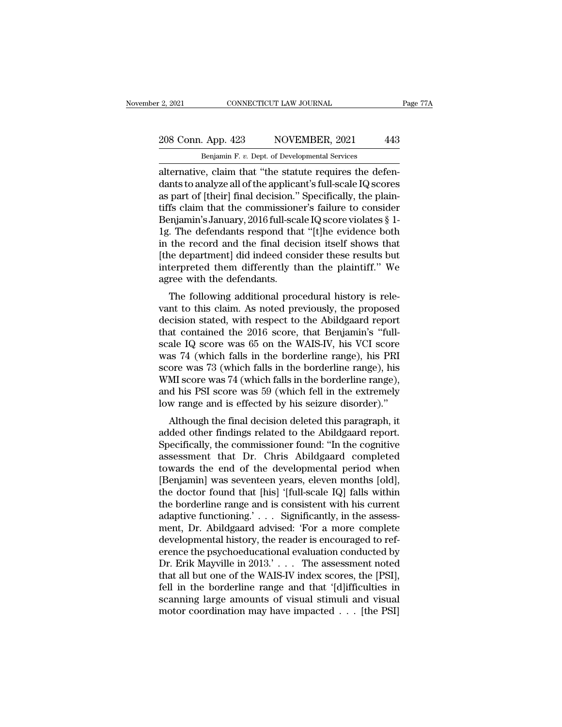### 208 Conn. App. 423 NOVEMBER, 2021 443<br>Benjamin F. v. Dept. of Developmental Services CONNECTICUT LAW JOURNAL<br>Benjamin F. *v.* Dept. of Developmental Services<br>Benjamin F. *v.* Dept. of Developmental Services<br>e claim that "the statute requires the def

2, 2021 CONNECTICUT LAW JOURNAL<br>
208 Conn. App. 423 NOVEMBER, 2021 443<br>
Benjamin F. v. Dept. of Developmental Services<br>
alternative, claim that "the statute requires the defen-<br>
dants to analyze all of the applicant's full 208 Conn. App. 423 NOVEMBER, 2021 443<br>Benjamin F. v. Dept. of Developmental Services<br>alternative, claim that "the statute requires the defen-<br>dants to analyze all of the applicant's full-scale IQ scores<br>as part of [their] 208 Conn. App. 423 NOVEMBER, 2021 443<br>
Benjamin F. v. Dept. of Developmental Services<br>
alternative, claim that "the statute requires the defen-<br>
dants to analyze all of the applicant's full-scale IQ scores<br>
as part of [th 208 Conn. App. 423 NOVEMBER, 2021 443<br>
Benjamin F. v. Dept. of Developmental Services<br>
alternative, claim that "the statute requires the defen-<br>
dants to analyze all of the applicant's full-scale IQ scores<br>
as part of [th Benjamin F. v. Dept. of Developmental Services<br>alternative, claim that "the statute requires the defen-<br>dants to analyze all of the applicant's full-scale IQ scores<br>as part of [their] final decision." Specifically, the pla Benjamin F. v. Dept. of Developmental Services<br>alternative, claim that "the statute requires the defen-<br>dants to analyze all of the applicant's full-scale IQ scores<br>as part of [their] final decision." Specifically, the pl alternative, claim that "the statute requires the defendants to analyze all of the applicant's full-scale IQ scores<br>as part of [their] final decision." Specifically, the plain-<br>tiffs claim that the commissioner's failure t dants to analyze all of the applicant's full-scale IQ scores<br>as part of [their] final decision." Specifically, the plain-<br>tiffs claim that the commissioner's failure to consider<br>Benjamin's January, 2016 full-scale IQ score as part of [their] final decision." Specifically, the plaintiffs claim that the commissioner's failure to consider Benjamin's January, 2016 full-scale IQ score violates § 1-1g. The defendants respond that "[t]he evidence b tiffs claim that the commissione<br>Benjamin's January, 2016 full-sca<br>1g. The defendants respond tha<br>in the record and the final dec<br>[the department] did indeed con<br>interpreted them differently th<br>agree with the defendants.<br>T Figure Santuary, 2010 fun-scale registore violates y 1-<br>The defendants respond that "[t]he evidence both<br>the record and the final decision itself shows that<br>ne department] did indeed consider these results but<br>terpreted th rg. The defendants respond that [t]he evidence both<br>in the record and the final decision itself shows that<br>[the department] did indeed consider these results but<br>interpreted them differently than the plaintiff." We<br>agree w

It the record and the final decision itself shows that<br>
[the department] did indeed consider these results but<br>
interpreted them differently than the plaintiff." We<br>
agree with the defendants.<br>
The following additional pr The department did moded consider these results but<br>interpreted them differently than the plaintiff." We<br>agree with the defendants.<br>The following additional procedural history is rele-<br>vant to this claim. As noted previous interpreted them unterently than the plaintin. We<br>agree with the defendants.<br>The following additional procedural history is rele-<br>vant to this claim. As noted previously, the proposed<br>decision stated, with respect to the A agree with the detendants.<br>The following additional procedural history is relevant to this claim. As noted previously, the proposed<br>decision stated, with respect to the Abildgaard report<br>that contained the 2016 score, that The following additional procedural history is relevant to this claim. As noted previously, the proposed decision stated, with respect to the Abildgaard report that contained the 2016 score, that Benjamin's "full-<br>scale IQ vant to this claim. As noted previously, the proposed<br>decision stated, with respect to the Abildgaard report<br>that contained the 2016 score, that Benjamin's "full-<br>scale IQ score was 65 on the WAIS-IV, his VCI score<br>was 74 decision stated, with respect to the Abildgaard report<br>that contained the 2016 score, that Benjamin's "full-<br>scale IQ score was 65 on the WAIS-IV, his VCI score<br>was 74 (which falls in the borderline range), his<br>score was 7 that contained the 2016 score, that Benjamin's "full-<br>scale IQ score was 65 on the WAIS-IV, his VCI score<br>was 74 (which falls in the borderline range), his PRI<br>score was 73 (which falls in the borderline range), his<br>WMI sc ale R<sub>&</sub> score was 65 on the wans-ry, his ver score<br>as 74 (which falls in the borderline range), his PRI<br>ore was 73 (which falls in the borderline range), his<br>MI score was 74 (which falls in the borderline range),<br>d his PS was 74 (which falls in the borderline range), his FNI<br>score was 73 (which falls in the borderline range), his<br>WMI score was 74 (which falls in the borderline range),<br>and his PSI score was 59 (which fell in the extremely<br>lo

Score was 73 (which falls in the borderline range), the WMI score was 74 (which falls in the borderline range), and his PSI score was 59 (which fell in the extremely low range and is effected by his seizure disorder)."<br>Alt whilf score was 74 (which fails in the borderline range),<br>and his PSI score was 59 (which fell in the extremely<br>low range and is effected by his seizure disorder)."<br>Although the final decision deleted this paragraph, it<br>ad and its 1 St score was 33 (which fell in the extremely<br>low range and is effected by his seizure disorder)."<br>Although the final decision deleted this paragraph, it<br>added other findings related to the Abildgaard report.<br>Spec Follow range and is enected by its seizure disorder).<br>
Although the final decision deleted this paragraph, it<br>
added other findings related to the Abildgaard report.<br>
Specifically, the commissioner found: "In the cognitive Although the final decision deleted this paragraph, it<br>added other findings related to the Abildgaard report.<br>Specifically, the commissioner found: "In the cognitive<br>assessment that Dr. Chris Abildgaard completed<br>towards t added other findings related to the Abildgaard report.<br>Specifically, the commissioner found: "In the cognitive<br>assessment that Dr. Chris Abildgaard completed<br>towards the end of the developmental period when<br>[Benjamin] was Specifically, the commissioner found: "In the cognitive<br>assessment that Dr. Chris Abildgaard completed<br>towards the end of the developmental period when<br>[Benjamin] was seventeen years, eleven months [old],<br>the doctor found assessment that Dr. Chris Abildgaard completed<br>towards the end of the developmental period when<br>[Benjamin] was seventeen years, eleven months [old],<br>the doctor found that [his] '[full-scale IQ] falls within<br>the borderline towards the end of the developmental period when<br>[Benjamin] was seventeen years, eleven months [old],<br>the doctor found that [his] '[full-scale IQ] falls within<br>the borderline range and is consistent with his current<br>adapt [Benjamin] was seventeen years, eleven months [old],<br>the doctor found that [his] '[full-scale IQ] falls within<br>the borderline range and is consistent with his current<br>adaptive functioning.' . . . Significantly, in the ass the doctor found that [his] '[full-scale IQ] falls within<br>the borderline range and is consistent with his current<br>adaptive functioning.' . . . Significantly, in the assess-<br>ment, Dr. Abildgaard advised: 'For a more complet the borderline range and is consistent with his current<br>adaptive functioning.' . . . Significantly, in the assess-<br>ment, Dr. Abildgaard advised: 'For a more complete<br>developmental history, the reader is encouraged to ref-<br> adaptive functioning.' . . . Significantly, in the assessment, Dr. Abildgaard advised: 'For a more complete<br>developmental history, the reader is encouraged to reference the psychoeducational evaluation conducted by<br>Dr. Eri ment, Dr. Abildgaard advised: 'For a more complete<br>developmental history, the reader is encouraged to ref-<br>erence the psychoeducational evaluation conducted by<br>Dr. Erik Mayville in 2013.' . . . The assessment noted<br>that al developmental history, the reader is encouraged to reference the psychoeducational evaluation conducted by Dr. Erik Mayville in 2013.'... The assessment noted that all but one of the WAIS-IV index scores, the [PSI], fell i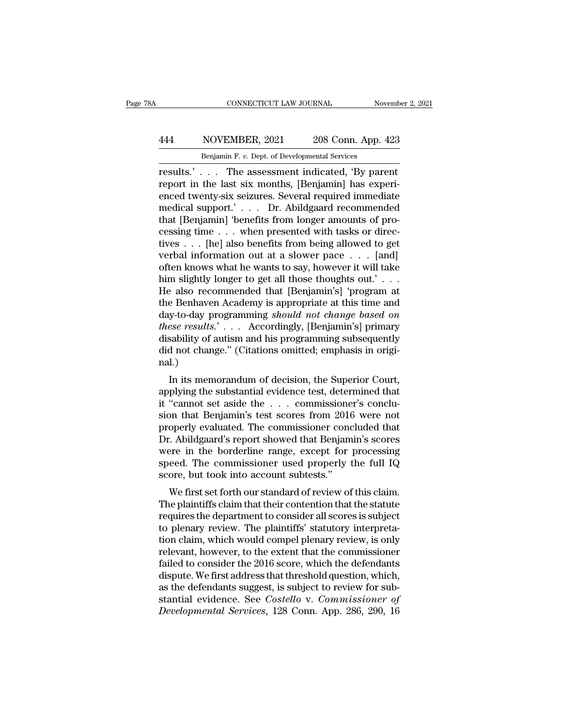### CONNECTICUT LAW JOURNAL November 2, 2021<br>
444 NOVEMBER, 2021 208 Conn. App. 423<br>
Benjamin F. v. Dept. of Developmental Services CONNECTICUT LAW JOURNAL Nov<br>
NOVEMBER, 2021 208 Conn. App. 4<br>
Benjamin F. *v.* Dept. of Developmental Services<br>
The assessment indicated 'By parc

CONNECTICUT LAW JOURNAL November 2, 202<br>
1444 NOVEMBER, 2021 208 Conn. App. 423<br>
16 Benjamin F. v. Dept. of Developmental Services<br>
16 Tesults.'... The assessment indicated, 'By parent<br>
16 Tesults.'... The assessment indic Frequency and the MOVEMBER, 2021 and 208 Conn. App. 423<br>
Benjamin F. v. Dept. of Developmental Services<br>
Fresults.'... The assessment indicated, 'By parent<br>
report in the last six months, [Benjamin] has experi-<br>
enced twen 444 NOVEMBER, 2021 208 Conn. App. 423<br>
Benjamin F. v. Dept. of Developmental Services<br>
results.'... The assessment indicated, 'By parent<br>
report in the last six months, [Benjamin] has experi-<br>
enced twenty-six seizures. S MOVEMBER, 2021 208 Conn. App. 423<br>
Benjamin F. v. Dept. of Developmental Services<br>
results.'... The assessment indicated, 'By parent<br>
report in the last six months, [Benjamin] has experi-<br>
enced twenty-six seizures. Sever Benjamin F. v. Dept. of Developmental Services<br>
results.'... The assessment indicated, 'By parent<br>
report in the last six months, [Benjamin] has experi-<br>
enced twenty-six seizures. Several required immediate<br>
medical supp Benjamin F. v. Dept. of Developmental Services<br>
results.'... The assessment indicated, 'By parent<br>
report in the last six months, [Benjamin] has experi-<br>
enced twenty-six seizures. Several required immediate<br>
medical supp results.' . . . The assessment indicated, 'By parent<br>report in the last six months, [Benjamin] has experi-<br>enced twenty-six seizures. Several required immediate<br>medical support.' . . . Dr. Abildgaard recommended<br>that [Ben report in the last six months, [Benjamin] has experienced twenty-six seizures. Several required immediate medical support.' . . . . Dr. Abildgaard recommended that [Benjamin] 'benefits from longer amounts of processing ti enced twenty-six seizures. Several required immediate<br>medical support.' . . . Dr. Abildgaard recommended<br>that [Benjamin] 'benefits from longer amounts of pro-<br>cessing time . . . when presented with tasks or direc-<br>tives . medical support.' . . . Dr. Abildgaard recommended<br>that [Benjamin] 'benefits from longer amounts of pro-<br>cessing time . . . when presented with tasks or direc-<br>tives . . . [he] also benefits from being allowed to get<br>verba that [Benjamin] 'benefits from longer amounts of processing time . . . when presented with tasks or directives . . . [he] also benefits from being allowed to get verbal information out at a slower pace . . . [and] often k cessing time . . . when presented with tasks or directives . . . [he] also benefits from being allowed to get<br>verbal information out at a slower pace . . . [and]<br>often knows what he wants to say, however it will take<br>him tives . . . [he] also benefits from being allowed to get<br>verbal information out at a slower pace . . . [and]<br>often knows what he wants to say, however it will take<br>him slightly longer to get all those thoughts out.' . . .<br> *therefore in the wants to say, however it will take* then knows what he wants to say, however it will take him slightly longer to get all those thoughts out.' . . . . He also recommended that [Benjamin's] 'program at the often knows what he wants to say, however it will take<br>him slightly longer to get all those thoughts out.' . . .<br>He also recommended that [Benjamin's] 'program at<br>the Benhaven Academy is appropriate at this time and<br>day-to him slightly longer to get all those thoughts out.' . . . He also recommended that [Benjamin's] 'program at the Benhaven Academy is appropriate at this time and day-to-day programming *should not change based on these resu* nal.) Experiment Academy is appropriate at this time and<br>y-to-day programming *should not change based on*<br>ese results.'... Accordingly, [Benjamin's] primary<br>sability of autism and his programming subsequently<br>d not change." (Ci day-to-day programming should not change oased on<br>these results.'... Accordingly, [Benjamin's] primary<br>disability of autism and his programming subsequently<br>did not change." (Citations omitted; emphasis in original.)<br>In i

*inese results.*  $\ldots$  Accordingly, [beigainin's] primary disability of autism and his programming subsequently did not change." (Citations omitted; emphasis in original.)<br>In its memorandum of decision, the Superior Court did not change." (Citations omitted; emphasis in original.)<br>In its memorandum of decision, the Superior Court,<br>applying the substantial evidence test, determined that<br>it "cannot set aside the . . . commissioner's conclu-<br>s mal.)<br>In its memorandum of decision, the Superior Court,<br>applying the substantial evidence test, determined that<br>it "cannot set aside the . . . commissioner's conclu-<br>sion that Benjamin's test scores from 2016 were not<br>pro In its memorandum of decision, the Superior Court,<br>applying the substantial evidence test, determined that<br>it "cannot set aside the . . . commissioner's conclu-<br>sion that Benjamin's test scores from 2016 were not<br>properly In its memorandum of decision, the Superior Court,<br>applying the substantial evidence test, determined that<br>it "cannot set aside the  $\ldots$  commissioner's conclu-<br>sion that Benjamin's test scores from 2016 were not<br>properly applying the substantial evidence test, determined that<br>it "cannot set aside the . . . commissioner's conclu-<br>sion that Benjamin's test scores from 2016 were not<br>properly evaluated. The commissioner concluded that<br>Dr. Abil it "cannot set aside the . . . commissione<br>sion that Benjamin's test scores from 2016<br>properly evaluated. The commissioner conc<br>Dr. Abildgaard's report showed that Benjam<br>were in the borderline range, except for<br>speed. The operly evaluated. The commissioner concluded that<br>Coperly evaluated. The commissioner concluded that<br>C. Abildgaard's report showed that Benjamin's scores<br>are in the borderline range, except for processing<br>eed. The commissi properly evaluated. The commissioner concluded that<br>Dr. Abildgaard's report showed that Benjamin's scores<br>were in the borderline range, except for processing<br>speed. The commissioner used properly the full IQ<br>score, but too

Dr. Ablugaard's report showed that berganility scores<br>were in the borderline range, except for processing<br>speed. The commissioner used properly the full IQ<br>score, but took into account subtests."<br>We first set forth our sta were in the borderline range, except for processing<br>speed. The commissioner used properly the full IQ<br>score, but took into account subtests."<br>We first set forth our standard of review of this claim.<br>The plaintiffs claim th speed. The commissioner used property the run rty<br>score, but took into account subtests."<br>We first set forth our standard of review of this claim.<br>The plaintiffs claim that their contention that the statute<br>requires the de score, but took into account subtests.<br>We first set forth our standard of review of this claim.<br>The plaintiffs claim that their contention that the statute<br>requires the department to consider all scores is subject<br>to plena We first set forth our standard of review of this claim.<br>The plaintiffs claim that their contention that the statute<br>requires the department to consider all scores is subject<br>to plenary review. The plaintiffs' statutory in The plaintiffs claim that their contention that the statute<br>requires the department to consider all scores is subject<br>to plenary review. The plaintiffs' statutory interpreta-<br>tion claim, which would compel plenary review, requires the department to consider all scores is subject<br>to plenary review. The plaintiffs' statutory interpreta-<br>tion claim, which would compel plenary review, is only<br>relevant, however, to the extent that the commission to plenary review. The plaintiffs' statutory interpretation claim, which would compel plenary review, is only relevant, however, to the extent that the commissioner failed to consider the 2016 score, which the defendants d tion claim, which would compel plenary review, is only relevant, however, to the extent that the commissioner failed to consider the 2016 score, which the defendants dispute. We first address that threshold question, which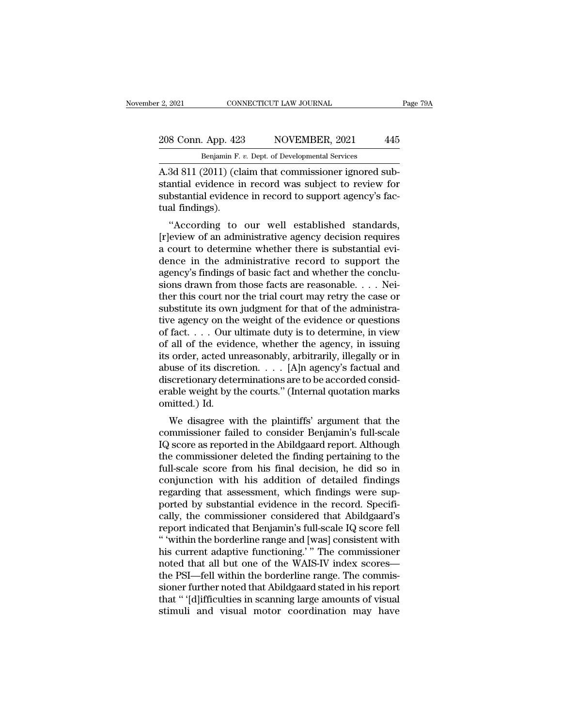### 2, 2021 CONNECTICUT LAW JOURNAL Page 79A<br>208 Conn. App. 423 NOVEMBER, 2021 445<br>Benjamin F. v. Dept. of Developmental Services CONNECTICUT LAW JOURNAL<br>Benjamin F. *v.* Dept. of Developmental Services<br>2011) (claim that commissioner ignored s

2, 2021 CONNECTICUT LAW JOURNAL<br>
208 Conn. App. 423 NOVEMBER, 2021 445<br>
Benjamin F. v. Dept. of Developmental Services<br>
A.3d 811 (2011) (claim that commissioner ignored sub-<br>
stantial evidence in record was subject to revi 208 Conn. App. 423 NOVEMBER, 2021 445<br>Benjamin F. v. Dept. of Developmental Services<br>A.3d 811 (2011) (claim that commissioner ignored substantial evidence in record was subject to review for<br>substantial evidence in record 208 Conn. App. 423 NOVEMBER, 2021 445<br>Benjamin F. v. Dept. of Developmental Services<br>A.3d 811 (2011) (claim that commissioner ignored substantial evidence in record was subject to review for<br>substantial evidence in record 208 Conn. App. 423<br>
Benjamin F.<br>
A.3d 811 (2011) (clastantial evidence in<br>
substantial evidence in<br>
substantial evidence<br>
tual findings).<br>
"According to Benjamin F. v. Dept. of Developmental Services<br>
3d 811 (2011) (claim that commissioner ignored sub-<br>
antial evidence in record was subject to review for<br>
bstantial evidence in record to support agency's fac-<br>
al findings). A.3d 811 (2011) (claim that commissioner ignored substantial evidence in record was subject to review for substantial evidence in record to support agency's factual findings).<br>
"According to our well established standards,

A su strip (2011) (claim that commissioner ignored substantial evidence in record was subject to review for substantial evidence in record to support agency's factual findings).<br>"According to our well established standards stantial evidence in record was subject to review for<br>substantial evidence in record to support agency's fac-<br>tual findings).<br>"According to our well established standards,<br>[r]eview of an administrative agency decision requ substantial evidence in record to support agency's ractual findings).<br>
"According to our well established standards,<br>
[r]eview of an administrative agency decision requires<br>
a court to determine whether there is substantia "According to our well established standards,<br>
[r]eview of an administrative agency decision requires<br>
a court to determine whether there is substantial evi-<br>
dence in the administrative record to support the<br>
agency's fi "According to our well established standards,<br>[r]eview of an administrative agency decision requires<br>a court to determine whether there is substantial evi-<br>dence in the administrative record to support the<br>agency's findin [r]eview of an administrative agency decision requires<br>a court to determine whether there is substantial evi-<br>dence in the administrative record to support the<br>agency's findings of basic fact and whether the conclu-<br>sions a court to determine whether there is substantial evidence in the administrative record to support the agency's findings of basic fact and whether the conclusions drawn from those facts are reasonable. . . . Neither this c dence in the administrative record to support the<br>agency's findings of basic fact and whether the conclu-<br>sions drawn from those facts are reasonable. . . . Nei-<br>ther this court nor the trial court may retry the case or<br>su agency's findings of basic fact and whether the conclusions drawn from those facts are reasonable. . . . Neither this court nor the trial court may retry the case or substitute its own judgment for that of the administrat sions drawn from those facts are reasonable. . . . Neither this court nor the trial court may retry the case or substitute its own judgment for that of the administrative agency on the weight of the evidence or questions ther this court nor the trial court may retry the case or<br>substitute its own judgment for that of the administra-<br>tive agency on the weight of the evidence or questions<br>of fact.... Our ultimate duty is to determine, in vi substitute its own judgment for that of the administrative agency on the weight of the evidence or questions of fact.... Our ultimate duty is to determine, in view of all of the evidence, whether the agency, in issuing it tive agency on the weight of the evidence or questions<br>of fact.... Our ultimate duty is to determine, in view<br>of all of the evidence, whether the agency, in issuing<br>its order, acted unreasonably, arbitrarily, illegally or of fact. . . . Our u<br>of all of the evide<br>its order, acted ur<br>abuse of its discre<br>discretionary dete<br>erable weight by t<br>omitted.) Id.<br>We disagree w an of the evidence, whether the agency, in issuing<br>  $\alpha$  order, acted unreasonably, arbitrarily, illegally or in<br>
use of its discretion. . . . [A]n agency's factual and<br>
scretionary determinations are to be accorded consi the solution of its discretion.  $\dots$  [A]n agency's factual and<br>discretionary determinations are to be accorded considerable weight by the courts." (Internal quotation marks<br>omitted.) Id.<br>We disagree with the plaintiffs' a

abuse of its uscretion.  $\ldots$  [A]n agency's factuar and<br>discretionary determinations are to be accorded considerable weight by the courts." (Internal quotation marks<br>omitted.) Id.<br>We disagree with the plaintiffs' argument the commissioner and the courts." (Internal quotation marks<br>omitted.) Id.<br>We disagree with the plaintiffs' argument that the<br>commissioner failed to consider Benjamin's full-scale<br>IQ score as reported in the Abildgaard repo erable weight by the courts. (Internal quotation marks<br>omitted.) Id.<br>We disagree with the plaintiffs' argument that the<br>commissioner failed to consider Benjamin's full-scale<br>IQ score as reported in the Abildgaard report. A We disagree with the plaintiffs' argument that the<br>commissioner failed to consider Benjamin's full-scale<br>IQ score as reported in the Abildgaard report. Although<br>the commissioner deleted the finding pertaining to the<br>full-s We disagree with the plaintiffs' argument that the commissioner failed to consider Benjamin's full-scale IQ score as reported in the Abildgaard report. Although the commissioner deleted the finding pertaining to the full-s commissioner failed to consider Benjamin's full-scale<br>IQ score as reported in the Abildgaard report. Although<br>the commissioner deleted the finding pertaining to the<br>full-scale score from his final decision, he did so in<br>co IQ score as reported in the Abildgaard report. Although<br>the commissioner deleted the finding pertaining to the<br>full-scale score from his final decision, he did so in<br>conjunction with his addition of detailed findings<br>regar the commissioner deleted the finding pertaining to the full-scale score from his final decision, he did so in conjunction with his addition of detailed findings regarding that assessment, which findings were supported by s full-scale score from his final decision, he did so in<br>
conjunction with his addition of detailed findings<br>
regarding that assessment, which findings were sup-<br>
ported by substantial evidence in the record. Specifi-<br>
cally conjunction with his addition of detailed findings<br>regarding that assessment, which findings were sup-<br>ported by substantial evidence in the record. Specifi-<br>cally, the commissioner considered that Abildgaard's<br>report indi regarding that assessment, which findings were sup-<br>ported by substantial evidence in the record. Specifi-<br>cally, the commissioner considered that Abildgaard's<br>report indicated that Benjamin's full-scale IQ score fell<br>"wit ported by substantial evidence in the record. Specifically, the commissioner considered that Abildgaard's report indicated that Benjamin's full-scale IQ score fell "within the borderline range and [was] consistent with his cally, the commissioner considered that Abildgaard's<br>report indicated that Benjamin's full-scale IQ score fell<br>"within the borderline range and [was] consistent with<br>his current adaptive functioning.' " The commissioner<br>no report indicated that Benjamin's full-scale IQ score fell<br>"'within the borderline range and [was] consistent with<br>his current adaptive functioning.'" The commissioner<br>noted that all but one of the WAIS-IV index scores—<br>the " 'within the borderline range and [was] consistent with his current adaptive functioning.' " The commissioner noted that all but one of the WAIS-IV index scores—<br>the PSI—fell within the borderline range. The commissioner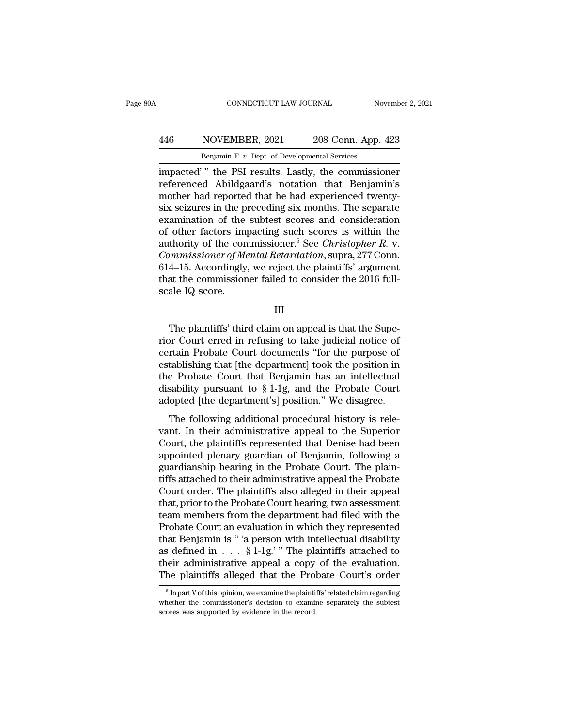## CONNECTICUT LAW JOURNAL November 2, 2021<br>
446 NOVEMBER, 2021 208 Conn. App. 423<br>
Benjamin F. v. Dept. of Developmental Services CONNECTICUT LAW JOURNAL November 2, 2021<br>Benjamin F. *v.* Dept. of Developmental Services<br>impacted' " the PSI results. Lastly, the commissioner

CONNECTICUT LAW JOURNAL November 2, 2021<br>
1446 NOVEMBER, 2021 208 Conn. App. 423<br>
16 Benjamin F. v. Dept. of Developmental Services<br>
16 Impacted' " the PSI results. Lastly, the commissioner<br>
16 Teferenced Abildgaard's nota Renjamin F. v. Dept. degrees 2021 208 Conn. App. 423<br>Benjamin F. v. Dept. of Developmental Services<br>impacted' " the PSI results. Lastly, the commissioner<br>referenced Abildgaard's notation that Benjamin's<br>mother had reported  $\frac{\text{Benjamin F. } v. \text{ Dept. of Developmental Services}}{\text{Benjamin F. } v. \text{ Dept. of Developmental Services}}$ impacted' " the PSI results. Lastly, the commissioner referenced Abildgaard's notation that Benjamin's mother had reported that he had experienced twenty-<br>six seizures in the  $\frac{446}{P}$  NOVEMBER, 2021 208 Conn. App. 423<br>
Benjamin F. v. Dept. of Developmental Services<br>
impacted'' the PSI results. Lastly, the commissioner<br>
referenced Abildgaard's notation that Benjamin's<br>
mother had reported th Benjamin F. v. Dept. of Developmental Services<br>
impacted' " the PSI results. Lastly, the commissioner<br>
referenced Abildgaard's notation that Benjamin's<br>
mother had reported that he had experienced twenty-<br>
six seizures in Benjamin F. v. Dept. of Developmental Services<br>
impacted' " the PSI results. Lastly, the commissioner<br>
referenced Abildgaard's notation that Benjamin's<br>
mother had reported that he had experienced twenty-<br>
six seizures in impacted'" the PSI results. Lastly, the commissioner<br>referenced Abildgaard's notation that Benjamin's<br>mother had reported that he had experienced twenty-<br>six seizures in the preceding six months. The separate<br>examination o referenced Abildgaard's notation that Benjamin's<br>mother had reported that he had experienced twenty-<br>six seizures in the preceding six months. The separate<br>examination of the subtest scores and consideration<br>of other facto mother had reported that he had experienced twenty-<br>six seizures in the preceding six months. The separate<br>examination of the subtest scores and consideration<br>of other factors impacting such scores is within the<br>authority six seizures in the preceding six months. The separate examination of the subtest scores and consideration of other factors impacting such scores is within the authority of the commissioner.<sup>5</sup> See *Christopher R*. v. *Co* examination of the<br>of other factors im<br>authority of the con<br>*Commissioner of Me*<br>614–15. Accordingly<br>that the commissior<br>scale IQ score. mmissioner of Mental Retardation, supra, 277 Conn.<br>4–15. Accordingly, we reject the plaintiffs' argument<br>at the commissioner failed to consider the 2016 full-<br>ale IQ score.<br>III<br>The plaintiffs' third claim on appeal is that

III

614–15. Accordingly, we reject the plaintiffs' argument<br>that the commissioner failed to consider the 2016 full-<br>scale IQ score.<br>III<br>The plaintiffs' third claim on appeal is that the Supe-<br>rior Court erred in refusing to ta that the commissioner failed to consider the 2016 full-<br>scale IQ score.<br>III<br>The plaintiffs' third claim on appeal is that the Supe-<br>rior Court erred in refusing to take judicial notice of<br>certain Probate Court documents '' scale IQ score.<br>
III<br>
The plaintiffs' third claim on appeal is that the Superior Court erred in refusing to take judicial notice of<br>
certain Probate Court documents "for the purpose of<br>
establishing that [the department] III<br>The plaintiffs' third claim on appeal is that the Superior Court erred in refusing to take judicial notice of<br>certain Probate Court documents "for the purpose of<br>establishing that [the department] took the position in<br> The plaintiffs' third claim on appeal is that the Superior Court erred in refusing to take judicial notice of certain Probate Court documents "for the purpose of establishing that [the department] took the position in the The plaintiffs' third claim on appeal is that the Superior Court erred in refusing to take judicial notice of certain Probate Court documents "for the purpose of establishing that [the department] took the position in the The following additional procedural history is release to the purpose of tablishing that [the department] took the position in the Probate Court that Benjamin has an intellectual sability pursuant to § 1-1g, and the Probat ectually 1100ate coal in documents 161 are parpose of<br>establishing that [the department] took the position in<br>the Probate Court that Benjamin has an intellectual<br>disability pursuant to § 1-1g, and the Probate Court<br>adopted

Estationshing and the department from the position in<br>the Probate Court that Benjamin has an intellectual<br>disability pursuant to § 1-1g, and the Probate Court<br>adopted [the department's] position." We disagree.<br>The followin disability pursuant to  $\S 1$ -1g, and the Probate Court<br>adopted [the department's] position." We disagree.<br>The following additional procedural history is rele-<br>vant. In their administrative appeal to the Superior<br>Court, th distantly pursuant to set if given and allowing adopted [the department's] position." We disagree.<br>The following additional procedural history is relevant. In their administrative appeal to the Superior Court, the plaintif The following additional procedural history is relevant. In their administrative appeal to the Superior Court, the plaintiffs represented that Denise had been appointed plenary guardian of Benjamin, following a guardianshi The following additional procedural history is relevant. In their administrative appeal to the Superior Court, the plaintiffs represented that Denise had been appointed plenary guardian of Benjamin, following a guardianshi vant. In their administrative appeal to the Superior<br>Court, the plaintiffs represented that Denise had been<br>appointed plenary guardian of Benjamin, following a<br>guardianship hearing in the Probate Court. The plain-<br>tiffs at Court, the plaintiffs represented that Denise had been<br>appointed plenary guardian of Benjamin, following a<br>guardianship hearing in the Probate Court. The plain-<br>tiffs attached to their administrative appeal the Probate<br>Cou appointed plenary guardian of Benjamin, following a<br>guardianship hearing in the Probate Court. The plain-<br>tiffs attached to their administrative appeal the Probate<br>Court order. The plaintiffs also alleged in their appeal<br>t guardianship hearing in the Probate Court. The plain-<br>tiffs attached to their administrative appeal the Probate<br>Court order. The plaintiffs also alleged in their appeal<br>that, prior to the Probate Court hearing, two assessm tiffs attached to their administrative appeal the Probate<br>Court order. The plaintiffs also alleged in their appeal<br>that, prior to the Probate Court hearing, two assessment<br>team members from the department had filed with th Court order. The plaintiffs also alleged in their appeal<br>that, prior to the Probate Court hearing, two assessment<br>team members from the department had filed with the<br>Probate Court an evaluation in which they represented<br>t that, prior to the Probate Court hearing, two assessment<br>team members from the department had filed with the<br>Probate Court an evaluation in which they represented<br>that Benjamin is "'a person with intellectual disability<br>a that Benjamin is "'a person with intellectual disability<br>as defined in . . . § 1-1g.'" The plaintiffs attached to<br>their administrative appeal a copy of the evaluation.<br>The plaintiffs alleged that the Probate Court's order as defined in . . . § 1-1g.' " The plaintiffs attached to<br>their administrative appeal a copy of the evaluation.<br>The plaintiffs alleged that the Probate Court's order<br> $\frac{1}{\text{S} \text{ In part V of this opinion, we examine the plaintexts' related claim regarding}}$ <br>whether the commission

their administrative appeal a copy<br>The plaintiffs alleged that the Prol<br><sup>5</sup>Inpart V of this opinion, we examine the plaintif<br>whether the commissioner's decision to examin<br>scores was supported by evidence in the record.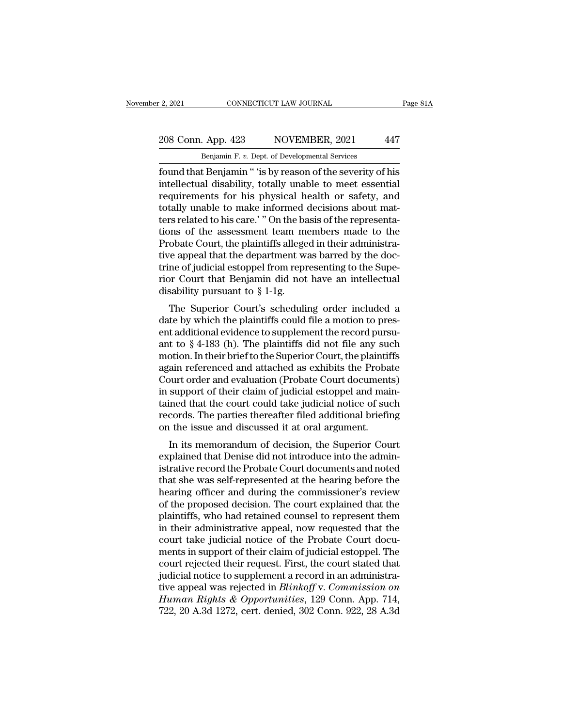# 2, 2021 CONNECTICUT LAW JOURNAL Page 81A<br>208 Conn. App. 423 NOVEMBER, 2021 447<br>Benjamin F. v. Dept. of Developmental Services

E. 2, 2021 CONNECTICUT LAW JOURNAL<br>208 Conn. App. 423 NOVEMBER, 2021 447<br>Benjamin F. *v.* Dept. of Developmental Services<br>found that Benjamin " 'is by reason of the severity of his Fage 81A<br>
Fage 81A<br>
208 Conn. App. 423 NOVEMBER, 2021 447<br>
Benjamin F. v. Dept. of Developmental Services<br>
found that Benjamin " 'is by reason of the severity of his<br>
intellectual disability, totally unable to meet essenti 208 Conn. App. 423 NOVEMBER, 2021 447<br>Benjamin F. v. Dept. of Developmental Services<br>found that Benjamin " 'is by reason of the severity of his<br>intellectual disability, totally unable to meet essential<br>requirements for his 208 Conn. App. 423 NOVEMBER, 2021 447<br>
Benjamin F. v. Dept. of Developmental Services<br>
found that Benjamin " 'is by reason of the severity of his<br>
intellectual disability, totally unable to meet essential<br>
requirements fo 208 Conn. App. 423 NOVEMBER, 2021 447<br>
Benjamin F. v. Dept. of Developmental Services<br>
found that Benjamin " 'is by reason of the severity of his<br>
intellectual disability, totally unable to meet essential<br>
requirements for Benjamin F. v. Dept. of Developmental Services<br>found that Benjamin " 'is by reason of the severity of his<br>intellectual disability, totally unable to meet essential<br>requirements for his physical health or safety, and<br>totall Benjamin F. v. Dept. of Developmental Services<br>found that Benjamin " 'is by reason of the severity of his<br>intellectual disability, totally unable to meet essential<br>requirements for his physical health or safety, and<br>totall found that Benjamin " 'is by reason of the severity of his<br>intellectual disability, totally unable to meet essential<br>requirements for his physical health or safety, and<br>totally unable to make informed decisions about mat-<br> intellectual disability, totally unable to meet essential<br>requirements for his physical health or safety, and<br>totally unable to make informed decisions about mat-<br>ters related to his care.' " On the basis of the representa requirements for his physical health or safety, and<br>totally unable to make informed decisions about mat-<br>ters related to his care.' " On the basis of the representa-<br>tions of the assessment team members made to the<br>Probat totally unable to make informed decisions about matters related to his care.'" On the basis of the representations of the assessment team members made to the Probate Court, the plaintiffs alleged in their administrative a ters related to his care.' " On the bations of the assessment team merboote Court, the plaintiffs allege<br>tive appeal that the department were of judicial estoppel from reprose from the of judicial estoppel from reprose fro The Superior Court's scheduling order included a<br>the Superior Court, the plaintiffs alleged in their administrative appeal that the department was barred by the doc-<br>ne of judicial estoppel from representing to the Supe-<br> Frobate Court, the plaintiffs and gear in their administrative appeal that the department was barred by the doctrine of judicial estoppel from representing to the Superior Court that Benjamin did not have an intellectual

tive appear that the department was barred by the doctrine of judicial estoppel from representing to the Superior Court that Benjamin did not have an intellectual disability pursuant to  $\S 1$ -1g.<br>The Superior Court's sche Finite of Judicial estopper from representing to the super-<br>rior Court that Benjamin did not have an intellectual<br>disability pursuant to  $\S 1$ -1g.<br>The Superior Court's scheduling order included a<br>date by which the plainti The Superior Court's scheduling order included a<br>disability pursuant to  $\S 1$ -1g.<br>The Superior Court's scheduling order included a<br>date by which the plaintiffs could file a motion to pres-<br>ent additional evidence to suppl The Superior Court's scheduling order included a<br>date by which the plaintiffs could file a motion to pres-<br>ent additional evidence to supplement the record pursu-<br>ant to § 4-183 (h). The plaintiffs did not file any such<br>m The Superior Court's scheduling order included a<br>date by which the plaintiffs could file a motion to pres-<br>ent additional evidence to supplement the record pursu-<br>ant to § 4-183 (h). The plaintiffs did not file any such<br>mo date by which the plaintiffs could file a motion to present additional evidence to supplement the record pursu-<br>ant to § 4-183 (h). The plaintiffs did not file any such motion. In their brief to the Superior Court, the pla ent additional evidence to supplement the record pursu-<br>ant to § 4-183 (h). The plaintiffs did not file any such<br>motion. In their brief to the Superior Court, the plaintiffs<br>again referenced and attached as exhibits the Pr ant to § 4-183 (h). The plaintiffs did not file any such<br>motion. In their brief to the Superior Court, the plaintiffs<br>again referenced and attached as exhibits the Probate<br>Court order and evaluation (Probate Court document motion. In their brief to the Superior Court, the plaintif<br>again referenced and attached as exhibits the Proba<br>Court order and evaluation (Probate Court document<br>in support of their claim of judicial estoppel and mai<br>taine and referenced and attached as exhibits the Trobate<br>burt order and evaluation (Probate Court documents)<br>support of their claim of judicial estoppel and main-<br>ined that the court could take judicial notice of such<br>cords. Th Explorational evaluation (1 robate Court documents)<br>in support of their claim of judicial estoppel and main-<br>tained that the court could take judicial notice of such<br>records. The parties thereafter filed additional briefin

In support of their claim of Judicial estopper and mani-<br>tained that the court could take judicial notice of such<br>records. The parties thereafter filed additional briefing<br>on the issue and discussed it at oral argument.<br>In trained that the court collid take judicial holice of such<br>records. The parties thereafter filed additional briefing<br>on the issue and discussed it at oral argument.<br>In its memorandum of decision, the Superior Court<br>explain records. The parties thereafter filed additional briefing<br>on the issue and discussed it at oral argument.<br>In its memorandum of decision, the Superior Court<br>explained that Denise did not introduce into the admin-<br>istrative of the issue and discussed it at oral argument.<br>In its memorandum of decision, the Superior Court<br>explained that Denise did not introduce into the admin-<br>istrative record the Probate Court documents and noted<br>that she was In its memorandum of decision, the Superior Court<br>explained that Denise did not introduce into the administrative record the Probate Court documents and noted<br>that she was self-represented at the hearing before the<br>hearing explained that Denise did not introduce into the administrative record the Probate Court documents and noted<br>that she was self-represented at the hearing before the<br>hearing officer and during the commissioner's review<br>of t istrative record the Probate Court documents and noted<br>that she was self-represented at the hearing before the<br>hearing officer and during the commissioner's review<br>of the proposed decision. The court explained that the<br>pla that she was self-represented at the hearing before the<br>hearing officer and during the commissioner's review<br>of the proposed decision. The court explained that the<br>plaintiffs, who had retained counsel to represent them<br>in hearing officer and during the commissioner's review<br>of the proposed decision. The court explained that the<br>plaintiffs, who had retained counsel to represent them<br>in their administrative appeal, now requested that the<br>cour of the proposed decision. The court explained that the plaintiffs, who had retained counsel to represent them<br>in their administrative appeal, now requested that the<br>court take judicial notice of the Probate Court docu-<br>me plaintiffs, who had retained counsel to represent them<br>in their administrative appeal, now requested that the<br>court take judicial notice of the Probate Court docu-<br>ments in support of their claim of judicial estoppel. The<br> in their administrative appeal, now requested that the court take judicial notice of the Probate Court documents in support of their claim of judicial estoppel. The court rejected their request. First, the court stated tha court take judicial notice of the Probate Court documents in support of their claim of judicial estoppel. The court rejected their request. First, the court stated that judicial notice to supplement a record in an administ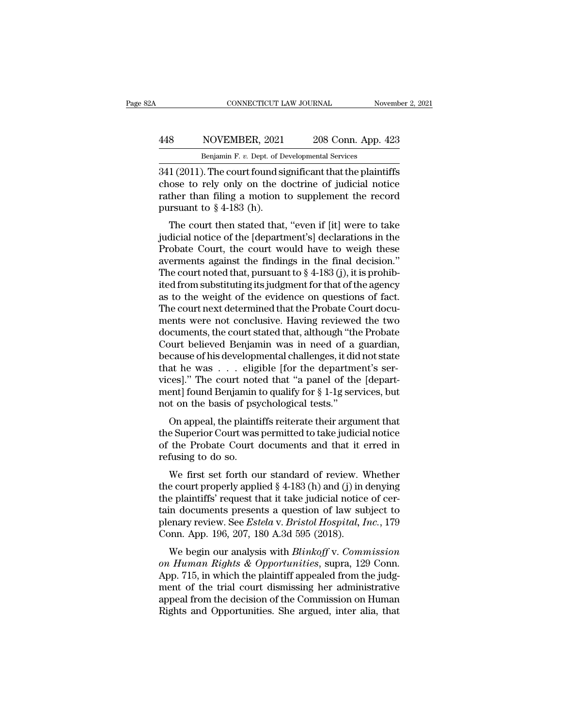### CONNECTICUT LAW JOURNAL November 2, 2021<br>
448 NOVEMBER, 2021 208 Conn. App. 423<br>
Benjamin F. v. Dept. of Developmental Services CONNECTICUT LAW JOURNAL Nov<br>
NOVEMBER, 2021 208 Conn. App. 4<br>
Benjamin F. *v.* Dept. of Developmental Services<br>
1) The court found significant that the plaint

CONNECTICUT LAW JOURNAL November 2, 2021<br>
341 (2011). The court found significant that the plaintiffs<br>
2011). The court found significant that the plaintiffs<br>
2011). The court found significant that the plaintiffs<br>
2011 (2 MOVEMBER, 2021 208 Conn. App. 423<br>
Benjamin F. v. Dept. of Developmental Services<br>
341 (2011). The court found significant that the plaintiffs<br>
chose to rely only on the doctrine of judicial notice<br>
rather than filing a mo For all than F. v. Dept. of Developmental Services<br>
Benjamin F. v. Dept. of Developmental Services<br>
341 (2011). The court found significant that the plaintiffs<br>
chose to rely only on the doctrine of judicial notice<br>
rathe 448 NOVEMBER, 2021<br>
Benjamin F. v. Dept. of D.<br>
341 (2011). The court found si<br>
chose to rely only on the d<br>
rather than filing a motion t<br>
pursuant to § 4-183 (h).<br>
The court then stated that Benjamin F. v. Dept. of Developmental Services<br>
1 (2011). The court found significant that the plaintiffs<br>
ose to rely only on the doctrine of judicial notice<br>
ther than filing a motion to supplement the record<br>
in the re  $\frac{1}{2011}$ . The court found significant that the plaintiffs<br>chose to rely only on the doctrine of judicial notice<br>rather than filing a motion to supplement the record<br>pursuant to § 4-183 (h).<br>The court then stated that,

 $\frac{1}{2041}$ . The court found significant that the plantifies<br>chose to rely only on the doctrine of judicial notice<br>rather than filing a motion to supplement the record<br>pursuant to § 4-183 (h).<br>The court then stated that, chose to fery only on the doctrine of judicial notice<br>rather than filing a motion to supplement the record<br>pursuant to  $\S 4$ -183 (h).<br>The court then stated that, "even if [it] were to take<br>judicial notice of the [departme Trainer than filling a motion to supplement the record<br>pursuant to § 4-183 (h).<br>The court then stated that, "even if [it] were to take<br>judicial notice of the [department's] declarations in the<br>Probate Court, the court wou pursuant to  $\S$  4-105 (11).<br>The court then stated that, "even if [it] were to take<br>judicial notice of the [department's] declarations in the<br>Probate Court, the court would have to weigh these<br>averments against the finding The court then stated that, "even if [it] were to take<br>judicial notice of the [department's] declarations in the<br>Probate Court, the court would have to weigh these<br>averments against the findings in the final decision."<br>The judicial notice of the [department's] declarations in the Probate Court, the court would have to weigh these averments against the findings in the final decision."<br>The court noted that, pursuant to § 4-183 (j), it is prohi Probate Court, the court would have to weigh these<br>averments against the findings in the final decision."<br>The court noted that, pursuant to  $\S$  4-183 (j), it is prohib-<br>ited from substituting its judgment for that of the averments against the findings in the final decision."<br>The court noted that, pursuant to § 4-183 (j), it is prohib-<br>ited from substituting its judgment for that of the agency<br>as to the weight of the evidence on questions o The court noted that, pursuant to  $\S$  4-183 (j), it is prohibited from substituting its judgment for that of the agency<br>as to the weight of the evidence on questions of fact.<br>The court next determined that the Probate Cou ited from substituting its judgment for that of the agency<br>as to the weight of the evidence on questions of fact.<br>The court next determined that the Probate Court docu-<br>ments were not conclusive. Having reviewed the two<br>do as to the weight of the evidence on questions of fact<br>The court next determined that the Probate Court documents were not conclusive. Having reviewed the two<br>documents, the court stated that, although "the Probate<br>Court be The court next determined that the Probate Court documents were not conclusive. Having reviewed the two documents, the court stated that, although "the Probate Court believed Benjamin was in need of a guardian, because of ments were not conclusive. Having reviewed the two<br>documents, the court stated that, although "the Probate<br>Court believed Benjamin was in need of a guardian,<br>because of his developmental challenges, it did not state<br>that h documents, the court stated that, although "th<br>Court believed Benjamin was in need of a<br>because of his developmental challenges, it did<br>that he was . . . eligible [for the departm<br>vices]." The court noted that "a panel of Figure 1. The court was in heed of a guardian,<br>cause of his developmental challenges, it did not state<br>at he was  $\ldots$  eligible [for the department's ser-<br>ces]." The court noted that "a panel of the [depart-<br>ent] found Be because of his developmental changings, it duties state<br>that he was  $\ldots$  eligible [for the department's services]." The court noted that "a panel of the [depart-<br>ment] found Benjamin to qualify for  $\S 1$ -1g services, but

Final The Was  $\cdot \cdot \cdot$  engible [for the department s services]." The court noted that "a panel of the [department] found Benjamin to qualify for  $\S 1$ -1g services, but not on the basis of psychological tests."<br>On appeal, rife court hold<br>ment] found Benjamin<br>not on the basis of psy<br>On appeal, the plaint<br>the Superior Court was<br>of the Probate Court<br>refusing to do so.<br>We first set forth ou on appeal, the plaintiffs reiterate their argument that<br>
e Superior Court was permitted to take judicial notice<br>
the Probate Court documents and that it erred in<br>
fusing to do so.<br>
We first set forth our standard of review On appeal, the plaintiffs reiterate their argument that<br>the Superior Court was permitted to take judicial notice<br>of the Probate Court documents and that it erred in<br>refusing to do so.<br>We first set forth our standard of re

on appear, the plaintiffs referate their argument that<br>the Superior Court was permitted to take judicial notice<br>of the Probate Court documents and that it erred in<br>refusing to do so.<br>We first set forth our standard of rev the Superior Court was permitted to take judicial notice<br>of the Probate Court documents and that it erred in<br>refusing to do so.<br>We first set forth our standard of review. Whether<br>the court properly applied § 4-183 (h) and by the Frobate Court documents and that it effect in<br>refusing to do so.<br>We first set forth our standard of review. Whether<br>the court properly applied § 4-183 (h) and (j) in denying<br>the plaintiffs' request that it take judi We first set forth our standard of review. We first set forth our standard of review. We court properly applied  $\S$  4-183 (h) and (j) in the plaintiffs' request that it take judicial notice tain documents presents a quest we first set form our standard of feview. Whether<br>e court properly applied § 4-183 (h) and (j) in denying<br>e plaintiffs' request that it take judicial notice of cer-<br>in documents presents a question of law subject to<br>enary In the plaintiffs' request that it take judicial notice of certain documents presents a question of law subject to<br>plenary review. See *Estela* v. *Bristol Hospital, Inc.*, 179<br>Conn. App. 196, 207, 180 A.3d 595 (2018).<br>We

the plaintiff request that it take judicial holde of certain documents presents a question of law subject to<br>plenary review. See *Estela v. Bristol Hospital, Inc.*, 179<br>Conn. App. 196, 207, 180 A.3d 595 (2018).<br>We begin ou dentity review. See *Estela v. Bristol Hospital, Inc.*, 179<br>Conn. App. 196, 207, 180 A.3d 595 (2018).<br>We begin our analysis with *Blinkoff v. Commission*<br>on *Human Rights & Opportunities*, supra, 129 Conn.<br>App. 715, in whi plenary review. See *Estetu v. Bristot Hospitat, Htc.*, 179<br>Conn. App. 196, 207, 180 A.3d 595 (2018).<br>We begin our analysis with *Blinkoff v. Commission*<br>on Human Rights & Opportunities, supra, 129 Conn.<br>App. 715, in which Rights and Opportunities. She argued, inter alia, that alights and Opportunities. Supra, 129 Conn.<br>App. 715, in which the plaintiff appealed from the judgment of the trial court dismissing her administrative appeal from th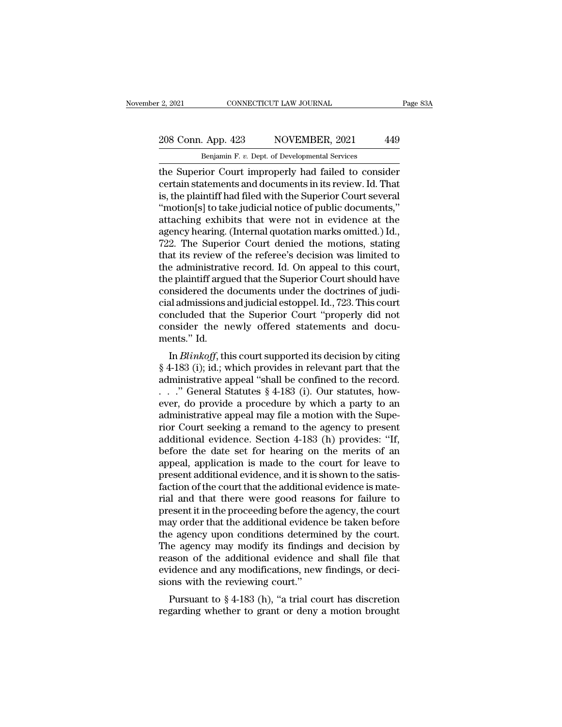# 2, 2021 CONNECTICUT LAW JOURNAL Page 83A<br>208 Conn. App. 423 NOVEMBER, 2021 449<br>Benjamin F. v. Dept. of Developmental Services

E. 2, 2021 CONNECTICUT LAW JOURNAL<br>208 Conn. App. 423 NOVEMBER, 2021 449<br>Benjamin F. *v.* Dept. of Developmental Services<br>the Superior Court improperly had failed to consider The Superior Court EX and Superior Court improperly had failed to consider<br>
the Superior Court improperly had failed to consider<br>
ertain statements and documents in its review. Id. That<br>
is the plaintiff had filed with the 208 Conn. App. 423 NOVEMBER, 2021 449<br>Benjamin F. v. Dept. of Developmental Services<br>the Superior Court improperly had failed to consider<br>certain statements and documents in its review. Id. That<br>is, the plaintiff had filed 208 Conn. App. 423 NOVEMBER, 2021 449<br>
Benjamin F. v. Dept. of Developmental Services<br>
the Superior Court improperly had failed to consider<br>
certain statements and documents in its review. Id. That<br>
is, the plaintiff had 208 Conn. App. 423 NOVEMBER, 2021 449<br>
Benjamin F. v. Dept. of Developmental Services<br>
the Superior Court improperly had failed to consider<br>
certain statements and documents in its review. Id. That<br>
is, the plaintiff had Benjamin F. v. Dept. of Developmental Services<br>the Superior Court improperly had failed to consider<br>certain statements and documents in its review. Id. That<br>is, the plaintiff had filed with the Superior Court several<br>"moti Benjamin F. v. Dept. of Developmental Services<br>the Superior Court improperly had failed to consider<br>certain statements and documents in its review. Id. That<br>is, the plaintiff had filed with the Superior Court several<br>"moti the Superior Court improperly had failed to consider<br>certain statements and documents in its review. Id. That<br>is, the plaintiff had filed with the Superior Court several<br>"motion[s] to take judicial notice of public documen certain statements and documents in its review. Id. That<br>is, the plaintiff had filed with the Superior Court several<br>"motion[s] to take judicial notice of public documents,"<br>attaching exhibits that were not in evidence at is, the plaintiff had filed with the Superior Court several<br>"motion[s] to take judicial notice of public documents,"<br>attaching exhibits that were not in evidence at the<br>agency hearing. (Internal quotation marks omitted.) I "motion[s] to take judicial notice of public documents,"<br>attaching exhibits that were not in evidence at the<br>agency hearing. (Internal quotation marks omitted.) Id.,<br>722. The Superior Court denied the motions, stating<br>tha attaching exhibits that were not in evidence at the agency hearing. (Internal quotation marks omitted.) Id., 722. The Superior Court denied the motions, stating that its review of the referee's decision was limited to the agency hearing. (Internal quotation marks omitted.) Id.,<br>722. The Superior Court denied the motions, stating<br>that its review of the referee's decision was limited to<br>the administrative record. Id. On appeal to this court,<br> 722. The Superior Court denied the motions, stating<br>that its review of the referee's decision was limited to<br>the administrative record. Id. On appeal to this court,<br>the plaintiff argued that the Superior Court should have<br> that its review of the referee's decision was limited to<br>the administrative record. Id. On appeal to this court,<br>the plaintiff argued that the Superior Court should have<br>considered the documents under the doctrines of judi the administrati<br>the plaintiff argu<br>considered the c<br>cial admissions a<br>concluded that<br>consider the n<br>ments." Id.<br>In *Blinkoff*, th is plantin argued that the superior Court should have<br>insidered the documents under the doctrines of judi-<br>al admissions and judicial estoppel. Id., 723. This court<br>included that the Superior Court "properly did not<br>inside Followishered the documents under the doctrines of judicial admissions and judicial estoppel. Id., 723. This court<br>concluded that the Superior Court "properly did not<br>consider the newly offered statements and documents."

cial admissions and judicial estoppel. Id., 725. This court<br>concluded that the Superior Court "properly did not<br>consider the newly offered statements and docu-<br>ments." Id.<br>In *Blinkoff*, this court supported its decision concluded that the superior Court property did not<br>consider the newly offered statements and docu-<br>ments." Id.<br>In *Blinkoff*, this court supported its decision by citing<br>§ 4-183 (i); id.; which provides in relevant part t eventually the new procedure statements and documents." Id.<br>
In *Blinkoff*, this court supported its decision by citing<br>
§ 4-183 (i); id.; which provides in relevant part that the<br>
administrative appeal "shall be confined In *Blinkoff*, this court supported its decision by citing  $\S$  4-183 (i); id.; which provides in relevant part that the administrative appeal "shall be confined to the record.<br>
. . ." General Statutes  $\S$  4-183 (i). Our s In *Blinkoff*, this court supported its decision by citing  $\S$  4-183 (i); id.; which provides in relevant part that the administrative appeal "shall be confined to the record.<br>
. . . " General Statutes  $\S$  4-183 (i). Our  $\S$  4-183 (i); id.; which provides in relevant part that the<br>administrative appeal "shall be confined to the record.<br>. . . " General Statutes  $\S$  4-183 (i). Our statutes, how-<br>ever, do provide a procedure by which a party administrative appeal "shall be confined to the record.<br>
. . ." General Statutes § 4-183 (i). Our statutes, how-<br>
ever, do provide a procedure by which a party to an<br>
administrative appeal may file a motion with the Supe-<br> . . ." General Statutes  $\S$  4-183 (i). Our statutes, how-<br>ever, do provide a procedure by which a party to an<br>administrative appeal may file a motion with the Supe-<br>rior Court seeking a remand to the agency to present<br>add ever, do provide a procedure by which a party to an administrative appeal may file a motion with the Superior Court seeking a remand to the agency to present additional evidence. Section 4-183 (h) provides: "If, before the administrative appeal may file a motion with the Superior Court seeking a remand to the agency to present additional evidence. Section 4-183 (h) provides: "If, before the date set for hearing on the merits of an appeal, ap rior Court seeking a remand to the agency to present<br>additional evidence. Section 4-183 (h) provides: "If,<br>before the date set for hearing on the merits of an<br>appeal, application is made to the court for leave to<br>present a additional evidence. Section 4-183 (h) provides: "If,<br>before the date set for hearing on the merits of an<br>appeal, application is made to the court for leave to<br>present additional evidence, and it is shown to the satis-<br>fac before the date set for hearing on the merits of an appeal, application is made to the court for leave to present additional evidence, and it is shown to the satisfaction of the court that the additional evidence is materi appeal, application is made to the court for leave to<br>present additional evidence, and it is shown to the satis-<br>faction of the court that the additional evidence is mate-<br>rial and that there were good reasons for failure present additional evidence, and it is shown to the satisfaction of the court that the additional evidence is mate-<br>rial and that there were good reasons for failure to<br>present it in the proceeding before the agency, the c faction of the court that the additional evidence is mate-<br>rial and that there were good reasons for failure to<br>present it in the proceeding before the agency, the court<br>may order that the additional evidence be taken befo rial and that there were good reasons for failure to<br>present it in the proceeding before the agency, the court<br>may order that the additional evidence be taken before<br>the agency upon conditions determined by the court.<br>The present it in the proceeding before the<br>may order that the additional evidence<br>the agency upon conditions determi<br>The agency may modify its findings<br>reason of the additional evidence a<br>evidence and any modifications, new<br>s ay order that the additional evidence be taken before<br>e agency upon conditions determined by the court.<br>he agency may modify its findings and decision by<br>ason of the additional evidence and shall file that<br>idence and any m The agency upon conductors determined by the court.<br>The agency may modify its findings and decision by<br>reason of the additional evidence and shall file that<br>evidence and any modifications, new findings, or deci-<br>sions with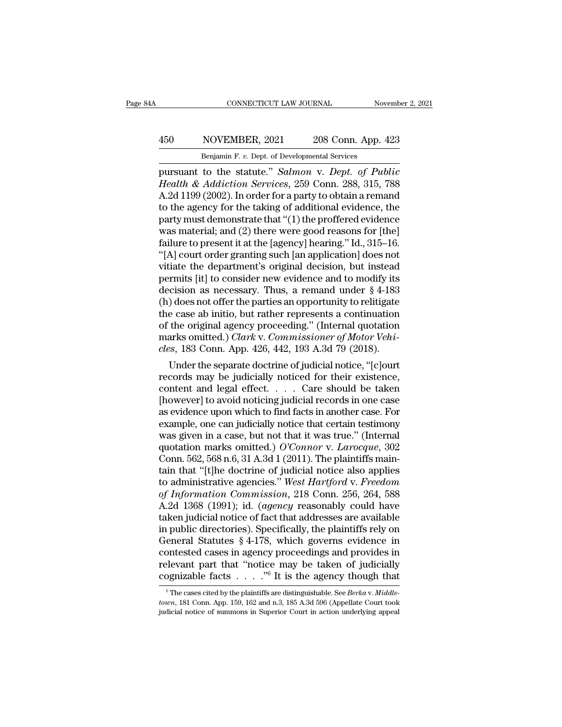### CONNECTICUT LAW JOURNAL November 2, 2021<br>
450 NOVEMBER, 2021 208 Conn. App. 423<br>
Benjamin F. v. Dept. of Developmental Services CONNECTICUT LAW JOURNAL Nov<br>
NOVEMBER, 2021 208 Conn. App. 4<br>
Benjamin F. *v.* Dept. of Developmental Services<br>
to the statute " Salmon y Dent. of Pul

FORD CONNECTICUT LAW JOURNAL November 2, 2021<br> **EXECUTE ASSET ASSET ASSET ASSET ON A SET OF PUBLIC PERIMIT OF STATUTE DEPT.**<br> **EXECUTE ASSET ASSET ASSET ASSET ASSET ASSET AND CONSTRUMENT OF PUBLIC Health & Addiction Servic** *Health & Addiction Services*, 2021 *208 Conn. App. 423*<br> *Benjamin F. v. Dept. of Developmental Services*<br> *Pursuant to the statute." Salmon v. Dept. of Public<br>
<i>Health & Addiction Services*, 259 Conn. 288, 315, 788<br> *A.2* A.2d 1199 (2002). In order for a party to obtain a remainded to the statute." Salmon v. Dept. of Public Health & Addiction Services, 259 Conn. 288, 315, 788<br>A.2d 1199 (2002). In order for a party to obtain a remand to the 450 NOVEMBER, 2021 208 Conn. App. 423<br>
Benjamin F. v. Dept. of Developmental Services<br>
pursuant to the statute." Salmon v. Dept. of Public<br>
Health & Addiction Services, 259 Conn. 288, 315, 788<br>
A.2d 1199 (2002). In order **EXECUTE THE CONSTRAINT DELTATE THE CONSTRAINT DEPTATE THE OF DEVELOPMENTAL PROPERTY DEPTATE OF PUBLIC Health & Addiction Services, 259 Conn. 288, 315, 788<br>A.2d 1199 (2002). In order for a party to obtain a remand<br>to the** Benjamin F. v. Dept. of Developmental Services<br>pursuant to the statute." Salmon v. Dept. of Public<br>Health & Addiction Services, 259 Conn. 288, 315, 788<br>A.2d 1199 (2002). In order for a party to obtain a remand<br>to the agen pursuant to the statute." *Salmon v. Dept. of Public*<br>Health & Addiction Services, 259 Conn. 288, 315, 788<br>A.2d 1199 (2002). In order for a party to obtain a remand<br>to the agency for the taking of additional evidence, the<br> *Health & Addiction Services*, 259 Conn. 288, 315, 788<br>A.2d 1199 (2002). In order for a party to obtain a remand<br>to the agency for the taking of additional evidence, the<br>party must demonstrate that "(1) the proffered evid A.2d 1199 (2002). In order for a party to obtain a remand<br>to the agency for the taking of additional evidence, the<br>party must demonstrate that "(1) the proffered evidence<br>was material; and (2) there were good reasons for to the agency for the taking of additional evidence, the<br>party must demonstrate that "(1) the proffered evidence<br>was material; and (2) there were good reasons for [the]<br>failure to present it at the [agency] hearing." Id., party must demonstrate that "(1) the proffered evidence<br>was material; and (2) there were good reasons for [the]<br>failure to present it at the [agency] hearing." Id., 315–16.<br>"[A] court order granting such [an application] d was material; and (2) there were good reasons for [the]<br>failure to present it at the [agency] hearing." Id., 315–16.<br>"[A] court order granting such [an application] does not<br>vitiate the department's original decision, but failure to present it at the [agency] hearing." Id., 315–16.<br>"[A] court order granting such [an application] does not<br>vitiate the department's original decision, but instead<br>permits [it] to consider new evidence and to mo "[A] court order granting such [an application] does not<br>vitiate the department's original decision, but instead<br>permits [it] to consider new evidence and to modify its<br>decision as necessary. Thus, a remand under  $\S 4$ -18 vitiate the department's original decision, but instead<br>permits [it] to consider new evidence and to modify its<br>decision as necessary. Thus, a remand under § 4-183<br>(h) does not offer the parties an opportunity to relitigat permits [it] to consider new evidence and to modify its<br>decision as necessary. Thus, a remand under § 4-183<br>(h) does not offer the parties an opportunity to relitigate<br>the case ab initio, but rather represents a continuati cision as necessary. Thus, a remand under  $\S$  4-183<br>) does not offer the parties an opportunity to relitigate<br>e case ab initio, but rather represents a continuation<br>the original agency proceeding." (Internal quotation<br>ark (n) does not offer the parties an opportunity to relitigate<br>the case ab initio, but rather represents a continuation<br>of the original agency proceeding." (Internal quotation<br>marks omitted.) *Clark* v. Commissioner of Motor

the case ab initio, but rather represents a continuation<br>of the original agency proceeding." (Internal quotation<br>marks omitted.) *Clark v. Commissioner of Motor Vehi-<br>cles*, 183 Conn. App. 426, 442, 193 A.3d 79 (2018).<br>Un of the original agency proceeding." (Internal quotation<br>marks omitted.) *Clark* v. *Commissioner of Motor Vehi-<br>cles*, 183 Conn. App. 426, 442, 193 A.3d 79 (2018).<br>Under the separate doctrine of judicial notice, "[c]ourt<br> marks omitted.) *Clark* v. *Commissioner of Motor Vehi-<br>cles*, 183 Conn. App. 426, 442, 193 A.3d 79 (2018).<br>Under the separate doctrine of judicial notice, "[c]ourt<br>records may be judicially noticed for their existence,<br>co cles, 183 Conn. App. 426, 442, 193 A.3d 79 (2018).<br>
Under the separate doctrine of judicial notice, "[c]ourt<br>
records may be judicially noticed for their existence,<br>
content and legal effect. . . . . Care should be taken<br> Under the separate doctrine of judicial notice, "[c]ourt<br>records may be judicially noticed for their existence,<br>content and legal effect. . . . . Care should be taken<br>[however] to avoid noticing judicial records in one ca records may be judicially noticed for their existence,<br>content and legal effect. . . . . Care should be taken<br>[however] to avoid noticing judicial records in one case<br>as evidence upon which to find facts in another case. content and legal effect. . . . . Care should be taken<br>[however] to avoid noticing judicial records in one case<br>as evidence upon which to find facts in another case. For<br>example, one can judicially notice that certain tes [however] to avoid noticing judicial records in one case<br>as evidence upon which to find facts in another case. For<br>example, one can judicially notice that certain testimony<br>was given in a case, but not that it was true." as evidence upon which to find facts in another case. For<br>example, one can judicially notice that certain testimony<br>was given in a case, but not that it was true." (Internal<br>quotation marks omitted.) *O'Connor v. Larocque* example, one can judicially notice that certain testimony<br>was given in a case, but not that it was true." (Internal<br>quotation marks omitted.) *O'Connor* v. *Larocque*, 302<br>Conn. 562, 568 n.6, 31 A.3d 1 (2011). The plaintif was given in a case, but not that it was true." (Internal<br>quotation marks omitted.) O'Connor v. Larocque, 302<br>Conn. 562, 568 n.6, 31 A.3d 1 (2011). The plaintiffs main-<br>tain that "[t]he doctrine of judicial notice also app quotation marks omitted.) O'Connor v. Larocque, 302<br>Conn. 562, 568 n.6, 31 A.3d 1 (2011). The plaintiffs main-<br>tain that "[t]he doctrine of judicial notice also applies<br>to administrative agencies." West Hartford v. Freedom Conn. 562, 568 n.6, 31 A.3d 1 (2011). The plaintiffs maintain that "[t]he doctrine of judicial notice also applies<br>to administrative agencies." *West Hartford v. Freedom*<br>of *Information Commission*, 218 Conn. 256, 264, 5 tain that "[t]he doctrine of judicial notice also applies<br>to administrative agencies." West Hartford v. Freedom<br>of Information Commission, 218 Conn. 256, 264, 588<br>A.2d 1368 (1991); id. (agency reasonably could have<br>taken j to administrative agencies." West Hartford v. Freedom<br>of Information Commission, 218 Conn. 256, 264, 588<br>A.2d 1368 (1991); id. (agency reasonably could have<br>taken judicial notice of fact that addresses are available<br>in pu of Information Commission, 218 Conn. 256, 264, 588<br>A.2d 1368 (1991); id. (agency reasonably could have<br>taken judicial notice of fact that addresses are available<br>in public directories). Specifically, the plaintiffs rely o A.2d 1368 (1991); id. *(agency* reasonably could have taken judicial notice of fact that addresses are available in public directories). Specifically, the plaintiffs rely on General Statutes § 4-178, which governs evidenc eneral Statutes § 4-178, which governs evidence in ontested cases in agency proceedings and provides in elevant part that "notice may be taken of judicially ognizable facts  $\ldots$ ."<sup>6</sup> It is the agency though that  $\frac{6}{\pi$ contested cases in agency proceedings and provides in relevant part that "notice may be taken of judicially cognizable facts  $\cdots$ ."<sup>6</sup> It is the agency though that  $\frac{1}{6}$  The cases cited by the plaintiffs are distingu relevant part that "notice may be taken of judicially cognizable facts  $\cdots$  ."<sup>6</sup> It is the agency though that  $\overline{ }$  "The cases cited by the plaintiffs are distinguishable. See *Berka* v. *Middletown*, 181 Conn. App. 1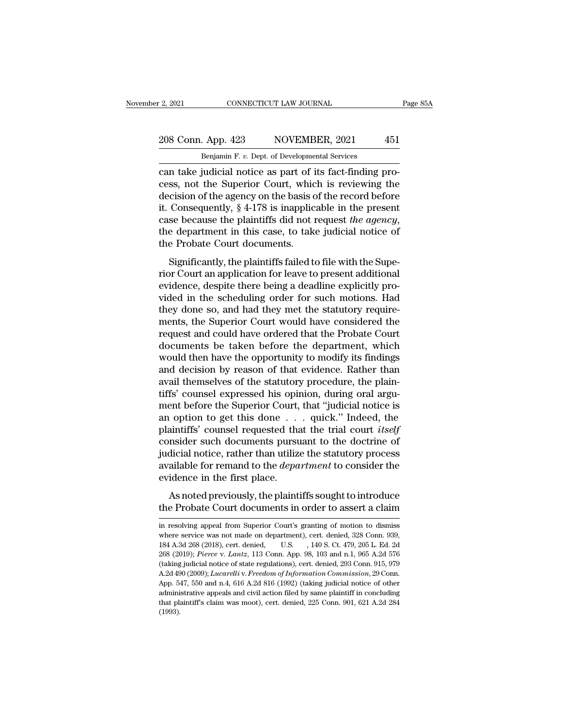# 2, 2021 CONNECTICUT LAW JOURNAL Page 85A<br>208 Conn. App. 423 NOVEMBER, 2021 451<br>Benjamin F. v. Dept. of Developmental Services

E. 2, 2021 CONNECTICUT LAW JOURNAL<br>
208 Conn. App. 423 NOVEMBER, 2021 451<br>
Benjamin F. *v.* Dept. of Developmental Services<br>
can take judicial notice as part of its fact-finding procan take judicial notice as part of its fact-finding process, not the Superior Court, which is reviewing the decision of the agency on the basis of the record before 208 Conn. App. 423 NOVEMBER, 2021 451<br>
Benjamin F. v. Dept. of Developmental Services<br>
can take judicial notice as part of its fact-finding process, not the Superior Court, which is reviewing the<br>
decision of the agency on 208 Conn. App. 423 NOVEMBER, 2021 451<br>
Benjamin F. v. Dept. of Developmental Services<br>
can take judicial notice as part of its fact-finding pro-<br>
cess, not the Superior Court, which is reviewing the<br>
decision of the agenc 208 Conn. App. 423 NOVEMBER, 2021 451<br>
Benjamin F. v. Dept. of Developmental Services<br>
can take judicial notice as part of its fact-finding pro-<br>
cess, not the Superior Court, which is reviewing the<br>
decision of the agenc Benjamin F. v. Dept. of Developmental Services<br>can take judicial notice as part of its fact-finding pro-<br>cess, not the Superior Court, which is reviewing the<br>decision of the agency on the basis of the record before<br>it. Con can take judicial notice as part of i<br>cess, not the Superior Court, whic<br>decision of the agency on the basis c<br>it. Consequently, § 4-178 is inapplic<br>case because the plaintiffs did not i<br>the department in this case, to tak Significantly,  $§$  4-178 is inapplicable in the present se because the plaintiffs did not request *the agency*, e department in this case, to take judicial notice of Probate Court documents.<br>Significantly, the plaintiffs rior Court and Series of the Basis of the record before it. Consequently, § 4-178 is inapplicable in the present case because the plaintiffs did not request *the agency*, the department in this case, to take judicial noti

revised the plaintiffs did not request *the agency*,<br>case because the plaintiffs did not request *the agency*,<br>the department in this case, to take judicial notice of<br>the Probate Court documents.<br>Significantly, the plainti East because are planting and not request the agency,<br>the department in this case, to take judicial notice of<br>the Probate Court documents.<br>Significantly, the plaintiffs failed to file with the Supe-<br>rior Court an applicati the department in this case, to take judicial notice of<br>the Probate Court documents.<br>Significantly, the plaintiffs failed to file with the Supe-<br>rior Court an application for leave to present additional<br>evidence, despite t Significantly, the plaintiffs failed to file with the Superior Court an application for leave to present additional<br>evidence, despite there being a deadline explicitly pro-<br>vided in the scheduling order for such motions. H Significantly, the plaintiffs failed to file with the Superior Court an application for leave to present additional<br>evidence, despite there being a deadline explicitly pro-<br>vided in the scheduling order for such motions. H rior Court an application for leave to present additional<br>evidence, despite there being a deadline explicitly pro-<br>vided in the scheduling order for such motions. Had<br>they done so, and had they met the statutory require-<br>m evidence, despite there being a deadline explicitly provided in the scheduling order for such motions. Had<br>they done so, and had they met the statutory require-<br>ments, the Superior Court would have considered the<br>request a vided in the scheduling order for such motions. Had<br>they done so, and had they met the statutory require-<br>ments, the Superior Court would have considered the<br>request and could have ordered that the Probate Court<br>documents they done so, and had they met the statutory requirements, the Superior Court would have considered the request and could have ordered that the Probate Court documents be taken before the department, which would then have ments, the Superior Court would have considered the request and could have ordered that the Probate Court documents be taken before the department, which would then have the opportunity to modify its findings and decision request and could have ordered that the Probate Court<br>documents be taken before the department, which<br>would then have the opportunity to modify its findings<br>and decision by reason of that evidence. Rather than<br>avail themse documents be taken before the department, which<br>would then have the opportunity to modify its findings<br>and decision by reason of that evidence. Rather than<br>avail themselves of the statutory procedure, the plain-<br>tiffs' co would then have the opportunity to modify its findings<br>and decision by reason of that evidence. Rather than<br>avail themselves of the statutory procedure, the plain-<br>tiffs' counsel expressed his opinion, during oral argu-<br>me and decision by reason of that evidence. Rather than<br>avail themselves of the statutory procedure, the plain-<br>tiffs' counsel expressed his opinion, during oral argu-<br>ment before the Superior Court, that "judicial notice is avail themselves of the statutory procedure, the plain-<br>tiffs' counsel expressed his opinion, during oral argu-<br>ment before the Superior Court, that "judicial notice is<br>an option to get this done . . . quick." Indeed, the<br> tiffs' counsel expressed his opinion, during oral argument before the Superior Court, that "judicial notice is an option to get this done . . . quick." Indeed, the plaintiffs' counsel requested that the trial court *itself* ment before the Superior Court,<br>an option to get this done . .<br>plaintiffs' counsel requested tha<br>consider such documents pursu<br>judicial notice, rather than utiliz<br>available for remand to the *depa*<br>evidence in the first pl As noted previously, the plaintiffs is out to the doctrine of dicial notice, rather than utilize the statutory process allable for remand to the *department* to consider the idence in the first place.<br>As noted previously, plantifies courser requested that the that court tasty<br>consider such documents pursuant to the doctrine of<br>judicial notice, rather than utilize the statutory process<br>available for remand to the *department* to consider the

evidence in the first place.<br>As noted previously, the plaintiffs sought to introduce<br>the Probate Court documents in order to assert a claim<br>in resolving appeal from Superior Court's granting of motion to dismiss<br>where serv As noted previously, the plaintiffs sought to introduce<br>the Probate Court documents in order to assert a claim<br>in resolving appeal from Superior Court's granting of motion to dismiss<br>where service was not made on departmen As noted previously, the plaintiffs sought to introduce<br>the Probate Court documents in order to assert a claim<br>in resolving appeal from Superior Court's granting of motion to dismiss<br>where service was not made on departmen **Example 19 and 19 and 19 and 10 and 10** and 10 and 10 and 10 and 10 and 10 and 10 and 103 and 1.9.38 (2018), cert. denied,  $10.81$ , 140 S. Ct. 479, 205 L. Ed. 2d 268 (2019); *Pierce* v. *Lantz*, 113 Conn. App. 98, 103 and (taking judicial notice of state regulations), cert. denied, 328 Conn. 939, 184 A.3d 268 (2018), cert. denied, U.S. (140 S.Ct. 479, 205 L. Ed. 2d 268 (2019); *Pierce v. Lantz*, 113 Conn. App. 98, 103 and n.1, 965 A.2d 576 in resolving appeal from Superior Court's granting of motion to dismiss<br>where service was not made on department), cert. denied, 328 Conn. 939,<br>184 A.3d 268 (2018), cert. denied, U.S. , 140 S. Ct. 479, 205 L. Ed. 2d<br>268 (2 where service was not made on department), cert. denied,  $328$  Conn.  $939$ ,  $184$  A.3d  $268$  (2018), cert. denied, U.S. ,  $140$  S. Ct.  $479$ ,  $205$  L. Ed.  $2d$   $268$  (2019); *Pierce v. Lantz*,  $113$  Conn. App.  $98$ ,  $103$ administrative appeals and civil action filed by same plaintiff in concluding that plaintiff's claim was moot), cert. denied,  $184$  A.3d 268 (2019); *Pierce* v. *Lantz*, 113 Conn. App. 98, 103 and n.1, 965 A.2d 576 (takin 268 (2019); *Pierce v. Lantz*, 113 Conn. App. 98, 103 and n.1, 965 A.2d 576 (taking judicial notice of state regulations), cert. denied, 293 Conn. 915, 979 A.2d 490 (2009); *Lucarelli v. Freedom of Information Commission* (1993).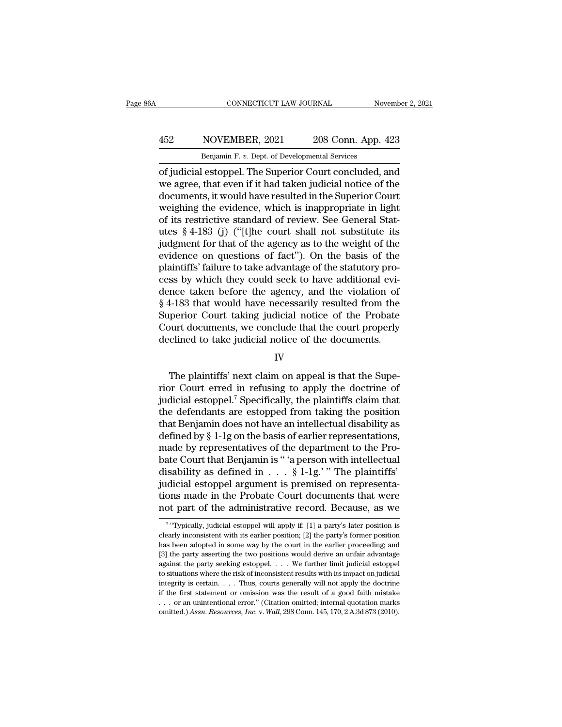## CONNECTICUT LAW JOURNAL November 2, 2021<br>
452 NOVEMBER, 2021 208 Conn. App. 423<br>
Benjamin F. v. Dept. of Developmental Services CONNECTICUT LAW JOURNAL November 2, 2021<br>Benjamin F. *v.* Dept. of Developmental Services<br>of judicial estoppel. The Superior Court concluded, and

CONNECTICUT LAW JOURNAL November 2, 2021<br>
MOVEMBER, 2021 208 Conn. App. 423<br>
Benjamin F. v. Dept. of Developmental Services<br>
of judicial estoppel. The Superior Court concluded, and<br>
we agree, that even if it had taken judi NOVEMBER, 2021 208 Conn. App. 423<br>
Benjamin F. v. Dept. of Developmental Services<br>
of judicial estoppel. The Superior Court concluded, and<br>
we agree, that even if it had taken judicial notice of the<br>
documents, it would ha 452 NOVEMBER, 2021 208 Conn. App. 423<br>
Benjamin F. v. Dept. of Developmental Services<br>
of judicial estoppel. The Superior Court concluded, and<br>
we agree, that even if it had taken judicial notice of the<br>
documents, it wou A52 NOVEMBER, 2021 208 Conn. App. 423<br>
Benjamin F. v. Dept. of Developmental Services<br>
of judicial estoppel. The Superior Court concluded, and<br>
we agree, that even if it had taken judicial notice of the<br>
documents, it wou Benjamin F. v. Dept. of Developmental Services<br>
of judicial estoppel. The Superior Court concluded, and<br>
we agree, that even if it had taken judicial notice of the<br>
documents, it would have resulted in the Superior Court<br> Benjamin F. v. Dept. of Developmental Services<br>
of judicial estoppel. The Superior Court concluded, and<br>
we agree, that even if it had taken judicial notice of the<br>
documents, it would have resulted in the Superior Court<br> of judicial estoppel. The Superior Court concluded, and<br>we agree, that even if it had taken judicial notice of the<br>documents, it would have resulted in the Superior Court<br>weighing the evidence, which is inappropriate in li we agree, that even if it had taken judicial notice of the<br>documents, it would have resulted in the Superior Court<br>weighing the evidence, which is inappropriate in light<br>of its restrictive standard of review. See General S documents, it would have resulted in the Superior Court<br>weighing the evidence, which is inappropriate in light<br>of its restrictive standard of review. See General Stat-<br>utes § 4-183 (j) ("[t]he court shall not substitute it weighing the evidence, which is inappropriate in light<br>of its restrictive standard of review. See General Stat-<br>utes § 4-183 (j) ("[t]he court shall not substitute its<br>judgment for that of the agency as to the weight of t of its restrictive standard of review. See General Stat-<br>utes § 4-183 (j) ("[t]he court shall not substitute its<br>judgment for that of the agency as to the weight of the<br>evidence on questions of fact"). On the basis of the utes § 4-183 (j) ("[t]he court shall not substitute its<br>judgment for that of the agency as to the weight of the<br>evidence on questions of fact"). On the basis of the<br>plaintiffs' failure to take advantage of the statutory pr judgment for that of the agency as to the weight of the<br>evidence on questions of fact"). On the basis of the<br>plaintiffs' failure to take advantage of the statutory pro-<br>cess by which they could seek to have additional evievidence on questions of fact"). On the basis of the plaintiffs' failure to take advantage of the statutory process by which they could seek to have additional evidence taken before the agency, and the violation of § 4-183 plaintiffs' failure to take advantage of the statutory process by which they could seek to have additional evidence taken before the agency, and the violation of § 4-183 that would have necessarily resulted from the Superi 4-183 that would have necessarily resulted from the<br>perior Court taking judicial notice of the Probate<br>ourt documents, we conclude that the court properly<br>clined to take judicial notice of the documents.<br>IV<br>The plaintiffs

### IV

Superior Court taking judicial notice of the Probate<br>Court documents, we conclude that the court properly<br>declined to take judicial notice of the documents.<br> $IV$ <br>The plaintiffs' next claim on appeal is that the Supe-<br>rior Court documents, we conclude that the court properly<br>declined to take judicial notice of the documents.<br> $IV$ <br>The plaintiffs' next claim on appeal is that the Superior Court erred in refusing to apply the doctrine of<br>judici declined to take judicial notice of the documents.<br>
IV<br>
The plaintiffs' next claim on appeal is that the Superior Court erred in refusing to apply the doctrine of<br>
judicial estoppel.<sup>7</sup> Specifically, the plaintiffs claim t IV<br>IT The plaintiffs' next claim on appeal is that the Superior Court erred in refusing to apply the doctrine of<br>judicial estoppel.<sup>7</sup> Specifically, the plaintiffs claim that<br>the defendants are estopped from taking the po The plaintiffs' next claim on appeal is that the Superior Court erred in refusing to apply the doctrine of judicial estoppel.<sup>7</sup> Specifically, the plaintiffs claim that the defendants are estopped from taking the position The plaintiffs' next claim on appeal is that the Superior Court erred in refusing to apply the doctrine of judicial estoppel.<sup>7</sup> Specifically, the plaintiffs claim that the defendants are estopped from taking the position rior Court erred in refusing to apply the doctrine of<br>judicial estoppel.<sup>7</sup> Specifically, the plaintiffs claim that<br>the defendants are estopped from taking the position<br>that Benjamin does not have an intellectual disabili judicial estoppel.<sup>7</sup> Specifically, the plaintiffs claim that<br>the defendants are estopped from taking the position<br>that Benjamin does not have an intellectual disability as<br>defined by  $\S$  1-1g on the basis of earlier repr the defendants are estopped from taking the position<br>that Benjamin does not have an intellectual disability as<br>defined by  $\S 1$ -1g on the basis of earlier representations,<br>made by representatives of the department to the that Benjamin does not have an intellectual disability as<br>defined by  $\S$  1-1g on the basis of earlier representations,<br>made by representatives of the department to the Pro-<br>bate Court that Benjamin is " 'a person with int defined by § 1-1g on the basis of earlier representations,<br>made by representatives of the department to the Pro-<br>bate Court that Benjamin is " 'a person with intellectual<br>disability as defined in  $\dots$  § 1-1g.' " The plain disability as defined in . . . § 1-1g.' " The plaintiffs' judicial estoppel argument is premised on representations made in the Probate Court documents that were not part of the administrative record. Because, as we  $\frac{1$ judicial estoppel argument is premised on representa-<br>tions made in the Probate Court documents that were<br>not part of the administrative record. Because, as we<br> $\frac{1}{7}$  "Typically, judicial estoppel will apply if: [1] a

<sup>7 &</sup>quot;Tymi tions made in the Probate Court documents that were<br>not part of the administrative record. Because, as we<br> $\frac{1}{7}$  "Typically, judicial estoppel will apply if: [1] a party's later position is<br>clearly inconsistent with it **Example 13** the administrative record. Because, as we  $\frac{1}{3}$  if "Typically, judicial estoppel will apply if: [1] a party's later position is clearly inconsistent with its earlier position; [2] the party's former posit From part of the authfinistrative record. Because, as we<br>
<sup>7</sup> "Typically, judicial estoppel will apply if: [1] a party's later position is<br>
clearly inconsistent with its earlier position; [2] the party's former position<br> <sup>7</sup> "Typically, judicial estoppel will apply if: [1] a party's later position is clearly inconsistent with its earlier position; [2] the party's former position has been adopted in some way by the court in the earlier pro Expression with its earlier position; [2] the party's former position has been adopted in some way by the court in the earlier proceeding; and [3] the party asserting the two positions would derive an unfair advantage aga has been adopted in some way by the court in the earlier proceeding; and [3] the party asserting the two positions would derive an unfair advantage against the party seeking estoppel.  $\ldots$  We further limit judicial estop [3] the party asserting the two positions would derive an unfair advantage against the party seeking estoppel. . . . We further limit judicial estoppel to situations where the risk of inconsistent results with its impact against the party seeking estoppel. . . . We further limit judicial estoppel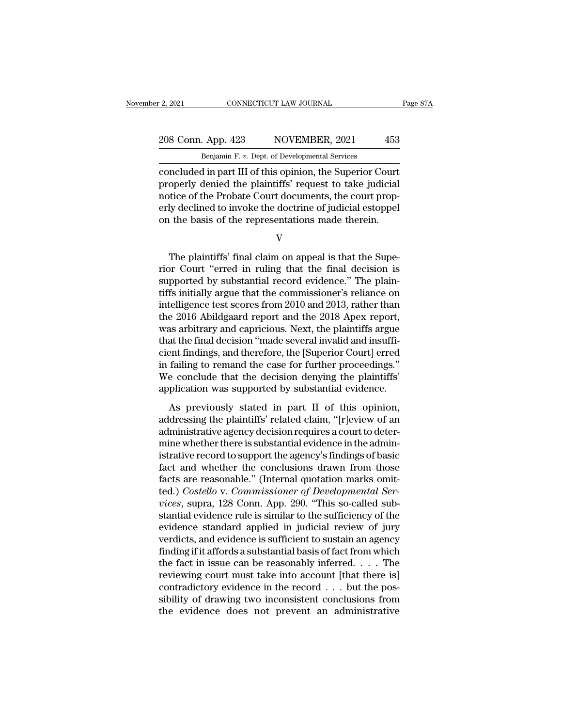E. 2, 2021 CONNECTICUT LAW JOURNAL<br>208 Conn. App. 423 NOVEMBER, 2021 453<br>Benjamin F. *v.* Dept. of Developmental Services<br>concluded in part III of this opinion, the Superior Court concluded in part III of this opinion, the Superior Court<br>properly denied the plaintiffs' request to take judicial<br>properly denied the plaintiffs' request to take judicial<br>properly denied the plaintiffs' request to take ju 208 Conn. App. 423 NOVEMBER, 2021 453<br>
Benjamin F. v. Dept. of Developmental Services<br>
concluded in part III of this opinion, the Superior Court<br>
properly denied the plaintiffs' request to take judicial<br>
notice of the Prob 208 Conn. App. 423 NOVEMBER, 2021 453<br>
Benjamin F. v. Dept. of Developmental Services<br>
concluded in part III of this opinion, the Superior Court<br>
properly denied the plaintiffs' request to take judicial<br>
notice of the Pro 208 Conn. App. 423 NOVEMBER, 2021 453<br>
Benjamin F. v. Dept. of Developmental Services<br>
concluded in part III of this opinion, the Superior Court<br>
properly denied the plaintiffs' request to take judicial<br>
notice of the Pro Benjamin F. v. Dept. of Developmental Services<br>
concluded in part III of this opinion, the Superior Court<br>
properly denied the plaintiffs' request to take judicial<br>
notice of the Probate Court documents, the court prop-<br>
e operly denied the plaintiffs' request to take judicial<br>tice of the Probate Court documents, the court prop-<br>ly declined to invoke the doctrine of judicial estoppel<br>the basis of the representations made therein.<br>V<br>The plain

### V

ration of the Probate Court documents, the court properly declined to invoke the doctrine of judicial estoppel<br>on the basis of the representations made therein.<br>V<br>The plaintiffs' final claim on appeal is that the Supe-<br>rio erly declined to invoke the doctrine of judicial estoppel<br>on the basis of the representations made therein.<br>V<br>The plaintiffs' final claim on appeal is that the Supe-<br>rior Court "erred in ruling that the final decision is<br>s on the basis of the representations made therein.<br>V<br>The plaintiffs' final claim on appeal is that the Superior Court "erred in ruling that the final decision is<br>supported by substantial record evidence." The plain-<br>tiffs i V<br>The plaintiffs' final claim on appeal is that the Superior Court "erred in ruling that the final decision is<br>supported by substantial record evidence." The plain-<br>tiffs initially argue that the commissioner's reliance on The plaintiffs' final claim on appeal is that the Superior Court "erred in ruling that the final decision is<br>supported by substantial record evidence." The plain-<br>tiffs initially argue that the commissioner's reliance on<br>i The plaintiffs' final claim on appeal is that the Superior Court "erred in ruling that the final decision is<br>supported by substantial record evidence." The plain-<br>tiffs initially argue that the commissioner's reliance on<br>i rior Court "erred in ruling that the final decision is<br>supported by substantial record evidence." The plain-<br>tiffs initially argue that the commissioner's reliance on<br>intelligence test scores from 2010 and 2013, rather tha supported by substantial record evidence." The plain-<br>tiffs initially argue that the commissioner's reliance on<br>intelligence test scores from 2010 and 2013, rather than<br>the 2016 Abildgaard report and the 2018 Apex report,<br> tiffs initially argue that the commissioner's reliance on<br>intelligence test scores from 2010 and 2013, rather than<br>the 2016 Abildgaard report and the 2018 Apex report,<br>was arbitrary and capricious. Next, the plaintiffs arg intelligence test scores from 2010 and 2013, rather than<br>the 2016 Abildgaard report and the 2018 Apex report,<br>was arbitrary and capricious. Next, the plaintiffs argue<br>that the final decision "made several invalid and insuf the 2016 Abildgaard report and the 2018 Apex report,<br>was arbitrary and capricious. Next, the plaintiffs argue<br>that the final decision "made several invalid and insuffi-<br>cient findings, and therefore, the [Superior Court] e as abustary and captures. There, the plantinic argue<br>at the final decision "made several invalid and insuffi-<br>ent findings, and therefore, the [Superior Court] erred<br>failing to remand the case for further proceedings."<br>e c rada are final accessor made several invalid and insum<br>cient findings, and therefore, the [Superior Court] erred<br>in failing to remand the case for further proceedings."<br>We conclude that the decision denying the plaintiffs'

From Halling to remand the case for further proceedings."<br>We conclude that the decision denying the plaintiffs"<br>application was supported by substantial evidence.<br>As previously stated in part II of this opinion,<br>addressing manning to remain are case for randical proceedings.<br>We conclude that the decision denying the plaintiffs'<br>application was supported by substantial evidence.<br>As previously stated in part II of this opinion,<br>addressing the is application was supported by substantial evidence.<br>As previously stated in part II of this opinion,<br>addressing the plaintiffs' related claim, "[r]eview of an<br>administrative agency decision requires a court to deter-<br>min As previously stated in part II of this opinion,<br>addressing the plaintiffs' related claim, "[r]eview of an<br>administrative agency decision requires a court to deter-<br>mine whether there is substantial evidence in the admin-As previously stated in part II of this opinion,<br>addressing the plaintiffs' related claim, "[r]eview of an<br>administrative agency decision requires a court to deter-<br>mine whether there is substantial evidence in the adminaddressing the plaintiffs' related claim, "[r]eview of an administrative agency decision requires a court to determine whether there is substantial evidence in the administrative record to support the agency's findings of administrative agency decision requires a court to determine whether there is substantial evidence in the administrative record to support the agency's findings of basic fact and whether the conclusions drawn from those fa mine whether there is substantial evidence in the administrative record to support the agency's findings of basic<br>fact and whether the conclusions drawn from those<br>facts are reasonable." (Internal quotation marks omit-<br>ted istrative record to support the agency's findings of basic<br>fact and whether the conclusions drawn from those<br>facts are reasonable." (Internal quotation marks omit-<br>ted.) *Costello* v. *Commissioner of Developmental Ser-*<br>v fact and whether the conclusions drawn from those<br>facts are reasonable." (Internal quotation marks omit-<br>ted.) *Costello v. Commissioner of Developmental Ser-*<br>vices, supra, 128 Conn. App. 290. "This so-called sub-<br>stantia facts are reasonable." (Internal quotation marks omit-<br>ted.) *Costello* v. *Commissioner of Developmental Ser-*<br>vices, supra, 128 Conn. App. 290. "This so-called sub-<br>stantial evidence rule is similar to the sufficiency of ted.) *Costello v. Commissioner of Developmental Services*, supra, 128 Conn. App. 290. "This so-called substantial evidence rule is similar to the sufficiency of the evidence standard applied in judicial review of jury ver *vices*, supra, 128 Conn. App. 290. "This so-called substantial evidence rule is similar to the sufficiency of the evidence standard applied in judicial review of jury verdicts, and evidence is sufficient to sustain an ag stantial evidence rule is similar to the sufficiency of the evidence standard applied in judicial review of jury verdicts, and evidence is sufficient to sustain an agency finding if it affords a substantial basis of fact evidence standard applied in judicial review of jury<br>verdicts, and evidence is sufficient to sustain an agency<br>finding if it affords a substantial basis of fact from which<br>the fact in issue can be reasonably inferred. . . verdicts, and evidence is sufficient to sustain an agency<br>finding if it affords a substantial basis of fact from which<br>the fact in issue can be reasonably inferred. . . . The<br>reviewing court must take into account [that t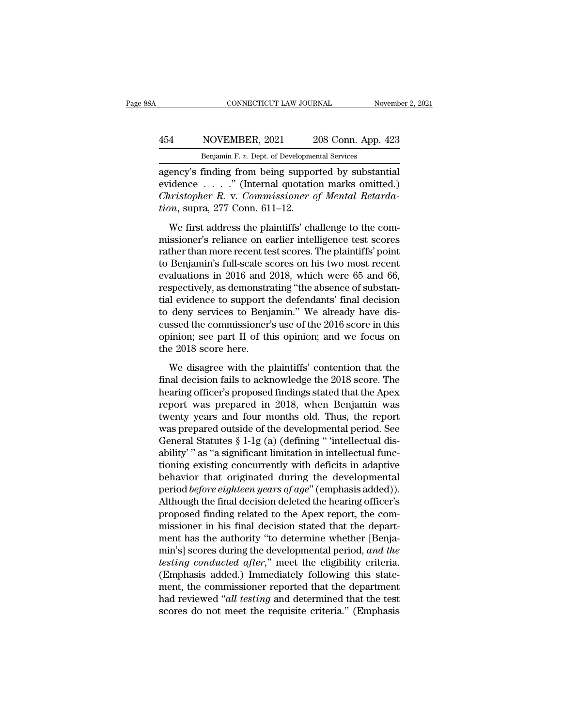### CONNECTICUT LAW JOURNAL November 2, 2021<br>
454 NOVEMBER, 2021 208 Conn. App. 423<br>
Benjamin F. v. Dept. of Developmental Services CONNECTICUT LAW JOURNAL Nov<br>
NOVEMBER, 2021 208 Conn. App. 4<br>
Benjamin F. *v.* Dept. of Developmental Services<br>
finding from being supported by substant

CONNECTICUT LAW JOURNAL November 2, 20<br>
454 NOVEMBER, 2021 208 Conn. App. 423<br>
Benjamin F. v. Dept. of Developmental Services<br>
agency's finding from being supported by substantial<br>
evidence . . . . . " (Internal quotation MOVEMBER, 2021 208 Conn. App. 423<br>
Benjamin F. v. Dept. of Developmental Services<br>
agency's finding from being supported by substantial<br>
evidence . . . . . " (Internal quotation marks omitted.)<br>
Christopher R. v. Commissio *Christopher R. v. Dept. of Developmental Services*<br> *Christopher R. v. Pept. of Developmental Services*<br> *Christopher R. v. Commissioner of Mental Retarda-*<br> *Christopher R. v. Commissioner of Mental Retarda-*<br> *Christoph to Benjamin F. v. Dept. of Developmen*<br> *to Benjamin F. v. Dept. of Developmen*<br> *to Benjamin F. v. Dept. of Development*<br> *to evidence* . . . . . " (Internal quotatic<br> *Christopher R. v. Commissioner quion, supra, 277 Co* 

Benjamin F. v. Dept. of Developmental Services<br>
ency's finding from being supported by substantial<br>
idence . . . . ." (Internal quotation marks omitted.)<br> *eristopher R. v. Commissioner of Mental Retarda-*<br> *Me first addr* agency's finding from being supported by substantial<br>evidence  $\dots$ ." (Internal quotation marks omitted.)<br>*Christopher R. v. Commissioner of Mental Retarda-<br>tion*, supra, 277 Conn. 611–12.<br>We first address the plaintiffs' evidence  $\dots$  ." (Internal quotation marks omitted.)<br>Christopher R. v. Commissioner of Mental Retarda-<br>tion, supra, 277 Conn. 611–12.<br>We first address the plaintiffs' challenge to the com-<br>missioner's reliance on earlier Christopher R. v. Commissioner of Mental Retarda-<br>tion, supra, 277 Conn. 611–12.<br>We first address the plaintiffs' challenge to the com-<br>missioner's reliance on earlier intelligence test scores<br>rather than more recent test evaluation, supra, 277 Conn. 611–12.<br>We first address the plaintiffs' challenge to the com-<br>missioner's reliance on earlier intelligence test scores<br>rather than more recent test scores. The plaintiffs' point<br>to Benjamin's We first address the plaintiffs' challenge to the commissioner's reliance on earlier intelligence test scores<br>rather than more recent test scores. The plaintiffs' point<br>to Benjamin's full-scale scores on his two most recen We first address the plaintiffs' challenge to the com-<br>missioner's reliance on earlier intelligence test scores<br>rather than more recent test scores. The plaintiffs' point<br>to Benjamin's full-scale scores on his two most rec missioner's reliance on earlier intelligence test scores<br>rather than more recent test scores. The plaintiffs' point<br>to Benjamin's full-scale scores on his two most recent<br>evaluations in 2016 and 2018, which were 65 and 66, rather than more recent test scores. The plaintiffs' point<br>to Benjamin's full-scale scores on his two most recent<br>evaluations in 2016 and 2018, which were 65 and 66,<br>respectively, as demonstrating "the absence of substan-<br> to Benjamin's full-scale scores on his two most recent<br>evaluations in 2016 and 2018, which were 65 and 66,<br>respectively, as demonstrating "the absence of substan-<br>tial evidence to support the defendants' final decision<br>to evaluations in 2016 and 2<br>respectively, as demonstratial evidence to support t<br>to deny services to Benj<br>cussed the commissioner'<br>opinion; see part II of th<br>the 2018 score here.<br>We disagree with the p I evidence to support the defendants' final decision<br>deny services to Benjamin." We already have dis-<br>ssed the commissioner's use of the 2016 score in this<br>inion; see part II of this opinion; and we focus on<br>e 2018 score h to deny services to Benjamin." We already have discussed the commissioner's use of the  $2016$  score in this<br>opinion; see part II of this opinion; and we focus on<br>the  $2018$  score here.<br>We disagree with the plaintiffs' con

cussed the commissioner's use of the 2016 score in this<br>opinion; see part II of this opinion; and we focus on<br>the 2018 score here.<br>We disagree with the plaintiffs' contention that the<br>final decision fails to acknowledge th opinion; see part II of this opinion; and we focus on<br>the 2018 score here.<br>We disagree with the plaintiffs' contention that the<br>final decision fails to acknowledge the 2018 score. The<br>hearing officer's proposed findings st the 2018 score here.<br>We disagree with the plaintiffs' contention that the<br>final decision fails to acknowledge the 2018 score. The<br>hearing officer's proposed findings stated that the Apex<br>report was prepared in 2018, when B We disagree with the plaintiffs' contention that the<br>final decision fails to acknowledge the 2018 score. The<br>hearing officer's proposed findings stated that the Apex<br>report was prepared in 2018, when Benjamin was<br>twenty y We disagree with the plaintiffs' contention that the<br>final decision fails to acknowledge the 2018 score. The<br>hearing officer's proposed findings stated that the Apex<br>report was prepared in 2018, when Benjamin was<br>twenty ye final decision fails to acknowledge the 2018 score. The<br>hearing officer's proposed findings stated that the Apex<br>report was prepared in 2018, when Benjamin was<br>twenty years and four months old. Thus, the report<br>was prepar hearing officer's proposed findings stated that the Apex<br>report was prepared in 2018, when Benjamin was<br>twenty years and four months old. Thus, the report<br>was prepared outside of the developmental period. See<br>General Statu report was prepared in 2018, when Benjamin was<br>twenty years and four months old. Thus, the report<br>was prepared outside of the developmental period. See<br>General Statutes § 1-1g (a) (defining " 'intellectual dis-<br>ability' " twenty years and four months old. Thus, the report<br>was prepared outside of the developmental period. See<br>General Statutes § 1-1g (a) (defining " 'intellectual dis-<br>ability'' as "a significant limitation in intellectual fun was prepared outside of the developmental period. See<br>General Statutes § 1-1g (a) (defining " 'intellectual dis-<br>ability' " as "a significant limitation in intellectual func-<br>tioning existing concurrently with deficits in General Statutes § 1-1g (a) (defining " 'intellectual disability' " as "a significant limitation in intellectual functioning existing concurrently with deficits in adaptive behavior that originated during the developmenta ability'" as "a significant limitation in intellectual functioning existing concurrently with deficits in adaptive<br>behavior that originated during the developmental<br>period *before eighteen years of age*" (emphasis added)). tioning existing concurrently with deficits in adaptive<br>behavior that originated during the developmental<br>period *before eighteen years of age*" (emphasis added)).<br>Although the final decision deleted the hearing officer's behavior that originated during the developmental<br>period *before eighteen years of age*" (emphasis added)).<br>Although the final decision deleted the hearing officer's<br>proposed finding related to the Apex report, the com-<br>mi period *before eighteen years of age*" (emphasis added)).<br>Although the final decision deleted the hearing officer's<br>proposed finding related to the Apex report, the com-<br>missioner in his final decision stated that the depa Although the final decision deleted the hearing officer's<br>proposed finding related to the Apex report, the com-<br>missioner in his final decision stated that the depart-<br>ment has the authority "to determine whether [Benja-<br>m proposed finding related to the Apex report, the com-<br>missioner in his final decision stated that the depart-<br>ment has the authority "to determine whether [Benja-<br>min's] scores during the developmental period, and the<br>test missioner in his final decision stated that the department has the authority "to determine whether [Benjamin's] scores during the developmental period, and the testing conducted after," meet the eligibility criteria. (Emph ment has the authority "to determine whether [Benjamin's] scores during the developmental period, and the testing conducted after," meet the eligibility criteria. (Emphasis added.) Immediately following this statement, the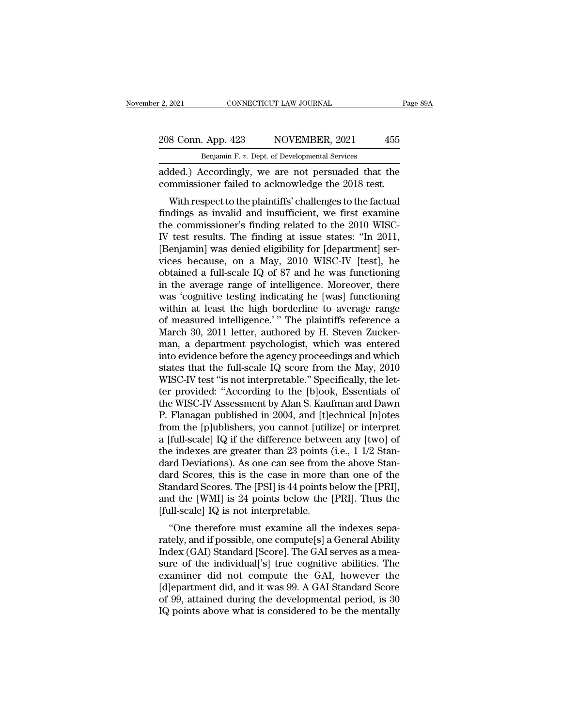### 2, 2021 CONNECTICUT LAW JOURNAL Page 89A<br>208 Conn. App. 423 NOVEMBER, 2021 455<br>Benjamin F. v. Dept. of Developmental Services CONNECTICUT LAW JOURNAL<br>Benjamin F. *v.* Dept. of Developmental Services<br>Condingly we are not persuaded that

added.) Accordingly, we are not persuaded that the<br>disconnected that the commissioner failed to acknowledge the 2018 test. 208 Conn. App. 423 NOVEMBER, 2021 455<br>Benjamin F. v. Dept. of Developmental Services<br>added.) Accordingly, we are not persuaded that the<br>commissioner failed to acknowledge the 2018 test.<br>With respect to the plaintiffs' chal

8 Conn. App. 423 NOVEMBER, 2021 455<br>
Benjamin F. v. Dept. of Developmental Services<br>
ded.) Accordingly, we are not persuaded that the<br>
mmissioner failed to acknowledge the 2018 test.<br>
With respect to the plaintiffs' chall 208 Conn. App. 423 NOVEMBER, 2021 455<br>
Benjamin F. v. Dept. of Developmental Services<br>
added.) Accordingly, we are not persuaded that the<br>
commissioner failed to acknowledge the 2018 test.<br>
With respect to the plaintiffs' Benjamin F. v. Dept. of Developmental Services<br>added.) Accordingly, we are not persuaded that the<br>commissioner failed to acknowledge the 2018 test.<br>With respect to the plaintiffs' challenges to the factual<br>findings as inv added.) Accordingly, we are not persuaded that the<br>commissioner failed to acknowledge the 2018 test.<br>With respect to the plaintiffs' challenges to the factual<br>findings as invalid and insufficient, we first examine<br>the comm added.) Accordingly, we are not persuaded that the<br>commissioner failed to acknowledge the 2018 test.<br>With respect to the plaintiffs' challenges to the factual<br>findings as invalid and insufficient, we first examine<br>the comm Unified to acknowledge the 2013 test.<br>
With respect to the plaintiffs' challenges to the factual<br>
findings as invalid and insufficient, we first examine<br>
the commissioner's finding related to the 2010 WISC-<br>
IV test result With respect to the plaintiffs' challenges to the factual<br>findings as invalid and insufficient, we first examine<br>the commissioner's finding related to the 2010 WISC-<br>IV test results. The finding at issue states: "In 2011,<br> findings as invalid and insufficient, we first examine<br>the commissioner's finding related to the 2010 WISC-<br>IV test results. The finding at issue states: "In 2011,<br>[Benjamin] was denied eligibility for [department] ser-<br>vi the commissioner's finding related to the 2010 WISC-<br>IV test results. The finding at issue states: "In 2011,<br>[Benjamin] was denied eligibility for [department] ser-<br>vices because, on a May, 2010 WISC-IV [test], he<br>obtained IV test results. The finding at issue states: "In 2011,<br>[Benjamin] was denied eligibility for [department] services because, on a May, 2010 WISC-IV [test], he<br>obtained a full-scale IQ of 87 and he was functioning<br>in the av [Benjamin] was denied eligibility for [department] services because, on a May, 2010 WISC-IV [test], he<br>obtained a full-scale IQ of 87 and he was functioning<br>in the average range of intelligence. Moreover, there<br>was 'cognit vices because, on a May, 2010 WISC-IV [test], he<br>obtained a full-scale IQ of 87 and he was functioning<br>in the average range of intelligence. Moreover, there<br>was 'cognitive testing indicating he [was] functioning<br>within at obtained a full-scale IQ of 87 and he was functioning<br>in the average range of intelligence. Moreover, there<br>was 'cognitive testing indicating he [was] functioning<br>within at least the high borderline to average range<br>of mea in the average range of intelligence. Moreover, there was 'cognitive testing indicating he [was] functioning<br>within at least the high borderline to average range<br>of measured intelligence.' " The plaintiffs reference a<br>Marc was 'cognitive testing indicating he [was] functioning<br>within at least the high borderline to average range<br>of measured intelligence.' " The plaintiffs reference a<br>March 30, 2011 letter, authored by H. Steven Zucker-<br>man, within at least the high borderline to average range<br>of measured intelligence.'" The plaintiffs reference a<br>March 30, 2011 letter, authored by H. Steven Zucker-<br>man, a department psychologist, which was entered<br>into eviden of measured intelligence.' " The plaintiffs reference a<br>March 30, 2011 letter, authored by H. Steven Zucker-<br>man, a department psychologist, which was entered<br>into evidence before the agency proceedings and which<br>states th March 30, 2011 letter, authored by H. Steven Zucker-<br>man, a department psychologist, which was entered<br>into evidence before the agency proceedings and which<br>states that the full-scale IQ score from the May, 2010<br>WISC-IV te man, a department psychologist, which was entered<br>into evidence before the agency proceedings and which<br>states that the full-scale IQ score from the May, 2010<br>WISC-IV test "is not interpretable." Specifically, the let-<br>ter into evidence before the agency proceedings and which<br>states that the full-scale IQ score from the May, 2010<br>WISC-IV test "is not interpretable." Specifically, the let-<br>ter provided: "According to the [b]ook, Essentials of states that the full-scale IQ score from the May, 2010<br>WISC-IV test "is not interpretable." Specifically, the let-<br>ter provided: "According to the [b]ook, Essentials of<br>the WISC-IV Assessment by Alan S. Kaufman and Dawn<br>P. WISC-IV test "is not interpretable." Specifically, the let-<br>ter provided: "According to the [b]ook, Essentials of<br>the WISC-IV Assessment by Alan S. Kaufman and Dawn<br>P. Flanagan published in 2004, and [t]echnical [n]otes<br>fr ter provided: "According to the [b]ook, Essentials of<br>the WISC-IV Assessment by Alan S. Kaufman and Dawn<br>P. Flanagan published in 2004, and [t]echnical [n]otes<br>from the [p]ublishers, you cannot [utilize] or interpret<br>a [fu the WISC-IV Assessment by Alan S. Kaufman and Dawn<br>P. Flanagan published in 2004, and [t]echnical [n]otes<br>from the [p]ublishers, you cannot [utilize] or interpret<br>a [full-scale] IQ if the difference between any [two] of<br>th P. Flanagan published in 2004, and [t]echnical [n]otes<br>from the [p]ublishers, you cannot [utilize] or interpret<br>a [full-scale] IQ if the difference between any [two] of<br>the indexes are greater than 23 points (i.e., 1 1/2 S from the [p]ublishers, you cannot [utilize] or interpret<br>a [full-scale] IQ if the difference between any [two] of<br>the indexes are greater than 23 points (i.e., 1 1/2 Stan-<br>dard Deviations). As one can see from the above St a [full-scale] IQ if the difference betwee<br>the indexes are greater than 23 points (<br>dard Deviations). As one can see from t<br>dard Scores, this is the case in more t<br>Standard Scores. The [PSI] is 44 points b<br>and the [WMI] is Findexes are greater than 25 points (i.e., 1 1/2 stan-<br>
rd Deviations). As one can see from the above Stan-<br>
rd Scores, this is the case in more than one of the<br>
andard Scores. The [PSI] is 44 points below the [PRI],<br>
d th dard Deviations). As one can see front the above standard Scores, this is the case in more than one of the Standard Scores. The [PSI] is 44 points below the [PRI], and the [WMI] is 24 points below the [PRI]. Thus the [full

dard scores, this is the case in indee than one of the<br>Standard Scores. The [PSI] is 44 points below the [PRI],<br>and the [WMI] is 24 points below the [PRI]. Thus the<br>[full-scale] IQ is not interpretable.<br>"One therefore must standard scores. The [FSI] is 44 points below the [FRI],<br>and the [WMI] is 24 points below the [PRI]. Thus the<br>[full-scale] IQ is not interpretable.<br>"One therefore must examine all the indexes sepa-<br>rately, and if possible and the [WMI] is 24 points below the [1 KI]. Thus the<br>
[full-scale] IQ is not interpretable.<br>
"One therefore must examine all the indexes sepa-<br>
rately, and if possible, one compute[s] a General Ability<br>
Index (GAI) Standa [fun-scale]  $R_4$  is not interpretable.<br>
"One therefore must examine all the indexes separately, and if possible, one compute[s] a General Ability<br>
Index (GAI) Standard [Score]. The GAI serves as a measure of the individu "One therefore must examine all the indexes separately, and if possible, one compute[s] a General Ability Index (GAI) Standard [Score]. The GAI serves as a measure of the individual['s] true cognitive abilities. The examin rately, and if possible, one compute[s] a General Ability<br>Index (GAI) Standard [Score]. The GAI serves as a mea-<br>sure of the individual['s] true cognitive abilities. The<br>examiner did not compute the GAI, however the<br>[d]epa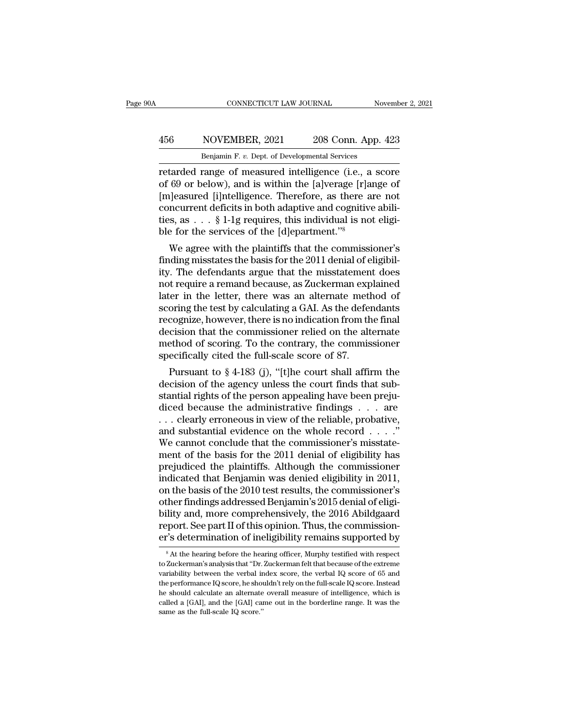### CONNECTICUT LAW JOURNAL November 2, 2021<br>
456 NOVEMBER, 2021 208 Conn. App. 423<br>
Benjamin F. v. Dept. of Developmental Services CONNECTICUT LAW JOURNAL Nov<br>
NOVEMBER, 2021 208 Conn. App. 4<br>
Benjamin F. *v.* Dept. of Developmental Services<br>
range of measured intelligence (i.e. a sc

CONNECTICUT LAW JOURNAL November 2, 2021<br>
166 NOVEMBER, 2021 208 Conn. App. 423<br>
16 Benjamin F. v. Dept. of Developmental Services<br>
16 Technology of measured intelligence (i.e., a score<br>
16 Technology of Subsequed Lintelli Absorber 1988 Conn. App. 423<br>
Benjamin F. v. Dept. of Developmental Services<br>
Fetarded range of measured intelligence (i.e., a score<br>
of 69 or below), and is within the [a]verage [r]ange of<br>
[m]easured [i]ntelligence. Ther 456 NOVEMBER, 2021 208 Conn. App. 423<br>
Benjamin F. v. Dept. of Developmental Services<br>
retarded range of measured intelligence (i.e., a score<br>
of 69 or below), and is within the [a]verage [r]ange of<br>
[m]easured [i]ntellig 456 NOVEMBER, 2021 208 Conn. App. 423<br>
Benjamin F. v. Dept. of Developmental Services<br>
retarded range of measured intelligence (i.e., a score<br>
of 69 or below), and is within the [a]verage [r]ange of<br>
[m]easured [i]ntellig Benjamin F. v. Dept. of Developmental Services<br>retarded range of measured intelligence (i.e., a score<br>of 69 or below), and is within the [a]verage [r]ange of<br>[m]easured [i]ntelligence. Therefore, as there are not<br>concurre Benjamin F. v. Dept. of Developmental Services<br>retarded range of measured intelligence (i.e., a<br>of 69 or below), and is within the [a]verage [r]a<br>[m]easured [i]ntelligence. Therefore, as there a<br>concurrent deficits in bot details and the plantifical methods of the plane of the plasmed plass of  $69$  or below), and is within the [a]verage [r]ange of a]easured [i]ntelligence. Therefore, as there are not ncurrent deficits in both adaptive and for 09 or below), and is within the [a]verage [r]ange of [m]easured [i]ntelligence. Therefore, as there are not concurrent deficits in both adaptive and cognitive abilities, as  $\ldots$  § 1-1g requires, this individual is no

Impeasured [I] memgence. Therefore, as there are not concurrent deficits in both adaptive and cognitive abili-<br>ties, as  $\ldots$  § 1-1g requires, this individual is not eligi-<br>ble for the services of the [d] epartment."<sup>8</sup><br>W concurrent deficus in both adaptive and cognitive abilities, as  $\dots$  § 1-1g requires, this individual is not eligible for the services of the [d]epartment."<sup>8</sup><br>We agree with the plaintiffs that the commissioner's<br>finding Let  $\mathbf{a}_s$  as  $\ldots$  s 1-1g requires, thus individual is not engible for the services of the [d]epartment."<sup>8</sup><br>We agree with the plaintiffs that the commissioner's<br>finding misstates the basis for the 2011 denial of elig ble for the services of the [u]epartment.<br>We agree with the plaintiffs that the commissioner's<br>finding misstates the basis for the 2011 denial of eligibil-<br>ity. The defendants argue that the misstatement does<br>not require a We agree with the plaintiffs that the commissioner's<br>finding misstates the basis for the 2011 denial of eligibil-<br>ity. The defendants argue that the misstatement does<br>not require a remand because, as Zuckerman explained<br>la finding misstates the basis for the 2011 denial of eligibil-<br>ity. The defendants argue that the misstatement does<br>not require a remand because, as Zuckerman explained<br>later in the letter, there was an alternate method of<br>s ity. The defendants argue that the misstatement does<br>not require a remand because, as Zuckerman explained<br>later in the letter, there was an alternate method of<br>scoring the test by calculating a GAI. As the defendants<br>recog not require a remand because, as Zuckerman explater in the letter, there was an alternate meth<br>scoring the test by calculating a GAI. As the deferencognize, however, there is no indication from the<br>decision that the commi Furrellier, there was an alternate inethod of<br>oring the test by calculating a GAI. As the defendants<br>cognize, however, there is no indication from the final<br>cision that the commissioner relied on the alternate<br>ethod of sco scoring the test by calculating a GAT. As the defendants<br>recognize, however, there is no indication from the final<br>decision that the commissioner relied on the alternate<br>method of scoring. To the contrary, the commissioner

recognize, nowever, there is no indication from the inflator decision that the commissioner relied on the alternate method of scoring. To the contrary, the commissioner specifically cited the full-scale score of 87.<br>Pursua decision that the continues<br>interpret on the alternate<br>method of scoring. To the contrary, the commissioner<br>specifically cited the full-scale score of 87.<br>Pursuant to § 4-183 (j), "[t]he court shall affirm the<br>decision of method of scoring. 10 the contrary, the commissioner<br>specifically cited the full-scale score of 87.<br>Pursuant to § 4-183 (j), "[t]he court shall affirm the<br>decision of the agency unless the court finds that sub-<br>stantial r specifically cited the fun-scale score of  $\delta t$ .<br>Pursuant to § 4-183 (j), "[t]he court shall affirm the<br>decision of the agency unless the court finds that sub-<br>stantial rights of the person appealing have been preju-<br>dice Pursuant to § 4-183 (j), "[t]he court shall affirm the decision of the agency unless the court finds that substantial rights of the person appealing have been prejudiced because the administrative findings  $\dots$  are  $\dots$  c decision of the agency unless the court finds that substantial rights of the person appealing have been prejudiced because the administrative findings  $\dots$  are  $\dots$  clearly erroneous in view of the reliable, probative, an stantial rights of the person appealing have been prejudiced because the administrative findings  $\dots$  are  $\dots$  clearly erroneous in view of the reliable, probative, and substantial evidence on the whole record  $\dots$ ."<br>We c diced because the administrative findings  $\dots$  are  $\dots$  clearly erroneous in view of the reliable, probative, and substantial evidence on the whole record  $\dots$ ."<br>We cannot conclude that the commissioner's misstatement of ... clearly erroneous in view of the reliable, probative,<br>and substantial evidence on the whole record ...."<br>We cannot conclude that the commissioner's misstate-<br>ment of the basis for the 2011 denial of eligibility has<br>pr and substantial evidence on the whole record  $\ldots$ ."<br>We cannot conclude that the commissioner's misstatement of the basis for the 2011 denial of eligibility has<br>prejudiced the plaintiffs. Although the commissioner<br>indicat We cannot conclude that the commissioner's misstatement of the basis for the 2011 denial of eligibility has<br>prejudiced the plaintiffs. Although the commissioner<br>indicated that Benjamin was denied eligibility in 2011,<br>on th ment of the basis for the 2011 denial of eligibility has<br>prejudiced the plaintiffs. Although the commissioner<br>indicated that Benjamin was denied eligibility in 2011,<br>on the basis of the 2010 test results, the commissioner' prejudiced the plaintiffs. Although the commissioner<br>indicated that Benjamin was denied eligibility in 2011,<br>on the basis of the 2010 test results, the commissioner's<br>other findings addressed Benjamin's 2015 denial of elig ther findings addressed Benjamin's 2015 denial of eligi-<br>ility and, more comprehensively, the 2016 Abildgaard<br>eport. See part II of this opinion. Thus, the commission-<br>"s determination of ineligibility remains supported by bility and, more comprehensively, the 2016 Abildgaard<br>report. See part II of this opinion. Thus, the commission-<br>er's determination of ineligibility remains supported by<br><sup>8</sup> At the hearing before the hearing officer, Murph

report. See part II of this opinion. Thus, the commission-<br>er's determination of ineligibility remains supported by<br> $\frac{1}{100}$  in the hearing before the hearing officer, Murphy testified with respect<br>to Zuckerman's analy er's determination of ineligibility remains supported by<br>
<sup>8</sup> At the hearing before the hearing officer, Murphy testified with respect<br>
to Zuckerman's analysis that "Dr. Zuckerman felt that because of the extreme<br>
variabil For securial calculation of intelligibility refitaints supported by<br>  $\frac{1}{2}$  at the hearing before the hearing officer, Murphy testified with respect<br>
to Zuckerman's analysis that "Dr. Zuckerman felt that because of the <sup>8</sup> At the hearing before the hearing officer, Murphy testified with respect to Zuckerman's analysis that "Dr. Zuckerman felt that because of the extreme variability between the verbal index score, the verbal IQ score of to Zuckerman's analysis that "Dr. Zuckerman felt that because of the extreme variability between the verbal index score, the verbal IQ score of 65 and the performance IQ score, he shouldn't rely on the full-scale IQ score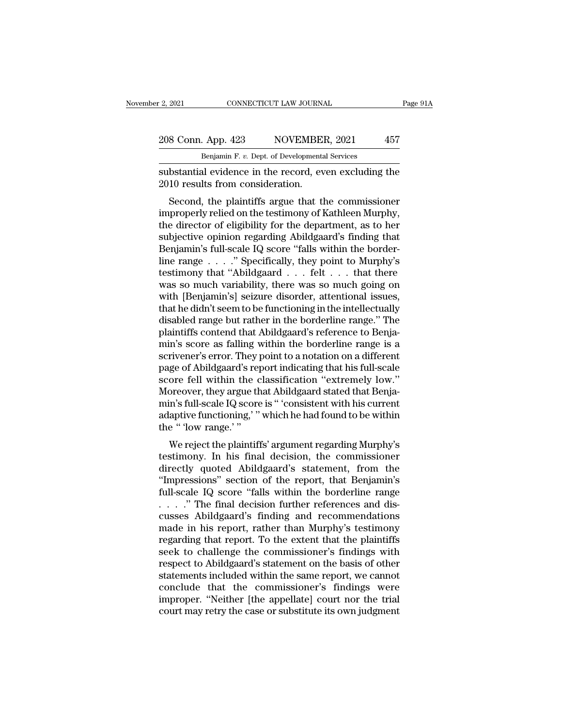### 2, 2021 CONNECTICUT LAW JOURNAL Page 91A<br>208 Conn. App. 423 NOVEMBER, 2021 457<br>Benjamin F. v. Dept. of Developmental Services CONNECTICUT LAW JOURNAL<br>Benjamin F. *v.* Dept. of Developmental Services<br>Benjamin F. *v.* Dept. of Developmental Services<br>al evidence in the record even excluding

Substantial evidence in the record, even excluding the results from consideration.<br>
The results from consideration. 208 Conn. App. 423 NOVEMBEL<br>
Benjamin F. v. Dept. of Developmenta<br>
substantial evidence in the record, ev<br>
2010 results from consideration.<br>
Second, the plaintiffs argue that the

 $\frac{8 \text{ Conn. App. } 423}{\text{ Benjamin F. } v. \text{ Dept. of Developmental Services}}$ <br>
betantial evidence in the record, even excluding the<br>
10 results from consideration.<br>
Second, the plaintiffs argue that the commissioner<br>
properly relied on the testimony of Kathlee 208 Conn. App. 423 NOVEMBER, 2021 457<br>
Benjamin F. v. Dept. of Developmental Services<br>
substantial evidence in the record, even excluding the<br>
2010 results from consideration.<br>
Second, the plaintiffs argue that the commis Benjamin F. v. Dept. of Developmental Services<br>
substantial evidence in the record, even excluding the<br>
2010 results from consideration.<br>
Second, the plaintiffs argue that the commissioner<br>
improperly relied on the testimo substantial evidence in the record, even excluding the<br>2010 results from consideration.<br>Second, the plaintiffs argue that the commissioner<br>improperly relied on the testimony of Kathleen Murphy,<br>the director of eligibility substantial evidence in the record, even excluding the 2010 results from consideration.<br>Second, the plaintiffs argue that the commissioner improperly relied on the testimony of Kathleen Murphy, the director of eligibility Second, the plaintiffs argue that the commissioner<br>improperly relied on the testimony of Kathleen Murphy,<br>the director of eligibility for the department, as to her<br>subjective opinion regarding Abildgaard's finding that<br>Ben Second, the plaintiffs argue that the commissioner<br>
improperly relied on the testimony of Kathleen Murphy,<br>
the director of eligibility for the department, as to her<br>
subjective opinion regarding Abildgaard's finding that improperly relied on the testimony of Kathleen Murphy,<br>the director of eligibility for the department, as to her<br>subjective opinion regarding Abildgaard's finding that<br>Benjamin's full-scale IQ score "falls within the borde the director of eligibility for the department, as to her subjective opinion regarding Abildgaard's finding that Benjamin's full-scale IQ score "falls within the border-<br>line range  $\ldots$ ." Specifically, they point to Murp subjective opinion regarding Abildgaard's finding that<br>Benjamin's full-scale IQ score "falls within the border-<br>line range . . . . ." Specifically, they point to Murphy's<br>testimony that "Abildgaard . . . felt . . . that th Benjamin's full-scale IQ score "falls within the border-<br>line range . . . . ." Specifically, they point to Murphy's<br>testimony that "Abildgaard . . . felt . . . that there<br>was so much variability, there was so much going on line range  $\ldots$  ." Specifically, they point to Murphy's<br>testimony that "Abildgaard  $\ldots$  felt  $\ldots$  that there<br>was so much variability, there was so much going on<br>with [Benjamin's] seizure disorder, attentional issues,<br>t testimony that "Abildgaard . . . . felt . . . that there was so much variability, there was so much going on with [Benjamin's] seizure disorder, attentional issues, that he didn't seem to be functioning in the intellectual was so much variability, there was so much going on<br>with [Benjamin's] seizure disorder, attentional issues,<br>that he didn't seem to be functioning in the intellectually<br>disabled range but rather in the borderline range." Th with [Benjamin's] seizure disorder, attentional issues,<br>that he didn't seem to be functioning in the intellectually<br>disabled range but rather in the borderline range." The<br>plaintiffs contend that Abildgaard's reference to that he didn't seem to be functioning in the intellectually<br>disabled range but rather in the borderline range." The<br>plaintiffs contend that Abildgaard's reference to Benja-<br>min's score as falling within the borderline rang disabled range but rather in the borderline range." The plaintiffs contend that Abildgaard's reference to Benja-<br>min's score as falling within the borderline range is a<br>scrivener's error. They point to a notation on a diff plaintiffs contend that Abildgaard's reference to Benja-<br>min's score as falling within the borderline range is a<br>scrivener's error. They point to a notation on a different<br>page of Abildgaard's report indicating that his fu min's score as falling within the borderline range is a<br>scrivener's error. They point to a notation on a different<br>page of Abildgaard's report indicating that his full-scale<br>score fell within the classification "extremely scrivener's error. They page of Abildgaard's rep<br>score fell within the c<br>score fell within the c<br>Moreover, they argue th<br>min's full-scale IQ score<br>adaptive functioning,' "<br>the " 'low range.' "<br>We reject the plaintif ge of Abiligaard s report indicating that his run-scate<br>ore fell within the classification "extremely low."<br>oreover, they argue that Abildgaard stated that Benja-<br>in's full-scale IQ score is " 'consistent with his current<br> score fen whill the classification extremely low.<br>Moreover, they argue that Abildgaard stated that Benja-<br>min's full-scale IQ score is " 'consistent with his current<br>adaptive functioning,' " which he had found to be within

min's full-scale IQ score is "consistent with his current<br>adaptive functioning,' " which he had found to be within<br>the " 'low range.' "<br>We reject the plaintiffs' argument regarding Murphy's<br>testimony. In his final decision Finn's fun-scale registore is consistent what his current<br>adaptive functioning,' " which he had found to be within<br>the " 'low range.' "<br>We reject the plaintiffs' argument regarding Murphy's<br>testimony. In his final decision adaptive functioning, which he had found to be within<br>the "flow range."<br>We reject the plaintiffs' argument regarding Murphy's<br>testimony. In his final decision, the commissioner<br>directly quoted Abildgaard's statement, from the " 'low range.' "<br>We reject the plaintiffs' argument regarding Murphy's<br>testimony. In his final decision, the commissioner<br>directly quoted Abildgaard's statement, from the<br>"Impressions" section of the report, that Benj We reject the plaintiffs' argument regarding Murphy's<br>testimony. In his final decision, the commissioner<br>directly quoted Abildgaard's statement, from the<br>"Impressions" section of the report, that Benjamin's<br>full-scale IQ testimony. In his final decision, the commissioner<br>directly quoted Abildgaard's statement, from the<br>"Impressions" section of the report, that Benjamin's<br>full-scale IQ score "falls within the borderline range<br> $\dots$ ." The fin directly quoted Abildgaard's statement, from the<br>"Impressions" section of the report, that Benjamin's<br>full-scale IQ score "falls within the borderline range<br>...." The final decision further references and dis-<br>cusses Abild "Impressions" section of the report, that Benjamin's<br>full-scale IQ score "falls within the borderline range<br> $\ldots$ ." The final decision further references and dis-<br>cusses Abildgaard's finding and recommendations<br>made in hi full-scale IQ score "falls within the borderline range  $\ldots$ ". The final decision further references and discusses Abildgaard's finding and recommendations made in his report, rather than Murphy's testimony regarding that . . . ." The final decision further references and discusses Abildgaard's finding and recommendations<br>made in his report, rather than Murphy's testimony<br>regarding that report. To the extent that the plaintiffs<br>seek to cha cusses Abildgaard's finding and recommendations<br>made in his report, rather than Murphy's testimony<br>regarding that report. To the extent that the plaintiffs<br>seek to challenge the commissioner's findings with<br>respect to Abil made in his report, rather than Murphy's testimony<br>regarding that report. To the extent that the plaintiffs<br>seek to challenge the commissioner's findings with<br>respect to Abildgaard's statement on the basis of other<br>stateme regarding that report. To the extent that the plaintiffs<br>seek to challenge the commissioner's findings with<br>respect to Abildgaard's statement on the basis of other<br>statements included within the same report, we cannot<br>conc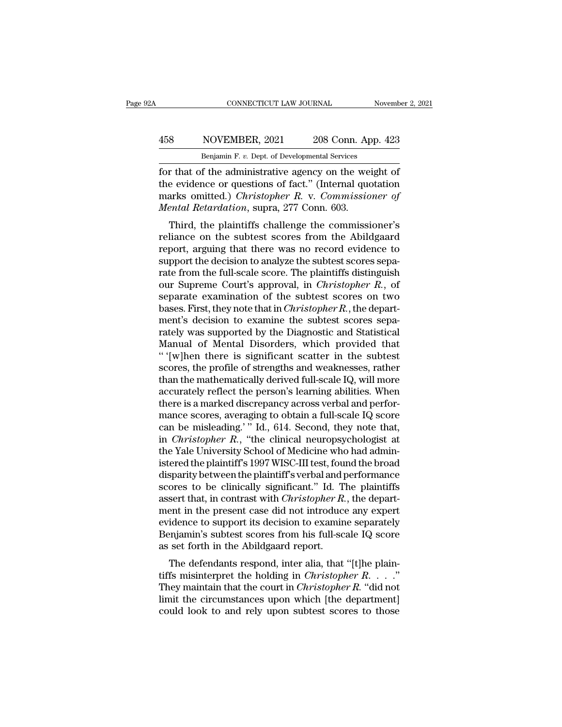### CONNECTICUT LAW JOURNAL November 2, 2021<br>
458 NOVEMBER, 2021 208 Conn. App. 423<br>
Benjamin F. v. Dept. of Developmental Services CONNECTICUT LAW JOURNAL Nov<br>
NOVEMBER, 2021 208 Conn. App. 4<br>
Benjamin F. *v.* Dept. of Developmental Services<br>
of the administrative agency on the weight

FORMETICUT LAW JOURNAL Movember 2, 202<br>
458 NOVEMBER, 2021 208 Conn. App. 423<br> **Enjamin F. v. Dept. of Developmental Services**<br>
for that of the administrative agency on the weight of<br>
the evidence or questions of fact." (I MOVEMBER, 2021 208 Conn. App. 423<br>
Benjamin F. v. Dept. of Developmental Services<br>
for that of the administrative agency on the weight of<br>
the evidence or questions of fact.'' (Internal quotation<br>
marks omitted.) *Christop* MOVEMBER, 2021 208 Conn. App. 423<br> **Example 18 Exploring Execution** Experimental Services<br>
for that of the administrative agency on the weight of<br>
the evidence or questions of fact." (Internal quotation<br>
marks omitted.) *C MOVEMBER, 2021* 208 Conn. Ap<br> *Benjamin F. v. Dept. of Developmental Services*<br> *Gending F. v. Dept. of Developmental Services*<br> *Contenting F. v. Connetal*<br> *Mental Retardation, supra, 277 Conn. 603.*<br> *Third, the plaint* Benjamin F. v. Dept. of Developmental Services<br>
T that of the administrative agency on the weight of<br>
e evidence or questions of fact." (Internal quotation<br>
arks omitted.) *Christopher R.* v. *Commissioner of*<br>
ental Reta For that of the administrative agency on the weight of<br>the evidence or questions of fact." (Internal quotation<br>marks omitted.) *Christopher R. v. Commissioner of*<br>*Mental Retardation*, supra, 277 Conn. 603.<br>Third, the plai

For that of the administrative agency off the weight of<br>the evidence or questions of fact." (Internal quotation<br>marks omitted.) *Christopher R. v. Commissioner of*<br>*Mental Retardation*, supra, 277 Conn. 603.<br>Third, the pla the evidence of questions of fact. (Internal quotation<br>marks omitted.) *Christopher R. v. Commissioner of*<br>*Mental Retardation*, supra, 277 Conn. 603.<br>Third, the plaintiffs challenge the commissioner's<br>reliance on the subt marks onlined.) *Christopher K. V. Commissioner of*<br>*Mental Retardation*, supra, 277 Conn. 603.<br>Third, the plaintiffs challenge the commissioner's<br>reliance on the subtest scores from the Abildgaard<br>report, arguing that th mental netartation, supra, 277 Collit. 005.<br>
Third, the plaintiffs challenge the commissioner's<br>
reliance on the subtest scores from the Abildgaard<br>
report, arguing that there was no record evidence to<br>
support the decisio Third, the plaintiffs challenge the commissioner's<br>reliance on the subtest scores from the Abildgaard<br>report, arguing that there was no record evidence to<br>support the decision to analyze the subtest scores sepa-<br>rate from reliance on the subtest scores from the Abildgaard<br>report, arguing that there was no record evidence to<br>support the decision to analyze the subtest scores sepa-<br>rate from the full-scale score. The plaintiffs distinguish<br>ou report, arguing that there was no record evidence to<br>support the decision to analyze the subtest scores sepa-<br>rate from the full-scale score. The plaintiffs distinguish<br>our Supreme Court's approval, in *Christopher R*., of support the decision to analyze the subtest scores separate from the full-scale score. The plaintiffs distinguish<br>our Supreme Court's approval, in *Christopher R*., of<br>separate examination of the subtest scores on two<br>base rate from the full-scale score. The plaintiffs distinguish<br>our Supreme Court's approval, in *Christopher R*., of<br>separate examination of the subtest scores on two<br>bases. First, they note that in *Christopher R*., the depar our Supreme Court's approval, in *Christopher R*., of<br>separate examination of the subtest scores on two<br>bases. First, they note that in *Christopher R*., the depart-<br>ment's decision to examine the subtest scores sepa-<br>rate separate examination of the subtest scores on two<br>bases. First, they note that in *Christopher R*., the depart-<br>ment's decision to examine the subtest scores sepa-<br>rately was supported by the Diagnostic and Statistical<br>Man bases. First, they note that in *Christopher R*., the department's decision to examine the subtest scores separately was supported by the Diagnostic and Statistical Manual of Mental Disorders, which provided that " '[w]hen ment's decision to examine the subtest scores separately was supported by the Diagnostic and Statistical<br>Manual of Mental Disorders, which provided that<br>"'[w]hen there is significant scatter in the subtest<br>scores, the prof rately was supported by the Diagnostic and Statistical<br>Manual of Mental Disorders, which provided that<br>"'[w]hen there is significant scatter in the subtest<br>scores, the profile of strengths and weaknesses, rather<br>than the m Manual of Mental Disorders, which provided that<br>"'[w]hen there is significant scatter in the subtest<br>scores, the profile of strengths and weaknesses, rather<br>than the mathematically derived full-scale IQ, will more<br>accurate " '[w]hen there is significant scatter in the subtest<br>scores, the profile of strengths and weaknesses, rather<br>than the mathematically derived full-scale IQ, will more<br>accurately reflect the person's learning abilities. Wh scores, the profile of strengths and weaknesses, rather<br>than the mathematically derived full-scale IQ, will more<br>accurately reflect the person's learning abilities. When<br>there is a marked discrepancy across verbal and perf there is a marked discrepancy across verbal and performance scores, averaging to obtain a full-scale IQ score can be misleading.' " Id., 614. Second, they note that, in *Christopher R.*, "the clinical neuropsychologist at accurately reflect the person's learning abilities. When<br>there is a marked discrepancy across verbal and perfor-<br>mance scores, averaging to obtain a full-scale IQ score<br>can be misleading.' " Id., 614. Second, they note tha there is a marked discrepancy across verbal and perfor-<br>mance scores, averaging to obtain a full-scale IQ score<br>can be misleading.' " Id., 614. Second, they note that,<br>in *Christopher R*., "the clinical neuropsychologist a mance scores, averaging to obtain a full-scale IQ score<br>can be misleading.'" Id., 614. Second, they note that,<br>in *Christopher R.*, "the clinical neuropsychologist at<br>the Yale University School of Medicine who had admin-<br>i in *Christopher R.*, "the clinical neuropsychologist at the Yale University School of Medicine who had administered the plaintiff's 1997 WISC-III test, found the broad disparity between the plaintiff's verbal and performan in *Christopher R.*, "the clinical neuropsychologist at<br>the Yale University School of Medicine who had admin-<br>istered the plaintiff's 1997 WISC-III test, found the broad<br>disparity between the plaintiff's verbal and perform the Yale University School of Medicine who had administered the plaintiff's 1997 WISC-III test, found the broad disparity between the plaintiff's verbal and performance scores to be clinically significant." Id. The plainti istered the plaintiff's 1997 WISC-III test, found the broad<br>disparity between the plaintiff's verbal and performance<br>scores to be clinically significant." Id. The plaintiffs<br>assert that, in contrast with *Christopher R*., disparity between the plaintiff's verbal and p<br>scores to be clinically significant." Id. T<br>assert that, in contrast with *Christopher R*.<br>ment in the present case did not introduce<br>evidence to support its decision to exami ores to be cinically significant. The plaintins<br>sert that, in contrast with *Christopher R*., the depart-<br>ent in the present case did not introduce any expert<br>idence to support its decision to examine separately<br>regimmin's assert that, in contrast with *Christopher R.*, the department in the present case did not introduce any expert evidence to support its decision to examine separately Benjamin's subtest scores from his full-scale IQ score

ment in the present case did not introduce any expert<br>evidence to support its decision to examine separately<br>Benjamin's subtest scores from his full-scale IQ score<br>as set forth in the Abildgaard report.<br>The defendants resp Benjamin's subtest scores from his full-scale IQ score<br>as set forth in the Abildgaard report.<br>The defendants respond, inter alia, that "[t]he plain-<br>tiffs misinterpret the holding in *Christopher R. . . .*"<br>They maintain Example 1 and rely stock scores from this run-scale  $R_2$  scores as set forth in the Abildgaard report.<br>The defendants respond, inter alia, that "[t]he plaintiffs misinterpret the holding in *Christopher R*.  $\cdot \cdot \cdot$ ."<br>Th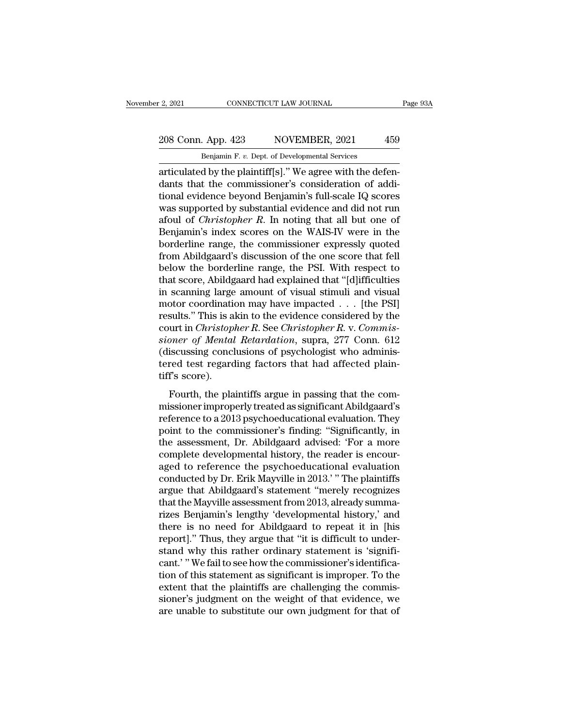### 2, 2021 CONNECTICUT LAW JOURNAL Page 93A<br>208 Conn. App. 423 NOVEMBER, 2021 459<br>Benjamin F. v. Dept. of Developmental Services CONNECTICUT LAW JOURNAL<br>Benjamin F. *v.* Dept. of Developmental Services<br>Benjamin F. *v.* Dept. of Developmental Services<br>d by the plaintiff[s] " We agree with the def

2, 2021 CONNECTICUT LAW JOURNAL<br>
208 Conn. App. 423 NOVEMBER, 2021 459<br>
Benjamin F. v. Dept. of Developmental Services<br>
articulated by the plaintiff[s].'' We agree with the defen-<br>
dants that the commissioner's considerati 208 Conn. App. 423 NOVEMBER, 2021 459<br>
Benjamin F. v. Dept. of Developmental Services<br>
articulated by the plaintiff[s]." We agree with the defendants that the commissioner's consideration of addi-<br>
tional evidence beyond B 208 Conn. App. 423 NOVEMBER, 2021 459<br>
Benjamin F. v. Dept. of Developmental Services<br>
articulated by the plaintiff[s]." We agree with the defendants that the commissioner's consideration of additional evidence beyond Ben 208 Conn. App. 423 NOVEMBER, 2021 459<br>
Benjamin F. v. Dept. of Developmental Services<br>
articulated by the plaintiff[s]." We agree with the defen-<br>
dants that the commissioner's consideration of addi-<br>
tional evidence beyo Benjamin F. v. Dept. of Developmental Services<br>articulated by the plaintiff[s]." We agree with the defen-<br>dants that the commissioner's consideration of addi-<br>tional evidence beyond Benjamin's full-scale IQ scores<br>was supp Benjamin F. v. Dept. of Developmental Services<br>articulated by the plaintiff[s]." We agree with the defen-<br>dants that the commissioner's consideration of addi-<br>tional evidence beyond Benjamin's full-scale IQ scores<br>was sup articulated by the plaintiff[s]." We agree with the defendants that the commissioner's consideration of additional evidence beyond Benjamin's full-scale IQ scores<br>was supported by substantial evidence and did not run<br>afoul dants that the commissioner's consideration of additional evidence beyond Benjamin's full-scale IQ scores<br>was supported by substantial evidence and did not run<br>afoul of *Christopher R*. In noting that all but one of<br>Benjam tional evidence beyond Benjamin's full-scale IQ scores<br>was supported by substantial evidence and did not run<br>afoul of *Christopher R*. In noting that all but one of<br>Benjamin's index scores on the WAIS-IV were in the<br>border was supported by substantial evidence and did not run<br>afoul of *Christopher R*. In noting that all but one of<br>Benjamin's index scores on the WAIS-IV were in the<br>borderline range, the commissioner expressly quoted<br>from Abil afoul of *Christopher R*. In noting that all but one of Benjamin's index scores on the WAIS-IV were in the borderline range, the commissioner expressly quoted from Abildgaard's discussion of the one score that fell below Benjamin's index scores on the WAIS-IV were in the<br>borderline range, the commissioner expressly quoted<br>from Abildgaard's discussion of the one score that fell<br>below the borderline range, the PSI. With respect to<br>that scor borderline range, the commissioner expressly quoted<br>from Abildgaard's discussion of the one score that fell<br>below the borderline range, the PSI. With respect to<br>that score, Abildgaard had explained that "[d]ifficulties<br>in from Abildgaard's discussion of the one score that fell<br>below the borderline range, the PSI. With respect to<br>that score, Abildgaard had explained that "[d]ifficulties<br>in scanning large amount of visual stimuli and visual<br>m below the borderline range, the PSI. With respect to<br>that score, Abildgaard had explained that "[d]ifficulties<br>in scanning large amount of visual stimuli and visual<br>motor coordination may have impacted . . . [the PSI]<br>resu that score, Abildgaard had explained that "[d]ifficulties<br>in scanning large amount of visual stimuli and visual<br>motor coordination may have impacted  $\dots$  [the PSI]<br>results." This is akin to the evidence considered by the<br> in scanning large amount of visual stimuli and visual motor coordination may have impacted . . . [the PSI] results." This is akin to the evidence considered by the court in *Christopher R*. See *Christopher R*. v. *Commis* motor coordinati<br>results." This is a<br>court in *Christop*<br>sioner of Mental<br>(discussing concl<br>tered test regard<br>tiff's score).<br>Fourth, the pla results." This is akin to the evidence considered by the<br>court in *Christopher R*. See *Christopher R*. v. *Commissioner of Mental Retardation*, supra, 277 Conn. 612<br>(discussing conclusions of psychologist who adminis-<br>te sioner of Mental Retardation, supra, 277 Conn. 612<br>(discussing conclusions of psychologist who administered test regarding factors that had affected plain-<br>tiff's score).<br>Fourth, the plaintiffs argue in passing that the c

reference to a 2013 psychologist who administered test regarding factors that had affected plain-<br>tiff's score).<br>Fourth, the plaintiffs argue in passing that the com-<br>missioner improperly treated as significant Abildgaard' point to the commission of property and affected plain-<br>tiff's score).<br>Fourth, the plaintiffs argue in passing that the com-<br>missioner improperly treated as significant Abildgaard's<br>reference to a 2013 psychoeducational ev tiff's score).<br>
Fourth, the plaintiffs argue in passing that the com-<br>
missioner improperly treated as significant Abildgaard's<br>
reference to a 2013 psychoeducational evaluation. They<br>
point to the commissioner's finding: Fourth, the plaintiffs argue in passing that the commissioner improperly treated as significant Abildgaard's<br>reference to a 2013 psychoeducational evaluation. They<br>point to the commissioner's finding: "Significantly, in<br>t Fourth, the plaintiffs argue in passing that the commissioner improperly treated as significant Abildgaard's<br>reference to a 2013 psychoeducational evaluation. They<br>point to the commissioner's finding: "Significantly, in<br>th missioner improperly treated as significant Abildgaard's<br>reference to a 2013 psychoeducational evaluation. They<br>point to the commissioner's finding: "Significantly, in<br>the assessment, Dr. Abildgaard advised: 'For a more<br>co reference to a 2013 psychoeducational evaluation. They<br>point to the commissioner's finding: "Significantly, in<br>the assessment, Dr. Abildgaard advised: 'For a more<br>complete developmental history, the reader is encour-<br>aged point to the commissioner's finding: "Significantly, in<br>the assessment, Dr. Abildgaard advised: 'For a more<br>complete developmental history, the reader is encour-<br>aged to reference the psychoeducational evaluation<br>conducted the assessment, Dr. Abildgaard advised: 'For a more<br>complete developmental history, the reader is encour-<br>aged to reference the psychoeducational evaluation<br>conducted by Dr. Erik Mayville in 2013.' "The plaintiffs<br>argue th complete developmental history, the reader is encouraged to reference the psychoeducational evaluation<br>conducted by Dr. Erik Mayville in 2013.' "The plaintiffs<br>argue that Abildgaard's statement "merely recognizes<br>that the aged to reference the psychoeducational evaluation<br>conducted by Dr. Erik Mayville in 2013.'" The plaintiffs<br>argue that Abildgaard's statement "merely recognizes<br>that the Mayville assessment from 2013, already summa-<br>rizes conducted by Dr. Erik Mayville in 2013.' " The plaintiffs<br>argue that Abildgaard's statement "merely recognizes<br>that the Mayville assessment from 2013, already summa-<br>rizes Benjamin's lengthy 'developmental history,' and<br>th argue that Abildgaard's statement "merely recognizes<br>that the Mayville assessment from 2013, already summa-<br>rizes Benjamin's lengthy 'developmental history,' and<br>there is no need for Abildgaard to repeat it in [his<br>report] that the Mayville assessment from 2013, already summarizes Benjamin's lengthy 'developmental history,' and<br>there is no need for Abildgaard to repeat it in [his<br>report]." Thus, they argue that "it is difficult to under-<br>sta rizes Benjamin's lengthy 'developmental history,' and<br>there is no need for Abildgaard to repeat it in [his<br>report]." Thus, they argue that "it is difficult to under-<br>stand why this rather ordinary statement is 'signifi-<br>ca there is no need for Abildgaard to repeat it in [his<br>report]." Thus, they argue that "it is difficult to under-<br>stand why this rather ordinary statement is 'signifi-<br>cant.' "We fail to see how the commissioner's identifica report]." Thus, they argue that "it is difficult to understand why this rather ordinary statement is 'significant.' "We fail to see how the commissioner's identification of this statement as significant is improper. To the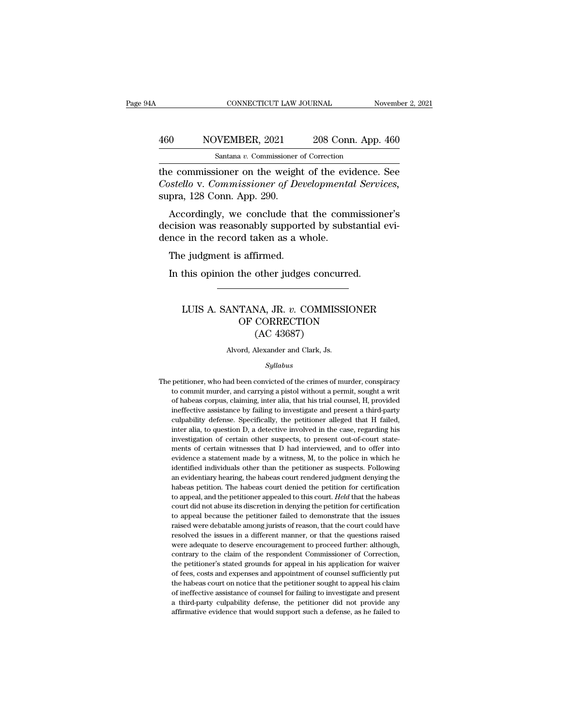### CONNECTICUT LAW JOURNAL November 2, 2021<br>
460 NOVEMBER, 2021 208 Conn. App. 460<br>
Santana v. Commissioner of Correction CONNECTICUT LAW JOURNAL<br>NVEMBER, 2021 208 Conn. App.<br>Santana *v.* Commissioner of Correction<br>ioner on the weight of the evidence

CONNECTICUT LAW JOURNAL November 2, 2021<br>
160 NOVEMBER, 2021 208 Conn. App. 460<br>
Santana v. Commissioner of Correction<br>
the commissioner on the weight of the evidence. See<br>
Costello v. Commissioner of Developmental Service *Costello v. Commissioner of Correction*<br> *Costello v. Commissioner of Developmental Services,*<br> *Costello v. Commissioner of Developmental Services,*<br>
supra, 128 Conn. App. 290. 460 NOVEMBER, 2021<br>
Santana v. Commissioner<br>
the commissioner on the weigh<br>
Costello v. Commissioner of De<br>
supra, 128 Conn. App. 290.<br>
Accordingly, we conclude the  $\frac{\text{60}}{\text{Santana } v. \text{ Commissioner of Correction}}$ <br>
Expansion is a commissioner of Correction<br>
Economissioner on the weight of the evidence. See<br>
Setello v. Commissioner of Developmental Services,<br>
pra, 128 Conn. App. 290.<br>
Accordingly, we conc Santana v. Commissioner of Correction<br>the commissioner on the weight of the evidence. See<br>Costello v. Commissioner of Developmental Services,<br>suppra, 128 Conn. App. 290.<br>Accordingly, we conclude that the commissioner's<br>de the commissioner on the weight of the evi<br>Costello v. Commissioner of Developmento<br>supra, 128 Conn. App. 290.<br>Accordingly, we conclude that the commisted the commistion was reasonably supported by subs<br>dence in the record

stello v. Commissioner of Dev<br>pra, 128 Conn. App. 290.<br>Accordingly, we conclude that<br>cision was reasonably support<br>nce in the record taken as a w<br>The judgment is affirmed.<br>In this opinion the other judge: pra, 120 Com. App. 200.<br>Accordingly, we conclude that the commission<br>cision was reasonably supported by substantial<br>nce in the record taken as a whole.<br>The judgment is affirmed.<br>In this opinion the other judges concurred.

### e judgment is affirmed.<br>
this opinion the other judges concurred.<br>
LUIS A. SANTANA, JR. *v*. COMMISSIONER<br>
OF CORRECTION<br>
(AC 43687) For a filter and the other judges concurred.<br>
TANA, JR. v. COMMISSIONER<br>
OF CORRECTION<br>
(AC 43687) other judges concu<br>
MA, JR. v. COMMIS<br>
CORRECTION<br>
(AC 43687)<br>
Nexander and Clark, Js. LUIS A. SANTANA, JR. *v.* COMMISSIONER<br>OF CORRECTION<br>(AC 43687)<br>Alvord, Alexander and Clark, Js.

### *Syllabus*

 $(AC 43687)$ <br>Alvord, Alexander and Clark, Js.<br> $Syllabus$ <br>The petitioner, who had been convicted of the crimes of murder, conspiracy<br>to commit murder, and carrying a pistol without a permit, sought a writ Alvord, Alexander and Clark, Js.<br>Syllabus<br>petitioner, who had been convicted of the crimes of murder, conspiracy<br>to commit murder, and carrying a pistol without a permit, sought a writ<br>of habeas corpus, claiming, inter ali Alvord, Alexander and Clark, Js.<br>
Syllabus<br>
petitioner, who had been convicted of the crimes of murder, conspiracy<br>
to commit murder, and carrying a pistol without a permit, sought a writ<br>
of habeas corpus, claiming, inter *Syllabus*<br> *Syllabus*<br>
petitioner, who had been convicted of the crimes of murder, conspiracy<br>
to commit murder, and carrying a pistol without a permit, sought a writ<br>
of habeas corpus, claiming, inter alia, that his tria Syllabus<br>petitioner, who had been convicted of the crimes of murder, conspiracy<br>to commit murder, and carrying a pistol without a permit, sought a writ<br>of habeas corpus, claiming, inter alia, that his trial counsel, H, pro petitioner, who had been convicted of the crimes of murder, conspiracy<br>to commit murder, and carrying a pistol without a permit, sought a writ<br>of habeas corpus, claiming, inter alia, that his trial counsel, H, provided<br>ine to commit murder, and carrying a pistol without a permit, sought a writ<br>of habeas corpus, claiming, inter alia, that his trial counsel, H, provided<br>ineffective assistance by failing to investigate and present a third-party of habeas corpus, claiming, inter alia, that his trial counsel, H, provided ineffective assistance by failing to investigate and present a third-party culpability defense. Specifically, the petitioner alleged that H failed ineffective assistance by failing to investigate and present a third-party culpability defense. Specifically, the petitioner alleged that H failed, inter alia, to question D, a detective involved in the case, regarding his culpability defense. Specifically, the petitioner alleged that H failed, inter alia, to question D, a detective involved in the case, regarding his investigation of certain other suspects, to present out-of-court statement entrary and the case, regarding his inter alia, to question D, a detective involved in the case, regarding his investigation of certain other suspects, to present out-of-court statements of certain witnesses that D had int investigation of certain other suspects, to present out-of-court statements of certain witnesses that D had interviewed, and to offer into evidence a statement made by a witness, M, to the police in which he identified in ments of certain witnesses that D had interviewed, and to offer into evidence a statement made by a witness, M, to the police in which he identified individuals other than the petitioner as suspects. Following an evidentia evidence a statement made by a witness, M, to the police in which he evidence a statement made by a witness, M, to the police in which he identified individuals other than the petitioner as suspects. Following an evidenti identified individuals other than the petitioner as suspects. Following an evidentiary hearing, the habeas court rendered judgment denying the habeas petition. The habeas court denied the petition for certification to app ran evidentiary hearing, the habeas court rendered judgment denying the habeas petition. The habeas court denied the petition for certification to appeal, and the petitioner appealed to this court. *Held* that the habeas c are variantly increased to the petition. The habeas court denied the petition for certification to appeal, and the petitioner appealed to this court. *Held* that the habeas court did not abuse its discretion in denying the to appeal, and the petitioner appealed to this court. Held that the habeas court did not abuse its discretion in denying the petition for certification to appeal because the petitioner failed to demonstrate that the issues court did not abuse its discretion in denying the petition for certification to appeal because the petitioner failed to demonstrate that the issues raised were debatable among jurists of reason, that the court could have r to appeal because the petitioner failed to demonstrate that the issues<br>raised were debatable among jurists of reason, that the court could have<br>resolved the issues in a different manner, or that the questions raised<br>were a raised were debatable among jurists of reason, that the court could have resolved the issues in a different manner, or that the questions raised were adequate to deserve encouragement to proceed further: although, contrary resolved the issues in a different manner, or that the questions raised<br>were adequate to deserve encouragement to proceed further: although,<br>contrary to the claim of the respondent Commissioner of Correction,<br>the petitione were adequate to deserve encouragement to proceed further: although, contrary to the claim of the respondent Commissioner of Correction, the petitioner's stated grounds for appeal in his application for waiver of fees, cos contrary to the claim of the respondent Commissioner of Correction,<br>the petitioner's stated grounds for appeal in his application for waiver<br>of fees, costs and expenses and appointment of counsel sufficiently put<br>the habea the petitioner's stated grounds for appeal in his application for waiver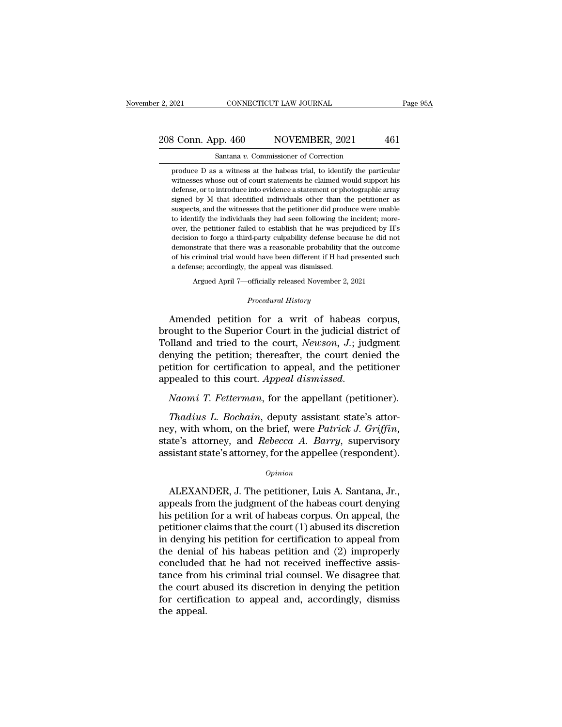### 2, 2021 CONNECTICUT LAW JOURNAL Page 95A<br>208 Conn. App. 460 NOVEMBER, 2021 461<br>Santana v. Commissioner of Correction Santana *v.* Commissioner of Correction

3 Conn. App. 460 NOVEMBER, 2021 461<br>Santana v. Commissioner of Correction<br>produce D as a witness at the habeas trial, to identify the particular<br>witnesses whose out-of-court statements he claimed would support his  $\frac{1}{3}$  Conn. App. 460 NOVEMBER, 2021 461 Santana v. Commissioner of Correction<br>produce D as a witness at the habeas trial, to identify the particular<br>witnesses whose out-of-court statements he claimed would support his  $\frac{1}{60}$  MOVEMBER, 2021 461<br>
Santana v. Commissioner of Correction<br>
produce D as a witness at the habeas trial, to identify the particular<br>
witnesses whose out-of-court statements he claimed would support his<br>
defense, signed by M that identified individuals other than the performance of the performance of the performance of the performance of the performance of the performance of the performance of the petitioner as suspects, and the w Santana  $v$ . Commissioner of Correction<br>produce D as a witness at the habeas trial, to identify the particular<br>witnesses whose out-of-court statements he claimed would support his<br>defense, or to introduce into evidence a produce D as a witness at the habeas trial, to identify the particular witnesses whose out-of-court statements he claimed would support his defense, or to introduce into evidence a statement or photographic array signed by protonesses whose out-of-court statements he claimed would support his defense, or to introduce into evidence a statement or photographic array signed by M that identified individuals other than the petitioner as suspects, defense, or to introduce into evidence a statement or photographic array signed by M that identified individuals other than the petitioner as suspects, and the witnesses that the petitioner did produce were unable to ident signed by M that identified individuals other than the petitioner as<br>suspects, and the witnesses that the petitioner did produce were unable<br>to identify the individuals they had seen following the incident; more-<br>over, the suspects, and the witnesses that the petitioner did produce were unable to identify the individuals they had seen following the incident; more-<br>over, the petitioner failed to establish that he was prejudiced by H's<br>decisio suspects, and the witnesses that the petitioner did produce were unable to identify the individuals they had seen following the incident; moreover, the petitioner failed to establish that he was prejudiced by H's decision decision to forgo a third-party culpability defense because he did not demonstrate that there was a reasonable probability that the outcome of his criminal trial would have been different if H had presented such a defense % of his criminal trial would have been different if H had presented such a defense; accordingly, the appeal was dismissed.<br> *Procedural History*<br> *Procedural History*<br> **Amended petition for a writ of habeas corpus,** 

demonstrate that there was a reasonable probability that the outcome<br>of his criminal trial would have been different if H had presented such<br>a defense; accordingly, the appeal was dismissed.<br>Argued April 7—officially rele of his criminal trial would have been different if H had presented such<br>
a defense; accordingly, the appeal was dismissed.<br>
Argued April 7—officially released November 2, 2021<br>
Procedural History<br>
Amended petition for a wr a detense; accordingly, the appeal was dismissed.<br>
Argued April 7—officially released November 2, 2021<br>
Procedural History<br>
Amended petition for a writ of habeas corpus,<br>
brought to the Superior Court in the judicial distr Argued April 7—officially released November 2, 2021<br>
Procedural History<br>
Amended petition for a writ of habeas corpus,<br>
brought to the Superior Court in the judicial district of<br>
Tolland and tried to the court, Newson, J.; *Procedural History*<br>Amended petition for a writ of habeas corpus,<br>brought to the Superior Court in the judicial district of<br>Tolland and tried to the court, *Newson*, *J*.; judgment<br>denying the petition; thereafter, the co Amended petition for a writ of habeas corpus,<br>brought to the Superior Court in the judicial district of<br>Tolland and tried to the court, *Newson*, *J*.; judgment<br>denying the petition; thereafter, the court denied the<br>petiti Illand and tried to the court, *Newson*, *J.*; judgment<br>right mying the petition; thereafter, the court denied the<br>tition for certification to appeal, and the petitioner<br>pealed to this court. Appeal dismissed.<br>*Naomi T. Fe* 

denying the petition; thereafter, the court denied the<br>petition for certification to appeal, and the petitioner<br>appealed to this court. Appeal dismissed.<br>Naomi T. Fetterman, for the appellant (petitioner).<br>Thadius L. Bocha appealed to this court. Appeal dismissed.<br>
Naomi T. Fetterman, for the appellant (petitioner).<br>
Thadius L. Bochain, deputy assistant state's attor-<br>
ney, with whom, on the brief, were Patrick J. Griffin,<br>
state's attorney, Thaduus L. Bochain, deputy assistant state's attor-<br>y, with whom, on the brief, were *Patrick J. Griffin*,<br>ate's attorney, and *Rebecca A. Barry*, supervisory<br>sistant state's attorney, for the appellee (respondent).<br> $opinion$ <br>A

### *Opinion*

ney, with whom, on the brief, were *Patrick J. Griffin*,<br>state's attorney, and *Rebecca A. Barry*, supervisory<br>assistant state's attorney, for the appellee (respondent).<br> $o_{pinion}$ <br>ALEXANDER, J. The petitioner, Luis A. Santan state's attorney, and *Rebecca A. Barry*, supervisory<br>assistant state's attorney, for the appellee (respondent).<br> $\frac{Opinion}{}$ <br>ALEXANDER, J. The petitioner, Luis A. Santana, Jr.,<br>appeals from the judgment of the habeas court assistant state's attorney, for the appellee (respondent).<br>  $\phi_{pinion}$ <br>
ALEXANDER, J. The petitioner, Luis A. Santana, Jr.,<br>
appeals from the judgment of the habeas court denying<br>
his petition for a writ of habeas corpus. O *Opinion*<br>ALEXANDER, J. The petitioner, Luis A. Santana, Jr.,<br>appeals from the judgment of the habeas court denying<br>his petition for a writ of habeas corpus. On appeal, the<br>petitioner claims that the court (1) abused its ALEXANDER, J. The petitioner, Luis A. Santana, Jr.,<br>appeals from the judgment of the habeas court denying<br>his petition for a writ of habeas corpus. On appeal, the<br>petitioner claims that the court (1) abused its discretion ALEXANDER, J. The petitioner, Luis A. Santana, Jr.,<br>appeals from the judgment of the habeas court denying<br>his petition for a writ of habeas corpus. On appeal, the<br>petitioner claims that the court (1) abused its discretion<br> appeals from the judgment of the habeas court denying<br>his petition for a writ of habeas corpus. On appeal, the<br>petitioner claims that the court (1) abused its discretion<br>in denying his petition for certification to appeal his petition for a writ of habeas corpus. On appeal, the petitioner claims that the court (1) abused its discretion in denying his petition for certification to appeal from the denial of his habeas petition and (2) imprope petitioner claims that the court (1) abused its discretion<br>in denying his petition for certification to appeal from<br>the denial of his habeas petition and (2) improperly<br>concluded that he had not received ineffective assisin denying<br>the denial<br>concluded<br>tance from<br>the court a<br>for certific<br>the appeal.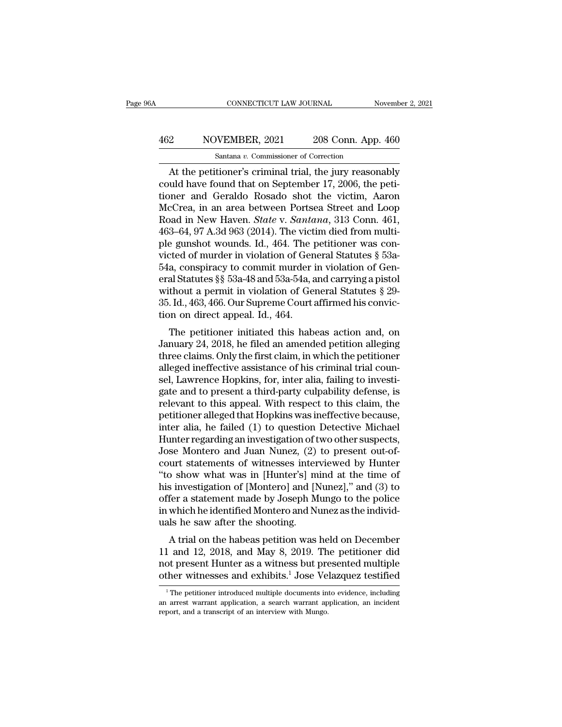### CONNECTICUT LAW JOURNAL November 2, 2021<br>
462 NOVEMBER, 2021 208 Conn. App. 460<br>
Santana v. Commissioner of Correction CONNECTICUT LAW JOURNAL<br>NVEMBER, 2021 208 Conn. App.<br>Santana *v.* Commissioner of Correction<br>tioner's criminal trial the jury reason

CONNECTICUT LAW JOURNAL November 2, 2021<br>
208 Conn. App. 460<br>
Santana v. Commissioner of Correction<br>
At the petitioner's criminal trial, the jury reasonably<br>
uld have found that on September 17, 2006, the peti-MOVEMBER, 2021 208 Conn. App. 460<br>
Santana v. Commissioner of Correction<br>
At the petitioner's criminal trial, the jury reasonably<br>
could have found that on September 17, 2006, the peti-<br>
tioner and Geraldo Rosado shot the  $\frac{462}{\text{Santana } v. \text{ Commissioner of Correction}}$ <br>
Santana  $v. \text{ Commissioner of Correction}}$ <br>
At the petitioner's criminal trial, the jury reasonably<br>
could have found that on September 17, 2006, the peti-<br>
tioner and Geraldo Rosado shot the victim, Aaron<br>
McCr MOVEMBER, 2021 208 Conn. App. 460<br>
Santana v. Commissioner of Correction<br>
At the petitioner's criminal trial, the jury reasonably<br>
could have found that on September 17, 2006, the peti-<br>
tioner and Geraldo Rosado shot the Santana *v.* Commissioner of Correction<br>At the petitioner's criminal trial, the jury reasonably<br>could have found that on September 17, 2006, the peti-<br>tioner and Geraldo Rosado shot the victim, Aaron<br>McCrea, in an area bet Santana v. Commissioner of Correction<br>At the petitioner's criminal trial, the jury reasonably<br>could have found that on September 17, 2006, the peti-<br>tioner and Geraldo Rosado shot the victim, Aaron<br>McCrea, in an area betw At the petitioner's criminal trial, the jury reasonably<br>could have found that on September 17, 2006, the peti-<br>tioner and Geraldo Rosado shot the victim, Aaron<br>McCrea, in an area between Portsea Street and Loop<br>Road in Ne could have found that on September 17, 2006, the petitioner and Geraldo Rosado shot the victim, Aaron McCrea, in an area between Portsea Street and Loop<br>Road in New Haven. *State v. Santana*, 313 Conn. 461, 463–64, 97 A.3d tioner and Geraldo Rosado shot the victim, Aaron McCrea, in an area between Portsea Street and Loop<br>Road in New Haven. *State v. Santana*, 313 Conn. 461,<br>463–64, 97 A.3d 963 (2014). The victim died from multi-<br>ple gunshot McCrea, in an area between Portsea Street and Loop<br>Road in New Haven. *State* v. *Santana*, 313 Conn. 461,<br>463–64, 97 A.3d 963 (2014). The victim died from multi-<br>ple gunshot wounds. Id., 464. The petitioner was con-<br>victe Road in New Haven. *State* v. *Santana*, 313 Conn. 461, 463–64, 97 A.3d 963 (2014). The victim died from multiple gunshot wounds. Id., 464. The petitioner was convicted of murder in violation of General Statutes § 53a-54a, 463–64, 97 A.3d 963 (2014). The victim died from multiple gunshot wounds. Id., 464. The petitioner was convicted of murder in violation of General Statutes § 53a-54a, conspiracy to commit murder in violation of General St ple gunshot wounds. Id., 464. The point is victed of murder in violation of Gen<br>54a, conspiracy to commit murder is<br>eral Statutes §§ 53a-48 and 53a-54a, a<br>without a permit in violation of Ge:<br>35. Id., 463, 466. Our Supreme a conspiracy to commit murder in violation of Gen-<br>al Statutes §§ 53a-48 and 53a-54a, and carrying a pistol<br>thout a permit in violation of General Statutes § 29-<br>Id., 463, 466. Our Supreme Court affirmed his convic-<br>on on  $\sigma$ 4, conspiracy to commit intuder in violation of General Statutes §§ 53a-48 and 53a-54a, and carrying a pistol<br>without a permit in violation of General Statutes § 29-<br>35. Id., 463, 466. Our Supreme Court affirmed his c

eral statutes §§ 55a-46 and 55a-54a, and carrying a pistol<br>without a permit in violation of General Statutes § 29-<br>35. Id., 463, 466. Our Supreme Court affirmed his convic-<br>tion on direct appeal. Id., 464.<br>The petitioner i whilout a perint in violation of defleral statues  $\frac{1}{8}$  25-35. Id., 463, 466. Our Supreme Court affirmed his conviction on direct appeal. Id., 464.<br>The petitioner initiated this habeas action and, on January 24, 2018, sol. id., 465, 460. Our supreme Court animied ins conviction on direct appeal. Id., 464.<br>The petitioner initiated this habeas action and, on January 24, 2018, he filed an amended petition alleging<br>three claims. Only the fi The petitioner initiated this habeas action and, on<br>January 24, 2018, he filed an amended petition alleging<br>three claims. Only the first claim, in which the petitioner<br>alleged ineffective assistance of his criminal trial c The petitioner initiated this habeas action and, on<br>January 24, 2018, he filed an amended petition alleging<br>three claims. Only the first claim, in which the petitioner<br>alleged ineffective assistance of his criminal trial c January 24, 2018, he filed an amended petition alleging<br>three claims. Only the first claim, in which the petitioner<br>alleged ineffective assistance of his criminal trial coun-<br>sel, Lawrence Hopkins, for, inter alia, failing three claims. Only the first claim, in which the petitioner<br>alleged ineffective assistance of his criminal trial coun-<br>sel, Lawrence Hopkins, for, inter alia, failing to investi-<br>gate and to present a third-party culpabili alleged ineffective assistance of his criminal trial counsel, Lawrence Hopkins, for, inter alia, failing to investigate and to present a third-party culpability defense, is relevant to this appeal. With respect to this cla sel, Lawrence Hopkins, for, inter alia, failing to investigate and to present a third-party culpability defense, is<br>relevant to this appeal. With respect to this claim, the<br>petitioner alleged that Hopkins was ineffective b gate and to present a third-party culpability defense, is<br>relevant to this appeal. With respect to this claim, the<br>petitioner alleged that Hopkins was ineffective because,<br>inter alia, he failed (1) to question Detective Mi relevant to this appeal. With respect to this claim, the<br>petitioner alleged that Hopkins was ineffective because,<br>inter alia, he failed (1) to question Detective Michael<br>Hunter regarding an investigation of two other suspe petitioner alleged that Hopkins was ineffective because,<br>inter alia, he failed (1) to question Detective Michael<br>Hunter regarding an investigation of two other suspects,<br>Jose Montero and Juan Nunez, (2) to present out-of-<br> inter alia, he failed (1) to question Detective Michael<br>Hunter regarding an investigation of two other suspects,<br>Jose Montero and Juan Nunez, (2) to present out-of-<br>court statements of witnesses interviewed by Hunter<br>"to s Hunter regarding an investigation of two other suspects,<br>Jose Montero and Juan Nunez, (2) to present out-of-<br>court statements of witnesses interviewed by Hunter<br>"to show what was in [Hunter's] mind at the time of<br>his inves Jose Montero and Juan Nunez, (2)<br>court statements of witnesses inter<br>"to show what was in [Hunter's] m<br>his investigation of [Montero] and [N<br>offer a statement made by Joseph M<br>in which he identified Montero and N<br>uals he s o show what was in [Hunter's] mind at the time of<br>investigation of [Montero] and [Nunez]," and (3) to<br>fer a statement made by Joseph Mungo to the police<br>which he identified Montero and Nunez as the individ-<br>ls he saw after to show what was in [Hunter s] filmd at the time of<br>his investigation of [Montero] and [Nunez]," and (3) to<br>offer a statement made by Joseph Mungo to the police<br>in which he identified Montero and Nunez as the individ-<br>ual

not in the statement made by Joseph Mungo to the police<br>in which he identified Montero and Nunez as the individ-<br>uals he saw after the shooting.<br>A trial on the habeas petition was held on December<br>11 and 12, 2018, and May other a statement made by Joseph Mungo to the ponce<br>in which he identified Montero and Nunez as the individ-<br>uals he saw after the shooting.<br>A trial on the habeas petition was held on December<br>11 and 12, 2018, and May 8, 2 A trial on the habeas petition was held on December<br>1 and 12, 2018, and May 8, 2019. The petitioner did<br>bot present Hunter as a witness but presented multiple<br>ther witnesses and exhibits.<sup>1</sup> Jose Velazquez testified<br><sup>1</sup>Th 11 and 12, 2018, and May 8, 2019. The petitioner did<br>not present Hunter as a witness but presented multiple<br>other witnesses and exhibits.<sup>1</sup> Jose Velazquez testified<br> $\frac{1}{1}$ The petitioner introduced multiple documents i report Hunter as a witness but producer witnesses and exhibits.<sup>1</sup> Jose Ve The petitioner introduced multiple documents in an arrest warrant application, a search warrant appeort, and a transcript of an interview with Mung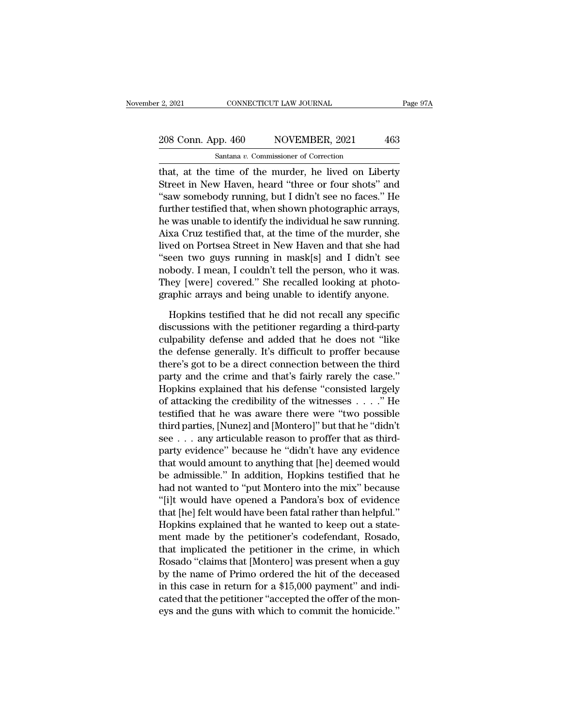### 2, 2021 CONNECTICUT LAW JOURNAL Page 97A<br>208 Conn. App. 460 NOVEMBER, 2021 463<br>Santana v. Commissioner of Correction Santana *v.* Commissioner of Correction

2, 2021 CONNECTICUT LAW JOURNAL Page 97A<br>
208 Conn. App. 460 NOVEMBER, 2021 463<br>
Santana v. Commissioner of Correction<br>
that, at the time of the murder, he lived on Liberty<br>
Street in New Haven, heard "three or four shots" 208 Conn. App. 460 NOVEMBER, 2021 463<br>
Santana v. Commissioner of Correction<br>
that, at the time of the murder, he lived on Liberty<br>
Street in New Haven, heard "three or four shots" and<br>
"saw somebody running, but I didn't 208 Conn. App. 460 NOVEMBER, 2021 463<br>
Santana v. Commissioner of Correction<br>
that, at the time of the murder, he lived on Liberty<br>
Street in New Haven, heard "three or four shots" and<br>
"saw somebody running, but I didn't 208 Conn. App. 460 NOVEMBER, 2021 463<br>
Santana v. Commissioner of Correction<br>
that, at the time of the murder, he lived on Liberty<br>
Street in New Haven, heard "three or four shots" and<br>
"saw somebody running, but I didn't Santana v. Commissioner of Correction<br>
that, at the time of the murder, he lived on Liberty<br>
Street in New Haven, heard "three or four shots" and<br>
"saw somebody running, but I didn't see no faces." He<br>
further testified t Sandala *i*. Commissioner of Conection<br>that, at the time of the murder, he lived on Liberty<br>Street in New Haven, heard "three or four shots" and<br>"saw somebody running, but I didn't see no faces." He<br>further testified that, that, at the time of the murder, he lived on Liberty<br>Street in New Haven, heard "three or four shots" and<br>"saw somebody running, but I didn't see no faces." He<br>further testified that, when shown photographic arrays,<br>he was Street in New Haven, heard "three or four shots" and<br>"saw somebody running, but I didn't see no faces." He<br>further testified that, when shown photographic arrays,<br>he was unable to identify the individual he saw running.<br>Ai "saw somebody running, but I didn't see no faces." He<br>further testified that, when shown photographic arrays,<br>he was unable to identify the individual he saw running.<br>Aixa Cruz testified that, at the time of the murder, sh further testified that, when shown photographic arrays,<br>he was unable to identify the individual he saw running.<br>Aixa Cruz testified that, at the time of the murder, she<br>lived on Portsea Street in New Haven and that she ha he was unable to identify the individual he saw running.<br>Aixa Cruz testified that, at the time of the murder, she<br>lived on Portsea Street in New Haven and that she had<br>"seen two guys running in mask[s] and I didn't see<br>nob red on Portsea Street in New Haven and that she had<br>een two guys running in mask[s] and I didn't see<br>body. I mean, I couldn't tell the person, who it was.<br>hey [were] covered." She recalled looking at photo-<br>aphic arrays an "seen two guys running in mask[s] and I didn't see<br>nobody. I mean, I couldn't tell the person, who it was.<br>They [were] covered." She recalled looking at photo-<br>graphic arrays and being unable to identify anyone.<br>Hopkins t

nobody. I mean, I couldn't tell the person, who it was.<br>They [were] covered." She recalled looking at photographic arrays and being unable to identify anyone.<br>Hopkins testified that he did not recall any specific<br>discussio They [were] covered." She recalled looking at photographic arrays and being unable to identify anyone.<br>Hopkins testified that he did not recall any specific<br>discussions with the petitioner regarding a third-party<br>culpabili graphic arrays and being unable to identify anyone.<br>
Hopkins testified that he did not recall any specific<br>
discussions with the petitioner regarding a third-party<br>
culpability defense and added that he does not "like<br>
the Hopkins testified that he did not recall any specific<br>discussions with the petitioner regarding a third-party<br>culpability defense and added that he does not "like<br>the defense generally. It's difficult to proffer because<br>th Hopkins testified that he did not recall any specific<br>discussions with the petitioner regarding a third-party<br>culpability defense and added that he does not "like<br>the defense generally. It's difficult to proffer because<br>t discussions with the petitioner regarding a third-party<br>culpability defense and added that he does not "like<br>the defense generally. It's difficult to proffer because<br>there's got to be a direct connection between the third<br> culpability defense and added that he does not "like<br>the defense generally. It's difficult to proffer because<br>there's got to be a direct connection between the third<br>party and the crime and that's fairly rarely the case."<br> the defense generally. It's difficult to proffer because<br>there's got to be a direct connection between the third<br>party and the crime and that's fairly rarely the case."<br>Hopkins explained that his defense "consisted largely there's got to be a direct connection between the third<br>party and the crime and that's fairly rarely the case."<br>Hopkins explained that his defense "consisted largely<br>of attacking the credibility of the witnesses . . . ." H party and the crime and that's fairly rarely the case."<br>Hopkins explained that his defense "consisted largely<br>of attacking the credibility of the witnesses  $\ldots$ ." He<br>testified that he was aware there were "two possible<br>t Hopkins explained that his defense "consisted largely<br>of attacking the credibility of the witnesses  $\ldots$ ." He<br>testified that he was aware there were "two possible<br>third parties, [Nunez] and [Montero]" but that he "didn't of attacking the credibility of the witnesses . . . . ." He<br>testified that he was aware there were "two possible<br>third parties, [Nunez] and [Montero]" but that he "didn't<br>see . . . any articulable reason to proffer that as testified that he was aware there were "two possible<br>third parties, [Nunez] and [Montero]" but that he "didn't<br>see . . . any articulable reason to proffer that as third-<br>party evidence" because he "didn't have any evidence third parties, [Nunez] and [Montero]" but that he "didn't<br>see . . . any articulable reason to proffer that as third-<br>party evidence" because he "didn't have any evidence<br>that would amount to anything that [he] deemed would see . . . any articulable reason to proffer that as third-<br>party evidence" because he "didn't have any evidence<br>that would amount to anything that [he] deemed would<br>be admissible." In addition, Hopkins testified that he<br>ha party evidence" because he "didn't have any evidence<br>that would amount to anything that [he] deemed would<br>be admissible." In addition, Hopkins testified that he<br>had not wanted to "put Montero into the mix" because<br>"[i]t wo that would amount to anything that [he] deemed would<br>be admissible." In addition, Hopkins testified that he<br>had not wanted to "put Montero into the mix" because<br>"[i]t would have opened a Pandora's box of evidence<br>that [he] be admissible." In addition, Hopkins testified that he<br>had not wanted to "put Montero into the mix" because<br>"[i]t would have opened a Pandora's box of evidence<br>that [he] felt would have been fatal rather than helpful."<br>Hop had not wanted to "put Montero into the mix" because<br>"[i]t would have opened a Pandora's box of evidence<br>that [he] felt would have been fatal rather than helpful."<br>Hopkins explained that he wanted to keep out a state-<br>ment "[1]t would have opened a Pandora's box of evidence<br>that [he] felt would have been fatal rather than helpful."<br>Hopkins explained that he wanted to keep out a state-<br>ment made by the petitioner's codefendant, Rosado,<br>that i that [he] felt would have been fatal rather than helpful."<br>Hopkins explained that he wanted to keep out a state-<br>ment made by the petitioner's codefendant, Rosado,<br>that implicated the petitioner in the crime, in which<br>Rosa Hopkins explained that he wanted to keep out a statement made by the petitioner's codefendant, Rosado, that implicated the petitioner in the crime, in which Rosado "claims that [Montero] was present when a guy by the name ment made by the petitioner's codefendant, Rosado,<br>that implicated the petitioner in the crime, in which<br>Rosado "claims that [Montero] was present when a guy<br>by the name of Primo ordered the hit of the deceased<br>in this cas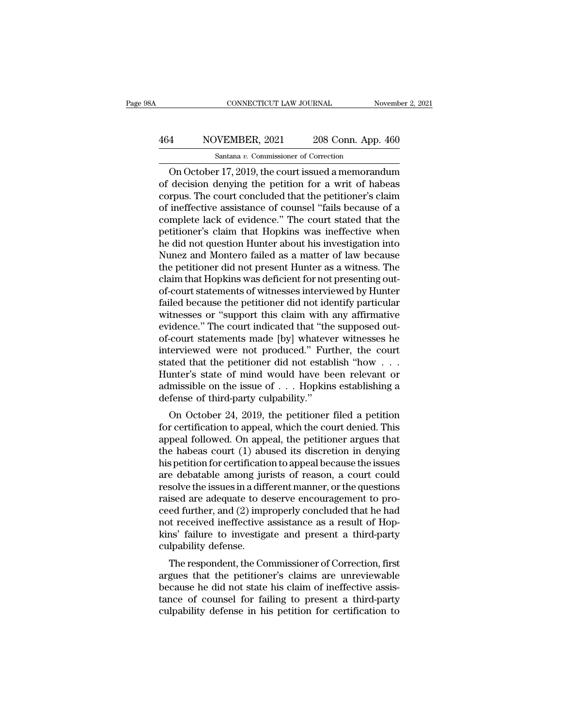### CONNECTICUT LAW JOURNAL November 2, 2021<br>
464 NOVEMBER, 2021 208 Conn. App. 460<br>
Santana v. Commissioner of Correction CONNECTICUT LAW JOURNAL<br>IVEMBER, 2021 208 Conn. App.<br>Santana *v.* Commissioner of Correction<br>r 17 2019 the court issued a memoran

CONNECTICUT LAW JOURNAL November 2, 2021<br>
Santana v. Commissioner of Correction<br>
On October 17, 2019, the court issued a memorandum<br>
decision denying the petition for a writ of habeas<br>
The court concluded that the petition MOVEMBER, 2021 208 Conn. App. 460<br>
Santana v. Commissioner of Correction<br>
On October 17, 2019, the court issued a memorandum<br>
of decision denying the petition for a writ of habeas<br>
corpus. The court concluded that the peti 464 NOVEMBER, 2021 208 Conn. App. 460<br>
Santana v. Commissioner of Correction<br>
On October 17, 2019, the court issued a memorandum<br>
of decision denying the petition for a writ of habeas<br>
corpus. The court concluded that the  $\frac{\text{464}}{\text{Santana } v. \text{ Commissioner of Correction}}$ <br>
On October 17, 2019, the court issued a memorandum<br>
of decision denying the petition for a writ of habeas<br>
corpus. The court concluded that the petitioner's claim<br>
of ineffective assistance Santana v. Commissioner of Correction<br>
On October 17, 2019, the court issued a memorandum<br>
of decision denying the petition for a writ of habeas<br>
corpus. The court concluded that the petitioner's claim<br>
of ineffective ass santana v. Commissioner of Correction<br>
On October 17, 2019, the court issued a memorandum<br>
of decision denying the petition for a writ of habeas<br>
corpus. The court concluded that the petitioner's claim<br>
of ineffective ass On October 17, 2019, the court issued a memorandum<br>of decision denying the petition for a writ of habeas<br>corpus. The court concluded that the petitioner's claim<br>of ineffective assistance of counsel "fails because of a<br>comp of decision denying the petition for a writ of habeas<br>corpus. The court concluded that the petitioner's claim<br>of ineffective assistance of counsel "fails because of a<br>complete lack of evidence." The court stated that the<br>p corpus. The court concluded that the petitioner's claim<br>of ineffective assistance of counsel "fails because of a<br>complete lack of evidence." The court stated that the<br>petitioner's claim that Hopkins was ineffective when<br>he of ineffective assistance of counsel "fails because of a<br>complete lack of evidence." The court stated that the<br>petitioner's claim that Hopkins was ineffective when<br>he did not question Hunter about his investigation into<br>Nu complete lack of evidence." The court stated that the petitioner's claim that Hopkins was ineffective when he did not question Hunter about his investigation into Nunez and Montero failed as a matter of law because the pet petitioner's claim that Hopkins was ineffective when<br>he did not question Hunter about his investigation into<br>Nunez and Montero failed as a matter of law because<br>the petitioner did not present Hunter as a witness. The<br>claim he did not question Hunter about his investigation into<br>Nunez and Montero failed as a matter of law because<br>the petitioner did not present Hunter as a witness. The<br>claim that Hopkins was deficient for not presenting out-<br>o Nunez and Montero failed as a matter of law because<br>the petitioner did not present Hunter as a witness. The<br>claim that Hopkins was deficient for not presenting out-<br>of-court statements of witnesses interviewed by Hunter<br>fa the petitioner did not present Hunter as a witness. The<br>claim that Hopkins was deficient for not presenting out-<br>of-court statements of witnesses interviewed by Hunter<br>failed because the petitioner did not identify particu claim that Hopkins was deficient for not presenting out-<br>of-court statements of witnesses interviewed by Hunter<br>failed because the petitioner did not identify particular<br>witnesses or "support this claim with any affirmativ of-court statements of witnesses interviewed by Hunter<br>failed because the petitioner did not identify particular<br>witnesses or "support this claim with any affirmative<br>evidence." The court indicated that "the supposed out-<br> failed because the petitioner did not identify particular<br>witnesses or "support this claim with any affirmative<br>evidence." The court indicated that "the supposed out-<br>of-court statements made [by] whatever witnesses he<br>int witnesses or "support this claim with any affirmative<br>evidence." The court indicated that "the supposed out-<br>of-court statements made [by] whatever witnesses he<br>interviewed were not produced." Further, the court<br>stated tha evidence." The court indicated that "the<br>of-court statements made [by] whateve<br>interviewed were not produced." Fur<br>stated that the petitioner did not estab<br>Hunter's state of mind would have be<br>admissible on the issue of . Court statements made  $[by]$  whatever witnesses neterviewed were not produced." Further, the court<br>ated that the petitioner did not establish "how  $\ldots$ <br>inter's state of mind would have been relevant or<br>missible on the iss full stated that the petitioner did not establish "how . . . Hunter's state of mind would have been relevant or admissible on the issue of . . . Hopkins establishing a defense of third-party culpability."<br>On October 24, 2

stated that the petholen that hot establish how  $\ldots$ .<br>Hunter's state of mind would have been relevant or<br>admissible on the issue of  $\ldots$ . Hopkins establishing a<br>defense of third-party culpability."<br>On October 24, 2019, Francer's state of finite would have been refevant of<br>admissible on the issue of  $\dots$  Hopkins establishing a<br>defense of third-party culpability."<br>On October 24, 2019, the petitioner filed a petition<br>for certification to a admissible of the issue of  $\ldots$  hopkins establishing a defense of third-party culpability."<br>On October 24, 2019, the petitioner filed a petition for certification to appeal, which the court denied. This<br>appeal followed. deferise of unta-party cupability.<br>
On October 24, 2019, the petitioner filed a petition<br>
for certification to appeal, which the court denied. This<br>
appeal followed. On appeal, the petitioner argues that<br>
the habeas court On October 24, 2019, the petitioner filed a petition<br>for certification to appeal, which the court denied. This<br>appeal followed. On appeal, the petitioner argues that<br>the habeas court (1) abused its discretion in denying<br>h for certification to appeal, which the court denied. This<br>appeal followed. On appeal, the petitioner argues that<br>the habeas court (1) abused its discretion in denying<br>his petition for certification to appeal because the is appeal followed. On appeal, the petitioner argues that<br>the habeas court (1) abused its discretion in denying<br>his petition for certification to appeal because the issues<br>are debatable among jurists of reason, a court could<br> the habeas court (1) abused its discretion in denying<br>his petition for certification to appeal because the issues<br>are debatable among jurists of reason, a court could<br>resolve the issues in a different manner, or the questi his petition for certification to appeal because the issues<br>are debatable among jurists of reason, a court could<br>resolve the issues in a different manner, or the questions<br>raised are adequate to deserve encouragement to pr are debatable among junify<br>resolve the issues in a difficant raised are adequate to do<br>ceed further, and (2) imp<br>not received ineffective<br>kins' failure to investiga<br>culpability defense.<br>The respondent, the Co solve the issues in a unferent manner, or the questions<br>ised are adequate to deserve encouragement to pro-<br>ed further, and (2) improperly concluded that he had<br>it received ineffective assistance as a result of Hop-<br>ns' fai raised are adequate to deserve encouragement to proceed further, and (2) improperly concluded that he had<br>not received ineffective assistance as a result of Hopkins' failure to investigate and present a third-party<br>culpabi

beed further, and  $(2)$  improperly concluded that he had<br>not received ineffective assistance as a result of Hop-<br>kins' failure to investigate and present a third-party<br>culpability defense.<br>The respondent, the Commissioner France of counsels and present a third-party<br>culpability defense.<br>The respondent, the Commissioner of Correction, first<br>argues that the petitioner's claims are unreviewable<br>because he did not state his claim of ineffective kins Tanure to Investigate and present a time-party<br>culpability defense.<br>The respondent, the Commissioner of Correction, first<br>argues that the petitioner's claims are unreviewable<br>because he did not state his claim of inef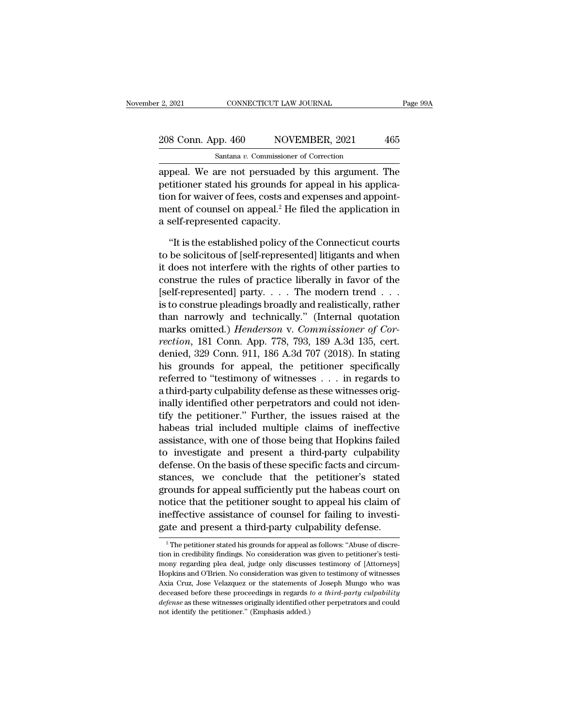### 2, 2021 CONNECTICUT LAW JOURNAL Page 99A<br>208 Conn. App. 460 NOVEMBER, 2021 465<br>Santana v. Commissioner of Correction Santana *v.* Commissioner of Correction

2, 2021 CONNECTICUT LAW JOURNAL Page 99A<br>
208 Conn. App. 460 NOVEMBER, 2021 465<br>
Santana v. Commissioner of Correction<br>
appeal. We are not persuaded by this argument. The<br>
petitioner stated his grounds for appeal in his ap 208 Conn. App. 460 NOVEMBER, 2021 465<br>
Santana v. Commissioner of Correction<br>
appeal. We are not persuaded by this argument. The<br>
petitioner stated his grounds for appeal in his applica-<br>
tion for waiver of fees, costs an 208 Conn. App. 460 NOVEMBER, 2021 465<br>
Santana v. Commissioner of Correction<br>
appeal. We are not persuaded by this argument. The<br>
petitioner stated his grounds for appeal in his applica-<br>
tion for waiver of fees, costs an 208 Conn. App. 460 NOVEMBER, 2021 465<br>
Santana v. Commissioner of Correction<br>
appeal. We are not persuaded by this argument. The<br>
petitioner stated his grounds for appeal in his applica-<br>
tion for waiver of fees, costs an  $\begin{tabular}{l} \hline \texttt{Santana } v. \texttt{Commissioner} \texttt{o} \\ \hline \texttt{append. We are not persuaded by}\texttt{petitioner stated his grounds for} \\ \hline \texttt{tion for waiver of fees, costs and} \\ \texttt{ment of counds on appeal.}^2 \texttt{He f} \\ \hline \texttt{a self-represented capacity.} \\ \hline \end{tabular}$ peal. We are not persuaded by this argument. The<br>titioner stated his grounds for appeal in his applica-<br>on for waiver of fees, costs and expenses and appoint-<br>ent of counsel on appeal.<sup>2</sup> He filed the application in<br>self-r petitioner stated his grounds for appeal in his application for waiver of fees, costs and expenses and appointment of counsel on appeal.<sup>2</sup> He filed the application in a self-represented capacity.<br>"It is the established po

tion for waiver of fees, costs and expenses and appoint-<br>ment of counsel on appeal.<sup>2</sup> He filed the application in<br>a self-represented capacity.<br>"It is the established policy of the Connecticut courts<br>to be solicitous of [s ment of counsel on appeal.<sup>2</sup> He filed the application in<br>a self-represented capacity.<br>"It is the established policy of the Connecticut courts<br>to be solicitous of [self-represented] litigants and when<br>it does not interfere a self-represented capacity.<br>
"It is the established policy of the Connecticut courts<br>
to be solicitous of [self-represented] litigants and when<br>
it does not interfere with the rights of other parties to<br>
construe the rul "It is the established policy of the Connecticut courts<br>to be solicitous of [self-represented] litigants and when<br>it does not interfere with the rights of other parties to<br>construe the rules of practice liberally in favor "It is the established policy of the Connecticut courts<br>to be solicitous of [self-represented] litigants and when<br>it does not interfere with the rights of other parties to<br>construe the rules of practice liberally in favor to be solicitous of [self-represented] litigants and when<br>it does not interfere with the rights of other parties to<br>construe the rules of practice liberally in favor of the<br>[self-represented] party....The modern trend...<br>i it does not interfere with the rights of other parties to<br>construe the rules of practice liberally in favor of the<br>[self-represented] party.... The modern trend...<br>is to construe pleadings broadly and realistically, rather construe the rules of practice liberally in favor of the<br>[self-represented] party.... The modern trend...<br>is to construe pleadings broadly and realistically, rather<br>than narrowly and technically." (Internal quotation<br>mark [self-represented] party. . . . The modern trend . . .<br>is to construe pleadings broadly and realistically, rather<br>than narrowly and technically." (Internal quotation<br>marks omitted.) *Henderson* v. *Commissioner of Cor-<br>re* is to construe pleadings broadly and realistically, rather<br>than narrowly and technically." (Internal quotation<br>marks omitted.) *Henderson* v. *Commissioner of Cor-<br>rection*, 181 Conn. App. 778, 793, 189 A.3d 135, cert.<br>den than narrowly and technically." (Internal quotation<br>marks omitted.) *Henderson v. Commissioner of Cor-*<br>rection, 181 Conn. App. 778, 793, 189 A.3d 135, cert.<br>denied, 329 Conn. 911, 186 A.3d 707 (2018). In stating<br>his grou marks omitted.) *Henderson* v. *Commissioner of Cor-*<br>rection, 181 Conn. App. 778, 793, 189 A.3d 135, cert.<br>denied, 329 Conn. 911, 186 A.3d 707 (2018). In stating<br>his grounds for appeal, the petitioner specifically<br>referre rection, 181 Conn. App. 778, 793, 189 A.3d 135, cert.<br>denied, 329 Conn. 911, 186 A.3d 707 (2018). In stating<br>his grounds for appeal, the petitioner specifically<br>referred to "testimony of witnesses . . . in regards to<br>a thi denied, 329 Conn. 911, 186 A.3d 707 (2018). In stating<br>his grounds for appeal, the petitioner specifically<br>referred to "testimony of witnesses . . . in regards to<br>a third-party culpability defense as these witnesses orig-<br> his grounds for appeal, the petitioner specifically<br>referred to "testimony of witnesses . . . in regards to<br>a third-party culpability defense as these witnesses orig-<br>inally identified other perpetrators and could not iden referred to "testimony of witnesses . . . in regards to<br>a third-party culpability defense as these witnesses orig-<br>inally identified other perpetrators and could not iden-<br>tify the petitioner." Further, the issues raised a a third-party culpability defense as these witnesses originally identified other perpetrators and could not identify the petitioner." Further, the issues raised at the habeas trial included multiple claims of ineffective a inally identified other perpetrators and could not identify the petitioner." Further, the issues raised at the habeas trial included multiple claims of ineffective assistance, with one of those being that Hopkins failed to tify the petitioner." Further, the issues raised at the<br>habeas trial included multiple claims of ineffective<br>assistance, with one of those being that Hopkins failed<br>to investigate and present a third-party culpability<br>defe habeas trial included multiple claims of ineffective<br>assistance, with one of those being that Hopkins failed<br>to investigate and present a third-party culpability<br>defense. On the basis of these specific facts and circum-<br>st assistance, with one of those being that Hopkins failed<br>to investigate and present a third-party culpability<br>defense. On the basis of these specific facts and circum-<br>stances, we conclude that the petitioner's stated<br>groun to investigate and present a third-party culpability<br>defense. On the basis of these specific facts and circum-<br>stances, we conclude that the petitioner's stated<br>grounds for appeal sufficiently put the habeas court on<br>noti grounds for appeal sufficiently put the habeas court on<br>notice that the petitioner sought to appeal his claim of<br>ineffective assistance of counsel for failing to investi-<br>gate and present a third-party culpability defense. notice that the petitioner sought to appeal his claim of<br>ineffective assistance of counsel for failing to investi-<br>gate and present a third-party culpability defense.<br><sup>2</sup> The petitioner stated his grounds for appeal as fol

ineffective assistance of counsel for failing to investigate and present a third-party culpability defense.<br><sup>2</sup> The petitioner stated his grounds for appeal as follows: "Abuse of discretion in credibility findings. No cons Fractional present a third-party culpability defense.<br>
<sup>2</sup> The petitioner stated his grounds for appeal as follows: "Abuse of discretion in credibility findings. No consideration was given to petitioner's testimony regardi gate and present a timu-party cuipability defense.<br>
<sup>2</sup> The petitioner stated his grounds for appeal as follows: "Abuse of discretion in credibility findings. No consideration was given to petitioner's testimony regarding <sup>2</sup> The petitioner stated his grounds for appeal as follows: "Abuse of discretion in credibility findings. No consideration was given to petitioner's testimony regarding plea deal, judge only discusses testimony of [Attor *defense* as these witnesses originally findings. No consideration was given to petitioner's testimony regarding plea deal, judge only discusses testimony of [Attorneys] Hopkins and O'Brien. No consideration was given to t mony regarding plea deal, judge only discusses testimony of [Attorneys] Hopkins and O'Brien. No consideration was given to testimony of witnesses Axia Cruz, Jose Velazquez or the statements of Joseph Mungo who was decease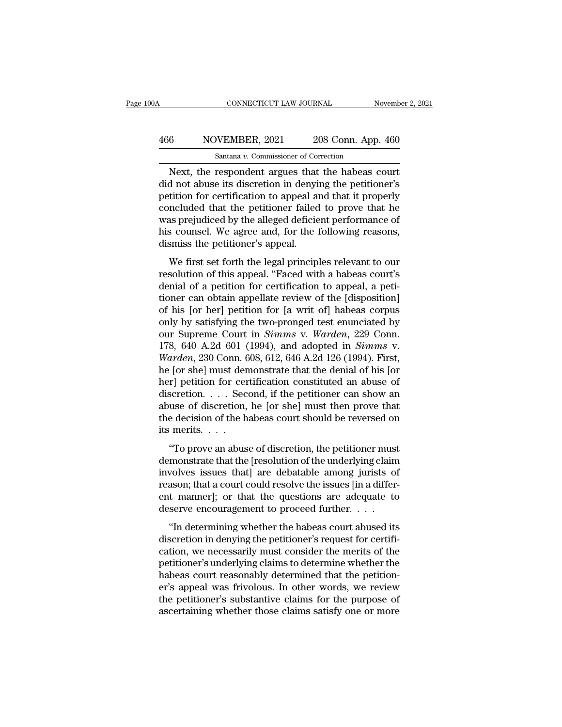## CONNECTICUT LAW JOURNAL November 2, 2021<br>466 NOVEMBER, 2021 208 Conn. App. 460<br>Santana v. Commissioner of Correction CONNECTICUT LAW JOURNAL November 2, 2021<br>
Santana *v*. Commissioner of Correction<br>
Next, the respondent argues that the habeas court

CONNECTICUT LAW JOURNAL November 2, 202<br>
Santana v. Commissioner of Correction<br>
Next, the respondent argues that the habeas court<br>
Next, the respondent argues that the habeas court<br>
d not abuse its discretion in denying th MOVEMBER, 2021 208 Conn. App. 460<br>
Santana v. Commissioner of Correction<br>
Next, the respondent argues that the habeas court<br>
did not abuse its discretion in denying the petitioner's<br>
petition for certification to appeal an  $\frac{\text{A66}}{\text{Santana } v. \text{ Commissioner of Correction}}$ <br>
Next, the respondent argues that the habeas court<br>
did not abuse its discretion in denying the petitioner's<br>
petition for certification to appeal and that it properly<br>
concluded that the pet  $\frac{\text{A66}}{\text{Santana } v. \text{ Commissioner of Correction}}$ <br>
Next, the respondent argues that the habeas court<br>
did not abuse its discretion in denying the petitioner's<br>
petition for certification to appeal and that it properly<br>
concluded that the pet Santana v. Commissioner of Correction<br>
Next, the respondent argues that the habeas court<br>
did not abuse its discretion in denying the petitioner's<br>
petition for certification to appeal and that it properly<br>
concluded that Santana v. Commissioner of Correction<br>Next, the respondent argues that the habeas court<br>did not abuse its discretion in denying the petitioner's<br>petition for certification to appeal and that it properly<br>concluded that the Next, the respondent argues that<br>did not abuse its discretion in denyi<br>petition for certification to appeal an<br>concluded that the petitioner failed<br>was prejudiced by the alleged deficie<br>his counsel. We agree and, for the i The first set for the legal principles relevant to an appearance of s counsel. We agree and, for the following reasons, smiss the petitioner's appeal.<br>We first set forth the legal principles relevant to our solution of thi perator for ecrimication to appear and that it property<br>concluded that the petitioner failed to prove that he<br>was prejudiced by the alleged deficient performance of<br>his counsel. We agree and, for the following reasons,<br>dis

Experience and the pethods rate to prove that he<br>was prejudiced by the alleged deficient performance of<br>his counsel. We agree and, for the following reasons,<br>dismiss the petitioner's appeal.<br>We first set forth the legal pr was prejudiced by the aneged definited performance of<br>his counsel. We agree and, for the following reasons,<br>dismiss the petitioner's appeal.<br>We first set forth the legal principles relevant to our<br>resolution of this appeal In the bettlement of the set of the content, dismiss the petitioner's appeal.<br>We first set forth the legal principles relevant to our<br>resolution of this appeal. "Faced with a habeas court's<br>denial of a petition for certifi We first set forth the legal principles relevant to our<br>resolution of this appeal. "Faced with a habeas court's<br>denial of a petition for certification to appeal, a peti-<br>tioner can obtain appellate review of the [disposit We first set forth the legal principles relevant to our<br>resolution of this appeal. "Faced with a habeas court's<br>denial of a petition for certification to appeal, a peti-<br>tioner can obtain appellate review of the [dispositi resolution of this appeal. "Faced with a habeas court's<br>denial of a petition for certification to appeal, a peti-<br>tioner can obtain appellate review of the [disposition]<br>of his [or her] petition for [a writ of] habeas corp denial of a petition for certification to appeal, a petitioner can obtain appellate review of the [disposition]<br>of his [or her] petition for [a writ of] habeas corpus<br>only by satisfying the two-pronged test enunciated by<br>o tioner can obtain appellate review of the [disposition]<br>of his [or her] petition for [a writ of] habeas corpus<br>only by satisfying the two-pronged test enunciated by<br>our Supreme Court in *Simms* v. *Warden*, 229 Conn.<br>178, of his [or her] petition for [a writ of] habeas corpus<br>only by satisfying the two-pronged test enunciated by<br>our Supreme Court in *Simms* v. *Warden*, 229 Conn.<br>178, 640 A.2d 601 (1994), and adopted in *Simms* v.<br>*Warden* only by satisfying the two-pronged test enunciated by<br>our Supreme Court in *Simms* v. *Warden*, 229 Conn.<br>178, 640 A.2d 601 (1994), and adopted in *Simms* v.<br>*Warden*, 230 Conn. 608, 612, 646 A.2d 126 (1994). First,<br>he [or our Supreme Court in *Simms* v. *Warden*, 229 Conn.<br>178, 640 A.2d 601 (1994), and adopted in *Simms* v.<br>*Warden*, 230 Conn. 608, 612, 646 A.2d 126 (1994). First,<br>he [or she] must demonstrate that the denial of his [or<br>her] 178, 640 A.2d 601 (1994), and adopted in *Simms* v.<br>Warden, 230 Conn. 608, 612, 646 A.2d 126 (1994). First,<br>he [or she] must demonstrate that the denial of his [or<br>her] petition for certification constituted an abuse of<br>d *Warden*, 230 Conn.  $\ell$ <br>he [or she] must der<br>her] petition for cer<br>discretion. . . . . Sec<br>abuse of discretion,<br>the decision of the h<br>its merits. . . . .<br>"To prove an abus The period of the periodic matrix and the definit of the periodic relation for certification constituted an abuse of scretion, the petitioner can show an use of discretion, he [or she] must then prove that e decision of t discretion. . . . Second, if the petitioner can show an abuse of discretion, he [or she] must then prove that the decision of the habeas court should be reversed on its merits. . . .<br>"To prove an abuse of discretion, the

involves issues that the provide among the series of discretion, he [or she] must then prove that the decision of the habeas court should be reversed on its merits.  $\ldots$  "To prove an abuse of discretion, the petitioner m reasons of unsertence, the formulation prove and<br>the decision of the habeas court should be reversed on<br>its merits....<br>"To prove an abuse of discretion, the petitioner must<br>demonstrate that the [resolution of the underlyi its merits. . . .<br>"To prove an abuse of discretion, the petitioner must<br>demonstrate that the [resolution of the underlying claim<br>involves issues that] are debatable among jurists of<br>reason; that a court could resolve the i "To prove an abuse of discretion, the petitioner must<br>demonstrate that the [resolution of the underlying claim<br>involves issues that] are debatable among jurists of<br>reason; that a court could resolve the issues [in a diffe To prove an abase of absencency, are performed inaction monstrate that the [resolution of the underlying claim volves issues that] are debatable among jurists of asson; that a court could resolve the issues [in a differ-<br> discretion in denying the discretion in the discretion involves issues that] are debatable among jurists of reason; that a court could resolve the issues [in a different manner]; or that the questions are adequate to deser

reason; that a court could resolve the issues [in a different manner]; or that the questions are adequate to deserve encouragement to proceed further.  $\dots$  "In determining whether the habeas court abused its discretion in petition, and a court could resorve are issues [in a direct<br>ent manner]; or that the questions are adequate to<br>deserve encouragement to proceed further. . . .<br>"In determining whether the habeas court abused its<br>discretion deserve encouragement to proceed further....<br>
"In determining whether the habeas court abused its<br>
discretion in denying the petitioner's request for certifi-<br>
cation, we necessarily must consider the merits of the<br>
petit "In determining whether the habeas court abused its<br>discretion in denying the petitioner's request for certifi-<br>cation, we necessarily must consider the merits of the<br>petitioner's underlying claims to determine whether th "In determining whether the habeas court abused its<br>discretion in denying the petitioner's request for certifi-<br>cation, we necessarily must consider the merits of the<br>petitioner's underlying claims to determine whether the discretion in denying the petitioner's request for certification, we necessarily must consider the merits of the petitioner's underlying claims to determine whether the habeas court reasonably determined that the petitione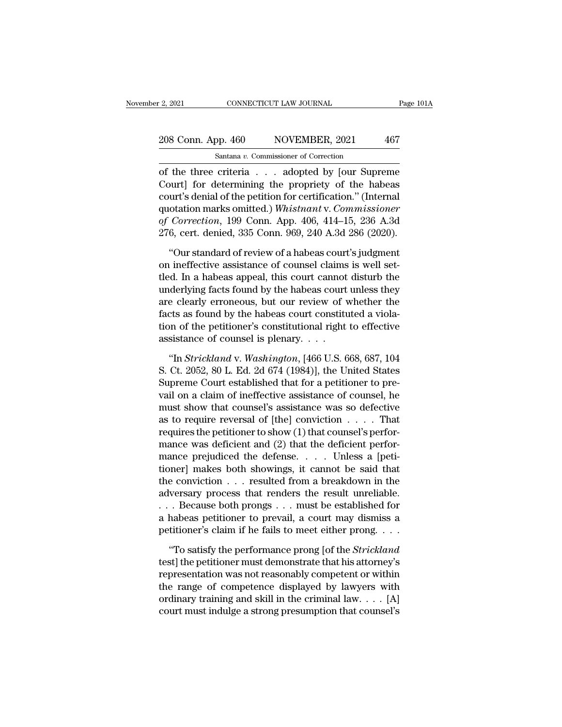# 2, 2021 CONNECTICUT LAW JOURNAL Page 101A<br>208 Conn. App. 460 NOVEMBER, 2021 467<br>Santana v. Commissioner of Correction

F. 2, 2021 CONNECTICUT LAW JOURNAL<br>
208 Conn. App. 460 NOVEMBER, 2021 467<br>
Santana *v*. Commissioner of Correction<br>
of the three criteria . . . adopted by [our Supreme  $\frac{1}{2}$ , 2021 CONNECTICUT LAW JOURNAL Page 101A<br>
208 Conn. App. 460 NOVEMBER, 2021 467<br>
Santana v. Commissioner of Correction<br>
of the three criteria . . . adopted by [our Supreme<br>
Court] for determining the propriety of 208 Conn. App. 460 NOVEMBER, 2021 467<br>
Santana v. Commissioner of Correction<br>
of the three criteria . . . adopted by [our Supreme<br>
Court] for determining the propriety of the habeas<br>
court's denial of the petition for cer 208 Conn. App. 460 NOVEMBER, 2021 467<br>
Santana v. Commissioner of Correction<br>
of the three criteria . . . adopted by [our Supreme<br>
Court] for determining the propriety of the habeas<br>
court's denial of the petition for cer 208 Conn. App. 460 NOVEMBER, 2021 467<br>
Santana *v*. Commissioner of Correction<br>
of the three criteria . . . adopted by [our Supreme<br>
Court] for determining the propriety of the habeas<br>
court's denial of the petition for ce Santana v. Commissioner of Correction<br> **of the three criteria** . . . adopted by [our Supreme<br>
Court] for determining the propriety of the habeas<br>
court's denial of the petition for certification." (Internal<br>
quotation mark Santala v. Commissioner of Corection<br>
276 (the three criteria . . . adopted by [our Supreme<br>
Court] for determining the propriety of the habeas<br>
court's denial of the petition for certification." (Internal<br>
quotation mark burt] for determining the propriety of the habeas<br>
urt's denial of the petition for certification." (Internal<br>
otation marks omitted.) *Whistnant* v. *Commissioner*<br> *Correction*, 199 Conn. App. 406, 414–15, 236 A.3d<br>
6, c court's denial of the petition for certification." (Internal<br>quotation marks omitted.) *Whistnant* v. *Commissioner*<br>of Correction, 199 Conn. App. 406, 414–15, 236 A.3d<br>276, cert. denied, 335 Conn. 969, 240 A.3d 286 (2020)

quotation marks omitted.) Whistnant v. Commissioner<br>of Correction, 199 Conn. App. 406, 414–15, 236 A.3d<br>276, cert. denied, 335 Conn. 969, 240 A.3d 286 (2020).<br>"Our standard of review of a habeas court's judgment<br>on ineffec of Correction, 199 Conn. App. 406, 414–15, 236 A.3d<br>276, cert. denied, 335 Conn. 969, 240 A.3d 286 (2020).<br>"Our standard of review of a habeas court's judgment<br>on ineffective assistance of counsel claims is well set-<br>tled. 276, cert. denied, 335 Conn. 969, 240 A.3d 286 (2020).<br>
"Our standard of review of a habeas court's judgment<br>
on ineffective assistance of counsel claims is well set-<br>
tled. In a habeas appeal, this court cannot disturb t "Our standard of review of a habeas court's judgment<br>on ineffective assistance of counsel claims is well set-<br>tled. In a habeas appeal, this court cannot disturb the<br>underlying facts found by the habeas court unless they<br>a "Our standard of review of a habeas court's judgment<br>on ineffective assistance of counsel claims is well set-<br>tled. In a habeas appeal, this court cannot disturb the<br>underlying facts found by the habeas court unless they<br> on ineffective assistance of counsel claims<br>tled. In a habeas appeal, this court cannot<br>underlying facts found by the habeas court<br>are clearly erroneous, but our review of v<br>facts as found by the habeas court constitution derlying facts found by the habeas court unless they<br>
e clearly erroneous, but our review of whether the<br>
cts as found by the habeas court constituted a viola-<br>
on of the petitioner's constitutional right to effective<br>
sis are clearly erroneous, but our review of whether the<br>facts as found by the habeas court constituted a viola-<br>tion of the petitioner's constitutional right to effective<br>assistance of counsel is plenary. . . .<br>"In *Stricklan* 

facts as found by the habeas court constituted a violation of the petitioner's constitutional right to effective assistance of counsel is plenary.  $\dots$ <br>
"In *Strickland* v. *Washington*, [466 U.S. 668, 687, 104 S. Ct. 205 tion of the petitioner's constitutional right to effective<br>assistance of counsel is plenary....<br>"In *Strickland* v. *Washington*, [466 U.S. 668, 687, 104<br>S. Ct. 2052, 80 L. Ed. 2d 674 (1984)], the United States<br>Supreme Co assistance of counsel is plenary. . . .<br>
"In *Strickland v. Washington*, [466 U.S. 668, 687, 104<br>
S. Ct. 2052, 80 L. Ed. 2d 674 (1984)], the United States<br>
Supreme Court established that for a petitioner to pre-<br>
vail on "In *Strickland* v. *Washington*, [466 U.S. 668, 687, 104<br>S. Ct. 2052, 80 L. Ed. 2d 674 (1984)], the United States<br>Supreme Court established that for a petitioner to pre-<br>vail on a claim of ineffective assistance of couns "In *Strickland* v. *Washington*, [466 U.S. 668, 687, 104<br>S. Ct. 2052, 80 L. Ed. 2d 674 (1984)], the United States<br>Supreme Court established that for a petitioner to pre-<br>vail on a claim of ineffective assistance of couns S. Ct. 2052, 80 L. Ed. 2d 674 (1984)], the United States<br>Supreme Court established that for a petitioner to pre-<br>vail on a claim of ineffective assistance of counsel, he<br>must show that counsel's assistance was so defective Supreme Court established that for a petitioner to prevail on a claim of ineffective assistance of counsel, he<br>must show that counsel's assistance was so defective<br>as to require reversal of [the] conviction  $\dots$ . That<br>req vail on a claim of ineffective assistance of counsel, he<br>must show that counsel's assistance was so defective<br>as to require reversal of [the] conviction . . . . That<br>requires the petitioner to show (1) that counsel's perf must show that counsel's assistance was so defective<br>as to require reversal of [the] conviction . . . . That<br>requires the petitioner to show (1) that counsel's perfor-<br>mance was deficient and (2) that the deficient perfor as to require reversal of [the] conviction . . . . That<br>requires the petitioner to show (1) that counsel's perfor-<br>mance was deficient and (2) that the deficient perfor-<br>mance prejudiced the defense. . . . Unless a [petirequires the petitioner to show (1) that counsel's perfor-<br>mance was deficient and (2) that the deficient perfor-<br>mance prejudiced the defense. . . . Unless a [peti-<br>tioner] makes both showings, it cannot be said that<br>the mance was deficient and (2) that the deficient perfor-<br>mance prejudiced the defense.... Unless a [peti-<br>tioner] makes both showings, it cannot be said that<br>the conviction ... resulted from a breakdown in the<br>adversary pro mance prejudiced the defense. . . . . Unless a [petitioner] makes both showings, it cannot be said that the conviction . . . resulted from a breakdown in the adversary process that renders the result unreliable. . . . Bec e conviction . . . resulted from a breakdown in the<br>
versary process that renders the result unreliable.<br>
. Because both prongs . . . must be established for<br>
habeas petitioner to prevail, a court may dismiss a<br>
titioner's adversary process that renders the result unreliable.<br>
... Because both prongs ... must be established for<br>
a habeas petitioner to prevail, a court may dismiss a<br>
petitioner's claim if he fails to meet either prong....<br>
"T

Franchesonal prompton was not reasonably competent on the established for<br>a habeas petitioner to prevail, a court may dismiss a<br>petitioner's claim if he fails to meet either prong. . . .<br>"To satisfy the performance prong a habeas petitioner to prevail, a court may dismiss a<br>petitioner's claim if he fails to meet either prong. . . .<br>"To satisfy the performance prong [of the *Strickland*<br>test] the petitioner must demonstrate that his attorn petitioner's claim if he fails to meet either prong. . . .<br>"To satisfy the performance prong [of the *Strickland*<br>test] the petitioner must demonstrate that his attorney's<br>representation was not reasonably competent or wit "To satisfy the performance prong [of the *Strickland* test] the petitioner must demonstrate that his attorney's representation was not reasonably competent or within the range of competence displayed by lawyers with ordi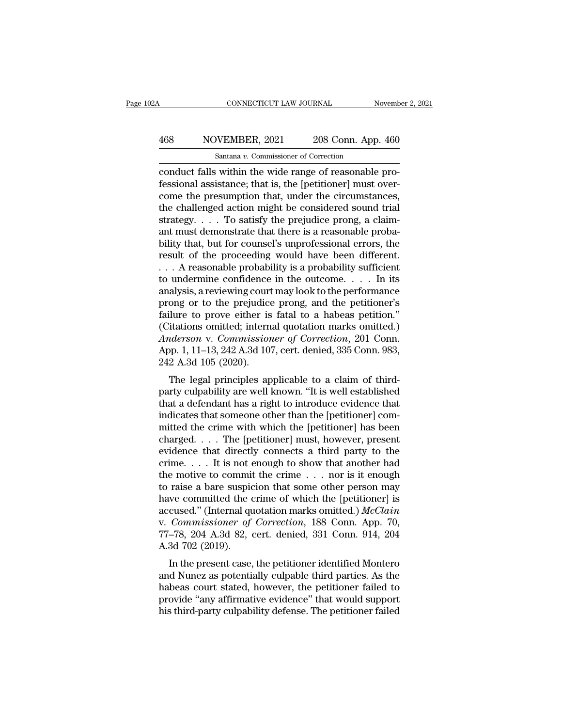# CONNECTICUT LAW JOURNAL November 2, 2021<br>468 NOVEMBER, 2021 208 Conn. App. 460<br>Santana v. Commissioner of Correction

CONNECTICUT LAW JOURNAL<br>
Santana *v.* Commissioner of Correction<br>
Conduct falls within the wide range of reasonable pro-<br>
Fessional assistance; that is, the [petitioner] must over-<br>
come the prosumption that under the circ Festival assistance; that is, the considered sound trial and the conduct falls within the wide range of reasonable professional assistance; that is, the [petitioner] must over-<br>come the presumption that, under the circumst 468 NOVEMBER, 2021 208 Conn. App. 460<br>
Santana v. Commissioner of Correction<br>
conduct falls within the wide range of reasonable pro-<br>
fessional assistance; that is, the [petitioner] must over-<br>
come the presumption that,  $\frac{\text{A68}}{\text{Santana } v. \text{ Commissioner of Correction}}$ <br>
Santana  $v. \text{ Commissioner of Correction}}$ <br>
conduct falls within the wide range of reasonable pro-<br>
fessional assistance; that is, the [petitioner] must over-<br>
come the presumption that, under the circumstances,<br> Santana v. Commissioner of Correction<br>
conduct falls within the wide range of reasonable pro-<br>
fessional assistance; that is, the [petitioner] must over-<br>
come the presumption that, under the circumstances,<br>
the challenge santana v. Commissioner of Correction<br>
conduct falls within the wide range of reasonable pro-<br>
fessional assistance; that is, the [petitioner] must over-<br>
come the presumption that, under the circumstances,<br>
the challenge conduct falls within the wide range of reasonable professional assistance; that is, the [petitioner] must over-<br>come the presumption that, under the circumstances,<br>the challenged action might be considered sound trial<br>str fessional assistance; that is, the [petitioner] must over-<br>come the presumption that, under the circumstances,<br>the challenged action might be considered sound trial<br>strategy. . . . To satisfy the prejudice prong, a claim-<br> % come the presumption that, under the circumstances,<br>the challenged action might be considered sound trial<br>strategy. . . . To satisfy the prejudice prong, a claim-<br>ant must demonstrate that there is a reasonable proba-<br>b the challenged action might be considered sound trial<br>strategy. . . . To satisfy the prejudice prong, a claim-<br>ant must demonstrate that there is a reasonable proba-<br>bility that, but for counsel's unprofessional errors, t strategy. . . . To satisfy the prejudice prong, a claim-<br>ant must demonstrate that there is a reasonable proba-<br>bility that, but for counsel's unprofessional errors, the<br>result of the proceeding would have been different. ant must demonstrate that there is a reasonable probability that, but for counsel's unprofessional errors, the<br>result of the proceeding would have been different.<br>... A reasonable probability is a probability sufficient<br>to bility that, but for counsel's unprofessional errors, the<br>result of the proceeding would have been different.<br> $\ldots$  A reasonable probability is a probability sufficient<br>to undermine confidence in the outcome.  $\ldots$  In its result of the proceeding would have been different.<br>
... A reasonable probability is a probability sufficient<br>
to undermine confidence in the outcome.... In its<br>
analysis, a reviewing court may look to the performance<br>
pr *A* reasonable probability is a probability sufficient<br>to undermine confidence in the outcome. . . . In its<br>analysis, a reviewing court may look to the performance<br>prong or to the prejudice prong, and the petitioner's<br>fail to undermine confidence in the outcome. . . . . In its<br>analysis, a reviewing court may look to the performance<br>prong or to the prejudice prong, and the petitioner's<br>failure to prove either is fatal to a habeas petition."<br>( analysis, a reviewing court<br>prong or to the prejudice<br>failure to prove either is<br>(Citations omitted; intern<br>*Anderson* v. *Commission*<br>App. 1, 11–13, 242 A.3d 10'<br>242 A.3d 105 (2020).<br>The legal principles ap ong or to the prejudice prong, and the petrioner s<br>lure to prove either is fatal to a habeas petition."<br>itations omitted; internal quotation marks omitted.)<br>*iderson* v. *Commissioner of Correction*, 201 Conn.<br>pp. 1, 11–13 rantified to prove entier is fatal to a habeas perfitding.<br>
(Citations omitted; internal quotation marks omitted.)<br>
Anderson v. Commissioner of Correction, 201 Conn.<br>
App. 1, 11–13, 242 A.3d 107, cert. denied, 335 Conn. 98

(Chations onlitted, internal quotation marks onlitted.)<br>
Anderson v. Commissioner of Correction, 201 Conn.<br>
App. 1, 11–13, 242 A.3d 107, cert. denied, 335 Conn. 983,<br>
242 A.3d 105 (2020).<br>
The legal principles applicable t Anderson v. Commissioner of Correction, 201 Comi.<br>App. 1, 11–13, 242 A.3d 107, cert. denied, 335 Conn. 983,<br>242 A.3d 105 (2020).<br>The legal principles applicable to a claim of third-<br>party culpability are well known. "It is mpp. 1, 11–13, 242 A.3d 107, cert. defined, 355 Coluit. 363,<br>242 A.3d 105 (2020).<br>The legal principles applicable to a claim of third-<br>party culpability are well known. "It is well established<br>that a defendant has a right The legal principles applicable to a claim of third-<br>party culpability are well known. "It is well established<br>that a defendant has a right to introduce evidence that<br>indicates that someone other than the [petitioner] com The legal principles applicable to a claim of third-<br>party culpability are well known. "It is well established<br>that a defendant has a right to introduce evidence that<br>indicates that someone other than the [petitioner] com party culpability are well known. "It is well established<br>that a defendant has a right to introduce evidence that<br>indicates that someone other than the [petitioner] com-<br>mitted the crime with which the [petitioner] has be that a defendant has a right to introduce evidence that<br>indicates that someone other than the [petitioner] com-<br>mitted the crime with which the [petitioner] has been<br>charged....The [petitioner] must, however, present<br>evid indicates that someone other than the [petitioner] committed the crime with which the [petitioner] has been charged. . . . The [petitioner] must, however, present evidence that directly connects a third party to the crime mitted the crime with which the [petitioner] has been<br>charged.... The [petitioner] must, however, present<br>evidence that directly connects a third party to the<br>crime.... It is not enough to show that another had<br>the motive charged.... The [petitioner] must, however, present<br>evidence that directly connects a third party to the<br>crime.... It is not enough to show that another had<br>the motive to commit the crime ... nor is it enough<br>to raise a b evidence that directly connects a third party to the crime. . . . It is not enough to show that another had the motive to commit the crime . . . nor is it enough to raise a bare suspicion that some other person may have c crime. . . . It is not enough to show that another had<br>the motive to commit the crime . . . nor is it enough<br>to raise a bare suspicion that some other person may<br>have committed the crime of which the [petitioner] is<br>accus the motive to commit<br>to raise a bare suspic<br>have committed the c<br>accused." (Internal qu<br>v. *Commissioner of*<br>77–78, 204 A.3d 82, c<br>A.3d 702 (2019).<br>In the present case, Taise a bare suspiction that some other person may<br>we committed the crime of which the [petitioner] is<br>cused." (Internal quotation marks omitted.) McClain<br>Commissioner of Correction, 188 Conn. App. 70,<br>-78, 204 A.3d 82, ce rate committed the crime of which the [peritoner] is<br>accused." (Internal quotation marks omitted.) *McClain*<br>v. *Commissioner of Correction*, 188 Conn. App. 70,<br>77–78, 204 A.3d 82, cert. denied, 331 Conn. 914, 204<br>A.3d 702

accused. (Internal quotation marks omitted.) *Incluin*<br>v. *Commissioner of Correction*, 188 Conn. App. 70,<br>77–78, 204 A.3d 82, cert. denied, 331 Conn. 914, 204<br>A.3d 702 (2019).<br>In the present case, the petitioner identifie v. Commissioner of Correction, 188 Collit. App. 76,<br>77–78, 204 A.3d 82, cert. denied, 331 Conn. 914, 204<br>A.3d 702 (2019).<br>In the present case, the petitioner identified Montero<br>and Nunez as potentially culpable third parti  $h = 10$ , 204 A.5d  $\sigma$ 2, Cert. defined, 351 Cofil.  $\sigma$ 14, 204 A.3d 702 (2019).<br>In the present case, the petitioner identified Montero<br>and Nunez as potentially culpable third parties. As the<br>habeas court stated, however,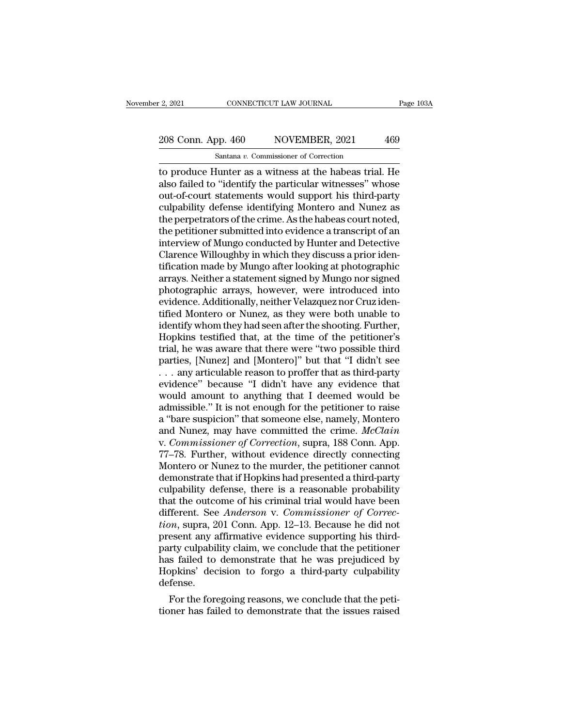### 2, 2021 CONNECTICUT LAW JOURNAL Page 103A<br>208 Conn. App. 460 NOVEMBER, 2021 469<br>Santana v. Commissioner of Correction Santana *v.* Commissioner of Correction

The produce Hunter as a witness at the habeas trial. He<br>also failed to "identify the particular witnesses" whose<br>the produce Hunter as a witness at the habeas trial. He<br>also failed to "identify the particular witnesses" wh 208 Conn. App. 460 NOVEMBER, 2021 469<br>
Santana v. Commissioner of Correction<br>
to produce Hunter as a witness at the habeas trial. He<br>
also failed to "identify the particular witnesses" whose<br>
out-of-court statements would 208 Conn. App. 460 NOVEMBER, 2021 469<br>
Santana v. Commissioner of Correction<br>
to produce Hunter as a witness at the habeas trial. He<br>
also failed to "identify the particular witnesses" whose<br>
out-of-court statements would 208 Conn. App. 460 NOVEMBER, 2021 469<br>
Santana v. Commissioner of Correction<br>
to produce Hunter as a witness at the habeas trial. He<br>
also failed to "identify the particular witnesses" whose<br>
out-of-court statements would Santa Prepetrators of Correction<br>
to produce Hunter as a witness at the habeas trial. He<br>
also failed to "identify the particular witnesses" whose<br>
out-of-court statements would support his third-party<br>
culpability defense Santana v. Commissioner of Correction<br>to produce Hunter as a witness at the habeas trial. He<br>also failed to "identify the particular witnesses" whose<br>out-of-court statements would support his third-party<br>culpability defens to produce Hunter as a witness at the habeas trial. He<br>also failed to "identify the particular witnesses" whose<br>out-of-court statements would support his third-party<br>culpability defense identifying Montero and Nunez as<br>the also failed to "identify the particular witnesses" whose<br>out-of-court statements would support his third-party<br>culpability defense identifying Montero and Nunez as<br>the perpetrators of the crime. As the habeas court noted,<br> out-of-court statements would support his third-party<br>culpability defense identifying Montero and Nunez as<br>the perpetrators of the crime. As the habeas court noted,<br>the petitioner submitted into evidence a transcript of an culpability defense identifying Montero and Nunez as<br>the perpetrators of the crime. As the habeas court noted,<br>the petitioner submitted into evidence a transcript of an<br>interview of Mungo conducted by Hunter and Detective<br> the perpetrators of the crime. As the habeas court noted,<br>the petitioner submitted into evidence a transcript of an<br>interview of Mungo conducted by Hunter and Detective<br>Clarence Willoughby in which they discuss a prior ide the petitioner submitted into evidence a transcript of an interview of Mungo conducted by Hunter and Detective<br>Clarence Willoughby in which they discuss a prior iden-<br>tification made by Mungo after looking at photographic<br> interview of Mungo conducted by Hunter and Detective<br>Clarence Willoughby in which they discuss a prior iden-<br>tification made by Mungo after looking at photographic<br>arrays. Neither a statement signed by Mungo nor signed<br>pho Clarence Willoughby in which they discuss a prior identification made by Mungo after looking at photographic<br>arrays. Neither a statement signed by Mungo nor signed<br>photographic arrays, however, were introduced into<br>evidenc tification made by Mungo after looking at photographic<br>arrays. Neither a statement signed by Mungo nor signed<br>photographic arrays, however, were introduced into<br>evidence. Additionally, neither Velazquez nor Cruz iden-<br>tifi arrays. Neither a statement signed by Mungo nor signed<br>photographic arrays, however, were introduced into<br>evidence. Additionally, neither Velazquez nor Cruz iden-<br>tified Montero or Nunez, as they were both unable to<br>identi photographic arrays, however, were introduced into<br>evidence. Additionally, neither Velazquez nor Cruz iden-<br>tified Montero or Nunez, as they were both unable to<br>identify whom they had seen after the shooting. Further,<br>Hopk evidence. Additionally, neither Velazquez nor Cruz identified Montero or Nunez, as they were both unable to<br>identify whom they had seen after the shooting. Further,<br>Hopkins testified that, at the time of the petitioner's<br>t tified Montero or Nunez, as they were both unable to<br>identify whom they had seen after the shooting. Further,<br>Hopkins testified that, at the time of the petitioner's<br>trial, he was aware that there were "two possible third<br> identify whom they had seen after the shooting. Further,<br>Hopkins testified that, at the time of the petitioner's<br>trial, he was aware that there were "two possible third<br>parties, [Nunez] and [Montero]" but that "I didn't se Hopkins testified that, at the time of the petitioner's<br>trial, he was aware that there were "two possible third<br>parties, [Nunez] and [Montero]" but that "I didn't see<br> $\dots$  any articulable reason to proffer that as third-p trial, he was aware that there were "two possible third<br>parties, [Nunez] and [Montero]" but that "I didn't see<br> $\dots$  any articulable reason to proffer that as third-party<br>evidence" because "I didn't have any evidence that<br> parties, [Nunez] and [Montero]" but that "I didn't see<br>  $\dots$  any articulable reason to proffer that as third-party<br>
evidence" because "I didn't have any evidence that<br>
would amount to anything that I deemed would be<br>
admi ... any articulable reason to proffer that as third-party<br>evidence" because "I didn't have any evidence that<br>would amount to anything that I deemed would be<br>admissible." It is not enough for the petitioner to raise<br>a "bare evidence" because "I didn't have any evidence that<br>would amount to anything that I deemed would be<br>admissible." It is not enough for the petitioner to raise<br>a "bare suspicion" that someone else, namely, Montero<br>and Nunez, would amount to anything that I deemed would be<br>admissible." It is not enough for the petitioner to raise<br>a "bare suspicion" that someone else, namely, Montero<br>and Nunez, may have committed the crime. *McClain*<br>v. Commissi admissible." It is not enough for the petitioner to raise<br>a "bare suspicion" that someone else, namely, Montero<br>and Nunez, may have committed the crime. *McClain*<br>v. *Commissioner of Correction*, supra, 188 Conn. App.<br>77–7 a "bare suspicion" that someone else, namely, Montero<br>and Nunez, may have committed the crime. *McClain*<br>v. *Commissioner of Correction*, supra, 188 Conn. App.<br>77–78. Further, without evidence directly connecting<br>Montero o and Nunez, may have committed the crime. *McClain*<br>v. Commissioner of Correction, supra, 188 Conn. App.<br>77–78. Further, without evidence directly connecting<br>Montero or Nunez to the murder, the petitioner cannot<br>demonstrate v. *Commissioner of Correction*, supra, 188 Conn. App.<br>77–78. Further, without evidence directly connecting<br>Montero or Nunez to the murder, the petitioner cannot<br>demonstrate that if Hopkins had presented a third-party<br>culp 77–78. Further, without evidence directly connecting<br>Montero or Nunez to the murder, the petitioner cannot<br>demonstrate that if Hopkins had presented a third-party<br>culpability defense, there is a reasonable probability<br>that Montero or Nunez to the murder, the petitioner cannot<br>demonstrate that if Hopkins had presented a third-party<br>culpability defense, there is a reasonable probability<br>that the outcome of his criminal trial would have been<br>di demonstrate that if Hopkins had presented a third-party<br>culpability defense, there is a reasonable probability<br>that the outcome of his criminal trial would have been<br>different. See *Anderson* v. Commissioner of Correc-<br>tio culpability defense, there is a reasonable probability<br>that the outcome of his criminal trial would have been<br>different. See *Anderson v. Commissioner of Correc-<br>tion*, supra, 201 Conn. App. 12–13. Because he did not<br>prese that the outcome of his criminal trial would have been<br>different. See *Anderson* v. Commissioner of Correction, supra, 201 Conn. App. 12–13. Because he did not<br>present any affirmative evidence supporting his third-<br>party c defense.  $m$ , supra, 201 Conn. App. 12–13. Because he did not<br>esent any affirmative evidence supporting his third-<br>rty culpability claim, we conclude that the petitioner<br>s failed to demonstrate that he was prejudiced by<br>ppkins' de present any attirmative evidence supporting his third-<br>party culpability claim, we conclude that the petitioner<br>has failed to demonstrate that he was prejudiced by<br>Hopkins' decision to forgo a third-party culpability<br>defen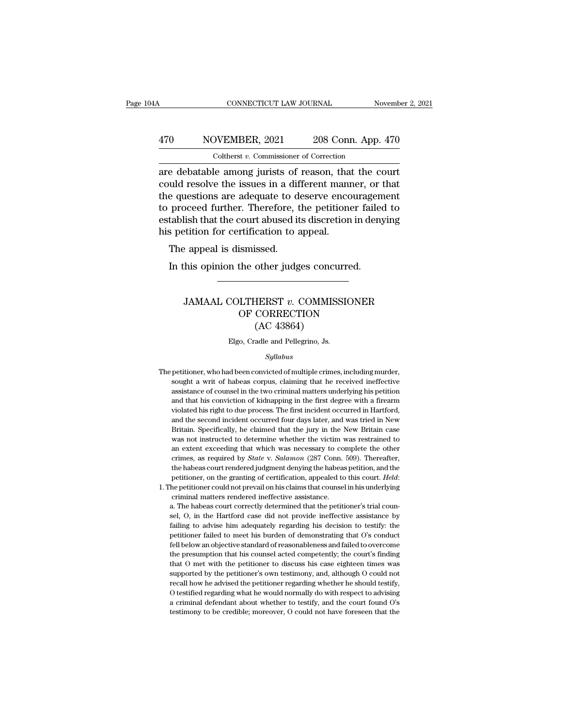### CONNECTICUT LAW JOURNAL November 2, 2021<br>
470 NOVEMBER, 2021 208 Conn. App. 470<br>
Coltherst v. Commissioner of Correction CONNECTICUT LAW JOURNAL<br>DVEMBER, 2021 208 Conn. App.<br>Coltherst *v.* Commissioner of Correction<br>Le among jurists of reason, that the c

CONNECTICUT LAW JOURNAL November 2, 202<br>
470 NOVEMBER, 2021 208 Conn. App. 470<br>
Coltherst v. Commissioner of Correction<br>
are debatable among jurists of reason, that the court<br>
could resolve the issues in a different manner 470 NOVEMBER, 2021 208 Conn. App. 470<br>
Coltherst v. Commissioner of Correction<br>
are debatable among jurists of reason, that the court<br>
could resolve the issues in a different manner, or that<br>
the questions are adequate to  $\frac{470}{\text{Colthers }t \cdot \text{Commissioner of Correction}}$ <br>
Coltherst  $v$ . Commissioner of Correction<br>
are debatable among jurists of reason, that the court<br>
could resolve the issues in a different manner, or that<br>
the questions are adequate to deserve  $\frac{470}{\text{Colthers } v. \text{ Commissioner of Correction}}$ <br>
The contract of Correction<br>
outer debatable among jurists of reason, that the court<br>
could resolve the issues in a different manner, or that<br>
the questions are adequate to deserve encouragement<br> Coltherst v. Commissioner of Correction<br>are debatable among jurists of reason, that the court<br>could resolve the issues in a different manner, or that<br>the questions are adequate to deserve encouragement<br>to proceed further. Cotherst  $v$ . Commissioner of Correction<br>are debatable among jurists of reason, that<br>could resolve the issues in a different mant<br>the questions are adequate to deserve enco<br>to proceed further. Therefore, the petitione<br>est e debatable allong jurists of<br>uld resolve the issues in a dif<br>e questions are adequate to de<br>proceed further. Therefore, t<br>tablish that the court abused it<br>s petition for certification to a<br>The appeal is dismissed.<br>In this In this opinion are adequate to deserve encouragem<br>proceed further. Therefore, the petitioner failed<br>tablish that the court abused its discretion in deny<br>spectition for certification to appeal.<br>The appeal is dismissed.<br>In

### extragal is dismissed.<br>
Frame and is dismissed.<br>
his opinion the other judges concurred.<br>
JAMAAL COLTHERST *v*. COMMISSIONER<br>
OF CORRECTION<br>
(AC 43864) ismissed.<br>
the other judges concurred.<br>
DLITHERST v. COMMISSIONER<br>
OF CORRECTION (AC 43864) ssea.<br>
other judges concu<br>
HERST v. COMMISS<br>
CORRECTION<br>(AC 43864)<br>
adle and Pellegrino, Js. JAMAAL COLTHERST  $v$ . COMMISSIONER<br>OF CORRECTION<br>(AC 43864)<br>Elgo, Cradle and Pellegrino, Js.

### *Syllabus*

- The petitioner, who had been convicted of multiple crimes, including murder,<br>sought a writ of habeas corpus, claiming that he received ineffective (AC 45004)<br>Elgo, Cradle and Pellegrino, Js.<br>Syllabus<br>petitioner, who had been convicted of multiple crimes, including murder,<br>sought a writ of habeas corpus, claiming that he received ineffective<br>assistance of counsel in t Elgo, Cradle and Pellegrino, Js.<br>
Syllabus<br>
petitioner, who had been convicted of multiple crimes, including murder,<br>
sought a writ of habeas corpus, claiming that he received ineffective<br>
assistance of counsel in the two Syllabus<br>
and that his convicted of multiple crimes, including murder,<br>
sought a writ of habeas corpus, claiming that he received ineffective<br>
assistance of counsel in the two criminal matters underlying his petition<br>
and syllabus<br>petitioner, who had been convicted of multiple crimes, including murder,<br>sought a writ of habeas corpus, claiming that he received ineffective<br>assistance of counsel in the two criminal matters underlying his petit petitioner, who had been convicted of multiple crimes, including murder, sought a writ of habeas corpus, claiming that he received ineffective assistance of counsel in the two criminal matters underlying his petition and t pought a writ of habeas corpus, claiming that he received ineffective assistance of counsel in the two criminal matters underlying his petition and that his conviction of kidnapping in the first degree with a firearm viola assistance of counsel in the two criminal matters underlying his petition and that his conviction of kidnapping in the first degree with a firearm violated his right to due process. The first incident occurred in Hartford, and that his conviction of kidnapping in the first degree with a firearm violated his right to due process. The first incident occurred in Hartford, and the second incident occurred four days later, and was tried in New Br violated his right to due process. The first incident occurred in Hartford, and the second incident occurred four days later, and was tried in New Britain. Specifically, he claimed that the jury in the New Britain case was and the second incident occurred four days later, and was tried in New Britain. Specifically, he claimed that the jury in the New Britain case was not instructed to determine whether the victim was restrained to an extent Britain. Specifically, he claimed that the jury in the New Britain case<br>was not instructed to determine whether the victim was restrained to<br>an extent exceeding that which was necessary to complete the other<br>crimes, as req was not instructed to determine whether the victim was restrained to<br>an extent exceeding that which was necessary to complete the other<br>crimes, as required by  $State$  v.  $Salamon$  (287 Conn. 509). Thereafter,<br>the habeas court rend a. The habeas court rendered judgment denying the habeas petition, and the petitioner, on the granting of certification, appealed to this court. *Held*: the petitioner could not prevail on his claims that counsel in his un
- 

the habeas court rendered judgment denying the habeas petition, and the petitioner, on the granting of certification, appealed to this court. *Held*: the petitioner could not prevail on his claims that counsel in his under retitioner, on the granting of certification, appealed to this court. *Held*:<br>he petitioner could not prevail on his claims that counsel in his underlying<br>criminal matters rendered ineffective assistance.<br>a. The habeas cou petitioner could not prevail on his claims that counsel in his underlying<br>criminal matters rendered ineffective assistance.<br>a. The habeas court correctly determined that the petitioner's trial counsel, O, in the Hartford c Fell below an objective differences assistance.<br>
a. The habeas court correctly determined that the petitioner's trial counsel, O, in the Hartford case did not provide ineffective assistance by failing to advise him adequat a. The habeas court correctly determined that the petitioner's trial counsel, O, in the Hartford case did not provide ineffective assistance by failing to advise him adequately regarding his decision to testify: the petiti are, O, in the Hartford case did not provide ineffective assistance by failing to advise him adequately regarding his decision to testify: the petitioner failed to meet his burden of demonstrating that O's conduct fell bel failing to advise him adequately regarding his decision to testify: the petitioner failed to meet his burden of demonstrating that O's conduct fell below an objective standard of reasonableness and failed to overcome the p petitioner failed to meet his burden of demonstrating that O's conduct fell below an objective standard of reasonableness and failed to overcome the presumption that his counsel acted competently; the court's finding that Fell below an objective standard of reasonableness and failed to overcome<br>the presumption that his counsel acted competently; the court's finding<br>that O met with the petitioner to discuss his case eighteen times was<br>suppor the presumption that his counsel acted competently; the court's finding that O met with the petitioner to discuss his case eighteen times was supported by the petitioner's own testimony, and, although O could not recall ho that O met with the petitioner to discuss his case eighteen times was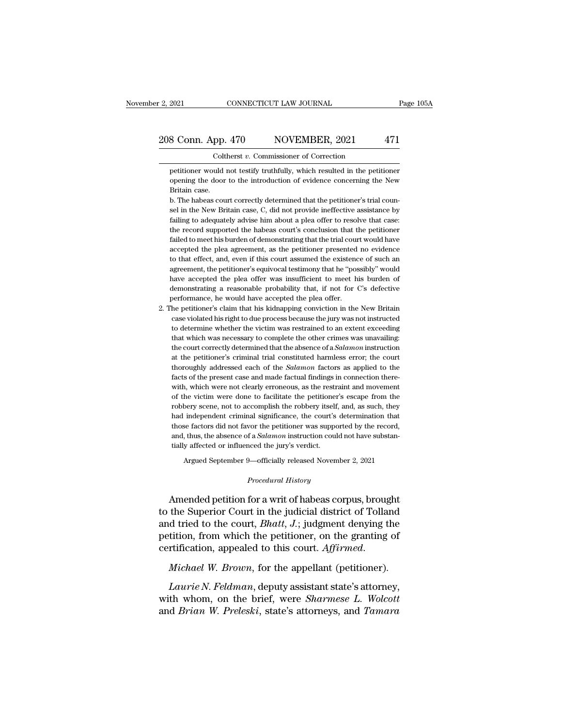### 2, 2021 CONNECTICUT LAW JOURNAL Page 105A<br>208 Conn. App. 470 NOVEMBER, 2021 471<br>Coltherst v. Commissioner of Correction Coltherst *v.* Commissioner of Correction

8 Conn. App. 470 NOVEMBER, 2021 471<br>Coltherst v. Commissioner of Correction<br>petitioner would not testify truthfully, which resulted in the petitioner<br>opening the door to the introduction of evidence concerning the New opening the door to the introduction of Correction<br>petitioner would not testify truthfully, which resulted in the petitioner<br>opening the door to the introduction of evidence concerning the New<br>Britain case. 208 Conn. App. 470 NOVEMBER, 2021 471<br>
Coltherst  $v$ . Commissioner of Correction<br>
petitioner would not testify truthfully, which resulted in the petitioner<br>
opening the door to the introduction of evidence concerning the  $\blacksquare$ <br>Coltherst v. Commissioner of Correction<br>petitioner would not testify truthfully, which resulted in the petitioner<br>opening the door to the introduction of evidence concerning the New<br>Britain case.<br>b. The habeas cour

Coltherst v. Commissioner of Correction<br>petitioner would not testify truthfully, which resulted in the petitioner<br>opening the door to the introduction of evidence concerning the New<br>Britain case.<br>b. The habeas court correc petitioner would not testify truthfully, which resulted in the petitioner opening the door to the introduction of evidence concerning the New Britain case.<br>
b. The habeas court correctly determined that the petitioner's tr opening the door to the introduction of evidence concerning the New Britain case.<br>
b. The habeas court correctly determined that the petitioner's trial counsel in the New Britain case, C, did not provide ineffective assist Britain case.<br>
b. The habeas court correctly determined that the petitioner's trial counsel in the New Britain case, C, did not provide ineffective assistance by<br>
failing to adequately advise him about a plea offer to reso b. The habeas court correctly determined that the petitioner's trial counsel in the New Britain case, C, did not provide ineffective assistance by failing to adequately advise him about a plea offer to resolve that case: t sel in the New Britain case, C, did not provide ineffective assistance by failing to adequately advise him about a plea offer to resolve that case: the record supported the habeas court's conclusion that the petitioner fai failing to adequately advise him about a plea offer to resolve that case:<br>the record supported the habeas court's conclusion that the petitioner<br>failed to meet his burden of demonstrating that the trial court would have<br>ac the record supported the habeas court's conclusion that the petitioner failed to meet his burden of demonstrating that the trial court would have accepted the plea agreement, as the petitioner presented no evidence to that failed to meet his burden of demonstrating that the trial court would have accepted the plea agreement, as the petitioner presented no evidence to that effect, and, even if this court assumed the existence of such an agree accepted the plea agreement, as the petitioner presented<br>to that effect, and, even if this court assumed the existenc<br>agreement, the petitioner's equivocal testimony that he "pos<br>have accepted the plea offer was insufficie 2. The petitioner's claim that his kidnapping that he wistence of such an agreement, the petitioner's equivocal testimony that he "possibly" would have accepted the plea offer was insufficient to meet his burden of demonst agreement, the petitioner's equivocal testimony that he "possibly" would<br>have accepted the plea offer was insufficient to meet his burden of<br>demonstrating a reasonable probability that, if not for C's defective<br>performance

have accepted the plea offer was insufficient to meet his burden of demonstrating a reasonable probability that, if not for C's defective performance, he would have accepted the plea offer.<br>The petitioner's claim that his demonstrating a reasonable probability that, if not for C's defective<br>performance, he would have accepted the plea offer.<br>he petitioner's claim that his kidnapping conviction in the New Britain<br>case violated his right to d berformance, he would have accepted the plea offer.<br>he petitioner's claim that his kidnapping conviction in the New Britain<br>case violated his right to due process because the jury was not instructed<br>to determine whether th he petitioner's claim that his kidnapping conviction in the New Britain case violated his right to due process because the jury was not instructed to determine whether the victim was restrained to an extent exceeding that case violated his right to due process because the jury was not instructed<br>to determine whether the victim was restrained to an extent exceeding<br>that which was necessary to complete the other crimes was unavailing:<br>the cou case violated his right to due process because the jury was not instructed to determine whether the victim was restrained to an extent exceeding that which was necessary to complete the other crimes was unavailing: the co that which was necessary to complete the other crimes was unavailing:<br>the court correctly determined that the absence of a *Salamon* instruction<br>at the petitioner's criminal trial constituted harmless error; the court<br>thor the court correctly determined that the absence of a *Salamon* instruction<br>at the petitioner's criminal trial constituted harmless error; the court<br>thoroughly addressed each of the *Salamon* factors as applied to the<br>facts at the petitioner's criminal trial constituted harmless error; the court<br>thoroughly addressed each of the *Salamon* factors as applied to the<br>facts of the present case and made factual findings in connection there-<br>with, w thoroughly addressed each of the *Salamon* factors as applied to the facts of the present case and made factual findings in connection therewith, which were not clearly erroneous, as the restraint and movement of the victi facts of the present case and made factual findings in connection therewith, which were not clearly erroneous, as the restraint and movement of the victim were done to facilitate the petitioner's escape from the robbery sc with, which were not clearly erroneous, as the restraint and movement<br>of the victim were done to facilitate the petitioner's escape from the<br>robbery scene, not to accomplish the robbery itself, and, as such, they<br>had indep had independent criminal significance, the court's determination that<br>those factors did not favor the petitioner was supported by the record,<br>and, thus, the absence of a *Salamon* instruction could not have substan-<br>tiall bery scene, not to accomplish the robbery itself, and, as such, they<br>independent criminal significance, the court's determination that<br>se factors did not favor the petitioner was supported by the record,<br>thus, the absence and, thus, the absence of a *Salamon* instruction could not have substantially affected or influenced the jury's verdict.<br>Argued September 9—officially released November 2, 2021<br>*Procedural History*<br>Amended petition for a

those factors did not favor the petitioner was supported by the record,<br>and, thus, the absence of a *Salamon* instruction could not have substan-<br>tially affected or influenced the jury's verdict.<br>Argued September 9—offici and, thus, the absence of a *salamon* instruction could not have substantially affected or influenced the jury's verdict.<br>Argued September 9—officially released November 2, 2021<br>*Procedural History*<br>Amended petition for a Argued September 9—officially released November 2, 2021<br>*Procedural History*<br>**Amended petition for a writ of habeas corpus, brought**<br>to the Superior Court in the judicial district of Tolland<br>and tried to the court, *Bhatt* Argued September 9—officially released November 2, 2021<br>
Procedural History<br>
to the Superior Court in the judicial district of Tolland<br>
and tried to the court, *Bhatt*, J.; judgment denying the<br>
petition, from which the pe *Procedural History*<br>denotes the Superior Court in the judicial district of Tolland<br>and tried to the court, *Bhatt*, *J*.; judgment denying the<br>petition, from which the petitioner, on the granting of<br>certification, appeale *Laurie N. Feldman*, deputy assistant state's attorney, the *Priman W. Feldman*, deputy assistant state's attorney, the whom, on the brief, were *Sharmese L. Wolcott* at *Priman W. Production* at *Priman Reputy assistant* 

and tried to the court, *Bhatt*, *J*.; judgment denying the<br>petition, from which the petitioner, on the granting of<br>certification, appealed to this court. *Affirmed.*<br>*Michael W. Brown*, for the appellant (petitioner).<br>*La* petition, from which the petitioner, on the granting of<br>certification, appealed to this court. Affirmed.<br>*Michael W. Brown*, for the appellant (petitioner).<br>*Laurie N. Feldman*, deputy assistant state's attorney,<br>with whom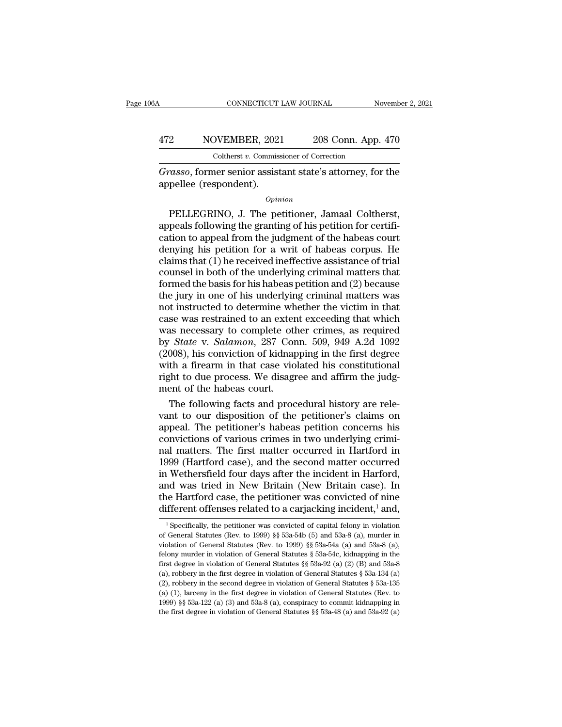### CONNECTICUT LAW JOURNAL November 2, 2021<br>
472 NOVEMBER, 2021 208 Conn. App. 470<br>
Coltherst v. Commissioner of Correction CONNECTICUT LAW JOURNAL<br>DVEMBER, 2021 208 Conn. App.<br>Coltherst *v.* Commissioner of Correction<br>ner senior assistant state's attorney for CONNECTICUT LAW JOURNAL November 2, 2021<br> **AT2 Grasso, former senior assistant state's attorney, for the appellee (respondent).** 472 NOVEMBER, 2021<br>Coltherst v. Commiss<br>Grasso, former senior assist<br>appellee (respondent).

### *Opinion*

2 NOVEMBER, 2021 208 Conn. App. 470<br>
Coltherst v. Commissioner of Correction<br>
70.6850, former senior assistant state's attorney, for the<br>
pellee (respondent).<br>  $\frac{Option}{opinion}$ <br>
PELLEGRINO, J. The petitioner, Jamaal Coltherst,<br> Coltherst v. Commissioner of Correction<br>
Grasso, former senior assistant state's attorney, for the<br>
appellee (respondent).<br>
Opinion<br>
PELLEGRINO, J. The petitioner, Jamaal Coltherst,<br>
appeals following the granting of his p *Grasso*, former senior assistant state's attorney, for the<br>appellee (respondent).<br> $opinion$ <br>PELLEGRINO, J. The petitioner, Jamaal Coltherst,<br>appeals following the granting of his petition for certifi-<br>cation to appeal from th  $\alpha$ <br>
opinion<br>
Depellee (respondent).<br>  $\alpha$ <br>
Depellee (respondent).<br>  $\alpha$ <br>
Depends following the granting of his petition for certification to appeal from the judgment of the habeas court<br>
denying his petition for a writ opinion<br>  $\phi$  chains (1) a periodic point (1) a periodic point (1) and a periodic point (2) appeals following the granting of his petition for certification to appeal from the judgment of the habeas court denying his peti  $opinion$ <br>
PELLEGRINO, J. The petitioner, Jamaal Coltherst,<br>
appeals following the granting of his petition for certifi-<br>
cation to appeal from the judgment of the habeas court<br>
denying his petition for a writ of habeas corpu PELLEGRINO, J. The petitioner, Jamaal Coltherst,<br>appeals following the granting of his petition for certifi-<br>cation to appeal from the judgment of the habeas court<br>denying his petition for a writ of habeas corpus. He<br>claim appeals following the granting of his petition for certification to appeal from the judgment of the habeas court<br>denying his petition for a writ of habeas corpus. He<br>claims that (1) he received ineffective assistance of tr cation to appeal from the judgment of the habeas court<br>denying his petition for a writ of habeas corpus. He<br>claims that (1) he received ineffective assistance of trial<br>counsel in both of the underlying criminal matters tha denying his petition for a writ of habeas corpus. He claims that (1) he received ineffective assistance of trial counsel in both of the underlying criminal matters that formed the basis for his habeas petition and (2) bec claims that (1) he received ineffective assistance of trial<br>counsel in both of the underlying criminal matters that<br>formed the basis for his habeas petition and (2) because<br>the jury in one of his underlying criminal matte counsel in both of the underlying criminal matters that<br>formed the basis for his habeas petition and (2) because<br>the jury in one of his underlying criminal matters was<br>not instructed to determine whether the victim in that formed the basis for his habeas petition and (2) because<br>the jury in one of his underlying criminal matters was<br>not instructed to determine whether the victim in that<br>case was restrained to an extent exceeding that which<br>w the jury in one of his underlying criminal matters was<br>not instructed to determine whether the victim in that<br>case was restrained to an extent exceeding that which<br>was necessary to complete other crimes, as required<br>by *St* not instructed to determine whether the victim in that<br>case was restrained to an extent exceeding that which<br>was necessary to complete other crimes, as required<br>by *State* v. *Salamon*, 287 Conn. 509, 949 A.2d 1092<br>(2008), case was restrained to an exter<br>was necessary to complete otl<br>by *State* v. *Salamon*, 287 Cor<br>(2008), his conviction of kidnar<br>with a firearm in that case vio<br>right to due process. We disagr<br>ment of the habeas court.<br>The as necessary to complete other crimes, as required<br>
State v. Salamon, 287 Conn. 509, 949 A.2d 1092<br>
008), his conviction of kidnapping in the first degree<br>
th a firearm in that case violated his constitutional<br>
ght to due by *State* v. *Salamon*, 287 Conn. 509, 949 A.2d 1092<br>(2008), his conviction of kidnapping in the first degree<br>with a firearm in that case violated his constitutional<br>right to due process. We disagree and affirm the judg-<br>

(2008), his conviction of kidnapping in the first degree<br>with a firearm in that case violated his constitutional<br>right to due process. We disagree and affirm the judg-<br>ment of the habeas court.<br>The following facts and proc with a firearm in that case violated his constitutional<br>right to due process. We disagree and affirm the judg-<br>ment of the habeas court.<br>The following facts and procedural history are rele-<br>vant to our disposition of the p right to due process. We disagree and affirm the judgment of the habeas court.<br>The following facts and procedural history are relevant to our disposition of the petitioner's claims on<br>appeal. The petitioner's habeas petiti ment of the habeas court.<br>
The following facts and procedural history are relevant to our disposition of the petitioner's claims on<br>
appeal. The petitioner's habeas petition concerns his<br>
convictions of various crimes in t The following facts and procedural history are relevant to our disposition of the petitioner's claims on appeal. The petitioner's habeas petition concerns his convictions of various crimes in two underlying criminal matter vant to our disposition of the petitioner's claims on<br>appeal. The petitioner's habeas petition concerns his<br>convictions of various crimes in two underlying crimi-<br>nal matters. The first matter occurred in Hartford in<br>1999 appeal. The petitioner's habeas petition concerns his<br>convictions of various crimes in two underlying crimi-<br>nal matters. The first matter occurred in Hartford in<br>1999 (Hartford case), and the second matter occurred<br>in Wet convictions of various crimes in two underlying crimi-<br>nal matters. The first matter occurred in Hartford in<br>1999 (Hartford case), and the second matter occurred<br>in Wethersfield four days after the incident in Harford,<br>an 1 Wethersfield four days after the incident in Harford,<br>
nd was tried in New Britain (New Britain case). In<br>
1 e Hartford case, the petitioner was convicted of nine<br>
ifferent offenses related to a carjacking incident,<sup>1</sup> and was tried in New Britain (New Britain case). In<br>the Hartford case, the petitioner was convicted of nine<br>different offenses related to a carjacking incident,<sup>1</sup> and,<br><sup>1</sup> Specifically, the petitioner was convicted of ca

the Hartford case, the petitioner was convicted of nine<br>different offenses related to a carjacking incident,<sup>1</sup> and,<br><sup>1</sup> Specifically, the petitioner was convicted of capital felony in violation<br>of General Statutes (Rev. different offenses related to a carjacking incident,<sup>1</sup> and,<br>
<sup>1</sup> Specifically, the petitioner was convicted of capital felony in violation<br>
of General Statutes (Rev. to 1999) § 53a-54b (5) and 53a-8 (a), murder in<br>
viola different offenses related to a cargacking incident," and,<br>
<sup>1</sup> Specifically, the petitioner was convicted of capital felony in violation<br>
of General Statutes (Rev. to 1999) §§ 53a-54b (5) and 53a-8 (a), murder in<br>
violat <sup>1</sup> Specifically, the petitioner was convicted of capital felony in violation of General Statutes (Rev. to 1999) §§ 53a-54b (5) and 53a-8 (a), murder in violation of General Statutes (Rev. to 1999) §§ 53a-54a (a) and 53aof General Statutes (Rev. to 1999) §§ 53a-54b (5) and 53a-8 (a), murder in violation of General Statutes (Rev. to 1999) §§ 53a-54b (5) and 53a-8 (a), murder in violation of General Statutes § 53a-54c, kidnapping in the fi violation of General Statutes (Rev. to 1999) §§ 53a-54a (a) and 53a-8 (a), felony murder in violation of General Statutes § 53a-54c, kidnapping in the first degree in violation of General Statutes § 53a-92 (a) (2) (B) and Felony murder in violation of General Statutes §§ 53a-54c, kidnapping in the first degree in violation of General Statutes §§ 53a-92 (a) (2) (B) and 53a-8 (a), robbery in the first degree in violation of General Statutes (a), robbery in the first degree in violation of General Statutes § 53a-134 (a) (2), robbery in the second degree in violation of General Statutes § 53a-135 (a) (1), larceny in the first degree in violation of General Sta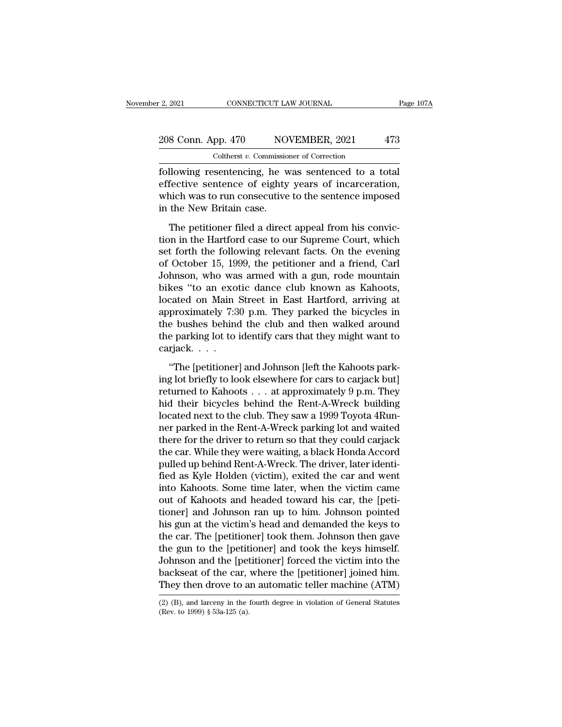### 2021 CONNECTICUT LAW JOURNAL Page 107A<br>208 Conn. App. 470 NOVEMBER, 2021 473<br>Coltherst v. Commissioner of Correction Coltherst *v.* Commissioner of Correction

Following resentencing, he was sentenced to a total<br>effective sentence of eighty years of incarceration,<br>which was to run conceptive to the conteneo imposed 208 Conn. App. 470 NOVEMBER, 2021 473<br>
Coltherst v. Commissioner of Correction<br>
following resentencing, he was sentenced to a total<br>
effective sentence of eighty years of incarceration,<br>
which was to run consecutive to the 208 Conn. App. 470 NOVEMBER, 2021 473<br>
Coltherst v. Commissioner of Correction<br>
following resentencing, he was sentenced to a total<br>
effective sentence of eighty years of incarceration,<br>
which was to run consecutive to th  $\begin{tabular}{ c c c} 208 \text{ Conn. App. 470} \text{ \quad \quad NO} \\ \hline \text{Coltherst } v. \text{ Commission} \\ \hline \text{following} \text{resentencing, he we} \\ \text{effective sentence of eighty} \\ \text{which was to run consecutive} \\ \text{in the New Britain case.} \\ \hline \text{The pettioner filed a direct} \\ \end{tabular}$ Coltherst  $v$ . Commissioner of Correction<br>
Illowing resentencing, he was sentenced to a total<br>
fective sentence of eighty years of incarceration,<br>
nich was to run consecutive to the sentence imposed<br>
the New Britain case. following resentencing, he was sentenced to a total<br>effective sentence of eighty years of incarceration,<br>which was to run consecutive to the sentence imposed<br>in the New Britain case.<br>The petitioner filed a direct appeal fr

set fective sentence of eighty years of incarceration,<br>effective sentence of eighty years of incarceration,<br>which was to run consecutive to the sentence imposed<br>in the New Britain case.<br>The petitioner filed a direct appeal of October 15, 1999, the petitioner and a friend, Carl Johnson, who was armed with a gun, rode mountain bilson (the petitioner and a friend, Carl Johnson, who was armed with a gun, rode mountain bilson (the and a gradie da The petitioner filed a direct appeal from his conviction in the Hartford case to our Supreme Court, which<br>set forth the following relevant facts. On the evening<br>of October 15, 1999, the petitioner and a friend, Carl<br>Johnso The petitioner filed a direct appeal from his conviction in the Hartford case to our Supreme Court, which set forth the following relevant facts. On the evening of October 15, 1999, the petitioner and a friend, Carl Johns The petitioner filed a direct appeal from his conviction in the Hartford case to our Supreme Court, which<br>set forth the following relevant facts. On the evening<br>of October 15, 1999, the petitioner and a friend, Carl<br>Johnso tion in the Hartford case to our Supreme Court, which<br>set forth the following relevant facts. On the evening<br>of October 15, 1999, the petitioner and a friend, Carl<br>Johnson, who was armed with a gun, rode mountain<br>bikes "to set forth the following relevant facts. On the evening<br>of October 15, 1999, the petitioner and a friend, Carl<br>Johnson, who was armed with a gun, rode mountain<br>bikes "to an exotic dance club known as Kahoots,<br>located on Mai of October 15, 1999, the petitioner and a friend, Carl<br>Johnson, who was armed with a gun, rode mountain<br>bikes "to an exotic dance club known as Kahoots,<br>located on Main Street in East Hartford, arriving at<br>approximately 7: Johnson, who was<br>bikes "to an exo<br>located on Main<br>approximately 7:3<br>the bushes behind<br>the parking lot to<br>carjack. . . .<br>"The [petitioner Fractional Main Street in East Hartford, arriving at<br>
proximately 7:30 p.m. They parked the bicycles in<br>
e bushes behind the club and then walked around<br>
e parking lot to identify cars that they might want to<br>
rijack....<br> is approximately 7:30 p.m. They parked the bicycles in<br>the bushes behind the club and then walked around<br>the parking lot to identify cars that they might want to<br>carjack....<br>"The [petitioner] and Johnson [left the Kahoots

reprominately 1000 pm. They particle are sley distributed the bushes behind the club and then walked around<br>the parking lot to identify cars that they might want to<br>carjack. . . .<br>"The [petitioner] and Johnson [left the Ka The parking lot to identify cars that they might want to<br>carjack....<br>"The [petitioner] and Johnson [left the Kahoots parking lot briefly to look elsewhere for cars to carjack but]<br>returned to Kahoots ... at approximately 9 rational carriers of the club. The same to the carriers of the carriers of the club. The petitioner is a the club. They saw a 1999 Toyota 4Run-<br>Internet to Kahoots . . . at approximately 9 p.m. They hid their bicycles behi "The [petitioner] and Johnson [left the Kahoots parking lot briefly to look elsewhere for cars to carjack but]<br>returned to Kahoots  $\ldots$  at approximately 9 p.m. They<br>hid their bicycles behind the Rent-A-Wreck building<br>loc "The [petitioner] and Johnson [left the Kahoots parking lot briefly to look elsewhere for cars to carjack but]<br>returned to Kahoots . . . at approximately 9 p.m. They<br>hid their bicycles behind the Rent-A-Wreck building<br>loc ing lot briefly to look elsewhere for cars to carjack but]<br>returned to Kahoots . . . at approximately 9 p.m. They<br>hid their bicycles behind the Rent-A-Wreck building<br>located next to the club. They saw a 1999 Toyota 4Run-<br>n returned to Kahoots . . . at approximately 9 p.m. They<br>hid their bicycles behind the Rent-A-Wreck building<br>located next to the club. They saw a 1999 Toyota 4Run-<br>ner parked in the Rent-A-Wreck parking lot and waited<br>there hid their bicycles behind the Rent-A-Wreck building<br>located next to the club. They saw a 1999 Toyota 4Run-<br>ner parked in the Rent-A-Wreck parking lot and waited<br>there for the driver to return so that they could carjack<br>the located next to the club. They saw a 1999 Toyota 4Runner parked in the Rent-A-Wreck parking lot and waited<br>there for the driver to return so that they could carjack<br>the car. While they were waiting, a black Honda Accord<br>pu ner parked in the Rent-A-Wreck parking lot and waited<br>there for the driver to return so that they could carjack<br>the car. While they were waiting, a black Honda Accord<br>pulled up behind Rent-A-Wreck. The driver, later identi there for the driver to return so that they could carjack<br>the car. While they were waiting, a black Honda Accord<br>pulled up behind Rent-A-Wreck. The driver, later identi-<br>fied as Kyle Holden (victim), exited the car and wen the car. While they were waiting, a black Honda Accord<br>pulled up behind Rent-A-Wreck. The driver, later identi-<br>fied as Kyle Holden (victim), exited the car and went<br>into Kahoots. Some time later, when the victim came<br>out pulled up behind Rent-A-Wreck. The driver, later identi-<br>fied as Kyle Holden (victim), exited the car and went<br>into Kahoots. Some time later, when the victim came<br>out of Kahoots and headed toward his car, the [peti-<br>tioner fied as Kyle Holden (victim), exited the car and went<br>into Kahoots. Some time later, when the victim came<br>out of Kahoots and headed toward his car, the [peti-<br>tioner] and Johnson ran up to him. Johnson pointed<br>his gun at t into Kahoots. Some time later, when the victim came<br>out of Kahoots and headed toward his car, the [peti-<br>tioner] and Johnson ran up to him. Johnson pointed<br>his gun at the victim's head and demanded the keys to<br>the car. The out of Kahoots and headed toward his car, the [petitioner] and Johnson ran up to him. Johnson pointed his gun at the victim's head and demanded the keys to the car. The [petitioner] took them. Johnson then gave the gun to tioner] and Johnson ran up to him. Johnson pointed<br>his gun at the victim's head and demanded the keys to<br>the car. The [petitioner] took them. Johnson then gave<br>the gun to the [petitioner] and took the keys himself.<br>Johnso the gun to the [petitioner] and took the keys himself.<br>Johnson and the [petitioner] forced the victim into the<br>backseat of the car, where the [petitioner] joined him.<br>They then drove to an automatic teller machine (ATM)<br>( They then drove to an automatic teller machine (ATM).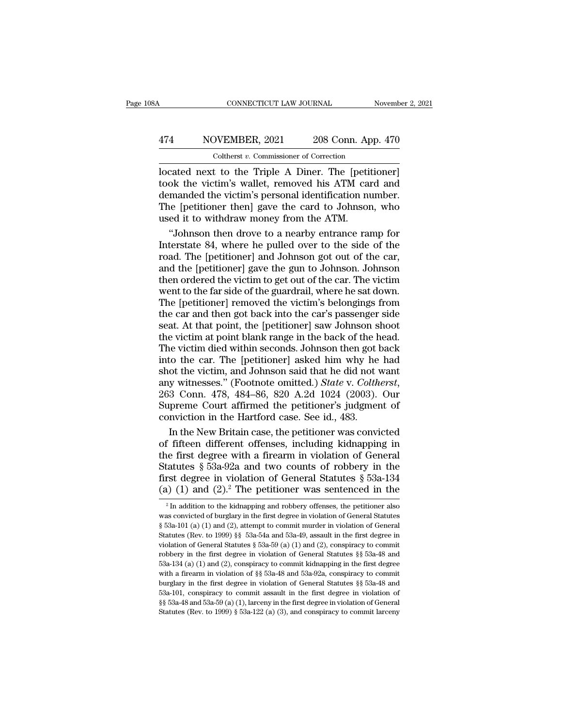### CONNECTICUT LAW JOURNAL November 2, 2021<br>474 NOVEMBER, 2021 208 Conn. App. 470<br>Coltherst v. Commissioner of Correction CONNECTICUT LAW JOURNAL<br>
VEMBER, 2021 208 Conn. App.<br>
Coltherst *v*. Commissioner of Correction<br>
t to the Triple A Diner. The Inetition

CONNECTICUT LAW JOURNAL November 2, 202<br>
474 NOVEMBER, 2021 208 Conn. App. 470<br>
Coltherst v. Commissioner of Correction<br>
Docated next to the Triple A Diner. The [petitioner]<br>
took the victim's wallet, removed his ATM card 174 NOVEMBER, 2021 208 Conn. App. 470<br>
Coltherst v. Commissioner of Correction<br>
located next to the Triple A Diner. The [petitioner]<br>
took the victim's wallet, removed his ATM card and<br>
demanded the victim's personal ident 474 NOVEMBER, 2021 208 Conn. App. 470<br>
Coltherst v. Commissioner of Correction<br>
located next to the Triple A Diner. The [petitioner]<br>
took the victim's wallet, removed his ATM card and<br>
demanded the victim's personal iden  $\frac{474}{\text{Colthers } v. \text{ Commissioner of Correction}}$ <br>Coltherst v. Commissioner of Correction<br>located next to the Triple A Diner. The [petitioner]<br>took the victim's wallet, removed his ATM card and<br>demanded the victim's personal identification numbe Coltherst v. Commissioner of Correction<br>located next to the Triple A Diner. The [petitook the victim's wallet, removed his ATM caldemanded the victim's personal identification number of the Intervalsed it to withdraw money Conderst *t*. Commissioner of Conecast<br>
cated next to the Triple A Diner. The [petitioner]<br>
ok the victim's wallet, removed his ATM card and<br>
manded the victim's personal identification number.<br>
ie [petitioner then] gave t located next to the Triple A Diner. The [petitioner]<br>took the victim's wallet, removed his ATM card and<br>demanded the victim's personal identification number.<br>The [petitioner then] gave the card to Johnson, who<br>used it to w

took the victim's wallet, removed his ATM card and<br>demanded the victim's personal identification number.<br>The [petitioner then] gave the card to Johnson, who<br>used it to withdraw money from the ATM.<br>"Johnson then drove to a demanded the victim's personal identification number.<br>The [petitioner then] gave the card to Johnson, who<br>used it to withdraw money from the ATM.<br>"Johnson then drove to a nearby entrance ramp for<br>Interstate 84, where he pu The [petitioner then] gave the card to Johnson, who<br>used it to withdraw money from the ATM.<br><br>"Johnson then drove to a nearby entrance ramp for<br>Interstate 84, where he pulled over to the side of the<br>road. The [petitioner] a used it to withdraw money from the ATM.<br>
"Johnson then drove to a nearby entrance ramp for<br>
Interstate 84, where he pulled over to the side of the<br>
road. The [petitioner] and Johnson got out of the car,<br>
and the [petitione "Johnson then drove to a nearby entrance ramp for<br>Interstate 84, where he pulled over to the side of the<br>road. The [petitioner] and Johnson got out of the car,<br>and the [petitioner] gave the gun to Johnson. Johnson<br>then ord Interstate 84, where he pulled over to the side of the<br>road. The [petitioner] and Johnson got out of the car,<br>and the [petitioner] gave the gun to Johnson. Johnson<br>then ordered the victim to get out of the car. The victim<br> road. The [petitioner] and Johnson got out of the car,<br>and the [petitioner] gave the gun to Johnson. Johnson<br>then ordered the victim to get out of the car. The victim<br>went to the far side of the guardrail, where he sat dow and the [petitioner] gave the gun to Johnson. Johnson<br>then ordered the victim to get out of the car. The victim<br>went to the far side of the guardrail, where he sat down.<br>The [petitioner] removed the victim's belongings fro then ordered the victim to get out of the car. The victim<br>went to the far side of the guardrail, where he sat down.<br>The [petitioner] removed the victim's belongings from<br>the car and then got back into the car's passenger s went to the far side of the guardrail, where he sat down.<br>The [petitioner] removed the victim's belongings from<br>the car and then got back into the car's passenger side<br>seat. At that point, the [petitioner] saw Johnson shoo The [petitioner] removed the victim's belongings from<br>the car and then got back into the car's passenger side<br>seat. At that point, the [petitioner] saw Johnson shoot<br>the victim at point blank range in the back of the head. the car and then got back into the car's passenger side<br>seat. At that point, the [petitioner] saw Johnson shoot<br>the victim at point blank range in the back of the head.<br>The victim died within seconds. Johnson then got back the victim at point blank range in the back of the head.<br>The victim died within seconds. Johnson then got back<br>into the car. The [petitioner] asked him why he had<br>shot the victim, and Johnson said that he did not want<br>any the victim at point blank range in the back of the head.<br>The victim died within seconds. Johnson then got back<br>into the car. The [petitioner] asked him why he had<br>shot the victim, and Johnson said that he did not want<br>any to the car. The [petitioner] asked him why he had<br>ot the victim, and Johnson said that he did not want<br>y witnesses." (Footnote omitted.) *State* v. *Coltherst*,<br>3 Conn. 478, 484–86, 820 A.2d 1024 (2003). Our<br>preme Court af shot the victim, and Johnson said that he did not want<br>any witnesses." (Footnote omitted.) *State* v. *Coltherst*,<br>263 Conn. 478, 484–86, 820 A.2d 1024 (2003). Our<br>Supreme Court affirmed the petitioner's judgment of<br>convic

any witnesses." (Footnote omitted.) *State* v. *Coltherst*, 263 Conn. 478, 484–86, 820 A.2d 1024 (2003). Our Supreme Court affirmed the petitioner's judgment of conviction in the Hartford case. See id., 483. In the New Br 263 Conn. 478, 484–86, 820 A.2d 1024 (2003). Our<br>Supreme Court affirmed the petitioner's judgment of<br>conviction in the Hartford case. See id., 483.<br>In the New Britain case, the petitioner was convicted<br>of fifteen differen Supreme Court affirmed the petitioner's judgment of conviction in the Hartford case. See id., 483.<br>In the New Britain case, the petitioner was convicted of fifteen different offenses, including kidnapping in the first deg conviction in the Hartford case. See id., 483.<br>In the New Britain case, the petitioner was convicted<br>of fifteen different offenses, including kidnapping in<br>the first degree with a firearm in violation of General<br>Statutes ie first degree with a firearm in violation of General<br>tatutes § 53a-92a and two counts of robbery in the<br>rst degree in violation of General Statutes § 53a-134<br>(1) (1) and (2).<sup>2</sup> The petitioner was sentenced in the<br> $\frac{1$ Statutes § 53a-92a and two counts of robbery in the first degree in violation of General Statutes § 53a-134 (a) (1) and (2).<sup>2</sup> The petitioner was sentenced in the  $\frac{2}{\pi}$  in addition to the kidnapping and robbery offe

first degree in violation of General Statutes § 53a-134 (a) (1) and (2).<sup>2</sup> The petitioner was sentenced in the  $a^2 \ln a$  addition to the kidnapping and robbery offenses, the petitioner also was convicted of burglary in th (a) (1) and (2).<sup>2</sup> The petitioner was sentenced in the  $\frac{1}{2}$  In addition to the kidnapping and robbery offenses, the petitioner also was convicted of burglary in the first degree in violation of General Statutes § 53 (a) (1) and (2). The pethodic was sentenced in the  $\frac{2}{3}$  in addition to the kidnapping and robbery offenses, the petitioner also was convicted of burglary in the first degree in violation of General Statutes § 53a-101 <sup>2</sup> In addition to the kidnapping and robbery offenses, the petitioner also was convicted of burglary in the first degree in violation of General Statutes §§ 53a-101 (a) (1) and (2), attempt to commit murder in violation was convicted of burglary in the first degree in violation of General Statutes § 53a-101 (a) (1) and (2), attempt to commit murder in violation of General Statutes (Rev. to 1999) §§ 53a-54a and 53a-49, assault in the firs where the first degree in violation of General Statutes (Rev. to 1999) §§ 53a-54a and 53a-49, assault in the first degree in violation of General Statutes § 53a-54a and 53a-49, assault in the first degree in violation of Statutes (Rev. to 1999) §§ 53a-54a and 53a-49, assault in the first degree in violation of General Statutes § 53a-59 (a) (1) and (2), conspiracy to commit robbery in the first degree in violation of General Statutes §§ 53 violation of General Statutes § 53a-59 (a) (1) and (2), conspiracy to commit robbery in the first degree in violation of General Statutes §§ 53a-48 and 53a-134 (a) (1) and (2), conspiracy to commit kidnapping in the first robbery in the first degree in violation of General Statutes §§ 53a-48 and  $53a-134$  (a) (1) and (2), conspiracy to commit kidnapping in the first degree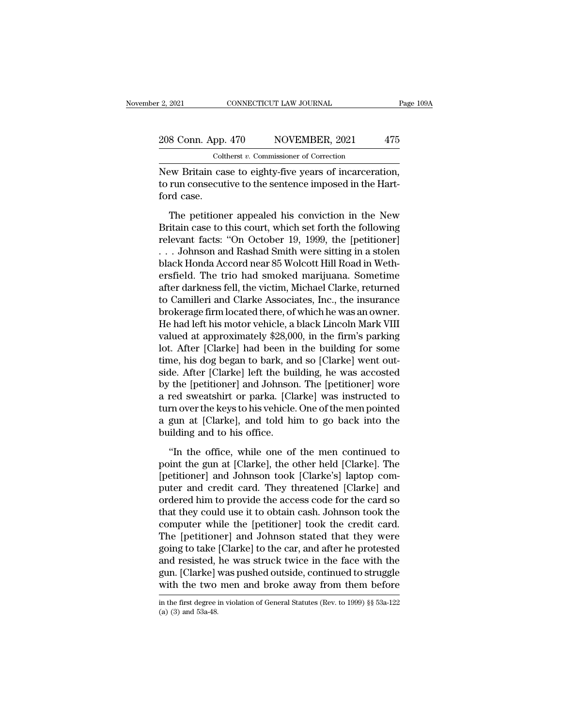### 2, 2021 CONNECTICUT LAW JOURNAL Page 109A<br>208 Conn. App. 470 NOVEMBER, 2021 475<br>Coltherst v. Commissioner of Correction Coltherst *v.* Commissioner of Correction

2, 2021 CONNECTICUT LAW JOURNAL Page 10<br>
208 Conn. App. 470 NOVEMBER, 2021 475<br>
Coltherst v. Commissioner of Correction<br>
New Britain case to eighty-five years of incarceration,<br>
to run consecutive to the sentence imposed i 208 Conn. App. 470 NOVEMBER, 2021 475<br>
Coltherst v. Commissioner of Correction<br>
New Britain case to eighty-five years of incarceration,<br>
to run consecutive to the sentence imposed in the Hart-<br>
ford case. 208 Conn. App<br>Cohnel<br>New Britain ca<br>to run consecut<br>ford case.<br>The petition S Conn. App. 470 NOVEMBER, 2021 475<br>
Coltherst v. Commissioner of Correction<br>
ew Britain case to eighty-five years of incarceration,<br>
run consecutive to the sentence imposed in the Hart-<br>
rd case.<br>
The petitioner appealed

Coltherst  $v$ . Commissioner of Correction<br>New Britain case to eighty-five years of incarceration,<br>to run consecutive to the sentence imposed in the Hart-<br>ford case.<br>The petitioner appealed his conviction in the New<br>Britai New Britain case to eighty-five years of incarceration,<br>to run consecutive to the sentence imposed in the Hart-<br>ford case.<br>The petitioner appealed his conviction in the New<br>Britain case to this court, which set forth the f From Efficial case to eight, The years of Interference,<br>to run consecutive to the sentence imposed in the Hart-<br>ford case.<br>The petitioner appealed his conviction in the New<br>Britain case to this court, which set forth the f black Honda Accord near 85 Wolcott Hill Road in Weth-<br>Britain case to this court, which set forth the following<br>relevant facts: "On October 19, 1999, the [petitioner]<br>... Johnson and Rashad Smith were sitting in a stolen<br>b The petitioner appealed his conviction in the New<br>Britain case to this court, which set forth the following<br>relevant facts: "On October 19, 1999, the [petitioner]<br>... Johnson and Rashad Smith were sitting in a stolen<br>black The petitioner appealed his conviction in the New<br>Britain case to this court, which set forth the following<br>relevant facts: "On October 19, 1999, the [petitioner]<br>... Johnson and Rashad Smith were sitting in a stolen<br>black Britain case to this court, which set forth the following<br>relevant facts: "On October 19, 1999, the [petitioner]<br>... Johnson and Rashad Smith were sitting in a stolen<br>black Honda Accord near 85 Wolcott Hill Road in Weth-<br>e relevant facts: "On October 19, 1999, the [petitioner]<br>
... Johnson and Rashad Smith were sitting in a stolen<br>
black Honda Accord near 85 Wolcott Hill Road in Weth-<br>
ersfield. The trio had smoked marijuana. Sometime<br>
after . . . Johnson and Rashad Smith were sitting in a stolen<br>black Honda Accord near 85 Wolcott Hill Road in Weth-<br>ersfield. The trio had smoked marijuana. Sometime<br>after darkness fell, the victim, Michael Clarke, returned<br>to C black Honda Accord near 85 Wolcott Hill Road in Wethersfield. The trio had smoked marijuana. Sometime<br>after darkness fell, the victim, Michael Clarke, returned<br>to Camilleri and Clarke Associates, Inc., the insurance<br>broker ersfield. The trio had smoked marijuana. Sometime<br>after darkness fell, the victim, Michael Clarke, returned<br>to Camilleri and Clarke Associates, Inc., the insurance<br>brokerage firm located there, of which he was an owner.<br>He after darkness fell, the victim, Michael Clarke, returned<br>to Camilleri and Clarke Associates, Inc., the insurance<br>brokerage firm located there, of which he was an owner.<br>He had left his motor vehicle, a black Lincoln Mark to Camilleri and Clarke Associates, Inc., the insurance<br>brokerage firm located there, of which he was an owner.<br>He had left his motor vehicle, a black Lincoln Mark VIII<br>valued at approximately \$28,000, in the firm's parkin brokerage firm located there, of which he was an owner.<br>He had left his motor vehicle, a black Lincoln Mark VIII<br>valued at approximately \$28,000, in the firm's parking<br>lot. After [Clarke] had been in the building for some<br> He had left his motor vehicle, a black Lincoln Mark VIII<br>valued at approximately \$28,000, in the firm's parking<br>lot. After [Clarke] had been in the building for some<br>time, his dog began to bark, and so [Clarke] went out-<br>s valued at approximately \$28,000, in the firm's parking<br>lot. After [Clarke] had been in the building for some<br>time, his dog began to bark, and so [Clarke] went out-<br>side. After [Clarke] left the building, he was accosted<br>by lot. After [Clarke] had been in the building for some<br>time, his dog began to bark, and so [Clarke] went out-<br>side. After [Clarke] left the building, he was accosted<br>by the [petitioner] and Johnson. The [petitioner] wore<br>a time, his dog began to bark, an<br>side. After [Clarke] left the bui<br>by the [petitioner] and Johnsor<br>a red sweatshirt or parka. [Cla<br>turn over the keys to his vehicle.<br>a gun at [Clarke], and told hi<br>building and to his office The internal and Johnson. The [petitioner] wore<br>
red sweatshirt or parka. [Clarke] was instructed to<br>
rm over the keys to his vehicle. One of the men pointed<br>
gun at [Clarke], and told him to go back into the<br>
ilding and t point the gun at [Clarke] was instructed to<br>a red sweatshirt or parka. [Clarke] was instructed to<br>turn over the keys to his vehicle. One of the men pointed<br>a gun at [Clarke], and told him to go back into the<br>building and t

means the set of the men pointed a gun at [Clarke], and told him to go back into the building and to his office.<br>"In the office, while one of the men continued to point the gun at [Clarke], the other held [Clarke]. The [pe a gun at [Clarke], and told him to go back into the<br>building and to his office.<br>"In the office, while one of the men continued to<br>point the gun at [Clarke], the other held [Clarke]. The<br>[petitioner] and Johnson took [Clark ordered him to provide the access code for the cardial solution and to his office.<br>
"In the office, while one of the men continued to<br>
point the gun at [Clarke], the other held [Clarke]. The<br>
[petitioner] and Johnson took "In the office, while one of the men continued to<br>point the gun at [Clarke], the other held [Clarke]. The<br>[petitioner] and Johnson took [Clarke's] laptop com-<br>puter and credit card. They threatened [Clarke] and<br>ordered him "In the office, while one of the men continued to<br>point the gun at [Clarke], the other held [Clarke]. The<br>[petitioner] and Johnson took [Clarke's] laptop com-<br>puter and credit card. They threatened [Clarke] and<br>ordered him point the gun at [Clarke], the other held [Clarke]. The<br>[petitioner] and Johnson took [Clarke's] laptop com-<br>puter and credit card. They threatened [Clarke] and<br>ordered him to provide the access code for the card so<br>that t [petitioner] and Johnson took [Clarke's] laptop computer and credit card. They threatened [Clarke] and ordered him to provide the access code for the card so that they could use it to obtain cash. Johnson took the computer puter and credit card. They threatened [Clarke] and<br>ordered him to provide the access code for the card so<br>that they could use it to obtain cash. Johnson took the<br>computer while the [petitioner] took the credit card.<br>The [ ordered him to provide the access code for the card so<br>that they could use it to obtain cash. Johnson took the<br>computer while the [petitioner] took the credit card.<br>The [petitioner] and Johnson stated that they were<br>going that they could use it to obtain cash. Johnson took the computer while the [petitioner] took the credit card.<br>The [petitioner] and Johnson stated that they were going to take [Clarke] to the car, and after he protested and going to take [Clarke] to the car, and after he protested and resisted, he was struck twice in the face with the gun. [Clarke] was pushed outside, continued to struggle with the two men and broke away from them before in with the two men and broke away from them before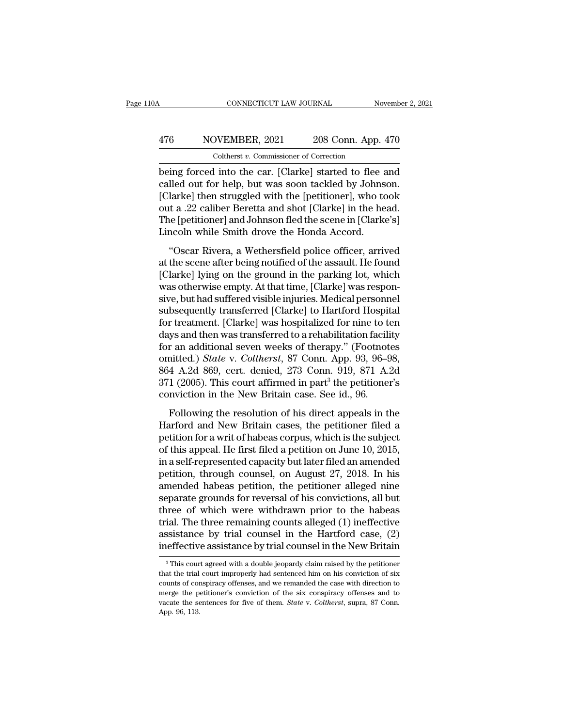### CONNECTICUT LAW JOURNAL November 2, 2021<br>
476 NOVEMBER, 2021 208 Conn. App. 470<br>
Coltherst v. Commissioner of Correction CONNECTICUT LAW JOURNAL<br>DVEMBER, 2021 208 Conn. App.<br>Coltherst *v.* Commissioner of Correction<br>Unito the car. [Clarke] started to flee

CONNECTICUT LAW JOURNAL November 2, 2021<br>
Solution 1991 - 208 Conn. App. 470<br>
Coltherst v. Commissioner of Correction<br>
Deing forced into the car. [Clarke] started to flee and<br>
called out for help, but was soon tackled by J 476 NOVEMBER, 2021 208 Conn. App. 470<br>
Coltherst v. Commissioner of Correction<br>
being forced into the car. [Clarke] started to flee and<br>
called out for help, but was soon tackled by Johnson.<br>
[Clarke] then struggled with t  $\frac{476}{\text{Colthers } t \cdot \text{Commissioner of Correction}}$ <br>Coltherst  $v$ . Commissioner of Correction<br>being forced into the car. [Clarke] started to flee and<br>called out for help, but was soon tackled by Johnson.<br>[Clarke] then struggled with the [petitio 476 NOVEMBER, 2021 208 Conn. App. 470<br>
coltherst  $v$ . Commissioner of Correction<br>
being forced into the car. [Clarke] started to flee and<br>
called out for help, but was soon tackled by Johnson.<br>
[Clarke] then struggled wit Coltherst *v*. Commissioner of Correction<br>being forced into the car. [Clarke] started to flee and<br>called out for help, but was soon tackled by Johnson.<br>[Clarke] then struggled with the [petitioner], who took<br>out a .22 cali Coltherst v. Commissioner of Correction<br>
being forced into the car. [Clarke] started to flee a<br>
called out for help, but was soon tackled by Johns<br>
[Clarke] then struggled with the [petitioner], who to<br>
out a .22 caliber B Iled out for help, but was soon tackled by Johnson.<br>
larke] then struggled with the [petitioner], who took<br>
it a .22 caliber Beretta and shot [Clarke] in the head.<br>
ie [petitioner] and Johnson fled the scene in [Clarke's]<br> cance out for herp, see was soon actined by somison.<br>
[Clarke] then struggled with the [petitioner], who took<br>
out a .22 caliber Beretta and shot [Clarke] in the head.<br>
The [petitioner] and Johnson fled the scene in [Clark

[Clarke] alter sataggled what are [pedidoter]], who work<br>out a .22 caliber Beretta and shot [Clarke] in the head.<br>The [petitioner] and Johnson fled the scene in [Clarke's]<br>Lincoln while Smith drove the Honda Accord.<br>"Oscar Figure 1 States and shot penalty in the netal.<br>The [petitioner] and Johnson fled the scene in [Clarke's]<br>Lincoln while Smith drove the Honda Accord.<br>"Oscar Rivera, a Wethersfield police officer, arrived<br>at the scene after The [permander] and bonds of heather directed in [entriese.b]<br>Lincoln while Smith drove the Honda Accord.<br>"Oscar Rivera, a Wethersfield police officer, arrived<br>at the scene after being notified of the assault. He found<br>[Cl "Oscar Rivera, a Wethersfield police officer, arrived<br>at the scene after being notified of the assault. He found<br>[Clarke] lying on the ground in the parking lot, which<br>was otherwise empty. At that time, [Clarke] was respon "Oscar Rivera, a Wethersfield police officer, arrived<br>at the scene after being notified of the assault. He found<br>[Clarke] lying on the ground in the parking lot, which<br>was otherwise empty. At that time, [Clarke] was respon at the scene after being notified of the assault. He found<br>[Clarke] lying on the ground in the parking lot, which<br>was otherwise empty. At that time, [Clarke] was respon-<br>sive, but had suffered visible injuries. Medical per [Clarke] lying on the ground in the parking lot, which<br>was otherwise empty. At that time, [Clarke] was respon-<br>sive, but had suffered visible injuries. Medical personnel<br>subsequently transferred [Clarke] to Hartford Hospit was otherwise empty. At that time, [Clarke] was responsive, but had suffered visible injuries. Medical personnel<br>subsequently transferred [Clarke] to Hartford Hospital<br>for treatment. [Clarke] was hospitalized for nine to t sive, but had suffered visible injuries. Medical personnel<br>subsequently transferred [Clarke] to Hartford Hospital<br>for treatment. [Clarke] was hospitalized for nine to ten<br>days and then was transferred to a rehabilitation f subsequently transferred [Clarke] to Hartford Hospital<br>for treatment. [Clarke] was hospitalized for nine to ten<br>days and then was transferred to a rehabilitation facility<br>for an additional seven weeks of therapy." (Footnot for treatment. [Clarke] was hospitalized for nine to tdays and then was transferred to a rehabilitation facili<br>for an additional seven weeks of therapy." (Footnot<br>omitted.) *State* v. *Coltherst*, 87 Conn. App. 93, 96–9<br>8 Following the resolution of his direct appear and additional seven weeks of therapy." (Footnotes initted.) *State v. Coltherst*, 87 Conn. App. 93, 96–98, 4 A.2d 869, cert. denied, 273 Conn. 919, 871 A.2d 1 (2005). This co For an additional seven weeks of alchapy. (Toolhouses<br>
omitted.) *State* v. *Coltherst*, 87 Conn. App. 93, 96–98,<br>
864 A.2d 869, cert. denied, 273 Conn. 919, 871 A.2d<br>
371 (2005). This court affirmed in part<sup>3</sup> the petiti

based A.2d 869, cert. denied, 273 Conn. 919, 871 A.2d 371 (2005). This court affirmed in part<sup>3</sup> the petitioner's conviction in the New Britain case. See id., 96.<br>Following the resolution of his direct appeals in the Harf 371 (2005). This court affirmed in part<sup>3</sup> the petitioner's conviction in the New Britain case. See id., 96.<br>Following the resolution of his direct appeals in the Harford and New Britain cases, the petitioner filed a peti conviction in the New Britain case. See id., 96.<br>Following the resolution of his direct appeals in the<br>Harford and New Britain cases, the petitioner filed a<br>petition for a writ of habeas corpus, which is the subject<br>of th Following the resolution of his direct appeals in the<br>Harford and New Britain cases, the petitioner filed a<br>petition for a writ of habeas corpus, which is the subject<br>of this appeal. He first filed a petition on June 10, 2 Following the resolution of his direct appeals in the<br>Harford and New Britain cases, the petitioner filed a<br>petition for a writ of habeas corpus, which is the subject<br>of this appeal. He first filed a petition on June 10, 2 Harford and New Britain cases, the petitioner filed a<br>petition for a writ of habeas corpus, which is the subject<br>of this appeal. He first filed a petition on June 10, 2015,<br>in a self-represented capacity but later filed an petition for a writ of habeas corpus, which is the subject<br>of this appeal. He first filed a petition on June 10, 2015,<br>in a self-represented capacity but later filed an amended<br>petition, through counsel, on August 27, 2018 of this appeal. He first filed a petition on June 10, 2015,<br>in a self-represented capacity but later filed an amended<br>petition, through counsel, on August 27, 2018. In his<br>amended habeas petition, the petitioner alleged ni in a self-represented capacity but later filed an amended<br>petition, through counsel, on August 27, 2018. In his<br>amended habeas petition, the petitioner alleged nine<br>separate grounds for reversal of his convictions, all but petition, through counsel, on August 27, 2018. In his<br>amended habeas petition, the petitioner alleged nine<br>separate grounds for reversal of his convictions, all but<br>three of which were withdrawn prior to the habeas<br>trial. ial. The three remaining counts alleged (1) ineffective ssistance by trial counsel in the Hartford case, (2) effective assistance by trial counsel in the New Britain  $\frac{3}{10}$  This court agreed with a double jeopardy clai trial. The three remaining counts alleged (1) ineffective assistance by trial counsel in the Hartford case, (2) ineffective assistance by trial counsel in the New Britain  $\frac{3}{10}$  This court agreed with a double jeopard

assistance by trial counsel in the Hartford case,  $(2)$  ineffective assistance by trial counsel in the New Britain  $\frac{1}{\sqrt{2}}$ . This court agreed with a double jeopardy claim raised by the petitioner that the trial court ineffective assistance by trial counsel in the New Britain<br>
<sup>3</sup> This court agreed with a double jeopardy claim raised by the petitioner<br>
that the trial court improperly had sentenced him on his conviction of six<br>
counts of <sup>3</sup> This court agreed with a double jeopardy claim raised by the petitioner that the trial court improperly had sentenced him on his conviction of six counts of conspiracy offenses, and we remanded the case with direction <sup>3</sup> This cour<br>that the trial<br>counts of con<br>merge the p<br>vacate the se<br>App. 96, 113.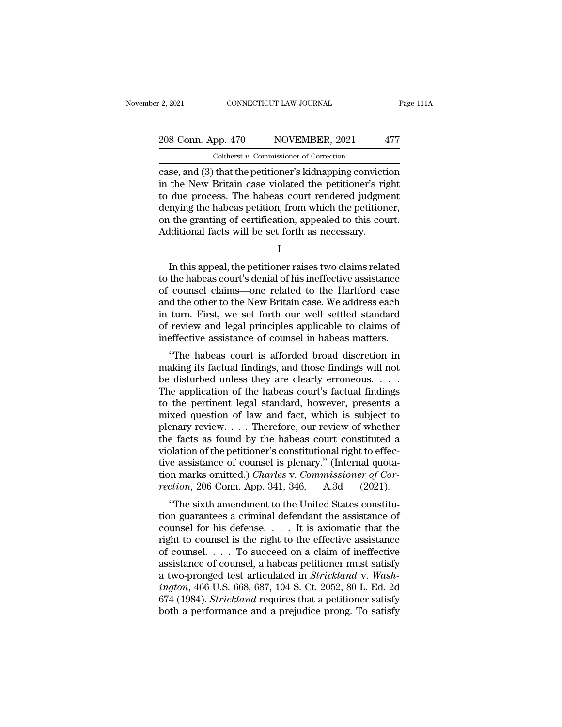# 2, 2021 CONNECTICUT LAW JOURNAL Page 111A<br>208 Conn. App. 470 NOVEMBER, 2021 477<br>Coltherst v. Commissioner of Correction Coltherst *v.* Commissioner of Correction

case, and (3) that the petitioner's kidnapping conviction<br>that the New Britain case, and (3) that the petitioner's kidnapping conviction<br>in the New Britain case violated the petitioner's right<br>to due process. The behease 208 Conn. App. 470 NOVEMBER, 2021 477<br>
Coltherst v. Commissioner of Correction<br>
case, and (3) that the petitioner's kidnapping conviction<br>
in the New Britain case violated the petitioner's right<br>
to due process. The habea 208 Conn. App. 470 NOVEMBER, 2021 477<br>
Coltherst v. Commissioner of Correction<br>
case, and (3) that the petitioner's kidnapping conviction<br>
in the New Britain case violated the petitioner's right<br>
to due process. The habea 208 Conn. App. 470 NOVEMBER, 2021 477<br>
Coltherst *v*. Commissioner of Correction<br>
case, and (3) that the petitioner's kidnapping conviction<br>
in the New Britain case violated the petitioner's right<br>
to due process. The hab Colculation, and Colculation, and Colculation case, and (3) that the petitioner's kidnapping conviction in the New Britain case violated the petitioner's right to due process. The habeas court rendered judgment denying the Coltherst v. Commissioner of Correction<br>
case, and (3) that the petitioner's kidnapping convicti<br>
in the New Britain case violated the petitioner's rig<br>
to due process. The habeas court rendered judgme<br>
denying the habeas due process. The habeas court rendered judgment<br>nying the habeas petition, from which the petitioner,<br>it the granting of certification, appealed to this court.<br>Iditional facts will be set forth as necessary.<br>I<br>In this appe

I

denying the habeas petition, from which the petitioner,<br>
on the granting of certification, appealed to this court.<br>
Additional facts will be set forth as necessary.<br>
I<br>
I<br>
In this appeal, the petitioner raises two claims r on the granting of certification, appealed to this court.<br>Additional facts will be set forth as necessary.<br>I<br>I<br>this appeal, the petitioner raises two claims related<br>to the habeas court's denial of his ineffective assistanc Additional facts will be set forth as necessary.<br>
I<br>
I<br>
In this appeal, the petitioner raises two claims related<br>
to the habeas court's denial of his ineffective assistance<br>
of counsel claims—one related to the Hartford ca I<br>In this appeal, the petitioner raises two claims related<br>to the habeas court's denial of his ineffective assistance<br>of counsel claims—one related to the Hartford case<br>and the other to the New Britain case. We address eac In this appeal, the petitioner raises two claims related<br>to the habeas court's denial of his ineffective assistance<br>of counsel claims—one related to the Hartford case<br>and the other to the New Britain case. We address each<br> In this appeal, the petitioner raises two claims related<br>to the habeas court's denial of his ineffective assistance<br>of counsel claims—one related to the Hartford case<br>and the other to the New Britain case. We address each<br> the habeas court's denial of his interfective assistance<br>
counsel claims—one related to the Hartford case<br>
d the other to the New Britain case. We address each<br>
turn. First, we set forth our well settled standard<br>
review a or counser claims—one related to the Hartrord case<br>and the other to the New Britain case. We address each<br>in turn. First, we set forth our well settled standard<br>of review and legal principles applicable to claims of<br>ineffe

and the other to the New Britani case. We address each<br>in turn. First, we set forth our well settled standard<br>of review and legal principles applicable to claims of<br>ineffective assistance of counsel in habeas matters.<br>"The In turn. First, we set form our wen settled standard<br>of review and legal principles applicable to claims of<br>ineffective assistance of counsel in habeas matters.<br>"The habeas court is afforded broad discretion in<br>making its of review and regal principles applicable to claims of<br>ineffective assistance of counsel in habeas matters.<br>"The habeas court is afforded broad discretion in<br>making its factual findings, and those findings will not<br>be dist menetive assistance of counser in nabeas matters.<br>
"The habeas court is afforded broad discretion in<br>
making its factual findings, and those findings will not<br>
be disturbed unless they are clearly erroneous.<br>
The applicati "The habeas court is afforded broad discretion in<br>making its factual findings, and those findings will not<br>be disturbed unless they are clearly erroneous. . . . .<br>The application of the habeas court's factual findings<br>to making its factual findings, and those findings will not<br>be disturbed unless they are clearly erroneous. . . .<br>The application of the habeas court's factual findings<br>to the pertinent legal standard, however, presents a<br>mi be disturbed unless they are clearly erroneous.  $\dots$ <br>The application of the habeas court's factual findings<br>to the pertinent legal standard, however, presents a<br>mixed question of law and fact, which is subject to<br>plenary The application of the habeas court's factual findings<br>to the pertinent legal standard, however, presents a<br>mixed question of law and fact, which is subject to<br>plenary review.... Therefore, our review of whether<br>the facts to the pertinent legal standard, however, presents a<br>mixed question of law and fact, which is subject to<br>plenary review.... Therefore, our review of whether<br>the facts as found by the habeas court constituted a<br>violation of mixed question of law and fact, which is subject to<br>plenary review.... Therefore, our review of whether<br>the facts as found by the habeas court constituted a<br>violation of the petitioner's constitutional right to effec-<br>tiv EVERT: THE SIGN AND THE STATE OF STATE of THE STATE of and solation of the petitioner's constitutional right to effective assistance of counsel is plenary." (Internal quota-<br>on marks omitted.) *Charles v. Commissioner of* the facts as found by the habeas court constituted a<br>violation of the petitioner's constitutional right to effec-<br>tive assistance of counsel is plenary." (Internal quota-<br>tion marks omitted.) *Charles v. Commissioner of C* 

violation of the petrioner s'constructional right to effect-<br>tive assistance of counsel is plenary." (Internal quota-<br>tion marks omitted.) *Charles* v. *Commissioner of Cor-*<br>*rection*, 206 Conn. App. 341, 346, A.3d (2021 tive assistance of counsel is plenary. (Internat quotation marks omitted.) *Charles v. Commissioner of Correction*, 206 Conn. App. 341, 346, A.3d (2021).<br>
"The sixth amendment to the United States constitution guarantees a rection, 206 Conn. App. 341, 346, A.3d (2021).<br>
"The sixth amendment to the United States constitu-<br>
tion guarantees a criminal defendant the assistance of<br>
counsel for his defense.... It is axiomatic that the<br>
right to c Fection, 200 Collil. App. 341, 340, A.50 (2021).<br>
"The sixth amendment to the United States constitu-<br>
tion guarantees a criminal defendant the assistance of<br>
counsel for his defense.... It is axiomatic that the<br>
right to "The sixth amendment to the United States constitution guarantees a criminal defendant the assistance of counsel for his defense. . . . It is axiomatic that the right to counsel is the right to the effective assistance of tion guarantees a criminal defendant the assistance of<br>
counsel for his defense. . . . It is axiomatic that the<br>
right to counsel is the right to the effective assistance<br>
of counsel. . . . To succeed on a claim of ineffec counsel for his defense. . . . It is axiomatic that the<br>right to counsel is the right to the effective assistance<br>of counsel. . . . To succeed on a claim of ineffective<br>assistance of counsel, a habeas petitioner must satis right to counsel is the right to the effective assistance<br>of counsel. . . . To succeed on a claim of ineffective<br>assistance of counsel, a habeas petitioner must satisfy<br>a two-pronged test articulated in *Strickland* v. *W*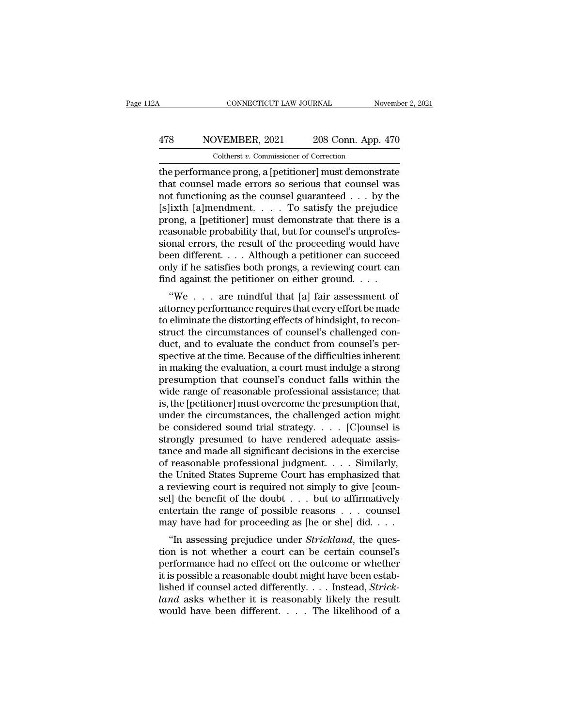# CONNECTICUT LAW JOURNAL November 2, 2021<br>
478 NOVEMBER, 2021 208 Conn. App. 470<br>
Coltherst v. Commissioner of Correction Coltherst *v.* Commissioner of Correction

CONNECTICUT LAW JOURNAL November 2, 2021<br>
NOVEMBER, 2021 208 Conn. App. 470<br>
Coltherst v. Commissioner of Correction<br>
the performance prong, a [petitioner] must demonstrate<br>
that counsel made errors so serious that counsel  $\begin{array}{r} \hline \text{478}\qquad \text{NOVEMBER, 2021}\qquad \text{208 Conn. App. 470}\ \hline \text{Coltherst } v. \text{ Commissioner of Correction}\ \hline \text{the performance prong, a [petitioner] must demonstrate that course! made errors so serious that course! was not functioning as the course! guaranteed . . . by the (slivth [almondmont] To satisfy the proiudice) \hline \end{array}$ 478 NOVEMBER, 2021 208 Conn. App. 470<br>
Coltherst v. Commissioner of Correction<br>
the performance prong, a [petitioner] must demonstrate<br>
that counsel made errors so serious that counsel was<br>
not functioning as the counsel  $\frac{478}{\text{Colthers } v. \text{ Commissioner of Correction}}$ <br>
Coltherst v. Commissioner of Correction<br>
the performance prong, a [petitioner] must demonstrate<br>
that counsel made errors so serious that counsel was<br>
not functioning as the counsel guaranteed Coltherst *v*. Commissioner of Correction<br>the performance prong, a [petitioner] must demonstrate<br>that counsel made errors so serious that counsel was<br>not functioning as the counsel guaranteed . . . by the<br>[s]ixth [a]mendme Coltherst v. Commissioner of Correction<br>the performance prong, a [petitioner] must demonstrate<br>that counsel made errors so serious that counsel was<br>not functioning as the counsel guaranteed . . . by the<br>[s]ixth [a]mendment the performance prong, a [petitioner] must demonstrate<br>that counsel made errors so serious that counsel was<br>not functioning as the counsel guaranteed  $\ldots$  by the<br>[s]ixth [a]mendment.  $\ldots$  To satisfy the prejudice<br>prong, that counsel made errors so serious that counsel was<br>not functioning as the counsel guaranteed . . . by the<br>[s]ixth [a]mendment. . . . . To satisfy the prejudice<br>prong, a [petitioner] must demonstrate that there is a<br>reas not functioning as the counsel guaranteed . . . by the [s]ixth [a]mendment. . . . . To satisfy the prejudice prong, a [petitioner] must demonstrate that there is a reasonable probability that, but for counsel's unprofessi [s]ixth [a]mendment. . . . To satisfy the prejudice<br>prong, a [petitioner] must demonstrate that there is a<br>reasonable probability that, but for counsel's unprofes-<br>sional errors, the result of the proceeding would have<br>be ong, a [petitioner] must demonstrate that there is a<br>asonable probability that, but for counsel's unprofes-<br>bnal errors, the result of the proceeding would have<br>en different....Although a petitioner can succeed<br>ly if he sa reasonable probability that, but for coursers unprofessional errors, the result of the proceeding would have<br>been different. . . . Although a petitioner can succeed<br>only if he satisfies both prongs, a reviewing court can<br>

sional errors, the result of the proceeding would have<br>been different.... Although a petitioner can succeed<br>only if he satisfies both prongs, a reviewing court can<br>find against the petitioner on either ground....<br>"We ... been unferent.  $\ldots$  Although a pethodier can succeed<br>only if he satisfies both prongs, a reviewing court can<br>find against the petitioner on either ground.  $\ldots$ <br>"We  $\ldots$  are mindful that [a] fair assessment of<br>attorney only if he saisies both prongs, a reviewing court can<br>find against the petitioner on either ground.  $\dots$ <br>"We  $\dots$  are mindful that [a] fair assessment of<br>attorney performance requires that every effort be made<br>to eliminat spectrum and against the pertuoner on entier ground.  $\ldots$ <br>
"We  $\ldots$  are mindful that [a] fair assessment of<br>
attorney performance requires that every effort be made<br>
to eliminate the distorting effects of hindsight, to "We . . . are mindful that [a] fair assessment of<br>attorney performance requires that every effort be made<br>to eliminate the distorting effects of hindsight, to recon-<br>struct the circumstances of counsel's challenged con-<br>d attorney performance requires that every effort be made<br>to eliminate the distorting effects of hindsight, to recon-<br>struct the circumstances of counsel's challenged con-<br>duct, and to evaluate the conduct from counsel's per to eliminate the distorting effects of hindsight, to reconstruct the circumstances of counsel's challenged conduct, and to evaluate the conduct from counsel's perspective at the time. Because of the difficulties inherent i struct the circumstances of counsel's challenged con-<br>duct, and to evaluate the conduct from counsel's per-<br>spective at the time. Because of the difficulties inherent<br>in making the evaluation, a court must indulge a strong duct, and to evaluate the conduct from counsel's per-<br>spective at the time. Because of the difficulties inherent<br>in making the evaluation, a court must indulge a strong<br>presumption that counsel's conduct falls within the<br>w spective at the time. Because of the difficulties inherent<br>in making the evaluation, a court must indulge a strong<br>presumption that counsel's conduct falls within the<br>wide range of reasonable professional assistance; that<br> in making the evaluation, a court must indulge a strong<br>presumption that counsel's conduct falls within the<br>wide range of reasonable professional assistance; that<br>is, the [petitioner] must overcome the presumption that,<br>u presumption that counsel's conduct falls within the<br>wide range of reasonable professional assistance; that<br>is, the [petitioner] must overcome the presumption that,<br>under the circumstances, the challenged action might<br>be co wide range of reasonable professional assistance; that<br>is, the [petitioner] must overcome the presumption that,<br>under the circumstances, the challenged action might<br>be considered sound trial strategy. . . . . [C]ounsel is is, the [petitioner] must overcome the presumption that,<br>under the circumstances, the challenged action might<br>be considered sound trial strategy.  $\ldots$  [C]ounsel is<br>strongly presumed to have rendered adequate assis-<br>tance under the circumstances, the challenged action might<br>be considered sound trial strategy. . . . . [C]ounsel is<br>strongly presumed to have rendered adequate assis-<br>tance and made all significant decisions in the exercise<br>of be considered sound trial strategy. . . . . [C]ounsel is<br>strongly presumed to have rendered adequate assis-<br>tance and made all significant decisions in the exercise<br>of reasonable professional judgment. . . . Similarly,<br>the strongly presumed to have rendered adequate assistance and made all significant decisions in the exercise<br>of reasonable professional judgment. . . . Similarly,<br>the United States Supreme Court has emphasized that<br>a reviewin tance and made all significant decisions in the exercise<br>of reasonable professional judgment. . . . Similarly,<br>the United States Supreme Court has emphasized that<br>a reviewing court is required not simply to give [coun-<br>se Teasonable professional judgment. . . . . Similarly,<br>
e United States Supreme Court has emphasized that<br>
reviewing court is required not simply to give [coun-<br>
I] the benefit of the doubt . . . but to affirmatively<br>
tertai a reviewing court is required not simply to give [counsel] the benefit of the doubt  $\dots$  but to affirmatively entertain the range of possible reasons  $\dots$  counsel may have had for proceeding as [he or she] did.  $\dots$  "In a

a reviewing court is required not simply to give [counsel] the benefit of the doubt  $\dots$  but to affirmatively entertain the range of possible reasons  $\dots$  counsel may have had for proceeding as [he or she] did.  $\dots$  "In a Example benefit of the doubt  $\ldots$  but to animatively entertain the range of possible reasons  $\ldots$  counsel may have had for proceeding as [he or she] did.  $\ldots$  "In assessing prejudice under *Strickland*, the question is listed if counsel acted different and state and state and state and the restion is not whether a court can be certain counsel's performance had no effect on the outcome or whether it is possible a reasonable doubt might ha *land* as the original as the original and the question is not whether a court can be certain counsel's performance had no effect on the outcome or whether it is possible a reasonable doubt might have been established if "In assessing prejudice under *Strickland*, the question is not whether a court can be certain counsel's performance had no effect on the outcome or whether it is possible a reasonable doubt might have been established if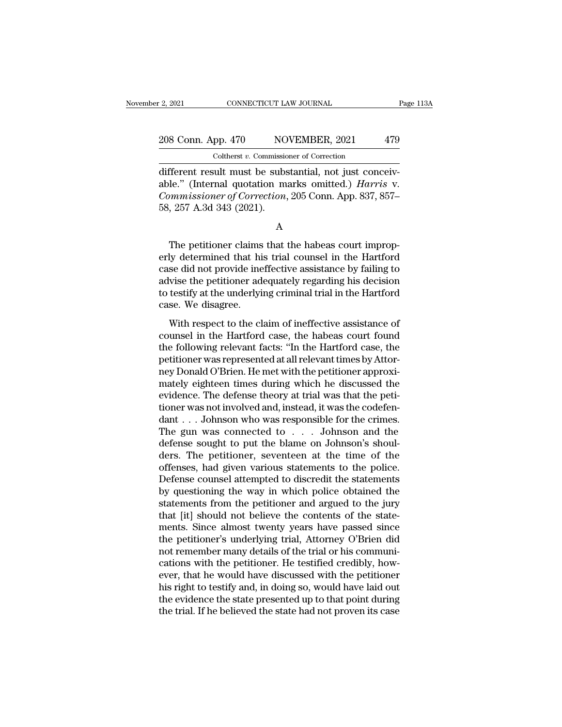# 2, 2021 CONNECTICUT LAW JOURNAL Page 113A<br>208 Conn. App. 470 NOVEMBER, 2021 479<br>Coltherst v. Commissioner of Correction Coltherst *v.* Commissioner of Correction

2, 2021 CONNECTICUT LAW JOURNAL<br>
208 Conn. App. 470 NOVEMBER, 2021 479<br>
Coltherst v. Commissioner of Correction<br>
different result must be substantial, not just conceiv-<br>
able." (Internal quotation marks omitted.) *Harris* 208 Conn. App. 470 NOVEMBER, 2021 479<br>
Coltherst v. Commissioner of Correction<br>
different result must be substantial, not just conceivable." (Internal quotation marks omitted.) *Harris* v.<br>
Commissioner of Correction, 205 <sup>208</sup> Conn. App. 470 NOVEMBER, 2021 479<br>
Coltherst v. Commissioner of Correction<br>
different result must be substantial, not just conceivable." (Internal quotation marks omitted.) *Harris* v.<br>
Commissioner of Correction, 20 208 Conn. App. 470 NO<br>
Coltherst v. Commissic<br>
different result must be subs<br>
able." (Internal quotation m<br>
Commissioner of Correction,<br>
58, 257 A.3d 343 (2021). fferent result must be substantial, not just conceiv-<br>le." (Internal quotation marks omitted.) *Harris* v.<br>mmissioner of Correction, 205 Conn. App. 837, 857–<br>, 257 A.3d 343 (2021).<br>A<br>The petitioner claims that the habeas c

A

able." (Internal quotation marks omitted.) *Harris* v.<br> *Commissioner of Correction*, 205 Conn. App. 837, 857–58, 257 A.3d 343 (2021).<br>
A<br>
The petitioner claims that the habeas court improperly determined that his trial co Commissioner of Correction, 205 Conn. App. 837, 857–58, 257 A.3d 343 (2021).<br>
A<br>
The petitioner claims that the habeas court improperly determined that his trial counsel in the Hartford<br>
case did not provide ineffective a 58, 257 A.3d 343 (2021).<br>
A<br>
The petitioner claims that the habeas court improperly determined that his trial counsel in the Hartford<br>
case did not provide ineffective assistance by failing to<br>
advise the petitioner adequa A<br>The petitioner claims that the habeas court improp-<br>erly determined that his trial counsel in the Hartford<br>case did not provide ineffective assistance by failing to<br>advise the petitioner adequately regarding his decision The petitioner claims<br>erly determined that hi<br>case did not provide ine<br>advise the petitioner ad<br>to testify at the underlyi<br>case. We disagree.<br>With respect to the cl The performant change that the mascal courrempt<br>by determined that his trial counsel in the Hartford<br>se did not provide ineffective assistance by failing to<br>vise the petitioner adequately regarding his decision<br>testify at case did not provide ineffective assistance by failing to<br>advise the petitioner adequately regarding his decision<br>to testify at the underlying criminal trial in the Hartford<br>case. We disagree.<br>With respect to the claim of

Ease and not provide increasive assistance by hanny to<br>advise the petitioner adequately regarding his decision<br>to testify at the underlying criminal trial in the Hartford<br>case. We disagree.<br>With respect to the claim of ine perfective the perfection at all relevant in the Hartford<br>case. We disagree.<br>With respect to the claim of ineffective assistance of<br>counsel in the Hartford case, the habeas court found<br>the following relevant facts: "In the net with respect to the claim of ineffective assistance of<br>counsel in the Hartford case, the habeas court found<br>the following relevant facts: "In the Hartford case, the<br>petitioner was represented at all relevant times by A With respect to the claim of ineffective assistance of<br>counsel in the Hartford case, the habeas court found<br>the following relevant facts: "In the Hartford case, the<br>petitioner was represented at all relevant times by Attor With respect to the claim of ineffective assistance of counsel in the Hartford case, the habeas court found<br>the following relevant facts: "In the Hartford case, the<br>petitioner was represented at all relevant times by Attor counsel in the Hartford case, the habeas court found<br>the following relevant facts: "In the Hartford case, the<br>petitioner was represented at all relevant times by Attor-<br>ney Donald O'Brien. He met with the petitioner approx the following relevant facts: "In the Hartford case, the petitioner was represented at all relevant times by Attorney Donald O'Brien. He met with the petitioner approximately eighteen times during which he discussed the ev petitioner was represented at all relevant times by Attor-<br>ney Donald O'Brien. He met with the petitioner approxi-<br>mately eighteen times during which he discussed the<br>evidence. The defense theory at trial was that the peti ney Donald O'Brien. He met with the petitioner approximately eighteen times during which he discussed the evidence. The defense theory at trial was that the petitioner was not involved and, instead, it was the codefendant mately eighteen times during which he discussed the<br>evidence. The defense theory at trial was that the peti-<br>tioner was not involved and, instead, it was the codefen-<br>dant . . . Johnson who was responsible for the crimes. evidence. The defense theory at trial was that the petitioner was not involved and, instead, it was the codefendant . . . Johnson who was responsible for the crimes.<br>The gun was connected to . . . Johnson and the defense tioner was not involved and, instead, it was the codefendant . . . Johnson who was responsible for the crimes.<br>The gun was connected to . . . Johnson and the defense sought to put the blame on Johnson's shoulders. The pet dant . . . Johnson who was responsible for the crimes.<br>The gun was connected to . . . Johnson and the<br>defense sought to put the blame on Johnson's shoul-<br>ders. The petitioner, seventeen at the time of the<br>offenses, had gi The gun was connected to . . . Johnson and the<br>defense sought to put the blame on Johnson's shoul-<br>ders. The petitioner, seventeen at the time of the<br>offenses, had given various statements to the police.<br>Defense counsel at defense sought to put the blame on Johnson's shoulders. The petitioner, seventeen at the time of the offenses, had given various statements to the police. Defense counsel attempted to discredit the statements by questionin ders. The petitioner, seventeen at the time of the offenses, had given various statements to the police.<br>Defense counsel attempted to discredit the statements<br>by questioning the way in which police obtained the<br>statements offenses, had given various statements to the police.<br>Defense counsel attempted to discredit the statements<br>by questioning the way in which police obtained the<br>statements from the petitioner and argued to the jury<br>that [it Defense counsel attempted to discredit the statements<br>by questioning the way in which police obtained the<br>statements from the petitioner and argued to the jury<br>that [it] should not believe the contents of the state-<br>ments. by questioning the way in which police obtained the statements from the petitioner and argued to the jury that [it] should not believe the contents of the statements. Since almost twenty years have passed since the petitio statements from the petitioner and argued to the jury<br>that [it] should not believe the contents of the state-<br>ments. Since almost twenty years have passed since<br>the petitioner's underlying trial, Attorney O'Brien did<br>not r that [it] should not believe the contents of the statements. Since almost twenty years have passed since the petitioner's underlying trial, Attorney O'Brien did not remember many details of the trial or his communications ments. Since almost twenty years have passed since<br>the petitioner's underlying trial, Attorney O'Brien did<br>not remember many details of the trial or his communi-<br>cations with the petitioner. He testified credibly, how-<br>eve the petitioner's underlying trial, Attorney O'Brien did<br>not remember many details of the trial or his communi-<br>cations with the petitioner. He testified credibly, how-<br>ever, that he would have discussed with the petitioner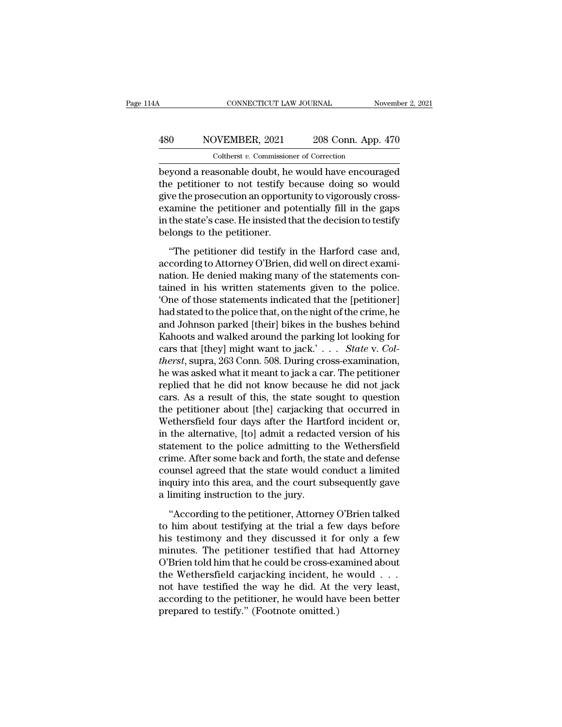# CONNECTICUT LAW JOURNAL November 2, 2021<br>
480 NOVEMBER, 2021 208 Conn. App. 470<br>
Coltherst v. Commissioner of Correction CONNECTICUT LAW JOURNAL<br>DVEMBER, 2021 208 Conn. App.<br>Coltherst *v.* Commissioner of Correction<br>Isonable doubt, he would have encoura

CONNECTICUT LAW JOURNAL November 2, 2021<br>
Beyond a reasonable doubt, he would have encouraged<br>
the petitioner to not testify because doing so would<br>
November to not testify because doing so would  $\begin{array}{r} \hline \text{A30} \qquad \text{NOVEMBER, 2021} \qquad \text{208 Conn. App. 470} \ \text{Coltherst } v. \text{ Commissioner of Correction} \ \hline \text{beyond a reasonable doubt, he would have encouraged the performance to not testify because doing so would give the prosecution an opportunity to vigorously cross-  
examine the notificationer and potentially fill in the sense.} \end{array}$ 480 NOVEMBER, 2021 208 Conn. App. 470<br>
Coltherst v. Commissioner of Correction<br>
beyond a reasonable doubt, he would have encouraged<br>
the petitioner to not testify because doing so would<br>
give the prosecution an opportunit 480 NOVEMBER, 2021 208 Conn. App. 470<br>
coltherst  $v$ . Commissioner of Correction<br>
beyond a reasonable doubt, he would have encouraged<br>
the petitioner to not testify because doing so would<br>
give the prosecution an opportun Coltherst  $v$ . Commissioner of Correction<br>beyond a reasonable doubt, he would have encouraged<br>the petitioner to not testify because doing so would<br>give the prosecution an opportunity to vigorously cross-<br>examine the petit  $\begin{array}{l} \text{Contents } v \text{.} \text{~commusson} \\ \text{beyond a reasonable doubt, he} \\ \text{the performance to not testify b} \\ \text{give the processor an opportunity} \\ \text{examine the performance and no} \\ \text{in the state's case. He insisted the} \\ \text{belongs to the performance.} \\ \text{``The performance did testify in} \\ \end{array}$ of the prosecution and opportunity to vigorously cross-<br>
e petitioner to not testify because doing so would<br>
we the prosecution an opportunity to vigorously cross-<br>
amine the petitioner and potentially fill in the gaps<br>
th and penaltrical to the testary securities along be meand<br>give the prosecution an opportunity to vigorously cross-<br>examine the petitioner and potentially fill in the gaps<br>in the state's case. He insisted that the decision t

give are presecution an opportunity to rigorously create<br>examine the petitioner and potentially fill in the gaps<br>in the state's case. He insisted that the decision to testify<br>belongs to the petitioner.<br>"The petitioner did Framme the perfactors that positivally in the state gaps<br>in the state's case. He insisted that the decision to testify<br>belongs to the petitioner.<br>"The petitioner did testify in the Harford case and,<br>according to Attorney O The petitioner.<br>
"The petitioner did testify in the Harford case and,<br>
according to Attorney O'Brien, did well on direct exami-<br>
nation. He denied making many of the statements con-<br>
tained in his written statements given "The petitioner did testify in the Harford case and,<br>according to Attorney O'Brien, did well on direct exami-<br>nation. He denied making many of the statements con-<br>tained in his written statements given to the police.<br>"One "The petitioner did testify in the Harford case and,<br>according to Attorney O'Brien, did well on direct exami-<br>nation. He denied making many of the statements con-<br>tained in his written statements given to the police.<br>'One according to Attorney O'Brien, did well on direct exami-<br>nation. He denied making many of the statements con-<br>tained in his written statements given to the police.<br>'One of those statements indicated that the [petitioner]<br> nation. He denied making many of the statements contained in his written statements given to the police.<br>
'One of those statements indicated that the [petitioner]<br>
had stated to the police that, on the night of the crime, tained in his written statements given to the police.<br>
'One of those statements indicated that the [petitioner]<br>
had stated to the police that, on the night of the crime, he<br>
and Johnson parked [their] bikes in the bushes 'One of those statements indicated that the [petitioner]<br>had stated to the police that, on the night of the crime, he<br>and Johnson parked [their] bikes in the bushes behind<br>Kahoots and walked around the parking lot looking had stated to the police that, on the night of the crime, he<br>and Johnson parked [their] bikes in the bushes behind<br>Kahoots and walked around the parking lot looking for<br>cars that [they] might want to jack.'... *State v. C* and Johnson parked [their] bikes in the bushes behind<br>Kahoots and walked around the parking lot looking for<br>cars that [they] might want to jack.' . . . State v. Col-<br>therst, supra, 263 Conn. 508. During cross-examination, Kahoots and walked around the parking lot looking for<br>cars that [they] might want to jack.' . . . . State v. Col-<br>therst, supra, 263 Conn. 508. During cross-examination,<br>he was asked what it meant to jack a car. The petit cars that [they] might want to jack.'  $\ldots$  *State* v. *Coltherst*, supra, 263 Conn. 508. During cross-examination, he was asked what it meant to jack a car. The petitioner replied that he did not know because he did not therst, supra, 263 Conn. 508. During cross-examination,<br>he was asked what it meant to jack a car. The petitioner<br>replied that he did not know because he did not jack<br>cars. As a result of this, the state sought to question<br> he was asked what it meant to jack a car. The petitioner<br>replied that he did not know because he did not jack<br>cars. As a result of this, the state sought to question<br>the petitioner about [the] carjacking that occurred in<br>W replied that he did not know because he did not jack<br>cars. As a result of this, the state sought to question<br>the petitioner about [the] carjacking that occurred in<br>Wethersfield four days after the Hartford incident or,<br>in cars. As a result of this, the state sought to question<br>the petitioner about [the] carjacking that occurred in<br>Wethersfield four days after the Hartford incident or,<br>in the alternative, [to] admit a redacted version of his the petitioner about [the] carjacking that occurred in<br>Wethersfield four days after the Hartford incident or,<br>in the alternative, [to] admit a redacted version of his<br>statement to the police admitting to the Wethersfield<br>c Wethersfield four days after the Harti<br>in the alternative, [to] admit a redacte<br>statement to the police admitting to t<br>crime. After some back and forth, the s<br>counsel agreed that the state would c<br>inquiry into this area, a attement to the police admitting to the Wethersfield<br>
ime. After some back and forth, the state and defense<br>
umsel agreed that the state would conduct a limited<br>
quiry into this area, and the court subsequently gave<br>
limit crime. After some back and forth, the state and defense<br>counsel agreed that the state would conduct a limited<br>inquiry into this area, and the court subsequently gave<br>a limiting instruction to the jury.<br>"According to the pe

counsel agreed that the state would conduct a limited<br>inquiry into this area, and the court subsequently gave<br>a limiting instruction to the jury.<br>"According to the petitioner, Attorney O'Brien talked<br>to him about testifyin inquiry into this area, and the court subsequently gave<br>a limiting instruction to the jury.<br>"According to the petitioner, Attorney O'Brien talked<br>to him about testifying at the trial a few days before<br>his testimony and the a limiting instruction to the jury.<br>
"According to the petitioner, Attorney O'Brien talked<br>
to him about testifying at the trial a few days before<br>
his testimony and they discussed it for only a few<br>
minutes. The petition "According to the petitioner, Attorney O'Brien talked<br>to him about testifying at the trial a few days before<br>his testimony and they discussed it for only a few<br>minutes. The petitioner testified that had Attorney<br>O'Brien t "According to the petitioner, Attorney O'Brien talked<br>to him about testifying at the trial a few days before<br>his testimony and they discussed it for only a few<br>minutes. The petitioner testified that had Attorney<br>O'Brien t to him about testifying at the trial a few days before<br>his testimony and they discussed it for only a few<br>minutes. The petitioner testified that had Attorney<br>O'Brien told him that he could be cross-examined about<br>the Wethe his testimony and they discussed it fo<br>minutes. The petitioner testified that ]<br>O'Brien told him that he could be cross-ex<br>the Wethersfield carjacking incident, he<br>not have testified the way he did. At tl<br>according to the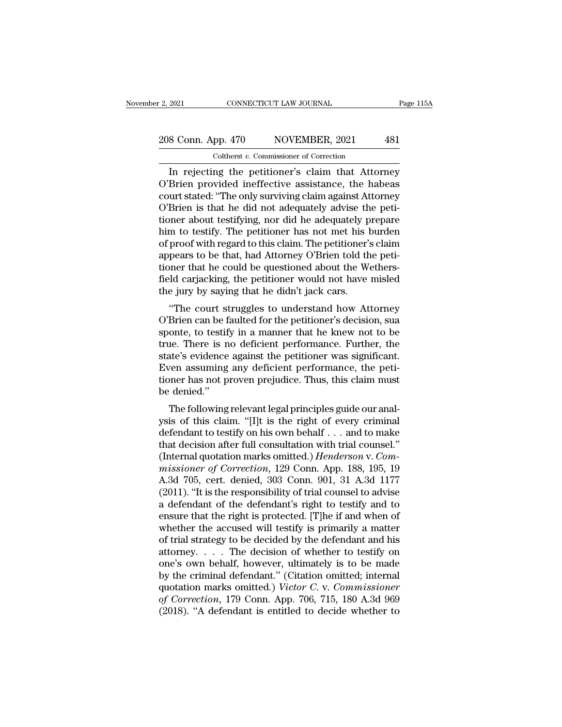# 2, 2021 CONNECTICUT LAW JOURNAL Page 115A<br>208 Conn. App. 470 NOVEMBER, 2021 481<br>Coltherst v. Commissioner of Correction Coltherst *v.* Commissioner of Correction

EXECTIVE 2021 CONNECTICUT LAW JOURNAL Page 115A<br>
8 Conn. App. 470 NOVEMBER, 2021 481<br>
Coltherst v. Commissioner of Correction<br>
In rejecting the petitioner's claim that Attorney<br>
Brien provided ineffective assistance, the h 208 Conn. App. 470 NOVEMBER, 2021 481<br>
Coltherst v. Commissioner of Correction<br>
In rejecting the petitioner's claim that Attorney<br>
O'Brien provided ineffective assistance, the habeas<br>
court stated: "The only surviving clai 208 Conn. App. 470 NOVEMBER, 2021 481<br>
Coltherst v. Commissioner of Correction<br>
In rejecting the petitioner's claim that Attorney<br>
O'Brien provided ineffective assistance, the habeas<br>
court stated: "The only surviving cla 208 Conn. App. 470 NOVEMBER, 2021 481<br>
Coltherst v. Commissioner of Correction<br>
In rejecting the petitioner's claim that Attorney<br>
O'Brien provided ineffective assistance, the habeas<br>
court stated: "The only surviving cla Coltherst v. Commissioner of Correction<br>
In rejecting the petitioner's claim that Attorney<br>
O'Brien provided ineffective assistance, the habeas<br>
court stated: "The only surviving claim against Attorney<br>
O'Brien is that he Coltherst v. Commissioner of Correction<br>
In rejecting the petitioner's claim that Attorney<br>
O'Brien provided ineffective assistance, the habeas<br>
court stated: "The only surviving claim against Attorney<br>
O'Brien is that he In rejecting the petitioner's claim that Attorney<br>O'Brien provided ineffective assistance, the habeas<br>court stated: "The only surviving claim against Attorney<br>O'Brien is that he did not adequately advise the peti-<br>tioner a O'Brien provided ineffective assistance, the habeas<br>court stated: "The only surviving claim against Attorney<br>O'Brien is that he did not adequately advise the peti-<br>tioner about testifying, nor did he adequately prepare<br>him court stated: "The only surviving claim against Attorney<br>O'Brien is that he did not adequately advise the peti-<br>tioner about testifying, nor did he adequately prepare<br>him to testify. The petitioner has not met his burden<br>o O'Brien is that he did not adequately advise the petitioner about testifying, nor did he adequately prepare him to testify. The petitioner has not met his burden of proof with regard to this claim. The petitioner's claim a tioner about testifying, nor did he adequately p<br>him to testify. The petitioner has not met his l<br>of proof with regard to this claim. The petitioner':<br>appears to be that, had Attorney O'Brien told th<br>tioner that he could b In to testify. The petrioner has not her his burdent<br>proof with regard to this claim. The petitioner's claim<br>pears to be that, had Attorney O'Brien told the peti-<br>pher that he could be questioned about the Wethers-<br>ld carj or proof whit regard to this claim. The petitioner s claim<br>appears to be that, had Attorney O'Brien told the peti-<br>tioner that he could be questioned about the Wethers-<br>field carjacking, the petitioner would not have misle

appears to be that, had Attorney O Brien told the peti-<br>tioner that he could be questioned about the Wethers-<br>field carjacking, the petitioner would not have misled<br>the jury by saying that he didn't jack cars.<br>"The court s field carjacking, the petitioner would not have misled<br>the jury by saying that he didn't jack cars.<br>"The court struggles to understand how Attorney<br>O'Brien can be faulted for the petitioner's decision, sua<br>sponte, to testi state in the jury by saying that he didn't jack cars.<br>
"The court struggles to understand how Attorney<br>
O'Brien can be faulted for the petitioner's decision, sua<br>
sponte, to testify in a manner that he knew not to be<br>
true the jury by saying that he didn't jack cars.<br>
"The court struggles to understand how Attorney<br>
O'Brien can be faulted for the petitioner's decision, sua<br>
sponte, to testify in a manner that he knew not to be<br>
true. There i "The court struggles to understand how Attorney O'Brien can be faulted for the petitioner's decision, sua sponte, to testify in a manner that he knew not to be true. There is no deficient performance. Further, the state's O'Brien can be f<br>sponte, to testif<br>true. There is n<br>state's evidence<br>Even assuming<br>tioner has not p<br>be denied.''<br>The following onte, to testify in a mailier that he knew not to be<br>te. There is no deficient performance. Further, the<br>ate's evidence against the petitioner was significant.<br>yen assuming any deficient performance, the peti-<br>ner has not rule. There is no denotent performance. Further, the<br>state's evidence against the petitioner was significant.<br>Even assuming any deficient performance, the peti-<br>tioner has not proven prejudice. Thus, this claim must<br>be den

state's evidence against the petritorier was significant.<br>Even assuming any deficient performance, the peti-<br>tioner has not proven prejudice. Thus, this claim must<br>be denied."<br>The following relevant legal principles guide Even assuming any denotent performance, the peutioner has not proven prejudice. Thus, this claim must<br>be denied.''<br>The following relevant legal principles guide our anal-<br>ysis of this claim. "[I]t is the right of every cr (Internal marks not proven prejudice. Thus, this claim must<br>be denied."<br>The following relevant legal principles guide our anal-<br>ysis of this claim. "[I]t is the right of every criminal<br>defendant to testify on his own behal *m* The following relevant legal principles guide our analysis of this claim. "[I]t is the right of every criminal defendant to testify on his own behalf . . . and to make that decision after full consultation with trial c The following relevant legal principles guide our analysis of this claim. "[I]t is the right of every criminal defendant to testify on his own behalf . . . and to make that decision after full consultation with trial coun ysis of this claim. "[I]t is the right of every criminal<br>defendant to testify on his own behalf . . . and to make<br>that decision after full consultation with trial counsel."<br>(Internal quotation marks omitted.) *Henderson* defendant to testify on his own behalf . . . and to make<br>that decision after full consultation with trial counsel."<br>(Internal quotation marks omitted.) *Henderson* v. *Com-*<br>missioner of Correction, 129 Conn. App. 188, 195 that decision after full consultation with trial counsel."<br>(Internal quotation marks omitted.) *Henderson v. Commissioner of Correction*, 129 Conn. App. 188, 195, 19<br>A.3d 705, cert. denied, 303 Conn. 901, 31 A.3d 1177<br>(201 (Internal quotation marks omitted.) *Henderson* v. Commissioner of Correction, 129 Conn. App. 188, 195, 19<br>A.3d 705, cert. denied, 303 Conn. 901, 31 A.3d 1177<br>(2011). "It is the responsibility of trial counsel to advise<br>a missioner of Correction, 129 Conn. App. 188, 195, 19<br>A.3d 705, cert. denied, 303 Conn. 901, 31 A.3d 1177<br>(2011). "It is the responsibility of trial counsel to advise<br>a defendant of the defendant's right to testify and to<br> A.3d 705, cert. denied, 303 Conn. 901, 31 A.3d 1177 (2011). "It is the responsibility of trial counsel to advise<br>a defendant of the defendant's right to testify and to<br>ensure that the right is protected. [T]he if and when (2011). "It is the responsibility of trial counsel to advise<br>a defendant of the defendant's right to testify and to<br>ensure that the right is protected. [T]he if and when of<br>whether the accused will testify is primarily a a defendant of the defendant's right to testify and to<br>ensure that the right is protected. [T]he if and when of<br>whether the accused will testify is primarily a matter<br>of trial strategy to be decided by the defendant and h ensure that the right is protected. [T]he if and when of<br>whether the accused will testify is primarily a matter<br>of trial strategy to be decided by the defendant and his<br>attorney. . . . The decision of whether to testify on whether the accused will testify is primarily a matter<br>of trial strategy to be decided by the defendant and his<br>attorney. . . . The decision of whether to testify on<br>one's own behalf, however, ultimately is to be made<br>by t of trial strategy to be decided by the defendant and his attorney. . . . . The decision of whether to testify on one's own behalf, however, ultimately is to be made by the criminal defendant." (Citation omitted; internal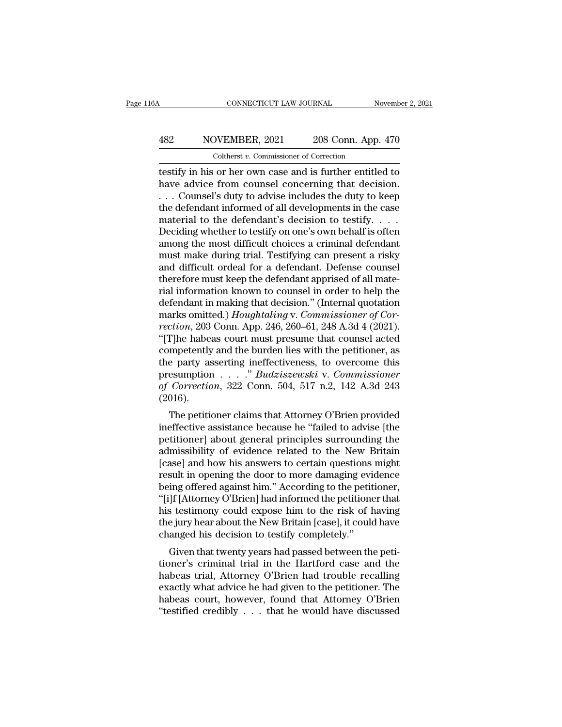# CONNECTICUT LAW JOURNAL November 2, 2021<br>
482 NOVEMBER, 2021 208 Conn. App. 470<br>
Coltherst v. Commissioner of Correction CONNECTICUT LAW JOURNAL<br>DVEMBER, 2021 208 Conn. App.<br>Coltherst *v*. Commissioner of Correction<br>or her own case and is further entitle.

CONNECTICUT LAW JOURNAL November 2, 2021<br>  $\begin{array}{r} \text{NOWEMBER, 2021} \\ \text{7.7} \end{array}$  208 Conn. App. 470<br>  $\begin{array}{r} \text{Coltherst } v. \text{ Commissioner of Correction} \\ \text{testify in his or her own case and is further entitled to have advice from course.} \\ \text{Conversely, duty to advise include the duty to keep.} \end{array}$ MOVEMBER, 2021 208 Conn. App. 470<br>
Coltherst v. Commissioner of Correction<br>
testify in his or her own case and is further entitled to<br>
have advice from counsel concerning that decision.<br>
. . . Counsel's duty to advise incl 482 NOVEMBER, 2021 208 Conn. App. 470<br>
Coltherst v. Commissioner of Correction<br>
testify in his or her own case and is further entitled to<br>
have advice from counsel concerning that decision.<br>
... Counsel's duty to advise i Asian Movember, 2021 208 Conn. App. 470<br>
Coltherst *v*. Commissioner of Correction<br>
testify in his or her own case and is further entitled to<br>
have advice from counsel concerning that decision.<br>
... Counsel's duty to advi Coltherst v. Commissioner of Correction<br>testify in his or her own case and is further entitled to<br>have advice from counsel concerning that decision.<br>... Counsel's duty to advise includes the duty to keep<br>the defendant inf Coltherst v. Commissioner of Correction<br>testify in his or her own case and is further entitled to<br>have advice from counsel concerning that decision.<br> $\ldots$  Counsel's duty to advise includes the duty to keep<br>the defendant i testify in his or her own case and is further entitled to<br>have advice from counsel concerning that decision.<br>... Counsel's duty to advise includes the duty to keep<br>the defendant informed of all developments in the case<br>mat have advice from counsel concerning that decision.<br>  $\dots$  Counsel's duty to advise includes the duty to keep<br>
the defendant informed of all developments in the case<br>
material to the defendant's decision to testify.  $\dots$ <br>
D ... Counsel's duty to advise includes the duty to keep<br>the defendant informed of all developments in the case<br>material to the defendant's decision to testify....<br>Deciding whether to testify on one's own behalf is often<br>am the defendant informed of all developments in the case<br>material to the defendant's decision to testify. . . . .<br>Deciding whether to testify on one's own behalf is often<br>among the most difficult choices a criminal defendan material to the defendant's decision to testify. . . . .<br>Deciding whether to testify on one's own behalf is often<br>among the most difficult choices a criminal defendant<br>must make during trial. Testifying can present a risk Deciding whether to testify on one's own behalf is often<br>among the most difficult choices a criminal defendant<br>must make during trial. Testifying can present a risky<br>and difficult ordeal for a defendant. Defense counsel<br>th among the most difficult choices a criminal defendant<br>must make during trial. Testifying can present a risky<br>and difficult ordeal for a defendant. Defense counsel<br>therefore must keep the defendant apprised of all mate-<br>ria must make during trial. Testifying can present a risky<br>and difficult ordeal for a defendant. Defense counsel<br>therefore must keep the defendant apprised of all mate-<br>rial information known to counsel in order to help the<br>de and difficult ordeal for a defendant. Defense counsel<br>therefore must keep the defendant apprised of all mate-<br>rial information known to counsel in order to help the<br>defendant in making that decision." (Internal quotation<br>m therefore must keep the defendant apprised of all mate-<br>rial information known to counsel in order to help the<br>defendant in making that decision." (Internal quotation<br>marks omitted.) *Houghtaling* v. *Commissioner of Cor*rial information known to counsel in order to help the<br>defendant in making that decision." (Internal quotation<br>marks omitted.) *Houghtaling* v. *Commissioner of Cor-*<br>rection, 203 Conn. App. 246, 260–61, 248 A.3d 4 (2021) defendant in making that decision." (Internal quotation<br>marks omitted.) *Houghtaling* v. *Commissioner of Cor-*<br>rection, 203 Conn. App. 246, 260–61, 248 A.3d 4 (2021).<br>"[T]he habeas court must presume that counsel acted<br>co marks omitted.) *Houghtaling* v. *Commissioner of Correction*, 203 Conn. App. 246, 260–61, 248 A.3d 4 (2021).<br>"[T]he habeas court must presume that counsel acted<br>competently and the burden lies with the petitioner, as<br>the (2016). The nabeas court must presume that counser acted<br>mpetently and the burden lies with the petitioner, as<br>e party asserting ineffectiveness, to overcome this<br>esumption  $\ldots$   $\ldots$   $\ldots$   $\ldots$   $\ldots$   $\ldots$   $\ldots$   $\ldots$   $\ldots$   $\$ competently and the burden hes with the petritoner, as<br>the party asserting ineffectiveness, to overcome this<br>presumption  $\ldots$ ." *Budziszewski* v. *Commissioner*<br>of *Correction*, 322 Conn. 504, 517 n.2, 142 A.3d 243<br>(2016

the party asserting inenectiveness, to overcome this<br>presumption . . . ." *Budziszewski* v. *Commissioner*<br>of *Correction*, 322 Conn. 504, 517 n.2, 142 A.3d 243<br>(2016).<br>The petitioner claims that Attorney O'Brien provided<br> presumption  $\ldots$   $\ldots$  *Butaziszewski* v. Commissioner<br>of Correction, 322 Conn. 504, 517 n.2, 142 A.3d 243<br>(2016).<br>The petitioner claims that Attorney O'Brien provided<br>ineffective assistance because he "failed to advise (2016).<br>
The petitioner claims that Attorney O'Brien provided<br>
ineffective assistance because he "failed to advise [the<br>
petitioner] about general principles surrounding the<br>
admissibility of evidence related to the New B (2010).<br>
The petitioner claims that Attorney O'Brien provided<br>
ineffective assistance because he "failed to advise [the<br>
petitioner] about general principles surrounding the<br>
admissibility of evidence related to the New Br The petitioner claims that Attorney O'Brien provided<br>ineffective assistance because he "failed to advise [the<br>petitioner] about general principles surrounding the<br>admissibility of evidence related to the New Britain<br>[case] ineffective assistance because he "failed to advise [the<br>petitioner] about general principles surrounding the<br>admissibility of evidence related to the New Britain<br>[case] and how his answers to certain questions might<br>resul petitioner] about general principles surrounding the<br>admissibility of evidence related to the New Britain<br>[case] and how his answers to certain questions might<br>result in opening the door to more damaging evidence<br>being off admissibility of evidence related to the New Britain [case] and how his answers to certain questions might result in opening the door to more damaging evidence being offered against him." According to the petitioner, "[i]f [case] and how his answers to certain questions<br>result in opening the door to more damaging evi<br>being offered against him." According to the petit<br>"[i]f [Attorney O'Brien] had informed the petitione<br>his testimony could exp Suit in opening the door to note dantaging evidence<br>ing offered against him." According to the petitioner,<br>Jf [Attorney O'Brien] had informed the petitioner that<br>s testimony could expose him to the risk of having<br>e jury he being onered against film. According to the petitioner,<br>"[i]f [Attorney O'Brien] had informed the petitioner that<br>his testimony could expose him to the risk of having<br>the jury hear about the New Britain [case], it could ha

[i]) [Attorney O'Brien] had informed the perfidioner that<br>his testimony could expose him to the risk of having<br>the jury hear about the New Britain [case], it could have<br>changed his decision to testify completely."<br>Given t Ins testimony collid expose film to the fisk of having<br>the jury hear about the New Britain [case], it could have<br>changed his decision to testify completely."<br>Given that twenty years had passed between the peti-<br>tioner's cr the jury hear about the New Britain [Case], it could have<br>changed his decision to testify completely."<br>Given that twenty years had passed between the peti-<br>tioner's criminal trial in the Hartford case and the<br>habeas trial, Changed ins decision to testify completely.<br>
Given that twenty years had passed between the petitioner's criminal trial in the Hartford case and the<br>
habeas trial, Attorney O'Brien had trouble recalling<br>
exactly what advic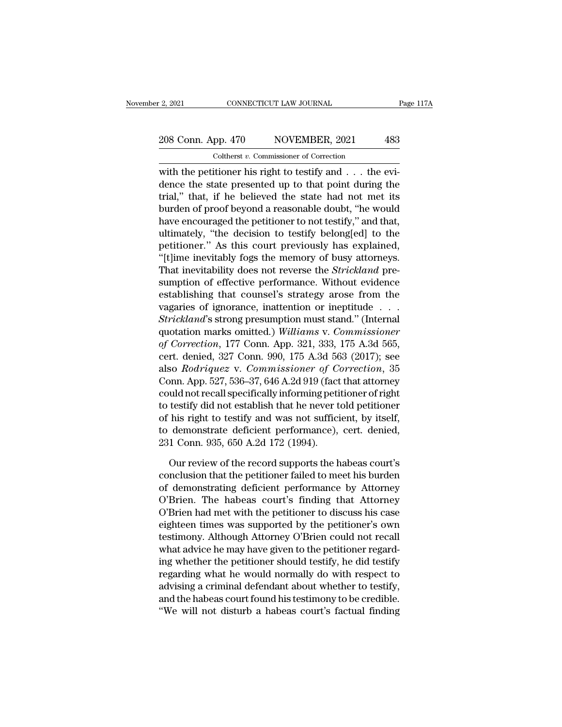# 2, 2021 CONNECTICUT LAW JOURNAL Page 117A<br>208 Conn. App. 470 NOVEMBER, 2021 483<br>Coltherst v. Commissioner of Correction Coltherst *v.* Commissioner of Correction

 $\frac{2,2021}{208 \text{ Conn. App. } 470}$  MOVEMBER, 2021 483<br>  $\frac{208 \text{ Conn. App. } 470}{\text{Colthers } v. \text{ Commissioner of Correction}}$ <br>
with the petitioner his right to testify and . . . the evi-<br>
dence the state presented up to that point during the 208 Conn. App. 470 NOVEMBER, 2021 483<br>
Coltherst v. Commissioner of Correction<br>
with the petitioner his right to testify and . . . the evi-<br>
dence the state presented up to that point during the<br>
trial," that, if he belie 208 Conn. App. 470 NOVEMBER, 2021 483<br>
Coltherst v. Commissioner of Correction<br>
with the petitioner his right to testify and . . . the evi-<br>
dence the state presented up to that point during the<br>
trial," that, if he belie 208 Conn. App. 470 NOVEMBER, 2021 483<br>
Coltherst v. Commissioner of Correction<br>
with the petitioner his right to testify and . . . the evi-<br>
dence the state presented up to that point during the<br>
trial," that, if he belie Coltherst *v*. Commissioner of Correction<br>
with the petitioner his right to testify and  $\ldots$  the evi-<br>
dence the state presented up to that point during the<br>
trial," that, if he believed the state had not met its<br>
burden USINES *u*. Commissioner of Conection<br>with the petitioner his right to testify and  $\ldots$  the evi-<br>dence the state presented up to that point during the<br>trial," that, if he believed the state had not met its<br>burden of proo with the petitioner his right to testify and  $\dots$  the evidence the state presented up to that point during the trial," that, if he believed the state had not met its burden of proof beyond a reasonable doubt, "he would ha dence the state presented up to that point during the<br>trial," that, if he believed the state had not met its<br>burden of proof beyond a reasonable doubt, "he would<br>have encouraged the petitioner to not testify," and that,<br>ul trial," that, if he believed the state had not met its<br>burden of proof beyond a reasonable doubt, "he would<br>have encouraged the petitioner to not testify," and that,<br>ultimately, "the decision to testify belong[ed] to the<br>p burden of proof beyond a reasonable doubt, "he would<br>have encouraged the petitioner to not testify," and that,<br>ultimately, "the decision to testify belong[ed] to the<br>petitioner." As this court previously has explained,<br>"[t have encouraged the petitioner to not testify," and that,<br>ultimately, "the decision to testify belong[ed] to the<br>petitioner." As this court previously has explained,<br>"[t]ime inevitably fogs the memory of busy attorneys.<br>Th ultimately, "the decision to testify belong[ed] to the<br>petitioner." As this court previously has explained,<br>"[t]ime inevitably fogs the memory of busy attorneys.<br>That inevitability does not reverse the *Strickland* pre-<br>s petitioner." As this court previously has explained,<br>
"[t]ime inevitably fogs the memory of busy attorneys.<br>
That inevitability does not reverse the *Strickland* pre-<br>
sumption of effective performance. Without evidence<br>
e "[t]ime inevitably fogs the memory of busy attorneys.<br>That inevitability does not reverse the *Strickland* pre-<br>sumption of effective performance. Without evidence<br>establishing that counsel's strategy arose from the<br>vagari That inevitability does not reverse the *Strickland* pre-<br>sumption of effective performance. Without evidence<br>establishing that counsel's strategy arose from the<br>vagaries of ignorance, inattention or ineptitude . . .<br>*Stri* sumption of effective performance. Without evidence<br>establishing that counsel's strategy arose from the<br>vagaries of ignorance, inattention or ineptitude . . .<br>Strickland's strong presumption must stand." (Internal<br>quotatio establishing that counsel's strategy arose from the<br>vagaries of ignorance, inattention or ineptitude . . .<br>*Strickland*'s strong presumption must stand." (Internal<br>quotation marks omitted.) *Williams* v. *Commissioner*<br>of vagaries of ignorance, inattention or ineptitude . . . .<br>
Strickland's strong presumption must stand." (Internal<br>
quotation marks omitted.) Williams v. Commissioner<br>
of Correction, 177 Conn. App. 321, 333, 175 A.3d 565,<br>
c Strickland's strong presumption must stand." (Internal<br>quotation marks omitted.) Williams v. Commissioner<br>of Correction, 177 Conn. App. 321, 333, 175 A.3d 565,<br>cert. denied, 327 Conn. 990, 175 A.3d 563 (2017); see<br>also *Ro* quotation marks omitted.) Williams v. Commissioner<br>of Correction, 177 Conn. App. 321, 333, 175 A.3d 565,<br>cert. denied, 327 Conn. 990, 175 A.3d 563 (2017); see<br>also *Rodriquez* v. Commissioner of Correction, 35<br>Conn. App. 5 of Correction, 177 Conn. App. 321, 333, 175 A.3d 565,<br>cert. denied, 327 Conn. 990, 175 A.3d 563 (2017); see<br>also *Rodriquez* v. *Commissioner of Correction*, 35<br>Conn. App. 527, 536–37, 646 A.2d 919 (fact that attorney<br>cou cert. denied, 327 Conn. 990, 175 A.3d 563 (2017); see<br>also *Rodriquez* v. *Commissioner of Correction*, 35<br>Conn. App. 527, 536–37, 646 A.2d 919 (fact that attorney<br>could not recall specifically informing petitioner of righ also *Rodriquez* v. *Commissioner of Co*<br>Conn. App. 527, 536–37, 646 A.2d 919 (fact<br>could not recall specifically informing peti<br>to testify did not establish that he never t<br>of his right to testify and was not suffici<br>to d uld not recall specifically informing petitioner of right<br>testify did not establish that he never told petitioner<br>his right to testify and was not sufficient, by itself,<br>demonstrate deficient performance), cert. denied,<br>1 to testify did not establish that he never told petitioner<br>of his right to testify and was not sufficient, by itself,<br>to demonstrate deficient performance), cert. denied,<br>231 Conn. 935, 650 A.2d 172 (1994).<br>Our review of t

of his right to testify and was not sufficient, by itself,<br>to demonstrate deficient performance), cert. denied,<br>231 Conn. 935, 650 A.2d 172 (1994).<br>Our review of the record supports the habeas court's<br>conclusion that the p to demonstrate deficient performance), cert. denied,<br>231 Conn. 935, 650 A.2d 172 (1994).<br>Our review of the record supports the habeas court's<br>conclusion that the petitioner failed to meet his burden<br>of demonstrating defici 231 Conn. 935, 650 A.2d 172 (1994).<br>
Our review of the record supports the habeas court's<br>
conclusion that the petitioner failed to meet his burden<br>
of demonstrating deficient performance by Attorney<br>
O'Brien. The habeas c Our review of the record supports the habeas court's<br>conclusion that the petitioner failed to meet his burden<br>of demonstrating deficient performance by Attorney<br>O'Brien. The habeas court's finding that Attorney<br>O'Brien had Our review of the record supports the habeas court's<br>conclusion that the petitioner failed to meet his burden<br>of demonstrating deficient performance by Attorney<br>O'Brien. The habeas court's finding that Attorney<br>O'Brien had conclusion that the petitioner failed to meet his burden<br>of demonstrating deficient performance by Attorney<br>O'Brien. The habeas court's finding that Attorney<br>O'Brien had met with the petitioner to discuss his case<br>eighteen of demonstrating deficient performance by Attorney<br>O'Brien. The habeas court's finding that Attorney<br>O'Brien had met with the petitioner to discuss his case<br>eighteen times was supported by the petitioner's own<br>testimony. A O'Brien. The habeas court's finding that Attorney<br>O'Brien had met with the petitioner to discuss his case<br>eighteen times was supported by the petitioner's own<br>testimony. Although Attorney O'Brien could not recall<br>what advi O'Brien had met with the petitioner to discuss his case<br>eighteen times was supported by the petitioner's own<br>testimony. Although Attorney O'Brien could not recall<br>what advice he may have given to the petitioner regard-<br>ing eighteen times was supported by the petitioner's own<br>testimony. Although Attorney O'Brien could not recall<br>what advice he may have given to the petitioner regard-<br>ing whether the petitioner should testify, he did testify<br>r testimony. Although Attorney O'Brien could not recall<br>what advice he may have given to the petitioner regard-<br>ing whether the petitioner should testify, he did testify<br>regarding what he would normally do with respect to<br>ad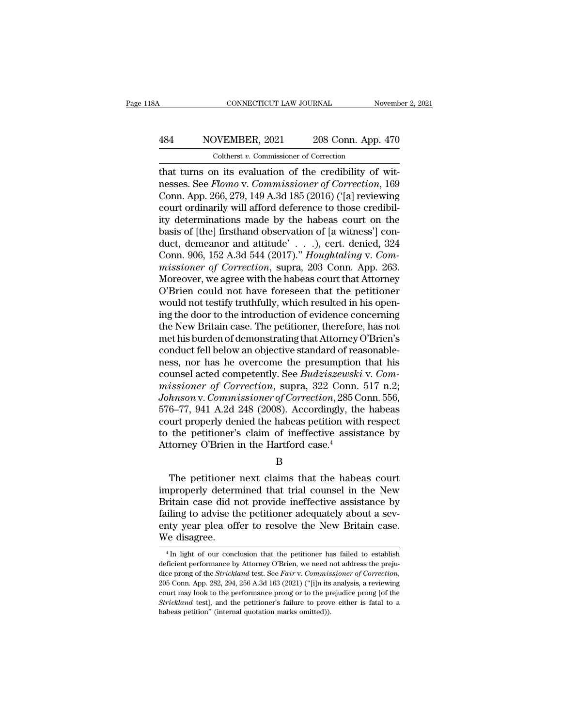# CONNECTICUT LAW JOURNAL November 2, 2021<br>
484 NOVEMBER, 2021 208 Conn. App. 470<br>
Coltherst v. Commissioner of Correction CONNECTICUT LAW JOURNAL<br>
VEMBER, 2021 208 Conn. App.<br>
Coltherst *v*. Commissioner of Correction<br>
n its evaluation of the credibility of

CONNECTICUT LAW JOURNAL November November November 1994<br>484 NOVEMBER, 2021 208 Conn. App. 470<br>Coltherst v. Commissioner of Correction<br>that turns on its evaluation of the credibility of wit-<br>nesses. See Flomo v. Commissione nesses. See *Flomo* v. *Commissioner of Correction*<br>
that turns on its evaluation of the credibility of witnesses. See *Flomo* v. *Commissioner of Correction*, 169<br>
Conn. App. 266, 279, 149 A.3d 185 (2016) ('[a] reviewing<br> 484 NOVEMBER, 2021 208 Conn. App. 470<br>
Coltherst v. Commissioner of Correction<br>
that turns on its evaluation of the credibility of wit-<br>
nesses. See Flomo v. Commissioner of Correction, 169<br>
Conn. App. 266, 279, 149 A.3d 484 NOVEMBER, 2021 208 Conn. App. 470<br>
Coltherst v. Commissioner of Correction<br>
that turns on its evaluation of the credibility of wit-<br>
nesses. See *Flomo* v. Commissioner of Correction, 169<br>
Conn. App. 266, 279, 149 A.3 Coltherst v. Commissioner of Correction<br>that turns on its evaluation of the credibility of wit-<br>nesses. See Flomo v. Commissioner of Correction, 169<br>Conn. App. 266, 279, 149 A.3d 185 (2016) ('[a] reviewing<br>court ordinaril Coltherst v. Commissioner of Correction<br>that turns on its evaluation of the credibility of wit-<br>nesses. See Flomo v. Commissioner of Correction, 169<br>Conn. App. 266, 279, 149 A.3d 185 (2016) ('[a] reviewing<br>court ordinaril that turns on its evaluation of the credibility of wit-<br>nesses. See *Flomo* v. *Commissioner of Correction*, 169<br>Conn. App. 266, 279, 149 A.3d 185 (2016) ('[a] reviewing<br>court ordinarily will afford deference to those cre nesses. See *Flomo* v. *Commissioner of Correction*, 169<br>Conn. App. 266, 279, 149 A.3d 185 (2016) ('[a] reviewing<br>court ordinarily will afford deference to those credibil-<br>ity determinations made by the habeas court on the Conn. App. 266, 279, 149 A.3d 185 (2016) ('[a] reviewing<br>court ordinarily will afford deference to those credibil-<br>ity determinations made by the habeas court on the<br>basis of [the] firsthand observation of [a witness'] con court ordinarily will afford deference to those credibility determinations made by the habeas court on the basis of [the] firsthand observation of [a witness'] conduct, demeanor and attitude'  $\ldots$ ), cert. denied, 324 Con ity determinations made by the habeas court on the<br>basis of [the] firsthand observation of [a witness'] con-<br>duct, demeanor and attitude'  $\dots$ ), cert. denied, 324<br>Conn. 906, 152 A.3d 544 (2017)." *Houghtaling* v. *Com-*<br>m basis of [the] firsthand observation of [a witness'] conduct, demeanor and attitude' . . . .), cert. denied, 324 Conn. 906, 152 A.3d 544 (2017)." *Houghtaling v. Commissioner of Correction*, supra, 203 Conn. App. 263. Mor duct, demeanor and attitude' . . .), cert. denied, 324<br>Conn. 906, 152 A.3d 544 (2017)." *Houghtaling* v. *Commissioner of Correction*, supra, 203 Conn. App. 263.<br>Moreover, we agree with the habeas court that Attorney<br>O'Bri Conn. 906, 152 A.3d 544 (2017)." *Houghtaling* v. *Commissioner of Correction*, supra, 203 Conn. App. 263.<br>Moreover, we agree with the habeas court that Attorney<br>O'Brien could not have foreseen that the petitioner<br>would no missioner of Correction, supra, 203 Conn. App. 263.<br>Moreover, we agree with the habeas court that Attorney<br>O'Brien's could not have foreseen that the petitioner<br>would not testify truthfully, which resulted in his open-<br>ing Moreover, we agree with the habeas court that Attorney<br>O'Brien could not have foreseen that the petitioner<br>would not testify truthfully, which resulted in his open-<br>ing the door to the introduction of evidence concerning<br>t O'Brien could not have foreseen that the petitioner<br>would not testify truthfully, which resulted in his open-<br>ing the door to the introduction of evidence concerning<br>the New Britain case. The petitioner, therefore, has no would not testify truthfully, which resulted in his opening the door to the introduction of evidence concerning<br>the New Britain case. The petitioner, therefore, has not<br>met his burden of demonstrating that Attorney O'Brien ing the door to the introduction of evidence concerning<br>the New Britain case. The petitioner, therefore, has not<br>met his burden of demonstrating that Attorney O'Brien's<br>conduct fell below an objective standard of reasonabl the New Britain case. The petitioner, therefore, has not met his burden of demonstrating that Attorney O'Brien's conduct fell below an objective standard of reasonableness, nor has he overcome the presumption that his coun met his burden of demonstrating that Attorney O'Brien's<br>conduct fell below an objective standard of reasonable-<br>ness, nor has he overcome the presumption that his<br>counsel acted competently. See *Budziszewski* v. Com-<br>missi conduct fell below an objective standard of reasonable-<br>ness, nor has he overcome the presumption that his<br>counsel acted competently. See *Budziszewski* v. Com-<br>missioner of Correction, supra, 322 Conn. 517 n.2;<br>Johnson v. ness, nor has he overcome the presumption that his<br>counsel acted competently. See *Budziszewski* v. Com-<br>missioner of Correction, supra, 322 Conn. 517 n.2;<br>Johnson v. Commissioner of Correction, 285 Conn. 556,<br>576–77, 941 counsel acted competently. See *Budziszewsk*<br>missioner of Correction, supra, 322 Conn.<br>Johnson v. Commissioner of Correction, 285 C<br>576–77, 941 A.2d 248 (2008). Accordingly, th<br>court properly denied the habeas petition wit 6–77, 941 A.2d 248 (2008). Accordingly, the habeas<br>
urt properly denied the habeas petition with respect<br>
the petitioner's claim of ineffective assistance by<br>
torney O'Brien in the Hartford case.<sup>4</sup><br>
B<br>
The petitioner nex

B

court properly denied the habeas petition with respect<br>to the petitioner's claim of ineffective assistance by<br>Attorney O'Brien in the Hartford case.<sup>4</sup><br>B<br>The petitioner next claims that the habeas court<br>improperly determin to the petitioner's claim of ineffective assistance by<br>Attorney O'Brien in the Hartford case.<sup>4</sup><br>B<br>The petitioner next claims that the habeas court<br>improperly determined that trial counsel in the New<br>Britain case did not p Attorney O'Brien in the Hartford case.<sup>4</sup><br>B<br>The petitioner next claims that the habeas court<br>improperly determined that trial counsel in the New<br>Britain case did not provide ineffective assistance by<br>failing to advise the B<br>
The petitioner next claims that the habeas court<br>
improperly determined that trial counsel in the New<br>
Britain case did not provide ineffective assistance by<br>
failing to advise the petitioner adequately about a sev-<br>
en The petitioner<br>improperly detern<br>Britain case did n<br>failing to advise the<br>enty year plea off<br>We disagree. ritain case did not provide ineffective assistance by<br>illing to advise the petitioner adequately about a sev-<br>ty year plea offer to resolve the New Britain case.<br><sup>4</sup> In light of our conclusion that the petitioner has faile failing to advise the petitioner adequately about a seventy year plea offer to resolve the New Britain case.<br>We disagree.<br> $\frac{4 \text{ In light of our conclusion that the pertinent has failed to establish  
deficient performance by Attoney O'Brien, we need not address the preju-  
dice prong of the *Strickland* test. See *Fair v. Commissioner of Correction*,$ 

enty year plea offer to resolve the New Britain case.<br>We disagree.<br><sup>4</sup>In light of our conclusion that the petitioner has failed to establish<br>deficient performance by Attorney O'Brien, we need not address the preju-<br>dice pr We disagree.<br>  $\overline{ }$ <sup>4</sup> In light of our conclusion that the petitioner has failed to establish<br>
deficient performance by Attorney O'Brien, we need not address the prejudice<br>
prong of the *Strickland* test. See *Fair* v. <sup>4</sup> In light of our conclusion that the petitioner has failed to establish deficient performance by Attorney O'Brien, we need not address the prejudice prong of the *Strickland* test. See *Fair v. Commissioner of Correcti* deficient performance by Attorney O'Brien, we need not address the prejudice prong of the *Strickland* test. See *Fair v. Commissioner of Correction*, 205 Conn. App. 282, 294, 256 A.3d 163 (2021) ("[i]n its analysis, a re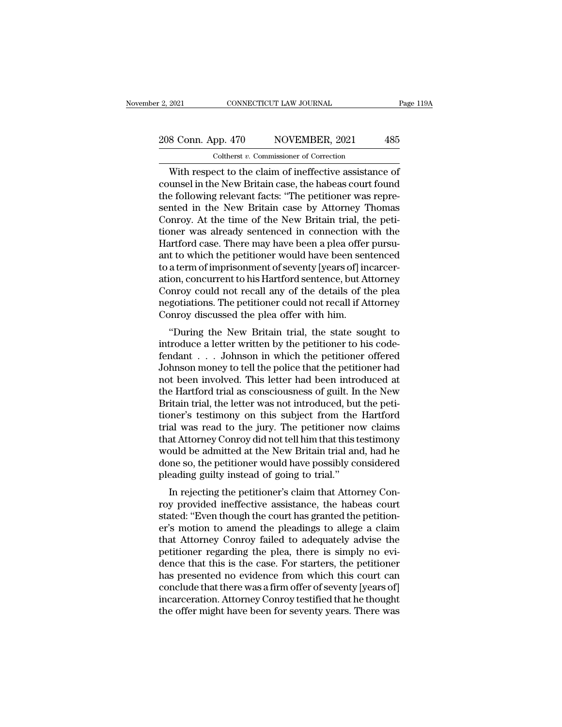# 2, 2021 CONNECTICUT LAW JOURNAL Page 119A<br>208 Conn. App. 470 NOVEMBER, 2021 485<br>Coltherst v. Commissioner of Correction Coltherst *v.* Commissioner of Correction

2021 CONNECTICUT LAW JOURNAL Page 119.<br>
8 Conn. App. 470 NOVEMBER, 2021 485<br>
Coltherst v. Commissioner of Correction<br>
With respect to the claim of ineffective assistance of<br>
unsel in the New Britain case, the habeas court 208 Conn. App. 470 NOVEMBER, 2021 485<br>
Coltherst v. Commissioner of Correction<br>
With respect to the claim of ineffective assistance of<br>
counsel in the New Britain case, the habeas court found<br>
the following relevant facts: 208 Conn. App. 470 NOVEMBER, 2021 485<br>
Coltherst v. Commissioner of Correction<br>
With respect to the claim of ineffective assistance of<br>
counsel in the New Britain case, the habeas court found<br>
the following relevant facts 208 Conn. App. 470 NOVEMBER, 2021 485<br>
Coltherst v. Commissioner of Correction<br>
With respect to the claim of ineffective assistance of<br>
counsel in the New Britain case, the habeas court found<br>
the following relevant facts Coltherst *v.* Commissioner of Correction<br>
With respect to the claim of ineffective assistance of<br>
counsel in the New Britain case, the habeas court found<br>
the following relevant facts: "The petitioner was repre-<br>
sented i Coltherst v. Commissioner of Correction<br>
With respect to the claim of ineffective assistance of<br>
counsel in the New Britain case, the habeas court found<br>
the following relevant facts: "The petitioner was repre-<br>
sented in With respect to the claim of ineffective assistance of counsel in the New Britain case, the habeas court found<br>the following relevant facts: "The petitioner was repre-<br>sented in the New Britain case by Attorney Thomas<br>Conr counsel in the New Britain case, the habeas court found<br>the following relevant facts: "The petitioner was repre-<br>sented in the New Britain case by Attorney Thomas<br>Conroy. At the time of the New Britain trial, the peti-<br>tio the following relevant facts: "The petitioner was represented in the New Britain case by Attorney Thomas Conroy. At the time of the New Britain trial, the petitioner was already sentenced in connection with the Hartford ca sented in the New Britain case by Attorney Thomas<br>Conroy. At the time of the New Britain trial, the peti-<br>tioner was already sentenced in connection with the<br>Hartford case. There may have been a plea offer pursu-<br>ant to wh Conroy. At the time of the New Britain trial, the petitioner was already sentenced in connection with the Hartford case. There may have been a plea offer pursu-<br>ant to which the petitioner would have been sentenced<br>to a te tioner was already sentenced in connection with the Hartford case. There may have been a plea offer pursu-<br>ant to which the petitioner would have been sentenced<br>to a term of imprisonment of seventy [years of] incarcer-<br>ati Hartford case. There may have been a plea offer<br>ant to which the petitioner would have been sen<br>to a term of imprisonment of seventy [years of] in<br>ation, concurrent to his Hartford sentence, but At<br>Conroy could not recall a term of imprisonment of seventy [years of] incarcer-<br>
a term of imprisonment of seventy [years of] incarcer-<br>
ion, concurrent to his Hartford sentence, but Attorney<br>
pnroy could not recall any of the details of the plea<br> introduce a letter written by the petitioner had letter written by the details of the plead negotiations. The petitioner could not recall if Attorney Conroy discussed the plead offer with him.<br>"During the New Britain trial

ation, concurrent to its riartiond sentence, but Attorney<br>Conroy could not recall any of the details of the plea<br>negotiations. The petitioner could not recall if Attorney<br>Conroy discussed the plea offer with him.<br>"During t Confloy Collid not recall any of the details of the plea<br>negotiations. The petitioner could not recall if Attorney<br>Conroy discussed the plea offer with him.<br>"During the New Britain trial, the state sought to<br>introduce a le not been in the periodic recall in Attorney<br>Conroy discussed the plea offer with him.<br>"During the New Britain trial, the state sought to<br>introduce a letter written by the petitioner to his code-<br>fendant . . . Johnson in wh Confloy discussed the plea offer with film.<br>
"During the New Britain trial, the state sought to<br>
introduce a letter written by the petitioner to his code-<br>
fendant . . . Johnson in which the petitioner offered<br>
Johnson mon "During the New Britain trial, the state sought to introduce a letter written by the petitioner to his code-<br>fendant  $\ldots$  Johnson in which the petitioner offered<br>Johnson money to tell the police that the petitioner had<br>n introduce a letter written by the petitioner to his code-<br>fendant . . . Johnson in which the petitioner offered<br>Johnson money to tell the police that the petitioner had<br>not been involved. This letter had been introduced at fendant . . . Johnson in which the petitioner offered<br>Johnson money to tell the police that the petitioner had<br>not been involved. This letter had been introduced at<br>the Hartford trial as consciousness of guilt. In the New<br> Johnson money to tell the police that the petitioner had<br>not been involved. This letter had been introduced at<br>the Hartford trial as consciousness of guilt. In the New<br>Britain trial, the letter was not introduced, but the not been involved. This letter had been introduced at<br>the Hartford trial as consciousness of guilt. In the New<br>Britain trial, the letter was not introduced, but the peti-<br>tioner's testimony on this subject from the Hartfor the Hartford trial as consciousness of guilt. In the New Britain trial, the letter was not introduced, but the petitioner's testimony on this subject from the Hartford trial was read to the jury. The petitioner now claims Britain trial, the letter was not introduced, but<br>tioner's testimony on this subject from the<br>trial was read to the jury. The petitioner no<br>that Attorney Conroy did not tell him that this t<br>would be admitted at the New Bri Inter's testimony on this subject from the Trantional<br>al was read to the jury. The petitioner now claims<br>at Attorney Conroy did not tell him that this testimony<br>build be admitted at the New Britain trial and, had he<br>me so, row trains was read to the Jury. The perfitted how claims<br>that Attorney Conroy did not tell him that this testimony<br>would be admitted at the New Britain trial and, had he<br>done so, the petitioner would have possibly conside

Final Attorney Comby the field for the finite that this test<br>mony would be admitted at the New Britain trial and, had he<br>done so, the petitioner would have possibly considered<br>pleading guilty instead of going to trial."<br>In would be admitted at the New Britain trial and, had he<br>done so, the petitioner would have possibly considered<br>pleading guilty instead of going to trial."<br>In rejecting the petitioner's claim that Attorney Con-<br>roy provided the so, the petrioner would have possibly considered<br>pleading guilty instead of going to trial."<br>In rejecting the petitioner's claim that Attorney Con-<br>roy provided ineffective assistance, the habeas court<br>stated: "Even th pleading guity instead of going to that.<br>In rejecting the petitioner's claim that Attorney Con-<br>roy provided ineffective assistance, the habeas court<br>stated: "Even though the court has granted the petition-<br>er's motion to In rejecting the petitioner's claim that Attorney Con-<br>roy provided ineffective assistance, the habeas court<br>stated: "Even though the court has granted the petition-<br>er's motion to amend the pleadings to allege a claim<br>tha roy provided ineffective assistance, the habeas court<br>stated: "Even though the court has granted the petition-<br>er's motion to amend the pleadings to allege a claim<br>that Attorney Conroy failed to adequately advise the<br>petit stated: "Even though the court has granted the petition-<br>er's motion to amend the pleadings to allege a claim<br>that Attorney Conroy failed to adequately advise the<br>petitioner regarding the plea, there is simply no evi-<br>denc er's motion to amend the pleadings to allege a claim<br>that Attorney Conroy failed to adequately advise the<br>petitioner regarding the plea, there is simply no evi-<br>dence that this is the case. For starters, the petitioner<br>has that Attorney Conroy failed to adequately advise the petitioner regarding the plea, there is simply no evidence that this is the case. For starters, the petitioner has presented no evidence from which this court can conclu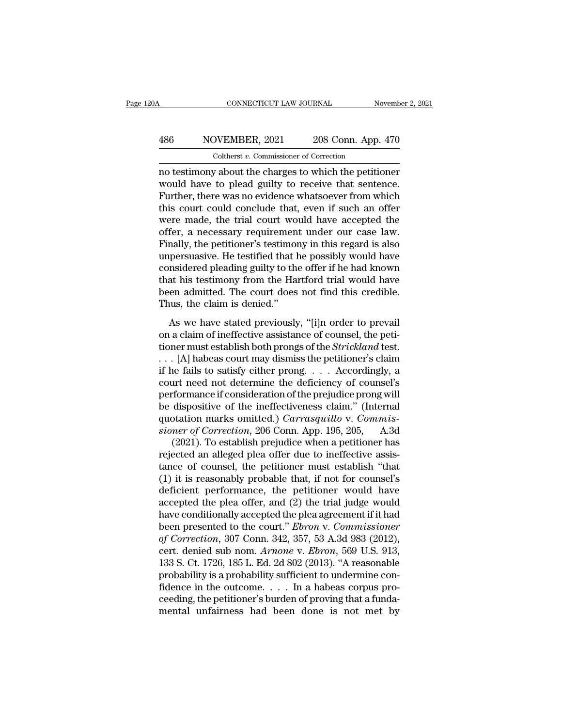# CONNECTICUT LAW JOURNAL November 2, 2021<br>486 NOVEMBER, 2021 208 Conn. App. 470<br>Coltherst v. Commissioner of Correction CONNECTICUT LAW JOURNAL<br>DVEMBER, 2021 208 Conn. App.<br>Coltherst *v.* Commissioner of Correction<br>V. about the charges to which the netitie

CONNECTICUT LAW JOURNAL November 2, 2021<br>
NOVEMBER, 2021 208 Conn. App. 470<br>
Coltherst v. Commissioner of Correction<br>
no testimony about the charges to which the petitioner<br>
would have to plead guilty to receive that sente  $\frac{486}{\text{Vol}}$  MOVEMBER, 2021 208 Conn. App. 470<br>
Coltherst v. Commissioner of Correction<br>
no testimony about the charges to which the petitioner<br>
would have to plead guilty to receive that sentence.<br>
Further, there was n  $\frac{486}{\text{Colthers } v. \text{ Commissioner of Correction}}$ <br>
Coltherst v. Commissioner of Correction<br>
no testimony about the charges to which the petitioner<br>
would have to plead guilty to receive that sentence.<br>
Further, there was no evidence whatsoever  $\frac{486}{\text{Colthers } v. \text{ Commissioner of Correction}}$ <br>
Coltherst *v*. Commissioner of Correction<br>
no testimony about the charges to which the petitioner<br>
would have to plead guilty to receive that sentence.<br>
Further, there was no evidence whatsoeve Coltherst *v*. Commissioner of Correction<br>no testimony about the charges to which the petitioner<br>would have to plead guilty to receive that sentence.<br>Further, there was no evidence whatsoever from which<br>this court could co Cotherst v. Commissioner of Correction<br>no testimony about the charges to which the petitioner<br>would have to plead guilty to receive that sentence.<br>Further, there was no evidence whatsoever from which<br>this court could concl no testimony about the charges to which the petitioner<br>would have to plead guilty to receive that sentence.<br>Further, there was no evidence whatsoever from which<br>this court could conclude that, even if such an offer<br>were ma would have to plead guilty to receive that sentence.<br>Further, there was no evidence whatsoever from which<br>this court could conclude that, even if such an offer<br>were made, the trial court would have accepted the<br>offer, a ne Further, there was no evidence whatsoever from which<br>this court could conclude that, even if such an offer<br>were made, the trial court would have accepted the<br>offer, a necessary requirement under our case law.<br>Finally, the this court could conclude that, even if such an offer<br>were made, the trial court would have accepted the<br>offer, a necessary requirement under our case law.<br>Finally, the petitioner's testimony in this regard is also<br>unpersu were made, the trial court would have accepted the<br>offer, a necessary requirement under our case law.<br>Finally, the petitioner's testimony in this regard is also<br>unpersuasive. He testified that he possibly would have<br>consid offer, a necessary requiremen<br>Finally, the petitioner's testimor<br>unpersuasive. He testified that l<br>considered pleading guilty to the<br>that his testimony from the Ha<br>been admitted. The court does<br>Thus, the claim is denied.'' As we have stated previously, "I have regard as also<br>persuasive. He testified that he possibly would have<br>nsidered pleading guilty to the offer if he had known<br>at his testimony from the Hartford trial would have<br>en admitte differential work into the district and the possibly would have<br>considered pleading guilty to the offer if he had known<br>that his testimony from the Hartford trial would have<br>been admitted. The court does not find this cred

that his testimony from the Hartford trial would have<br>been admitted. The court does not find this credible.<br>Thus, the claim is denied."<br>As we have stated previously, "[i]n order to prevail<br>on a claim of ineffective assista been admitted. The court does not find this credible.<br>Thus, the claim is denied."<br>As we have stated previously, "[i]n order to prevail<br>on a claim of ineffective assistance of counsel, the peti-<br>tioner must establish both Thus, the claim is denied."<br>
Thus, the claim is denied."<br>
As we have stated previously, "[i]n order to prevail<br>
on a claim of ineffective assistance of counsel, the peti-<br>
tioner must establish both prongs of the *Strickl* As we have stated previously, "[i]n order to prevail<br>on a claim of ineffective assistance of counsel, the peti-<br>tioner must establish both prongs of the *Strickland* test.<br> $\ldots$  [A] habeas court may dismiss the petitioner As we have stated previously, "[i]n order to prevail<br>on a claim of ineffective assistance of counsel, the peti-<br>tioner must establish both prongs of the *Strickland* test.<br>. . . [A] habeas court may dismiss the petitioner on a claim of ineffective assistance of counsel, the petitioner must establish both prongs of the *Strickland* test.<br>
. . . [A] habeas court may dismiss the petitioner's claim<br>
if he fails to satisfy either prong. . . . A tioner must establish both prongs of the *Strickland* test.<br>  $\ldots$  [A] habeas court may dismiss the petitioner's claim<br>
if he fails to satisfy either prong.  $\ldots$  Accordingly, a<br>
court need not determine the deficiency of *sioner Correction*, 206 Conn. App. 195, 205, A.3d (2021). To establish performance if consideration of the prejudice prong will be dispositive of the ineffectiveness claim." (Internal quotation marks omitted.) *Carrasquil* the fails to satisfy either prong. . . . Accordingly, a<br>
urt need not determine the deficiency of counsel's<br>
formance if consideration of the prejudice prong will<br>
dispositive of the ineffectiveness claim." (Internal<br>
ota court need not determine the deficiency of counsel's<br>performance if consideration of the prejudice prong will<br>be dispositive of the ineffectiveness claim." (Internal<br>quotation marks omitted.) *Carrasquillo* v. *Commis-<br>sio* 

performance if consideration of the prejudice prong will<br>be dispositive of the ineffectiveness claim." (Internal<br>quotation marks omitted.) *Carrasquillo* v. *Commis-<br>sioner of Correction*, 206 Conn. App. 195, 205, A.3d<br>(20 be dispositive of the ineffectiveness claim." (Internal<br>quotation marks omitted.) *Carrasquillo* v. *Commis-<br>sioner of Correction*, 206 Conn. App. 195, 205, A.3d<br>(2021). To establish prejudice when a petitioner has<br>reject quotation marks omitted.) *Carrasquillo* v. *Commissioner of Correction*, 206 Conn. App. 195, 205, A.3d (2021). To establish prejudice when a petitioner has rejected an alleged plea offer due to ineffective assistance of sioner of Correction, 206 Conn. App. 195, 205, A.3d (2021). To establish prejudice when a petitioner has rejected an alleged plea offer due to ineffective assistance of counsel, the petitioner must establish "that (1) it (2021). To establish prejudice when a petitioner has<br>rejected an alleged plea offer due to ineffective assis-<br>tance of counsel, the petitioner must establish "that<br>(1) it is reasonably probable that, if not for counsel's<br> rejected an alleged plea offer due to ineffective assistance of counsel, the petitioner must establish "that (1) it is reasonably probable that, if not for counsel's deficient performance, the petitioner would have accepte tance of counsel, the petitioner must establish "that (1) it is reasonably probable that, if not for counsel's deficient performance, the petitioner would have accepted the plea offer, and (2) the trial judge would have co (1) it is reasonably probable that, if not for counsel's deficient performance, the petitioner would have accepted the plea offer, and (2) the trial judge would have conditionally accepted the plea agreement if it had bee deficient performance, the petitioner would have<br>accepted the plea offer, and (2) the trial judge would<br>have conditionally accepted the plea agreement if it had<br>been presented to the court." *Ebron* v. *Commissioner*<br>of *C* accepted the plea offer, and (2) the trial judge would<br>have conditionally accepted the plea agreement if it had<br>been presented to the court." *Ebron* v. Commissioner<br>of Correction, 307 Conn. 342, 357, 53 A.3d 983 (2012),<br> have conditionally accepted the plea agreement if it had<br>been presented to the court." *Ebron v. Commissioner*<br>of Correction, 307 Conn. 342, 357, 53 A.3d 983 (2012),<br>cert. denied sub nom. *Arnone v. Ebron*, 569 U.S. 913,<br> been presented to the court." *Ebron v. Commissioner*<br>of Correction, 307 Conn. 342, 357, 53 A.3d 983 (2012),<br>cert. denied sub nom. *Arnone v. Ebron*, 569 U.S. 913,<br>133 S. Ct. 1726, 185 L. Ed. 2d 802 (2013). "A reasonable<br>p of Correction, 307 Conn. 342, 357, 53 A.3d 983 (2012),<br>cert. denied sub nom. Arnone v. Ebron, 569 U.S. 913,<br>133 S. Ct. 1726, 185 L. Ed. 2d 802 (2013). "A reasonable<br>probability is a probability sufficient to undermine con-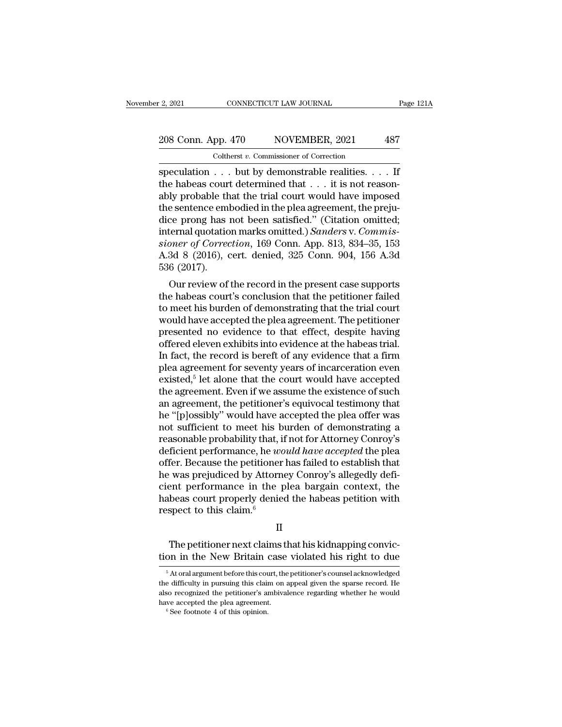# 2, 2021 CONNECTICUT LAW JOURNAL Page 121A<br>208 Conn. App. 470 NOVEMBER, 2021 487<br>Coltherst v. Commissioner of Correction

2, 2021 CONNECTICUT LAW JOURNAL<br>
208 Conn. App. 470 NOVEMBER, 2021 487<br>
Coltherst *v*. Commissioner of Correction<br>
speculation . . . but by demonstrable realities. . . . If<br>
the habeas court determined that . . . it is not speculation . . . but by demonstrable realities. . . . If<br>the habeas court determined that . . . it is not reason-<br>ably probable that the trial court would have imposed 208 Conn. App. 470 NOVEMBER, 2021 487<br>
Coltherst v. Commissioner of Correction<br>
speculation . . . but by demonstrable realities. . . . If<br>
the habeas court determined that . . . it is not reason-<br>
ably probable that the t 208 Conn. App. 470 NOVEMBER, 2021 487<br>
Coltherst v. Commissioner of Correction<br>
speculation . . . but by demonstrable realities. . . . If<br>
the habeas court determined that . . . it is not reason-<br>
ably probable that the t Coltherst v. Commissioner of Correction<br>
speculation . . . but by demonstrable realities. . . . If<br>
the habeas court determined that . . . it is not reason-<br>
ably probable that the trial court would have imposed<br>
the sent Coltherst *v*. Commissioner of Correction<br>
speculation . . . but by demonstrable realities. . . . If<br>
the habeas court determined that . . . it is not reason-<br>
ably probable that the trial court would have imposed<br>
the sen speculation . . . but by demonstrable realities. . . . If<br>the habeas court determined that . . . it is not reason-<br>ably probable that the trial court would have imposed<br>the sentence embodied in the plea agreement, the prej the habeas court determined that . . . it is not reasonably probable that the trial court would have imposed the sentence embodied in the plea agreement, the prejudice prong has not been satisfied." (Citation omitted; int ably probable that the trial court would have imposed<br>the sentence embodied in the plea agreement, the preju-<br>dice prong has not been satisfied." (Citation omitted;<br>internal quotation marks omitted.) Sanders v. Commis-<br>si e sentence embouled in the plea agreement, the preju-<br>ce prong has not been satisfied." (Citation omitted;<br>ternal quotation marks omitted.) *Sanders* v. *Commis-<br>pner of Correction*, 169 Conn. App. 813, 834–35, 153<br>3d 8 (2 the profile has not been satisfied. (Citation officient,<br>internal quotation marks omitted.) Sanders v. Commis-<br>sioner of Correction, 169 Conn. App. 813, 834–35, 153<br>A.3d 8 (2016), cert. denied, 325 Conn. 904, 156 A.3d<br>536

the rial quotation matks of the trial point of science of Correction, 169 Conn. App. 813, 834–35, 153<br>A.3d 8 (2016), cert. denied, 325 Conn. 904, 156 A.3d<br>536 (2017).<br>Our review of the record in the present case supports<br>t stoner of Correction, 109 Cofil. App. 813, 834–35, 153<br>A.3d 8 (2016), cert. denied, 325 Conn. 904, 156 A.3d<br>536 (2017).<br>Our review of the record in the present case supports<br>the habeas court's conclusion that the petition A.5d  $\sigma$  (2010), Cert. defiled, 525 Confi. 504, 150 A.5d<br>536 (2017).<br>Our review of the record in the present case supports<br>the habeas court's conclusion that the petitioner failed<br>to meet his burden of demonstrating that Our review of the record in the present case supports<br>the habeas court's conclusion that the petitioner failed<br>to meet his burden of demonstrating that the trial court<br>would have accepted the plea agreement. The petitione Our review of the record in the present case supports<br>the habeas court's conclusion that the petitioner failed<br>to meet his burden of demonstrating that the trial court<br>would have accepted the plea agreement. The petitione the habeas court's conclusion that the petitioner failed<br>to meet his burden of demonstrating that the trial court<br>would have accepted the plea agreement. The petitioner<br>presented no evidence to that effect, despite having<br> existed,<sup>5</sup> let alone that the court would have accepted is burden of demonstrating that the trial court<br>ve accepted the plea agreement. The petitioner<br>d no evidence to that effect, despite having<br>leven exhibits into evidence at the habeas trial.<br>ne record is bereft of any evide would have accepted the plea agreement. The petitioner<br>presented no evidence to that effect, despite having<br>offered eleven exhibits into evidence at the habeas trial.<br>In fact, the record is bereft of any evidence that a fi presented no evidence to that effect, despite having<br>offered eleven exhibits into evidence at the habeas trial.<br>In fact, the record is bereft of any evidence that a firm<br>plea agreement for seventy years of incarceration ev offered eleven exhibits into evidence at the habeas trial.<br>In fact, the record is bereft of any evidence that a firm<br>plea agreement for seventy years of incarceration even<br>existed,<sup>5</sup> let alone that the court would have ac In fact, the record is bereft of any evidence that a firm<br>plea agreement for seventy years of incarceration even<br>existed,<sup>5</sup> let alone that the court would have accepted<br>the agreement. Even if we assume the existence of s plea agreement for seventy years of incarceration even<br>existed,<sup>5</sup> let alone that the court would have accepted<br>the agreement. Even if we assume the existence of such<br>an agreement, the petitioner's equivocal testimony that existed,<sup>5</sup> let alone that the court would have accepted<br>the agreement. Even if we assume the existence of such<br>an agreement, the petitioner's equivocal testimony that<br>he "[p]ossibly" would have accepted the plea offer was the agreement. Even if we assume the existence of such<br>an agreement, the petitioner's equivocal testimony that<br>he "[p]ossibly" would have accepted the plea offer was<br>not sufficient to meet his burden of demonstrating a<br>rea an agreement, the petitioner's equivocal testimony that<br>he "[p]ossibly" would have accepted the plea offer was<br>not sufficient to meet his burden of demonstrating a<br>reasonable probability that, if not for Attorney Conroy's<br> he "[p]ossibly" would have accepted the plea offer was<br>not sufficient to meet his burden of demonstrating a<br>reasonable probability that, if not for Attorney Conroy's<br>deficient performance, he *would have accepted* the plea not sufficient to meet his burden of demonstrating a<br>reasonable probability that, if not for Attorney Conroy's<br>deficient performance, he *would have accepted* the plea<br>offer. Because the petitioner has failed to establish reasonable probability that, i<br>deficient performance, he we<br>offer. Because the petitioner<br>he was prejudiced by Attorn<br>cient performance in the p<br>habeas court properly denie<br>respect to this claim.<sup>6</sup> % was prejudiced by Attorney Conroy's allegedly defient performance in the plea bargain context, the beas court properly denied the habeas petition with spect to this claim.<sup>6</sup><br>II<br>The petitioner next claims that his kidnap cient performance in the plea bargain context, the<br>habeas court properly denied the habeas petition with<br>respect to this claim.<sup>6</sup><br>II<br>The petitioner next claims that his kidnapping convic-<br>tion in the New Britain case viol

II<br>The petitioner next claims that his kidnapping conviction in the New Britain case violated his right to due<br><sup>5</sup> At oral argument before this court, the petitioner's counsel acknowledged<br>e difficulty in pursuing this cla The petitioner next claims that his kidnapping conviction<br>in the New Britain case violated his right to due<br><sup>5</sup> At oral argument before this court, the petitioner's counsel acknowledged<br>the difficulty in pursuing this clai The petitioner next claims that his kidnapping conviction in the New Britain case violated his right to due  $\frac{1}{10}$  Atoral argument before this court, the petitioner's counsel acknowledged the difficulty in pursuing th  $\frac{1}{6}$  and  $\frac{1}{6}$  are pearlel the New Britain case<br>  $\frac{1}{6}$  At oral argument before this court, the<br>
the difficulty in pursuing this claim on a<br>
lalso recognized the peta agreement.<br>  $\frac{1}{6}$  See footnote 4 of th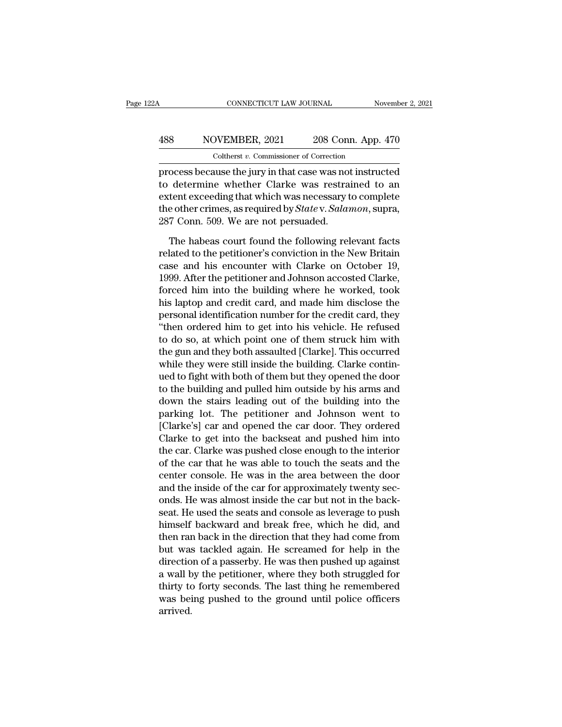# CONNECTICUT LAW JOURNAL November 2, 2021<br>
488 NOVEMBER, 2021 208 Conn. App. 470<br>
Coltherst v. Commissioner of Correction CONNECTICUT LAW JOURNAL<br>
VEMBER, 2021 208 Conn. App.<br>
Coltherst *v.* Commissioner of Correction<br>
ause the jury in that case was not instru

cONNECTICUT LAW JOURNAL November 2, 2021<br>
NOVEMBER, 2021 208 Conn. App. 470<br>
Coltherst v. Commissioner of Correction<br>
process because the jury in that case was not instructed<br>
to determine whether Clarke was restrained to  $1488$  NOVEMBER, 2021 208 Conn. App. 470<br>  $\frac{\text{Colthers } v. \text{ Commissioner of Correction}}{\text{process because the jury in that case was not instructed} \text{to determine whether Clarke was restricted to an extent exceeding that which was necessary to complete} \text{the other primes, as required by States. Selaman, curve.}$ 488 NOVEMBER, 2021 208 Conn. App. 470<br>
Coltherst v. Commissioner of Correction<br>
process because the jury in that case was not instructed<br>
to determine whether Clarke was restrained to an<br>
extent exceeding that which was n 188 NOVEMBER, 2021 208 Conn. App. 470<br>
Coltherst *v*. Commissioner of Correction<br>
process because the jury in that case was not instructed<br>
to determine whether Clarke was restrained to an<br>
extent exceeding that which was Coltherst v. Commissioner of Correction<br>process because the jury in that case was not<br>to determine whether Clarke was restra<br>extent exceeding that which was necessary t<br>the other crimes, as required by *State* v. *Salar*<br>2 ocess because the jury in that case was not instructed<br>determine whether Clarke was restrained to an<br>tent exceeding that which was necessary to complete<br>e other crimes, as required by *State* v. *Salamon*, supra,<br>7 Conn. 5 related to determine whether Clarke was restrained to an extent exceeding that which was necessary to complete<br>the other crimes, as required by *State* v. *Salamon*, supra,<br>287 Conn. 509. We are not persuaded.<br>The habeas c

extent exceeding that which was necessary to complete<br>the other crimes, as required by *State* v. *Salamon*, supra,<br>287 Conn. 509. We are not persuaded.<br>The habeas court found the following relevant facts<br>related to the pe the other crimes, as required by *State* v. *Salamon*, supra, 287 Conn. 509. We are not persuaded.<br>The habeas court found the following relevant facts related to the petitioner's conviction in the New Britain case and his 287 Conn. 509. We are not persuaded.<br>The habeas court found the following relevant facts<br>related to the petitioner's conviction in the New Britain<br>case and his encounter with Clarke on October 19,<br>1999. After the petitione The habeas court found the following relevant facts<br>related to the petitioner's conviction in the New Britain<br>case and his encounter with Clarke on October 19,<br>1999. After the petitioner and Johnson accosted Clarke,<br>forced The habeas court found the following relevant facts<br>related to the petitioner's conviction in the New Britain<br>case and his encounter with Clarke on October 19,<br>1999. After the petitioner and Johnson accosted Clarke,<br>forced related to the petitioner's conviction in the New Britain<br>case and his encounter with Clarke on October 19,<br>1999. After the petitioner and Johnson accosted Clarke,<br>forced him into the building where he worked, took<br>his lap case and his encounter with Clarke on October 19,<br>1999. After the petitioner and Johnson accosted Clarke,<br>forced him into the building where he worked, took<br>his laptop and credit card, and made him disclose the<br>personal id 1999. After the petitioner and Johnson accosted Clarke,<br>forced him into the building where he worked, took<br>his laptop and credit card, and made him disclose the<br>personal identification number for the credit card, they<br>"the forced him into the building where he worked, took<br>his laptop and credit card, and made him disclose the<br>personal identification number for the credit card, they<br>"then ordered him to get into his vehicle. He refused<br>to do his laptop and credit card, and made him disclose the<br>personal identification number for the credit card, they<br>"then ordered him to get into his vehicle. He refused<br>to do so, at which point one of them struck him with<br>the personal identification number for the credit card, they<br>
"then ordered him to get into his vehicle. He refused<br>
to do so, at which point one of them struck him with<br>
the gun and they both assaulted [Clarke]. This occurred "then ordered him to get into his vehicle. He refused<br>to do so, at which point one of them struck him with<br>the gun and they both assaulted [Clarke]. This occurred<br>while they were still inside the building. Clarke contin-<br>u to do so, at which point one of them struck him with<br>the gun and they both assaulted [Clarke]. This occurred<br>while they were still inside the building. Clarke contin-<br>ued to fight with both of them but they opened the door the gun and they both assaulted [Clarke]. This occurred<br>while they were still inside the building. Clarke contin-<br>ued to fight with both of them but they opened the door<br>to the building and pulled him outside by his arms a while they were still inside the building. Clarke contin-<br>ued to fight with both of them but they opened the door<br>to the building and pulled him outside by his arms and<br>down the stairs leading out of the building into the<br> ued to fight with both of them but they opened the door<br>to the building and pulled him outside by his arms and<br>down the stairs leading out of the building into the<br>parking lot. The petitioner and Johnson went to<br>[Clarke's] to the building and pulled him outside by his arms and<br>down the stairs leading out of the building into the<br>parking lot. The petitioner and Johnson went to<br>[Clarke's] car and opened the car door. They ordered<br>Clarke to get down the stairs leading out of the building into the<br>parking lot. The petitioner and Johnson went to<br>[Clarke's] car and opened the car door. They ordered<br>Clarke to get into the backseat and pushed him into<br>the car. Clarke parking lot. The petitioner and Johnson went to<br>[Clarke's] car and opened the car door. They ordered<br>Clarke to get into the backseat and pushed him into<br>the car. Clarke was pushed close enough to the interior<br>of the car th [Clarke's] car and opened the car door. They ordered<br>Clarke to get into the backseat and pushed him into<br>the car. Clarke was pushed close enough to the interior<br>of the car that he was able to touch the seats and the<br>center Clarke to get into the backseat and pushed him into<br>the car. Clarke was pushed close enough to the interior<br>of the car that he was able to touch the seats and the<br>center console. He was in the area between the door<br>and the the car. Clarke was pushed close enough to the interior<br>of the car that he was able to touch the seats and the<br>center console. He was in the area between the door<br>and the inside of the car for approximately twenty sec-<br>ond of the car that he was able to touch the seats and the<br>center console. He was in the area between the door<br>and the inside of the car for approximately twenty sec-<br>onds. He was almost inside the car but not in the back-<br>sea center console. He was in the area between the door<br>and the inside of the car for approximately twenty sec-<br>onds. He was almost inside the car but not in the back-<br>seat. He used the seats and console as leverage to push<br>hi and the inside of the car for approximately twenty sec-<br>onds. He was almost inside the car but not in the back-<br>seat. He used the seats and console as leverage to push<br>himself backward and break free, which he did, and<br>the onds. He was almost inside the car but not in the back-<br>seat. He used the seats and console as leverage to push<br>himself backward and break free, which he did, and<br>then ran back in the direction that they had come from<br>but seat. He used the seats and console as leverage to push<br>himself backward and break free, which he did, and<br>then ran back in the direction that they had come from<br>but was tackled again. He screamed for help in the<br>direction himself backward and break free, which he did, and<br>then ran back in the direction that they had come from<br>but was tackled again. He screamed for help in the<br>direction of a passerby. He was then pushed up against<br>a wall by arrived.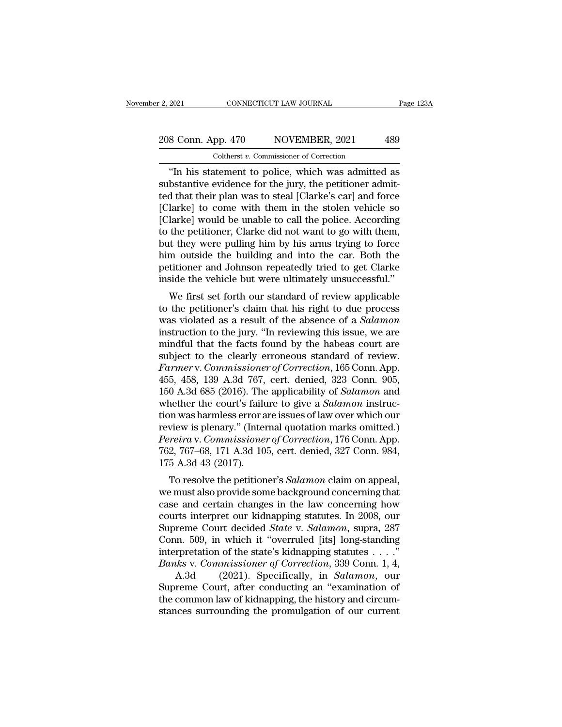# 2, 2021 CONNECTICUT LAW JOURNAL Page 123A<br>208 Conn. App. 470 NOVEMBER, 2021 489<br>Coltherst v. Commissioner of Correction Coltherst *v.* Commissioner of Correction

<sup>2021</sup> CONNECTICUT LAW JOURNAL Page 123A<br>
8 Conn. App. 470 NOVEMBER, 2021 489<br>
Coltherst v. Commissioner of Correction<br>
"In his statement to police, which was admitted as<br>
bstantive evidence for the jury, the petitioner ad 208 Conn. App. 470 NOVEMBER, 2021 489<br>
Coltherst v. Commissioner of Correction<br>
"In his statement to police, which was admitted as<br>
substantive evidence for the jury, the petitioner admit-<br>
ted that their plan was to steal 208 Conn. App. 470 NOVEMBER, 2021 489<br>
Coltherst v. Commissioner of Correction<br>
"In his statement to police, which was admitted as<br>
substantive evidence for the jury, the petitioner admitted that their plan was to steal [ 208 Conn. App. 470 NOVEMBER, 2021 489<br>
Coltherst *v*. Commissioner of Correction<br>
"In his statement to police, which was admitted as<br>
substantive evidence for the jury, the petitioner admit-<br>
ted that their plan was to st Coltherst v. Commissioner of Correction<br>
"In his statement to police, which was admitted as<br>
substantive evidence for the jury, the petitioner admit-<br>
ted that their plan was to steal [Clarke's car] and force<br>
[Clarke] to Coltherst  $v$ . Commissioner of Correction<br>
"In his statement to police, which was admitted as<br>
substantive evidence for the jury, the petitioner admit-<br>
ted that their plan was to steal [Clarke's car] and force<br>
[Clarke] "In his statement to police, which was admitted as<br>substantive evidence for the jury, the petitioner admit-<br>ted that their plan was to steal [Clarke's car] and force<br>[Clarke] to come with them in the stolen vehicle so<br>[Cla substantive evidence for the jury, the petitioner admitted that their plan was to steal [Clarke's car] and force [Clarke] to come with them in the stolen vehicle so [Clarke] would be unable to call the police. According to ted that their plan was to steal [Clarke's car] and force<br>[Clarke] to come with them in the stolen vehicle so<br>[Clarke] would be unable to call the police. According<br>to the petitioner, Clarke did not want to go with them,<br>b [Clarke] to come with them in the stolen vehicle so<br>[Clarke] would be unable to call the police. According<br>to the petitioner, Clarke did not want to go with them,<br>but they were pulling him by his arms trying to force<br>him o rative] would be unable to call the police. According<br>the petitioner, Clarke did not want to go with them,<br>it they were pulling him by his arms trying to force<br>m outside the building and into the car. Both the<br>titioner and to the petholen, Claike did not want to go with them,<br>but they were pulling him by his arms trying to force<br>him outside the building and into the car. Both the<br>petitioner and Johnson repeatedly tried to get Clarke<br>inside t

but they were pulling intit by its artis trying to force<br>him outside the building and into the car. Both the<br>petitioner and Johnson repeatedly tried to get Clarke<br>inside the vehicle but were ultimately unsuccessful."<br>We fi full min but the bunding and into the car. Both the<br>petitioner and Johnson repeatedly tried to get Clarke<br>inside the vehicle but were ultimately unsuccessful."<br>We first set forth our standard of review applicable<br>to the pe petrioner and solution repeatedly thed to get characteristic spherical that the vehicle but were ultimately unsuccessful."<br>We first set forth our standard of review applicable<br>to the petitioner's claim that his right to d We first set forth our standard of review applicable<br>to the petitioner's claim that his right to due process<br>was violated as a result of the absence of a *Salamon*<br>instruction to the jury. "In reviewing this issue, we are We first set forth our standard of review applicable<br>to the petitioner's claim that his right to due process<br>was violated as a result of the absence of a *Salamon*<br>instruction to the jury. "In reviewing this issue, we are<br> to the petitioner's claim that his right to due process<br>was violated as a result of the absence of a *Salamon*<br>instruction to the jury. "In reviewing this issue, we are<br>mindful that the facts found by the habeas court are<br> was violated as a result of the absence of a *Salamon*<br>instruction to the jury. "In reviewing this issue, we are<br>mindful that the facts found by the habeas court are<br>subject to the clearly erroneous standard of review.<br>*Fa* instruction to the jury. "In reviewing this issue, we are<br>mindful that the facts found by the habeas court are<br>subject to the clearly erroneous standard of review.<br>Farmer v. Commissioner of Correction, 165 Conn. App.<br>455, mindful that the facts found by the habeas court are<br>subject to the clearly erroneous standard of review.<br>Farmer v. Commissioner of Correction, 165 Conn. App.<br>455, 458, 139 A.3d 767, cert. denied, 323 Conn. 905,<br>150 A.3d 6 subject to the clearly erroneous standard of review.<br>Farmer v. Commissioner of Correction, 165 Conn. App.<br>455, 458, 139 A.3d 767, cert. denied, 323 Conn. 905,<br>150 A.3d 685 (2016). The applicability of *Salamon* and<br>whether *Farmer* v. *Commissioner of Correction*, 165 Conn. App.<br>455, 458, 139 A.3d 767, cert. denied, 323 Conn. 905,<br>150 A.3d 685 (2016). The applicability of *Salamon* and<br>whether the court's failure to give a *Salamon* instruc-455, 458, 139 A.3d 767, cert. denied, 323 Conn. 905, 150 A.3d 685 (2016). The applicability of *Salamon* and whether the court's failure to give a *Salamon* instruction was harmless error are issues of law over which our r 150 A.3d 685 (2016). The applicability of *Salamon* and<br>whether the court's failure to give a *Salamon* instruc-<br>tion was harmless error are issues of law over which our<br>review is plenary." (Internal quotation marks omitt retificially the court strainer to give a *Sulamon* instruction was harmless error are issues of law over which our view is plenary." (Internal quotation marks omitted.) *reira v. Commissioner of Correction*, 176 Conn. App Free ivan also provides below are issues of law over which our<br>review is plenary." (Internal quotation marks omitted.)<br>*Pereira* v. *Commissioner of Correction*, 176 Conn. App.<br>762, 767–68, 171 A.3d 105, cert. denied, 327

Fereira v. Commissioner of Correction, 176 Conn. App.<br>762, 767–68, 171 A.3d 105, cert. denied, 327 Conn. 984,<br>175 A.3d 43 (2017).<br>To resolve the petitioner's *Salamon* claim on appeal,<br>we must also provide some background Fereira v. Commissioner of Correction, 170 Collit. App.<br>762, 767–68, 171 A.3d 105, cert. denied, 327 Conn. 984,<br>175 A.3d 43 (2017).<br>To resolve the petitioner's *Salamon* claim on appeal,<br>we must also provide some backgroun Foz, 101–06, 111 A.5d 105, Cert. defiled, 327 Collit. 364,<br>175 A.3d 43 (2017).<br>To resolve the petitioner's *Salamon* claim on appeal,<br>we must also provide some background concerning that<br>case and certain changes in the law Tro A.5d 45 (2017).<br>
To resolve the petitioner's *Salamon* claim on appeal,<br>
we must also provide some background concerning that<br>
case and certain changes in the law concerning how<br>
courts interpret our kidnapping statut To resolve the petitioner's *Salamon* claim on appeal,<br>we must also provide some background concerning that<br>case and certain changes in the law concerning how<br>courts interpret our kidnapping statutes. In 2008, our<br>Supreme *Banks* we must also provide some background concerning that<br>
case and certain changes in the law concerning how<br>
courts interpret our kidnapping statutes. In 2008, our<br>
Supreme Court decided *State* v. *Salamon*, supra, 2 e and certain changes in the law concerning how<br>rts interpret our kidnapping statutes. In 2008, our<br>reme Court decided *State* v. *Salamon*, supra, 287<br>nn. 509, in which it "overruled [its] long-standing<br>rpretation of the courts interpret our kidnapping statutes. In 2008, our<br>Supreme Court decided *State* v. *Salamon*, supra, 287<br>Conn. 509, in which it "overruled [its] long-standing<br>interpretation of the state's kidnapping statutes . . . ."

Supreme Court decided *State* v. *Salamon*, supra, 287<br>Conn. 509, in which it "overruled [its] long-standing<br>interpretation of the state's kidnapping statutes . . . ."<br>*Banks* v. *Commissioner of Correction*, 339 Conn. 1, Conn. 509, in which it "overruled [its] long-standing<br>interpretation of the state's kidnapping statutes . . . ."<br>Banks v. Commissioner of Correction, 339 Conn. 1, 4,<br>A.3d (2021). Specifically, in *Salamon*, our<br>Supreme Co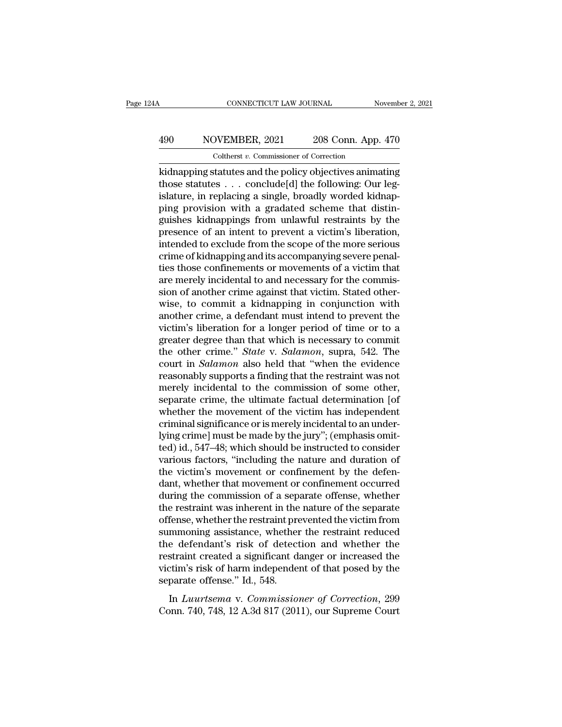# CONNECTICUT LAW JOURNAL November 2, 2021<br>
490 NOVEMBER, 2021 208 Conn. App. 470<br>
Coltherst v. Commissioner of Correction CONNECTICUT LAW JOURNAL<br>DVEMBER, 2021 208 Conn. App.<br>Coltherst *v*. Commissioner of Correction<br>statutes and the policy objectives anima

CONNECTICUT LAW JOURNAL November 2, 2021<br>
NOVEMBER, 2021 208 Conn. App. 470<br>
Coltherst v. Commissioner of Correction<br>
Ridnapping statutes and the policy objectives animating<br>
those statutes . . . conclude[d] the following: 190 NOVEMBER, 2021 208 Conn. App. 470<br>
Coltherst v. Commissioner of Correction<br>
kidnapping statutes and the policy objectives animating<br>
those statutes . . . conclude[d] the following: Our leg-<br>
islature, in replacing a si 490 NOVEMBER, 2021 208 Conn. App. 470<br>
Coltherst v. Commissioner of Correction<br>
kidnapping statutes and the policy objectives animating<br>
those statutes . . . conclude[d] the following: Our leg-<br>
islature, in replacing a s 490 NOVEMBER, 2021 208 Conn. App. 470<br>
Coltherst v. Commissioner of Correction<br>
kidnapping statutes and the policy objectives animating<br>
those statutes . . . conclude[d] the following: Our leg-<br>
islature, in replacing a s Coltherst v. Commissioner of Correction<br>
kidnapping statutes and the policy objectives animating<br>
those statutes . . . conclude[d] the following: Our leg-<br>
islature, in replacing a single, broadly worded kidnap-<br>
ping pro Cotherst  $v$ . Commissioner of Correction<br>
kidnapping statutes  $\ldots$  conclude[d] the following: Our leg-<br>
islature, in replacing a single, broadly worded kidnap-<br>
ping provision with a gradated scheme that distin-<br>
guishes kidnapping statutes and the policy objectives animating<br>those statutes . . . conclude[d] the following: Our leg-<br>islature, in replacing a single, broadly worded kidnap-<br>ping provision with a gradated scheme that distin-<br>gu those statutes  $\ldots$  conclude[d] the following: Our leg-<br>islature, in replacing a single, broadly worded kidnap-<br>ping provision with a gradated scheme that distin-<br>guishes kidnappings from unlawful restraints by the<br>prese islature, in replacing a single, broadly worded kidnapping provision with a gradated scheme that distinguishes kidnappings from unlawful restraints by the presence of an intent to prevent a victim's liberation, intended to ping provision with a gradated scheme that distinguishes kidnappings from unlawful restraints by the presence of an intent to prevent a victim's liberation, intended to exclude from the scope of the more serious crime of k guishes kidnappings from unlawful restraints by the presence of an intent to prevent a victim's liberation, intended to exclude from the scope of the more serious crime of kidnapping and its accompanying severe penalties t presence of an intent to prevent a victim's liberation,<br>intended to exclude from the scope of the more serious<br>crime of kidnapping and its accompanying severe penal-<br>ties those confinements or movements of a victim that<br>ar intended to exclude from the scope of the more serious<br>crime of kidnapping and its accompanying severe penal-<br>ties those confinements or movements of a victim that<br>are merely incidental to and necessary for the commis-<br>sio crime of kidnapping and its accompanying severe penalties those confinements or movements of a victim that<br>are merely incidental to and necessary for the commis-<br>sion of another crime against that victim. Stated other-<br>wis ties those confinements or movements of a victim that<br>are merely incidental to and necessary for the commis-<br>sion of another crime against that victim. Stated other-<br>wise, to commit a kidnapping in conjunction with<br>another are merely incidental to and necessary for the commission of another crime against that victim. Stated otherwise, to commit a kidnapping in conjunction with another crime, a defendant must intend to prevent the victim's li sion of another crime against that victim. Stated other-<br>wise, to commit a kidnapping in conjunction with<br>another crime, a defendant must intend to prevent the<br>victim's liberation for a longer period of time or to a<br>greate wise, to commit a kidnapping in conjunction with<br>another crime, a defendant must intend to prevent the<br>victim's liberation for a longer period of time or to a<br>greater degree than that which is necessary to commit<br>the other another crime, a defendant must intend to prevent the victim's liberation for a longer period of time or to a greater degree than that which is necessary to commit the other crime." *State* v. *Salamon*, supra, 542. The co victim's liberation for a longer period of time or to a<br>greater degree than that which is necessary to commit<br>the other crime." *State* v. *Salamon*, supra, 542. The<br>court in *Salamon* also held that "when the evidence<br>rea greater degree than that which is necessary to commit<br>the other crime." *State* v. *Salamon*, supra, 542. The<br>court in *Salamon* also held that "when the evidence<br>reasonably supports a finding that the restraint was not<br>me the other crime." *State* v. *Salamon*, supra, 542. The court in *Salamon* also held that "when the evidence reasonably supports a finding that the restraint was not merely incidental to the commission of some other, sepa court in *Salamon* also held that "when the evidence<br>reasonably supports a finding that the restraint was not<br>merely incidental to the commission of some other,<br>separate crime, the ultimate factual determination [of<br>whethe reasonably supports a finding that the restraint was not<br>merely incidental to the commission of some other,<br>separate crime, the ultimate factual determination [of<br>whether the movement of the victim has independent<br>criminal merely incidental to the commission of some other,<br>separate crime, the ultimate factual determination [of<br>whether the movement of the victim has independent<br>criminal significance or is merely incidental to an under-<br>lying separate crime, the ultimate factual determination [of<br>whether the movement of the victim has independent<br>criminal significance or is merely incidental to an under-<br>lying crime] must be made by the jury"; (emphasis omit-<br>t whether the movement of the victim has independent<br>criminal significance or is merely incidental to an under-<br>lying crime] must be made by the jury"; (emphasis omit-<br>ted) id., 547–48; which should be instructed to consider criminal significance or is merely incidental to an underlying crime] must be made by the jury"; (emphasis omitted) id., 547–48; which should be instructed to consider various factors, "including the nature and duration of lying crime] must be made by the jury"; (emphasis omit-<br>ted) id., 547–48; which should be instructed to consider<br>various factors, "including the nature and duration of<br>the victim's movement or confinement by the defen-<br>dan ted) id., 547–48; which should be instructed to consider<br>various factors, "including the nature and duration of<br>the victim's movement or confinement by the defen-<br>dant, whether that movement or confinement occurred<br>during various factors, "including the nature and duration of<br>the victim's movement or confinement by the defen-<br>dant, whether that movement or confinement occurred<br>during the commission of a separate offense, whether<br>the restrai the victim's movement or confinement by the defen-<br>dant, whether that movement or confinement occurred<br>during the commission of a separate offense, whether<br>the restraint was inherent in the nature of the separate<br>offense, dant, whether that movement or confinement occurred<br>during the commission of a separate offense, whether<br>the restraint was inherent in the nature of the separate<br>offense, whether the restraint prevented the victim from<br>sum during the commission of a separate offense, whether<br>the restraint was inherent in the nature of the separate<br>offense, whether the restraint prevented the victim from<br>summoning assistance, whether the restraint reduced<br>the the restraint was inherent in the<br>offense, whether the restraint pre<br>summoning assistance, whether<br>the defendant's risk of detect<br>restraint created a significant d<br>victim's risk of harm independe<br>separate offense.'' Id., 5 In *Luurtsema* v. *Commissioner* of Correction and the Mether the straint created a significant danger or increased the straint created a significant danger or increased the ctim's risk of harm independent of that posed by Examinoming associately, wherever are resolution reduced<br>the defendant's risk of detection and whether the<br>restraint created a significant danger or increased the<br>victim's risk of harm independent of that posed by the<br>sepa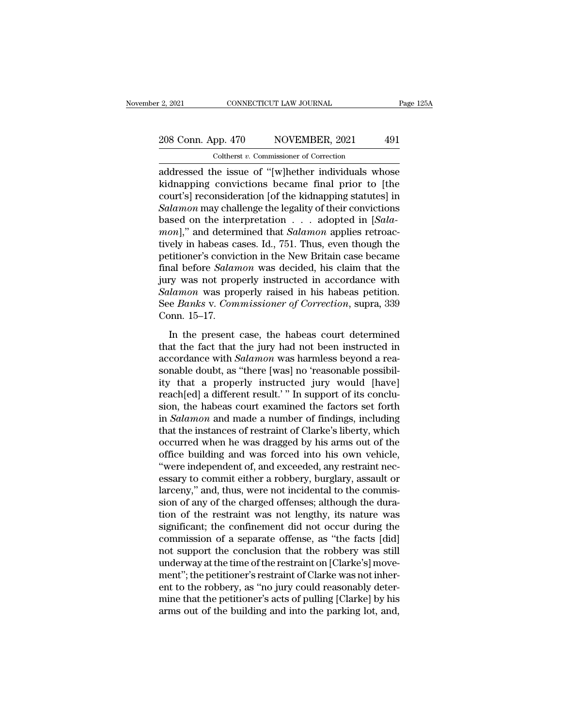# 2, 2021 CONNECTICUT LAW JOURNAL Page 125A<br>208 Conn. App. 470 NOVEMBER, 2021 491<br>Coltherst v. Commissioner of Correction Coltherst *v.* Commissioner of Correction

2, 2021 CONNECTICUT LAW JOURNAL Page 125A<br>
208 Conn. App. 470 NOVEMBER, 2021 491<br>
Coltherst v. Commissioner of Correction<br>
addressed the issue of "[w]hether individuals whose<br>
kidnapping convictions became final prior to [ 208 Conn. App. 470 NOVEMBER, 2021 491<br>
Coltherst v. Commissioner of Correction<br>
addressed the issue of "[w]hether individuals whose<br>
kidnapping convictions became final prior to [the<br>
court's] reconsideration [of the kidna 208 Conn. App. 470 NOVEMBER, 2021 491<br>
Coltherst v. Commissioner of Correction<br>
addressed the issue of "[w]hether individuals whose<br>
kidnapping convictions became final prior to [the<br>
court's] reconsideration [of the kidn 208 Conn. App. 470 NOVEMBER, 2021 491<br>
Coltherst *v*. Commissioner of Correction<br>
addressed the issue of "[w]hether individuals whose<br>
kidnapping convictions became final prior to [the<br>
court's] reconsideration [of the kid Coltherst *v*. Commissioner of Correction<br>addressed the issue of "[w]hether individuals whose<br>kidnapping convictions became final prior to [the<br>court's] reconsideration [of the kidnapping statutes] in<br>Salamon may challenge Conternat *v*. Commissioner of Correction<br>
addressed the issue of "[w]hether individuals whose<br>
kidnapping convictions became final prior to [the<br>
court's] reconsideration [of the kidnapping statutes] in<br> *Salamon* may cha addressed the issue of "[w]hether individuals whose<br>kidnapping convictions became final prior to [the<br>court's] reconsideration [of the kidnapping statutes] in<br>Salamon may challenge the legality of their convictions<br>based o kidnapping convictions became final prior to [the<br>court's] reconsideration [of the kidnapping statutes] in<br>Salamon may challenge the legality of their convictions<br>based on the interpretation  $\ldots$  adopted in [Sala-<br>mon]," court's] reconsideration [of the kidnapping statutes] in *Salamon* may challenge the legality of their convictions based on the interpretation . . . adopted in [*Salamon*]," and determined that *Salamon* applies retroactiv Salamon may challenge the legality of their convictions<br>based on the interpretation  $\ldots$  adopted in [Sala-<br>mon]," and determined that Salamon applies retroac-<br>tively in habeas cases. Id., 751. Thus, even though the<br>petit based on the interpretation . . . adopted in [*Salamon*]," and determined that *Salamon* applies retroactively in habeas cases. Id., 751. Thus, even though the petitioner's conviction in the New Britain case became final b mon]," and determined that *Salamon* applies retroactively in habeas cases. Id., 751. Thus, even though the petitioner's conviction in the New Britain case became final before *Salamon* was decided, his claim that the jury tively in habeas convident<br>petitioner's convident<br>final before *Salan*<br>jury was not prop<br>*Salamon* was pro<br>See *Banks* v. Com<br>Conn. 15–17.<br>In the present al before *Salamon* was decided, his claim that the<br>ry was not properly instructed in accordance with<br>*lamon* was properly raised in his habeas petition.<br>e *Banks* v. *Commissioner of Correction*, supra, 339<br>pnn. 15–17.<br>In that series statimon was declared, this claim that the<br>jury was not properly instructed in accordance with<br>Salamon was properly raised in his habeas petition.<br>See Banks v. Commissioner of Correction, supra, 339<br>Conn. 15–17

Salamon was properly ristated in accordance with<br>
Salamon was properly raised in his habeas petition.<br>
See Banks v. Commissioner of Correction, supra, 339<br>
Conn. 15–17.<br>
In the present case, the habeas court determined<br>
th See *Banks* v. *Commissioner of Correction*, supra, 339 Conn. 15–17.<br>
In the present case, the habeas court determined<br>
that the fact that the jury had not been instructed in<br>
accordance with *Salamon* was harmless beyond From 15–17.<br>
In the present case, the habeas court determined<br>
that the fact that the jury had not been instructed in<br>
accordance with *Salamon* was harmless beyond a reasonable doubt, as "there [was] no 'reasonable possi In the present case, the habeas court determined<br>that the fact that the jury had not been instructed in<br>accordance with *Salamon* was harmless beyond a rea-<br>sonable doubt, as "there [was] no 'reasonable possibil-<br>ity that In the present case, the habeas court determined<br>that the fact that the jury had not been instructed in<br>accordance with *Salamon* was harmless beyond a rea-<br>sonable doubt, as "there [was] no 'reasonable possibil-<br>ity that that the fact that the jury had not been instructed in<br>accordance with *Salamon* was harmless beyond a rea-<br>sonable doubt, as "there [was] no 'reasonable possibil-<br>ity that a properly instructed jury would [have]<br>reach[ed] accordance with *Salamon* was harmless beyond a reasonable doubt, as "there [was] no 'reasonable possibility that a properly instructed jury would [have] reach[ed] a different result.' " In support of its conclusion, the h sonable doubt, as "there [was] no 'reasonable possibil-<br>ity that a properly instructed jury would [have]<br>reach[ed] a different result.' " In support of its conclu-<br>sion, the habeas court examined the factors set forth<br>in ity that a properly instructed jury would [have]<br>reach[ed] a different result.'" In support of its conclu-<br>sion, the habeas court examined the factors set forth<br>in *Salamon* and made a number of findings, including<br>that th reach[ed] a different result.' " In support of its conclusion, the habeas court examined the factors set forth<br>in *Salamon* and made a number of findings, including<br>that the instances of restraint of Clarke's liberty, whic sion, the habeas court examined the factors set forth<br>in *Salamon* and made a number of findings, including<br>that the instances of restraint of Clarke's liberty, which<br>occurred when he was dragged by his arms out of the<br>off in *Salamon* and made a number of findings, including<br>that the instances of restraint of Clarke's liberty, which<br>occurred when he was dragged by his arms out of the<br>office building and was forced into his own vehicle,<br>"wer that the instances of restraint of Clarke's liberty, which<br>occurred when he was dragged by his arms out of the<br>office building and was forced into his own vehicle,<br>"were independent of, and exceeded, any restraint nec-<br>ess occurred when he was dragged by his arms out of the<br>office building and was forced into his own vehicle,<br>"were independent of, and exceeded, any restraint nec-<br>essary to commit either a robbery, burglary, assault or<br>larcen office building and was forced into his own vehicle,<br>"were independent of, and exceeded, any restraint nec-<br>essary to commit either a robbery, burglary, assault or<br>larceny," and, thus, were not incidental to the commis-<br>si "were independent of, and exceeded, any restraint nec-<br>essary to commit either a robbery, burglary, assault or<br>larceny," and, thus, were not incidental to the commis-<br>sion of any of the charged offenses; although the duraessary to commit either a robbery, burglary, assault or larceny," and, thus, were not incidental to the commission of any of the charged offenses; although the duration of the restraint was not lengthy, its nature was sign larceny," and, thus, were not incidental to the commission of any of the charged offenses; although the duration of the restraint was not lengthy, its nature was significant; the confinement did not occur during the commis sion of any of the charged offenses; although the duration of the restraint was not lengthy, its nature was significant; the confinement did not occur during the commission of a separate offense, as "the facts [did] not su tion of the restraint was not lengthy, its nature was<br>significant; the confinement did not occur during the<br>commission of a separate offense, as "the facts [did]<br>not support the conclusion that the robbery was still<br>underw significant; the confinement did not occur during the commission of a separate offense, as "the facts [did] not support the conclusion that the robbery was still underway at the time of the restraint on [Clarke's] movement commission of a separate offense, as "the facts [did] not support the conclusion that the robbery was still underway at the time of the restraint on [Clarke's] movement"; the petitioner's restraint of Clarke was not inhere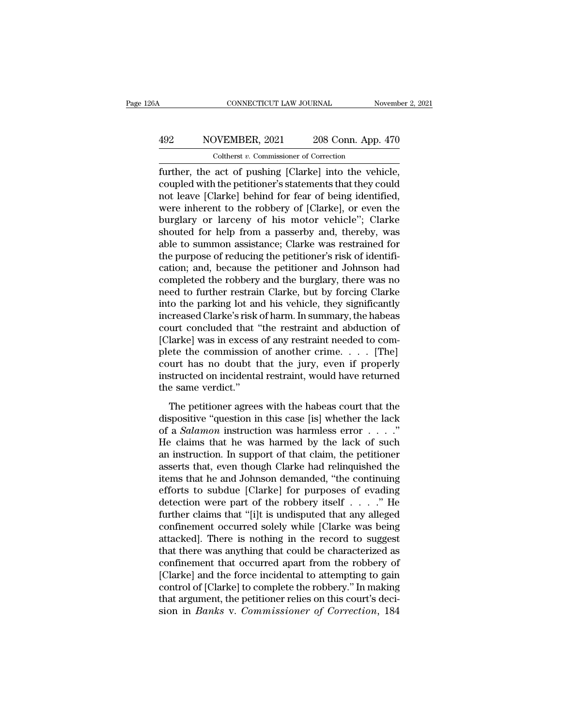# CONNECTICUT LAW JOURNAL November 2, 2021<br>
492 NOVEMBER, 2021 208 Conn. App. 470<br>
Coltherst v. Commissioner of Correction CONNECTICUT LAW JOURNAL<br>
VEMBER, 2021 208 Conn. App.<br>
Coltherst *v.* Commissioner of Correction<br>
act. of pushing [Clarke] into the yeb

FURTE CONNECTICUT LAW JOURNAL November 2, 20<br>
SUBDAER, 2021 208 Conn. App. 470<br>
Coltherst v. Commissioner of Correction<br>
further, the act of pushing [Clarke] into the vehicle,<br>
coupled with the petitioner's statements that MOVEMBER, 2021 208 Conn. App. 470<br>
Coltherst v. Commissioner of Correction<br>
further, the act of pushing [Clarke] into the vehicle,<br>
coupled with the petitioner's statements that they could<br>
not leave [Clarke] behind for fe 492 NOVEMBER, 2021 208 Conn. App. 470<br>
Coltherst v. Commissioner of Correction<br>
further, the act of pushing [Clarke] into the vehicle,<br>
coupled with the petitioner's statements that they could<br>
not leave [Clarke] behind f MOVEMBER, 2021 208 Conn. App. 470<br>
Coltherst v. Commissioner of Correction<br>
further, the act of pushing [Clarke] into the vehicle,<br>
coupled with the petitioner's statements that they could<br>
not leave [Clarke] behind for f Coltherst *v*. Commissioner of Correction<br>further, the act of pushing [Clarke] into the vehicle,<br>coupled with the petitioner's statements that they could<br>not leave [Clarke] behind for fear of being identified,<br>were inheren Cotherst v. Commissioner of Correction<br>further, the act of pushing [Clarke] into the vehicle,<br>coupled with the petitioner's statements that they could<br>not leave [Clarke] behind for fear of being identified,<br>were inherent t further, the act of pushing [Clarke] into the vehicle,<br>coupled with the petitioner's statements that they could<br>not leave [Clarke] behind for fear of being identified,<br>were inherent to the robbery of [Clarke], or even the<br> coupled with the petitioner's statements that they could<br>not leave [Clarke] behind for fear of being identified,<br>were inherent to the robbery of [Clarke], or even the<br>burglary or larceny of his motor vehicle''; Clarke<br>shou not leave [Clarke] behind for fear of being identified,<br>were inherent to the robbery of [Clarke], or even the<br>burglary or larceny of his motor vehicle"; Clarke<br>shouted for help from a passerby and, thereby, was<br>able to sum were inherent to the robbery of [Clarke], or even the<br>burglary or larceny of his motor vehicle"; Clarke<br>shouted for help from a passerby and, thereby, was<br>able to summon assistance; Clarke was restrained for<br>the purpose of burglary or larceny of his motor vehicle"; Clarke<br>shouted for help from a passerby and, thereby, was<br>able to summon assistance; Clarke was restrained for<br>the purpose of reducing the petitioner's risk of identifi-<br>cation; a shouted for help from a passerby and, thereby, was<br>able to summon assistance; Clarke was restrained for<br>the purpose of reducing the petitioner's risk of identifi-<br>cation; and, because the petitioner and Johnson had<br>complet able to summon assistance; Clarke was restrained for<br>the purpose of reducing the petitioner's risk of identifi-<br>cation; and, because the petitioner and Johnson had<br>completed the robbery and the burglary, there was no<br>need the purpose of reducing the petitioner's risk of identification; and, because the petitioner and Johnson had<br>completed the robbery and the burglary, there was no<br>need to further restrain Clarke, but by forcing Clarke<br>into cation; and, because the petitioner and Johnson had<br>completed the robbery and the burglary, there was no<br>need to further restrain Clarke, but by forcing Clarke<br>into the parking lot and his vehicle, they significantly<br>incre completed the robbery and the burglary, there was no<br>need to further restrain Clarke, but by forcing Clarke<br>into the parking lot and his vehicle, they significantly<br>increased Clarke's risk of harm. In summary, the habeas<br>c need to further restrain Clarke, but by forcing Clarke<br>into the parking lot and his vehicle, they significantly<br>increased Clarke's risk of harm. In summary, the habeas<br>court concluded that "the restraint and abduction of<br>[ into the parking lot and his vehicle, they significantly<br>increased Clarke's risk of harm. In summary, the habeas<br>court concluded that "the restraint and abduction of<br>[Clarke] was in excess of any restraint needed to com-<br> increased Clarke's risk<br>court concluded that<br>(Clarke) was in excess<br>plete the commission<br>court has no doubt t<br>instructed on incidenta<br>the same verdict."<br>The petitioner agrees Larke] was in excess of any restraint and abduction of<br>larke] was in excess of any restraint needed to com-<br>ete the commission of another crime.  $\dots$  [The]<br>urt has no doubt that the jury, even if properly<br>structed on inci plete the commission of another crime. . . . [The]<br>court has no doubt that the jury, even if properly<br>instructed on incidental restraint, would have returned<br>the same verdict."<br>The petitioner agrees with the habeas court

of a *Salamon* instruction was harmless error . . . .'' instructed on incidental restraint, would have returned<br>the same verdict."<br>The petitioner agrees with the habeas court that the<br>dispositive "question in this case [is] whether the lack<br>of a *Salamon* instruction was harml The petitioner agrees with the habeas court that the<br>dispositive "question in this case [is] whether the lack<br>of a *Salamon* instruction was harmless error  $\dots$ ."<br>He claims that he was harmed by the lack of such<br>an instru The petitioner agrees with the habeas court that the dispositive "question in this case [is] whether the lack of a *Salamon* instruction was harmless error  $\ldots$ ."<br>He claims that he was harmed by the lack of such an instr The petitioner agrees with the habeas court that the<br>dispositive "question in this case [is] whether the lack<br>of a *Salamon* instruction was harmless error  $\,\ldots\,$ ."<br>He claims that he was harmed by the lack of such<br>an in dispositive "question in this case [is] whether the lack<br>of a *Salamon* instruction was harmless error . . . ."<br>He claims that he was harmed by the lack of such<br>an instruction. In support of that claim, the petitioner<br>ass of a *Salamon* instruction was harmless error . . . ."<br>He claims that he was harmed by the lack of such<br>an instruction. In support of that claim, the petitioner<br>asserts that, even though Clarke had relinquished the<br>items He claims that he was harmed by the lack of such<br>an instruction. In support of that claim, the petitioner<br>asserts that, even though Clarke had relinquished the<br>items that he and Johnson demanded, "the continuing<br>efforts t an instruction. In support of that claim, the petitioner<br>asserts that, even though Clarke had relinquished the<br>items that he and Johnson demanded, "the continuing<br>efforts to subdue [Clarke] for purposes of evading<br>detecti asserts that, even though Clarke had relinquished the<br>items that he and Johnson demanded, "the continuing<br>efforts to subdue [Clarke] for purposes of evading<br>detection were part of the robbery itself . . . . ." He<br>further c items that he and Johnson demanded, "the continuing<br>efforts to subdue [Clarke] for purposes of evading<br>detection were part of the robbery itself  $\ldots$ ." He<br>further claims that "[i]t is undisputed that any alleged<br>confinem efforts to subdue [Clarke] for purposes of evading<br>detection were part of the robbery itself  $\ldots$ ." He<br>further claims that "[i]t is undisputed that any alleged<br>confinement occurred solely while [Clarke was being<br>attacked detection were part of the robbery itself . . . . ." He<br>further claims that "[i]t is undisputed that any alleged<br>confinement occurred solely while [Clarke was being<br>attacked]. There is nothing in the record to suggest<br>that further claims that "[i]t is undisputed that any alleged<br>confinement occurred solely while [Clarke was being<br>attacked]. There is nothing in the record to suggest<br>that there was anything that could be characterized as<br>confi confinement occurred solely while [Clarke was being<br>attacked]. There is nothing in the record to suggest<br>that there was anything that could be characterized as<br>confinement that occurred apart from the robbery of<br>[Clarke] a attacked]. There is nothing in the record to suggest<br>that there was anything that could be characterized as<br>confinement that occurred apart from the robbery of<br>[Clarke] and the force incidental to attempting to gain<br>contro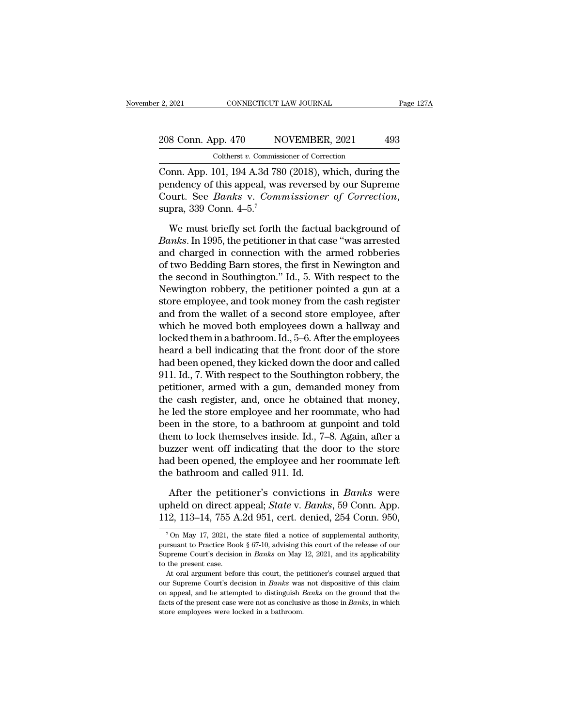# 2, 2021 CONNECTICUT LAW JOURNAL Page 127A<br>208 Conn. App. 470 NOVEMBER, 2021 493<br>Coltherst v. Commissioner of Correction EXECUTE CONNECTICUT LAW JOURNAL<br>
COLLECTICUT LAW JOURNAL<br>
COLLECTICUTE CONNECTICUT LAW JOURNAL<br>
CONNECTICUTE LAW MOVEMBER, 2021<br>
CONNECTICUTE CONNECTION<br>
CONNECTION CONNECTION<br>
CONNECTION CONNECTION<br>
CONNECTION CONNECTION<br>

Connect Connect LAW JOURNAL Page 127A<br>
208 Conn. App. 470 NOVEMBER, 2021 493<br>
Coltherst v. Commissioner of Correction<br>
Conn. App. 101, 194 A.3d 780 (2018), which, during the<br>
pendency of this appeal, was reversed by our Su 208 Conn. App. 470 NOVEMBER, 2021 493<br>
Coltherst v. Commissioner of Correction<br>
Conn. App. 101, 194 A.3d 780 (2018), which, during the<br>
pendency of this appeal, was reversed by our Supreme<br>
Court. See *Banks* v. *Commissi* 208 Conn. App. 470 NOVEMBER, 2021 493<br>
Coltherst *v*. Commissioner of Correction<br>
Conn. App. 101, 194 A.3d 780 (2018), which, during the<br>
pendency of this appeal, was reversed by our Supreme<br>
Court. See *Banks* v. *Commiss* Coltherst v. Commissioner of Correction<br>
DNN. App. 101, 194 A.3d 780 (2018), which, during the<br>
Indency of this appeal, was reversed by our Supreme<br>
purt. See *Banks* v. *Commissioner of Correction*,<br>
pra, 339 Conn. 4–5.<sup></sup> Conn. App. 101, 194 A.3d 780 (2018), which, during the<br>pendency of this appeal, was reversed by our Supreme<br>Court. See *Banks* v. *Commissioner of Correction*,<br>supra, 339 Conn. 4–5.<sup>7</sup><br>We must briefly set forth the factual

pendency of this appeal, was reversed by our Supreme<br>Court. See *Banks* v. *Commissioner of Correction*,<br>supra, 339 Conn. 4–5.<sup>7</sup><br>We must briefly set forth the factual background of<br>*Banks*. In 1995, the petitioner in tha Court. See *Banks* v. *Commissioner of Correction*,<br>supra, 339 Conn. 4–5.<sup>7</sup><br>We must briefly set forth the factual background of<br>*Banks*. In 1995, the petitioner in that case "was arrested<br>and charged in connection with t supra, 339 Conn.  $4-5$ .<sup>7</sup><br>We must briefly set forth the factual background of<br>*Banks*. In 1995, the petitioner in that case "was arrested<br>and charged in connection with the armed robberies<br>of two Bedding Barn stores, the We must briefly set forth the factual background of<br>Banks. In 1995, the petitioner in that case "was arrested<br>and charged in connection with the armed robberies<br>of two Bedding Barn stores, the first in Newington and<br>the se We must briefly set forth the factual background of<br>Banks. In 1995, the petitioner in that case "was arrested<br>and charged in connection with the armed robberies<br>of two Bedding Barn stores, the first in Newington and<br>the se *Banks.* In 1995, the petitioner in that case "was arrested<br>and charged in connection with the armed robberies<br>of two Bedding Barn stores, the first in Newington and<br>the second in Southington." Id., 5. With respect to the<br> and charged in connection with the armed robberies<br>of two Bedding Barn stores, the first in Newington and<br>the second in Southington." Id., 5. With respect to the<br>Newington robbery, the petitioner pointed a gun at a<br>store e of two Bedding Barn stores, the first in Newington and<br>the second in Southington." Id., 5. With respect to the<br>Newington robbery, the petitioner pointed a gun at a<br>store employee, and took money from the cash register<br>and the second in Southington." Id., 5. With respect to the<br>Newington robbery, the petitioner pointed a gun at a<br>store employee, and took money from the cash register<br>and from the wallet of a second store employee, after<br>which Newington robbery, the petitioner pointed a gun at a<br>store employee, and took money from the cash register<br>and from the wallet of a second store employee, after<br>which he moved both employees down a hallway and<br>locked them store employee, and took money from the cash register<br>and from the wallet of a second store employee, after<br>which he moved both employees down a hallway and<br>locked them in a bathroom. Id., 5–6. After the employees<br>heard a and from the wallet of a second store employee, after<br>which he moved both employees down a hallway and<br>locked them in a bathroom. Id., 5–6. After the employees<br>heard a bell indicating that the front door of the store<br>had b which he moved both employees down a hallway and<br>locked them in a bathroom. Id., 5–6. After the employees<br>heard a bell indicating that the front door of the store<br>had been opened, they kicked down the door and called<br>911. locked them in a bathroom. Id., 5–6. After the employees<br>heard a bell indicating that the front door of the store<br>had been opened, they kicked down the door and called<br>911. Id., 7. With respect to the Southington robbery, heard a bell indicating that the front door of the store<br>had been opened, they kicked down the door and called<br>911. Id., 7. With respect to the Southington robbery, the<br>petitioner, armed with a gun, demanded money from<br>the had been opened, they kicked down the door and called<br>911. Id., 7. With respect to the Southington robbery, the<br>petitioner, armed with a gun, demanded money from<br>the cash register, and, once he obtained that money,<br>he led 911. Id., 7. With respect to the Southington robbery, the<br>petitioner, armed with a gun, demanded money from<br>the cash register, and, once he obtained that money,<br>he led the store employee and her roommate, who had<br>been in t petitioner, armed with a gun, demanded money from<br>the cash register, and, once he obtained that money,<br>he led the store employee and her roommate, who had<br>been in the store, to a bathroom at gunpoint and told<br>them to lock the cash register, and, once he obtain<br>the led the store employee and her roo<br>been in the store, to a bathroom at g<br>them to lock themselves inside. Id., 7-<br>buzzer went off indicating that the d<br>had been opened, the employe en in the store, to a bathroom at gunpoint and told<br>em to lock themselves inside. Id., 7–8. Again, after a<br>value of indicating that the door to the store<br>d been opened, the employee and her roommate left<br>e bathroom and cal them to lock themselves inside. Id., 7–8. Again, after a<br>buzzer went off indicating that the door to the store<br>had been opened, the employee and her roommate left<br>the bathroom and called 911. Id.<br>After the petitioner's con buzzer went off indicating that the door to the store<br>had been opened, the employee and her roommate left<br>the bathroom and called 911. Id.<br>After the petitioner's convictions in *Banks* were<br>upheld on direct appeal; *State* 

After the petitioner's convictions in *Banks* were<br>pheld on direct appeal; *State* v. *Banks*, 59 Conn. App.<br>12, 113–14, 755 A.2d 951, cert. denied, 254 Conn. 950,<br><sup>7</sup>On May 17, 2021, the state filed a notice of supplemen After the petitioner's convictions in *Banks* were<br>upheld on direct appeal; *State* v. *Banks*, 59 Conn. App.<br>112, 113–14, 755 A.2d 951, cert. denied, 254 Conn. 950,<br><sup>7</sup>On May 17, 2021, the state filed a notice of supplem

upheld on direct appeal; *State* v. *Banks*, 59 Conn. App.<br>112, 113–14, 755 A.2d 951, cert. denied, 254 Conn. 950,<br><sup>7</sup>On May 17, 2021, the state filed a notice of supplemental authority,<br>pursuant to Practice Book § 67-10, 112, 113–14, 755 A.2d 951, cert. denied, 254 Conn. 950,<br>
<sup>7</sup> On May 17, 2021, the state filed a notice of supplemental authority,<br>
pursuant to Practice Book § 67-10, advising this court of the release of our<br>
Supreme Cour <sup>7</sup> On May 17, 2021, the state filed a notice of supplemental authority, pursuant to Practice Book § 67-10, advising this court of the release of our Supreme Court's decision in *Banks* on May 12, 2021, and its applicabil <sup>7</sup> On May 17, 2021, the state filed a notice of supplemental authority, pursuant to Practice Book § 67-10, advising this court of the release of our Supreme Court's decision in *Banks* on May 12, 2021, and its applicabil

pursuant to Practice Book § 67-10, advising this court of the release of our Supreme Court's decision in *Banks* on May 12, 2021, and its applicability to the present case.<br>At oral argument before this court, the petitione facture court's decision in *Banks* on May 12, 2021, and its applicability to the present case.<br>At oral argument before this court, the petitioner's counsel argued that our Supreme Court's decision in *Banks* was not dispo At oral argument before this court, the petitioner's counsel argued that<br>our Supreme Court's decision in *Banks* was not dispositive of this claim<br>on appeal, and he attempted to distinguish *Banks* on the ground that the<br>f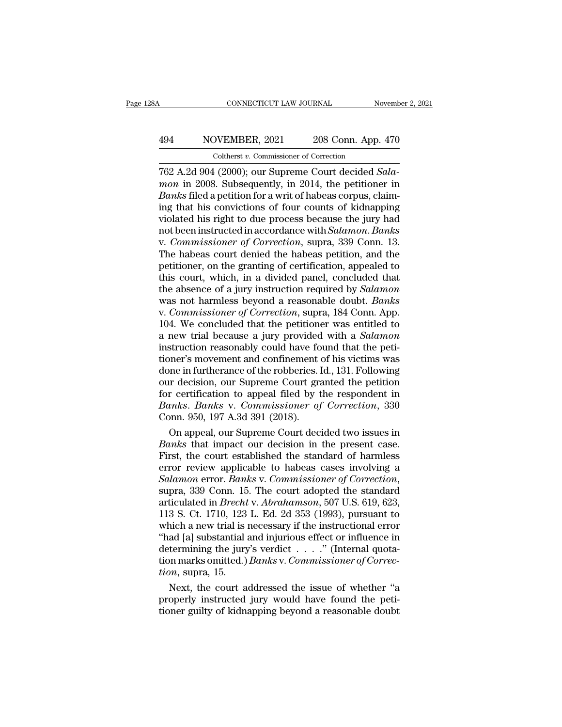# CONNECTICUT LAW JOURNAL November 2, 2021<br>
494 NOVEMBER, 2021 208 Conn. App. 470<br>
Coltherst v. Commissioner of Correction Coltherst *v.* Commissioner of Correction

FREE CONNECTICUT LAW JOURNAL November 2, 20<br>
1944 NOVEMBER, 2021 208 Conn. App. 470<br>
208 Conn. App. 470<br>
2021 208 Conn. App. 470<br>
2021 203 Conn. App. 470<br>
2022 A.2d 904 (2000); our Supreme Court decided *Sala-*<br>
2008. Subs **EXECUTE:** MOVEMBER, 2021 208 Conn. App. 470<br>
Coltherst v. Commissioner of Correction<br> **1928** A.2d 904 (2000); our Supreme Court decided *Sala-*<br> *mon* in 2008. Subsequently, in 2014, the petitioner in<br> *Banks* filed a pet **Banks Banks Resp. 2021 Example 208 Conn. App. 470**<br> **Banks Conduct Conduct a Connection**<br> **Banks** filed a petition for a writ of habeas corpus, claim-<br> **Banks** filed a petition for a writ of habeas corpus, claim-<br> 494 NOVEMBER, 2021 208 Conn. App. 470<br>
Coltherst *v*. Commissioner of Correction<br>
762 A.2d 904 (2000); our Supreme Court decided *Sala-*<br> *mon* in 2008. Subsequently, in 2014, the petitioner in<br> *Banks* filed a petition f volument, 2021 200 commissipp. 110<br>
Coltherst v. Commissioner of Correction<br>
762 A.2d 904 (2000); our Supreme Court decided *Sala-*<br> *mon* in 2008. Subsequently, in 2014, the petitioner in<br> *Banks* filed a petition for a Coltherst *v*. Commissioner of Correction<br>762 A.2d 904 (2000); our Supreme Court decided *Sala-*<br>*mon* in 2008. Subsequently, in 2014, the petitioner in<br>*Banks* filed a petition for a writ of habeas corpus, claim-<br>ing that 762 A.2d 904 (2000); our Supreme Court decided *Salamon* in 2008. Subsequently, in 2014, the petitioner in *Banks* filed a petition for a writ of habeas corpus, claiming that his convictions of four counts of kidnapping vi mon in 2008. Subsequently, in 2014, the petitioner in *Banks* filed a petition for a writ of habeas corpus, claiming that his convictions of four counts of kidnapping violated his right to due process because the jury had Banks filed a petition for a writ of habeas corpus, claim-<br>ing that his convictions of four counts of kidnapping<br>violated his right to due process because the jury had<br>not been instructed in accordance with *Salamon. Banks* ing that his convictions of four counts of kidnapping<br>violated his right to due process because the jury had<br>not been instructed in accordance with *Salamon. Banks*<br>v. *Commissioner of Correction*, supra, 339 Conn. 13.<br>The violated his right to due process because the jury had<br>not been instructed in accordance with *Salamon. Banks*<br>v. *Commissioner of Correction*, supra, 339 Conn. 13.<br>The habeas court denied the habeas petition, and the<br>peti not been instructed in accordance with *Salamon. Banks*<br>v. *Commissioner of Correction*, supra, 339 Conn. 13.<br>The habeas court denied the habeas petition, and the<br>petitioner, on the granting of certification, appealed to<br>t v. *Commissioner of Correction*, supra, 339 Conn. 13.<br>The habeas court denied the habeas petition, and the<br>petitioner, on the granting of certification, appealed to<br>this court, which, in a divided panel, concluded that<br>the The habeas court denied the habeas petition, and the petitioner, on the granting of certification, appealed to this court, which, in a divided panel, concluded that the absence of a jury instruction required by *Salamon* w petitioner, on the granting of certification, appealed to<br>this court, which, in a divided panel, concluded that<br>the absence of a jury instruction required by *Salamon*<br>was not harmless beyond a reasonable doubt. *Banks*<br>v. this court, which, in a divided panel, concluded that<br>the absence of a jury instruction required by *Salamon*<br>was not harmless beyond a reasonable doubt. *Banks*<br>v. *Commissioner of Correction*, supra, 184 Conn. App.<br>104. the absence of a jury instruction required by *Salamon*<br>was not harmless beyond a reasonable doubt. *Banks*<br>v. *Commissioner of Correction*, supra, 184 Conn. App.<br>104. We concluded that the petitioner was entitled to<br>a new was not harmless beyond a reasonable doubt. *Banks*<br>v. Commissioner of Correction, supra, 184 Conn. App.<br>104. We concluded that the petitioner was entitled to<br>a new trial because a jury provided with a *Salamon*<br>instructio v. Commissioner of Correction, supra, 184 Conn. App.<br>104. We concluded that the petitioner was entitled to<br>a new trial because a jury provided with a *Salamon*<br>instruction reasonably could have found that the peti-<br>tioner' 104. We concluded that the petitioner was entitled to<br>a new trial because a jury provided with a *Salamon*<br>instruction reasonably could have found that the peti-<br>tioner's movement and confinement of his victims was<br>done i a new trial because a jury provided with a *Salamon*<br>instruction reasonably could have found that the peti-<br>tioner's movement and confinement of his victims was<br>done in furtherance of the robberies. Id., 131. Following<br>our instruction reasonably could have for<br>tioner's movement and confinement of<br>done in furtherance of the robberies. I<br>our decision, our Supreme Court gra<br>for certification to appeal filed by t<br>Banks. Banks v. Commissioner of<br> oner's movement and confinement of his victims was<br>the in furtherance of the robberies. Id., 131. Following<br>tr decision, our Supreme Court granted the petition<br>r certification to appeal filed by the respondent in<br>thes. Ban done in furtherance of the robberies. Id., 131. Following<br>
our decision, our Supreme Court granted the petition<br>
for certification to appeal filed by the respondent in<br> *Banks*. *Banks* v. *Commissioner of Correction*, 330

our decision, our Supreme Court granted the petition<br>for certification to appeal filed by the respondent in<br>*Banks. Banks v. Commissioner of Correction*, 330<br>Conn. 950, 197 A.3d 391 (2018).<br>On appeal, our Supreme Court dec for certification to appeal filed by the respondent in<br>Banks. Banks v. Commissioner of Correction, 330<br>Conn. 950, 197 A.3d 391 (2018).<br>On appeal, our Supreme Court decided two issues in<br>Banks that impact our decision in th *Banks. Banks* v. *Commissioner of Correction*, 330<br>Conn. 950, 197 A.3d 391 (2018).<br>On appeal, our Supreme Court decided two issues in<br>*Banks* that impact our decision in the present case.<br>First, the court established the On appeal, our Supreme Court decided two issues in<br>*Banks* that impact our decision in the present case.<br>First, the court established the standard of harmless<br>error review applicable to habeas cases involving a<br>*Salamon* e Banks that impact our decision in the present case.<br>First, the court established the standard of harmless<br>error review applicable to habeas cases involving a<br>Salamon error. Banks v. Commissioner of Correction,<br>supra, 339 C First, the court established the standard of harmless<br>error review applicable to habeas cases involving a<br>Salamon error. Banks v. Commissioner of Correction,<br>supra, 339 Conn. 15. The court adopted the standard<br>articulated error review applicable to habeas cases involving a<br>
Salamon error. Banks v. Commissioner of Correction,<br>
supra, 339 Conn. 15. The court adopted the standard<br>
articulated in Brecht v. Abrahamson, 507 U.S. 619, 623,<br>
113 S Salamon error. Banks v. Commissioner of Correction,<br>supra, 339 Conn. 15. The court adopted the standard<br>articulated in *Brecht v. Abrahamson*, 507 U.S. 619, 623,<br>113 S. Ct. 1710, 123 L. Ed. 2d 353 (1993), pursuant to<br>whic supra, 339 Conn. 15. The court adopted the standard<br>articulated in *Brecht v. Abrahamson*, 507 U.S. 619, 623,<br>113 S. Ct. 1710, 123 L. Ed. 2d 353 (1993), pursuant to<br>which a new trial is necessary if the instructional error articulated in *Brecht*<br>113 S. Ct. 1710, 123<br>which a new trial is i<br>"had [a] substantial :<br>determining the jury<br>tion marks omitted.)<br>*tion*, supra, 15.<br>Next, the court a 3 S. Ct. 1710, 123 L. Ed. 2d 353 (1993), pursuant to<br>nich a new trial is necessary if the instructional error<br>ad [a] substantial and injurious effect or influence in<br>termining the jury's verdict . . . . " (Internal quotawhich a new trial is necessary if the instructional error<br>
"had [a] substantial and injurious effect or influence in<br>
determining the jury's verdict  $\ldots$ ..." (Internal quota-<br>
tion marks omitted.) *Banks* v. *Commissione* "had [a] substantial and injurious effect or influence in<br>determining the jury's verdict  $\ldots$ ." (Internal quota-<br>tion marks omitted.) *Banks v. Commissioner of Correc-*<br>tion, supra, 15.<br>Next, the court addressed the issu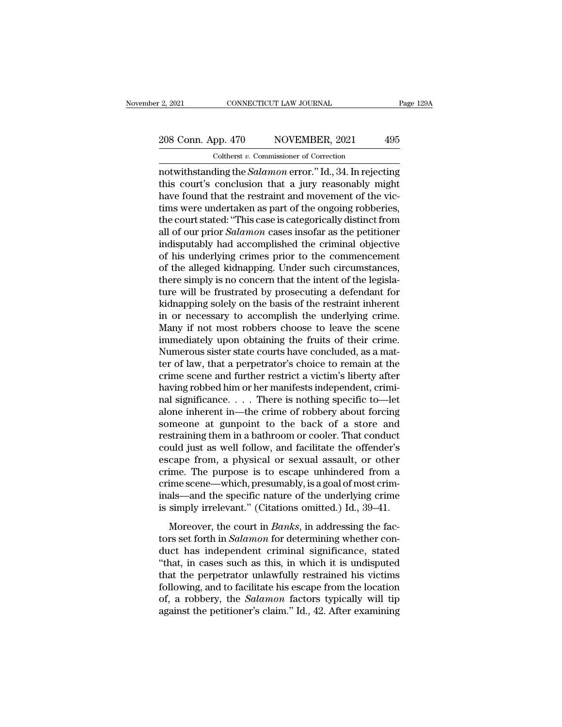# 2, 2021 CONNECTICUT LAW JOURNAL Page 129A<br>208 Conn. App. 470 NOVEMBER, 2021 495<br>Coltherst v. Commissioner of Correction Coltherst *v.* Commissioner of Correction

notwithstanding the *Salamon* error." Id., 34. In rejecting<br>
the contribution of Correction<br>
notwithstanding the *Salamon* error." Id., 34. In rejecting<br>
this court's conclusion that a jury reasonably might<br>
have found tha 208 Conn. App. 470 NOVEMBER, 2021 495<br>
Coltherst v. Commissioner of Correction<br>
notwithstanding the *Salamon* error." Id., 34. In rejecting<br>
this court's conclusion that a jury reasonably might<br>
have found that the restra 208 Conn. App. 470 NOVEMBER, 2021 495<br>
Coltherst v. Commissioner of Correction<br>
notwithstanding the *Salamon* error." Id., 34. In rejecting<br>
this court's conclusion that a jury reasonably might<br>
have found that the restra 208 Conn. App. 470 NOVEMBER, 2021 495<br>
Coltherst v. Commissioner of Correction<br>
notwithstanding the *Salamon* error." Id., 34. In rejecting<br>
this court's conclusion that a jury reasonably might<br>
have found that the restra Coltherst v. Commissioner of Correction<br>
notwithstanding the *Salamon* error." Id., 34. In rejecting<br>
this court's conclusion that a jury reasonably might<br>
have found that the restraint and movement of the vic-<br>
times wer Cotherst *v*. Commissioner of Correction<br>
notwithstanding the *Salamon* error." Id., 34. In rejecting<br>
this court's conclusion that a jury reasonably might<br>
have found that the restraint and movement of the vic-<br>
tims were notwithstanding the *Salamon* error." Id., 34. In rejecting<br>this court's conclusion that a jury reasonably might<br>have found that the restraint and movement of the vic-<br>tims were undertaken as part of the ongoing robberies, this court's conclusion that a jury reasonably might<br>have found that the restraint and movement of the vic-<br>tims were undertaken as part of the ongoing robberies,<br>the court stated: "This case is categorically distinct from have found that the restraint and movement of the victims were undertaken as part of the ongoing robberies,<br>the court stated: "This case is categorically distinct from<br>all of our prior *Salamon* cases insofar as the petiti tims were undertaken as part of the ongoing robberies,<br>the court stated: "This case is categorically distinct from<br>all of our prior *Salamon* cases insofar as the petitioner<br>indisputably had accomplished the criminal objec the court stated: "This case is categorically distinct from<br>all of our prior *Salamon* cases insofar as the petitioner<br>indisputably had accomplished the criminal objective<br>of his underlying crimes prior to the commencement all of our prior *Salamon* cases insofar as the petitioner<br>indisputably had accomplished the criminal objective<br>of his underlying crimes prior to the commencement<br>of the alleged kidnapping. Under such circumstances,<br>there in disputably had accomplished the criminal objective<br>of his underlying crimes prior to the commencement<br>of the alleged kidnapping. Under such circumstances,<br>there simply is no concern that the intent of the legisla-<br>ture of his underlying crimes prior to the commencement<br>of the alleged kidnapping. Under such circumstances,<br>there simply is no concern that the intent of the legisla-<br>ture will be frustrated by prosecuting a defendant for<br>kidn of the alleged kidnapping. Under such circumstances,<br>there simply is no concern that the intent of the legisla-<br>ture will be frustrated by prosecuting a defendant for<br>kidnapping solely on the basis of the restraint inheren there simply is no concern that the intent of the legislature will be frustrated by prosecuting a defendant for kidnapping solely on the basis of the restraint inherent in or necessary to accomplish the underlying crime. M ture will be frustrated by prosecuting a defendant for<br>kidnapping solely on the basis of the restraint inherent<br>in or necessary to accomplish the underlying crime.<br>Many if not most robbers choose to leave the scene<br>immedia kidnapping solely on the basis of the restraint inherent<br>in or necessary to accomplish the underlying crime.<br>Many if not most robbers choose to leave the scene<br>immediately upon obtaining the fruits of their crime.<br>Numerous in or necessary to accomplish the underlying crime.<br>Many if not most robbers choose to leave the scene<br>immediately upon obtaining the fruits of their crime.<br>Numerous sister state courts have concluded, as a mat-<br>ter of law Many if not most robbers choose to leave the scene<br>immediately upon obtaining the fruits of their crime.<br>Numerous sister state courts have concluded, as a mat-<br>ter of law, that a perpetrator's choice to remain at the<br>crime immediately upon obtaining the fruits of their crime.<br>Numerous sister state courts have concluded, as a matter of law, that a perpetrator's choice to remain at the<br>crime scene and further restrict a victim's liberty after<br> Numerous sister state courts have concluded, as a matter of law, that a perpetrator's choice to remain at the crime scene and further restrict a victim's liberty after having robbed him or her manifests independent, crimin ter of law, that a perpetrator's choice to remain at the crime scene and further restrict a victim's liberty after having robbed him or her manifests independent, criminal significance. . . . There is nothing specific to—l crime scene and further restrict a victim's liberty after<br>having robbed him or her manifests independent, crimi-<br>nal significance. . . . There is nothing specific to—let<br>alone inherent in—the crime of robbery about forcin having robbed him or her manifests independent, crimi-<br>nal significance. . . . There is nothing specific to—let<br>alone inherent in—the crime of robbery about forcing<br>someone at gunpoint to the back of a store and<br>restraini nal significance. . . . There is nothing specific to—let<br>alone inherent in—the crime of robbery about forcing<br>someone at gunpoint to the back of a store and<br>restraining them in a bathroom or cooler. That conduct<br>could just alone inherent in—the crime of robbery about forcing<br>someone at gunpoint to the back of a store and<br>restraining them in a bathroom or cooler. That conduct<br>could just as well follow, and facilitate the offender's<br>escape fro someone at gunpoint to the back of a store and<br>restraining them in a bathroom or cooler. That conduct<br>could just as well follow, and facilitate the offender's<br>escape from, a physical or sexual assault, or other<br>crime. The restraining them in a bathroom or cooler. That conduct<br>could just as well follow, and facilitate the offender's<br>escape from, a physical or sexual assault, or other<br>crime. The purpose is to escape unhindered from a<br>crime sc dia just us wenterform, and natitiate are shortact is<br>cape from, a physical or sexual assault, or other<br>ime. The purpose is to escape unhindered from a<br>ime scene—which, presumably, is a goal of most crim-<br>als—and the speci tors in a prighted of settled assetting of settled crime. The purpose is to escape unhindered from a crime scene—which, presumably, is a goal of most criminals—and the specific nature of the underlying crime is simply irre

Find the particle is to essay a minimized from a<br>crime scene—which, presumably, is a goal of most crim-<br>inals—and the specific nature of the underlying crime<br>is simply irrelevant." (Citations omitted.) Id., 39–41.<br>Moreove inals—and the specific nature of the underlying crime<br>
is simply irrelevant." (Citations omitted.) Id., 39–41.<br>
Moreover, the court in *Banks*, in addressing the fac-<br>
tors set forth in *Salamon* for determining whether c that the specific hattace of the directlying of the simply irrelevant." (Citations omitted.) Id., 39–41.<br>
Moreover, the court in *Banks*, in addressing the fac-<br>
tors set forth in *Salamon* for determining whether con-<br>
d Moreover, the court in *Banks*, in addressing the fac-<br>tors set forth in *Salamon* for determining whether con-<br>duct has independent criminal significance, stated<br>"that, in cases such as this, in which it is undisputed<br>th Moreover, the court in *Banks*, in addressing the factors set forth in *Salamon* for determining whether conduct has independent criminal significance, stated "that, in cases such as this, in which it is undisputed that th tors set forth in *Salamon* for determining whether conduct has independent criminal significance, stated "that, in cases such as this, in which it is undisputed that the perpetrator unlawfully restrained his victims follo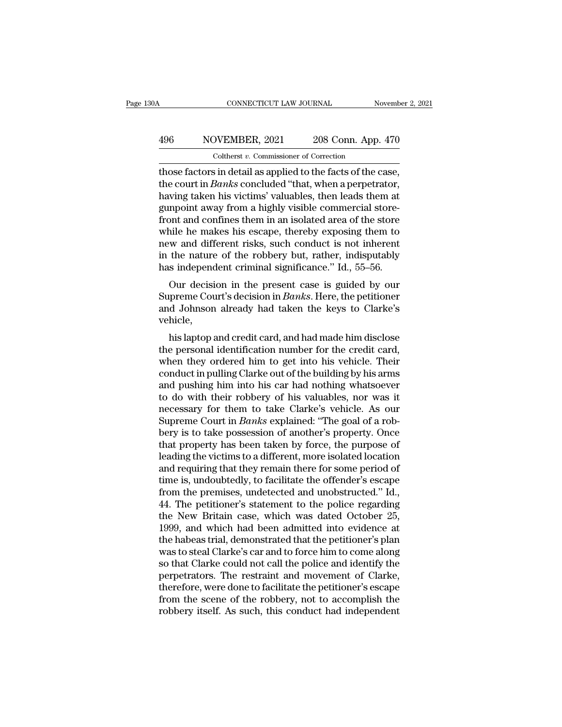# CONNECTICUT LAW JOURNAL November 2, 2021<br>
496 NOVEMBER, 2021 208 Conn. App. 470<br>
Coltherst v. Commissioner of Correction CONNECTICUT LAW JOURNAL<br>
VEMBER, 2021 208 Conn. App.<br>
Coltherst *v.* Commissioner of Correction<br>
s in detail as annlied to the facts of the c

CONNECTICUT LAW JOURNAL November 2, 2<br>  $\begin{array}{r} \text{A96} \hspace{1.5cm} \text{NOVEMBER, 2021} \hspace{1.5cm} \text{208 Conn. App. 470} \ \text{Coltherst } v. \text{ Commissioner of Correction} \ \text{those factors in detail as applied to the facts of the case, the court in *Banks* concluded "that, when a perpetator, having taken his visiting 'values' the nodes from a tree.} \end{array}$ 196 NOVEMBER, 2021 208 Conn. App. 470<br>Coltherst v. Commissioner of Correction<br>those factors in detail as applied to the facts of the case,<br>the court in *Banks* concluded "that, when a perpetrator,<br>having taken his victims'  $\frac{496}{\text{Colthers } t \cdot \text{Commissioner of Correction}}$ <br>Coltherst  $v$ . Commissioner of Correction<br>those factors in detail as applied to the facts of the case,<br>the court in *Banks* concluded "that, when a perpetrator,<br>having taken his victims' valuab 496 NOVEMBER, 2021 208 Conn. App. 470<br>
Coltherst v. Commissioner of Correction<br>
those factors in detail as applied to the facts of the case,<br>
the court in *Banks* concluded "that, when a perpetrator,<br>
having taken his vic From Fighters the Commissioner of Correction<br>those factors in detail as applied to the facts of the case,<br>the court in *Banks* concluded "that, when a perpetrator,<br>having taken his victims' valuables, then leads them at<br>g Coltherst  $v$ . Commissioner of Correction<br>those factors in detail as applied to the facts of the case,<br>the court in *Banks* concluded "that, when a perpetrator,<br>having taken his victims' valuables, then leads them at<br>gunp those factors in detail as applied to the facts of the case,<br>the court in *Banks* concluded "that, when a perpetrator,<br>having taken his victims' valuables, then leads them at<br>gunpoint away from a highly visible commercial the court in *Banks* concluded "that, when a perpetrator,<br>having taken his victims' valuables, then leads them at<br>gunpoint away from a highly visible commercial store-<br>front and confines them in an isolated area of the sto having taken his victims' valuables, then leads them at gunpoint away from a highly visible commercial store-<br>front and confines them in an isolated area of the store<br>while he makes his escape, thereby exposing them to<br>new mpoint away front a highly visible continerclar store-<br>ont and confines them in an isolated area of the store-<br>ille he makes his escape, thereby exposing them to<br>w and different risks, such conduct is not inherent<br>the natu Front and commes them in an isolated area of the store<br>while he makes his escape, thereby exposing them to<br>new and different risks, such conduct is not inherent<br>in the nature of the robbery but, rather, indisputably<br>has in

while he makes his escape, thereby exposing them to<br>new and different risks, such conduct is not inherent<br>in the nature of the robbery but, rather, indisputably<br>has independent criminal significance." Id., 55–56.<br>Our decis vehicle, is independent criminal significance." Id., 55–56.<br>Our decision in the present case is guided by our<br>preme Court's decision in *Banks*. Here, the petitioner<br>d Johnson already had taken the keys to Clarke's<br>hicle,<br>his lapto Our decision in the present case is guided by our<br>Supreme Court's decision in *Banks*. Here, the petitioner<br>and Johnson already had taken the keys to Clarke's<br>vehicle,<br>his laptop and credit card, and had made him disclose<br>

Four decision in the present case is guided by our<br>Supreme Court's decision in *Banks*. Here, the petitioner<br>and Johnson already had taken the keys to Clarke's<br>vehicle,<br>this laptop and credit card, and had made him disclos supreme Court s decision in *Dunks*. There, the petrioner<br>and Johnson already had taken the keys to Clarke's<br>vehicle,<br>his laptop and credit card, and had made him disclose<br>the personal identification number for the credit and bonison aneady had taken the keys to Clarke's<br>vehicle,<br>his laptop and credit card, and had made him disclose<br>the personal identification number for the credit card,<br>when they ordered him to get into his vehicle. Their<br> the personal identification number for the credit card,<br>the personal identification number for the credit card,<br>when they ordered him to get into his vehicle. Their<br>conduct in pulling Clarke out of the building by his arms his laptop and credit card, and had made him disclose<br>the personal identification number for the credit card,<br>when they ordered him to get into his vehicle. Their<br>conduct in pulling Clarke out of the building by his arms<br>a the personal identification number for the credit card,<br>when they ordered him to get into his vehicle. Their<br>conduct in pulling Clarke out of the building by his arms<br>and pushing him into his car had nothing whatsoever<br>to when they ordered him to get into his vehicle. Their<br>conduct in pulling Clarke out of the building by his arms<br>and pushing him into his car had nothing whatsoever<br>to do with their robbery of his valuables, nor was it<br>neces conduct in pulling Clarke out of the building by his arms<br>and pushing him into his car had nothing whatsoever<br>to do with their robbery of his valuables, nor was it<br>necessary for them to take Clarke's vehicle. As our<br>Suprem and pushing him into his car had nothing whatsoever<br>to do with their robbery of his valuables, nor was it<br>necessary for them to take Clarke's vehicle. As our<br>Supreme Court in *Banks* explained: "The goal of a rob-<br>bery is to do with their robbery of his valuables, nor was it<br>necessary for them to take Clarke's vehicle. As our<br>Supreme Court in *Banks* explained: "The goal of a rob-<br>bery is to take possession of another's property. Once<br>that necessary for them to take Clarke's vehicle. As our<br>Supreme Court in *Banks* explained: "The goal of a rob-<br>bery is to take possession of another's property. Once<br>that property has been taken by force, the purpose of<br>leadi Supreme Court in *Banks* explained: "The goal of a robbery is to take possession of another's property. Once that property has been taken by force, the purpose of leading the victims to a different, more isolated location bery is to take possession of another's property. Once<br>that property has been taken by force, the purpose of<br>leading the victims to a different, more isolated location<br>and requiring that they remain there for some period o that property has been taken by force, the purpose of<br>leading the victims to a different, more isolated location<br>and requiring that they remain there for some period of<br>time is, undoubtedly, to facilitate the offender's es leading the victims to a different, more isolated location<br>and requiring that they remain there for some period of<br>time is, undoubtedly, to facilitate the offender's escape<br>from the premises, undetected and unobstructed." and requiring that they remain there for some period of<br>time is, undoubtedly, to facilitate the offender's escape<br>from the premises, undetected and unobstructed." Id.,<br>44. The petitioner's statement to the police regarding time is, undoubtedly, to facilitate the offender's escape<br>from the premises, undetected and unobstructed." Id.,<br>44. The petitioner's statement to the police regarding<br>the New Britain case, which was dated October 25,<br>1999, from the premises, undetected and unobstructed." Id.,<br>44. The petitioner's statement to the police regarding<br>the New Britain case, which was dated October 25,<br>1999, and which had been admitted into evidence at<br>the habeas t 44. The petitioner's statement to the police regarding<br>the New Britain case, which was dated October 25,<br>1999, and which had been admitted into evidence at<br>the habeas trial, demonstrated that the petitioner's plan<br>was to s the New Britain case, which was dated October 25,<br>1999, and which had been admitted into evidence at<br>the habeas trial, demonstrated that the petitioner's plan<br>was to steal Clarke's car and to force him to come along<br>so tha 1999, and which had been admitted into evidence at<br>the habeas trial, demonstrated that the petitioner's plan<br>was to steal Clarke's car and to force him to come along<br>so that Clarke could not call the police and identify th the habeas trial, demonstrated that the petitioner's plan<br>was to steal Clarke's car and to force him to come along<br>so that Clarke could not call the police and identify the<br>perpetrators. The restraint and movement of Clark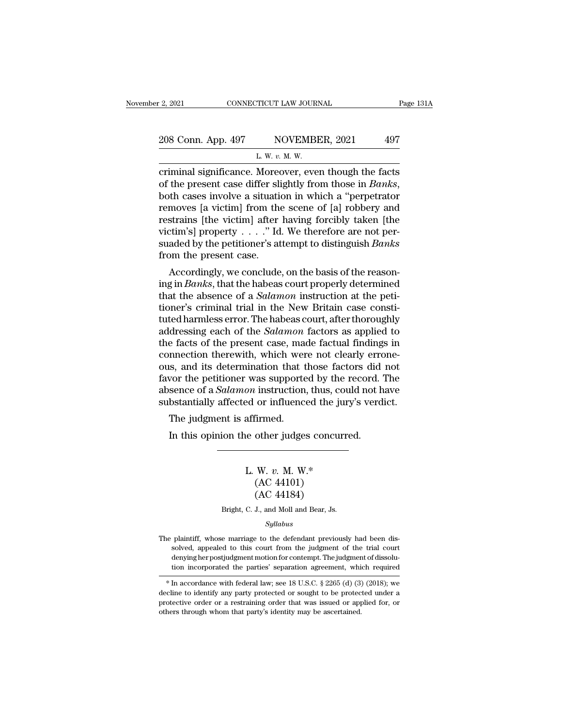| r 2, 2021          | CONNECTICUT LAW JOURNAL                              | Page 131A |
|--------------------|------------------------------------------------------|-----------|
| 208 Conn. App. 497 | NOVEMBER, 2021                                       | 497       |
|                    | L. W. $v$ . M. W.                                    |           |
|                    | criminal significance Moreover even though the facts |           |

Eq. 2021 CONNECTICUT LAW JOURNAL Page 131A<br>
208 Conn. App. 497 NOVEMBER, 2021 497<br>
L. W. v. M. W.<br>
criminal significance. Moreover, even though the facts<br>
of the present case differ slightly from those in *Banks*,<br>
both g **EXECUTE:** The present case differ slightly from those in *Banks*, both cases involve a situation in which a "perpetrator removes [a victim] from the scene of [a] robbery and restrains [the victim] after having forcibly ta 208 Conn. App. 497 NOVEMBER, 2021 497<br>
L. W. v. M. W.<br>
criminal significance. Moreover, even though the facts<br>
of the present case differ slightly from those in *Banks*,<br>
both cases involve a situation in which a "perpetr L. W. v. M. W.<br>
The victimizary, 2022<br>
Criminal significance. Moreover, even though the facts<br>
of the present case differ slightly from those in *Banks*,<br>
both cases involve a situation in which a "perpetrator<br>
removes [a L. W.  $v$ . M. W.<br>
criminal significance. Moreover, even though the facts<br>
of the present case differ slightly from those in *Banks*,<br>
both cases involve a situation in which a "perpetrator<br>
removes [a victim] from the sce criminal significance. Moreover, even though the facts<br>of the present case differ slightly from those in *Banks*,<br>both cases involve a situation in which a "perpetrator<br>removes [a victim] from the scene of [a] robbery and % of the present case differ slib<br>both cases involve a situation removes [a victim] from the<br>restrains [the victim] after<br>victim's] property  $\dots$ ." Id<br>suaded by the petitioner's at<br>from the present case.<br>Accordingly, we c Accordingly, we conclude, on the basis of the past<br>gradient parameter of the reason strains [the victim] after having forcibly taken [the<br>ttim's] property  $\dots$ ." Id. We therefore are not per-<br>aded by the petitioner's atte removes [a victin] from the scene of [a] robbery and<br>restrains [the victim] after having forcibly taken [the<br>victim's] property  $\ldots$ ." Id. We therefore are not per-<br>suaded by the petitioner's attempt to distinguish *Bank* 

restrains [the victin] after having forcibly taken [the victim's] property . . . ." Id. We therefore are not per-<br>suaded by the petitioner's attempt to distinguish *Banks*<br>from the present case.<br>Accordingly, we conclude, o Figure 1.1.1. The understanded by the petitioner's attempt to distinguish *Banks* from the present case.<br>Accordingly, we conclude, on the basis of the reasoning in *Banks*, that the habeas court properly determined that t suaded by the petitioner's attempt to distinguish *Banks*<br>from the present case.<br>Accordingly, we conclude, on the basis of the reason-<br>ing in *Banks*, that the habeas court properly determined<br>that the absence of a *Salamo* From the present case.<br>Accordingly, we conclude, on the basis of the reason-<br>ing in *Banks*, that the habeas court properly determined<br>that the absence of a *Salamon* instruction at the peti-<br>tioner's criminal trial in the Accordingly, we conclude, on the basis of the reason-<br>ing in *Banks*, that the habeas court properly determined<br>that the absence of a *Salamon* instruction at the peti-<br>tioner's criminal trial in the New Britain case const ing in *Banks*, that the habeas court properly determined<br>that the absence of a *Salamon* instruction at the peti-<br>tioner's criminal trial in the New Britain case consti-<br>tuted harmless error. The habeas court, after thoro that the absence of a *Salamon* instruction at the petitioner's criminal trial in the New Britain case constituted harmless error. The habeas court, after thoroughly addressing each of the *Salamon* factors as applied to t tioner's criminal trial in the New Britain case constituted harmless error. The habeas court, after thoroughly addressing each of the *Salamon* factors as applied to the facts of the present case, made factual findings in tuted harmless error. The habeas court, after thoroughly<br>addressing each of the *Salamon* factors as applied to<br>the facts of the present case, made factual findings in<br>connection therewith, which were not clearly errone-<br>o addressing each of the *Salamon* factors as applied to<br>the facts of the present case, made factual findings in<br>connection therewith, which were not clearly errone-<br>ous, and its determination that those factors did not<br>favo e facts of the present case, matement<br>mection therewith, which were<br>is, and its determination that t<br>wor the petitioner was supporte<br>sence of a *Salamon* instruction<br>bstantially affected or influence<br>The judgment is affirm In this determination that those factors did<br>
Survey the petitioner was supported by the record.<br>
Sence of a *Salamon* instruction, thus, could not h<br>
bstantially affected or influenced the jury's verd<br>
The judgment is aff

#### ed or influenced the jury<br>affirmed.<br>le other judges concurre<br>L. W. *v.* M. W.\*<br>(AC 44101)<br>(AC 44184) firmed.<br>
other judges concu<br>
W. v. M. W.\*<br>
(AC 44101)<br>
(AC 44184) urmed.<br>
other judges concu<br>
W. v. M. W.\*<br>
(AC 44101)<br>
(AC 44184)<br>
J., and Moll and Bear, Js. L. W. v. M. W.\*<br>(AC 44101)<br>(AC 44184)<br>Bright, C. J., and Moll and Bear, Js.

#### *Syllabus*

 $(AC 44101)$ <br>  $(AC 44184)$ <br>
Bright, C. J., and Moll and Bear, Js.<br>  $Syllabus$ <br>
The plaintiff, whose marriage to the defendant previously had been dis-<br>
solved, appealed to this court from the judgment of the trial court (AC 44184)<br>Bright, C. J., and Moll and Bear, Js.<br>Syllabus<br>plaintiff, whose marriage to the defendant previously had been dis-<br>solved, appealed to this court from the judgment of the trial court<br>denying her postjudgment mot Bright, C. J., and Moll and Bear, Js.<br>
Syllabus<br>
plaintiff, whose marriage to the defendant previously had been dissolved, appealed to this court from the judgment of the trial court<br>
denying her postjudgment motion for co  $Syllabus$ <br>
blaintiff, whose marriage to the defendant previously had been dis-<br>
solved, appealed to this court from the judgment of the trial court<br>
denying her postjudgment motion for contempt. The judgment of dissolu-<br>
tio is plaintiff, whose marriage to the defendant previously had been dissolved, appealed to this court from the judgment of the trial court denying her postjudgment motion for contempt. The judgment of dissolution incorporat The plaintiff, whose marriage to the detendant previously had been dissolved, appealed to this court from the judgment of the trial court denying her postjudgment motion for contempt. The judgment of dissolution incorpora

solved, appealed to this court from the judgment of the trial court<br>denying her postjudgment motion for contempt. The judgment of dissolu-<br>tion incorporated the parties' separation agreement, which required<br> $*$  In accorda denying her postjudgment motion for contempt. The judgment of dissolution incorporated the parties' separation agreement, which required  $*$  In accordance with federal law; see 18 U.S.C. § 2265 (d) (3) (2018); we decline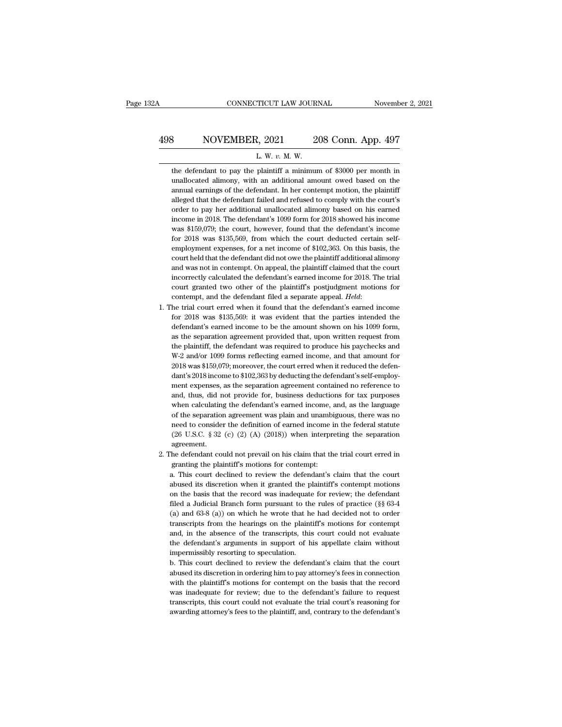# CONNECTICUT LAW JOURNAL November 2, 2021<br>
498 NOVEMBER, 2021 208 Conn. App. 497<br>
L. W. v. M. W. CONNECTICUT LAW JOURNAL Novemb<br>
Rowemb<br>
R. W. *v.* M. W.<br>
The defendant to pay the plaintiff a minimum of \$3000 per month in

NOVEMBER, 2021 208 Conn. App. 497<br>L. W. v. M. W.<br>the defendant to pay the plaintiff a minimum of \$3000 per month in<br>unallocated alimony, with an additional amount owed based on the NOVEMBER, 2021 208 Conn. App. 497<br>L. W. v. M. W.<br>the defendant to pay the plaintiff a minimum of \$3000 per month in<br>unallocated alimony, with an additional amount owed based on the<br>annual earnings of the defendant. In her 498 NOVEMBER, 2021 208 Conn. App. 497<br>L. W. v. M. W.<br>the defendant to pay the plaintiff a minimum of \$3000 per month in<br>unallocated alimony, with an additional amount owed based on the<br>annual earnings of the defendant. In  $\blacksquare$ <br>
L. W.  $v$ . M. W.<br>
the defendant to pay the plaintiff a minimum of \$3000 per month in<br>
unallocated alimony, with an additional amount owed based on the<br>
annual earnings of the defendant. In her contempt motion, the L. W. v. M. W.<br>the defendant to pay the plaintiff a minimum of \$3000 per month in<br>unallocated alimony, with an additional amount owed based on the<br>annual earnings of the defendant. In her contempt motion, the plaintiff<br>all the defendant to pay the plaintiff a minimum of \$3000 per month in unallocated alimony, with an additional amount owed based on the annual earnings of the defendant. In her contempt motion, the plaintiff alleged that the d unallocated alimony, with an additional amount owed based on the annual earnings of the defendant. In her contempt motion, the plaintiff alleged that the defendant failed and refused to comply with the court's order to pay annual earnings of the defendant. In her contempt motion, the plaintiff alleged that the defendant failed and refused to comply with the court's order to pay her additional unallocated alimony based on his earned income i alleged that the defendant failed and refused to comply with the court's<br>order to pay her additional unallocated alimony based on his earned<br>income in 2018. The defendant's 1099 form for 2018 showed his income<br>was \$159,079 order to pay her additional unallocated alimony based on his earned<br>income in 2018. The defendant's 1099 form for 2018 showed his income<br>was \$159,079; the court, however, found that the defendant's income<br>for 2018 was \$135 income in 2018. The defendant's 1099 form for 2018 showed his income was \$159,079; the court, however, found that the defendant's income for 2018 was \$135,569, from which the court deducted certain self-employment expenses was \$159,079; the court, however, found that the defendant's income<br>for 2018 was \$135,569, from which the court deducted certain self-<br>employment expenses, for a net income of \$102,363. On this basis, the<br>court held that for 2018 was \$135,569, from which the court deducted certain self-<br>employment expenses, for a net income of \$102,363. On this basis, the<br>court held that the defendant did not owe the plaintiff additional alimony<br>and was n employment expenses, for a net income of \$102,363. On this basis, the court held that the defendant did not owe the plaintiff additional alimony and was not in contempt. On appeal, the plaintiff claimed that the court inco and was not in contempt. On appeal, the plaintiff claimed that the court<br>incorrectly calculated the defendant's earned income for 2018. The trial<br>court granted two other of the plaintiff's postjudgment motions for<br>contempt

- incorrectly calculated the defendant's earned income for 2018. The trial<br>court granted two other of the plaintiff's postjudgment motions for<br>contempt, and the defendant filed a separate appeal. *Held*:<br>he trial court erred court granted two other of the plaintiff's postjudgment motions for contempt, and the defendant filed a separate appeal. *Held*:<br>he trial court erred when it found that the defendant's earned income<br>for 2018 was \$135,569: contempt, and the defendant filed a separate appeal. *Held*:<br>he trial court erred when it found that the defendant's earned income<br>for 2018 was \$135,569: it was evident that the parties intended the<br>defendant's earned inco he trial court erred when it found that the defendant's earned income<br>for 2018 was \$135,569: it was evident that the parties intended the<br>defendant's earned income to be the amount shown on his 1099 form,<br>as the separation 1. The trial court erred when it found that the defendant's earned income<br>for 2018 was \$135,569: it was evident that the parties intended the<br>defendant's earned income to be the amount shown on his 1099 form,<br>as the separ defendant's earned income to be the amount shown on his 1099 form,<br>as the separation agreement provided that, upon written request from<br>the plaintiff, the defendant was required to produce his paychecks and<br> $W-2$  and/or 1 as the separation agreement provided that, upon written request from<br>the plaintiff, the defendant was required to produce his paychecks and<br>W-2 and/or 1099 forms reflecting earned income, and that amount for<br>2018 was \$159, the plaintiff, the defendant was required to produce his paychecks and W-2 and/or 1099 forms reflecting earned income, and that amount for 2018 was \$159,079; moreover, the court erred when it reduced the defendant's 2018 i W-2 and/or 1099 forms reflecting earned income, and that amount for 2018 was \$159,079; moreover, the court erred when it reduced the defendant's 2018 income to \$102,363 by deducting the defendant's self-employment expenses 2018 was \$159,079; moreover, the court erred when it reduced the defendant's 2018 income to \$102,363 by deducting the defendant's self-employment expenses, as the separation agreement contained no reference to and, thus, d dant's 2018 income to \$102,363 by deducting the defendant's self-employ-<br>ment expenses, as the separation agreement contained no reference to<br>and, thus, did not provide for, business deductions for tax purposes<br>when calcu ment expenses, as the separation agreement contained no reference to and, thus, did not provide for, business deductions for tax purposes when calculating the defendant's earned income, and, as the language of the separati agreement. when calculating the defendant's earned income, and, as the language<br>of the separation agreement was plain and unambiguous, there was no<br>need to consider the definition of earned income in the federal statute<br>(26 U.S.C. § of the separation agreement was plain and unambi<br>need to consider the definition of earned income i<br>(26 U.S.C. § 32 (c) (2) (A) (2018)) when interpre<br>agreement.<br>he defendant could not prevail on his claim that th<br>granting need to consider the definition of earned income in the federal statute (26 U.S.C.  $\S 32$  (c) (2) (A) (2018)) when interpreting the separation agreement.<br>The defendant could not prevail on his claim that the trial court e
- 

(26 U.S.C. § 32 (c) (2) (A) (2018)) when interpreting the separation agreement.<br>The defendant could not prevail on his claim that the trial court erred in granting the plaintiff's motions for contempt:<br>a. This court decli agreement.<br>
The defendant could not prevail on his claim that the trial court erred in<br>
granting the plaintiff's motions for contempt:<br>
a. This court declined to review the defendant's claim that the court<br>
abused its disc The defendant could not prevail on his claim that the trial court erred in granting the plaintiff's motions for contempt:<br>a. This court declined to review the defendant's claim that the court abused its discretion when it granting the plaintiff's motions for contempt:<br>a. This court declined to review the defendant's claim that the court<br>abused its discretion when it granted the plaintiff's contempt motions<br>on the basis that the record was a. This court declined to review the defendant's claim that the court abused its discretion when it granted the plaintiff's contempt motions on the basis that the record was inadequate for review; the defendant filed a Ju abused its discretion when it granted the plaintiff's contempt motions<br>on the basis that the record was inadequate for review; the defendant<br>filed a Judicial Branch form pursuant to the rules of practice (§§ 63-4<br>(a) and 6 abused its discretion when it granted the plaintiff's contempt motions<br>on the basis that the record was inadequate for review; the defendant<br>filed a Judicial Branch form pursuant to the rules of practice ( $\S$  63-4<br>(a) and filed a Judicial Branch form pursuant to the rules of practice ( $\S$  63-4 (a) and 63-8 (a)) on which he wrote that he had decided not to order transcripts from the hearings on the plaintiff's motions for contempt and, in t (a) and  $63-8$  (a)) on which he wrote that he had decided not to order transcripts from the hearings on the plaintiff's motions for contempt and, in the absence of the transcripts, this court could not evaluate the defend transcripts from the hearings on the plaintiff's motions for contempt<br>and, in the absence of the transcripts, this court could not evaluate<br>the defendant's arguments in support of his appellate claim without<br>impermissibly

and, in the absence of the transcripts, this court could not evaluate<br>the defendant's arguments in support of his appellate claim without<br>impermissibly resorting to speculation.<br>b. This court declined to review the defenda the defendant's arguments in support of his appellate claim without<br>impermissibly resorting to speculation.<br>b. This court declined to review the defendant's claim that the court<br>abused its discretion in ordering him to pay impermissibly resorting to speculation.<br>
b. This court declined to review the defendant's claim that the court<br>
abused its discretion in ordering him to pay attorney's fees in connection<br>
with the plaintiff's motions for c b. This court declined to review the defendant's claim that the court<br>abused its discretion in ordering him to pay attorney's fees in connection<br>with the plaintiff's motions for contempt on the basis that the record<br>was in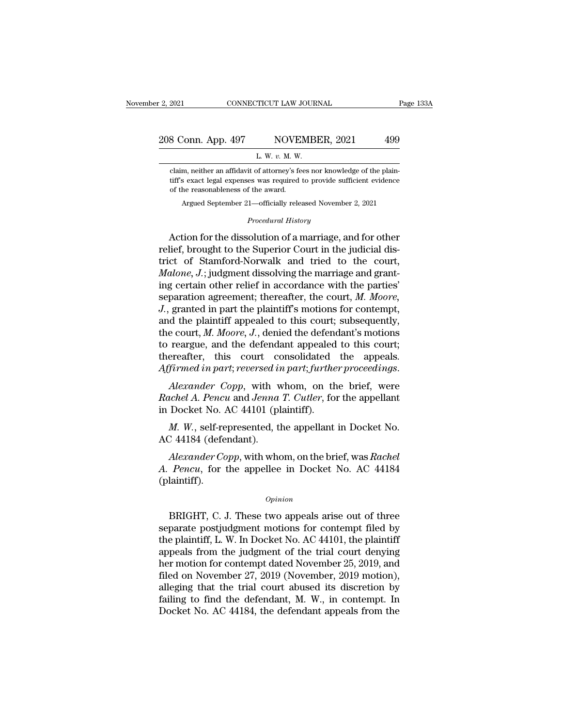# 2, 2021 CONNECTICUT LAW JOURNAL Page 133A<br>208 Conn. App. 497 NOVEMBER, 2021 499 TICUT LAW JOUR!<br>NOVEMBI<br>L. W. *v.* M. W.<br>of attorney's fees no

Eclaim, neither an affidavit of attorney's fees nor knowledge of the plain-<br>Claim, neither an affidavit of attorney's fees nor knowledge of the plain-<br>tiff's exact legal expenses was required to provide sufficient evidence 8 Conn. App. 497 NOVEMBER, 2021 499<br>
L. W. v. M. W.<br>
claim, neither an affidavit of attorney's fees nor knowledge of the plain-<br>
tiff's exact legal expenses was required to provide sufficient evidence<br>
of the reasonablenes 8 Conn. App. 497 NOVEN<br>
L. W. v. M. W.<br>
L. W. v. M. W.<br>
Lelaim, neither an affidavit of attorney's fe<br>
tiff's exact legal expenses was required<br>
of the reasonableness of the award.<br>
Argued September 21—officially relea L. W. v. M. W.<br>Argued September 21—officially released November 2, 2021<br>Argued September 21—officially released November 2, 2021<br>Argued September 21—officially released November 2, 2021<br>Proceedural History *Procedurer Amerg*'s fees nor knowles<br> **Procedural History**<br> *Procedural History*<br> **Procedural History**<br> **Procedural History** 

claim, neither an affidavit of attorney's fees nor knowledge of the plaintiff's exact legal expenses was required to provide sufficient evidence<br>of the reasonableness of the award.<br>Argued September 21—officially released N First exact legal expenses was required to provide sufficient evidence<br>of the reasonableness of the award.<br>Argued September 21—officially released November 2, 2021<br>*Procedural History*<br>Action for the dissolution of a marri of the reasonableness of the award.<br>
Argued September 21—officially released November 2, 2021<br>
Procedural History<br>
Action for the dissolution of a marriage, and for other<br>
relief, brought to the Superior Court in the judic *Argued September 21—officially released November 2, 2021<br>
<i>Procedural History*<br> *Action for the dissolution of a marriage, and for other relief, brought to the Superior Court in the judicial district of Stamford-Norwalk a Procedural History*<br>Action for the dissolution of a marriage, and for other<br>relief, brought to the Superior Court in the judicial dis-<br>trict of Stamford-Norwalk and tried to the court,<br>*Malone*, *J*.; judgment dissolving Froceaural History<br>Action for the dissolution of a marriage, and for other<br>relief, brought to the Superior Court in the judicial dis-<br>trict of Stamford-Norwalk and tried to the court,<br>*Malone, J.*; judgment dissolving the Action for the dissolution of a marriage, and for other relief, brought to the Superior Court in the judicial district of Stamford-Norwalk and tried to the court,  $Malone$ ,  $J$ .; judgment dissolving the marriage and granting relief, brought to the Superior Court in the judicial district of Stamford-Norwalk and tried to the court,  $Malone$ ,  $J$ .; judgment dissolving the marriage and granting certain other relief in accordance with the parties' sep trict of Stamford-Norwalk and tried to the court,<br> *Malone*, *J*.; judgment dissolving the marriage and grant-<br>
ing certain other relief in accordance with the parties'<br>
separation agreement; thereafter, the court, *M. Moo Malone, J.*; judgment dissolving the marriage and granting certain other relief in accordance with the parties' separation agreement; thereafter, the court, *M. Moore, J.*, granted in part the plaintiff's motions for con ing certain other relief in accordance with the parties'<br>separation agreement; thereafter, the court,  $M$ . Moore,<br> $J$ ., granted in part the plaintiff's motions for contempt,<br>and the plaintiff appealed to this court; subse *Affirmed in part reversed in part reference in part the plaintiff's motions for contempt,*<br>and the plaintiff appealed to this court; subsequently,<br>the court, *M. Moore, J.*, denied the defendant's motions<br>to reargue, and the plantiful appeated to this court, subsequently,<br>the court, *M. Moore, J.*, denied the defendant's motions<br>to reargue, and the defendant appealed to this court;<br>thereafter, this court consolidated the appeals.<br>Affir the court, *m. moore*, *s.*, defined the defendent<br>to reargue, and the defendant appealed<br>thereafter, this court consolidated<br>Affirmed in part; reversed in part; furthe<br>Alexander Copp, with whom, on th<br>Rachel A. Pencu and

ereafter, this court consolidated the appeals.<br> *firmed in part; reversed in part; further proceedings.*<br> *Alexander Copp*, with whom, on the brief, were<br> *ichel A. Pencu* and *Jenna T. Cutler*, for the appellant<br>
Docket N Affirmed in part; reversed in<br>Alexander Copp, with v<br>Rachel A. Pencu and Jenna<br>in Docket No. AC 44101 (pl<br>M. W., self-represented, tl<br>AC 44184 (defendant).<br>Alexander Copp, with who *Alexander Copp*, with whom, on the brief, were<br>*achel A. Pencu* and *Jenna T. Cutler*, for the appellant<br>Docket No. AC 44101 (plaintiff).<br>*M. W.*, self-represented, the appellant in Docket No.<br>244184 (defendant).<br>*Alexand* 

*Rachel A. Pencu* and *Jenna T. Cutler*, for the appellant<br>in Docket No. AC 44101 (plaintiff).<br>*M. W.*, self-represented, the appellant in Docket No.<br>AC 44184 (defendant).<br>*Alexander Copp*, with whom, on the brief, was *Ra* (plaintiff). Alexander Copp, with whom, on the brief, was Rachel<br>
Pencu, for the appellee in Docket No. AC 44184<br>
laintiff).<br>  $\frac{opinion}{D}$ <br>
BRIGHT, C. J. These two appeals arise out of three<br>
parate postjudgment motions for contempt fil

#### *Opinion*

Alexander Copp, with whom, on the brief, was Rachel<br>A. Pencu, for the appellee in Docket No. AC 44184<br>(plaintiff).<br> $opinion$ <br>BRIGHT, C. J. These two appeals arise out of three<br>separate postjudgment motions for contempt filed by *A. Pencu*, for the appellee in Docket No. AC 44184<br>(plaintiff).<br>*Opinion*<br>BRIGHT, C. J. These two appeals arise out of three<br>separate postjudgment motions for contempt filed by<br>the plaintiff, L. W. In Docket No. AC 44101, (plaintiff).<br>  $\qquad$   $\qquad$   $\qquad$   $\qquad$   $\qquad$   $\qquad$   $\qquad$   $\qquad$   $\qquad$   $\qquad$   $\qquad$   $\qquad$   $\qquad$   $\qquad$   $\qquad$   $\qquad$   $\qquad$   $\qquad$   $\qquad$   $\qquad$   $\qquad$   $\qquad$   $\qquad$   $\qquad$   $\qquad$   $\qquad$   $\qquad$   $\qquad$   $\qquad$   $\qquad$   $\qquad$   $\qquad$   $\qquad$   $\qquad$   $\q$  $o$ *pinion*<br>BRIGHT, C. J. These two appeals arise out of three<br>separate postjudgment motions for contempt filed by<br>the plaintiff, L. W. In Docket No. AC 44101, the plaintiff<br>appeals from the judgment of the trial court de ERIGHT, C. J. These two appeals arise out of three<br>separate postjudgment motions for contempt filed by<br>the plaintiff, L. W. In Docket No. AC 44101, the plaintiff<br>appeals from the judgment of the trial court denying<br>her mo BRIGHT, C. J. These two appeals arise out of three<br>separate postjudgment motions for contempt filed by<br>the plaintiff, L. W. In Docket No. AC 44101, the plaintiff<br>appeals from the judgment of the trial court denying<br>her mo separate postjudgment motions for contempt filed by<br>the plaintiff, L. W. In Docket No. AC 44101, the plaintiff<br>appeals from the judgment of the trial court denying<br>her motion for contempt dated November 25, 2019, and<br>filed the plaintiff, L. W. In Docket No. AC 44101, the plaintiff<br>appeals from the judgment of the trial court denying<br>her motion for contempt dated November 25, 2019, and<br>filed on November 27, 2019 (November, 2019 motion),<br>alleg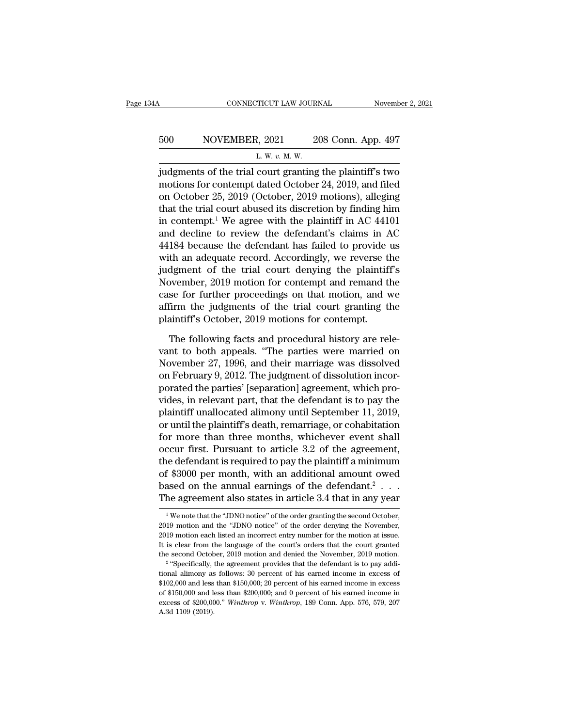# CONNECTICUT LAW JOURNAL Movember 2, 2021<br>500 NOVEMBER, 2021 208 Conn. App. 497<br>L. W. v. M. W. <u>2</u><br>2, 2021<br><u>2. w. v. M. W.</u><br>COUT granting

CONNECTICUT LAW JOURNAL November 2, 2021<br>500 NOVEMBER, 2021 208 Conn. App. 497<br>L. W. v. M. W.<br>judgments of the trial court granting the plaintiff's two<br>motions for contempt dated October 24, 2019, and filed<br>on October 25, 500 NOVEMBER, 2021 208 Conn. App. 497<br>
L. W. v. M. W.<br>
judgments of the trial court granting the plaintiff's two<br>
motions for contempt dated October 24, 2019, and filed<br>
on October 25, 2019 (October, 2019 motions), allegi 500 NOVEMBER, 2021 208 Conn. App. 497<br>
L. W. v. M. W.<br>
judgments of the trial court granting the plaintiff's two<br>
motions for contempt dated October 24, 2019, and filed<br>
on October 25, 2019 (October, 2019 motions), allegi 500 NOVEMBER, 2021 208 Conn. App. 497<br>  $L. W. v. M. W.$ <br>
judgments of the trial court granting the plaintiff's two<br>
motions for contempt dated October 24, 2019, and filed<br>
on October 25, 2019 (October, 2019 motions), alleging L. W. v. M. W.<br>
iudgments of the trial court granting the plaintiff's two<br>
motions for contempt dated October 24, 2019, and filed<br>
on October 25, 2019 (October, 2019 motions), alleging<br>
that the trial court abused its dis Let we set we set with the plaintiff's two<br>motions for contempt dated October 24, 2019, and filed<br>on October 25, 2019 (October, 2019 motions), alleging<br>that the trial court abused its discretion by finding him<br>in contempt judgments of the trial court granting the plaintiff's two<br>motions for contempt dated October 24, 2019, and filed<br>on October 25, 2019 (October, 2019 motions), alleging<br>that the trial court abused its discretion by finding h motions for contempt dated October 24, 2019, and filed<br>on October 25, 2019 (October, 2019 motions), alleging<br>that the trial court abused its discretion by finding him<br>in contempt.<sup>1</sup> We agree with the plaintiff in AC 44101 on October 25, 2019 (October, 2019 motions), alleging<br>that the trial court abused its discretion by finding him<br>in contempt.<sup>1</sup> We agree with the plaintiff in AC 44101<br>and decline to review the defendant's claims in AC<br>441 that the trial court abused its discretion by finding him<br>in contempt.<sup>1</sup> We agree with the plaintiff in AC 44101<br>and decline to review the defendant's claims in AC<br>44184 because the defendant has failed to provide us<br>with in contempt.<sup>1</sup> We agree with the plaintiff in AC 44101<br>and decline to review the defendant's claims in AC<br>44184 because the defendant has failed to provide us<br>with an adequate record. Accordingly, we reverse the<br>judgment and decline to review the defendant's claims in AC<br>44184 because the defendant has failed to provide us<br>with an adequate record. Accordingly, we reverse the<br>judgment of the trial court denying the plaintiff's<br>November, 201 44184 because the defendant has failed to provide<br>with an adequate record. Accordingly, we reverse tl<br>judgment of the trial court denying the plaintif<br>November, 2019 motion for contempt and remand tl<br>case for further proce dgment of the trial court denying the plaintiff's<br>ovember, 2019 motion for contempt and remand the<br>se for further proceedings on that motion, and we<br>firm the judgments of the trial court granting the<br>aintiff's October, 201 November, 2019 motion for contempt and remand the<br>case for further proceedings on that motion, and we<br>affirm the judgments of the trial court granting the<br>plaintiff's October, 2019 motions for contempt.<br>The following facts

case for further proceedings on that motion, and we<br>affirm the judgments of the trial court granting the<br>plaintiff's October, 2019 motions for contempt.<br>The following facts and procedural history are rele-<br>vant to both app affirm the judgments of the trial court granting the<br>plaintiff's October, 2019 motions for contempt.<br>The following facts and procedural history are rele-<br>vant to both appeals. "The parties were married on<br>November 27, 1996 plaintiff's October, 2019 motions for contempt.<br>The following facts and procedural history are relevant to both appeals. "The parties were married on<br>November 27, 1996, and their marriage was dissolved<br>on February 9, 2012. The following facts and procedural history are relevant to both appeals. "The parties were married on November 27, 1996, and their marriage was dissolved on February 9, 2012. The judgment of dissolution incorporated the pa The following facts and procedural history are relevant to both appeals. "The parties were married on November 27, 1996, and their marriage was dissolved on February 9, 2012. The judgment of dissolution incorporated the pa vant to both appeals. "The parties were married on<br>November 27, 1996, and their marriage was dissolved<br>on February 9, 2012. The judgment of dissolution incor-<br>porated the parties' [separation] agreement, which pro-<br>vides, November 27, 1996, and their marriage was dissolved<br>on February 9, 2012. The judgment of dissolution incor-<br>porated the parties' [separation] agreement, which pro-<br>vides, in relevant part, that the defendant is to pay the<br> on February 9, 2012. The judgment of dissolution incor-<br>porated the parties' [separation] agreement, which pro-<br>vides, in relevant part, that the defendant is to pay the<br>plaintiff unallocated alimony until September 11, 20 porated the parties' [separation] agreement, which provides, in relevant part, that the defendant is to pay the plaintiff unallocated alimony until September 11, 2019, or until the plaintiff's death, remarriage, or cohabit vides, in relevant part, that the defendant is to pay the<br>plaintiff unallocated alimony until September 11, 2019,<br>or until the plaintiff's death, remarriage, or cohabitation<br>for more than three months, whichever event shal plaintiff unallocated alimony until September 11, 2019,<br>or until the plaintiff's death, remarriage, or cohabitation<br>for more than three months, whichever event shall<br>occur first. Pursuant to article 3.2 of the agreement,<br>t plaintiff unallocated alimony until September 11, 2019,<br>or until the plaintiff's death, remarriage, or cohabitation<br>for more than three months, whichever event shall<br>occur first. Pursuant to article 3.2 of the agreement,<br>t 1 The detendant is required to pay the plaintif a minimum<br>
1 \$3000 per month, with an additional amount owed<br>
ased on the annual earnings of the defendant.<sup>2</sup> . . .<br>
1 We note that the "JDNO notice" of the order granting of \$3000 per month, with an additional amount owed<br>based on the annual earnings of the defendant.<sup>2</sup> . . .<br>The agreement also states in article 3.4 that in any year<br><sup>1</sup>We note that the "JDNO notice" of the order granting

based on the annual earnings of the defendant.<sup>2</sup> . . . . The agreement also states in article 3.4 that in any year  $\frac{1}{2}$  we note that the "JDNO notice" of the order granting the second October, 2019 motion and the "J The agreement also states in article 3.4 that in any year<br>
<sup>1</sup>We note that the "JDNO notice" of the order granting the second October,<br>
2019 motion and the "JDNO notice" of the order denying the November,<br>
2019 motion eac The agreement also states in article 5.4 that in any year<br>
<sup>1</sup> We note that the "JDNO notice" of the order granting the second October,<br>
2019 motion and the "JDNO notice" of the order denying the November,<br>
2019 motion eac <sup>1</sup> We note that the "JDNO notice" of the order granting the second October, 2019 motion and the "JDNO notice" of the order denying the November, 2019 motion each listed an incorrect entry number for the motion at issue. 2019 motion and the "JDNO notice" of the order denying the November,<br>2019 motion and the "JDNO notice" of the order denying the November,<br>2019 motion each listed an incorrect entry number for the motion at issue.<br>It is cl

<sup>2019</sup> motion each listed an incorrect entry number for the motion at issue. It is clear from the language of the court's orders that the court granted the second October, 2019 motion and denied the November, 2019 motion.<br> It is clear from the language of the court's orders that the court granted the second October, 2019 motion and denied the November, 2019 motion.<br><sup>2</sup> "Specifically, the agreement provides that the defendant is to pay addit the second October, 2019 motion and denied the November, 2019 motion.<sup>2</sup> "Specifically, the agreement provides that the defendant is to pay additional alimony as follows: 30 percent of his earned income in excess of \$102,0 tional alimony as follows: 30 percent of his earned income in excess of \$102,000 and less than \$150,000; 20 percent of his earned income in excess of \$150,000 and less than \$200,000; and 0 percent of his earned income in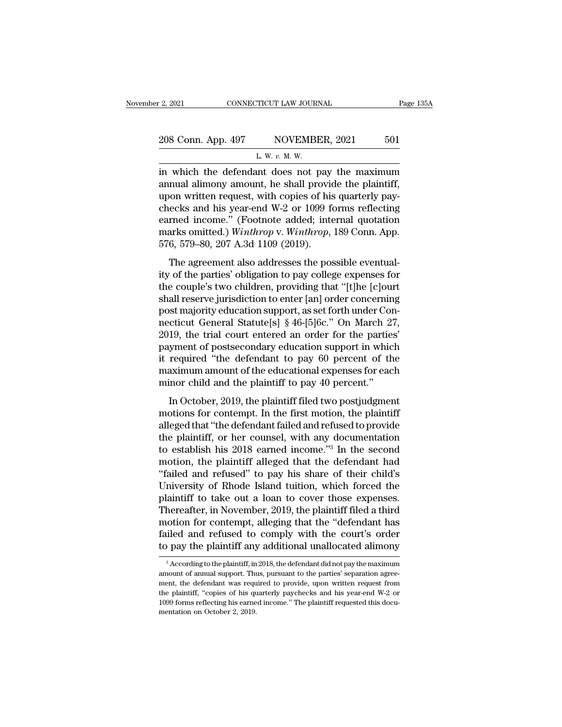| r 2, 2021          | CONNECTICUT LAW JOURNAL                         | Page 135A |
|--------------------|-------------------------------------------------|-----------|
| 208 Conn. App. 497 | NOVEMBER, 2021                                  | 501       |
|                    | L. W. $v$ . M. W.                               |           |
|                    | in which the defendant does not pay the maximum |           |

<sup>2</sup> 2021 CONNECTICUT LAW JOURNAL Page 135A<br>
208 Conn. App. 497 NOVEMBER, 2021 501<br>
L. W. v. M. W.<br>
in which the defendant does not pay the maximum<br>
annual alimony amount, he shall provide the plaintiff,<br>
upon written requ 208 Conn. App. 497 NOVEMBER, 2021 501<br>
L. W. v. M. W.<br>
in which the defendant does not pay the maximum<br>
annual alimony amount, he shall provide the plaintiff,<br>
upon written request, with copies of his quarterly pay-<br>
choc 208 Conn. App. 497 NOVEMBER, 2021 501<br>
L. W. v. M. W.<br>
in which the defendant does not pay the maximum<br>
annual alimony amount, he shall provide the plaintiff,<br>
upon written request, with copies of his quarterly pay-<br>
chec 208 Conn. App. 497 NOVEMBER, 2021 501<br>
L. W. v. M. W.<br>
in which the defendant does not pay the maximum<br>
annual alimony amount, he shall provide the plaintiff,<br>
upon written request, with copies of his quarterly pay-<br>
chec L. W. v. M. W.<br>
in which the defendant does not pay the maximum<br>
annual alimony amount, he shall provide the plaintiff,<br>
upon written request, with copies of his quarterly pay-<br>
checks and his year-end W-2 or 1099 forms r L. W. *v. M.* W.<br>in which the defendant does not pay the maximum<br>annual alimony amount, he shall provide the plaintiff,<br>upon written request, with copies of his quarterly pay-<br>checks and his year-end W-2 or 1099 forms refl in which the defendant does not pay<br>annual alimony amount, he shall provid<br>upon written request, with copies of his<br>checks and his year-end W-2 or 1099 fe<br>earned income." (Footnote added; inte<br>marks omitted.) Winthrop v. W France, with copies of his quarterly pay-<br>ecks and his year-end W-2 or 1099 forms reflecting<br>rned income." (Footnote added; internal quotation<br>arks omitted.) Winthrop v. Winthrop, 189 Conn. App.<br>6, 579–80, 207 A.3d 1109 (2 ity of the particle is vear-end W-2 or 1099 forms reflecting<br>earned income." (Footnote added; internal quotation<br>marks omitted.) *Winthrop* v. *Winthrop*, 189 Conn. App.<br>576, 579–80, 207 A.3d 1109 (2019).<br>The agreement als

earned income." (Footnote added; internal quotation<br>marks omitted.) *Winthrop* v. *Winthrop*, 189 Conn. App.<br>576, 579–80, 207 A.3d 1109 (2019).<br>The agreement also addresses the possible eventual-<br>ity of the parties' obliga earned mesher. (Toolhote added, meethal quotation<br>marks omitted.) Winthrop v. Winthrop, 189 Conn. App.<br>576, 579–80, 207 A.3d 1109 (2019).<br>The agreement also addresses the possible eventual-<br>ity of the parties' obligation t postessing matrices.) The support matrice of the possible eventual-<br>for 579–80, 207 A.3d 1109 (2019).<br>The agreement also addresses the possible eventual-<br>ity of the parties' obligation to pay college expenses for<br>the coup The agreement also addresses the possible eventual-<br>ity of the parties' obligation to pay college expenses for<br>the couple's two children, providing that "[t]he [c]ourt<br>shall reserve jurisdiction to enter [an] order concer The agreement also addresses the possible eventual-<br>ity of the parties' obligation to pay college expenses for<br>the couple's two children, providing that "[t]he [c]ourt<br>shall reserve jurisdiction to enter [an] order concern ity of the parties' obligation to pay college expenses for<br>the couple's two children, providing that "[t]he [c]ourt<br>shall reserve jurisdiction to enter [an] order concerning<br>post majority education support, as set forth un the couple's two children, providing that "[t]he [c]ourt<br>shall reserve jurisdiction to enter [an] order concerning<br>post majority education support, as set forth under Con-<br>necticut General Statute[s] § 46-[5]6c." On March shall reserve jurisdiction to enter [an] order concerning<br>post majority education support, as set forth under Con-<br>necticut General Statute[s] § 46-[5]6c." On March 27,<br>2019, the trial court entered an order for the partie post majority education support, as set forth under Connecticut General Statute[s] § 46-[5]6c." On March 2'<br>2019, the trial court entered an order for the parties<br>payment of postsecondary education support in whic<br>it requi 19, the trial court entered an order for the parties'<br>
19, the trial court entered an order for the parties'<br>
yment of postsecondary education support in which<br>
required "the defendant to pay 60 percent of the<br>
aximum amo Evid, are and court checked an order for the parties<br>payment of postsecondary education support in which<br>it required "the defendant to pay 60 percent of the<br>maximum amount of the educational expenses for each<br>minor child a

justical of posisecondary calculator support in which<br>it required "the defendant to pay 60 percent of the<br>maximum amount of the educational expenses for each<br>minor child and the plaintiff to pay 40 percent."<br>In October, 2 to required and determinant to  $\mu_{xy}$  or percent of the maximum amount of the educational expenses for each minor child and the plaintiff to pay 40 percent."<br>In October, 2019, the plaintiff filed two postjudgment motions minor child and the plaintiff to pay 40 percent."<br>In October, 2019, the plaintiff filed two postjudgment<br>motions for contempt. In the first motion, the plaintiff<br>alleged that "the defendant failed and refused to provide<br>t In October, 2019, the plaintiff filed two postjudgment<br>motions for contempt. In the first motion, the plaintiff<br>alleged that "the defendant failed and refused to provide<br>the plaintiff, or her counsel, with any documentati In October, 2019, the plaintiff filed two postjudgment<br>
motions for contempt. In the first motion, the plaintiff<br>
alleged that "the defendant failed and refused to provide<br>
the plaintiff, or her counsel, with any documenta motions for contempt. In the first motion, the plaintiff<br>alleged that "the defendant failed and refused to provide<br>the plaintiff, or her counsel, with any documentation<br>to establish his 2018 earned income."<sup>3</sup> In the secon alleged that "the defendant failed and refused to provide<br>the plaintiff, or her counsel, with any documentation<br>to establish his 2018 earned income."<sup>3</sup> In the second<br>motion, the plaintiff alleged that the defendant had<br>"f the plaintiff, or her counsel, with any documentation<br>to establish his 2018 earned income."<sup>3</sup> In the second<br>motion, the plaintiff alleged that the defendant had<br>"failed and refused" to pay his share of their child's<br>Unive to establish his 2018 earned income."<sup>3</sup> In the second<br>motion, the plaintiff alleged that the defendant had<br>"failed and refused" to pay his share of their child's<br>University of Rhode Island tuition, which forced the<br>plaint motion, the plaintiff alleged that the defendant had<br>"failed and refused" to pay his share of their child's<br>University of Rhode Island tuition, which forced the<br>plaintiff to take out a loan to cover those expenses.<br>Thereaf "failed and refused" to pay his share of their child's<br>University of Rhode Island tuition, which forced the<br>plaintiff to take out a loan to cover those expenses.<br>Thereafter, in November, 2019, the plaintiff filed a third<br> hereatter, in November, 2019, the plaintiff filed a third<br>otion for contempt, alleging that the "defendant has<br>iled and refused to comply with the court's order<br>pay the plaintiff any additional unallocated alimony<br> $\frac{3}{2}$ motion for contempt, alleging that the "defendant has failed and refused to comply with the court's order to pay the plaintiff any additional unallocated alimony  $\frac{3}{4}$  According to the plaintiff, in 2018, the defendan

failed and refused to comply with the court's order<br>to pay the plaintiff any additional unallocated alimony<br> $\frac{3}{4}$  According to the plaintiff, in 2018, the defendant did not pay the maximum<br>amount of annual support. Th to pay the plaintiff any additional unallocated alimony<br>
<sup>3</sup> According to the plaintiff, in 2018, the defendant did not pay the maximum<br>
amount of annual support. Thus, pursuant to the parties' separation agree-<br>
ment, the  $10^{\circ}$  pay the plaintiff arty additional diffeodated antiforty<br><sup>3</sup> According to the plaintiff, in 2018, the defendant did not pay the maximum<br>amount of annual support. Thus, pursuant to the parties' separation agree-<br>me <sup>3</sup> According to the plaintiff, in amount of annual support. The ment, the defendant was requirely plaintiff, "copies of his quasible 1099 forms reflecting his earnementation on October 2, 2019.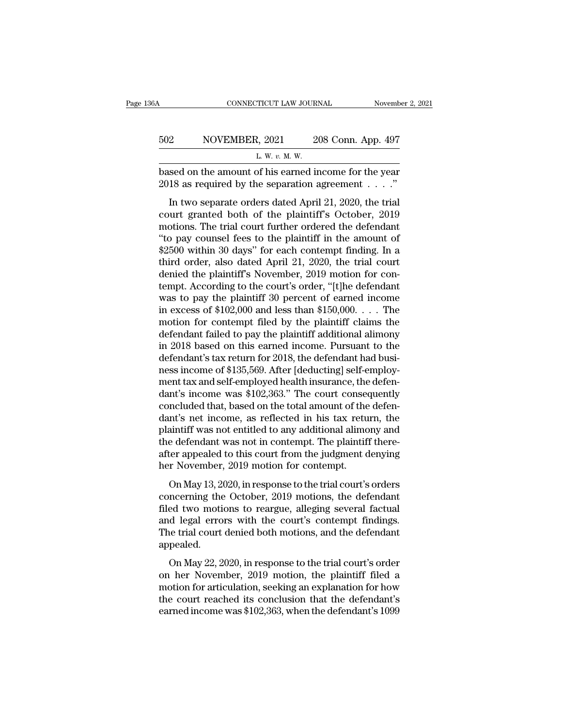| 6А  | CONNECTICUT LAW JOURNAL                                                                                          | November 2, 2021   |
|-----|------------------------------------------------------------------------------------------------------------------|--------------------|
| 502 | NOVEMBER, 2021                                                                                                   | 208 Conn. App. 497 |
|     | L. W. $v$ . M. W.                                                                                                |                    |
|     | based on the amount of his earned income for the year<br>2018 as required by the separation agreement $\ldots$ . |                    |

2 NOVEMBER, 2021 208 Conn. App. 497<br>
L. W. v. M. W.<br>
sed on the amount of his earned income for the year<br>
18 as required by the separation agreement . . . ."<br>
In two separate orders dated April 21, 2020, the trial<br>
uurt g both of the amount of his earned income for the year<br>based on the amount of his earned income for the year<br>2018 as required by the separation agreement . . . ."<br>In two separate orders dated April 21, 2020, the trial<br>court L. W. v. M. W.<br>
based on the amount of his earned income for the year<br>
2018 as required by the separation agreement . . . ."<br>
In two separate orders dated April 21, 2020, the trial<br>
court granted both of the plaintiff's O based on the amount of his earned income for the year 2018 as required by the separation agreement  $\dots$ ."<br>In two separate orders dated April 21, 2020, the trial court granted both of the plaintiff's October, 2019<br>motions. 2018 as required by the separation agreement  $\dots$ ."<br>
In two separate orders dated April 21, 2020, the trial<br>
court granted both of the plaintiff's October, 2019<br>
motions. The trial court further ordered the defendant<br>
"to In two separate orders dated April 21, 2020, the trial court granted both of the plaintiff's October, 2019 motions. The trial court further ordered the defendant "to pay counsel fees to the plaintiff in the amount of \$250 In two separate orders dated April 21, 2020, the trial<br>court granted both of the plaintiff's October, 2019<br>motions. The trial court further ordered the defendant<br>"to pay counsel fees to the plaintiff in the amount of<br>\$2500 court granted both of the plaintiff's October, 2019<br>motions. The trial court further ordered the defendant<br>"to pay counsel fees to the plaintiff in the amount of<br>\$2500 within 30 days" for each contempt finding. In a<br>third motions. The trial court further ordered the defendant<br>"to pay counsel fees to the plaintiff in the amount of<br>\$2500 within 30 days" for each contempt finding. In a<br>third order, also dated April 21, 2020, the trial court<br>d "to pay counsel fees to the plaintiff in the amount of  $$2500$  within 30 days" for each contempt finding. In a third order, also dated April 21, 2020, the trial court denied the plaintiff's November, 2019 motion for conte \$2500 within 30 days" for each contempt finding. In a<br>third order, also dated April 21, 2020, the trial court<br>denied the plaintiff's November, 2019 motion for con-<br>tempt. According to the court's order, "[t]he defendant<br>w third order, also dated April 21, 2020, the trial court<br>denied the plaintiff's November, 2019 motion for con-<br>tempt. According to the court's order, "[t]he defendant<br>was to pay the plaintiff 30 percent of earned income<br>in denied the plaintiff's November, 2019 motion for con-<br>tempt. According to the court's order, "[t]he defendant<br>was to pay the plaintiff 30 percent of earned income<br>in excess of \$102,000 and less than \$150,000. . . . The<br>mot tempt. According to the court's order, "[t]he defendant<br>was to pay the plaintiff 30 percent of earned income<br>in excess of \$102,000 and less than \$150,000. . . . The<br>motion for contempt filed by the plaintiff claims the<br>de was to pay the plaintiff 30 percent of earned income<br>in excess of \$102,000 and less than \$150,000. . . . The<br>motion for contempt filed by the plaintiff claims the<br>defendant failed to pay the plaintiff additional alimony<br>i in excess of \$102,000 and less than \$150,000. . . . The<br>motion for contempt filed by the plaintiff claims the<br>defendant failed to pay the plaintiff additional alimony<br>in 2018 based on this earned income. Pursuant to the<br>d motion for contempt filed by the plaintiff claims the<br>defendant failed to pay the plaintiff additional alimony<br>in 2018 based on this earned income. Pursuant to the<br>defendant's tax return for 2018, the defendant had busi-<br>n defendant failed to pay the plaintiff additional alimony<br>in 2018 based on this earned income. Pursuant to the<br>defendant's tax return for 2018, the defendant had busi-<br>ness income of \$135,569. After [deducting] self-employin 2018 based on this earned income. Pursuant to the<br>defendant's tax return for 2018, the defendant had busi-<br>ness income of \$135,569. After [deducting] self-employ-<br>ment tax and self-employed health insurance, the defen-<br> defendant's tax return for 2018, the defendant had business income of \$135,569. After [deducting] self-employment tax and self-employed health insurance, the defendant's income was \$102,363." The court consequently conclud ness income of \$135,569. After [deducting] self-employ-<br>ment tax and self-employed health insurance, the defen-<br>dant's income was \$102,363." The court consequently<br>concluded that, based on the total amount of the defen-<br>da ment tax and self-employed health insurance, the defen-<br>dant's income was \$102,363." The court consequently<br>concluded that, based on the total amount of the defen-<br>dant's net income, as reflected in his tax return, the<br>pla dant's income was \$102,363." The court conseconcluded that, based on the total amount of the dant's net income, as reflected in his tax retu plaintiff was not entitled to any additional alimo<br>the defendant was not in conte netated analy salsed on the total amount of the deferment's net income, as reflected in his tax return, the aintiff was not entitled to any additional alimony and e defendant was not in contempt. The plaintiff there-<br>ter a maint of the Messine in this can feat in the defendant was not entitled to any additional alimony and<br>the defendant was not in contempt. The plaintiff there-<br>after appealed to this court from the judgment denying<br>her Novem

Frament was not entried to any additional tannony and<br>the defendant was not in contempt. The plaintiff there-<br>after appealed to this court from the judgment denying<br>her November, 2019 motion for contempt.<br>On May 13, 2020, and determinate was not in contempt. The plaintin increased after appealed to this court from the judgment denying her November, 2019 motion for contempt.<br>On May 13, 2020, in response to the trial court's orders concerning EXECUTE: the Theorem Contempt.<br>The November, 2019 motion for contempt.<br>The trial court's orders<br>concerning the October, 2019 motions, the defendant<br>filed two motions to reargue, alleging several factual<br>and legal errors wi appealed. on May 22, 2020, in response to the trial court's orders<br>
noterning the October, 2019 motions, the defendant<br>
d legal errors with the court's contempt findings.<br>
le trial court denied both motions, and the defendant<br>
peal oncerning are secoser, 2019 motions, are determined<br>filed two motions to reargue, alleging several factual<br>and legal errors with the court's contempt findings.<br>The trial court denied both motions, and the defendant<br>appeale

motion for an explanation for an explanation.<br>
The trial court denied both motions, and the defendant<br>
appealed.<br>
On May 22, 2020, in response to the trial court's order<br>
on her November, 2019 motion, the plaintiff filed The trial court denied both motions, and the defendant<br>appealed.<br>On May 22, 2020, in response to the trial court's order<br>on her November, 2019 motion, the plaintiff filed a<br>motion for articulation, seeking an explanation early and the different solar motions, that the defendant<br>appealed.<br>On May 22, 2020, in response to the trial court's order<br>on her November, 2019 motion, the plaintiff filed a<br>motion for articulation, seeking an explanatio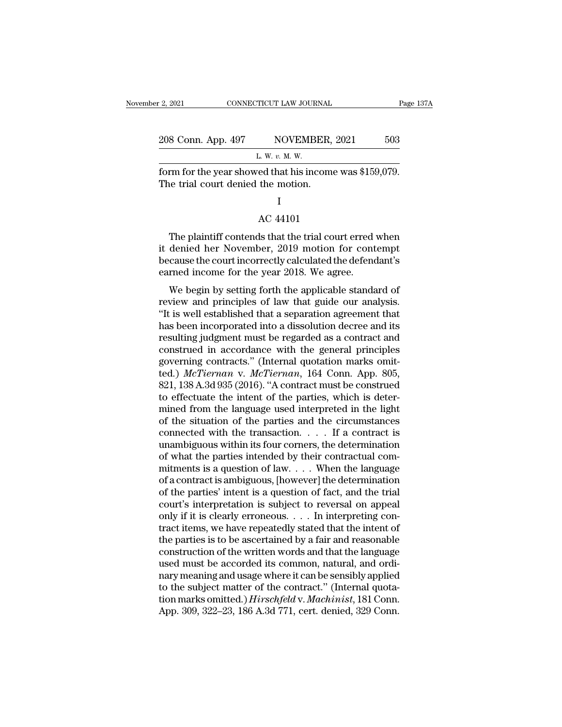| : 2, 2021                          | CONNECTICUT LAW JOURNAL                                 | Page 137A |
|------------------------------------|---------------------------------------------------------|-----------|
| 208 Conn. App. 497                 | NOVEMBER, 2021                                          | 503       |
|                                    | L. W. v. M. W.                                          |           |
| The trial court denied the motion. | form for the year showed that his income was \$159,079. |           |
|                                    |                                                         |           |
|                                    | AC 44101                                                |           |
|                                    | The plaintiff contends that the trial court erred when  |           |

#### I

Frame for the year showed that his income was \$159,079.<br>
The plaintiff contends that the trial court erred when<br>
denied her November, 2019 motion for contempt<br>
sense the court incorrectly colculated the defendant's From for the year showed that his income was  $\frac{1}{2}$ .<br>The trial court denied the motion.<br>I<br>AC 44101<br>The plaintiff contends that the trial court erred when<br>it denied her November, 2019 motion for contempt<br>because the cou I<br>AC 44101<br>The plaintiff contends that the trial court erred when<br>it denied her November, 2019 motion for contempt<br>because the court incorrectly calculated the defendant's<br>earned income for the year 2018. We agree. I<br>AC 44101<br>The plaintiff contends that the trial court erred<br>it denied her November, 2019 motion for cont<br>because the court incorrectly calculated the defence<br>arned income for the year 2018. We agree.<br>We begin by setting f AC 44101<br>The plaintiff contends that the trial court erred when<br>denied her November, 2019 motion for contempt<br>cause the court incorrectly calculated the defendant's<br>rned income for the year 2018. We agree.<br>We begin by sett The plaintiff contends that the trial court erred when<br>it denied her November, 2019 motion for contempt<br>because the court incorrectly calculated the defendant's<br>earned income for the year 2018. We agree.<br>We begin by settin

The plaintin contents that the that court effect when<br>it denied her November, 2019 motion for contempt<br>because the court incorrectly calculated the defendant's<br>earned income for the year 2018. We agree.<br>We begin by setting has beeause the court incorrectly calculated the defendant's<br>earned income for the year 2018. We agree.<br>We begin by setting forth the applicable standard of<br>review and principles of law that guide our analysis.<br>"It is well because the court incorrectly calculated the defendant s<br>earned income for the year 2018. We agree.<br>We begin by setting forth the applicable standard of<br>review and principles of law that guide our analysis.<br>"It is well est We begin by setting forth the applicable standard of<br>review and principles of law that guide our analysis.<br>"It is well established that a separation agreement that<br>has been incorporated into a dissolution decree and its<br>r We begin by setting forth the applicable standard of<br>review and principles of law that guide our analysis.<br>"It is well established that a separation agreement that<br>has been incorporated into a dissolution decree and its<br>r review and principles of law that guide our analysis.<br>
"It is well established that a separation agreement that<br>
has been incorporated into a dissolution decree and its<br>
resulting judgment must be regarded as a contract an "It is well established that a separation agreement that<br>has been incorporated into a dissolution decree and its<br>resulting judgment must be regarded as a contract and<br>construed in accordance with the general principles<br>gov has been incorporated into a dissolution decree and its<br>resulting judgment must be regarded as a contract and<br>construed in accordance with the general principles<br>governing contracts." (Internal quotation marks omit-<br>ted.) resulting judgment must be regarded as a contract and<br>construed in accordance with the general principles<br>governing contracts." (Internal quotation marks omit-<br>ted.) McTierman v. McTierman, 164 Conn. App. 805,<br>821, 138 A.3 construed in accordance with the general principles<br>governing contracts." (Internal quotation marks omit-<br>ted.) *McTiernan* v. *McTiernan*, 164 Conn. App. 805,<br>821, 138 A.3d 935 (2016). "A contract must be construed<br>to ef governing contracts." (Internal quotation marks omit-<br>ted.) McTiernan v. McTiernan, 164 Conn. App. 805,<br>821, 138 A.3d 935 (2016). "A contract must be construed<br>to effectuate the intent of the parties, which is deter-<br>mine ted.) McTiernan v. McTiernan, 164 Conn. App. 805, 821, 138 A.3d 935 (2016). "A contract must be construed to effectuate the intent of the parties, which is determined from the language used interpreted in the light of the 821, 138 A.3d 935 (2016). "A contract must be construed<br>to effectuate the intent of the parties, which is deter-<br>mined from the language used interpreted in the light<br>of the situation of the parties and the circumstances<br> to effectuate the intent of the parties, which is determined from the language used interpreted in the light<br>of the situation of the parties and the circumstances<br>connected with the transaction. . . . . If a contract is<br>u mined from the language used interpreted in the light<br>of the situation of the parties and the circumstances<br>connected with the transaction.... If a contract is<br>unambiguous within its four corners, the determination<br>of wha of the situation of the parties and the circumstances<br>
connected with the transaction.  $\dots$  If a contract is<br>
unambiguous within its four corners, the determination<br>
of what the parties intended by their contractual com-<br> connected with the transaction.  $\dots$  if a contract is<br>unambiguous within its four corners, the determination<br>of what the parties intended by their contractual com-<br>mitments is a question of law.  $\dots$  When the language<br>of unambiguous within its four corners, the determination<br>of what the parties intended by their contractual com-<br>mitments is a question of law.  $\dots$  When the language<br>of a contract is ambiguous, [however] the determination<br>o of what the parties intended by their contractual commitments is a question of law. . . . When the language<br>of a contract is ambiguous, [however] the determination<br>of the parties' intent is a question of fact, and the tri mitments is a question of law.  $\ldots$  When the language<br>of a contract is ambiguous, [however] the determination<br>of the parties' intent is a question of fact, and the trial<br>court's interpretation is subject to reversal on a of a contract is ambiguous, [however] the determination<br>of the parties' intent is a question of fact, and the trial<br>court's interpretation is subject to reversal on appeal<br>only if it is clearly erroneous.  $\dots$  In interpre of the parties' intent is a question of fact, and the trial court's interpretation is subject to reversal on appeal<br>only if it is clearly erroneous. . . . In interpreting con-<br>tract items, we have repeatedly stated that th court's interpretation is subject to reversal on appeal<br>only if it is clearly erroneous. . . . In interpreting con-<br>tract items, we have repeatedly stated that the intent of<br>the parties is to be ascertained by a fair and only if it is clearly erroneous. . . . In interpreting contract items, we have repeatedly stated that the intent of<br>the parties is to be ascertained by a fair and reasonable<br>construction of the written words and that the tract items, we have repeatedly stated that the intent of<br>the parties is to be ascertained by a fair and reasonable<br>construction of the written words and that the language<br>used must be accorded its common, natural, and ord the parties is to be ascertained by a fair and reasonable<br>construction of the written words and that the language<br>used must be accorded its common, natural, and ordi-<br>nary meaning and usage where it can be sensibly applied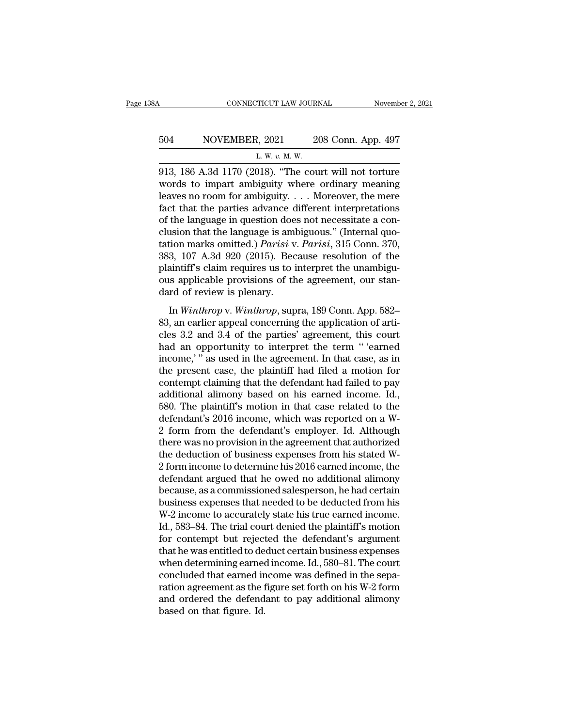# CONNECTICUT LAW JOURNAL November 2, 2021<br>504 NOVEMBER, 2021 208 Conn. App. 497<br>L. W. v. M. W. CONNECTICUT LAW JOURNAL Novemb<br>
504 NOVEMBER, 2021 208 Conn. App. 497<br>
L. W. v. M. W.<br>
913, 186 A.3d 1170 (2018). "The court will not torture

CONNECTICUT LAW JOURNAL November 2, 2021<br>
504 NOVEMBER, 2021 208 Conn. App. 497<br>
L. W. v. M. W.<br>
913, 186 A.3d 1170 (2018). "The court will not torture<br>
words to impart ambiguity where ordinary meaning<br>
logyes no room for NOVEMBER, 2021 208 Conn. App. 497<br>
L. W. v. M. W.<br>
913, 186 A.3d 1170 (2018). "The court will not torture<br>
words to impart ambiguity where ordinary meaning<br>
leaves no room for ambiguity.... Moreover, the mere<br>
fact that th 1. W. v. M. W.<br>
L. W. v. M. W.<br>
208 Conn. App. 497<br>
203, 186 A.3d 1170 (2018). "The court will not torture<br>
words to impart ambiguity where ordinary meaning<br>
leaves no room for ambiguity.... Moreover, the mere<br>
fact that 504 NOVEMBER, 2021 208 Conn. App. 497<br>
L. W. v. M. W.<br>
913, 186 A.3d 1170 (2018). "The court will not torture<br>
words to impart ambiguity where ordinary meaning<br>
leaves no room for ambiguity.... Moreover, the mere<br>
fact th L. W. v. M. W.<br>
13, 186 A.3d 1170 (2018). "The court will not torture<br>
words to impart ambiguity where ordinary meaning<br>
leaves no room for ambiguity.... Moreover, the mere<br>
fact that the parties advance different interpr L. w. v. M. w.<br>
913, 186 A.3d 1170 (2018). "The court will not torture<br>
words to impart ambiguity where ordinary meaning<br>
leaves no room for ambiguity.... Moreover, the mere<br>
fact that the parties advance different interp 913, 186 A.3d 1170 (2018). "The court will not torture<br>words to impart ambiguity where ordinary meaning<br>leaves no room for ambiguity. . . . Moreover, the mere<br>fact that the parties advance different interpretations<br>of the words to impart ambiguity where ordinary meaning<br>leaves no room for ambiguity.... Moreover, the mere<br>fact that the parties advance different interpretations<br>of the language in question does not necessitate a con-<br>clusion leaves no room for ambiguity.  $\ldots$  Moreover, the mere<br>fact that the parties advance different interpretations<br>of the language in question does not necessitate a con-<br>clusion that the language is ambiguous." (Internal quo fact that the parties advance different interpretations of the language in question does not necessitate a conclusion that the language is ambiguous." (Internal quotation marks omitted.) *Parisi* v. *Parisi*, 315 Conn. 37 of the language in question doe<br>clusion that the language is aml<br>tation marks omitted.) *Parisi* v<br>383, 107 A.3d 920 (2015). Bec<br>plaintiff's claim requires us to i<br>ous applicable provisions of th<br>dard of review is plenary. Example 18 and the tanguage *E* distributed.) Parisi v. Parisi, 315 Conn. 370,<br>3, 107 A.3d 920 (2015). Because resolution of the<br>aintiff's claim requires us to interpret the unambigu-<br>is applicable provisions of the agreem 833, 107 A.3d 920 (2015). Because resolution of the<br>plaintiff's claim requires us to interpret the unambiguous applicable provisions of the agreement, our stan-<br>dard of review is plenary.<br>In *Winthrop* v. *Winthrop*, supra

plaintiff's claim requires us to interpret the unambiguous applicable provisions of the agreement, our standard of review is plenary.<br>In *Winthrop* v. *Winthrop*, supra, 189 Conn. App. 582–83, an earlier appeal concerning plantant betanine to identify the agreement, our stan-<br>dard of review is plenary.<br>In *Winthrop* v. *Winthrop*, supra, 189 Conn. App. 582–<br>83, an earlier appeal concerning the application of arti-<br>cles 3.2 and 3.4 of the pa dard of review is plenary.<br>
In *Winthrop* v. *Winthrop*, supra, 189 Conn. App. 582–<br>
83, an earlier appeal concerning the application of arti-<br>
cles 3.2 and 3.4 of the parties' agreement, this court<br>
had an opportunity to In *Winthrop* v. *Winthrop*, supra, 189 Conn. App. 582–83, an earlier appeal concerning the application of articles 3.2 and 3.4 of the parties' agreement, this court had an opportunity to interpret the term "'earned incom In *Winthrop* v. *Winthrop*, supra, 189 Conn. App. 582–83, an earlier appeal concerning the application of articles 3.2 and 3.4 of the parties' agreement, this court had an opportunity to interpret the term "'earned incom 83, an earlier appeal concerning the application of articles 3.2 and 3.4 of the parties' agreement, this court<br>had an opportunity to interpret the term "'earned<br>income,'" as used in the agreement. In that case, as in<br>the cles 3.2 and 3.4 of the parties' agreement, this court<br>had an opportunity to interpret the term "'earned<br>income,'" as used in the agreement. In that case, as in<br>the present case, the plaintiff had filed a motion for<br>contem had an opportunity to interpret the term "'earned<br>income,'" as used in the agreement. In that case, as in<br>the present case, the plaintiff had filed a motion for<br>contempt claiming that the defendant had failed to pay<br>additi income,'" as used in the agreement. In that case, as in<br>the present case, the plaintiff had filed a motion for<br>contempt claiming that the defendant had failed to pay<br>additional alimony based on his earned income. Id.,<br>580. the present case, the plaintiff had filed a motion for<br>contempt claiming that the defendant had failed to pay<br>additional alimony based on his earned income. Id.,<br>580. The plaintiff's motion in that case related to the<br>defe contempt claiming that the defendant had failed to pay<br>additional alimony based on his earned income. Id.,<br>580. The plaintiff's motion in that case related to the<br>defendant's 2016 income, which was reported on a W-<br>2 form additional alimony based on his earned income. Id.,<br>580. The plaintiff's motion in that case related to the<br>defendant's 2016 income, which was reported on a W-<br>2 form from the defendant's employer. Id. Although<br>there was n 580. The plaintiff's motion in that case related to the<br>defendant's 2016 income, which was reported on a W-<br>2 form from the defendant's employer. Id. Although<br>there was no provision in the agreement that authorized<br>the ded defendant's 2016 income, which was reported on a W-<br>2 form from the defendant's employer. Id. Although<br>there was no provision in the agreement that authorized<br>the deduction of business expenses from his stated W-<br>2 form in 2 form from the defendant's employer. Id. Although<br>there was no provision in the agreement that authorized<br>the deduction of business expenses from his stated W-<br>2 form income to determine his 2016 earned income, the<br>defend there was no provision in the agreement that authorized<br>the deduction of business expenses from his stated W-2 form income to determine his 2016 earned income, the<br>defendant argued that he owed no additional alimony<br>becaus the deduction of business expenses from his stated W-2 form income to determine his 2016 earned income, the defendant argued that he owed no additional alimony because, as a commissioned salesperson, he had certain busines 2 form income to determine his 2016 earned income, the<br>defendant argued that he owed no additional alimony<br>because, as a commissioned salesperson, he had certain<br>business expenses that needed to be deducted from his<br>W-2 in defendant argued that he owed no additional alimony<br>because, as a commissioned salesperson, he had certain<br>business expenses that needed to be deducted from his<br>W-2 income to accurately state his true earned income.<br>Id., 5 because, as a commissioned salesperson, he had certain<br>business expenses that needed to be deducted from his<br>W-2 income to accurately state his true earned income.<br>Id., 583–84. The trial court denied the plaintiff's motion business expenses that needed to be deducted from his W-2 income to accurately state his true earned income.<br>Id., 583–84. The trial court denied the plaintiff's motion<br>for contempt but rejected the defendant's argument<br>tha W-2 income to accurately state his true earned income.<br>Id., 583–84. The trial court denied the plaintiff's motion<br>for contempt but rejected the defendant's argument<br>that he was entitled to deduct certain business expenses<br> Id., 583–84. The trial court denied the plaintiff's motion<br>for contempt but rejected the defendant's argument<br>that he was entitled to deduct certain business expenses<br>when determining earned income. Id., 580–81. The court<br> for contempt but reject<br>that he was entitled to de<br>when determining earned<br>concluded that earned in<br>ration agreement as the 1<br>and ordered the defend<br>based on that figure. Id.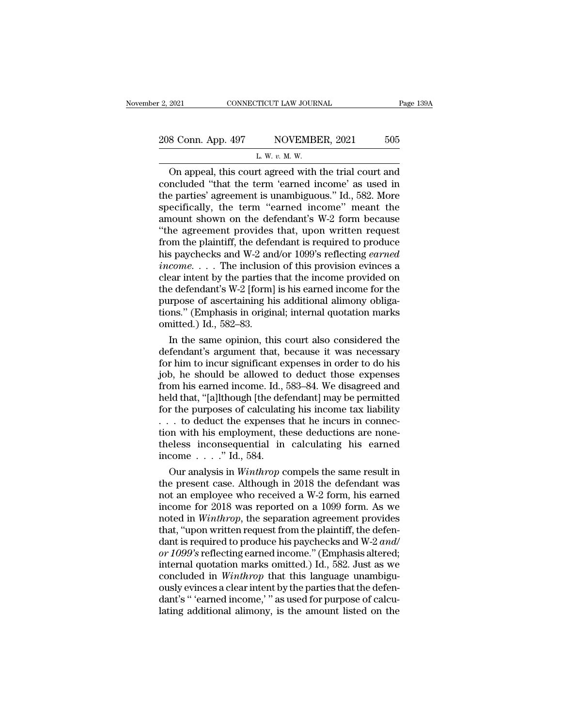# 2, 2021 CONNECTICUT LAW JOURNAL Page 139A<br>208 Conn. App. 497 NOVEMBER, 2021 505 TICUT LAW JOUR!<br>NOVEMBI<br>L. W. *v.* M. W.<br>rt. agreed with

Page 139A<br>
8 Conn. App. 497 NOVEMBER, 2021 505<br>
L. W. v. M. W.<br>
On appeal, this court agreed with the trial court and<br>
ncluded "that the term 'earned income' as used in<br>
a parties' agrooment is unambiguous "Id. 582 More 208 Conn. App. 497 NOVEMBER, 2021 505<br>
L. W. v. M. W.<br>
On appeal, this court agreed with the trial court and concluded "that the term 'earned income' as used in the parties' agreement is unambiguous." Id., 582. More speci 208 Conn. App. 497 NOVEMBER, 2021 505<br>
L. W. v. M. W.<br>
On appeal, this court agreed with the trial court and<br>
concluded "that the term "earned income" as used in<br>
the parties' agreement is unambiguous." Id., 582. More<br>
sp 208 Conn. App. 497 NOVEMBER, 2021 505<br>
L. W.  $v$ . M. W.<br>
On appeal, this court agreed with the trial court and<br>
concluded "that the term 'earned income' as used in<br>
the parties' agreement is unambiguous." Id., 582. More<br> L. W. v. M. W.<br>
On appeal, this court agreed with the trial court and<br>
concluded "that the term 'earned income' as used in<br>
the parties' agreement is unambiguous." Id., 582. More<br>
specifically, the term "earned income" me L. W. v. M. W.<br>
On appeal, this court agreed with the trial court and<br>
concluded "that the term 'earned income' as used in<br>
the parties' agreement is unambiguous." Id., 582. More<br>
specifically, the term "earned income" me On appeal, this court agreed with the trial court and<br>concluded "that the term 'earned income' as used in<br>the parties' agreement is unambiguous." Id., 582. More<br>specifically, the term "earned income" meant the<br>amount shown concluded "that the term 'earned income' as used in<br>the parties' agreement is unambiguous." Id., 582. More<br>specifically, the term "earned income" meant the<br>amount shown on the defendant's W-2 form because<br>"the agreement pr the parties' agreement is unambiguous." Id., 582. More<br>specifically, the term "earned income" meant the<br>amount shown on the defendant's W-2 form because<br>"the agreement provides that, upon written request<br>from the plaintiff specifically, the term "earned income" meant the<br>amount shown on the defendant's W-2 form because<br>"the agreement provides that, upon written request<br>from the plaintiff, the defendant is required to produce<br>his paychecks a amount shown on the defendant's W-2 form because<br>
"the agreement provides that, upon written request<br>
from the plaintiff, the defendant is required to produce<br>
his paychecks and W-2 and/or 1099's reflecting *earned*<br>  $\emph$ "the agreement provides that, upon written request<br>from the plaintiff, the defendant is required to produce<br>his paychecks and W-2 and/or 1099's reflecting *earned*<br>income.... The inclusion of this provision evinces a<br>clea from the plaintiff, the defendant is required to produce<br>his paychecks and W-2 and/or 1099's reflecting *earned*<br> $income$ .... The inclusion of this provision evinces a<br>clear intent by the parties that the income provided on<br>th his paychecks and W-2 and income. . . . The inclusion clear intent by the parties the defendant's W-2 [form] purpose of ascertaining his tions." (Emphasis in origin omitted.) Id., 582–83. In the same opinion, this come. . . . The inclusion of this provision evinces a<br>ear intent by the parties that the income provided on<br>e defendant's W-2 [form] is his earned income for the<br>urpose of ascertaining his additional alimony obliga-<br>ons." clear intent by the parties that the income provided on<br>the defendant's W-2 [form] is his earned income for the<br>purpose of ascertaining his additional alimony obliga-<br>tions." (Emphasis in original; internal quotation marks

the defendant's W-2 [form] is his earned income for the<br>purpose of ascertaining his additional alimony obliga-<br>tions." (Emphasis in original; internal quotation marks<br>omitted.) Id., 582–83.<br>In the same opinion, this court purpose of ascertaining his additional alimony obliga-<br>tions." (Emphasis in original; internal quotation marks<br>omitted.) Id., 582–83.<br>In the same opinion, this court also considered the<br>defendant's argument that, because i tions." (Emphasis in original; internal quotation marks<br>omitted.) Id., 582–83.<br>In the same opinion, this court also considered the<br>defendant's argument that, because it was necessary<br>for him to incur significant expenses i omitted.) Id., 582–83.<br>
In the same opinion, this court also considered the<br>
defendant's argument that, because it was necessary<br>
for him to incur significant expenses in order to do his<br>
job, he should be allowed to deduc In the same opinion, this court also considered the<br>defendant's argument that, because it was necessary<br>for him to incur significant expenses in order to do his<br>job, he should be allowed to deduct those expenses<br>from his defendant's argument that, because it was necessary<br>for him to incur significant expenses in order to do his<br>job, he should be allowed to deduct those expenses<br>from his earned income. Id., 583–84. We disagreed and<br>held tha for him to incur significant expenses in order to do his<br>job, he should be allowed to deduct those expenses<br>from his earned income. Id., 583–84. We disagreed and<br>held that, "[a]lthough [the defendant] may be permitted<br>for job, he should be allowed to deduct those expenses<br>from his earned income. Id., 583–84. We disagreed and<br>held that, "[a]lthough [the defendant] may be permitted<br>for the purposes of calculating his income tax liability<br> $\ld$ from his earned income. Id.,<br>held that, "[a]lthough [the def<br>for the purposes of calculatin<br> $\ldots$  to deduct the expenses<br>tion with his employment, th<br>theless inconsequential in<br>income  $\ldots$ ." Id., 584.<br>Our analysis in *Wi* Id that, "[a]Ithough [the defendant] may be permitted<br>r the purposes of calculating his income tax liability<br>. to deduct the expenses that he incurs in connec-<br>n with his employment, these deductions are none-<br>eless incon for the purposes of calculating his income tax liability<br>
... to deduct the expenses that he incurs in connec-<br>
tion with his employment, these deductions are none-<br>
theless inconsequential in calculating his earned<br>
inco

... to deduct the expenses that he incurs in connection with his employment, these deductions are none-<br>theless inconsequential in calculating his earned<br>income ...." Id., 584.<br>Our analysis in *Winthrop* compels the same tion with his employment, these deductions are none-<br>theless inconsequential in calculating his earned<br>income . . . ." Id., 584.<br>Our analysis in *Winthrop* compels the same result in<br>the present case. Although in 2018 the theless inconsequential in calculating his earned<br>income . . . ." Id., 584.<br>Our analysis in *Winthrop* compels the same result in<br>the present case. Although in 2018 the defendant was<br>not an employee who received a W-2 for income  $\ldots$  ." Id., 584.<br>
Our analysis in *Winthrop* compels the same result in<br>
the present case. Although in 2018 the defendant was<br>
not an employee who received a W-2 form, his earned<br>
income for 2018 was reported on Our analysis in *Winthrop* compels the same result in<br>the present case. Although in 2018 the defendant was<br>not an employee who received a W-2 form, his earned<br>income for 2018 was reported on a 1099 form. As we<br>noted in *Wi* the present case. Although in 2018 the defendant was<br>not an employee who received a W-2 form, his earned<br>income for 2018 was reported on a 1099 form. As we<br>noted in *Winthrop*, the separation agreement provides<br>that, "upon not an employee who received a W-2 form, his earned<br>income for 2018 was reported on a 1099 form. As we<br>noted in *Winthrop*, the separation agreement provides<br>that, "upon written request from the plaintiff, the defen-<br>dant income for 2018 was reported on a 1099 form. As we<br>noted in *Winthrop*, the separation agreement provides<br>that, "upon written request from the plaintiff, the defen-<br>dant is required to produce his paychecks and W-2 *and/* noted in *Winthrop*, the separation agreement provides<br>that, "upon written request from the plaintiff, the defen-<br>dant is required to produce his paychecks and W-2 *and/*<br>or 1099's reflecting earned income." (Emphasis alte that, "upon written request from the plaintiff, the defendant is required to produce his paychecks and W-2 and/<br>or 1099's reflecting earned income." (Emphasis altered;<br>internal quotation marks omitted.) Id., 582. Just as w dant is required to produce his paychecks and W-2 and/<br>or 1099's reflecting earned income." (Emphasis altered;<br>internal quotation marks omitted.) Id., 582. Just as we<br>concluded in *Winthrop* that this language unambigu-<br>ou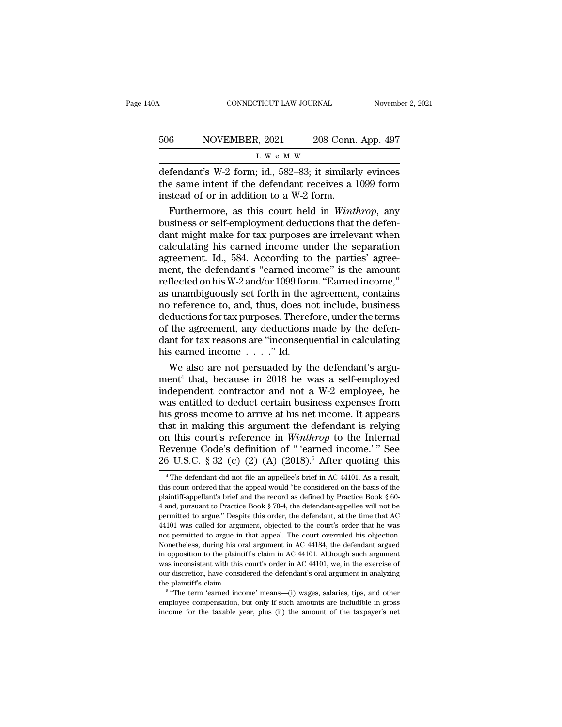| ЭA  | CONNECTICUT LAW JOURNAL                                 | November 2, 2021   |
|-----|---------------------------------------------------------|--------------------|
| 506 | NOVEMBER, 2021                                          | 208 Conn. App. 497 |
|     | L. W. v. M. W.                                          |                    |
|     | defendant's $W-2$ form id $582-83$ it similarly evinces |                    |

CONNECTICUT LAW JOURNAL November 2, 2021<br>506 NOVEMBER, 2021 208 Conn. App. 497<br>L. W. v. M. W.<br>defendant's W-2 form; id., 582–83; it similarly evinces<br>the same intent if the defendant receives a 1099 form<br>instead of or in 506 NOVEMBER, 2021 208 Conn. App. 497<br>
L. W. v. M. W.<br>
defendant's W-2 form; id., 582–83; it similarly evinces<br>
the same intent if the defendant receives a 1099 form<br>
instead of or in addition to a W-2 form. 506 NOVEMBER, 2021 208 Conn.<br>
L. W. v. M. W.<br>
defendant's W-2 form; id., 582–83; it similarl<br>
the same intent if the defendant receives a linstead of or in addition to a W-2 form.<br>
Furthermore, as this court held in *Wint* Furthermore, 2021 208 Conn. App. 497<br>
L. W. v. M. W.<br>
Fendant's W-2 form; id., 582–83; it similarly evinces<br>
e same intent if the defendant receives a 1099 form<br>
stead of or in addition to a W-2 form.<br>
Furthermore, as this

L. W.  $v$ . M. W.<br>
defendant's W-2 form; id., 582–83; it similarly evinces<br>
the same intent if the defendant receives a 1099 form<br>
instead of or in addition to a W-2 form.<br>
Furthermore, as this court held in *Winthrop*, an defendant's W-2 form; id., 582–83; it similarly evinces<br>the same intent if the defendant receives a 1099 form<br>instead of or in addition to a W-2 form.<br>Furthermore, as this court held in *Winthrop*, any<br>business or self-em defendant's W-2 form; id., 582–83; it similarly evinces<br>the same intent if the defendant receives a 1099 form<br>instead of or in addition to a W-2 form.<br>Furthermore, as this court held in *Winthrop*, any<br>business or self-em the same intent if the defendant receives a 1099 form<br>instead of or in addition to a W-2 form.<br>Furthermore, as this court held in *Winthrop*, any<br>business or self-employment deductions that the defen-<br>dant might make for instead of or in addition to a W-2 form.<br>
Furthermore, as this court held in *Winthrop*, any<br>
business or self-employment deductions that the defen-<br>
dant might make for tax purposes are irrelevant when<br>
calculating his e Furthermore, as this court held in *Winthrop*, any<br>business or self-employment deductions that the defen-<br>dant might make for tax purposes are irrelevant when<br>calculating his earned income under the separation<br>agreement. I business or self-employment deductions that the defendant might make for tax purposes are irrelevant when calculating his earned income under the separation agreement. Id., 584. According to the parties' agreement, the def dant might make for tax purposes are irrelevant when<br>calculating his earned income under the separation<br>agreement. Id., 584. According to the parties' agree-<br>ment, the defendant's "earned income" is the amount<br>reflected on calculating his earned income under the separation<br>agreement. Id., 584. According to the parties' agree-<br>ment, the defendant's "earned income" is the amount<br>reflected on his W-2 and/or 1099 form. "Earned income,"<br>as unambi agreement. Id., 584. According to the parties' agreement, the defendant's "earned income" is the amount reflected on his W-2 and/or 1099 form. "Earned income," as unambiguously set forth in the agreement, contains no refer ment, the defendant's "earned income" is the amount<br>reflected on his W-2 and/or 1099 form. "Earned income,"<br>as unambiguously set forth in the agreement, contains<br>no reference to, and, thus, does not include, business<br>deduc reflected on his W-2 and/or 1099 form<br>as unambiguously set forth in the a<br>no reference to, and, thus, does no<br>deductions for tax purposes. Theref<br>of the agreement, any deductions<br>dant for tax reasons are "inconseque<br>his ea unambiguously set forth in the agreement, contains<br>o reference to, and, thus, does not include, business<br>ductions for tax purposes. Therefore, under the terms<br>the agreement, any deductions made by the defen-<br>nt for tax re mo reference to, and, thus, does not include, business<br>deductions for tax purposes. Therefore, under the terms<br>of the agreement, any deductions made by the defen-<br>dant for tax reasons are "inconsequential in calculating<br>h

deductions for tax purposes. Therefore, under the terms<br>of the agreement, any deductions made by the defen-<br>dant for tax reasons are "inconsequential in calculating<br>his earned income  $\ldots$ ..." Id.<br>We also are not persuade of the agreement, any deductions made by the defen-<br>dant for tax reasons are "inconsequential in calculating<br>his earned income  $\ldots$ ." Id.<br>We also are not persuaded by the defendant's argu-<br>ment<sup>4</sup> that, because in 2018 h dant for tax reasons are "inconsequential in calculating<br>his earned income . . . ." Id.<br>We also are not persuaded by the defendant's argu-<br>ment<sup>4</sup> that, because in 2018 he was a self-employed<br>independent contractor and no his earned income . . . ." Id.<br>
We also are not persuaded by the defendant's argument<sup>4</sup> that, because in 2018 he was a self-employed<br>
independent contractor and not a W-2 employee, he<br>
was entitled to deduct certain busi We also are not persuaded by the defendant's argument<sup>4</sup> that, because in 2018 he was a self-employed independent contractor and not a W-2 employee, he was entitled to deduct certain business expenses from his gross incom ment<sup>4</sup> that, because in 2018 he was a self-employed<br>independent contractor and not a W-2 employee, he<br>was entitled to deduct certain business expenses from<br>his gross income to arrive at his net income. It appears<br>that in independent contractor and not a W-2 employee, he<br>was entitled to deduct certain business expenses from<br>his gross income to arrive at his net income. It appears<br>that in making this argument the defendant is relying<br>on thi aat in making this argument the defendant is relying<br>in this court's reference in *Winthrop* to the Internal<br>evenue Code's definition of "'earned income.'" See<br> $3 \text{ U.S.C. }$   $8 \text{ 32 (c) (2) (A) (2018).$ <sup>5</sup> After quoting this<br><sup>4</sup> on this court's reference in *Winthrop* to the Internal<br>Revenue Code's definition of "'earned income.'" See<br>26 U.S.C. § 32 (c) (2) (A) (2018).<sup>5</sup> After quoting this<br><sup>4</sup> The defendant did not file an appellee's brief in AC

Revenue Code's definition of " 'earned income.' " See 26 U.S.C. § 32 (c) (2) (A) (2018).<sup>5</sup> After quoting this  $\overline{\phantom{a}}$  <sup>4</sup> The defendant did not file an appellee's brief in AC 44101. As a result, this court ordered th 26 U.S.C. § 32 (c) (2) (A) (2018).<sup>5</sup> After quoting this<br>
<sup>4</sup> The defendant did not file an appellee's brief in AC 44101. As a result,<br>
this court ordered that the appeal would "be considered on the basis of the<br>
plaintif 20 U.S.U. § 32 (C) (2) (A) (2018). Alter quoting this  $^{4}$  The defendant did not file an appellee's brief in AC 44101. As a result, this court ordered that the appeal would "be considered on the basis of the plaintiff-ap <sup>4</sup> The defendant did not file an appellee's brief in AC 44101. As a result, this court ordered that the appeal would "be considered on the basis of the plaintiff-appellant's brief and the record as defined by Practice Bo this court ordered that the appeal would "be considered on the basis of the plaintiff-appellant's brief and the record as defined by Practice Book § 60-4 and, pursuant to Practice Book § 70-4, the defendant-appellee will n plaintiff-appellant's brief and the record as defined by Practice Book § 60-4 and, pursuant to Practice Book § 70-4, the defendant-appellee will not be permitted to argue." Despite this order, the defendant, at the time t 4 and, pursuant to Practice Book § 70-4, the defendant-appellee will not be permitted to argue." Despite this order, the defendant, at the time that AC 44101 was called for argument, objected to the court's order that he Fermitted to argue." Despite this order, the defendant, at the time that AC 44101 was called for argument, objected to the court's order that he was not permitted to argue in that appeal. The court overruled his objection. parameter and a sense of a sense of a sense of a sense of a sense and the defendant argue in that appeal. The court overruled his objection. Nonetheless, during his oral argument in AC 44184, the defendant argued in opposi not permitted to argue in that appeal. The court overruled his objection.<br>Nonetheless, during his oral argument in AC 44184, the defendant argued<br>in opposition to the plaintiff's claim in AC 44101. Although such argument<br> Nonetheless, during his oral argument in AC 44184, the defendant argued<br>
in opposition to the plaintiff's claim in AC 44101. Although such argument<br>
was inconsistent with this court's order in AC 44101, we, in the exercis in opposition to the plaintiff's claim in AC 44101. Although such argument was inconsistent with this court's order in AC 44101, we, in the exercise of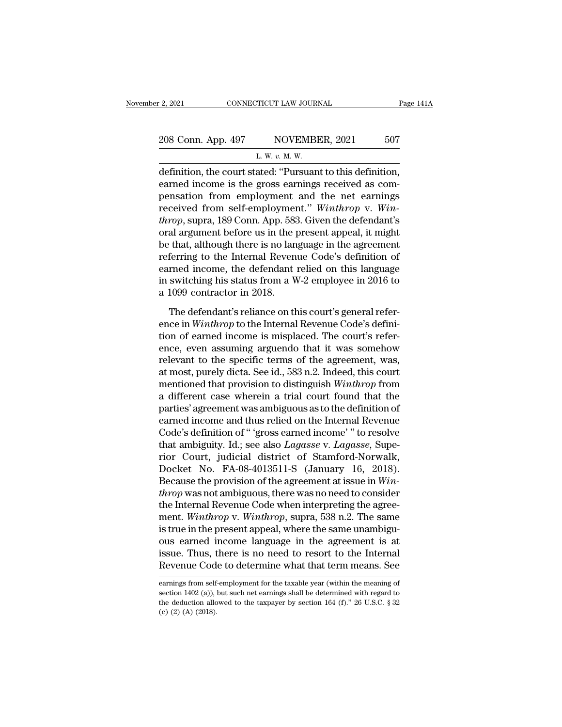| r 2, 2021<br>CONNECTICUT LAW JOURNAL |                                                           | Page 141A |  |
|--------------------------------------|-----------------------------------------------------------|-----------|--|
| 208 Conn. App. 497                   | NOVEMBER, 2021                                            | 507       |  |
|                                      | L. W. $v$ . M. W.                                         |           |  |
|                                      | definition the court stated: "Pursuant to this definition |           |  |

2, 2021 CONNECTICUT LAW JOURNAL Page 14<br>
208 Conn. App. 497 NOVEMBER, 2021 507<br>
L. W. v. M. W.<br>
definition, the court stated: "Pursuant to this definition,<br>
earned income is the gross earnings received as componention fro 208 Conn. App. 497 NOVEMBER, 2021 507<br>
L. W. v. M. W.<br>
definition, the court stated: "Pursuant to this definition,<br>
earned income is the gross earnings received as com-<br>
pensation from employment and the net earnings<br>
rec 208 Conn. App. 497 NOVEMBER, 2021 507<br>
L. W. v. M. W.<br>
definition, the court stated: "Pursuant to this definition,<br>
earned income is the gross earnings received as compensation from employment and the net earnings<br>
receiv 208 Conn. App. 497 NOVEMBER, 2021 507<br>
L. W. v. M. W.<br>
definition, the court stated: "Pursuant to this definition,<br>
earned income is the gross earnings received as com-<br>
pensation from employment and the net earnings<br>
rece *thrown.* W. W. W. W. W. W. definition, the court stated: "Pursuant to this definition, earned income is the gross earnings received as compensation from employment and the net earnings received from self-employment." *Win* L. W.  $v$ . M. W.<br>
definition, the court stated: "Pursuant to this definition,<br>
earned income is the gross earnings received as com-<br>
pensation from employment and the net earnings<br>
received from self-employment." Winthrop definition, the court stated: "Pursuant to this definition,<br>earned income is the gross earnings received as com-<br>pensation from employment and the net earnings<br>received from self-employment." Winthrop v. Win-<br>throp, supra, earned income is the gross earnings received as compensation from employment and the net earnings<br>received from self-employment." *Winthrop* v. *Win-<br>throp*, supra, 189 Conn. App. 583. Given the defendant's<br>oral argument pensation from employment and the net earnings<br>received from self-employment." *Winthrop* v. *Win-<br>throp*, supra, 189 Conn. App. 583. Given the defendant's<br>oral argument before us in the present appeal, it might<br>be that, received from self-employment." Winthrop v. Win-<br>throp, supra, 189 Conn. App. 583. Given the defendant's<br>oral argument before us in the present appeal, it might<br>be that, although there is no language in the agreement<br>refe throp, supra, 189 Conn. App. 583<br>oral argument before us in the p<br>be that, although there is no lan<br>referring to the Internal Reven<br>earned income, the defendant<br>in switching his status from a W<br>a 1099 contractor in 2018.<br>T The defendant's reliance on this court's general referring to the Internal Revenue Code's definition of reliance on this language switching his status from a W-2 employee in 2016 to 1099 contractor in 2018.<br>The defendant' ence, and the Internal Revenue Code's definition of<br>earned income, the defendant relied on this language<br>in switching his status from a W-2 employee in 2016 to<br>a 1099 contractor in 2018.<br>The defendant's reliance on this co

Forming to the Internal Hotchine obtates definition of<br>earned income, the defendant relied on this language<br>in switching his status from a W-2 employee in 2016 to<br>a 1099 contractor in 2018.<br>The defendant's reliance on this in switching his status from a W-2 employee in 2016 to<br>a 1099 contractor in 2018.<br>The defendant's reliance on this court's general refer-<br>ence in *Winthrop* to the Internal Revenue Code's defini-<br>tion of earned income is a 1099 contractor in 2018.<br>
The defendant's reliance on this court's general reference in *Winthrop* to the Internal Revenue Code's definition of earned income is misplaced. The court's reference, even assuming arguendo t The defendant's reliance on this court's general reference in *Winthrop* to the Internal Revenue Code's definition of earned income is misplaced. The court's reference, even assuming arguendo that it was somehow relevant The defendant's reliance on this court's general refer-<br>ence in *Winthrop* to the Internal Revenue Code's defini-<br>tion of earned income is misplaced. The court's refer-<br>ence, even assuming arguendo that it was somehow<br>rele ence in *Winthrop* to the Internal Revenue Code's definition of earned income is misplaced. The court's reference, even assuming arguendo that it was somehow relevant to the specific terms of the agreement, was, at most, p tion of earned income is misplaced. The court's reference, even assuming arguendo that it was somehow<br>relevant to the specific terms of the agreement, was,<br>at most, purely dicta. See id., 583 n.2. Indeed, this court<br>mentio ence, even assuming arguendo that it was somehow<br>relevant to the specific terms of the agreement, was,<br>at most, purely dicta. See id., 583 n.2. Indeed, this court<br>mentioned that provision to distinguish *Winthrop* from<br>a d relevant to the specific terms of the agreement, was,<br>at most, purely dicta. See id., 583 n.2. Indeed, this court<br>mentioned that provision to distinguish *Winthrop* from<br>a different case wherein a trial court found that th at most, purely dicta. See id., 583 n.2. Indeed, this court<br>mentioned that provision to distinguish *Winthrop* from<br>a different case wherein a trial court found that the<br>parties' agreement was ambiguous as to the definitio mentioned that provision to distinguish *Winthrop* from<br>a different case wherein a trial court found that the<br>parties' agreement was ambiguous as to the definition of<br>earned income and thus relied on the Internal Revenue<br>C a different case wherein a trial court found that the<br>parties' agreement was ambiguous as to the definition of<br>earned income and thus relied on the Internal Revenue<br>Code's definition of " 'gross earned income' " to resolve parties' agreement was ambiguous as to the definition of<br>earned income and thus relied on the Internal Revenue<br>Code's definition of " 'gross earned income' " to resolve<br>that ambiguity. Id.; see also *Lagasse* v. *Lagasse*, earned income and thus relied on the Internal Revenue<br>Code's definition of " 'gross earned income' " to resolve<br>that ambiguity. Id.; see also *Lagasse* v. *Lagasse*, Supe-<br>rior Court, judicial district of Stamford-Norwalk, Code's definition of " 'gross earned income' " to resolve<br>that ambiguity. Id.; see also *Lagasse* v. *Lagasse*, Supe-<br>rior Court, judicial district of Stamford-Norwalk,<br>Docket No. FA-08-4013511-S (January 16, 2018).<br>Becaus that ambiguity. Id.; see also *Lagasse* v. *Lagasse*, Superior Court, judicial district of Stamford-Norwalk, Docket No. FA-08-4013511-S (January 16, 2018).<br>Because the provision of the agreement at issue in *Winthrop* was rior Court, judicial district of Stamford-Norwalk,<br>Docket No. FA-08-4013511-S (January 16, 2018).<br>Because the provision of the agreement at issue in *Win-<br>throp* was not ambiguous, there was no need to consider<br>the Interna Docket No. FA-08-4013511-S (January 16, 2018).<br>Because the provision of the agreement at issue in *Win-<br>throp* was not ambiguous, there was no need to consider<br>the Internal Revenue Code when interpreting the agree-<br>ment. Because the provision of the agreement at issue in  $Win-  
throp$  was not ambiguous, there was no need to consider<br>the Internal Revenue Code when interpreting the agree-<br>ment. Winthrop v. Winthrop, supra, 538 n.2. The same<br>is *throp* was not ambiguous, there was no need to consider<br>the Internal Revenue Code when interpreting the agree-<br>ment. *Winthrop* v. *Winthrop*, supra, 538 n.2. The same<br>is true in the present appeal, where the same unambig is true in the present appeal, where the same unambiguous<br>carned income language in the agreement is at<br>issue. Thus, there is no need to resort to the Internal<br>Revenue Code to determine what that term means. See<br>earnings f ous earned income language in the agreement is at<br>issue. Thus, there is no need to resort to the Internal<br>Revenue Code to determine what that term means. See<br>earnings from self-employment for the taxable year (within the m

issue. Thus, there is no need to resort to the Internal Revenue Code to determine what that term means. See earnings from self-employment for the taxable year (within the meaning of section 1402 (a)), but such net earning Example Cod<br>
earnings from self<br>
section 1402 (a)),<br>
the deduction allo<br>
(c) (2) (A) (2018).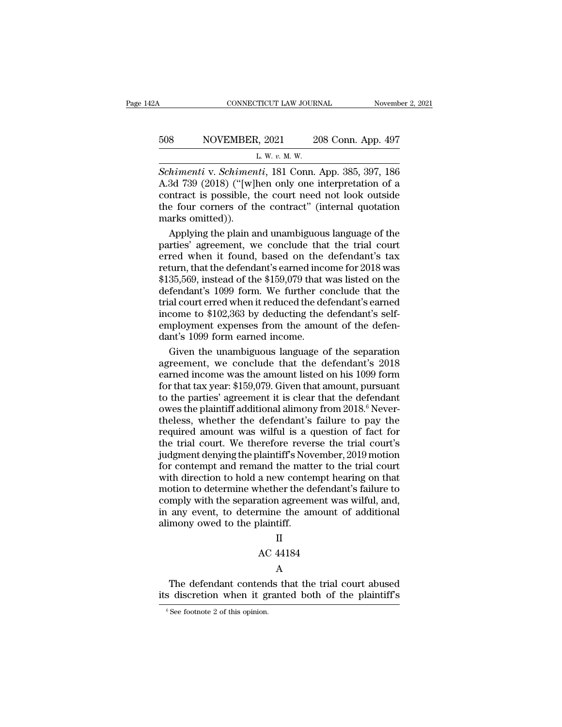# CONNECTICUT LAW JOURNAL November 2, 2021<br>508 NOVEMBER, 2021 208 Conn. App. 497<br>L. W. v. M. W. <u>2</u><br>2, 2021 2<br><u>2. w. v. M. w.</u><br>*ut*. 181 Conn

CONNECTICUT LAW JOURNAL November 2, 2021<br> **SCHIMENER, 2021** 208 Conn. App. 497<br>
L. W. v. M. W.<br> *Schimenti* v. *Schimenti*, 181 Conn. App. 385, 397, 186<br>
A.3d 739 (2018) ("[w]hen only one interpretation of a<br>
contract is p SO8 NOVEMBER, 2021 208 Conn. App. 497<br>
L. W. v. M. W.<br>
Schimenti v. Schimenti, 181 Conn. App. 385, 397, 186<br>
A.3d 739 (2018) ("[w]hen only one interpretation of a<br>
contract is possible, the court need not look outside<br>
the 508 NOVEMBER, 2021 208 Conn. App. 497<br>
L. W. v. M. W.<br>
Schimenti v. Schimenti, 181 Conn. App. 385, 397, 186<br>
A.3d 739 (2018) ("[w]hen only one interpretation of a<br>
contract is possible, the court need not look outside<br>
th 508 NOVEMBER, 2021 208 Conn. App. 497<br>
L. W. v. M. W.<br>
Schimenti v. Schimenti, 181 Conn. App. 385, 397, 186<br>
A.3d 739 (2018) ("[w]hen only one interpretation of a<br>
contract is possible, the court need not look outside<br>
the Schimenti v. Schimen<br>A.3d 739 (2018) ("[w]]<br>contract is possible, t<br>the four corners of the marks omitted)).<br>Applying the plain a  $\frac{L}{W}$ .  $\frac{W}{W}$ .  $\frac{W}{W}$ .  $\frac{W}{W}$ . App. 385, 397, 186<br>3d 739 (2018) ("[w]hen only one interpretation of a<br>ntract is possible, the court need not look outside<br>e four corners of the contract" (internal quotation<br>ar Schimenti v. Schimenti, 181 Conn. App. 385, 397, 186<br>A.3d 739 (2018) ("[w]hen only one interpretation of a<br>contract is possible, the court need not look outside<br>the four corners of the contract" (internal quotation<br>marks

A.3d 739 (2018) ("[w]hen only one interpretation of a<br>contract is possible, the court need not look outside<br>the four corners of the contract" (internal quotation<br>marks omitted)).<br>Applying the plain and unambiguous languag contract is possible, the court need not look outside<br>the four corners of the contract" (internal quotation<br>marks omitted)).<br>Applying the plain and unambiguous language of the<br>parties' agreement, we conclude that the trial the four corners of the contract" (internal quotation<br>marks omitted)).<br>Applying the plain and unambiguous language of the<br>parties' agreement, we conclude that the trial court<br>erred when it found, based on the defendant's t marks omitted)).<br>Applying the plain and unambiguous language of the<br>parties' agreement, we conclude that the trial court<br>erred when it found, based on the defendant's tax<br>return, that the defendant's earned income for 2018 Applying the plain and unambiguous language of the<br>parties' agreement, we conclude that the trial court<br>erred when it found, based on the defendant's tax<br>return, that the defendant's earned income for 2018 was<br>\$135,569, in parties' agreement, we conclude that the trial court<br>erred when it found, based on the defendant's tax<br>return, that the defendant's earned income for 2018 was<br>\$135,569, instead of the \$159,079 that was listed on the<br>defend erred when it found, based on the defendant's tax<br>return, that the defendant's earned income for 2018 was<br>\$135,569, instead of the \$159,079 that was listed on the<br>defendant's 1099 form. We further conclude that the<br>trial c return, that the defendant's earned inco<br>\$135,569, instead of the \$159,079 that v<br>defendant's 1099 form. We further co<br>trial court erred when it reduced the de<br>income to \$102,363 by deducting the<br>employment expenses from t 35,569, instead of the \$159,079 that was listed on the<br>fendant's 1099 form. We further conclude that the<br>al court erred when it reduced the defendant's earned<br>come to \$102,363 by deducting the defendant's self-<br>ployment ex defendant's 1099 form. We further conclude that the<br>trial court erred when it reduced the defendant's earned<br>income to \$102,363 by deducting the defendant's self-<br>employment expenses from the amount of the defen-<br>dant's 10

trial court erred when it reduced the defendant's earned<br>income to \$102,363 by deducting the defendant's self-<br>employment expenses from the amount of the defen-<br>dant's 1099 form earned income.<br>Given the unambiguous languag income to \$102,363 by deducting the defendant's self-<br>employment expenses from the amount of the defen-<br>dant's 1099 form earned income.<br>Given the unambiguous language of the separation<br>agreement, we conclude that the defe employment expenses from the amount of the defen-<br>dant's 1099 form earned income.<br>Given the unambiguous language of the separation<br>agreement, we conclude that the defendant's 2018<br>earned income was the amount listed on his dant's 1099 form earned income.<br>Given the unambiguous language of the separation<br>agreement, we conclude that the defendant's 2018<br>earned income was the amount listed on his 1099 form<br>for that tax year: \$159,079. Given that Given the unambiguous language of the separation<br>agreement, we conclude that the defendant's 2018<br>earned income was the amount listed on his 1099 form<br>for that tax year: \$159,079. Given that amount, pursuant<br>to the partie agreement, we conclude that the defendant's 2018<br>earned income was the amount listed on his 1099 form<br>for that tax year: \$159,079. Given that amount, pursuant<br>to the parties' agreement it is clear that the defendant<br>owes t earned income was the amount listed on his 1099 form<br>for that tax year: \$159,079. Given that amount, pursuant<br>to the parties' agreement it is clear that the defendant<br>owes the plaintiff additional alimony from 2018.<sup>6</sup> Nev for that tax year: \$159,079. Given that amount, pursuant<br>to the parties' agreement it is clear that the defendant<br>owes the plaintiff additional alimony from 2018.<sup>6</sup> Never-<br>theless, whether the defendant's failure to pay to the parties' agreement it is clear that the defendant<br>owes the plaintiff additional alimony from 2018.<sup>6</sup> Never-<br>theless, whether the defendant's failure to pay the<br>required amount was wilful is a question of fact for<br>t owes the plaintiff additional alimony from 2018.<sup>6</sup> Nevertheless, whether the defendant's failure to pay the required amount was wilful is a question of fact for the trial court. We therefore reverse the trial court's judg theless, whether the defendant's failure to pay the<br>required amount was wilful is a question of fact for<br>the trial court. We therefore reverse the trial court's<br>judgment denying the plaintiff's November, 2019 motion<br>for co required amount was wilful is a question of fact for<br>the trial court. We therefore reverse the trial court's<br>judgment denying the plaintiff's November, 2019 motion<br>for contempt and remand the matter to the trial court<br>with the trial court. We therefore reverse the trial court's<br>judgment denying the plaintiff's November, 2019 motion<br>for contempt and remand the matter to the trial court<br>with direction to hold a new contempt hearing on that<br>mot judgment denying the plaintiff's Nov<br>for contempt and remand the matt<br>with direction to hold a new conter<br>motion to determine whether the de<br>comply with the separation agreem<br>in any event, to determine the an<br>alimony owed a new contempt near<br>hether the defendar<br>ation agreement was<br>mine the amount c<br>laintiff.<br>II<br>AC 44184<br>A

#### II

#### A

any event, to determine the amount of additional<br>mony owed to the plaintiff.<br>II<br>AC 44184<br>A<br>The defendant contends that the trial court abused<br>iscretion when it granted both of the plaintiff's alimony owed to the plaintiff.<br>
II<br>
AC 44184<br>
A<br>
The defendant contends that the trial court abused<br>
its discretion when it granted both of the plaintiff's<br>
For the plaintiff's AC 44184<br>A<br>The defendant contends that the trial court abused<br>its discretion when it granted both of the plaintiff's<br><sup>6</sup>See footnote 2 of this opinion.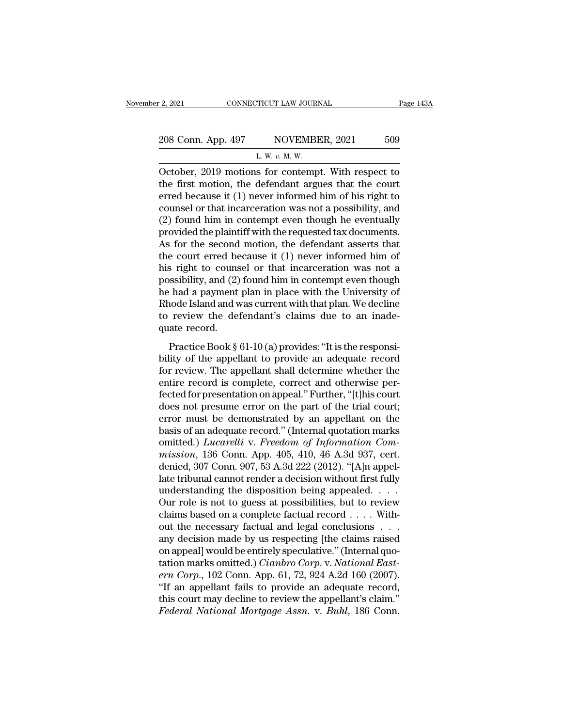| r 2, 2021          | CONNECTICUT LAW JOURNAL                           | Page 143A |
|--------------------|---------------------------------------------------|-----------|
| 208 Conn. App. 497 | NOVEMBER, 2021                                    | 509       |
|                    | L. W. $v$ . M. W.                                 |           |
|                    | October 2019 motions for contemnt With respect to |           |

 $\begin{array}{|l|l|} \hline \text{2, 2021} & \text{COMRECTICUT LAW JOURNAL} & \text{Page 143A} \ \hline \text{208 Conn. App. 497} & \text{NOVEMBER, 2021} & \text{509} \ \hline \text{L. W. v. M. W.} \ \hline \text{October, 2019 motions for contemporary. With respect to the first motion, the defendant argues that the court or read because it (1) never informed him of his right to a specific effect.} \hline \end{array}$ 208 Conn. App. 497 NOVEMBER, 2021 509<br>
L. W. v. M. W.<br>
October, 2019 motions for contempt. With respect to<br>
the first motion, the defendant argues that the court<br>
erred because it (1) never informed him of his right to<br>
c 208 Conn. App. 497 NOVEMBER, 2021 509<br>
L. W. v. M. W.<br>
October, 2019 motions for contempt. With respect to<br>
the first motion, the defendant argues that the court<br>
erred because it (1) never informed him of his right to<br>
c 208 Conn. App. 497 NOVEMBER, 2021 509<br>
L. W. v. M. W.<br>
October, 2019 motions for contempt. With respect to<br>
the first motion, the defendant argues that the court<br>
erred because it (1) never informed him of his right to<br>
c (2) found him in contempt. With respect to<br>the first motion, the defendant argues that the court<br>erred because it (1) never informed him of his right to<br>counsel or that incarceration was not a possibility, and<br>(2) found h L. W.  $v$ . M. W.<br>
Detober, 2019 motions for contempt. With respect to<br>
the first motion, the defendant argues that the court<br>
erred because it (1) never informed him of his right to<br>
counsel or that incarceration was not October, 2019 motions for contempt. With respect to<br>the first motion, the defendant argues that the court<br>erred because it  $(1)$  never informed him of his right to<br>counsel or that incarceration was not a possibility, and<br> the first motion, the defendant argues that the court<br>erred because it (1) never informed him of his right to<br>counsel or that incarceration was not a possibility, and<br>(2) found him in contempt even though he eventually<br>pr erred because it (1) never informed him of his right to<br>counsel or that incarceration was not a possibility, and<br>(2) found him in contempt even though he eventually<br>provided the plaintiff with the requested tax documents.<br> counsel or that incarceration was not a possibility, and<br>(2) found him in contempt even though he eventually<br>provided the plaintiff with the requested tax documents.<br>As for the second motion, the defendant asserts that<br>the (2) found him in contempt even though he eventually<br>provided the plaintiff with the requested tax documents.<br>As for the second motion, the defendant asserts that<br>the court erred because it  $(1)$  never informed him of<br>his provided the plaintiff with the requested tax documents.<br>As for the second motion, the defendant asserts that<br>the court erred because it (1) never informed him of<br>his right to counsel or that incarceration was not a<br>possib As for the second motion, the defendant asserts that<br>the court erred because it  $(1)$  never informed him of<br>his right to counsel or that incarceration was not a<br>possibility, and  $(2)$  found him in contempt even though<br>he the court erred be<br>his right to couns<br>possibility, and (2)<br>he had a payment<br>Rhode Island and w<br>to review the det<br>quate record.<br>Practice Book § So Fight to colliser of that included<br>and simple the responsibility, and (2) found him in contempt even though<br>thad a payment plan in place with the University of<br>node Island and was current with that plan. We decline<br>rev besisting, and (2) found that it contempt even drought<br>he had a payment plan in place with the University of<br>Rhode Island and was current with that plan. We decline<br>to review the defendant's claims due to an inade-<br>quate r

for review the defendant's claims due to an inadequate record.<br>
Practice Book § 61-10 (a) provides: "It is the responsi-<br>
bility of the appellant to provide an adequate record<br>
for review. The appellant shall determine whe record is complete. The next of the trial court.<br>
Tractice Book § 61-10 (a) provides: "It is the responsi-<br>
bility of the appellant to provide an adequate record<br>
for review. The appellant shall determine whether the<br>
enti for the determining claims due to an induct<br>quate record.<br>Practice Book § 61-10 (a) provides: "It is the responsi-<br>bility of the appellant to provide an adequate record<br>for review. The appellant shall determine whether the Practice Book  $\S 61-10$  (a) provides: "It is the responsibility of the appellant to provide an adequate record for review. The appellant shall determine whether the entire record is complete, correct and otherwise perfect Practice Book § 61-10 (a) provides: "It is the responsi-<br>bility of the appellant to provide an adequate record<br>for review. The appellant shall determine whether the<br>entire record is complete, correct and otherwise per-<br>fe bility of the appellant to provide an adequate record<br>for review. The appellant shall determine whether the<br>entire record is complete, correct and otherwise per-<br>fected for presentation on appeal." Further, "[t]his court;<br> for review. The appellant shall determine whether the<br>entire record is complete, correct and otherwise per-<br>fected for presentation on appeal." Further, "[t]his court<br>does not presume error on the part of the trial court;<br> entire record is complete, correct and otherwise per-<br>fected for presentation on appeal." Further, "[t]his court<br>does not presume error on the part of the trial court;<br>error must be demonstrated by an appellant on the<br>basi fected for presentation on appeal." Further, "[t]his court<br>does not presume error on the part of the trial court;<br>error must be demonstrated by an appellant on the<br>basis of an adequate record." (Internal quotation marks<br>om does not presume error on the part of the trial court;<br>error must be demonstrated by an appellant on the<br>basis of an adequate record." (Internal quotation marks<br>omitted.) *Lucarelli* v. Freedom of Information Com-<br>mission, error must be demonstrated by an appellant on the<br>basis of an adequate record." (Internal quotation marks<br>omitted.) *Lucarelli* v. Freedom of Information Com-<br>mission, 136 Conn. App. 405, 410, 46 A.3d 937, cert.<br>denied, 3 basis of an adequate record." (Internal quotation marks<br>omitted.) *Lucarelli* v. *Freedom of Information Commission*, 136 Conn. App. 405, 410, 46 A.3d 937, cert.<br>denied, 307 Conn. 907, 53 A.3d 222 (2012). "[A]n appel-<br>lat omitted.) *Lucarelli* v. *Freedom of Information Commission*, 136 Conn. App. 405, 410, 46 A.3d 937, cert.<br>denied, 307 Conn. 907, 53 A.3d 222 (2012). "[A]n appel-<br>late tribunal cannot render a decision without first fully<br> mission, 136 Conn. App. 405, 410, 46 A.3d 937, cert.<br>denied, 307 Conn. 907, 53 A.3d 222 (2012). "[A]n appel-<br>late tribunal cannot render a decision without first fully<br>understanding the disposition being appealed. . . . . denied, 307 Conn. 907, 53 A.3d 222 (2012). "[A]n appel-<br>late tribunal cannot render a decision without first fully<br>understanding the disposition being appealed. . . .<br>Our role is not to guess at possibilities, but to revi late tribunal cannot render a decision without first fully<br>understanding the disposition being appealed....<br>Our role is not to guess at possibilities, but to review<br>claims based on a complete factual record .... With-<br>out understanding the disposition being appealed. . . . Our role is not to guess at possibilities, but to review claims based on a complete factual record . . . . Without the necessary factual and legal conclusions . . . any d Our role is not to guess at possibilities, but to review<br>claims based on a complete factual record . . . . With-<br>out the necessary factual and legal conclusions . . .<br>any decision made by us respecting [the claims raised<br>o claims based on a complete factual record . . . . Without the necessary factual and legal conclusions . . .<br>any decision made by us respecting [the claims raised<br>on appeal] would be entirely speculative." (Internal quo-<br>t out the necessary factual and legal conclusions . . .<br>any decision made by us respecting [the claims raised<br>on appeal] would be entirely speculative." (Internal quo-<br>tation marks omitted.) *Cianbro Corp.* v. *National East* any decision made by us respecting [the claims raised<br>on appeal] would be entirely speculative." (Internal quotation marks omitted.) *Cianbro Corp.* v. *National East-*<br>*ern Corp.*, 102 Conn. App. 61, 72, 924 A.2d 160 (200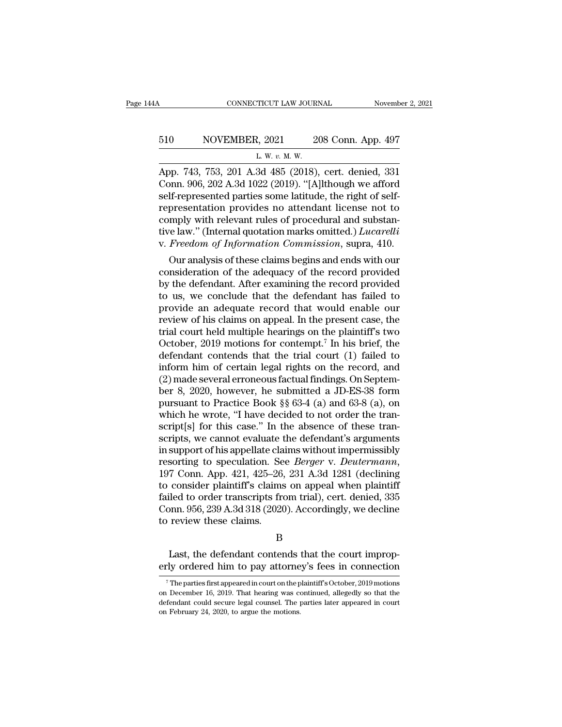# CONNECTICUT LAW JOURNAL November 2, 2021<br>510 NOVEMBER, 2021 208 Conn. App. 497<br>L. W. v. M. W. 71CUT LAW JOUR!<br>2, 2021 2<br><u>L. W. v. M. W.</u><br>3d 485 (2018)

CONNECTICUT LAW JOURNAL November 2, 2021<br>
510 NOVEMBER, 2021 208 Conn. App. 497<br>
L. W. v. M. W.<br>
App. 743, 753, 201 A.3d 485 (2018), cert. denied, 331<br>
Conn. 906, 202 A.3d 1022 (2019). "[A]lthough we afford 510 NOVEMBER, 2021 208 Conn. App. 497<br>  $L \le \nu \le \nu \le \nu \le 208$  Conn. App. 497<br>  $L \le \nu \le \nu \le \nu \le 2018$ , cert. denied, 331<br>
Conn. 906, 202 A.3d 1022 (2019). "[A]lthough we afford<br>
self-represented parties some latitude, the r 510 NOVEMBER, 2021 208 Conn. App. 497<br>  $L. W. v. M. W.$ <br>
App. 743, 753, 201 A.3d 485 (2018), cert. denied, 331<br>
Conn. 906, 202 A.3d 1022 (2019). "[A]lthough we afford<br>
self-represented parties some latitude, the right of self 510 NOVEMBER, 2021 208 Conn. App. 497<br>
L. W. v. M. W.<br>
App. 743, 753, 201 A.3d 485 (2018), cert. denied, 331<br>
Conn. 906, 202 A.3d 1022 (2019). "[A]lthough we afford<br>
self-represented parties some latitude, the right of se L. W. v. M. W.<br>
L. W. v. M. W.<br>
App. 743, 753, 201 A.3d 485 (2018), cert. denied, 331<br>
Conn. 906, 202 A.3d 1022 (2019). "[A]lthough we afford<br>
self-represented parties some latitude, the right of self-<br>
representation pro L. w. v. M. w.<br>App. 743, 753, 201 A.3d 485 (2018), cert. denied, 331<br>Conn. 906, 202 A.3d 1022 (2019). "[A]lthough we afford<br>self-represented parties some latitude, the right of self-<br>representation provides no attendant li App. 743, 753, 201 A.3d 485 (2018), cert. denied, 331<br>Conn. 906, 202 A.3d 1022 (2019). "[A]lthough we afford<br>self-represented parties some latitude, the right of self-<br>representation provides no attendant license not to<br>co Durit, 900, 202 A.3d 1022 (2019). [A]lthough we allord<br>If-represented parties some latitude, the right of self-<br>presentation provides no attendant license not to<br>mply with relevant rules of procedural and substan-<br>relaw." sen-represented parties some latitude, the right of sen-<br>representation provides no attendant license not to<br>comply with relevant rules of procedural and substan-<br>tive law." (Internal quotation marks omitted.) *Lucarelli*<br>

representation provides no attendant incense not to<br>comply with relevant rules of procedural and substan-<br>tive law." (Internal quotation marks omitted.) *Lucarelli*<br>v. *Freedom of Information Commission*, supra, 410.<br>Our a compty with relevant rules of procedural and substantive law." (Internal quotation marks omitted.) *Lucarelli* v. *Freedom of Information Commission*, supra, 410.<br>Our analysis of these claims begins and ends with our consi provide an adequation matrix of these claims begins and ends with our consideration of the adequacy of the record provided by the defendant. After examining the record provided to us, we conclude that the defendant has fai v. *Freedom of Information Commission*, supra, 410.<br>
Our analysis of these claims begins and ends with our<br>
consideration of the adequacy of the record provided<br>
by the defendant. After examining the record provided<br>
to u Our analysis of these claims begins and ends with our consideration of the adequacy of the record provided<br>by the defendant. After examining the record provided<br>to us, we conclude that the defendant has failed to<br>provide consideration of the adequacy of the record provided<br>by the defendant. After examining the record provided<br>to us, we conclude that the defendant has failed to<br>provide an adequate record that would enable our<br>review of his by the defendant. After examining the record provided<br>to us, we conclude that the defendant has failed to<br>provide an adequate record that would enable our<br>review of his claims on appeal. In the present case, the<br>trial cou to us, we conclude that the defendant has failed to<br>provide an adequate record that would enable our<br>review of his claims on appeal. In the present case, the<br>trial court held multiple hearings on the plaintiff's two<br>Octob provide an adequate record that would enable our<br>review of his claims on appeal. In the present case, the<br>trial court held multiple hearings on the plaintiff's two<br>October, 2019 motions for contempt.<sup>7</sup> In his brief, the<br> review of his claims on appeal. In the present case, the<br>trial court held multiple hearings on the plaintiff's two<br>October, 2019 motions for contempt.<sup>7</sup> In his brief, the<br>defendant contends that the trial court (1) failed trial court held multiple hearings on the plaintiff's two<br>October, 2019 motions for contempt.<sup>7</sup> In his brief, the<br>defendant contends that the trial court (1) failed to<br>inform him of certain legal rights on the record, and October, 2019 motions for contempt.<sup>7</sup> In his brief, the defendant contends that the trial court (1) failed to inform him of certain legal rights on the record, and (2) made several erroneous factual findings. On Septembe defendant contends that the trial court (1) failed to<br>inform him of certain legal rights on the record, and<br>(2) made several erroneous factual findings. On Septem-<br>ber 8, 2020, however, he submitted a JD-ES-38 form<br>pursuan inform him of certain legal rights on the record, and<br>(2) made several erroneous factual findings. On Septem-<br>ber 8, 2020, however, he submitted a JD-ES-38 form<br>pursuant to Practice Book §§ 63-4 (a) and 63-8 (a), on<br>which (2) made several erroneous factual findings. On Septem-<br>ber 8, 2020, however, he submitted a JD-ES-38 form<br>pursuant to Practice Book §§ 63-4 (a) and 63-8 (a), on<br>which he wrote, "I have decided to not order the tran-<br>scri ber 8, 2020, however, he submitted a JD-ES-38 form<br>pursuant to Practice Book §§ 63-4 (a) and 63-8 (a), on<br>which he wrote, "I have decided to not order the tran-<br>script[s] for this case." In the absence of these tran-<br>scrip which he wrote, "I have decided to not order the transcript[s] for this case." In the absence of these transcripts, we cannot evaluate the defendant's arguments in support of his appellate claims without impermissibly res script[s] for this case." In the absence of these tran-<br>scripts, we cannot evaluate the defendant's arguments<br>in support of his appellate claims without impermissibly<br>resorting to speculation. See *Berger* v. *Deutermann*, scripts, we cannot evaluate the defendant's arguments<br>in support of his appellate claims without impermissibly<br>resorting to speculation. See *Berger* v. *Deutermann*,<br>197 Conn. App. 421, 425–26, 231 A.3d 1281 (declining<br>to in support of his appellate cla<br>resorting to speculation. Se<br>197 Conn. App. 421, 425–26,<br>to consider plaintiff's claims<br>failed to order transcripts fre<br>Conn. 956, 239 A.3d 318 (2020<br>to review these claims. consider plaintiff's claims on appeal when plaintiff<br>led to order transcripts from trial), cert. denied, 335<br>pnn. 956, 239 A.3d 318 (2020). Accordingly, we decline<br>review these claims.<br>B<br>Last, the defendant contends that t failed to order transcripts from trial), cert. denied, 335<br>Conn. 956, 239 A.3d 318 (2020). Accordingly, we decline<br>to review these claims.<br>B<br>Last, the defendant contends that the court improp-<br>erly ordered him to pay attor

B

B<br>Last, the defendant contends that the court improp-<br>ty ordered him to pay attorney's fees in connection<br><sup>7</sup>The parties first appeared in court on the plaintiff's October, 2019 motions<br>1 December 16, 2019. That hearing wa

December 16, 2019. The parties first appeared in court on the plaintiff's October, 2019 motions on December 16, 2019. That hearing was continued, allegedly so that the defendant could secure legal counsel. The parties late Last, the defendant contends that the court improperly ordered him to pay attorney's fees in connection<br>The parties first appeared in court on the plaintiff's October, 2019 motions<br>on December 16, 2019. That hearing was c Exactly ordered him to pay attorned<br>
The parties first appeared in court on the p<br>
on December 16, 2019. That hearing was condefendant could secure legal counsel. The p<br>
on February 24, 2020, to argue the motions.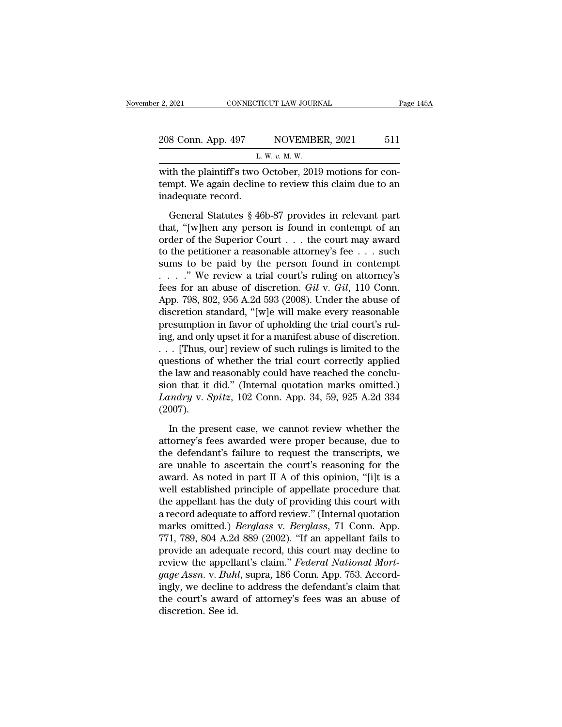| r 2, 2021          | CONNECTICUT LAW JOURNAL                                |     |
|--------------------|--------------------------------------------------------|-----|
| 208 Conn. App. 497 | NOVEMBER, 2021                                         | 511 |
|                    | L. W. $v$ . M. W.                                      |     |
|                    | with the plaintiff's two October 2019 motions for con- |     |

2, 2021 CONNECTICUT LAW JOURNAL<br>
208 Conn. App. 497 NOVEMBER, 2021 511<br>
L. W. v. M. W.<br>
with the plaintiff's two October, 2019 motions for con-<br>
tempt. We again decline to review this claim due to an 208 Conn. App. 497 NOVEMBER, 2021 511<br>
L. W. v. M. W.<br>
with the plaintiff's two October, 2019 motions for contempt. We again decline to review this claim due to an inadequate record. 208 Conn. App. 497<br>
L.<br>
with the plaintiff's two (<br>
tempt. We again decline<br>
inadequate record.<br>
General Statutes § 46  $E = \frac{E[W, v, M, W]}{E[W, v, M, W]}$ <br>
L. W.  $v$ . M. W.<br>
th the plaintiff's two October, 2019 motions for con-<br>
mpt. We again decline to review this claim due to an<br>
adequate record.<br>
General Statutes § 46b-87 provides in relevant p

L. W. v. M. W.<br>
with the plaintiff's two October, 2019 motions for contempt. We again decline to review this claim due to an<br>
inadequate record.<br>
General Statutes § 46b-87 provides in relevant part<br>
that, "[w]hen any pers with the plaintiff's two October, 2019 motions for contrampt. We again decline to review this claim due to an inadequate record.<br>
General Statutes § 46b-87 provides in relevant part that, "[w]hen any person is found in co tempt. We again decline to review this claim due to an inadequate record.<br>
General Statutes § 46b-87 provides in relevant part<br>
that, "[w]hen any person is found in contempt of an<br>
order of the Superior Court . . . the co inadequate record.<br>
General Statutes § 46b-87 provides in relevant part<br>
that, "[w]hen any person is found in contempt of an<br>
order of the Superior Court . . . the court may award<br>
to the petitioner a reasonable attorney' . . . .'' We review a trial court's ruling on attorney's General Statutes § 46b-87 provides in relevant part<br>that, "[w]hen any person is found in contempt of an<br>order of the Superior Court . . . the court may award<br>to the petitioner a reasonable attorney's fee . . . such<br>sums t that, "[w]hen any person is found in contempt of an order of the Superior Court . . . the court may award to the petitioner a reasonable attorney's fee . . . such sums to be paid by the person found in contempt . . . . ." order of the Superior Court . . . the court may award<br>to the petitioner a reasonable attorney's fee . . . such<br>sums to be paid by the person found in contempt<br> $\ldots$  . . . ." We review a trial court's ruling on attorney's<br> to the petitioner a reasonable attorney's fee . . . such sums to be paid by the person found in contempt . . . . ." We review a trial court's ruling on attorney's fees for an abuse of discretion. *Gil v. Gil*, 110 Conn. A sums to be paid by the person found in contempt<br>  $\ldots$  ." We review a trial court's ruling on attorney's<br>
fees for an abuse of discretion. *Gil* v. *Gil*, 110 Conn.<br>
App. 798, 802, 956 A.2d 593 (2008). Under the abuse of<br> . . . . . " We review a trial court's ruling on attorney's<br>fees for an abuse of discretion. *Gil* v. *Gil*, 110 Conn.<br>App. 798, 802, 956 A.2d 593 (2008). Under the abuse of<br>discretion standard, "[w]e will make every reaso fees for an abuse of discretion. *Gil* v. *Gil*, 110 Conn.<br>App. 798, 802, 956 A.2d 593 (2008). Under the abuse of<br>discretion standard, "[w]e will make every reasonable<br>presumption in favor of upholding the trial court's r App. 798, 802, 956 A.2d 593 (2008). Under the abuse of discretion standard, "[w]e will make every reasonable presumption in favor of upholding the trial court's ruling, and only upset it for a manifest abuse of discretion discretion standard, "[w]e will make every reasonable<br>presumption in favor of upholding the trial court's rul-<br>ing, and only upset it for a manifest abuse of discretion.<br>... [Thus, our] review of such rulings is limited t presumption in favor of upholding the trial court's ruling, and only upset it for a manifest abuse of discretion.<br>
. . . [Thus, our] review of such rulings is limited to the questions of whether the trial court correctly a (2007). estions of whether the trial court correctly applied<br>e law and reasonably could have reached the conclu-<br>on that it did." (Internal quotation marks omitted.)<br>undry v. Spitz, 102 Conn. App. 34, 59, 925 A.2d 334<br>007).<br>In the the law and reasonably could have reached the conclusion that it did." (Internal quotation marks omitted.)<br>Landry v. Spitz, 102 Conn. App. 34, 59, 925 A.2d 334 (2007).<br>In the present case, we cannot review whether the<br>atto

sion that it did." (Internal quotation marks omitted.)<br>
Landry v. Spitz, 102 Conn. App. 34, 59, 925 A.2d 334<br>
(2007).<br>
In the present case, we cannot review whether the<br>
attorney's fees awarded were proper because, due to Landry v. Spitz, 102 Conn. App. 34, 59, 925 A.2d 334 (2007).<br>
In the present case, we cannot review whether the<br>
attorney's fees awarded were proper because, due to<br>
the defendant's failure to request the transcripts, we<br> (2007).<br>
In the present case, we cannot review whether the<br>
attorney's fees awarded were proper because, due to<br>
the defendant's failure to request the transcripts, we<br>
are unable to ascertain the court's reasoning for th In the present case, we cannot review whether the<br>attorney's fees awarded were proper because, due to<br>the defendant's failure to request the transcripts, we<br>are unable to ascertain the court's reasoning for the<br>award. As n In the present case, we cannot review whether the<br>attorney's fees awarded were proper because, due to<br>the defendant's failure to request the transcripts, we<br>are unable to ascertain the court's reasoning for the<br>award. As attorney's fees awarded were proper because, due to<br>the defendant's failure to request the transcripts, we<br>are unable to ascertain the court's reasoning for the<br>award. As noted in part II A of this opinion, "[i]t is a<br>wel the defendant's failure to request the transcripts, we<br>are unable to ascertain the court's reasoning for the<br>award. As noted in part II A of this opinion, "[i]t is a<br>well established principle of appellate procedure that<br>t are unable to ascertain the court's reasoning for the<br>award. As noted in part II A of this opinion, "[i]t is a<br>well established principle of appellate procedure that<br>the appellant has the duty of providing this court with<br> award. As noted in part II A of this opinion, "[i]t is a<br>well established principle of appellate procedure that<br>the appellant has the duty of providing this court with<br>a record adequate to afford review." (Internal quotat well established principle of appellate procedure that<br>the appellant has the duty of providing this court with<br>a record adequate to afford review." (Internal quotation<br>marks omitted.) *Berglass* v. *Berglass*, 71 Conn. App the appellant has the duty of providing this court with a record adequate to afford review." (Internal quotation marks omitted.) *Berglass v. Berglass*, 71 Conn. App. 771, 789, 804 A.2d 889 (2002). "If an appellant fails t a record adequate to afford review." (Internal quotation<br>marks omitted.) *Berglass* v. *Berglass*, 71 Conn. App.<br>771, 789, 804 A.2d 889 (2002). "If an appellant fails to<br>provide an adequate record, this court may decline t marks omitted.) *Berglass* v. *Berglass*, 71 Conn. App.<br>771, 789, 804 A.2d 889 (2002). "If an appellant fails to<br>provide an adequate record, this court may decline to<br>review the appellant's claim." *Federal National Mort-*771, 789, 804 A.2d<br>provide an adequa<br>review the appella<br>*gage Assn*. v. *Buhi*<br>ingly, we decline t<br>the court's award<br>discretion. See id.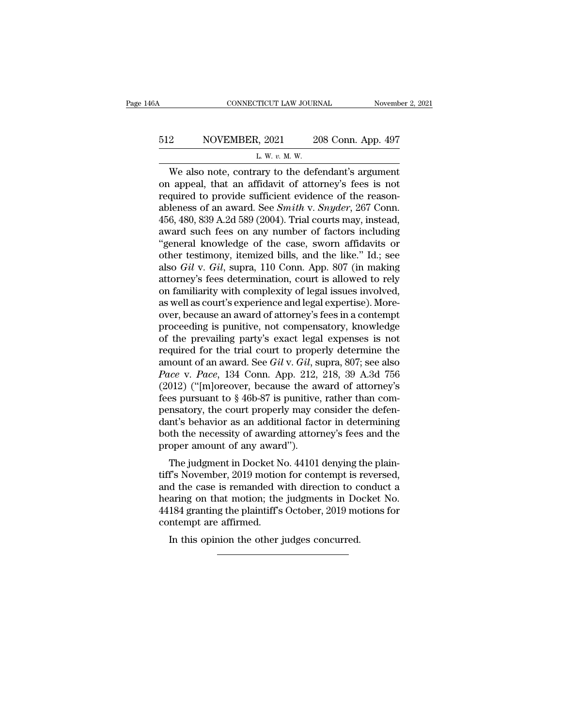# CONNECTICUT LAW JOURNAL November 2, 2021<br>512 NOVEMBER, 2021 208 Conn. App. 497<br>L. W. v. M. W. <u>2</u><br>2, 2021<br><u>2. w. v. M. W.</u><br>2 μ. w. v. M. W.

#### CONNECTICUT LAW JOURNAL November 2, 202<br>
2 NOVEMBER, 2021 208 Conn. App. 497<br>
L. W. v. M. W.<br>
We also note, contrary to the defendant's argument<br>
appeal, that an affidavit of attorney's fees is not<br>
maying to provide suffi 512 NOVEMBER, 2021 208 Conn. App. 497<br>  $L \le \nu \le \nu \le \nu$ . We also note, contrary to the defendant's argument<br>
on appeal, that an affidavit of attorney's fees is not<br>
required to provide sufficient evidence of the reason-<br>
a 512 NOVEMBER, 2021 208 Conn. App. 497<br>
L. W. v. M. W.<br>
We also note, contrary to the defendant's argument<br>
on appeal, that an affidavit of attorney's fees is not<br>
required to provide sufficient evidence of the reason-<br>
ab **EXECUTE:** SOME SOFT AND MOVE SOFT AND MET A SURVEYORD THE W. *v. M. W.*<br>
We also note, contrary to the defendant's argument<br>
on appeal, that an affidavit of attorney's fees is not<br>
required to provide sufficient evidenc  $L$  We also note, contrary to the defendant's argument<br>on appeal, that an affidavit of attorney's fees is not<br>required to provide sufficient evidence of the reason-<br>ableness of an award. See *Smith* v. *Snyder*, 267 Conn. L. W. v. M. W.<br>We also note, contrary to the defendant's argument<br>on appeal, that an affidavit of attorney's fees is not<br>required to provide sufficient evidence of the reason-<br>ableness of an award. See *Smith* v. *Snyder* We also note, contrary to the defendant's argument<br>on appeal, that an affidavit of attorney's fees is not<br>required to provide sufficient evidence of the reason-<br>ableness of an award. See *Smith* v. *Snyder*, 267 Conn.<br>456 on appeal, that an affidavit of attorney's fees is not<br>required to provide sufficient evidence of the reason-<br>ableness of an award. See *Smith v. Snyder*, 267 Conn.<br>456, 480, 839 A.2d 589 (2004). Trial courts may, instead, required to provide sufficient evidence of the reason-<br>ableness of an award. See *Smith* v. *Snyder*, 267 Conn.<br>456, 480, 839 A.2d 589 (2004). Trial courts may, instead,<br>award such fees on any number of factors including<br>" ableness of an award. See *Smith v. Snyder*, 267 Conn.<br>456, 480, 839 A.2d 589 (2004). Trial courts may, instead,<br>award such fees on any number of factors including<br>"general knowledge of the case, sworn affidavits or<br>other 456, 480, 839 A.2d 589 (2004). Trial courts may, instead, award such fees on any number of factors including "general knowledge of the case, sworn affidavits or other testimony, itemized bills, and the like." Id.; see als award such fees on any number of factors including<br>"general knowledge of the case, sworn affidavits or<br>other testimony, itemized bills, and the like." Id.; see<br>also *Gil* v. *Gil*, supra, 110 Conn. App. 807 (in making<br>atto

"general knowledge of the case, sworn affidavits or<br>other testimony, itemized bills, and the like." Id.; see<br>also *Gil* v. *Gil*, supra, 110 Conn. App. 807 (in making<br>attorney's fees determination, court is allowed to rel other testimony, itemized bills, and the like." Id.; see<br>also *Gil* v. *Gil*, supra, 110 Conn. App. 807 (in making<br>attorney's fees determination, court is allowed to rely<br>on familiarity with complexity of legal issues invo also *Gil* v. *Gil*, supra, 110 Conn. App. 807 (in making<br>attorney's fees determination, court is allowed to rely<br>on familiarity with complexity of legal issues involved,<br>as well as court's experience and legal expertise) attorney's fees determination, court is allowed to rely<br>on familiarity with complexity of legal issues involved,<br>as well as court's experience and legal expertise). More-<br>over, because an award of attorney's fees in a con on familiarity with complexity of legal issues involved,<br>as well as court's experience and legal expertise). More-<br>over, because an award of attorney's fees in a contempt<br>proceeding is punitive, not compensatory, knowledge as well as court's experience and legal expertise). More-<br>over, because an award of attorney's fees in a contempt<br>proceeding is punitive, not compensatory, knowledge<br>of the prevailing party's exact legal expenses is not<br>re over, because an award of attorney's fees in a contempt<br>proceeding is punitive, not compensatory, knowledge<br>of the prevailing party's exact legal expenses is not<br>required for the trial court to properly determine the<br>amou proceeding is punitive, not compensatory, knowledge<br>of the prevailing party's exact legal expenses is not<br>required for the trial court to properly determine the<br>amount of an award. See *Gil* v. *Gil*, supra, 807; see also of the prevailing party's exact legal expenses is not required for the trial court to properly determine the amount of an award. See *Gil* v. *Gil*, supra, 807; see also *Pace* v. *Pace*, 134 Conn. App. 212, 218, 39 A.3d required for the trial court to properly determine the<br>amount of an award. See *Gil* v. *Gil*, supra, 807; see also<br>*Pace* v. *Pace*, 134 Conn. App. 212, 218, 39 A.3d 756<br>(2012) ("[m]oreover, because the award of attorney amount of an award. See *Gil* v. *Gil*, supra, 807; see also<br>*Pace* v. *Pace*, 134 Conn. App. 212, 218, 39 A.3d 756<br>(2012) ("[m]oreover, because the award of attorney's<br>fees pursuant to § 46b-87 is punitive, rather than co Pace v. Pace, 134 Conn. App. 212,<br>(2012) ("[m]oreover, because the av<br>fees pursuant to § 46b-87 is punitive,<br>pensatory, the court properly may co<br>dant's behavior as an additional fact<br>both the necessity of awarding attor<br>p  $(0.012)$  ( $(101)$ eover, because the award of attorney's<br>es pursuant to § 46b-87 is punitive, rather than com-<br>msatory, the court properly may consider the defen-<br>nt's behavior as an additional factor in determining<br>the t these pursuant to y 400-07 is puntive, rather than com-<br>pensatory, the court properly may consider the defen-<br>dant's behavior as an additional factor in determining<br>both the necessity of awarding attorney's fees and the<br>pr

pensatory, the court property may consider the defendant's behavior as an additional factor in determining<br>both the necessity of awarding attorney's fees and the<br>proper amount of any award'').<br>The judgment in Docket No. 44 dant s behavior as an additional ractor in determining<br>both the necessity of awarding attorney's fees and the<br>proper amount of any award'').<br>The judgment in Docket No. 44101 denying the plain-<br>tiff's November, 2019 motion bout the necessity of awarding attorney's rees and the<br>proper amount of any award'').<br>The judgment in Docket No. 44101 denying the plain-<br>tiff's November, 2019 motion for contempt is reversed,<br>and the case is remanded with The judgment in Docket N<br>tiff's November, 2019 motion<br>and the case is remanded w<br>hearing on that motion; the<br>44184 granting the plaintiff's<br>contempt are affirmed.<br>In this opinion the other j The judgment in Docket No. 44101 denying the other is not of the case is remanded with direction to contempt is in the case is remanded with direction to contempt are affirmed.<br>Is granting the plaintiff's October, 2019 mom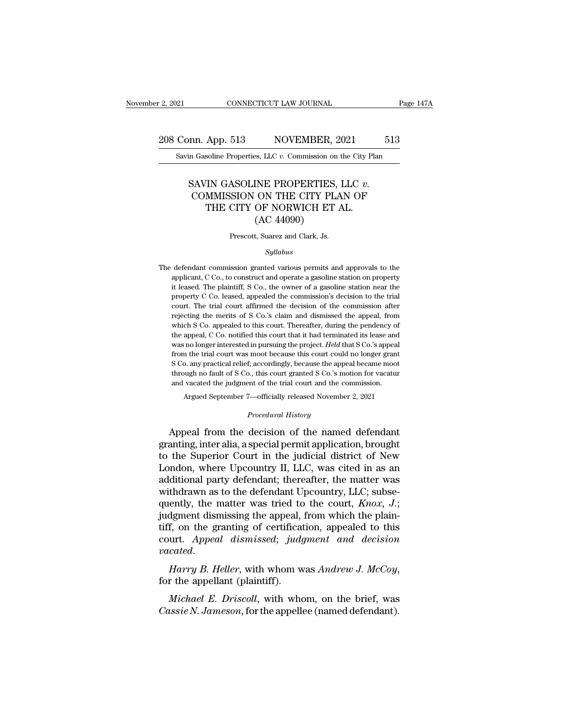# 2, 2021 CONNECTICUT LAW JOURNAL Page 147A<br>208 Conn. App. 513 NOVEMBER, 2021 513<br>Savin Gasoline Properties, LLC v. Commission on the City Plan Equal CONNECTICUT LAW JOURNAL Page 1<br> **Savin Gasoline Properties, LLC** *v.* **Commission on the City Plan**

#### Fig. 513 NOVEMBER, 2021 513<br>
SAVIN GASOLINE PROPERTIES, LLC *v.*<br>
SAVIN GASOLINE PROPERTIES, LLC *v.*<br>
COMMISSION ON THE CITY PLAN OF<br>
THE CITY OF NORWICH ET AI Ann. App. 513 NOVEMBER, 2021 513<br>
Casoline Properties, LLC  $v$ . Commission on the City Plan<br>
COMMISSION ON THE CITY PLAN OF THE CITY OF NORWICH ET AL. App. 513 NOVEMBER, 2021<br>
soline Properties, LLC  $v$ . Commission on the City Pl:<br>
THE GITY GASOLINE PROPERTIES, LLC  $v$ .<br>
MMISSION ON THE CITY PLAN OF<br>
THE CITY OF NORWICH ET AL.<br>
(AC 44090) S. LLC v. Commission on<br>
INE PROPERTIES,<br>
ON THE CITY PLA<br>
OF NORWICH ET .<br>
(AC 44090)<br>
t, Suarez and Clark, Js. SAVIN GASOLINE PROPERTIES, LLC  $v$ .<br>COMMISSION ON THE CITY PLAN OF<br>THE CITY OF NORWICH ET AL.<br>(AC 44090)<br>Prescott, Suarez and Clark, Js.

#### *Syllabus*

 $\rm (AC~44090)$ <br>Prescott, Suarez and Clark, Js.<br> $Syllabus$ <br>The defendant commission granted various permits and approvals to the applicant, C Co., to construct and operate a gasoline station on property Prescott, Suarez and Clark, Js.<br>Syllabus<br>defendant commission granted various permits and approvals to the<br>applicant, C Co., to construct and operate a gasoline station on property<br>it leased. The plaintiff, S Co., the owne Frescott, Suarez and Clark, Js.<br>
Syllabus<br>
defendant commission granted various permits and approvals to the<br>
applicant, C Co., to construct and operate a gasoline station on property<br>
it leased. The plaintiff, S Co., the *Syllabus*<br>defendant commission granted various permits and approvals to the<br>applicant, C Co., to construct and operate a gasoline station on property<br>it leased. The plaintiff, S Co., the owner of a gasoline station near t *Syllabus*<br>defendant commission granted various permits and approvals to the<br>applicant, C Co., to construct and operate a gasoline station on property<br>it leased. The plaintiff, S Co., the owner of a gasoline station near t defendant commission granted various permits and approvals to the applicant, C Co., to construct and operate a gasoline station on property it leased. The plaintiff, S Co., the owner of a gasoline station near the property applicant, C Co., to construct and operate a gasoline station on property it leased. The plaintiff, S Co., the owner of a gasoline station near the property C Co. leased, appealed the commission's decision to the trial cou Freed, The plaintiff, S Co., the owner of a gasoline station near the property C Co. leased, appealed the commission's decision to the trial court. The trial court affirmed the decision of the commission after rejecting t we repectly C Co. leased, appealed the commission's decision to the trial court. The trial court affirmed the decision of the commission after rejecting the merits of S Co.'s claim and dismissed the appeal, from which S Co from the trial court affrmed the decision of the commission after court. The trial court affrmed the decision of the commission after rejecting the merits of S Co.'s claim and dismissed the appeal, from which S Co. appeal rejecting the merits of S Co.'s claim and dismissed the appeal, from which S Co. appealed to this court. Thereafter, during the pendency of the appeal, C Co. notified this court that it had terminated its lease and was no which S Co. appealed to this court. Thereafter, during the pendency of the appeal, C Co. notified this court that it had terminated its lease and was no longer interested in pursuing the project. Held that S Co.'s appeal the appeal, C Co. notified this court that it had terminated its lease and was no longer interested in pursuing the project. Held that S Co.'s appear from the trial court was moot because this court could no longer grants is no longer interested in pursuing the project. Held that S Co.'s appeal<br>are the trial court was moot because this court could no longer grant<br>o. any practical relief; accordingly, because the appeal became moot<br>ough no f *Proceedingly, because the appendum and the conduction of the trial court and the conduction-<br>
<i>Procedural History*<br> *Procedural History*<br> **Conduction of the name of the approximate** From the decision of the named defendant<br>through no fault of S Co., this court granted S Co.'s motion for vacatur<br>and vacated the judgment of the trial court and the commission.<br>Argued September 7—officially released Novem

through no fault of S Co., this court granted S Co.'s motion for vacatur<br>and vacated the judgment of the trial court and the commission.<br>Argued September 7—officially released November 2, 2021<br>*Procedural History*<br>Appeal f and vacated the judgment of the trial court and the commission.<br>
Argued September 7—officially released November 2, 2021<br>
Procedural History<br>
Appeal from the decision of the named defendant<br>
granting, inter alia, a special Argued September 7—officially released November 2, 2021<br>
Procedural History<br>
Appeal from the decision of the named defendant<br>
granting, inter alia, a special permit application, brought<br>
to the Superior Court in the judici *Procedural History*<br>Appeal from the decision of the named defendant<br>granting, inter alia, a special permit application, brought<br>to the Superior Court in the judicial district of New<br>London, where Upcountry II, LLC, was ci Expression of the named defendant<br>granting, inter alia, a special permit application, brought<br>to the Superior Court in the judicial district of New<br>London, where Upcountry II, LLC, was cited in as an<br>additional party defe Appeal from the decision of the named defendant<br>granting, inter alia, a special permit application, brought<br>to the Superior Court in the judicial district of New<br>London, where Upcountry II, LLC, was cited in as an<br>addition granting, inter alia, a special permit application, brought<br>to the Superior Court in the judicial district of New<br>London, where Upcountry II, LLC, was cited in as an<br>additional party defendant; thereafter, the matter was<br> to the Superior Court in the judicial district of New<br>London, where Upcountry II, LLC, was cited in as an<br>additional party defendant; thereafter, the matter was<br>withdrawn as to the defendant Upcountry, LLC; subse-<br>quently London, where Upcountry II, LLC, was cited in as an additional party defendant; thereafter, the matter was withdrawn as to the defendant Upcountry, LLC; subsequently, the matter was tried to the court,  $Knox$ , J.; judgment *vacated*, the matter was tried to the court, *Knox*, *J*; judgment dismissing the appeal, from which the plaintiff, on the granting of certification, appealed to this court. *Appeal dismissed*; *judgment and decision vaca f*, on the granting of certification, appealed to this<br>
urt. Appeal dismissed; judgment and decision<br>
cated.<br> *Harry B. Heller*, with whom was Andrew J. McCoy,<br>
r the appellant (plaintiff).<br> *Michael E. Driscoll*, with wh *Cassie Court. Appeal dismissed; judgment and decision*<br>*Cassie N. Harry B. Heller,* with whom was *Andrew J. McCoy,*<br>for the appellant (plaintiff).<br>*Michael E. Driscoll*, with whom, on the brief, was<br>*Cassie N. Jameson*,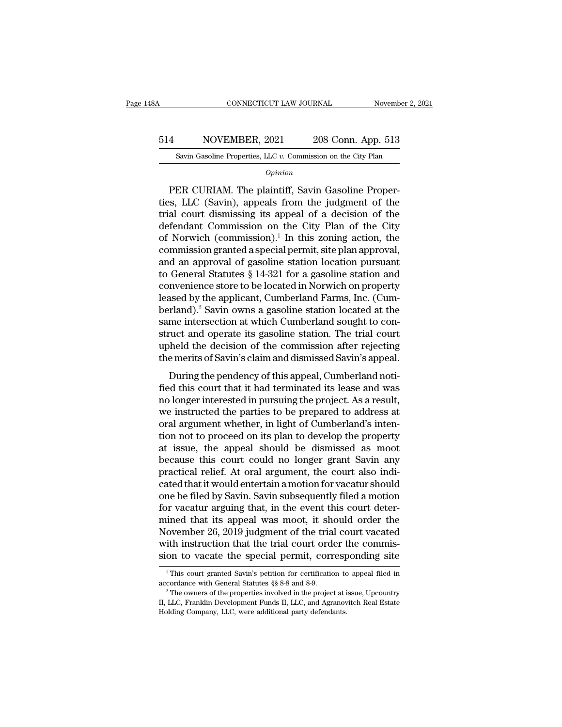# CONNECTICUT LAW JOURNAL November 2, 2021<br>514 NOVEMBER, 2021 208 Conn. App. 513<br>Savin Gasoline Properties, LLC v. Commission on the City Plan CONNECTICUT LAW JOURNAL November 2, 3<br>NOVEMBER, 2021 208 Conn. App. 513<br>Savin Gasoline Properties, LLC *v.* Commission on the City Plan

*Opinion*

MOVEMBER, 2021 208 Conn. App. 513<br>
Savin Gasoline Properties, LLC v. Commission on the City Plan<br> *Opinion*<br>
PER CURIAM. The plaintiff, Savin Gasoline Proper-<br>
s., LLC (Savin), appeals from the judgment of the 514 NOVEMBER, 2021 208 Conn. App. 513<br>
Savin Gasoline Properties, LLC  $v$ . Commission on the City Plan<br> *Opinion*<br>
PER CURIAM. The plaintiff, Savin Gasoline Properties, LLC (Savin), appeals from the judgment of the<br>
trial 514 NOVEMBER, 2021 208 Conn. App. 513<br>
Savin Gasoline Properties, LLC v. Commission on the City Plan<br> *Opinion*<br>
PER CURIAM. The plaintiff, Savin Gasoline Properties, LLC (Savin), appeals from the judgment of the<br>
trial c Savin Gasoline Properties, LLC  $v$ . Commission on the City Plan<br>  $\overline{Opinion}$ <br>
PER CURIAM. The plaintiff, Savin Gasoline Proper-<br>
ties, LLC (Savin), appeals from the judgment of the<br>
trial court dismissing its appeal of a d  $o<sub>pinion</sub>$ <br>
PER CURIAM. The plaintiff, Savin Gasoline Properties, LLC (Savin), appeals from the judgment of the<br>
trial court dismissing its appeal of a decision of the<br>
defendant Commission on the City Plan of the City<br> ER CURIAM. The plaintiff, Savin Gasoline Properties, LLC (Savin), appeals from the judgment of the trial court dismissing its appeal of a decision of the defendant Commission on the City Plan of the City of Norwich (commi PER CURIAM. The plaintiff, Savin Gasoline Properties, LLC (Savin), appeals from the judgment of the trial court dismissing its appeal of a decision of the defendant Commission on the City Plan of the City of Norwich (comm ties, LLC (Savin), appeals from the judgment of the<br>trial court dismissing its appeal of a decision of the<br>defendant Commission on the City Plan of the City<br>of Norwich (commission).<sup>1</sup> In this zoning action, the<br>commissio trial court dismissing its appeal of a decision of the<br>defendant Commission on the City Plan of the City<br>of Norwich (commission).<sup>1</sup> In this zoning action, the<br>commission granted a special permit, site plan approval,<br>and a defendant Commission on the City Plan of the City<br>of Norwich (commission).<sup>1</sup> In this zoning action, the<br>commission granted a special permit, site plan approval,<br>and an approval of gasoline station location pursuant<br>to Gen of Norwich (commission).<sup>1</sup> In this zoning action, the commission granted a special permit, site plan approval, and an approval of gasoline station location pursuant to General Statutes  $\S 14-321$  for a gasoline station a commission granted a special permit, site plan approval,<br>and an approval of gasoline station location pursuant<br>to General Statutes § 14-321 for a gasoline station and<br>convenience store to be located in Norwich on property<br> and an approval of gasoline station location pursuant<br>to General Statutes  $\S 14-321$  for a gasoline station and<br>convenience store to be located in Norwich on property<br>leased by the applicant, Cumberland Farms, Inc. (Cum-<br> to General Statutes  $\S$  14-321 for a gasoline station and<br>convenience store to be located in Norwich on property<br>leased by the applicant, Cumberland Farms, Inc. (Cum-<br>berland).<sup>2</sup> Savin owns a gasoline station located at convenience store to be located in Norwich on property<br>leased by the applicant, Cumberland Farms, Inc. (Cum-<br>berland).<sup>2</sup> Savin owns a gasoline station located at the<br>same intersection at which Cumberland sought to con-<br>st  $\mu$  and  $\mu$ <sup>2</sup>. Savin owns a gasoline station located at the me intersection at which Cumberland sought to con-<br>ruct and operate its gasoline station. The trial court<br>held the decision of the commission after rejecting<br> formata). Savin owns a gasome station focated at the<br>same intersection at which Cumberland sought to con-<br>struct and operate its gasoline station. The trial court<br>upheld the decision of the commission after rejecting<br>the m

sance intersection at which culliberated solght to construct and operate its gasoline station. The trial court<br>upheld the decision of the commission after rejecting<br>the merits of Savin's claim and dismissed Savin's appeal. struct and operate its gasonne station. The dial court<br>upheld the decision of the commission after rejecting<br>the merits of Savin's claim and dismissed Savin's appeal.<br>During the pendency of this appeal, Cumberland noti-<br>fi the merits of Savin's claim and dismissed Savin's appeal.<br>During the pendency of this appeal, Cumberland notified this court that it had terminated its lease and was<br>no longer interested in pursuing the project. As a resul the merits of savin's etail and dismissed savin's appear.<br>
During the pendency of this appeal, Cumberland notified this court that it had terminated its lease and was<br>
no longer interested in pursuing the project. As a res During the pendency of this appeal, Cumberland notified this court that it had terminated its lease and was<br>no longer interested in pursuing the project. As a result,<br>we instructed the parties to be prepared to address at<br> fied this court that it had terminated its lease and was<br>no longer interested in pursuing the project. As a result,<br>we instructed the parties to be prepared to address at<br>oral argument whether, in light of Cumberland's int no longer interested in pursuing the project. As a result,<br>we instructed the parties to be prepared to address at<br>oral argument whether, in light of Cumberland's inten-<br>tion not to proceed on its plan to develop the proper we instructed the parties to be prepared to address at<br>oral argument whether, in light of Cumberland's inten-<br>tion not to proceed on its plan to develop the property<br>at issue, the appeal should be dismissed as moot<br>because oral argument whether, in light of Cumberland's intention not to proceed on its plan to develop the property<br>at issue, the appeal should be dismissed as moot<br>because this court could no longer grant Savin any<br>practical rel tion not to proceed on its plan to develop the property<br>at issue, the appeal should be dismissed as moot<br>because this court could no longer grant Savin any<br>practical relief. At oral argument, the court also indi-<br>cated tha at issue, the appeal should be dismissed as moot<br>because this court could no longer grant Savin any<br>practical relief. At oral argument, the court also indi-<br>cated that it would entertain a motion for vacatur should<br>one be because this court could no longer grant Savin any<br>practical relief. At oral argument, the court also indi-<br>cated that it would entertain a motion for vacatur should<br>one be filed by Savin. Savin subsequently filed a motion practical relief. At oral argument, the court also indicated that it would entertain a motion for vacatur should<br>one be filed by Savin. Savin subsequently filed a motion<br>for vacatur arguing that, in the event this court de cated that it would entertain a motion for vacatur should<br>one be filed by Savin. Savin subsequently filed a motion<br>for vacatur arguing that, in the event this court deter-<br>mined that its appeal was moot, it should order th imed that its appeal was moot, it should order the<br>ovember 26, 2019 judgment of the trial court vacated<br>ith instruction that the trial court order the commis-<br>on to vacate the special permit, corresponding site<br> $\frac{1}{1}$ Th November 26, 2019 judgment of the trial court vacated<br>with instruction that the trial court order the commis-<br>sion to vacate the special permit, corresponding site<br> $\frac{1}{1}$  This court granted Savin's petition for certifi

Sion to vacate the special permit, corresponding site<br>
<sup>1</sup>This court granted Savin's petition for certification to appeal filed in<br>
accordance with General Statutes §§ 8-8 and 8-9.<br>
<sup>2</sup>The owners of the properties involve <sup>1</sup> This court granted Savin's petition for certification to appeal filed in accordance with General Statutes  $\S$  8-8 and 8-9.<br><sup>2</sup> The owners of the properties involved in the project at issue, Upcountry II, LLC, Franklin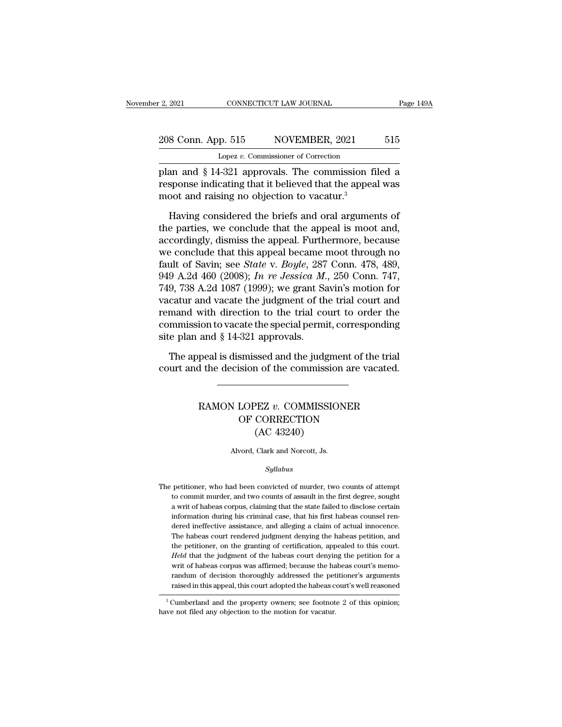# 2, 2021 CONNECTICUT LAW JOURNAL Page 149A<br>208 Conn. App. 515 NOVEMBER, 2021 515<br>Lopez v. Commissioner of Correction Lopez *v.* Commissioner of Correction

Page 149A<br>
208 Conn. App. 515 NOVEMBER, 2021 515<br>
Lopez v. Commissioner of Correction<br>
plan and § 14-321 approvals. The commission filed a<br>
response indicating that it believed that the appeal was<br>
moot and reiging no obje 208 Conn. App. 515 NOVEMBER, 2021 515<br>
Lopez v. Commissioner of Correction<br>
plan and § 14-321 approvals. The commission filed a<br>
response indicating that it believed that the appeal was<br>
moot and raising no objection to va 208 Conn. App. 515 NOVEMBER, 2021<br>
Lopez v. Commissioner of Correction<br>
plan and § 14-321 approvals. The commission f<br>
response indicating that it believed that the appear<br>
moot and raising no objection to vacatur.<sup>3</sup><br>
Ha  $\frac{1}{2}$  Equals 2.6 S CONN. App. 313 NOVEMBER, 2021 315<br>
Lopez v. Commissioner of Correction<br>
an and § 14-321 approvals. The commission filed a<br>
sponse indicating that it believed that the appeal was<br>
boot and raising no

Lopez v. Commissioner of Correction<br>plan and  $\S$  14-321 approvals. The commission filed a<br>response indicating that it believed that the appeal was<br>moot and raising no objection to vacatur.<sup>3</sup><br>Having considered the briefs plan and § 14-321 approvals. The commission filed a<br>response indicating that it believed that the appeal was<br>moot and raising no objection to vacatur.<sup>3</sup><br>Having considered the briefs and oral arguments of<br>the parties, we c response indicating that it believed that the appeal was<br>moot and raising no objection to vacatur.<sup>3</sup><br>Having considered the briefs and oral arguments of<br>the parties, we conclude that the appeal is moot and,<br>accordingly, d moot and raising no objection to vacatur.<sup>3</sup><br>Having considered the briefs and oral arguments of<br>the parties, we conclude that the appeal is moot and,<br>accordingly, dismiss the appeal. Furthermore, because<br>we conclude that t Having considered the briefs and oral arguments of<br>the parties, we conclude that the appeal is moot and,<br>accordingly, dismiss the appeal. Furthermore, because<br>we conclude that this appeal became moot through no<br>fault of Sa Having considered the briefs and oral arguments of<br>the parties, we conclude that the appeal is moot and,<br>accordingly, dismiss the appeal. Furthermore, because<br>we conclude that this appeal became moot through no<br>fault of S the parties, we conclude that the appeal is moot and,<br>accordingly, dismiss the appeal. Furthermore, because<br>we conclude that this appeal became moot through no<br>fault of Savin; see *State* v. *Boyle*, 287 Conn. 478, 489,<br>9 accordingly, dismiss the appeal. Furthermore, because<br>we conclude that this appeal became moot through no<br>fault of Savin; see *State* v. *Boyle*, 287 Conn. 478, 489,<br>949 A.2d 460 (2008); *In re Jessica M.*, 250 Conn. 747,<br> we conclude that this appeal became moot through no<br>fault of Savin; see *State* v. *Boyle*, 287 Conn. 478, 489,<br>949 A.2d 460 (2008); *In re Jessica M.*, 250 Conn. 747,<br>749, 738 A.2d 1087 (1999); we grant Savin's motion fo fault of Savin; see *State* v. *Boyle*, 287<br>949 A.2d 460 (2008); *In re Jessica M.*<br>749, 738 A.2d 1087 (1999); we grant Savacatur and vacate the judgment of th<br>remand with direction to the trial co<br>commission to vacate th 9, 738 A.2d 1087 (1999); we grant Savin's motion for catur and vacate the judgment of the trial court and mand with direction to the trial court to order the munission to vacate the special permit, corresponding e plan an vacatur and vacate the judgment of the trial court and<br>remand with direction to the trial court to order the<br>commission to vacate the special permit, corresponding<br>site plan and § 14-321 approvals.<br>The appeal is dismissed

#### and § 14-321 approvals.<br>
peal is dismissed and the judgment of the trial<br>
d the decision of the commission are vacated.<br> **RAMON LOPEZ** *v***. COMMISSIONER**<br>
OF CORRECTION smissed and the judgment of the t<br>ision of the commission are vacat<br>LOPEZ v. COMMISSIONER<br>OF CORRECTION<br>(AC 43240) Seed and the Judgman<br>
in of the commission<br>
PEZ v. COMMISSIO<br>
CORRECTION<br>
(AC 43240)<br>
Clark and Norcott, Js. RAMON LOPEZ  $v$ . COMMISSIONER<br>OF CORRECTION<br>(AC 43240)<br>Alvord, Clark and Norcott, Js.

#### *Syllabus*

 $(AC 43240)$ <br>Alvord, Clark and Norcott, Js.<br> $Syllabus$ <br>The petitioner, who had been convicted of murder, two counts of attempt<br>to commit murder, and two counts of assault in the first degree, sought Alvord, Clark and Norcott, Js.<br>
Syllabus<br>
petitioner, who had been convicted of murder, two counts of attempt<br>
to commit murder, and two counts of assault in the first degree, sought<br>
a writ of habeas corpus, claiming that Arvord, clark and Norcout, Js.<br>
Syllabus<br>
petitioner, who had been convicted of murder, two counts of attempt<br>
to commit murder, and two counts of assault in the first degree, sought<br>
a writ of habeas corpus, claiming that The petitioner, who had been convicted of murder, two counts of attempt<br>to commit murder, and two counts of assault in the first degree, sought<br>a writ of habeas corpus, claiming that the state failed to disclose certain<br>in between petitioner, who had been convicted of murder, two counts of attempt<br>to commit murder, and two counts of assault in the first degree, sought<br>a writ of habeas corpus, claiming that the state failed to disclose certai petitioner, who had been convicted of murder, two counts of attempt<br>to commit murder, and two counts of assault in the first degree, sought<br>a writ of habeas corpus, claiming that the state failed to disclose certain<br>inform to commit murder, and two counts of assault in the first degree, sought<br>a writ of habeas corpus, claiming that the state failed to disclose certain<br>information during his criminal case, that his first habeas counsel ren-<br>d a writ of habeas corpus, claiming that the state failed to disclose certain information during his criminal case, that his first habeas counsel rendered ineffective assistance, and alleging a claim of actual innocence. The information during his criminal case, that his first habeas counsel rendered ineffective assistance, and alleging a claim of actual innocence.<br>The habeas court rendered judgment denying the habeas petition, and<br>the petitio dered ineffective assistance, and alleging a claim of actual innocence.<br>The habeas court rendered judgment denying the habeas petition, and<br>the petitioner, on the granting of certification, appealed to this court.<br>Held tha The habeas court rendered judgment denying the habeas petition, and<br>the petitioner, on the granting of certification, appealed to this court.<br>Held that the judgment of the habeas court denying the petition for a<br>writ of ha *Held* that the judgment of the habeas court denying the petition for a writ of habeas corpus was affirmed; because the habeas court's memorandum of decision thoroughly addressed the petitioner's arguments raised in this a Freed that the judgment of the habeas court deriy<br>and writ of habeas corpus was affirmed; because the ha<br>randum of decision thoroughly addressed the pet<br>raised in this appeal, this court adopted the habeas c<br> $\frac{3}{3}$  Cumb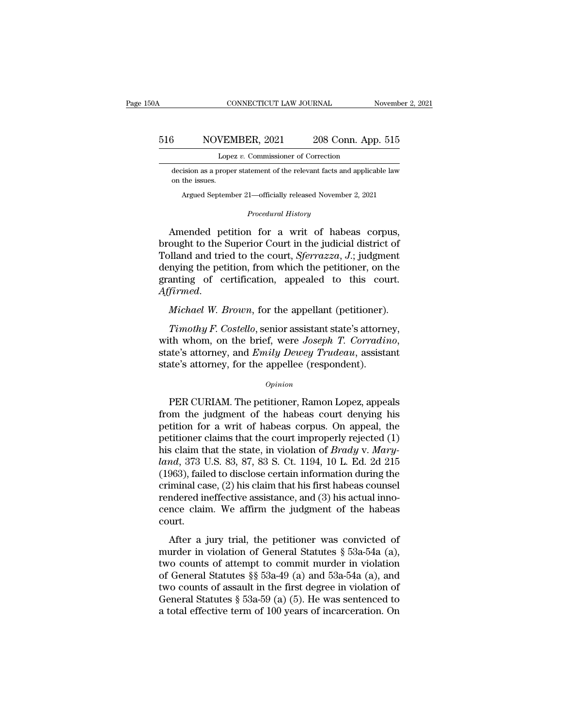# CONNECTICUT LAW JOURNAL November 2, 2021<br>516 NOVEMBER, 2021 208 Conn. App. 515<br>Lopez v. Commissioner of Correction CONNECTICUT LAW JOURNAL<br>VEMBER, 2021 208 Conn. App<br>Lopez *v.* Commissioner of Correction<br>proper statement of the relevant facts and applica

 $\frac{3}{\text{MOWEMBER}, 2021}$  208 Conn. App. 515<br>
Lopez v. Commissioner of Correction<br>
decision as a proper statement of the relevant facts and applicable law<br>
on the issues. on MOVEI<br>Lope<br>decision as a prope<br>on the issues.<br>Argued Septeml NOVENIBER, 2021 208 COMI. App. 515<br>
Lopez v. Commissioner of Correction<br>
ision as a proper statement of the relevant facts and applicable law<br>
the issues.<br>
Argued September 21—officially released November 2, 2021 Lopez v. Commissioner of Correction<br>
decision as a proper statement of the relevant facts and applicable law<br>
on the issues.<br>
Argued September 21—officially released November 2, 2021<br> *Procedural History*<br> **Amended petitio** 

Lopez v. Commissioner of Correction<br>
decision as a proper statement of the relevant facts and applicable law<br>
on the issues.<br>
Argued September 21—officially released November 2, 2021<br>  $Procedural History$ <br>
Amended petition for a writ o decision as a proper statement of the relevant facts and applicable law<br>on the issues.<br>Argued September 21—officially released November 2, 2021<br>*Procedural History*<br>Amended petition for a writ of habeas corpus,<br>brought to on the issues.<br>
Argued September 21—officially released November 2, 2021<br> *Procedural History*<br>
Amended petition for a writ of habeas corpus,<br>
brought to the Superior Court in the judicial district of<br>
Tolland and tried to Argued September 21—officially released November 2, 2021<br>
Procedural History<br>
Amended petition for a writ of habeas corpus,<br>
brought to the Superior Court in the judicial district of<br>
Tolland and tried to the court, *Sferr Procedural History*<br>Amended petition for a writ of habeas corpus,<br>brought to the Superior Court in the judicial district of<br>Tolland and tried to the court, *Sferrazza*, *J*.; judgment<br>denying the petition, from which the *Affirmed Affirmed Affirmed Affirmed Affirmed Affirmed. Michael W. Brown*, for the appellant (petitioner). *Michael W. Brown*, for the appellant (petitioner). *Timothy F. Costello*, senior assistant state's att *Timore and tried to the court, Sferrazza, J.*; judgment<br> *Timothy* from which the petitioner, on the<br> *Tirmed.*<br> *Michael W. Brown*, for the appellant (petitioner).<br> *Timothy F. Costello*, senior assistant state's attorne

denying the petition, from which the petitioner, on the granting of certification, appealed to this court.<br>Affirmed.<br>*Michael W. Brown*, for the appellant (petitioner).<br>*Timothy F. Costello*, senior assistant state's attor *Affirmed.*<br> *Michael W. Brown*, for the appellant (petitioner).<br> *Timothy F. Costello*, senior assistant state's attorne<br>
with whom, on the brief, were Joseph T. Corradin<br>
state's attorney, and *Emily Dewey Trudeau*, assi Timothy F. Costello, senior assistant state's attorney,<br>th whom, on the brief, were Joseph T. Corradino,<br>ate's attorney, and Emily Dewey Trudeau, assistant<br>te's attorney, for the appellee (respondent).<br>Opinion<br>PER CURIAM.

#### *Opinion*

with whom, on the brief, were *Joseph T. Corradino*,<br>state's attorney, and *Emily Dewey Trudeau*, assistant<br>state's attorney, for the appellee (respondent).<br> $o_{pinion}$ <br>PER CURIAM. The petitioner, Ramon Lopez, appeals<br>from th state's attorney, and *Emily Dewey Trudeau*, assistant<br>state's attorney, for the appellee (respondent).<br> $opinion$ <br>PER CURIAM. The petitioner, Ramon Lopez, appeals<br>from the judgment of the habeas court denying his<br>petition for state's attorney, for the appellee (respondent).<br>  $\phi_{pinion}$ <br>
PER CURIAM. The petitioner, Ramon Lopez, appeals<br>
from the judgment of the habeas court denying his<br>
petition for a writ of habeas corpus. On appeal, the<br>
petiti *Opinion*<br>
PER CURIAM. The petitioner, Ramon Lopez, appeals<br>
from the judgment of the habeas court denying his<br>
petition for a writ of habeas corpus. On appeal, the<br>
petitioner claims that the court improperly rejected (1) *landa*<br>
PER CURIAM. The petitioner, Ramon Lopez, appeals<br>
from the judgment of the habeas court denying his<br>
petitioner claims that the court improperly rejected (1)<br>
his claim that the state, in violation of *Brady* v. PER CURIAM. The petitioner, Ramon Lopez, appeals<br>from the judgment of the habeas court denying his<br>petition for a writ of habeas corpus. On appeal, the<br>petitioner claims that the court improperly rejected (1)<br>his claim th from the judgment of the habeas court denying his<br>petition for a writ of habeas corpus. On appeal, the<br>petitioner claims that the court improperly rejected (1)<br>his claim that the state, in violation of *Brady* v. *Mary-*<br> petition for a writ of habeas corpus. On appeal, the<br>petitioner claims that the court improperly rejected (1)<br>his claim that the state, in violation of *Brady* v. *Mary-*<br>land, 373 U.S. 83, 87, 83 S. Ct. 1194, 10 L. Ed. 2d petitioner claims that the court improperly rejected (1)<br>his claim that the state, in violation of *Brady* v. *Mary-<br>land*, 373 U.S. 83, 87, 83 S. Ct. 1194, 10 L. Ed. 2d 215<br>(1963), failed to disclose certain information d court.  $\frac{4}{10}$ ,  $\frac{4}{10}$  and,  $\frac{4}{10}$  and  $\frac{4}{10}$  and  $\frac{4}{10}$  and  $\frac{4}{10}$  and  $\frac{4}{10}$  and  $\frac{4}{10}$  and  $\frac{4}{10}$  and  $\frac{4}{10}$  and  $\frac{4}{10}$  and  $\frac{4}{10}$  and  $\frac{4}{10}$  and  $\frac{4}{10}$  and  $\frac{4}{10}$  an (1565), tanca to disclose ecream information daining the<br>criminal case, (2) his claim that his first habeas counsel<br>rendered ineffective assistance, and (3) his actual inno-<br>cence claim. We affirm the judgment of the habe

rendered ineffective assistance, and (3) his actual inno-<br>cence claim. We affirm the judgment of the habeas<br>court.<br>After a jury trial, the petitioner was convicted of<br>murder in violation of General Statutes § 53a-54a (a), rendered increasive assistance, and (b) its actual inforcence claim. We affirm the judgment of the habeas court.<br>
After a jury trial, the petitioner was convicted of murder in violation of General Statutes § 53a-54a (a), court.<br>
After a jury trial, the petitioner was convicted of<br>
murder in violation of General Statutes § 53a-54a (a),<br>
two counts of attempt to commit murder in violation<br>
of General Statutes §§ 53a-49 (a) and 53a-54a (a), After a jury trial, the petitioner was convicted of murder in violation of General Statutes § 53a-54a (a), two counts of attempt to commit murder in violation of General Statutes §§ 53a-49 (a) and 53a-54a (a), and two cou After a jury trial, the petitioner was convicted of murder in violation of General Statutes  $\S$  53a-54a (a), two counts of attempt to commit murder in violation of General Statutes  $\S$  53a-49 (a) and 53a-54a (a), and two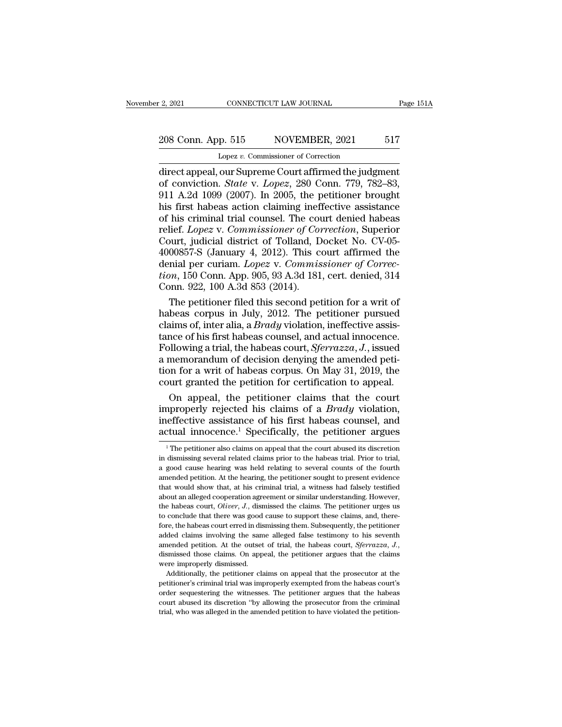# 2, 2021 CONNECTICUT LAW JOURNAL Page 151A<br>208 Conn. App. 515 NOVEMBER, 2021 517<br>Lopez v. Commissioner of Correction Lopez *v.* Commissioner of Correction

2, 2021 CONNECTICUT LAW JOURNAL Page 151/2<br>
208 Conn. App. 515 NOVEMBER, 2021 517<br>
Lopez v. Commissioner of Correction<br>
direct appeal, our Supreme Court affirmed the judgment<br>
of conviction. *State* v. *Lopez*, 280 Conn. 7 of Conviction. App. 515 NOVEMBER, 2021 517<br>
Lopez v. Commissioner of Correction<br>
direct appeal, our Supreme Court affirmed the judgment<br>
of conviction. *State* v. *Lopez*, 280 Conn. 779, 782–83,<br>
911 A.2d 1099 (2007). In 2 208 Conn. App. 515 NOVEMBER, 2021 517<br>
Lopez v. Commissioner of Correction<br>
direct appeal, our Supreme Court affirmed the judgment<br>
of conviction. *State* v. *Lopez*, 280 Conn. 779, 782–83,<br>
911 A.2d 1099 (2007). In 2005, 208 Conn. App. 515 NOVEMBER, 2021 517<br>
Lopez v. Commissioner of Correction<br>
direct appeal, our Supreme Court affirmed the judgment<br>
of conviction. *State* v. *Lopez*, 280 Conn. 779, 782–83,<br>
911 A.2d 1099 (2007). In 2005, Lopez v. Commissioner of Correction<br>direct appeal, our Supreme Court affirmed the judgment<br>of conviction. *State* v. *Lopez*, 280 Conn. 779, 782–83,<br>911 A.2d 1099 (2007). In 2005, the petitioner brought<br>his first habeas a Lopez v. Commissioner of Correction<br>direct appeal, our Supreme Court affirmed the judgment<br>of conviction. *State* v. *Lopez*, 280 Conn. 779, 782–83,<br>911 A.2d 1099 (2007). In 2005, the petitioner brought<br>his first habeas ac direct appeal, our Supreme Court affirmed the judgment<br>of conviction. *State* v. *Lopez*, 280 Conn. 779, 782–83,<br>911 A.2d 1099 (2007). In 2005, the petitioner brought<br>his first habeas action claiming ineffective assistance of conviction. *State* v. *Lopez*, 280 Conn. 779, 782–83,<br>911 A.2d 1099 (2007). In 2005, the petitioner brought<br>his first habeas action claiming ineffective assistance<br>of his criminal trial counsel. The court denied habea 911 A.2d 1099 (2007). In 2005, the petitioner brought<br>his first habeas action claiming ineffective assistance<br>of his criminal trial counsel. The court denied habeas<br>relief. *Lopez* v. *Commissioner of Correction*, Superior his first habeas action claiming ineffective assistance<br>of his criminal trial counsel. The court denied habeas<br>relief. *Lopez* v. *Commissioner of Correction*, Superior<br>Court, judicial district of Tolland, Docket No. CV-05 of his criminal trial counsel. The course<br>relief. *Lopez* v. *Commissioner of Con*<br>Court, judicial district of Tolland, D<br>4000857-S (January 4, 2012). This condition, 150 Conn. App. 905, 93 A.3d 181<br>Conn. 922, 100 A.3d 853 lief. *Lopez* v. *Commissioner of Correction*, Superior<br>burt, judicial district of Tolland, Docket No. CV-05-<br>00857-S (January 4, 2012). This court affirmed the<br>mial per curiam. *Lopez* v. *Commissioner of Correc-*<br>*m*, 15 Court, judicial district of Tolland, Docket No. CV-05-4000857-S (January 4, 2012). This court affirmed the<br>denial per curiam. *Lopez* v. *Commissioner of Correction*, 150 Conn. App. 905, 93 A.3d 181, cert. denied, 314<br>Con

4000857-S (January 4, 2012). This court affirmed the<br>denial per curiam. *Lopez* v. *Commissioner of Correc-<br>tion*, 150 Conn. App. 905, 93 A.3d 181, cert. denied, 314<br>Conn. 922, 100 A.3d 853 (2014).<br>The petitioner filed thi denial per curiam. *Lopez* v. *Commissioner of Correction*, 150 Conn. App. 905, 93 A.3d 181, cert. denied, 314<br>Conn. 922, 100 A.3d 853 (2014).<br>The petitioner filed this second petition for a writ of<br>habeas corpus in July, *tion*, 150 Conn. App. 905, 93 A.3d 181, cert. denied, 314<br>Conn. 922, 100 A.3d 853 (2014).<br>The petitioner filed this second petition for a writ of<br>habeas corpus in July, 2012. The petitioner pursued<br>claims of, inter alia, Conn. 922, 100 A.3d 853 (2014).<br>
The petitioner filed this second petition for a writ of<br>
habeas corpus in July, 2012. The petitioner pursued<br>
claims of, inter alia, a *Brady* violation, ineffective assis-<br>
tance of his f The petitioner filed this second petition for a writ of habeas corpus in July, 2012. The petitioner pursued claims of, inter alia, a *Brady* violation, ineffective assistance of his first habeas counsel, and actual innocen habeas corpus in July, 2012. The petitioner pursued<br>claims of, inter alia, a *Brady* violation, ineffective assis-<br>tance of his first habeas counsel, and actual innocence.<br>Following a trial, the habeas court, *Sferrazza*, aims of, inter alia, a *Brady* violation, ineffective assis-<br>nce of his first habeas counsel, and actual innocence.<br>bllowing a trial, the habeas court, *Sferrazza*, J., issued<br>memorandum of decision denying the amended pe tance of his first habeas counsel, and actual innocence.<br>Following a trial, the habeas court, *Sferrazza*, *J*., issued<br>a memorandum of decision denying the amended peti-<br>tion for a writ of habeas corpus. On May 31, 2019,

Following a trial, the habeas court, *Sferrazza*, *J*., issued<br>a memorandum of decision denying the amended peti-<br>tion for a writ of habeas corpus. On May 31, 2019, the<br>court granted the petition for certification to appe a memorandum of decision denying the amended petition for a writ of habeas corpus. On May 31, 2019, the court granted the petition for certification to appeal.<br>On appeal, the petitioner claims that the court improperly re On appeal, the petitioner claims that the court<br>approperly rejected his claims of a *Brady* violation,<br>effective assistance of his first habeas counsel, and<br>tual innocence.<sup>1</sup> Specifically, the petitioner argues<br><sup>1</sup>The pe improperly rejected his claims of a *Brady* violation, ineffective assistance of his first habeas counsel, and actual innocence.<sup>1</sup> Specifically, the petitioner argues  $\frac{1}{1}$  The petitioner also claims on appeal that t

ineffective assistance of his first habeas counsel, and actual innocence.<sup>1</sup> Specifically, the petitioner argues  $\frac{1}{1}$  The petitioner also claims on appeal that the court abused its discretion in dismissing several re actual innocence.<sup>1</sup> Specifically, the petitioner argues<br> $\frac{1}{1}$  The petitioner also claims on appeal that the court abused its discretion<br>in dismissing several related claims prior to the habeas trial. Prior to trial,<br> actual Inflocence. Specifically, the petholical argues<br>
<sup>1</sup>The petitioner also claims on appeal that the court abused its discretion<br>
in dismissing several related claims prior to the habeas trial. Prior to trial,<br>
a good <sup>1</sup> The petitioner also claims on appeal that the court abused its discretion in dismissing several related claims prior to the habeas trial. Prior to trial, a good cause hearing was held relating to several counts of the in dismissing several related claims prior to the habeas trial. Prior to trial, a good cause hearing was held relating to several counts of the fourth amended petition. At the hearing, the petitioner sought to present evid a good cause hearing was held relating to several counts of the fourth<br>amended petition. At the hearing, the petitioner sought to present evidence<br>that would show that, at his criminal trial, a witness had falsely testifi and a period petition. At the hearing, the petitioner sought to present evidence that would show that, at his criminal trial, a witness had falsely testified about an alleged cooperation agreement or similar understanding. that would show that, at his criminal trial, a witness had falsely testified about an alleged cooperation agreement or similar understanding. However, the habeas court, *Oliver*, *J*., dismissed the claims. The petitioner about an alleged cooperation agreement or similar understanding. However, the habeas court, *Oliver*, *J*., dismissed the claims. The petitioner urges us to conclude that there was good cause to support these claims, and, to conclude that there was good<br>to conclude that there was good<br>fore, the habeas court erred in dis<br>added claims involving the sam<br>amended petition. At the outset<br>dismissed those claims. On app<br>were improperly dismissed.<br>A ere, the habeas court erred in dismissing them. Subsequently, the petitioner ene, the habeas court erred in dismissing them. Subsequently, the petitioner ded claims involving the same alleged false testimony to his seventh added claims involving the same alleged false testimony to his seventh amended petition. At the outset of trial, the habeas court, *Sferrazza*, *J.*, dismissed those claims. On appeal, the petitioner argues that the claims dismissed those claims. On appeal, the petitioner argues that the claims

amended petition. At the outset of trial, the habeas court, *Sferrazza*, *J.*, dismissed those claims. On appeal, the petitioner argues that the claims were improperly dismissed. Additionally, the petitioner claims on appe Additionally, the petitioner claims on appeal that the prosecutor at the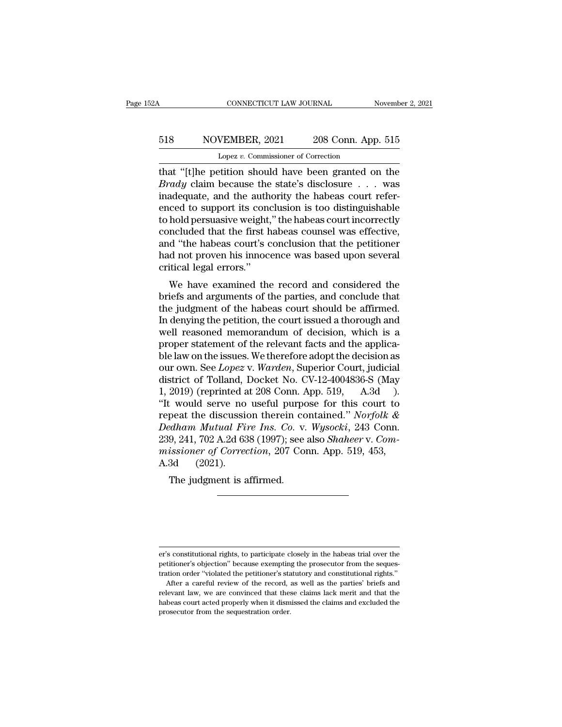# CONNECTICUT LAW JOURNAL November 2, 2021<br>518 NOVEMBER, 2021 208 Conn. App. 515<br>Lopez v. Commissioner of Correction CONNECTICUT LAW JOURNAL<br>VEMBER, 2021 208 Conn. App<br>Lopez *v.* Commissioner of Correction<br>Hition should have been granted of

CONNECTICUT LAW JOURNAL November 2, 2021<br>
S18 NOVEMBER, 2021 208 Conn. App. 515<br>
Lopez v. Commissioner of Correction<br>
that "[t]he petition should have been granted on the<br>
Brady claim because the state's disclosure . . . w **Brady** Brady claim because the state's disclosure . . . . was inadequate, and the authority the habeas court referenced to support its conclusion is too distinguishble. 518 NOVEMBER, 2021 208 Conn. App. 515<br>
Lopez v. Commissioner of Correction<br>
that "[t]he petition should have been granted on the<br> *Brady* claim because the state's disclosure . . . was<br>
inadequate, and the authority the h 518 NOVEMBER, 2021 208 Conn. App. 515<br>
Lopez v. Commissioner of Correction<br>
that "[t]he petition should have been granted on the<br> *Brady* claim because the state's disclosure . . . was<br>
inadequate, and the authority the h Lopez v. Commissioner of Correction<br>that "[t]he petition should have been granted on the<br>*Brady* claim because the state's disclosure . . . was<br>inadequate, and the authority the habeas court refer-<br>enced to support its co Lopez v. Commissioner of Correction<br>that "[t]he petition should have been granted on the<br>*Brady* claim because the state's disclosure  $\ldots$  was<br>inadequate, and the authority the habeas court refer-<br>enced to support its co that "[t]he petition should have been granted on the *Brady* claim because the state's disclosure  $\ldots$  was inadequate, and the authority the habeas court referenced to support its conclusion is too distinguishable to hol *Brady* claim because the state's disclosure  $\ldots$  was inadequate, and the authority the habeas court referenced to support its conclusion is too distinguishable to hold persuasive weight," the habeas count incorrectly co inadequate, and the auth<br>enced to support its cond<br>to hold persuasive weight,<br>concluded that the first h<br>and "the habeas court's c<br>had not proven his innoc<br>critical legal errors."<br>We have examined the Lea to support its conclusion is too distinguishable<br>hold persuasive weight," the habeas court incorrectly<br>ncluded that the first habeas counsel was effective,<br>d "the habeas court's conclusion that the petitioner<br>d not pro brief and persuasive weight, the nabeas count incorrectly<br>concluded that the first habeas counsel was effective,<br>and "the habeas court's conclusion that the petitioner<br>had not proven his innocence was based upon several<br>cr

Folcology that the first habeas courser was enective,<br>and "the habeas court's conclusion that the petitioner<br>had not proven his innocence was based upon several<br>critical legal errors."<br>We have examined the record and consi and the habeas court's conclusion that the petitioner<br>
had not proven his innocence was based upon several<br>
critical legal errors."<br>
We have examined the record and considered the<br>
briefs and arguments of the parties, and ratical legal errors."<br>
We have examined the record and considered the<br>
briefs and arguments of the parties, and conclude that<br>
the judgment of the habeas court should be affirmed.<br>
In denying the petition, the court issue We have examined the record and considered the<br>briefs and arguments of the parties, and conclude that<br>the judgment of the habeas court should be affirmed.<br>In denying the petition, the court issued a thorough and<br>well reas We have examined the record and considered the<br>briefs and arguments of the parties, and conclude that<br>the judgment of the habeas court should be affirmed.<br>In denying the petition, the court issued a thorough and<br>well reas briefs and arguments of the parties, and conclude that<br>the judgment of the habeas court should be affirmed.<br>In denying the petition, the court issued a thorough and<br>well reasoned memorandum of decision, which is a<br>proper s the judgment of the habeas court should be affirmed.<br>In denying the petition, the court issued a thorough and<br>well reasoned memorandum of decision, which is a<br>proper statement of the relevant facts and the applica-<br>ble law In denying the petition, the court issued a thorough and<br>well reasoned memorandum of decision, which is a<br>proper statement of the relevant facts and the applica-<br>ble law on the issues. We therefore adopt the decision as<br>o well reasoned memorandum of decision, which is a<br>proper statement of the relevant facts and the applica-<br>ble law on the issues. We therefore adopt the decision as<br>our own. See *Lopez* v. Warden, Superior Court, judicial<br>di proper statement of the relevant facts and the applica-<br>ble law on the issues. We therefore adopt the decision as<br>our own. See *Lopez* v. *Warden*, Superior Court, judicial<br>district of Tolland, Docket No. CV-12-4004836-S ( ble law on the issues. We therefore adopt the decision as<br>
our own. See *Lopez* v. *Warden*, Superior Court, judicial<br>
district of Tolland, Docket No. CV-12-4004836-S (May<br>
1, 2019) (reprinted at 208 Conn. App. 519, A.3d<br> our own. See *Lopez* v. *Warden*, Superior Court, judicial district of Tolland, Docket No. CV-12-4004836-S (May 1, 2019) (reprinted at 208 Conn. App. 519, A.3d ). "It would serve no useful purpose for this court to repeat district of Tolland, Docket No. CV-12-4004836-S (May 1, 2019) (reprinted at 208 Conn. App. 519, A.3d ).<br>"It would serve no useful purpose for this court to repeat the discussion therein contained." *Norfolk & Dedham Mutual* 1, 2019) (reprinted a<br>
"It would serve no<br>
repeat the discussic<br>
Dedham Mutual Fia<br>
239, 241, 702 A.2d 63<br>
missioner of Correc<br>
A.3d (2021).<br>
The judgment is a Figure 10 useful purpose the discussion therein contained that  $R$  and  $R$  is a  $(9.241, 702 \text{ A}.2d \text{ } 638 \text{ } (1997))$ ; see is signear of Correction, 207 Contained.<br>
The judgment is affirmed.

er's constitutional rights, to participate closely in the habeas trial over the Petitioner's constitutional rights, to participate closely in the habeas trial over the petitioner's objection'' because exempting the prosecutor from the seques-<br>tration order "violated the petitioner's statutory and cons the transmutational rights, to participate closely in the habeas trial over the petitioner's objection" because exempting the prosecutor from the sequestration order "violated the petitioner's statutory and constitutional After a careful repided was the record, as well as the record, as well as the record, as well as the parties' briefs and After a careful review of the record, as well as the parties' briefs and levant law, we are convinced

er's constitutional rights, to participate closely in the habeas trial over the petitioner's objection" because exempting the prosecutor from the sequestration order "violated the petitioner's statutory and constitutional er's constitutional rights, to participate closely in the habeas trial over the petitioner's objection" because exempting the prosecutor from the sequestration order "violated the petitioner's statutory and constitutional petitioner's objection" because exempting the prosecutor from the sequestration order "violated the petitioner's statutory and constitutional rights." After a careful review of the record, as well as the parties' briefs an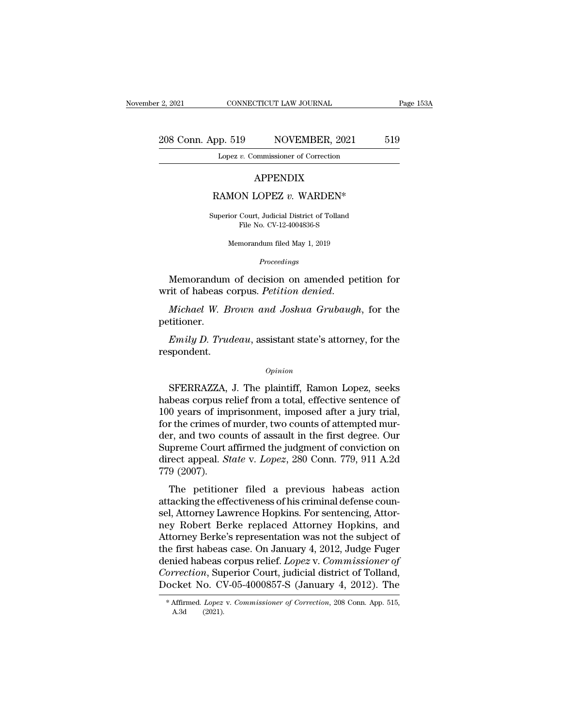#### 2, 2021 CONNECTICUT LAW JOURNAL Page 153A<br>208 Conn. App. 519 NOVEMBER, 2021 519<br>Lopez v. Commissioner of Correction CONNECTICUT LAW JOURNAL<br>
p. 519 NOVEMBER, 2021<br>
Lopez *v.* Commissioner of Correction pp. 519 NOVEMBER, 2021<br>
Lopez *v.* Commissioner of Correction<br>
APPENDIX<br>
RAMON LOPEZ *v.* WARDEN\*<br>
superior Court, Judicial District of Tolland

#### APPENDIX

APPENDIX<br>RAMON LOPEZ v. WARDEN\*<br>Superior Court, Judicial District of Tolland<br>File No. CV-12-4004836-S APPENDIX<br>
DN LOPEZ v. WARDEN\*<br>
Court, Judicial District of Tolland<br>
File No. CV-12-4004836-S<br>
manne dum filed Man 1, 2010 MON LOPEZ  $v$ . WARDEN\*<br>ior Court, Judicial District of Tolland<br>File No. CV-12-4004836-S<br>Memorandum filed May 1, 2019

*Proceedings*

Superior Court, Judicial District of Tolland<br>File No. CV-12-4004836-S<br>Memorandum filed May 1, 2019<br>Proceedings<br>Memorandum of decision on amended petition for<br>rit of habeas corpus. *Petition denied*.

Superior Court, Judicial District of Tolland<br>File No. CV-12-4004836-S<br>*Proceedings*<br>*Proceedings*<br>**Memorandum of decision on amended petition for**<br>writ of habeas corpus. *Petition denied*.<br>*Michael W. Brown and Joshua Grub* petitioner. *Frudentys*<br>*Emily D. Trudenty* D. Thereis are also assembled bettis of habeas corpus. Petition denied.<br>*Michael W. Brown and Joshua Grubaugh*, for the titioner.<br>*Emily D. Trudeau*, assistant state's attorney, for the spon

respondent.

#### *Opinion*

Emily D. Trudeau, assistant state's attorney, for the<br>spondent.<br>*Opinion*<br>SFERRAZZA, J. The plaintiff, Ramon Lopez, seeks<br>beas corpus relief from a total, effective sentence of<br>0 yoars of imprisonment imposed after a jury *Emily D. Trudeau*, assistant state's attorney, for the<br>respondent.<br>*Opinion*<br>SFERRAZZA, J. The plaintiff, Ramon Lopez, seeks<br>habeas corpus relief from a total, effective sentence of<br>100 years of imprisonment, imposed afte *Emily D. Trudeau*, assistant state's attorney, for the<br>respondent.<br> $\frac{opinion}{}$ <br>SFERRAZZA, J. The plaintiff, Ramon Lopez, seeks<br>habeas corpus relief from a total, effective sentence of<br>100 years of imprisonment, imposed aft opinion<br>
opinion<br>
SFERRAZZA, J. The plaintiff, Ramon Lopez, seeks<br>
habeas corpus relief from a total, effective sentence of<br>
100 years of imprisonment, imposed after a jury trial,<br>
for the crimes of murder, two counts of a *Opinion*<br>
SFERRAZZA, J. The plaintiff, Ramon Lopez, seeks<br>
habeas corpus relief from a total, effective sentence of<br>
100 years of imprisonment, imposed after a jury trial,<br>
for the crimes of murder, two counts of attempte SFERRAZZA, J. The plaintiff, Ramon Lopez, seeks<br>habeas corpus relief from a total, effective sentence of<br>100 years of imprisonment, imposed after a jury trial,<br>for the crimes of murder, two counts of attempted mur-<br>der, a SFERRAZZA, J. The plaintiff, Ramon Lopez, seeks<br>habeas corpus relief from a total, effective sentence of<br>100 years of imprisonment, imposed after a jury trial,<br>for the crimes of murder, two counts of attempted mur-<br>der, an habeas corpus r<br>100 years of imp<br>for the crimes of<br>der, and two cor<br>Supreme Court a<br>direct appeal. Sp<br>779 (2007).<br>The petition o years of imprisonment, imposed arter a jury trial,<br>
r the crimes of murder, two counts of attempted mur-<br>
r, and two counts of assault in the first degree. Our<br>
preme Court affirmed the judgment of conviction on<br>
rect a For the effines of mutual, two counts of attempted mu-<br>der, and two counts of assault in the first degree. Our<br>Supreme Court affirmed the judgment of conviction on<br>direct appeal. *State v. Lopez*, 280 Conn. 779, 911 A.2d<br>7

self, and two counts of assault in the first degree. Our Supreme Court affirmed the judgment of conviction on direct appeal. *State v. Lopez*, 280 Conn. 779, 911 A.2d 779 (2007).<br>The petitioner filed a previous habeas acti supreme Court annihed the Judgment of Convection on<br>direct appeal. *State v. Lopez*, 280 Conn. 779, 911 A.2d<br>779 (2007).<br>The petitioner filed a previous habeas action<br>attacking the effectiveness of his criminal defense co The petitioner filed a previous habeas action<br>attacking the effectiveness of his criminal defense counsel, Attorney Lawrence Hopkins. For sentencing, Attor-<br>ney Robert Berke replaced Attorney Hopkins, and<br>Attorney Berke's The petitioner filed a previous habeas action<br>attacking the effectiveness of his criminal defense coun-<br>sel, Attorney Lawrence Hopkins. For sentencing, Attor-<br>ney Robert Berke replaced Attorney Hopkins, and<br>Attorney Berke' The petitioner filed a previous habeas action<br>attacking the effectiveness of his criminal defense coun-<br>sel, Attorney Lawrence Hopkins. For sentencing, Attor-<br>ney Robert Berke replaced Attorney Hopkins, and<br>Attorney Berke' attacking the effectiveness of his criminal defense counsel, Attorney Lawrence Hopkins. For sentencing, Attorney Robert Berke replaced Attorney Hopkins, and Attorney Berke's representation was not the subject of the first sel, Attorney Lawrence Hopkins. For sentencing, Attorney Robert Berke replaced Attorney Hopkins, and<br>Attorney Berke's representation was not the subject of<br>the first habeas case. On January 4, 2012, Judge Fuger<br>denied habe the first habeas case. On January 4, 2012, Judge Fuger<br>denied habeas corpus relief. *Lopez* v. *Commissioner of*<br>*Correction*, Superior Court, judicial district of Tolland,<br>Docket No. CV-05-4000857-S (January 4, 2012). The Docket No. CV-05-4000857-S (January 4, 2012). The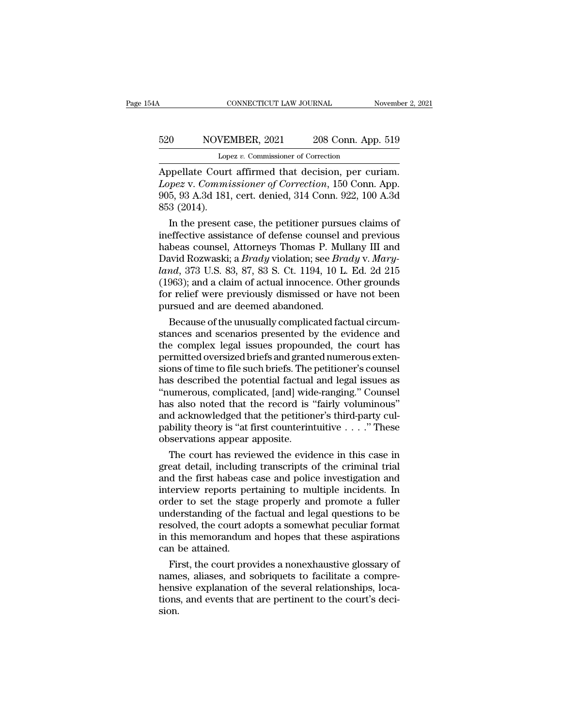# CONNECTICUT LAW JOURNAL November 2, 2021<br>520 NOVEMBER, 2021 208 Conn. App. 519<br>Lopez v. Commissioner of Correction CONNECTICUT LAW JOURNAL<br>VEMBER, 2021 208 Conn. App<br>Lopez *v.* Commissioner of Correction<br>urt. affirmed. that. decision...per.cu

CONNECTICUT LAW JOURNAL November 2, 2<br>
520 NOVEMBER, 2021 208 Conn. App. 519<br>
Lopez v. Commissioner of Correction<br>
Appellate Court affirmed that decision, per curiam.<br> *Lopez* v. Commissioner of Correction, 150 Conn. App.<br> *Lopez* v. *Commissioner of Correction*<br>*Lopez* v. *Commissioner of Correction*<br>*Lopez* v. *Commissioner of Correction*, per curiam.<br>*Lopez* v. *Commissioner of Correction*, 150 Conn. App.<br>905, 93 A.3d 181, cert. denied, 3 S20 NOVEMBER, 2021 208 Conn. App. 519<br>
Lopez v. Commissioner of Correction<br>
Appellate Court affirmed that decision, per curiam.<br>
Lopez v. Commissioner of Correction, 150 Conn. App.<br>
905, 93 A.3d 181, cert. denied, 314 Conn 520 NOVE<br>
Lop<br>
Lopez v. Commi<br>
Lopez v. Commi<br>
905, 93 A.3d 181<br>
853 (2014).<br>
In the present Lopez v. Commissioner of Correction<br>
Speedlate Court affirmed that decision, per curiam.<br> *pez* v. Commissioner of Correction, 150 Conn. App.<br>
5, 93 A.3d 181, cert. denied, 314 Conn. 922, 100 A.3d<br>
3 (2014).<br>
In the prese Appellate Court affirmed that decision, per curiam.<br> *Lopez* v. Commissioner of Correction, 150 Conn. App.<br>
905, 93 A.3d 181, cert. denied, 314 Conn. 922, 100 A.3d<br>
853 (2014).<br>
In the present case, the petitioner pursues

Appellate Court affirmed that decision, per curiam.<br> *Lopez* v. *Commissioner of Correction*, 150 Conn. App.<br>
905, 93 A.3d 181, cert. denied, 314 Conn. 922, 100 A.3d<br>
853 (2014).<br>
In the present case, the petitioner pursu Lopez v. Commissioner of Correction, 150 Conn. App.<br>905, 93 A.3d 181, cert. denied, 314 Conn. 922, 100 A.3d<br>853 (2014).<br>In the present case, the petitioner pursues claims of<br>ineffective assistance of defense counsel and pr 905, 93 A.3d 181, cert. denied, 314 Conn. 922, 100 A.3d<br>853 (2014).<br>In the present case, the petitioner pursues claims of<br>ineffective assistance of defense counsel and previous<br>habeas counsel, Attorneys Thomas P. Mullany I 853 (2014).<br>
In the present case, the petitioner pursues claims of<br>
ineffective assistance of defense counsel and previous<br>
habeas counsel, Attorneys Thomas P. Mullany III and<br>
David Rozwaski; a *Brady* violation; see *Bra* In the present case, the petitioner pursues claims of<br>ineffective assistance of defense counsel and previous<br>habeas counsel, Attorneys Thomas P. Mullany III and<br>David Rozwaski; a *Brady* violation; see *Brady* v. *Mary-*<br>l ineffective assistance of defense counsel a<br>habeas counsel, Attorneys Thomas P. Mul<br>David Rozwaski; a *Brady* violation; see *Bradand*, 373 U.S. 83, 87, 83 S. Ct. 1194, 10 L<br>(1963); and a claim of actual innocence. Ot<br>for beas counsel, Attorneys Thomas P. Mullany III and<br>avid Rozwaski; a *Brady* violation; see *Brady* v. Mary-<br>nd, 373 U.S. 83, 87, 83 S. Ct. 1194, 10 L. Ed. 2d 215<br>963); and a claim of actual innocence. Other grounds<br>r relief David Rozwaski; a *Brady* violation; see *Brady* v. Mary-<br>*land*, 373 U.S. 83, 87, 83 S. Ct. 1194, 10 L. Ed. 2d 215<br>(1963); and a claim of actual innocence. Other grounds<br>for relief were previously dismissed or have not b

land, 373 U.S. 83, 87, 83 S. Ct. 1194, 10 L. Ed. 2d 215<br>(1963); and a claim of actual innocence. Other grounds<br>for relief were previously dismissed or have not been<br>pursued and are deemed abandoned.<br>Because of the unusuall (1963); and a claim of actual innocence. Other grounds<br>for relief were previously dismissed or have not been<br>pursued and are deemed abandoned.<br>Because of the unusually complicated factual circum-<br>stances and scenarios pres for relief were previously dismissed or have not been<br>pursued and are deemed abandoned.<br>Because of the unusually complicated factual circum-<br>stances and scenarios presented by the evidence and<br>the complex legal issues prop pursued and are deemed abandoned.<br>
Because of the unusually complicated factual circumstances and scenarios presented by the evidence and<br>
the complex legal issues propounded, the court has<br>
permitted oversized briefs and Because of the unusually complicated factual circum-<br>stances and scenarios presented by the evidence and<br>the complex legal issues propounded, the court has<br>permitted oversized briefs and granted numerous exten-<br>sions of ti stances and scenarios presented by the evidence and<br>the complex legal issues propounded, the court has<br>permitted oversized briefs and granted numerous exten-<br>sions of time to file such briefs. The petitioner's counsel<br>has the complex legal issues propounded, the court has<br>permitted oversized briefs and granted numerous exten-<br>sions of time to file such briefs. The petitioner's counsel<br>has described the potential factual and legal issues as<br> permitted oversized briefs and granted numerous extensions of time to file such briefs. The petitioner's counsel<br>has described the potential factual and legal issues as<br>"numerous, complicated, [and] wide-ranging." Counsel<br> sions of time to file such briefs. The has described the potential factual "numerous, complicated, [and] widhs also noted that the record is "<br>and acknowledged that the petition pability theory is "at first counterint obse s described the potential factual and legal issues as<br>umerous, complicated, [and] wide-ranging." Counsel<br>s also noted that the record is "fairly voluminous"<br>d acknowledged that the petitioner's third-party cul-<br>bility theo "numerous, complicated, [and] wide-ranging." Counsel<br>has also noted that the record is "fairly voluminous"<br>and acknowledged that the petitioner's third-party cul-<br>pability theory is "at first counterintuitive  $\ldots$ ." Thes

has also noted that the record is "fairly voluminous"<br>and acknowledged that the petitioner's third-party cul-<br>pability theory is "at first counterintuitive  $\dots$ ." These<br>observations appear apposite.<br>The court has reviewed and acknowledged that the petitioner's third-party cul-<br>pability theory is "at first counterintuitive  $\dots$ ." These<br>observations appear apposite.<br>The court has reviewed the evidence in this case in<br>great detail, including pability theory is "at first counterintuitive  $\ldots$ ". These<br>observations appear apposite.<br>The court has reviewed the evidence in this case in<br>great detail, including transcripts of the criminal trial<br>and the first habeas observations appear apposite.<br>
The court has reviewed the evidence in this case in<br>
great detail, including transcripts of the criminal trial<br>
and the first habeas case and police investigation and<br>
interview reports perta The court has reviewed the evidence in this case in<br>great detail, including transcripts of the criminal trial<br>and the first habeas case and police investigation and<br>interview reports pertaining to multiple incidents. In<br>or great detail, including transcripts of the criminal trial<br>and the first habeas case and police investigation and<br>interview reports pertaining to multiple incidents. In<br>order to set the stage properly and promote a fuller<br>u and the first habeas case and police investigation and<br>interview reports pertaining to multiple incidents. In<br>order to set the stage properly and promote a fuller<br>understanding of the factual and legal questions to be<br>reso First, the court provides a nonexhaustive glossary of<br>the stage properly and promote a fuller<br>derstanding of the factual and legal questions to be<br>solved, the court adopts a somewhat peculiar format<br>this memorandum and hop order to set the stage properly and promote a fuller<br>understanding of the factual and legal questions to be<br>resolved, the court adopts a somewhat peculiar format<br>in this memorandum and hopes that these aspirations<br>can be a

understanding of the factual and legal questions to be<br>resolved, the court adopts a somewhat peculiar format<br>in this memorandum and hopes that these aspirations<br>can be attained.<br>First, the court provides a nonexhaustive gl resolved, the court adopts a somewhat peculiar format<br>in this memorandum and hopes that these aspirations<br>can be attained.<br>First, the court provides a nonexhaustive glossary of<br>names, aliases, and sobriquets to facilitate sion.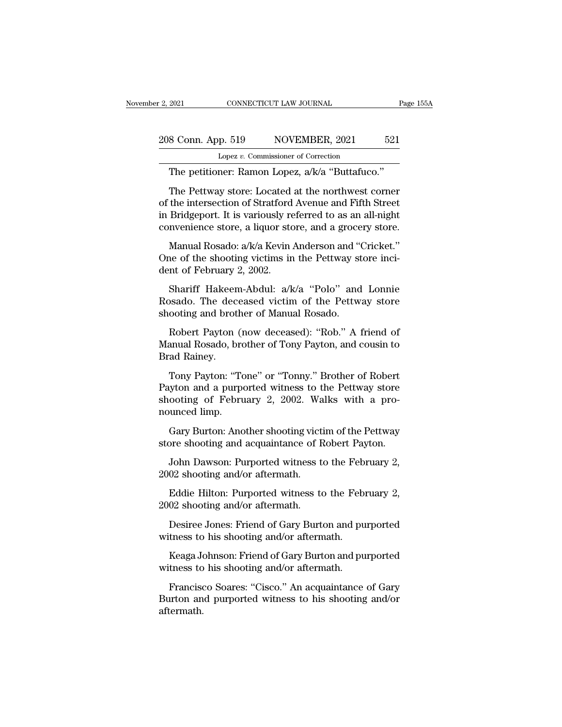# 2, 2021 CONNECTICUT LAW JOURNAL Page 155A<br>208 Conn. App. 519 NOVEMBER, 2021 521<br>Lopez v. Commissioner of Correction Lopez *v.* Commissioner of Correction

EXECTIVE DURNAL PRODUCE 2021 CONNECTICUT LAW JOURNAL PRODUCED AS CONNECTICUT LAW JOURNAL PRODUCED 21 Lopez v. Commissioner of Correction<br>The petitioner: Ramon Lopez, a/k/a "Buttafuco."<br>The Pettway store: Located at the nor  $\frac{8 \text{ Conn. App. 519}}{\text{Lopez } v. \text{ Commissioner of Correction}}$ <br>The petitioner: Ramon Lopez,  $a/k/a$  "Buttafuco."<br>The Pettway store: Located at the northwest corner<br>the intersection of Stratford Avenue and Fifth Street<br>Bridsoport. It is variously refo 208 Conn. App. 519 NOVEMBER, 2021 521<br>
Lopez v. Commissioner of Correction<br>
The petitioner: Ramon Lopez,  $a/k/a$  "Buttafuco."<br>
The Pettway store: Located at the northwest corner<br>
of the intersection of Stratford Avenue and 208 Conn. App. 519 NOVEMBER, 2021 521<br>
Lopez v. Commissioner of Correction<br>
The petitioner: Ramon Lopez,  $a/k/a$  "Buttafuco."<br>
The Pettway store: Located at the northwest corner<br>
of the intersection of Stratford Avenue and Lopez v. Commissioner of Correction<br>
The petitioner: Ramon Lopez,  $a/k/a$  "Buttafuco."<br>
The Pettway store: Located at the northwest corner<br>
of the intersection of Stratford Avenue and Fifth Street<br>
in Bridgeport. It is vari The petitioner: Ramon Lopez,  $a/k/a$  "Buttafuco."<br>The Pettway store: Located at the northwest corner<br>the intersection of Stratford Avenue and Fifth Street<br>Bridgeport. It is variously referred to as an all-night<br>nvenience st The Pettway store: Located at the northwest corner of the intersection of Stratford Avenue and Fifth Street in Bridgeport. It is variously referred to as an all-night convenience store, a liquor store, and a grocery store The Fearty Based Control and Stratford<br>of the intersection of Stratford<br>in Bridgeport. It is variously re<br>convenience store, a liquor sto<br>Manual Rosado: a/k/a Kevin .<br>One of the shooting victims in<br>dent of February 2, 2002

Bridgeport. It is variously referred to as an all-night<br>nvenience store, a liquor store, and a grocery store.<br>Manual Rosado:  $a/k/a$  Kevin Anderson and "Cricket."<br>ne of the shooting victims in the Pettway store inci-<br>nt of

convenience store, a liquor store, and a grocery store.<br>
Manual Rosado: a/k/a Kevin Anderson and "Cricket."<br>
One of the shooting victims in the Pettway store inci-<br>
dent of February 2, 2002.<br>
Shariff Hakeem-Abdul: a/k/a "P Manual Rosado:  $a/k/a$  Kevin Anderson and "One of the shooting victims in the Pettway st<br>dent of February 2, 2002.<br>Shariff Hakeem-Abdul:  $a/k/a$  "Polo" and<br>Rosado. The deceased victim of the Pettw<br>shooting and brother of Manu he of the shooting victims in the Pettway store inci-<br>nt of February 2, 2002.<br>Shariff Hakeem-Abdul: a/k/a "Polo" and Lonnie<br>bsado. The deceased victim of the Pettway store<br>ooting and brother of Manual Rosado.<br>Robert Payton dent of February 2, 2002.<br>
Shariff Hakeem-Abdul: a/k/a "Polo" and Lonnie<br>
Rosado. The deceased victim of the Pettway store<br>
shooting and brother of Manual Rosado.<br>
Robert Payton (now deceased): "Rob." A friend of<br>
Manual R Shariff Hakeen<br>Rosado. The dec<br>shooting and brot<br>Robert Payton<br>Manual Rosado, b<br>Brad Rainey.<br>Tony Payton: "T

ooting and brother of Manual Rosado.<br>Robert Payton (now deceased): "Rob." A friend of<br>anual Rosado, brother of Tony Payton, and cousin to<br>ad Rainey.<br>Tony Payton: "Tone" or "Tonny." Brother of Robert<br>yton and a purported wi

shooting and brother of Manual Rosado.<br>
Robert Payton (now deceased): "Rob." A friend of<br>
Manual Rosado, brother of Tony Payton, and cousin to<br>
Brad Rainey.<br>
Tony Payton: "Tone" or "Tonny." Brother of Robert<br>
Payton and a Robert Payton (now deceased): "Rob." A friend of Manual Rosado, brother of Tony Payton, and cousin to Brad Rainey.<br>Tony Payton: "Tone" or "Tonny." Brother of Robert Payton and a purported witness to the Pettway store shoot Manual Rosado, bro<br>Brad Rainey.<br>Tony Payton: "To<br>Payton and a purpo<br>shooting of Febru<br>nounced limp.<br>Gary Burton: Ano ad Rainey.<br>Tony Payton: "Tone" or "Tonny." Brother of Robert<br>tyton and a purported witness to the Pettway store<br>ooting of February 2, 2002. Walks with a pro-<br>unced limp.<br>Gary Burton: Another shooting victim of the Pettway<br> Tony Payton: "Tone" or "Tonny." Brother of Robert<br>Payton and a purported witness to the Pettway store<br>shooting of February 2, 2002. Walks with a pro-<br>nounced limp.<br>Gary Burton: Another shooting victim of the Pettway<br>store lyton and a purported witness to the Pettway store<br>ooting of February 2, 2002. Walks with a pro-<br>unced limp.<br>Gary Burton: Another shooting victim of the Pettway<br>pre shooting and acquaintance of Robert Payton.<br>John Dawson:

shooting of February 2, 2002. Wa<br>nounced limp.<br>Gary Burton: Another shooting vict<br>store shooting and acquaintance of F<br>John Dawson: Purported witness to<br>2002 shooting and/or aftermath.<br>Eddie Hilton: Purported witness to

Gary Burton: Another shooting vict:<br>store shooting and acquaintance of F<br>John Dawson: Purported witness to<br>2002 shooting and/or aftermath.<br>2002 shooting and/or aftermath.<br>Desiree Jones: Friend of Gary Burt

Gary Burton: Another shooting victim of the Pettway<br>pre shooting and acquaintance of Robert Payton.<br>John Dawson: Purported witness to the February 2,<br>02 shooting and/or aftermath.<br>02 shooting and/or aftermath. John Dawson: Purported witness to the February 2,<br>02 shooting and/or aftermath.<br>Eddie Hilton: Purported witness to the February 2,<br>02 shooting and/or aftermath.<br>Desiree Jones: Friend of Gary Burton and purported<br>tness to h John Dawson: Purported witness to the Feb<br>2002 shooting and/or aftermath.<br>Eddie Hilton: Purported witness to the Feb<br>2002 shooting and/or aftermath.<br>Desiree Jones: Friend of Gary Burton and pu<br>witness to his shooting and/o Eddie Hilton: Purported witness to the February 2,<br>02 shooting and/or aftermath.<br>Desiree Jones: Friend of Gary Burton and purported<br>tness to his shooting and/or aftermath.<br>Keaga Johnson: Friend of Gary Burton and purported

Eddie Hilton: Purported witness to the Feb.<br>2002 shooting and/or aftermath.<br>Desiree Jones: Friend of Gary Burton and pu<br>witness to his shooting and/or aftermath.<br>Keaga Johnson: Friend of Gary Burton and pu<br>witness to his s

Desiree Jones: Friend of Gary Burton and purported<br>tness to his shooting and/or aftermath.<br>Keaga Johnson: Friend of Gary Burton and purported<br>tness to his shooting and/or aftermath.<br>Francisco Soares: "Cisco." An acquaintan Desiree Jones: Friend of Gary Burton and purported<br>witness to his shooting and/or aftermath.<br>Keaga Johnson: Friend of Gary Burton and purported<br>witness to his shooting and/or aftermath.<br>Francisco Soares: "Cisco." An acquai aftermath.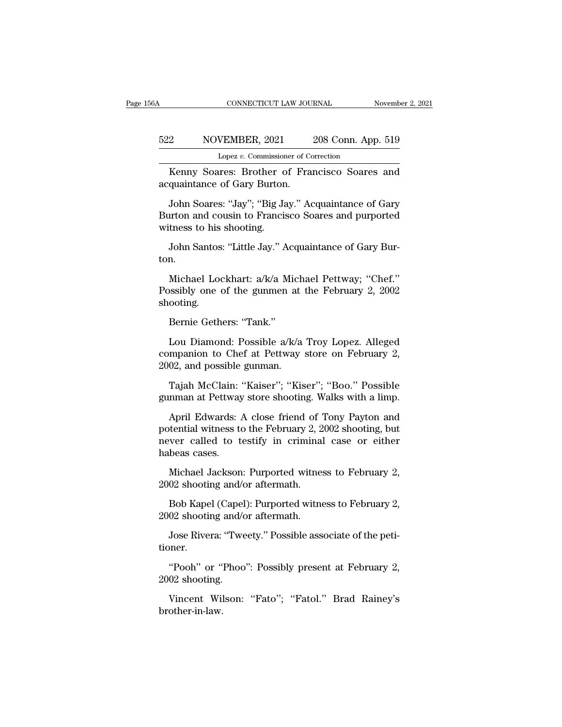#### CONNECTICUT LAW JOURNAL November 2, 2021<br>522 NOVEMBER, 2021 208 Conn. App. 519<br>Lopez v. Commissioner of Correction CONNECTICUT LAW JOURNAL<br>VEMBER, 2021 208 Conn. App<br>Lopez *v.* Commissioner of Correction<br>Pres: Brother, of Francisco, Soares CONNECTICUT LAW JOURNAL November 2, 2021<br>
208 Conn. App. 519<br>
Lopez v. Commissioner of Correction<br>
Kenny Soares: Brother of Francisco Soares and<br>
quaintance of Gary Burton. 522 NOVEMBER, 2021<br>
Lopez v. Commissioner of Contains Container of Gary Burton.<br>
The acquaintance of Gary Burton.<br>
John Soares: "Jay"; "Big Jay." Act

NOVEMBER, 2021 208 Conn. App. 519<br>
Lopez v. Commissioner of Correction<br>
Kenny Soares: Brother of Francisco Soares and<br>
quaintance of Gary Burton.<br>
John Soares: "Jay"; "Big Jay." Acquaintance of Gary<br>
urton and cousin to Fr  $\frac{1}{202}$   $\frac{1}{208}$  Conn. App. 519<br>
Lopez v. Commissioner of Correction<br>
Kenny Soares: Brother of Francisco Soares and<br>
acquaintance of Gary Burton.<br>
John Soares: "Jay"; "Big Jay." Acquaintance of Gary<br>
Burton and cou Lopez v. Commission<br>Kenny Soares: Brother of<br>acquaintance of Gary Burton<br>John Soares: "Jay"; "Big Ja<br>Burton and cousin to Francis<br>witness to his shooting.<br>John Santos: "Little Jay." A Kenny Soares: Brother of Francisco Soares and<br>quaintance of Gary Burton.<br>John Soares: "Jay"; "Big Jay." Acquaintance of Gary<br>urton and cousin to Francisco Soares and purported<br>tness to his shooting.<br>John Santos: "Little Ja John Soares: "Jay"; "Big Jay." Acquaintance of Gary<br>urton and cousin to Francisco Soares and purported<br>tness to his shooting.<br>John Santos: "Little Jay." Acquaintance of Gary Bur-<br>n.<br>Michael Lockhart: a/k/a Michael Pettway;

ton.

Burton and cousin to Francisco Soares and purported<br>witness to his shooting.<br>John Santos: "Little Jay." Acquaintance of Gary Bur-<br>ton.<br>Michael Lockhart: a/k/a Michael Pettway; "Chef."<br>Possibly one of the gunmen at the Febr shooting. John Santos: ''Little Jay.'' Acc<br>n.<br>Michael Lockhart: a/k/a Mic<br>ssibly one of the gunmen a<br>ooting.<br>Bernie Gethers: ''Tank.''<br>Lou Diamond: Possible a/k Michael Lockhart: a/k/a Michael Pettway; "Chef."<br>possibly one of the gunmen at the February 2, 2002<br>ooting.<br>Bernie Gethers: "Tank."<br>Lou Diamond: Possible a/k/a Troy Lopez. Alleged<br>mpanion to Chef at Pettway store on Februa

Michael Lockhart: a/k/a Michael Pettway; "Chef."<br>Possibly one of the gunmen at the February 2, 2002<br>shooting.<br>Bernie Gethers: "Tank."<br>Lou Diamond: Possible a/k/a Troy Lopez. Alleged<br>companion to Chef at Pettway store on Fe Possibly one of the gunmen at<br>shooting.<br>Bernie Gethers: "Tank."<br>Lou Diamond: Possible a/k/a<br>companion to Chef at Pettway<br>2002, and possible gunman.<br>Tajah McClain: "Kaiser"; "Kis Bernie Gethers: ''Tank.''<br>Lou Diamond: Possible a/k/a Troy Lopez. Alleged<br>mpanion to Chef at Pettway store on February 2,<br>02, and possible gunman.<br>Tajah McClain: ''Kaiser''; ''Kiser''; ''Boo.'' Possible<br>nman at Pettway sto Bernie Gethers: "Tank."<br>Lou Diamond: Possible a/k/a Troy Lopez. Alleged<br>companion to Chef at Pettway store on February 2,<br>2002, and possible gunman.<br>Tajah McClain: "Kaiser"; "Kiser"; "Boo." Possible<br>gunman at Pettway store Lou Diamond: Possible a/k/a Troy Lopez. Alleged<br>mpanion to Chef at Pettway store on February 2,<br>02, and possible gunman.<br>Tajah McClain: "Kaiser"; "Kiser"; "Boo." Possible<br>nman at Pettway store shooting. Walks with a limp.<br>

companion to Chef at Pettway store on February 2,<br>2002, and possible gunman.<br>Tajah McClain: "Kaiser"; "Kiser"; "Boo." Possible<br>gunman at Pettway store shooting. Walks with a limp.<br>April Edwards: A close friend of Tony Payt 2002, and possible gunman.<br>
Tajah McClain: "Kaiser"; "Kiser"; "Boo." Possible<br>
gunman at Pettway store shooting. Walks with a limp.<br>
April Edwards: A close friend of Tony Payton and<br>
potential witness to the February 2, 20 Tajah McClain:<br>gunman at Pettway<br>April Edwards:<br>potential witness to<br>never called to t<br>habeas cases.<br>Michael Jackson nman at Pettway store snooting. Waiks with a limp.<br>April Edwards: A close friend of Tony Payton and<br>tential witness to the February 2, 2002 shooting, but<br>ver called to testify in criminal case or either<br>beas cases.<br>Michael April Edwards: A close friend of '<br>potential witness to the February 2, 2<br>never called to testify in criminal<br>habeas cases.<br>Michael Jackson: Purported witne:<br>2002 shooting and/or aftermath.<br>Bob Kapel (Capel): Purported wit tential witness to the February 2, 2002 shooting, but<br>ver called to testify in criminal case or either<br>beas cases.<br>Michael Jackson: Purported witness to February 2,<br>02 shooting and/or aftermath.<br>02 shooting and/or aftermat

never called to testify in criminal<br>habeas cases.<br>Michael Jackson: Purported witne:<br>2002 shooting and/or aftermath.<br>2002 shooting and/or aftermath.<br>Jose Rivera: "Tweety." Possible ass Michael Jackson: Purported witness to February 2,<br>02 shooting and/or aftermath.<br>Bob Kapel (Capel): Purported witness to February 2,<br>02 shooting and/or aftermath.<br>Jose Rivera: "Tweety." Possible associate of the peti-<br>nner.

Bob Kapel (Capel): Purported witness to February 2,<br>02 shooting and/or aftermath.<br>Jose Rivera: "Tweety." Possible associate of the peti-<br>ner.<br>"Pooh" or "Phoo": Possibly present at February 2,<br>02 shooting.

tioner.

Bob Kapel (Capel<br>2002 shooting and/c<br>Jose Rivera: "Twe<br>tioner.<br>"Pooh" or "Phoo<br>2002 shooting.<br>Vincent Wilson:

Jose Rivera: "Tweety." Possible associate of the peti-<br>pner.<br>"Pooh" or "Phoo": Possibly present at February 2,<br>02 shooting.<br>Vincent Wilson: "Fato"; "Fatol." Brad Rainey's<br>other-in-law. brother-in-law.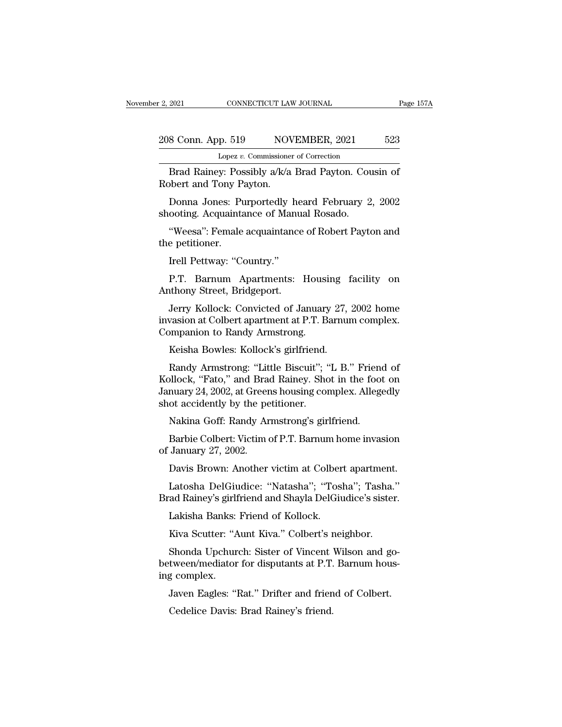| r 2, 2021          | CONNECTICUT LAW JOURNAL                            | Page 157A |
|--------------------|----------------------------------------------------|-----------|
| 208 Conn. App. 519 | NOVEMBER, 2021                                     | 523       |
|                    | Lopez v. Commissioner of Correction                |           |
|                    | Brad Rainey: Possibly a/k/a Brad Payton, Cousin of |           |

EXECTIVE 2021 CONNECTICUT LAW JOURNAL Page 1574<br>
BRAD Rainey: Possibly a/k/a Brad Payton. Cousin of<br>
Brad Rainey: Possibly a/k/a Brad Payton. Cousin of<br>
bbert and Tony Payton. 208 Conn. App. 519 NOV<br>
Lopez v. Commissioner<br>
Brad Rainey: Possibly a/k/a<br>
Robert and Tony Payton.<br>
Donna Jones: Purportedly 8 Conn. App. 519 NOVEMBER, 2021 523<br>
Lopez v. Commissioner of Correction<br>
Brad Rainey: Possibly a/k/a Brad Payton. Cousin of<br>
bbert and Tony Payton.<br>
Donna Jones: Purportedly heard February 2, 2002<br>
ooting. Acquaintance of 208 Conn. App. 519 NOVEMBER, 2021<br>
Lopez v. Commissioner of Correction<br>
Brad Rainey: Possibly a/k/a Brad Payton. Cou<br>
Robert and Tony Payton.<br>
Donna Jones: Purportedly heard February 2<br>
shooting. Acquaintance of Manual Ro Lopez v. Commissioner of Correction<br>Brad Rainey: Possibly a/k/a Brad Payton. Cousin of<br>bbert and Tony Payton.<br>Donna Jones: Purportedly heard February 2, 2002<br>ooting. Acquaintance of Manual Rosado.<br>"Weesa": Female acquainta Brad Rainey: Pos<br>Robert and Tony P<br>Donna Jones: Pu<br>shooting. Acquainta<br>"Weesa": Female<br>the petitioner.<br>Irell Pettway: "Co

Donna Jones: Purportedly hooting. Acquaintance of Manus<br>"Weesa": Female acquaintance<br>"Weesa": Female acquaintance<br>petitioner.<br>Irell Pettway: "Country."<br>P.T. Barnum Apartments:

Donna Jones. Turporteury heard February 2, 2002<br>ooting. Acquaintance of Manual Rosado.<br>"Weesa": Female acquaintance of Robert Payton and<br>e petitioner.<br>Irell Pettway: "Country."<br>P.T. Barnum Apartments: Housing facility on<br>t Mooting. Acquaintance of Manua<br>
"Weesa": Female acquaintance<br>
the petitioner.<br>
Irell Pettway: "Country."<br>
P.T. Barnum Apartments: I<br>
Anthony Street, Bridgeport.<br>
Jerry Kollock: Convicted of Ja

weesa . remale acquamtance of Robert Fayton and<br>e petitioner.<br>Irell Pettway: "Country."<br>P.T. Barnum Apartments: Housing facility on<br>thony Street, Bridgeport.<br>Jerry Kollock: Convicted of January 27, 2002 home<br>vasion at Colb Irell Pettway: "Country."<br>
P.T. Barnum Apartments: Housing facility on<br>
Anthony Street, Bridgeport.<br>
Jerry Kollock: Convicted of January 27, 2002 home<br>
invasion at Colbert apartment at P.T. Barnum complex.<br>
Companion to Ra Irell Pettway: "Country."<br>
P.T. Barnum Apartments: Housi<br>
Anthony Street, Bridgeport.<br>
Jerry Kollock: Convicted of January<br>
invasion at Colbert apartment at P.T. B<br>
Companion to Randy Armstrong.<br>
Keisha Bowles: Kollock's g P.T. Barnum Apartments: Housing 1<br>1911 thony Street, Bridgeport.<br>1917 Kollock: Convicted of January 27,<br>1927, vasion at Colbert apartment at P.T. Barnum<br>1927 mmpanion to Randy Armstrong.<br>Keisha Bowles: Kollock's girlfriend Uniony Street, Bridgeport.<br>Jerry Kollock: Convicted of January 27, 2002 home<br>vasion at Colbert apartment at P.T. Barnum complex.<br>mpanion to Randy Armstrong.<br>Keisha Bowles: Kollock's girlfriend.<br>Randy Armstrong: "Little Bis

Jerry Kollock: Convicted of January 27, 2002 home<br>invasion at Colbert apartment at P.T. Barnum complex.<br>Companion to Randy Armstrong.<br>Keisha Bowles: Kollock's girlfriend.<br>Randy Armstrong: "Little Biscuit"; "L B." Friend of invasion at Colbert apartment at P.T. Barnum complex.<br>Companion to Randy Armstrong.<br>Keisha Bowles: Kollock's girlfriend.<br>Randy Armstrong: "Little Biscuit"; "L B." Friend of<br>Kollock, "Fato," and Brad Rainey. Shot in the foo Companion to Randy Armstrong.<br>Keisha Bowles: Kollock's girlfriend.<br>Randy Armstrong: "Little Biscuit"; '<br>Kollock, "Fato," and Brad Rainey. She<br>January 24, 2002, at Greens housing co<br>shot accidently by the petitioner.<br>Nakina Keisha Bowles: Kollock's girlfriend.<br>Randy Armstrong: "Little Biscuit"; "L B." Friend<br>pllock, "Fato," and Brad Rainey. Shot in the foot<br>nuary 24, 2002, at Greens housing complex. Allege<br>ot accidently by the petitioner.<br>Nak Randy Armstrong: "Little Biscuit"; "L B." Friend of<br>bllock, "Fato," and Brad Rainey. Shot in the foot on<br>nuary 24, 2002, at Greens housing complex. Allegedly<br>ot accidently by the petitioner.<br>Nakina Goff: Randy Armstrong's Kollock, "Fato," and Bra<br>January 24, 2002, at Greer<br>shot accidently by the pe<br>Nakina Goff: Randy Ar<br>Barbie Colbert: Victim of<br>January 27, 2002.<br>Davis Brown: Another

nuary 24, 2002, at Greens nousing complex. An<br>egeuly of accidently by the petitioner.<br>Nakina Goff: Randy Armstrong's girlfriend.<br>Barbie Colbert: Victim of P.T. Barnum home invasion<br>January 27, 2002.<br>Davis Brown: Another vi Nakina Goff: Randy Armstrong's girlfriend.<br>Barbie Colbert: Victim of P.T. Barnum home invasion<br>January 27, 2002.<br>Davis Brown: Another victim at Colbert apartment.<br>Latosha DelGiudice: "Natasha"; "Tosha"; Tasha."<br>ad Rainey's Rakina Golf. Rainly Armstrong's girlfriend.<br>Barbie Colbert: Victim of P.T. Barnum home invasion<br>of January 27, 2002.<br>Davis Brown: Another victim at Colbert apartment.<br>Latosha DelGiudice: "Natasha"; "Tosha"; Tasha."<br>Brad Ra

Barbie Cobert. Victin of F.T. Barnun in<br>January 27, 2002.<br>Davis Brown: Another victim at Colber<br>Latosha DelGiudice: "Natasha"; "Tosl<br>ad Rainey's girlfriend and Shayla DelGiu<br>Lakisha Banks: Friend of Kollock.<br>Kiva Scutter: Davis Brown: Another victim at Colbert apartment<br>Latosha DelGiudice: "Natasha"; "Tosha"; Tasha.<br>ad Rainey's girlfriend and Shayla DelGiudice's sister<br>Lakisha Banks: Friend of Kollock.<br>Kiva Scutter: "Aunt Kiva." Colbert's n

Latosha DelGiudice: "Natasha"; "Tosha"; Tasha."<br>"ad Rainey's girlfriend and Shayla DelGiudice's sister.<br>Lakisha Banks: Friend of Kollock.<br>Kiva Scutter: "Aunt Kiva." Colbert's neighbor.<br>Shonda Upchurch: Sister of Vincent Wi Brad Rainey's girlfriend and Shayla DelGiudice's sister.<br>
Lakisha Banks: Friend of Kollock.<br>
Kiva Scutter: "Aunt Kiva." Colbert's neighbor.<br>
Shonda Upchurch: Sister of Vincent Wilson and go-<br>
between/mediator for disputant Lakisha Banks:<br>Kiva Scutter: "A<br>Shonda Upchur<br>between/mediator<br>ing complex.<br>Javen Eagles: "l Lakisha Banks. Friend of Kohock.<br>Kiva Scutter: "Aunt Kiva." Colbert's neighbor.<br>Shonda Upchurch: Sister of Vincent Wilson and go-<br>tween/mediator for disputants at P.T. Barnum hous-<br>g complex.<br>Javen Eagles: "Rat." Drifter a Kiva Scutter. Addit Kiva. Concert ST.<br>Shonda Upchurch: Sister of Vincent<br>tween/mediator for disputants at P.T.<br>Javen Eagles: "Rat." Drifter and frien<br>Cedelice Davis: Brad Rainey's friend.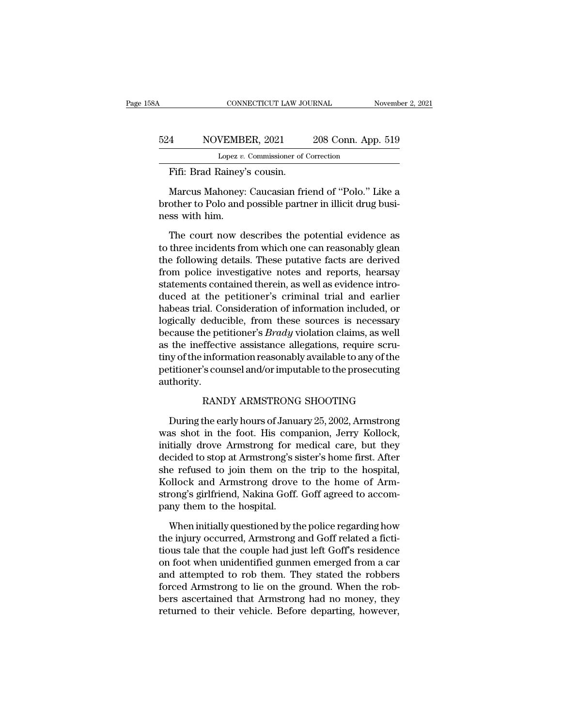#### CONNECTICUT LAW JOURNAL November 2, 2021<br>524 NOVEMBER, 2021 208 Conn. App. 519<br>Lopez v. Commissioner of Correction CONNECTICUT LAW JOURNAL<br>VEMBER, 2021 208 Conn. App<br>Lopez *v.* Commissioner of Correction<br>Rainey's cousin CONNECTICUT LAW JON<br>
4 NOVEMBER, 2021<br>
Lopez v. Commissioner of C<br>
Fifi: Brad Rainey's cousin.<br>
Marcus Mahoney: Caucasian fri

MOVEMBER, 2021 208 Conn. App. 519<br>
Lopez v. Commissioner of Correction<br>
Fifi: Brad Rainey's cousin.<br>
Marcus Mahoney: Caucasian friend of "Polo." Like a<br>
other to Polo and possible partner in illicit drug busi- $\begin{tabular}{c} 524 \hspace{1.5mm} \text{NOVEMBER, 2021} \hspace{1.5mm} \text{208 Conn. App. 519} \\ \hline \text{Lopez } v \text{. Commissioner of Correction} \\ \hline \end{tabular} \end{tabular} \\ \begin{tabular}{c} Maxcus Mahoney: Caucasian friend of "Polo." Like a brother to Polo and possible partner in illicit drug busi-  
ness with him. \end{tabular}$  $\begin{array}{c} \text{D24} \ \text{NOVEMB} \ \text{Lopez } v. \ \hline \end{array}$ <br>Fifi: Brad Rainey'<br>Marcus Mahoney:<br>brother to Polo and<br>ness with him.<br>The court now d Fifi: Brad Rainey's cousin.<br>
Marcus Mahoney: Caucasian friend of "Polo." Like a<br>
other to Polo and possible partner in illicit drug busi-<br>
ss with him.<br>
The court now describes the potential evidence as<br>
three incidents fr

FIII: Brad Rainey s cousin.<br>
Marcus Mahoney: Caucasian friend of "Polo." Like a<br>
brother to Polo and possible partner in illicit drug busi-<br>
ness with him.<br>
The court now describes the potential evidence as<br>
to three incid Marcus Mahoney: Caucasian friend of "Polo." Like a<br>brother to Polo and possible partner in illicit drug busi-<br>ness with him.<br>The court now describes the potential evidence as<br>to three incidents from which one can reasonabl brother to Polo and possible partner in illicit drug business with him.<br>The court now describes the potential evidence as<br>to three incidents from which one can reasonably glean<br>the following details. These putative facts a ness with him.<br>The court now describes the potential evidence as<br>to three incidents from which one can reasonably glean<br>the following details. These putative facts are derived<br>from police investigative notes and reports, h The court now describes the potential evidence as<br>to three incidents from which one can reasonably glean<br>the following details. These putative facts are derived<br>from police investigative notes and reports, hearsay<br>statemen The court now describes the potential evidence as<br>to three incidents from which one can reasonably glean<br>the following details. These putative facts are derived<br>from police investigative notes and reports, hearsay<br>statemen to three incidents from which one can reasonably glean<br>the following details. These putative facts are derived<br>from police investigative notes and reports, hearsay<br>statements contained therein, as well as evidence intro-<br>d the following details. These putative facts are derived<br>from police investigative notes and reports, hearsay<br>statements contained therein, as well as evidence intro-<br>duced at the petitioner's criminal trial and earlier<br>hab from police investigative notes and reports, hearsay<br>statements contained therein, as well as evidence intro-<br>duced at the petitioner's criminal trial and earlier<br>habeas trial. Consideration of information included, or<br>log statements contained therein, as well as evidence intro-<br>duced at the petitioner's criminal trial and earlier<br>habeas trial. Consideration of information included, or<br>logically deducible, from these sources is necessary<br>bec duced at the petitioner's criminal trial and earlier<br>habeas trial. Consideration of information included, or<br>logically deducible, from these sources is necessary<br>because the petitioner's *Brady* violation claims, as well<br>a authority. the petitioner's *Brady* violation claims, as well<br>ffective assistance allegations, require scru-<br>information reasonably available to any of the<br>'s counsel and/or imputable to the prosecuting<br>RANDY ARMSTRONG SHOOTING<br>the e In the information reasonably available to any of the<br>titioner's counsel and/or imputable to the prosecuting<br>thority.<br>RANDY ARMSTRONG SHOOTING<br>During the early hours of January 25, 2002, Armstrong<br>as shot in the foot. His

the mormanon reasonably available to any of the<br>petitioner's counsel and/or imputable to the prosecuting<br>authority.<br>RANDY ARMSTRONG SHOOTING<br>During the early hours of January 25, 2002, Armstrong<br>was shot in the foot. His c petitioner s counset and/or imputable to the prosecuting<br>authority.<br>RANDY ARMSTRONG SHOOTING<br>During the early hours of January 25, 2002, Armstrong<br>was shot in the foot. His companion, Jerry Kollock,<br>initially drove Armstro RANDY ARMSTRONG SHOOTING<br>During the early hours of January 25, 2002, Armstrong<br>was shot in the foot. His companion, Jerry Kollock,<br>initially drove Armstrong for medical care, but they<br>decided to stop at Armstrong's sister' RANDY ARMSTRONG SHOOTING<br>During the early hours of January 25, 2002, Armstrong<br>was shot in the foot. His companion, Jerry Kollock,<br>initially drove Armstrong for medical care, but they<br>decided to stop at Armstrong's sister' During the early hours of January 25, 2002, Armstrong<br>was shot in the foot. His companion, Jerry Kollock,<br>initially drove Armstrong for medical care, but they<br>decided to stop at Armstrong's sister's home first. After<br>she r During the early hours of January 25, 2002, Armstrong<br>was shot in the foot. His companion, Jerry Kollock,<br>initially drove Armstrong for medical care, but they<br>decided to stop at Armstrong's sister's home first. After<br>she r was shot in the foot. His com<br>initially drove Armstrong for 1<br>decided to stop at Armstrong's s<br>she refused to join them on th<br>Kollock and Armstrong drove<br>strong's girlfriend, Nakina Goff.<br>pany them to the hospital.<br>When in cided to stop at Armstrong's sister's home first. After<br>e-refused to join them on the trip to the hospital,<br>bllock and Armstrong drove to the home of Arm-<br>cong's girlfriend, Nakina Goff. Goff agreed to accom-<br>ny them to th she refused to join them on the trip to the hospital,<br>Kollock and Armstrong drove to the home of Armstrong's girlfriend, Nakina Goff. Goff agreed to accom-<br>pany them to the hospital.<br>When initially questioned by the police

Kollock and Armstrong drove to the home of Armstrong's girlfriend, Nakina Goff. Goff agreed to accompany them to the hospital.<br>When initially questioned by the police regarding how<br>the injury occurred, Armstrong and Goff r strong's girlfriend, Nakina Goff. Goff agreed to accompany them to the hospital.<br>When initially questioned by the police regarding how<br>the injury occurred, Armstrong and Goff related a ficti-<br>tious tale that the couple had pany them to the hospital.<br>
When initially questioned by the police regarding how<br>
the injury occurred, Armstrong and Goff related a ficti-<br>
tious tale that the couple had just left Goff's residence<br>
on foot when unidentif When initially questioned by the police regarding how<br>the injury occurred, Armstrong and Goff related a ficti-<br>tious tale that the couple had just left Goff's residence<br>on foot when unidentified gunmen emerged from a car<br>a When initially questioned by the police regarding how<br>the injury occurred, Armstrong and Goff related a ficti-<br>tious tale that the couple had just left Goff's residence<br>on foot when unidentified gunmen emerged from a car<br>a the injury occurred, Armstrong and Goff related a fictitious tale that the couple had just left Goff's residence<br>on foot when unidentified gunmen emerged from a car<br>and attempted to rob them. They stated the robbers<br>forced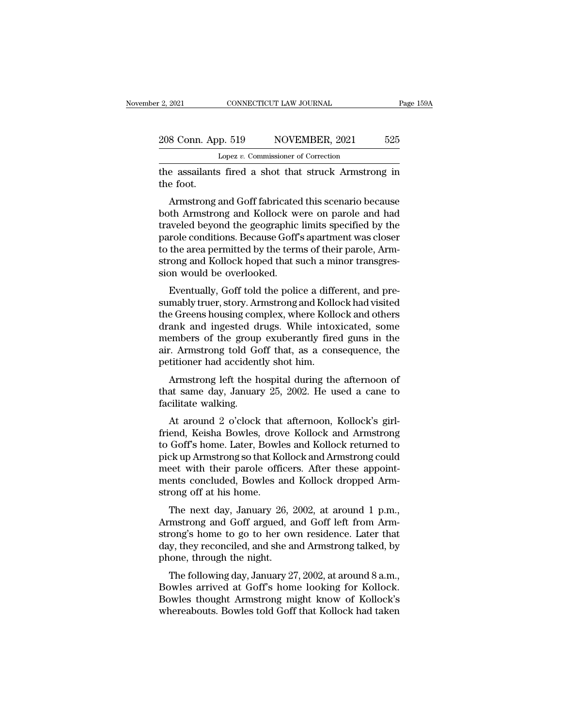the assailants fired a shot that struck Armstrong in the foot.<br>
The foot and a shot that struck Armstrong in the foot. 208 Conn. Ap<br>
the assailants<br>
the foot.<br>
Armstrong :

8 Conn. App. 519 NOVEMBER, 2021 525<br>
Lopez v. Commissioner of Correction<br>
e assailants fired a shot that struck Armstrong in<br>
e foot.<br>
Armstrong and Goff fabricated this scenario because<br>
th Armstrong and Kollock were on p 208 Conn. App. 519 NOVEMBER, 2021 525<br>
Lopez v. Commissioner of Correction<br>
the assailants fired a shot that struck Armstrong in<br>
the foot.<br>
Armstrong and Goff fabricated this scenario because<br>
both Armstrong and Kollock Lopez v. Commissioner of Correction<br>the assailants fired a shot that struck Armstrong in<br>the foot.<br>Armstrong and Goff fabricated this scenario because<br>both Armstrong and Kollock were on parole and had<br>traveled beyond the g the assailants fired a shot that struck Armstrong in<br>the foot.<br>Armstrong and Goff fabricated this scenario because<br>both Armstrong and Kollock were on parole and had<br>traveled beyond the geographic limits specified by the<br>pa the assamants fired a shot that struck Armstrong in<br>the foot.<br>Armstrong and Goff fabricated this scenario because<br>both Armstrong and Kollock were on parole and had<br>traveled beyond the geographic limits specified by the<br>par Armstrong and Goff fabricated this scenario because<br>both Armstrong and Kollock were on parole and had<br>traveled beyond the geographic limits specified by the<br>parole conditions. Because Goff's apartment was closer<br>to the are Armstrong and Goff fabricated<br>both Armstrong and Kollock we<br>traveled beyond the geographic<br>parole conditions. Because Goff<br>to the area permitted by the term<br>strong and Kollock hoped that s<br>sion would be overlooked.<br>Eventua Finally, Goff told the police a different, and pre-<br>make a divergent and had weled beyond the geographic limits specified by the<br>role conditions. Because Goff's apartment was closer<br>the area permitted by the terms of their raveled beyond the geographic initiis specified by the<br>parole conditions. Because Goff's apartment was closer<br>to the area permitted by the terms of their parole, Arm-<br>strong and Kollock hoped that such a minor transgres-<br>s

parole conditions. Because dorn's apartment was closer<br>to the area permitted by the terms of their parole, Arm-<br>strong and Kollock hoped that such a minor transgres-<br>sion would be overlooked.<br>Eventually, Goff told the poli to the area permitted by the terms of their parole, Armstrong and Kollock hoped that such a minor transgression would be overlooked.<br>Eventually, Goff told the police a different, and presumably truer, story. Armstrong and strong and Konock hoped that such a himlor transgression would be overlooked.<br>
Eventually, Goff told the police a different, and pre-<br>
sumably truer, story. Armstrong and Kollock had visited<br>
the Greens housing complex, wh ston would be overlooked.<br>Eventually, Goff told the police a different, and pre-<br>sumably truer, story. Armstrong and Kollock had visited<br>the Greens housing complex, where Kollock and others<br>drank and ingested drugs. While Eventually, Goff told the police a different<br>sumably truer, story. Armstrong and Kollo<br>the Greens housing complex, where Kollo<br>drank and ingested drugs. While into:<br>members of the group exuberantly fire<br>air. Armstrong told mably ther, story. Armstrong and Rohock had visited<br>e Greens housing complex, where Kollock and others<br>ank and ingested drugs. While intoxicated, some<br>embers of the group exuberantly fired guns in the<br>.. Armstrong told Gof the creens housing complex, where Kohock and others<br>drank and ingested drugs. While intoxicated, some<br>members of the group exuberantly fired guns in the<br>air. Armstrong told Goff that, as a consequence, the<br>petitioner had a members of the group<br>air. Armstrong told Go<br>petitioner had accident<br>Armstrong left the h<br>that same day, Januar<br>facilitate walking.<br>At around 2 o'clock

Example 12 o'clock that, as a consequence, the titioner had accidently shot him.<br>Armstrong left the hospital during the afternoon of at same day, January 25, 2002. He used a cane to cilitate walking.<br>At around 2 o'clock th

petitioner had accidently shot him.<br>
Armstrong left the hospital during the afternoon of<br>
that same day, January 25, 2002. He used a cane to<br>
facilitate walking.<br>
At around 2 o'clock that afternoon, Kollock's girl-<br>
friend Armstrong left the hospital during the afternoon of<br>that same day, January 25, 2002. He used a cane to<br>facilitate walking.<br>At around 2 o'clock that afternoon, Kollock's girl-<br>friend, Keisha Bowles, drove Kollock and Armstr Armstrong left the hospital during the atternoon of<br>that same day, January 25, 2002. He used a cane to<br>facilitate walking.<br>At around 2 o'clock that afternoon, Kollock's girl-<br>friend, Keisha Bowles, drove Kollock and Armstr mat same day, January 25, 2002. He used a cane to<br>facilitate walking.<br>At around 2 o'clock that afternoon, Kollock's girl-<br>friend, Keisha Bowles, drove Kollock and Armstrong<br>to Goff's home. Later, Bowles and Kollock returne Friend, Keisha Bowles, drove Kollock and Armstrong<br>friend, Keisha Bowles, drove Kollock and Armstrong<br>to Goff's home. Later, Bowles and Kollock returned to<br>pick up Armstrong so that Kollock and Armstrong could<br>meet with th At around 2 o'clock that<br>friend, Keisha Bowles, drov<br>to Goff's home. Later, Bowle<br>pick up Armstrong so that Kc<br>meet with their parole offi<br>ments concluded, Bowles a<br>strong off at his home.<br>The next day, January 26 End, Reisla Bowles, thove Rollock and Armstrong<br>Goff's home. Later, Bowles and Kollock returned to<br>ck up Armstrong so that Kollock and Armstrong could<br>eet with their parole officers. After these appoint-<br>ents concluded, Bo to don's none. Later, bowes and Konock returned to<br>pick up Armstrong so that Kollock and Armstrong could<br>meet with their parole officers. After these appoint-<br>ments concluded, Bowles and Kollock dropped Arm-<br>strong off at

peck up Arnistrong so that Kohock and Arnistrong could<br>meet with their parole officers. After these appoint-<br>ments concluded, Bowles and Kollock dropped Arm-<br>strong off at his home.<br>The next day, January 26, 2002, at aroun ments concluded, Bowles and Kollock dropped Armstrong off at his home.<br>The next day, January 26, 2002, at around 1 p.m.,<br>Armstrong and Goff argued, and Goff left from Armstrong's home to go to her own residence. Later that ments concluded, bowles and<br>strong off at his home.<br>The next day, January 26, 2<br>Armstrong and Goff argued, a<br>strong's home to go to her ow<br>day, they reconciled, and she as<br>phone, through the night.<br>The following day, Janua The next day, January 26, 2002, at around 1 p.m.,<br>mstrong and Goff argued, and Goff left from Arm-<br>cong's home to go to her own residence. Later that<br>y, they reconciled, and she and Armstrong talked, by<br>one, through the ni The Hext day, January 20, 2002, at around T p.m.,<br>Armstrong and Goff argued, and Goff left from Armstrong's home to go to her own residence. Later that<br>day, they reconciled, and she and Armstrong talked, by<br>phone, through

Armstrong and Gon argued, and Gon Fert Hold Armstrong's home to go to her own residence. Later that day, they reconciled, and she and Armstrong talked, by phone, through the night.<br>The following day, January 27, 2002, at a strong's none to go to her own residence. Later that<br>day, they reconciled, and she and Armstrong talked, by<br>phone, through the night.<br>The following day, January 27, 2002, at around 8 a.m.,<br>Bowles arrived at Goff's home loo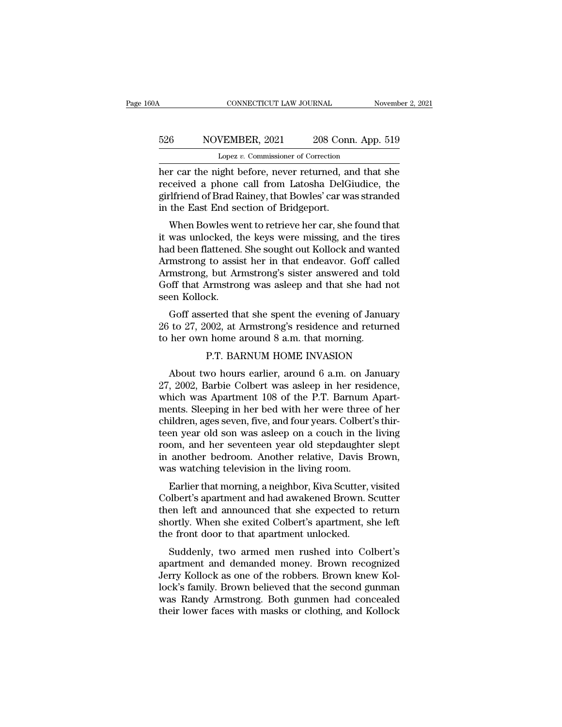# CONNECTICUT LAW JOURNAL November 2, 2021<br>526 NOVEMBER, 2021 208 Conn. App. 519<br>Lopez v. Commissioner of Correction CONNECTICUT LAW JOURNAL<br>VEMBER, 2021 208 Conn. App<br>Lopez *v.* Commissioner of Correction<br>ight before never returned and tha

CONNECTICUT LAW JOURNAL November 2, 2021<br>
S26 NOVEMBER, 2021 208 Conn. App. 519<br>
Lopez v. Commissioner of Correction<br>
her car the night before, never returned, and that she<br>
received a phone call from Latosha DelGiudice, t Factor School (MDF) and that Special Constants are the night before, never returned, and that she received a phone call from Latosha DelGiudice, the spirifriend of Brad Rainey, that Bowles' car was stranded in the Fest Fre 526 NOVEMBER, 2021 208 Conn. App. 519<br>
Lopez v. Commissioner of Correction<br>
her car the night before, never returned, and that she<br>
received a phone call from Latosha DelGiudice, the<br>
girlfriend of Brad Rainey, that Bowle  $\begin{tabular}{ c c c} 526 & NOVEMBER, 2021 & 208 Conr \\ \hline & \textbf{Lopez } v. \textbf{ Commissioner of Correction} \\ her car the night before, never returned, ar received a phone call from Latosha DelG girlfriend of Brad Rainey, that Bowles' car wa in the East End section of Bridgeport. \\ When Bowles went to retrieve her car, she \end{tabular}$ Lopez v. Commissioner of Correction<br>
The car, the night before, never returned, and that she<br>
ceived a phone call from Latosha DelGiudice, the<br>
diffriend of Brad Rainey, that Bowles' car was stranded<br>
the East End section it was unlocked a phone call from Latosha DelGiudice, the girlfriend of Brad Rainey, that Bowles' car was stranded<br>in the East End section of Bridgeport.<br>When Bowles went to retrieve her car, she found that<br>it was unlocked

her car the hight before, hever returned, and that she<br>received a phone call from Latosha DelGiudice, the<br>girlfriend of Brad Rainey, that Bowles' car was stranded<br>in the East End section of Bridgeport.<br>When Bowles went to received a phone can from Eatosha Deronduce, the<br>girlfriend of Brad Rainey, that Bowles' car was stranded<br>in the East End section of Bridgeport.<br>When Bowles went to retrieve her car, she found that<br>it was unlocked, the key ginfriend of Brad Rafley, that Bowles Car was stranded<br>in the East End section of Bridgeport.<br>When Bowles went to retrieve her car, she found that<br>it was unlocked, the keys were missing, and the tires<br>had been flattened. S In the East End section of Bridgeport.<br>When Bowles went to retrieve her car, she found that<br>it was unlocked, the keys were missing, and the tires<br>had been flattened. She sought out Kollock and wanted<br>Armstrong to assist he When Bowles we<br>it was unlocked, tl<br>had been flattened.<br>Armstrong to assis<br>Armstrong, but Ar<br>Goff that Armstron<br>seen Kollock.<br>Goff asserted th: was unocked, the keys were missing, and the thes<br>d been flattened. She sought out Kollock and wanted<br>mstrong to assist her in that endeavor. Goff called<br>mstrong, but Armstrong's sister answered and told<br>off that Armstrong had been nattened. She solight out Kohock and wanted<br>Armstrong to assist her in that endeavor. Goff called<br>Armstrong, but Armstrong's sister answered and told<br>Goff that Armstrong was asleep and that she had not<br>seen Kolloc Armstrong to assist her in that endeavor. Gon can<br>Armstrong, but Armstrong's sister answered and to<br>Goff that Armstrong was asleep and that she had i<br>seen Kollock.<br>Goff asserted that she spent the evening of Januar<br>26 to 2

Armstrong was asleep and that she had not<br>ck.<br>erted that she spent the evening of January<br>002, at Armstrong's residence and returned<br>a home around 8 a.m. that morning.<br>P.T. BARNUM HOME INVASION<br>wo hours earlier, around 6 a Goff asserted that she spent the evening of January<br>to 27, 2002, at Armstrong's residence and returned<br>her own home around 8 a.m. that morning.<br>P.T. BARNUM HOME INVASION<br>About two hours earlier, around 6 a.m. on January<br>,

Goff asserted that she spent the evening of January<br>26 to 27, 2002, at Armstrong's residence and returned<br>to her own home around 8 a.m. that morning.<br>P.T. BARNUM HOME INVASION<br>About two hours earlier, around 6 a.m. on Janu 26 to 27, 2002, at Armstrong's residence and returned<br>to her own home around 8 a.m. that morning.<br>P.T. BARNUM HOME INVASION<br>About two hours earlier, around 6 a.m. on January<br>27, 2002, Barbie Colbert was asleep in her resid to her own home around 8 a.m. that morning.<br>P.T. BARNUM HOME INVASION<br>About two hours earlier, around 6 a.m. on January<br>27, 2002, Barbie Colbert was asleep in her residence,<br>which was Apartment 108 of the P.T. Barnum Apart P.T. BARNUM HOME INVASION<br>About two hours earlier, around 6 a.m. on January<br>27, 2002, Barbie Colbert was asleep in her residence,<br>which was Apartment 108 of the P.T. Barnum Apart-<br>ments. Sleeping in her bed with her were t THE DARINGM HOME INVASION<br>27, 2002, Barbie Colbert was asleep in her residence,<br>which was Apartment 108 of the P.T. Barnum Apart-<br>ments. Sleeping in her bed with her were three of her<br>children, ages seven, five, and four About two hours earlier, around 6 a.m. on January<br>27, 2002, Barbie Colbert was asleep in her residence,<br>which was Apartment 108 of the P.T. Barnum Apart-<br>ments. Sleeping in her bed with her were three of her<br>children, ages 27, 2002, Barbie Colbert was asleep in her residence,<br>which was Apartment 108 of the P.T. Barnum Apart-<br>ments. Sleeping in her bed with her were three of her<br>children, ages seven, five, and four years. Colbert's thir-<br>teen which was Apartment 108 of the P.T. Barnum .<br>ments. Sleeping in her bed with her were three children, ages seven, five, and four years. Colbert'<br>teen year old son was asleep on a couch in the<br>room, and her seventeen year o Fils. Sleeping in her bed with her were three of her<br>ildren, ages seven, five, and four years. Colbert's thir-<br>en year old son was asleep on a couch in the living<br>om, and her seventeen year old stepdaughter slept<br>another b Emaren, ages seven, five, and four years. Colbert's tim-<br>teen year old son was asleep on a couch in the living<br>room, and her seventeen year old stepdaughter slept<br>in another bedroom. Another relative, Davis Brown,<br>was watc

teen year old son was asleep on a coden in the hying<br>room, and her seventeen year old stepdaughter slept<br>in another bedroom. Another relative, Davis Brown,<br>was watching television in the living room.<br>Earlier that morning, From, and her seventeen year old stepdaughter stept<br>in another bedroom. Another relative, Davis Brown,<br>was watching television in the living room.<br>Earlier that morning, a neighbor, Kiva Scutter, visited<br>Colbert's apartment In another bethoon. Another relative, Davis L<br>was watching television in the living room.<br>Earlier that morning, a neighbor, Kiva Scutter, v<br>Colbert's apartment and had awakened Brown. S<br>then left and announced that she exp Earlier that morning, a neighbor, Kiva Scutter, visited<br>olbert's apartment and had awakened Brown. Scutter<br>en left and announced that she expected to return<br>ortly. When she exited Colbert's apartment, she left<br>e front door Earlier that morning, a heighbor, Kiva Scutter, visited<br>Colbert's apartment and had awakened Brown. Scutter<br>then left and announced that she expected to return<br>shortly. When she exited Colbert's apartment, she left<br>the fro

Consert's apartment and had awakefied Drown. Scutter<br>then left and announced that she expected to return<br>shortly. When she exited Colbert's apartment, she left<br>the front door to that apartment unlocked.<br>Suddenly, two armed lock's family. Brown believed that she expected to return<br>shortly. When she exited Colbert's apartment, she left<br>the front door to that apartment unlocked.<br>Suddenly, two armed men rushed into Colbert's<br>apartment and demand shorty. When she exited Cobert's apartment, she fert<br>the front door to that apartment unlocked.<br>Suddenly, two armed men rushed into Colbert's<br>apartment and demanded money. Brown recognized<br>Jerry Kollock as one of the robbe the front door to that apartment unlocked.<br>Suddenly, two armed men rushed into Colbert's<br>apartment and demanded money. Brown recognized<br>Jerry Kollock as one of the robbers. Brown knew Kol-<br>lock's family. Brown believed tha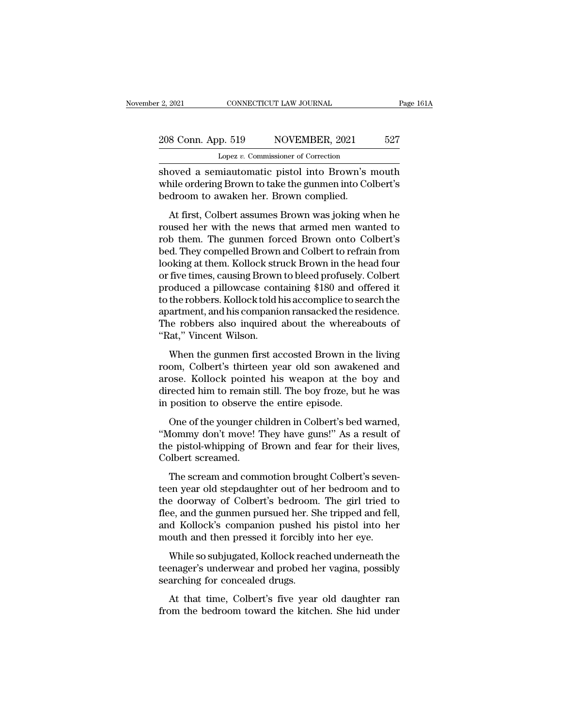# 2, 2021 CONNECTICUT LAW JOURNAL Page 161A<br>208 Conn. App. 519 NOVEMBER, 2021 527<br>Lopez v. Commissioner of Correction Lopez *v.* Commissioner of Correction

Show a semiautomatic pistol into Brown's mouth<br>and the shoved a semiautomatic pistol into Brown's mouth<br>while ordering Brown to take the gunmen into Colbert's<br>bedreem to avalian her. Prown complied 208 Conn. App. 519 NOVEMBER, 2021 527<br>
Lopez v. Commissioner of Correction<br>
shoved a semiautomatic pistol into Brown's mouth<br>
while ordering Brown to take the gunmen into Colbert's<br>
bedroom to awaken her. Brown complied. 208 Conn. App. 519 NOVEMBER, 2021<br>
Lopez v. Commissioner of Correction<br>
shoved a semiautomatic pistol into Brown's<br>
while ordering Brown to take the gunmen into Co<br>
bedroom to awaken her. Brown complied.<br>
At first, Colbert  $\frac{1}{27}$   $\frac{1}{27}$   $\frac{1}{27}$   $\frac{1}{27}$   $\frac{1}{27}$   $\frac{1}{27}$   $\frac{1}{27}$   $\frac{1}{27}$   $\frac{1}{27}$   $\frac{1}{27}$   $\frac{1}{27}$   $\frac{1}{27}$   $\frac{1}{27}$   $\frac{1}{27}$   $\frac{1}{27}$   $\frac{1}{27}$   $\frac{1}{27}$   $\frac{1}{27}$   $\frac{1}{27}$   $\frac{1}{27}$ 

Lopez v. Commissioner of Correction<br>
shoved a semiautomatic pistol into Brown's mouth<br>
while ordering Brown to take the gunmen into Colbert's<br>
bedroom to awaken her. Brown complied.<br>
At first, Colbert assumes Brown was jok shoved a semiautomatic pistol into Brown's mouth<br>while ordering Brown to take the gunmen into Colbert's<br>bedroom to awaken her. Brown complied.<br>At first, Colbert assumes Brown was joking when he<br>roused her with the news tha bedroom to awaken her. Brown complied.<br>
At first, Colbert assumes Brown was joking when he<br>
roused her with the news that armed men wanted to<br>
rob them. The gunmen forced Brown onto Colbert's<br>
bed. They compelled Brown and bedroom to awaken her. Brown complied.<br>
At first, Colbert assumes Brown was joking when he<br>
roused her with the news that armed men wanted to<br>
rob them. The gunmen forced Brown onto Colbert's<br>
bed. They compelled Brown and At first, Colbert assumes Brown was joking when he<br>roused her with the news that armed men wanted to<br>rob them. The gunmen forced Brown onto Colbert's<br>bed. They compelled Brown and Colbert to refrain from<br>looking at them. K At first, Colbert assumes Brown was joking when he<br>roused her with the news that armed men wanted to<br>rob them. The gunmen forced Brown onto Colbert's<br>bed. They compelled Brown and Colbert to refrain from<br>looking at them. K roused her with the news that armed men wanted to<br>rob them. The gunmen forced Brown onto Colbert's<br>bed. They compelled Brown and Colbert to refrain from<br>looking at them. Kollock struck Brown in the head four<br>or five times, rob them. The gunmen forced Brown onto Colbert's<br>bed. They compelled Brown and Colbert to refrain from<br>looking at them. Kollock struck Brown in the head four<br>or five times, causing Brown to bleed profusely. Colbert<br>produce bed. They compelled Brown and Colbert to refrain from<br>looking at them. Kollock struck Brown in the head four<br>or five times, causing Brown to bleed profusely. Colbert<br>produced a pillowcase containing \$180 and offered it<br>to looking at them. Kollock str<br>or five times, causing Brown<br>produced a pillowcase con<br>to the robbers. Kollock told h<br>apartment, and his companic<br>The robbers also inquired<br>"Rat," Vincent Wilson.<br>When the gunmen first ac The antics, causing 219 minds accompled profits 3,0 sizes of<br>oduced a pillowcase containing \$180 and offered it<br>the robbers. Kollock told his accomplice to search the<br>artment, and his companion ransacked the residence.<br>ne room, Colbert's thirteen years of the residence.<br>The robbers. Kollock told his accomplice to search the<br>apartment, and his companion ransacked the residence.<br>The robbers also inquired about the whereabouts of<br>"Rat," Vincen

apartment, and his companion ransacked the residence.<br>The robbers also inquired about the whereabouts of<br>"Rat," Vincent Wilson.<br>When the gunmen first accosted Brown in the living<br>room, Colbert's thirteen year old son awake directly, and the schip-directed directed directed on<br>The robbers also inquired about the whereabouts of<br>"Rat," Vincent Wilson.<br>When the gunmen first accosted Brown in the living<br>room, Colbert's thirteen year old son awake The Towords also inquired asset are writtend.<br>
"Rat," Vincent Wilson.<br>
When the gunmen first accosted Brown in the room, Colbert's thirteen year old son awaker<br>
arose. Kollock pointed his weapon at the b<br>
directed him to r When the gunmen first accosted Brown in the living<br>om, Colbert's thirteen year old son awakened and<br>ose. Kollock pointed his weapon at the boy and<br>rected him to remain still. The boy froze, but he was<br>position to observe t Then the galancer moves accessed 219 MH in the Trug<br>
room, Colbert's thirteen year old son awakened and<br>
arose. Kollock pointed his weapon at the boy and<br>
directed him to remain still. The boy froze, but he was<br>
in positio

From, collect and the basic and solid and and<br>arose. Kollock pointed his weapon at the boy and<br>directed him to remain still. The boy froze, but he was<br>in position to observe the entire episode.<br>One of the younger children directed him to remain<br>in position to observe t<br>One of the younger check<br>"Mommy don't move! The pistol-whipping of l<br>Colbert screamed.<br>The scream and comm position to observe the entire episode.<br>One of the younger children in Colbert's bed warned,<br>Iommy don't move! They have guns!" As a result of<br>e pistol-whipping of Brown and fear for their lives,<br>olbert scream and commotio One of the younger children in Colbert's bed warned,<br>
"Mommy don't move! They have guns!" As a result of<br>
the pistol-whipping of Brown and fear for their lives,<br>
Colbert screamed.<br>
The scream and commotion brought Colbert'

"Mommy don't move! They have guns!" As a result of<br>the pistol-whipping of Brown and fear for their lives,<br>Colbert screamed.<br>The scream and commotion brought Colbert's seven-<br>teen year old stepdaughter out of her bedroom an flee, and the gunder and commodiate and fear for their lives,<br>Colbert screamed.<br>The screamed.<br>The scream and commotion brought Colbert's seven-<br>teen year old stepdaughter out of her bedroom and to<br>the doorway of Colbert's The screamed.<br>
The screamed.<br>
The screamed.<br>
The screamed commotion brought Colbert's seven-<br>
teen year old stepdaughter out of her bedroom and to<br>
the doorway of Colbert's bedroom. The girl tried to<br>
flee, and the gunmen The scream and commotion brought Colbert's seven<br>teen year old stepdaughter out of her bedroom and to<br>the doorway of Colbert's bedroom. The girl tried to<br>flee, and the gunmen pursued her. She tripped and fell<br>and Kollock's The second and commoder stody. Conserve soven<br>en year old stepdaughter out of her bedroom and to<br>e, and the gunmen pursued her. She tripped and fell,<br>d Kollock's companion pushed his pistol into her<br>outh and then pressed i the doorway of Colbert's bedroom. The girl tried to<br>the doorway of Colbert's bedroom. The girl tried to<br>flee, and the gunmen pursued her. She tripped and fell,<br>and Kollock's companion pushed his pistol into her<br>mouth and t The about the gunmen pursued her. Solated the gunner pursued her. Solar and Kollock's companion pushed I mouth and then pressed it forcibly if While so subjugated, Kollock reach teenager's underwear and probed hesearching

At Kollock's companion pushed his pistol into her<br>pouth and then pressed it forcibly into her eye.<br>While so subjugated, Kollock reached underneath the<br>enager's underwear and probed her vagina, possibly<br>arching for conceale mouth and then pressed it forcibly into her eye.<br>While so subjugated, Kollock reached underneath the<br>teenager's underwear and probed her vagina, possibly<br>searching for concealed drugs.<br>At that time, Colbert's five year old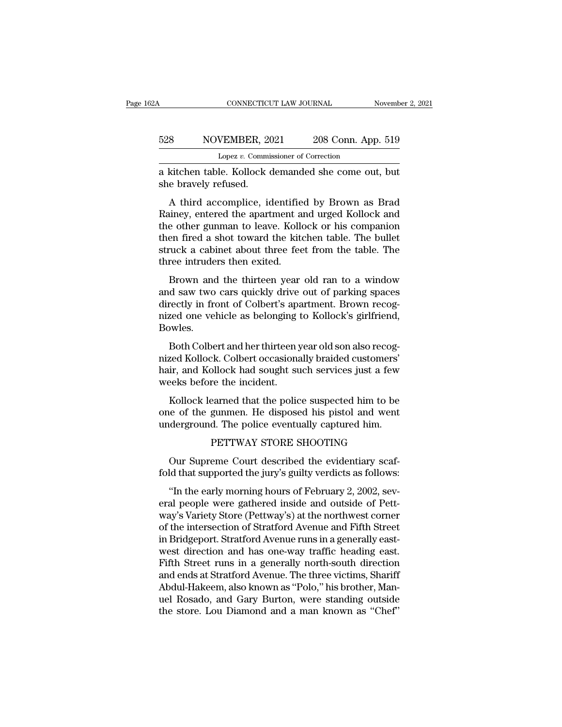#### CONNECTICUT LAW JOURNAL November 2, 2021<br>528 NOVEMBER, 2021 208 Conn. App. 519<br>Lopez v. Commissioner of Correction CONNECTICUT LAW JOURNAL November 2, 2021<br>
S28 NOVEMBER, 2021 208 Conn. App. 519<br>
Lopez *v.* Commissioner of Correction<br>
a kitchen table. Kollock demanded she come out, but CONNECTICUT LAW JOURNAL November 2, 202<br>
S28 NOVEMBER, 2021 208 Conn. App. 519<br>
Lopez v. Commissioner of Correction<br>
a kitchen table. Kollock demanded she come out, but<br>
she bravely refused. 528 NOVEMBER, 20<br>
Lopez v. Commi<br>
a kitchen table. Kollock of<br>
she bravely refused.<br>
A third accomplice, is

NOVEMBER, 2021 208 Conn. App. 519<br>
Lopez v. Commissioner of Correction<br>
kitchen table. Kollock demanded she come out, but<br>
e bravely refused.<br>
A third accomplice, identified by Brown as Brad<br>
uiney, entered the apartment a  $\frac{528}{\text{Lopez }v. \text{ Commissioner of Correction}}$ <br>
Lopez v. Commissioner of Correction<br>
a kitchen table. Kollock demanded she come out, but<br>
she bravely refused.<br>
A third accomplice, identified by Brown as Brad<br>
Rainey, entered the apartment an Lopez  $v$ . Commissioner of Correction<br>
a kitchen table. Kollock demanded she come out, but<br>
she bravely refused.<br>
A third accomplice, identified by Brown as Brad<br>
Rainey, entered the apartment and urged Kollock and<br>
the o a kitchen table. Kollock demanded she come out, but<br>she bravely refused.<br>A third accomplice, identified by Brown as Brad<br>Rainey, entered the apartment and urged Kollock and<br>the other gunman to leave. Kollock or his compani a kicket about struck a children about the back and Rainey, entered the apartment and urged Kollock and the other gunman to leave. Kollock or his companion then fired a shot toward the kitchen table. The bullet struck a ca A third accomplice, identifie<br>Rainey, entered the apartment as<br>the other gunman to leave. Kolld<br>then fired a shot toward the kite<br>struck a cabinet about three fee<br>three intruders then exited.<br>Brown and the thirteen year From and accomplice, including by Brown as Brad<br>tiney, entered the apartment and urged Kollock and<br>e other gunman to leave. Kollock or his companion<br>en fired a shot toward the kitchen table. The bullet<br>ruck a cabinet about reality, entered are apartment and urged Rohock and<br>the other gunman to leave. Kollock or his companion<br>then fired a shot toward the kitchen table. The bullet<br>struck a cabinet about three feet from the table. The<br>three int

directly in front of Cale is the kitchen table. The bullet<br>struck a cabinet about three feet from the table. The<br>three intruders then exited.<br>Brown and the thirteen year old ran to a window<br>and saw two cars quickly drive o nich med a shot loward the Khenen table. The bance<br>struck a cabinet about three feet from the table. The<br>three intruders then exited.<br>Brown and the thirteen year old ran to a window<br>and saw two cars quickly drive out of pa Bowles. Brown and the thirteen year old ran to a window<br>d saw two cars quickly drive out of parking spaces<br>rectly in front of Colbert's apartment. Brown recog-<br>zed one vehicle as belonging to Kollock's girlfriend,<br>wels.<br>Both Colbe nown and the timeen year old ran to a window<br>and saw two cars quickly drive out of parking spaces<br>directly in front of Colbert's apartment. Brown recog-<br>nized one vehicle as belonging to Kollock's girlfriend,<br>Bowles.<br>Both

directly in front of Colbert's apartment. Brown recognized one vehicle as belonging to Kollock's girlfriend,<br>Bowles.<br>Both Colbert and her thirteen year old son also recognized Kollock. Colbert occasionally braided customer meety in notice to concrete approvided one vehicle as belonging<br>Bowles.<br>Both Colbert and her thirteen y<br>nized Kollock. Colbert occasions<br>hair, and Kollock had sought su<br>weeks before the incident.<br>Kollock learned that the p by Nes.<br>Both Colbert and her thirteen year old son also recogred Kollock. Colbert occasionally braided customers'<br>ir, and Kollock had sought such services just a few<br>eeks before the incident.<br>Kollock learned that the polic Both Colbert and her thirteen year old son also recognized Kollock. Colbert occasionally braided customers'<br>hair, and Kollock had sought such services just a few<br>weeks before the incident.<br>Kollock learned that the police s Board Consert and Her timeter year old solid associates political Revised Kollock. Colbert occasionally braided customers'<br>hair, and Kollock had sought such services just a few<br>weeks before the incident.<br>Kollock learned th

bllock had sought such services just a few<br>re the incident.<br>earned that the police suspected him to be<br>gunmen. He disposed his pistol and went<br>d. The police eventually captured him.<br>PETTWAY STORE SHOOTING<br>eme Court describ Kollock learned that the police suspected him to be<br>e of the gunmen. He disposed his pistol and went<br>derground. The police eventually captured him.<br>PETTWAY STORE SHOOTING<br>Our Supreme Court described the evidentiary scaf-<br>l Kollock learned that the police suspected him to be<br>one of the gunmen. He disposed his pistol and went<br>underground. The police eventually captured him.<br>PETTWAY STORE SHOOTING<br>Our Supreme Court described the evidentiary sca

(derground. The police eventually captured him.<br>
PETTWAY STORE SHOOTING<br>
Our Supreme Court described the evidentiary scaf-<br>
Id that supported the jury's guilty verdicts as follows:<br>
"In the early morning hours of February eral people were gathered inside and outside the evidentiary scaffold that supported the jury's guilty verdicts as follows:<br>"In the early morning hours of February 2, 2002, several people were gathered inside and outside o PETTWAY STORE SHOOTING<br>Our Supreme Court described the evidentiary scaf-<br>fold that supported the jury's guilty verdicts as follows:<br>"In the early morning hours of February 2, 2002, sev-<br>eral people were gathered inside and Our Supreme Court described the evidentiary scaf-<br>fold that supported the jury's guilty verdicts as follows:<br>"In the early morning hours of February 2, 2002, sev-<br>eral people were gathered inside and outside of Pett-<br>way's our supperme court described are evalentiary sear<br>fold that supported the jury's guilty verdicts as follows:<br>"In the early morning hours of February 2, 2002, sev-<br>eral people were gathered inside and outside of Pett-<br>way's "In the early morning hours of February 2, 2002, several people were gathered inside and outside of Pettway's Variety Store (Pettway's) at the northwest corner of the intersection of Stratford Avenue and Fifth Street in Br "In the early morning hours of February 2, 2002, several people were gathered inside and outside of Pett-<br>way's Variety Store (Pettway's) at the northwest corner<br>of the intersection of Stratford Avenue and Fifth Street<br>in eral people were gathered inside and outside of Pettway's Variety Store (Pettway's) at the northwest corner of the intersection of Stratford Avenue and Fifth Street in Bridgeport. Stratford Avenue runs in a generally eastw way's Variety Store (Pettway's) at the northwest corner<br>of the intersection of Stratford Avenue and Fifth Street<br>in Bridgeport. Stratford Avenue runs in a generally east-<br>west direction and has one-way traffic heading east of the intersection of Stratford Avenue and Fifth Street<br>in Bridgeport. Stratford Avenue runs in a generally east-<br>west direction and has one-way traffic heading east.<br>Fifth Street runs in a generally north-south direction in Bridgeport. Stratford Avenue runs in a generally east-<br>west direction and has one-way traffic heading east.<br>Fifth Street runs in a generally north-south direction<br>and ends at Stratford Avenue. The three victims, Shariff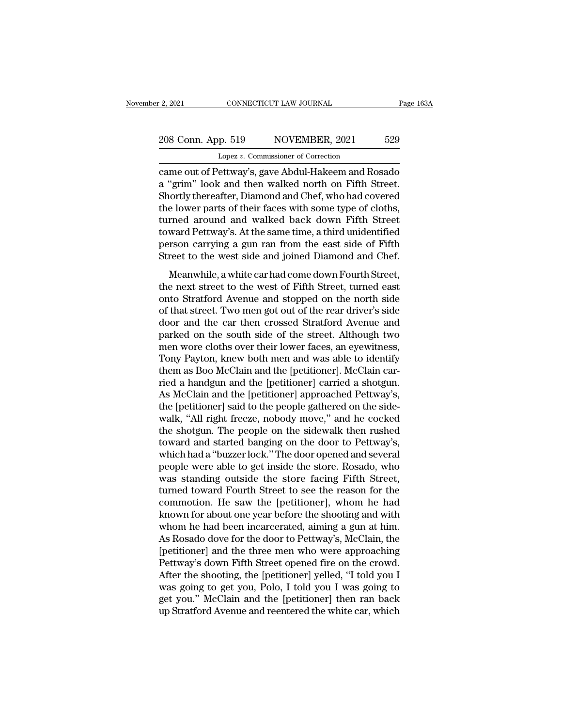# 2, 2021 CONNECTICUT LAW JOURNAL Page 163A<br>208 Conn. App. 519 NOVEMBER, 2021 529<br>Lopez v. Commissioner of Correction Lopez *v.* Commissioner of Correction

extra 2, 2021 CONNECTICUT LAW JOURNAL Page 163A<br>
208 Conn. App. 519 NOVEMBER, 2021 529<br>
Lopez v. Commissioner of Correction<br>
came out of Pettway's, gave Abdul-Hakeem and Rosado<br>
a "grim" look and then walked north on Fifth 208 Conn. App. 519 NOVEMBER, 2021 529<br>
Lopez v. Commissioner of Correction<br>
came out of Pettway's, gave Abdul-Hakeem and Rosado<br>
a "grim" look and then walked north on Fifth Street.<br>
Shortly thereafter, Diamond and Chef, w 208 Conn. App. 519 NOVEMBER, 2021 529<br>
Lopez v. Commissioner of Correction<br>
came out of Pettway's, gave Abdul-Hakeem and Rosado<br>
a "grim" look and then walked north on Fifth Street.<br>
Shortly thereafter, Diamond and Chef, w 208 Conn. App. 519 NOVEMBER, 2021 529<br>
Lopez v. Commissioner of Correction<br>
came out of Pettway's, gave Abdul-Hakeem and Rosado<br>
a "grim" look and then walked north on Fifth Street.<br>
Shortly thereafter, Diamond and Chef, Lopez v. Commissioner of Correction<br>
came out of Pettway's, gave Abdul-Hakeem and Rosado<br>
a "grim" look and then walked north on Fifth Street.<br>
Shortly thereafter, Diamond and Chef, who had covered<br>
the lower parts of thei Lopez v. Commissioner of Correction<br>
came out of Pettway's, gave Abdul-Hakeem and Rosado<br>
a "grim" look and then walked north on Fifth Street.<br>
Shortly thereafter, Diamond and Chef, who had covered<br>
the lower parts of thei came out of Pettway's, gave Abdul-Hakeem and Rosado<br>a "grim" look and then walked north on Fifth Street.<br>Shortly thereafter, Diamond and Chef, who had covered<br>the lower parts of their faces with some type of cloths,<br>turned a "grim" look and then walked north on Fifth Street.<br>Shortly thereafter, Diamond and Chef, who had covered<br>the lower parts of their faces with some type of cloths,<br>turned around and walked back down Fifth Street<br>toward Pet Example a which and only, who had covered<br>a lower parts of their faces with some type of cloths,<br>rned around and walked back down Fifth Street<br>ward Pettway's. At the same time, a third unidentified<br>rson carrying a gun ran turned around and walked back down Fifth Street<br>toward Pettway's. At the same time, a third unidentified<br>person carrying a gun ran from the east side of Fifth<br>Street to the west side and joined Diamond and Chef.<br>Meanwhile,

toward Pettway's. At the same time, a third unidentified<br>person carrying a gun ran from the east side of Fifth<br>Street to the west side and joined Diamond and Chef.<br>Meanwhile, a white car had come down Fourth Street,<br>the ne beward Feating s. The die static affice, a timed dimechantical<br>person carrying a gun ran from the east side of Fifth<br>Street to the west side and joined Diamond and Chef.<br>Meanwhile, a white car had come down Fourth Street,<br> Street to the west side and joined Diamond and Chef.<br>Meanwhile, a white car had come down Fourth Street,<br>the next street to the west of Fifth Street, turned east<br>onto Stratford Avenue and stopped on the north side<br>of that Meanwhile, a white car had come down Fourth Street,<br>the next street to the west of Fifth Street, turned east<br>onto Stratford Avenue and stopped on the north side<br>of that street. Two men got out of the rear driver's side<br>doo Meanwhile, a white car had come down Fourth Street,<br>the next street to the west of Fifth Street, turned east<br>onto Stratford Avenue and stopped on the north side<br>of that street. Two men got out of the rear driver's side<br>doo the next street to the west of Fifth Street, turned east<br>onto Stratford Avenue and stopped on the north side<br>of that street. Two men got out of the rear driver's side<br>door and the car then crossed Stratford Avenue and<br>park onto Stratford Avenue and stopped on the north side<br>of that street. Two men got out of the rear driver's side<br>door and the car-then crossed Stratford Avenue and<br>parked on the south side of the street. Although two<br>men wore of that street. Two men got out of the rear driver's side<br>door and the car then crossed Stratford Avenue and<br>parked on the south side of the street. Although two<br>men wore cloths over their lower faces, an eyewitness,<br>Tony door and the car then crossed Stratford Avenue and<br>parked on the south side of the street. Although two<br>men wore cloths over their lower faces, an eyewitness,<br>Tony Payton, knew both men and was able to identify<br>them as Boo parked on the south side of the street. Although two<br>men wore cloths over their lower faces, an eyewitness,<br>Tony Payton, knew both men and was able to identify<br>them as Boo McClain and the [petitioner] carried a shotgun.<br>As men wore cloths over their lower faces, an eyewitness,<br>Tony Payton, knew both men and was able to identify<br>them as Boo McClain and the [petitioner]. McClain car-<br>ried a handgun and the [petitioner] carried a shotgun.<br>As Mc Tony Payton, knew both men and was able to identify<br>them as Boo McClain and the [petitioner]. McClain car-<br>ried a handgun and the [petitioner] carried a shotgun.<br>As McClain and the [petitioner] approached Pettway's,<br>the [p them as Boo McClain and the [petitioner]. McClain carried a handgun and the [petitioner] carried a shotgun.<br>As McClain and the [petitioner] approached Pettway's,<br>the [petitioner] said to the people gathered on the side-<br>wa ried a handgun and the [petitioner] carried a shotgun.<br>As McClain and the [petitioner] approached Pettway's,<br>the [petitioner] said to the people gathered on the side-<br>walk, "All right freeze, nobody move," and he cocked<br>th As McClain and the [petitioner] approached Pettway's,<br>the [petitioner] said to the people gathered on the side-<br>walk, "All right freeze, nobody move," and he cocked<br>the shotgun. The people on the sidewalk then rushed<br>towar the [petitioner] said to the people gathered on the side-<br>walk, "All right freeze, nobody move," and he cocked<br>the shotgun. The people on the sidewalk then rushed<br>toward and started banging on the door to Pettway's,<br>which walk, "All right freeze, nobody move," and he cocked<br>the shotgun. The people on the sidewalk then rushed<br>toward and started banging on the door to Pettway's,<br>which had a "buzzer lock." The door opened and several<br>people we the shotgun. The people on the sidewalk then rushed<br>toward and started banging on the door to Pettway's,<br>which had a "buzzer lock." The door opened and several<br>people were able to get inside the store. Rosado, who<br>was stan toward and started banging on the door to Pettway's,<br>which had a "buzzer lock." The door opened and several<br>people were able to get inside the store. Rosado, who<br>was standing outside the store facing Fifth Street,<br>turned t which had a "buzzer lock." The door opened and several<br>people were able to get inside the store. Rosado, who<br>was standing outside the store facing Fifth Street,<br>turned toward Fourth Street to see the reason for the<br>commoti people were able to get inside the store. Rosado, who<br>was standing outside the store facing Fifth Street,<br>turned toward Fourth Street to see the reason for the<br>commotion. He saw the [petitioner], whom he had<br>known for abou was standing outside the store facing Fifth Street,<br>turned toward Fourth Street to see the reason for the<br>commotion. He saw the [petitioner], whom he had<br>known for about one year before the shooting and with<br>whom he had be turned toward Fourth Street to see the reason for the commotion. He saw the [petitioner], whom he had known for about one year before the shooting and with whom he had been incarcerated, aiming a gun at him. As Rosado dove commotion. He saw the [petitioner], whom he had<br>known for about one year before the shooting and with<br>whom he had been incarcerated, aiming a gun at him.<br>As Rosado dove for the door to Pettway's, McClain, the<br>[petitioner] known for about one year before the shooting and with<br>whom he had been incarcerated, aiming a gun at him.<br>As Rosado dove for the door to Pettway's, McClain, the<br>[petitioner] and the three men who were approaching<br>Pettway's whom he had been incarcerated, aiming a gun at him.<br>As Rosado dove for the door to Pettway's, McClain, the<br>[petitioner] and the three men who were approaching<br>Pettway's down Fifth Street opened fire on the crowd.<br>After the As Rosado dove for the door to Pettway's, McClain, the [petitioner] and the three men who were approaching Pettway's down Fifth Street opened fire on the crowd.<br>After the shooting, the [petitioner] yelled, "I told you I wa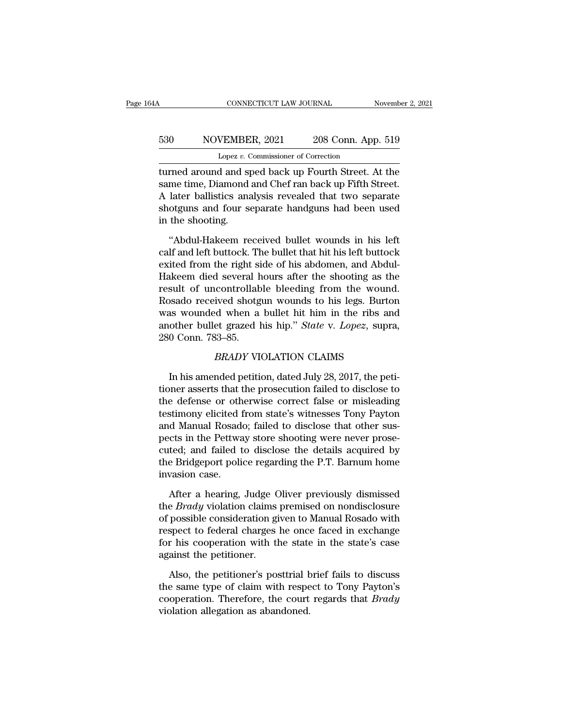# CONNECTICUT LAW JOURNAL November 2, 2021<br>530 NOVEMBER, 2021 208 Conn. App. 519<br>Lopez v. Commissioner of Correction CONNECTICUT LAW JOURNAL<br>VEMBER, 2021 208 Conn. App<br>Lopez *v.* Commissioner of Correction<br>d and sped back up Fourth Street A

CONNECTICUT LAW JOURNAL November 2, 2021<br>
S30 NOVEMBER, 2021 208 Conn. App. 519<br>
Lopez v. Commissioner of Correction<br>
turned around and sped back up Fourth Street. At the<br>
same time, Diamond and Chef ran back up Fifth Stre Same November, 2021 208 Conn. App. 519<br>
Lopez v. Commissioner of Correction<br>
turned around and sped back up Fourth Street. At the<br>
same time, Diamond and Chef ran back up Fifth Street.<br>
A later ballistics analysis revealed  $\frac{530}{\text{Lopez } v. \text{ Commissioner of Correction}}$ <br>Lopez v. Commissioner of Correction<br>turned around and sped back up Fourth Street. At the<br>same time, Diamond and Chef ran back up Fifth Street.<br>A later ballistics analysis revealed that two sep  $\begin{tabular}{l l l l} \hline & \multicolumn{1}{l}{{\bf 530}} & \multicolumn{1}{l}{{\bf 530}} & \multicolumn{1}{l}{{\bf 519}}\\ \hline & \multicolumn{1}{l}{{\bf 519}} & \multicolumn{1}{l}{{\bf 519}}\\ \hline & \multicolumn{1}{l}{{\bf 510}} & \multicolumn{1}{l}{{\bf 510}} & \multicolumn{1}{l}{{\bf 510}}\\ \hline & \multicolumn{1}{l}{{\bf 510}} & \multicolumn{1}{l}{{\bf 510}} & \multicolumn{1}{l}{{\bf$  $\begin{tabular}{l} \hline \textit{Lopez $v$}.\textit{C} \\ \hline \textit{turned around and s} \\ \textit{same time, Diamond} \\ \textit{A later ballistics and} \\ \textit{shotguns and four so} \\ \textit{in the shooting.} \\ \textit{``Abdul-Hakeem re} \end{tabular}$ read around and sped back up Fourth Street. At the<br>
me time, Diamond and Chef ran back up Fifth Street.<br>
later ballistics analysis revealed that two separate<br>
otguns and four separate handguns had been used<br>
the shooting.<br> same time, Diamond and Chef ran back up Fifth Street.<br>A later ballistics analysis revealed that two separate<br>shotguns and four separate handguns had been used<br>in the shooting.<br>"Abdul-Hakeem received bullet wounds in his le

A later ballistics analysis revealed that two separate<br>shotguns and four separate handguns had been used<br>in the shooting.<br>"Abdul-Hakeem received bullet wounds in his left<br>calf and left buttock. The bullet that hit his left shotguns and four separate handguns had been used<br>in the shooting.<br>"Abdul-Hakeem received bullet wounds in his left<br>calf and left buttock. The bullet that hit his left buttock<br>exited from the right side of his abdomen, and in the shooting.<br>
"Abdul-Hakeem received bullet wounds in his left<br>
calf and left buttock. The bullet that hit his left buttock<br>
exited from the right side of his abdomen, and Abdul-<br>
Hakeem died several hours after the sh "Abdul-Hakeem received bullet wounds in his left<br>calf and left buttock. The bullet that hit his left buttock<br>exited from the right side of his abdomen, and Abdul-<br>Hakeem died several hours after the shooting as the<br>result "Abdul-Hakeem received bullet wounds in his left<br>calf and left buttock. The bullet that hit his left buttock<br>exited from the right side of his abdomen, and Abdul-<br>Hakeem died several hours after the shooting as the<br>result calf and left buttock. The bullet that hit his left buttock<br>exited from the right side of his abdomen, and Abdul-<br>Hakeem died several hours after the shooting as the<br>result of uncontrollable bleeding from the wound.<br>Rosado exited from the right si<br>Hakeem died several h<br>result of uncontrollab<br>Rosado received shotg<br>was wounded when a<br>another bullet grazed l<br>280 Conn. 783–85.<br>*BRADY* VI recontrollable bleeding from the wound<br>ived shotgun wounds to his legs. Burto<br>d when a bullet hit him in the ribs an<br>et grazed his hip." *State* v. *Lopez*, supra<br>33–85.<br>*BRADY* VIOLATION CLAIMS<br>nded petition, dated July 2 Issado received shotgun wounds to his legs. Burton<br>In wounded when a bullet hit him in the ribs and<br>other bullet grazed his hip." *State v. Lopez*, supra,<br>0 Conn. 783–85.<br>*BRADY* VIOLATION CLAIMS<br>In his amended petition, d

was wounded when a buffer fit fift fift in the ribs and<br>another bullet grazed his hip." *State* v. *Lopez*, supra,<br>280 Conn. 783–85.<br>*BRADY* VIOLATION CLAIMS<br>In his amended petition, dated July 28, 2017, the peti-<br>tioner a another builet grazed his hip. *State v. Lopez*, supra,<br>280 Conn. 783–85.<br>*BRADY* VIOLATION CLAIMS<br>In his amended petition, dated July 28, 2017, the peti-<br>tioner asserts that the prosecution failed to disclose to<br>the defen ERADY VIOLATION CLAIMS<br>
In his amended petition, dated July 28, 2017, the petitioner asserts that the prosecution failed to disclose to<br>
the defense or otherwise correct false or misleading<br>
testimony elicited from state's BRADY VIOLATION CLAIMS<br>In his amended petition, dated July 28, 2017, the peti-<br>tioner asserts that the prosecution failed to disclose to<br>the defense or otherwise correct false or misleading<br>testimony elicited from state's In his amended petition, dated July 28, 2017, the petitioner asserts that the prosecution failed to disclose to the defense or otherwise correct false or misleading testimony elicited from state's witnesses Tony Payton and In his amended petition, dated July 28, 2017, the petitioner asserts that the prosecution failed to disclose to the defense or otherwise correct false or misleading testimony elicited from state's witnesses Tony Payton and tioner asserts that the prosecution failed to disclose to<br>the defense or otherwise correct false or misleading<br>testimony elicited from state's witnesses Tony Payton<br>and Manual Rosado; failed to disclose that other sus-<br>pec the defense or oth<br>testimony elicited f<br>and Manual Rosade<br>pects in the Pettwa<br>cuted; and failed t<br>the Bridgeport polie<br>invasion case.<br>After a hearing, d Manual Rosado; failed to disclose that other sus-<br>cts in the Pettway store shooting were never prose-<br>ted; and failed to disclose the details acquired by<br>e Bridgeport police regarding the P.T. Barnum home<br>vasion case.<br>Af pects in the Pettway store shooting were never prose-<br>cuted; and failed to disclose the details acquired by<br>the Bridgeport police regarding the P.T. Barnum home<br>invasion case.<br>After a hearing, Judge Oliver previously dismi

cuted; and failed to disclose the details acquired by<br>the Bridgeport police regarding the P.T. Barnum home<br>invasion case.<br>After a hearing, Judge Oliver previously dismissed<br>the *Brady* violation claims premised on nondiscl the Bridgeport police regarding the P.T. Barnum home<br>invasion case.<br>After a hearing, Judge Oliver previously dismissed<br>the *Brady* violation claims premised on nondisclosure<br>of possible consideration given to Manual Rosado invasion case.<br>
After a hearing, Judge Oliver previously dismissed<br>
the *Brady* violation claims premised on nondisclosure<br>
of possible consideration given to Manual Rosado with<br>
respect to federal charges he once faced in After a hearing, Judge C<br>the *Brady* violation claims<br>of possible consideration gi<br>respect to federal charges<br>for his cooperation with tl<br>against the petitioner.<br>Also, the petitioner's pos Example Brady violation claims premised on nondisclosure<br>possible consideration given to Manual Rosado with<br>spect to federal charges he once faced in exchange<br>r his cooperation with the state in the state's case<br>ainst the of possible consideration given to Manual Rosado with<br>respect to federal charges he once faced in exchange<br>for his cooperation with the state in the state's case<br>against the petitioner.<br>Also, the petitioner's posttrial bri

respect to federal charges he once faced in exchange<br>for his cooperation with the state in the state's case<br>against the petitioner.<br>Also, the petitioner's posttrial brief fails to discuss<br>the same type of claim with respec for his cooperation with the state<br>against the petitioner.<br>Also, the petitioner's posttrial t<br>the same type of claim with respe<br>cooperation. Therefore, the court<br>violation allegation as abandoned.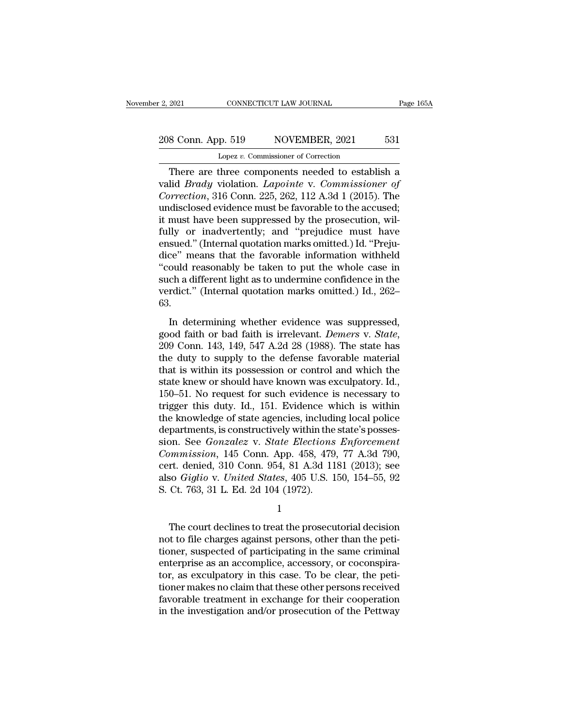# 2, 2021 CONNECTICUT LAW JOURNAL Page 165A<br>208 Conn. App. 519 NOVEMBER, 2021 531<br>Lopez v. Commissioner of Correction Lopez *v.* Commissioner of Correction

EXECTE 2021 CONNECTICUT LAW JOURNAL Page 165A<br>
8 Conn. App. 519 NOVEMBER, 2021 531<br>
Lopez v. Commissioner of Correction<br>
There are three components needed to establish a<br>
lid *Brady* violation. *Lapointe* v. *Commissioner* valid *Brady* violation. *Lapointe* v. *Commissioner of* <sup>208</sup> Conn. App. 519 NOVEMBER, 2021 531<br>
<sup>Lopez v. Commissioner of Correction<br>
There are three components needed to establish a<br>
valid *Brady* violation. *Lapointe* v. *Commissioner of*<br> *Correction*, 316 Conn. 225, 262, 1</sup> 208 Conn. App. 519 NOVEMBER, 2021 531<br>
Lopez v. Commissioner of Correction<br>
There are three components needed to establish a<br>
valid *Brady* violation. *Lapointe* v. *Commissioner of*<br>
Correction, 316 Conn. 225, 262, 112 A Lopez v. Commissioner of Correction<br>There are three components needed to establish a<br>valid *Brady* violation. *Lapointe* v. *Commissioner of*<br>*Correction*, 316 Conn. 225, 262, 112 A.3d 1 (2015). The<br>undisclosed evidence m Lopez v. Commissioner of Correction<br>
There are three components needed to establish a<br>
valid *Brady* violation. *Lapointe* v. *Commissioner of*<br> *Correction*, 316 Conn. 225, 262, 112 A.3d 1 (2015). The<br>
undisclosed eviden There are three components needed to establish a<br>valid *Brady* violation. *Lapointe* v. *Commissioner of*<br>*Correction*, 316 Conn. 225, 262, 112 A.3d 1 (2015). The<br>undisclosed evidence must be favorable to the accused;<br>it m valid *Brady* violation. *Lapointe* v. *Commissioner of*<br> *Correction*, 316 Conn. 225, 262, 112 A.3d 1 (2015). The<br>
undisclosed evidence must be favorable to the accused;<br>
it must have been suppressed by the prosecution, w Correction, 316 Conn. 225, 262, 112 A.3d 1 (2015). The<br>
undisclosed evidence must be favorable to the accused;<br>
it must have been suppressed by the prosecution, wil-<br>
fully or inadvertently; and "prejudice must have<br>
ensu undisclosed evidence must be favorable to the accused;<br>it must have been suppressed by the prosecution, wil-<br>fully or inadvertently; and "prejudice must have<br>ensued." (Internal quotation marks omitted.) Id. "Preju-<br>dice" m it must have been suppressed by the prosecution, wilfully or inadvertently; and "prejudice must have ensued." (Internal quotation marks omitted.) Id. "Prejudice" means that the favorable information withheld "could reasona 63. Exaction (internal quotation marks onlined; *j* i.e. 11.ga<br>ce" means that the favorable information withheld<br>ould reasonably be taken to put the whole case in<br>ch a different light as to undermine confidence in the<br>rdict."

good faith or bad faith is included who be case in<br>such a different light as to undermine confidence in the<br>verdict." (Internal quotation marks omitted.) Id., 262–<br>63.<br>In determining whether evidence was suppressed,<br>good f be during the during the definite of the defendence in the verdict." (Internal quotation marks omitted.) Id., 262–63.<br>
In determining whether evidence was suppressed, good faith or bad faith is irrelevant. *Demers v. Stat* for the initial distribution matrix of the intervalsed in the state,<br>good faith or bad faith is irrelevant. *Demers v. State*,<br>209 Conn. 143, 149, 547 A.2d 28 (1988). The state has<br>the duty to supply to the defense favora In determining whether evidence was suppressed, good faith or bad faith is irrelevant. *Demers* v. *State*, 209 Conn. 143, 149, 547 A.2d 28 (1988). The state has the duty to supply to the defense favorable material that i In determining whether evidence was suppressed,<br>good faith or bad faith is irrelevant. *Demers* v. *State*,<br>209 Conn. 143, 149, 547 A.2d 28 (1988). The state has<br>the duty to supply to the defense favorable material<br>that is good faith or bad faith is irrelevant. *Demers* v. *State*, 209 Conn. 143, 149, 547 A.2d 28 (1988). The state has the duty to supply to the defense favorable material that is within its possession or control and which the 209 Conn. 143, 149, 547 A.2d 28 (1988). The state has<br>the duty to supply to the defense favorable material<br>that is within its possession or control and which the<br>state knew or should have known was exculpatory. Id.,<br>150–5 the duty to supply to the defense favorable material<br>that is within its possession or control and which the<br>state knew or should have known was exculpatory. Id.,<br>150–51. No request for such evidence is necessary to<br>trigge that is within its possession or control and which the<br>state knew or should have known was exculpatory. Id.,<br>150–51. No request for such evidence is necessary to<br>trigger this duty. Id., 151. Evidence which is within<br>the kn state knew or should have known was exculpatory. Id., 150–51. No request for such evidence is necessary to trigger this duty. Id., 151. Evidence which is within the knowledge of state agencies, including local police depar 150–51. No request for such evidence is necessary to<br>trigger this duty. Id., 151. Evidence which is within<br>the knowledge of state agencies, including local police<br>departments, is constructively within the state's posses-<br> trigger this duty. Id., 151. Evidence which is within<br>the knowledge of state agencies, including local police<br>departments, is constructively within the state's posses-<br>sion. See *Gonzalez* v. *State Elections Enforcement*<br> the knowledge of state agencies, includi<br>departments, is constructively within the<br>sion. See *Gonzalez* v. *State Elections*<br>*Commission*, 145 Conn. App. 458, 479<br>cert. denied, 310 Conn. 954, 81 A.3d 11<br>also *Giglio* v. *U* mmission, 145 Conn. App. 458, 479, 77 A.3d 790,<br>
rt. denied, 310 Conn. 954, 81 A.3d 1181 (2013); see<br>
so *Giglio v. United States*, 405 U.S. 150, 154–55, 92<br>
Ct. 763, 31 L. Ed. 2d 104 (1972).<br>
1<br>
The court declines to tre

1

cert. denied, 310 Conn. 954, 81 A.3d 1181 (2013); see<br>also *Giglio v. United States*, 405 U.S. 150, 154–55, 92<br>S. Ct. 763, 31 L. Ed. 2d 104 (1972).<br>1<br>The court declines to treat the prosecutorial decision<br>not to file charg also *Giglio v. United States*, 405 U.S. 150, 154–55, 92<br>
S. Ct. 763, 31 L. Ed. 2d 104 (1972).<br>
<sup>1</sup><br>
The court declines to treat the prosecutorial decision<br>
not to file charges against persons, other than the peti-<br>
tioner enterprise as an accomplice, accessory, or coconspiration are decision and to file charges against persons, other than the petitioner, suspected of participating in the same criminal enterprise as an accomplice, accessory, 1<br>The court declines to treat the prosecutorial decision<br>not to file charges against persons, other than the peti-<br>tioner, suspected of participating in the same criminal<br>enterprise as an accomplice, accessory, or coconspi The court declines to treat the prosecutorial decision<br>not to file charges against persons, other than the peti-<br>tioner, suspected of participating in the same criminal<br>enterprise as an accomplice, accessory, or coconspira The court declines to treat the prosecutorial decision<br>not to file charges against persons, other than the peti-<br>tioner, suspected of participating in the same criminal<br>enterprise as an accomplice, accessory, or coconspira not to file charges against persons, other than the petitioner, suspected of participating in the same criminal enterprise as an accomplice, accessory, or coconspirator, as exculpatory in this case. To be clear, the petiti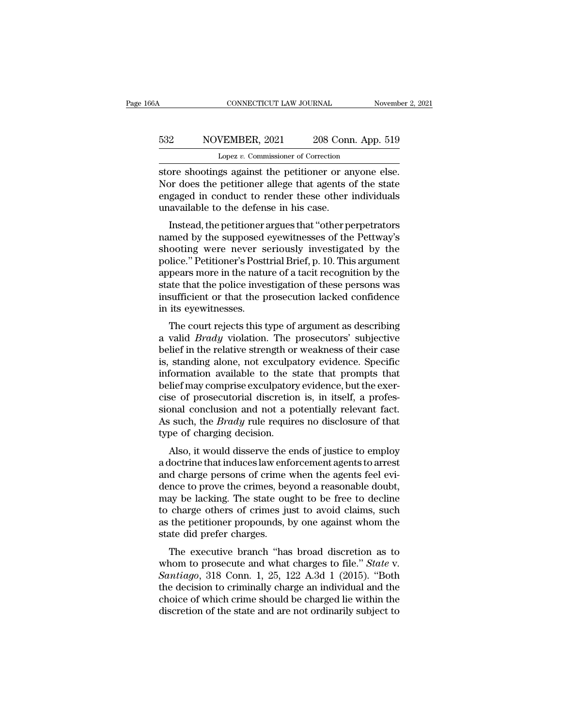# CONNECTICUT LAW JOURNAL November 2, 2021<br>532 NOVEMBER, 2021 208 Conn. App. 519<br>Lopez v. Commissioner of Correction CONNECTICUT LAW JOURNAL<br>VEMBER, 2021 208 Conn. App<br>Lopez *v.* Commissioner of Correction<br>gs. against. the netitioner or anyone

CONNECTICUT LAW JOURNAL November 2, 2<br>
Store shootings against the petitioner or anyone else.<br>
Nor does the petitioner allege that agents of the state<br>
or anyone else. NOVEMBER, 2021 208 Conn. App. 519<br>
Lopez v. Commissioner of Correction<br>
store shootings against the petitioner or anyone else.<br>
Nor does the petitioner allege that agents of the state<br>
engaged in conduct to render these ot Equal to render the petitioner of Correction<br>
Equals to render the petitioner of Correction<br>
Store shootings against the petitioner or anyone else.<br>
Nor does the petitioner allege that agents of the state<br>
engaged in cond 532 NOVEMBER, 2021 208 Conn<br>
Lopez v. Commissioner of Correction<br>
store shootings against the petitioner or an<br>
Nor does the petitioner allege that agents c<br>
engaged in conduct to render these other<br>
unavailable to the de Lopez  $v$ . Commissioner of Correction<br>Dre shootings against the petitioner or anyone else.<br>
Dre does the petitioner allege that agents of the state<br>
gaged in conduct to render these other individuals<br>
available to the def store shootings against the petitioner or anyone else.<br>Nor does the petitioner allege that agents of the state<br>engaged in conduct to render these other individuals<br>unavailable to the defense in his case.<br>Instead, the petit

shore shootings against the pethroner or anyone else.<br>Nor does the petitioner allege that agents of the state<br>engaged in conduct to render these other individuals<br>unavailable to the defense in his case.<br>Instead, the petiti policial brief, p. 10. This argument appears and the state engaged in conduct to render these other individuals unavailable to the defense in his case.<br>
Instead, the petitioner argues that "other perpetrators named by the engaged in conduct to render these other individuals<br>unavailable to the defense in his case.<br>Instead, the petitioner argues that "other perpetrators<br>named by the supposed eyewitnesses of the Pettway's<br>shooting were never s Instead, the petitioner argues that "other perpetrators<br>named by the supposed eyewitnesses of the Pettway's<br>shooting were never seriously investigated by the<br>police." Petitioner's Posttrial Brief, p. 10. This argument<br>appe Instead, the petitioner argues that "other perpetrators<br>named by the supposed eyewitnesses of the Pettway's<br>shooting were never seriously investigated by the<br>police." Petitioner's Posttrial Brief, p. 10. This argument<br>appe named by the supposed<br>shooting were never s<br>police." Petitioner's Post<br>appears more in the natu<br>state that the police inver<br>insufficient or that the p<br>in its eyewitnesses.<br>The court rejects this t booting were never seriously investigated by the<br>lice." Petitioner's Posttrial Brief, p. 10. This argument<br>pears more in the nature of a tacit recognition by the<br>atte that the police investigation of these persons was<br>suff ponce. Tetraoner sTostrial Drier, p. 10. This argument<br>appears more in the nature of a tacit recognition by the<br>state that the police investigation of these persons was<br>insufficient or that the prosecution lacked confidenc

appears note in the nature of a tach recognition by the<br>state that the police investigation of these persons was<br>insufficient or that the prosecution lacked confidence<br>in its eyewitnesses.<br>The court rejects this type of ar state that the police investigation of these persons was<br>insufficient or that the prosecution lacked confidence<br>in its eyewitnesses.<br>The court rejects this type of argument as describing<br>a valid *Brady* violation. The pros in its eyewitnesses.<br>
The court rejects this type of argument as describing<br>
a valid *Brady* violation. The prosecutors' subjective<br>
belief in the relative strength or weakness of their case<br>
is, standing alone, not excul It is eyewidenesses.<br>The court rejects this type of argument as describing<br>a valid *Brady* violation. The prosecutors' subjective<br>belief in the relative strength or weakness of their case<br>is, standing alone, not exculpator The court rejects this type of argument as describing<br>a valid *Brady* violation. The prosecutors' subjective<br>belief in the relative strength or weakness of their case<br>is, standing alone, not exculpatory evidence. Specific a valid *Brady* violation. The prosecutors' subjective<br>belief in the relative strength or weakness of their case<br>is, standing alone, not exculpatory evidence. Specific<br>information available to the state that prompts that<br>b belief in the relative strength or weakness of their case<br>is, standing alone, not exculpatory evidence. Specific<br>information available to the state that prompts that<br>belief may comprise exculpatory evidence, but the exer-<br> is, standing alone, not exculpa<br>information available to the s<br>belief may comprise exculpator;<br>cise of prosecutorial discretion<br>sional conclusion and not a p<br>As such, the *Brady* rule require<br>type of charging decision.<br>Als Mormation available to the state that prompts that<br>lief may comprise exculpatory evidence, but the exer-<br>se of prosecutorial discretion is, in itself, a profes-<br>bnal conclusion and not a potentially relevant fact.<br>such, th benefinally comprise excupatory evidence, but the exer-<br>cise of prosecutorial discretion is, in itself, a profes-<br>sional conclusion and not a potentially relevant fact.<br>As such, the *Brady* rule requires no disclosure of t

Ease of prosecuorial discretion is, in itself, a professional conclusion and not a potentially relevant fact.<br>As such, the *Brady* rule requires no disclosure of that<br>type of charging decision.<br>Also, it would disserve the Sional conclusion and not a potentially relevant ract.<br>As such, the *Brady* rule requires no disclosure of that<br>type of charging decision.<br>Also, it would disserve the ends of justice to employ<br>a doctrine that induces law e may fue requires no disclosure of that<br>type of charging decision.<br>Also, it would disserve the ends of justice to employ<br>a doctrine that induces law enforcement agents to arrest<br>and charge persons of crime when the agents f type of charging decision.<br>Also, it would disserve the ends of justice to employ<br>a doctrine that induces law enforcement agents to arrest<br>and charge persons of crime when the agents feel evi-<br>dence to prove the crimes, bey Also, it would disserve the ends of justice to employ<br>a doctrine that induces law enforcement agents to arrest<br>and charge persons of crime when the agents feel evi-<br>dence to prove the crimes, beyond a reasonable doubt,<br>may a doctrine that induces law enforcement agents to arrest<br>and charge persons of crime when the agents feel evi-<br>dence to prove the crimes, beyond a reasonable doubt,<br>may be lacking. The state ought to be free to decline<br>to The executive branch ''has broad discretion as to approximate of provecular charge others of crimes just to avoid claims, such the petitioner propounds, by one against whom the atte did prefer charges.<br>The executive branc whom to prove the crimes, beyond a reasonable doubt,<br>may be lacking. The state ought to be free to decline<br>to charge others of crimes just to avoid claims, such<br>as the petitioner propounds, by one against whom the<br>state di

*Santiago*, 318 Conn. 1, 25, 122 A.3d 1 (2015). "Both the decision to criminally charge an individual and the choice of which crime should be charged its within the choice of which crime should be charged lie within the ch the decision of the state and what charged lie within the discretion of the state did prefer charges.<br>The executive branch "has broad discretion as to whom to prosecute and what charges to file." *State v.*<br>Santiago, 318 C as the pethology propounds, by one against whom the<br>state did prefer charges.<br>The executive branch "has broad discretion as to<br>whom to prosecute and what charges to file." *State* v.<br>*Santiago*, 318 Conn. 1, 25, 122 A.3d 1 whom to prosecute and what charges to file." *State* v. *Santiago*, 318 Conn. 1, 25, 122 A.3d 1 (2015). "Both the decision to criminally charge an individual and the choice of which crime should be charged lie within the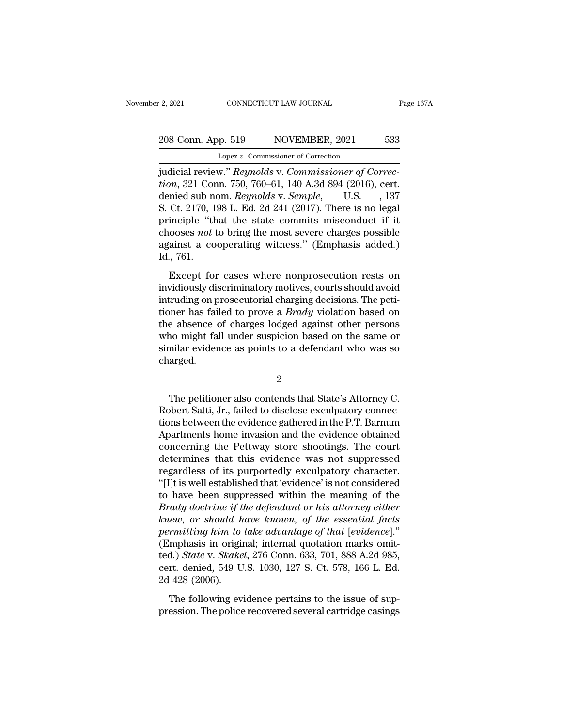# 2021 CONNECTICUT LAW JOURNAL Page 167A<br>208 Conn. App. 519 NOVEMBER, 2021 533<br>Lopez v. Commissioner of Correction Lopez *v.* Commissioner of Correction

Ferry 2021 CONNECTICUT LAW JOURNAL<br>
208 Conn. App. 519 NOVEMBER, 2021 533<br>
Lopez v. Commissioner of Correction<br>
judicial review.'' *Reynolds* v. *Commissioner of Correc-*<br> *Reynolds* v. *Commissioner of Correction*, 321 Co **208 Conn. App. 519 NOVEMBER, 2021** 533<br> *Lopez v. Commissioner of Correction*<br> *judicial review." Reynolds v. Commissioner of Correction*, 321 Conn. 750, 760–61, 140 A.3d 894 (2016), cert.<br> *denied sub nom. Reynolds v.* 208 Conn. App. 519 NOVEMBER, 2021 533<br>
Lopez v. Commissioner of Correction<br>
judicial review." *Reynolds* v. *Commissioner of Correction*, 321 Conn. 750, 760–61, 140 A.3d 894 (2016), cert.<br>
denied sub nom. *Reynolds* v. *Se* 208 Conn. App. 519 NOVEMBER, 2021 533<br>
Lopez v. Commissioner of Correction<br>
judicial review." Reynolds v. Commissioner of Correction, 321 Conn. 750, 760–61, 140 A.3d 894 (2016), cert.<br>
denied sub nom. Reynolds v. Semple, U Lopez v. Commissioner of Correction<br>
judicial review." Reynolds v. Commissioner of Correction, 321 Conn. 750, 760–61, 140 A.3d 894 (2016), cert.<br>
denied sub nom. Reynolds v. Semple, U.S. , 137<br>
S. Ct. 2170, 198 L. Ed. 2d Lopez *v.* Commissioner of Correction<br>judicial review." Reynolds v. Commissioner of Correc-<br>tion, 321 Conn. 750, 760–61, 140 A.3d 894 (2016), cert.<br>denied sub nom. Reynolds v. Semple, U.S., 137<br>S. Ct. 2170, 198 L. Ed. 2d 2 judicial review." *Reynolds* v. *Commissioner of Correction*, 321 Conn. 750, 760–61, 140 A.3d 894 (2016), cert.<br>denied sub nom. *Reynolds* v. *Semple*, U.S. , 137<br>S. Ct. 2170, 198 L. Ed. 2d 241 (2017). There is no legal<br>pr *tion*, 321 Cor<br>denied sub no<br>S. Ct. 2170, 1<br>principle "th<br>chooses *not* 1<br>against a co<br>Id., 761.<br>Except for Ct. 2170, 198 L. Ed. 2d 241 (2017). There is no legal<br>inciple "that the state commits misconduct if it<br>ooses *not* to bring the most severe charges possible<br>ainst a cooperating witness." (Emphasis added.)<br>., 761.<br>Except f principle "that the state commits misconduct if it<br>chooses *not* to bring the most severe charges possible<br>against a cooperating witness." (Emphasis added.)<br>Id., 761.<br>Except for cases where nonprosecution rests on<br>invidio

more that the state states independent in the<br>chooses not to bring the most severe charges possible<br>against a cooperating witness." (Emphasis added.)<br>Id., 761.<br>Except for cases where nonprosecution rests on<br>invidiously dis the state of state of state of the state of the state and added.)<br>Id., 761.<br>Except for cases where nonprosecution rests on<br>invidiously discriminatory motives, courts should avoid<br>intruding on prosecutorial charging decisio Id., 761.<br>
Except for cases where nonprosecution rests on<br>
invidiously discriminatory motives, courts should avoid<br>
intruding on prosecutorial charging decisions. The peti-<br>
tioner has failed to prove a *Brady* violation Except for cases where nonprosecution rests on<br>invidiously discriminatory motives, courts should avoid<br>intruding on prosecutorial charging decisions. The peti-<br>tioner has failed to prove a *Brady* violation based on<br>the ab Except for cases where nonprosecution rests on<br>invidiously discriminatory motives, courts should avoid<br>intruding on prosecutorial charging decisions. The peti-<br>tioner has failed to prove a *Brady* violation based on<br>the ab charged. e absence of charges lodged against other persons<br>no might fall under suspicion based on the same or<br>milar evidence as points to a defendant who was so<br>arged.<br> $2$ <br>The petitioner also contends that State's Attorney C.<br>obert

2

who might fall under suspicion based on the same or<br>similar evidence as points to a defendant who was so<br>charged.<br> $2$ <br>The petitioner also contends that State's Attorney C.<br>Robert Satti, Jr., failed to disclose exculpatory similar evidence as points to a defendant who was so<br>charged.<br>
<sup>2</sup><br>
The petitioner also contends that State's Attorney C.<br>
Robert Satti, Jr., failed to disclose exculpatory connec-<br>
tions between the evidence gathered in t 2<br>
The petitioner also contends that State's Attorney C.<br>
Robert Satti, Jr., failed to disclose exculpatory connec-<br>
tions between the evidence gathered in the P.T. Barnum<br>
Apartments home invasion and the evidence obtaine <sup>2</sup><br>The petitioner also contends that State's Attorney C.<br>Robert Satti, Jr., failed to disclose exculpatory connec-<br>tions between the evidence gathered in the P.T. Barnum<br>Apartments home invasion and the evidence obtained<br> The petitioner also contends that State's Attorney C.<br>Robert Satti, Jr., failed to disclose exculpatory connections between the evidence gathered in the P.T. Barnum<br>Apartments home invasion and the evidence obtained<br>concer The petitioner also contends that State's Attorney C.<br>Robert Satti, Jr., failed to disclose exculpatory connections between the evidence gathered in the P.T. Barnum<br>Apartments home invasion and the evidence obtained<br>concer Robert Satti, Jr., failed to disclose exculpatory connections between the evidence gathered in the P.T. Barnum<br>Apartments home invasion and the evidence obtained<br>concerning the Pettway store shootings. The court<br>determines tions between the evidence gathered in the P.T. Barnum<br>Apartments home invasion and the evidence obtained<br>concerning the Pettway store shootings. The court<br>determines that this evidence was not suppressed<br>regardless of its Apartments home invasion and the evidence obtained<br>concerning the Pettway store shootings. The court<br>determines that this evidence was not suppressed<br>regardless of its purportedly exculpatory character.<br>"[I]t is well estab concerning the Pettway store shootings. The court<br>determines that this evidence was not suppressed<br>regardless of its purportedly exculpatory character.<br>"[I]t is well established that 'evidence' is not considered<br>to have be determines that this evidence was not suppressed<br>regardless of its purportedly exculpatory character.<br>"[I]t is well established that 'evidence' is not considered<br>to have been suppressed within the meaning of the<br>*Brady doc* regardless of its purportedly exculpatory character.<br>
"[I]t is well established that 'evidence' is not considered<br>
to have been suppressed within the meaning of the<br> *Brady doctrine if the defendant or his attorney either* "[I]t is well established that 'evidence' is not considered<br>to have been suppressed within the meaning of the<br>*Brady doctrine if the defendant or his attorney either*<br>*knew, or should have known, of the essential facts*<br>*p* to have been suppressed within the meaning of the *Brady doctrine if the defendant or his attorney either knew*, or *should have known*, of the essential facts permitting him to take advantage of that [evidence]." (Emph Brady doctrine if the<br>knew, or should h<br>permitting him to<br>(Emphasis in origin<br>ted.) State v. Skake<br>cert. denied, 549 U<br>2d 428 (2006).<br>The following evi mitting him to take advantage of that [evidence]."<br>mphasis in original; internal quotation marks omit-<br>d.) *State* v. *Skakel*, 276 Conn. 633, 701, 888 A.2d 985,<br>rt. denied, 549 U.S. 1030, 127 S. Ct. 578, 166 L. Ed.<br>428 ( (Emphasis in original; internal quotation marks omitted.) *State* v. *Skakel*, 276 Conn. 633, 701, 888 A.2d 985, cert. denied, 549 U.S. 1030, 127 S. Ct. 578, 166 L. Ed. 2d 428 (2006).<br>The following evidence pertains to the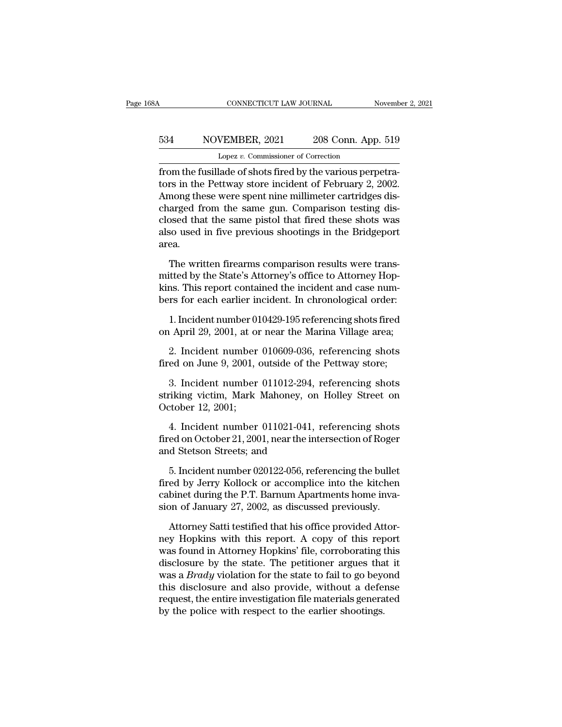# CONNECTICUT LAW JOURNAL November 2, 2021<br>534 NOVEMBER, 2021 208 Conn. App. 519<br>Lopez v. Commissioner of Correction CONNECTICUT LAW JOURNAL<br>VEMBER, 2021 208 Conn. App<br>Lopez *v.* Commissioner of Correction<br>Lade of shots fired by the various per

FROM CONNECTICUT LAW JOURNAL Movember of Salesman MOVEMBER, 2021 208 Conn. App. 519<br>Lopez v. Commissioner of Correction<br>from the fusillade of shots fired by the various perpetra-<br>tors in the Pettway store incident of Febru tors in the Pettway store incident of February 2, 2002.<br>
Among these were spent nine millimeter cartridges discharged from the same sum. Comparison to this charged from the same sum. Comparison to this disclared from the s  $\frac{534}{\text{Lopez v. Commissioner of Correction}}$ <br>Lopez v. Commissioner of Correction<br>from the fusillade of shots fired by the various perpetra-<br>tors in the Pettway store incident of February 2, 2002.<br>Among these were spent nine millimeter cartri 534 NOVEMBER,  $2021$   $208$  Conn. App. 519<br>
Lopez v. Commissioner of Correction<br>
from the fusillade of shots fired by the various perpetra-<br>
tors in the Pettway store incident of February 2, 2002.<br>
Among these were spent n Lopez v. Commissioner of Correction<br>from the fusillade of shots fired by the various perpetra-<br>tors in the Pettway store incident of February 2, 2002.<br>Among these were spent nine millimeter cartridges dis-<br>charged from the Lopez v. Commissioner of Correction<br>from the fusillade of shots fired by the various perpetra-<br>tors in the Pettway store incident of February 2, 2002.<br>Among these were spent nine millimeter cartridges dis-<br>charged from the area. The written firearms comparison results were trans-<br>nong these were spent nine millimeter cartridges dis-<br>osed that the same pistol that fired these shots was<br>so used in five previous shootings in the Bridgeport<br>ea.<br>The wr charged from the same gun. Comparison testing disclosed that the same pistol that fired these shots was<br>also used in five previous shootings in the Bridgeport<br>area.<br>The written firearms comparison results were trans-<br>mitte

closed that the same pistol that fired these shots was<br>also used in five previous shootings in the Bridgeport<br>area.<br>The written firearms comparison results were trans-<br>mitted by the State's Attorney's office to Attorney Ho also used in five previous shootings in the Bridgeport<br>area.<br>The written firearms comparison results were trans-<br>mitted by the State's Attorney's office to Attorney Hop-<br>kins. This report contained the incident and case nu ea.<br>The written firearms comparison results were trans-<br>itted by the State's Attorney's office to Attorney Hop-<br>ns. This report contained the incident and case num-<br>rs for each earlier incident. In chronological order:<br>1. The written firearms comparison results were transmitted by the State's Attorney's office to Attorney Hopkins. This report contained the incident and case numbers for each earlier incident. In chronological order:<br>1. Incid Itted by the State's Attorney's office to Attorney Hop-<br>ns. This report contained the incident and case num-<br>rs for each earlier incident. In chronological order:<br>1. Incident number 010429-195 referencing shots fired<br>1. Ap

kins. This report contained the incident and case numbers for each earlier incident. In chronological order:<br>1. Incident number 010429-195 referencing shots fired<br>on April 29, 2001, at or near the Marina Village area;<br>2. I

1. Incident number 010429-195 referencing shots fired<br>
1 April 29, 2001, at or near the Marina Village area;<br>
2. Incident number 010609-036, referencing shots<br>
ed on June 9, 2001, outside of the Pettway store;<br>
3. Incident 1. Incluent number 010429-195 referencing shots fired<br>on April 29, 2001, at or near the Marina Village area;<br>2. Incident number 010609-036, referencing shots<br>fired on June 9, 2001, outside of the Pettway store;<br>3. Incident on April 29, 2001, at of<br>2. Incident number<br>fired on June 9, 2001,<br>3. Incident number<br>striking victim, Mark<br>October 12, 2001;<br>4. Incident number 2. Incluent number 010009-030, referencing shots<br>ed on June 9, 2001, outside of the Pettway store;<br>3. Incident number 011012-294, referencing shots<br>riking victim, Mark Mahoney, on Holley Street on<br>tober 12, 2001;<br>4. Incide fired on June 9, 2001, outside or the Pettway store;<br>3. Incident number 011012-294, referencing shots<br>striking victim, Mark Mahoney, on Holley Street on<br>October 12, 2001;<br>4. Incident number 011021-041, referencing shots<br>fi 3. Incident number 011012-294,<br>striking victim, Mark Mahoney, on<br>October 12, 2001;<br>4. Incident number 011021-041,<br>fired on October 21, 2001, near the int<br>and Stetson Streets; and<br>5. Incident number 020122-056, ref

TRING VICIM, MATK Manoney, on Holley Street on<br>tober 12, 2001;<br>4. Incident number 011021-041, referencing shots<br>ed on October 21, 2001, near the intersection of Roger<br>d Stetson Streets; and<br>5. Incident number 020122-056, r

October 12, 2001;<br>
4. Incident number 011021-041, referencing shots<br>
fired on October 21, 2001, near the intersection of Roger<br>
and Stetson Streets; and<br>
5. Incident number 020122-056, referencing the bullet<br>
fired by Jerr 4. Incident number 011021-041, referencing shots<br>fired on October 21, 2001, near the intersection of Roger<br>and Stetson Streets; and<br>5. Incident number 020122-056, referencing the bullet<br>fired by Jerry Kollock or accomplice fired on October 21, 2001, near the intersection of Roger<br>and Stetson Streets; and<br>5. Incident number 020122-056, referencing the bullet<br>fired by Jerry Kollock or accomplice into the kitchen<br>cabinet during the P.T. Barnum Attackson Streets; and<br>
5. Incident number 020122-056, referencing the bullet<br>
ed by Jerry Kollock or accomplice into the kitchen<br>
binet during the P.T. Barnum Apartments home inva-<br>
on of January 27, 2002, as discussed pr 5. Incident number 020122-056, referencing the bullet<br>fired by Jerry Kollock or accomplice into the kitchen<br>cabinet during the P.T. Barnum Apartments home inva-<br>sion of January 27, 2002, as discussed previously.<br>Attorney S

fired by Jerry Kollock or accomplice into the kitchen<br>cabinet during the P.T. Barnum Apartments home inva-<br>sion of January 27, 2002, as discussed previously.<br>Attorney Satti testified that his office provided Attor-<br>ney Hop cabinet during the P.T. Barnum Apartments home invasion of January 27, 2002, as discussed previously.<br>Attorney Satti testified that his office provided Attorney Hopkins with this report. A copy of this report was found in sion of January 27, 2002, as discussed previously.<br>Attorney Satti testified that his office provided Attor-<br>ney Hopkins with this report. A copy of this report<br>was found in Attorney Hopkins' file, corroborating this<br>disclo Attorney Satti testified that his office provided Attor-<br>ney Hopkins with this report. A copy of this report<br>was found in Attorney Hopkins' file, corroborating this<br>disclosure by the state. The petitioner argues that it<br>wa Attorney Satti testified that his office provided Attorney Hopkins with this report. A copy of this report was found in Attorney Hopkins' file, corroborating this disclosure by the state. The petitioner argues that it was ney Hopkins with this report. A copy of this reporas found in Attorney Hopkins' file, corroborating the disclosure by the state. The petitioner argues tha was a *Brady* violation for the state to fail to go bey this disclo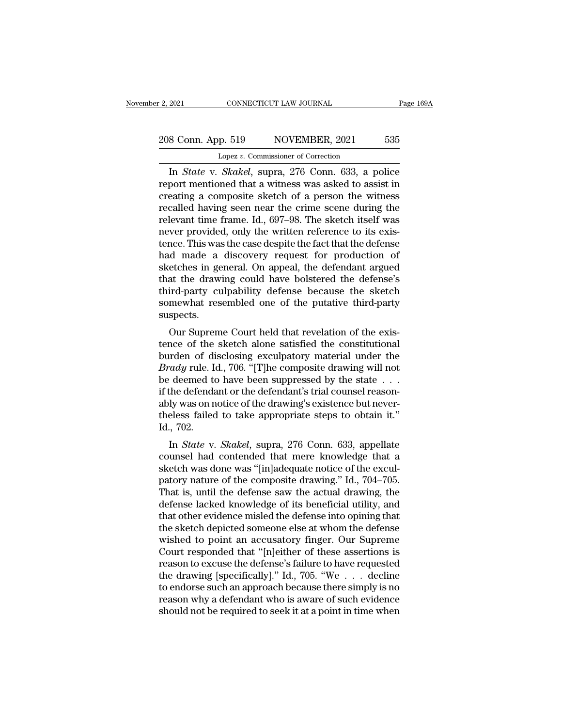# 2, 2021 CONNECTICUT LAW JOURNAL Page 169A<br>208 Conn. App. 519 NOVEMBER, 2021 535<br>Lopez v. Commissioner of Correction Lopez *v.* Commissioner of Correction

EXECUTE 2021 CONNECTICUT LAW JOURNAL Page 169A<br>
8 Conn. App. 519 NOVEMBER, 2021 535<br>
Lopez v. Commissioner of Correction<br>
In *State* v. *Skakel*, supra, 276 Conn. 633, a police<br>
port mentioned that a witness was asked to a 208 Conn. App. 519 NOVEMBER, 2021 535<br>
Lopez v. Commissioner of Correction<br>
In *State* v. *Skakel*, supra, 276 Conn. 633, a police<br>
report mentioned that a witness was asked to assist in<br>
creating a composite sketch of a 208 Conn. App. 519 NOVEMBER, 2021 535<br>
Lopez v. Commissioner of Correction<br>
In *State* v. *Skakel*, supra, 276 Conn. 633, a police<br>
report mentioned that a witness was asked to assist in<br>
creating a composite sketch of a 208 Conn. App. 519 NOVEMBER, 2021 535<br>
Lopez v. Commissioner of Correction<br>
In *State* v. *Skakel*, supra, 276 Conn. 633, a police<br>
report mentioned that a witness was asked to assist in<br>
creating a composite sketch of a Lopez v. Commissioner of Correction<br>In *State* v. *Skakel*, supra, 276 Conn. 633, a police<br>report mentioned that a witness was asked to assist in<br>creating a composite sketch of a person the witness<br>recalled having seen nea Lopez v. Commissioner of Correction<br>In *State* v. *Skakel*, supra, 276 Conn. 633, a police<br>report mentioned that a witness was asked to assist in<br>creating a composite sketch of a person the witness<br>recalled having seen ne In *State* v. *Skakel*, supra, 276 Conn. 633, a police<br>report mentioned that a witness was asked to assist in<br>creating a composite sketch of a person the witness<br>recalled having seen near the crime scene during the<br>relevan report mentioned that a witness was asked to assist in<br>creating a composite sketch of a person the witness<br>recalled having seen near the crime scene during the<br>relevant time frame. Id., 697–98. The sketch itself was<br>never creating a composite sketch of a person the witness<br>recalled having seen near the crime scene during the<br>relevant time frame. Id., 697–98. The sketch itself was<br>never provided, only the written reference to its exis-<br>tence recalled having seen near the crime scene during the<br>relevant time frame. Id., 697–98. The sketch itself was<br>never provided, only the written reference to its exis-<br>tence. This was the case despite the fact that the defens relevant time frame. Id., 697–98. The sketch itself was<br>never provided, only the written reference to its exis-<br>tence. This was the case despite the fact that the defense<br>had made a discovery request for production of<br>sket never provided, only the written reference to its existence. This was the case despite the fact that the defense had made a discovery request for production of sketches in general. On appeal, the defendant argued that the suspects. In that the a unscovery request for production of<br>etches in general. On appeal, the defendant argued<br>at the drawing could have bolstered the defense's<br>ird-party culpability defense because the sketch<br>mewhat resembled one o sketches in general. On appeal, the defendant argued<br>that the drawing could have bolstered the defense's<br>third-party culpability defense because the sketch<br>somewhat resembled one of the putative third-party<br>suspects.<br>Our S

third-party culpability defense because the sketch<br>somewhat resembled one of the putative third-party<br>suspects.<br>Our Supreme Court held that revelation of the exis-<br>tence of the sketch alone satisfied the constitutional<br>bur Find-party cupability defense because the sketch<br>
somewhat resembled one of the putative third-party<br>
suspects.<br>
Our Supreme Court held that revelation of the exis-<br>
tence of the sketch alone satisfied the constitutional<br> somewhat resembed one of the pluative third-party<br>suspects.<br>Our Supreme Court held that revelation of the exis-<br>tence of the sketch alone satisfied the constitutional<br>burden of disclosing exculpatory material under the<br>*Br* Suspects.<br>
Our Supreme Court held that revelation of the exis-<br>
tence of the sketch alone satisfied the constitutional<br>
burden of disclosing exculpatory material under the<br> *Brady* rule. Id., 706. "[T]he composite drawing Our Supreme Court held that revelation of the existence of the sketch alone satisfied the constitutional burden of disclosing exculpatory material under the *Brady* rule. Id., 706. "[T]he composite drawing will not be dee tence of the sketch alone satisfied the constitutional<br>burden of disclosing exculpatory material under the<br> $Brady$  rule. Id., 706. "[T]he composite drawing will not<br>be deemed to have been suppressed by the state  $\dots$ <br>if the burden of di<br>Brady rule. I<sub>d</sub><br>be deemed to<br>if the defenda<br>ably was on n<br>theless failed<br>Id., 702.<br>In *State* v. In *State* v. *Skakel*, supra, 276 Conn. 633, appellate unsel have done was determined to take appropriate steps to obtain it."<br>The *State* v. *Skakel*, supra, 276 Conn. 633, appellate unsel had contended that mere knowled be deemed to have been suppressed by the state  $\ldots$ <br>if the defendant or the defendant's trial counsel reason-<br>ably was on notice of the drawing's existence but never-<br>theless failed to take appropriate steps to obtain it

is that course reason-<br>ably was on notice of the drawing's existence but never-<br>theless failed to take appropriate steps to obtain it."<br>Id., 702.<br>In *State* v. *Skakel*, supra, 276 Conn. 633, appellate<br>counsel had contende ably was off holde of the chawing s existence but hever-<br>theless failed to take appropriate steps to obtain it."<br>Id., 702.<br>In *State* v. *Skakel*, supra, 276 Conn. 633, appellate<br>counsel had contended that mere knowledge t Id., 702.<br>In *State* v. *Skakel*, supra, 276 Conn. 633, appellate<br>counsel had contended that mere knowledge that a<br>sketch was done was "[in]adequate notice of the excul-<br>patory nature of the composite drawing." Id., 704–70 In *State v. Skakel*, supra, 276 Conn. 633, appellate<br>counsel had contended that mere knowledge that a<br>sketch was done was "[in]adequate notice of the excul-<br>patory nature of the composite drawing." Id., 704–705.<br>That is, In *State* v. *Skakel*, supra, 276 Conn. 633, appellate counsel had contended that mere knowledge that a sketch was done was "[in]adequate notice of the exculpatory nature of the composite drawing." Id., 704–705. That is, counsel had contended that mere knowledge that a<br>sketch was done was "[in]adequate notice of the excul-<br>patory nature of the composite drawing." Id., 704–705.<br>That is, until the defense saw the actual drawing, the<br>defense sketch was done was "[in]adequate notice of the excul-<br>patory nature of the composite drawing." Id., 704–705.<br>That is, until the defense saw the actual drawing, the<br>defense lacked knowledge of its beneficial utility, and<br>t patory nature of the composite drawing." Id., 704–705.<br>That is, until the defense saw the actual drawing, the<br>defense lacked knowledge of its beneficial utility, and<br>that other evidence misled the defense into opining that That is, until the defense saw the actual drawing, the<br>defense lacked knowledge of its beneficial utility, and<br>that other evidence misled the defense into opining that<br>the sketch depicted someone else at whom the defense<br>w defense lacked knowledge of its beneficial utility, and<br>that other evidence misled the defense into opining that<br>the sketch depicted someone else at whom the defense<br>wished to point an accusatory finger. Our Supreme<br>Court that other evidence misled the defense into opining that<br>the sketch depicted someone else at whom the defense<br>wished to point an accusatory finger. Our Supreme<br>Court responded that "[n]either of these assertions is<br>reason the sketch depicted someone else at whom the defense<br>wished to point an accusatory finger. Our Supreme<br>Court responded that "[n]either of these assertions is<br>reason to excuse the defense's failure to have requested<br>the dra wished to point an accusatory finger. Our Supreme<br>Court responded that "[n]either of these assertions is<br>reason to excuse the defense's failure to have requested<br>the drawing [specifically]." Id., 705. "We  $\dots$  decline<br>to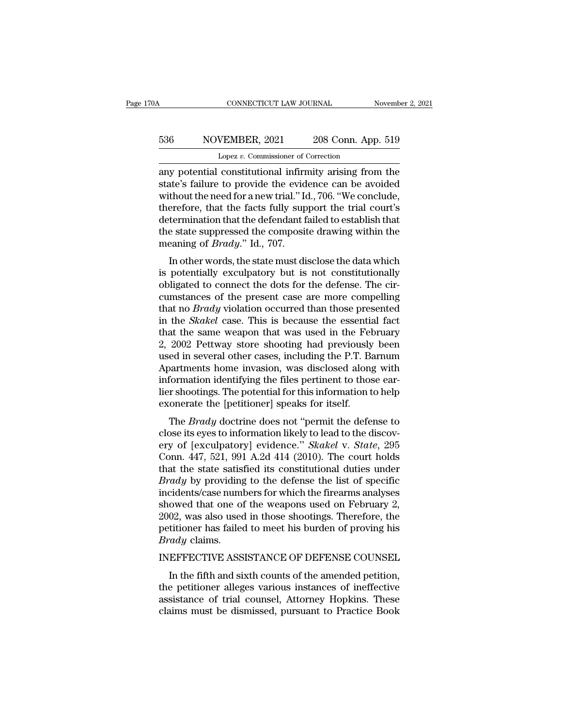# CONNECTICUT LAW JOURNAL November 2, 2021<br>536 NOVEMBER, 2021 208 Conn. App. 519<br>Lopez v. Commissioner of Correction CONNECTICUT LAW JOURNAL<br>VEMBER, 2021 208 Conn. App<br>Lopez *v.* Commissioner of Correction<br>Constitutional infirmity arising from

CONNECTICUT LAW JOURNAL November 2, 2021<br>
S36 NOVEMBER, 2021 208 Conn. App. 519<br>
Lopez v. Commissioner of Correction<br>
any potential constitutional infirmity arising from the<br>
state's failure to provide the evidence can be state Movember, 2021 208 Conn. App. 519<br>
Lopez v. Commissioner of Correction<br>
any potential constitutional infirmity arising from the<br>
state's failure to provide the evidence can be avoided<br>
without the need for a new tria 536 NOVEMBER, 2021 208 Conn. App. 519<br>
Lopez v. Commissioner of Correction<br>
any potential constitutional infirmity arising from the<br>
state's failure to provide the evidence can be avoided<br>
without the need for a new trial 536 NOVEMBER, 2021 208 Conn. App. 519<br>
Lopez v. Commissioner of Correction<br>
any potential constitutional infirmity arising from the<br>
state's failure to provide the evidence can be avoided<br>
without the need for a new trial Lopez v. Commissioner of Correction<br>any potential constitutional infirmity arising from the<br>state's failure to provide the evidence can be avoided<br>without the need for a new trial." Id., 706. "We conclude,<br>therefore, that Lopez  $v$ . Commissioner of Correction<br>any potential constitutional infirmity arising from the<br>state's failure to provide the evidence can be avoided<br>without the need for a new trial." Id., 706. "We conclude,<br>therefore, th any potential constitutional infirm<br>state's failure to provide the evid<br>without the need for a new trial." Id<br>therefore, that the facts fully sup<br>determination that the defendant f<br>the state suppressed the composit<br>meaning In other words, the state must disclose the data which potential," Id., 706. "We conclude, erefore, that the facts fully support the trial court's termination that the defendant failed to establish that e state suppressed whilout the heed for a flew that. Tu., 700. We conclude,<br>therefore, that the facts fully support the trial court's<br>determination that the defendant failed to establish that<br>the state suppressed the composite drawing within

determination that the defendant failed to establish that<br>the state suppressed the composite drawing within the<br>meaning of *Brady*." Id., 707.<br>In other words, the state must disclose the data which<br>is potentially exculpato determination that the detendant raned to establish that<br>the state suppressed the composite drawing within the<br>meaning of *Brady*." Id., 707.<br>In other words, the state must disclose the data which<br>is potentially exculpator the state suppressed the composite thawing within the<br>meaning of *Brady*." Id., 707.<br>In other words, the state must disclose the data which<br>is potentially exculpatory but is not constitutionally<br>obligated to connect the do In other words, the state must disclose the data which<br>is potentially exculpatory but is not constitutionally<br>obligated to connect the dots for the defense. The cir-<br>cumstances of the present case are more compelling<br>that In other words, the state must disclose the data which<br>is potentially exculpatory but is not constitutionally<br>obligated to connect the dots for the defense. The cir-<br>cumstances of the present case are more compelling<br>that is potentially exculpatory but is not constitutionally<br>obligated to connect the dots for the defense. The cir-<br>cumstances of the present case are more compelling<br>that no *Brady* violation occurred than those presented<br>in t obligated to connect the dots for the defense. The circumstances of the present case are more compelling<br>that no *Brady* violation occurred than those presented<br>in the *Skakel* case. This is because the essential fact<br>that cumstances of the present case are more compelling<br>that no *Brady* violation occurred than those presented<br>in the *Skakel* case. This is because the essential fact<br>that the same weapon that was used in the February<br>2, 2002 that no *Brady* violation occurred than those presented<br>in the *Skakel* case. This is because the essential fact<br>that the same weapon that was used in the February<br>2, 2002 Pettway store shooting had previously been<br>used in in the *Skakel* case. This is because the essential fact<br>that the same weapon that was used in the February<br>2, 2002 Pettway store shooting had previously been<br>used in several other cases, including the P.T. Barnum<br>Apartmen that the same weapon that was used in the Fe<br>2, 2002 Pettway store shooting had previously<br>used in several other cases, including the P.T. Ba<br>Apartments home invasion, was disclosed along<br>information identifying the files 2002 Tettway store shooting had previously been<br>ed in several other cases, including the P.T. Barnum<br>partments home invasion, was disclosed along with<br>formation identifying the files pertinent to those ear-<br>r shootings. Th Apartments home invasion, was disclosed along with<br>information identifying the files pertinent to those ear-<br>lier shootings. The potential for this information to help<br>exonerate the [petitioner] speaks for itself.<br>The *Br* 

Expariments notice invasion, was disclosed along with<br>information identifying the files pertinent to those ear-<br>lier shootings. The potential for this information to help<br>exonerate the [petitioner] speaks for itself.<br>The miorination dentifying the mes pertinent to those earlier shootings. The potential for this information to help<br>exonerate the [petitioner] speaks for itself.<br>The *Brady* doctrine does not "permit the defense to<br>close its e the shootings. The potential for this information to help<br>exonerate the [petitioner] speaks for itself.<br>The *Brady* doctrine does not "permit the defense to<br>close its eyes to information likely to lead to the discov-<br>ery o **Exonerate the [permoner] speaks for itsen.**<br> **Brady doctrine does not "permit the defense to**<br>
close its eyes to information likely to lead to the discov-<br>
ery of [exculpatory] evidence." *Skakel* v. *State*, 295<br>
Conn. 4 The *Brady* doctrine does not "permit the defense to<br>close its eyes to information likely to lead to the discov-<br>ery of [exculpatory] evidence." *Skakel* v. *State*, 295<br>Conn. 447, 521, 991 A.2d 414 (2010). The court hold close its eyes to information likely to lead to the discovery of [exculpatory] evidence." *Skakel* v. *State*, 295 Conn. 447, 521, 991 A.2d 414 (2010). The court holds that the state satisfied its constitutional duties und ery of [exculpatory] evidence." *Skakel* v. *State*, 295<br>Conn. 447, 521, 991 A.2d 414 (2010). The court holds<br>that the state satisfied its constitutional duties under<br>*Brady* by providing to the defense the list of specifi Conn. 447, 521, 991 A.2d 414 (2010). The court holds<br>that the state satisfied its constitutional duties under<br>*Brady* by providing to the defense the list of specific<br>incidents/case numbers for which the firearms analyses<br> *Brady* claims. *Bruay* by providing to the defense the list of specific incidents/case numbers for which the firearms analyses showed that one of the weapons used on February 2, 2002, was also used in those shootings. Therefore, the peti owed that one of the weapons used on February 2,<br>02, was also used in those shootings. Therefore, the<br>titioner has failed to meet his burden of proving his<br> $\frac{xdy}{dx}$  claims.<br>EFFECTIVE ASSISTANCE OF DEFENSE COUNSEL<br>In the

2002, was also used in those shootings. Therefore, the<br>petitioner has failed to meet his burden of proving his<br>*Brady* claims.<br>INEFFECTIVE ASSISTANCE OF DEFENSE COUNSEL<br>In the fifth and sixth counts of the amended petition petitioner has failed to meet his burden of proving his *Brady* claims.<br>INEFFECTIVE ASSISTANCE OF DEFENSE COUNSEL<br>In the fifth and sixth counts of the amended petition,<br>the petitioner alleges various instances of ineffecti Brady claims.<br>INEFFECTIVE ASSISTANCE OF DEFENSE COUNSEL<br>In the fifth and sixth counts of the amended petition,<br>the petitioner alleges various instances of ineffective<br>assistance of trial counsel, Attorney Hopkins. These<br>cl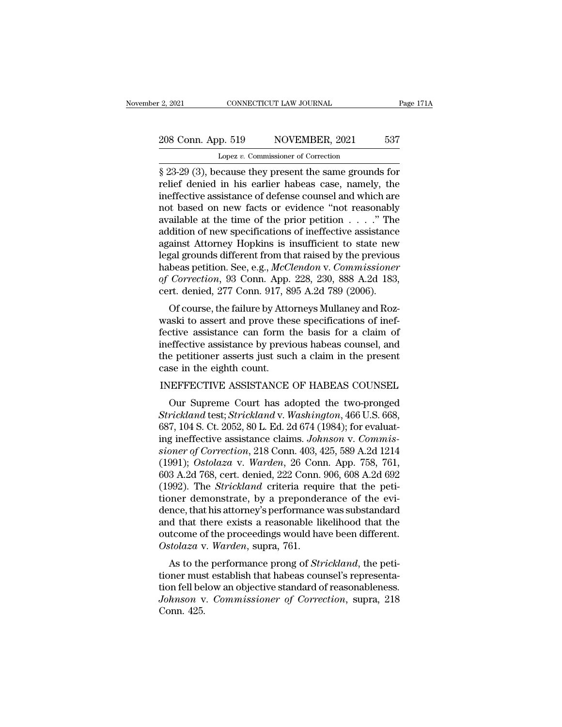# 2, 2021 CONNECTICUT LAW JOURNAL Page 171A<br>208 Conn. App. 519 NOVEMBER, 2021 537<br>Lopez v. Commissioner of Correction Lopez *v.* Commissioner of Correction

<sup>2</sup> 2021 CONNECTICUT LAW JOURNAL Page 171A<br>
208 Conn. App. 519 NOVEMBER, 2021 537<br>
Lopez v. Commissioner of Correction<br>
§ 23-29 (3), because they present the same grounds for<br>
relief denied in his earlier habeas case, name 208 Conn. App. 519 NOVEMBER, 2021 537<br>
Lopez v. Commissioner of Correction<br>
§ 23-29 (3), because they present the same grounds for<br>
relief denied in his earlier habeas case, namely, the<br>
ineffective assistance of defense c 208 Conn. App. 519 NOVEMBER, 2021 537<br>
Lopez v. Commissioner of Correction<br>
§ 23-29 (3), because they present the same grounds for<br>
relief denied in his earlier habeas case, namely, the<br>
ineffective assistance of defense 208 Conn. App. 519 NOVEMBER, 2021 537<br>
Lopez v. Commissioner of Correction<br>
§ 23-29 (3), because they present the same grounds for<br>
relief denied in his earlier habeas case, namely, the<br>
ineffective assistance of defense Lopez v. Commissioner of Correction<br>
§ 23-29 (3), because they present the same grounds for<br>
relief denied in his earlier habeas case, namely, the<br>
ineffective assistance of defense counsel and which are<br>
not based on new Lopez v. Commissioner of Correction<br>
§ 23-29 (3), because they present the same grounds for<br>
relief denied in his earlier habeas case, namely, the<br>
ineffective assistance of defense counsel and which are<br>
not based on new § 23-29 (3), because they present the same grounds for<br>relief denied in his earlier habeas case, namely, the<br>ineffective assistance of defense counsel and which are<br>not based on new facts or evidence "not reasonably<br>avail relief denied in his earlier habeas case, namely, the<br>ineffective assistance of defense counsel and which are<br>not based on new facts or evidence "not reasonably<br>available at the time of the prior petition  $\dots$ ." The<br>addit ineffective assistance of defense counsel and which are<br>not based on new facts or evidence "not reasonably<br>available at the time of the prior petition . . . ." The<br>addition of new specifications of ineffective assistance<br>a not based on new facts or evidence "not reasonably<br>available at the time of the prior petition . . . ." The<br>addition of new specifications of ineffective assistance<br>against Attorney Hopkins is insufficient to state new<br>leg available at the time of the prior petition  $\ldots$  ." The addition of new specifications of ineffective assistance against Attorney Hopkins is insufficient to state new legal grounds different from that raised by the previ different from that raised by the previous<br>ainst Attorney Hopkins is insufficient to state new<br>gal grounds different from that raised by the previous<br>beas petition. See, e.g., *McClendon v. Commissioner*<br>*Correction*, 93 C against Attoriey Hopkins is insufficient to state flew<br>legal grounds different from that raised by the previous<br>habeas petition. See, e.g., *McClendon v. Commissioner*<br>of *Correction*, 93 Conn. App. 228, 230, 888 A.2d 183,

regal grounds different from that raised by the previous<br>habeas petition. See, e.g., *McClendon v. Commissioner*<br>of *Correction*, 93 Conn. 917, 895 A.2d 789 (2006).<br>Of course, the failure by Attorneys Mullaney and Roz-<br>was rabeas petition. See, e.g., *McClemaon* v. Commissioner<br>of Correction, 93 Conn. App. 228, 230, 888 A.2d 183,<br>cert. denied, 277 Conn. 917, 895 A.2d 789 (2006).<br>Of course, the failure by Attorneys Mullaney and Roz-<br>waski to by Correction, 35 Coluli. App. 228, 230, 888 A.2d 183, cert. denied, 277 Conn. 917, 895 A.2d 789 (2006).<br>Of course, the failure by Attorneys Mullaney and Roz-<br>waski to assert and prove these specifications of inef-<br>fectiv cent. denied, 277 Conn. 917, 6<br>Of course, the failure by Atto<br>waski to assert and prove the<br>fective assistance can form t<br>ineffective assistance by previ<br>the petitioner asserts just suc<br>case in the eighth count.<br>INEFFECTIV Of Course, the rande by Attorneys Munariey and Roz-<br>waski to assert and prove these specifications of inef-<br>fective assistance can form the basis for a claim of<br>ineffective assistance by previous habeas counsel, and<br>the pe ctive assistance can form the basis for a claim of<br>effective assistance by previous habeas counsel, and<br>e petitioner asserts just such a claim in the present<br>se in the eighth count.<br>WEFFECTIVE ASSISTANCE OF HABEAS COUNSEL<br>

ineffective assistance by previous habeas counsel, and<br>the petitioner asserts just such a claim in the present<br>case in the eighth count.<br>INEFFECTIVE ASSISTANCE OF HABEAS COUNSEL<br>Our Supreme Court has adopted the two-pronge the petitioner asserts just such a claim in the present<br>case in the eighth count.<br>INEFFECTIVE ASSISTANCE OF HABEAS COUNSEL<br>Our Supreme Court has adopted the two-pronged<br>Strickland test; Strickland v. Washington, 466 U.S. 6 case in the eighth count.<br>
INEFFECTIVE ASSISTANCE OF HABEAS COUNSEL<br>
Our Supreme Court has adopted the two-pronged<br> *Strickland* test; *Strickland* v. *Washington*, 466 U.S. 668,<br>
687, 104 S. Ct. 2052, 80 L. Ed. 2d 674 (19 INEFFECTIVE ASSISTANCE OF HABEAS COUNSEL<br> *Our Supreme Court has adopted the two-pronged<br>
<i>Strickland test; Strickland v. Washington*, 466 U.S. 668,<br>
687, 104 S. Ct. 2052, 80 L. Ed. 2d 674 (1984); for evaluat-<br> *ing ineffe* (1991); Ostolaza v. *Warden, 20* Conn. 406 U.S. 668, 687, 104 S. Ct. 2052, 80 L. Ed. 2d 674 (1984); for evaluating ineffective assistance claims. *Johnson v. Commissioner of Correction*, 218 Conn. 403, 425, 589 A.2d 1214 ( Our Supreme Court has adopted the two-pronged<br>Strickland test; Strickland v. Washington, 466 U.S. 668,<br>687, 104 S. Ct. 2052, 80 L. Ed. 2d 674 (1984); for evaluat-<br>ing ineffective assistance claims. Johnson v. Commis-<br>sione Strickland test; *Strickland* v. Washington, 466 U.S. 668, 687, 104 S. Ct. 2052, 80 L. Ed. 2d 674 (1984); for evaluating ineffective assistance claims. *Johnson v. Commissioner of Correction*, 218 Conn. 403, 425, 589 A.2d 687, 104 S. Ct. 2052, 80 L. Ed. 2d 674 (1984); for evaluating ineffective assistance claims. *Johnson v. Commissioner of Correction*, 218 Conn. 403, 425, 589 A.2d 1214 (1991); *Ostolaza v. Warden*, 26 Conn. App. 758, 761, ing ineffective assistance claims. *Johnson v. Commissioner of Correction*, 218 Conn. 403, 425, 589 A.2d 1214 (1991); *Ostolaza v. Warden*, 26 Conn. App. 758, 761, 603 A.2d 768, cert. denied, 222 Conn. 906, 608 A.2d 692 (1 sioner of Correction, 218 Conn. 403, 425, 589 A.2d 1214<br>(1991); *Ostolaza v. Warden*, 26 Conn. App. 758, 761,<br>603 A.2d 768, cert. denied, 222 Conn. 906, 608 A.2d 692<br>(1992). The *Strickland* criteria require that the peti-(1991); *Ostolaza v. Warden*, 26 Conn. App. 758, 761, 603 A.2d 768, cert. denied, 222 Conn. 906, 608 A.2d 692 (1992). The *Strickland* criteria require that the petitioner demonstrate, by a preponderance of the evidence, 603 A.2d 768, cert. denied, 222 Conn. (1992). The *Strickland* criteria requestioner demonstrate, by a preponder dence, that his attorney's performance and that there exists a reasonable liquation of the proceedings would For the Britchand Cineria Fequite that the peti-<br>neer demonstrate, by a preponderance of the evi-<br>nee, that his attorney's performance was substandard<br>d that there exists a reasonable likelihood that the<br>tecome of the proc tioner demonstrate, by a preponderance of the evidence, that his attorney's performance was substandard<br>and that there exists a reasonable likelihood that the<br>outcome of the proceedings would have been different.<br>Ostolaza

dence, that its attoriey s performance was substantiand<br>and that there exists a reasonable likelihood that the<br>outcome of the proceedings would have been different.<br>Ostolaza v. Warden, supra, 761.<br>As to the performance pro *Johnson* v. *Commissioner of Correction*, supra, 218<br>*Johnson* v. *Commissioner of Correctional*, the petitioner must establish that habeas counsel's representation fell below an objective standard of reasonableness.<br> Ostolaza v<br>Ostolaza v<br>As to the<br>tioner mus<br>tion fell be<br>Johnson v<br>Conn. 425.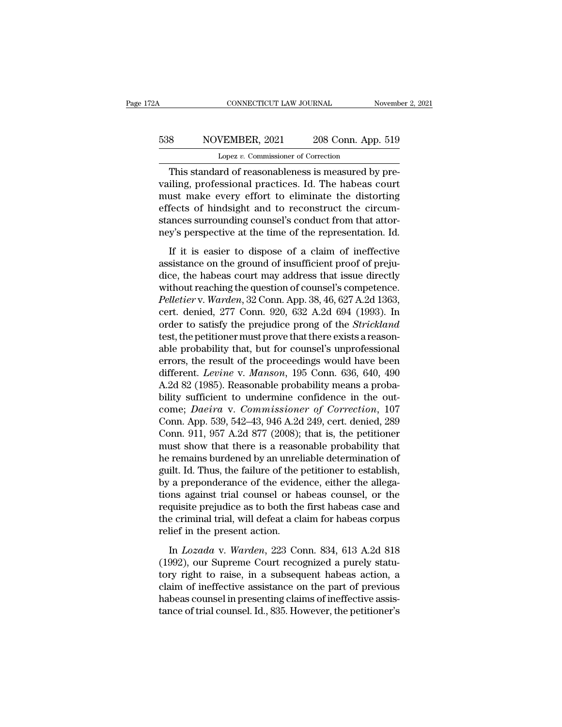# CONNECTICUT LAW JOURNAL November 2, 2021<br>538 NOVEMBER, 2021 208 Conn. App. 519<br>Lopez v. Commissioner of Correction CONNECTICUT LAW JOURNAL<br>VEMBER, 2021 208 Conn. App<br>Lopez *v.* Commissioner of Correction<br>and of reasonableness is measured by

CONNECTICUT LAW JOURNAL November<br>8 NOVEMBER, 2021 208 Conn. App. 519<br>Lopez v. Commissioner of Correction<br>This standard of reasonableness is measured by pre-<br>iling, professional practices. Id. The habeas court Value of San Move MBER, 2021<br>
1992 v. Commissioner of Correction<br>
1992 v. Commissioner of Correction<br>
1993 This standard of reasonableness is measured by prevailing, professional practices. Id. The habeas court<br>
1994 This  $\frac{538}{\text{Lopez v. Commissioner of Correction}}$ <br>
Lopez v. Commissioner of Correction<br>
This standard of reasonableness is measured by prevailing, professional practices. Id. The habeas court<br>
must make every effort to eliminate the distorting<br>
e Eq. 88 MOVEMBER, 2021 208 Conn. App. 519<br>
Lopez v. Commissioner of Correction<br>
This standard of reasonableness is measured by prevailing, professional practices. Id. The habeas court<br>
must make every effort to eliminate t Lopez v. Commissioner of Correction<br>This standard of reasonableness is measured by pre-<br>vailing, professional practices. Id. The habeas court<br>must make every effort to eliminate the distorting<br>effects of hindsight and to r Lopez *v*. Commissioner of Correction<br>This standard of reasonableness is measured by pre-<br>vailing, professional practices. Id. The habeas court<br>must make every effort to eliminate the distorting<br>effects of hindsight and to This standard of reasonalizations. Id. The habeas court<br>iling, professional practices. Id. The habeas court<br>ust make every effort to eliminate the distorting<br>fects of hindsight and to reconstruct the circum-<br>ances surround Francistance processes tar the hastes court<br>must make every effort to eliminate the distorting<br>effects of hindsight and to reconstruct the circum-<br>stances surrounding counsel's conduct from that attor-<br>ney's perspective at

effects of hindsight and to reconstruct the circum-<br>stances surrounding counsel's conduct from that attor-<br>ney's perspective at the time of the representation. Id.<br>If it is easier to dispose of a claim of ineffective<br>assi stances surrounding counsel's conduct from that attor-<br>ney's perspective at the time of the representation. Id.<br>If it is easier to dispose of a claim of ineffective<br>assistance on the ground of insufficient proof of preju-*Perfective* at the time of the representation. Id.<br>
If it is easier to dispose of a claim of ineffective<br>
assistance on the ground of insufficient proof of preju-<br>
dice, the habeas court may address that issue directly<br>
w If it is easier to dispose of a claim of ineffective<br>assistance on the ground of insufficient proof of preju-<br>dice, the habeas court may address that issue directly<br>without reaching the question of counsel's competence.<br>Pe If it is easier to dispose of a claim of ineffective<br>assistance on the ground of insufficient proof of preju-<br>dice, the habeas court may address that issue directly<br>without reaching the question of counsel's competence.<br>*P* assistance on the ground of insufficient proof of prejudice, the habeas court may address that issue directly without reaching the question of counsel's competence. Pelletier v. Warden, 32 Conn. App. 38, 46, 627 A.2d 1363, dice, the habeas court may address that issue directly<br>without reaching the question of counsel's competence.<br>Pelletier v. Warden, 32 Conn. App. 38, 46, 627 A.2d 1363,<br>cert. denied, 277 Conn. 920, 632 A.2d 694 (1993). In<br>o without reaching the question of counsel's competence.<br> *Pelletier* v. *Warden*, 32 Conn. App. 38, 46, 627 A.2d 1363,<br>
cert. denied, 277 Conn. 920, 632 A.2d 694 (1993). In<br>
order to satisfy the prejudice prong of the *Stri* Pelletier v. *Warden*, 32 Conn. App. 38, 46, 627 A.2d 1363,<br>cert. denied, 277 Conn. 920, 632 A.2d 694 (1993). In<br>order to satisfy the prejudice prong of the *Strickland*<br>test, the petitioner must prove that there exists a cert. denied, 277 Conn. 920, 632 A.2d 694 (1993). In<br>order to satisfy the prejudice prong of the *Strickland*<br>test, the petitioner must prove that there exists a reason-<br>able probability that, but for counsel's unprofessio order to satisfy the prejudice prong of the *Strickland*<br>test, the petitioner must prove that there exists a reason-<br>able probability that, but for counsel's unprofessional<br>errors, the result of the proceedings would have test, the petitioner must prove that there exists a reason-<br>able probability that, but for counsel's unprofessional<br>errors, the result of the proceedings would have been<br>different. *Levine* v. *Manson*, 195 Conn. 636, 640, able probability that, but for counsel's unprofessional<br>errors, the result of the proceedings would have been<br>different. *Levine* v. *Manson*, 195 Conn. 636, 640, 490<br>A.2d 82 (1985). Reasonable probability means a proba-<br>b errors, the result of the proceedings would have been<br>different. Levine v. Manson, 195 Conn. 636, 640, 490<br>A.2d 82 (1985). Reasonable probability means a proba-<br>bility sufficient to undermine confidence in the out-<br>come; D different. *Levine* v. *Manson*, 195 Conn. 636, 640, 490<br>A.2d 82 (1985). Reasonable probability means a proba-<br>bility sufficient to undermine confidence in the out-<br>come; *Daeira* v. *Commissioner of Correction*, 107<br>Conn A.2d 82 (1985). Reasonable probability means a probability sufficient to undermine confidence in the outcome; *Daeira* v. *Commissioner of Correction*, 107 Conn. App. 539, 542–43, 946 A.2d 249, cert. denied, 289 Conn. 911, bility sufficient to undermine confidence in the out-<br>come; *Daeira* v. *Commissioner of Correction*, 107<br>Conn. App. 539, 542–43, 946 A.2d 249, cert. denied, 289<br>Conn. 911, 957 A.2d 877 (2008); that is, the petitioner<br>must come; *Daeira* v. *Commissioner of Correction*, 107<br>Conn. App. 539, 542–43, 946 A.2d 249, cert. denied, 289<br>Conn. 911, 957 A.2d 877 (2008); that is, the petitioner<br>must show that there is a reasonable probability that<br>he r Conn. App. 539, 542–43, 946 A.2d 249, cert. denied, 289<br>Conn. 911, 957 A.2d 877 (2008); that is, the petitioner<br>must show that there is a reasonable probability that<br>he remains burdened by an unreliable determination of<br>gu Conn. 911, 957 A.2d 877 (2008); that is, the petitioner<br>must show that there is a reasonable probability that<br>he remains burdened by an unreliable determination of<br>guilt. Id. Thus, the failure of the petitioner to establis must show that there is a reasonable probability that<br>he remains burdened by an unreliable determination of<br>guilt. Id. Thus, the failure of the petitioner to establish,<br>by a preponderance of the evidence, either the allega he remains burdened by an unrel<br>guilt. Id. Thus, the failure of the p<br>by a preponderance of the evide<br>tions against trial counsel or ha<br>requisite prejudice as to both the<br>the criminal trial, will defeat a cli-<br>relief in th In a preponderance of the evidence, either the allegations against trial counsel or habeas counsel, or the quisite prejudice as to both the first habeas case and e criminal trial, will defeat a claim for habeas corpus lief tions against trial counsel or habeas counsel, or the<br>requisite prejudice as to both the first habeas case and<br>the criminal trial, will defeat a claim for habeas corpus<br>relief in the present action.<br>In *Lozada* v. *Warden* 

requisite prejudice as to both the first habeas case and<br>the criminal trial, will defeat a claim for habeas corpus<br>relief in the present action.<br>In *Lozada* v. *Warden*, 223 Conn. 834, 613 A.2d 818<br>(1992), our Supreme Cour the criminal trial, will defeat a claim for habeas corpus<br>relief in the present action.<br>In *Lozada* v. Warden, 223 Conn. 834, 613 A.2d 818<br>(1992), our Supreme Court recognized a purely statu-<br>tory right to raise, in a subs relief in the present action.<br>In *Lozada* v. *Warden*, 223 Conn. 834, 613 A.2d 818<br>(1992), our Supreme Court recognized a purely statu-<br>tory right to raise, in a subsequent habeas action, a<br>claim of ineffective assistance In *Lozada* v. *Warden*, 223 Conn. 834, 613 A.2d 818 (1992), our Supreme Court recognized a purely statutory right to raise, in a subsequent habeas action, a claim of ineffective assistance on the part of previous habeas c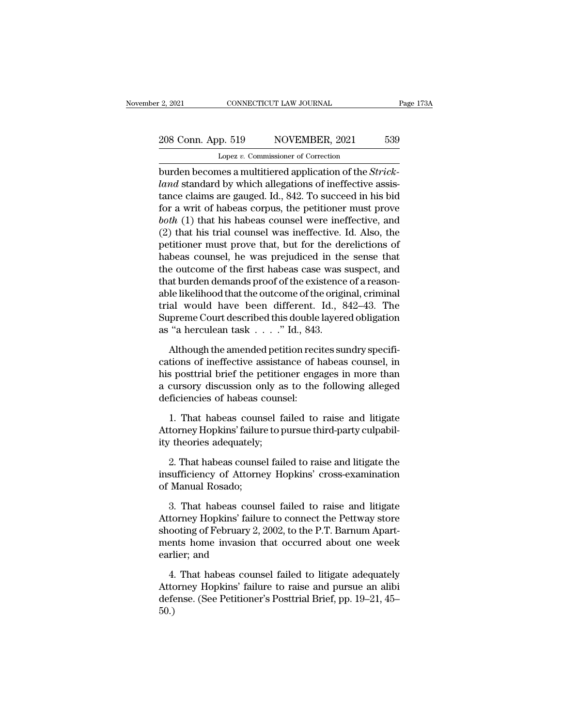# 2, 2021 CONNECTICUT LAW JOURNAL Page 173A<br>208 Conn. App. 519 NOVEMBER, 2021 539<br>Lopez v. Commissioner of Correction Lopez *v.* Commissioner of Correction

burden becomes a multitiered application of the *Strick-*<br>
burden becomes a multitiered application of the *Strick-*<br>
burden becomes a multitiered application of the *Strick-*<br>
land standard by which allegations of ineffec 208 Conn. App. 519 NOVEMBER, 2021 539<br>
Lopez v. Commissioner of Correction<br>
burden becomes a multitiered application of the *Strick-*<br>
land standard by which allegations of ineffective assis-<br>
tance claims are gauged. Id., 208 Conn. App. 519 NOVEMBER, 2021 539<br>
Lopez v. Commissioner of Correction<br>
burden becomes a multitiered application of the *Strick-*<br> *land* standard by which allegations of ineffective assistance claims are gauged. Id., 208 Conn. App. 519 NOVEMBER, 2021 539<br>
Lopez v. Commissioner of Correction<br>
burden becomes a multitiered application of the *Strick-*<br> *land* standard by which allegations of ineffective assis-<br>
tance claims are gauged. I Lopez v. Commissioner of Correction<br>
burden becomes a multitiered application of the *Strick-*<br> *land* standard by which allegations of ineffective assis-<br>
tance claims are gauged. Id., 842. To succeed in his bid<br>
for a wr Lopez v. Commissioner of Correction<br>burden becomes a multitiered application of the *Strick-*<br>*land* standard by which allegations of ineffective assis-<br>tance claims are gauged. Id., 842. To succeed in his bid<br>for a writ burden becomes a multitiered application of the *Strick-land* standard by which allegations of ineffective assistance claims are gauged. Id., 842. To succeed in his bid for a writ of habeas corpus, the petitioner must prov land standard by which allegations of ineffective assistance claims are gauged. Id., 842. To succeed in his bid<br>for a writ of habeas corpus, the petitioner must prove<br>both (1) that his habeas counsel were ineffective, and<br> tance claims are gauged. Id., 842. To succeed in his bid<br>for a writ of habeas corpus, the petitioner must prove<br>*both* (1) that his habeas counsel were ineffective, and<br>(2) that his trial counsel was ineffective. Id. Also, for a writ of habeas corpus, the petitioner must prove<br>both (1) that his habeas counsel were ineffective, and<br>(2) that his trial counsel was ineffective. Id. Also, the<br>petitioner must prove that, but for the derelictions both (1) that his habeas counsel were ineffective, and (2) that his trial counsel was ineffective. Id. Also, the petitioner must prove that, but for the derelictions of habeas counsel, he was prejudiced in the sense that (2) that his trial counsel was ineffective. Id. Also, the<br>petitioner must prove that, but for the derelictions of<br>habeas counsel, he was prejudiced in the sense that<br>the outcome of the first habeas case was suspect, and<br>t petitioner must prove that, but for the derelictions of<br>habeas counsel, he was prejudiced in the sense that<br>the outcome of the first habeas case was suspect, and<br>that burden demands proof of the existence of a reason-<br>able habeas counsel, he was prejudiced in the<br>the outcome of the first habeas case was :<br>that burden demands proof of the existence<br>able likelihood that the outcome of the origi<br>trial would have been different. Id.,  $\{\text{Supreme Court described this$ at burden demands proof of the existence of a reason-<br>le likelihood that the outcome of the original, criminal<br>al would have been different. Id., 842–43. The<br>preme Court described this double layered obligation<br>"a hercule able likelihood that the outcome of the original, criminal<br>trial would have been different. Id., 842–43. The<br>Supreme Court described this double layered obligation<br>as "a herculean task  $\dots$ ." Id., 843.<br>Although the amende

trial would have been different. Id.,  $842-43$ . The<br>Supreme Court described this double layered obligation<br>as "a herculean task . . . ." Id., 843.<br>Although the amended petition recites sundry specifi-<br>cations of ineffecti Supreme Court described this double layered obligation<br>as "a herculean task  $\dots$ " Id., 843.<br>Although the amended petition recites sundry specifi-<br>cations of ineffective assistance of habeas counsel, in<br>his posttrial brief as "a herculean task  $\ldots$ ." Id., 843<br>Although the amended petition reci<br>cations of ineffective assistance of h<br>his posttrial brief the petitioner enga<br>a cursory discussion only as to the<br>deficiencies of habeas counsel:<br>1 Although the amended petition recites sundry specifi-<br>tions of ineffective assistance of habeas counsel, in<br>s posttrial brief the petitioner engages in more than<br>cursory discussion only as to the following alleged<br>ficienci cations of ineffective assistance of habeas counsel, in<br>his posttrial brief the petitioner engages in more than<br>a cursory discussion only as to the following alleged<br>deficiencies of habeas counsel:<br>1. That habeas counsel f his posttrial brief the petitio<br>a cursory discussion only as<br>deficiencies of habeas couns<br>1. That habeas counsel fai<br>Attorney Hopkins' failure to p<br>ity theories adequately;<br>2. That habeas counsel fail

cursory uscussion only as to the following aneged<br>ficiencies of habeas counsel:<br>1. That habeas counsel failed to raise and litigate<br>torney Hopkins' failure to pursue third-party culpabil-<br>theories adequately;<br>2. That habea deficiencies of habeas counser:<br>
1. That habeas counsel failed to raise and litigate<br>
Attorney Hopkins' failure to pursue third-party culpabil-<br>
ity theories adequately;<br>
2. That habeas counsel failed to raise and litigate 1. That habeas couns<br>Attorney Hopkins' failure<br>ity theories adequately;<br>2. That habeas counse<br>insufficiency of Attorne<br>of Manual Rosado;<br>3. That habeas couns

Fractionary Hopkins Tailure to pursue third-party cupability<br>
2. That habeas counsel failed to raise and litigate the<br>
sufficiency of Attorney Hopkins' cross-examination<br>
Manual Rosado;<br>
3. That habeas counsel failed to r

12 In the means of Attorney Hopkins' cross-examination<br>insufficiency of Attorney Hopkins' cross-examination<br>of Manual Rosado;<br>3. That habeas counsel failed to raise and litigate<br>Attorney Hopkins' failure to connect the Pet 2. That habeas counsel failed to raise and litigate the<br>insufficiency of Attorney Hopkins' cross-examination<br>of Manual Rosado;<br>3. That habeas counsel failed to raise and litigate<br>Attorney Hopkins' failure to connect the Pe insufficiency of Attorney Hopkins' cross-examination<br>of Manual Rosado;<br>3. That habeas counsel failed to raise and litigate<br>Attorney Hopkins' failure to connect the Pettway store<br>shooting of February 2, 2002, to the P.T. Ba of Manual Rosado;<br>3. That habeas cour<br>Attorney Hopkins' failu<br>shooting of February 2,<br>ments home invasion<br>earlier; and<br>4. That habeas coun 3. That habeas counsel failed to raise and litigate<br>torney Hopkins' failure to connect the Pettway store<br>ooting of February 2, 2002, to the P.T. Barnum Apart-<br>ents home invasion that occurred about one week<br>rlier; and<br>4. T Attorney Hopkins' failure to connect the Pettway store<br>shooting of February 2, 2002, to the P.T. Barnum Apart-<br>ments home invasion that occurred about one week<br>earlier; and<br>4. That habeas counsel failed to litigate adequat

shooting of February 2, 2002, to the P.T. Barnum Apartments home invasion that occurred about one week<br>earlier; and<br>4. That habeas counsel failed to litigate adequately<br>Attorney Hopkins' failure to raise and pursue an alib 50.)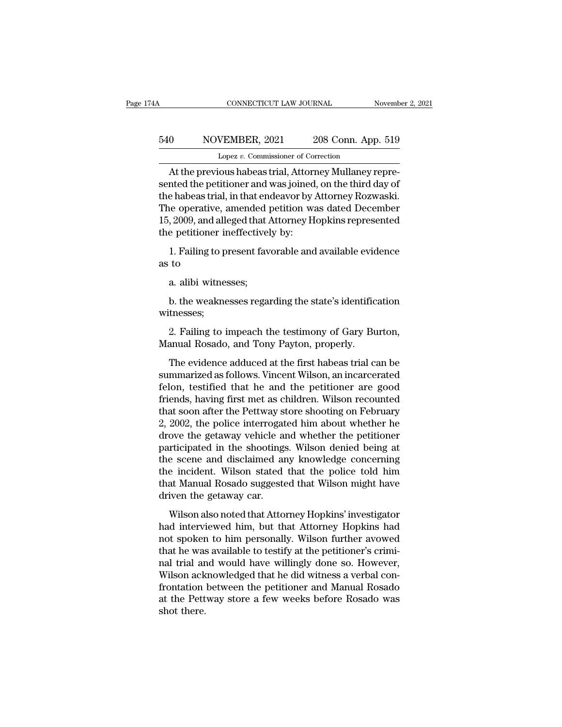# CONNECTICUT LAW JOURNAL November 2, 2021<br>540 NOVEMBER, 2021 208 Conn. App. 519<br>Lopez v. Commissioner of Correction EXAMPLE CONNECTICUT LAW JOURNAL<br>VEMBER, 2021 208 Conn. App<br>Lopez *v.* Commissioner of Correction<br>OUS babeas trial Attorney Mullaney r

CONNECTICUT LAW JOURNAL November<br>
0 NOVEMBER, 2021 208 Conn. App. 519<br>
Lopez v. Commissioner of Correction<br>
At the previous habeas trial, Attorney Mullaney repre-<br>
nted the petitioner and was joined, on the third day of S40 NOVEMBER, 2021 208 Conn. App. 519<br>Lopez v. Commissioner of Correction<br>At the previous habeas trial, Attorney Mullaney represented the petitioner and was joined, on the third day of<br>the habeas trial, in that endeavor by 540 NOVEMBER, 2021 208 Conn. App. 519<br>
Lopez v. Commissioner of Correction<br>
At the previous habeas trial, Attorney Mullaney represented the petitioner and was joined, on the third day of<br>
the habeas trial, in that endeavo 540 NOVEMBER, 2021 208 Conn. App. 519<br>
Lopez v. Commissioner of Correction<br>
At the previous habeas trial, Attorney Mullaney repre-<br>
sented the petitioner and was joined, on the third day of<br>
the habeas trial, in that endea Lopez v. Commissioner of Correction<br>
At the previous habeas trial, Attorney Mullaney repre-<br>
sented the petitioner and was joined, on the third day of<br>
the habeas trial, in that endeavor by Attorney Rozwaski.<br>
The operativ Lopez *v.* Commissioner of Control At the previous habeas trial, Attorn<br>sented the petitioner and was joined<br>the habeas trial, in that endeavor by .<br>The operative, amended petition w:<br>15, 2009, and alleged that Attorney H<br> The the previous hasces and, rheading in analisty represented the petitioner and was joined, on the third day of e habeas trial, in that endeavor by Attorney Rozwaski.<br>Representive, amended petition was dated December, 200 the habeas trial, if<br>the habeas trial, if<br>The operative, a<br>15, 2009, and alle<br>the petitioner in<br>1. Failing to pr<br>as to<br>a. alibi witnes Follo generative, amended posterior and alleged that  $\mu$ <br>is petitioner ineffectivel<br>1. Failing to present fav<br>to<br>a. alibi witnesses;<br>b. the weaknesses rega

b. the petitioner ineffectively by:<br>
1. Failing to present favorable and available evidence<br>
to<br>
a. alibi witnesses;<br>
b. the weaknesses regarding the state's identification<br>
tnesses; witnesses; 2. Failing to impeach the testimony of Gary Burton,<br>2. Failing to impeach the testimony of Gary Burton,<br>anual Rosado, and Tony Payton, properly. a. alibi witnesses;<br>b. the weaknesses regarding the state's identific<br>witnesses;<br>2. Failing to impeach the testimony of Gary Bu<br>Manual Rosado, and Tony Payton, properly.<br>The evidence adduced at the first habeas trial ca

b. the weaknesses regarding the state's identification<br>tnesses;<br>2. Failing to impeach the testimony of Gary Burton,<br>anual Rosado, and Tony Payton, properly.<br>The evidence adduced at the first habeas trial can be<br>mmarized as b. the weaknesses regarding the state's identification<br>witnesses;<br>2. Failing to impeach the testimony of Gary Burton,<br>Manual Rosado, and Tony Payton, properly.<br>The evidence adduced at the first habeas trial can be<br>summariz witnesses;<br>
2. Failing to impeach the testimony of Gary Burton,<br>
Manual Rosado, and Tony Payton, properly.<br>
The evidence adduced at the first habeas trial can be<br>
summarized as follows. Vincent Wilson, an incarcerated<br>
fel 2. Failing to impeach the testimony of Gary Burton,<br>Manual Rosado, and Tony Payton, properly.<br>The evidence adduced at the first habeas trial can be<br>summarized as follows. Vincent Wilson, an incarcerated<br>felon, testified th The evidence adduced at the first habeas trial can be<br>summarized as follows. Vincent Wilson, an incarcerated<br>felon, testified that he and the petitioner are good<br>friends, having first met as children. Wilson recounted<br>that The evidence adduced at the first habeas trial can be<br>summarized as follows. Vincent Wilson, an incarcerated<br>felon, testified that he and the petitioner are good<br>friends, having first met as children. Wilson recounted<br>that The evidence adduced at the first habeas trial can be<br>summarized as follows. Vincent Wilson, an incarcerated<br>felon, testified that he and the petitioner are good<br>friends, having first met as children. Wilson recounted<br>that summarized as follows. Vincent Wilson, an incarcerated<br>felon, testified that he and the petitioner are good<br>friends, having first met as children. Wilson recounted<br>that soon after the Pettway store shooting on February<br>2, felon, testified that he and the petitioner are good<br>friends, having first met as children. Wilson recounted<br>that soon after the Pettway store shooting on February<br>2, 2002, the police interrogated him about whether he<br>drov friends, having first met as children. Wilson recounted<br>that soon after the Pettway store shooting on February<br>2, 2002, the police interrogated him about whether he<br>drove the getaway vehicle and whether the petitioner<br>part that soon after the Pettway store shooting on February<br>2, 2002, the police interrogated him about whether he<br>drove the getaway vehicle and whether the petitioner<br>participated in the shootings. Wilson denied being at<br>the sc 2, 2002, the police interrogat<br>drove the getaway vehicle are<br>participated in the shootings<br>the scene and disclaimed are<br>the incident. Wilson stated<br>that Manual Rosado suggeste<br>driven the getaway car.<br>Wilson also noted that Tricipated in the shootings. Wilson denied being at<br>rticipated in the shootings. Wilson denied being at<br>e scene and disclaimed any knowledge concerning<br>e incident. Wilson stated that the police told him<br>at Manual Rosado su paracypaced in the shootings. While the scale song at<br>the scene and disclaimed any knowledge concerning<br>that Manual Rosado suggested that Wilson might have<br>driven the getaway car.<br>Wilson also noted that Attorney Hopkins' i

not seem and discultured any into medge concerning<br>the incident. Wilson stated that the police told him<br>that Manual Rosado suggested that Wilson might have<br>driven the getaway car.<br>Wilson also noted that Attorney Hopkins' i that Manual Rosado suggested that Wilson might have<br>driven the getaway car.<br>Wilson also noted that Attorney Hopkins' investigator<br>had interviewed him, but that Attorney Hopkins had<br>not spoken to him personally. Wilson furt nal trial trial trial trial and workingly done of the distribution also noted that Attorney Hopkins' investigator<br>had interviewed him, but that Attorney Hopkins had<br>not spoken to him personally. Wilson further avowed<br>that Wilson also noted that Attorney Hopkins' investigator<br>had interviewed him, but that Attorney Hopkins had<br>not spoken to him personally. Wilson further avowed<br>that he was available to testify at the petitioner's crimi-<br>nal t Wilson also noted that Attorney Hopkins' investigator<br>had interviewed him, but that Attorney Hopkins had<br>not spoken to him personally. Wilson further avowed<br>that he was available to testify at the petitioner's crimi-<br>nal t had interviewed him, but that Attorney Hopkins had<br>not spoken to him personally. Wilson further avowed<br>that he was available to testify at the petitioner's crimi-<br>nal trial and would have willingly done so. However,<br>Wilson not spoker<br>that he was<br>nal trial ar<br>Wilson ack<br>frontation<br>at the Pett<br>shot there.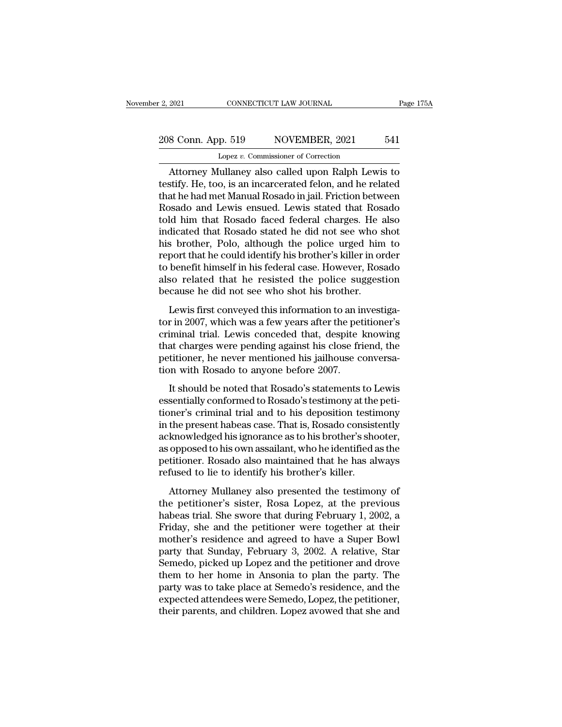# 2, 2021 CONNECTICUT LAW JOURNAL Page 175A<br>208 Conn. App. 519 NOVEMBER, 2021 541<br>Lopez v. Commissioner of Correction Lopez *v.* Commissioner of Correction

EXECT 2021 CONNECTICUT LAW JOURNAL Page 175A<br>
8 Conn. App. 519 NOVEMBER, 2021 541<br>
Lopez v. Commissioner of Correction<br>
Attorney Mullaney also called upon Ralph Lewis to<br>
stify. He, too, is an incarcerated felon, and he re 208 Conn. App. 519 NOVEMBER, 2021 541<br>
Lopez v. Commissioner of Correction<br>
Attorney Mullaney also called upon Ralph Lewis to<br>
testify. He, too, is an incarcerated felon, and he related<br>
that he had met Manual Rosado in ja 208 Conn. App. 519 NOVEMBER, 2021 541<br>
Lopez v. Commissioner of Correction<br>
Attorney Mullaney also called upon Ralph Lewis to<br>
testify. He, too, is an incarcerated felon, and he related<br>
that he had met Manual Rosado in ja 208 Conn. App. 519 NOVEMBER, 2021 541<br>
Lopez v. Commissioner of Correction<br>
Attorney Mullaney also called upon Ralph Lewis to<br>
testify. He, too, is an incarcerated felon, and he related<br>
that he had met Manual Rosado in j Lopez v. Commissioner of Correction<br>Attorney Mullaney also called upon Ralph Lewis to<br>testify. He, too, is an incarcerated felon, and he related<br>that he had met Manual Rosado in jail. Friction between<br>Rosado and Lewis ensu Lopez v. Commissioner of Correction<br>
Attorney Mullaney also called upon Ralph Lewis to<br>
testify. He, too, is an incarcerated felon, and he related<br>
that he had met Manual Rosado in jail. Friction between<br>
Rosado and Lewis Attorney Mullaney also called upon Ralph Lewis to<br>testify. He, too, is an incarcerated felon, and he related<br>that he had met Manual Rosado in jail. Friction between<br>Rosado and Lewis ensued. Lewis stated that Rosado<br>told hi testify. He, too, is an incarcerated felon, and he related<br>that he had met Manual Rosado in jail. Friction between<br>Rosado and Lewis ensued. Lewis stated that Rosado<br>told him that Rosado faced federal charges. He also<br>indic that he had met Manual Rosado in jail. Friction between<br>Rosado and Lewis ensued. Lewis stated that Rosado<br>told him that Rosado faced federal charges. He also<br>indicated that Rosado stated he did not see who shot<br>his brother Rosado and Lewis ensued. Lewis stated that Rosado<br>told him that Rosado faced federal charges. He also<br>indicated that Rosado stated he did not see who shot<br>his brother, Polo, although the police urged him to<br>report that he told him that Rosado faced federal charges. He andicated that Rosado stated he did not see who shis brother, Polo, although the police urged him report that he could identify his brother's killer in or to benefit himself i Solution and Mosaid Stated it and not see who shot<br>solution by a brother, Polo, although the police urged him to<br>port that he could identify his brother's killer in order<br>benefit himself in his federal case. However, Rosad the boater, 1 old, and dight are ponce afged rant to<br>report that he could identify his brother's killer in order<br>to benefit himself in his federal case. However, Rosado<br>also related that he resisted the police suggestion<br>b

report and he codid heriday his croated b hinds in to due<br>to benefit himself in his federal case. However, Rosado<br>also related that he resisted the police suggestion<br>because he did not see who shot his brother.<br>Lewis first that charges that he resisted the police suggestion<br>also related that he resisted the police suggestion<br>because he did not see who shot his brother.<br>Lewis first conveyed this information to an investiga-<br>tor in 2007, which because he did not see who shot his brother.<br>Lewis first conveyed this information to an investiga-<br>tor in 2007, which was a few years after the petitioner's<br>criminal trial. Lewis conceded that, despite knowing<br>that charge Lewis first conveyed this information to an intor in 2007, which was a few years after the pet criminal trial. Lewis conceded that, despite l<br>that charges were pending against his close frientitioner, he never mentioned hi Lewis instructive a distribution to direct the petitioner's<br>
iminal trial. Lewis conceded that, despite knowing<br>
at charges were pending against his close friend, the<br>
titioner, he never mentioned his jailhouse conversa-<br> essential trial. Lewis conceded that, despite knowing<br>that charges were pending against his close friend, the<br>petitioner, he never mentioned his jailhouse conversa-<br>tion with Rosado to anyone before 2007.<br>It should be note

that charges were pending against his close friend, the<br>petitioner, he never mentioned his jailhouse conversa-<br>tion with Rosado to anyone before 2007.<br>It should be noted that Rosado's statements to Lewis<br>essentially confor in the presention of the periodic server periodic presention with Rosado to anyone before 2007.<br>It should be noted that Rosado's statements to Lewis<br>essentially conformed to Rosado's testimony at the peti-<br>tioner's crimina Francolear as famouse conversation with Rosado to anyone before 2007.<br>It should be noted that Rosado's statements to Lewis<br>essentially conformed to Rosado's testimony at the peti-<br>tioner's criminal trial and to his deposit It should be noted that Rosado's statements to Lewis<br>essentially conformed to Rosado's testimony at the peti-<br>tioner's criminal trial and to his deposition testimony<br>in the present habeas case. That is, Rosado consistently It should be noted that Rosado's statements to Lewis<br>essentially conformed to Rosado's testimony at the peti-<br>tioner's criminal trial and to his deposition testimony<br>in the present habeas case. That is, Rosado consistently essentially conformed to Rosado's testimony at the<br>tioner's criminal trial and to his deposition testin<br>in the present habeas case. That is, Rosado consist<br>acknowledged his ignorance as to his brother's shc<br>as opposed to h The present habeas case. That is, Rosado consistently<br>the present habeas case. That is, Rosado consistently<br>knowledged his ignorance as to his brother's shooter,<br>opposed to his own assailant, who he identified as the<br>titio the present hasces case. That is, ressued consistently<br>acknowledged his ignorance as to his brother's shooter,<br>as opposed to his own assailant, who he identified as the<br>petitioner. Rosado also maintained that he has always

as opposed to his own assailant, who he identified as the petitioner. Rosado also maintained that he has always<br>refused to lie to identify his brother's killer.<br>Attorney Mullaney also presented the testimony of<br>the petitio as opposed to his own assuming, who he identified as the<br>petitioner. Rosado also maintained that he has always<br>refused to lie to identify his brother's killer.<br>Attorney Mullaney also presented the testimony of<br>the petition refused to lie to identify his brother's killer.<br>
Attorney Mullaney also presented the testimony of<br>
the petitioner's sister, Rosa Lopez, at the previous<br>
habeas trial. She swore that during February 1, 2002, a<br>
Friday, sh Attorney Mullaney also presented the testimony of<br>the petitioner's sister, Rosa Lopez, at the previous<br>habeas trial. She swore that during February 1, 2002, a<br>Friday, she and the petitioner were together at their<br>mother's Attorney Mullaney also presented the testimony of<br>the petitioner's sister, Rosa Lopez, at the previous<br>habeas trial. She swore that during February 1, 2002, a<br>Friday, she and the petitioner were together at their<br>mother's the petitioner's sister, Rosa Lopez, at the previous<br>habeas trial. She swore that during February 1, 2002, a<br>Friday, she and the petitioner were together at their<br>mother's residence and agreed to have a Super Bowl<br>party th habeas trial. She swore that during February 1, 2002, a<br>Friday, she and the petitioner were together at their<br>mother's residence and agreed to have a Super Bowl<br>party that Sunday, February 3, 2002. A relative, Star<br>Semedo, Friday, she and the petitioner were together at their<br>mother's residence and agreed to have a Super Bowl<br>party that Sunday, February 3, 2002. A relative, Star<br>Semedo, picked up Lopez and the petitioner and drove<br>them to he mother's residence and agreed to have a Super Bowl<br>party that Sunday, February 3, 2002. A relative, Star<br>Semedo, picked up Lopez and the petitioner and drove<br>them to her home in Ansonia to plan the party. The<br>party was to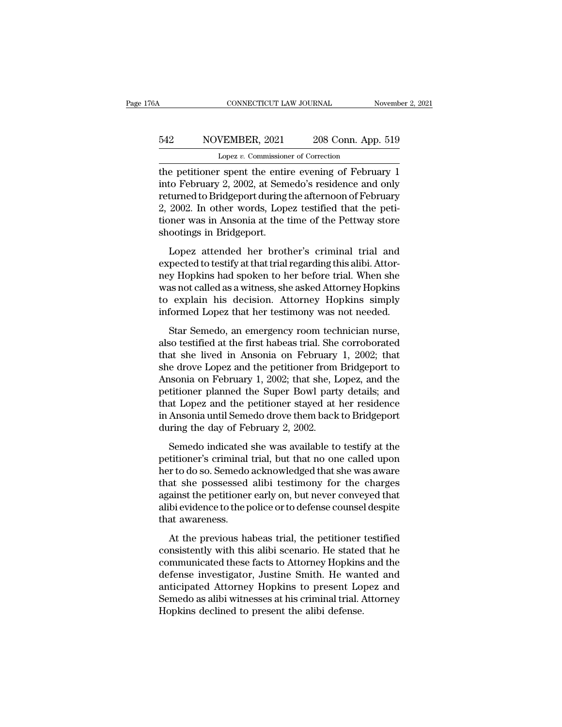# CONNECTICUT LAW JOURNAL November 2, 2021<br>542 NOVEMBER, 2021 208 Conn. App. 519<br>Lopez v. Commissioner of Correction CONNECTICUT LAW JOURNAL<br>VEMBER, 2021 208 Conn. App<br>Lopez *v.* Commissioner of Correction<br>Correction<br>Construct the entire evening of Febru

CONNECTICUT LAW JOURNAL November 2, 2021<br>
S42 NOVEMBER, 2021 208 Conn. App. 519<br>
Lopez v. Commissioner of Correction<br>
the petitioner spent the entire evening of February 1<br>
into February 2, 2002, at Semedo's residence and Into February 2, 2021 208 Conn. App. 519<br>
Lopez v. Commissioner of Correction<br>
the petitioner spent the entire evening of February 1<br>
into February 2, 2002, at Semedo's residence and only<br>
returned to Bridgeport during the For the petitioner spent the entire evening of February 1<br>the petitioner spent the entire evening of February 1<br>into February 2, 2002, at Semedo's residence and only<br>returned to Bridgeport during the afternoon of February  $\frac{542}{2}$  NOVEMBER, 2021 208 Conn. App. 519<br>
Lopez v. Commissioner of Correction<br>
the petitioner spent the entire evening of February 1<br>
into February 2, 2002, at Semedo's residence and only<br>
returned to Bridgeport duri Lopez v. Commissioner of Correction<br>the petitioner spent the entire evening of February 1<br>into February 2, 2002, at Semedo's residence and only<br>returned to Bridgeport during the afternoon of February<br>2, 2002. In other word Lopez *v*. Commissional<br>the petitioner spent the entire<br>into February 2, 2002, at Sem<br>returned to Bridgeport during<br>2, 2002. In other words, Lope<br>tioner was in Ansonia at the t<br>shootings in Bridgeport.<br>Lopez attended her b Lopez attended her brother's criminal trial and<br>pected to Bridgeport during the afternoon of February<br>2002. In other words, Lopez testified that the peti-<br>pher was in Ansonia at the time of the Pettway store<br>pootings in Br expective and strike in that trial regarding the structured to Bridgeport during the afternoon of February 2, 2002. In other words, Lopez testified that the petitioner was in Ansonia at the time of the Pettway store shooti

2, 2002. In other words, Lopez testified that the petitioner was in Ansonia at the time of the Pettway store<br>shootings in Bridgeport.<br>Lopez attended her brother's criminal trial and<br>expected to testify at that trial regard metalline was in Ansonia at the time of the Pettway store<br>shootings in Bridgeport.<br>Lopez attended her brother's criminal trial and<br>expected to testify at that trial regarding this alibi. Attor-<br>ney Hopkins had spoken to he shootings in Bridgeport.<br>
Lopez attended her brother's criminal trial and<br>
expected to testify at that trial regarding this alibi. Attor-<br>
ney Hopkins had spoken to her before trial. When she<br>
was not called as a witness, Lopez attended her brother's criminal trial and<br>expected to testify at that trial regarding this alibi. Attor-<br>ney Hopkins had spoken to her before trial. When she<br>was not called as a witness, she asked Attorney Hopkins<br>to Expediation and the starting and pected to testify at that trial regarding this alibi. Attor-<br>pected to testify at that trial regarding this alibi. Attor-<br>s and called as a witness, she asked Attorney Hopkins<br>explain his d represents testify at that that regarding and anti-trial.<br>
mey Hopkins had spoken to her before trial. When she<br>
was not called as a witness, she asked Attorney Hopkins<br>
to explain his decision. Attorney Hopkins simply<br>
in

that she lived in Ansonia on February 1, 2002; that<br>she divided in Ansonia of the lived informed Lopez that her testimony was not needed.<br>Star Semedo, an emergency room technician nurse,<br>also testified at the first habeas she drove Lopez that her testimony was not needed.<br>
Star Semedo, an emergency room technician nurse,<br>
also testified at the first habeas trial. She corroborated<br>
that she lived in Ansonia on February 1, 2002; that<br>
she dro Example 1, 2002; that her testimony was not needed.<br>
Star Semedo, an emergency room technician nurse,<br>
also testified at the first habeas trial. She corroborated<br>
that she, lived in Ansonia on February 1, 2002; that<br>
she d Star Semedo, an emergency room technician nurse,<br>also testified at the first habeas trial. She corroborated<br>that she lived in Ansonia on February 1, 2002; that<br>she drove Lopez and the petitioner from Bridgeport to<br>Ansonia Star Semedo, an emergency room technician nurse,<br>also testified at the first habeas trial. She corroborated<br>that she lived in Ansonia on February 1, 2002; that<br>she drove Lopez and the petitioner from Bridgeport to<br>Ansonia also testified at the first habeas trial. She corroborated<br>that she lived in Ansonia on February 1, 2002; that<br>she drove Lopez and the petitioner from Bridgeport to<br>Ansonia on February 1, 2002; that she, Lopez, and the<br>pet that she lived in Ansonia on February<br>she drove Lopez and the petitioner from<br>Ansonia on February 1, 2002; that she, L<br>petitioner planned the Super Bowl part<br>that Lopez and the petitioner stayed at<br>in Ansonia until Semedo Semedo indicated she was available to testify at the titioner planned the Super Bowl party details; and at Lopez and the petitioner stayed at her residence Ansonia until Semedo drove them back to Bridgeport ring the day of petitioner planned the Super Bowl party details; and<br>petitioner planned the Super Bowl party details; and<br>that Lopez and the petitioner stayed at her residence<br>in Ansonia until Semedo drove them back to Bridgeport<br>during t

Fourther praised are super Both party details, and<br>that Lopez and the petitioner stayed at her residence<br>in Ansonia until Semedo drove them back to Bridgeport<br>during the day of February 2, 2002.<br>Semedo indicated she was aw that shepper and the polaristic stay of an inter-restation<br>in Ansonia until Semedo drove them back to Bridgeport<br>during the day of February 2, 2002.<br>Semedo indicated she was available to testify at the<br>petitioner's crimina mental and senteds above them sach to Enagypond<br>during the day of February 2, 2002.<br>Semedo indicated she was available to testify at the<br>petitioner's criminal trial, but that no one called upon<br>her to do so. Semedo acknowl Semedo indicated she was available to testify at the petitioner's criminal trial, but that no one called upon her to do so. Semedo acknowledged that she was aware that she possessed alibi testimony for the charges against Semedo indicated<br>petitioner's criminal<br>her to do so. Semedo<br>that she possessed<br>against the petitioner<br>alibi evidence to the p<br>that awareness.<br>At the previous ha At the previous habeas trial, the petitioner testified<br>and she possessed alibi testimony for the charges<br>ainst the petitioner early on, but never conveyed that<br>bi evidence to the police or to defense counsel despite<br>at awa consistently additionally increased and the magnetic that she possessed alibi testimony for the charges<br>against the petitioner early on, but never conveyed that<br>alibi evidence to the police or to defense counsel despite<br>th

Example in the presence and the community of the changes<br>against the petitioner early on, but never conveyed that<br>alibi evidence to the police or to defense counsel despite<br>that awareness.<br>At the previous habeas trial, the definite the police of the defense counsel despite<br>that awareness.<br>At the previous habeas trial, the petitioner testified<br>consistently with this alibi scenario. He stated that he<br>communicated these facts to Attorney Hopkin That awareness.<br>
At the previous habeas trial, the petitioner testified<br>
consistently with this alibi scenario. He stated that he<br>
communicated these facts to Attorney Hopkins and the<br>
defense investigator, Justine Smith. At the previous habeas trial, the petitioner testified<br>consistently with this alibi scenario. He stated that he<br>communicated these facts to Attorney Hopkins and the<br>defense investigator, Justine Smith. He wanted and<br>antici At the previous habeas trial, the petitioner consistently with this alibi scenario. He stated communicated these facts to Attorney Hopkins defense investigator, Justine Smith. He wan anticipated Attorney Hopkins to present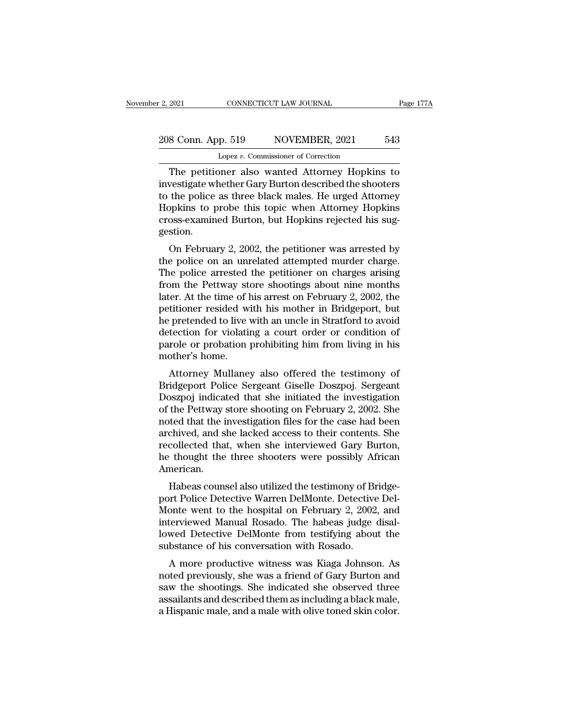# 2021 CONNECTICUT LAW JOURNAL Page 177A<br>208 Conn. App. 519 NOVEMBER, 2021 543<br>Lopez v. Commissioner of Correction Lopez *v.* Commissioner of Correction

EXECTIVE 2021 CONNECTICUT LAW JOURNAL Page 177A<br>
8 Conn. App. 519 NOVEMBER, 2021 543<br>
Lopez v. Commissioner of Correction<br>
The petitioner also wanted Attorney Hopkins to<br>
vestigate whether Gary Burton described the shooter 208 Conn. App. 519 NOVEMBER, 2021 543<br>
Lopez v. Commissioner of Correction<br>
The petitioner also wanted Attorney Hopkins to<br>
investigate whether Gary Burton described the shooters<br>
to the police as three black males. He urg 208 Conn. App. 519 NOVEMBER, 2021 543<br>
Lopez v. Commissioner of Correction<br>
The petitioner also wanted Attorney Hopkins to<br>
investigate whether Gary Burton described the shooters<br>
to the police as three black males. He urg  $\begin{tabular}{ c c c} \multicolumn{1}{c}{208}\quad\text{Conn. App. 519} & NOVEMBER, 2021 & 543 \\ \hline \hline \text{Lopez } v. \text{ Commissioner of Correction} \\ \hline \end{tabular} \end{tabular} \begin{tabular}{ c c c} \multicolumn{1}{c}{\text{The pertinent also wanted} Attorney Hopkins to investigate whether Gary Burton described the shoots to the police as three black males. He urged Attorney Hopkins to probe this topic when Attorney Hopkins cross-examined Burton, but Hopkins rejected his suggestion.} \end{tabular}$ Lopez v. Commissioner of Correction<br>The petitioner also wanted Attorney Hopkins to<br>investigate whether Gary Burton described the shooters<br>to the police as three black males. He urged Attorney<br>Hopkins to probe this topic wh gestion. The petitioner also wanted Attorney Hopkins to<br>
vestigate whether Gary Burton described the shooters<br>
the police as three black males. He urged Attorney<br>
pokins to probe this topic when Attorney Hopkins<br>
oss-examined Burto Investigate whether dary button described the shooters<br>to the police as three black males. He urged Attorney<br>Hopkins cross-examined Burton, but Hopkins rejected his sug-<br>gestion.<br>On February 2, 2002, the petitioner was arr

to the police as three black hiales. He three Attorney<br>Hopkins to probe this topic when Attorney Hopkins<br>cross-examined Burton, but Hopkins rejected his sug-<br>gestion.<br>On February 2, 2002, the petitioner was arrested by<br>the FropKins to probe this topic when Attorney HopKins<br>cross-examined Burton, but Hopkins rejected his sug-<br>gestion.<br>On February 2, 2002, the petitioner was arrested by<br>the police on an unrelated attempted murder charge.<br>The p ross-exammed Burton, but Hopkins rejected ins suggestion.<br>
On February 2, 2002, the petitioner was arrested by<br>
the police on an unrelated attempted murder charge.<br>
The police arrested the petitioner on charges arising<br>
fr on February 2, 2002, the petitioner was arrested by<br>the police on an unrelated attempted murder charge.<br>The police arrested the petitioner on charges arising<br>from the Pettway store shootings about nine months<br>later. At the On February 2, 2002, the petitioner was arrested by<br>the police on an unrelated attempted murder charge.<br>The police arrested the petitioner on charges arising<br>from the Pettway store shootings about nine months<br>later. At the the police on an unrelated attempted murder charge.<br>The police arrested the petitioner on charges arising<br>from the Pettway store shootings about nine months<br>later. At the time of his arrest on February 2, 2002, the<br>petitio The police arrested the petitioner on charges arising<br>from the Pettway store shootings about nine months<br>later. At the time of his arrest on February 2, 2002, the<br>petitioner resided with his mother in Bridgeport, but<br>he pr from the Pettway st<br>later. At the time of l<br>petitioner resided w<br>he pretended to live<br>detection for violati<br>parole or probation<br>mother's home.<br>Attorney Mullane Fig. At the time of its arrest of February 2, 2002, the<br>titioner resided with his mother in Bridgeport, but<br>pretended to live with an uncle in Stratford to avoid<br>tection for violating a court order or condition of<br>role or petitioner resided with its inother in Bridgeport, but<br>he pretended to live with an uncle in Stratford to avoid<br>detection for violating a court order or condition of<br>parole or probation prohibiting him from living in his<br>m

re pretended to live with an uncle in strational to avoid<br>detection for violating a court order or condition of<br>parole or probation prohibiting him from living in his<br>mother's home.<br>Attorney Mullaney also offered the testi detection for violating a court ofder or condition of<br>parole or probation prohibiting him from living in his<br>mother's home.<br>Attorney Mullaney also offered the testimony of<br>Bridgeport Police Sergeant Giselle Doszpoj. Sergea parole of probation profillofully film from hving in fils<br>mother's home.<br>Attorney Mullaney also offered the testimony of<br>Bridgeport Police Sergeant Giselle Doszpoj. Sergeant<br>Doszpoj indicated that she initiated the investi Attorney Mullaney also offered the testimony of<br>Bridgeport Police Sergeant Giselle Doszpoj. Sergeant<br>Doszpoj indicated that she initiated the investigation<br>of the Pettway store shooting on February 2, 2002. She<br>noted that Attorney Mullaney also offered the testimony of<br>Bridgeport Police Sergeant Giselle Doszpoj. Sergeant<br>Doszpoj indicated that she initiated the investigation<br>of the Pettway store shooting on February 2, 2002. She<br>noted that Bridgeport Police Sergeant Giselle Doszpoj. Sergeant<br>Doszpoj indicated that she initiated the investigation<br>of the Pettway store shooting on February 2, 2002. She<br>noted that the investigation files for the case had been<br>ar American. the Fettway store shooting on February 2, 2002. She<br>ted that the investigation files for the case had been<br>chived, and she lacked access to their contents. She<br>collected that, when she interviewed Gary Burton,<br>thought the ported that the investigation hies for the case had been<br>archived, and she lacked access to their contents. She<br>recollected that, when she interviewed Gary Burton,<br>he thought the three shooters were possibly African<br>Americ

archived, and she lacked access to their contents. She<br>recollected that, when she interviewed Gary Burton,<br>he thought the three shooters were possibly African<br>American.<br>Mabeas counsel also utilized the testimony of Bridgereconected that, when she interviewed dary Burton,<br>he thought the three shooters were possibly African<br>American.<br>Habeas counsel also utilized the testimony of Bridge-<br>port Police Detective Warren DelMonte. Detective Del-<br>M Re thought the three shooters were possibly African<br>American.<br>Habeas counsel also utilized the testimony of Bridge-<br>port Police Detective Warren DelMonte. Detective Del-<br>Monte went to the hospital on February 2, 2002, and<br> Habeas counsel also utilized the testimony of Bi<br>port Police Detective Warren DelMonte. Detective<br>Monte went to the hospital on February 2, 2002<br>interviewed Manual Rosado. The habeas judge<br>lowed Detective DelMonte from tes Trabeas counser also utinzed the testimoly of Bridge-<br>
onte went to the hospital on February 2, 2002, and<br>
terviewed Manual Rosado. The habeas judge disal-<br>
wed Detective DelMonte from testifying about the<br>
bstance of his port I once Detective warien Delivolite. Detective Del-Monte went to the hospital on February 2, 2002, and interviewed Manual Rosado. The habeas judge disal-lowed Detective DelMonte from testifying about the substance of h

monte went to the hospital on February 2, 2002, and<br>interviewed Manual Rosado. The habeas judge disal-<br>lowed Detective DelMonte from testifying about the<br>substance of his conversation with Rosado.<br>A more productive witness Interviewed Manuar Rosado. The habeas judge disal-<br>lowed Detective DelMonte from testifying about the<br>substance of his conversation with Rosado.<br>A more productive witness was Kiaga Johnson. As<br>noted previously, she was a f Frower Detective Definionte from testifying about the<br>substance of his conversation with Rosado.<br>A more productive witness was Kiaga Johnson. As<br>noted previously, she was a friend of Gary Burton and<br>saw the shootings. She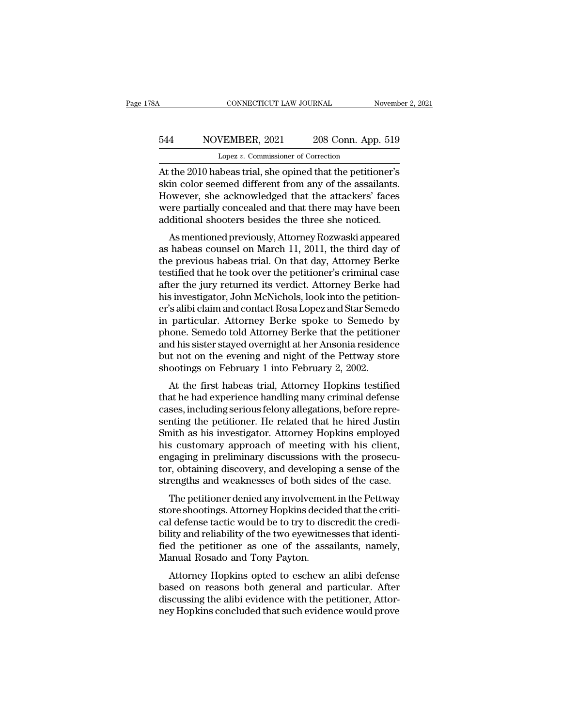# CONNECTICUT LAW JOURNAL November 2, 2021<br>544 NOVEMBER, 2021 208 Conn. App. 519<br>Lopez v. Commissioner of Correction CONNECTICUT LAW JOURNAL<br>VEMBER, 2021 208 Conn. App<br>Lopez *v.* Commissioner of Correction<br>heas trial she opined that the petitic

CONNECTICUT LAW JOURNAL November 2, 2021<br>
S44 NOVEMBER, 2021 208 Conn. App. 519<br>
Lopez v. Commissioner of Correction<br>
At the 2010 habeas trial, she opined that the petitioner's<br>
skin color seemed different from any of the S44 NOVEMBER, 2021 208 Conn. App. 519<br>Lopez v. Commissioner of Correction<br>At the 2010 habeas trial, she opined that the petitioner's<br>skin color seemed different from any of the assailants.<br>However, she acknowledged that th  $\frac{544}{\text{Lopez }v}$ . Commissioner of Correction<br>At the 2010 habeas trial, she opined that the petitioner's<br>skin color seemed different from any of the assailants.<br>However, she acknowledged that the attackers' faces<br>were pa  $\frac{544}{\text{Lopez } v. \text{ Commissioner of Correction}}$ <br>Lopez v. Commissioner of Correction<br>At the 2010 habeas trial, she opined that the petitioner's<br>skin color seemed different from any of the assailants.<br>However, she acknowledged that the attacker Lopez v. Commissioner of Correction<br>At the 2010 habeas trial, she opined that the petitioner's<br>skin color seemed different from any of the assailants.<br>However, she acknowledged that the attackers' faces<br>were partially conc the 2010 habeas trial, she opined that the petitioner's<br>in color seemed different from any of the assailants.<br>by sever, she acknowledged that the attackers' faces<br>ree partially concealed and that there may have been<br>dition At the 2010 habeas trial, she opined that the petitioner's<br>skin color seemed different from any of the assailants.<br>However, she acknowledged that the attackers' faces<br>were partially concealed and that there may have been<br>a

SKIN COOT Seemed unterent front any of the assamants.<br>However, she acknowledged that the attackers' faces<br>were partially concealed and that there may have been<br>additional shooters besides the three she noticed.<br>As mentione Thowever, she acknowledged that the attackers faces<br>were partially concealed and that there may have been<br>additional shooters besides the three she noticed.<br>As mentioned previously, Attorney Rozwaski appeared<br>as habeas cou were partially conceated and that there may have been<br>additional shooters besides the three she noticed.<br>As mentioned previously, Attorney Rozwaski appeared<br>as habeas counsel on March 11, 2011, the third day of<br>the previou additional shooters besides the time she hotted.<br>As mentioned previously, Attorney Rozwaski appeared<br>as habeas counsel on March 11, 2011, the third day of<br>the previous habeas trial. On that day, Attorney Berke<br>testified th As mentioned previously, Attorney Rozwaski appeared<br>as habeas counsel on March 11, 2011, the third day of<br>the previous habeas trial. On that day, Attorney Berke<br>testified that he took over the petitioner's criminal case<br>af as habeas counsel on March 11, 2011, the third day of<br>the previous habeas trial. On that day, Attorney Berke<br>testified that he took over the petitioner's criminal case<br>after the jury returned its verdict. Attorney Berke ha the previous habeas trial. On that day, Attorney Berke<br>testified that he took over the petitioner's criminal case<br>after the jury returned its verdict. Attorney Berke had<br>his investigator, John McNichols, look into the peti testified that he took over the petitioner's criminal case<br>after the jury returned its verdict. Attorney Berke had<br>his investigator, John McNichols, look into the petition-<br>er's alibi claim and contact Rosa Lopez and Star after the jury returned its verdict. Attorney Berke had<br>his investigator, John McNichols, look into the petition-<br>er's alibi claim and contact Rosa Lopez and Star Semedo<br>in particular. Attorney Berke spoke to Semedo by<br>pho his investigator, John McNichols, look into the petitio<br>er's alibi claim and contact Rosa Lopez and Star Seme<br>in particular. Attorney Berke spoke to Semedo I<br>phone. Semedo told Attorney Berke that the petition<br>and his sist s and claim and contact Rosa Lopez and Star Seniedo<br>particular. Attorney Berke spoke to Semedo by<br>one. Semedo told Attorney Berke that the petitioner<br>d his sister stayed overnight at her Ansonia residence<br>to not on the eve In particular. Attorney Berke spoke to Selliedo by<br>phone. Semedo told Attorney Berke that the petitioner<br>and his sister stayed overnight at her Ansonia residence<br>but not on the evening and night of the Pettway store<br>shooti

phone. Semedo told Attoriey Berke that the petitioner<br>and his sister stayed overnight at her Ansonia residence<br>but not on the evening and night of the Pettway store<br>shootings on February 1 into February 2, 2002.<br>At the fir and its sister stayed overlight at her Arisonia residence<br>but not on the evening and night of the Pettway store<br>shootings on February 1 into February 2, 2002.<br>At the first habeas trial, Attorney Hopkins testified<br>that he h But not on the evening and night of the Fettway store<br>shootings on February 1 into February 2, 2002.<br>At the first habeas trial, Attorney Hopkins testified<br>that he had experience handling many criminal defense<br>cases, includ Shootings on February 1 into February 2, 2002.<br>
At the first habeas trial, Attorney Hopkins testified<br>
that he had experience handling many criminal defense<br>
cases, including serious felony allegations, before repre-<br>
sen At the first habeas trial, Attorney Hopkins testified<br>that he had experience handling many criminal defense<br>cases, including serious felony allegations, before repre-<br>senting the petitioner. He related that he hired Justin that he had experience handling many criminal defense<br>cases, including serious felony allegations, before repre-<br>senting the petitioner. He related that he hired Justin<br>Smith as his investigator. Attorney Hopkins employed<br> cases, including serious felony allegations, before representing the petitioner. He related that he hired Justin Smith as his investigator. Attorney Hopkins employed his customary approach of meeting with his client, engag The petitioner. The related that he filled Justin<br>aith as his investigator. Attorney Hopkins employed<br>is customary approach of meeting with his client,<br>gaging in preliminary discussions with the prosecu-<br>r, obtaining disco Shinin as his investigator. Attorney Hopkins employed<br>his customary approach of meeting with his client,<br>engaging in preliminary discussions with the prosecu-<br>tor, obtaining discovery, and developing a sense of the<br>strengt

Ins customary approach of meeting with fits chem,<br>engaging in preliminary discussions with the prosecu-<br>tor, obtaining discovery, and developing a sense of the<br>strengths and weaknesses of both sides of the case.<br>The petiti engaging in premimary discussions with the prosecutor, obtaining discovery, and developing a sense of the strengths and weaknesses of both sides of the case.<br>The petitioner denied any involvement in the Pettway<br>store shoot for, obtaining uscovery, and developing a sense of the<br>strengths and weaknesses of both sides of the case.<br>The petitioner denied any involvement in the Pettway<br>store shootings. Attorney Hopkins decided that the criti-<br>cal Strengths and weaknesses of both side<br>The petitioner denied any involvemen<br>store shootings. Attorney Hopkins decid<br>cal defense tactic would be to try to dise<br>bility and reliability of the two eyewitne<br>fied the petitioner a The petitioner defiled any involvement in the Fettway<br>ore shootings. Attorney Hopkins decided that the criti-<br>il defense tactic would be to try to discredit the credi-<br>iity and reliability of the two eyewitnesses that iden store shootings. Attoriey Hopkins declued that the critical defense tactic would be to try to discredit the credi-<br>bility and reliability of the two eyewitnesses that identi-<br>fied the petitioner as one of the assailants, n

cal defense tactic would be to try to discredit the credibility and reliability of the two eyewitnesses that identified the petitioner as one of the assailants, namely, Manual Rosado and Tony Payton.<br>Attorney Hopkins opted binty and renability of the two eyewithesses that identified the petitioner as one of the assailants, namely, Manual Rosado and Tony Payton.<br>Attorney Hopkins opted to eschew an alibi defense based on reasons both general a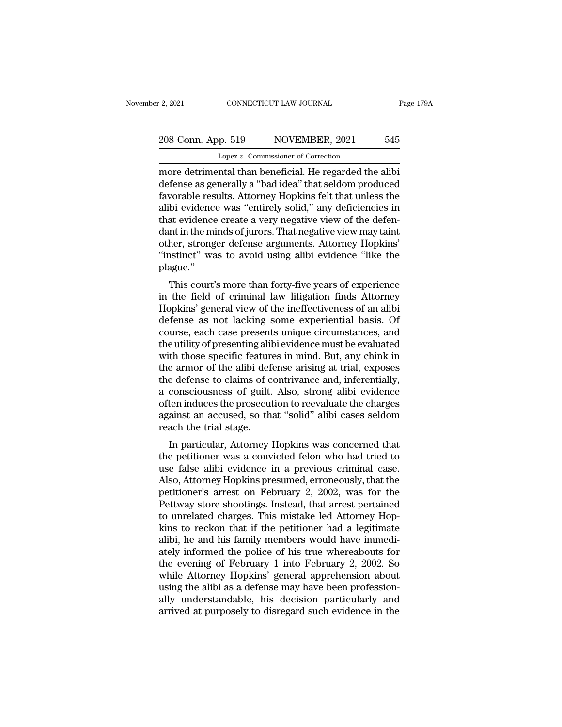# 2, 2021 CONNECTICUT LAW JOURNAL Page 179A<br>208 Conn. App. 519 NOVEMBER, 2021 545<br>Lopez v. Commissioner of Correction Lopez *v.* Commissioner of Correction

2, 2021 CONNECTICUT LAW JOURNAL Page 17:<br>
208 Conn. App. 519 NOVEMBER, 2021 545<br>
Lopez v. Commissioner of Correction<br>
more detrimental than beneficial. He regarded the alibi<br>
defense as generally a "bad idea" that seldom p 208 Conn. App. 519 NOVEMBER, 2021 545<br>
Lopez v. Commissioner of Correction<br>
more detrimental than beneficial. He regarded the alibi<br>
defense as generally a "bad idea" that seldom produced<br>
favorable results. Attorney Hopki 208 Conn. App. 519 NOVEMBER, 2021 545<br>
Lopez v. Commissioner of Correction<br>
more detrimental than beneficial. He regarded the alibi<br>
defense as generally a "bad idea" that seldom produced<br>
favorable results. Attorney Hopk 208 Conn. App. 519 NOVEMBER, 2021 545<br>
Lopez v. Commissioner of Correction<br>
more detrimental than beneficial. He regarded the alibi<br>
defense as generally a "bad idea" that seldom produced<br>
favorable results. Attorney Hopk Lopez v. Commissioner of Correction<br>
more detrimental than beneficial. He regarded the alibi<br>
defense as generally a "bad idea" that seldom produced<br>
favorable results. Attorney Hopkins felt that unless the<br>
alibi evidence Lopez v. Commissioner of Correction<br>
more detrimental than beneficial. He regarded the alibi<br>
defense as generally a "bad idea" that seldom produced<br>
favorable results. Attorney Hopkins felt that unless the<br>
alibi evidence more detrimental than beneficial. He regarded the alibi<br>defense as generally a "bad idea" that seldom produced<br>favorable results. Attorney Hopkins felt that unless the<br>alibi evidence was "entirely solid," any deficiencies defense as generally a "bad idea" that seldom produced<br>favorable results. Attorney Hopkins felt that unless the<br>alibi evidence was "entirely solid," any deficiencies in<br>that evidence create a very negative view of the defe plague.'' of evidence was "entriery sond," any dencrencies in<br>at evidence create a very negative view of the defen-<br>nt in the minds of jurors. That negative view may taint<br>her, stronger defense arguments. Attorney Hopkins'<br>stinct" w that evidence create a very negative view of the defendant in the minds of jurors. That negative view may taint<br>other, stronger defense arguments. Attorney Hopkins'<br>"instinct" was to avoid using alibi evidence "like the<br>pl

dant in the ninks or jurors. That negative view may tank<br>other, stronger defense arguments. Attorney Hopkins'<br>"instinct" was to avoid using alibi evidence "like the<br>plague."<br>This court's more than forty-five years of exper outer, stronger defense arguments. Attorney Hopkins<br>"instinct" was to avoid using alibi evidence "like the<br>plague."<br>This court's more than forty-five years of experience<br>in the field of criminal law litigation finds Attorn must was to avoid using anor evidence like the<br>plague."<br>This court's more than forty-five years of experience<br>in the field of criminal law litigation finds Attorney<br>Hopkins' general view of the ineffectiveness of an alibi<br> This court's more than forty-five years of experience<br>in the field of criminal law litigation finds Attorney<br>Hopkins' general view of the ineffectiveness of an alibi<br>defense as not lacking some experiential basis. Of<br>cours This court's more than forty-five years of experience<br>in the field of criminal law litigation finds Attorney<br>Hopkins' general view of the ineffectiveness of an alibi<br>defense as not lacking some experiential basis. Of<br>cours in the field of criminal law litigation finds Attorney<br>Hopkins' general view of the ineffectiveness of an alibi<br>defense as not lacking some experiential basis. Of<br>course, each case presents unique circumstances, and<br>the ut Hopkins' general view of the ineffectiveness of an alibi<br>defense as not lacking some experiential basis. Of<br>course, each case presents unique circumstances, and<br>the utility of presenting alibi evidence must be evaluated<br>wi defense as not lacking some experiential basis. Of<br>course, each case presents unique circumstances, and<br>the utility of presenting alibi evidence must be evaluated<br>with those specific features in mind. But, any chink in<br>the course, each case presents unique circumstances, and<br>the utility of presenting alibi evidence must be evaluated<br>with those specific features in mind. But, any chink in<br>the armor of the alibi defense arising at trial, expos the utility of presenting alibi evidence must be evaluated<br>with those specific features in mind. But, any chink in<br>the armor of the alibi defense arising at trial, exposes<br>the defense to claims of contrivance and, inferent with those specific feature<br>the armor of the alibi defective<br>the defense to claims of c<br>a consciousness of guilt.<br>often induces the prosecut<br>against an accused, so tha<br>reach the trial stage.<br>In particular, Attorney l E armor of the anor deferse arising at trial, exposes<br>e defense to claims of contrivance and, inferentially,<br>consciousness of guilt. Also, strong alibi evidence<br>ten induces the prosecution to reevaluate the charges<br>ainst a the deferse to claims of contrivance and, interentially,<br>a consciousness of guilt. Also, strong alibi evidence<br>often induces the prosecution to reevaluate the charges<br>against an accused, so that "solid" alibi cases seldom<br>

a conscrousness or gunt. Also, strong allow evidence<br>often induces the prosecution to reevaluate the charges<br>against an accused, so that "solid" alibi cases seldom<br>reach the trial stage.<br>In particular, Attorney Hopkins was onen mutes the prosecution to reevatuate the charges<br>against an accused, so that "solid" alibi cases seldom<br>reach the trial stage.<br>In particular, Attorney Hopkins was concerned that<br>the petitioner was a convicted felon who reach the trial stage.<br>
In particular, Attorney Hopkins was concerned that<br>
the petitioner was a convicted felon who had tried to<br>
use false alibi evidence in a previous criminal case.<br>
Also, Attorney Hopkins presumed, err reach the that stage.<br>
In particular, Attorney Hopkins was concerned that<br>
the petitioner was a convicted felon who had tried to<br>
use false alibi evidence in a previous criminal case.<br>
Also, Attorney Hopkins presumed, erro In particular, Attorney Hopkins was concerned that<br>the petitioner was a convicted felon who had tried to<br>use false alibi evidence in a previous criminal case.<br>Also, Attorney Hopkins presumed, erroneously, that the<br>petition the petitioner was a convicted felon who had tried to<br>use false alibi evidence in a previous criminal case.<br>Also, Attorney Hopkins presumed, erroneously, that the<br>petitioner's arrest on February 2, 2002, was for the<br>Pettwa use false alibi evidence in a previous criminal case.<br>Also, Attorney Hopkins presumed, erroneously, that the<br>petitioner's arrest on February 2, 2002, was for the<br>Pettway store shootings. Instead, that arrest pertained<br>to u Also, Attorney Hopkins presumed, erroneously, that the petitioner's arrest on February 2, 2002, was for the Pettway store shootings. Instead, that arrest pertained to unrelated charges. This mistake led Attorney Hopkins to petitioner's arrest on February 2, 2002, was for the<br>Pettway store shootings. Instead, that arrest pertained<br>to unrelated charges. This mistake led Attorney Hop-<br>kins to reckon that if the petitioner had a legitimate<br>alibi Pettway store shootings. Instead, that arrest pertained<br>to unrelated charges. This mistake led Attorney Hop-<br>kins to reckon that if the petitioner had a legitimate<br>alibi, he and his family members would have immedi-<br>ately to unrelated charges. This mistake led Attorney Hopkins to reckon that if the petitioner had a legitimate alibi, he and his family members would have immediately informed the police of his true whereabouts for the evening kins to reckon that if the petitioner had a legitimate<br>alibi, he and his family members would have immedi-<br>ately informed the police of his true whereabouts for<br>the evening of February 1 into February 2, 2002. So<br>while Att alibi, he and his family members would have immediately informed the police of his true whereabouts for the evening of February 1 into February 2, 2002. So while Attorney Hopkins' general apprehension about using the alibi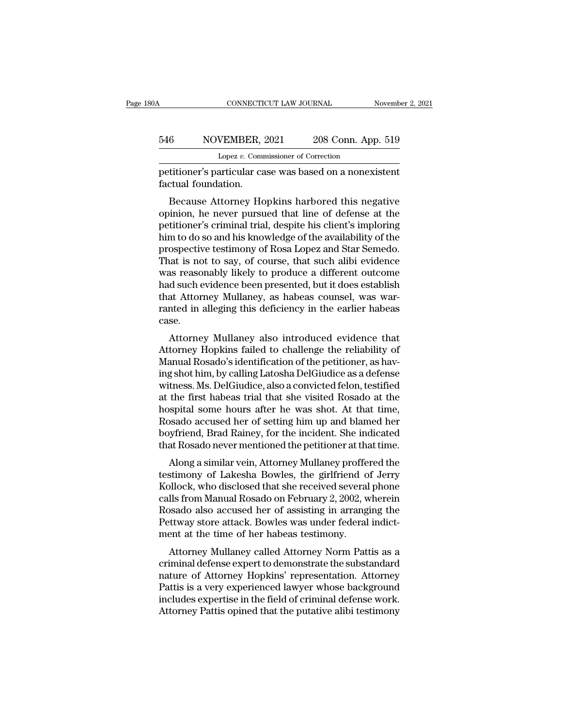# CONNECTICUT LAW JOURNAL November 2, 2021<br>546 NOVEMBER, 2021 208 Conn. App. 519<br>Lopez v. Commissioner of Correction CONNECTICUT LAW JOURNAL November 2, 2021<br>546 NOVEMBER, 2021 208 Conn. App. 519<br>Lopez *v.* Commissioner of Correction<br>petitioner's particular case was based on a nonexistent

FREE CONNECTICUT LAW JOURNAL Movember 2, 2021<br>
S46 NOVEMBER, 2021 208 Conn. App. 519<br>
Lopez v. Commissioner of Correction<br>
petitioner's particular case was based on a nonexistent<br>
factual foundation. 546 NOVEMBER, 2<br>
Lopez v. Comm<br>
petitioner's particular ca<br>
factual foundation.<br>
Because Attorney Ho

Because Attorney Hopkins harbored this negative<br>different metal foundation.<br>Because Attorney Hopkins harbored this negative<br>inion, he never pursued that line of defense at the<br>titionor's criminal trial dospito bis clion's 546 NOVEMBER, 2021 208 Conn. App. 519<br>
Lopez v. Commissioner of Correction<br>
petitioner's particular case was based on a nonexistent<br>
factual foundation.<br>
Because Attorney Hopkins harbored this negative<br>
opinion, he never Lopez v. Commissioner of Correction<br>petitioner's particular case was based on a nonexistent<br>factual foundation.<br>Because Attorney Hopkins harbored this negative<br>opinion, he never pursued that line of defense at the<br>petition petitioner's particular case was based on a nonexistent<br>factual foundation.<br>Because Attorney Hopkins harbored this negative<br>opinion, he never pursued that line of defense at the<br>petitioner's criminal trial, despite his cli petitioner's particular case was based on a honexistent<br>factual foundation.<br>Because Attorney Hopkins harbored this negative<br>opinion, he never pursued that line of defense at the<br>petitioner's criminal trial, despite his cli The internal roundation.<br>
Because Attorney Hopkins harbored this negative<br>
opinion, he never pursued that line of defense at the<br>
petitioner's criminal trial, despite his client's imploring<br>
him to do so and his knowledge Because Attorney Hopkins harbored this negative<br>opinion, he never pursued that line of defense at the<br>petitioner's criminal trial, despite his client's imploring<br>him to do so and his knowledge of the availability of the<br>pr opinion, he never pursued that line of defense at the petitioner's criminal trial, despite his client's imploring him to do so and his knowledge of the availability of the prospective testimony of Rosa Lopez and Star Semed petitioner's criminal trial, despite his client's imploring<br>him to do so and his knowledge of the availability of the<br>prospective testimony of Rosa Lopez and Star Semedo.<br>That is not to say, of course, that such alibi evid him to do so and his knowledge of the availability of the prospective testimony of Rosa Lopez and Star Semedo.<br>That is not to say, of course, that such alibi evidence was reasonably likely to produce a different outcome ha case. at is not to say, of course, that such allof evidence<br>as reasonably likely to produce a different outcome<br>d such evidence been presented, but it does establish<br>at Attorney Mullaney, as habeas counsel, was war-<br>nted in alle was reasonably intery to protuce a unferent outcome<br>had such evidence been presented, but it does establish<br>that Attorney Mullaney, as habeas counsel, was war-<br>ranted in alleging this deficiency in the earlier habeas<br>case.

Mad Such evidence been presented, but it does establish<br>that Attorney Mullaney, as habeas counsel, was war-<br>ranted in alleging this deficiency in the earlier habeas<br>case.<br>Attorney Mullaney also introduced evidence that<br>Att In a Kitoriey Mullaney, as have as Coursel, was warranted in alleging this deficiency in the earlier habeas<br>case.<br>Attorney Mullaney also introduced evidence that<br>Attorney Hopkins failed to challenge the reliability of<br>Manu ranted in aneging this dericiency in the earlier habeas<br>case.<br>Attorney Mullaney also introduced evidence that<br>Attorney Hopkins failed to challenge the reliability of<br>Manual Rosado's identification of the petitioner, as hav Attorney Mullaney also introduced evidence that<br>Attorney Hopkins failed to challenge the reliability of<br>Manual Rosado's identification of the petitioner, as hav-<br>ing shot him, by calling Latosha DelGiudice as a defense<br>wit Attorney Mullaney also introduced evidence that<br>Attorney Hopkins failed to challenge the reliability of<br>Manual Rosado's identification of the petitioner, as hav-<br>ing shot him, by calling Latosha DelGiudice as a defense<br>wit Attorney Hopkins failed to challenge the reliability of Manual Rosado's identification of the petitioner, as having shot him, by calling Latosha DelGiudice as a defense witness. Ms. DelGiudice, also a convicted felon, test Manual Rosado's identification of the petitioner, as having shot him, by calling Latosha DelGiudice as a defense witness. Ms. DelGiudice, also a convicted felon, testified at the first habeas trial that she visited Rosado ing shot him, by calling Latosha DelGiudice as a defense<br>witness. Ms. DelGiudice, also a convicted felon, testified<br>at the first habeas trial that she visited Rosado at the<br>hospital some hours after he was shot. At that ti thess. Ms. Detonutive, also a convicted feron, testined<br>the first habeas trial that she visited Rosado at the<br>spital some hours after he was shot. At that time,<br>ssado accused her of setting him up and blamed her<br>vyfriend, at the first habeas that that she visited hosato at the<br>hospital some hours after he was shot. At that time,<br>Rosado accused her of setting him up and blamed her<br>boyfriend, Brad Rainey, for the incident. She indicated<br>that

Rosado accused her of setting him up and blamed her<br>boyfriend, Brad Rainey, for the incident. She indicated<br>that Rosado never mentioned the petitioner at that time.<br>Along a similar vein, Attorney Mullaney proffered the<br>tes rosado accused ner of setting film up and blaned ner<br>boyfriend, Brad Rainey, for the incident. She indicated<br>that Rosado never mentioned the petitioner at that time.<br>Along a similar vein, Attorney Mullaney proffered the<br>te Boymend, Brad Ramey, for the incident. She indicated<br>that Rosado never mentioned the petitioner at that time.<br>Along a similar vein, Attorney Mullaney proffered the<br>testimony of Lakesha Bowles, the girlfriend of Jerry<br>Kollo The total individual mosal of the perticular to perticular that the testimony of Lakesha Bowles, the girlfriend of Jerry Kollock, who disclosed that she received several phone calls from Manual Rosado on February 2, 2002, Along a similar vein, Attorney Mullaney proffe<br>testimony of Lakesha Bowles, the girlfriend o<br>Kollock, who disclosed that she received several<br>calls from Manual Rosado on February 2, 2002, w<br>Rosado also accused her of assis Sumony of Lakesna Dowes, the gimment of Jerry<br>Dilock, who disclosed that she received several phone<br>Ils from Manual Rosado on February 2, 2002, wherein<br>ssado also accused her of assisting in arranging the<br>tttway store atta Ronock, who uisclosed that she received several phone<br>calls from Manual Rosado on February 2, 2002, wherein<br>Rosado also accused her of assisting in arranging the<br>Pettway store attack. Bowles was under federal indict-<br>ment

cans from manuar rosado of February 2, 2002, wherein<br>Rosado also accused her of assisting in arranging the<br>Pettway store attack. Bowles was under federal indict-<br>ment at the time of her habeas testimony.<br>Attorney Mullaney relative above the consisting in arranging the<br>Pettway store attack. Bowles was under federal indict-<br>ment at the time of her habeas testimony.<br>Attorney Mullaney called Attorney Norm Pattis as a<br>criminal defense expert to I ettway store attack. Bowles was under rederar indictionent at the time of her habeas testimony.<br>
Attorney Mullaney called Attorney Norm Pattis as a<br>
criminal defense expert to demonstrate the substandard<br>
nature of Attor Attorney Mullaney called Attorney Norm Pattis as a<br>criminal defense expert to demonstrate the substandard<br>nature of Attorney Hopkins' representation. Attorney<br>Pattis is a very experienced lawyer whose background<br>includes e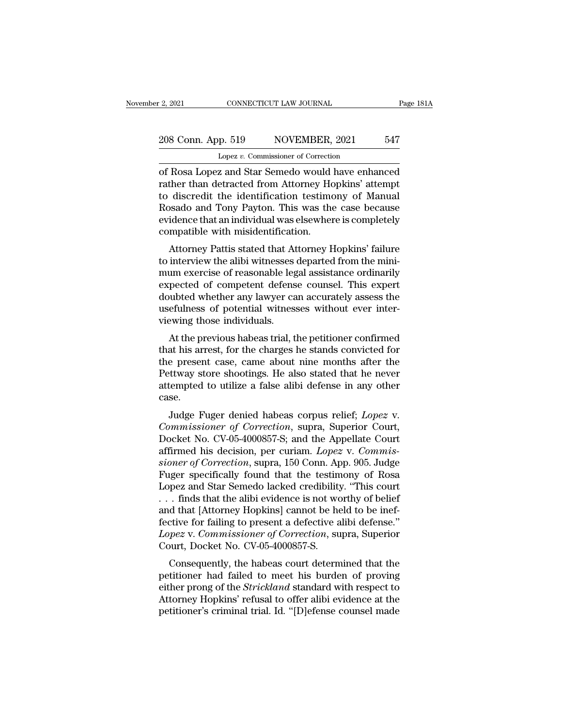# 2, 2021 CONNECTICUT LAW JOURNAL Page 181A<br>208 Conn. App. 519 NOVEMBER, 2021 547<br>Lopez v. Commissioner of Correction Lopez *v.* Commissioner of Correction

2, 2021 CONNECTICUT LAW JOURNAL Page 181A<br>
208 Conn. App. 519 NOVEMBER, 2021 547<br>
Lopez v. Commissioner of Correction<br>
of Rosa Lopez and Star Semedo would have enhanced<br>
rather than detracted from Attorney Hopkins' attempt 208 Conn. App. 519 NOVEMBER, 2021 547<br>
Lopez v. Commissioner of Correction<br>
of Rosa Lopez and Star Semedo would have enhanced<br>
rather than detracted from Attorney Hopkins' attempt<br>
to discredit the identification testimony 208 Conn. App. 519 NOVEMBER, 2021 547<br>
Lopez v. Commissioner of Correction<br>
of Rosa Lopez and Star Semedo would have enhanced<br>
rather than detracted from Attorney Hopkins' attempt<br>
to discredit the identification testimony 208 Conn. App. 519 NOVEMBER, 2021 547<br>
Lopez v. Commissioner of Correction<br>
of Rosa Lopez and Star Semedo would have enhanced<br>
rather than detracted from Attorney Hopkins' attempt<br>
to discredit the identification testimony Lopez v. Commissioner of Correction<br>
of Rosa Lopez and Star Semedo would have enhanced<br>
rather than detracted from Attorney Hopkins' attempt<br>
to discredit the identification testimony of Manual<br>
Rosado and Tony Payton. Thi Lopez v. Commissioner of Correction<br>of Rosa Lopez and Star Semedo would<br>rather than detracted from Attorney Ho<br>to discredit the identification testime<br>Rosado and Tony Payton. This was the<br>evidence that an individual was el Rosa Lopez and star seniedo would have emianted<br>ther than detracted from Attorney Hopkins' attempt<br>discredit the identification testimony of Manual<br>ssado and Tony Payton. This was the case because<br>idence that an individual Trainer than detracted from Attorney Hopkins attempt<br>to discredit the identification testimony of Manual<br>Rosado and Tony Payton. This was the case because<br>evidence that an individual was elsewhere is completely<br>compatible

to uscredit the identification testinoly of manual<br>Rosado and Tony Payton. This was the case because<br>evidence that an individual was elsewhere is completely<br>compatible with misidentification.<br>Attorney Pattis stated that At revidence that an individual was elsewhere is completely<br>evidence that an individual was elsewhere is completely<br>compatible with misidentification.<br>Attorney Pattis stated that Attorney Hopkins' failure<br>to interview the ali evidence that an individual was elsewhere is completely<br>compatible with misidentification.<br>Attorney Pattis stated that Attorney Hopkins' failure<br>to interview the alibi witnesses departed from the mini-<br>mum exercise of reas Europeanor with installation.<br>
Attorney Pattis stated that Attorney Hopkins' failure<br>
to interview the alibi witnesses departed from the mini-<br>
mum exercise of reasonable legal assistance ordinarily<br>
expected of competent Attorney Pattis stated that At<br>to interview the alibi witnesses<br>mum exercise of reasonable leg<br>expected of competent defens<br>doubted whether any lawyer ca<br>usefulness of potential witnes<br>viewing those individuals.<br>At the pre Interview the anor whresses departed nont the num-<br>um exercise of reasonable legal assistance ordinarily<br>pected of competent defense counsel. This expert<br>ubted whether any lawyer can accurately assess the<br>efulness of poten that the series of reasonable legal assistance ordinarity<br>expected of competent defense counsel. This expert<br>doubted whether any lawyer can accurately assess the<br>usefulness of potential witnesses without ever inter-<br>viewin

Expected of competent defense counser. This expert<br>doubted whether any lawyer can accurately assess the<br>usefulness of potential witnesses without ever inter-<br>viewing those individuals.<br>At the previous habeas trial, the pet doubted whether any lawyer can accurately assess the<br>usefulness of potential witnesses without ever inter-<br>viewing those individuals.<br>At the previous habeas trial, the petitioner confirmed<br>that his arrest, for the charges detailes a false alibi defense in any other the<br>viewing those individuals.<br>At the previous habeas trial, the petitioner confirmed<br>that his arrest, for the charges he stands convicted for<br>the present case, came about nine m case. At the previous habeas that, the petholen committed<br>at his arrest, for the charges he stands convicted for<br>e present case, came about nine months after the<br>ttway store shootings. He also stated that he never<br>tempted to uti *Commissioner of Correction*, superior Court, Docket No. CV-05-4000857-S; and the Appellate Court affirmed his decision por curiam *Lonez v. Commissioner of Correction*, supra, Superior Court, Docket No. CV-05-4000857-S; a

the present case, can<br>e about nine months after the<br>Pettway store shootings. He also stated that he never<br>attempted to utilize a false alibi defense in any other<br>case.<br>Judge Fuger denied habeas corpus relief; *Lopez* v.<br>*C* Fettway store shootings. He also stated that he hever<br>attempted to utilize a false alibi defense in any other<br>case.<br>Judge Fuger denied habeas corpus relief; *Lopez* v.<br>*Commissioner of Correction*, supra, Superior Court,<br>D *siventyled to dulize a tase and detense in any other*<br> *case.*<br> *Judge Fuger denied habeas corpus relief; Lopez v.<br>
<i>Commissioner of Correction*, supra, Superior Court,<br> *Docket No. CV-05-4000857-S; and the Appellate Cour* Judge Fuger denied habeas corpus relief; *Lopez v.*<br>Commissioner of Correction, supra, Superior Court,<br>Docket No. CV-05-4000857-S; and the Appellate Court<br>affirmed his decision, per curiam. *Lopez v. Commis-<br>sioner of Corr* Judge Fuger denied habeas corpus relief; *Lopez v.*<br>Commissioner of Correction, supra, Superior Court,<br>Docket No. CV-05-4000857-S; and the Appellate Court<br>affirmed his decision, per curiam. *Lopez v. Commis-<br>sioner of Corr* Commissioner of Correction, supra, Superior Court,<br>Docket No. CV-05-4000857-S; and the Appellate Court<br>affirmed his decision, per curiam. *Lopez* v. Commis-<br>sioner of Correction, supra, 150 Conn. App. 905. Judge<br>Fuger spec Docket No. CV-05-4000857-S; and the Appellate Court<br>affirmed his decision, per curiam. *Lopez* v. *Commissioner of Correction*, supra, 150 Conn. App. 905. Judge<br>Fuger specifically found that the testimony of Rosa<br>Lopez and affirmed his decision, per curiam. *Lopez* v. *Commissioner of Correction*, supra, 150 Conn. App. 905. Judge<br>Fuger specifically found that the testimony of Rosa<br>Lopez and Star Semedo lacked credibility. "This court<br>... fin *sioner of Correction*, supra, 150 Conn. App. 905. Judge<br>Fuger specifically found that the testimony of Rosa<br>Lopez and Star Semedo lacked credibility. "This court<br>... finds that the alibi evidence is not worthy of belief<br>a Fuger specifically found that the testin<br>Lopez and Star Semedo lacked credibility<br>... finds that the alibi evidence is not wo<br>and that [Attorney Hopkins] cannot be he<br>fective for failing to present a defective a<br>*Lopez* v Thus that the alibi evidence is not worthy of belief<br>d that [Attorney Hopkins] cannot be held to be inef-<br>ctive for failing to present a defective alibi defense."<br> $pex$  v. *Commissioner of Correction*, supra, Superior<br>ourt Fig. 2.1 mas that the and evidence is not worthy of defies<br>and that [Attorney Hopkins] cannot be held to be inef-<br>fective for failing to present a defective alibi defense."<br>*Lopez* v. *Commissioner of Correction*, supra, S

and that [Attoriey Hopkins] cannot be field to be file-<br>fective for failing to present a defective alibi defense."<br>*Lopez* v. *Commissioner of Correction*, supra, Superior<br>Court, Docket No. CV-05-4000857-S.<br>Consequently, t Lopez v. Commissioner of Correction, supra, Superior<br>Court, Docket No. CV-05-4000857-S.<br>Consequently, the habeas court determined that the<br>petitioner had failed to meet his burden of proving<br>either prong of the *Strickland* Lopez v. Commissioner of Correction, supra, superior<br>Court, Docket No. CV-05-4000857-S.<br>Consequently, the habeas court determined that the<br>petitioner had failed to meet his burden of proving<br>either prong of the *Strickland*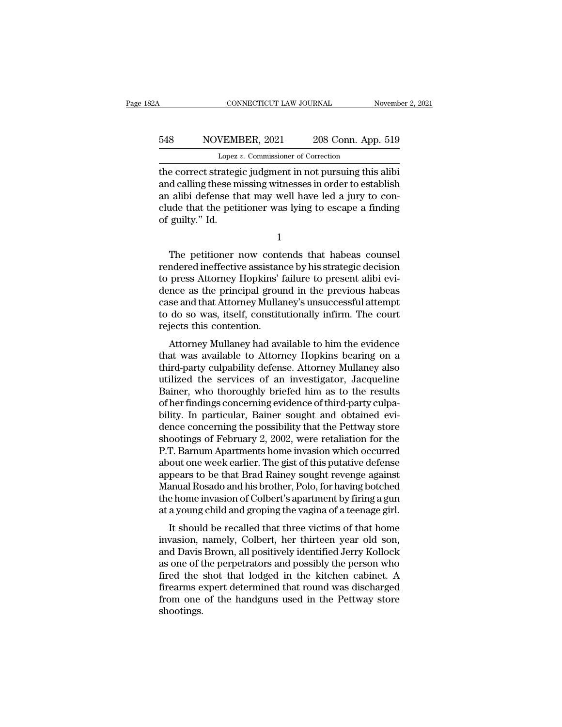# CONNECTICUT LAW JOURNAL November 2, 2021<br>548 NOVEMBER, 2021 208 Conn. App. 519<br>Lopez v. Commissioner of Correction EXECTICUT LAW JOURNAL<br>VEMBER, 2021 208 Conn. App<br>Lopez *v.* Commissioner of Correction<br>rategic judgment in not nursuing this

CONNECTICUT LAW JOURNAL November 2, 20<br>
S48 NOVEMBER, 2021 208 Conn. App. 519<br>
Lopez v. Commissioner of Correction<br>
the correct strategic judgment in not pursuing this alibi<br>
and calling these missing witnesses in order to 548 NOVEMBER, 2021 208 Conn. App. 519<br>
Lopez v. Commissioner of Correction<br>
the correct strategic judgment in not pursuing this alibi<br>
and calling these missing witnesses in order to establish<br>
an alibi defense that may we 548 NOVEMBER, 2021 208 Conn. App. 519<br>
Lopez v. Commissioner of Correction<br>
the correct strategic judgment in not pursuing this alibi<br>
and calling these missing witnesses in order to establish<br>
an alibi defense that may w 548 NOVEMBER, 2021 208 Conn. App. 519<br>
Lopez v. Commissioner of Correction<br>
the correct strategic judgment in not pursuing this alibi<br>
and calling these missing witnesses in order to establish<br>
an alibi defense that may we Lopez<br>
the correct strateger<br>
and calling these m<br>
an alibi defense the clude that the petiof guilty." Id. d calling these missing witnesses in order to establish<br>
alibi defense that may well have led a jury to con-<br>
ide that the petitioner was lying to escape a finding<br>
guilty." Id.<br>
1<br>
The petitioner now contends that habeas

1

an alibi defense that may well have led a jury to conclude that the petitioner was lying to escape a finding<br>of guilty." Id.<br>1<br>The petitioner now contends that habeas counsel<br>rendered ineffective assistance by his strategi % clude that the petitioner was lying to escape a finding<br>of guilty." Id.<br> $\frac{1}{1}$ <br>The petitioner now contends that habeas counsel<br>rendered ineffective assistance by his strategic decision<br>to press Attorney Hopkins' failu of guilty." Id.<br>
1<br>
The petitioner now contends that habeas counsel<br>
rendered ineffective assistance by his strategic decision<br>
to press Attorney Hopkins' failure to present alibi evi-<br>
dence as the principal ground in the 1<br>The petitioner now contends that habeas counsel<br>rendered ineffective assistance by his strategic decision<br>to press Attorney Hopkins' failure to present alibi evi-<br>dence as the principal ground in the previous habeas<br>case The petitioner now contends that habeas counsel<br>rendered ineffective assistance by his strategic decision<br>to press Attorney Hopkins' failure to present alibi evi-<br>dence as the principal ground in the previous habeas<br>case a The petitioner now contained ineffective assistant to press Attorney Hopkins' if dence as the principal ground case and that Attorney Mullar to do so was, itself, constitution.<br>The principal ground is contention.<br>The princ Intered intrictive assistance by ins strategic decision<br>press Attorney Hopkins' failure to present alibi evi-<br>nce as the principal ground in the previous habeas<br>se and that Attorney Mullaney's unsuccessful attempt<br>do so wa to press Attorney Hopkins Tantie to present and evidence as the principal ground in the previous habeas<br>case and that Attorney Mullaney's unsuccessful attempt<br>to do so was, itself, constitutionally infirm. The court<br>reject

dence as the principal ground in the previous habeas<br>case and that Attorney Mullaney's unsuccessful attempt<br>to do so was, itself, constitutionally infirm. The court<br>rejects this contention.<br>Attorney Mullaney had available case and that Attorney Muhaley's dissuccessitu attempt<br>to do so was, itself, constitutionally infirm. The court<br>rejects this contention.<br>Attorney Mullaney had available to him the evidence<br>that was available to Attorney Ho to do so was, itsen, constitutionally finith. The court<br>rejects this contention.<br>Attorney Mullaney had available to him the evidence<br>that was available to Attorney Hopkins bearing on a<br>third-party culpability defense. Atto rejects this contention.<br>Attorney Mullaney had available to him the evidence<br>that was available to Attorney Hopkins bearing on a<br>third-party culpability defense. Attorney Mullaney also<br>utilized the services of an investiga Attorney Mullaney had available to him the evidence<br>that was available to Attorney Hopkins bearing on a<br>third-party culpability defense. Attorney Mullaney also<br>utilized the services of an investigator, Jacqueline<br>Bainer, w that was available to Attorney Hopkins bearing on a<br>third-party culpability defense. Attorney Mullaney also<br>utilized the services of an investigator, Jacqueline<br>Bainer, who thoroughly briefed him as to the results<br>of her f third-party culpability defense. Attorney Mullaney also<br>utilized the services of an investigator, Jacqueline<br>Bainer, who thoroughly briefed him as to the results<br>of her findings concerning evidence of third-party culpa-<br>bi utilized the services of an investigator, Jacqueline<br>Bainer, who thoroughly briefed him as to the results<br>of her findings concerning evidence of third-party culpa-<br>bility. In particular, Bainer sought and obtained evi-<br>den Bainer, who thoroughly briefed him as to the results<br>of her findings concerning evidence of third-party culpa-<br>bility. In particular, Bainer sought and obtained evi-<br>dence concerning the possibility that the Pettway store<br> of her findings concerning evidence of third-party culpability. In particular, Bainer sought and obtained evidence concerning the possibility that the Pettway store shootings of February 2, 2002, were retaliation for the P bility. In particular, Bainer sought and obtained evidence concerning the possibility that the Pettway store<br>shootings of February 2, 2002, were retaliation for the<br>P.T. Barnum Apartments home invasion which occurred<br>about dence concerning the possibility that the Pettway store<br>shootings of February 2, 2002, were retaliation for the<br>P.T. Barnum Apartments home invasion which occurred<br>about one week earlier. The gist of this putative defense<br> shootings of February 2, 2002, were retaliation for the<br>P.T. Barnum Apartments home invasion which occurred<br>about one week earlier. The gist of this putative defense<br>appears to be that Brad Rainey sought revenge against<br>Ma It should be recalled that three victims of that home<br>and Rosado and his brother, Polo, for having botched<br>a home invasion of Colbert's apartment by firing a gun<br>a young child and groping the vagina of a teenage girl.<br>It s about one week earlier. The gist of this putative defense<br>appears to be that Brad Rainey sought revenge against<br>Manual Rosado and his brother, Polo, for having botched<br>the home invasion of Colbert's apartment by firing a g

appears to be that Brad Rainey sought revenge against<br>Manual Rosado and his brother, Polo, for having botched<br>the home invasion of Colbert's apartment by firing a gun<br>at a young child and groping the vagina of a teenage gi manual hosado and his brother, I bio, for having botched<br>the home invasion of Colbert's apartment by firing a gun<br>at a young child and groping the vagina of a teenage girl.<br>It should be recalled that three victims of that fired in the shot that lodged in the Bottway store<br>fired in the called that three victims of that home<br>invasion, namely, Colbert, her thirteen year old son,<br>and Davis Brown, all positively identified Jerry Kollock<br>as one o at a young child and groping the vagnit of a teenage girl.<br>It should be recalled that three victims of that home<br>invasion, namely, Colbert, her thirteen year old son,<br>and Davis Brown, all positively identified Jerry Kolloc It should be recalled that three victims of that home<br>invasion, namely, Colbert, her thirteen year old son,<br>and Davis Brown, all positively identified Jerry Kollock<br>as one of the perpetrators and possibly the person who<br>fi shootings.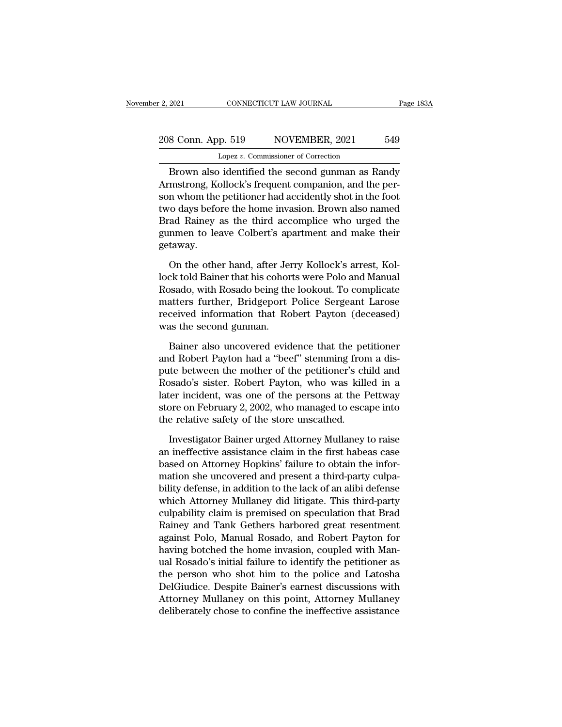## 2, 2021 CONNECTICUT LAW JOURNAL Page 183A<br>208 Conn. App. 519 NOVEMBER, 2021 549<br>Lopez v. Commissioner of Correction Lopez *v.* Commissioner of Correction

EXECTING THE SERIE CONNECTICUT LAW JOURNAL Page 183A<br>
BROWN App. 519 NOVEMBER, 2021 549<br>
Lopez v. Commissioner of Correction<br>
Brown also identified the second gunman as Randy<br>
The second gunman as Randy<br>
The second gunman 208 Conn. App. 519 NOVEMBER, 2021 549<br>
Lopez v. Commissioner of Correction<br>
Brown also identified the second gunman as Randy<br>
Armstrong, Kollock's frequent companion, and the per-<br>
son whom the petitioner had accidently sh 208 Conn. App. 519 NOVEMBER, 2021 549<br>
Lopez v. Commissioner of Correction<br>
Brown also identified the second gunman as Randy<br>
Armstrong, Kollock's frequent companion, and the person whom the petitioner had accidently shot 208 Conn. App. 519 NOVEMBER, 2021 549<br>
Lopez v. Commissioner of Correction<br>
Brown also identified the second gunman as Randy<br>
Armstrong, Kollock's frequent companion, and the per-<br>
son whom the petitioner had accidently s Lopez v. Commissioner of Correction<br>Brown also identified the second gunman as Randy<br>Armstrong, Kollock's frequent companion, and the per-<br>son whom the petitioner had accidently shot in the foot<br>two days before the home in Expeziation and solutions of contraction<br>Brown also identified the second gunman as Randy<br>Armstrong, Kollock's frequent companion, and the per-<br>son whom the petitioner had accidently shot in the foot<br>two days before the h getaway. In whom the petitioner had accidently shot in the foot<br>to days before the home invasion. Brown also named<br>ad Rainey as the third accomplice who urged the<br>nmen to leave Colbert's apartment and make their<br>taway.<br>On the other two days before the home invasion. Brown also named<br>Brad Rainey as the third accomplice who urged the<br>gunmen to leave Colbert's apartment and make their<br>getaway.<br>On the other hand, after Jerry Kollock's arrest, Kol-<br>lock t

Brad Rainey as the third accomplice who urged the<br>gunmen to leave Colbert's apartment and make their<br>getaway.<br>On the other hand, after Jerry Kollock's arrest, Kol-<br>lock told Bainer that his cohorts were Polo and Manual<br>Ros gunmen to leave Colbert's apartment and make their<br>getaway.<br>On the other hand, after Jerry Kollock's arrest, Kollock told Bainer that his cohorts were Polo and Manual<br>Rosado, with Rosado being the lookout. To complicate<br>ma getaway.<br>
On the other hand, after Jerry Kollock's arrest, Kollock told Bainer that his cohorts were Polo and Manual<br>
Rosado, with Rosado being the lookout. To complicate<br>
matters further, Bridgeport Police Sergeant Larose On the other hand, after Jendock told Bainer that his cohor<br>Rosado, with Rosado being the<br>matters further, Bridgeport<br>received information that Ro<br>was the second gunman.<br>Bainer also uncovered evid ck told Bainer that his cohorts were Polo and Manual<br>bsado, with Rosado being the lookout. To complicate<br>atters further, Bridgeport Police Sergeant Larose<br>ceived information that Robert Payton (deceased)<br>as the second gunm Rosado, with Rosado being the lookout. To complicate<br>matters further, Bridgeport Police Sergeant Larose<br>received information that Robert Payton (deceased)<br>was the second gunman.<br>Bainer also uncovered evidence that the peti

matters further, Bridgeport Police Sergeant Larose<br>received information that Robert Payton (deceased)<br>was the second gunman.<br>Bainer also uncovered evidence that the petitioner<br>and Robert Payton had a "beef" stemming from a received information that Robert Payton (deceased)<br>was the second gunman.<br>Bainer also uncovered evidence that the petitioner<br>and Robert Payton had a "beef" stemming from a dis-<br>pute between the mother of the petitioner's c was the second gunman.<br>
Bainer also uncovered evidence that the petitioner<br>
and Robert Payton had a "beef" stemming from a dis-<br>
pute between the mother of the petitioner's child and<br>
Rosado's sister. Robert Payton, who wa Bainer also uncovered evidence that the petitioner<br>and Robert Payton had a "beef" stemming from a dis-<br>pute between the mother of the petitioner's child and<br>Rosado's sister. Robert Payton, who was killed in a<br>later inciden Bainer also uncovered evidence that the pe<br>and Robert Payton had a "beef" stemming fror<br>pute between the mother of the petitioner's ch<br>Rosado's sister. Robert Payton, who was kill<br>later incident, was one of the persons at Interactive and the mother of the petitioner's child and ssado's sister. Robert Payton, who was killed in a<br>ler incident, was one of the persons at the Pettway<br>ore on February 2, 2002, who managed to escape into<br>e relative Rosado's sister. Robert Payton, who was killed in a<br>later incident, was one of the persons at the Pettway<br>store on February 2, 2002, who managed to escape into<br>the relative safety of the store unscathed.<br>Investigator Baine

later incident, was one of the persons at the Pettway<br>store on February 2, 2002, who managed to escape into<br>the relative safety of the store unscathed.<br>Investigator Bainer urged Attorney Mullaney to raise<br>an ineffective as store on February 2, 2002, who managed to escape into<br>the relative safety of the store unscathed.<br>Investigator Bainer urged Attorney Mullaney to raise<br>an ineffective assistance claim in the first habeas case<br>based on Attor the relative safety of the store unscathed.<br>
Investigator Bainer urged Attorney Mullaney to raise<br>
an ineffective assistance claim in the first habeas case<br>
based on Attorney Hopkins' failure to obtain the infor-<br>
mation s Investigator Bainer urged Attorney Mullaney to raise<br>an ineffective assistance claim in the first habeas case<br>based on Attorney Hopkins' failure to obtain the infor-<br>mation she uncovered and present a third-party culpa-<br>bi Investigator Bainer urged Attorney Mullaney to raise<br>an ineffective assistance claim in the first habeas case<br>based on Attorney Hopkins' failure to obtain the infor-<br>mation she uncovered and present a third-party culpa-<br>bi an ineffective assistance claim in the first habeas case<br>based on Attorney Hopkins' failure to obtain the infor-<br>mation she uncovered and present a third-party culpa-<br>bility defense, in addition to the lack of an alibi def based on Attorney Hopkins' failure to obtain the information she uncovered and present a third-party culpability defense, in addition to the lack of an alibi defense which Attorney Mullaney did litigate. This third-party c mation she uncovered and present a third-party culpability defense, in addition to the lack of an alibi defense<br>which Attorney Mullaney did litigate. This third-party<br>culpability claim is premised on speculation that Brad<br> bility defense, in addition to the lack of an alibi defense<br>which Attorney Mullaney did litigate. This third-party<br>culpability claim is premised on speculation that Brad<br>Rainey and Tank Gethers harbored great resentment<br>ag which Attorney Mullaney did litigate. This third-party<br>culpability claim is premised on speculation that Brad<br>Rainey and Tank Gethers harbored great resentment<br>against Polo, Manual Rosado, and Robert Payton for<br>having botc culpability claim is premised on speculation that Brad<br>Rainey and Tank Gethers harbored great resentment<br>against Polo, Manual Rosado, and Robert Payton for<br>having botched the home invasion, coupled with Man-<br>ual Rosado's i Rainey and Tank Gethers harbored great resentment<br>against Polo, Manual Rosado, and Robert Payton for<br>having botched the home invasion, coupled with Man-<br>ual Rosado's initial failure to identify the petitioner as<br>the person against Polo, Manual Rosado, and Robert Payton for<br>having botched the home invasion, coupled with Manual Rosado's initial failure to identify the petitioner as<br>the person who shot him to the police and Latosha<br>DelGiudice.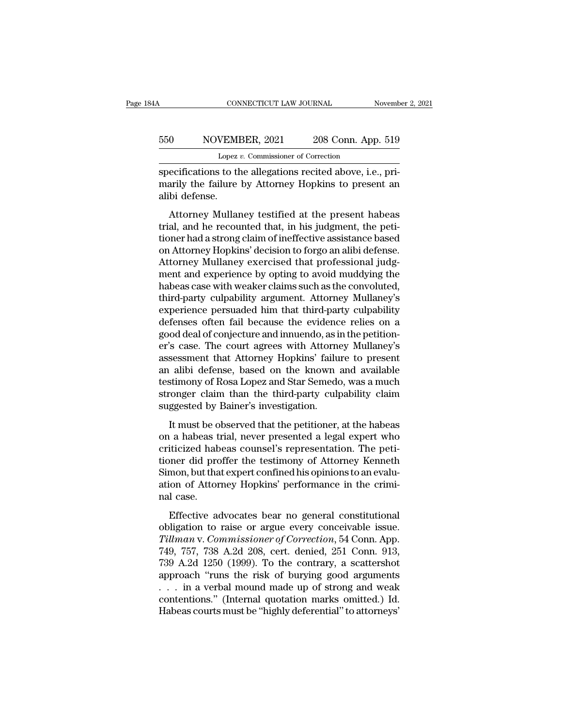## CONNECTICUT LAW JOURNAL November 2, 2021<br>550 NOVEMBER, 2021 208 Conn. App. 519<br>Lopez v. Commissioner of Correction CONNECTICUT LAW JOURNAL<br>VEMBER, 2021 208 Conn. App<br>Lopez *v.* Commissioner of Correction<br>is to the allegations recited above i.e.

CONNECTICUT LAW JOURNAL November 1998<br>
Specifications to the allegations recited above, i.e., pri-<br>
Specifications to the allegations recited above, i.e., pri-<br>
Specifications to the allegations recited above, i.e., pri-<br> MOVEMBER, 2021 208 Conn. App. 519<br>
Lopez v. Commissioner of Correction<br>
specifications to the allegations recited above, i.e., pri-<br>
marily the failure by Attorney Hopkins to present an<br>
alibi defense. 550 NOVEMI<br>
Lopez<br>
specifications to the<br>
marily the failure<br>
alibi defense.<br>
Attorney Mullar  $\frac{10}{\text{Lopez } v. \text{ Commissioner of Correction}}$ <br>
Elepez v. Commissioner of Correction<br>
ecifications to the allegations recited above, i.e., pri-<br>
arily the failure by Attorney Hopkins to present an<br>
bi defense.<br>
Attorney Mullaney testified at

Lopez v. Commissioner of Correction<br>
specifications to the allegations recited above, i.e., pri-<br>
marily the failure by Attorney Hopkins to present an<br>
alibi defense.<br>
Attorney Mullaney testified at the present habeas<br>
tri specifications to the allegations recited above, i.e., primarily the failure by Attorney Hopkins to present an<br>alibi defense.<br>Attorney Mullaney testified at the present habeas<br>trial, and he recounted that, in his judgment, specifications to the angularity fechical dove, i.e., primarily the failure by Attorney Hopkins to present an alibi defense.<br>Attorney Mullaney testified at the present habeas trial, and he recounted that, in his judgment, Attorney Mullaney testified at the present habeas<br>trial, and he recounted that, in his judgment, the peti-<br>tioner had a strong claim of ineffective assistance based<br>on Attorney Hopkins' decision to forgo an alibi defense.<br> Attorney Mullaney testified at the present habeas<br>trial, and he recounted that, in his judgment, the peti-<br>tioner had a strong claim of ineffective assistance based<br>on Attorney Hopkins' decision to forgo an alibi defense.<br> Attorney Mullaney testified at the present habeas<br>trial, and he recounted that, in his judgment, the peti-<br>tioner had a strong claim of ineffective assistance based<br>on Attorney Hopkins' decision to forgo an alibi defense.<br> trial, and he recounted that, in his judgment, the petitioner had a strong claim of ineffective assistance based<br>on Attorney Hopkins' decision to forgo an alibi defense.<br>Attorney Mullaney exercised that professional judgme tioner had a strong claim of ineffective assistance based<br>on Attorney Hopkins' decision to forgo an alibi defense.<br>Attorney Mullaney exercised that professional judg-<br>ment and experience by opting to avoid muddying the<br>hab on Attorney Hopkins' decision to forgo an alibi defense.<br>Attorney Mullaney exercised that professional judgment and experience by opting to avoid muddying the<br>habeas case with weaker claims such as the convoluted,<br>third-pa Attorney Mullaney exercised that professional judgment and experience by opting to avoid muddying the habeas case with weaker claims such as the convoluted, third-party culpability argument. Attorney Mullaney's experience ment and experience by opting to avoid muddying the<br>habeas case with weaker claims such as the convoluted,<br>third-party culpability argument. Attorney Mullaney's<br>experience persuaded him that third-party culpability<br>defense habeas case with weaker claims such as the convoluted,<br>third-party culpability argument. Attorney Mullaney's<br>experience persuaded him that third-party culpability<br>defenses often fail because the evidence relies on a<br>good d third-party culpability argument. Attorney Mullaney's<br>experience persuaded him that third-party culpability<br>defenses often fail because the evidence relies on a<br>good deal of conjecture and innuendo, as in the petition-<br>er' experience persuaded him that third-party culpability<br>defenses often fail because the evidence relies on a<br>good deal of conjecture and innuendo, as in the petition-<br>er's case. The court agrees with Attorney Mullaney's<br>asse defenses often fail because the evidence relies on a<br>good deal of conjecture and innuendo, as in the petition-<br>er's case. The court agrees with Attorney Mullaney's<br>assessment that Attorney Hopkins' failure to present<br>an al good deal of conjecture and innuendo, as i<br>er's case. The court agrees with Attorne<br>assessment that Attorney Hopkins' failu<br>an alibi defense, based on the known<br>testimony of Rosa Lopez and Star Semedo<br>stronger claim than t S case. The coard agrees what rationnely inducting is<br>sessment that Attorney Hopkins' failure to present<br>alibi defense, based on the known and available<br>stimony of Rosa Lopez and Star Semedo, was a much<br>conger claim than t assessment and recordcy rephals rande to present<br>an alibi defense, based on the known and available<br>testimony of Rosa Lopez and Star Semedo, was a much<br>stronger claim than the third-party culpability claim<br>suggested by Bai

call and terestics, based on the finown and avaliable<br>testimony of Rosa Lopez and Star Semedo, was a much<br>stronger claim than the third-party culpability claim<br>suggested by Bainer's investigation.<br>It must be observed that tronger claim than the third-party culpability claim<br>suggested by Bainer's investigation.<br>It must be observed that the petitioner, at the habeas<br>on a habeas trial, never presented a legal expert who<br>criticized habeas couns Simonger claim that the thrid patty capacing, claim<br>suggested by Bainer's investigation.<br>It must be observed that the petitioner, at the habeas<br>on a habeas trial, never presented a legal expert who<br>criticized habeas counse It must be observed that the petitioner, at the habeas<br>on a habeas trial, never presented a legal expert who<br>criticized habeas counsel's representation. The peti-<br>tioner did proffer the testimony of Attorney Kenneth<br>Simon, It must be o<br>on a habeas t<br>criticized hab<br>tioner did pro<br>Simon, but tha<br>ation of Attor<br>nal case.<br>Effective ac iticized habeas counsel's representation. The peti-<br>iticized habeas counsel's representation. The peti-<br>ner did proffer the testimony of Attorney Kenneth<br>mon, but that expert confined his opinions to an evalu-<br>ion of Attor Effective discussed conservers representation. The pear<br>tioner did proffer the testimony of Attorney Kenneth<br>Simon, but that expert confined his opinions to an evalu-<br>ation of Attorney Hopkins' performance in the crimi-<br>na

*Timon, but that expert confined his opinions to an evaluation of Attorney Hopkins' performance in the criminal case.*<br>*Tiffective advocates bear no general constitutional obligation to raise or argue every conceivable iss* Effective advocates bear no general constitutional<br>ation of Attorney Hopkins' performance in the crimi-<br>nal case.<br>Effective advocates bear no general constitutional<br>obligation to raise or argue every conceivable issue.<br>Til Effective advocates bear no general constitutional<br>obligation to raise or argue every conceivable issue.<br>Tillman v. Commissioner of Correction, 54 Conn. App.<br>749, 757, 738 A.2d 208, cert. denied, 251 Conn. 913,<br>739 A.2d 12 Effective advocates bear no general constitutional<br>obligation to raise or argue every conceivable issue.<br>Tillman v. Commissioner of Correction, 54 Conn. App.<br>749, 757, 738 A.2d 208, cert. denied, 251 Conn. 913,<br>739 A.2d 1 Effective advocates bear no general constitutional<br>obligation to raise or argue every conceivable issue.<br>Tillman v. Commissioner of Correction, 54 Conn. App.<br>749, 757, 738 A.2d 208, cert. denied, 251 Conn. 913,<br>739 A.2d 12 obligation to raise or argue every conceivable issue.<br>
Tillman v. Commissioner of Correction, 54 Conn. App.<br>
749, 757, 738 A.2d 208, cert. denied, 251 Conn. 913,<br>
739 A.2d 1250 (1999). To the contrary, a scattershot<br>
appro Tillman v. Commissioner of Correction, 54 Conn. App.<br>749, 757, 738 A.2d 208, cert. denied, 251 Conn. 913,<br>739 A.2d 1250 (1999). To the contrary, a scattershot<br>approach "runs the risk of burying good arguments<br>... in a verb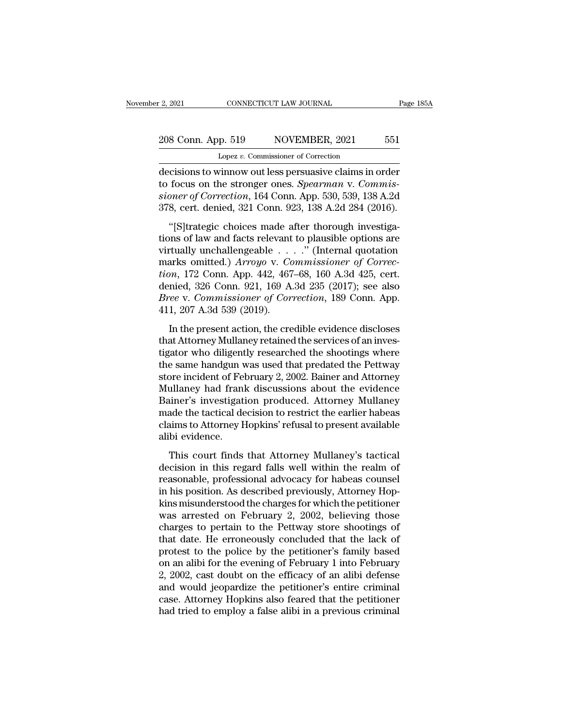## 2, 2021 CONNECTICUT LAW JOURNAL Page 185A<br>208 Conn. App. 519 NOVEMBER, 2021 551<br>Lopez v. Commissioner of Correction Lopez *v.* Commissioner of Correction

2, 2021 CONNECTICUT LAW JOURNAL Page 185A<br>
208 Conn. App. 519 NOVEMBER, 2021 551<br>
Lopez v. Commissioner of Correction<br>
decisions to winnow out less persuasive claims in order<br>
to focus on the stronger ones. *Spearman* v. C 208 Conn. App. 519 NOVEMBER, 2021 551<br>
Lopez v. Commissioner of Correction<br>
decisions to winnow out less persuasive claims in order<br>
to focus on the stronger ones. *Spearman* v. *Commis-*<br>
sioner of Correction, 164 Conn. A 208 Conn. App. 519 NOVEMBER, 2021 551<br>
Lopez v. Commissioner of Correction<br>
decisions to winnow out less persuasive claims in order<br>
to focus on the stronger ones. *Spearman* v. Commis-<br>
sioner of Correction, 164 Conn. App 208 Conn. App. 519 NOVEMBER, 2021 551<br>
Lopez v. Commissioner of Correction<br>
decisions to winnow out less persuasive claims in order<br>
to focus on the stronger ones. *Spearman* v. Commis-<br>
sioner of Correction, 164 Conn. App Lopez v. Commissioner of Correction<br>
cisions to winnow out less persuasive claims in order<br>
focus on the stronger ones. Spearman v. Commis-<br>
oner of Correction, 164 Conn. App. 530, 539, 138 A.2d<br>
8, cert. denied, 321 Conn decisions to winnow out less persuasive claims in order<br>to focus on the stronger ones. *Spearman v. Commissioner of Correction*, 164 Conn. App. 530, 539, 138 A.2d<br>378, cert. denied, 321 Conn. 923, 138 A.2d 284 (2016).<br>"[S]

to focus on the stronger ones. *Spearman v. Commissioner of Correction*, 164 Conn. App. 530, 539, 138 A.2d<br>378, cert. denied, 321 Conn. 923, 138 A.2d 284 (2016).<br>"[S]trategic choices made after thorough investiga-<br>tions of sioner of Correction, 164 Conn. App. 530, 539, 138 A.2d<br>378, cert. denied, 321 Conn. 923, 138 A.2d 284 (2016).<br>"[S]trategic choices made after thorough investiga-<br>tions of law and facts relevant to plausible options are<br>vi *tionary correction, 104 Conn. App. 950, 950, 150 A.2d*<br> *tion*, 172 Conn. 923, 138 A.2d 284 (2016).<br>
"[S] trategic choices made after thorough investiga-<br>
tions of law and facts relevant to plausible options are<br>
virtuall "[S]trategic choices made after thorough investiga-<br>tions of law and facts relevant to plausible options are<br>virtually unchallengeable  $\ldots$ ." (Internal quotation<br>marks omitted.) Arroyo v. Commissioner of Correc-<br>tion, 17 "[S]trategic choices made after thorough investigations of law and facts relevant to plausible options are virtually unchallengeable . . . ." (Internal quotation marks omitted.) *Arroyo* v. *Commissioner of Correction*, 17 tions of law and facts relevant<br>virtually unchallengeable . .<br>marks omitted.) Arroyo v. Co<br>tion, 172 Conn. App. 442, 467<br>denied, 326 Conn. 921, 169 A<br>Bree v. Commissioner of Cor<br>411, 207 A.3d 539 (2019).<br>In the present act The present action, the credible evidence discloses at Attorney Mullaney retained, the present action, the credible evidence discloses at Attorney Mullaney retained the services of an investor who diligority researched th tion, 172 Conn. App. 442, 467–68, 160 A.3d 425, cert.<br>denied, 326 Conn. 921, 169 A.3d 235 (2017); see also<br>*Bree v. Commissioner of Correction*, 189 Conn. App.<br>411, 207 A.3d 539 (2019).<br>In the present action, the credible

tigator who diligently researched the shootings where<br>the shown, 122 Conn. 921, 169 A.3d 235 (2017); see also<br>Bree v. Commissioner of Correction, 189 Conn. App.<br>411, 207 A.3d 539 (2019).<br>In the present action, the credibl defined, 526 com... 521, 156 1.53 255 (2011), see also<br>Bree v. Commissioner of Correction, 189 Conn. App.<br>411, 207 A.3d 539 (2019).<br>In the present action, the credible evidence discloses<br>that Attorney Mullaney retained the Eric v. Commissioner of Correction, 100 COM. Tipp.<br>411, 207 A.3d 539 (2019).<br>the present action, the credible evidence discloses<br>that Attorney Mullaney retained the services of an inves-<br>tigator who diligently researched t In the present action, the credible evidence discloses<br>that Attorney Mullaney retained the services of an inves-<br>tigator who diligently researched the shootings where<br>the same handgun was used that predated the Pettway<br>sto In the present action, the credible evidence discloses<br>that Attorney Mullaney retained the services of an inves-<br>tigator who diligently researched the shootings where<br>the same handgun was used that predated the Pettway<br>sto that Attorney Mullaney retained the services of an investigator who diligently researched the shootings where<br>the same handgun was used that predated the Pettway<br>store incident of February 2, 2002. Bainer and Attorney<br>Mull tigator who diligently researched the shootings where<br>the same handgun was used that predated the Pettway<br>store incident of February 2, 2002. Bainer and Attorney<br>Mullaney had frank discussions about the evidence<br>Bainer's i the same handgun v<br>store incident of Fel<br>Mullaney had franl<br>Bainer's investigat<br>made the tactical de<br>claims to Attorney H<br>alibi evidence.<br>This court finds The meader of Festally 2, 2002. Bander and Hotothey<br>ullaney had frank discussions about the evidence<br>iner's investigation produced. Attorney Mullaney<br>ade the tactical decision to restrict the earlier habeas<br>aims to Attorne Bainer's investigation produced. Attorney Mullaney<br>Bainer's investigation produced. Attorney Mullaney<br>made the tactical decision to restrict the earlier habeas<br>claims to Attorney Hopkins' refusal to present available<br>alibi

Earlier's Investigation protatectic. This may mantally made the tactical decision to restrict the earlier habeas<br>claims to Attorney Hopkins' refusal to present available<br>alibi evidence.<br>This court finds that Attorney Mulla radic are accreased accreased by restrict the carnet rational<br>claims to Attorney Hopkins' refusal to present available<br>alibi evidence.<br>This court finds that Attorney Mullaney's tactical<br>decision in this regard falls well w claims to ratoricly riopidus related to present available<br>alibi evidence.<br>This court finds that Attorney Mullaney's tactical<br>decision in this regard falls well within the realm of<br>reasonable, professional advocacy for habe This court finds that Attorney Mullaney's tactical<br>decision in this regard falls well within the realm of<br>reasonable, professional advocacy for habeas counsel<br>in his position. As described previously, Attorney Hop-<br>kins mi This court finds that Attorney Mullaney's tactical<br>decision in this regard falls well within the realm of<br>reasonable, professional advocacy for habeas counsel<br>in his position. As described previously, Attorney Hop-<br>kins mi decision in this regard falls well within the realm of<br>reasonable, professional advocacy for habeas counsel<br>in his position. As described previously, Attorney Hop-<br>kins misunderstood the charges for which the petitioner<br>wa reasonable, professional advocacy for habeas counsel<br>in his position. As described previously, Attorney Hop-<br>kins misunderstood the charges for which the petitioner<br>was arrested on February 2, 2002, believing those<br>charges in his position. As described previously, Attorney Hopkins misunderstood the charges for which the petitioner<br>was arrested on February 2, 2002, believing those<br>charges to pertain to the Pettway store shootings of<br>that date kins misunderstood the charges for which the petitioner<br>was arrested on February 2, 2002, believing those<br>charges to pertain to the Pettway store shootings of<br>that date. He erroneously concluded that the lack of<br>protest to was arrested on February 2, 2002, believing those<br>charges to pertain to the Pettway store shootings of<br>that date. He erroneously concluded that the lack of<br>protest to the police by the petitioner's family based<br>on an alibi charges to pertain to the Pettway store shootings of<br>that date. He erroneously concluded that the lack of<br>protest to the police by the petitioner's family based<br>on an alibi for the evening of February 1 into February<br>2, 20 that date. He erroneously concluded that the lack of protest to the police by the petitioner's family based on an alibi for the evening of February 1 into February 2, 2002, cast doubt on the efficacy of an alibi defense an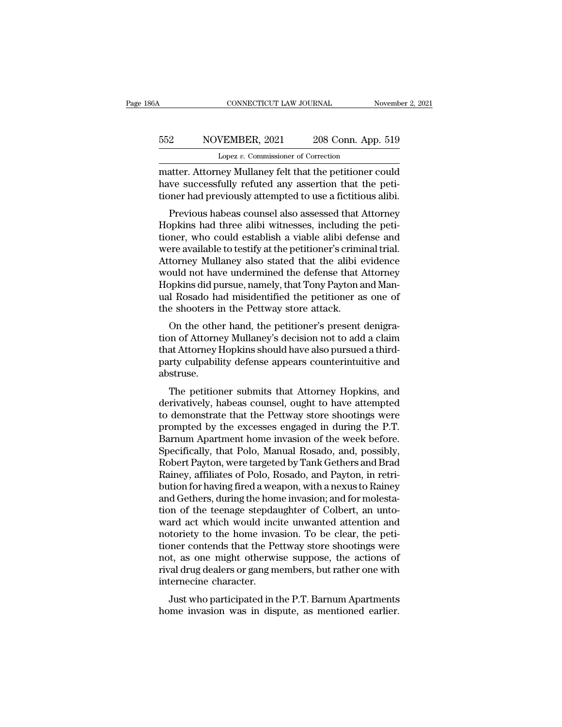## CONNECTICUT LAW JOURNAL November 2, 2021<br>552 NOVEMBER, 2021 208 Conn. App. 519<br>Lopez v. Commissioner of Correction CONNECTICUT LAW JOURNAL<br>VEMBER, 2021 208 Conn. App<br>Lopez *v.* Commissioner of Correction<br>nev Mullanev felt that the netitioner o

CONNECTICUT LAW JOURNAL November 2, 2021<br>
S52 NOVEMBER, 2021 208 Conn. App. 519<br>
Lopez v. Commissioner of Correction<br>
matter. Attorney Mullaney felt that the petitioner could<br>
have successfully refuted any assertion that t have successfully refuted any assertion and the peti-<br>matter. Attorney Mullaney felt that the petitioner could<br>have successfully refuted any assertion that the peti-<br>tioner had previously attempted to use a fictitious alib tioner Movember, 2021 and 208 Conn. App. 519<br>
Lopez v. Commissioner of Correction<br>
matter. Attorney Mullaney felt that the petitioner could<br>
have successfully refuted any assertion that the petitioner had previously attemp Previous habeas counsel also assessed that Attorney

Lopez v. Commissioner of Correction<br>
matter. Attorney Mullaney felt that the petitioner could<br>
have successfully refuted any assertion that the peti-<br>
tioner had previously attempted to use a fictitious alibi.<br>
Previous ha matter. Attorney Mullaney felt that the petitioner could<br>have successfully refuted any assertion that the peti-<br>tioner had previously attempted to use a fictitious alibi.<br>Previous habeas counsel also assessed that Attorney matter. Attorney multaney felt that the petitioner could<br>have successfully refuted any assertion that the peti-<br>tioner had previously attempted to use a fictitious alibi.<br>Previous habeas counsel also assessed that Attorney How is a fictitious alibi.<br>
The successivity attempted to use a fictitious alibi.<br>
Previous habeas counsel also assessed that Attorney<br>
Hopkins had three alibi witnesses, including the peti-<br>
tioner, who could establish a Frevious habeas counsel also assessed that Attorney<br>Hopkins had three alibi witnesses, including the peti-<br>tioner, who could establish a viable alibi defense and<br>were available to testify at the petitioner's criminal trial Previous habeas counsel also assessed that Attorney<br>Hopkins had three alibi witnesses, including the peti-<br>tioner, who could establish a viable alibi defense and<br>were available to testify at the petitioner's criminal trial Hopkins had three alibi witnesses, including the petitioner, who could establish a viable alibi defense and were available to testify at the petitioner's criminal trial.<br>Attorney Mullaney also stated that the alibi evidenc tioner, who could establish a viable alibi defe<br>were available to testify at the petitioner's crimi<br>Attorney Mullaney also stated that the alibi  $\epsilon$ <br>would not have undermined the defense that  $\mu$ <br>Hopkins did pursue, nam Fre available to testify at the petitioner's criminal trial.<br>torney Mullaney also stated that the alibi evidence<br>puld not have undermined the defense that Attorney<br>ppkins did pursue, namely, that Tony Payton and Man-<br>I Ros Attorney Mullaney also stated that the allof evidence<br>would not have undermined the defense that Attorney<br>Hopkins did pursue, namely, that Tony Payton and Man-<br>ual Rosado had misidentified the petitioner as one of<br>the shoo

would not have underhance the defense that Attorney<br>Hopkins did pursue, namely, that Tony Payton and Man-<br>ual Rosado had misidentified the petitioner as one of<br>the shooters in the Pettway store attack.<br>On the other hand, t party culpability defense appears counterintuitive and appear abstruse.<br>
On the other hand, the petitioner's present denigration of Attorney Mullaney's decision not to add a claim<br>
that Attorney Hopkins should have also pu abstruse. On the other hand, the petitioner's present denigra-<br>on of Attorney Mullaney's decision not to add a claim<br>at Attorney Hopkins should have also pursued a third-<br>rty culpability defense appears counterintuitive and<br>struse.<br> on the other hand, the performer s present dengra-<br>tion of Attorney Mullaney's decision not to add a claim<br>that Attorney Hopkins should have also pursued a third-<br>party culpability defense appears counterintuitive and<br>abst

to demonstrately states also pursued a third-<br>that Attorney Hopkins should have also pursued a third-<br>party culpability defense appears counterintuitive and<br>abstruse.<br>The petitioner submits that Attorney Hopkins, and<br>deriv mat Attorney Hopkins should have also pursued a time-<br>party culpability defense appears counterintuitive and<br>abstruse.<br>The petitioner submits that Attorney Hopkins, and<br>derivatively, habeas counsel, ought to have attempted party cupability defense appears counterntuitive and<br>abstruse.<br>The petitioner submits that Attorney Hopkins, and<br>derivatively, habeas counsel, ought to have attempted<br>to demonstrate that the Pettway store shootings were<br>pr The petitioner submits that Attorney Hopkins, and<br>derivatively, habeas counsel, ought to have attempted<br>to demonstrate that the Pettway store shootings were<br>prompted by the excesses engaged in during the P.T.<br>Barnum Apartm The petitioner submits that Attorney Hopkins, and<br>derivatively, habeas counsel, ought to have attempted<br>to demonstrate that the Pettway store shootings were<br>prompted by the excesses engaged in during the P.T.<br>Barnum Apartm derivatively, habeas counsel, ought to have attempted<br>to demonstrate that the Pettway store shootings were<br>prompted by the excesses engaged in during the P.T.<br>Barnum Apartment home invasion of the week before.<br>Specifically to demonstrate that the Pettway store shootings were<br>prompted by the excesses engaged in during the P.T.<br>Barnum Apartment home invasion of the week before.<br>Specifically, that Polo, Manual Rosado, and, possibly,<br>Robert Payt prompted by the excesses engaged in during the P.T.<br>Barnum Apartment home invasion of the week before.<br>Specifically, that Polo, Manual Rosado, and, possibly,<br>Robert Payton, were targeted by Tank Gethers and Brad<br>Rainey, af Barnum Apartment home invasion of the week before.<br>Specifically, that Polo, Manual Rosado, and, possibly,<br>Robert Payton, were targeted by Tank Gethers and Brad<br>Rainey, affiliates of Polo, Rosado, and Payton, in retri-<br>buti Specifically, that Polo, Manual Rosado, and, possibly,<br>Robert Payton, were targeted by Tank Gethers and Brad<br>Rainey, affiliates of Polo, Rosado, and Payton, in retri-<br>bution for having fired a weapon, with a nexus to Raine Robert Payton, were targeted by Tank Gethers and Brad Rainey, affiliates of Polo, Rosado, and Payton, in retribution for having fired a weapon, with a nexus to Rainey and Gethers, during the home invasion; and for molestat Rainey, affiliates of Polo, Rosado, and Payton, in retribution for having fired a weapon, with a nexus to Rainey<br>and Gethers, during the home invasion; and for molesta-<br>tion of the teenage stepdaughter of Colbert, an untobution for having fired a weapon, with a nexus to Rainey<br>and Gethers, during the home invasion; and for molesta-<br>tion of the teenage stepdaughter of Colbert, an unto-<br>ward act which would incite unwanted attention and<br>noto and Gethers, during the home invasion; and for molestation of the teenage stepdaughter of Colbert, an unto-<br>ward act which would incite unwanted attention and<br>notoriety to the home invasion. To be clear, the peti-<br>tioner c tion of the teenage stepda<br>ward act which would inci<br>notoriety to the home inva<br>tioner contends that the Pe<br>not, as one might otherwi<br>rival drug dealers or gang m<br>internecine character.<br>Just who participated in t Figure 2.1 Which would fictive different attention and<br>toriety to the home invasion. To be clear, the peti-<br>pher contends that the Pettway store shootings were<br>t, as one might otherwise suppose, the actions of<br>ral drug dea hotoflety to the holde invasion. To be clear, the peti-<br>tioner contends that the Pettway store shootings were<br>not, as one might otherwise suppose, the actions of<br>rival drug dealers or gang members, but rather one with<br>inte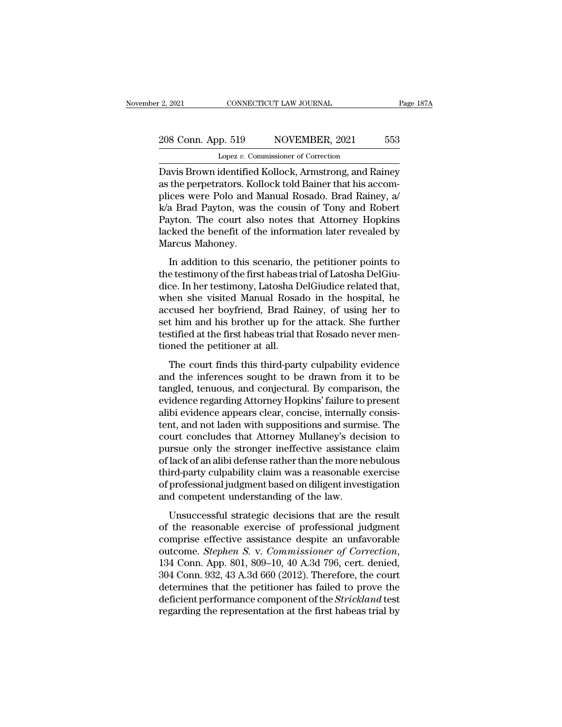# 2021 CONNECTICUT LAW JOURNAL Page 187A<br>208 Conn. App. 519 NOVEMBER, 2021 553<br>Lopez v. Commissioner of Correction

2, 2021 CONNECTICUT LAW JOURNAL<br>
208 Conn. App. 519 NOVEMBER, 2021 553<br>
Lopez *v.* Commissioner of Correction<br>
Davis Brown identified Kollock, Armstrong, and Rainey<br>
as the perpetrators. Kollock told Bainer that his accom-2, 2021 CONNECTICUT LAW JOURNAL Page 187A<br>
208 Conn. App. 519 NOVEMBER, 2021 553<br>
Lopez v. Commissioner of Correction<br>
Davis Brown identified Kollock, Armstrong, and Rainey<br>
as the perpetrators. Kollock told Bainer that hi 208 Conn. App. 519 NOVEMBER, 2021 553<br>
Lopez v. Commissioner of Correction<br>
Davis Brown identified Kollock, Armstrong, and Rainey<br>
as the perpetrators. Kollock told Bainer that his accom-<br>
plices were Polo and Manual Rosad 208 Conn. App. 519 NOVEMBER, 2021 553<br>
Lopez v. Commissioner of Correction<br>
Davis Brown identified Kollock, Armstrong, and Rainey<br>
as the perpetrators. Kollock told Bainer that his accom-<br>
plices were Polo and Manual Rosa Lopez v. Commissioner of Correction<br>Davis Brown identified Kollock, Armstrong, and Rainey<br>as the perpetrators. Kollock told Bainer that his accom-<br>plices were Polo and Manual Rosado. Brad Rainey, a/<br>k/a Brad Payton, was th Lopez v. Commissioner of Correction<br>Davis Brown identified Kollock, Armstrong, and Rainey<br>as the perpetrators. Kollock told Bainer that his accom-<br>plices were Polo and Manual Rosado. Brad Rainey, a/<br>k/a Brad Payton, was th Davis Brown identified<br>as the perpetrators. Kol<br>plices were Polo and N<br>k/a Brad Payton, was<br>Payton. The court als<br>lacked the benefit of th<br>Marcus Mahoney.<br>In addition to this so In a Brad Payton, was the cousin of Tony and Robert<br>Ices were Polo and Manual Rosado. Brad Rainey, a<br>A Brad Payton, was the cousin of Tony and Robert<br>Iyton. The court also notes that Attorney Hopkins<br>Ixed the benefit of th phees were 1 00 and mandar rosado. Erad riancy, a<br>k/a Brad Payton, was the cousin of Tony and Robert<br>Payton. The court also notes that Attorney Hopkins<br>lacked the benefit of the information later revealed by<br>Marcus Mahoney

dice. In her court also notes that Attorney Hopkins<br>lacked the benefit of the information later revealed by<br>Marcus Mahoney.<br>In addition to this scenario, the petitioner points to<br>the testimony of the first habeas trial of Fayton. The court also hotes and Theoricy Trophans<br>lacked the benefit of the information later revealed by<br>Marcus Mahoney.<br>In addition to this scenario, the petitioner points to<br>the testimony of the first habeas trial of L Marcus Mahoney.<br>
In addition to this scenario, the petitioner points to<br>
the testimony of the first habeas trial of Latosha DelGiu-<br>
dice. In her testimony, Latosha DelGiudice related that,<br>
when she visited Manual Rosado In addition to this scenario, the petitioner points to<br>the testimony of the first habeas trial of Latosha DelGiu-<br>dice. In her testimony, Latosha DelGiudice related that,<br>when she visited Manual Rosado in the hospital, he<br> In addition to this scenario, the petitioner points to<br>the testimony of the first habeas trial of Latosha DelGiu-<br>dice. In her testimony, Latosha DelGiudice related that,<br>when she visited Manual Rosado in the hospital, he<br> the testimony of the first habeas t<br>dice. In her testimony, Latosha D<br>when she visited Manual Rosa<br>accused her boyfriend, Brad R:<br>set him and his brother up for t<br>testified at the first habeas trial t<br>tioned the petitioner The court finds this third-party culpability evidence<br>and the mate of this test of the mate of this and his brother up for the attack. She further<br>stified at the first habeas trial that Rosado never men-<br>pened the petition ment she visited mandat rossade in the hospital, he<br>accused her boyfriend, Brad Rainey, of using her to<br>set him and his brother up for the attack. She further<br>testified at the first habeas trial that Rosado never men-<br>tion

Exercised Ter boyffrend, Brad Rainey, or along Ter to<br>set him and his brother up for the attack. She further<br>testified at the first habeas trial that Rosado never men-<br>tioned the petitioner at all.<br>The court finds this thi est film and his shocker ap for are added. She failed<br>testified at the first habeas trial that Rosado never men-<br>tioned the petitioner at all.<br>The court finds this third-party culpability evidence<br>and the inferences sought ally the petitioner at all.<br>The court finds this third-party culpability evidence<br>and the inferences sought to be drawn from it to be<br>tangled, tenuous, and conjectural. By comparison, the<br>evidence regarding Attorney Hopkin The court finds this third-party culpability evidence<br>and the inferences sought to be drawn from it to be<br>tangled, tenuous, and conjectural. By comparison, the<br>evidence regarding Attorney Hopkins' failure to present<br>alibi The court finds this third-party culpability evidence<br>and the inferences sought to be drawn from it to be<br>tangled, tenuous, and conjectural. By comparison, the<br>evidence regarding Attorney Hopkins' failure to present<br>alibi and the inferences sought to be drawn from it to be<br>tangled, tenuous, and conjectural. By comparison, the<br>evidence regarding Attorney Hopkins' failure to present<br>alibi evidence appears clear, concise, internally consis-<br>te tangled, tenuous, and conjectural. By comparison, the evidence regarding Attorney Hopkins' failure to present alibi evidence appears clear, concise, internally consistent, and not laden with suppositions and surmise. The c evidence regarding Attorney Hopkins' failure to present<br>alibi evidence appears clear, concise, internally consis-<br>tent, and not laden with suppositions and surmise. The<br>court concludes that Attorney Mullaney's decision to<br> alibi evidence appears clear, concise, internally consistent, and not laden with suppositions and surmise. The<br>court concludes that Attorney Mullaney's decision to<br>pursue only the stronger ineffective assistance claim<br>of l tent, and not laden with suppositions and surm<br>court concludes that Attorney Mullaney's dec<br>pursue only the stronger ineffective assistanc<br>of lack of an alibi defense rather than the more n<br>third-party culpability claim wa The strategic decision of the strategic decision of the strategies and lack of an alibi defense rather than the more nebulous<br>ird-party culpability claim was a reasonable exercise<br>professional judgment based on diligent in parsic only are stronger increasive assistance claim<br>of lack of an alibi defense rather than the more nebulous<br>third-party culpability claim was a reasonable exercise<br>of professional judgment based on diligent investigatio

comparison and the matrix determined and the more resolution<br>third-party culpability claim was a reasonable exercise<br>of professional judgment based on diligent investigation<br>and competent understanding of the law.<br>Unsucce outcome. *Stephen S. v. Commissioner of Correction*<br> *Stephen S. v. Commissioners are the result*<br>
of the reasonable exercise of professional judgment<br>
comprise effective assistance despite an unfavorable<br>
outcome. *Step* Unsuccessful strategic decisions that are the result<br>of the reasonable exercise of professional judgment<br>comprise effective assistance despite an unfavorable<br>outcome. *Stephen S. v. Commissioner of Correction*,<br>134 Conn. A Unsuccessful strategic decisions that are the result<br>of the reasonable exercise of professional judgment<br>comprise effective assistance despite an unfavorable<br>outcome. *Stephen S. v. Commissioner of Correction*,<br>134 Conn. A of the reasonable exercise of professional judgment<br>comprise effective assistance despite an unfavorable<br>outcome. *Stephen S. v. Commissioner of Correction*,<br>134 Conn. App. 801, 809–10, 40 A.3d 796, cert. denied,<br>304 Conn. comprise effective assistance despite an unfavorable<br>outcome. *Stephen S. v. Commissioner of Correction*,<br>134 Conn. App. 801, 809–10, 40 A.3d 796, cert. denied,<br>304 Conn. 932, 43 A.3d 660 (2012). Therefore, the court<br>deter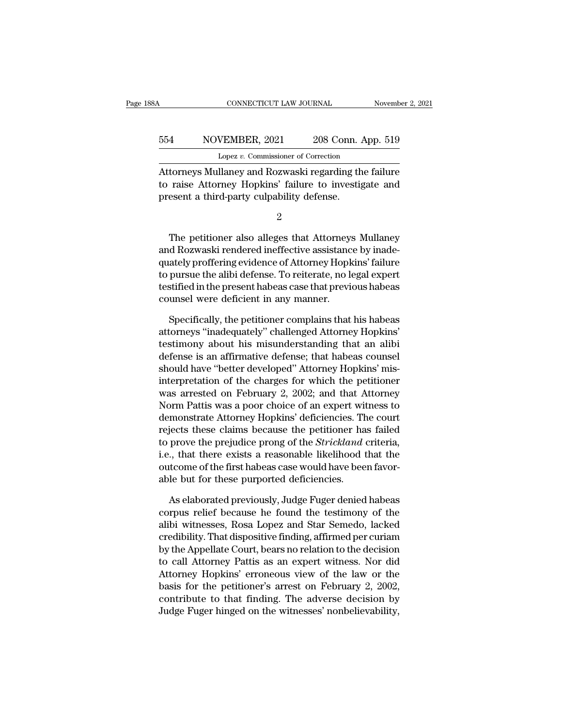## CONNECTICUT LAW JOURNAL November 2, 2021<br>554 NOVEMBER, 2021 208 Conn. App. 519<br>Lopez v. Commissioner of Correction CONNECTICUT LAW JOURNAL November 2, 2021<br>554 NOVEMBER, 2021 208 Conn. App. 519<br>Lopez *v.* Commissioner of Correction<br>Attorneys Mullaney and Rozwaski regarding the failure

CONNECTICUT LAW JOURNAL November 2, 2021<br>
MOVEMBER, 2021 208 Conn. App. 519<br>
Lopez v. Commissioner of Correction<br>
Attorneys Mullaney and Rozwaski regarding the failure<br>
to raise Attorney Hopkins' failure to investigate and 1954 NOVEMBER, 2021 208 Conn. App. 519<br>
1962 Lopez v. Commissioner of Correction<br>
Attorneys Mullaney and Rozwaski regarding the failure<br>
1961 to raise Attorney Hopkins' failure to investigate and<br>
1979 present a third-part MOVEMBER, 2021 208 Conn. 1<br>
Lopez v. Commissioner of Correction<br>
Attorneys Mullaney and Rozwaski regarding the<br>
to raise Attorney Hopkins' failure to investig<br>
present a third-party culpability defense.<br>
2 torneys Mullaney and Rozwaski regarding the failure<br>raise Attorney Hopkins' failure to investigate and<br>esent a third-party culpability defense.<br>2<br>The petitioner also alleges that Attorneys Mullaney<br>d Rozwaski rendered inef

2

Fratoneys Manakey and Rozwaski regarding are radiate<br>to raise Attorney Hopkins' failure to investigate and<br>present a third-party culpability defense.<br>2<br>The petitioner also alleges that Attorneys Mullaney<br>and Rozwaski rende to Tase Triothcy Tropians' failure to investigate and<br>present a third-party culpability defense.<br> $\frac{2}{3}$ <br>The petitioner also alleges that Attorneys Mullaney<br>and Rozwaski rendered ineffective assistance by inade-<br>quately 2<br>
The petitioner also alleges that Attorneys Mullaney<br>
and Rozwaski rendered ineffective assistance by inade-<br>
quately proffering evidence of Attorney Hopkins' failure<br>
to pursue the alibi defense. To reiterate, no legal 2<br>The petitioner also alleges that Attorneys Mullaney<br>and Rozwaski rendered ineffective assistance by inade-<br>quately proffering evidence of Attorney Hopkins' failure<br>to pursue the alibi defense. To reiterate, no legal expe The petitioner also alleges that Attorneys<br>and Rozwaski rendered ineffective assistanc<br>quately proffering evidence of Attorney Hopk<br>to pursue the alibi defense. To reiterate, no le<br>testified in the present habeas case that d Rozwaski rendered ineffective assistance by inade-<br>ately proffering evidence of Attorney Hopkins' failure<br>pursue the alibi defense. To reiterate, no legal expert<br>stified in the present habeas case that previous habeas<br>un quately proffering evidence of Attorney Hopkins' failure<br>to pursue the alibi defense. To reiterate, no legal expert<br>testified in the present habeas case that previous habeas<br>counsel were deficient in any manner.<br>Specifical

to pursue the alibi defense. To reiterate, no legal expert<br>testified in the present habeas case that previous habeas<br>counsel were deficient in any manner.<br>Specifically, the petitioner complains that his habeas<br>attorneys "i testified in the present habeas case that previous habeas<br>counsel were deficient in any manner.<br>Specifically, the petitioner complains that his habeas<br>attorneys "inadequately" challenged Attorney Hopkins'<br>testimony about h counsel were deficient in any manner.<br>
Specifically, the petitioner complains that his habeas<br>
attorneys "inadequately" challenged Attorney Hopkins'<br>
testimony about his misunderstanding that an alibi<br>
defense is an affirm Specifically, the petitioner complains that his habeas<br>attorneys "inadequately" challenged Attorney Hopkins'<br>testimony about his misunderstanding that an alibi<br>defense is an affirmative defense; that habeas counsel<br>should Specifically, the petitioner complains that his habeas<br>attorneys "inadequately" challenged Attorney Hopkins'<br>testimony about his misunderstanding that an alibi<br>defense is an affirmative defense; that habeas counsel<br>should attorneys "inadequately" challenged Attorney Hopkins'<br>testimony about his misunderstanding that an alibi<br>defense is an affirmative defense; that habeas counsel<br>should have "better developed" Attorney Hopkins' mis-<br>interpre testimony about his misunderstanding that an alibi<br>defense is an affirmative defense; that habeas counsel<br>should have "better developed" Attorney Hopkins' mis-<br>interpretation of the charges for which the petitioner<br>was arr defense is an affirmative defense; that habeas counsel<br>should have "better developed" Attorney Hopkins' mis-<br>interpretation of the charges for which the petitioner<br>was arrested on February 2, 2002; and that Attorney<br>Norm P should have "better developed" Attorney Hopkins' mis-<br>interpretation of the charges for which the petitioner<br>was arrested on February 2, 2002; and that Attorney<br>Norm Pattis was a poor choice of an expert witness to<br>demonst interpretation of the charges for which the petitioner<br>was arrested on February 2, 2002; and that Attorney<br>Norm Pattis was a poor choice of an expert witness to<br>demonstrate Attorney Hopkins' deficiencies. The court<br>rejects was arrested on February 2, 2002; and that Attorney<br>Norm Pattis was a poor choice of an expert witness to<br>demonstrate Attorney Hopkins' deficiencies. The court<br>rejects these claims because the petitioner has failed<br>to prov Norm Pattis was a poor choice of an expert with demonstrate Attorney Hopkins' deficiencies. The rejects these claims because the petitioner had to prove the prejudice prong of the *Strickland* i.e., that there exists a rea Frank is these claims because the petitioner has failed<br>prove the prejudice prong of the *Strickland* criteria,<br>., that there exists a reasonable likelihood that the<br>tcome of the first habeas case would have been favor-<br>le to prove the prejudice prong of the *Strickland* criteria,<br>i.e., that there exists a reasonable likelihood that the<br>outcome of the first habeas case would have been favor-<br>able but for these purported deficiencies.<br>As elab

i.e., that there exists a reasonable likelihood that the<br>outcome of the first habeas case would have been favor-<br>able but for these purported deficiencies.<br>As elaborated previously, Judge Fuger denied habeas<br>corpus relief outcome of the first habeas case would have been favorable but for these purported deficiencies.<br>As elaborated previously, Judge Fuger denied habeas<br>corpus relief because he found the testimony of the<br>alibi witnesses, Rosa able but for these purported deficiencies.<br>
As elaborated previously, Judge Fuger denied habeas<br>
corpus relief because he found the testimony of the<br>
alibi witnesses, Rosa Lopez and Star Semedo, lacked<br>
credibility. That d As elaborated previously, Judge Fuger denied habeas<br>corpus relief because he found the testimony of the<br>alibi witnesses, Rosa Lopez and Star Semedo, lacked<br>credibility. That dispositive finding, affirmed per curiam<br>by the As elaborated previously, Judge Fuger denied habeas<br>corpus relief because he found the testimony of the<br>alibi witnesses, Rosa Lopez and Star Semedo, lacked<br>credibility. That dispositive finding, affirmed per curiam<br>by the corpus relief because he found the testimony of the<br>alibi witnesses, Rosa Lopez and Star Semedo, lacked<br>credibility. That dispositive finding, affirmed per curiam<br>by the Appellate Court, bears no relation to the decision<br>t alibi witnesses, Rosa Lopez and Star Semedo, lacked<br>credibility. That dispositive finding, affirmed per curiam<br>by the Appellate Court, bears no relation to the decision<br>to call Attorney Pattis as an expert witness. Nor did credibility. That dispositive finding, affirmed per curiam<br>by the Appellate Court, bears no relation to the decision<br>to call Attorney Pattis as an expert witness. Nor did<br>Attorney Hopkins' erroneous view of the law or the<br>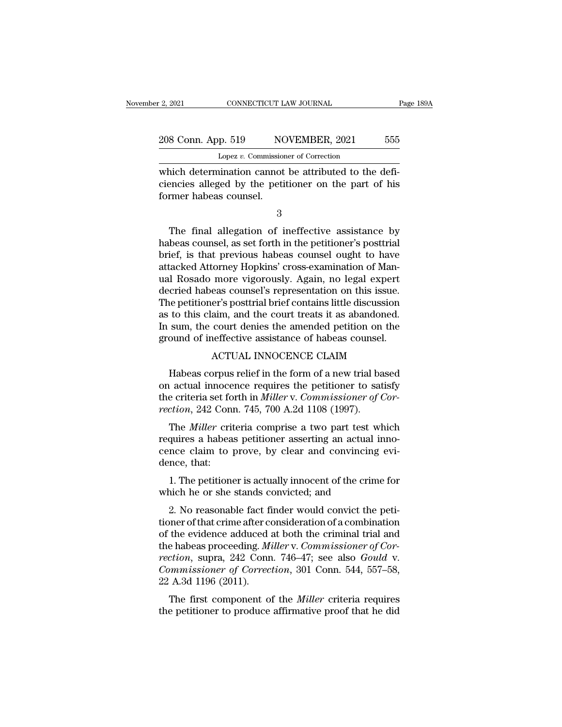EXECT 2021 CONNECTICUT LAW JOURNAL<br>
208 Conn. App. 519 NOVEMBER, 2021 555<br>
Lopez *v*. Commissioner of Correction<br>
which determination cannot be attributed to the defi-<br>
ciencies alleged by the petitioner on the part of his 208 Conn. App. 519 NOVEMBER, 2021 555<br>
Lopez v. Commissioner of Correction<br>
which determination cannot be attributed to the defi-<br>
ciencies alleged by the petitioner on the part of his<br>
former habeas counsel.  $\frac{208 \text{ Conn. App. 519}}{\text{Lopez } v. \text{ Commission}}$ <br>which determination cannot<br>ciencies alleged by the petition former habeas counsel. Lopez  $v$ . Commissioner of Correction<br>
inich determination cannot be attributed to the defi-<br>
encies alleged by the petitioner on the part of his<br>
rmer habeas counsel.<br>
3<br>
The final allegation of ineffective assistance by

3

which determination cannot be attributed to the deficiencies alleged by the petitioner on the part of his<br>former habeas counsel.<br>3<br>The final allegation of ineffective assistance by<br>habeas counsel, as set forth in the petit ciencies alleged by the petitioner on the part of his<br>former habeas counsel.<br>3<br>The final allegation of ineffective assistance by<br>habeas counsel, as set forth in the petitioner's posttrial<br>brief, is that previous habeas cou former habeas counsel.<br>
3<br>
The final allegation of ineffective assistance by<br>
habeas counsel, as set forth in the petitioner's posttrial<br>
brief, is that previous habeas counsel ought to have<br>
attacked Attorney Hopkins' cro 3<br>
The final allegation of ineffective assistance by<br>
habeas counsel, as set forth in the petitioner's posttrial<br>
brief, is that previous habeas counsel ought to have<br>
attacked Attorney Hopkins' cross-examination of Man-<br> The final allegation of ineffective assistance by<br>habeas counsel, as set forth in the petitioner's posttrial<br>brief, is that previous habeas counsel ought to have<br>attacked Attorney Hopkins' cross-examination of Man-<br>ual Ros The final allegation of ineffective assistance by<br>habeas counsel, as set forth in the petitioner's posttrial<br>brief, is that previous habeas counsel ought to have<br>attacked Attorney Hopkins' cross-examination of Man-<br>ual Ros habeas counsel, as set forth in the petitioner's posttrial<br>brief, is that previous habeas counsel ought to have<br>attacked Attorney Hopkins' cross-examination of Man-<br>ual Rosado more vigorously. Again, no legal expert<br>decrie brief, is that previous habeas counsel ought to have<br>attacked Attorney Hopkins' cross-examination of Man-<br>ual Rosado more vigorously. Again, no legal expert<br>decried habeas counsel's representation on this issue.<br>The petiti attacked Attorney Hopkins' cross-examination of Manual Rosado more vigorously. Again, no legal expert<br>decried habeas counsel's representation on this issue.<br>The petitioner's posttrial brief contains little discussion<br>as to more vigorously. Again, no legal experiments as counsel's representation on this issue.<br>er's posttrial brief contains little discussion<br>aim, and the court treats it as abandoned.<br>court denies the amended petition on the<br>ef Equivalently in the court of a new trial based of this claim, and the court treats it as abandoned.<br>
Sum, the court denies the amended petition on the ound of ineffective assistance of habeas counsel.<br>
ACTUAL INNOCENCE CL

as to this claim, and the court treats it as abandoned.<br>
In sum, the court denies the amended petition on the<br>
ground of ineffective assistance of habeas counsel.<br>
ACTUAL INNOCENCE CLAIM<br>
Habeas corpus relief in the form In sum, the court denies the amended petition on the ground of ineffective assistance of habeas counsel.<br>ACTUAL INNOCENCE CLAIM<br>Habeas corpus relief in the form of a new trial based<br>on actual innocence requires the petitio ground of ineffective assistance of habeas counsel<br>ACTUAL INNOCENCE CLAIM<br>Habeas corpus relief in the form of a new trial ba<br>on actual innocence requires the petitioner to sat<br>the criteria set forth in *Miller* v. Commissi ACTUAL INNOCENCE CLAIM<br>
Habeas corpus relief in the form of a new trial based<br>
actual innocence requires the petitioner to satisfy<br>
e criteria set forth in *Miller* v. *Commissioner of Cor-*<br>
ction, 242 Conn. 745, 700 A.2d Habeas corpus relief in the form of a new trial based<br>on actual innocence requires the petitioner to satisfy<br>the criteria set forth in *Miller* v. *Commissioner of Cor-*<br>rection, 242 Conn. 745, 700 A.2d 1108 (1997).<br>The *M* 

riable corpus Feller in the form of a flew that based<br>on actual innocence requires the petitioner to satisfy<br>the criteria set forth in *Miller* v. Commissioner of Cor-<br>rection, 242 Conn. 745, 700 A.2d 1108 (1997).<br>The *Mil* on actuar mnoce<br>the criteria set fo<br>rection, 242 Con<br>The *Miller* crit<br>requires a habea<br>cence claim to<br>dence, that:<br>1. The petition ration, 242 Conn. 745, 700 A.2d 1108 (1997).<br>
The *Miller* criteria comprise a two part test which<br>
quires a habeas petitioner asserting an actual inno-<br>
nce claim to prove, by clear and convincing evi-<br>
nce, that:<br>
1. The The *Miller* criteria comprise a two part test wifequires a habeas petitioner asserting an actual is cence claim to prove, by clear and convincing dence, that:<br>1. The petitioner is actually innocent of the crime which he o quires a habeas petitioner asserting an actual inno-<br>nce claim to prove, by clear and convincing evi-<br>nce, that:<br>1. The petitioner is actually innocent of the crime for<br>nich he or she stands convicted; and<br>2. No reasonable

cence claim to prove, by clear and convincing evidence, that:<br>
1. The petitioner is actually innocent of the crime for<br>
which he or she stands convicted; and<br>
2. No reasonable fact finder would convict the peti-<br>
tioner of dence, that:<br>
1. The petitioner is actually innocent of the crime for<br>
which he or she stands convicted; and<br>
2. No reasonable fact finder would convict the peti-<br>
tioner of that crime after consideration of a combination 1. The petitioner is actually innocent of the crime for<br>which he or she stands convicted; and<br>2. No reasonable fact finder would convict the peti-<br>tioner of that crime after consideration of a combination<br>of the evidence a *r.* The petrioner is actually inflocent of the crime for which he or she stands convicted; and<br>
2. No reasonable fact finder would convict the peti-<br>
tioner of that crime after consideration of a combination<br>
of the evide 2. No reasonable fact finder would convict the petitioner of that crime after consideration of a combination of the evidence adduced at both the criminal trial and the habeas proceeding. *Miller* v. *Commissioner of Correc* 2. No reasonable fact fi<br>tioner of that crime after co<br>of the evidence adduced :<br>the habeas proceeding. *Mi<br>rection*, supra, 242 Conn<br>*Commissioner of Correc*<br>22 A.3d 1196 (2011).<br>The first component of the evidence adduced at both the criminal trial and<br>e habeas proceeding. *Miller* v. *Commissioner of Cor-*<br>ction, supra, 242 Conn. 746–47; see also *Gould* v.<br>*mmissioner of Correction*, 301 Conn. 544, 557–58,<br>A.3d 1196 ( of the evidence adduced at both the criminal that and<br>the habeas proceeding. *Miller v. Commissioner of Cor-*<br>*rection*, supra, 242 Conn. 746–47; see also *Gould v.*<br>*Commissioner of Correction*, 301 Conn. 544, 557–58,<br>22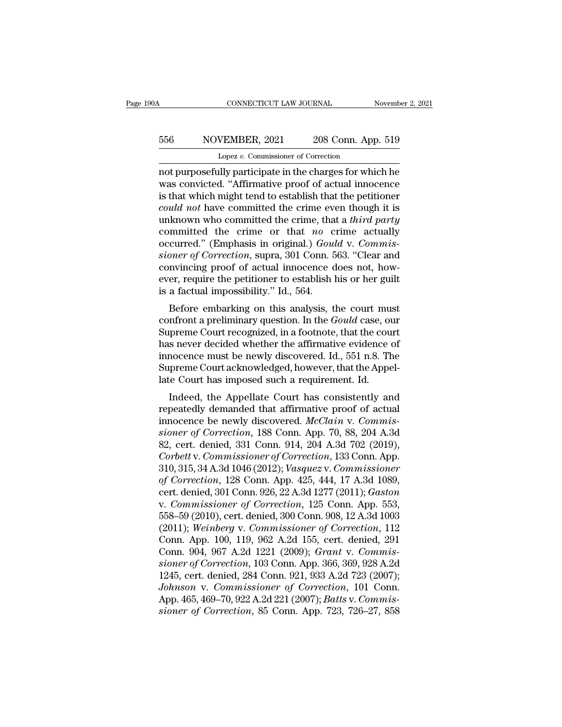## CONNECTICUT LAW JOURNAL November 2, 2021<br>556 NOVEMBER, 2021 208 Conn. App. 519<br>Lopez v. Commissioner of Correction CONNECTICUT LAW JOURNAL<br>VEMBER, 2021 208 Conn. App<br>Lopez *v.* Commissioner of Correction<br>Illy participate in the charges for whi

CONNECTICUT LAW JOURNAL November 2, 2021<br>
S56 NOVEMBER, 2021 208 Conn. App. 519<br>
Lopez v. Commissioner of Correction<br>
not purposefully participate in the charges for which he<br>
was convicted. "Affirmative proof of actual in MOVEMBER, 2021 208 Conn. App. 519<br>
Lopez v. Commissioner of Correction<br>
not purposefully participate in the charges for which he<br>
was convicted. "Affirmative proof of actual innocence<br>
is that which might tend to establish  $\frac{556}{\text{Lopez } v. \text{ Commissioner of Correction}}$ <br>
Lopez v. Commissioner of Correction<br>
not purposefully participate in the charges for which he<br>
was convicted. "Affirmative proof of actual innocence<br>
is that which might tend to establish tha **EXECUTE ASSET ASSET ASSET ASSET ASSET ASSET ASSET AND TO LORGE THE WAS CONVENIBER, 2021** 208 Conn. App. 519 Lord purposefully participate in the charges for which he was convicted. "Affirmative proof of actual innocence i Loves Commissioner of Correction<br>
not purposefully participate in the charges for which he<br>
was convicted. "Affirmative proof of actual innocence<br>
is that which might tend to establish that the petitioner<br>
could not have c Lopez *v*. Commissioner of Correction<br>
not purposefully participate in the charges for which he<br>
was convicted. "Affirmative proof of actual innocence<br>
is that which might tend to establish that the petitioner<br>
could not h not purposefully participate in the charges for which he<br>was convicted. "Affirmative proof of actual innocence<br>is that which might tend to establish that the petitioner<br>*could not* have committed the crime even though it i was convicted. "Affirmative proof of actual innocence<br>is that which might tend to establish that the petitioner<br>*could not* have committed the crime even though it is<br>unknown who committed the crime, that a *third party*<br>c is that which might tend to establish that the petitioner<br>could not have committed the crime even though it is<br>unknown who committed the crime, that a third party<br>committed the crime or that no crime actually<br>occurred." ( could not have committed the crime even though it is<br>unknown who committed the crime, that a *third party*<br>committed the crime or that no crime actually<br>occurred." (Emphasis in original.) *Gould v. Commis-<br>sioner of Correc* unknown who committed the crime, tha<br>committed the crime or that *no* c<br>occurred." (Emphasis in original.) *Gous<br>sioner of Correction*, supra, 301 Conn. 5<br>convincing proof of actual innocence c<br>ever, require the petitione Fundally curred." (Emphasis in original.) *Gould v. Commis-*<br>pner of Correction, supra, 301 Conn. 563. "Clear and<br>nwincing proof of actual innocence does not, how-<br>er, require the petitioner to establish his or her guilt<br> occurred. (Eniphasis in originar.) Gould v. Commissioner of Correction, supra, 301 Conn. 563. "Clear and convincing proof of actual innocence does not, however, require the petitioner to establish his or her guilt is a fac

Sumer of Correction, supra, 301 Contr. 303. Clear and<br>convincing proof of actual innocence does not, how-<br>ever, require the petitioner to establish his or her guilt<br>is a factual impossibility." Id., 564.<br>Before embarking o Exercise of actual influence does not, now-<br>ever, require the petitioner to establish his or her guilt<br>is a factual impossibility." Id., 564.<br>Before embarking on this analysis, the court must<br>confront a preliminary questio is a factual impossibility." Id., 564.<br>
Before embarking on this analysis, the court must<br>
confront a preliminary question. In the *Gould* case, our<br>
Supreme Court recognized, in a footnote, that the court<br>
has never decid Is a factual impossibility. Tul., 504.<br>Before embarking on this analysis, the court must<br>confront a preliminary question. In the *Gould* case, our<br>Supreme Court recognized, in a footnote, that the court<br>has never decided w Before embarking on this analysis, the court mu confront a preliminary question. In the *Gould* case, or Supreme Court recognized, in a footnote, that the court has never decided whether the affirmative evidence innocence Information a premiunitaly question. In the Gotata case, our<br>preme Court recognized, in a footnote, that the court<br>s never decided whether the affirmative evidence of<br>nocence must be newly discovered. Id., 551 n.8. The<br>pre supreme Court recognized, in a roothote, that the court<br>has never decided whether the affirmative evidence of<br>innocence must be newly discovered. Id., 551 n.8. The<br>Supreme Court acknowledged, however, that the Appel-<br>late

rias never decided whether the antimative evidence of<br>innocence must be newly discovered. Id., 551 n.8. The<br>Supreme Court acknowledged, however, that the Appel-<br>late Court has imposed such a requirement. Id.<br>Indeed, the Ap minocence must be newly uscovered. Id., 551 h.s. The<br>
Supreme Court acknowledged, however, that the Appel-<br>
late Court has imposed such a requirement. Id.<br>
Indeed, the Appellate Court has consistently and<br>
repeatedly deman Supreme Court acknowledged, nowever, that the Appellate Court has imposed such a requirement. Id.<br>
Indeed, the Appellate Court has consistently and<br>
repeatedly demanded that affirmative proof of actual<br>
innocence be newly rate Court has imposed such a requirement. Id.<br>
Indeed, the Appellate Court has consistently and<br>
repeatedly demanded that affirmative proof of actual<br>
innocence be newly discovered. *McClain v. Commis-<br>
sioner of Correcti* Indeed, the Appellate Court has consistently and<br>repeatedly demanded that affirmative proof of actual<br>innocence be newly discovered. McClain v. Commis-<br>sioner of Correction, 188 Conn. App. 70, 88, 204 A.3d<br>82, cert. denied repeatedly demanded that affirmative proof of actual<br>innocence be newly discovered. *McClain v. Commis-<br>sioner of Correction*, 188 Conn. App. 70, 88, 204 A.3d<br>82, cert. denied, 331 Conn. 914, 204 A.3d 702 (2019),<br>*Corbett* innocence be newly discovered. *McClain v. Commissioner of Correction*, 188 Conn. App. 70, 88, 204 A.3d<br>82, cert. denied, 331 Conn. 914, 204 A.3d 702 (2019),<br>*Corbett v. Commissioner of Correction*, 133 Conn. App.<br>310, 315 sioner of Correction, 188 Conn. App. 70, 88, 204 A.3d<br>82, cert. denied, 331 Conn. 914, 204 A.3d 702 (2019),<br>*Corbett v. Commissioner of Correction*, 133 Conn. App.<br>310, 315, 34 A.3d 1046 (2012); *Vasquez v. Commissioner*<br>o 82, cert. denied, 331 Conn. 914, 204 A.3d 702 (2019),<br>
Corbett v. Commissioner of Correction, 133 Conn. App.<br>
310, 315, 34 A.3d 1046 (2012); Vasquez v. Commissioner<br>
of Correction, 128 Conn. App. 425, 444, 17 A.3d 1089,<br>
c Corbett v. Commissioner of Correction, 133 Conn. App.<br>310, 315, 34 A.3d 1046 (2012); *Vasquez v. Commissioner*<br>of Correction, 128 Conn. App. 425, 444, 17 A.3d 1089,<br>cert. denied, 301 Conn. 926, 22 A.3d 1277 (2011); *Gaston* 310, 315, 34 A.3d 1046 (2012); *Vasquez v. Commissioner*<br>of Correction, 128 Conn. App. 425, 444, 17 A.3d 1089,<br>cert. denied, 301 Conn. 926, 22 A.3d 1277 (2011); *Gaston*<br>v. Commissioner of Correction, 125 Conn. App. 553,<br>5 of Correction, 128 Conn. App. 425, 444, 17 A.3d 1089,<br>cert. denied, 301 Conn. 926, 22 A.3d 1277 (2011); *Gaston*<br>v. *Commissioner of Correction*, 125 Conn. App. 553,<br>558–59 (2010), cert. denied, 300 Conn. 908, 12 A.3d 1003 cert. denied, 301 Conn. 926, 22 A.3d 1277 (2011); *Gaston*<br>v. *Commissioner of Correction*, 125 Conn. App. 553,<br>558–59 (2010), cert. denied, 300 Conn. 908, 12 A.3d 1003<br>(2011); *Weinberg v. Commissioner of Correction*, 112 v. *Commissioner of Correction*, 125 Conn. App. 553,<br>558–59 (2010), cert. denied, 300 Conn. 908, 12 A.3d 1003<br>(2011); *Weinberg v. Commissioner of Correction*, 112<br>Conn. App. 100, 119, 962 A.2d 155, cert. denied, 291<br>Conn. 558–59 (2010), cert. denied, 300 Conn. 908, 12 A.3d 1003<br>(2011); *Weinberg v. Commissioner of Correction*, 112<br>Conn. App. 100, 119, 962 A.2d 155, cert. denied, 291<br>Conn. 904, 967 A.2d 1221 (2009); *Grant v. Commis-<br>sioner* (2011); *Weinberg v. Commissioner of Correction*, 112<br>Conn. App. 100, 119, 962 A.2d 155, cert. denied, 291<br>Conn. 904, 967 A.2d 1221 (2009); *Grant v. Commis-*<br>*sioner of Correction*, 103 Conn. App. 366, 369, 928 A.2d<br>1245, Conn. App. 100, 119, 962 A.2d 155, cert. denied, 291<br>Conn. 904, 967 A.2d 1221 (2009); *Grant v. Commissioner of Correction*, 103 Conn. App. 366, 369, 928 A.2d<br>1245, cert. denied, 284 Conn. 921, 933 A.2d 723 (2007);<br>*Johnso*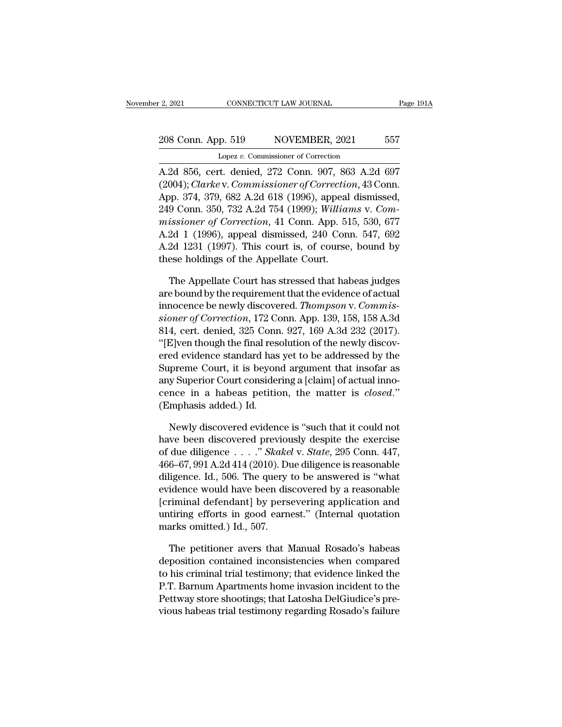## 2, 2021 CONNECTICUT LAW JOURNAL Page 191A<br>208 Conn. App. 519 NOVEMBER, 2021 557<br>Lopez v. Commissioner of Correction Lopez *v.* Commissioner of Correction

2, 2021 CONNECTICUT LAW JOURNAL Page 1914<br>
208 Conn. App. 519 NOVEMBER, 2021 557<br>
Lopez v. Commissioner of Correction<br>
A.2d 856, cert. denied, 272 Conn. 907, 863 A.2d 697<br>
(2004); *Clarke* v. Commissioner of Correction, 43 208 Conn. App. 519 NOVEMBER, 2021 557<br>
Lopez v. Commissioner of Correction<br>
A.2d 856, cert. denied, 272 Conn. 907, 863 A.2d 697<br>
(2004); *Clarke* v. *Commissioner of Correction*, 43 Conn.<br>
App. 374, 379, 682 A.2d 618 (1996 208 Conn. App. 519 NOVEMBER, 2021 557<br>
Lopez v. Commissioner of Correction<br>
A.2d 856, cert. denied, 272 Conn. 907, 863 A.2d 697<br>
(2004); *Clarke* v. Commissioner of Correction, 43 Conn.<br>
App. 374, 379, 682 A.2d 618 (1996), 208 Conn. App. 519 NOVEMBER, 2021 557<br>
Lopez v. Commissioner of Correction<br>
A.2d 856, cert. denied, 272 Conn. 907, 863 A.2d 697<br>
(2004); *Clarke* v. *Commissioner of Correction*, 43 Conn.<br>
App. 374, 379, 682 A.2d 618 (1996 Lopez v. Commissioner of Correction<br>
A.2d 856, cert. denied, 272 Conn. 907, 863 A.2d 697<br>
(2004); *Clarke* v. Commissioner of Correction, 43 Conn.<br>
App. 374, 379, 682 A.2d 618 (1996), appeal dismissed,<br>
249 Conn. 350, 732 A.2d 856, cert. denied, 272 Conn. 907, 863 A.2d 697<br>(2004); *Clarke* v. *Commissioner of Correction*, 43 Conn.<br>App. 374, 379, 682 A.2d 618 (1996), appeal dismissed,<br>249 Conn. 350, 732 A.2d 754 (1999); *Williams v. Com-<br>mis* A.2d 856, cert. denied,  $2/2$  Conn.  $907$ , 863 A.2d 697<br>(2004); *Clarke* v. *Commissioner of Correction*, 43 Conn.<br>App. 374, 379, 682 A.2d 618 (1996), appeal dismissed,<br>249 Conn. 350, 732 A.2d 754 (1999); *Williams v. Com* (2004); *Clarke* v. *Commissioner of Correctio*<br>App. 374, 379, 682 A.2d 618 (1996), appeal<br>249 Conn. 350, 732 A.2d 754 (1999); *Williar<br>missioner of Correction*, 41 Conn. App. 51<br>A.2d 1 (1996), appeal dismissed, 240 Conn<br> 9 Conn. 350, 732 A.2d 754 (1999); Williams v. Com-<br>issioner of Correction, 41 Conn. App. 515, 530, 677<br>2d 1 (1996), appeal dismissed, 240 Conn. 547, 692<br>2d 1231 (1997). This court is, of course, bound by<br>ese holdings of t missioner of Correction, 41 Conn. App. 515, 530, 677<br>A.2d 1 (1996), appeal dismissed, 240 Conn. 547, 692<br>A.2d 1231 (1997). This court is, of course, bound by<br>these holdings of the Appellate Court.<br>The Appellate Court has

A.2d 1 (1996), appeal dismissed, 240 Conn. 547, 692<br>A.2d 1231 (1997). This court is, of course, bound by<br>these holdings of the Appellate Court.<br>The Appellate Court has stressed that habeas judges<br>are bound by the requireme A.2d 1231 (1997). This court is, of course, bound by<br>these holdings of the Appellate Court.<br>The Appellate Court has stressed that habeas judges<br>are bound by the requirement that the evidence of actual<br>innocence be newly di these holdings of the Appellate Court.<br>
The Appellate Court has stressed that habeas judges<br>
are bound by the requirement that the evidence of actual<br>
innocence be newly discovered. *Thompson* v. *Commis-<br>
sioner of Correc* The Appellate Court has stressed that habeas judges<br>are bound by the requirement that the evidence of actual<br>innocence be newly discovered. *Thompson v. Commis-<br>sioner of Correction*, 172 Conn. App. 139, 158, 158 A.3d<br>814, The Appellate Court has stressed that habeas judges<br>are bound by the requirement that the evidence of actual<br>innocence be newly discovered. *Thompson v. Commis-<br>sioner of Correction*, 172 Conn. App. 139, 158, 158 A.3d<br>814, are bound by the requirement that the evidence of actual<br>innocence be newly discovered. *Thompson v. Commis-<br>sioner of Correction*, 172 Conn. App. 139, 158, 158 A.3d<br>814, cert. denied, 325 Conn. 927, 169 A.3d 232 (2017).<br>" mnocence be newly discovered. Thompson v. Commis-<br>sioner of Correction, 172 Conn. App. 139, 158, 158 A.3d<br>814, cert. denied, 325 Conn. 927, 169 A.3d 232 (2017).<br>"[E]ven though the final resolution of the newly discov-<br>ered stoner of Correction, 172 Conn. App. 139, 158, 158 A.3d<br>814, cert. denied, 325 Conn. 927, 169 A.3d 232 (2017).<br>"[E]ven though the final resolution of the newly discovered evidence standard has yet to be addressed by the<br>Su 814, cert. denied, 325 Conn<br>"[E]ven though the final res<br>ered evidence standard has<br>Supreme Court, it is beyon<br>any Superior Court consider<br>cence in a habeas petitic<br>(Emphasis added.) Id.<br>Newly discovered eviden ed evidence standard has yet to be addressed by the<br>preme Court, it is beyond argument that insofar as<br>y Superior Court considering a [claim] of actual inno-<br>nce in a habeas petition, the matter is *closed.*"<br>mphasis added Supreme Court, it is beyond argument that insofar as<br>any Superior Court considering a [claim] of actual inno-<br>cence in a habeas petition, the matter is *closed.*"<br>(Emphasis added.) Id.<br>Newly discovered evidence is "such t

any Superior Court considering a [claim] of actual inno-<br>cence in a habeas petition, the matter is *closed.*"<br>(Emphasis added.) Id.<br>Newly discovered evidence is "such that it could not<br>have been discovered previously despi % cence in a habeas petition, the matter is *closed.*"<br>
(Emphasis added.) Id.<br>
Newly discovered evidence is "such that it could not<br>
have been discovered previously despite the exercise<br>
of due diligence . . . . ." *Skake* (Emphasis added.) Id.<br>
Newly discovered evidence is "such that it could not<br>
have been discovered previously despite the exercise<br>
of due diligence . . . . " *Skakel* v. *State*, 295 Conn. 447,<br>
466–67, 991 A.2d 414 (2010 Newly discovered evidence is "such that it could not<br>have been discovered previously despite the exercise<br>of due diligence  $\dots$ ." *Skakel* v. *State*, 295 Conn. 447,<br>466–67, 991 A.2d 414 (2010). Due diligence is reasonabl Newly discovered evidence is "such that it could not<br>have been discovered previously despite the exercise<br>of due diligence . . . ." *Skakel* v. *State*, 295 Conn. 447,<br>466–67, 991 A.2d 414 (2010). Due diligence is reasona have been discovered previously despite the exercise<br>of due diligence  $\dots$  " *Skakel* v. *State*, 295 Conn. 447,<br>466–67, 991 A.2d 414 (2010). Due diligence is reasonable<br>diligence. Id., 506. The query to be answered is "w % of due diligence  $\ldots$  ." Skakel v. State, 295 Conn. 447, 466–67, 991 A.2d 414 (2010). Due diligence is reasonable diligence. Id., 506. The query to be answered is "what evidence would have been discovered by a reasonab ligence. Id., 506. The query to be answered is "what<br>idence would have been discovered by a reasonable<br>riminal defendant] by persevering application and<br>tiring efforts in good earnest." (Internal quotation<br>arks omitted.) I evidence would have been discovered by a reasonable<br>[criminal defendant] by persevering application and<br>untiring efforts in good earnest." (Internal quotation<br>marks omitted.) Id., 507.<br>The petitioner avers that Manual Rosa

[criminal defendant] by persevering application and<br>untiring efforts in good earnest." (Internal quotation<br>marks omitted.) Id., 507.<br>The petitioner avers that Manual Rosado's habeas<br>deposition contained inconsistencies whe untiring efforts in good earnest." (Internal quotation<br>marks omitted.) Id., 507.<br>The petitioner avers that Manual Rosado's habeas<br>deposition contained inconsistencies when compared<br>to his criminal trial testimony; that evi marks omitted.) Id., 507.<br>The petitioner avers that Manual Rosado's habeas<br>deposition contained inconsistencies when compared<br>to his criminal trial testimony; that evidence linked the<br>P.T. Barnum Apartments home invasion i The petitioner avers that Manual Rosado's habeas<br>deposition contained inconsistencies when compared<br>to his criminal trial testimony; that evidence linked the<br>P.T. Barnum Apartments home invasion incident to the<br>Pettway sto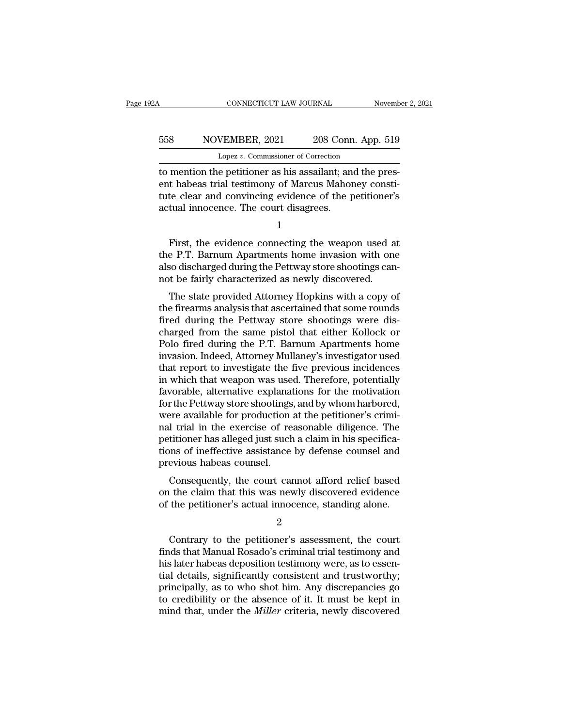## CONNECTICUT LAW JOURNAL November 2, 2021<br>558 NOVEMBER, 2021 208 Conn. App. 519<br>Lopez v. Commissioner of Correction CONNECTICUT LAW JOURNAL November 2, 2021<br>558 NOVEMBER, 2021 208 Conn. App. 519<br>Lopez *v.* Commissioner of Correction<br>to mention the petitioner as his assailant; and the pres-

CONNECTICUT LAW JOURNAL November November 2008<br>
S58 NOVEMBER, 2021 208 Conn. App. 519<br>
Lopez v. Commissioner of Correction<br>
to mention the petitioner as his assailant; and the pres-<br>
ent habeas trial testimony of Marcus Ma EDERET ACT NOVEMBER, 2021 208 Conn. App. 519<br>
Lopez v. Commissioner of Correction<br>
to mention the petitioner as his assailant; and the pres-<br>
ent habeas trial testimony of Marcus Mahoney consti-<br>
tute clear and convincing to MOVEMBER, 2021 208 Conn. App. 519<br>
Lopez v. Commissioner of Correction<br>
to mention the petitioner as his assailant; and the pres-<br>
ent habeas trial testimony of Marcus Mahoney constitute clear and convincing evidence o 558 NOVEMBER, 2021 208 Conn<br>
Lopez v. Commissioner of Correction<br>
to mention the petitioner as his assailant; an<br>
ent habeas trial testimony of Marcus Mahor<br>
tute clear and convincing evidence of the p<br>
actual innocence. T mention the petitioner as his assailant; and the pres-<br>
t habeas trial testimony of Marcus Mahoney constitute clear and convincing evidence of the petitioner's<br>
tual innocence. The court disagrees.<br>
1<br>
First, the evidence

1

ent habeas trial testimony of Marcus Mahoney constitute clear and convincing evidence of the petitioner's<br>actual innocence. The court disagrees.<br>1<br>First, the evidence connecting the weapon used at<br>the P.T. Barnum Apartment tute clear and convincing evidence of the petitioner's<br>actual innocence. The court disagrees.<br>1<br>First, the evidence connecting the weapon used at<br>the P.T. Barnum Apartments home invasion with one<br>also discharged during the actual innocence. The court disagrees.<br>
1<br>
First, the evidence connecting the weapon used a<br>
the P.T. Barnum Apartments home invasion with on<br>
also discharged during the Pettway store shootings can<br>
not be fairly character 1<br>First, the evidence connecting the weapon used at<br>e P.T. Barnum Apartments home invasion with one<br>so discharged during the Pettway store shootings can-<br>t be fairly characterized as newly discovered.<br>The state provided At First, the evidence connecting the weapon used at<br>the P.T. Barnum Apartments home invasion with one<br>also discharged during the Pettway store shootings can-<br>not be fairly characterized as newly discovered.<br>The state provide

First, the evidence connecting the weapon used at<br>the P.T. Barnum Apartments home invasion with one<br>also discharged during the Pettway store shootings can-<br>not be fairly characterized as newly discovered.<br>The state provide charged during the Pettway store shootings can-<br>not be fairly characterized as newly discovered.<br>The state provided Attorney Hopkins with a copy of<br>the firearms analysis that ascertained that some rounds<br>fired during the P also discriarged during the Pettway store shootings can-<br>not be fairly characterized as newly discovered.<br>The state provided Attorney Hopkins with a copy of<br>the firearms analysis that ascertained that some rounds<br>fired dur invariant method and a stewiy discovered.<br>The state provided Attorney Hopkins with a copy of<br>the firearms analysis that ascertained that some rounds<br>fired during the Pettway store shootings were dis-<br>charged from the same The state provided Attorney Hopkins with a copy of<br>the firearms analysis that ascertained that some rounds<br>fired during the Pettway store shootings were dis-<br>charged from the same pistol that either Kollock or<br>Polo fired d the firearms analysis that ascertained that some rounds<br>fired during the Pettway store shootings were dis-<br>charged from the same pistol that either Kollock or<br>Polo fired during the P.T. Barnum Apartments home<br>invasion. Ind fired during the Pettway store shootings were discharged from the same pistol that either Kollock or Polo fired during the P.T. Barnum Apartments home<br>invasion. Indeed, Attorney Mullaney's investigator used<br>that report to charged from the same pistol that either Kollock or<br>Polo fired during the P.T. Barnum Apartments home<br>invasion. Indeed, Attorney Mullaney's investigator used<br>that report to investigate the five previous incidences<br>in which Polo fired during the P.T. Barnum Apartments home<br>invasion. Indeed, Attorney Mullaney's investigator used<br>that report to investigate the five previous incidences<br>in which that weapon was used. Therefore, potentially<br>favora invasion. Indeed, Attorney Mullaney's investigator used<br>that report to investigate the five previous incidences<br>in which that weapon was used. Therefore, potentially<br>favorable, alternative explanations for the motivation<br>f that report to investigate the five previous incidences<br>in which that weapon was used. Therefore, potentially<br>favorable, alternative explanations for the motivation<br>for the Pettway store shootings, and by whom harbored,<br>we in which that weapon was used. Therefore, potentially favorable, alternative explanations for the motivation for the Pettway store shootings, and by whom harbored, were available for production at the petitioner's criminal favorable, alternative explanat<br>for the Pettway store shootings<br>were available for production<br>nal trial in the exercise of re<br>petitioner has alleged just such<br>tions of ineffective assistance<br>previous habeas counsel.<br>Conseq The Fettway store shootings, and by whom harbored,<br>ere available for production at the petitioner's crimi-<br>I trial in the exercise of reasonable diligence. The<br>titioner has alleged just such a claim in his specifica-<br>ms of were available for production at the petholier s criminal trial in the exercise of reasonable diligence. The petitioner has alleged just such a claim in his specifications of ineffective assistance by defense counsel and p nal that in the exercise of reasonable dingence. The<br>petitioner has alleged just such a claim in his specifica-<br>tions of ineffective assistance by defense counsel and<br>previous habeas counsel.<br>Consequently, the court cannot

Evious haveas counser.<br>
Consequently, the court cannot afford relief based<br>
the claim that this was newly discovered evidence<br>
the petitioner's actual innocence, standing alone.<br>
2<br>
Contrary to the petitioner's assessment,

2

Consequently, the court cannot afford relief based<br>on the claim that this was newly discovered evidence<br>of the petitioner's actual innocence, standing alone.<br> $2$ <br>Contrary to the petitioner's assessment, the court<br>finds th on the claim that this was newly discovered evidence<br>of the petitioner's actual innocence, standing alone.<br> $\frac{2}{100}$ <br>Contrary to the petitioner's assessment, the court<br>finds that Manual Rosado's criminal trial testimony of the petitioner's actual innocence, standing alone.<br>
2<br>
Contrary to the petitioner's assessment, the court<br>
finds that Manual Rosado's criminal trial testimony and<br>
his later habeas deposition testimony were, as to essen  $2$ <br>Contrary to the petitioner's assessment, the court<br>finds that Manual Rosado's criminal trial testimony and<br>his later habeas deposition testimony were, as to essen-<br>tial details, significantly consistent and trustworth Contrary to the petitioner's assessment, the court<br>finds that Manual Rosado's criminal trial testimony and<br>his later habeas deposition testimony were, as to essen-<br>tial details, significantly consistent and trustworthy;<br>p Contrary to the petitioner's assessment, the court<br>finds that Manual Rosado's criminal trial testimony and<br>his later habeas deposition testimony were, as to essen-<br>tial details, significantly consistent and trustworthy;<br>pr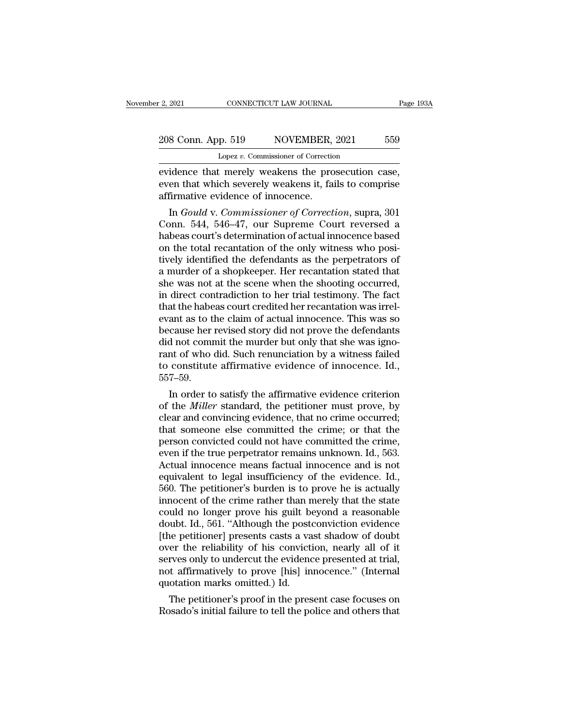eventually connect that such that merely weakens the prosecution case,<br>eventually weakens the prosecution case,<br>even that which severely weakens it, fails to comprise<br>affirmative evidence of innecence. 208 Conn. App. 519 NOVEMBER, 2021 559<br>
Lopez v. Commissioner of Correction<br>
evidence that merely weakens the prosecution case,<br>
even that which severely weakens it, fails to comprise<br>
affirmative evidence of innocence. 208 Conn. App. 519 NOVEMBER,<br>
Lopez v. Commissioner of Correction<br>
evidence that merely weakens the proven that which severely weakens it, faint affirmative evidence of innocence.<br>
In Gould v. Commissioner of Correct 8 Conn. App. 519 NOVEMBER, 2021 559<br>
Lopez *v.* Commissioner of Correction<br>
idence that merely weakens the prosecution case,<br>
en that which severely weakens it, fails to comprise<br>
firmative evidence of innocence.<br>
In *Goul* 

Lopez v. Commissioner of Correction<br>
evidence that merely weakens the prosecution case,<br>
even that which severely weakens it, fails to comprise<br>
affirmative evidence of innocence.<br>
In *Gould v. Commissioner of Correction*, evidence that merely weakens the prosecution case,<br>even that which severely weakens it, fails to comprise<br>affirmative evidence of innocence.<br>In *Gould v. Commissioner of Correction*, supra, 301<br>Conn. 544, 546–47, our Supre evidence that merely weakens the prosecution case,<br>even that which severely weakens it, fails to comprise<br>affirmative evidence of innocence.<br>In *Gould v. Commissioner of Correction*, supra, 301<br>Conn. 544, 546–47, our Supre even that which severely weakens it, falls to comprise<br>affirmative evidence of innocence.<br>In *Gould v. Commissioner of Correction*, supra, 301<br>Conn. 544, 546–47, our Supreme Court reversed a<br>habeas court's determination of ammative evidence of mnocence.<br>
In *Gould v. Commissioner of Correction*, supra, 301<br>
Conn. 544, 546–47, our Supreme Court reversed a<br>
habeas court's determination of actual innocence based<br>
on the total recantation of the In *Gould v. Commissioner of Correction*, supra, 301<br>Conn. 544, 546–47, our Supreme Court reversed a<br>habeas court's determination of actual innocence based<br>on the total recantation of the only witness who posi-<br>tively iden Conn. 544, 546–47, our Supreme Court reversed a<br>habeas court's determination of actual innocence based<br>on the total recantation of the only witness who posi-<br>tively identified the defendants as the perpetrators of<br>a murder habeas court's determination of actual innocence based<br>on the total recantation of the only witness who posi-<br>tively identified the defendants as the perpetrators of<br>a murder of a shopkeeper. Her recantation stated that<br>sh on the total recantation of the only witness who positively identified the defendants as the perpetrators of a murder of a shopkeeper. Her recantation stated that she was not at the scene when the shooting occurred, in dir tively identified the defendants as the perpetrators of<br>a murder of a shopkeeper. Her recantation stated that<br>she was not at the scene when the shooting occurred,<br>in direct contradiction to her trial testimony. The fact<br>th a murder of a shopkeeper. Her recantation stated that<br>she was not at the scene when the shooting occurred,<br>in direct contradiction to her trial testimony. The fact<br>that the habeas court credited her recantation was irrel-<br> she was not at the scene when the shooting occurred,<br>in direct contradiction to her trial testimony. The fact<br>that the habeas court credited her recantation was irrel-<br>evant as to the claim of actual innocence. This was so in direct contradiction to her trial testimony. The fact<br>that the habeas court credited her recantation was irrel-<br>evant as to the claim of actual innocence. This was so<br>because her revised story did not prove the defendan 557–59. ant as to the claim of actual innocence. This was so<br>cause her revised story did not prove the defendants<br>d not commit the murder but only that she was igno-<br>nt of who did. Such renunciation by a witness failed<br>constitute because ner revised story did not prove the detendants<br>did not commit the murder but only that she was igno-<br>rant of who did. Such renunciation by a witness failed<br>to constitute affirmative evidence of innocence. Id.,<br>557–

and not commit the murder but only that she was ignorant of who did. Such renunciation by a witness failed to constitute affirmative evidence of innocence. Id., 557–59.<br>In order to satisfy the affirmative evidence criterio Frant of who did. Such renunctation by a witness railed<br>to constitute affirmative evidence of innocence. Id.,<br>557–59.<br>In order to satisfy the affirmative evidence criterion<br>of the *Miller* standard, the petitioner must pr to constitute amirmative evidence of innocence.  $1a$ .,  $557-59$ .<br>In order to satisfy the affirmative evidence criterion<br>of the *Miller* standard, the petitioner must prove, by<br>clear and convincing evidence, that no crime both in order to satisfy the affirmative evidence criterion<br>of the *Miller* standard, the petitioner must prove, by<br>clear and convincing evidence, that no crime occurred;<br>that someone else committed the crime; or that the<br> In order to satisfy the affirmative evidence criterion<br>of the *Miller* standard, the petitioner must prove, by<br>clear and convincing evidence, that no crime occurred;<br>that someone else committed the crime; or that the<br>perso of the *Miller* standard, the petitioner must prove, by clear and convincing evidence, that no crime occurred; that someone else committed the crime; or that the person convicted could not have committed the crime, even if clear and convincing evidence, that no crime occurred;<br>that someone else committed the crime; or that the<br>person convicted could not have committed the crime,<br>even if the true perpetrator remains unknown. Id., 563.<br>Actual that someone else committed the crime; or that the person convicted could not have committed the crime,<br>even if the true perpetrator remains unknown. Id., 563.<br>Actual innocence means factual innocence and is not<br>equivalent person convicted could not have committed the crime,<br>even if the true perpetrator remains unknown. Id., 563.<br>Actual innocence means factual innocence and is not<br>equivalent to legal insufficiency of the evidence. Id.,<br>560. even if the true perpetrator remains unknown. Id., 563.<br>Actual innocence means factual innocence and is not<br>equivalent to legal insufficiency of the evidence. Id.,<br>560. The petitioner's burden is to prove he is actually<br>in Actual innocence means factual innocence and is not<br>equivalent to legal insufficiency of the evidence. Id.,<br>560. The petitioner's burden is to prove he is actually<br>innocent of the crime rather than merely that the state<br>co equivalent to legal insufficiency of the evidence. Id.,<br>560. The petitioner's burden is to prove he is actually<br>innocent of the crime rather than merely that the state<br>could no longer prove his guilt beyond a reasonable<br>do 560. The petitioner's burden is to prove he is actually innocent of the crime rather than merely that the state could no longer prove his guilt beyond a reasonable doubt. Id., 561. "Although the postconviction evidence [t innocent of the crime rather than merely that the state<br>could no longer prove his guilt beyond a reasonable<br>doubt. Id., 561. "Although the postconviction evidence<br>[the petitioner] presents casts a vast shadow of doubt<br>over could no longer prove his guilt be<br>doubt. Id., 561. "Although the post<br>(the petitioner) presents casts a va<br>over the reliability of his convict<br>serves only to undercut the evidenc<br>not affirmatively to prove [his] in<br>quotat nubut. Id., 561. "Although the postconviction evidence<br>the petitioner] presents casts a vast shadow of doubt<br>er the reliability of his conviction, nearly all of it<br>rves only to undercut the evidence presented at trial,<br>t a [the petitioner] presents casts a vast shadow of doubt<br>over the reliability of his conviction, nearly all of it<br>serves only to undercut the evidence presented at trial,<br>not affirmatively to prove [his] innocence." (Interna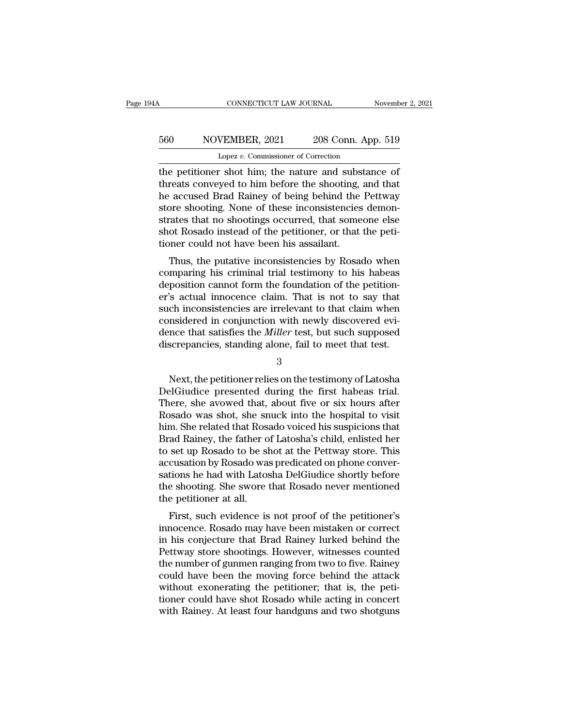## CONNECTICUT LAW JOURNAL November 2, 2021<br>560 NOVEMBER, 2021 208 Conn. App. 519<br>Lopez v. Commissioner of Correction CONNECTICUT LAW JOURNAL<br>VEMBER, 2021 208 Conn. App<br>Lopez *v.* Commissioner of Correction<br>Constants in the nature and substants

CONNECTICUT LAW JOURNAL November 2, 202<br>560 NOVEMBER, 2021 208 Conn. App. 519<br>Lopez v. Commissioner of Correction<br>the petitioner shot him; the nature and substance of<br>threats conveyed to him before the shooting, and that<br>h 560 NOVEMBER, 2021 208 Conn. App. 519<br>
Lopez v. Commissioner of Correction<br>
the petitioner shot him; the nature and substance of<br>
threats conveyed to him before the shooting, and that<br>
the accused Brad Rainey of being behi  $\frac{1}{\text{lopez v. Commissioner of Correction}}$ <br>
Lopez v. Commissioner of Correction<br>
the petitioner shot him; the nature and substance of<br>
threats conveyed to him before the shooting, and that<br>
the accused Brad Rainey of being behind the Pettway<br> store shooting. None of the nettioner shot the petitioner shot him; the nature and substance of threats conveyed to him before the shooting, and that he accused Brad Rainey of being behind the Pettway store shooting. None Lopez v. Commissioner of Correction<br>the petitioner shot him; the nature and substance of<br>threats conveyed to him before the shooting, and that<br>he accused Brad Rainey of being behind the Pettway<br>store shooting. None of thes Lopez  $v$ . Commissioner of Correction<br>the petitioner shot him; the nature and substance of<br>threats conveyed to him before the shooting, and that<br>he accused Brad Rainey of being behind the Pettway<br>store shooting. None of t the petitioner shot him; the nature and subs<br>threats conveyed to him before the shooting,<br>he accused Brad Rainey of being behind the<br>store shooting. None of these inconsistencies<br>strates that no shootings occurred, that so East conveyed to finit before the shooting, and that<br>accused Brad Rainey of being behind the Pettway<br>pre shooting. None of these inconsistencies demon-<br>rates that no shootings occurred, that someone else<br>ot Rosado instead re accused biad namey of being bernind the Fettway<br>store shooting. None of these inconsistencies demon-<br>strates that no shootings occurred, that someone else<br>shot Rosado instead of the petitioner, or that the peti-<br>tioner

store shooting. Note of these inconsistencies demonstrates that no shootings occurred, that someone else<br>shot Rosado instead of the petitioner, or that the peti-<br>tioner could not have been his assailant.<br>Thus, the putative strates that no shootings occurred, that soliteoire else<br>shot Rosado instead of the petitioner, or that the peti-<br>tioner could not have been his assailant.<br>Thus, the putative inconsistencies by Rosado when<br>comparing his cr shot hosado instead of the pethoner, of that the pethoner could not have been his assailant.<br>Thus, the putative inconsistencies by Rosado when<br>comparing his criminal trial testimony to his habeas<br>deposition cannot form the Thus, the putative inconsistencies by Rosado when<br>comparing his criminal trial testimony to his habeas<br>deposition cannot form the foundation of the petition-<br>er's actual innocence claim. That is not to say that<br>such incons Thus, the putative inconsistencies by Rosado when<br>comparing his criminal trial testimony to his habeas<br>deposition cannot form the foundation of the petition-<br>er's actual innocence claim. That is not to say that<br>such incons comparing his criminal trial testimony to his habeas<br>deposition cannot form the foundation of the petition-<br>er's actual innocence claim. That is not to say that<br>such inconsistencies are irrelevant to that claim when<br>consid ch inconsistencies are irrelevant to that claim when<br>nsidered in conjunction with newly discovered evi-<br>nce that satisfies the *Miller* test, but such supposed<br>screpancies, standing alone, fail to meet that test.<br>3<br>Next, t

3

considered in conjunction with newly discovered evidence that satisfies the *Miller* test, but such supposed<br>discrepancies, standing alone, fail to meet that test.<br>3<br>Next, the petitioner relies on the testimony of Latosha<br> dence that satisfies the *Miller* test, but such supposed<br>discrepancies, standing alone, fail to meet that test.<br>3<br>Next, the petitioner relies on the testimony of Latosha<br>DelGiudice presented during the first habeas trial. discrepancies, standing alone, fail to meet that test.<br>3<br>Rext, the petitioner relies on the testimony of Latosha<br>DelGiudice presented during the first habeas trial.<br>There, she avowed that, about five or six hours after<br>Ros 3<br>Next, the petitioner relies on the testimony of Latosha<br>DelGiudice presented during the first habeas trial.<br>There, she avowed that, about five or six hours after<br>Rosado was shot, she snuck into the hospital to visit<br>him. Sectional Repetition of Latosha<br>DelGiudice presented during the first habeas trial.<br>There, she avowed that, about five or six hours after<br>Rosado was shot, she snuck into the hospital to visit<br>him. She related that Rosado v Next, the petitioner relies on the testimony of Latosha<br>DelGiudice presented during the first habeas trial.<br>There, she avowed that, about five or six hours after<br>Rosado was shot, she snuck into the hospital to visit<br>him. S DelGiudice presented during the first habeas trial.<br>There, she avowed that, about five or six hours after<br>Rosado was shot, she snuck into the hospital to visit<br>him. She related that Rosado voiced his suspicions that<br>Brad R There, she avowed that, about five or six hours after<br>Rosado was shot, she snuck into the hospital to visit<br>him. She related that Rosado voiced his suspicions that<br>Brad Rainey, the father of Latosha's child, enlisted her<br>t Rosado was shot, she snuck into the hospital to visit<br>him. She related that Rosado voiced his suspicions that<br>Brad Rainey, the father of Latosha's child, enlisted her<br>to set up Rosado to be shot at the Pettway store. This<br> him. She related that Ross<br>Brad Rainey, the father o<br>to set up Rosado to be sl<br>accusation by Rosado was<br>sations he had with Latos<br>the shooting. She swore the<br>petitioner at all.<br>First, such evidence is ad namey, the father of Latosha's child, emisted her<br>set up Rosado to be shot at the Pettway store. This<br>cusation by Rosado was predicated on phone conver-<br>tions he had with Latosha DelGiudice shortly before<br>e shooting. Sh in accusation by Rosado was predicated on phone conversations he had with Latosha DelGiudice shortly before<br>the shooting. She swore that Rosado never mentioned<br>the petitioner at all.<br>First, such evidence is not proof of th

accusation by hosato was preticated on phone conver-<br>sations he had with Latosha DelGiudice shortly before<br>the shooting. She swore that Rosado never mentioned<br>the petitioner at all.<br>First, such evidence is not proof of the Sations he had with Latosha Deronduce shortly before<br>the shooting. She swore that Rosado never mentioned<br>the petitioner at all.<br>First, such evidence is not proof of the petitioner's<br>innocence. Rosado may have been mistaken the shooting. She swore that Rosado hever inentioned<br>the petitioner at all.<br>First, such evidence is not proof of the petitioner's<br>innocence. Rosado may have been mistaken or correct<br>in his conjecture that Brad Rainey lurke First, such evidence is not proof of the petitioner's<br>innocence. Rosado may have been mistaken or correct<br>in his conjecture that Brad Rainey lurked behind the<br>Pettway store shootings. However, witnesses counted<br>the number First, such evidence is not proof of the petitioner's<br>innocence. Rosado may have been mistaken or correct<br>in his conjecture that Brad Rainey lurked behind the<br>Pettway store shootings. However, witnesses counted<br>the number in his conjecture that Brad Rainey lurked behind the<br>Pettway store shootings. However, witnesses counted<br>the number of gunmen ranging from two to five. Rainey<br>could have been the moving force behind the attack<br>without exon in his conjecture that Brad Rainey lurked behind the Pettway store shootings. However, witnesses counted the number of gunmen ranging from two to five. Rainey could have been the moving force behind the attack without exon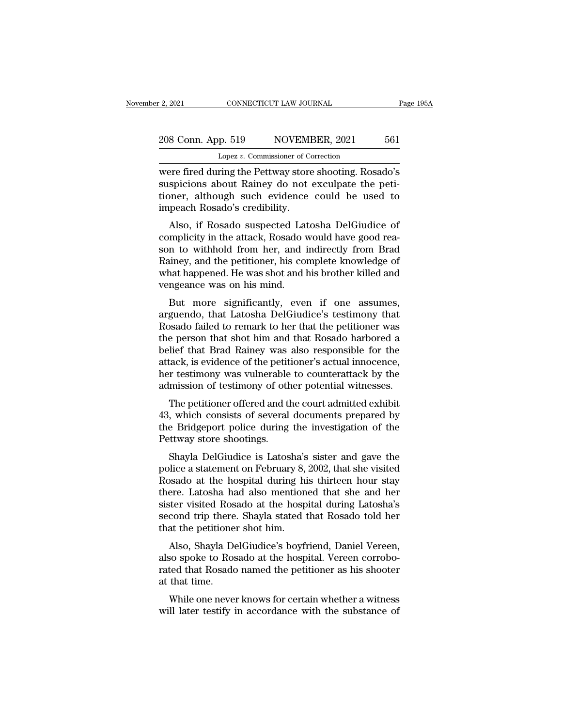extra 2, 2021 CONNECTICUT LAW JOURNAL Page 195A<br>
208 Conn. App. 519 NOVEMBER, 2021 561<br>
Lopez v. Commissioner of Correction<br>
were fired during the Pettway store shooting. Rosado's<br>
suspicions about Rainey do not exculpate 208 Conn. App. 519 NOVEMBER, 2021 561<br>
Lopez v. Commissioner of Correction<br>
were fired during the Pettway store shooting. Rosado's<br>
suspicions about Rainey do not exculpate the peti-<br>
tioner, although such evidence could b 208 Conn. App. 519 NOVEMBER, 2021 561<br>
Lopez v. Commissioner of Correction<br>
were fired during the Pettway store shooting. Rosado's<br>
suspicions about Rainey do not exculpate the peti-<br>
tioner, although such evidence could b 208 Conn. App. 519 NOVEMI<br>
Lopez v. Commissioner of Convert Eired during the Pettway store<br>
suspicions about Rainey do not<br>
tioner, although such evidence<br>
impeach Rosado's credibility.<br>
Also, if Rosado suspected Late Lopez v. Commissioner of Correction<br>
Pere fired during the Pettway store shooting. Rosado's<br>
spicions about Rainey do not exculpate the peti-<br>
Dener, although such evidence could be used to<br>
peach Rosado's credibility.<br>
Al were fired during the Pettway store shooting. Rosado's<br>suspicions about Rainey do not exculpate the peti-<br>tioner, although such evidence could be used to<br>impeach Rosado's credibility.<br>Also, if Rosado suspected Latosha DelG

were fired during the Fettway store shooting. Rosado's<br>suspicions about Rainey do not exculpate the peti-<br>tioner, although such evidence could be used to<br>impeach Rosado's credibility.<br>Also, if Rosado suspected Latosha DelG suspicions about Rainey do not excurpate the peti-<br>tioner, although such evidence could be used to<br>impeach Rosado's credibility.<br>Also, if Rosado suspected Latosha DelGiudice of<br>complicity in the attack, Rosado would have g in the unity of the what happens of the was dimpeach Rosado's credibility.<br>Also, if Rosado suspected Latosha DelGiudice of<br>complicity in the attack, Rosado would have good reason to withhold from her, and indirectly from B mipeach hosado's credibility.<br>Also, if Rosado suspected Lat<br>complicity in the attack, Rosado v<br>son to withhold from her, and i<br>Rainey, and the petitioner, his contract was shot and l<br>vengeance was on his mind.<br>But more sig Also, it hosalo suspected Latosha Deformate of<br>mplicity in the attack, Rosado would have good rea-<br>n to withhold from her, and indirectly from Brad<br>uiney, and the petitioner, his complete knowledge of<br>nat happened. He was complicity in the attack, hosatio would have good reason to withhold from her, and indirectly from Brad Rainey, and the petitioner, his complete knowledge of what happened. He was shot and his brother killed and vengeance

Son to whillfold from fier, and indirectly from Brad<br>Rainey, and the petitioner, his complete knowledge of<br>what happened. He was shot and his brother killed and<br>vengeance was on his mind.<br>But more significantly, even if on Trainey, and the pertroner, his complete knowledge of<br>what happened. He was shot and his brother killed and<br>vengeance was on his mind.<br>But more significantly, even if one assumes,<br>arguendo, that Latosha DelGiudice's testim what happened. He was shot and his brother kined and<br>vengeance was on his mind.<br>But more significantly, even if one assumes,<br>arguendo, that Latosha DelGiudice's testimony that<br>Rosado failed to remark to her that the petiti For the significantly, even if one assumes,<br>arguendo, that Latosha DelGiudice's testimony that<br>Rosado failed to remark to her that the petitioner was<br>the person that shot him and that Rosado harbored a<br>belief that Brad Rai But more significantly, even if one assumes,<br>arguendo, that Latosha DelGiudice's testimony that<br>Rosado failed to remark to her that the petitioner was<br>the person that shot him and that Rosado harbored a<br>belief that Brad Ra arguendo, that Latosha DelGiudice's testimony that<br>Rosado failed to remark to her that the petitioner was<br>the person that shot him and that Rosado harbored a<br>belief that Brad Rainey was also responsible for the<br>attack, is Sado Talled to Telliark to her that the petitioner was<br>e person that shot him and that Rosado harbored a<br>lief that Brad Rainey was also responsible for the<br>tack, is evidence of the petitioner's actual innocence,<br>r testimon the person that shot him and that hosato harbored a<br>belief that Brad Rainey was also responsible for the<br>attack, is evidence of the petitioner's actual innocence,<br>her testimony was vulnerable to counterattack by the<br>admiss

benef that Brad Rafley was also responsible for the<br>attack, is evidence of the petitioner's actual innocence,<br>her testimony was vulnerable to counterattack by the<br>admission of testimony of other potential witnesses.<br>The pe Attack, is evidence of the petit<br>her testimony was vulnerable<br>admission of testimony of oth<br>The petitioner offered and tl<br>43, which consists of several<br>the Bridgeport police during<br>Pettway store shootings.<br>Shayla DelGiudic mission of testimony of other potential witnesses.<br>The petitioner offered and the court admitted exhibit<br>, which consists of several documents prepared by<br>e Bridgeport police during the investigation of the<br>ttway store sho The petitioner offered and the court admitted exhibit<br>43, which consists of several documents prepared by<br>the Bridgeport police during the investigation of the<br>Pettway store shootings.<br>Shayla DelGiudice is Latosha's sister

The petholer onered and the court admitted exhibit<br>43, which consists of several documents prepared by<br>the Bridgeport police during the investigation of the<br>Pettway store shootings.<br>Shayla DelGiudice is Latosha's sister an Fo, which consists of several documents prepared by<br>the Bridgeport police during the investigation of the<br>Pettway store shootings.<br>Shayla DelGiudice is Latosha's sister and gave the<br>police a statement on February 8, 2002, The Brugeport poince during the investigation of the<br>Pettway store shootings.<br>Shayla DelGiudice is Latosha's sister and gave the<br>police a statement on February 8, 2002, that she visited<br>Rosado at the hospital during his th shayla DelGiudice is Latosha's sister and gave the police a statement on February 8, 2002, that she visited Rosado at the hospital during his thirteen hour stay there. Latosha had also mentioned that she and her sister vis Shayla DelGiudice is Latosha's<br>police a statement on February 8,<br>Rosado at the hospital during hi<br>there. Latosha had also mention<br>sister visited Rosado at the hosp<br>second trip there. Shayla stated that the petitioner shot Fince a statement on February 5, 2002, that she visited<br>ssado at the hospital during his thirteen hour stay<br>ere. Latosha had also mentioned that she and her<br>ster visited Rosado at the hospital during Latosha's<br>cond trip th reador at the hospital during his timeted hour stay<br>there. Latosha had also mentioned that she and her<br>sister visited Rosado at the hospital during Latosha's<br>second trip there. Shayla stated that Rosado told her<br>that the p

rate e. Latosha had also inentioned that she and her<br>sister visited Rosado at the hospital during Latosha's<br>second trip there. Shayla stated that Rosado told her<br>that the petitioner shot him.<br>Also, Shayla DelGiudice's boyf sister visited hose<br>second trip there<br>that the petitione<br>Also, Shayla Do<br>also spoke to Ros<br>rated that Rosadc<br>at that time.<br>While one neve at the petitioner shot him.<br>Also, Shayla DelGiudice's boyfriend, Daniel Vereen,<br>so spoke to Rosado at the hospital. Vereen corrobo-<br>ted that Rosado named the petitioner as his shooter<br>that time.<br>While one never knows for c Also, Shayla DelGiudice's boyfriend, Daniel Vereen,<br>also spoke to Rosado at the hospital. Vereen corrobo-<br>rated that Rosado named the petitioner as his shooter<br>at that time.<br>While one never knows for certain whether a witn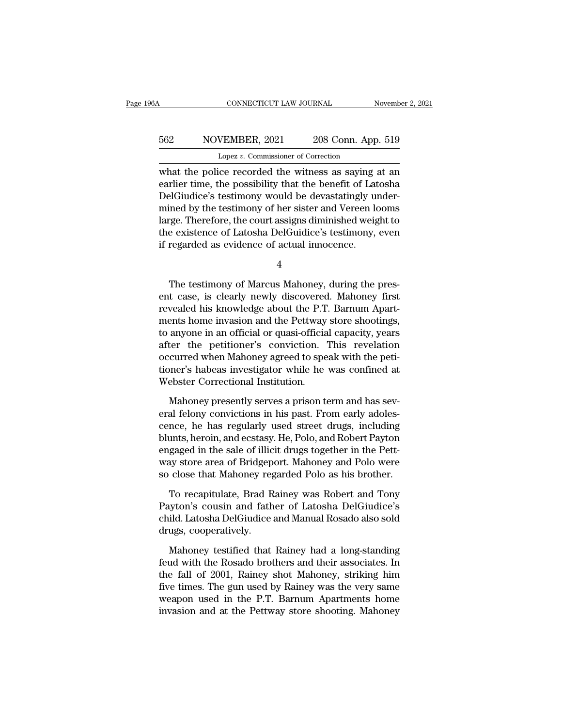## CONNECTICUT LAW JOURNAL November 2, 2021<br>562 NOVEMBER, 2021 208 Conn. App. 519<br>Lopez v. Commissioner of Correction CONNECTICUT LAW JOURNAL<br>VEMBER, 2021 208 Conn. App<br>Lopez *v.* Commissioner of Correction<br>Ce recorded the witness as saying

CONNECTICUT LAW JOURNAL November 2, 2021<br>
S62 NOVEMBER, 2021 208 Conn. App. 519<br>
Lopez v. Commissioner of Correction<br>
what the police recorded the witness as saying at an<br>
earlier time, the possibility that the benefit of S62 NOVEMBER, 2021 208 Conn. App. 519<br>
Lopez v. Commissioner of Correction<br>
what the police recorded the witness as saying at an<br>
earlier time, the possibility that the benefit of Latosha<br>
DelGiudice's testimony would be d  $\frac{562}{\text{Lopez v. Commissioner of Correction}}$ <br>
Lopez v. Commissioner of Correction<br>
what the police recorded the witness as saying at an<br>
earlier time, the possibility that the benefit of Latosha<br>
DelGiudice's testimony would be devastatingly 562 NOVEMBER, 2021 208 Conn. App. 519<br>
Lopez v. Commissioner of Correction<br>
what the police recorded the witness as saying at an<br>
earlier time, the possibility that the benefit of Latosha<br>
DelGiudice's testimony would be Lopez v. Commissioner of Correction<br>
what the police recorded the witness as saying at an<br>
earlier time, the possibility that the benefit of Latosha<br>
DelGiudice's testimony would be devastatingly under-<br>
mined by the test Lopez  $v$ . Commissioner of Correction<br>what the police recorded the witness as saying at an<br>earlier time, the possibility that the benefit of Latosha<br>DelGiudice's testimony would be devastatingly under-<br>mined by the testim what the police recorded the witness as saying a<br>earlier time, the possibility that the benefit of Lat<br>DelGiudice's testimony would be devastatingly un<br>mined by the testimony of her sister and Vereen lo<br>large. Therefore, t Therefore, the court assigns diminished weight to<br>rege. Therefore, the court assigns diminished weight to<br>regarded as evidence of actual innocence.<br> $4$ <br>The testimony of Marcus Mahoney, during the pres-<br>t case, is clearly n

4

rarge. Therefore, the court assigns diffulned weight to<br>the existence of Latosha DelGuidice's testimony, even<br>if regarded as evidence of actual innocence.<br>4<br>The testimony of Marcus Mahoney, during the pres-<br>ent case, is cl revealif regarded as evidence of actual innocence.<br>
if regarded as evidence of actual innocence.<br>
4<br>
The testimony of Marcus Mahoney, during the pres-<br>
ent case, is clearly newly discovered. Mahoney first<br>
revealed his kno ments are the networking of Marcus Mahoney, during the present case, is clearly newly discovered. Mahoney first<br>revealed his knowledge about the P.T. Barnum Apartments home invasion and the Pettway store shootings,<br>to anyo <sup>4</sup><br>The testimony of Marcus Mahoney, during the pres-<br>ent case, is clearly newly discovered. Mahoney first<br>revealed his knowledge about the P.T. Barnum Apart-<br>ments home invasion and the Pettway store shootings,<br>to anyone The testimony of Marcus Mahoney, during the present case, is clearly newly discovered. Mahoney first revealed his knowledge about the P.T. Barnum Apartments home invasion and the Pettway store shootings, to anyone in an of The testimony of Marcus Mahoney, during the present case, is clearly newly discovered. Mahoney first revealed his knowledge about the P.T. Barnum Apartments home invasion and the Pettway store shootings, to anyone in an of ent case, is clearly newly discovered. Mahoney first<br>revealed his knowledge about the P.T. Barnum Apart-<br>ments home invasion and the Pettway store shootings,<br>to anyone in an official or quasi-official capacity, years<br>after revealed his knowledge about the P.T<br>ments home invasion and the Pettway<br>to anyone in an official or quasi-officia<br>after the petitioner's conviction.<br>occurred when Mahoney agreed to spe<br>tioner's habeas investigator while h anyone in an official or quasi-official capacity, years<br>ter the petitioner's conviction. This revelation<br>curred when Mahoney agreed to speak with the peti-<br>pner's habeas investigator while he was confined at<br>ebster Correct after the petitioner's conviction. This revelation<br>occurred when Mahoney agreed to speak with the petitioner's habeas investigator while he was confined at<br>Webster Correctional Institution.<br>Mahoney presently serves a priso

occurred when Mahoney agreed to speak with the petitioner's habeas investigator while he was confined at<br>Webster Correctional Institution.<br>Mahoney presently serves a prison term and has sev-<br>eral felony convictions in his tioner's habeas investigator while he was confined at<br>Webster Correctional Institution.<br>Mahoney presently serves a prison term and has sev-<br>eral felony convictions in his past. From early adoles-<br>cence, he has regularly us Webster Correctional Institution.<br>
Mahoney presently serves a prison term and has sev-<br>
eral felony convictions in his past. From early adoles-<br>
cence, he has regularly used street drugs, including<br>
blunts, heroin, and ecs Mahoney presently serves a prison term and has several felony convictions in his past. From early adolescence, he has regularly used street drugs, including blunts, heroin, and ecstasy. He, Polo, and Robert Payton engaged Mahoney presently serves a prison term and has several felony convictions in his past. From early adolescence, he has regularly used street drugs, including blunts, heroin, and ecstasy. He, Polo, and Robert Payton engaged nce, he has regularly used street drugs, including<br>unts, heroin, and ecstasy. He, Polo, and Robert Payton<br>gaged in the sale of illicit drugs together in the Pett-<br>ay store area of Bridgeport. Mahoney and Polo were<br>close th blunts, heroin, and ecstasy. He, Polo, and Robert Payton<br>engaged in the sale of illicit drugs together in the Pett-<br>way store area of Bridgeport. Mahoney and Polo were<br>so close that Mahoney regarded Polo as his brother.<br>To

engaged in the sale of illicit drugs together in the Pett-<br>way store area of Bridgeport. Mahoney and Polo were<br>so close that Mahoney regarded Polo as his brother.<br>To recapitulate, Brad Rainey was Robert and Tony<br>Payton's c way store area of Bridgep<br>so close that Mahoney reg<br>To recapitulate, Brad R<br>Payton's cousin and fath<br>child. Latosha DelGiudice<br>drugs, cooperatively.<br>Mahoney testified that Close that Mahoney regarded Polo as his brother.<br>To recapitulate, Brad Rainey was Robert and Tony<br>uyton's cousin and father of Latosha DelGiudice's<br>ild. Latosha DelGiudice and Manual Rosado also sold<br>ugs, cooperatively.<br>Ma To recapitulate, Brad Rainey was Robert and Tony<br>Payton's cousin and father of Latosha DelGiudice's<br>child. Latosha DelGiudice and Manual Rosado also sold<br>drugs, cooperatively.<br>Mahoney testified that Rainey had a long-stand

Payton's cousin and father of Latosha DelGiudice's<br>child. Latosha DelGiudice and Manual Rosado also sold<br>drugs, cooperatively.<br>Mahoney testified that Rainey had a long-standing<br>feud with the Rosado brothers and their assoc child. Latosha DelGiudice and Manual Rosado also sold<br>drugs, cooperatively.<br>Mahoney testified that Rainey had a long-standing<br>feud with the Rosado brothers and their associates. In<br>the fall of 2001, Rainey shot Mahoney, st drugs, cooperatively.<br>
Mahoney testified that Rainey had a long-standing<br>
feud with the Rosado brothers and their associates. In<br>
the fall of 2001, Rainey shot Mahoney, striking him<br>
five times. The gun used by Rainey was Mahoney testified that Rainey had a long-standing<br>feud with the Rosado brothers and their associates. In<br>the fall of 2001, Rainey shot Mahoney, striking him<br>five times. The gun used by Rainey was the very same<br>weapon used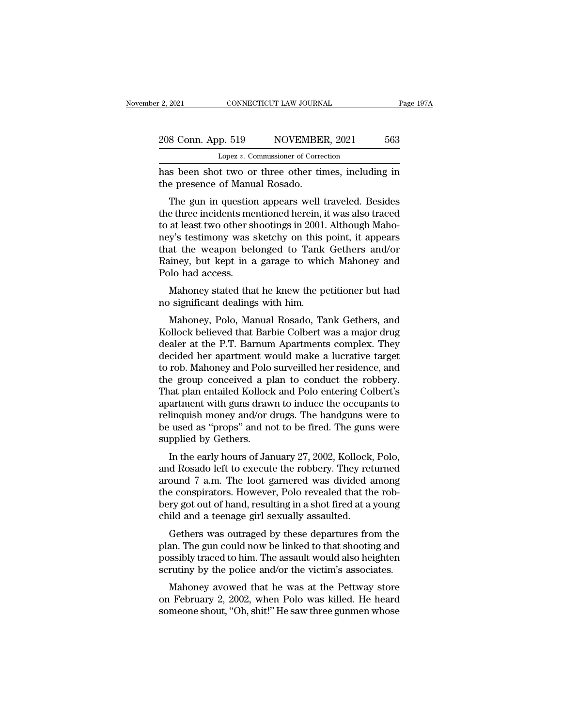| 208 Conn. App. 519 | NOVEMBER, 2021          | 563       |
|--------------------|-------------------------|-----------|
| r 2, 2021          | CONNECTICUT LAW JOURNAL | Page 197A |

Page 1974<br>
208 Conn. App. 519 NOVEMBER, 2021 563<br>
Lopez v. Commissioner of Correction<br>
has been shot two or three other times, including in<br>
the presence of Manual Rosado. 208 Conn. App. 519 NOVEMBEL<br>
Lopez v. Commissioner of Correct<br>
has been shot two or three other tir<br>
the presence of Manual Rosado.<br>
The gun in question appears well t

 $\frac{1}{2}$  Equals 19 Solution appears NOVEMBER, 2021 563<br>
Lopez v. Commissioner of Correction<br>
So been shot two or three other times, including in<br>
e presence of Manual Rosado.<br>
The gun in question appears well traveled. B 208 Conn. App. 519 NOVEMBER, 2021 563<br>
Lopez v. Commissioner of Correction<br>
has been shot two or three other times, including in<br>
the presence of Manual Rosado.<br>
The gun in question appears well traveled. Besides<br>
the thr Lopez v. Commissioner of Correction<br>has been shot two or three other times, including in<br>the presence of Manual Rosado.<br>The gun in question appears well traveled. Besides<br>the three incidents mentioned herein, it was also t has been shot two or three other times, including in<br>the presence of Manual Rosado.<br>The gun in question appears well traveled. Besides<br>the three incidents mentioned herein, it was also traced<br>to at least two other shooting the presence of Manual Rosado.<br>The gun in question appears well traveled. Besides<br>the three incidents mentioned herein, it was also traced<br>to at least two other shootings in 2001. Although Maho-<br>ney's testimony was sketchy The gun in question appears well traveled. Besides<br>the three incidents mentioned herein, it was also traced<br>to at least two other shootings in 2001. Although Maho-<br>ney's testimony was sketchy on this point, it appears<br>that The gun in question<br>the three incidents me<br>to at least two other sh<br>ney's testimony was s<br>that the weapon bel<br>Rainey, but kept in a<br>Polo had access.<br>Mahoney stated tha at least two other shootings in 2001. Although Maho-<br>y's testimony was sketchy on this point, it appears<br>at the weapon belonged to Tank Gethers and/or<br>uiney, but kept in a garage to which Mahoney and<br>lo had access.<br>Mahoney to at least two other shootings in 2001.<br>
ney's testimony was sketchy on this p<br>
that the weapon belonged to Tank<br>
Rainey, but kept in a garage to whic<br>
Polo had access.<br>
Mahoney stated that he knew the p<br>
no significant d at the weapon belonged to Tank Gethers and/or<br>iney, but kept in a garage to which Mahoney and<br>lo had access.<br>Mahoney stated that he knew the petitioner but had<br>isgnificant dealings with him.<br>Mahoney, Polo, Manual Rosado, T

Rainey, but kept in a garage to which Mahoney and<br>Polo had access.<br>Mahoney stated that he knew the petitioner but had<br>no significant dealings with him.<br>Mahoney, Polo, Manual Rosado, Tank Gethers, and<br>Kollock believed that Polo had access.<br>
Mahoney stated that he knew the petitioner but had<br>
no significant dealings with him.<br>
Mahoney, Polo, Manual Rosado, Tank Gethers, and<br>
Kollock believed that Barbie Colbert was a major drug<br>
dealer at the Mahoney stated that he knew the petitioner but had<br>no significant dealings with him.<br>Mahoney, Polo, Manual Rosado, Tank Gethers, and<br>Kollock believed that Barbie Colbert was a major drug<br>dealer at the P.T. Barnum Apartment manoney stated that he knew the pethological had<br>no significant dealings with him.<br>Mahoney, Polo, Manual Rosado, Tank Gethers, and<br>Kollock believed that Barbie Colbert was a major drug<br>dealer at the P.T. Barnum Apartments the significant dealings with film.<br>
Mahoney, Polo, Manual Rosado, Tank Gethers, and<br>
Kollock believed that Barbie Colbert was a major drug<br>
dealer at the P.T. Barnum Apartments complex. They<br>
decided her apartment would m Mahoney, Polo, Manual Rosado, Tank Gethers, and<br>Kollock believed that Barbie Colbert was a major drug<br>dealer at the P.T. Barnum Apartments complex. They<br>decided her apartment would make a lucrative target<br>to rob. Mahoney a Kollock believed that Barbie Colbert was a major drug<br>dealer at the P.T. Barnum Apartments complex. They<br>decided her apartment would make a lucrative target<br>to rob. Mahoney and Polo surveilled her residence, and<br>the group dealer at the P.T. Barnum Apartments complex. They<br>decided her apartment would make a lucrative target<br>to rob. Mahoney and Polo surveilled her residence, and<br>the group conceived a plan to conduct the robbery.<br>That plan ent decided her apartment would make a lucrative target<br>to rob. Mahoney and Polo surveilled her residence, and<br>the group conceived a plan to conduct the robbery.<br>That plan entailed Kollock and Polo entering Colbert's<br>apartment to rob. Mahoney and Polo<br>the group conceived a pl<br>That plan entailed Kollock<br>apartment with guns draw<br>relinquish money and/or c<br>be used as "props" and no<br>supplied by Gethers.<br>In the early hours of Jar E group conceived a plant to conduct the robbery.<br>
aat plan entailed Kollock and Polo entering Colbert's<br>
artment with guns drawn to induce the occupants to<br>
linquish money and/or drugs. The handguns were to<br>
used as "prop That plan entailed Kohock and 1 00 entering Conserts<br>apartment with guns drawn to induce the occupants to<br>relinquish money and/or drugs. The handguns were to<br>be used as "props" and not to be fired. The guns were<br>supplied b

apartment with guits thawn to induce the occupants to<br>relinquish money and/or drugs. The handguns were to<br>be used as "props" and not to be fired. The guns were<br>supplied by Gethers.<br>In the early hours of January 27, 2002, K temiquish money and of drugs. The nandguis were to<br>be used as "props" and not to be fired. The guns were<br>supplied by Gethers.<br>In the early hours of January 27, 2002, Kollock, Polo,<br>and Rosado left to execute the robbery. T be used as props and not to be fired. The guits were<br>supplied by Gethers.<br>In the early hours of January 27, 2002, Kollock, Polo,<br>and Rosado left to execute the robbery. They returned<br>around 7 a.m. The loot garnered was div supphed by Gethers.<br>In the early hours of January 27, 2002, Kollock,<br>and Rosado left to execute the robbery. They ret<br>around 7 a.m. The loot garnered was divided  $\varepsilon$ <br>the conspirators. However, Polo revealed that th<br>bery In the early hours of January 27, 2002, Rohock, 1 010,<br>d Rosado left to execute the robbery. They returned<br>ound 7 a.m. The loot garmered was divided among<br>e conspirators. However, Polo revealed that the rob-<br>ry got out of and Rosado left to execute the Fobbery. They returned<br>around 7 a.m. The loot garnered was divided among<br>the conspirators. However, Polo revealed that the rob-<br>bery got out of hand, resulting in a shot fired at a young<br>chil

around *T* a.m. The foot gamered was divided allong<br>the conspirators. However, Polo revealed that the rob-<br>bery got out of hand, resulting in a shot fired at a young<br>child and a teenage girl sexually assaulted.<br>Gethers was the conspirators. However, 1 010 revealed that the rob-<br>bery got out of hand, resulting in a shot fired at a young<br>child and a teenage girl sexually assaulted.<br>Gethers was outraged by these departures from the<br>plan. The gu ild and a teenage girl sexually assaulted.<br>Gethers was outraged by these departures from the<br>an. The gun could now be linked to that shooting and<br>ssibly traced to him. The assault would also heighten<br>rutiny by the police a Gethers was outraged by these departures from the<br>plan. The gun could now be linked to that shooting and<br>possibly traced to him. The assault would also heighten<br>scrutiny by the police and/or the victim's associates.<br>Mahone defield by these departies from the<br>plan. The gun could now be linked to that shooting and<br>possibly traced to him. The assault would also heighten<br>scrutiny by the police and/or the victim's associates.<br>Mahoney avowed that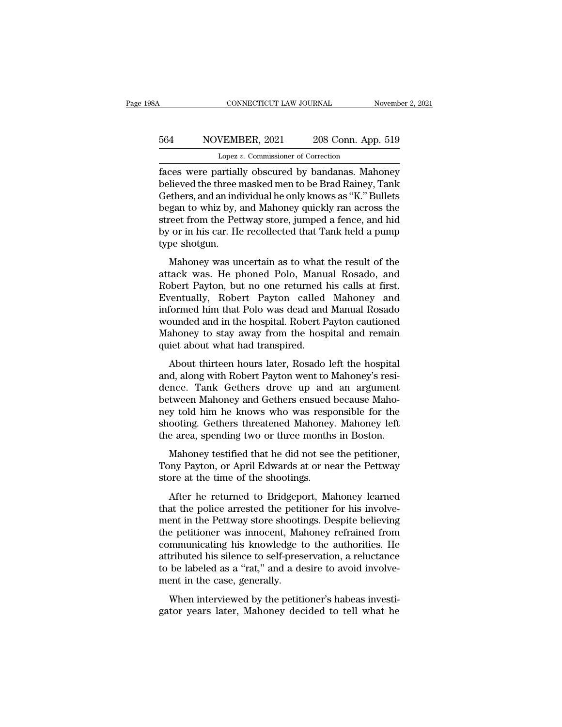## CONNECTICUT LAW JOURNAL November 2, 2021<br>564 NOVEMBER, 2021 208 Conn. App. 519<br>Lopez v. Commissioner of Correction EXECTICUT LAW JOURNAL<br>VEMBER, 2021 208 Conn. App<br>Lopez *v.* Commissioner of Correction<br>artially obscured by bandanas Mab

Faces were partially obscured by bandanas. Mahoney<br>Faces were partially obscured by bandanas. Mahoney<br>believed the three masked men to be Brad Rainey, Tank<br>Cothers and an individual be only knows as "K" Bullots believed the three masked men to be Brad Rainey, Tank<br>believed the three masked men to be Brad Rainey, Tank<br>Gethers, and an individual he only knows as "K." Bullets<br>began to whiz by and Mabonov quickly ran across the S64 NOVEMBER, 2021 208 Conn. App. 519<br>
Lopez v. Commissioner of Correction<br>
faces were partially obscured by bandanas. Mahoney<br>
believed the three masked men to be Brad Rainey, Tank<br>
Gethers, and an individual he only know  $\frac{564}{\text{Lopez v. Commissioner of Correction}}$ <br>Lopez v. Commissioner of Correction<br>faces were partially obscured by bandanas. Mahoney<br>believed the three masked men to be Brad Rainey, Tank<br>Gethers, and an individual he only knows as "K." Bullets<br> Lopez v. Commissioner of Correction<br>faces were partially obscured by bandanas. Mahoney<br>believed the three masked men to be Brad Rainey, Tank<br>Gethers, and an individual he only knows as "K." Bullets<br>began to whiz by, and Ma Lopez v. Commissioner of Correction<br>faces were partially obscured by bandanas. Mahoney<br>believed the three masked men to be Brad Rainey, Tank<br>Gethers, and an individual he only knows as "K." Bullets<br>began to whiz by, and Ma faces were partiall<br>believed the three r<br>Gethers, and an ind<br>began to whiz by, a<br>street from the Pet<br>by or in his car. He<br>type shotgun.<br>Mahoney was ur mercy are ance masked mento be Brad namely, rank<br>thers, and an individual he only knows as "K." Bullets<br>gan to whiz by, and Mahoney quickly ran across the<br>reet from the Pettway store, jumped a fence, and hid<br>or in his car. began to whiz by, and Mahoney quickly ran across the<br>street from the Pettway store, jumped a fence, and hid<br>by or in his car. He recollected that Tank held a pump<br>type shotgun.<br>Mahoney was uncertain as to what the result o

Expansion with Discounting the Pettway store, jumped a fence, and hid<br>by or in his car. He recollected that Tank held a pump<br>type shotgun.<br>Mahoney was uncertain as to what the result of the<br>attack was. He phoned Polo, Manu Eventually, Softe a tensor, and the boy or in his car. He recollected that Tank held a pump<br>type shotgun.<br>Mahoney was uncertain as to what the result of the<br>attack was. He phoned Polo, Manual Rosado, and<br>Robert Payton, but by or in his car. In reconceted that Tank here a pamp<br>type shotgun.<br>Mahoney was uncertain as to what the result of the<br>attack was. He phoned Polo, Manual Rosado, and<br>Robert Payton, but no one returned his calls at first.<br>E Wahoney was uncertain as to what the result of the<br>attack was. He phoned Polo, Manual Rosado, and<br>Robert Payton, but no one returned his calls at first.<br>Eventually, Robert Payton called Mahoney and<br>informed him that Polo w Mahoney was uncertain as to what the result of the<br>attack was. He phoned Polo, Manual Rosado, and<br>Robert Payton, but no one returned his calls at first.<br>Eventually, Robert Payton called Mahoney and<br>informed him that Polo w attack was. He phoned Polo, Manu<br>Robert Payton, but no one returned l<br>Eventually, Robert Payton called<br>informed him that Polo was dead and<br>wounded and in the hospital. Robert F<br>Mahoney to stay away from the hosp<br>quiet abou Faster Fayton, but no one retained his cans at mst.<br>Fentually, Robert Payton called Mahoney and<br>formed him that Polo was dead and Manual Rosado<br>bunded and in the hospital. Robert Payton cautioned<br>ahoney to stay away from t Eventuary, "Robert" Payton" cance "Mahoney" and<br>informed him that Polo was dead and Manual Rosado<br>wounded and in the hospital. Robert Payton cautioned<br>Mahoney to stay away from the hospital and remain<br>quiet about what had

miorince rim that Folo was dead and manda Rosato<br>wounded and in the hospital. Robert Payton cautioned<br>Mahoney to stay away from the hospital and remain<br>quiet about what had transpired.<br>About thirteen hours later, Rosado le Mahoney to stay away from the hospital and remain<br>quiet about what had transpired.<br>About thirteen hours later, Rosado left the hospital<br>and, along with Robert Payton went to Mahoney's resi-<br>dence. Tank Gethers drove up and manoney to stay away from the hospital and remain<br>quiet about what had transpired.<br>About thirteen hours later, Rosado left the hospital<br>and, along with Robert Payton went to Mahoney's resi-<br>dence. Tank Gethers drove up and About thirteen hours later, Rosado left the hospital<br>and, along with Robert Payton went to Mahoney's resi-<br>dence. Tank Gethers drove up and an argument<br>between Mahoney and Gethers ensued because Maho-<br>ney told him he knows About thirteen hours later, Rosado left the hospital<br>and, along with Robert Payton went to Mahoney's resi-<br>dence. Tank Gethers drove up and an argument<br>between Mahoney and Gethers ensued because Maho-<br>ney told him he knows Mahoney and Robert Fayton went to manoncy sites-<br>nce. Tank Gethers drove up and an argument<br>tween Mahoney and Gethers ensued because Maho-<br>y told him he knows who was responsible for the<br>ooting. Gethers threatened Mahoney. defree. Tank definers drove ap and an argument<br>between Mahoney and Gethers ensued because Maho-<br>ney told him he knows who was responsible for the<br>shooting. Gethers threatened Mahoney. Mahoney left<br>the area, spending two or stated manoncy and detacts casted<br>mey told him he knows who was respe<br>shooting. Gethers threatened Mahoney<br>the area, spending two or three months<br>Mahoney testified that he did not see<br>Tony Payton, or April Edwards at or ne

ooting. Gethers threatened Mahoney. Mahoney left<br>e area, spending two or three months in Boston.<br>Mahoney testified that he did not see the petitioner,<br>my Payton, or April Edwards at or near the Pettway<br>pre at the time of t

the area, spending two or three months in Boston.<br>Mahoney testified that he did not see the petitioner,<br>Tony Payton, or April Edwards at or near the Pettway<br>store at the time of the shootings.<br>After he returned to Bridgepo Mahoney testified that he did not see the petitioner,<br>Tony Payton, or April Edwards at or near the Pettway<br>store at the time of the shootings.<br>After he returned to Bridgeport, Mahoney learned<br>that the police arrested the p manoney testance that he did not see the petitioner,<br>Tony Payton, or April Edwards at or near the Pettway<br>store at the time of the shootings.<br>After he returned to Bridgeport, Mahoney learned<br>that the police arrested the pe Forty Fayton, of Fight Edwards at of field the Fettway<br>store at the time of the shootings.<br>After he returned to Bridgeport, Mahoney learned<br>that the police arrested the petitioner for his involve-<br>ment in the Pettway store After he returned to Bridgeport, Mahoney learned<br>that the police arrested the petitioner for his involve-<br>ment in the Pettway store shootings. Despite believing<br>the petitioner was innocent, Mahoney refrained from<br>communica After he returned to Bridgeport, Mahoney learned<br>that the police arrested the petitioner for his involve-<br>ment in the Pettway store shootings. Despite believing<br>the petitioner was innocent, Mahoney refrained from<br>communica that the police arrested the petit<br>ment in the Pettway store shootin<br>the petitioner was innocent, Ma<br>communicating his knowledge t<br>attributed his silence to self-pres<br>to be labeled as a "rat," and a de<br>ment in the case, ge e petitioner was innocent, Mahoney refrained from<br>mmunicating his knowledge to the authorities. He<br>tributed his silence to self-preservation, a reluctance<br>be labeled as a "rat," and a desire to avoid involve-<br>ent in the ca all permudicating his knowledge to the authorities. He attributed his silence to self-preservation, a reluctance to be labeled as a "rat," and a desire to avoid involvement in the case, generally.<br>When interviewed by the p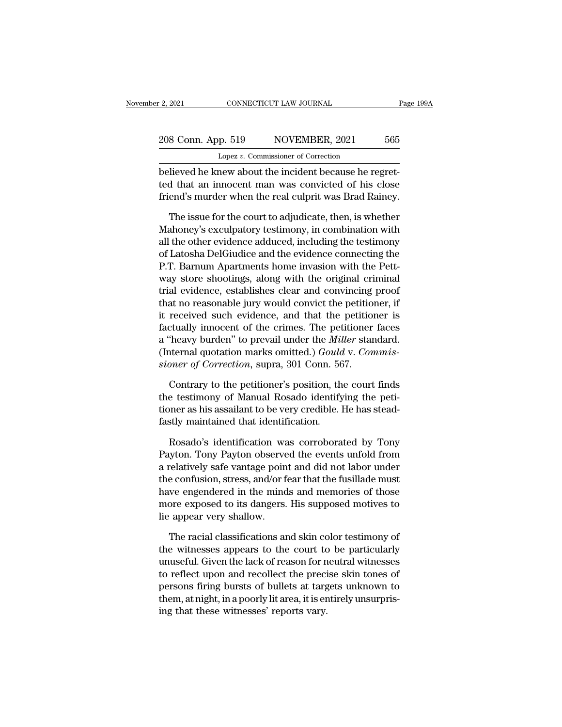## 2, 2021 CONNECTICUT LAW JOURNAL Page 199A<br>208 Conn. App. 519 NOVEMBER, 2021 565<br>Lopez v. Commissioner of Correction Lopez *v.* Commissioner of Correction

believed he knew about the real culture  $\frac{208 \text{ Conn.} \text{ App. 519}}{\text{Lopez } v. \text{ Commissioner of Correction}}$ <br>believed he knew about the incident because he regret-<br>ted that an innocent man was convicted of his close 208 Conn. App. 519 NOVEMBER, 2021 565<br>
Lopez v. Commissioner of Correction<br>
believed he knew about the incident because he regret-<br>
ted that an innocent man was convicted of his close<br>
friend's murder when the real culprit  $\frac{208 \text{ Conn. App. 519}}{\text{Lopez } v. \text{ Commissioner of Correction}}$ <br>believed he knew about the incident because he regretted that an innocent man was convicted of his close friend's murder when the real culprit was Brad Rainey.<br>The issue for the court  $T_{\text{top}}$   $\frac{1}{205}$   $\frac{1}{2021}$   $\frac{1}{200}$ <br>Lopez v. Commissioner of Correction<br>lieved he knew about the incident because he regret-<br>d that an innocent man was convicted of his close<br>end's murder when the real culprit

Lopez v. Commissioner of Correction<br>believed he knew about the incident because he regret-<br>ted that an innocent man was convicted of his close<br>friend's murder when the real culprit was Brad Rainey.<br>The issue for the court believed he knew about the incident because he regret-<br>ted that an innocent man was convicted of his close<br>friend's murder when the real culprit was Brad Rainey.<br>The issue for the court to adjudicate, then, is whether<br>Maho ted that an innocent man was convicted of his close<br>friend's murder when the real culprit was Brad Rainey.<br>The issue for the court to adjudicate, then, is whether<br>Mahoney's exculpatory testimony, in combination with<br>all th friend's murder when the real culprit was Brad Rainey.<br>The issue for the court to adjudicate, then, is whether<br>Mahoney's exculpatory testimony, in combination with<br>all the other evidence adduced, including the testimony<br>of The issue for the court to adjudicate, then, is whether<br>Mahoney's exculpatory testimony, in combination with<br>all the other evidence adduced, including the testimony<br>of Latosha DelGiudice and the evidence connecting the<br>P.T The issue for the court to adjudicate, then, is whether<br>Mahoney's exculpatory testimony, in combination with<br>all the other evidence adduced, including the testimony<br>of Latosha DelGiudice and the evidence connecting the<br>P.T Mahoney's exculpatory testimony, in combination with<br>all the other evidence adduced, including the testimony<br>of Latosha DelGiudice and the evidence connecting the<br>P.T. Barnum Apartments home invasion with the Pett-<br>way sto all the other evidence adduced, including the testimony<br>of Latosha DelGiudice and the evidence connecting the<br>P.T. Barnum Apartments home invasion with the Pett-<br>way store shootings, along with the original criminal<br>trial of Latosha DelGiudice and the evidence connecting the<br>P.T. Barnum Apartments home invasion with the Pett-<br>way store shootings, along with the original criminal<br>trial evidence, establishes clear and convincing proof<br>that no P.T. Barnum Apartments home invasion with the Pett-<br>way store shootings, along with the original criminal<br>trial evidence, establishes clear and convincing proof<br>that no reasonable jury would convict the petitioner, if<br>it r way store shootings, along with the original criminal<br>trial evidence, establishes clear and convincing proof<br>that no reasonable jury would convict the petitioner, if<br>it received such evidence, and that the petitioner is<br>fa rial evidence, establishes clear and convincing<br>that no reasonable jury would convict the petition<br>it received such evidence, and that the petition<br>factually innocent of the crimes. The petitioner<br>a "heavy burden" to preva received such evidence, and that the petitioner is<br>ctually innocent of the crimes. The petitioner faces<br>"heavy burden" to prevail under the *Miller* standard.<br>nternal quotation marks omitted.) *Gould* v. *Commis-<br>oner of C* factually innocent of the crimes. The petitioner faces<br>a "heavy burden" to prevail under the *Miller* standard.<br>(Internal quotation marks omitted.) *Gould v. Commis-<br>sioner of Correction*, supra, 301 Conn. 567.<br>Contrary to

a "heavy burden" to prevail under the *Miller* standard.<br>(Internal quotation marks omitted.) *Gould v. Commissioner of Correction*, supra, 301 Conn. 567.<br>Contrary to the petitioner's position, the court finds<br>the testimony (Internal quotation marks omitted.) *Goulo*<br> *sioner of Correction*, supra, 301 Conn. 56<br>
Contrary to the petitioner's position, th<br>
the testimony of Manual Rosado identify<br>
tioner as his assailant to be very credible. I<br> Contrary to the petitioner's position, the court finds<br>e testimony of Manual Rosado identifying the peti-<br>pher as his assailant to be very credible. He has stead-<br>stly maintained that identification.<br>Rosado's identificatio Contrary to the petitioner's position, the court finds<br>the testimony of Manual Rosado identifying the peti-<br>tioner as his assailant to be very credible. He has stead-<br>fastly maintained that identification.<br>Rosado's identif

the testimony of Manual Rosado identifying the petitioner as his assailant to be very credible. He has stead-<br>fastly maintained that identification.<br>Rosado's identification was corroborated by Tony<br>Payton. Tony Payton obse tioner as his assailant to be very credible. He has stead-<br>fastly maintained that identification.<br>Rosado's identification was corroborated by Tony<br>Payton. Tony Payton observed the events unfold from<br>a relatively safe vanta fastly maintained that identification.<br>
Rosado's identification was corroborated by Tony<br>
Payton. Tony Payton observed the events unfold from<br>
a relatively safe vantage point and did not labor under<br>
the confusion, stress, Rosado's identification was corroborated by Tony<br>Payton. Tony Payton observed the events unfold from<br>a relatively safe vantage point and did not labor under<br>the confusion, stress, and/or fear that the fusillade must<br>have e Rosado's identification wa<br>Payton. Tony Payton observe<br>a relatively safe vantage poin<br>the confusion, stress, and/or f<br>have engendered in the mind<br>more exposed to its dangers.<br>lie appear very shallow.<br>The racial classificat relatively safe vantage point and did not labor under<br>e confusion, stress, and/or fear that the fusillade must<br>we engendered in the minds and memories of those<br>ore exposed to its dangers. His supposed motives to<br>appear ver the confusion, stress, and/or fear that the fusillade must<br>have engendered in the minds and memories of those<br>more exposed to its dangers. His supposed motives to<br>lie appear very shallow.<br>The racial classifications and ski

have engendered in the minds and memories of those<br>more exposed to its dangers. His supposed motives to<br>lie appear very shallow.<br>The racial classifications and skin color testimony of<br>the witnesses appears to the court to more exposed to its dangers. His supposed motives to<br>lie appear very shallow.<br>The racial classifications and skin color testimony of<br>the witnesses appears to the court to be particularly<br>unuseful. Given the lack of reason lie appear very shallow.<br>
The racial classifications and skin color testimony of<br>
the witnesses appears to the court to be particularly<br>
unuseful. Given the lack of reason for neutral witnesses<br>
to reflect upon and recolle The racial classifications and skin color testimony of<br>the witnesses appears to the court to be particularly<br>unuseful. Given the lack of reason for neutral witnesses<br>to reflect upon and recollect the precise skin tones of<br> The racial classifications and skin coffer witnesses appears to the court to unuseful. Given the lack of reason for n to reflect upon and recollect the precipersons firing bursts of bullets at targ them, at night, in a poo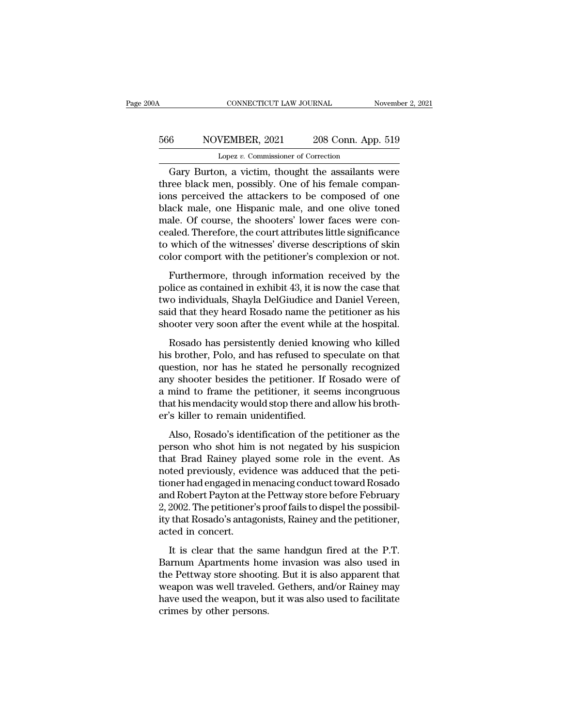## CONNECTICUT LAW JOURNAL November 2, 2021<br>566 NOVEMBER, 2021 208 Conn. App. 519<br>Lopez v. Commissioner of Correction CONNECTICUT LAW JOURNAL<br>VEMBER, 2021 208 Conn. App<br>Lopez *v.* Commissioner of Correction<br>n a victim thought the assailants

CONNECTICUT LAW JOURNAL November 2, 2021<br>
6 NOVEMBER, 2021 208 Conn. App. 519<br>
Lopez v. Commissioner of Correction<br>
Gary Burton, a victim, thought the assailants were<br>
ree black men, possibly. One of his female companthree black men, possibly. One of his female companions perceived the attackers to be composed of one black mela and an elignmic male and an elignmic made of the black mela and an elignmic material companions black mela an  $\frac{566}{\text{Lopez v. Commissioner of Correction}}$ <br>Lopez v. Commissioner of Correction<br>Gary Burton, a victim, thought the assailants were<br>three black men, possibly. One of his female compan-<br>ions perceived the attackers to be composed of one<br>black  $\frac{566}{\text{Lopez } v. \text{ Commissioner of Correction}}$ <br>Lopez v. Commissioner of Correction<br>Gary Burton, a victim, thought the assailants were<br>three black men, possibly. One of his female compan-<br>ions perceived the attackers to be composed of one<br>bl Lopez v. Commissioner of Correction<br>
Gary Burton, a victim, thought the assailants were<br>
three black men, possibly. One of his female compan-<br>
ions perceived the attackers to be composed of one<br>
black male, one Hispanic m Lopez *v*. Columissioner of Correction<br>Gary Burton, a victim, thought the assailants were<br>three black men, possibly. One of his female compan-<br>ions perceived the attackers to be composed of one<br>black male, one Hispanic ma Gary Burton, a victim, thought the assailants were<br>three black men, possibly. One of his female compan-<br>ions perceived the attackers to be composed of one<br>black male, one Hispanic male, and one olive toned<br>male. Of course, three black men, possibly. One of his female companions perceived the attackers to be composed of one black male, one Hispanic male, and one olive toned male. Of course, the shooters' lower faces were concealed. Therefore, Furthermore, through information received by the discussion and one of the shooters' lower faces were con-<br>aled. Therefore, the court attributes little significance<br>which of the witnesses' diverse descriptions of skin<br>lor policial rinks, one transposed rinks, and one only contained male. Of course, the shooters' lower faces were concealed. Therefore, the court attributes little significance to which of the witnesses' diverse descriptions of

these of the states, the shootest folder have seen<br>cealed. Therefore, the court attributes little significance<br>to which of the witnesses' diverse descriptions of skin<br>color comport with the petitioner's complexion or not.<br> said a relation of the witnesses' diverse descriptions of skin color comport with the petitioner's complexion or not.<br>Furthermore, through information received by the police as contained in exhibit 43, it is now the case t Furthermore, through information received by the police as contained in exhibit 43, it is now the case that two individuals, Shayla DelGiudice and Daniel Vereen, said that they heard Rosado name the petitioner as his shoot Furthermore, through information received by the<br>lice as contained in exhibit 43, it is now the case that<br>ro individuals, Shayla DelGiudice and Daniel Vereen,<br>id that they heard Rosado name the petitioner as his<br>ooter very Figure as contained in exhibit 43, it is now the case that<br>two individuals, Shayla DelGiudice and Daniel Vereen,<br>said that they heard Rosado name the petitioner as his<br>shooter very soon after the event while at the hospita

Force as contained in emacy recycle from the exertain<br>two individuals, Shayla DelGiudice and Daniel Vereen,<br>said that they heard Rosado name the petitioner as his<br>shooter very soon after the event while at the hospital.<br>Ro any shooter very soon after the event while at the hospital.<br>Said that they heard Rosado name the petitioner as his<br>shooter very soon after the event while at the hospital.<br>Rosado has persistently denied knowing who killed shooter very soon after the event while at the hospital.<br>
Rosado has persistently denied knowing who killed<br>
his brother, Polo, and has refused to speculate on that<br>
question, nor has he stated he personally recognized<br>
an Rosado has persistently denied knowing who killed<br>his brother, Polo, and has refused to speculate on that<br>question, nor has he stated he personally recognized<br>any shooter besides the petitioner. If Rosado were of<br>a mind to Rosado has persistently denied kno<br>his brother, Polo, and has refused to s<br>question, nor has he stated he persor<br>any shooter besides the petitioner. If<br>a mind to frame the petitioner, it see<br>that his mendacity would stop t Also, Rosado's identification of the petitioner as the performing to frame the petitioner. If Rosado were of mind to frame the petitioner, it seems incongruous at his mendacity would stop there and allow his broth-<br>
So kil person who shote besides the petitioner. If Rosado were of<br>a mind to frame the petitioner, it seems incongruous<br>that his mendacity would stop there and allow his broth-<br>er's killer to remain unidentified.<br>Also, Rosado's id

that Brad Rainey but a mind to frame the petitioner, it seems incongruous<br>that his mendacity would stop there and allow his broth-<br>er's killer to remain unidentified.<br>Also, Rosado's identification of the petitioner as the<br> noted in this mendacity would stop there and allow his brother's killer to remain unidentified.<br>Also, Rosado's identification of the petitioner as the person who shot him is not negated by his suspicion<br>that Brad Rainey pl the mass increasely we analyze procedure and also intervals of the person who shot him is not negated by his suspicion<br>that Brad Rainey played some role in the event. As<br>noted previously, evidence was adduced that the peti Also, Rosado's identification of the petitioner as the<br>person who shot him is not negated by his suspicion<br>that Brad Rainey played some role in the event. As<br>noted previously, evidence was adduced that the peti-<br>tioner had Also, Rosado's identification of the petitioner as the person who shot him is not negated by his suspicion that Brad Rainey played some role in the event. As noted previously, evidence was adduced that the petitioner had e person who shot him is not negated by his suspicion<br>that Brad Rainey played some role in the event. As<br>noted previously, evidence was adduced that the peti-<br>tioner had engaged in menacing conduct toward Rosado<br>and Robert P that Brad Rainey play<br>noted previously, evid<br>tioner had engaged in n<br>and Robert Payton at tl<br>2, 2002. The petitioner'<br>ity that Rosado's antag<br>acted in concert.<br>It is clear that the Franchington and and the periodic meaning conduct toward Rosado de Robert Payton at the Pettway store before February 2002. The petitioner's proof fails to dispel the possibility that Rosado's antagonists, Rainey and the p and Robert Payton at the Pettway store before February<br>2, 2002. The petitioner's proof fails to dispel the possibility<br>that Rosado's antagonists, Rainey and the petitioner,<br>acted in concert.<br>It is clear that the same handg

2, 2002. The petitioner's proof fails to dispel the possibility that Rosado's antagonists, Rainey and the petitioner, acted in concert.<br>It is clear that the same handgun fired at the P.T. Barnum Apartments home invasion w what Rosado's antagonists, Rainey and the petitioner,<br>acted in concert.<br>It is clear that the same handgun fired at the P.T.<br>Barnum Apartments home invasion was also used in<br>the Pettway store shooting. But it is also appare have used the concert.<br>
It is clear that the same handgun fired at the P.T.<br>
Barnum Apartments home invasion was also used in<br>
the Pettway store shooting. But it is also apparent that<br>
weapon was well traveled. Gethers, an It is clear that the same Barnum Apartments hon<br>the Pettway store shootine<br>weapon was well traveled<br>have used the weapon, bu<br>crimes by other persons.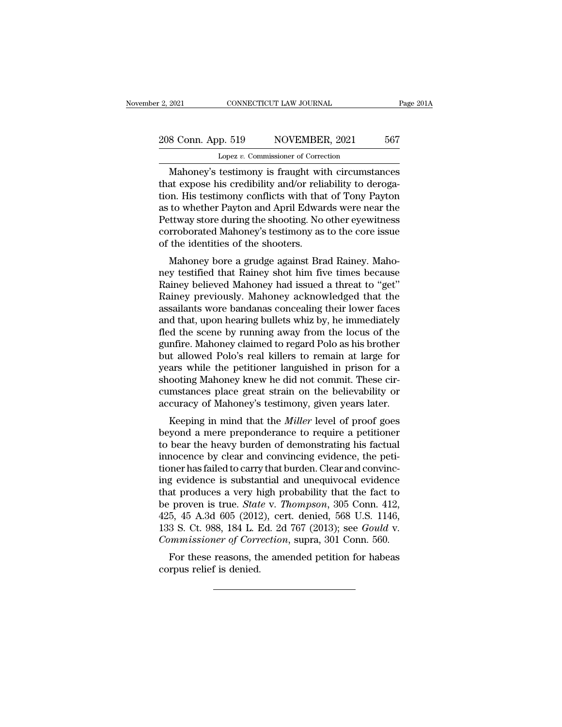## 2, 2021 CONNECTICUT LAW JOURNAL Page 201A<br>208 Conn. App. 519 NOVEMBER, 2021 567<br>Lopez v. Commissioner of Correction Lopez *v.* Commissioner of Correction

EXECUTE 2021 CONNECTICUT LAW JOURNAL Page 2014<br>
S Conn. App. 519 NOVEMBER, 2021 567<br>
Lopez v. Commissioner of Correction<br>
Mahoney's testimony is fraught with circumstances<br>
at expose his credibility and/or reliability to d 208 Conn. App. 519 NOVEMBER, 2021 567<br>
Lopez v. Commissioner of Correction<br>
Mahoney's testimony is fraught with circumstances<br>
that expose his credibility and/or reliability to deroga-<br>
tion. His testimony conflicts with t 208 Conn. App. 519 NOVEMBER, 2021 567<br>
Lopez v. Commissioner of Correction<br>
Mahoney's testimony is fraught with circumstances<br>
that expose his credibility and/or reliability to deroga-<br>
tion. His testimony conflicts with t 208 Conn. App. 519 NOVEMBER, 2021 567<br>
Lopez v. Commissioner of Correction<br>
Mahoney's testimony is fraught with circumstances<br>
that expose his credibility and/or reliability to deroga-<br>
tion. His testimony conflicts with t Lopez v. Commissioner of Correction<br>
Mahoney's testimony is fraught with circumstances<br>
that expose his credibility and/or reliability to deroga-<br>
tion. His testimony conflicts with that of Tony Payton<br>
as to whether Payto Lopez *v*. Commissioner of Correction<br>Mahoney's testimony is fraught with circumstances<br>that expose his credibility and/or reliability to deroga-<br>tion. His testimony conflicts with that of Tony Payton<br>as to whether Payton Mahoney's testimony is fraught with<br>that expose his credibility and/or reliation. His testimony conflicts with that<br>as to whether Payton and April Edwar<br>Pettway store during the shooting. No<br>corroborated Mahoney's testimon at expose its credibity and/or reliability to derogation.<br>His testimony conflicts with that of Tony Payton<br>to whether Payton and April Edwards were near the<br>strukture are during the shooting. No other eyewitness<br>proborated new testimony connects with that of Tony Payton<br>as to whether Payton and April Edwards were near the<br>Pettway store during the shooting. No other eyewitness<br>corroborated Mahoney's testimony as to the core issue<br>of the ident

as to whether I ayton and April Edwards were hear the<br>Pettway store during the shooting. No other eyewitness<br>corroborated Mahoney's testimony as to the core issue<br>of the identities of the shooters.<br>Mahoney bore a grudge ag rettway store during the shooting. No other eyewthess<br>corroborated Mahoney's testimony as to the core issue<br>of the identities of the shooters.<br>Mahoney bore a grudge against Brad Rainey. Maho-<br>ney testified that Rainey shot corroborated manoney's testmony' as to the core issue<br>of the identities of the shooters.<br>Mahoney bore a grudge against Brad Rainey. Maho-<br>ney testified that Rainey shot him five times because<br>Rainey believed Mahoney had is Mahoney bore a grudge against Brad Rainey. Maho-<br>ney testified that Rainey shot him five times because<br>Rainey believed Mahoney had issued a threat to "get"<br>Rainey previously. Mahoney acknowledged that the<br>assailants wore b Mahoney bore a grudge against Brad Rainey. Mahoney testified that Rainey shot him five times because<br>Rainey believed Mahoney had issued a threat to "get"<br>Rainey previously. Mahoney acknowledged that the<br>assailants wore ban ney testified that Rainey shot him five times because<br>Rainey believed Mahoney had issued a threat to "get"<br>Rainey previously. Mahoney acknowledged that the<br>assailants wore bandanas concealing their lower faces<br>and that, up Rainey believed Mahoney had issued a threat to "get"<br>Rainey previously. Mahoney acknowledged that the<br>assailants wore bandanas concealing their lower faces<br>and that, upon hearing bullets whiz by, he immediately<br>fled the sc Rainey previously. Mahoney acknowledged that the<br>assailants wore bandanas concealing their lower faces<br>and that, upon hearing bullets whiz by, he immediately<br>fled the scene by running away from the locus of the<br>gunfire. Ma assailants wore bandanas concealing their lower faces<br>and that, upon hearing bullets whiz by, he immediately<br>fled the scene by running away from the locus of the<br>gunfire. Mahoney claimed to regard Polo as his brother<br>but a and that, upon hearing bullets whiz by, he immediately<br>fled the scene by running away from the locus of the<br>gunfire. Mahoney claimed to regard Polo as his brother<br>but allowed Polo's real killers to remain at large for<br>year fled the scene by running away from the locus of the gunfire. Mahoney claimed to regard Polo as his brother but allowed Polo's real killers to remain at large for years while the petitioner languished in prison for a shoot Filme. Manoney claimed to regard 1 010 as his brother<br>tt allowed Polo's real killers to remain at large for<br>ars while the petitioner languished in prison for a<br>ooting Mahoney knew he did not commit. These cir-<br>mstances pla but anowed Polo's real killers to relitant at large for<br>years while the petitioner languished in prison for a<br>shooting Mahoney knew he did not commit. These cir-<br>cumstances place great strain on the believability or<br>accura

bears while the petrioner languished in prison for a<br>shooting Mahoney knew he did not commit. These cir-<br>cumstances place great strain on the believability or<br>accuracy of Mahoney's testimony, given years later.<br>Keeping in shooting manoney knew he did not confinit. These circumstances place great strain on the believability or accuracy of Mahoney's testimony, given years later.<br>Keeping in mind that the *Miller* level of proof goes<br>beyond a m transfered to carry is that the Miller level of proof goes<br>beyond a mere preponderance to require a petitioner<br>to bear the heavy burden of demonstrating his factual<br>innocence by clear and convincing evidence, the peti-<br>tio Example is substantial and unequivocal evidence to provide the periodic beam the heavy burden of demonstrating his factual innocence by clear and convincing evidence, the petitioner has failed to carry that burden. Clear Keeping in mind that the *Miller* level of proof goes<br>beyond a mere preponderance to require a petitioner<br>to bear the heavy burden of demonstrating his factual<br>innocence by clear and convincing evidence, the peti-<br>tioner beyond a mere preponderance to require a petitioner<br>to bear the heavy burden of demonstrating his factual<br>innocence by clear and convincing evidence, the peti-<br>tioner has failed to carry that burden. Clear and convinc-<br>ing to bear the heavy burden of demonstrating his factual<br>innocence by clear and convincing evidence, the peti-<br>tioner has failed to carry that burden. Clear and convinc-<br>ing evidence is substantial and unequivocal evidence<br>th innocence by clear and convincing evidence, the petitioner has failed to carry that burden. Clear and convincing evidence is substantial and unequivocal evidence that produces a very high probability that the fact to be pr tioner has failed to carry that burden. Clear and convincing evidence is substantial and unequivocal evidence that produces a very high probability that the fact to be proven is true. *State* v. *Thompson*, 305 Conn. 412, g evidence is substantial and direquivocal evidence<br>at produces a very high probability that the fact to<br>proven is true. *State* v. *Thompson*, 305 Conn. 412,<br>5, 45 A.3d 605 (2012), cert. denied, 568 U.S. 1146,<br>3 S. Ct. 98 mat produces a very him<br>be proven is true. Stat<br>425, 45 A.3d 605 (2012<br>133 S. Ct. 988, 184 L. If<br>Commissioner of Corr<br>For these reasons, the<br>corpus relief is denied.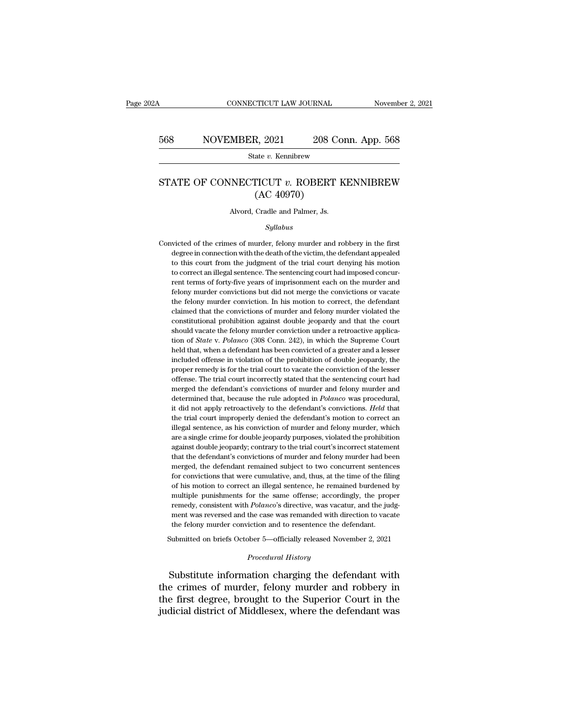# CONNECTICUT LAW JOURNAL November 2, 2021<br>568 NOVEMBER, 2021 208 Conn. App. 568<br>568 State v. Kennibrew

State *v.* Kennibrew

### SE SUITE NOVEL EXECUTE: 1999 NOVEL EXECUTE: 1999 NOVEL STATE OF CONNECTICUT *v*. ROBERT KENNIBREW (AC 40970)  $\frac{R, 2021}{\text{ate } v. \text{ Kennibrew}}$ <br>TICUT  $v. \text{ ROBERT}$ <br>(AC 40970)<br>Cradle and Palmer, Js. STATE OF CONNECTICUT  $v$ . ROBERT KENNIBREW<br>(AC 40970)<br>Alvord, Cradle and Palmer, Js.

### *Syllabus*

 $(AC 40970)$ <br>Alvord, Cradle and Palmer, Js.<br> $Syllabus$ <br>Convicted of the crimes of murder, felony murder and robbery in the first<br>degree in connection with the death of the victim, the defendant appealed Alvord, Cradle and Palmer, Js.<br>
Syllabus<br>
victed of the crimes of murder, felony murder and robbery in the first<br>
degree in connection with the death of the victim, the defendant appealed<br>
to this court from the judgment o Alvord, Cradle and Palmer, Js.<br>
Syllabus<br>
victed of the crimes of murder, felony murder and robbery in the first<br>
degree in connection with the death of the victim, the defendant appealed<br>
to this court from the judgment o Syllabus<br>
sixted of the crimes of murder, felony murder and robbery in the first<br>
degree in connection with the death of the victim, the defendant appealed<br>
to this court from the judgment of the trial court denying his mo *Syltabus*<br>victed of the crimes of murder, felony murder and robbery in the first<br>degree in connection with the death of the victim, the defendant appealed<br>to this court from the judgment of the trial court denying his mot victed of the crimes of murder, felony murder and robbery in the first degree in connection with the death of the victim, the defendant appealed to this court from the judgment of the trial court denying his motion to corr degree in connection with the death of the victim, the defendant appealed<br>to this court from the judgment of the trial court denying his motion<br>to correct an illegal sentence. The sentencing court had imposed concur-<br>rent to this court from the judgment of the trial court denying his motion to correct an illegal sentence. The sentencing court had imposed concurrent terms of forty-five years of imprisonment each on the murder and felony murd to correct an illegal sentence. The sentencing court had imposed concurrent terms of forty-five years of imprisonment each on the murder and felony murder convictions but did not merge the convictions or vacate the felony rent terms of forty-five years of imprisonment each on the murder and felony murder convictions but did not merge the convictions or vacate the felony murder conviction. In his motion to correct, the defendant claimed tha felony murder convictions but did not merge the convictions or vacate<br>the felony murder conviction. In his motion to correct, the defendant<br>claimed that the convictions of murder and felony murder violated the<br>constitution the felony murder conviction. In his motion to correct, the defendant claimed that the convictions of murder and felony murder violated the constitutional prohibition against double jeopardy and that the court should vacat claimed that the convictions of murder and felony murder violated the constitutional prohibition against double jeopardy and that the court should vacate the felony murder conviction under a retroactive application of *Sta* constitutional prohibition against double jeopardy and that the court<br>should vacate the felony murder conviction under a retroactive applica-<br>tion of *State* v. Polanco (308 Conn. 242), in which the Supreme Court<br>held that should vacate the felony murder conviction under a retroactive application of *State v. Polanco* (308 Conn. 242), in which the Supreme Court held that, when a defendant has been convicted of a greater and a lesser included tion of *State* v. *Polanco* (308 Conn. 242), in which the Supreme Court<br>held that, when a defendant has been convicted of a greater and a lesser<br>included offense in violation of the prohibition of double jeopardy, the<br>pro held that, when a defendant has been convicted of a greater and a lesser included offense in violation of the prohibition of double jeopardy, the proper remedy is for the trial court to vacate the conviction of the lesser included offense in violation of the prohibition of double jeopardy, the proper remedy is for the trial court to vacate the conviction of the lesser offense. The trial court incorrectly stated that the sentencing court had proper remedy is for the trial court to vacate the conviction of the lesser offense. The trial court incorrectly stated that the sentencing court had merged the defendant's convictions of murder and felony murder and deter offense. The trial court incorrectly stated that the sentencing court had merged the defendant's convictions of murder and felony murder and determined that, because the rule adopted in *Polanco* was procedural, it did not merged the defendant's convictions of murder and felony murder and determined that, because the rule adopted in *Polanco* was procedural, it did not apply retroactively to the defendant's convictions. *Held* that the trial determined that, because the rule adopted in *Polanco* was procedural, it did not apply retroactively to the defendant's convictions. *Held* that the trial court improperly denied the defendant's motion to correct an illeg it did not apply retroactively to the defendant's convictions. *Held* that<br>the trial court improperly denied the defendant's motion to correct an<br>illegal sentence, as his conviction of murder and felony murder, which<br>are a the trial court improperly denied the defendant's motion to correct an illegal sentence, as his conviction of murder and felony murder, which are a single crime for double jeopardy purposes, violated the prohibition agains illegal sentence, as his conviction of murder and felony murder, which<br>are a single crime for double jeopardy purposes, violated the prohibition<br>against double jeopardy; contrary to the trial court's incorrect statement<br>th are a single crime for double jeopardy purposes, violated the prohibition against double jeopardy; contrary to the trial court's incorrect statement that the defendant's convictions of murder and felony murder had been mer against double jeopardy; contrary to the trial court's incorrect statement<br>that the defendant's convictions of murder and felony murder had been<br>merged, the defendant remained subject to two concurrent sentences<br>for convic that the defendant's convictions of murder and felony murder had been merged, the defendant remained subject to two concurrent sentences for convictions that were cumulative, and, thus, at the time of the filing of his mot merged, the defendant remained subject to two concurrent sentences<br>for convictions that were cumulative, and, thus, at the time of the filing<br>of his motion to correct an illegal sentence, he remained burdened by<br>multiple p for convictions that were cumulative, and, thus, at the time of the fill<br>of his motion to correct an illegal sentence, he remained burdened<br>multiple punishments for the same offense; accordingly, the prop<br>remedy, consisten % of his motion to correct an illegal sentence, he remained burdened by multiple punishments for the same offense; accordingly, the proper remedy, consistent with  $Polarco's$  directive, was vacatur, and the judgment was revers remedy, consistent with *Polanco*'s directive, was vacatur, and the judgment was reversed and the case was remanded with direction to vacate the felony murder conviction and to resentence the defendant.<br>Submitted on briefs remedy, consistent with *Polanco*'s directive, was vacatur, and the judgment was reversed and the case was remanded with direction to vacate<br>the felony murder conviction and to resentence the defendant.<br>Submitted on briefs

ment was reversed and the case was remanded with direction to vacate<br>the felony murder conviction and to resentence the defendant.<br>Submitted on briefs October 5—officially released November 2, 2021<br>*Procedural History*<br>Sub the felony murder conviction and to resentence the defendant.<br>
Submitted on briefs October 5—officially released November 2, 2021<br> *Procedural History*<br>
Substitute information charging the defendant with<br>
the crimes of mur Submitted on briefs October 5—officially released November 2, 2021<br> *Procedural History*<br>
Substitute information charging the defendant with<br>
the crimes of murder, felony murder and robbery in<br>
the first degree, brought to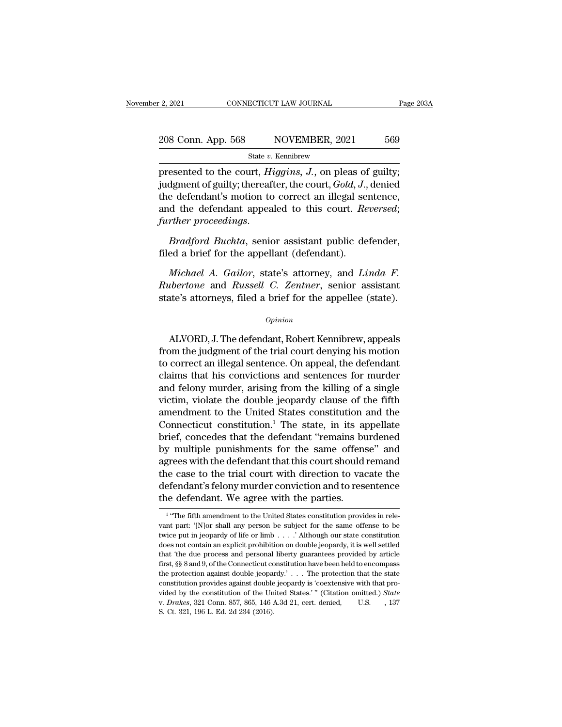# 2, 2021 CONNECTICUT LAW JOURNAL Page 203A<br>208 Conn. App. 568 NOVEMBER, 2021 569<br>31 State v. Kennibrew

State *v.* Kennibrew

Presented to the court, *Higgins*, *J.*, on pleas of guilty;<br>
independent of guilty; thereafter, the court, *Gold*, *J.*, denied<br>
the defendent's motion to serrest an illogal sextence 208 Conn. App. 568 NOVEMBER, 2021 569<br>State v. Kennibrew<br>presented to the court, *Higgins*, *J*., on pleas of guilty;<br>judgment of guilty; thereafter, the court, *Gold*, *J*., denied<br>the defendant's motion to correct an ill 208 Conn. App. 568 NOVEMBER, 2021 569<br>
State v. Kennibrew<br>
presented to the court, *Higgins*, *J*., on pleas of guilty;<br>
judgment of guilty; thereafter, the court, *Gold*, *J.*, denied<br>
the defendant's motion to correct a 208 Conn. App. 568 NOVEMBER, 2021 569<br>
State *v.* Kennibrew<br>
presented to the court, *Riggins*, *J.*, on pleas of guilty;<br>
judgment of guilty; thereafter, the court, *Gold*, *J.*, denied<br>
the defendant's motion to correct *further in the court, Higgins, J., on pleas of guilty;*<br>presented to the court, *Higgins, J., on pleas of guilty;*<br>judgment of guilty; thereafter, the court, *Gold, J.*, denied<br>the defendant's motion to correct an illegal indity; thereafter, the court, *Gold*, *J*.,<br>the defendant's motion to correct an illegal set<br>and the defendant appealed to this court. Refurther proceedings.<br>Bradford Buchta, senior assistant public de<br>filed a brief for *Michael A. Gailor, state's attorney, filed a brief for the appellant (defendant).*<br>*Michael A. Gailor, state's attorney, and <i>Linda F.*<br>*Michael A. Gailor, state's attorney, and <i>Linda F.*<br>*Michael A. Gailor, state's atto* 

*Rubertoner proceedings.*<br>*Rubertone and Buchta*, senior assistant public defender, filed a brief for the appellant (defendant).<br>*Michael A. Gailor*, state's attorney, and *Linda F.*<br>*Rubertone* and *Russell C. Zentner*, s Bradford Buchta, senior assistant public defender,<br>filed a brief for the appellant (defendant).<br>*Michael A. Gailor*, state's attorney, and *Linda F.*<br>*Rubertone* and *Russell C. Zentner*, senior assistant<br>state's attorneys Michael A. Gailor, state's attorney, and Linda F.<br>
ubertone and Russell C. Zentner, senior assistant<br>
ate's attorneys, filed a brief for the appellee (state).<br>
opinion<br>
ALVORD, J. The defendant, Robert Kennibrew, appeals<br>

### *Opinion*

Friender T. Gattor, state's attorney, and Ernatt T.<br>
Rubertone and Russell C. Zentner, senior assistant<br>
state's attorneys, filed a brief for the appellee (state).<br>
Opinion<br>
ALVORD, J. The defendant, Robert Kennibrew, appe trate is attorneys, filed a brief for the appellee (state).<br>
opinion<br>
ALVORD, J. The defendant, Robert Kennibrew, appeals<br>
from the judgment of the trial court denying his motion<br>
to correct an illegal sentence. On appeal, opinion<br>opinion<br>Opinion<br>ALVORD, J. The defendant, Robert Kennibrew, appeals<br>from the judgment of the trial court denying his motion<br>to correct an illegal sentence. On appeal, the defendant<br>claims that his convictions and s opinion<br>ALVORD, J. The defendant, Robert Kennibrew, appeals<br>from the judgment of the trial court denying his motion<br>to correct an illegal sentence. On appeal, the defendant<br>claims that his convictions and sentences for mur ALVORD, J. The defendant, Robert Kennibrew, appeals<br>from the judgment of the trial court denying his motion<br>to correct an illegal sentence. On appeal, the defendant<br>claims that his convictions and sentences for murder<br>and ALVORD, J. The defendant, Robert Kennibrew, appeals<br>from the judgment of the trial court denying his motion<br>to correct an illegal sentence. On appeal, the defendant<br>claims that his convictions and sentences for murder<br>and from the judgment of the trial court denying his motion<br>to correct an illegal sentence. On appeal, the defendant<br>claims that his convictions and sentences for murder<br>and felony murder, arising from the killing of a single to correct an illegal sentence. On appeal, the defendant<br>claims that his convictions and sentences for murder<br>and felony murder, arising from the killing of a single<br>victim, violate the double jeopardy clause of the fifth<br> claims that his convictions and sentences for murder<br>and felony murder, arising from the killing of a single<br>victim, violate the double jeopardy clause of the fifth<br>amendment to the United States constitution and the<br>Conne and felony murder, arising from the killing of a single<br>victim, violate the double jeopardy clause of the fifth<br>amendment to the United States constitution and the<br>Connecticut constitution.<sup>1</sup> The state, in its appellate<br> victim, violate the double jeopardy clause of the fifth<br>amendment to the United States constitution and the<br>Connecticut constitution.<sup>1</sup> The state, in its appellate<br>brief, concedes that the defendant "remains burdened<br>by m amendment to the United States constitution and the<br>Connecticut constitution.<sup>1</sup> The state, in its appellate<br>brief, concedes that the defendant "remains burdened<br>by multiple punishments for the same offense" and<br>agrees wit Connecticut constitution.<sup>1</sup> The state, in its a<br>brief, concedes that the defendant "remains bi<br>by multiple punishments for the same offens<br>agrees with the defendant that this court should<br>the case to the trial court with agrees with the defendant that this court should remand<br>the case to the trial court with direction to vacate the<br>defendant's felony murder conviction and to resentence<br>the defendant. We agree with the parties. the case to the trial court with direction to vacate the defendant's felony murder conviction and to resentence the defendant. We agree with the parties.<br>
<sup>1</sup> "The fifth amendment to the United States constitution provide

<sup>&</sup>lt;sup>1</sup> "The fifth amendment to the United States constitution provides in reledefendant's felony murder conviction and to resentence<br>the defendant. We agree with the parties.<br><sup>1</sup> "The fifth amendment to the United States constitution provides in rele-<br>vant part: '[N]or shall any person be subject fo the defendant. We agree with the parties.<br>
<sup>1</sup> "The fifth amendment to the United States constitution provides in relevant part: '[N]or shall any person be subject for the same offense to be twice put in jeopardy of life The determinant. We agree with the partners.<br>
The fifth amendment to the United States constitution provides in relevant part: '[N]or shall any person be subject for the same offense to be twice put in jeopardy of life or vant part: '[N]<br>or shall any person be subject for the same offense to be twice put in jeopardy of life or limb . . . .' Although our state constitution does not contain an explicit prohibition on double jeopardy, it is w want part: "[N]or shall any person be subject for the same offense to be twice put in jeopardy of life or limb . . . ." Although our state constitution does not contain an explicit prohibition on double jeopardy, it is we twice put in jeopardy of life or limb . . . . ' Although our state constitution does not contain an explicit prohibition on double jeopardy, it is well settled that 'the due process and personal liberty guarantees provide videos not contain an explicit prohibition on double jeopardy, it is well settled<br>that 'the due process and personal liberty guarantees provided by article<br>first, §§ 8 and 9, of the Connecticut constitution have been held the protection against double jeopardy.'... The protection that the state constitution provides against double jeopardy is 'coextensive with that provided by the constitution of the United States.'" (Citation omitted.) *S*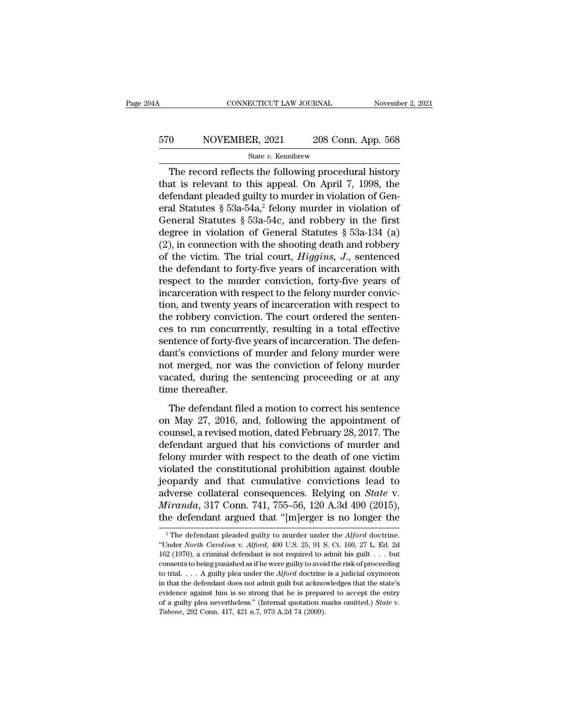# CONNECTICUT LAW JOURNAL November 2, 2021<br>570 NOVEMBER, 2021 208 Conn. App. 568<br>5tate v. Kennibrew

### State *v.* Kennibrew

 $\frac{\text{COMNETICUT LAW JOURNAL}}{0}$  NOVEMBER, 2021 208 Conn. App. 568<br>
State v. Kennibrew<br>
The record reflects the following procedural history<br>
at is relevant to this appeal. On April 7, 1998, the<br>
forder pleaded suity to murder in vio 570 NOVEMBER, 2021 208 Conn. App. 568<br>
State v. Kennibrew<br>
The record reflects the following procedural history<br>
that is relevant to this appeal. On April 7, 1998, the<br>
defendant pleaded guilty to murder in violation of G 570 NOVEMBER, 2021 208 Conn. App. 568<br>
State v. Kennibrew<br>
The record reflects the following procedural history<br>
that is relevant to this appeal. On April 7, 1998, the<br>
defendant pleaded guilty to murder in violation of G 570 NOVEMBER, 2021 208 Conn. App. 568<br>
State v. Kennibrew<br>
The record reflects the following procedural history<br>
that is relevant to this appeal. On April 7, 1998, the<br>
defendant pleaded guilty to murder in violation of G State v. Kennibrew<br>
The record reflects the following procedural history<br>
that is relevant to this appeal. On April 7, 1998, the<br>
defendant pleaded guilty to murder in violation of Gen-<br>
eral Statutes § 53a-54a,<sup>2</sup> felony State v. Rehnbrew<br>
The record reflects the following procedural history<br>
that is relevant to this appeal. On April 7, 1998, the<br>
defendant pleaded guilty to murder in violation of Gen-<br>
eral Statutes § 53a-54a,<sup>2</sup> felony The record reflects the following procedural history<br>that is relevant to this appeal. On April 7, 1998, the<br>defendant pleaded guilty to murder in violation of Gen-<br>eral Statutes § 53a-54a,<sup>2</sup> felony murder in violation of that is relevant to this appeal. On April 7, 1998, the<br>defendant pleaded guilty to murder in violation of Gen-<br>eral Statutes  $\S$  53a-54a,<sup>2</sup> felony murder in violation of<br>General Statutes  $\S$  53a-54c, and robbery in the f defendant pleaded guilty to murder in violation of General Statutes § 53a-54a,<sup>2</sup> felony murder in violation of General Statutes § 53a-54c, and robbery in the first degree in violation of General Statutes § 53a-134 (a) (2 eral Statutes § 53a-54a,<sup>2</sup> felony murder in violation of<br>General Statutes § 53a-54c, and robbery in the first<br>degree in violation of General Statutes § 53a-134 (a)<br>(2), in connection with the shooting death and robbery<br>o General Statutes § 53a-54c, and robbery in the first<br>degree in violation of General Statutes § 53a-134 (a)<br>(2), in connection with the shooting death and robbery<br>of the victim. The trial court, *Higgins*, *J.*, sentenced<br> degree in violation of General Statutes  $\S$  53a-134 (a) (2), in connection with the shooting death and robbery<br>of the victim. The trial court, *Higgins*, *J*., sentenced<br>the defendant to forty-five years of incarceration (2), in connection with the shooting death and robbery<br>of the victim. The trial court, *Higgins*,  $J$ ., sentenced<br>the defendant to forty-five years of incarceration with<br>respect to the murder conviction, forty-five years of the victim. The trial court, *Higgins*, *J.*, sentenced<br>the defendant to forty-five years of incarceration with<br>respect to the murder conviction, forty-five years of<br>incarceration with respect to the felony murder convi the defendant to forty-five years of incarceration with<br>respect to the murder conviction, forty-five years of<br>incarceration with respect to the felony murder convic-<br>tion, and twenty years of incarceration with respect to<br> respect to the murder conviction, forty-five years of<br>incarceration with respect to the felony murder convic-<br>tion, and twenty years of incarceration with respect to<br>the robbery conviction. The court ordered the senten-<br>ce incarceration with respect to the felony murder conviction, and twenty years of incarceration with respect to the robbery conviction. The court ordered the sentences to run concurrently, resulting in a total effective sent tion, and twenty years of incarceration with respect to<br>the robbery conviction. The court ordered the senten-<br>ces to run concurrently, resulting in a total effective<br>sentence of forty-five years of incarceration. The defen the robbery conviction<br>ces to run concurre:<br>sentence of forty-five<br>dant's convictions of<br>not merged, nor was<br>vacated, during the<br>time thereafter.<br>The defendant file The defendant filed a motion to correct his sentence and felony murder were<br>the merged, nor was the conviction of felony murder were<br>cated, during the sentencing proceeding or at any<br>me thereafter.<br>The defendant filed a m dant's convictions of murder and felony murder were<br>not merged, nor was the conviction of felony murder<br>vacated, during the sentencing proceeding or at any<br>time thereafter.<br>The defendant filed a motion to correct his sente

added controlled to the conviction of felony murder<br>vacated, during the sentencing proceeding or at any<br>time thereafter.<br>The defendant filed a motion to correct his sentence<br>on May 27, 2016, and, following the appointment recently marked water are convicted to recently marked vacated, during the sentencing proceeding or at any time thereafter.<br>The defendant filed a motion to correct his sentence on May 27, 2016, and, following the appointme The defendant filed a motion to correct his sentence<br>on May 27, 2016, and, following the appointment of<br>counsel, a revised motion, dated February 28, 2017. The<br>defendant argued that his convictions of murder and<br>felony mu The defendant filed a motion to correct his sentence<br>on May 27, 2016, and, following the appointment of<br>counsel, a revised motion, dated February 28, 2017. The<br>defendant argued that his convictions of murder and<br>felony mu The defendant filed a motion to correct his sentence<br>on May 27, 2016, and, following the appointment of<br>counsel, a revised motion, dated February 28, 2017. The<br>defendant argued that his convictions of murder and<br>felony mu on May 27, 2016, and, following the appointment of<br>counsel, a revised motion, dated February 28, 2017. The<br>defendant argued that his convictions of murder and<br>felony murder with respect to the death of one victim<br>violated counsel, a revised motion, dated February 28, 2017. The<br>defendant argued that his convictions of murder and<br>felony murder with respect to the death of one victim<br>violated the constitutional prohibition against double<br>jeopa defendant argued that his convictions of murder and<br>felony murder with respect to the death of one victim<br>violated the constitutional prohibition against double<br>jeopardy and that cumulative convictions lead to<br>adverse col jeopardy and that cumulative convictions lead to adverse collateral consequences. Relying on *State* v. *Miranda*, 317 Conn. 741, 755–56, 120 A.3d 490 (2015), the defendant argued that "[m]erger is no longer the <sup>2</sup> The de adverse collateral consequences. Relying on *State* v.<br> *Miranda*, 317 Conn. 741, 755–56, 120 A.3d 490 (2015),<br>
the defendant argued that "[m]erger is no longer the<br>
<sup>2</sup> The defendant pleaded guilty to murder under the *Al* 

*Miranda*, 317 Conn. 741, 755–56, 120 A.3d 490 (2015), the defendant argued that "[m]erger is no longer the  $\frac{1}{2}$  The defendant pleaded guilty to murder under the *Alford* doctrine. "Under *North Carolina* v. *Alford* the defendant argued that "[m]erger is no longer the<br>
<sup>2</sup> The defendant pleaded guilty to murder under the *Alford* doctrine.<br>
"Under *North Carolina v. Alford*, 400 U.S. 25, 91 S. Ct. 160, 27 L. Ed. 2d<br>
162 (1970), a cri The defendant digued that [Hi]erger is no longer the<br>
<sup>2</sup> The defendant pleaded guilty to murder under the *Alford* doctrine.<br>
"Under *North Carolina* v. *Alford*, 400 U.S. 25, 91 S. Ct. 160, 27 L. Ed. 2d<br>
162 (1970), a cr <sup>2</sup> The defendant pleaded guilty to murder under the *Alford* doctrine.<br>
"Under *North Carolina* v. *Alford*, 400 U.S. 25, 91 S. Ct. 160, 27 L. Ed. 2d<br>
162 (1970), a criminal defendant is not required to admit his guilt . "Under *North Carolina* v. Alford, 400 U.S. 25, 91 S. Ct. 160, 27 L. Ed. 2d 162 (1970), a criminal defendant is not required to admit his guilt . . . but consents to being punished as if he were guilty to avoid the risk o 162 (1970), a criminal defendant is not required to admit his guilt  $\ldots$  but consents to being punished as if he were guilty to avoid the risk of proceeding to trial.  $\ldots$  A guilty plea under the *Alford* doctrine is a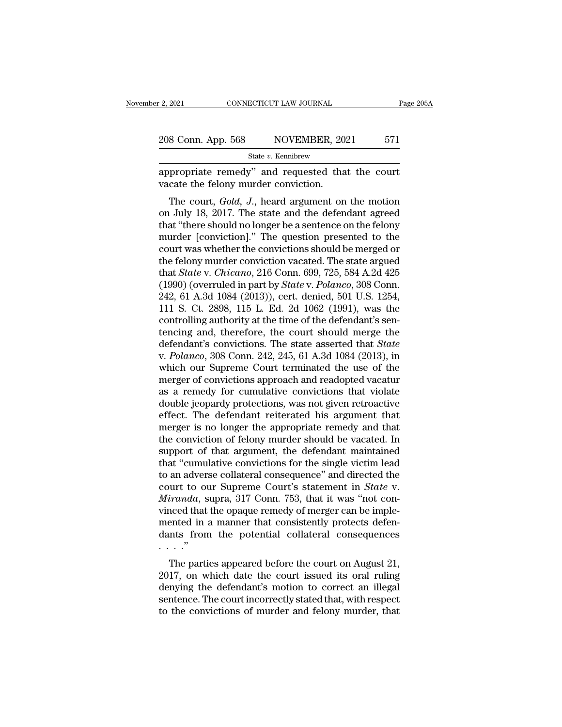| r 2, 2021          | CONNECTICUT LAW JOURNAL | Page 205A |
|--------------------|-------------------------|-----------|
| 208 Conn. App. 568 | NOVEMBER, 2021          | 571       |
|                    | State v. Kennibrew      |           |

appropriate remedy'' and requested that the court vacate the felony murder conviction.  $\frac{208 \text{ Conn. App. 568}}{\text{State } v. \text{ Kennibrew}}$ <br>appropriate remedy" and requested that<br>vacate the felony murder conviction.<br>The court, *Gold*, *J*., heard argument on

8 Conn. App. 568 NOVEMBER, 2021 571<br>
State *v*. Kennibrew<br>
propriate remedy" and requested that the court<br>
cate the felony murder conviction.<br>
The court, *Gold*, *J*., heard argument on the motion<br>
July 18, 2017. The state 208 Conn. App. 568 NOVEMBER, 2021 571<br>
State *v*. Kennibrew<br>
appropriate remedy" and requested that the court<br>
vacate the felony murder conviction.<br>
The court, *Gold*, *J*., heard argument on the motion<br>
on July 18, 2017. State v. Kennibrew<br>
show appropriate remedy" and requested that the court<br>
vacate the felony murder conviction.<br>
The court, *Gold*, *J*., heard argument on the motion<br>
on July 18, 2017. The state and the defendant agreed<br> appropriate remedy" and requested that the court<br>vacate the felony murder conviction.<br>The court, *Gold*, *J*., heard argument on the motion<br>on July 18, 2017. The state and the defendant agreed<br>that "there should no longer appropriate remedy and requested that the court<br>vacate the felony murder conviction.<br>The court, *Gold*, *J*., heard argument on the motion<br>on July 18, 2017. The state and the defendant agreed<br>that "there should no longer The court, *Gold*, *J*., heard argument on the motion<br>on July 18, 2017. The state and the defendant agreed<br>that "there should no longer be a sentence on the felony<br>murder [conviction]." The question presented to the<br>court The court, *Gold*, *J*., heard argument on the motion<br>on July 18, 2017. The state and the defendant agreed<br>that "there should no longer be a sentence on the felony<br>murder [conviction]." The question presented to the<br>court on July 18, 2017. The state and the defendant agreed<br>that "there should no longer be a sentence on the felony<br>murder [conviction]." The question presented to the<br>court was whether the convictions should be merged or<br>the fe that "there should no longer be a sentence on the felony<br>murder [conviction]." The question presented to the<br>court was whether the convictions should be merged or<br>the felony murder conviction vacated. The state argued<br>that murder [conviction]." The question presented to the<br>court was whether the convictions should be merged or<br>the felony murder conviction vacated. The state argued<br>that *State* v. *Chicano*, 216 Conn. 699, 725, 584 A.2d 425<br>( court was whether the convictions should be merged or<br>the felony murder conviction vacated. The state argued<br>that *State* v. *Chicano*, 216 Conn. 699, 725, 584 A.2d 425<br>(1990) (overruled in part by *State* v. *Polanco*, 3 the felony murder conviction vacated. The state argued<br>that *State* v. *Chicano*, 216 Conn. 699, 725, 584 A.2d 425<br>(1990) (overruled in part by *State* v. *Polanco*, 308 Conn.<br>242, 61 A.3d 1084 (2013)), cert. denied, 501 that *State* v. *Chicano*, 216 Conn. 699, 725, 584 A.2d 425 (1990) (overruled in part by *State* v. *Polanco*, 308 Conn. 242, 61 A.3d 1084 (2013)), cert. denied, 501 U.S. 1254, 111 S. Ct. 2898, 115 L. Ed. 2d 1062 (1991), w (1990) (overruled in part by *State* v. *Polanco*, 308 Conn.<br>242, 61 A.3d 1084 (2013)), cert. denied, 501 U.S. 1254,<br>111 S. Ct. 2898, 115 L. Ed. 2d 1062 (1991), was the<br>controlling authority at the time of the defendant's 242, 61 A.3d 1084 (2013)), cert. denied, 501 U.S. 1254,<br>111 S. Ct. 2898, 115 L. Ed. 2d 1062 (1991), was the<br>controlling authority at the time of the defendant's sen-<br>tencing and, therefore, the court should merge the<br>defe 111 S. Ct. 2898, 115 L. Ed. 2d 1062 (1991), was the controlling authority at the time of the defendant's sentencing and, therefore, the court should merge the defendant's convictions. The state asserted that *State* v. *P* controlling authority at the time of the defendant's sentencing and, therefore, the court should merge the defendant's convictions. The state asserted that *State* v. *Polanco*, 308 Conn. 242, 245, 61 A.3d 1084 (2013), in tencing and, therefore, the court should merge the<br>defendant's convictions. The state asserted that *State*<br>v. *Polanco*, 308 Conn. 242, 245, 61 A.3d 1084 (2013), in<br>which our Supreme Court terminated the use of the<br>merger defendant's convictions. The state asserted that *State* v. *Polanco*, 308 Conn. 242, 245, 61 A.3d 1084 (2013), in which our Supreme Court terminated the use of the merger of convictions approach and readopted vacatur as a v. *Polanco*, 308 Conn. 242, 245, 61 A.3d 1084 (2013), in which our Supreme Court terminated the use of the merger of convictions approach and readopted vacatur as a remedy for cumulative convictions that violate double je which our Supreme Court terminated the use of the<br>merger of convictions approach and readopted vacatur<br>as a remedy for cumulative convictions that violate<br>double jeopardy protections, was not given retroactive<br>effect. The merger of convictions approach and readopted vacatur<br>as a remedy for cumulative convictions that violate<br>double jeopardy protections, was not given retroactive<br>effect. The defendant reiterated his argument that<br>merger is n as a remedy for cumulative convictions that violate<br>
double jeopardy protections, was not given retroactive<br>
effect. The defendant reiterated his argument that<br>
merger is no longer the appropriate remedy and that<br>
the conv double jeopardy protections, was not given retroactive<br>effect. The defendant reiterated his argument that<br>merger is no longer the appropriate remedy and that<br>the conviction of felony murder should be vacated. In<br>support of effect. The defendant reiterated his argument that<br>merger is no longer the appropriate remedy and that<br>the conviction of felony murder should be vacated. In<br>support of that argument, the defendant maintained<br>that "cumulati merger is no longer the appropriate remedy and that<br>the conviction of felony murder should be vacated. In<br>support of that argument, the defendant maintained<br>that "cumulative convictions for the single victim lead<br>to an adv the conviction of felony murder should be vacated. In<br>support of that argument, the defendant maintained<br>that "cumulative convictions for the single victim lead<br>to an adverse collateral consequence" and directed the<br>court support of that argument, the defendant maintained<br>that "cumulative convictions for the single victim lead<br>to an adverse collateral consequence" and directed the<br>court to our Supreme Court's statement in *State* v.<br>*Mirand* that "cumulative convictions for the single victim lead<br>to an adverse collateral consequence" and directed the<br>court to our Supreme Court's statement in *State* v.<br>*Miranda*, supra, 317 Conn. 753, that it was "not con-<br>vi . . . .'' iranda, supra, 317 Conn. 753, that it was "not con-<br>contrada, supra, 317 Conn. 753, that it was "not con-<br>conditated in a manner that consistently protects defen-<br>mts from the potential collateral consequences<br>..."<br>The par Martanaa, supra, 317 Conn. 755, that it was not con-<br>vinced that the opaque remedy of merger can be imple-<br>mented in a manner that consistently protects defen-<br>dants from the potential collateral consequences<br>...."<br>The par

Figure 1.1 and the opaque reflective of interger can be implemented in a manner that consistently protects defendants from the potential collateral consequences  $\ldots$ .<br>The parties appeared before the court on August 21, 2 sentence in a manner that consistently protects defined<br>ants from the potential collateral consequences<br>...."<br>The parties appeared before the court on August 21,<br>2017, on which date the court issued its oral ruling<br>denyin The parties appeared before the court on August 21, 2017, on which date the court issued its oral ruling denying the defendant's motion to correct an illegal sentence. The court incorrectly stated that, with respect to th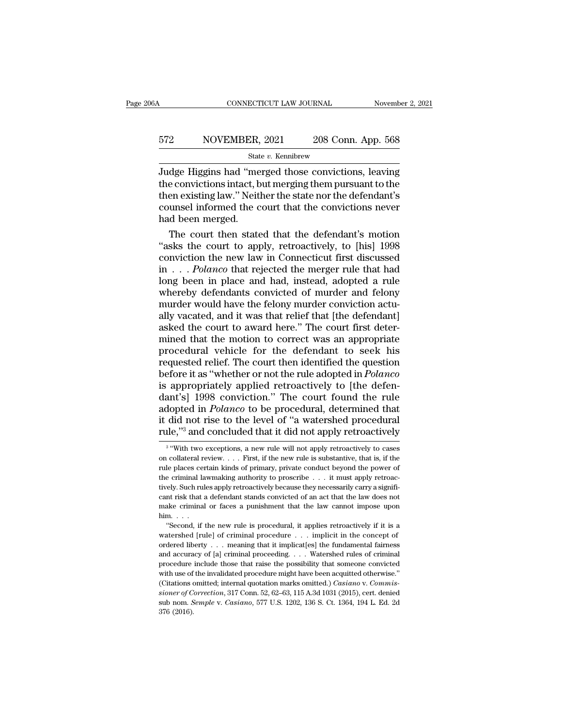# CONNECTICUT LAW JOURNAL November 2, 2021<br>572 NOVEMBER, 2021 208 Conn. App. 568<br>5tate v. Kennibrew

State *v.* Kennibrew

Judge Higgins had ''merged those convictions, leaving 572 NOVEMBER, 2021 208 Conn. App. 568<br>
5tate v. Kennibrew<br>
5tate v. Kennibrew<br>
5tate v. Kennibrew<br>
5tate v. Kennibrew<br>
5tate v. Convictions, leaving<br>
5the convictions intact, but merging them pursuant to the<br>
5then existin 572 NOVEMBER, 2021 208 Conn. App. 568<br>  $\frac{\text{State } v. \text{ Kennibrew}}{\text{Judge Higgsins had "merged those convictions, leaving}}$ <br>
the convictions intact, but merging them pursuant to the then existing law." Neither the state nor the defendant's counsel informed the court tha 572 NOVEMBER, 2021 208 Conn. App. 568<br>  $\frac{\text{State } v. \text{ Kennibrew}}{\text{Judge Higgsins had "merged those convictions, leaving}}$ <br>
the convictions intact, but merging them pursuant to the then existing law." Neither the state nor the defendant's counsel informed the court th STREET STATED STATED STATED STATED STATED STATED STATED STATED STATED AND STATED COUNSEL Informed the comparison of the court then stated as the court then stated as the court then stated as the court then stated as the co dge Higgins had "merged those convictions, leaving<br>e convictions intact, but merging them pursuant to the<br>en existing law." Neither the state nor the defendant's<br>unsel informed the court that the convictions never<br>d been m Judge Higgins had "merged those convictions, leaving<br>the convictions intact, but merging them pursuant to the<br>then existing law." Neither the state nor the defendant's<br>counsel informed the court that the convictions never<br>

the convictions intact, but merging them pursuant to the<br>then existing law." Neither the state nor the defendant's<br>counsel informed the court that the convictions never<br>had been merged.<br>The court then stated that the defe then existing law." Neither the state nor the defendant's<br>counsel informed the court that the convictions never<br>had been merged.<br>The court then stated that the defendant's motion<br>"asks the court to apply, retroactively, to counsel informed the court that the convictions never<br>had been merged.<br>The court then stated that the defendant's motion<br>"asks the court to apply, retroactively, to [his] 1998<br>conviction the new law in Connecticut first d had been merged.<br>
The court then stated that the defendant's motion<br>
"asks the court to apply, retroactively, to [his] 1998<br>
conviction the new law in Connecticut first discussed<br>
in . . . Polanco that rejected the merger The court then stated that the defendant's motion<br>
"asks the court to apply, retroactively, to [his] 1998<br>
conviction the new law in Connecticut first discussed<br>
in  $\ldots$  *Polanco* that rejected the merger rule that had<br> "asks the court to apply, retroactively, to [his] 1998<br>conviction the new law in Connecticut first discussed<br>in  $\ldots$  *Polanco* that rejected the merger rule that had<br>long been in place and had, instead, adopted a rule<br>wh conviction the new law in Connecticut first discussed<br>in  $\ldots$  *Polanco* that rejected the merger rule that had<br>long been in place and had, instead, adopted a rule<br>whereby defendants convicted of murder and felony<br>murder in . . . Polanco that rejected the merger rule that had<br>long been in place and had, instead, adopted a rule<br>whereby defendants convicted of murder and felony<br>murder would have the felony murder conviction actu-<br>ally vacate long been in place and had, instead, adopted a rule<br>whereby defendants convicted of murder and felony<br>murder would have the felony murder conviction actu-<br>ally vacated, and it was that relief that [the defendant]<br>asked the whereby defendants convicted of murder and felony<br>murder would have the felony murder conviction actu-<br>ally vacated, and it was that relief that [the defendant]<br>asked the court to award here." The court first deter-<br>mined murder would have the felony murder conviction actually vacated, and it was that relief that [the defendant] asked the court to award here." The court first determined that the motion to correct was an appropriate procedur ally vacated, and it was that relief that [the defendant] asked the court to award here." The court first determined that the motion to correct was an appropriate procedural vehicle for the defendant to seek his requested asked the court to award here." The court first deter-<br>mined that the motion to correct was an appropriate<br>procedural vehicle for the defendant to seek his<br>requested relief. The court then identified the question<br>before it mined that the motion to correct was an appropriate<br>procedural vehicle for the defendant to seek his<br>requested relief. The court then identified the question<br>before it as "whether or not the rule adopted in *Polanco*<br>is ap procedural vehicle for the defendant to seek his<br>requested relief. The court then identified the question<br>before it as "whether or not the rule adopted in *Polanco*<br>is appropriately applied retroactively to [the defen-<br>dan requested relief. The court then identified the question<br>before it as "whether or not the rule adopted in *Polanco*<br>is appropriately applied retroactively to [the defen-<br>dant's] 1998 conviction." The court found the rule<br>a nt's] 1998 conviction." The court found the rule<br>opted in *Polanco* to be procedural, determined that<br>did not rise to the level of "a watershed procedural<br>le,"" and concluded that it did not apply retroactively<br>with two e

<sup>3 &</sup>quot;With adopted in *Polanco* to be procedural, determined that it did not rise to the level of "a watershed procedural rule,"<sup>3</sup> and concluded that it did not apply retroactively  $\frac{1}{3}$  "With two exceptions, a new rule will no it did not rise to the level of "a watershed procedural rule,"<sup>3</sup> and concluded that it did not apply retroactively  $\frac{1}{3}$  "With two exceptions, a new rule will not apply retroactively to cases on collateral review. . **rule,**"<sup>3</sup> and concluded that it did not apply retroactively  $\frac{1}{3}$  "With two exceptions, a new rule will not apply retroactively to cases on collateral review. . . . First, if the new rule is substantive, that is, if The same continuous track in the will not apply retroactively to cases<br>an collateral review. . . . First, if the new rule is substantive, that is, if the<br>rule places certain kinds of primary, private conduct beyond the po <sup>3</sup> "With two exceptions, a new rule will not apply retroactively to cases<br>on collateral review. . . . First, if the new rule is substantive, that is, if the<br>rule places certain kinds of primary, private conduct beyond th on collateral review. . . . First, if the new rule is substantive, that is, if the rule places certain kinds of primary, private conduct beyond the power of the criminal lawmaking authority to proscribe . . . it must appl rule places certain kinds of primary, private conduct beyond the power of the criminal law<br>making authority to proscribe . . . it must apply retroactively. Such rules apply retroactively because they necessarily carry a s Example 12 and a terminal law<br>
and alwards of primary, invariant and apply retroacely. Such rules apply retroactively because they necessarily carry a signifi-<br>
int risk that a defendant stands convicted of an act that the in the state and interest of the cause they necessarily carry a significant risk that a defendant stands convicted of an act that the law does not make criminal or faces a punishment that the law cannot impose upon him. .

cant risk that a defendant stands convicted of an act that the law does not make criminal or faces a punishment that the law cannot impose upon him. . . . . "Second, if the new rule is procedural, it applies retroactively make criminal or faces a punishment that the law cannot impose upon him...<br>
"Second, if the new rule is procedural, it applies retroactively if it is a watershed [rule] of criminal procedure ... implicit in the concept of him.<br>
"Second, if the new rule is procedural, it applies retroactively if it is a<br>
watershed [rule] of criminal procedure . . . implicit in the concept of<br>
ordered liberty . . . meaning that it implicat[es] the fundamental "Second, if the new rule is procedural, it applies retroactively if it is a watershed [rule] of criminal procedure . . . implicit in the concept of ordered liberty . . . meaning that it implicat[es] the fundamental fairne watershed [rule] of criminal procedure  $\ldots$  implicit in the concept of ordered liberty  $\ldots$  meaning that it implicat[es] the fundamental fairness and accuracy of [a] criminal proceeding  $\ldots$  Watershed rules of criminal *sioner of Correction*, 317 Conn. 52, 62–63, 115 A.3d 1031 (2015), cert. also homo. *Semple* with use of the invalidated procedure might have been acquited otherwise."<br>(Citations omitted; internal quotation marks omitted.) and accuracy of [a] criminal proceeding. . . . Watershed rules of criminal procedure include those that raise the possibility that someone convicted with use of the invalidated procedure might have been acquitted otherwise and accuracy of [a] criminal proceeding. . . . . Watershed rules of criminal procedure include those that raise the possibility that someone convicted with use of the invalidated procedure might have been acquitted otherw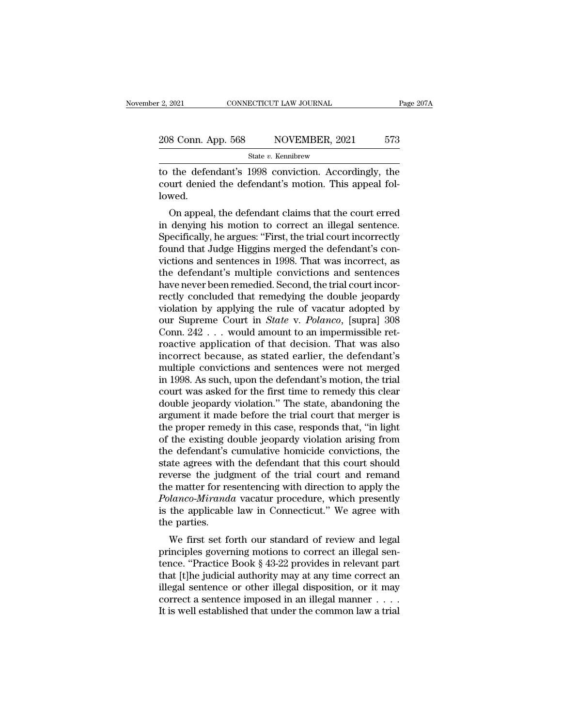| r 2, 2021          | CONNECTICUT LAW JOURNAL | Page 207A |
|--------------------|-------------------------|-----------|
| 208 Conn. App. 568 | NOVEMBER, 2021          | 573       |
|                    | State v. Kennibrew      |           |

Fage 2021 CONNECTICUT LAW JOURNAL Page 207A<br>
208 Conn. App. 568 NOVEMBER, 2021 573<br>
State v. Kennibrew<br>
to the defendant's 1998 conviction. Accordingly, the<br>
court denied the defendant's motion. This appeal fol-208 Conn. App. 568 NOVEMBER, 2021 573<br>
State v. Kennibrew<br>
to the defendant's 1998 conviction. Accordingly, the<br>
court denied the defendant's motion. This appeal fol-<br>
lowed. lowed.  $\frac{\text{State } v. \text{ Kennibre}}{\text{State } v. \text{ Kennibre}}$ <br>
the defendant's 1998 conviction. Accordingly, the<br>
urt denied the defendant's motion. This appeal fol-<br>
wed.<br>
On appeal, the defendant claims that the court erred<br>
denying his motion to

State v. Kennibrew<br>
in the defendant's 1998 conviction. Accordingly, the<br>
court denied the defendant's motion. This appeal fol-<br>
lowed.<br>
On appeal, the defendant claims that the court erred<br>
in denying his motion to correc to the defendant's 1998 conviction. Accordingly, the<br>court denied the defendant's motion. This appeal fol-<br>lowed.<br>On appeal, the defendant claims that the court erred<br>in denying his motion to correct an illegal sentence.<br>S for the defendant of the defendant's motion. This appeal followed.<br>
On appeal, the defendant claims that the court erred<br>
in denying his motion to correct an illegal sentence.<br>
Specifically, he argues: "First, the trial co Figure 2.1 This appear followed.<br>
On appeal, the defendant claims that the court erred<br>
in denying his motion to correct an illegal sentence.<br>
Specifically, he argues: "First, the trial court incorrectly<br>
found that Judge towed.<br>
On appeal, the defendant claims that the court erred<br>
in denying his motion to correct an illegal sentence.<br>
Specifically, he argues: "First, the trial court incorrectly<br>
found that Judge Higgins merged the defenda On appeal, the defendant claims that the court erred<br>in denying his motion to correct an illegal sentence.<br>Specifically, he argues: "First, the trial court incorrectly<br>found that Judge Higgins merged the defendant's con-<br>v in denying his motion to correct an illegal sentence.<br>Specifically, he argues: "First, the trial court incorrectly<br>found that Judge Higgins merged the defendant's con-<br>victions and sentences in 1998. That was incorrect, as Specifically, he argues: "First, the trial court incorrectly<br>found that Judge Higgins merged the defendant's con-<br>victions and sentences in 1998. That was incorrect, as<br>the defendant's multiple convictions and sentences<br>h found that Judge Higgins merged the defendant's convictions and sentences in 1998. That was incorrect, as<br>the defendant's multiple convictions and sentences<br>have never been remedied. Second, the trial court incor-<br>rectly c victions and sentences in 1998. That was incorrect, as<br>the defendant's multiple convictions and sentences<br>have never been remedied. Second, the trial court incor-<br>rectly concluded that remedying the double jeopardy<br>violat the defendant's multiple convictions and sentences<br>have never been remedied. Second, the trial court incor-<br>rectly concluded that remedying the double jeopardy<br>violation by applying the rule of vacatur adopted by<br>our Supre have never been remedied. Second, the trial court incorrectly concluded that remedying the double jeopardy<br>violation by applying the rule of vacatur adopted by<br>our Supreme Court in *State* v. *Polanco*, [supra] 308<br>Conn. 2 rectly concluded that remedying the double jeopardy<br>violation by applying the rule of vacatur adopted by<br>our Supreme Court in *State* v. *Polanco*, [supra] 308<br>Conn. 242 . . . would amount to an impermissible ret-<br>roactive violation by applying the rule of vacatur adopted by<br>our Supreme Court in *State* v. *Polanco*, [supra] 308<br>Conn.  $242$ ... would amount to an impermissible ret-<br>roactive application of that decision. That was also<br>incorre our Supreme Court in *State* v. *Polanco*, [supra] 308<br>Conn. 242 . . . would amount to an impermissible ret-<br>roactive application of that decision. That was also<br>incorrect because, as stated earlier, the defendant's<br>multi Conn.  $242...$  would amount to an impermissible retroactive application of that decision. That was also incorrect because, as stated earlier, the defendant's multiple convictions and sentences were not merged in 1998. As su roactive application of that decision. That was also<br>incorrect because, as stated earlier, the defendant's<br>multiple convictions and sentences were not merged<br>in 1998. As such, upon the defendant's motion, the trial<br>court w incorrect because, as stated earlier, the defendant's<br>multiple convictions and sentences were not merged<br>in 1998. As such, upon the defendant's motion, the trial<br>court was asked for the first time to remedy this clear<br>doub multiple convictions and sentences were not merged<br>in 1998. As such, upon the defendant's motion, the trial<br>court was asked for the first time to remedy this clear<br>double jeopardy violation." The state, abandoning the<br>argu in 1998. As such, upon the defendant's motion, the trial<br>court was asked for the first time to remedy this clear<br>double jeopardy violation." The state, abandoning the<br>argument it made before the trial court that merger is<br> court was asked for the first time to remedy this clear<br>double jeopardy violation." The state, abandoning the<br>argument it made before the trial court that merger is<br>the proper remedy in this case, responds that, "in light<br> double jeopardy violation." The state, abandoning the<br>argument it made before the trial court that merger is<br>the proper remedy in this case, responds that, "in light<br>of the existing double jeopardy violation arising from<br>t argument it made before the trial court that merger is<br>the proper remedy in this case, responds that, "in light<br>of the existing double jeopardy violation arising from<br>the defendant's cumulative homicide convictions, the<br>st the proper remedy in this case, responds that, "in light<br>of the existing double jeopardy violation arising from<br>the defendant's cumulative homicide convictions, the<br>state agrees with the defendant that this court should<br>re of the existing double jeopardy violation arising from<br>the defendant's cumulative homicide convictions, the<br>state agrees with the defendant that this court should<br>reverse the judgment of the trial court and remand<br>the matt the defendant's<br>state agrees with<br>reverse the judg<br>the matter for re<br>*Polanco-Mirand*<br>is the applicable<br>the parties.<br>We first set fo the agrees with the defendant that this court should<br>verse the judgment of the trial court and remand<br>e matter for resentencing with direction to apply the<br>*lanco-Miranda* vacatur procedure, which presently<br>the applicable reverse the judgment of the that court and remaind<br>the matter for resentencing with direction to apply the<br>*Polanco-Miranda* vacatur procedure, which presently<br>is the applicable law in Connecticut." We agree with<br>the parti

the matter for resentencing with direction to apply the<br> *Polanco-Miranda* vacatur procedure, which presently<br>
is the applicable law in Connecticut." We agree with<br>
the parties.<br>
We first set forth our standard of review a Todato-arranda vacatur procedure, which presently<br>is the applicable law in Connecticut." We agree with<br>the parties.<br>We first set forth our standard of review and legal<br>principles governing motions to correct an illegal sen is the applicable law in Connecticut. We agree with<br>the parties.<br>We first set forth our standard of review and legal<br>principles governing motions to correct an illegal sen-<br>tence. "Practice Book § 43-22 provides in releva We first set forth our standard of review and legal principles governing motions to correct an illegal sentence. "Practice Book § 43-22 provides in relevant part that [t]he judicial authority may at any time correct an il We first set forth our standard of review and legal<br>principles governing motions to correct an illegal sen-<br>tence. "Practice Book § 43-22 provides in relevant part<br>that [t]he judicial authority may at any time correct an<br>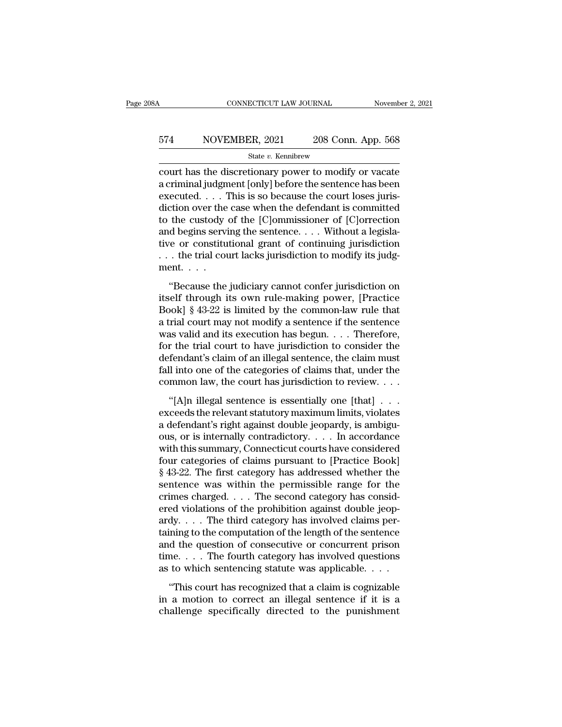# CONNECTICUT LAW JOURNAL November 2, 2021<br>574 NOVEMBER, 2021 208 Conn. App. 568<br>5tate v. Kennibrew

### State *v.* Kennibrew

CONNECTICUT LAW JOURNAL November 2, 2021<br>
State v. Kennibrew<br>
Court has the discretionary power to modify or vacate<br>
a criminal judgment [only] before the sentence has been<br>
a criminal judgment [only] before the sentence  $\begin{array}{r} \text{574} \text{ \quad \text{NOVEMBER, 2021}} \text{  208 Conn. App. 568} \\\text{State $v$. Kennibrew} \\\text{court has the discrepancy power to modify or vacate a criminal judgment [only] before the sentence has been executed. . . This is so because the court loses jurisdiction over the case when the defendant is committed.} \end{array}$ FRA NOVEMBER, 2021 208 Conn. App. 568<br>
State v. Kennibrew<br>
court has the discretionary power to modify or vacate<br>
a criminal judgment [only] before the sentence has been<br>
executed.... This is so because the court loses ju  $\begin{array}{c|c} \text{574} & \text{NOVEMBER, 2021} & \text{208 Conn. App. 568} \\ \hline \text{State } v. \text{ Kennibrew} \\ \text{court has the discretionary power to modify or vacate a criminal judgment [only] before the sentence has been executed. . . . This is so because the court loses jurisdiction over the case when the defendant is committed to the custody of the [C]ommissioner of [C]orrection and hoains sorting the sentence. Without a logical$ State v. Kennibrew<br>
Court has the discretionary power to modify or vacate<br>
a criminal judgment [only] before the sentence has been<br>
executed.... This is so because the court loses juris-<br>
diction over the case when the de state v. Kennibrew<br>
court has the discretionary power to modify or vacate<br>
a criminal judgment [only] before the sentence has been<br>
executed. . . . This is so because the court loses juris-<br>
diction over the case when the court has the discretionary power to modify or vacate<br>a criminal judgment [only] before the sentence has been<br>executed. . . . This is so because the court loses juris-<br>diction over the case when the defendant is committed a criminal judgment [only] before the sentence has been<br>executed. . . . This is so because the court loses juris-<br>diction over the case when the defendant is committed<br>to the custody of the [C]ommissioner of [C]orrection<br>a executed. . . . . ]<br>diction over the<br>to the custody  $\alpha$ <br>and begins servi<br>tive or constitu<br>. . . the trial councent. . . .<br>"Because the the custody of the [C]ommissioner of [C]orrection<br>
d begins serving the sentence.... Without a legisla-<br>
re or constitutional grant of continuing jurisdiction<br>
. the trial court lacks jurisdiction to modify its judg-<br>
ent and begins serving the sentence. . . . Without a legislative or constitutional grant of continuing jurisdiction<br>
. . . the trial court lacks jurisdiction to modify its judg-<br>
ment. . . .<br>
"Because the judiciary cannot con

tive or constitutional grant of continuing jurisdiction<br>  $\ldots$  the trial court lacks jurisdiction to modify its judg-<br>
ment.  $\ldots$ <br>
"Because the judiciary cannot confer jurisdiction on<br>
itself through its own rule-making a trial court lacks jurisdiction to modify its judgment.<br>  $\dots$  the trial court lacks jurisdiction to modify its judgment.<br>
"Because the judiciary cannot confer jurisdiction on<br>
itself through its own rule-making power, [P was valid and its execution of the single properties.<br>
"Because the judiciary cannot confer jurisdiction on<br>
itself through its own rule-making power, [Practice<br>
Book] § 43-22 is limited by the common-law rule that<br>
a tri "Because the judiciary cannot confer jurisdiction on<br>itself through its own rule-making power, [Practice<br>Book] § 43-22 is limited by the common-law rule that<br>a trial court may not modify a sentence if the sentence<br>was val "Because the judiciary cannot confer jurisdiction on<br>itself through its own rule-making power, [Practice<br>Book] § 43-22 is limited by the common-law rule that<br>a trial court may not modify a sentence if the sentence<br>was val itself through its own rule-making power, [Practice Book] § 43-22 is limited by the common-law rule that a trial court may not modify a sentence if the sentence was valid and its execution has begun. . . . Therefore, for Book] § 43-22 is limited by the common-law rule that<br>a trial court may not modify a sentence if the sentence<br>was valid and its execution has begun. . . . Therefore,<br>for the trial court to have jurisdiction to consider the as valid and its execution has begun.  $\dots$  Therefore,<br>the trial court to have jurisdiction to consider the<br>fendant's claim of an illegal sentence, the claim must<br>ll into one of the categories of claims that, under the<br>mmo For the trial court to have jurisdiction to consider the<br>defendant's claim of an illegal sentence, the claim must<br>fall into one of the categories of claims that, under the<br>common law, the court has jurisdiction to review.

defendant's claim of an illegal sentence, the claim must<br>defendant's claim of an illegal sentence, the claim must<br>fall into one of the categories of claims that, under the<br>common law, the court has jurisdiction to review. fall into one of the categories of claims that, under the<br>common law, the court has jurisdiction to review. . . .<br>"[A]n illegal sentence is essentially one [that] . . .<br>exceeds the relevant statutory maximum limits, viola Example 1 and some of the categories of claims that, this common law, the court has jurisdiction to review....<br>
"[A]n illegal sentence is essentially one [that] ...<br>
exceeds the relevant statutory maximum limits, violates "[A]n illegal sentence is essentially one [that]  $\ldots$ <br>exceeds the relevant statutory maximum limits, violates<br>a defendant's right against double jeopardy, is ambigu-<br>ous, or is internally contradictory.  $\ldots$  In accordan "[A]n illegal sentence is essentially one [that]  $\ldots$ <br>exceeds the relevant statutory maximum limits, violates<br>a defendant's right against double jeopardy, is ambigu-<br>ous, or is internally contradictory.  $\ldots$  In accordan exceeds the relevant statutory maximum limits, violates<br>a defendant's right against double jeopardy, is ambiguous, or is internally contradictory.  $\dots$  In accordance<br>with this summary, Connecticut courts have considered<br>f a defendant's right against double jeopardy, is ambiguous, or is internally contradictory. . . . In accordance<br>with this summary, Connecticut courts have considered<br>four categories of claims pursuant to [Practice Book]<br>§ ous, or is internally contradictory. . . . . In accordance<br>with this summary, Connecticut courts have considered<br>four categories of claims pursuant to [Practice Book]<br>§ 43-22. The first category has addressed whether the<br> with this summary, Connecticut courts have considered<br>four categories of claims pursuant to [Practice Book]<br>§ 43-22. The first category has addressed whether the<br>sentence was within the permissible range for the<br>crimes ch four categories of claims pursuant to [Practice Book]<br>
§ 43-22. The first category has addressed whether the<br>
sentence was within the permissible range for the<br>
crimes charged. . . . The second category has consid-<br>
ered  $\S$  43-22. The first category has addressed whether the<br>sentence was within the permissible range for the<br>crimes charged. . . . The second category has consid-<br>ered violations of the prohibition against double jeop-<br>ardy. sentence was within the permissible range for the<br>crimes charged.... The second category has consid-<br>ered violations of the prohibition against double jeop-<br>ardy....The third category has involved claims per-<br>taining to t crimes charged. . . . The second category has considered violations of the prohibition against double jeopardy. . . . The third category has involved claims pertaining to the computation of the length of the sentence and dy.... The third category has involved claims per-<br>ining to the computation of the length of the sentence<br>d the question of consecutive or concurrent prison<br>ne.... The fourth category has involved questions<br>to which sente  $\alpha$  may.  $\ldots$  The alma energy  $\eta$  has involved elastic pertaining to the computation of the length of the sentence and the question of consecutive or concurrent prison time.  $\ldots$  The fourth category has involved quest and the question of consecutive or concurrent prison<br>time.... The fourth category has involved questions<br>as to which sentencing statute was applicable....<br>"This court has recognized that a claim is cognizable<br>in a motion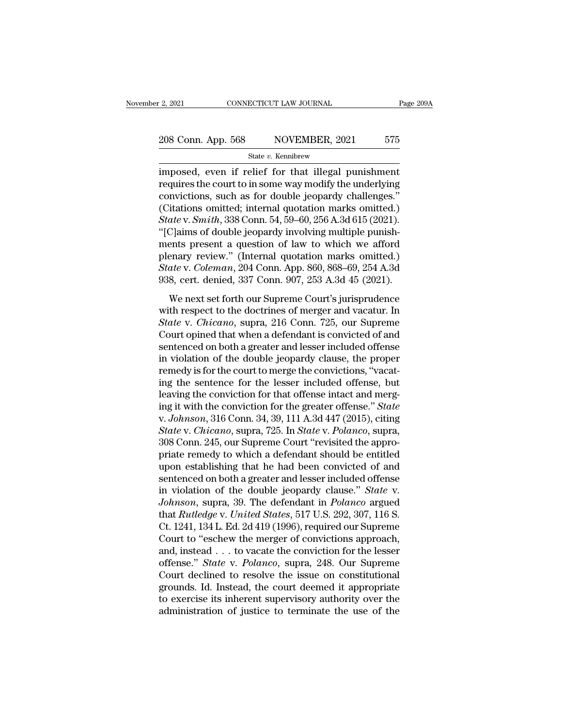# 2, 2021 CONNECTICUT LAW JOURNAL Page 209A<br>
208 Conn. App. 568 NOVEMBER, 2021 575<br>
State v. Kennibrew

State *v.* Kennibrew

<sup>2</sup> 2021 CONNECTICUT LAW JOURNAL Page 2094<br>
208 Conn. App. 568 NOVEMBER, 2021 575<br>
<sup>31</sup> State v. Kennibrew<br>
imposed, even if relief for that illegal punishment<br>
requires the court to in some way modify the underlying<br>
con 208 Conn. App. 568 NOVEMBER, 2021 575<br>State v. Kennibrew<br>imposed, even if relief for that illegal punishment<br>requires the court to in some way modify the underlying<br>convictions, such as for double jeopardy challenges." 208 Conn. App. 568 NOVEMBER, 2021 575<br>
State v. Kennibrew<br>
imposed, even if relief for that illegal punishment<br>
requires the court to in some way modify the underlying<br>
convictions, such as for double jeopardy challenges. 208 Conn. App. 568 NOVEMBER, 2021 575<br>
State v. Kennibrew<br>
imposed, even if relief for that illegal punishment<br>
requires the court to in some way modify the underlying<br>
convictions, such as for double jeopardy challenges. *State v. Kennibrew*<br> *State v. Kennibrew*<br> *State v. Kennibrew*<br>
requires the court to in some way modify the underlying<br>
convictions, such as for double jeopardy challenges."<br>
(Citations omitted; internal quotation marks <sup>State v.</sup> Kennbrew<br>
imposed, even if relief for that illegal punishment<br>
requires the court to in some way modify the underlying<br>
convictions, such as for double jeopardy challenges."<br>
(Citations omitted; internal quotat imposed, even if relief for that illegal punishment<br>requires the court to in some way modify the underlying<br>convictions, such as for double jeopardy challenges."<br>(Citations omitted; internal quotation marks omitted.)<br> $State v.$ requires the court to in some way modify the underlying<br>convictions, such as for double jeopardy challenges."<br>(Citations omitted; internal quotation marks omitted.)<br> $State v. Smith, 338 Conn. 54, 59–60, 256 A.3d 615 (2021).$ "<br>[C]aims of d convictions, such as for double jeopardy challenges."<br>
(Citations omitted; internal quotation marks omitted.)<br> *State* v. *Smith*, 338 Conn. 54, 59–60, 256 A.3d 615 (2021).<br>
"[C]aims of double jeopardy involving multiple p (Citations omitted; internal quotation marks omitted.)<br>  $State$  v.  $Smith$ , 338 Conn. 54, 59–60, 256 A.3d 615 (2021).<br>
"[C]aims of double jeopardy involving multiple punish-<br>
ments present a question of law to which we afford<br>
pl Claims of double jeopardy involving multiple punishents present a question of law to which we afford<br>enary review." (Internal quotation marks omitted.)<br>ate v. Coleman, 204 Conn. App. 860, 868–69, 254 A.3d<br>8, cert. denied, regiants of abasic geoparay involving matrice patient<br>ments present a question of law to which we afford<br>plenary review." (Internal quotation marks omitted.)<br>State v. Coleman, 204 Conn. App. 860, 868–69, 254 A.3d<br>938, cer

*State* v. *Coleman*, 204 Conn. App. 860, 868–69, 254 A.3d 938, cert. denied, 337 Conn. 907, 253 A.3d 45 (2021).<br>We next set forth our Supreme Court's jurisprudence with respect to the doctrines of merger and vacatur. In State v. Coleman, 204 Conn. App. 860, 868–69, 254 A.3d<br>
938, cert. denied, 337 Conn. 907, 253 A.3d 45 (2021).<br>
We next set forth our Supreme Court's jurisprudence<br>
with respect to the doctrines of merger and vacatur. In<br> 938, cert. denied, 337 Conn. 907, 253 A.3d 45 (2021).<br>938, cert. denied, 337 Conn. 907, 253 A.3d 45 (2021).<br>We next set forth our Supreme Court's jurisprudence<br>with respect to the doctrines of merger and vacatur. In<br>*Stat* We next set forth our Supreme Court's jurisprudence<br>with respect to the doctrines of merger and vacatur. In<br>*State* v. *Chicano*, supra, 216 Conn. 725, our Supreme<br>Court opined that when a defendant is convicted of and<br>se We next set forth our Supreme Court's jurisprudence<br>with respect to the doctrines of merger and vacatur. In<br>State v. Chicano, supra, 216 Conn. 725, our Supreme<br>Court opined that when a defendant is convicted of and<br>sentenc with respect to the doctrines of merger and vacatur. In<br>State v. Chicano, supra, 216 Conn. 725, our Supreme<br>Court opined that when a defendant is convicted of and<br>sentenced on both a greater and lesser included offense<br>in *State* v. *Chicano*, supra, 216 Conn. 725, our Supreme<br>Court opined that when a defendant is convicted of and<br>sentenced on both a greater and lesser included offense<br>in violation of the double jeopardy clause, the proper Court opined that when a defendant is convicted of and<br>sentenced on both a greater and lesser included offense<br>in violation of the double jeopardy clause, the proper<br>remedy is for the court to merge the convictions, "vacat sentenced on both a greater and lesser included offense<br>in violation of the double jeopardy clause, the proper<br>remedy is for the court to merge the convictions, "vacat-<br>ing the sentence for the lesser included offense, but in violation of the double jeopardy clause, the proper<br>remedy is for the court to merge the convictions, "vacat-<br>ing the sentence for the lesser included offense, but<br>leaving the conviction for that offense intact and merg remedy is for the court to merge the convictions, "vacating the sentence for the lesser included offense, but<br>leaving the conviction for that offense intact and merg-<br>ing it with the conviction for the greater offense." *S* ing the sentence for the lesser included offense, but<br>leaving the conviction for that offense intact and merg-<br>ing it with the conviction for the greater offense." *State*<br>v. Johnson, 316 Conn. 34, 39, 111 A.3d 447 (2015), leaving the conviction for that offense intact and merg-<br>ing it with the conviction for the greater offense." *State*<br>v. Johnson, 316 Conn. 34, 39, 111 A.3d 447 (2015), citing<br>*State* v. *Chicano*, supra, 725. In *State* v ing it with the conviction for the greater offense." *State* v. *Johnson*, 316 Conn. 34, 39, 111 A.3d 447 (2015), citing *State v. Chicano*, supra, 725. In *State v. Polanco*, supra, 308 Conn. 245, our Supreme Court "revis v. Johnson, 316 Conn. 34, 39, 111 A.3d 447 (2015), citing<br>State v. Chicano, supra, 725. In State v. Polanco, supra,<br>308 Conn. 245, our Supreme Court "revisited the appro-<br>priate remedy to which a defendant should be entitl *State* v. *Chicano*, supra, 725. In *State* v. *Polanco*, supra, 308 Conn. 245, our Supreme Court "revisited the appropriate remedy to which a defendant should be entitled upon establishing that he had been convicted of a 308 Conn. 245, our Supreme Court "revisited the appro-<br>priate remedy to which a defendant should be entitled<br>upon establishing that he had been convicted of and<br>sentenced on both a greater and lesser included offense<br>in vi priate remedy to which a defendant should be entitled<br>upon establishing that he had been convicted of and<br>sentenced on both a greater and lesser included offense<br>in violation of the double jeopardy clause." *State* v.<br>John upon establishing that he had been convicted of and<br>sentenced on both a greater and lesser included offense<br>in violation of the double jeopardy clause." *State* v.<br>Johnson, supra, 39. The defendant in *Polanco* argued<br>that sentenced on both a greater and lesser included offense<br>in violation of the double jeopardy clause." *State* v.<br>Johnson, supra, 39. The defendant in *Polanco* argued<br>that *Rutledge* v. United States, 517 U.S. 292, 307, 116 in violation of the double jeopardy clause." *State* v.<br> *Johnson*, supra, 39. The defendant in *Polanco* argued<br>
that *Rutledge* v. *United States*, 517 U.S. 292, 307, 116 S.<br>
Ct. 1241, 134 L. Ed. 2d 419 (1996), required Johnson, supra, 39. The defendant in *Polanco* argued<br>that *Rutledge* v. *United States*, 517 U.S. 292, 307, 116 S.<br>Ct. 1241, 134 L. Ed. 2d 419 (1996), required our Supreme<br>Court to "eschew the merger of convictions approa that *Rutledge* v. *United States*, 517 U.S. 292, 307, 116 S.<br>Ct. 1241, 134 L. Ed. 2d 419 (1996), required our Supreme<br>Court to "eschew the merger of convictions approach,<br>and, instead . . . to vacate the conviction for th Ct. 1241, 134 L. Ed. 2d 419 (1996), required our Supreme<br>Court to "eschew the merger of convictions approach,<br>and, instead . . . to vacate the conviction for the lesser<br>offense." *State* v. *Polanco*, supra, 248. Our Supre Court to "eschew the merger of convictions approach, and, instead  $\ldots$  to vacate the conviction for the lesser offense." *State* v. *Polanco*, supra, 248. Our Supreme Court declined to resolve the issue on constitutional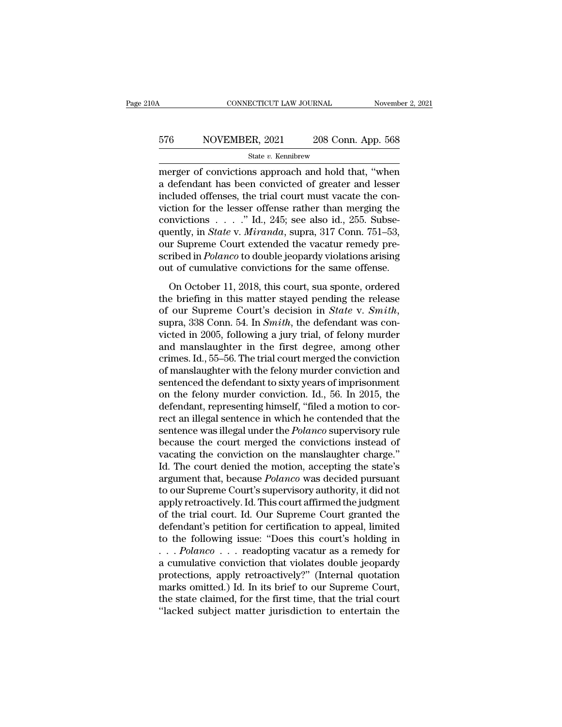# CONNECTICUT LAW JOURNAL November 2, 2021<br>576 NOVEMBER, 2021 208 Conn. App. 568<br>5tate v. Kennibrew

### State *v.* Kennibrew

CONNECTICUT LAW JOURNAL November 2, 2021<br>
ST6 NOVEMBER, 2021 208 Conn. App. 568<br>
State v. Kennibrew<br>
merger of convictions approach and hold that, "when<br>
a defendant has been convicted of greater and lesser<br>
included offen a defendant has been convicted of greater and lesser 576 NOVEMBER, 2021 208 Conn. App. 568<br>
State v. Kennibrew<br>
merger of convictions approach and hold that, "when<br>
a defendant has been convicted of greater and lesser<br>
included offenses, the trial court must vacate the con-576 NOVEMBER, 2021 208 Conn. App. 568<br>
State v. Kennibrew<br>
merger of convictions approach and hold that, "when<br>
a defendant has been convicted of greater and lesser<br>
included offenses, the trial court must vacate the con-State v. Kennibrew<br>
State v. Kennibrew<br>
merger of convictions approach and hold that, "when<br>
a defendant has been convicted of greater and lesser<br>
included offenses, the trial court must vacate the con-<br>
viction for the l state v. Rennbrew<br>merger of convictions approach and hold that, "when<br>a defendant has been convicted of greater and lesser<br>included offenses, the trial court must vacate the con-<br>viction for the lesser offense rather than merger of convictions approach and hold that, "when<br>a defendant has been convicted of greater and lesser<br>included offenses, the trial court must vacate the con-<br>viction for the lesser offense rather than merging the<br>convic a defendant has been convicted of greater and lesser<br>included offenses, the trial court must vacate the con-<br>viction for the lesser offense rather than merging the<br>convictions . . . . " Id., 245; see also id., 255. Subse-<br> included offenses, the trial court must vacate the conviction for the lesser offense rather than merging the convictions  $\ldots$ ." Id., 245; see also id., 255. Subsequently, in *State* v. *Miranda*, supra, 317 Conn. 751–53, mvictions  $\ldots$ ." Id., 245; see also id., 255. Subse-<br>ently, in *State* v. *Miranda*, supra, 317 Conn. 751–53,<br>or Supreme Court extended the vacatur remedy pre-<br>ribed in *Polanco* to double jeopardy violations arising<br>the quently, in *State* v. *Miranda*, supra, 317 Conn. 751–53,<br>quently, in *State* v. *Miranda*, supra, 317 Conn. 751–53,<br>sour Supreme Court extended the vacatur remedy pre-<br>scribed in *Polanco* to double jeopardy violations

our Supreme Court extended the vacatur remedy prescribed in *Polanco* to double jeopardy violations arising out of cumulative convictions for the same offense.<br>On October 11, 2018, this court, sua sponte, ordered the brief out of cumulative convictions for the same offense.<br>
On October 11, 2018, this court, sua sponte, ordered<br>
the briefing in this matter stayed pending the release<br>
of our Supreme Court's decision in *State* v. *Smith*,<br>
su on October 11, 2018, this court, sua sponte, ordered<br>the briefing in this matter stayed pending the release<br>of our Supreme Court's decision in *State* v. *Smith*,<br>supra, 338 Conn. 54. In *Smith*, the defendant was con-<br>vi On October 11, 2018, this court, sua sponte, ordered<br>the briefing in this matter stayed pending the release<br>of our Supreme Court's decision in *State* v. *Smith*,<br>supra, 338 Conn. 54. In *Smith*, the defendant was con-<br>vi the briefing in this matter stayed pending the release<br>of our Supreme Court's decision in *State* v. *Smith*,<br>supra, 338 Conn. 54. In *Smith*, the defendant was con-<br>victed in 2005, following a jury trial, of felony murde of our Supreme Court's decision in *State* v. *Smith*, supra, 338 Conn. 54. In *Smith*, the defendant was convicted in 2005, following a jury trial, of felony murder and manslaughter in the first degree, among other crime supra, 338 Conn. 54. In *Smith*, the defendant was convicted in 2005, following a jury trial, of felony murder<br>and manslaughter in the first degree, among other<br>crimes. Id., 55–56. The trial court merged the conviction<br>of victed in 2005, following a jury trial, of felony murder<br>and manslaughter in the first degree, among other<br>crimes. Id., 55–56. The trial court merged the conviction<br>of manslaughter with the felony murder conviction and<br>se and manslaughter in the first degree, among other<br>crimes. Id., 55–56. The trial court merged the conviction<br>of manslaughter with the felony murder conviction and<br>sentenced the defendant to sixty years of imprisonment<br>on th crimes. Id., 55–56. The trial court merged the conviction<br>of manslaughter with the felony murder conviction and<br>sentenced the defendant to sixty years of imprisonment<br>on the felony murder conviction. Id., 56. In 2015, the<br> of manslaughter with the felony murder conviction and<br>sentenced the defendant to sixty years of imprisonment<br>on the felony murder conviction. Id., 56. In 2015, the<br>defendant, representing himself, "filed a motion to cor-<br>r sentenced the defendant to sixty years of imprisonment<br>on the felony murder conviction. Id., 56. In 2015, the<br>defendant, representing himself, "filed a motion to cor-<br>rect an illegal sentence in which he contended that the on the felony murder conviction. Id., 56. In 2015, the defendant, representing himself, "filed a motion to correct an illegal sentence in which he contended that the sentence was illegal under the *Polanco* supervisory rul defendant, representing himself, "filed a motion to correct an illegal sentence in which he contended that the sentence was illegal under the *Polanco* supervisory rule because the court merged the convictions instead of v rect an illegal sentence in which he contended that the sentence was illegal under the *Polanco* supervisory rule because the court merged the convictions instead of vacating the conviction on the manslaughter charge."<br>Id. sentence was illegal under the *Polanco* supervisory rule<br>because the court merged the convictions instead of<br>vacating the conviction on the manslaughter charge."<br>Id. The court denied the motion, accepting the state's<br>argu because the court merged the convictions instead of<br>vacating the conviction on the manslaughter charge."<br>Id. The court denied the motion, accepting the state's<br>argument that, because *Polanco* was decided pursuant<br>to our S vacating the conviction on the manslaughter charge."<br>Id. The court denied the motion, accepting the state's<br>argument that, because *Polanco* was decided pursuant<br>to our Supreme Court's supervisory authority, it did not<br>app Id. The court denied the motion, accepting the state's<br>argument that, because *Polanco* was decided pursuant<br>to our Supreme Court's supervisory authority, it did not<br>apply retroactively. Id. This court affirmed the judgme argument that, because *Polanco* was decided pursuant<br>to our Supreme Court's supervisory authority, it did not<br>apply retroactively. Id. This court affirmed the judgment<br>of the trial court. Id. Our Supreme Court granted the to our Supreme Court's supervisory authority, it did not<br>apply retroactively. Id. This court affirmed the judgment<br>of the trial court. Id. Our Supreme Court granted the<br>defendant's petition for certification to appeal, li apply retroactively. Id. This court affirmed the judgment<br>of the trial court. Id. Our Supreme Court granted the<br>defendant's petition for certification to appeal, limited<br>to the following issue: "Does this court's holding i of the trial court. Id. Our Supreme Court granted the<br>defendant's petition for certification to appeal, limited<br>to the following issue: "Does this court's holding in<br> $\ldots$  *Polanco*  $\ldots$  readopting vacatur as a remedy fo defendant's petition for certification to appeal, limited<br>to the following issue: "Does this court's holding in<br>...  $Polarco$ ... readopting vacatur as a remedy for<br>a cumulative conviction that violates double jeopardy<br>protect to the following issue: "Does this court's holding in . . .  $Polaneo$  . . . readopting vacatur as a remedy for a cumulative conviction that violates double jeopardy protections, apply retroactively?" (Internal quotation marks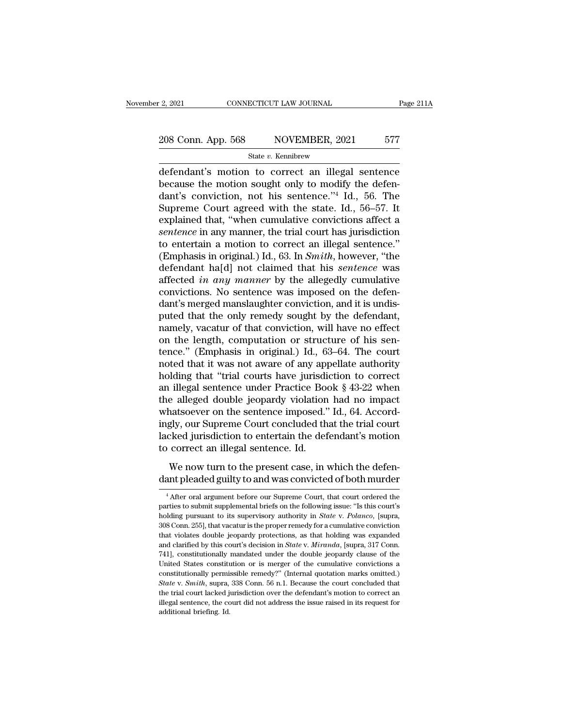# 2, 2021 CONNECTICUT LAW JOURNAL Page 211A<br>208 Conn. App. 568 NOVEMBER, 2021 577<br>State v. Kennibrew

State *v.* Kennibrew

 $\frac{12,2021}{208 \text{ Conn. App. 568}}$   $\frac{100 \text{ }}{\text{NotemBER, 2021}}$   $\frac{577}{577}$ <br>  $\frac{1000 \text{ }}{\text{State } v. \text{ Kennibrew}}$ <br>
defendant's motion to correct an illegal sentence<br>
because the motion sought only to modify the defendant's conviction no 208 Conn. App. 568 NOVEMBER, 2021 577<br>
State v. Kennibrew<br>
defendant's motion to correct an illegal sentence<br>
because the motion sought only to modify the defen-<br>
dant's conviction, not his sentence."<sup>4</sup> Id., 56. The<br>
Sup 208 Conn. App. 568 NOVEMBER, 2021 577<br>
State v. Kennibrew<br>
defendant's motion to correct an illegal sentence<br>
because the motion sought only to modify the defen-<br>
dant's conviction, not his sentence.''<sup>4</sup> Id., 56. The<br>
Su 208 Conn. App. 568 NOVEMBER, 2021 577<br>
State v. Kennibrew<br>
defendant's motion to correct an illegal sentence<br>
because the motion sought only to modify the defen-<br>
dant's conviction, not his sentence."<sup>4</sup> Id., 56. The<br>
Sup State v. Kennibrew<br>
defendant's motion to correct an illegal sentence<br>
because the motion sought only to modify the defen-<br>
dant's conviction, not his sentence."<sup>4</sup> Id., 56. The<br>
Supreme Court agreed with the state. Id., **state v. Kennbrew**<br>
defendant's motion to correct an illegal sentence<br>
because the motion sought only to modify the defen-<br>
dant's conviction, not his sentence."<sup>4</sup> Id., 56. The<br>
Supreme Court agreed with the state. Id., defendant's motion to correct an illegal sentence<br>because the motion sought only to modify the defen-<br>dant's conviction, not his sentence."<sup>4</sup> Id., 56. The<br>Supreme Court agreed with the state. Id., 56–57. It<br>explained tha because the motion sought only to modify the defen-<br>dant's conviction, not his sentence."<sup>4</sup> Id., 56. The<br>Supreme Court agreed with the state. Id., 56–57. It<br>explained that, "when cumulative convictions affect a<br>*sentence* dant's conviction, not his sentence."<sup>4</sup> Id., 56. The<br>Supreme Court agreed with the state. Id., 56–57. It<br>explained that, "when cumulative convictions affect a<br>*sentence* in any manner, the trial court has jurisdiction<br>to Supreme Court agreed with the state. Id., 56–57. It<br>explained that, "when cumulative convictions affect a<br>*sentence* in any manner, the trial court has jurisdiction<br>to entertain a motion to correct an illegal sentence."<br>( explained that, "when cumulative convictions affect a *sentence* in any manner, the trial court has jurisdiction to entertain a motion to correct an illegal sentence." (Emphasis in original.) Id., 63. In *Smith*, however, sentence in any manner, the trial court has jurisdiction<br>to entertain a motion to correct an illegal sentence."<br>(Emphasis in original.) Id., 63. In *Smith*, however, "the<br>defendant ha[d] not claimed that his *sentence* was to entertain a motion to correct an illegal sentence."<br>(Emphasis in original.) Id., 63. In *Smith*, however, "the<br>defendant ha[d] not claimed that his *sentence* was<br>affected *in any manner* by the allegedly cumulative<br>co (Emphasis in original.) Id., 63. In *Smith*, however, "the defendant ha[d] not claimed that his *sentence* was affected *in any manner* by the allegedly cumulative convictions. No sentence was imposed on the defendant's m defendant ha[d] not claimed that his *sentence* was<br>affected *in any manner* by the allegedly cumulative<br>convictions. No sentence was imposed on the defen-<br>dant's merged manslaughter conviction, and it is undis-<br>puted that affected *in any manner* by the allegedly cumulative<br>convictions. No sentence was imposed on the defen-<br>dant's merged manslaughter conviction, and it is undis-<br>puted that the only remedy sought by the defendant,<br>namely, va convictions. No sentence was imposed on the defen-<br>dant's merged manslaughter conviction, and it is undis-<br>puted that the only remedy sought by the defendant,<br>namely, vacatur of that conviction, will have no effect<br>on the dant's merged manslaughter conviction, and it is undis-<br>puted that the only remedy sought by the defendant,<br>namely, vacatur of that conviction, will have no effect<br>on the length, computation or structure of his sen-<br>tence puted that the only remedy sought by the defendant,<br>namely, vacatur of that conviction, will have no effect<br>on the length, computation or structure of his sen-<br>tence." (Emphasis in original.) Id., 63–64. The court<br>noted th namely, vacatur of that conviction, will have no effect<br>on the length, computation or structure of his sen-<br>tence." (Emphasis in original.) Id., 63–64. The court<br>noted that it was not aware of any appellate authority<br>holdi on the length, computation or structure of his sentence." (Emphasis in original.) Id., 63–64. The court noted that it was not aware of any appellate authority holding that "trial courts have jurisdiction to correct an ille tence." (Emphasis in original.) Id., 63–64. The court<br>noted that it was not aware of any appellate authority<br>holding that "trial courts have jurisdiction to correct<br>an illegal sentence under Practice Book § 43-22 when<br>the noted that it was not aware of any appellate authority<br>holding that "trial courts have jurisdiction to correct<br>an illegal sentence under Practice Book § 43-22 when<br>the alleged double jeopardy violation had no impact<br>whatso holding that "trial courts have jurisdi<br>an illegal sentence under Practice Boo<br>the alleged double jeopardy violation<br>whatsoever on the sentence imposed."<br>ingly, our Supreme Court concluded th<br>lacked jurisdiction to enterta Example and Principle 2006, 3 B 22 Media<br>e alleged double jeopardy violation had no impact<br>natsoever on the sentence imposed." Id., 64. Accord-<br>gly, our Supreme Court concluded that the trial court<br>ked jurisdiction to ente dant pleaded guilty to and was convicted." Id., 64. Accordingly, our Supreme Court concluded that the trial court lacked jurisdiction to entertain the defendant's motion to correct an illegal sentence. Id.<br>We now turn to t

<sup>4</sup> After oral argument before our Supreme Court, that court ordered the defendant pleaded guilty to and was convicted of both murder<br> $\frac{4}{1}$  After oral argument before our Supreme Court, that court ordered the arties to We now turn to the present case, in which the defendant pleaded guilty to and was convicted of both murder<br>
<sup>4</sup> After oral argument before our Supreme Court, that court ordered the parties to submit supplemental briefs on We now turn to the present case, in which the defen-<br>dant pleaded guilty to and was convicted of both murder<br><sup>4</sup> After oral argument before our Supreme Court, that court ordered the<br>parties to submit supplemental briefs on dant pleaded guilty to and was convicted of both murder<br>  $^4$  After oral argument before our Supreme Court, that court ordered the<br>
parties to submit supplemental briefs on the following issue: "Is this court's<br>
holding p That is determined that violation was convicted of both intrinder<br>  $\overline{ }$  + After oral argument before our Supreme Court, that court ordered the<br>
parties to submit supplemental briefs on the following issue: "Is this cou <sup>4</sup> After oral argument before our Supreme Court, that court ordered the parties to submit supplemental briefs on the following issue: "Is this court's holding pursuant to its supervisory authority in *State* v. *Polanco* parties to submit supplemental briefs on the following issue: "Is this court's holding pursuant to its supervisory authority in *State* v. *Polanco*, [supra, 308 Conn. 255], that vacatur is the proper remedy for a cumulati holding pursuant to its supervisory authority in *State* v. *Polanco*, [supra, 308 Conn. 255], that vacatur is the proper remedy for a cumulative conviction that violates double jeopardy protections, as that holding was ex comes permissible remedy for a cumulative conviction<br>308 Conn. 255], that vacatur is the proper remedy for a cumulative conviction<br>that violates double jeopardy protections, as that holding was expanded<br>and clarified by t but violates double jeopardy protections, as that holding was expanded and clarified by this court's decision in *State* v. *Miranda*, [supra, 317 Conn. 741], constitutionally mandated under the double jeopardy clause of t and clarified by this court's decision in *State v. Miranda*, [supra, 317 Conn. 741], constitutionally mandated under the double jeopardy clause of the United States constitution or is merger of the cumulative convictions 741], constitutionally mandated under the double jeopardy clause of the United States constitution or is merger of the cumulative convictions a constitutionally permissible remedy?" (Internal quotation marks omitted.) Sta United States constitution or is merger of the cumulative convictions a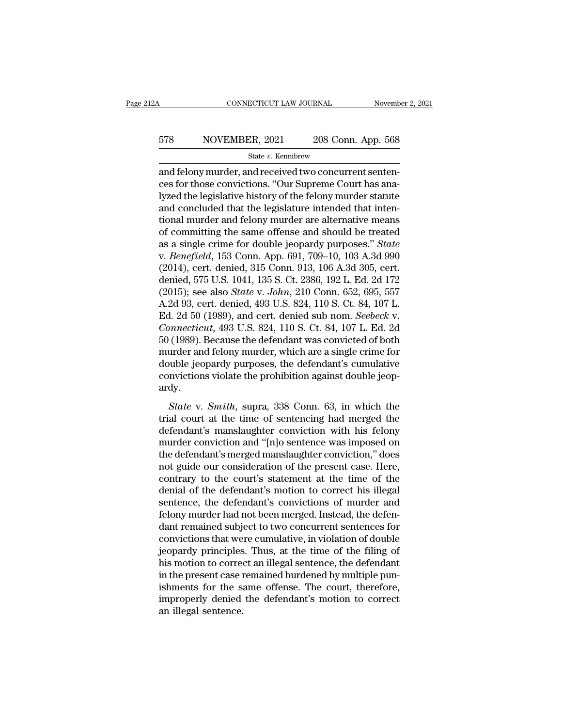# CONNECTICUT LAW JOURNAL November 2, 2021<br>578 NOVEMBER, 2021 208 Conn. App. 568<br>5tate v. Kennibrew

State *v.* Kennibrew

CONNECTICUT LAW JOURNAL November November November 2008<br>
State v. Kennibrew<br>
and felony murder, and received two concurrent senten-<br>
ces for those convictions. "Our Supreme Court has analyzed the logislative bistory of the 578 NOVEMBER, 2021 208 Conn. App. 568<br>
528 State v. Kennibrew<br>
3208 Conn. App. 568<br>
528 State v. Kennibrew<br>
528 and felony murder, and received two concurrent sentences<br>
528 for those convictions. "Our Supreme Court has an  $\begin{array}{lll}\n & \text{NOVEMBER, 2021} & \text{208 Conn. App. 568} \\
 \hline\n & \text{State } v. \text{ Kennibrew} \\
 \hline\n & \text{and fellow murder, and received two concurrent sentences for those convictions. "Our Supreme Court has analyzed the legislative history of the fellow murder statute and concluded that the legislative intended that intentionel murder and follow murder are alternative means.\n$  $578$  NOVEMBER,  $2021$   $208$  Conn. App. 568<br>  $\frac{\text{State } v. \text{ Kennibrew}}{\text{and fellow murder, and received two concurrent sentences for those convictions. "Our Supreme Court has analyzed the legislative history of the fellow murder started and concluded that the legislative interact were alternatively measured.}$ State v. Kennibrew<br>
and felony murder, and received two concurrent sentences for those convictions. "Our Supreme Court has analyzed the legislative history of the felony murder statute and concluded that the legislature i state v. Kennbrew<br>and felony murder, and received two concurrent sentences for those convictions. "Our Supreme Court has analyzed the legislative history of the felony murder statute<br>and concluded that the legislature int and felony murder, and received two concurrent sentences for those convictions. "Our Supreme Court has analyzed the legislative history of the felony murder statute and concluded that the legislature intended that intentio ces for those convictions. "Our Supreme Court has ana-<br>lyzed the legislative history of the felony murder statute<br>and concluded that the legislature intended that inten-<br>tional murder and felony murder are alternative mean lyzed the legislative history of the felony murder statute<br>and concluded that the legislature intended that inten-<br>tional murder and felony murder are alternative means<br>of committing the same offense and should be treated<br> and concluded that the legislature intended that intentional murder and felony murder are alternative means<br>of committing the same offense and should be treated<br>as a single crime for double jeopardy purposes." *State*<br>v. tional murder and felony murder are alternative means<br>of committing the same offense and should be treated<br>as a single crime for double jeopardy purposes." *State*<br>v. *Benefield*, 153 Conn. App. 691, 709–10, 103 A.3d 990<br>( of committing the same offense and should be treated<br>as a single crime for double jeopardy purposes." *State*<br>v. *Benefield*, 153 Conn. App. 691, 709–10, 103 A.3d 990<br>(2014), cert. denied, 315 Conn. 913, 106 A.3d 305, cer as a single crime for double jeopardy purposes." *State*<br>v. *Benefield*, 153 Conn. App. 691, 709–10, 103 A.3d 990<br>(2014), cert. denied, 315 Conn. 913, 106 A.3d 305, cert.<br>denied, 575 U.S. 1041, 135 S. Ct. 2386, 192 L. Ed. *v. Benefield*, 153 Conn. App. 691, 709–10, 103 A.3d 990 (2014), cert. denied, 315 Conn. 913, 106 A.3d 305, cert. denied, 575 U.S. 1041, 135 S. Ct. 2386, 192 L. Ed. 2d 172 (2015); see also *State v. John*, 210 Conn. 652, 6 (2014), cert. denied, 315 Conn. 913, 106 A.3d 305, cert.<br>denied, 575 U.S. 1041, 135 S. Ct. 2386, 192 L. Ed. 2d 172<br>(2015); see also *State v. John*, 210 Conn. 652, 695, 557<br>A.2d 93, cert. denied, 493 U.S. 824, 110 S. Ct. denied, 575 U.S. 1041, 135 S. Ct. 2386, 192 L. Ed. 2d 172<br>(2015); see also *State v. John*, 210 Conn. 652, 695, 557<br>A.2d 93, cert. denied, 493 U.S. 824, 110 S. Ct. 84, 107 L.<br>Ed. 2d 50 (1989), and cert. denied sub nom. *S* (2015); see also *State v. John*, 210 Conn. 652, 695, 557<br>A.2d 93, cert. denied, 493 U.S. 824, 110 S. Ct. 84, 107 L.<br>Ed. 2d 50 (1989), and cert. denied sub nom. *Seebeck v.*<br>*Connecticut*, 493 U.S. 824, 110 S. Ct. 84, 107 A.2d 93, cert. denied, 493 U.S. 824, 110 S. Ct. 84, 107 L.<br>Ed. 2d 50 (1989), and cert. denied sub nom. *Seebeck v.*<br>*Connecticut*, 493 U.S. 824, 110 S. Ct. 84, 107 L. Ed. 2d<br>50 (1989). Because the defendant was convicted o ardy. *(1989).* Because the defendant was convicted of both urder and felony murder, which are a single crime for ouble jeopardy purposes, the defendant's cumulative mvictions violate the prohibition against double jeop-<br>dy.<br>*St* trial courses). Because are determined was convicted of sour-<br>murder and felony murder, which are a single crime for<br>double jeopardy purposes, the defendant's cumulative<br>convictions violate the prohibition against double j

double jeopardy purposes, the defendant's cumulative<br>convictions violate the prohibition against double jeop-<br>ardy.<br>*State* v. *Smith*, supra, 338 Conn. 63, in which the<br>trial court at the time of sentencing had merged th convictions violate the prohibition against double jeopardy.<br>
State v. Smith, supra, 338 Conn. 63, in which the<br>
trial court at the time of sentencing had merged the<br>
defendant's manslaughter conviction with his felony<br>
m solvections visite the pronsident against doubte jeop<br>ardy.<br>State v. Smith, supra, 338 Conn. 63, in which the<br>trial court at the time of sentencing had merged the<br>defendant's manslaughter conviction with his felony<br>murder State v. Smith, supra, 338 Conn. 63, in which the<br>trial court at the time of sentencing had merged the<br>defendant's manslaughter conviction with his felony<br>murder conviction and "[n]o sentence was imposed on<br>the defendant's State v. Smith, supra, 338 Conn. 63, in which the<br>trial court at the time of sentencing had merged the<br>defendant's manslaughter conviction with his felony<br>murder conviction and "[n]o sentence was imposed on<br>the defendant' trial court at the time of sentencing had merged the<br>defendant's manslaughter conviction with his felony<br>murder conviction and "[n]o sentence was imposed on<br>the defendant's merged manslaughter conviction," does<br>not guide o defendant's manslaughter conviction with his felony<br>murder conviction and "[n]o sentence was imposed on<br>the defendant's merged manslaughter conviction," does<br>not guide our consideration of the present case. Here,<br>contrary murder conviction and "[n]o sentence was imposed on<br>the defendant's merged manslaughter conviction," does<br>not guide our consideration of the present case. Here,<br>contrary to the court's statement at the time of the<br>denial o the defendant's merged manslaughter conviction," does<br>not guide our consideration of the present case. Here,<br>contrary to the court's statement at the time of the<br>denial of the defendant's motion to correct his illegal<br>sent not guide our consideration of the present case. Here,<br>contrary to the court's statement at the time of the<br>denial of the defendant's motion to correct his illegal<br>sentence, the defendant's convictions of murder and<br>felony contrary to the court's statement at the time of the denial of the defendant's motion to correct his illegal<br>sentence, the defendant's convictions of murder and<br>felony murder had not been merged. Instead, the defen-<br>dant r denial of the defendant's motion to correct his illegal<br>sentence, the defendant's convictions of murder and<br>felony murder had not been merged. Instead, the defen-<br>dant remained subject to two concurrent sentences for<br>convi sentence, the defendant's convictions of murder and<br>felony murder had not been merged. Instead, the defen-<br>dant remained subject to two concurrent sentences for<br>convictions that were cumulative, in violation of double<br>jeop felony murder had not been merged. Instead, the defen-<br>dant remained subject to two concurrent sentences for<br>convictions that were cumulative, in violation of double<br>jeopardy principles. Thus, at the time of the filing of<br> dant remained subject to two concurrent sentences for convictions that were cumulative, in violation of double jeopardy principles. Thus, at the time of the filing of his motion to correct an illegal sentence, the defendan convictions that we<br>jeopardy principles<br>his motion to corree<br>in the present case i<br>ishments for the s:<br>improperly denied<br>an illegal sentence.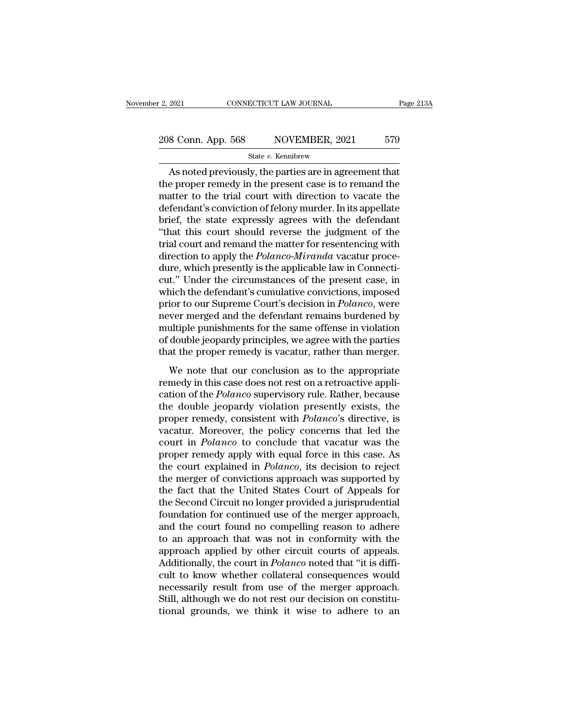# 2, 2021 CONNECTICUT LAW JOURNAL Page 213A<br>208 Conn. App. 568 NOVEMBER, 2021 579<br>31 State v. Kennibrew

### State *v.* Kennibrew

2021 CONNECTICUT LAW JOURNAL Page 213/<br>
8 Conn. App. 568 NOVEMBER, 2021 579<br>
State v. Kennibrew<br>
As noted previously, the parties are in agreement that<br>
e proper remedy in the present case is to remand the<br>
entire to the t 208 Conn. App. 568 NOVEMBER, 2021 579<br>State v. Kennibrew<br>As noted previously, the parties are in agreement that<br>the proper remedy in the present case is to remand the<br>matter to the trial court with direction to vacate the 208 Conn. App. 568 NOVEMBER, 2021 579<br>
State v. Kennibrew<br>
As noted previously, the parties are in agreement that<br>
the proper remedy in the present case is to remand the<br>
matter to the trial court with direction to vacate 208 Conn. App. 568 NOVEMBER, 2021 579<br>State v. Kennibrew<br>As noted previously, the parties are in agreement that<br>the proper remedy in the present case is to remand the<br>matter to the trial court with direction to vacate the State v. Kennibrew<br>
State v. Kennibrew<br>
As noted previously, the parties are in agreement that<br>
the proper remedy in the present case is to remand the<br>
matter to the trial court with direction to vacate the<br>
defendant's c State v. Kennbrew<br>
As noted previously, the parties are in agreement that<br>
the proper remedy in the present case is to remand the<br>
matter to the trial court with direction to vacate the<br>
defendant's conviction of felony m As noted previously, the parties are in agreement that<br>the proper remedy in the present case is to remand the<br>matter to the trial court with direction to vacate the<br>defendant's conviction of felony murder. In its appellate the proper remedy in the present case is to remand the<br>matter to the trial court with direction to vacate the<br>defendant's conviction of felony murder. In its appellate<br>brief, the state expressly agrees with the defendant<br>" matter to the trial court with direction to vacate the defendant's conviction of felony murder. In its appellate brief, the state expressly agrees with the defendant "that this court should reverse the judgment of the tria defendant's conviction of felony murder. In its appellate<br>brief, the state expressly agrees with the defendant<br>"that this court should reverse the judgment of the<br>trial court and remand the matter for resentencing with<br>dir brief, the state expressly agrees with the defendant<br>
"that this court should reverse the judgment of the<br>
trial court and remand the matter for resentencing with<br>
direction to apply the *Polanco-Miranda* vacatur proce-<br>
d "that this court should reverse the judgment of the<br>trial court and remand the matter for resentencing with<br>direction to apply the *Polanco-Miranda* vacatur proce-<br>dure, which presently is the applicable law in Connecti-<br>c trial court and remand the matter for resentencing with<br>direction to apply the *Polanco-Miranda* vacatur proce-<br>dure, which presently is the applicable law in Connecti-<br>cut." Under the circumstances of the present case, in direction to apply the *Polanco-Miranda* vacatur proce-<br>dure, which presently is the applicable law in Connecti-<br>cut." Under the circumstances of the present case, in<br>which the defendant's cumulative convictions, imposed<br>p dure, which presently is the applicable law in Connecticut." Under the circumstances of the present case, in which the defendant's cumulative convictions, imposed prior to our Supreme Court's decision in *Polanco*, were ne cut." Under the circumstances of the present case, in<br>which the defendant's cumulative convictions, imposed<br>prior to our Supreme Court's decision in *Polanco*, were<br>never merged and the defendant remains burdened by<br>multip From the deterministic contractions, imposed<br>ior to our Supreme Court's decision in *Polanco*, were<br>ver merged and the defendant remains burdened by<br>ultiple punishments for the same offense in violation<br>double jeopardy pri prior to our suppreme courts decision in Founces, were<br>never merged and the defendant remains burdened by<br>multiple punishments for the same offense in violation<br>of double jeopardy principles, we agree with the parties<br>that

multiple punishments for the same offense in violation<br>of double jeopardy principles, we agree with the parties<br>that the proper remedy is vacatur, rather than merger.<br>We note that our conclusion as to the appropriate<br>remed of double jeopardy principles, we agree with the parties<br>that the proper remedy is vacatur, rather than merger.<br>We note that our conclusion as to the appropriate<br>remedy in this case does not rest on a retroactive appli-<br>c proper remedy is vacatur, rather than merger.<br>We note that our conclusion as to the appropriate<br>remedy in this case does not rest on a retroactive appli-<br>cation of the *Polanco* supervisory rule. Rather, because<br>the double We note that our conclusion as to the appropriate<br>remedy in this case does not rest on a retroactive appli-<br>cation of the *Polanco* supervisory rule. Rather, because<br>the double jeopardy violation presently exists, the<br>pro We note that our conclusion as to the appropriate<br>remedy in this case does not rest on a retroactive appli-<br>cation of the *Polanco* supervisory rule. Rather, because<br>the double jeopardy violation presently exists, the<br>prop remedy in this case does not rest on a retroactive application of the *Polanco* supervisory rule. Rather, because<br>the double jeopardy violation presently exists, the<br>proper remedy, consistent with *Polanco*'s directive, is cation of the *Polanco* supervisory rule. Rather, because<br>the double jeopardy violation presently exists, the<br>proper remedy, consistent with *Polanco*'s directive, is<br>vacatur. Moreover, the policy concerns that led the<br>cou the double jeopardy violation presently exists, the<br>proper remedy, consistent with *Polanco*'s directive, is<br>vacatur. Moreover, the policy concerns that led the<br>court in *Polanco* to conclude that vacatur was the<br>proper re proper remedy, consistent with *Polanco*'s directive, is<br>vacatur. Moreover, the policy concerns that led the<br>court in *Polanco* to conclude that vacatur was the<br>proper remedy apply with equal force in this case. As<br>the cou vacatur. Moreover, the policy concerns that led the<br>court in *Polanco* to conclude that vacatur was the<br>proper remedy apply with equal force in this case. As<br>the court explained in *Polanco*, its decision to reject<br>the mer court in *Polanco* to conclude that vacatur was the<br>proper remedy apply with equal force in this case. As<br>the court explained in *Polanco*, its decision to reject<br>the merger of convictions approach was supported by<br>the fac proper remedy apply with equal force in this case. As<br>the court explained in *Polanco*, its decision to reject<br>the merger of convictions approach was supported by<br>the fact that the United States Court of Appeals for<br>the Se the court explained in *Polanco*, its decision to reject<br>the merger of convictions approach was supported by<br>the fact that the United States Court of Appeals for<br>the Second Circuit no longer provided a jurisprudential<br>foun the merger of convictions approach was supported by<br>the fact that the United States Court of Appeals for<br>the Second Circuit no longer provided a jurisprudential<br>foundation for continued use of the merger approach,<br>and the the fact that the United States Court of Appeals for<br>the Second Circuit no longer provided a jurisprudential<br>foundation for continued use of the merger approach,<br>and the court found no compelling reason to adhere<br>to an app the Second Circuit no longer provided a jurisprudential<br>foundation for continued use of the merger approach,<br>and the court found no compelling reason to adhere<br>to an approach that was not in conformity with the<br>approach ap foundation for continued use of the merger approach,<br>and the court found no compelling reason to adhere<br>to an approach that was not in conformity with the<br>approach applied by other circuit courts of appeals.<br>Additionally, and the court found no compelling reason to adhere<br>to an approach that was not in conformity with the<br>approach applied by other circuit courts of appeals.<br>Additionally, the court in *Polanco* noted that "it is diffi-<br>cult to an approach that was not in conformity with the<br>approach applied by other circuit courts of appeals.<br>Additionally, the court in *Polanco* noted that "it is diffi-<br>cult to know whether collateral consequences would<br>neces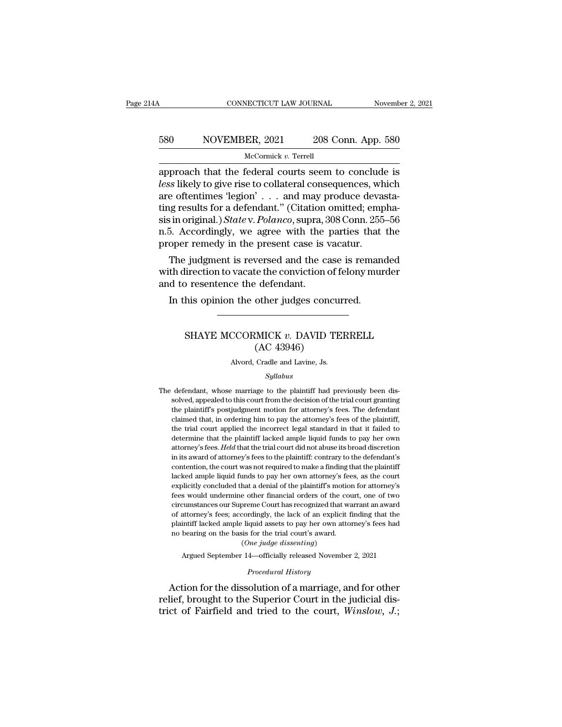# CONNECTICUT LAW JOURNAL November 2, 2021<br>580 NOVEMBER, 2021 208 Conn. App. 580<br>McCormick v. Terrell

### McCormick *v.* Terrell

CONNECTICUT LAW JOURNAL November 2, 2021<br>
S80 NOVEMBER, 2021 208 Conn. App. 580<br>
McCormick v. Terrell<br>
approach that the federal courts seem to conclude is<br>
less likely to give rise to collateral consequences, which<br>
are o **lessay less** likely to give rise to collateral courts seem to conclude is less likely to give rise to collateral consequences, which are oftentimes 'legion' . . . and may produce devastating results for a dofondant " (C 580 NOVEMBER, 2021 208 Conn. App. 580<br>
McCormick v. Terrell<br>
approach that the federal courts seem to conclude is<br>
less likely to give rise to collateral consequences, which<br>
are oftentimes 'legion' . . . and may produce 580 NOVEMBER, 2021 208 Conn. App. 580<br>
McCormick v. Terrell<br>
approach that the federal courts seem to conclude is<br>
less likely to give rise to collateral consequences, which<br>
are oftentimes 'legion' . . . and may produce McCormick *v*. Terrell<br>
approach that the federal courts seem to conclude is<br> *less* likely to give rise to collateral consequences, which<br>
are oftentimes 'legion' . . . and may produce devasta-<br>
ting results for a defenda McCornuck v. Terrell<br>approach that the federal courts seem to conclude is<br>less likely to give rise to collateral consequences, which<br>are oftentimes 'legion' . . . and may produce devasta-<br>ting results for a defendant." (C approach that the federal courts seem to conclud<br>*less* likely to give rise to collateral consequences, wh<br>are oftentimes 'legion' . . . and may produce devas<br>ting results for a defendant." (Citation omitted; emp<br>sis in o For the set of contatenal consequences, which<br>e oftentimes 'legion'  $\ldots$  and may produce devasta-<br>ig results for a defendant." (Citation omitted; empha-<br>in original.) *State* v. Polanco, supra, 308 Conn. 255–56<br>5. Accord are often<br>ting results for a defendant." (Citation omitted; emphasis in original.) State v. Polanco, supra, 308 Conn. 255–56<br>n.5. Accordingly, we agree with the parties that the<br>proper remedy in the present case is vacatu the results for a detendant. (Chanon<br>sis in original.) *State v. Polanco*, supra, 3<br>n.5. Accordingly, we agree with the<br>proper remedy in the present case is  $\cdot$ <br>The judgment is reversed and the ca<br>with direction to vacat

In Accordingly, we agree with the parties that oper remedy in the present case is vacatur.<br>The judgment is reversed and the case is reman the direction to vacate the conviction of felony mund to resentence the defendant.<br>I Fugginent is reversed and the case is remainded<br>irection to vacate the conviction of felony murder<br>of resentence the defendant.<br>his opinion the other judges concurred.<br>SHAYE MCCORMICK *v*. DAVID TERRELL<br>(AC 43946)

### e the conviction of 1<br>
edendant.<br>
other judges concu<br>
MICK v. DAVID TE<br>
(AC 43946)<br>
Cradle and Lavine, Js. SHAYE MCCORMICK v. DAVID TERRELL<br>(AC 43946)<br>Alvord, Cradle and Lavine, Js.

### *Syllabus*

SHATE MCCORMICA  $v$ . DAVID TERRELL<br>
(AC 43946)<br>
Alvord, Cradle and Lavine, Js.<br>
Syllabus<br>
The defendant, whose marriage to the plaintiff had previously been dis-<br>
solved, appealed to this court from the decision of the tr  $(AC 43946)$ <br>Alvord, Cradle and Lavine, Js.<br> $Syllabus$ <br>defendant, whose marriage to the plaintiff had previously been dis-<br>solved, appealed to this court from the decision of the trial court granting<br>the plaintiff's postjudgmen Alvord, Cradle and Lavine, Js.<br>Syllabus<br>defendant, whose marriage to the plaintiff had previously been dis-<br>solved, appealed to this court from the decision of the trial court granting<br>the plaintiff's postjudgment motion f Syllabus<br>Syllabus<br>defendant, whose marriage to the plaintiff had previously been dis-<br>solved, appealed to this court from the decision of the trial court granting<br>the plaintiff's postjudgment motion for attorney's fees. Th  $Syllabus$ <br>defendant, whose marriage to the plaintiff had previously been dis-<br>solved, appealed to this court from the decision of the trial court granting<br>the plaintiff's postjudgment motion for attorney's fees. The defendan defendant, whose marriage to the plaintiff had previously been dis-<br>solved, appealed to this court from the decision of the trial court granting<br>the plaintiff's postjudgment motion for attorney's fees. The defendant<br>claime attorney's fees. *Held* that the trial court from the decision of the trial court granting<br>the plaintiff's postjudgment motion for attorney's fees. The defendant<br>claimed that, in ordering him to pay the attorney's fees of is the plaintiff's posturion and contribute to the distorted of a the plaintiff's postjudgment motion for attorney's fees. The defendant claimed that, in ordering him to pay the attorney's fees of the plaintiff, the trial the plaintiff's postjudgment motion for attorney's fees. The defendant claimed that, in ordering him to pay the attorney's fees of the plaintiff, the trial court applied the incorrect legal standard in that it failed to de the trial court applied the incorrect legal standard in that it failed to determine that the plaintiff lacked ample liquid funds to pay her own attorney's fees. Held that the trial court did not abuse its broad discretion explicitly concluded that a denial of the plaintiff's motion for attenuate that the plaintiff lacked ample liquid funds to pay her own attorney's fees. *Held* that the trial court did not abuse its broad discretion in its attorney's fees. *Held* that the trial court did not abuse its broad discretion in its award of attorney's fees to the plaintiff: contrary to the defendant's contention, the court was not required to make a finding that th ationally preciss the article dialogue and interaction in its award of attorney's fees to the plaintiff: contrary to the defendant's contention, the court was not required to make a finding that the plaintiff lacked ample of attorney's fees; accordingly, the lack of an explicitly formulated ample liquid funds to pay her own attorney's fees, as the court explicitly concluded that a denial of the plaintiff's motion for attorney's fees would u lacked ample liquid funds to pay her own attorney's fees, as the court explicitly concluded that a denial of the plaintiff's motion for attorney's fees would undermine other financial orders of the court, one of two circum metrical diplomation of the plaintiff's motion<br>explicitly concluded that a denial of the plaintiff's motion<br>fees would undermine other financial orders of the court<br>circumstances our Supreme Court has recognized that was<br>o (*C*) and the partial orders of the order financial orders of the order court has recognized that cordingly, the lack of an explicition is for the trial court's award.<br>(*One judge dissenting*)<br>(*One judge dissenting*) cumstances our Supreme Court has recognized that warrant an award<br>attorney's fees; accordingly, the lack of an explicit finding that the<br>intiff lacked ample liquid assets to pay her own attorney's fees had<br>bearing on the b % of attorney's fees; accordingly, the lack of an explicit finding that the plaintiff lacked ample liquid assets to pay her own attorney's fees had no bearing on the basis for the trial court's award.<br>
(One judge dissenti

% of attorney's fees; accordingly, the lack of an explicit finding that the<br>plaintiff lacked ample liquid assets to pay her own attorney's fees had<br>no bearing on the basis for the trial court's award.<br>(*One judge dissenti* plantif lacked ample liquid assets to pay her own attorney's fees had<br>no bearing on the basis for the trial court's award.<br>(One judge dissenting)<br>Argued September 14—officially released November 2, 2021<br>Procedural History<br> (One judge dissenting)<br>(One judge dissenting)<br>Argued September 14—officially released November 2, 2021<br>*Procedural History*<br>Action for the dissolution of a marriage, and for other<br>relief, brought to the Superior Court in t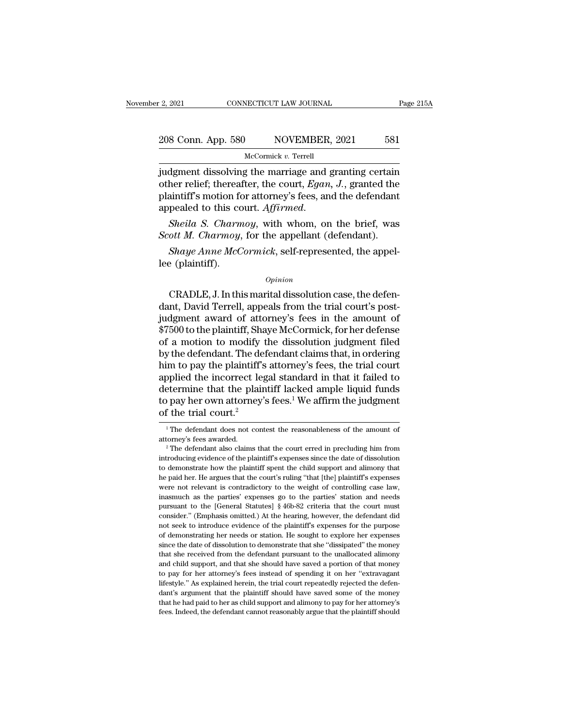# 2, 2021 CONNECTICUT LAW JOURNAL Page 215A<br>208 Conn. App. 580 NOVEMBER, 2021 581<br>McCormick v. Terrel

McCormick *v.* Terrell

2, 2021 CONNECTICUT LAW JOURNAL Page 215A<br>
208 Conn. App. 580 NOVEMBER, 2021 581<br>
McCormick v. Terrell<br>
judgment dissolving the marriage and granting certain<br>
other relief; thereafter, the court, *Egan*, *J*., granted the of the comment of the court, *App.* 580<br>
other relief; thereafter, the court, *Egan, J.*, granted the plaintiff's motion for attorney's fees, and the defendant 208 Conn. App. 580 NOVEMBER, 2021 581<br>
McCormick v. Terrell<br>
judgment dissolving the marriage and granting certain<br>
other relief; thereafter, the court, *Egan*, *J.*, granted the<br>
plaintiff's motion for attorney's fees, an appealed to this court. Affirmed.<br> *MeCormick v. Terrell*<br> *MeCormick v. Terrell*<br> *MeCormick v. Terrell*<br> **Court.** *Egan, J.***, granted the plaintiff's motion for attorney's fees, and the defendant<br>
appealed to this court.** *SECEMBER 1 1812*<br> *Sudgment dissolving the marriage and granting certain*<br>
other relief; thereafter, the court, *Egan*, *J*., granted the<br>
plaintiff's motion for attorney's fees, and the defendant<br>
appealed to this court. *Shaye Anne McCormick*, self-represented, the appel-<br>*Sheila S. Charmoy*, with whom, on the brief, was<br>*Sheila S. Charmoy*, with whom, on the brief, was<br>*ott M. Charmoy*, for the appellant (defendant).<br>*Shaye Anne McCormic* plaintiff's motion for<br>plaintiff's motion for<br>appealed to this contents of<br>Sheila S. Charmoy,<br>Shaye Anne McC<br>lee (plaintiff).

### *Opinion*

Sheila S. Charmoy, with whom, on the brief, was<br>
ott M. Charmoy, for the appellant (defendant).<br>
Shaye Anne McCormick, self-represented, the appel-<br>
e (plaintiff).<br>
Opinion<br>
CRADLE, J. In this marital dissolution case, the Scott M. Charmoy, for the appellant (defendant).<br>
Shaye Anne McCormick, self-represented, the appel-<br>
lee (plaintiff).<br>
Opinion<br>
CRADLE, J. In this marital dissolution case, the defen-<br>
dant, David Terrell, appeals from th Shaye Anne McCormick, self-represented, the appel-<br>lee (plaintiff).<br>Opinion<br>CRADLE, J. In this marital dissolution case, the defen-<br>dant, David Terrell, appeals from the trial court's post-<br>judgment award of attorney's fee *Opinion*<br>
CRADLE, J. In this marital dissolution case, the defendant, David Terrell, appeals from the trial court's post-<br>
judgment award of attorney's fees in the amount of<br>
\$7500 to the plaintiff, Shaye McCormick, for h opinion<br>CRADLE, J. In this marital dissolution case, the defen-<br>dant, David Terrell, appeals from the trial court's post-<br>judgment award of attorney's fees in the amount of<br> $$7500$  to the plaintiff, Shaye McCormick, for h  $\alpha$ <br>CRADLE, J. In this marital dissolution case, the defendant, David Terrell, appeals from the trial court's post-<br>judgment award of attorney's fees in the amount of<br>\$7500 to the plaintiff, Shaye McCormick, for her defe CRADLE, J. In this marital dissolution case, the defen-<br>dant, David Terrell, appeals from the trial court's post-<br>judgment award of attorney's fees in the amount of<br>\$7500 to the plaintiff, Shaye McCormick, for her defense<br> dant, David Terrell, appeals from the trial court's post-<br>judgment award of attorney's fees in the amount of<br>\$7500 to the plaintiff, Shaye McCormick, for her defense<br>of a motion to modify the dissolution judgment filed<br>by judgment award of attorney's fees in the amount of<br>\$7500 to the plaintiff, Shaye McCormick, for her defense<br>of a motion to modify the dissolution judgment filed<br>by the defendant. The defendant claims that, in ordering<br>him \$7500 to the plaintiff, Shaye McCormick, for her defense<br>of a motion to modify the dissolution judgment filed<br>by the defendant. The defendant claims that, in ordering<br>him to pay the plaintiff's attorney's fees, the trial c % of a motion to modify the defendant. The definition to pay the plaintiff's applied the incorrect leg determine that the plaint to pay her own attorney's of the trial court.<sup>2</sup> applied the incorrect legal standard in that it failed to<br>determine that the plaintiff lacked ample liquid funds<br>to pay her own attorney's fees.<sup>1</sup> We affirm the judgment<br>of the trial court.<sup>2</sup><br> $\frac{1}{1}$ The defendant does determine that the plaintiff lacked ample liquid funds<br>to pay her own attorney's fees.<sup>1</sup> We affirm the judgment<br>of the trial court.<sup>2</sup><br><sup>1</sup> The defendant does not contest the reasonableness of the amount of<br>attorney's fee

of the trial court.<sup>2</sup><br>
<sup>1</sup>The defendant does not contest the reasonableness of the amount of attorney's fees awarded.<br>
<sup>2</sup>The defendant also claims that the court erred in precluding him from introducing evidence of the The defendant does not contest the reasonableness of the amount of attorney's fees awarded.<br>
<sup>2</sup> The defendant also claims that the court erred in precluding him from  $\frac{2}{\pi}$  are defendant also claims that the court er <sup>1</sup> The defendant does not contest the reasonableness of the amount of attorney's fees awarded.<br><sup>2</sup> The defendant also claims that the court erred in precluding him from introducing evidence of the plaintiff's expenses si attorney's fees awarded.<br>
<sup>2</sup> The defendant also claims that the court erred in precluding him from introducing evidence of the plaintiff's expenses since the date of dissolution to demonstrate how the plaintiff spent the <sup>2</sup> The defendant also claims that the court erred in precluding him from introducing evidence of the plaintiff's expenses since the date of dissolution to demonstrate how the plaintiff spent the child support and alimony introducing evidence of the plaintiff's expenses since the date of dissolution<br>to demonstrate how the plaintiff's expenses since the date of dissolution<br>to demonstrate how the plaintiff spent the child support and alimony the demonstrate how the plaintiff spent the child support and alimony that the paid her. He argues that the court's ruling "that [the] plaintiff's expenses were not relevant is contradictory to the weight of controlling ca not seek to introduce evidence of the plaintiff's expenses were not relevant is contradictory to the weight of controlling case law, inasmuch as the parties' expenses go to the parties' station and needs pursuant to the [G were not relevant is contradictory to the weight of controlling case law, inasmuch as the parties' expenses go to the parties' station and needs pursuant to the [General Statutes] § 46b-82 criteria that the court must cons inasmuch as the parties' expenses go to the parties' station and needs<br>pursuant to the [General Statutes]  $\S$  46b-82 criteria that the court must<br>consider." (Emphasis omitted.) At the hearing, however, the defendant did<br>n pursuant to the [General Statutes] § 46b-82 criteria that the court must consider." (Emphasis omitted.) At the hearing, however, the defendant did not seek to introduce evidence of the plaintiff's expenses for the purpose consider." (Emphasis omitted.) At the hearing, however, the defendant did not seek to introduce evidence of the plaintiff's expenses for the purpose of demonstrating her needs or station. He sought to explore her expenses For the pay for the pay for the pay for the pay for the pay for the pay of demonstrating her needs or station. He sought to explore her expenses since the date of dissolution to demonstrate that she "dissipated" the money of demonstrating her needs or station. He sought to explore her expenses since the date of dissolution to demonstrate that she "dissipated" the money that she received from the defendant pursuant to the unallocated alimony since the date of dissolution to demonstrate that she "dissipated" the money that she received from the defendant pursuant to the unallocated alimony and child support, and that she should have saved a portion of that mone that she received from the defendant pursuant to the unallocated alimony<br>and child support, and that she should have saved a portion of that money<br>to pay for her attorney's fees instead of spending it on her "extravagant<br>l and child support, and that she should have saved a portion of that money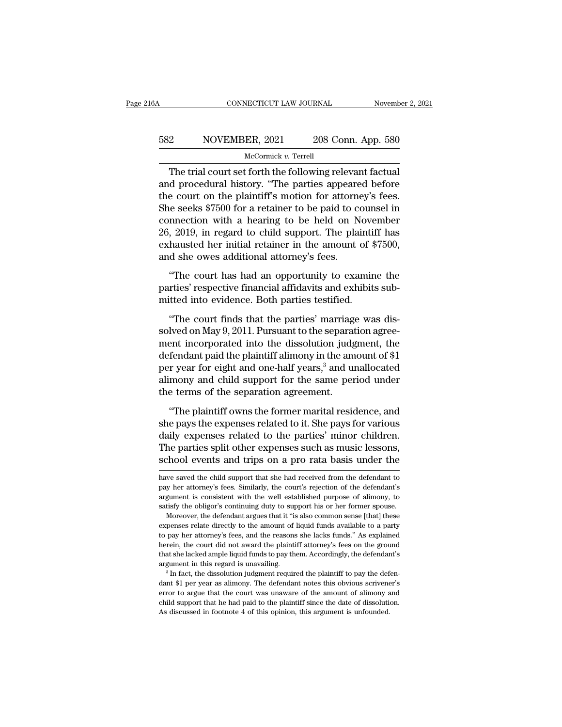### CONNECTICUT LAW JOURNAL November 2, 2021<br>582 NOVEMBER, 2021 208 Conn. App. 580<br>McCormick v. Terrell McCormick *v.* Terrell

CONNECTICUT LAW JOURNAL November 2, 20<br>
2 NOVEMBER, 2021 208 Conn. App. 580<br>
McCormick v. Terrell<br>
The trial court set forth the following relevant factual<br>
d procedural history. "The parties appeared before 582 NOVEMBER, 2021 208 Conn. App. 580<br>McCormick v. Terrell<br>The trial court set forth the following relevant factual<br>and procedural history. "The parties appeared before<br>the court on the plaintiff's motion for attorney's fe 582 NOVEMBER, 2021 208 Conn. App. 580<br>
McCormick v. Terrell<br>
The trial court set forth the following relevant factual<br>
and procedural history. "The parties appeared before<br>
the court on the plaintiff's motion for attorney  $582$  NOVEMBER, 2021 208 Conn. App. 580<br>
McCormick v. Terrell<br>
The trial court set forth the following relevant factual<br>
and procedural history. "The parties appeared before<br>
the court on the plaintiff's motion for attorn The trial court set forth the following relevant factual<br>and procedural history. "The parties appeared before<br>the court on the plaintiff's motion for attorney's fees.<br>She seeks \$7500 for a retainer to be paid to counsel i 26, 2019, in regard to child support. The plaintiff has The trial court set forth the following relevant factual<br>and procedural history. "The parties appeared before<br>the court on the plaintiff's motion for attorney's fees.<br>She seeks \$7500 for a retainer to be paid to counsel in and procedural history. "The parties appeare<br>the court on the plaintiff's motion for attorne<br>She seeks \$7500 for a retainer to be paid to co<br>connection with a hearing to be held on N<br>26, 2019, in regard to child support. T The seeks \$7500 for a retainer to be paid to counsel in<br>
innection with a hearing to be held on November<br>
, 2019, in regard to child support. The plaintiff has<br>
hausted her initial retainer in the amount of \$7500,<br>
d she o partic sector and a heartig to be perfect to solution the connection with a hearing to be held on November 26, 2019, in regard to child support. The plaintiff has exhausted her initial retainer in the amount of \$7500, and 26, 2019, in regard to child support. The plaintifiex<br>hausted her initial retainer in the amount of  $\{$  and she owes additional attorney's fees.<br>"The court has had an opportunity to examine parties' respective financial a

A finds the mutual retainer in the amount of  $\frac{$7500}{900}$ ,<br>
d she owes additional attorney's fees.<br>
"The court has had an opportunity to examine the<br>
rties' respective financial affidavits and exhibits sub-<br>
the parties

and she owes additional attorney's tees.<br>
"The court has had an opportunity to examine the<br>
parties' respective financial affidavits and exhibits sub-<br>
mitted into evidence. Both parties testified.<br>
"The court finds that t "The court has had an opportunity to examine the<br>parties' respective financial affidavits and exhibits sub-<br>mitted into evidence. Both parties testified.<br>"The court finds that the parties' marriage was dis-<br>solved on May parties' respective financial affidavits and exhibits sub-<br>mitted into evidence. Both parties testified.<br>"The court finds that the parties' marriage was dis-<br>solved on May 9, 2011. Pursuant to the separation agree-<br>ment in per active and the particle interaction of the matrice of the court finds that the parties' marriage was dissolved on May 9, 2011. Pursuant to the separation agreement incorporated into the dissolution judgment, the defend The court finds that the parties' narriage was dissolved on May 9, 2011. Pursuant to the separation agreement incorporated into the dissolution judgment, the defendant paid the plaintiff alimony in the amount of \$1 per ye "The court finds that the parties' marriags solved on May 9, 2011. Pursuant to the separat ment incorporated into the dissolution judg defendant paid the plaintiff alimony in the am per year for eight and one-half years,<sup></sup> ent incorporated into the dissolution judgment, the<br>
fendant paid the plaintiff alimony in the amount of \$1<br>
r year for eight and one-half years,<sup>3</sup> and unallocated<br>
mony and child support for the same period under<br>
e term defendant paid the plaintiff alimony in the amount of \$1<br>per year for eight and one-half years,<sup>3</sup> and unallocated<br>alimony and child support for the same period under<br>the terms of the separation agreement.<br>"The plaintiff o

per year for eight and one-half years,<sup>3</sup> and unallocated<br>alimony and child support for the same period under<br>the terms of the separation agreement.<br>"The plaintiff owns the former marital residence, and<br>she pays the expens The particular and child support for the same period under<br>the terms of the separation agreement.<br>"The plaintiff owns the former marital residence, and<br>she pays the expenses related to it. She pays for various<br>daily expens the terms of the separation agreement.<br>
"The plaintiff owns the former marital residence, and<br>
she pays the expenses related to it. She pays for various<br>
daily expenses related to the parties' minor children.<br>
The parties she pays the expenses related to it. She pays for various<br>daily expenses related to the parties' minor children.<br>The parties split other expenses such as music lessons,<br>school events and trips on a pro rata basis under the daily expenses related to the parties' minor children.<br>The parties split other expenses such as music lessons,<br>school events and trips on a pro rata basis under the<br>have saved the child support that she had received from t

the pay her attorney's fees. Similarly, the court's rejection of the defendant's argument is consistent with the well established purpose of alimony, to satisfy the obligor's continuing duty to support his or her former sp Fargument is consistent with the well established purpose of alimony, to satisfy the obligor's continuing duty to support his or her former spouse. Moreover, the defendant argues that it "is also common sense [that] these expenses relate directly to the amount of liquid funds available to a party to pay her attorney's fees, and the reasons she lacks funds." As explained herein, the court did not award the plaintiff attorney's fees on the gr argument in this regard is unavailing. The dissolution is the expenses relate directly to the amount of liquid funds available to a party to pay her attorney's fees, and the reasons she lacks funds." As explained herein, to pay her attorney's fees, and the reasons she lacks funds." As explained herein, the court did not award the plaintiff attorney's fees on the ground that she lacked ample liquid funds to pay them. Accordingly, the defen

error to argue that the court was unaware of the amount of alimony and that she lacked ample liquid funds to pay them. Accordingly, the defendant's argument in this regard is unavailing.<br><sup>3</sup> In fact, the dissolution judgme that she lacked ample liquid funds to pay them. Accordingly, the defendant's argument in this regard is unavailing.<br><sup>3</sup> In fact, the dissolution judgment required the plaintiff to pay the defendant \$1 per year as alimony.  $3$  In fact, the dissolution judgment required the plaintiff to pay the defen-

The parties split other expenses such as music lessons,<br>school events and trips on a pro rata basis under the<br>have saved the child support that she had received from the defendant to<br>pay her attorney's fees. Similarly, the school events and trips on a pro rata basis under the<br>have saved the child support that she had received from the defendant to<br>pay her attorney's fees. Similarly, the court's rejection of the defendant's<br>argument is consis Moreover, the defendant argues that it "is also common sense [that] these penses relate direction of the defendant's gument is consistent with the well established purpose of alimony, to tisfy the obligor's continuing duty have saved the child support that she had received from the defendant to pay her attorney's fees. Similarly, the court's rejection of the defendant's argument is consistent with the well established purpose of alimony, to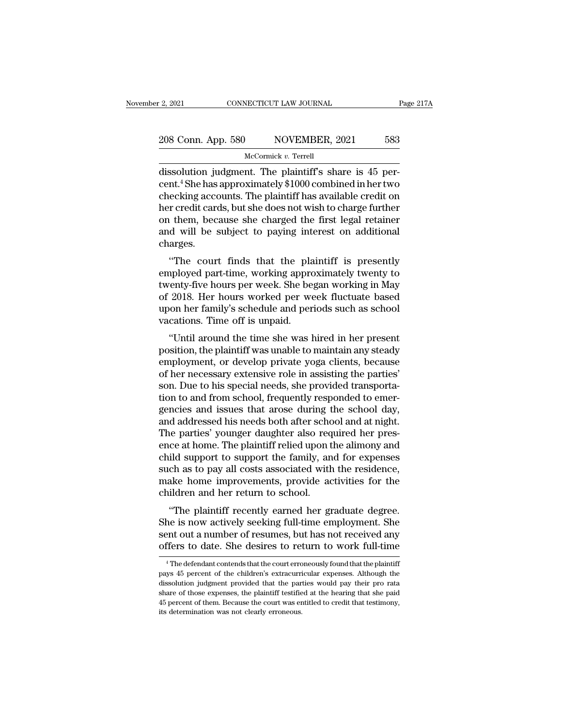# 2, 2021 CONNECTICUT LAW JOURNAL Page 217A<br>208 Conn. App. 580 NOVEMBER, 2021 583<br>McCormick v. Terrel

McCormick *v.* Terrell

2, 2021 CONNECTICUT LAW JOURNAL<br>
208 Conn. App. 580 NOVEMBER, 2021 583<br>
McCormick v. Terrell<br>
dissolution judgment. The plaintiff's share is 45 per-<br>
cent.<sup>4</sup> She has approximately \$1000 combined in her two<br>
chocking accou 208 Conn. App. 580 NOVEMBER, 2021 583<br>
McCormick v. Terrell<br>
dissolution judgment. The plaintiff's share is 45 percent.<sup>4</sup> She has approximately \$1000 combined in her two<br>
checking accounts. The plaintiff has available cre 208 Conn. App. 580 NOVEMBER, 2021 583<br>
McCormick v. Terrell<br>
dissolution judgment. The plaintiff's share is 45 percent.<sup>4</sup> She has approximately \$1000 combined in her two<br>
checking accounts. The plaintiff has available cr 208 Conn. App. 580 NOVEMBER, 2021 583<br>
McCormick v. Terrell<br>
dissolution judgment. The plaintiff's share is 45 per-<br>
cent.<sup>4</sup> She has approximately \$1000 combined in her two<br>
checking accounts. The plaintiff has available McCormick v. Terrell<br>dissolution judgment. The plaintiff's share is 45 per-<br>cent.<sup>4</sup> She has approximately \$1000 combined in her two<br>checking accounts. The plaintiff has available credit on<br>her credit cards, but she does n McCornuck v. Terrell<br>dissolution judgment. The plaintiff's share is 45 per-<br>cent.<sup>4</sup> She has approximately \$1000 combined in her two<br>checking accounts. The plaintiff has available credit on<br>her credit cards, but she does charges. The courts. The plaintiff has available credit on<br>  $r$  redit cards, but she does not wish to charge further<br>  $r$  them, because she charged the first legal retainer<br>  $d$  will be subject to paying interest on additional<br>
ar Enecking accounts. The plaintin has available credit on<br>her credit cards, but she does not wish to charge further<br>on them, because she charged the first legal retainer<br>and will be subject to paying interest on additional<br>c

ther credit cards, but she does not wish to charge runther<br>on them, because she charged the first legal retainer<br>and will be subject to paying interest on additional<br>charges.<br>"The court finds that the plaintiff is presentl on them, because she charged the first legal retainer<br>and will be subject to paying interest on additional<br>charges.<br>"The court finds that the plaintiff is presently<br>employed part-time, working approximately twenty to<br>twent and will be subject to paying interest on additional<br>charges.<br>"The court finds that the plaintiff is presently<br>employed part-time, working approximately twenty to<br>twenty-five hours per week. She began working in May<br>of 201 "The court finds that the pla<br>employed part-time, working appro<br>twenty-five hours per week. She be<br>of 2018. Her hours worked per we<br>upon her family's schedule and per<br>vacations. Time off is unpaid.<br>"Until around the time s The Court finds that the plaintin' is presently<br>
uployed part-time, working approximately twenty to<br>
enty-five hours per week. She began working in May<br>
2018. Her hours worked per week fluctuate based<br>
on her family's sche employed part-time, working approximately twenty to<br>twenty-five hours per week. She began working in May<br>of 2018. Her hours worked per week fluctuate based<br>upon her family's schedule and periods such as school<br>vacations. T

EMPLINE HOUSE PET WEEK. SHE DEGAIL WOTKING IN MAY<br>of 2018. Her hours worked per week fluctuate based<br>upon her family's schedule and periods such as school<br>vacations. Time off is unpaid.<br>"Until around the time she was hired of 2016. Her nours worked per week include based<br>upon her family's schedule and periods such as school<br>vacations. Time off is unpaid.<br>"Until around the time she was hired in her present<br>position, the plaintiff was unable t solutions. Time off is unpaid.<br>
"Until around the time she was hired in her present<br>
position, the plaintiff was unable to maintain any steady<br>
employment, or develop private yoga clients, because<br>
of her necessary extensi "Until around the time she was hired in her present<br>"Until around the time she was hired in her present<br>position, the plaintiff was unable to maintain any steady<br>employment, or develop private yoga clients, because<br>of her "Until around the time she was hired in her present<br>position, the plaintiff was unable to maintain any steady<br>employment, or develop private yoga clients, because<br>of her necessary extensive role in assisting the parties'<br>s position, the plaintiff was unable to maintain any steady<br>employment, or develop private yoga clients, because<br>of her necessary extensive role in assisting the parties'<br>son. Due to his special needs, she provided transport employment, or develop private yoga clients, because<br>of her necessary extensive role in assisting the parties'<br>son. Due to his special needs, she provided transporta-<br>tion to and from school, frequently responded to emer-<br> of her necessary extensive role in assisting the parties'<br>son. Due to his special needs, she provided transporta-<br>tion to and from school, frequently responded to emer-<br>gencies and issues that arose during the school day,<br> son. Due to his special needs, she provided transportation to and from school, frequently responded to emergencies and issues that arose during the school day, and addressed his needs both after school and at night. The pa tion to and from school, frequently responded to emergencies and issues that arose during the school day, and addressed his needs both after school and at night. The parties' younger daughter also required her presence at gencies and issues that arose during the school day,<br>and addressed his needs both after school and at night.<br>The parties' younger daughter also required her pres-<br>ence at home. The plaintiff relied upon the alimony and<br>chi and addressed his needs both after schc<br>The parties' younger daughter also req<br>ence at home. The plaintiff relied upon t<br>child support to support the family, an<br>such as to pay all costs associated with<br>make home improvemen The plaintiff relied upon the alimony and<br>
ild support to support the family, and for expenses<br>
ch as to pay all costs associated with the residence,<br>
ake home improvements, provide activities for the<br>
ildren and her retur ence at nome. The plantificant dipolities antionly and<br>child support to support the family, and for expenses<br>such as to pay all costs associated with the residence,<br>make home improvements, provide activities for the<br>childr

Ethia support to support the rannity, and for expenses<br>such as to pay all costs associated with the residence,<br>make home improvements, provide activities for the<br>children and her return to school.<br>"The plaintiff recently e such as to pay an costs associated with the residence,<br>make home improvements, provide activities for the<br>children and her return to school.<br>"The plaintiff recently earned her graduate degree.<br>She is now actively seeking f "The plaintiff recently earned her graduate degree.<br>he is now actively seeking full-time employment. She<br>ent out a number of resumes, but has not received any<br>ffers to date. She desires to return to work full-time<br><sup>4</sup>The d She is now actively seeking full-time employment. She<br>sent out a number of resumes, but has not received any<br>offers to date. She desires to return to work full-time<br><sup>4</sup>The defendant contends that the court erroneously foun

sent out a number of resumes, but has not received any<br>offers to date. She desires to return to work full-time<br><sup>4</sup>The defendant contends that the court erroneously found that the plaintiff<br>pays 45 percent of the children's offers to date. She desires to return to work full-time  $\overline{\phantom{a}}$  in the defendant contends that the court erroneously found that the plaintiff pays 45 percent of the children's extracurricular expenses. Although the di The defendant contends that the court erroneously found that the plaintiff<br>
<sup>4</sup> The defendant contends that the court erroneously found that the plaintiff<br>
pays 45 percent of the children's extracurricular expenses. Althou <sup>4</sup> The defendant contends that the court erroneous 45 percent of the children's extracurridissolution judgment provided that the parshare of those expenses, the plaintiff testified 45 percent of them. Because the court w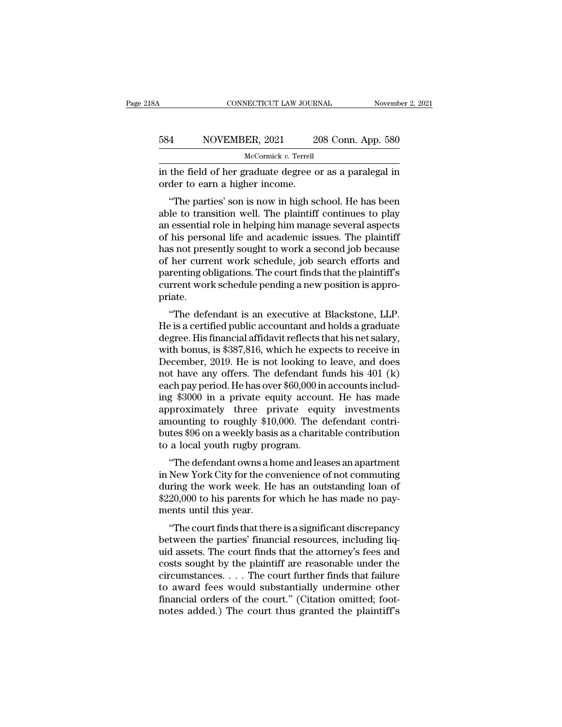### CONNECTICUT LAW JOURNAL November 2, 2021<br>584 NOVEMBER, 2021 208 Conn. App. 580<br>McCormick v. Terrell McCormick *v.* Terrell CONNECTICUT LAW JOURNAL November 2, 2021<br>584 NOVEMBER, 2021 208 Conn. App. 580<br>McCormick v. Terrell<br>in the field of her graduate degree or as a paralegal in<br>order to earn a higher income. 584 NOVEMBER, 2021 2<br>McCormick v. Terrell<br>in the field of her graduate degree of<br>order to earn a higher income.<br>"The parties' son is now in high so

<sup>4</sup> NOVEMBER, 2021 208 Conn. App. 580<br>  $\frac{M\text{c} \text{Gormick } v. \text{ Terrell}}{h\text{d}t\text{d}t\text{d}t\text{d}t\text{d}t\text{d}t\text{d}t\text{d}t\text{d}t\text{d}t\text{d}t}$ <br>
der to earn a higher income.<br>
"The parties' son is now in high school. He has been<br>
l 584 NOVEMBER, 2021 208 Conn. App. 580<br>  $\frac{\text{McComick } v. \text{ Terrell}}{\text{inc}(v)}$ <br>
in the field of her graduate degree or as a paralegal in<br>
order to earn a higher income.<br>
"The parties' son is now in high school. He has been<br>
able to tr McCormick  $v$ . Terrell<br>
in the field of her graduate degree or as a paralegal in<br>
order to earn a higher income.<br>
"The parties' son is now in high school. He has been<br>
able to transition well. The plaintiff continues to p in the field of her graduate degree or as a paralegal in<br>order to earn a higher income.<br>"The parties' son is now in high school. He has been<br>able to transition well. The plaintiff continues to play<br>an essential role in hel In the field of her graduate degree of as a paralegar in<br>order to earn a higher income.<br>"The parties' son is now in high school. He has been<br>able to transition well. The plaintiff continues to play<br>an essential role in hel of the parties' son is now in high school. He has been<br>able to transition well. The plaintiff continues to play<br>an essential role in helping him manage several aspects<br>of his personal life and academic issues. The plaintif "The parties' son is now in high school. He has been<br>able to transition well. The plaintiff continues to play<br>an essential role in helping him manage several aspects<br>of his personal life and academic issues. The plaintiff<br> able to transition well. The plaintiff continues to play<br>an essential role in helping him manage several aspects<br>of his personal life and academic issues. The plaintiff<br>has not presently sought to work a second job because priate. It is personal me and academic issues. The planting<br>
is not presently sought to work a second job because<br>
her current work schedule, job search efforts and<br>
renting obligations. The court finds that the plaintiff's<br>
rrent he is a certified with a second job because<br>of her current work schedule, job search efforts and<br>parenting obligations. The court finds that the plaintiff's<br>current work schedule pending a new position is appro-<br>priate.<br>"T

or her current work schedule, job search enots and<br>parenting obligations. The court finds that the plaintiff's<br>current work schedule pending a new position is appro-<br>priate.<br>"The defendant is an executive at Blackstone, LL parenting obigatoris. The court initial trade parameters current work schedule pending a new position is appropriate.<br>
"The defendant is an executive at Blackstone, LLP.<br>
He is a certified public accountant and holds a gra current work schedule pending a new position is appro-<br>priate.<br>"The defendant is an executive at Blackstone, LLP.<br>He is a certified public accountant and holds a graduate<br>degree. His financial affidavit reflects that his n "The defendant is an executive at Blackstone, LLP.<br>He is a certified public accountant and holds a graduate<br>degree. His financial affidavit reflects that his net salary,<br>with bonus, is \$387,816, which he expects to receiv "The defendant is an executive at Blackstone, LLP.<br>He is a certified public accountant and holds a graduate<br>degree. His financial affidavit reflects that his net salary,<br>with bonus, is \$387,816, which he expects to receiv He is a certified public accountant and holds a graduate<br>degree. His financial affidavit reflects that his net salary,<br>with bonus, is \$387,816, which he expects to receive in<br>December, 2019. He is not looking to leave, an degree. His financial affidavit reflects that his net salary,<br>with bonus, is \$387,816, which he expects to receive in<br>December, 2019. He is not looking to leave, and does<br>not have any offers. The defendant funds his 401 (k with bonus, is \$387,816, which he expects to receive in December, 2019. He is not looking to leave, and does not have any offers. The defendant funds his 401 (k) each pay period. He has over \$60,000 in accounts including \$ December, 2019. He is not looking to leave, and does<br>not have any offers. The defendant funds his 401 (k)<br>each pay period. He has over \$60,000 in accounts includ-<br>ing \$3000 in a private equity account. He has made<br>approxim not have any offers. The defendant if<br>each pay period. He has over \$60,000 in<br>ing \$3000 in a private equity accour<br>approximately three private equ<br>amounting to roughly \$10,000. The e<br>butes \$96 on a weekly basis as a charit En pay period. He has over <sub>200</sub>,000 in accounts included as \$3000 in a private equity account. He has made<br>proximately three private equity investments<br>nounting to roughly \$10,000. The defendant contri-<br>tes \$96 on a weekl ing \$5000 in a private equity account. He has made<br>approximately three private equity investments<br>amounting to roughly \$10,000. The defendant contri-<br>butes \$96 on a weekly basis as a charitable contribution<br>to a local yout

approximately tiffee private equity investments<br>amounting to roughly \$10,000. The defendant contri-<br>butes \$96 on a weekly basis as a charitable contribution<br>to a local youth rugby program.<br>"The defendant owns a home and le amounting to Toughly  $\psi$ 10,000. The defendant contribution<br>butes \$96 on a weekly basis as a charitable contribution<br>to a local youth rugby program.<br>"The defendant owns a home and leases an apartment<br>in New York City for butes you on a weekly basis<br>to a local youth rugby pro<br>"The defendant owns a he<br>in New York City for the co<br>during the work week. He<br>\$220,000 to his parents for<br>ments until this year.<br>"The court finds that ther "The defendant owns a home and leases an apartment<br>New York City for the convenience of not commuting<br>ring the work week. He has an outstanding loan of<br>20,000 to his parents for which he has made no pay-<br>ents until this ye The detendant owns a nome and leases an apartment<br>in New York City for the convenience of not commuting<br>during the work week. He has an outstanding loan of<br>\$220,000 to his parents for which he has made no pay-<br>ments until

In New Tork City for the convenience of not communing<br>during the work week. He has an outstanding loan of<br>\$220,000 to his parents for which he has made no pay-<br>ments until this year.<br>"The court finds that there is a signif during the work week. He has all outstanding foal of<br>\$220,000 to his parents for which he has made no pay-<br>ments until this year.<br>"The court finds that there is a significant discrepancy<br>between the parties' financial reso  $\psi$ 220,000 to his parents for which he has made no payments until this year.<br>
"The court finds that there is a significant discrepancy<br>
between the parties' financial resources, including liquid<br>
assets. The court finds "The court finds that there is a significant discrepancy<br>between the parties' financial resources, including liquid<br>assets. The court finds that the attorney's fees and<br>costs sought by the plaintiff are reasonable under t "The court finds that there is a significant discrepancy<br>between the parties' financial resources, including liq-<br>uid assets. The court finds that the attorney's fees and<br>costs sought by the plaintiff are reasonable under between the parties' financial resources, including liquid assets. The court finds that the attorney's fees and costs sought by the plaintiff are reasonable under the circumstances.  $\dots$  The court further finds that failu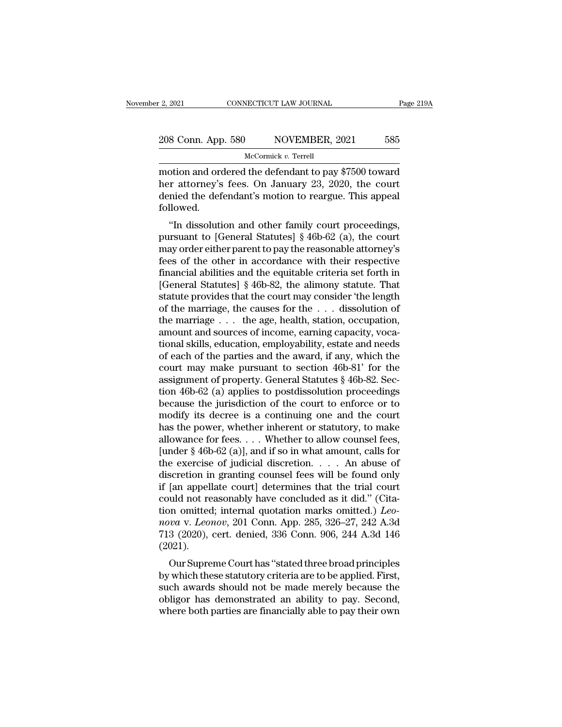# 2, 2021 CONNECTICUT LAW JOURNAL Page 219A<br>208 Conn. App. 580 NOVEMBER, 2021 585<br>McCormick v. Terrel

McCormick *v.* Terrell

2, 2021 CONNECTICUT LAW JOURNAL Page 219A<br>
208 Conn. App. 580 NOVEMBER, 2021 585<br>
McCormick v. Terrell<br>
motion and ordered the defendant to pay \$7500 toward<br>
her attorney's fees. On January 23, 2020, the court<br>
donied the 208 Conn. App. 580 NOVEMBER, 2021 585<br>
McCormick v. Terrell<br>
motion and ordered the defendant to pay \$7500 toward<br>
her attorney's fees. On January 23, 2020, the court<br>
denied the defendant's motion to reargue. This appeal 208 Conn. App. 580 NOVEMBER, 2021 585<br>
McCormick v. Terrell<br>
motion and ordered the defendant to pay \$7500 toward<br>
her attorney's fees. On January 23, 2020, the court<br>
denied the defendant's motion to reargue. This appeal followed. McCormick v. Terrell<br>
otion and ordered the defendant to pay \$7500 toward<br>
in attorney's fees. On January 23, 2020, the court<br>
initial the defendant's motion to reargue. This appeal<br>
llowed.<br>
"In dissolution and other fam motion and ordered the defendant to pay \$7500 toward<br>her attorney's fees. On January 23, 2020, the court<br>denied the defendant's motion to reargue. This appeal<br>followed.<br>"In dissolution and other family court proceedings,<br>p

motion and ordered the defendant to pay  $\ast$ 7500 toward<br>her attorney's fees. On January 23, 2020, the court<br>denied the defendant's motion to reargue. This appeal<br>followed.<br>"In dissolution and other family court proceeding feed the defendant's motion to reargue. This appeal<br>followed.<br>"In dissolution and other family court proceedings,<br>pursuant to [General Statutes]  $\S$  46b-62 (a), the court<br>may order either parent to pay the reasonable atto defined the defendant s motion to reargue. This appear<br>followed.<br>"In dissolution and other family court proceedings,<br>pursuant to [General Statutes] § 46b-62 (a), the court<br>may order either parent to pay the reasonable atto "In dissolution and other family court proceedings,<br>pursuant to [General Statutes]  $\S$  46b-62 (a), the court<br>may order either parent to pay the reasonable attorney's<br>fees of the other in accordance with their respective<br>f "In dissolution and other family court proceedings,<br>pursuant to [General Statutes]  $\S$  46b-62 (a), the court<br>may order either parent to pay the reasonable attorney's<br>fees of the other in accordance with their respective<br>f pursuant to [General Statutes] § 46b-62 (a), the court<br>may order either parent to pay the reasonable attorney's<br>fees of the other in accordance with their respective<br>financial abilities and the equitable criteria set forth may order either parent to pay the reasonable attorney's<br>fees of the other in accordance with their respective<br>financial abilities and the equitable criteria set forth in<br>[General Statutes] § 46b-82, the alimony statute. T fees of the other in accordance with their respective<br>financial abilities and the equitable criteria set forth in<br>[General Statutes]  $\S$  46b-82, the alimony statute. That<br>statute provides that the court may consider 'the financial abilities and the equitable criteria set forth in<br>[General Statutes] § 46b-82, the alimony statute. That<br>statute provides that the court may consider 'the length<br>of the marriage, the causes for the  $\dots$  dissolut [General Statutes] § 46b-82, the alimony statute. That<br>statute provides that the court may consider 'the length<br>of the marriage, the causes for the  $\ldots$  dissolution of<br>the marriage  $\ldots$  the age, health, station, occupat statute provides that the court may consider 'the length<br>of the marriage, the causes for the . . . dissolution of<br>the marriage . . . the age, health, station, occupation,<br>amount and sources of income, earning capacity, vo % of the marriage, the causes for the  $\ldots$  dissolution of the marriage  $\ldots$  the age, health, station, occupation, amount and sources of income, earning capacity, vocational skills, education, employability, estate and n the marriage  $\ldots$  the age, health, station, occupation,<br>amount and sources of income, earning capacity, voca-<br>tional skills, education, employability, estate and needs<br>of each of the parties and the award, if any, which amount and sources of income, earning capacity, vocational skills, education, employability, estate and needs<br>of each of the parties and the award, if any, which the<br>court may make pursuant to section 46b-81' for the<br>assig tional skills, education, employability, estate and needs<br>of each of the parties and the award, if any, which the<br>court may make pursuant to section 46b-81' for the<br>assignment of property. General Statutes § 46b-82. Sec-<br>t of each of the parties and the award, if any, which the<br>court may make pursuant to section 46b-81' for the<br>assignment of property. General Statutes § 46b-82. Sec-<br>tion 46b-62 (a) applies to postdissolution proceedings<br>bec court may make pursuant to section 46b-81' for the<br>assignment of property. General Statutes § 46b-82. Sec-<br>tion 46b-62 (a) applies to postdissolution proceedings<br>because the jurisdiction of the court to enforce or to<br>modif assignment of property. General Statutes § 46b-82. Section 46b-62 (a) applies to postdissolution proceedings<br>because the jurisdiction of the court to enforce or to<br>modify its decree is a continuing one and the court<br>has t tion 46b-62 (a) applies to postdissolution proceedings<br>because the jurisdiction of the court to enforce or to<br>modify its decree is a continuing one and the court<br>has the power, whether inherent or statutory, to make<br>allow because the jurisdiction of the court to enforce or to<br>modify its decree is a continuing one and the court<br>has the power, whether inherent or statutory, to make<br>allowance for fees.... Whether to allow counsel fees,<br>[under modify its decree is a continuing one and the court<br>has the power, whether inherent or statutory, to make<br>allowance for fees. . . . Whether to allow counsel fees,<br>[under § 46b-62 (a)], and if so in what amount, calls for<br> has the power, whether inherent or statutory, to make<br>allowance for fees.... Whether to allow counsel fees,<br>[under § 46b-62 (a)], and if so in what amount, calls for<br>the exercise of judicial discretion.... An abuse of<br>dis allowance for fees. . . . Whether to allow counsel fees,<br>[under § 46b-62 (a)], and if so in what amount, calls for<br>the exercise of judicial discretion. . . . An abuse of<br>discretion in granting counsel fees will be found on [under § 46b-62 (a)], and if so in what amount, calls for<br>the exercise of judicial discretion. . . . . An abuse of<br>discretion in granting counsel fees will be found only<br>if [an appellate court] determines that the trial co the exercise of judicial discretion. . . . An abuse of discretion in granting counsel fees will be found only if [an appellate court] determines that the trial court could not reasonably have concluded as it did." (Citati (2021). an appenate court] determines that the trial court<br>uld not reasonably have concluded as it did." (Cita-<br>on omitted; internal quotation marks omitted.)  $Leo$ -<br> $va$  v.  $Leonov$ , 201 Conn. App. 285, 326–27, 242 A.3d<br>3 (2020), cer by which these statutory criteria are to be applied.) Leonova v. Leonov, 201 Conn. App. 285, 326–27, 242 A.3d 713 (2020), cert. denied, 336 Conn. 906, 244 A.3d 146 (2021).<br>Our Supreme Court has "stated three broad princip

show a v. *Leonov*, 201 Conn. App. 285, 326–27, 242 A.3d<br>713 (2020), cert. denied, 336 Conn. 906, 244 A.3d 146<br>(2021).<br>Our Supreme Court has "stated three broad principles<br>by which these statutory criteria are to be applie  $n_{\text{total}}$  v. *Leonov*, 201 Collit. App. 269, 320–21, 242 A.5d 713 (2020), cert. denied, 336 Conn. 906, 244 A.3d 146 (2021).<br>Our Supreme Court has "stated three broad principles<br>by which these statutory criteria are to be F15 (2020), Cert. defiled, 350 Colifi. 900, 244 A.5d 140 (2021).<br>
Our Supreme Court has "stated three broad principles<br>
by which these statutory criteria are to be applied. First,<br>
such awards should not be made merely be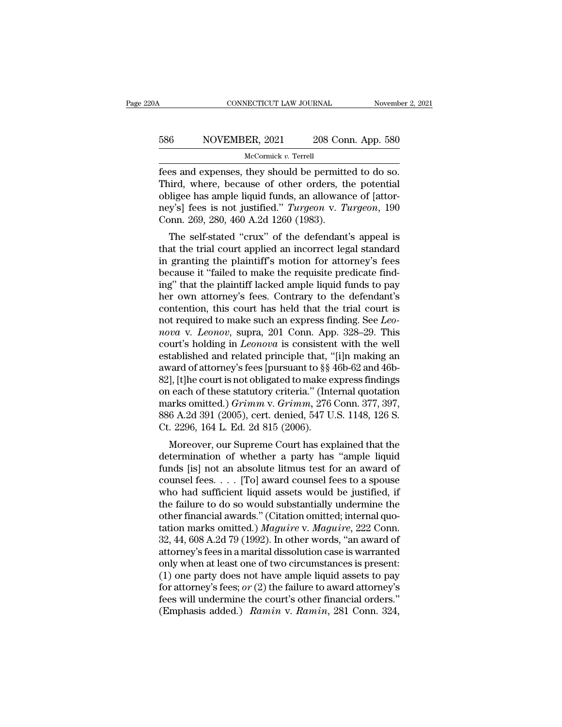# CONNECTICUT LAW JOURNAL November 2, 2021<br>586 NOVEMBER, 2021 208 Conn. App. 580<br>McCormick v. Terrell

McCormick *v.* Terrell

Fees and expenses, they should be permitted to do so.<br>Third, where, because of other orders, the potential<br>chigo has ample liquid funds an allowance of latter 586 NOVEMBER, 2021 208 Conn. App. 580<br>
McCormick v. Terrell<br>
These and expenses, they should be permitted to do so.<br>
Third, where, because of other orders, the potential<br>
obligee has ample liquid funds, an allowance of [a 586 NOVEMBER, 2021 208 Conn. App. 580<br>
McCormick v. Terrell<br>
fees and expenses, they should be permitted to do so.<br>
Third, where, because of other orders, the potential<br>
obligee has ample liquid funds, an allowance of [at NOVEMBER, 2021 208 Conn. App. 580<br>
McCormick v. Terrell<br>
fees and expenses, they should be permitted to do so.<br>
Third, where, because of other orders, the potential<br>
obligee has ample liquid funds, an allowance of [attor-<br> McCormick v. Terrell<br>
Fees and expenses, they should be permitted<br>
Third, where, because of other orders, the<br>
obligee has ample liquid funds, an allowancy's] fees is not justified." Turgeon v. To<br>
Conn. 269, 280, 460 A.2d es and expenses, they should be permitted to do so.<br>
iird, where, because of other orders, the potential<br>
iligee has ample liquid funds, an allowance of [attor-<br>
y's] fees is not justified." *Turgeon* v. *Turgeon*, 190<br>
po that the trial court applies the reduced by the trial obligee has ample liquid funds, an allowance of [attor-<br>ney's] fees is not justified." *Turgeon v. Turgeon*, 190<br>Conn. 269, 280, 460 A.2d 1260 (1983).<br>The self-stated "

Find, where, because of other orders, the potential<br>obligee has ample liquid funds, an allowance of [attor-<br>ney's] fees is not justified." *Turgeon* v. *Turgeon*, 190<br>Conn. 269, 280, 460 A.2d 1260 (1983).<br>The self-stated " bongee has ample inductured. Turgeon v. Turgeon, 190<br>Conn. 269, 280, 460 A.2d 1260 (1983).<br>The self-stated "crux" of the defendant's appeal is<br>that the trial court applied an incorrect legal standard<br>in granting the plaint ingles is not justined. Targeon v. Targeon, 150<br>Conn. 269, 280, 460 A.2d 1260 (1983).<br>The self-stated "crux" of the defendant's appeal is<br>that the trial court applied an incorrect legal standard<br>in granting the plaintiff's Conn. 209, 200, 400 A.2d 1200 (1905).<br>The self-stated "crux" of the defendant's appeal is<br>that the trial court applied an incorrect legal standard<br>in granting the plaintiff's motion for attorney's fees<br>because it "failed t The self-stated "crux" of the defendant's appeal is<br>that the trial court applied an incorrect legal standard<br>in granting the plaintiff's motion for attorney's fees<br>because it "failed to make the requisite predicate find-<br> that the trial court applied an incorrect legal standard<br>in granting the plaintiff's motion for attorney's fees<br>because it "failed to make the requisite predicate find-<br>ing" that the plaintiff lacked ample liquid funds to in granting the plaintiff's motion for attorney's fees<br>because it "failed to make the requisite predicate find-<br>ing" that the plaintiff lacked ample liquid funds to pay<br>her own attorney's fees. Contrary to the defendant's<br> because it "failed to make the requisite predicate find-<br>ing" that the plaintiff lacked ample liquid funds to pay<br>her own attorney's fees. Contrary to the defendant's<br>contention, this court has held that the trial court is ing" that the plaintiff lacked ample liquid funds to pay<br>her own attorney's fees. Contrary to the defendant's<br>contention, this court has held that the trial court is<br>not required to make such an express finding. See *Leo-<br>* her own attorney's fees. Contrary to the defendant's contention, this court has held that the trial court is not required to make such an express finding. See *Leonova* v. *Leonov*, supra, 201 Conn. App. 328–29. This court contention, this court has held that the trial court is<br>not required to make such an express finding. See *Leo-<br>nova* v. *Leonov*, supra, 201 Conn. App. 328–29. This<br>court's holding in *Leonova* is consistent with the wel not required to make such an express finding. See *Leonova* v. *Leonov*, supra, 201 Conn. App. 328–29. This court's holding in *Leonova* is consistent with the well established and related principle that, "[i]n making an mova v. *Leonov*, supra, 201 Conn. App. 328–29. This<br>court's holding in *Leonova* is consistent with the well<br>established and related principle that, "[i]n making an<br>award of attorney's fees [pursuant to §§ 46b-62 and 46bcourt's holding in *Leonova* is consistent with the well<br>established and related principle that, "[i]n making an<br>award of attorney's fees [pursuant to §§ 46b-62 and 46b-<br>82], [t]he court is not obligated to make express fi established and related principle that, "<br>award of attorney's fees [pursuant to §§ 4<br>82], [t]he court is not obligated to make e<br>on each of these statutory criteria." (Int<br>marks omitted.) *Grimm* v. *Grimm*, 276<br>886 A.2d 3 Let us a studing sees pursuant to sy 400-02 and 400-<br>
1, [t]he court is not obligated to make express findings<br>
1 each of these statutory criteria." (Internal quotation<br>
arks omitted.) *Grimm* v. *Grimm*, 276 Conn. 377, 3  $\alpha$ <sub>1</sub>, typie court is not obigated to make express intuities<br>on each of these statutory criteria." (Internal quotation<br>marks omitted.) *Grimm* v. *Grimm*, 276 Conn. 377, 397,<br>886 A.2d 391 (2005), cert. denied, 547 U.S.

on each of these statutory chiena. (Internal quotation<br>marks omitted.) *Grimm v. Grimm*, 276 Conn. 377, 397,<br>886 A.2d 391 (2005), cert. denied, 547 U.S. 1148, 126 S.<br>Ct. 2296, 164 L. Ed. 2d 815 (2006).<br>Moreover, our Supre marks omnted.) Grimm v. Grimm, 210 Conn. 311, 331, 886 A.2d 391 (2005), cert. denied, 547 U.S. 1148, 126 S.<br>Ct. 2296, 164 L. Ed. 2d 815 (2006).<br>Moreover, our Supreme Court has explained that the<br>determination of whether a  $\alpha$  had sufficient liquid assets would be justified, if the failure to do so would substantially undermined that the determination of whether a party has "ample liquid funds [is] not an absolute litmus test for an award U. 2250, 104 L. Ed. 2d 815 (2000).<br>
Moreover, our Supreme Court has explained that the<br>
determination of whether a party has "ample liquid<br>
funds [is] not an absolute litmus test for an award of<br>
counsel fees.... [To] awa Moreover, our Supreme Court has explained that the<br>determination of whether a party has "ample liquid<br>funds [is] not an absolute litmus test for an award of<br>counsel fees.... [To] award counsel fees to a spouse<br>who had suf determination of whether a party has "ample liquid<br>funds [is] not an absolute litmus test for an award of<br>counsel fees. . . . [To] award counsel fees to a spouse<br>who had sufficient liquid assets would be justified, if<br>the funds [is] not an absolute litmus test for an award of<br>counsel fees. . . . [To] award counsel fees to a spouse<br>who had sufficient liquid assets would be justified, if<br>the failure to do so would substantially undermine the counsel fees. . . . [To] award counsel fees to a spouse<br>who had sufficient liquid assets would be justified, if<br>the failure to do so would substantially undermine the<br>other financial awards." (Citation omitted; internal q who had sufficient liquid assets would be justified, if<br>the failure to do so would substantially undermine the<br>other financial awards." (Citation omitted; internal quo-<br>tation marks omitted.) *Maguire* v. *Maguire*, 222 C the failure to do so would substantially undermine the<br>other financial awards." (Citation omitted; internal quo-<br>tation marks omitted.) *Maguire* v. *Maguire*, 222 Conn.<br>32, 44, 608 A.2d 79 (1992). In other words, "an awa other financial awards." (Citation omitted; internal quotation marks omitted.) *Maguire* v. *Maguire*, 222 Conn.<br>32, 44, 608 A.2d 79 (1992). In other words, "an award of<br>attorney's fees in a marital dissolution case is war tation marks omitted.) *Maguire* v. *Maguire*, 222 Conn.<br>32, 44, 608 A.2d 79 (1992). In other words, "an award of<br>attorney's fees in a marital dissolution case is warranted<br>only when at least one of two circumstances is p 32, 44, 608 A.2d 79 (1992). In other words, "an award of attorney's fees in a marital dissolution case is warranted only when at least one of two circumstances is present: (1) one party does not have ample liquid assets to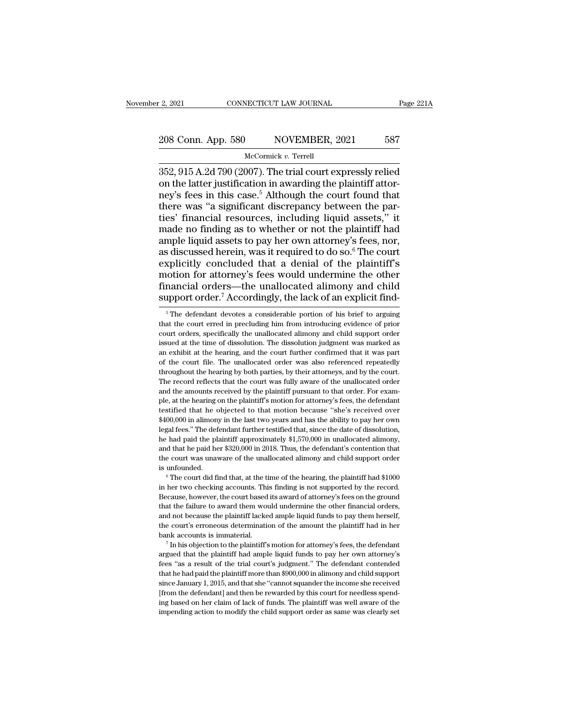# 2, 2021 CONNECTICUT LAW JOURNAL Page 221A<br>208 Conn. App. 580 NOVEMBER, 2021 587<br>McCormick v. Terrel

### McCormick *v.* Terrell

2, 2021 CONNECTICUT LAW JOURNAL Page 221A<br>
208 Conn. App. 580 NOVEMBER, 2021 587<br>
McCormick v. Terrell<br>
352, 915 A.2d 790 (2007). The trial court expressly relied<br>
on the latter justification in awarding the plaintiff atto 208 Conn. App. 580 NOVEMBER, 2021 587<br>
McCormick v. Terrell<br>
352, 915 A.2d 790 (2007). The trial court expressly relied<br>
on the latter justification in awarding the plaintiff attor-<br>
ney's fees in this case.<sup>5</sup> Although t 208 Conn. App. 580 NOVEMBER, 2021 587<br>
McCormick v. Terrell<br>
352, 915 A.2d 790 (2007). The trial court expressly relied<br>
on the latter justification in awarding the plaintiff attor-<br>
ney's fees in this case.<sup>5</sup> Although t 208 Conn. App. 580 NOVEMBER, 2021 587<br>
McCormick v. Terrell<br>
352, 915 A.2d 790 (2007). The trial court expressly relied<br>
on the latter justification in awarding the plaintiff attor-<br>
ney's fees in this case.<sup>5</sup> Although t  $\frac{\text{Mcormick } v. \text{ Terrell}}{\text{St352, 915 A.2d 790 (2007).} \text{ The trial court expressly relied on the latter justification in awarding the plaintiff attorney's fees in this case.<sup>5</sup> Although the court found that there was "a significant discrepancy between the parties' financial resources, including liquid assets," it made no finding as to whether or not the plaintiff had ample liquid assets to pay her own attractre's fees.$ McCormick v. Terrell<br>
352, 915 A.2d 790 (2007). The trial court expressly relied<br>
on the latter justification in awarding the plaintiff attor-<br>
ney's fees in this case.<sup>5</sup> Although the court found that<br>
there was "a signi 352, 915 A.2d 790 (2007). The trial court expressly relied<br>on the latter justification in awarding the plaintiff attor-<br>ney's fees in this case.<sup>5</sup> Although the court found that<br>there was "a significant discrepancy betwee as discussed herein, was it required to do so.<sup>6</sup> The court found that<br>there was "a significant discrepancy between the par-<br>ties' financial resources, including liquid assets," it<br>made no finding as to whether or not the ney's fees in this case.<sup>5</sup> Although the court found that<br>there was "a significant discrepancy between the par-<br>ties' financial resources, including liquid assets," it<br>made no finding as to whether or not the plaintiff had there was "a significant discrepancy between the parties' financial resources, including liquid assets," it made no finding as to whether or not the plaintiff had ample liquid assets to pay her own attorney's fees, nor, a ties' financial resources, including liquid assets," it<br>made no finding as to whether or not the plaintiff had<br>ample liquid assets to pay her own attorney's fees, nor,<br>as discussed herein, was it required to do so.<sup>6</sup> The made no finding as to whether or not the plaintiff had ample liquid assets to pay her own attorney's fees, nor, as discussed herein, was it required to do so.<sup>6</sup> The court explicitly concluded that a denial of the plainti xplicitly concluded that a denial of the plaintiff's<br>notion for attorney's fees would undermine the other<br>nancial orders—the unallocated alimony and child<br>upport order.<sup>7</sup> Accordingly, the lack of an explicit find-<br><sup>5</sup>The motion for attorney's fees would undermine the other<br>financial orders—the unallocated alimony and child<br>support order.<sup>7</sup> Accordingly, the lack of an explicit find-<br><sup>5</sup> The defendant devotes a considerable portion of his b

Financial orders—the unallocated alimony and child<br>support order.<sup>7</sup> Accordingly, the lack of an explicit find-<br><sup>5</sup> The defendant devotes a considerable portion of his brief to arguing<br>that the court erred in precluding hi support order.<sup>7</sup> Accordingly, the lack of an explicit find-<br><sup>5</sup> The defendant devotes a considerable portion of his brief to arguing<br>that the court erred in precluding him from introducing evidence of prior<br>court orders, support order. Accordingly, the lack of all explicit fild-<br>  $\frac{1}{2}$   $\frac{1}{2}$   $\frac{1}{2}$   $\frac{1}{2}$   $\frac{1}{2}$   $\frac{1}{2}$   $\frac{1}{2}$   $\frac{1}{2}$   $\frac{1}{2}$   $\frac{1}{2}$   $\frac{1}{2}$   $\frac{1}{2}$   $\frac{1}{2}$   $\frac{1}{2}$   $\frac{1}{2}$   $\frac{1}{2}$   $\overline{\phantom{a}}$  is The defendant devotes a considerable portion of his brief to arguing that the court erred in precluding him from introducing evidence of prior court orders, specifically the unallocated alimony and child su that the court erred in precluding him from introducing evidence of prior court orders, specifically the unallocated alimony and child support order issued at the time of dissolution. The dissolution judgment was marked as court orders, specifically the unallocated alimony and child support order court orders, specifically the unallocated alimony and child support order issued at the time of dissolution. The dissolution judgment was marked a court orders, specifically the unallocated alimony and child support order issued at the time of dissolution. The dissolution judgment was marked as an exhibit at the hearing, and the court further confirmed that it was pa an exhibit at the hearing, and the court further confirmed that it was part of the court file. The unallocated order was also referenced repeatedly throughout the hearing by both parties, by their attorneys, and by the cou of the court file. The unallocated order was also referenced repeatedly throughout the hearing by both parties, by their attorneys, and by the court. The record reflects that the court was fully aware of the unallocated or <sup>24</sup> throughout the hearing by both parties, by their attorneys, and by the court.<br>The record reflects that the court was fully aware of the unallocated order<br>and the amounts received by the plaintiff pursuant to that orde The record reflects that the court was fully aware of the unallocated order<br>The record reflects that the court was fully aware of the unallocated order<br>and the amounts received by the plaintiff pursuant to that order. For and the amounts received by the plaintiff pursuant to that order. For example, at the hearing on the plaintiff's motion for attorney's fees, the defendant testified that he objected to that motion because "she's received o ple, at the hearing on the plaintiff's motion for attorney's fees, the defendant testified that he objected to that motion because "she's received over \$400,000 in alimony in the last two years and has the ability to pay h testified that he objected to that motion because "she's received over \$400,000 in alimony in the last two years and has the ability to pay her own legal fees." The defendant further testified that, since the date of disso  $*400,000$  in alimony in the last two years and has the ability to pay her own legal fees." The defendant further testified that, since the date of dissolution, he had paid the plaintiff approximately  $\$1,570,000$  in unal in her had paid the plaintiff approximately \$1,570,000 in unallocated alimony, and that he paid her \$320,000 in 2018. Thus, the defendant's contention that the court was unaware of the unallocated alimony and child support

and that he paid her \$320,000 in 2018. Thus, the defendant's contention that the court was unaware of the unallocated alimony and child support order is unfounded.<br>
<sup>6</sup> The court did find that, at the time of the hearing, the court was unavare of the unallocated alimony and child support order<br>is unfounded.<br><sup>6</sup> The court did find that, at the time of the hearing, the plaintiff had \$1000<br>in her two checking accounts. This finding is not supp and not because the and not be caused a minory and only of the plaintiff had \$1000<br>
in her two checking accounts. This finding is not supported by the record.<br>
Because, however, the court based its award of attorney's fees <sup>6</sup> The court did find that, at the time of the hearing, the plaintiff had \$1000 in her two checking accounts. This finding is not supported by the record. Because, however, the court based its award of attorney's fees on bank accounts. This finding is not supported by the record.<br>Because, however, the court based its award of attorney's fees on the ground<br>that the failure to award them would undermine the other financial orders,<br>and not be argued that the plaintiff had ample liquid funds to pay them herself, and not because the plaintiff lacked ample liquid funds to pay them herself, the court's erroneous determination of the amount the plaintiff had in her

and not because the plaintiff lacked ample liquid funds to pay them herself, the court's erroneous determination of the amount the plaintiff had in her bank accounts is immaterial.<br><sup>7</sup> In his objection to the plaintiff's m the court's erroneous determination of the amount the plaintiff had in her<br>bank accounts is immaterial.<br><sup>7</sup> In his objection to the plaintiff's motion for attorney's fees, the defendant<br>argued that the plaintiff had ample show a bank accounts is immaterial.<br>
<sup>7</sup> In his objection to the plaintiff's motion for attorney's fees, the defendant<br>
argued that the plaintiff had ample liquid funds to pay her own attorney's<br>
fees "as a result of the t argued that the plaintiff had ample liquid funds to pay her own attorney's<br>fees "as a result of the trial court's judgment." The defendant contended<br>that he had paid the plaintiff more than \$900,000 in alimony and child su argued that the plaintiff had ample liquid funds to pay her own attorney's<br>fees "as a result of the trial court's judgment." The defendant contended<br>that he had paid the plaintiff more than \$900,000 in alimony and child su fees "as a result of the trial court's judgment." The defendant contended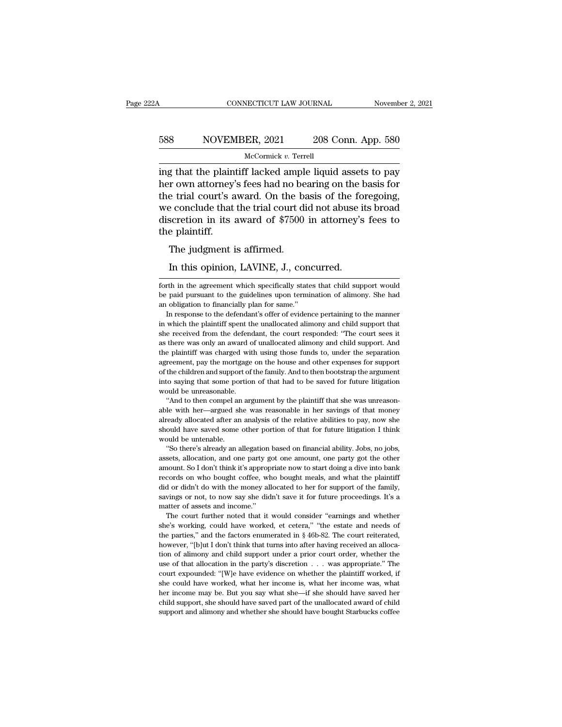## CONNECTICUT LAW JOURNAL November 2, 2021<br>588 NOVEMBER, 2021 208 Conn. App. 580<br>McCormick v. Terrell McCormick *v.* Terrell

CONNECTICUT LAW JOURNAL November 2, 2021<br>
S88 NOVEMBER, 2021 208 Conn. App. 580<br>
McCormick v. Terrell<br>
ing that the plaintiff lacked ample liquid assets to pay<br>
her own attorney's fees had no bearing on the basis for<br>
the her own attorney's fees had no bearing on the basis for<br>the trial court's award. On the basis of the foregoing,<br>the trial court's award. On the basis of the foregoing,<br>we conclude that the trial court did not abuse its bro 588 NOVEMBER, 2021 208 Conn. App. 580<br>
McCormick v. Terrell<br>
ing that the plaintiff lacked ample liquid assets to pay<br>
her own attorney's fees had no bearing on the basis for<br>
the trial court's award. On the basis of the 588 NOVEMBER, 2021 208 Conn. App. 580<br>
McCormick v. Terrell<br>
ing that the plaintiff lacked ample liquid assets to pay<br>
her own attorney's fees had no bearing on the basis for<br>
the trial court's award. On the basis of the McCormick v. Terrell<br>ing that the plaintiff lacked ample liquid assets to pay<br>her own attorney's fees had no bearing on the basis for<br>the trial court's award. On the basis of the foregoing,<br>we conclude that the trial cour ing that the plain<br>her own attorney'<br>the trial court's a<br>we conclude that<br>discretion in its<br>the plaintiff.<br>The judgment i g that the plantificated amplement of the set of the beam of the beam of the beam of the secondule that the trial court discretion in its award of \$7500 e plaintiff.<br>The judgment is affirmed.<br>In this opinion, LAVINE, J., c Exercise trial court's award. On the basis of the formed that the trial court did not abuse if<br>scretion in its award of \$7500 in attorney's<br>e plaintiff.<br>The judgment is affirmed.<br>In this opinion, LAVINE, J., concurred.<br>th

forth in this opinion, LAVINE, J., concurred.<br>In this opinion, LAVINE, J., concurred.<br>forth in the agreement which specifically states that child support would<br>be paid pursuant to the guidelines upon termination of alimony The judgment is affirmed.<br>In this opinion, LAVINE, J., concurred.<br>forth in the agreement which specifically states that child support would<br>be paid pursuant to the guidelines upon termination of alimony. She had<br>an obligat The judgment is affirmed.<br>
In this opinion, LAVINE, J., concurred.<br>
forth in the agreement which specifically states that child support would<br>
be paid pursuant to the guidelines upon termination of alimony. She had<br>
an obl In this opinion, LAVINE, J., concurred.<br>
The in the agreement which specifically states that child support would<br>
paid pursuant to the guidelines upon termination of alimony. She had<br>
obligation to financially plan for sam

In this optimon, LAVINE, J., Concurred.<br>
forth in the agreement which specifically states that child support would<br>
be paid pursuant to the guidelines upon termination of alimony. She had<br>
an obligation to financially plan forth in the agreement which specifically states that child support would<br>be paid pursuant to the guidelines upon termination of alimony. She had<br>an obligation to financially plan for same."<br>In response to the defendant's be paid pursuant to the guidelines upon termination of alimony. She had an obligation to financially plan for same."<br>In response to the defendant's offer of evidence pertaining to the manner in which the plaintiff spent th an obligation to financially plan for same."<br>In response to the defendant's offer of evidence pertaining to the manner<br>in which the plaintiff spent the unallocated alimony and child support that<br>she received from the defen In response to the defendant's offer of evidence pertaining to the manner<br>in which the plaintiff spent the unallocated alimony and child support that<br>she received from the defendant, the court responded: "The court sees it in which the plaintiff spent the unallocated alimony and child support that she received from the defendant, the court responded: "The court sees it as there was only an award of unallocated alimony and child support. And into saying that some portion of that had to be saved for future significant some portion of the plaintiff was charged with using those funds to, under the separation agreement, pay the mortgage on the house and other expe she received from the defendant, the court responded: "The court sees it as there was only an award of unallocated alimony and child support. And the plaintiff was charged with using those funds to, under the separation ag the plaintiff was charged with using those funds to, under the separation agreement, pay the mortgage on the house and other expenses for support of the children and support of the family. And to then bootstrap the argumen able with her—argued she was reasonable in her savings and other expenses for support of the children and support of the family. And to then bootstrap the argument into saying that some portion of that had to be saved for

already allocated after an analysis of the relative abilities to pay and support of the children and support of the family. And to then bootstrap the argument into saying that some portion of that had to be saved for futur into saying that some portion of that had to be saved for future litigation would be unreasonable. <br>
"And to then compel an argument by the plaintiff that she was unreason-<br>
able with her—argued she was reasonable in her s would be unreasonable.<br>
"And to then compel an<br>
able with her—argued sharedy allocated after an<br>
should have saved some<br>
would be untenable.<br>
"So there's already an a "And to then compel an argument by the plaintiff that she was unreason-<br>le with her—argued she was reasonable in her savings of that money<br>ready allocated after an analysis of the relative abilities to pay, now she<br>ould ha able with her—argued she was reasonable in her savings of that money<br>already allocated after an analysis of the relative abilities to pay, now she<br>should have saved some other portion of that for future litigation I think<br>

already allocated after an analysis of the relative abilities to pay, now she<br>should have saved some other portion of that for future litigation I think<br>would be untenable.<br>"So there's already an allegation based on financ should have saved some other portion of that for future litigation I think<br>would be untenable.<br>"So there's already an allegation based on financial ability. Jobs, no jobs,<br>assets, allocation, and one party got one amount, about dide untenable.<br>
"So there's already an allegation based on financial ability. Jobs, no jobs,<br>
assets, allocation, and one party got one amount, one party got the other<br>
amount. So I don't think it's appropriate now "So there's already an allegation based on financial ability. Jobs, no jobs, assets, allocation, and one party got one amount, one party got the other amount. So I don't think it's appropriate now to start doing a dive int assets, allocation, and one party g<br>assets, allocation, and one party g<br>amount. So I don't think it's approprecords on who bought coffee, which<br>did or didn't do with the money al<br>savings or not, to now say she did<br>matter o Social Court. So I don't think it's appropriate now to start doing a dive into bank<br>cords on who bought coffee, who bought meals, and what the plaintiff<br>d or didn't do with the money allocated to her for support of the fam encords on who bought coffee, who bought meals, and what the plaintiff<br>did or didn't do with the money allocated to her for support of the family,<br>savings or not, to now say she didn't save it for future proceedings. It's

did or didn't do with the money allocated to her for support of the family, savings or not, to now say she didn't save it for future proceedings. It's a matter of assets and income."<br>The court further noted that it would savings or not, to now say she didn't save it for future proceedings. It's a matter of assets and income."<br>The court further noted that it would consider "earnings and whether she's working, could have worked, et cetera," matter of assets and income."<br>The court further noted that it would consider "earnings and whether she's working, could have worked, et cetera," "the estate and needs of the parties," and the factors enumerated in § 46b-82 The court further noted that it would consider "earnings and whether<br>she's working, could have worked, et cetera," "the estate and needs of<br>the parties," and the factors enumerated in § 46b-82. The court reiterated,<br>howev she's working, could have worked, et cetera," "the estate and needs of the parties," and the factors enumerated in § 46b-82. The court reiterated, however, "[b]ut I don't think that turns into after having received an all the parties," and the factors enumerated in  $\S$  46b-82. The court reiterated, however, "[b]ut I don't think that turns into after having received an allocation of alimony and child support under a prior court order, wheth however, "[b]ut I don't think that turns into after having received an allocation of alimony and child support under a prior court order, whether the use of that allocation in the party's discretion  $\ldots$  was appropriate. tion of alimony and child support under a prior court order, whether the use of that allocation in the party's discretion  $\ldots$  was appropriate." The court expounded: "[W]e have evidence on whether the plaintiff worked, i use of that allocation in the party's discretion . . . was appropriate." The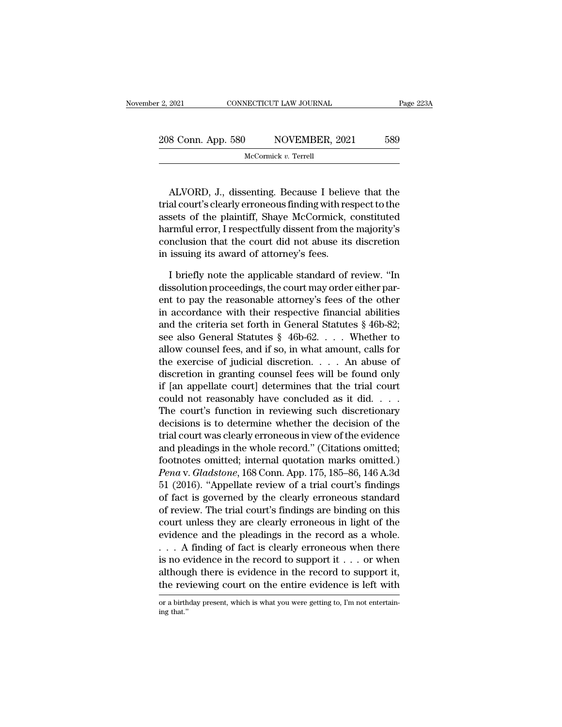| er 2, 2021<br>CONNECTICUT LAW JOURNAL |  | Page 223A               |     |
|---------------------------------------|--|-------------------------|-----|
| 208 Conn. App. 580                    |  | NOVEMBER, 2021          | 589 |
|                                       |  | McCormick $v$ . Terrell |     |

 $\begin{array}{r} \text{8 Conn. App. 580} \begin{array}{r} \text{NOVEMBER, 2021} \end{array} \begin{array}{r} \text{589} \ \text{McCormick } v. \text{ Terrell} \end{array} \end{array}$ <br>ALVORD, J., dissenting. Because I believe that the al court's clearly erroneous finding with respect to the sets of the plaintiff. S 208 Conn. App. 580 NOVEMBER, 2021 589<br>
McCormick v. Terrell<br>
ALVORD, J., dissenting. Because I believe that the<br>
trial court's clearly erroneous finding with respect to the<br>
assets of the plaintiff, Shaye McCormick, const 208 COIII. App. 380 NOVEMBER, 2021 389<br>McCormick v. Terrell<br>ALVORD, J., dissenting. Because I believe that the<br>trial court's clearly erroneous finding with respect to the<br>assets of the plaintiff, Shaye McCormick, constitu McCormick v. Terrell<br>
ALVORD, J., dissenting. Because I believe that the<br>
trial court's clearly erroneous finding with respect to the<br>
assets of the plaintiff, Shaye McCormick, constituted<br>
harmful error, I respectfully di ALVORD, J., dissenting. Because I believe that the trial court's clearly erroneous finding with respect to the assets of the plaintiff, Shaye McCormick, constituted harmful error, I respectfully dissent from the majority's ALVORD, J., dissenting. Because I believarial court's clearly erroneous finding with reassets of the plaintiff, Shaye McCormick, charmful error, I respectfully dissent from the conclusion that the court did not abuse its i al court's clearly erroneous finding with respect to the<br>sets of the plaintiff, Shaye McCormick, constituted<br>rmful error, I respectfully dissent from the majority's<br>nclusion that the court did not abuse its discretion<br>issu assets of the plaintiff, Shaye McCormick, constituted<br>harmful error, I respectfully dissent from the majority's<br>conclusion that the court did not abuse its discretion<br>in issuing its award of attorney's fees.<br>I briefly note

harmful error, I respectfully dissent from the majority's<br>conclusion that the court did not abuse its discretion<br>in issuing its award of attorney's fees.<br>I briefly note the applicable standard of review. "In<br>dissolution pr conclusion that the court did not abuse its discretion<br>in issuing its award of attorney's fees.<br>I briefly note the applicable standard of review. "In<br>dissolution proceedings, the court may order either par-<br>ent to pay the in issuing its award of attorney's fees.<br>
I briefly note the applicable standard of review. "In<br>
dissolution proceedings, the court may order either par-<br>
ent to pay the reasonable attorney's fees of the other<br>
in accorda I briefly note the applicable standard of review. "In<br>dissolution proceedings, the court may order either par-<br>ent to pay the reasonable attorney's fees of the other<br>in accordance with their respective financial abilities I briefly note the applicable standard of review. "In<br>dissolution proceedings, the court may order either par-<br>ent to pay the reasonable attorney's fees of the other<br>in accordance with their respective financial abilities dissolution proceedings, the court may order either parent to pay the reasonable attorney's fees of the other<br>in accordance with their respective financial abilities<br>and the criteria set forth in General Statutes § 46b-82 ent to pay the reasonable attorney's fees of the other<br>in accordance with their respective financial abilities<br>and the criteria set forth in General Statutes § 46b-82;<br>see also General Statutes § 46b-62. . . . Whether to<br> in accordance with their respective financial abilities<br>and the criteria set forth in General Statutes § 46b-82;<br>see also General Statutes § 46b-62. . . . Whether to<br>allow counsel fees, and if so, in what amount, calls fo and the criteria set forth in General Statutes § 46b-82;<br>see also General Statutes § 46b-62. . . . Whether to<br>allow counsel fees, and if so, in what amount, calls for<br>the exercise of judicial discretion. . . . An abuse of see also General Statutes  $\S$  46b-62.... Whether to<br>allow counsel fees, and if so, in what amount, calls for<br>the exercise of judicial discretion.... An abuse of<br>discretion in granting counsel fees will be found only<br>if [a allow counsel fees, and if so, in what amount, calls for<br>the exercise of judicial discretion. . . . An abuse of<br>discretion in granting counsel fees will be found only<br>if [an appellate court] determines that the trial cour the exercise of judicial discretion. . . . . An abuse of discretion in granting counsel fees will be found only if [an appellate court] determines that the trial court could not reasonably have concluded as it did. . . . discretion in granting counsel fees will be found only<br>if [an appellate court] determines that the trial court<br>could not reasonably have concluded as it did. . . .<br>The court's function in reviewing such discretionary<br>deci if [an appellate court] determines that the trial court<br>could not reasonably have concluded as it did. . . . .<br>The court's function in reviewing such discretionary<br>decisions is to determine whether the decision of the<br>tri could not reasonably have concluded as it did. . . . .<br>The court's function in reviewing such discretionary<br>decisions is to determine whether the decision of the<br>trial court was clearly erroneous in view of the evidence<br>an The court's function in reviewing such discretionary<br>decisions is to determine whether the decision of the<br>trial court was clearly erroneous in view of the evidence<br>and pleadings in the whole record." (Citations omitted;<br>f decisions is to determine whether the decision of the<br>trial court was clearly erroneous in view of the evidence<br>and pleadings in the whole record." (Citations omitted;<br>footnotes omitted; internal quotation marks omitted.)<br> trial court was clearly erroneous in view of the evidence<br>and pleadings in the whole record." (Citations omitted;<br>footnotes omitted; internal quotation marks omitted.)<br>*Pena* v. *Gladstone*, 168 Conn. App. 175, 185–86, 146 and pleadings in the whole record." (Citations omitted;<br>footnotes omitted; internal quotation marks omitted.)<br>*Pena* v. *Gladstone*, 168 Conn. App. 175, 185–86, 146 A.3d<br>51 (2016). "Appellate review of a trial court's find footnotes omitted; internal quotation marks omitted.)<br> *Pena* v. *Gladstone*, 168 Conn. App. 175, 185–86, 146 A.3d<br>
51 (2016). "Appellate review of a trial court's findings<br>
of fact is governed by the clearly erroneous st Pena v. Gladstone, 168 Conn. App. 175, 185–86, 146 A.3d<br>51 (2016). "Appellate review of a trial court's findings<br>of fact is governed by the clearly erroneous standard<br>of review. The trial court's findings are binding on t 51 (2016). "Appellate review of a trial court's findings<br>of fact is governed by the clearly erroneous standard<br>of review. The trial court's findings are binding on this<br>court unless they are clearly erroneous in light of of fact is governed by the clearly erroneous standard<br>of review. The trial court's findings are binding on this<br>court unless they are clearly erroneous in light of the<br>evidence and the pleadings in the record as a whole.<br> of review. The trial court's indings are binding on this<br>court unless they are clearly erroneous in light of the<br>evidence and the pleadings in the record as a whole.<br> $\ldots$  A finding of fact is clearly erroneous when there ... A finding of fact is clearly erroneous when there is no evidence in the record to support it ... or when although there is evidence in the record to support it, the reviewing court on the entire evidence is left with the reviewing court on the entire evidence is left with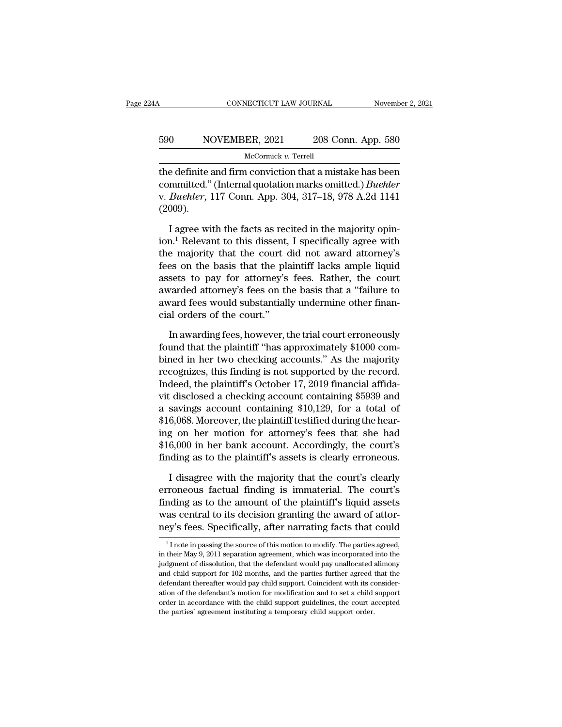## CONNECTICUT LAW JOURNAL November 2, 2021<br>590 NOVEMBER, 2021 208 Conn. App. 580<br>McCormick v. Terrell McCormick *v.* Terrell

CONNECTICUT LAW JOURNAL November 2, 2021<br>
S90 NOVEMBER, 2021 208 Conn. App. 580<br>
McCormick v. Terrell<br>
the definite and firm conviction that a mistake has been<br>
committed." (Internal quotation marks omitted.) *Buehler*<br>
w. S90 NOVEMBER, 2021 208 Conn. App. 580<br>McCormick v. Terrell<br>the definite and firm conviction that a mistake has been<br>committed.'' (Internal quotation marks omitted.) *Buehler*<br>v. *Buehler*, 117 Conn. App. 304, 317–18, 978 A v. *Buehler, 2021* 208 Conn. App. 580<br>
<u>McCormick v. Terrell</u><br>
the definite and firm conviction that a mistake has been<br>
committed." (Internal quotation marks omitted.) *Buehler*<br>
v. *Buehler*, 117 Conn. App. 304, 317–18, (2009). McCormick v. Terrell<br>
a definite and firm conviction that a mistake has been<br>
mmitted." (Internal quotation marks omitted.) *Buehler*<br> *Buehler*, 117 Conn. App. 304, 317–18, 978 A.2d 1141<br>
1009).<br>
I agree with the facts as the definite and firm conviction that a mistake has been<br>committed." (Internal quotation marks omitted.) *Buehler*<br>v. *Buehler*, 117 Conn. App. 304, 317–18, 978 A.2d 1141<br>(2009).<br>I agree with the facts as recited in the ma

committed." (Internal quotation marks omitted.) *Buehler*<br>v. *Buehler*, 117 Conn. App. 304, 317–18, 978 A.2d 1141<br>(2009).<br>I agree with the facts as recited in the majority opin-<br>ion.<sup>1</sup> Relevant to this dissent, I specific v. *Buehler*, 117 Conn. App. 304, 317–18, 978 A.2d 1141 (2009).<br>
I agree with the facts as recited in the majority opin-<br>
ion.<sup>1</sup> Relevant to this dissent, I specifically agree with<br>
the majority that the court did not awa (2009).<br>
I agree with the facts as recited in the majority opinion.<sup>1</sup> Relevant to this dissent, I specifically agree with<br>
the majority that the court did not award attorney's<br>
fees on the basis that the plaintiff lacks I agree with the facts as recited in the majority opinion.<sup>1</sup> Relevant to this dissent, I specifically agree with the majority that the court did not award attorney's fees on the basis that the plaintiff lacks ample liqui I agree with the facts as recited in the majority opinion.<sup>1</sup> Relevant to this dissent, I specifically agree with the majority that the court did not award attorney's fees on the basis that the plaintiff lacks ample liquid ion.' Relevant to this dissent,<br>the majority that the court of<br>fees on the basis that the pla<br>assets to pay for attorney's<br>awarded attorney's fees on th<br>award fees would substantiall<br>cial orders of the court.''<br>In awarding is on the basis that the plaintiff lacks ample liquid<br>sets to pay for attorney's fees. Rather, the court<br>varded attorney's fees on the basis that a "failure to<br>vard fees would substantially undermine other finan-<br>al orders assets to pay for attorney's fees. Rather, the court<br>awarded attorney's fees on the basis that a "failure to<br>award fees would substantially undermine other finan-<br>cial orders of the court."<br>In awarding fees, however, the t

awarded attorney's fees on the basis that a "failure to<br>award fees would substantially undermine other finan-<br>cial orders of the court."<br>In awarding fees, however, the trial court erroneously<br>found that the plaintiff "has award fees would substantially undermine other financial orders of the court."<br>In awarding fees, however, the trial court erroneously<br>found that the plaintiff "has approximately \$1000 com-<br>bined in her two checking account cial orders of the court."<br>In awarding fees, however, the trial court erroneously<br>found that the plaintiff "has approximately \$1000 com-<br>bined in her two checking accounts." As the majority<br>recognizes, this finding is not In awarding fees, however, the trial court erroneously<br>found that the plaintiff "has approximately \$1000 com-<br>bined in her two checking accounts." As the majority<br>recognizes, this finding is not supported by the record.<br>In In awarding fees, however, the trial court erroneously<br>found that the plaintiff "has approximately \$1000 com-<br>bined in her two checking accounts." As the majority<br>recognizes, this finding is not supported by the record.<br>In found that the plaintiff "has approximately \$1000 com-<br>bined in her two checking accounts." As the majority<br>recognizes, this finding is not supported by the record.<br>Indeed, the plaintiff's October 17, 2019 financial affida bined in her two checking accounts." As the majority<br>recognizes, this finding is not supported by the record.<br>Indeed, the plaintiff's October 17, 2019 financial affida-<br>vit disclosed a checking account containing \$5939 and recognizes, this finding is not supported by the record.<br>Indeed, the plaintiff's October 17, 2019 financial affida-<br>vit disclosed a checking account containing \$5939 and<br>a savings account containing \$10,129, for a total of Indeed, the plaintiff's October 17, 2019 financial affida-<br>vit disclosed a checking account containing \$5939 and<br>a savings account containing \$10,129, for a total of<br>\$16,068. Moreover, the plaintiff testified during the he savings account containing \$10,129, for a total of 6,068. Moreover, the plaintiff testified during the hear-<br>g on her motion for attorney's fees that she had<br>6,000 in her bank account. Accordingly, the court's<br>iding as to \$16,068. Moreover, the plaintiff testified during the hear-<br>ing on her motion for attorney's fees that she had<br>\$16,000 in her bank account. Accordingly, the court's<br>finding as to the plaintiff's assets is clearly erroneous

ing on her motion for attorney's fees that she had<br>\$16,000 in her bank account. Accordingly, the court's<br>finding as to the plaintiff's assets is clearly erroneous.<br>I disagree with the majority that the court's clearly<br>erro \$16,000 in her bank account. Accordingly, the court's finding as to the plaintiff's assets is clearly erroneous.<br>I disagree with the majority that the court's clearly erroneous factual finding is immaterial. The court's fi finding as to the plaintiff's assets is clearly erroneous.<br>
I disagree with the majority that the court's clearly<br>
erroneous factual finding is immaterial. The court's<br>
finding as to the amount of the plaintiff's liquid a 1 I note in passing the source of this motion to modify. The parties agreed, their May 9, 2011 separation agreement, which was incorporated into the parties agreed, their May 9, 2011 separation agreement, which was incorp finding as to the amount of the plaintiff's liquid assets<br>was central to its decision granting the award of attor-<br>ney's fees. Specifically, after narrating facts that could<br> $\frac{1}{1}$  note in passing the source of this mo

was central to its decision granting the award of attor-<br>ney's fees. Specifically, after narrating facts that could<br> $\frac{1}{1}$  note in passing the source of this motion to modify. The parties agreed,<br>in their May 9, 2011 s ney's fees. Specifically, after narrating facts that could<br> $\frac{1}{1}$  note in passing the source of this motion to modify. The parties agreed, in their May 9, 2011 separation agreement, which was incorporated into the judg defendant thereafter would pay child support. Coincident with its consideration of the defendant with its considered with their May 9, 2011 separation agreement, which was incorporated into the judgment of dissolution, th  $^{-1}$  I note in passing the source of this motion to modify. The parties agreed, in their May 9, 2011 separation agreement, which was incorporated into the judgment of dissolution, that the defendant would pay unallocated in their May 9, 2011 separation agreement, which was incorporated into the judgment of dissolution, that the defendant would pay unallocated alimony and child support for 102 months, and the parties further agreed that th and child support for 102 months, and the parties further agreed that the defendant thereafter would pay child support. Coincident with its consideration of the defendant's motion for modification and to set a child suppor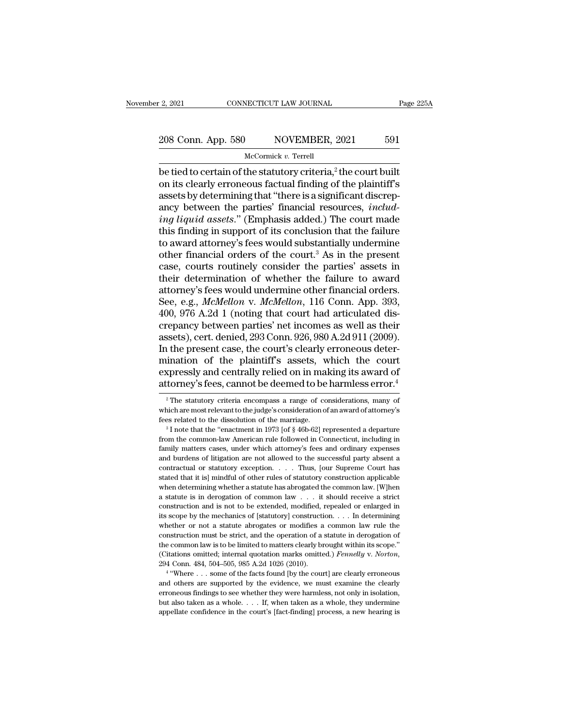# 2, 2021 CONNECTICUT LAW JOURNAL Page 225A<br>208 Conn. App. 580 NOVEMBER, 2021 591<br>McCormick v. Terrel

### McCormick *v.* Terrell

 $\begin{array}{|l|l|} \hline \text{2, 2021} & \text{CONRECTICUT LAW JOURNAL} & \text{Page 225.} \ \hline \end{array}$ <br>
208 Conn. App. 580 NOVEMBER, 2021 591<br>
McCormick v. Terrell<br>
be tied to certain of the statutory criteria,<sup>2</sup> the court built<br>
on its clearly erroneous factu 208 Conn. App. 580 NOVEMBER, 2021 591<br>
McCormick v. Terrell<br>
be tied to certain of the statutory criteria,<sup>2</sup> the court built<br>
on its clearly erroneous factual finding of the plaintiff's<br>
assets by determining that "there 208 Conn. App. 580 NOVEMBER, 2021 591<br>
McCormick v. Terrell<br>
be tied to certain of the statutory criteria,<sup>2</sup> the court built<br>
on its clearly erroneous factual finding of the plaintiff's<br>
assets by determining that "there 208 Conn. App. 580 NOVEMBER, 2021 591<br>
McCormick v. Terrell<br>
be tied to certain of the statutory criteria,<sup>2</sup> the court built<br>
on its clearly erroneous factual finding of the plaintiff's<br>
assets by determining that "there *III McCormick v. Terrell*<br> *McCormick v. Terrell*<br> **iverally**<br> **iverally**<br> **iverally**<br> **ion** its clearly erroneous factual finding of the plaintiff's<br>
assets by determining that "there is a significant discrep-<br>
ancy be McCormick v. Terrell<br>be tied to certain of the statutory criteria,<sup>2</sup> the court built<br>on its clearly erroneous factual finding of the plaintiff's<br>assets by determining that "there is a significant discrep-<br>ancy between th be tied to certain of the statutory criteria,<sup>2</sup> the court built<br>on its clearly erroneous factual finding of the plaintiff's<br>assets by determining that "there is a significant discrep-<br>ancy between the parties' financial on its clearly erroneous factual finding of the plaintiff's<br>assets by determining that "there is a significant discrep-<br>ancy between the parties' financial resources, *includ-*<br>*ing liquid assets.*" (Emphasis added.) The c assets by determining that "there is a significant discrepancy between the parties' financial resources, *includ-*<br>*ing liquid assets.*" (Emphasis added.) The court made<br>this finding in support of its conclusion that the f ancy between the parties' financial resources, *includ-*<br>*ing liquid assets.*" (Emphasis added.) The court made<br>this finding in support of its conclusion that the failure<br>to award attorney's fees would substantially under ing liquid assets." (Emphasis added.) The court made<br>this finding in support of its conclusion that the failure<br>to award attorney's fees would substantially undermine<br>other financial orders of the court.<sup>3</sup> As in the prese this finding in support of its conclusion that the failure<br>to award attorney's fees would substantially undermine<br>other financial orders of the court.<sup>3</sup> As in the present<br>case, courts routinely consider the parties' asset to award attorney's fees would substantially undermine<br>other financial orders of the court.<sup>3</sup> As in the present<br>case, courts routinely consider the parties' assets in<br>their determination of whether the failure to award<br>a other financial orders of the court.<sup>3</sup> As in the present case, courts routinely consider the parties' assets in their determination of whether the failure to award attorney's fees would undermine other financial orders. S case, courts routinely consider the parties' assets in<br>their determination of whether the failure to award<br>attorney's fees would undermine other financial orders.<br>See, e.g., *McMellon* v. *McMellon*, 116 Conn. App. 393,<br>40 their determination of whether the failure to award<br>attorney's fees would undermine other financial orders.<br>See, e.g., *McMellon* v. *McMellon*, 116 Conn. App. 393,<br>400, 976 A.2d 1 (noting that court had articulated dis-<br>c attorney's fees would undermine other financial orders.<br>See, e.g., *McMellon* v. *McMellon*, 116 Conn. App. 393,<br>400, 976 A.2d 1 (noting that court had articulated dis-<br>crepancy between parties' net incomes as well as thei See, e.g., *McMellon* v. *McMellon*, 116 Conn. App. 393, 400, 976 A.2d 1 (noting that court had articulated discrepancy between parties' net incomes as well as their assets), cert. denied, 293 Conn. 926, 980 A.2d 911 (2009 400, 976 A.2d 1 (noting that court had articulated discrepancy between parties' net incomes as well as their assets), cert. denied, 293 Conn. 926, 980 A.2d 911 (2009). In the present case, the court's clearly erroneous de 1 the present case, the court's clearly erroneous deter-<br>ination of the plaintiff's assets, which the court<br>xpressly and centrally relied on in making its award of<br>torney's fees, cannot be deemed to be harmless error.<sup>4</sup><br> mination of the plaintiff's assets, which the court<br>expressly and centrally relied on in making its award of<br>attorney's fees, cannot be deemed to be harmless error.<sup>4</sup><br><sup>2</sup>The statutory criteria encompass a range of consid

expressly and centrally relied on in making its award of attorney's fees, cannot be deemed to be harmless error.<sup>4</sup><br><sup>2</sup> The statutory criteria encompass a range of considerations, many of which are most relevant to the ju

attorney s rees, cannot be deemed to be narritiess error.<br>
<sup>2</sup> The statutory criteria encompass a range of considerations, many of which are most relevant to the judge's consideration of an award of attorney's fees related <sup>2</sup> The statutory criteria encompass a range of considerations, many of which are most relevant to the judge's consideration of an award of attorney's fees related to the dissolution of the marriage.<br><sup>3</sup> I note that the " which are most relevant to the judge's consideration of an award of attorney's<br>fees related to the dissolution of the marriage.<br><sup>3</sup> I note that the "enactment in 1973 [of § 46b-62] represented a departure<br>from the common-Fees related to the dissolution of the marriage.<br><sup>3</sup> I note that the "enactment in 1973 [of § 46b-62] represented a departure from the common-law American rule followed in Connecticut, including in family matters cases, u <sup>s a</sup> I note that the "enactment in 1973 [of § 46b-62] represented a departure from the common-law American rule followed in Connecticut, including in family matters cases, under which attorney's fees and ordinary expense from the common-law American rule followed in Connecticut, including in family matters cases, under which attorney's fees and ordinary expenses and burdens of litigation are not allowed to the successful party absent a co Family matters cases, under which attorney's fees and ordinary expenses and burdens of litigation are not allowed to the successful party absent a contractual or statutory exception. . . . . Thus, [our Supreme Court has s and burdens of litigation are not allowed to the successful party absent a contractual or statutory exception. . . . Thus, [our Supreme Court has stated that it is] mindful of other rules of statutory construction applica contractual or statutory exception. . . . Thus, [our Supreme Court has stated that it is] mindful of other rules of statutory construction applicable when determining whether a statute has abrogated the common law. [W]hen stated that it is] mindful of other rules of statutory construction applicable when determining whether a statute has abrogated the common law. [W]hen a statute is in derogation of common law  $\ldots$  it should receive a str when determining whether a statute has abrogated the common law. [W]hen<br>a statute is in derogation of common law  $\ldots$  it should receive a strict<br>construction and is not to be extended, modified, repealed or enlarged in<br>i a statute is in derogation of common law  $\ldots$  it should receive a strict construction and is not to be extended, modified, repealed or enlarged in its scope by the mechanics of [statutory] construction.  $\ldots$  In determin construction and is not to be extended, modified, repealed or enlarged in it is scope by the mechanics of [statutory] construction. . . . In determining whether or not a statute abrogates or modifies a common law rule the Extraction must be strict, and the operator of a statute in derogates a common law rule the struction must be strict, and the operation of a statute in derogation of common law is to be limited to matters clearly brought construction must be strict, and the operation of a statute in derogation of<br>the common law is to be limited to matters clearly brought within its scope."<br>(Citations omitted; internal quotation marks omitted.) *Fennelly* v

the common law is to be limited to matters clearly brought within its scope."<br>(Citations omitted; internal quotation marks omitted.) *Fennelly v. Norton*,<br>294 Conn. 484, 504–505, 985 A.2d 1026 (2010).<br><sup>4</sup> "Where . . . som Citations omitted; internal quotation marks omitted.) *Fennelly v. Norton*, 294 Conn. 484, 504–505, 985 A.2d 1026 (2010).<br>
<sup>4</sup> "Where . . . some of the facts found [by the court] are clearly erroneous and others are suppo  $4$  "Where  $\ldots$  some of the facts found [by the court] are clearly erroneous